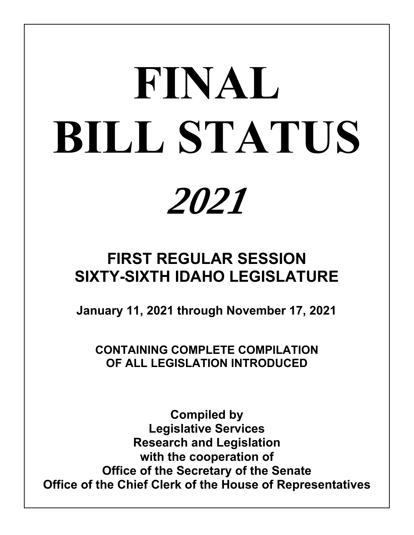# *2021* **FINAL BILL STATUS**

# **FIRST REGULAR SESSION SIXTY-SIXTH IDAHO LEGISLATURE**

**January 11, 2021 through November 17, 2021**

**CONTAINING COMPLETE COMPILATION OF ALL LEGISLATION INTRODUCED**

**Compiled by Legislative Services Research and Legislation with the cooperation of Office of the Secretary of the Senate Office of the Chief Clerk of the House of Representatives**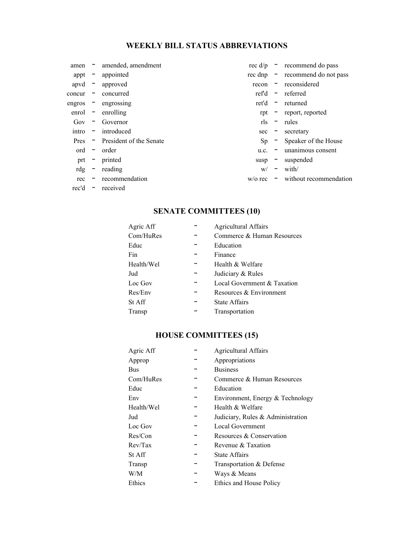# **WEEKLY BILL STATUS ABBREVIATIONS**

| amen   |                          | amended, amendment        | rec $d/p -$   |                          | recommend do pass      |
|--------|--------------------------|---------------------------|---------------|--------------------------|------------------------|
| appt   | $\overline{\phantom{a}}$ | appointed                 | $rec$ dnp $-$ |                          | recommend do not pass  |
| apvd   | $\overline{\phantom{a}}$ | approved                  | recon         | Ξ.                       | reconsidered           |
| concur | $\overline{\phantom{a}}$ | concurred                 | ref'd         | $\overline{\phantom{a}}$ | referred               |
| engros | $\overline{\phantom{a}}$ | engrossing                | ret'd         | $\overline{\phantom{a}}$ | returned               |
| enrol  | $\overline{\phantom{a}}$ | enrolling                 |               |                          | rpt - report, reported |
| Gov    | $\qquad \qquad -$        | Governor                  | rls           | $\overline{\phantom{0}}$ | rules                  |
| intro  | $\overline{\phantom{a}}$ | introduced                | $sec =$       |                          | secretary              |
| Pres   |                          | - President of the Senate | Sp            | $\sim$                   | Speaker of the House   |
| ord    | $\overline{\phantom{a}}$ | order                     | u.c.          | $\overline{\phantom{a}}$ | unanimous consent      |
| prt    | $\overline{\phantom{a}}$ | printed                   | susp          | $\overline{\phantom{0}}$ | suspended              |
| rdg    | $\overline{\phantom{a}}$ | reading                   | W/            | $\overline{\phantom{m}}$ | with/                  |
| rec    |                          | recommendation            | $w$ /o rec    | -                        | without recommendation |
| rec'd  | $\overline{\phantom{a}}$ | received                  |               |                          |                        |

# **SENATE COMMITTEES (10)**

| Agric Aff     | <b>Agricultural Affairs</b> |
|---------------|-----------------------------|
| Com/HuRes     | Commerce & Human Resources  |
| Educ          | Education                   |
| Fin           | Finance                     |
| Health/Wel    | Health & Welfare            |
| Jud           | Judiciary & Rules           |
| Loc Gov       | Local Government & Taxation |
| Res/Env       | Resources & Environment     |
| <b>St Aff</b> | <b>State Affairs</b>        |
| Transp        | Transportation              |

# **HOUSE COMMITTEES (15)**

| Agric Aff  | <b>Agricultural Affairs</b>       |
|------------|-----------------------------------|
| Approp     | Appropriations                    |
| Bus        | <b>Business</b>                   |
| Com/HuRes  | Commerce & Human Resources        |
| Educ       | Education                         |
| Env        | Environment, Energy & Technology  |
| Health/Wel | Health & Welfare                  |
| Jud        | Judiciary, Rules & Administration |
| Loc Gov    | <b>Local Government</b>           |
| Res/Con    | Resources & Conservation          |
| Rev/Tax    | Revenue & Taxation                |
| St Aff     | <b>State Affairs</b>              |
| Transp     | Transportation & Defense          |
| W/M        | Ways & Means                      |
| Ethics     | Ethics and House Policy           |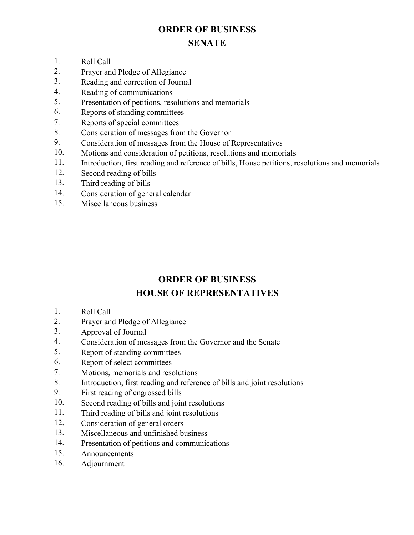# **ORDER OF BUSINESS SENATE**

- 1. Roll Call<br>2. Praver and
- Prayer and Pledge of Allegiance
- 3. Reading and correction of Journal
- 4. Reading of communications
- 5. Presentation of petitions, resolutions and memorials
- 6. Reports of standing committees
- 7. Reports of special committees
- 8. Consideration of messages from the Governor
- 9. Consideration of messages from the House of Representatives
- 10. Motions and consideration of petitions, resolutions and memorials
- 11. Introduction, first reading and reference of bills, House petitions, resolutions and memorials
- 12. Second reading of bills
- 13. Third reading of bills
- 14. Consideration of general calendar
- 15. Miscellaneous business

# **ORDER OF BUSINESS HOUSE OF REPRESENTATIVES**

- 1. Roll Call
- 2. Prayer and Pledge of Allegiance
- 3. Approval of Journal
- 4. Consideration of messages from the Governor and the Senate
- 5. Report of standing committees
- 6. Report of select committees
- 7. Motions, memorials and resolutions
- 8. Introduction, first reading and reference of bills and joint resolutions
- 9. First reading of engrossed bills
- 10. Second reading of bills and joint resolutions
- 11. Third reading of bills and joint resolutions
- 12. Consideration of general orders
- 13. Miscellaneous and unfinished business
- 14. Presentation of petitions and communications
- 15. Announcements
- 16. Adjournment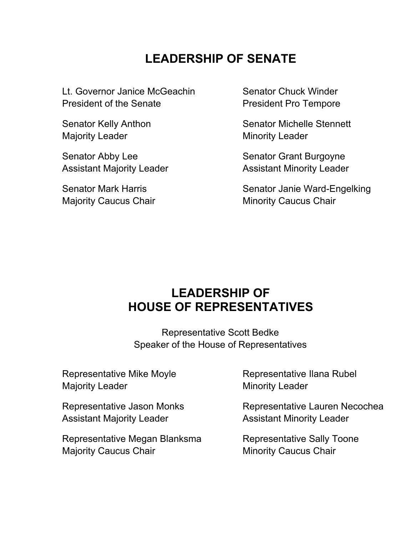# **LEADERSHIP OF SENATE**

Lt. Governor Janice McGeachin President of the Senate

Senator Kelly Anthon Majority Leader

Senator Abby Lee Assistant Majority Leader

Senator Mark Harris Majority Caucus Chair Senator Chuck Winder President Pro Tempore

Senator Michelle Stennett Minority Leader

Senator Grant Burgoyne Assistant Minority Leader

Senator Janie Ward-Engelking Minority Caucus Chair

# **LEADERSHIP OF HOUSE OF REPRESENTATIVES**

Representative Scott Bedke Speaker of the House of Representatives

Representative Mike Moyle Majority Leader

Representative Jason Monks Assistant Majority Leader

Representative Megan Blanksma Majority Caucus Chair

Representative Ilana Rubel Minority Leader

Representative Lauren Necochea Assistant Minority Leader

Representative Sally Toone Minority Caucus Chair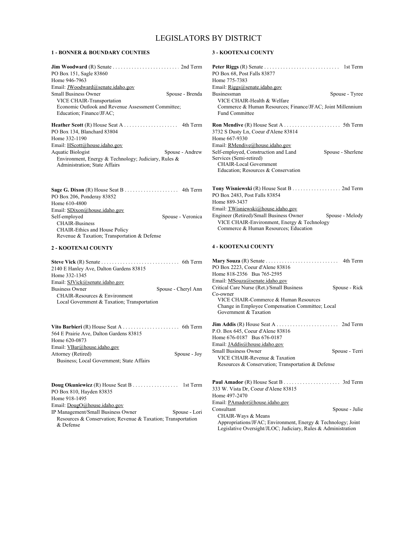# LEGISLATORS BY DISTRICT

#### **1 - BONNER & BOUNDARY COUNTIES**

| <b>Jim Woodward</b> $(R)$ Senate $\ldots \ldots \ldots \ldots \ldots \ldots \ldots \ldots$ 2nd Term |  |
|-----------------------------------------------------------------------------------------------------|--|
| PO Box 151, Sagle 83860                                                                             |  |
| Home 946-7963                                                                                       |  |
| Email: JWoodward@senate.idaho.gov                                                                   |  |
| <b>Small Business Owner</b><br>Spouse - Brenda                                                      |  |
| VICE CHAIR-Transportation                                                                           |  |
| Economic Outlook and Revenue Assessment Committee;                                                  |  |
| Education; Finance/JFAC;                                                                            |  |
|                                                                                                     |  |
| PO Box 134, Blanchard 83804                                                                         |  |
| Home 332-1190                                                                                       |  |
| Email: HScott@house.idaho.gov                                                                       |  |
| Aquatic Biologist<br>Spouse - Andrew                                                                |  |
| Environment, Energy & Technology; Judiciary, Rules &<br>Administration; State Affairs               |  |
|                                                                                                     |  |

**Sage G. Dixon** (R) House Seat B . . . . . . . . . . . . . . . . . . . . . . . . 4th Term PO Box 206, Ponderay 83852 Home 610-4800 Email: SDixon@house.idaho.gov Self-employed Spouse - Veronica CHAIR-Business CHAIR-Ethics and House Policy Revenue & Taxation; Transportation & Defense

#### **2 - KOOTENAI COUNTY**

| 2140 E Hanley Ave, Dalton Gardens 83815     |                     |
|---------------------------------------------|---------------------|
| Home 332-1345                               |                     |
| Email: SJVick@senate.idaho.gov              |                     |
| <b>Business Owner</b>                       | Spouse - Cheryl Ann |
| CHAIR-Resources & Environment               |                     |
| Local Government & Taxation; Transportation |                     |
|                                             |                     |

| 564 E Prairie Ave, Dalton Gardens 83815   |              |
|-------------------------------------------|--------------|
| Home 620-0873                             |              |
| Email: VBar@house.idaho.gov               |              |
| Attorney (Retired)                        | Spouse - Joy |
| Business: Local Government: State Affairs |              |

**Doug Okuniewicz** (R) House Seat B . . . . . . . . . . . . . . . . . 1st Term PO Box 810, Hayden 83835 Home 918-1495 Email: DougO@house.idaho.gov IP Management/Small Business Owner Spouse - Lori Resources & Conservation; Revenue & Taxation; Transportation & Defense

#### **3 - KOOTENAI COUNTY**

| PO Box 68, Post Falls 83877                                |                   |
|------------------------------------------------------------|-------------------|
| Home 775-7383                                              |                   |
| Email: Riggs@senate.idaho.gov                              |                   |
| <b>Businessman</b>                                         | Spouse - Tyree    |
| VICE CHAIR-Health & Welfare                                |                   |
| Commerce & Human Resources; Finance/JFAC; Joint Millennium |                   |
| <b>Fund Committee</b>                                      |                   |
|                                                            |                   |
| 3732 S Dusty Ln, Coeur d'Alene 83814                       |                   |
| Home 667-9330                                              |                   |
| Email: RMendive@house.idaho.gov                            |                   |
| Self-employed, Construction and Land                       | Spouse - Sherlene |
| Services (Semi-retired)                                    |                   |
| <b>CHAIR-Local Government</b>                              |                   |
| Education: Resources & Conservation                        |                   |
|                                                            |                   |
|                                                            |                   |

| <b>Tony Wisniewski</b> (R) House Seat B 2nd Term |                 |
|--------------------------------------------------|-----------------|
| PO Box 2483, Post Falls 83854                    |                 |
| Home 889-3437                                    |                 |
| Email: TWisniewski@house.idaho.gov               |                 |
| Engineer (Retired)/Small Business Owner          | Spouse - Melody |
| VICE CHAIR-Environment, Energy & Technology      |                 |
| Commerce & Human Resources; Education            |                 |

#### **4 - KOOTENAI COUNTY**

| <b>Mary Souza</b> (R) Senate $\dots \dots \dots \dots \dots \dots \dots$ 4th Term |                |
|-----------------------------------------------------------------------------------|----------------|
| PO Box 2223, Coeur d'Alene 83816                                                  |                |
| Home 818-2356 Bus 765-2595                                                        |                |
| Email: MSouza@senate.idaho.gov                                                    |                |
| Critical Care Nurse (Ret.)/Small Business                                         | Spouse - Rick  |
| Co-owner                                                                          |                |
| VICE CHAIR-Commerce & Human Resources                                             |                |
| Change in Employee Compensation Committee; Local                                  |                |
| Government & Taxation                                                             |                |
|                                                                                   |                |
| P.O. Box 645, Coeur d'Alene 83816                                                 |                |
| Home 676-0187 Bus 676-0187                                                        |                |
| Email: <i>JAddis@house.idaho.gov</i>                                              |                |
| <b>Small Business Owner</b>                                                       | Spouse - Terri |
| VICE CHAIR-Revenue & Taxation                                                     |                |
| Resources & Conservation; Transportation & Defense                                |                |
|                                                                                   |                |
|                                                                                   |                |
| 333 W. Vista Dr, Coeur d'Alene 83815                                              |                |
| Home 497-2470                                                                     |                |
| Email: PAmador@house.idaho.gov                                                    |                |
| Consultant                                                                        | Spouse - Julie |
| CHAIR-Ways & Means                                                                |                |
| Appropriations/JFAC; Environment, Energy & Technology; Joint                      |                |

Legislative Oversight/JLOC; Judiciary, Rules & Administration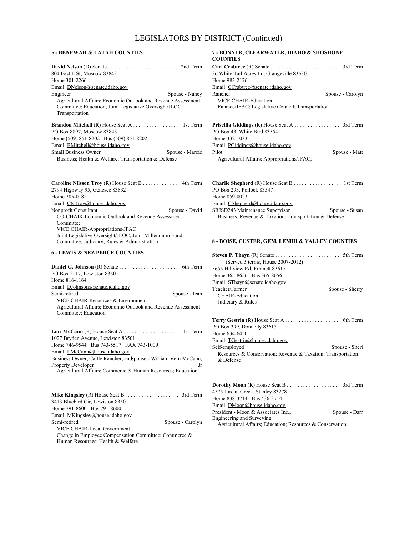4th Term

#### **5 - BENEWAH & LATAH COUNTIES**

| 804 East E St, Moscow 83843<br>Home 301-2266                                                                                               |
|--------------------------------------------------------------------------------------------------------------------------------------------|
| Email: DNelson@senate.idaho.gov                                                                                                            |
| Spouse - Nancy<br>Engineer                                                                                                                 |
| Agricultural Affairs; Economic Outlook and Revenue Assessment<br>Committee; Education; Joint Legislative Oversight/JLOC;<br>Transportation |
|                                                                                                                                            |
| PO Box 8897, Moscow 83843                                                                                                                  |
| Home (509) 851-8202 Bus (509) 851-8202                                                                                                     |
| Email: BMitchell@house.idaho.gov                                                                                                           |
| <b>Small Business Owner</b><br>Spouse - Marcie                                                                                             |
| Business: Health & Welfare: Transportation & Defense                                                                                       |

| <b>Caroline Nilsson Troy</b> (R) House Seat B 4th Term  |                |
|---------------------------------------------------------|----------------|
| 2794 Highway 95, Genesee 83832                          |                |
| Home 285-0182                                           |                |
| Email: CNTroy@house.idaho.gov                           |                |
| Nonprofit Consultant                                    | Spouse - David |
| CO-CHAIR-Economic Outlook and Revenue Assessment        |                |
| Committee                                               |                |
| VICE CHAIR-Appropriations/JFAC                          |                |
| Joint Legislative Oversight/JLOC; Joint Millennium Fund |                |
| Committee; Judiciary, Rules & Administration            |                |
|                                                         |                |

#### **6 - LEWIS & NEZ PERCE COUNTIES**

 $\sim$   $\sim$   $\sim$ 

| PO Box 2117, Lewiston 83501                                       |
|-------------------------------------------------------------------|
| Home 816-1164                                                     |
| Email: DJohnson@senate.idaho.gov                                  |
| Semi-retired<br>Spouse - Jean                                     |
| VICE CHAIR-Resources & Environment                                |
| Agricultural Affairs; Economic Outlook and Revenue Assessment     |
| Committee; Education                                              |
|                                                                   |
|                                                                   |
|                                                                   |
| 1027 Bryden Avenue, Lewiston 83501                                |
| Home 746-9544 Bus 743-5517 FAX 743-1009                           |
| Email: LMcCann@house.idaho.gov                                    |
| Business Owner, Cattle Rancher, and Spouse - William Vern McCann, |
| <b>Property Developer</b><br>Jr                                   |
| Agricultural Affairs: Commerce & Human Resources: Education       |

**Mike Kingsley** (R) House Seat B . . . . . . . . . . . . . . . . . . . . . . . . 3rd Term 3413 Bluebird Cir, Lewiston 83501 Home 791-8600 Bus 791-8600 Email: MKingsley@house.idaho.gov Semi-retired Spouse - Carolyn VICE CHAIR-Local Government Change in Employee Compensation Committee; Commerce & Human Resources; Health & Welfare

#### **7 - BONNER, CLEARWATER, IDAHO & SHOSHONE COUNTIES**

| 36 White Tail Acres Ln, Grangeville 83530         |               |
|---------------------------------------------------|---------------|
| Home 983-2176                                     |               |
| Email: CCrabtree@senate.idaho.gov                 |               |
| Rancher<br>Spouse - Carolyn                       |               |
| VICE CHAIR-Education                              |               |
| Finance/JFAC; Legislative Council; Transportation |               |
|                                                   |               |
|                                                   |               |
| PO Box 43, White Bird 83554                       |               |
| Home 332-1033                                     |               |
| Email: PGiddings@house.idaho.gov                  |               |
| Pilot                                             | Spouse - Matt |

Agricultural Affairs; Appropriations/JFAC;

| PO Box 293, Pollock 83547                              |                |
|--------------------------------------------------------|----------------|
| Home 859-0023                                          |                |
| Email: CShepherd@house.idaho.gov                       |                |
| SRJSD243 Maintenance Supervisor                        | Spouse - Susan |
| Business; Revenue & Taxation; Transportation & Defense |                |

#### **8 - BOISE, CUSTER, GEM, LEMHI & VALLEY COUNTIES**

| <b>Steven P. Thayn</b> (R) Senate $\dots \dots \dots \dots \dots \dots \dots$ 5th Term |                 |
|----------------------------------------------------------------------------------------|-----------------|
| (Served 3 terms, House 2007-2012)                                                      |                 |
| 5655 Hillview Rd, Emmett 83617                                                         |                 |
| Home 365-8656 Bus 365-8656                                                             |                 |
| Email: SThayn@senate.idaho.gov                                                         |                 |
| Teacher/Farmer                                                                         | Spouse - Sherry |
| <b>CHAIR-Education</b>                                                                 |                 |
| Judiciary & Rules                                                                      |                 |
|                                                                                        |                 |
| PO Box 399, Donnelly 83615                                                             |                 |
| Home 634-6450                                                                          |                 |
| Email: TGestrin@house.idaho.gov                                                        |                 |
| Self-employed                                                                          | Spouse - Sheri  |
| Resources & Conservation; Revenue & Taxation; Transportation                           |                 |
| & Defense                                                                              |                 |
|                                                                                        |                 |

| 4575 Jordan Creek, Stanley 83278                          |               |
|-----------------------------------------------------------|---------------|
| Home 838-3714 Bus 436-3714                                |               |
| Email: DMoon@house.idaho.gov                              |               |
| President - Moon & Associates Inc.,                       | Spouse - Darr |
| <b>Engineering and Surveying</b>                          |               |
| Agricultural Affairs; Education; Resources & Conservation |               |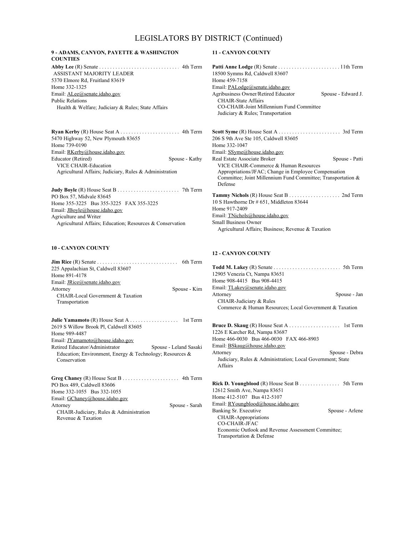#### **9 - ADAMS, CANYON, PAYETTE & WASHINGTON COUNTIES**

**Abby Lee** (R) Senate . . . . . . . . . . . . . . . . . . . . . . . . . . . . . . . . . 4th Term 5370 Elmore Rd, Fruitland 83619 Home 332-1325 Email: ALee@senate.idaho.gov Health & Welfare; Judiciary & Rules; State Affairs ASSISTANT MAJORITY LEADER Public Relations

**Ryan Kerby** (R) House Seat A . . . . . . . . . . . . . . . . . . . . . . . . . 4th Term 5470 Highway 52, New Plymouth 83655 Home 739-0190 Email: RKerby@house.idaho.gov Educator (Retired) Spouse - Kathy VICE CHAIR-Education Agricultural Affairs; Judiciary, Rules & Administration

**Judy Boyle** (R) House Seat B . . . . . . . . . . . . . . . . . . . . . . . . . . . 7th Term PO Box 57, Midvale 83645 Home 355-3225 Bus 355-3225 FAX 355-3225 Email: JBoyle@house.idaho.gov Agricultural Affairs; Education; Resources & Conservation Agriculture and Writer

#### **10 - CANYON COUNTY**

|                                                                          | 6th Term       |
|--------------------------------------------------------------------------|----------------|
| 225 Appalachian St, Caldwell 83607                                       |                |
| Home 891-4178                                                            |                |
| Email: <i>JRice@senate.idaho.gov</i>                                     |                |
| Attorney                                                                 | Spouse - Kim   |
| CHAIR-Local Government & Taxation                                        |                |
| Transportation                                                           |                |
|                                                                          |                |
| 2619 S Willow Brook Pl, Caldwell 83605                                   |                |
| Home 989-4487                                                            |                |
| Email: JYamamoto@house.idaho.gov                                         |                |
| Retired Educator/Administrator<br>Spouse - Leland Sasaki                 |                |
| Education; Environment, Energy & Technology; Resources &<br>Conservation |                |
| PO Box 489, Caldwell 83606                                               |                |
| Home 332-1055 Bus 332-1055                                               |                |
| Email: GChaney@house.idaho.gov                                           |                |
| Attorney                                                                 | Spouse - Sarah |
| CHAIR-Judiciary, Rules & Administration                                  |                |
| Revenue & Taxation                                                       |                |

#### **11 - CANYON COUNTY**

| 18500 Symms Rd, Caldwell 83607                               |                    |
|--------------------------------------------------------------|--------------------|
| Home 459-7158                                                |                    |
| Email: PALodge@senate.idaho.gov                              |                    |
| <b>Agribusiness Owner/Retired Educator</b>                   | Spouse - Edward J. |
| <b>CHAIR-State Affairs</b>                                   |                    |
| CO-CHAIR-Joint Millennium Fund Committee                     |                    |
| Judiciary & Rules; Transportation                            |                    |
|                                                              |                    |
|                                                              |                    |
| 206 S 9th Ave Ste 105, Caldwell 83605                        |                    |
| Home 332-1047                                                |                    |
| Email: SSyme@house.idaho.gov                                 |                    |
| Real Estate Associate Broker                                 | Spouse - Patti     |
| VICE CHAIR-Commerce & Human Resources                        |                    |
| Appropriations/JFAC; Change in Employee Compensation         |                    |
| Committee; Joint Millennium Fund Committee; Transportation & |                    |
| Defense                                                      |                    |
|                                                              |                    |
| 10 S Hawthorne Dr # 651, Middleton 83644                     |                    |
| Home 917-2409                                                |                    |
|                                                              |                    |
| Email: TNichols@house.idaho.gov                              |                    |
| <b>Small Business Owner</b>                                  |                    |
| Agricultural Affairs; Business; Revenue & Taxation           |                    |

#### **12 - CANYON COUNTY**

| <b>Todd M. Lakey</b> (R) Senate $\dots \dots \dots \dots \dots \dots \dots$ 5th Term |  |
|--------------------------------------------------------------------------------------|--|
| 12905 Venezia Ct, Nampa 83651                                                        |  |
| Home 908-4415 Bus 908-4415                                                           |  |
| Email: TLakey@senate.idaho.gov                                                       |  |
| Attorney<br>Spouse - Jan                                                             |  |
| CHAIR-Judiciary & Rules                                                              |  |
| Commerce & Human Resources; Local Government & Taxation                              |  |
|                                                                                      |  |
|                                                                                      |  |
| 1226 E Karcher Rd, Nampa 83687                                                       |  |
| Home 466-0030 Bus 466-0030 FAX 466-8903                                              |  |
| Email: <b>BSkaug@house.idaho.gov</b>                                                 |  |
| Spouse - Debra<br>Attorney                                                           |  |
| Judiciary, Rules & Administration; Local Government; State                           |  |
| Affairs                                                                              |  |
|                                                                                      |  |
|                                                                                      |  |
| <b>Rick D. Youngblood</b> (R) House Seat B 5th Term                                  |  |
| 12612 Smith Ave, Nampa 83651                                                         |  |
| Home 412-5107 Bus 412-5107                                                           |  |
| Email: RYoungblood@house.idaho.gov                                                   |  |
| Banking Sr. Executive<br>Spouse - Arlene                                             |  |
| <b>CHAIR-Appropriations</b>                                                          |  |
| <b>CO-CHAIR-JFAC</b>                                                                 |  |
| Economic Outlook and Revenue Assessment Committee;                                   |  |
| Transportation & Defense                                                             |  |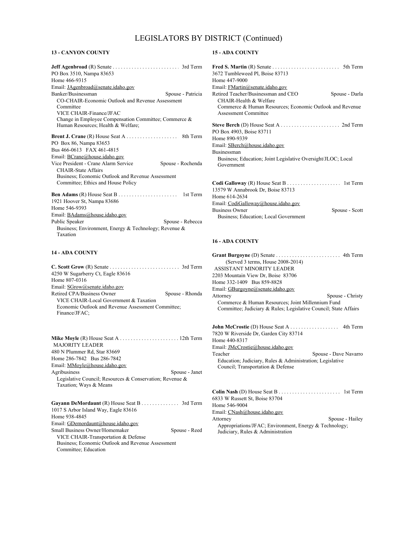#### **13 - CANYON COUNTY**

| PO Box 3510, Nampa 83653                                  |
|-----------------------------------------------------------|
| Home 466-9315                                             |
| Email: JAgenbroad@senate.idaho.gov                        |
| Banker/Businessman<br>Spouse - Patricia                   |
| CO-CHAIR-Economic Outlook and Revenue Assessment          |
| Committee                                                 |
| VICE CHAIR-Finance/JFAC                                   |
| Change in Employee Compensation Committee; Commerce &     |
| Human Resources; Health & Welfare;                        |
|                                                           |
| PO Box 86, Nampa 83653                                    |
| Bus 466-0613 FAX 461-4815                                 |
| Email: BCrane@house.idaho.gov                             |
| Vice President - Crane Alarm Service<br>Spouse - Rochenda |
| <b>CHAIR-State Affairs</b>                                |
| Business; Economic Outlook and Revenue Assessment         |
| Committee; Ethics and House Policy                        |
|                                                           |
| 1921 Hoover St, Nampa 83686                               |
| Home 546-9393                                             |
| Email: BAdams@house.idaho.gov                             |
| Public Speaker<br>Spouse - Rebecca                        |
| Business; Environment, Energy & Technology; Revenue &     |
| Taxation                                                  |
| <b>14 - ADA COUNTY</b>                                    |
|                                                           |

| 4250 W Sugarberry Ct, Eagle 83616                  |                 |
|----------------------------------------------------|-----------------|
| Home 807-0316                                      |                 |
| Email: SGrow@senate.idaho.gov                      |                 |
| Retired CPA/Business Owner                         | Spouse - Rhonda |
| VICE CHAIR-Local Government & Taxation             |                 |
| Economic Outlook and Revenue Assessment Committee: |                 |
| Finance/JFAC:                                      |                 |
|                                                    |                 |

**Mike Moyle** (R) House Seat A . . . . . . . . . . . . . . . . . . . . . . . . . 12th Term 480 N Plummer Rd, Star 83669 Home 286-7842 Bus 286-7842 Email: MMoyle@house.idaho.gov Agribusiness Spouse - Janet Legislative Council; Resources & Conservation; Revenue & Taxation; Ways & Means MAJORITY LEADER

**Gayann DeMordaunt** (R) House Seat B . . . . . . . . . . . . . . . . . . 3rd Term 1017 S Arbor Island Way, Eagle 83616 Home 938-4845 Email: GDemordaunt@house.idaho.gov Small Business Owner/Homemaker Spouse - Reed VICE CHAIR-Transportation & Defense Business; Economic Outlook and Revenue Assessment Committee; Education

#### **15 - ADA COUNTY**

| <b>Fred S. Martin</b> (R) Senate $\dots \dots \dots \dots \dots \dots \dots$ 5th Term   |                |
|-----------------------------------------------------------------------------------------|----------------|
| 3672 Tumbleweed Pl, Boise 83713                                                         |                |
| Home 447-9000                                                                           |                |
| Email: FMartin@senate.idaho.gov                                                         |                |
| Retired Teacher/Businessman and CEO                                                     | Spouse - Darla |
| CHAIR-Health & Welfare                                                                  |                |
| Commerce & Human Resources; Economic Outlook and Revenue<br><b>Assessment Committee</b> |                |
|                                                                                         |                |
| PO Box 4903, Boise 83711                                                                |                |
| Home 890-9339                                                                           |                |
| Email: SBerch@house.idaho.gov                                                           |                |
| <b>Businessman</b>                                                                      |                |
| Business; Education; Joint Legislative Oversight/JLOC; Local<br>Government              |                |
|                                                                                         |                |
| 13579 W Annabrook Dr, Boise 83713                                                       |                |
| Home 614-2634                                                                           |                |
| Email: CodiGalloway@house.idaho.gov                                                     |                |
| <b>Business Owner</b>                                                                   | Spouse - Scott |
| Business; Education; Local Government                                                   |                |

#### **16 - ADA COUNTY**

| (Served 3 terms, House 2008-2014)                                                                                     |                       |
|-----------------------------------------------------------------------------------------------------------------------|-----------------------|
| ASSISTANT MINORITY LEADER                                                                                             |                       |
| 2203 Mountain View Dr, Boise 83706                                                                                    |                       |
| Home 332-1409 Bus 859-8828                                                                                            |                       |
| Email: GBurgoyne@senate.idaho.gov                                                                                     |                       |
| Attorney                                                                                                              | Spouse - Christy      |
| Commerce & Human Resources; Joint Millennium Fund<br>Committee; Judiciary & Rules; Legislative Council; State Affairs |                       |
| 7820 W Riverside Dr, Garden City 83714<br>Home 440-8317                                                               |                       |
| Email: <i>JMcCrostie@house.idaho.gov</i>                                                                              |                       |
| Teacher                                                                                                               | Spouse - Dave Navarro |
| Education; Judiciary, Rules & Administration; Legislative                                                             |                       |
| Council; Transportation & Defense                                                                                     |                       |
| 6833 W Russett St, Boise 83704                                                                                        |                       |
| Home 546-9004                                                                                                         |                       |
|                                                                                                                       |                       |

Email: CNash@house.idaho.gov

Attorney Spouse - Hailey Appropriations/JFAC; Environment, Energy & Technology; Judiciary, Rules & Administration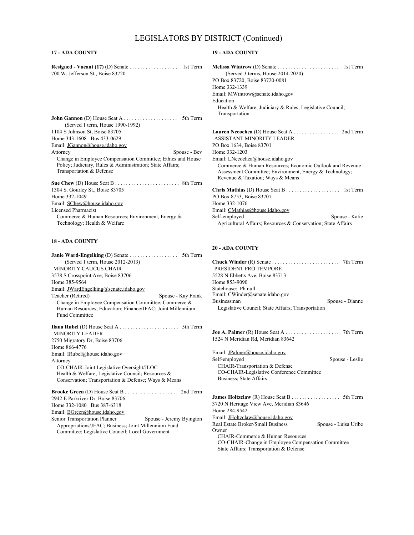#### **17 - ADA COUNTY**

| <b>Resigned - Vacant (17)</b> (D) Senate $\dots \dots \dots \dots \dots$ | 1st Term |
|--------------------------------------------------------------------------|----------|
| 700 W. Jefferson St., Boise 83720                                        |          |

| (Served 1 term, House 1990-1992)                                                                                                                     |
|------------------------------------------------------------------------------------------------------------------------------------------------------|
| 1104 S Johnson St, Boise 83705                                                                                                                       |
| Home 343-1608 Bus 433-0629                                                                                                                           |
| Email: JGannon@house.idaho.gov                                                                                                                       |
| Attorney<br>Spouse - Bev                                                                                                                             |
| Change in Employee Compensation Committee; Ethics and House<br>Policy: Judiciary, Rules & Administration; State Affairs;<br>Transportation & Defense |
| 1304 S. Gourley St., Boise 83705<br>Home 332-1049                                                                                                    |

Email: SChew@house.idaho.gov Commerce & Human Resources; Environment, Energy & Technology; Health & Welfare Licensed Pharmacist

#### **18 - ADA COUNTY**

| (Served 1 term, House 2012-2013)                                                |
|---------------------------------------------------------------------------------|
| MINORITY CAUCUS CHAIR                                                           |
| 3578 S Crosspoint Ave, Boise 83706                                              |
| Home 385-9564                                                                   |
| Email: JWardEngelking@senate.idaho.gov                                          |
| Teacher (Retired)<br>Spouse - Kay Frank                                         |
| Change in Employee Compensation Committee; Commerce &                           |
| Human Resources; Education; Finance/JFAC; Joint Millennium                      |
| <b>Fund Committee</b>                                                           |
| <b>MINORITY LEADER</b>                                                          |
|                                                                                 |
| 2750 Migratory Dr. Boise 83706                                                  |
| Home 866-4776                                                                   |
| Email: IRubel@house.idaho.gov                                                   |
| Attorney                                                                        |
| CO-CHAIR-Joint Legislative Oversight/JLOC                                       |
| Health & Welfare; Legislative Council; Resources &                              |
| Conservation; Transportation & Defense; Ways & Means                            |
|                                                                                 |
| 2942 E Parkriver Dr, Boise 83706                                                |
| Home 332-1080 Bus 387-6318                                                      |
| Email: BGreen@house.idaho.gov                                                   |
| Senior Transportation Planner<br>Spouse - Jeremy Byington                       |
| $\Lambda$ propositional IE $\Lambda$ C. Duainage: Loint $\Lambda$ Glannium Euro |

Appropriations/JFAC; Business; Joint Millennium Fund Committee; Legislative Council; Local Government

#### **19 - ADA COUNTY**

| (Served 3 terms, House 2014-2020)                             |                |
|---------------------------------------------------------------|----------------|
| PO Box 83720, Boise 83720-0081                                |                |
| Home 332-1339                                                 |                |
| Email: MWintrow@senate.idaho.gov                              |                |
| Education                                                     |                |
| Health & Welfare; Judiciary & Rules; Legislative Council;     |                |
| Transportation                                                |                |
|                                                               |                |
| Lauren Necochea (D) House Seat A 2nd Term                     |                |
| ASSISTANT MINORITY LEADER                                     |                |
| PO Box 1634, Boise 83701                                      |                |
| Home 332-1203                                                 |                |
| Email: <i>LNecochea@house.idaho.gov</i>                       |                |
| Commerce & Human Resources; Economic Outlook and Revenue      |                |
| Assessment Committee; Environment, Energy & Technology;       |                |
| Revenue & Taxation; Ways & Means                              |                |
|                                                               |                |
| PO Box 8753, Boise 83707                                      |                |
| Home 332-1076                                                 |                |
| Email: CMathias@house.idaho.gov                               |                |
| Self-employed                                                 | Spouse - Katie |
| Agricultural Affairs; Resources & Conservation; State Affairs |                |
|                                                               |                |

#### **20 - ADA COUNTY**

| <b>Chuck Winder</b> $(R)$ Senate $\ldots \ldots \ldots \ldots \ldots \ldots \ldots$ 7th Term |                 |
|----------------------------------------------------------------------------------------------|-----------------|
| PRESIDENT PRO TEMPORE                                                                        |                 |
| 5528 N Ebbetts Ave, Boise 83713                                                              |                 |
| Home 853-9090                                                                                |                 |
| Statehouse: Ph null                                                                          |                 |
| Email: CWinder@senate.idaho.gov                                                              |                 |
| Businessman                                                                                  | Spouse - Dianne |
| Legislative Council: State Affairs: Transportation                                           |                 |

**Joe A. Palmer** (R) House Seat A . . . . . . . . . . . . . . . . . . . . . . . 7th Term 1524 N Meridian Rd, Meridian 83642

Email: JPalmer@house.idaho.gov<br>Self-employed Spouse - Leslie CHAIR-Transportation & Defense CO-CHAIR-Legislative Conference Committee Business; State Affairs **James Holtzclaw** (R) House Seat B . . . . . . . . . . . . . . . . . . . . . 5th Term3720 N Heritage View Ave, Meridian 83646 Home 284-9542 Email: JHoltzclaw@house.idaho.gov Real Estate Broker/Small Business Owner Spouse - Luisa Uribe

CHAIR-Commerce & Human Resources CO-CHAIR-Change in Employee Compensation Committee State Affairs; Transportation & Defense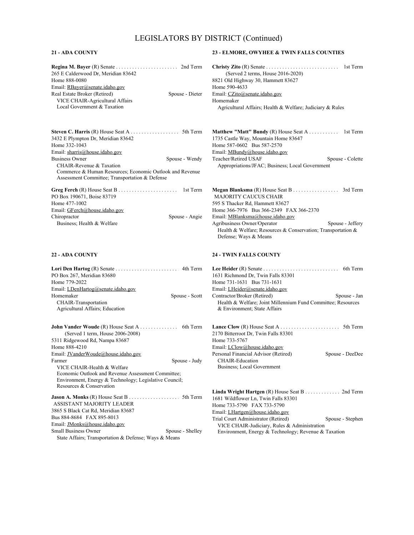#### **21 - ADA COUNTY**

| 265 E Calderwood Dr, Meridian 83642                                                                        |
|------------------------------------------------------------------------------------------------------------|
|                                                                                                            |
| Home 888-0080                                                                                              |
| Email: RBayer@senate.idaho.gov                                                                             |
| Real Estate Broker (Retired)<br>Spouse - Dieter                                                            |
| <b>VICE CHAIR-Agricultural Affairs</b>                                                                     |
| Local Government & Taxation                                                                                |
|                                                                                                            |
| 3432 E Plympton Dr. Meridian 83642<br>Home 332-1043                                                        |
| Email: sharris@house.idaho.gov                                                                             |
| <b>Business Owner</b><br>Spouse - Wendy                                                                    |
| CHAIR-Revenue & Taxation                                                                                   |
| Commerce & Human Resources; Economic Outlook and Revenue<br>Assessment Committee; Transportation & Defense |
|                                                                                                            |
| PO Box 190671, Boise 83719                                                                                 |
| Home 477-1002                                                                                              |
| Email: GFerch@house.idaho.gov                                                                              |
| Chiropractor<br>Spouse - Angie                                                                             |
| Business; Health & Welfare                                                                                 |
| <b>22 - ADA COUNTY</b>                                                                                     |
|                                                                                                            |
|                                                                                                            |
|                                                                                                            |
| PO Box 267, Meridian 83680                                                                                 |
| Home 779-2022                                                                                              |
| Email: LDenHartog@senate.idaho.gov                                                                         |
| Homemaker<br>Spouse - Scott                                                                                |
| CHAIR-Transportation                                                                                       |
| Agricultural Affairs; Education                                                                            |
|                                                                                                            |
| <b>John Vander Woude</b> (R) House Seat A 6th Term                                                         |
| (Served 1 term, House 2006-2008)                                                                           |
| 5311 Ridgewood Rd, Nampa 83687<br>Home 888-4210                                                            |
|                                                                                                            |
| Email: JVanderWoude@house.idaho.gov<br>Farmer                                                              |
| Spouse - Judy<br>VICE CHAIR-Health & Welfare                                                               |
| Economic Outlook and Revenue Assessment Committee;                                                         |
| Environment, Energy & Technology; Legislative Council;                                                     |
| Resources & Conservation                                                                                   |
|                                                                                                            |
| ASSISTANT MAJORITY LEADER                                                                                  |
| 3865 S Black Cat Rd, Meridian 83687                                                                        |
| Bus 884-8684 FAX 895-8013                                                                                  |
| Email: JMonks@house.idaho.gov                                                                              |
| Small Business Owner<br>Spouse - Shelley<br>State Affairs; Transportation & Defense; Ways & Means          |

#### **23 - ELMORE, OWYHEE & TWIN FALLS COUNTIES**

| (Served 2 terms, House $2016-2020$ )                      |  |
|-----------------------------------------------------------|--|
| 8821 Old Highway 30, Hammett 83627                        |  |
| Home 590-4633                                             |  |
| Email: CZito@senate.idaho.gov                             |  |
| Homemaker                                                 |  |
| Agricultural Affairs: Health & Welfare: Judiciary & Rules |  |

| <b>Matthew "Matt" Bundy</b> (R) House Seat A 1st Term |                  |
|-------------------------------------------------------|------------------|
| 1735 Castle Way, Mountain Home 83647                  |                  |
| Home 587-0602 Bus 587-2570                            |                  |
| Email: MBundy@house.idaho.gov                         |                  |
| Teacher/Retired USAF                                  | Spouse - Colette |
| Appropriations/JFAC; Business; Local Government       |                  |

| <b>MAJORITY CAUCUS CHAIR</b>                                 |                  |
|--------------------------------------------------------------|------------------|
| 595 S Thacker Rd, Hammett 83627                              |                  |
| Home 366-7976 Bus 366-2349 FAX 366-2370                      |                  |
| Email: MBlanksma@house.idaho.gov                             |                  |
| Agribusiness Owner/Operator                                  | Spouse - Jeffery |
| Health & Welfare: Resources & Conservation: Transportation & |                  |
| Defense; Ways & Means                                        |                  |

#### **24 - TWIN FALLS COUNTY**

| 1631 Richmond Dr. Twin Falls 83301                                                           |                 |
|----------------------------------------------------------------------------------------------|-----------------|
| Home 731-1631 Bus 731-1631                                                                   |                 |
| Email: LHeider@senate.idaho.gov                                                              |                 |
| Contractor/Broker (Retired)                                                                  | Spouse - Jan    |
| Health & Welfare; Joint Millennium Fund Committee; Resources<br>& Environment; State Affairs |                 |
|                                                                                              |                 |
| 2170 Bitterroot Dr, Twin Falls 83301                                                         |                 |
| Home 733-5767                                                                                |                 |
| Email: <i>LClow@house.idaho.gov</i>                                                          |                 |
| Personal Financial Advisor (Retired)                                                         | Spouse - DeeDee |
| <b>CHAIR-Education</b>                                                                       |                 |
| Business; Local Government                                                                   |                 |
| Linda Wright Hartgen (R) House Seat B 2nd Term                                               |                 |

1681 Wildflower Ln, Twin Falls 83301 Home 733-5790 FAX 733-5790 Email: LHartgen@house.idaho.gov Trial Court Administrator (Retired) Spouse - Stephen VICE CHAIR-Judiciary, Rules & Administration Environment, Energy & Technology; Revenue & Taxation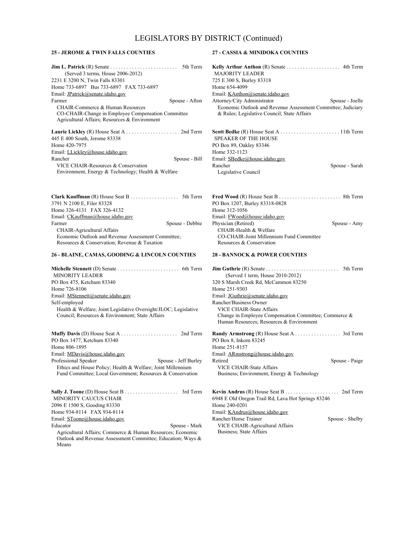#### **25 - JEROME & TWIN FALLS COUNTIES**

| <b>Jim L. Patrick</b> (R) Senate $\dots \dots \dots \dots \dots \dots \dots$ 5th Term |
|---------------------------------------------------------------------------------------|
| (Served 3 terms, House 2006-2012)                                                     |
| 2231 E 3200 N, Twin Falls 83301                                                       |
| Home 733-6897 Bus 733-6897 FAX 733-6897                                               |
| Email: JPatrick@senate.idaho.gov                                                      |
| Farmer<br>Spouse - Afton                                                              |
| CHAIR-Commerce & Human Resources                                                      |
| CO-CHAIR-Change in Employee Compensation Committee                                    |
| Agricultural Affairs; Resources & Environment                                         |
|                                                                                       |
| 445 E 400 South, Jerome 83338                                                         |
| Home 420-7975                                                                         |
| Email: LLickley@house.idaho.gov                                                       |
| Spouse - Bill<br>Rancher                                                              |
| VICE CHAIR-Resources & Conservation                                                   |
| Environment, Energy & Technology; Health & Welfare                                    |

**Clark Kauffman** (R) House Seat B . . . . . . . . . . . . . . . . . . . . . . 5th Term 3791 N 2100 E, Filer 83328 Home 326-4131 FAX 326-4132 Email: CKauffman@house.idaho.gov Farmer Spouse - Debbie CHAIR-Agricultural Affairs Economic Outlook and Revenue Assessment Committee; Resources & Conservation; Revenue & Taxation

#### **26 - BLAINE, CAMAS, GOODING & LINCOLN COUNTIES**

**Michelle Stennett** (D) Senate . . . . . . . . . . . . . . . . . . . . . . . . . . 6th Term PO Box 475, Ketchum 83340 Home 726-8106 Email: MStennett@senate.idaho.gov Health & Welfare; Joint Legislative Oversight/JLOC; Legislative Council; Resources & Environment; State Affairs MINORITY LEADER Self-employed **Muffy Davis** (D) House Seat A . . . . . . . . . . . . . . . . . . . . . . . . . 2nd Term PO Box 1477, Ketchum 83340 Home 806-1895 Email: MDavis@house.idaho.gov Professional Speaker Spouse - Jeff Burley Ethics and House Policy; Health & Welfare; Joint Millennium Fund Committee; Local Government; Resources & Conservation **Sally J. Toone** (D) House Seat B . . . . . . . . . . . . . . . . . . . . . . . . 3rd Term 2096 E 1500 S, Gooding 83330 Home 934-8114 FAX 934-8114 MINORITY CAUCUS CHAIR

Email: SToone@house.idaho.gov Educator Spouse - Mark

Agricultural Affairs; Commerce & Human Resources; Economic Outlook and Revenue Assessment Committee; Education; Ways & Means

#### **27 - CASSIA & MINIDOKA COUNTIES**

| <b>Kelly Arthur Anthon</b> (R) Senate $\ldots$ 4th Term      |                 |
|--------------------------------------------------------------|-----------------|
| <b>MAJORITY LEADER</b>                                       |                 |
| 725 E 300 S, Burley 83318                                    |                 |
| Home 654-4099                                                |                 |
| Email: KAnthon@senate.idaho.gov                              |                 |
| Attorney/City Administrator                                  | Spouse - Joelle |
| Economic Outlook and Revenue Assessment Committee; Judiciary |                 |
| & Rules: Legislative Council: State Affairs                  |                 |
|                                                              |                 |
| <b>SPEAKER OF THE HOUSE</b>                                  |                 |
| PO Box 89, Oakley 83346                                      |                 |
| Home 332-1123                                                |                 |
| Email: SBedke@house.idaho.gov                                |                 |
| Rancher                                                      | Spouse - Sarah  |
| Legislative Council                                          |                 |
|                                                              |                 |
|                                                              |                 |

| PO Box 1207, Burley 83318-0828           |              |
|------------------------------------------|--------------|
| Home 312-1056                            |              |
| Email: FWood@house.idaho.gov             |              |
| Physician (Retired)                      | Spouse - Amy |
| CHAIR-Health & Welfare                   |              |
| CO-CHAIR-Joint Millennium Fund Committee |              |
| Resources & Conservation                 |              |

#### **28 - BANNOCK & POWER COUNTIES**

| <b>Jim Guthrie</b> $(R)$ Senate $\ldots \ldots \ldots \ldots \ldots \ldots \ldots \ldots$ 5th Term |                 |
|----------------------------------------------------------------------------------------------------|-----------------|
| (Served 1 term, House 2010-2012)                                                                   |                 |
| 320 S Marsh Creek Rd, McCammon 83250                                                               |                 |
| Home 251-9303                                                                                      |                 |
| Email: JGuthrie@senate.idaho.gov                                                                   |                 |
| Rancher/Business Owner                                                                             |                 |
| VICE CHAIR-State Affairs                                                                           |                 |
| Change in Employee Compensation Committee; Commerce &<br>Human Resources; Resources & Environment  |                 |
|                                                                                                    |                 |
| PO Box 8, Inkom 83245                                                                              |                 |
| Home 251-8157                                                                                      |                 |
| Email: ARmstrong@house.idaho.gov                                                                   |                 |
| Retired                                                                                            | Spouse - Paige  |
| VICE CHAIR-State Affairs                                                                           |                 |
| Business; Environment, Energy & Technology                                                         |                 |
|                                                                                                    |                 |
| 6948 E Old Oregon Trail Rd, Lava Hot Springs 83246                                                 |                 |
| Home 240-0201                                                                                      |                 |
| Email: KAndrus@house.idaho.gov                                                                     |                 |
| Rancher/Horse Trainer                                                                              | Spouse - Shelby |
| VICE CHAIR-Agricultural Affairs                                                                    |                 |
| Business: State Affairs                                                                            |                 |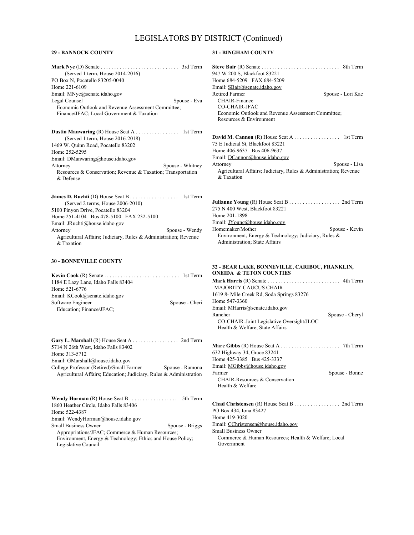#### **29 - BANNOCK COUNTY**

| (Served 1 term, House 2014-2016)                                 |
|------------------------------------------------------------------|
| PO Box N, Pocatello 83205-0040                                   |
| Home 221-6109                                                    |
| Email: MNye@senate.idaho.gov                                     |
| Legal Counsel<br>Spouse - Eva                                    |
| Economic Outlook and Revenue Assessment Committee;               |
| Finance/JFAC; Local Government & Taxation                        |
| <b>Dustin Manwaring (R)</b> House Seat A 1st Term                |
| (Served 1 term, House 2016-2018)                                 |
| 1469 W. Quinn Road, Pocatello 83202                              |
| Home 252-5295                                                    |
| Email: DManwaring@house.idaho.gov                                |
| Spouse - Whitney<br>Attorney                                     |
| Resources & Conservation; Revenue & Taxation; Transportation     |
| $\&$ Defense                                                     |
|                                                                  |
|                                                                  |
| (Served 2 terms, House 2006-2010)                                |
| 5100 Pinyon Drive, Pocatello 83204                               |
| Home 251-4104 Bus 478-5100 FAX 232-5100                          |
| Email: JRuchti@house.idaho.gov                                   |
|                                                                  |
| Attorney<br>Spouse - Wendy                                       |
| Agricultural Affairs; Judiciary, Rules & Administration; Revenue |
| & Taxation                                                       |
|                                                                  |
| <b>30 - BONNEVILLE COUNTY</b>                                    |
|                                                                  |
| 1184 E Lazy Lane, Idaho Falls 83404                              |
| Home 521-6776                                                    |
| Email: KCook@senate.idaho.gov                                    |
| Software Engineer<br>Spouse - Cheri                              |

| Gary L. Marshall $(R)$ House Seat A 2nd Term                       |                 |
|--------------------------------------------------------------------|-----------------|
| 5714 N 26th West, Idaho Falls 83402                                |                 |
| Home 313-5712                                                      |                 |
| Email: GMarshall@house.idaho.gov                                   |                 |
| College Professor (Retired)/Small Farmer                           | Spouse - Ramona |
| Agricultural Affairs: Education: Judiciary, Rules & Administration |                 |
|                                                                    |                 |
|                                                                    |                 |
|                                                                    |                 |

| 1860 Heather Circle, Idaho Falls 83406                     |                 |
|------------------------------------------------------------|-----------------|
| Home 522-4387                                              |                 |
| Email: WendyHorman@house.idaho.gov                         |                 |
| Small Business Owner                                       | Spouse - Briggs |
| Appropriations/JFAC; Commerce & Human Resources;           |                 |
| Environment, Energy & Technology; Ethics and House Policy; |                 |
| Legislative Council                                        |                 |

#### **31 - BINGHAM COUNTY**

| 947 W 200 S, Blackfoot 83221                                     |                   |
|------------------------------------------------------------------|-------------------|
| Home 684-5209 FAX 684-5209                                       |                   |
| Email: SBair@senate.idaho.gov                                    |                   |
| Retired Farmer                                                   | Spouse - Lori Kae |
| CHAIR-Finance                                                    |                   |
| CO-CHAIR-JFAC                                                    |                   |
| Economic Outlook and Revenue Assessment Committee;               |                   |
| Resources & Environment                                          |                   |
| 75 E Judicial St. Blackfoot 83221                                |                   |
| Home 406-9637 Bus 406-9637                                       |                   |
| Email: DCannon@house.idaho.gov                                   |                   |
| Attorney                                                         | Spouse - Lisa     |
| Agricultural Affairs; Judiciary, Rules & Administration; Revenue |                   |
| & Taxation                                                       |                   |
|                                                                  |                   |
|                                                                  |                   |
|                                                                  |                   |

| 275 N 400 West, Blackfoot 83221                                                       |                |
|---------------------------------------------------------------------------------------|----------------|
| Home 201-1898                                                                         |                |
| Email: JYoung@house.idaho.gov                                                         |                |
| Homemaker/Mother                                                                      | Spouse - Kevin |
| Environment, Energy & Technology; Judiciary, Rules &<br>Administration; State Affairs |                |

#### **32 - BEAR LAKE, BONNEVILLE, CARIBOU, FRANKLIN, ONEIDA & TETON COUNTIES**

| <b>MAJORITY CAUCUS CHAIR</b>              |                 |
|-------------------------------------------|-----------------|
| 1619 8- Mile Creek Rd, Soda Springs 83276 |                 |
| Home 547-3360                             |                 |
| Email: MHarris@senate.idaho.gov           |                 |
| Rancher                                   | Spouse - Cheryl |
| CO-CHAIR-Joint Legislative Oversight/JLOC |                 |
| Health & Welfare; State Affairs           |                 |
|                                           |                 |
|                                           |                 |
| 632 Highway 34, Grace 83241               |                 |
| Home 425-3385 Bus 425-3337                |                 |
| Email: MGibbs@house.idaho.gov             |                 |
| Farmer                                    | Spouse - Bonne  |
| CHAIR-Resources & Conservation            |                 |
| Health & Welfare                          |                 |
|                                           |                 |
|                                           |                 |

**Chad Christensen** (R) House Seat B . . . . . . . . . . . . . . . . . . . . . 2nd Term PO Box 434, Iona 83427 Home 419-3020 Email: CChristensen@house.idaho.gov Commerce & Human Resources; Health & Welfare; Local Government Small Business Owner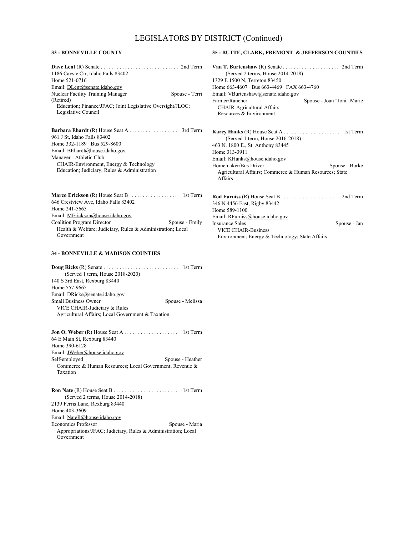#### **33 - BONNEVILLE COUNTY**

| 1186 Caysie Cir, Idaho Falls 83402                         |                |
|------------------------------------------------------------|----------------|
| Home 521-0716                                              |                |
| Email: DLent@senate.idaho.gov                              |                |
| Nuclear Facility Training Manager                          | Spouse - Terri |
| (Retired)                                                  |                |
| Education; Finance/JFAC; Joint Legislative Oversight/JLOC; |                |
| Legislative Council                                        |                |
|                                                            |                |
|                                                            |                |

961 J St, Idaho Falls 83402 Home 332-1189 Bus 529-8600 Email: BEhardt@house.idaho.gov CHAIR-Environment, Energy & Technology Education; Judiciary, Rules & Administration Manager - Athletic Club

**Marco Erickson** (R) House Seat B . . . . . . . . . . . . . . . . . . . . . . 1st Term 646 Crestview Ave, Idaho Falls 83402 Home 241-5665 Email: MErickson@house.idaho.gov Coalition Program Director Spouse - Emily Health & Welfare; Judiciary, Rules & Administration; Local Government

#### **34 - BONNEVILLE & MADISON COUNTIES**

| (Served 1 term, House 2018-2020)                  |                  |
|---------------------------------------------------|------------------|
| 140 S 3rd East, Rexburg 83440                     |                  |
| Home 557-9665                                     |                  |
| Email: DRicks@senate.idaho.gov                    |                  |
| <b>Small Business Owner</b>                       | Spouse - Melissa |
| VICE CHAIR-Judiciary & Rules                      |                  |
| Agricultural Affairs; Local Government & Taxation |                  |

**Jon O. Weber** (R) House Seat A . . . . . . . . . . . . . . . . . . . . . . . . 1st Term 64 E Main St, Rexburg 83440 Home 390-6128 Email: JWeber@house.idaho.gov Self-employed Spouse - Heather Commerce & Human Resources; Local Government; Revenue & Taxation

**Ron Nate** (R) House Seat B . . . . . . . . . . . . . . . . . . . . . . . . . . . . 1st Term 2139 Ferris Lane, Rexburg 83440 Home 403-3609 Email: NateR@house.idaho.gov Economics Professor Spouse - Maria Appropriations/JFAC; Judiciary, Rules & Administration; Local (Served 2 terms, House 2014-2018)

Government

#### **35 - BUTTE, CLARK, FREMONT & JEFFERSON COUNTIES**

**Van T. Burtenshaw** (R) Senate . . . . . . . . . . . . . . . . . . . . . . . . . 2nd Term 1329 E 1500 N, Terreton 83450 Home 663-4607 Bus 663-4469 FAX 663-4760 Email: VBurtenshaw@senate.idaho.gov Spouse - Joan "Joni" Marie CHAIR-Agricultural Affairs Resources & Environment (Served 2 terms, House 2014-2018) **Karey Hanks** (R) House Seat A . . . . . . . . . . . . . . . . . . . . . . . . 1st Term 463 N. 1800 E., St. Anthony 83445 Home 313-3911 Email: KHanks@house.idaho.gov Homemaker/Bus Driver Spouse - Burke Agricultural Affairs; Commerce & Human Resources; State Affairs (Served 1 term, House 2016-2018)

**Rod Furniss** (R) House Seat B . . . . . . . . . . . . . . . . . . . . . . . . . . 2nd Term 346 N 4456 East, Rigby 83442 Home 589-1100 Email: RFurniss@house.idaho.gov Insurance Sales Spouse - Jan VICE CHAIR-Business Environment, Energy & Technology; State Affairs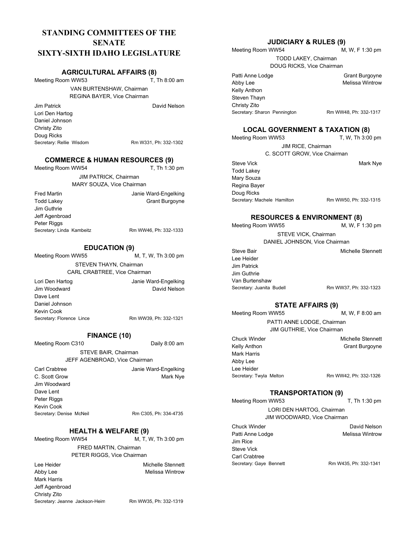# **STANDING COMMITTEES OF THE SENATE SIXTY-SIXTH IDAHO LEGISLATURE**

#### **AGRICULTURAL AFFAIRS (8)**

Meeting Room WW53

T, Th 8:00 am

VAN BURTENSHAW, Chairman REGINA BAYER, Vice Chairman

Jim Patrick Lori Den Hartog Daniel Johnson Christy Zito Doug Ricks Secretary: Rellie Wisdom Rm W331, Ph: 332-1302

David Nelson

## **COMMERCE & HUMAN RESOURCES (9)**

Meeting Room WW54 T, Th 1:30 pm JIM PATRICK, Chairman MARY SOUZA, Vice Chairman Fred Martin Todd Lakey Jim Guthrie Jeff Agenbroad Peter Riggs Janie Ward-Engelking Grant Burgoyne Secretary: Linda Kambeitz Rm WW46, Ph: 332-1333

#### **EDUCATION (9)**

Meeting Room WW55 M, T, W, Th 3:00 pm

> STEVEN THAYN, Chairman CARL CRABTREE, Vice Chairman

Lori Den Hartog Jim Woodward Dave Lent Daniel Johnson Kevin Cook Janie Ward-Engelking David Nelson Secretary: Florence Lince Rm WW39, Ph: 332-1321

#### **FINANCE (10)**

Meeting Room C310

Daily 8:00 am

Mark Nye

STEVE BAIR, Chairman JEFF AGENBROAD, Vice Chairman

Carl Crabtree C. Scott Grow Jim Woodward Dave Lent Peter Riggs Kevin Cook Secretary: Denise McNeil Rm C305, Ph: 334-4735

Janie Ward-Engelking

#### **HEALTH & WELFARE (9)**

Meeting Room WW54

M, T, W, Th 3:00 pm FRED MARTIN, Chairman PETER RIGGS, Vice Chairman

Lee Heider Abby Lee Mark Harris Jeff Agenbroad Christy Zito Michelle Stennett Melissa Wintrow Secretary: Jeanne Jackson-Heim Rm WW35, Ph: 332-1319

### **JUDICIARY & RULES (9)**

Meeting Room WW54 M, W, F 1:30 pm TODD LAKEY, Chairman DOUG RICKS, Vice Chairman

Patti Anne Lodge Abby Lee Kelly Anthon Steven Thayn Christy Zito Secretary: Sharon Pennington Rm WW48, Ph: 332-1317

Grant Burgoyne Melissa Wintrow

#### **LOCAL GOVERNMENT & TAXATION (8)**

| Meeting Room WW53            | T, W, Th 3:00 pm      |
|------------------------------|-----------------------|
| JIM RICE, Chairman           |                       |
| C. SCOTT GROW, Vice Chairman |                       |
| Steve Vick                   | Mark Nye              |
| <b>Todd Lakey</b>            |                       |
| Mary Souza                   |                       |
| Regina Bayer                 |                       |
| Doug Ricks                   |                       |
| Secretary: Machele Hamilton  | Rm WW50, Ph: 332-1315 |
|                              |                       |

#### **RESOURCES & ENVIRONMENT (8)**

Meeting Room WW55 M, W, F 1:30 pm STEVE VICK, Chairman DANIEL JOHNSON, Vice Chairman Steve Bair Lee Heider Jim Patrick Jim Guthrie Van Burtenshaw Michelle Stennett Secretary: Juanita Budell Rm WW37, Ph: 332-1323

#### **STATE AFFAIRS (9)**

Meeting Room WW55 M, W, F 8:00 am PATTI ANNE LODGE, Chairman JIM GUTHRIE, Vice Chairman Chuck Winder Kelly Anthon Mark Harris Michelle Stennett Grant Burgoyne

Abby Lee Lee Heider Secretary: Twyla Melton Rm WW42, Ph: 332-1326

#### **TRANSPORTATION (9)**

Meeting Room WW53 T, Th 1:30 pm LORI DEN HARTOG, Chairman JIM WOODWARD, Vice Chairman Chuck Winder Patti Anne Lodge Jim Rice Steve Vick Carl Crabtree David Nelson Melissa Wintrow Secretary: Gaye Bennett Rm W435, Ph: 332-1341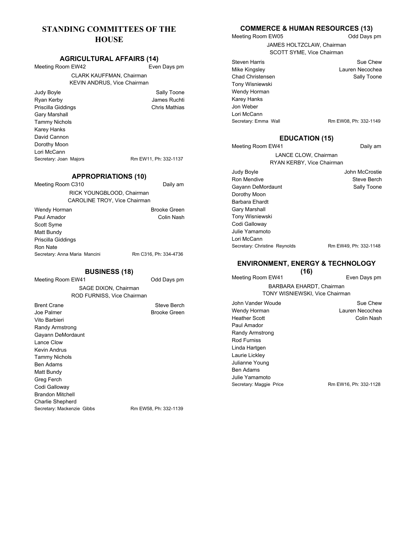# **STANDING COMMITTEES OF THE HOUSE**

#### **AGRICULTURAL AFFAIRS (14)**

Meeting Room EW42

Even Days pm CLARK KAUFFMAN, Chairman KEVIN ANDRUS, Vice Chairman

Judy Boyle Ryan Kerby Priscilla Giddings Gary Marshall Tammy Nichols Karey Hanks David Cannon Dorothy Moon Lori McCann Secretary: Joan Majors Rm EW11, Ph: 332-1137

Sally Toone James Ruchti Chris Mathias

#### **APPROPRIATIONS (10)**

| Meeting Room C310                                         | Daily am              |
|-----------------------------------------------------------|-----------------------|
| RICK YOUNGBLOOD, Chairman<br>CAROLINE TROY, Vice Chairman |                       |
| Wendy Horman                                              | <b>Brooke Green</b>   |
| Paul Amador                                               | Colin Nash            |
| Scott Syme                                                |                       |
| Matt Bundy                                                |                       |
| Priscilla Giddings                                        |                       |
| Ron Nate                                                  |                       |
| Secretary: Anna Maria Mancini                             | Rm C316, Ph: 334-4736 |

#### **BUSINESS (18)**

Meeting Room EW41 Odd Days pm SAGE DIXON, Chairman ROD FURNISS, Vice Chairman

Brent Crane Joe Palmer Vito Barbieri Randy Armstrong Gayann DeMordaunt Lance Clow Kevin Andrus Tammy Nichols Ben Adams Matt Bundy Greg Ferch Codi Galloway Brandon Mitchell Charlie Shepherd Steve Berch Brooke Green Secretary: Mackenzie Gibbs Rm EW58, Ph: 332-1139

#### **COMMERCE & HUMAN RESOURCES (13)** Odd Days pm

Meeting Room EW05

JAMES HOLTZCLAW, Chairman SCOTT SYME, Vice Chairman

Steven Harris Mike Kingsley Chad Christensen Tony Wisniewski Wendy Horman Karey Hanks Jon Weber Lori McCann

Secretary: Emma Wall Rm EW08, Ph: 332-1149

Sue Chew Lauren Necochea Sally Toone

Daily am

## **EDUCATION (15)**

Meeting Room EW41 LANCE CLOW, Chairman RYAN KERBY, Vice Chairman

Judy Boyle Ron Mendive Gayann DeMordaunt Dorothy Moon Barbara Ehardt Gary Marshall Tony Wisniewski Codi Galloway Julie Yamamoto Lori McCann John McCrostie Steve Berch Sally Toone Secretary: Christine Reynolds Rm EW49, Ph: 332-1148

## **ENVIRONMENT, ENERGY & TECHNOLOGY**

Meeting Room EW41 **(16)** Even Days pm BARBARA EHARDT, Chairman TONY WISNIEWSKI, Vice Chairman John Vander Woude Wendy Horman Heather Scott Paul Amador Randy Armstrong Rod Furniss Linda Hartgen Laurie Lickley Julianne Young Ben Adams Julie Yamamoto Sue Chew Lauren Necochea Colin Nash Secretary: Maggie Price Rm EW16, Ph: 332-1128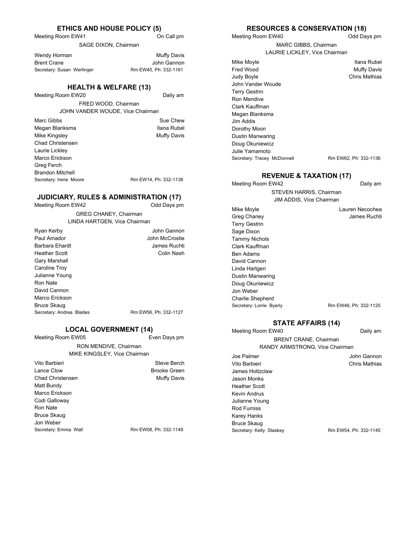#### **ETHICS AND HOUSE POLICY (5)**

Meeting Room EW41

SAGE DIXON, Chairman

| Wendy Horman               | Muffy Davis           |
|----------------------------|-----------------------|
| Brent Crane                | John Gannon           |
| Secretary: Susan Werlinger | Rm EW45, Ph: 332-1161 |

#### **HEALTH & WELFARE (13)**

Meeting Room EW20

Daily am

On Call pm

FRED WOOD, Chairman JOHN VANDER WOUDE, Vice Chairman

Marc Gibbs Megan Blanksma Mike Kingsley Chad Christensen Laurie Lickley Marco Erickson Greg Ferch Brandon Mitchell Sue Chew Ilana Rubel Muffy Davis Secretary: Irene Moore Rm EW14, Ph: 332-1138

#### **JUDICIARY, RULES & ADMINISTRATION (17)**

Meeting Room EW42 Odd Days pm GREG CHANEY, Chairman LINDA HARTGEN, Vice Chairman Ryan Kerby

| Ryan Kerby               | John Gannon           |
|--------------------------|-----------------------|
| Paul Amador              | John McCrostie        |
| Barbara Ehardt           | James Ruchti          |
| <b>Heather Scott</b>     | Colin Nash            |
| Gary Marshall            |                       |
| Caroline Troy            |                       |
| Julianne Young           |                       |
| Ron Nate                 |                       |
| David Cannon             |                       |
| Marco Erickson           |                       |
| <b>Bruce Skaug</b>       |                       |
| Secretary: Andrea Blades | Rm EW56, Ph: 332-1127 |
|                          |                       |

#### **LOCAL GOVERNMENT (14)**

Meeting Room EW05

Even Days pm

RON MENDIVE, Chairman MIKE KINGSLEY, Vice Chairman

| Vito Barbieri        | Steve Berch           |
|----------------------|-----------------------|
| Lance Clow           | <b>Brooke Green</b>   |
| Chad Christensen     | Muffy Davis           |
| Matt Bundy           |                       |
| Marco Erickson       |                       |
| Codi Galloway        |                       |
| Ron Nate             |                       |
| Bruce Skaug          |                       |
| Jon Weber            |                       |
| Secretary: Emma Wall | Rm EW08, Ph: 332-1149 |
|                      |                       |

#### **RESOURCES & CONSERVATION (18)**

Meeting Room EW40

Meeting Room EW42

Mike Moyle Greg Chaney Terry Gestrin Sage Dixon Tammy Nichols Clark Kauffman Ben Adams David Cannon Linda Hartgen Dustin Manwaring Doug Okuniewicz Jon Weber Charlie Shepherd

Odd Days pm

MARC GIBBS, Chairman LAURIE LICKLEY, Vice Chairman

Mike Moyle Fred Wood Judy Boyle John Vander Woude Terry Gestrin Ron Mendive Clark Kauffman Megan Blanksma Jim Addis Dorothy Moon Dustin Manwaring Doug Okuniewicz Julie Yamamoto Ilana Rubel Muffy Davis Chris Mathias Secretary: Tracey McDonnell Rm EW62, Ph: 332-1136

#### **REVENUE & TAXATION (17)**

Daily am

STEVEN HARRIS, Chairman JIM ADDIS, Vice Chairman

> Lauren Necochea James Ruchti

# Secretary: Lorrie Byerly Rm EW46, Ph: 332-1125 **STATE AFFAIRS (14)**

Daily am

BRENT CRANE, Chairman RANDY ARMSTRONG, Vice Chairman

> John Gannon Chris Mathias

Joe Palmer Vito Barbieri James Holtzclaw Jason Monks Heather Scott Kevin Andrus Julianne Young Rod Furniss Karey Hanks Bruce Skaug

Meeting Room EW40

Secretary: Kelly Staskey Rm EW54, Ph: 332-1145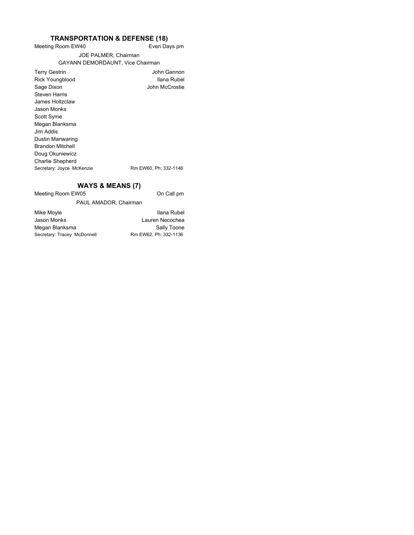#### Meeting Room EW40 **TRANSPORTATION & DEFENSE (18)**

Even Days pm

John Gannon Ilana Rubel John McCrostie

#### JOE PALMER, Chairman GAYANN DEMORDAUNT, Vice Chairman

| <b>Terry Gestrin</b>      |   |
|---------------------------|---|
| Rick Youngblood           |   |
| Sage Dixon                |   |
| Steven Harris             |   |
| James Holtzclaw           |   |
| Jason Monks               |   |
| Scott Syme                |   |
| Megan Blanksma            |   |
| Jim Addis.                |   |
| Dustin Manwaring          |   |
| <b>Brandon Mitchell</b>   |   |
| Doug Okuniewicz           |   |
| <b>Charlie Shepherd</b>   |   |
| Secretary: Joyce McKenzie | R |
|                           |   |

m EW60, Ph: 332-1146

#### **WAYS & MEANS (7)**

Meeting Room EW05

On Call pm

PAUL AMADOR, Chairman

Mike Moyle Jason Monks Megan Blanksma Secretary: Tracey McDonnell

Ilana Rubel Lauren Necochea Sally Toone<br>Rm EW62, Ph: 332-1136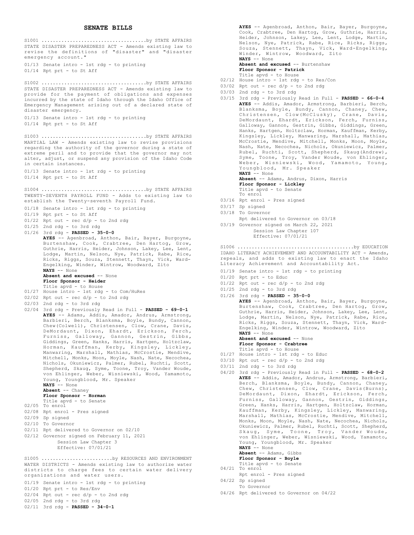#### **SENATE BILLS**

STATE DISASTER PREPAREDNESS ACT - Amends existing law to revise the definitions of "disaster" and "disaster emergency account." 01/13 Senate intro - 1st rdg - to printing 01/14 Rpt prt - to St Aff S1001 .....................................by STATE AFFAIRS STATE DISASTER PREPAREDNESS ACT - Amends existing law to provide for the payment of obligations and expenses incurred by the state of Idaho through the Idaho Office of Emergency Management arising out of a declared state of disaster emergency. 01/13 Senate intro - 1st rdg - to printing 01/14 Rpt prt - to St Aff S1002 .....................................by STATE AFFAIRS MARTIAL LAW - Amends existing law to revise provisions regarding the authority of the governor during a state of extreme peril and to provide that the governor may not alter, adjust, or suspend any provision of the Idaho Code in certain instances. 01/13 Senate intro - 1st rdg - to printing 01/14 Rpt prt - to St Aff S1003 .....................................by STATE AFFAIRS TWENTY-SEVENTH PAYROLL FUND - Adds to existing law to establish the Twenty-seventh Payroll Fund. 01/18 Senate intro - 1st rdg - to printing 01/19 Rpt prt - to St Aff 01/22 Rpt out - rec d/p - to 2nd rdg 01/25 2nd rdg - to 3rd rdg 01/26 3rd rdg - **PASSED - 35-0-0 AYES** -- Agenbroad, Anthon, Bair, Bayer, Burgoyne, Burtenshaw, Cook, Crabtree, Den Hartog, Grow, Guthrie, Harris, Heider, Johnson, Lakey, Lee, Lent, Lodge, Martin, Nelson, Nye, Patrick, Rabe, Rice, Ricks, Riggs, Souza, Stennett, Thayn, Vick, Ward-Engelking, Winder, Wintrow, Woodward, Zito **NAYS** -- None **Absent and excused** -- None **Floor Sponsor - Heider** Title apvd - to House 01/27 House intro - 1st rdg - to Com/HuRes  $02/02$  Rpt out - rec  $d/p$  - to 2nd rdg 02/03 2nd rdg - to 3rd rdg 02/04 3rd rdg - Previously Read in Full - **PASSED - 69-0-1 AYES** -- Adams, Addis, Amador, Andrus, Armstrong, Barbieri, Berch, Blanksma, Boyle, Bundy, Cannon, Chew(Colwell), Christensen, Clow, Crane, Davis, DeMordaunt, Dixon, Ehardt, Erickson, Ferch, Furniss, Galloway, Gannon, Gestrin, Gibbs, Giddings, Green, Hanks, Harris, Hartgen, Holtzclaw, Horman, Kauffman, Kerby, Kingsley, Lickley, Manwaring, Marshall, Mathias, McCrostie, Mendive, Mitchell, Monks, Moon, Moyle, Nash, Nate, Necochea, Nichols, Okuniewicz, Palmer, Rubel, Ruchti, Scott, Shepherd, Skaug, Syme, Toone, Troy, Vander Woude, von Ehlinger, Weber, Wisniewski, Wood, Yamamoto, Young, Youngblood, Mr. Speaker **NAYS** -- None **Absent** -- Chaney **Floor Sponsor - Horman** Title apvd - to Senate 02/05 To enrol 02/08 Rpt enrol - Pres signed 02/09 Sp signed 02/10 To Governor 02/11 Rpt delivered to Governor on 02/10 02/12 Governor signed on February 11, 2021 Session Law Chapter 3 Effective: 07/01/21 S1004 .....................................by STATE AFFAIRS WATER DISTRICTS - Amends existing law to authorize water districts to charge fees to certain water delivery organizations and water users. S1005 .........................by RESOURCES AND ENVIRONMENT

- 01/19 Senate intro 1st rdg to printing
- 01/20 Rpt prt to Res/Env
- $02/04$  Rpt out rec  $d/p$  to 2nd rdg
- 02/05 2nd rdg to 3rd rdg
- 02/11 3rd rdg **PASSED 34-0-1**

**AYES** -- Agenbroad, Anthon, Bair, Bayer, Burgoyne, Cook, Crabtree, Den Hartog, Grow, Guthrie, Harris, Heider, Johnson, Lakey, Lee, Lent, Lodge, Martin, Nelson, Nye, Patrick, Rabe, Rice, Ricks, Riggs, Souza, Stennett, Thayn, Vick, Ward-Engelking, Winder, Wintrow, Woodward, Zito **NAYS** -- None

**Absent and excused** -- Burtenshaw **Floor Sponsor - Patrick**

- Title apvd to House
- 02/12 House intro 1st rdg to Res/Con
- 03/02 Rpt out rec  $d/p$  to 2nd rdg
- 03/03 2nd rdg to 3rd rdg
- 03/15 3rd rdg Previously Read in Full **PASSED 66-0-4 AYES** -- Addis, Amador, Armstrong, Barbieri, Berch, Blanksma, Boyle, Bundy, Cannon, Chaney, Chew, Christensen, Clow(McClusky), Crane, Davis, DeMordaunt, Ehardt, Erickson, Ferch, Furniss, Galloway, Gannon, Gestrin, Gibbs, Giddings, Green, Hanks, Hartgen, Holtzclaw, Horman, Kauffman, Kerby, Kingsley, Lickley, Manwaring, Marshall, Mathias, McCrostie, Mendive, Mitchell, Monks, Moon, Moyle, Nash, Nate, Necochea, Nichols, Okuniewicz, Palmer, Rubel, Ruchti, Scott, Shepherd, Skaug(Andrew), Syme, Toone, Troy, Vander Woude, von Ehlinger, Weber, Wisniewski, Wood, Yamamoto, Young, Youngblood, Mr. Speaker **NAYS** -- None

**Absent** -- Adams, Andrus, Dixon, Harris **Floor Sponsor - Lickley** Title apvd - to Senate

- To enrol
- 03/16 Rpt enrol Pres signed
- 
- 
- 

IDAHO LITERACY ACHIEVEMENT AND ACCOUNTABILITY ACT - Amends, repeals, and adds to existing law to enact the Idaho Literacy Achievement and Accountability Act. S1006 .........................................by EDUCATION

- 01/19 Senate intro 1st rdg to printing
- 01/20 Rpt prt to Educ
- $01/22$  Rpt out rec  $d/p$  to 2nd rdg
- $01/25$  2nd rdg to 3rd rdg
- 01/26 3rd rdg **PASSED 35-0-0 AYES** -- Agenbroad, Anthon, Bair, Bayer, Burgoyne, Burtenshaw, Cook, Crabtree, Den Hartog, Grow,

Guthrie, Harris, Heider, Johnson, Lakey, Lee, Lent, Lodge, Martin, Nelson, Nye, Patrick, Rabe, Rice, Ricks, Riggs, Souza, Stennett, Thayn, Vick, Ward-Engelking, Winder, Wintrow, Woodward, Zito **NAYS** -- None

**Absent and excused** -- None

- **Floor Sponsor Crabtree** Title apvd - to House
- 01/27 House intro 1st rdg to Educ
- $03/10$  Rpt out rec d/p to 2nd rdg
- $03/11$  2nd rdg to 3rd rdg
- 04/20 3rd rdg Previously Read in Full **PASSED 68-0-2 AYES** -- Addis, Amador, Andrus, Armstrong, Barbieri, Berch, Blanksma, Boyle, Bundy, Cannon, Chaney, Chew, Christensen, Clow, Crane, Davis(Burns), DeMordaunt, Dixon, Ehardt, Erickson, Ferch, Furniss, Galloway, Gannon, Gestrin, Giddings, Green, Hanks, Harris, Hartgen, Holtzclaw, Horman, Kauffman, Kerby, Kingsley, Lickley, Manwaring, Marshall, Mathias, McCrostie, Mendive, Mitchell, Monks, Moon, Moyle, Nash, Nate, Necochea, Nichols, Okuniewicz, Palmer, Rubel, Ruchti, Scott, Shepherd, Skaug, Syme, Toone, Troy, Vander Woude, von Ehlinger, Weber, Wisniewski, Wood, Yamamoto, Young, Youngblood, Mr. Speaker **NAYS** -- None **Absent** -- Adams, Gibbs

**Floor Sponsor - Boyle** Title apvd - to Senate

- 04/21 To enrol
- Rpt enrol Pres signed 04/22 Sp signed
- To Governor
- 04/26 Rpt delivered to Governor on 04/22

03/17 Sp signed 03/18 To Governor

- Rpt delivered to Governor on 03/18
- 03/19 Governor signed on March 22, 2021 Session Law Chapter 107 Effective: 07/01/21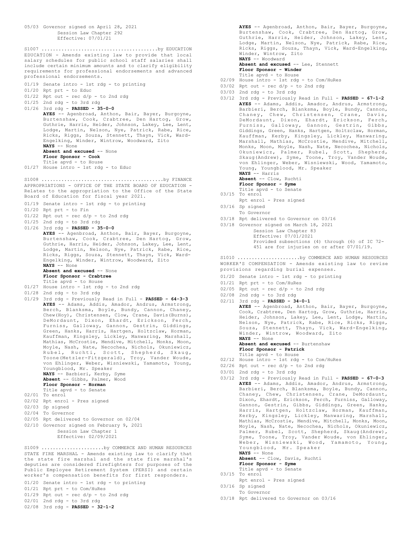05/03 Governor signed on April 28, 2021 Session Law Chapter 292 Effective: 07/01/21 EDUCATION - Amends existing law to provide that local salary schedules for public school staff salaries shall include certain minimum amounts and to clarify eligibility requirements for professional endorsements and advanced professional endorsements. 01/19 Senate intro - 1st rdg - to printing 01/20 Rpt prt - to Educ 01/22 Rpt out - rec d/p - to 2nd rdg  $01/25$  2nd rdg - to 3rd rdg 01/26 3rd rdg - **PASSED - 35-0-0 AYES** -- Agenbroad, Anthon, Bair, Bayer, Burgoyne, Burtenshaw, Cook, Crabtree, Den Hartog, Grow, Guthrie, Harris, Heider, Johnson, Lakey, Lee, Lent, Lodge, Martin, Nelson, Nye, Patrick, Rabe, Rice, Ricks, Riggs, Souza, Stennett, Thayn, Vick, Ward-Engelking, Winder, Wintrow, Woodward, Zito **NAYS** -- None **Absent and excused** -- None **Floor Sponsor - Cook** Title apvd - to House 01/27 House intro - 1st rdg - to Educ S1007 .........................................by EDUCATION APPROPRIATIONS - OFFICE OF THE STATE BOARD OF EDUCATION - Relates to the appropriation to the Office of the State Board of Education for fiscal year 2021. 01/19 Senate intro - 1st rdg - to printing 01/20 Rpt prt - to Fin 01/22 Rpt out - rec d/p - to 2nd rdg 01/25 2nd rdg - to 3rd rdg 01/26 3rd rdg - **PASSED - 35-0-0 AYES** -- Agenbroad, Anthon, Bair, Bayer, Burgoyne, Burtenshaw, Cook, Crabtree, Den Hartog, Grow, Guthrie, Harris, Heider, Johnson, Lakey, Lee, Lent, Lodge, Martin, Nelson, Nye, Patrick, Rabe, Rice, Ricks, Riggs, Souza, Stennett, Thayn, Vick, Ward-Engelking, Winder, Wintrow, Woodward, Zito **NAYS** -- None **Absent and excused** -- None **Floor Sponsor - Crabtree** Title apvd - to House 01/27 House intro - 1st rdg - to 2nd rdg 01/28 2nd rdg - to 3rd rdg 01/29 3rd rdg - Previously Read in Full - **PASSED - 64-3-3 AYES** -- Adams, Addis, Amador, Andrus, Armstrong, Berch, Blanksma, Boyle, Bundy, Cannon, Chaney, Chew(Hoy), Christensen, Clow, Crane, Davis(Burns), DeMordaunt, Dixon, Ehardt, Erickson, Ferch, Furniss, Galloway, Gannon, Gestrin, Giddings, Green, Hanks, Harris, Hartgen, Holtzclaw, Horman, Kauffman, Kingsley, Lickley, Manwaring, Marshall, Mathias, McCrostie, Mendive, Mitchell, Monks, Moon, Moyle, Nash, Nate, Necochea, Nichols, Okuniewicz, Rubel, Ruchti, Scott, Shepherd, Skaug, Toone(Metzler-Fitzgerald), Troy, Vander Woude, von Ehlinger, Weber, Wisniewski, Yamamoto, Young, Youngblood, Mr. Speaker **NAYS** -- Barbieri, Kerby, Syme **Absent** -- Gibbs, Palmer, Wood **Floor Sponsor - Horman** Title apvd - to Senate 02/01 To enrol 02/02 Rpt enrol - Pres signed 02/03 Sp signed 02/04 To Governor 02/05 Rpt delivered to Governor on 02/04 02/10 Governor signed on February 9, 2021 Session Law Chapter 1 Effective: 02/09/2021 S1008 ...........................................by FINANCE STATE FIRE MARSHAL - Amends existing law to clarify that the state fire marshal and the state fire marshal's deputies are considered firefighters for purposes of the Public Employee Retirement System (PERSI) and certain worker's compensation benefits for first responders. S1009 ......................by COMMERCE AND HUMAN RESOURCES

01/20 Senate intro - 1st rdg - to printing

- 01/21 Rpt prt to Com/HuRes  $01/29$  Rpt out - rec  $d/p$  - to 2nd rdg
- 02/01 2nd rdg to 3rd rdg

02/08 3rd rdg - **PASSED - 32-1-2**

**AYES** -- Agenbroad, Anthon, Bair, Bayer, Burgoyne, Burtenshaw, Cook, Crabtree, Den Hartog, Grow, Guthrie, Harris, Heider, Johnson, Lakey, Lent, Lodge, Martin, Nelson, Nye, Patrick, Rabe, Ricks, Riggs, Souza, Thayn, Vick, Ward-Engelking, Winder, Wintrow, Zito **NAYS** -- Woodward

**Absent and excused** -- Lee, Stennett **Floor Sponsor - Winder**

- Title apvd to House
- 02/09 House intro 1st rdg to Com/HuRes
- 03/02 Rpt out rec  $d/p$  to 2nd rdg
- 03/03 2nd rdg to 3rd rdg
- 03/12 3rd rdg Previously Read in Full **PASSED 67-1-2 AYES** -- Adams, Addis, Amador, Andrus, Armstrong, Barbieri, Berch, Blanksma, Boyle, Bundy, Cannon, Chaney, Chew, Christensen, Crane, Davis, DeMordaunt, Dixon, Ehardt, Erickson, Ferch, Furniss, Galloway, Gannon, Gestrin, Gibbs, Giddings, Green, Hanks, Hartgen, Holtzclaw, Horman, Kauffman, Kerby, Kingsley, Lickley, Manwaring, Marshall, Mathias, McCrostie, Mendive, Mitchell, Monks, Moon, Moyle, Nash, Nate, Necochea, Nichols, Okuniewicz, Palmer, Rubel, Scott, Shepherd, Skaug(Andrew), Syme, Toone, Troy, Vander Woude, von Ehlinger, Weber, Wisniewski, Wood, Yamamoto, Young, Youngblood, Mr. Speaker **NAYS** -- Harris
	- **Absent** -- Clow, Ruchti
	- **Floor Sponsor Syme**
- Title apvd to Senate 03/15 To enrol
- Rpt enrol Pres signed
- 03/16 Sp signed
- To Governor
- 
- 03/18 Governor signed on March 18, 2021
	-

Provided subsections (4) through (6) of IC 72-

#### WORKER'S COMPENSATION - Amends existing law to revise provisions regarding burial expenses.

- 01/20 Senate intro 1st rdg to printing
- 01/21 Rpt prt to Com/HuRes
- $02/05$  Rpt out rec  $d/p$  to 2nd rdg
- 02/08 2nd rdg to 3rd rdg
- 02/11 3rd rdg **PASSED 34-0-1**

**AYES** -- Agenbroad, Anthon, Bair, Bayer, Burgoyne, Cook, Crabtree, Den Hartog, Grow, Guthrie, Harris, Heider, Johnson, Lakey, Lee, Lent, Lodge, Martin, Nelson, Nye, Patrick, Rabe, Rice, Ricks, Riggs, Souza, Stennett, Thayn, Vick, Ward-Engelking, Winder, Wintrow, Woodward, Zito **NAYS** -- None

**Absent and excused** -- Burtenshaw

- **Floor Sponsor Patrick**
- Title apvd to House 02/12 House intro - 1st rdg - to Com/HuRes
- $02/26$  Rpt out rec  $d/p$  to 2nd rdg
- 
- 03/01 2nd rdg to 3rd rdg
- 03/12 3rd rdg Previously Read in Full **PASSED 67-0-3 AYES** -- Adams, Addis, Amador, Andrus, Armstrong, Barbieri, Berch, Blanksma, Boyle, Bundy, Cannon, Chaney, Chew, Christensen, Crane, DeMordaunt, Dixon, Ehardt, Erickson, Ferch, Furniss, Galloway, Gannon, Gestrin, Gibbs, Giddings, Green, Hanks, Harris, Hartgen, Holtzclaw, Horman, Kauffman, Kerby, Kingsley, Lickley, Manwaring, Marshall, Mathias, McCrostie, Mendive, Mitchell, Monks, Moon, Moyle, Nash, Nate, Necochea, Nichols, Okuniewicz, Palmer, Rubel, Scott, Shepherd, Skaug(Andrew), Syme, Toone, Troy, Vander Woude, von Ehlinger, Weber, Wisniewski, Wood, Yamamoto, Young, Youngblood, Mr. Speaker **NAYS** -- None

**Absent** -- Clow, Davis, Ruchti **Floor Sponsor - Syme**

- Title apvd to Senate 03/15 To enrol
- Rpt enrol Pres signed
- 03/16 Sp signed
	- To Governor
- 03/18 Rpt delivered to Governor on 03/16

- 03/18 Rpt delivered to Governor on 03/16
	- - Session Law Chapter 83

Effective: 07/01/2021

451 are for injuries on or after 07/01/19.

# S1010 ......................by COMMERCE AND HUMAN RESOURCES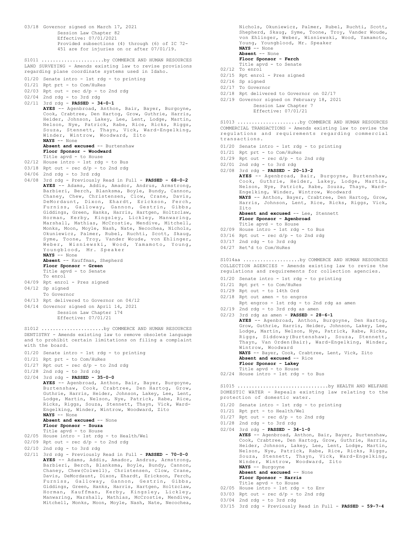03/18 Governor signed on March 17, 2021 Session Law Chapter 82 Effective: 07/01/2021 Provided subsections (4) through (6) of IC 72- 451 are for injuries on or after 07/01/19. LAND SURVEYING - Amends existing law to revise provisions regarding plane coordinate systems used in Idaho. 01/20 Senate intro - 1st rdg - to printing 01/21 Rpt prt - to Com/HuRes  $02/03$  Rpt out - rec  $d/p$  - to 2nd rdg 02/04 2nd rdg - to 3rd rdg 02/11 3rd rdg - **PASSED - 34-0-1 AYES** -- Agenbroad, Anthon, Bair, Bayer, Burgoyne, Cook, Crabtree, Den Hartog, Grow, Guthrie, Harris, Heider, Johnson, Lakey, Lee, Lent, Lodge, Martin, Nelson, Nye, Patrick, Rabe, Rice, Ricks, Riggs, Souza, Stennett, Thayn, Vick, Ward-Engelking, Winder, Wintrow, Woodward, Zito **NAYS** -- None Absent and excused -- Burtenshaw **Floor Sponsor - Woodward** Title apvd - to House 02/12 House intro - 1st rdg - to Bus  $03/18$  Rpt out - rec  $d/p$  - to 2nd rdg 04/06 2nd rdg - to 3rd rdg 04/08 3rd rdg - Previously Read in Full - **PASSED - 68-0-2 AYES** -- Adams, Addis, Amador, Andrus, Armstrong, Barbieri, Berch, Blanksma, Boyle, Bundy, Cannon, Chaney, Chew, Christensen, Clow, Crane, Davis, DeMordaunt, Dixon, Ehardt, Erickson, Ferch, Furniss, Galloway, Gannon, Gestrin, Gibbs, Giddings, Green, Hanks, Harris, Hartgen, Holtzclaw, Horman, Kerby, Kingsley, Lickley, Manwaring, Marshall, Mathias, McCrostie, Mendive, Mitchell, Monks, Moon, Moyle, Nash, Nate, Necochea, Nichols, Okuniewicz, Palmer, Rubel, Ruchti, Scott, Skaug, Syme, Toone, Troy, Vander Woude, von Ehlinger, Weber, Wisniewski, Wood, Yamamoto, Young, Youngblood, Mr. Speaker **NAYS** -- None **Absent** -- Kauffman, Shepherd **Floor Sponsor - Green** Title apvd - to Senate To enrol 04/09 Rpt enrol - Pres signed 04/12 Sp signed To Governor 04/13 Rpt delivered to Governor on 04/12 04/14 Governor signed on April 14, 2021 Session Law Chapter 174 Effective: 07/01/21 S1011 ............................by COMMERCE AND HUMAN RESOURCES DENTISTRY - Amends existing law to remove obsolete language and to prohibit certain limitations on filing a complaint with the board. 01/20 Senate intro - 1st rdg - to printing 01/21 Rpt prt - to Com/HuRes 01/27 Rpt out - rec d/p - to 2nd rdg 01/28 2nd rdg - to 3rd rdg 02/04 3rd rdg - **PASSED - 35-0-0 AYES** -- Agenbroad, Anthon, Bair, Bayer, Burgoyne, Burtenshaw, Cook, Crabtree, Den Hartog, Grow, Guthrie, Harris, Heider, Johnson, Lakey, Lee, Lent, Lodge, Martin, Nelson, Nye, Patrick, Rabe, Rice, Ricks, Riggs, Souza, Stennett, Thayn, Vick, Ward-Engelking, Winder, Wintrow, Woodward, Zito **NAYS** -- None **Absent and excused** -- None **Floor Sponsor - Souza** Title apvd - to House 02/05 House intro - 1st rdg - to Health/Wel 02/09 Rpt out - rec d/p - to 2nd rdg 02/10 2nd rdg - to 3rd rdg 02/11 3rd rdg - Previously Read in Full - **PASSED - 70-0-0 AYES** -- Adams, Addis, Amador, Andrus, Armstrong, Barbieri, Berch, Blanksma, Boyle, Bundy, Cannon, Chaney, Chew(Colwell), Christensen, Clow, Crane, Davis, DeMordaunt, Dixon, Ehardt, Erickson, Ferch, Furniss, Galloway, Gannon, Gestrin, Gibbs, Giddings, Green, Hanks, Harris, Hartgen, Holtzclaw, Horman, Kauffman, Kerby, Kingsley, Lickley, Manwaring, Marshall, Mathias, McCrostie, Mendive, Mitchell, Monks, Moon, Moyle, Nash, Nate, Necochea, S1012 ......................by COMMERCE AND HUMAN RESOURCES

Nichols, Okuniewicz, Palmer, Rubel, Ruchti, Scott, Shepherd, Skaug, Syme, Toone, Troy, Vander Woude, von Ehlinger, Weber, Wisniewski, Wood, Yamamoto, Young, Youngblood, Mr. Speaker **NAYS** -- None **Absent** -- None **Floor Sponsor - Ferch** Title apvd - to Senate 02/12 To enrol 02/15 Rpt enrol - Pres signed 02/16 Sp signed 02/17 To Governor 02/18 Rpt delivered to Governor on 02/17 02/19 Governor signed on February 18, 2021 Session Law Chapter 7 Effective: 07/01/21 COMMERCIAL TRANSACTIONS - Amends existing law to revise the regulations and requirements regarding commercial transactions. 01/20 Senate intro - 1st rdg - to printing 01/21 Rpt prt - to Com/HuRes 01/29 Rpt out - rec  $d/p$  - to 2nd rdg 02/01 2nd rdg - to 3rd rdg 02/08 3rd rdg - **PASSED - 20-13-2 AYES** -- Agenbroad, Bair, Burgoyne, Burtenshaw, Cook, Guthrie, Heider, Lakey, Lodge, Martin, Nelson, Nye, Patrick, Rabe, Souza, Thayn, Ward-Engelking, Winder, Wintrow, Woodward **NAYS** -- Anthon, Bayer, Crabtree, Den Hartog, Grow, Harris, Johnson, Lent, Rice, Ricks, Riggs, Vick, Zito **Absent and excused** -- Lee, Stennett **Floor Sponsor - Agenbroad** Title apvd - to House 02/09 House intro - 1st rdg - to Bus  $03/16$  Rpt out - rec  $d/p$  - to 2nd rdg 03/17 2nd rdg - to 3rd rdg 04/27 Ret'd to Com/HuRes S1013 ......................by COMMERCE AND HUMAN RESOURCES COLLECTION AGENCIES - Amends existing law to revise the regulations and requirements for collection agencies. 01/20 Senate intro - 1st rdg - to printing 01/21 Rpt prt - to Com/HuRes 01/29 Rpt out - to 14th Ord 02/18 Rpt out amen - to engros Rpt engros - 1st rdg - to 2nd rdg as amen 02/19 2nd rdg - to 3rd rdg as amen 02/23 3rd rdg as amen - **PASSED - 28-6-1 AYES** -- Agenbroad, Anthon, Burgoyne, Den Hartog, Grow, Guthrie, Harris, Heider, Johnson, Lakey, Lee, Lodge, Martin, Nelson, Nye, Patrick, Rabe, Ricks, Riggs, Siddoway(Burtenshaw), Souza, Stennett, Thayn, Van Orden(Bair), Ward-Engelking, Winder, Wintrow, Woodward **NAYS** -- Bayer, Cook, Crabtree, Lent, Vick, Zito **Absent and excused** -- Rice **Floor Sponsor - Lakey** Title apvd - to House 02/24 House intro - 1st rdg - to Bus S1014aa ....................by COMMERCE AND HUMAN RESOURCES DOMESTIC WATER - Repeals existing law relating to the protection of domestic water. 01/20 Senate intro - 1st rdg - to printing 01/21 Rpt prt - to Health/Wel  $01/27$  Rpt out - rec d/p - to 2nd rdg  $01/28$  2nd rdg - to 3rd rdg 02/04 3rd rdg - **PASSED - 34-1-0 AYES** -- Agenbroad, Anthon, Bair, Bayer, Burtenshaw, Cook, Crabtree, Den Hartog, Grow, Guthrie, Harris, Heider, Johnson, Lakey, Lee, Lent, Lodge, Martin, Nelson, Nye, Patrick, Rabe, Rice, Ricks, Riggs, Souza, Stennett, Thayn, Vick, Ward-Engelking, Winder, Wintrow, Woodward, Zito **NAYS** -- Burgoyne **Absent and excused** -- None **Floor Sponsor - Harris** Title apvd - to House 02/05 House intro - 1st rdg - to Env S1015 ................................by HEALTH AND WELFARE

03/03 Rpt out - rec  $d/p$  - to 2nd rdg

03/15 3rd rdg - Previously Read in Full - **PASSED - 59-7-4**

03/04 2nd rdg - to 3rd rdg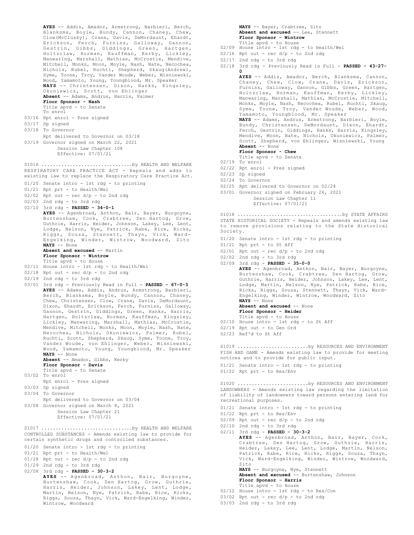```
AYES -- Addis, Amador, Armstrong, Barbieri, Berch,
       Blanksma, Boyle, Bundy, Cannon, Chaney, Chew,
       Clow(McClusky), Crane, Davis, DeMordaunt, Ehardt,
       Erickson, Ferch, Furniss, Galloway,
      Gestrin, Gibbs, Giddings, Green, Hartgen,
       Holtzclaw, Horman, Kauffman, Kerby, Lickley,
       Manwaring, Marshall, Mathias, McCrostie, Mendive,
      Mitchell, Monks, Moon, Moyle, Nash, Nate, Necochea,
       Nichols, Rubel, Ruchti, Shepherd, Skaug(Andrew),
       Syme, Toone, Troy, Vander Woude, Weber, Wisniewski,
       Wood, Yamamoto, Young, Youngblood, Mr. Speaker
      NAYS -- Christensen, Dixon, Hanks, Kingsley,
      Okuniewicz, Scott, von Ehlinger
       Absent -- Adams, Andrus, Harris, Palmer
       Floor Sponsor - Nash
       Title apvd - to Senate
      To enrol
03/16 Rpt enrol - Pres signed
03/17 Sp signed
03/18 To Governor
     Rpt delivered to Governor on 03/18
03/19 Governor signed on March 22, 2021
        Session Law Chapter 108
           Effective: 07/01/21
RESPIRATORY CARE PRACTICE ACT - Repeals and adds to
existing law to replace the Respiratory Care Practice Act.
01/20 Senate intro - 1st rdg - to printing
01/21 Rpt prt - to Health/Wel
02/02 Rpt out - rec d/p - to 2nd rdg
02/03 2nd rdg - to 3rd rdg
02/10 3rd rdg - PASSED - 34-0-1
      AYES -- Agenbroad, Anthon, Bair, Bayer, Burgoyne,
      Burtenshaw, Cook, Crabtree, Den Hartog, Grow,
      Guthrie, Harris, Heider, Johnson, Lakey, Lee, Lent,
       Lodge, Nelson, Nye, Patrick, Rabe, Rice, Ricks,
Riggs, Souza, Stennett, Thayn, Vick, Ward-
      Engelking, Winder, Wintrow, Woodward, Zito
      NAYS -- None
      Absent and excused -- Martin
      Floor Sponsor - Wintrow
Title apvd - to House
02/11 House intro - 1st rdg - to Health/Wel
02/18 Rpt out - rec d/p - to 2nd rdg
02/19 2nd rdg - to 3rd rdg
03/01 3rd rdg - Previously Read in Full - PASSED - 67-0-3
      AYES -- Adams, Addis, Andrus, Armstrong, Barbieri,
      Berch, Blanksma, Boyle, Bundy, Cannon, Chaney,
       Chew, Christensen, Clow, Crane, Davis, DeMordaunt,
      Dixon, Ehardt, Erickson, Ferch, Furniss, Galloway,
      Gannon, Gestrin, Giddings, Green, Hanks, Harris,
       Hartgen, Holtzclaw, Horman, Kauffman, Kingsley,
       Lickley, Manwaring, Marshall, Mathias, McCrostie,
      Mendive, Mitchell, Monks, Moon, Moyle, Nash, Nate,
      Necochea, Nichols, Okuniewicz, Palmer, Rubel,
      Ruchti, Scott, Shepherd, Skaug, Syme, Toone, Troy,
      Vander Woude, von Ehlinger, Weber, Wisniewski,
      Wood, Yamamoto, Young, Youngblood, Mr. Speaker
      NAYS -- None
      Absent -- Amador, Gibbs, Kerby
      Floor Sponsor - Davis
       Title apvd - to Senate
03/02 To enrol
      Rpt enrol - Pres signed
03/03 Sp signed
03/04 To Governor
      Rpt delivered to Governor on 03/04
03/08 Governor signed on March 8, 2021
          Session Law Chapter 21
           Effective: 07/01/21
S1016 ................................by HEALTH AND WELFARE
CONTROLLED SUBSTANCES - Amends existing law to provide for
certain synthetic drugs and controlled substances.
01/20 Senate intro - 1st rdg - to printing
01/21 Rpt prt - to Health/Wel
01/28 Rpt out - rec d/p - to 2nd rdg
01/29 2nd rdg - to 3rd rdg
02/08 3rd rdg - PASSED - 30-3-2
       AYES -- Agenbroad, Anthon, Bair, Burgoyne,
Burtenshaw, Cook, Den Hartog, Grow, Guthrie,
       Harris, Heider, Johnson, Lakey, Lent, Lodge,
Martin, Nelson, Nye, Patrick, Rabe, Rice, Ricks,
Riggs, Souza, Thayn, Vick, Ward-Engelking, Winder,
S1017 ................................by HEALTH AND WELFARE
```
Wintrow, Woodward

```
NAYS -- Bayer, Crabtree, Zito
Absent and excused -- Lee, Stennett
Floor Sponsor - Wintrow
Title apvd - to House
```
- 02/09 House intro 1st rdg to Health/Wel
- $02/16$  Rpt out rec  $d/p$  to 2nd rdg
- 02/17 2nd rdg to 3rd rdg
- 02/18 3rd rdg Previously Read in Full **PASSED 43-27- 0 AYES** -- Addis, Amador, Berch, Blanksma, Cannon,

Chaney, Chew, Clow, Crane, Davis, Erickson, Furniss, Galloway, Gannon, Gibbs, Green, Hartgen, Holtzclaw, Horman, Kauffman, Kerby, Lickley, Manwaring, Marshall, Mathias, McCrostie, Mitchell, Monks, Moyle, Nash, Necochea, Rubel, Ruchti, Skaug, Syme, Toone, Troy, Vander Woude, Weber, Wood, Yamamoto, Youngblood, Mr. Speaker **NAYS** -- Adams, Andrus, Armstrong, Barbieri, Boyle, Bundy, Christensen, DeMordaunt, Dixon, Ehardt, Ferch, Gestrin, Giddings, Hanks, Harris, Kingsley, Mendive, Moon, Nate, Nichols, Okuniewicz, Palmer, Scott, Shepherd, von Ehlinger, Wisniewski, Young **Absent** -- None **Floor Sponsor - Chew** Title apvd - to Senate 02/19 To enrol 02/22 Rpt enrol - Pres signed 02/23 Sp signed 02/24 To Governor 02/25 Rpt delivered to Governor on 02/24 03/01 Governor signed on February 26, 2021 Session Law Chapter 11 Effective: 07/01/21

STATE HISTORICAL SOCIETY - Repeals and amends existing law to remove provisions relating to the State Historical Society. S1018 .....................................by STATE AFFAIRS

- 01/20 Senate intro 1st rdg to printing
- 01/21 Rpt prt to St Aff
- $02/01$  Rpt out rec  $d/p$  to 2nd rdg
- 02/02 2nd rdg to 3rd rdg
- 02/09 3rd rdg **PASSED 35-0-0**

**AYES** -- Agenbroad, Anthon, Bair, Bayer, Burgoyne, Burtenshaw, Cook, Crabtree, Den Hartog, Grow, Guthrie, Harris, Heider, Johnson, Lakey, Lee, Lent, Lodge, Martin, Nelson, Nye, Patrick, Rabe, Rice, Ricks, Riggs, Souza, Stennett, Thayn, Vick, Ward-Engelking, Winder, Wintrow, Woodward, Zito **NAYS** -- None

**Absent and excused** -- None **Floor Sponsor - Heider** Title apvd - to House

- 02/10 House intro 1st rdg to St Aff
- 02/19 Rpt out to Gen Ord
- 02/23 Ref'd to St Aff

FISH AND GAME - Amends existing law to provide for meeting notices and to provide for public input. S1019 ............................by RESOURCES AND ENVIRONMENT

- 01/21 Senate intro 1st rdg to printing
- 01/22 Rpt prt to Res/Env

LANDOWNERS - Amends existing law regarding the limitation of liability of landowners toward persons entering land for recreational purposes. S1020 .........................by RESOURCES AND ENVIRONMENT

- 01/21 Senate intro 1st rdg to printing
- 01/22 Rpt prt to Res/Env
- $02/09$  Rpt out rec d/p to 2nd rdg
- 02/10 2nd rdg to 3rd rdg

02/11 3rd rdg - **PASSED - 30-3-2 AYES** -- Agenbroad, Anthon, Bair, Bayer, Cook, Crabtree, Den Hartog, Grow, Guthrie, Harris, Heider, Lakey, Lee, Lent, Lodge, Martin, Nelson, Patrick, Rabe, Rice, Ricks, Riggs, Souza, Thayn, Vick, Ward-Engelking, Winder, Wintrow, Woodward, Zito **NAYS** -- Burgoyne, Nye, Stennett **Absent and excused** -- Burtenshaw, Johnson

**Floor Sponsor - Harris** Title apvd - to House

- 02/12 House intro 1st rdg to Res/Con
- $03/02$  Rpt out rec  $d/p$  to 2nd rdg
- 03/03 2nd rdg to 3rd rdg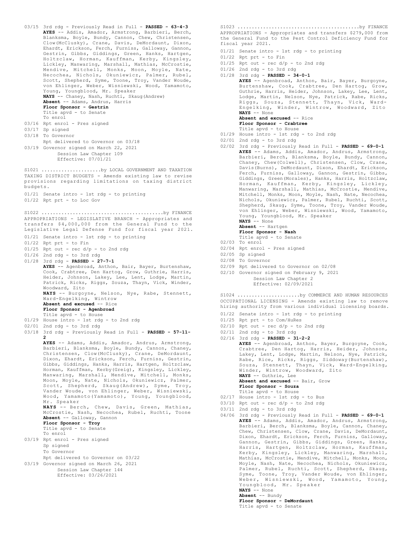```
03/15 3rd rdg - Previously Read in Full - PASSED - 63-4-3
       AYES -- Addis, Amador, Armstrong, Barbieri, Berch,
       Blanksma, Boyle, Bundy, Cannon, Chew, Christensen,
Clow(McClusky), Crane, Davis, DeMordaunt, Dixon,
       Ehardt, Erickson, Ferch, Furniss, Galloway, Gannon,
       Gestrin, Gibbs, Giddings, Green, Hanks, Hartgen,
       Holtzclaw, Horman, Kauffman, Kerby, Kingsley,
       Lickley, Manwaring, Marshall, Mathias, McCrostie,
       Mendive, Mitchell, Monks, Moon, Moyle, Nate,
Necochea, Nichols, Okuniewicz, Palmer, Rubel,
       Scott, Shepherd, Syme, Toone, Troy, Vander Woude,
       von Ehlinger, Weber, Wisniewski, Wood, Yamamoto,
       Young, Youngblood, Mr. Speaker<br>NAYS -- Chaney, Nash, Ruchti, Ska
             - Chaney, Nash, Ruchti, Skaug(Andrew)
       Absent -- Adams, Andrus, Harris
       Floor Sponsor - Gestrin
       Title apvd - to Senate
       To enrol
03/16 Rpt enrol - Pres signed
03/17 Sp signed
03/18 To Governor
      Rpt delivered to Governor on 03/18
03/19 Governor signed on March 22, 2021
            Session Law Chapter 109
            Effective: 07/01/21
TAXING DISTRICT BUDGETS - Amends existing law to revise
provisions regarding limitations on taxing district
budgets.
01/21 Senate intro - 1st rdg - to printing
01/22 Rpt prt - to Loc Gov
S1021 ............................by LOCAL GOVERNMENT AND TAXATION
APPROPRIATIONS - LEGISLATIVE BRANCH - Appropriates and
transfers $4,000,000 from the General Fund to the
Legislative Legal Defense Fund for fiscal year 2021.
01/21 Senate intro - 1st rdg - to printing
01/22 Rpt prt - to Fin
01/25 Rpt out - rec d/p - to 2nd rdg
01/26 2nd rdg - to 3rd rdg
01/28 3rd rdg - PASSED - 27-7-1
       AYES -- Agenbroad, Anthon, Bair, Bayer, Burtenshaw,
       Cook, Crabtree, Den Hartog, Grow, Guthrie, Harris,
       Heider, Johnson, Lakey, Lee, Lent, Lodge, Martin,
       Patrick, Ricks, Riggs, Souza, Thayn, Vick, Winder,
       Woodward, Zito
       NAYS -- Burgoyne, Nelson, Nye, Rabe, Stennett,
       Ward-Engelking, Wintrow
       Absent and excused -- Rice
       Floor Sponsor - Agenbroad
Title apvd - to House
01/29 House intro - 1st rdg - to 2nd rdg
02/01 2nd rdg - to 3rd rdg
03/18 3rd rdg - Previously Read in Full - PASSED - 57-11-
       2
       AYES -- Adams, Addis, Amador, Andrus, Armstrong,
       Barbieri, Blanksma, Boyle, Bundy, Cannon, Chaney,
       Christensen, Clow(McClusky), Crane, DeMordaunt,
       Dixon, Ehardt, Erickson, Ferch, Furniss, Gestrin,
       Gibbs, Giddings, Hanks, Harris, Hartgen, Holtzclaw,
       Horman, Kauffman, Kerby(Greig), Kingsley, Lickley,
       Manwaring, Marshall, Mendive, Mitchell, Monks,
       Moon, Moyle, Nate, Nichols, Okuniewicz, Palmer,
Scott, Shepherd, Skaug(Andrew), Syme, Troy,
Vander Woude, von Ehlinger, Weber, Wisniewski,
Wood, Yamamoto(Yamamoto), Young, Youngblood,
       Mr. Speaker
       NAYS -- Berch, Chew, Davis, Green, Mathias,
       McCrostie, Nash, Necochea, Rubel, Ruchti, Toone
       Absent -- Galloway, Gannon
       Floor Sponsor - Troy
       Title apvd - to Senate
       To enrol
03/19 Rpt enrol - Pres signed
       Sp signed
       To Governor
       Rpt delivered to Governor on 03/22
03/19 Governor signed on March 26, 2021
           Session Law Chapter 144
            Effective: 03/26/2021
S1022 ...........................................by FINANCE
```
APPROPRIATIONS - Appropriates and transfers \$279,000 from the General Fund to the Pest Control Deficiency Fund for fiscal year 2021. S1023 ...........................................by FINANCE

- 01/21 Senate intro 1st rdg to printing
- $01/22$  Rpt prt to Fin
- $01/25$  Rpt out rec  $d/p$  to 2nd rdg
- 01/26 2nd rdg to 3rd rdg
- 01/28 3rd rdg **PASSED 34-0-1**

**AYES** -- Agenbroad, Anthon, Bair, Bayer, Burgoyne, Burtenshaw, Cook, Crabtree, Den Hartog, Grow, Guthrie, Harris, Heider, Johnson, Lakey, Lee, Lent, Lodge, Martin, Nelson, Nye, Patrick, Rabe, Ricks, Riggs, Souza, Stennett, Thayn, Vick, Ward-Engelking, Winder, Wintrow, Woodward, Zito **NAYS** -- None **Absent and excused** -- Rice

**Floor Sponsor - Crabtree**

- Title apvd to House
- 01/29 House intro 1st rdg to 2nd rdg
- 02/01 2nd rdg to 3rd rdg
- 02/02 3rd rdg Previously Read in Full **PASSED 69-0-1 AYES** -- Adams, Addis, Amador, Andrus, Armstrong, Barbieri, Berch, Blanksma, Boyle, Bundy, Cannon, Chaney, Chew(Colwell), Christensen, Clow, Crane, Davis(Burns), DeMordaunt, Dixon, Ehardt, Erickson, Ferch, Furniss, Galloway, Gannon, Gestrin, Gibbs, Giddings, Green(Morales), Hanks, Harris, Holtzclaw, Horman, Kauffman, Kerby, Kingsley, Lickley, Manwaring, Marshall, Mathias, McCrostie, Mendive, Mitchell, Monks, Moon, Moyle, Nash, Nate, Necochea, Nichols, Okuniewicz, Palmer, Rubel, Ruchti, Scott, Shepherd, Skaug, Syme, Toone, Troy, Vander Woude, von Ehlinger, Weber, Wisniewski, Wood, Yamamoto, Young, Youngblood, Mr. Speaker **NAYS** -- None
	- **Absent** -- Hartgen
	- **Floor Sponsor Nash**
	- Title apvd to Senate
- 02/03 To enrol
- 02/04 Rpt enrol Pres signed
- 02/05 Sp signed
- 02/08 To Governor
- 02/09 Rpt delivered to Governor on 02/08
- 02/10 Governor signed on February 9, 2021

Session Law Chapter 2 Effective: 02/09/2021

OCCUPATIONAL LICENSING - Amends existing law to remove hiring authority from various individual licensing boards. S1024 ......................by COMMERCE AND HUMAN RESOURCES

- 01/22 Senate intro 1st rdg to printing
- 01/25 Rpt prt to Com/HuRes
- $02/10$  Rpt out rec  $d/p$  to 2nd rdg
- 02/11 2nd rdg to 3rd rdg 02/16 3rd rdg - **PASSED - 31-2-2**

**AYES** -- Agenbroad, Anthon, Bayer, Burgoyne, Cook, Crabtree, Den Hartog, Harris, Heider, Johnson, Lakey, Lent, Lodge, Martin, Nelson, Nye, Patrick, Rabe, Rice, Ricks, Riggs, Siddoway(Burtenshaw), Souza, Stennett, Thayn, Vick, Ward-Engelking, Winder, Wintrow, Woodward, Zito **NAYS** -- Guthrie, Lee **Absent and excused** -- Bair, Grow **Floor Sponsor - Souza**

- Title apvd to House 02/17 House intro - 1st rdg - to Bus
- $03/10$  Rpt out rec  $d/p$  to 2nd rdg
- $03/11$  2nd rdg to 3rd rdg
- 04/06 3rd rdg Previously Read in Full **PASSED 69-0-1 AYES** -- Adams, Addis, Amador, Andrus, Armstrong, Barbieri, Berch, Blanksma, Boyle, Cannon, Chaney, Chew, Christensen, Clow, Crane, Davis, DeMordaunt, Dixon, Ehardt, Erickson, Ferch, Furniss, Galloway, Gannon, Gestrin, Gibbs, Giddings, Green, Hanks, Harris, Hartgen, Holtzclaw, Horman, Kauffman, Kerby, Kingsley, Lickley, Manwaring, Marshall, Mathias, McCrostie, Mendive, Mitchell, Monks, Moon, Moyle, Nash, Nate, Necochea, Nichols, Okuniewicz, Palmer, Rubel, Ruchti, Scott, Shepherd, Skaug, Syme, Toone, Troy, Vander Woude, von Ehlinger, Weber, Wisniewski, Wood, Yamamoto, Young, Youngblood, Mr. Speaker **NAYS** -- None

**Absent** -- Bundy **Floor Sponsor - DeMordaunt** Title apvd - to Senate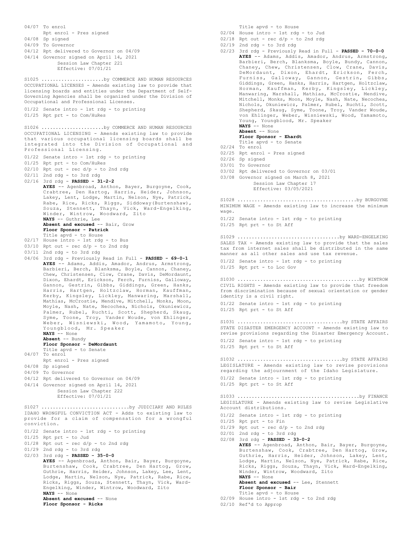04/07 To enrol Rpt enrol - Pres signed 04/08 Sp signed 04/09 To Governor 04/12 Rpt delivered to Governor on 04/09 04/14 Governor signed on April 14, 2021 Session Law Chapter 221 Effective: 07/01/21 OCCUPATIONAL LICENSES - Amends existing law to provide that licensing boards and entities under the Department of Self-Governing Agencies shall be organized under the Division of Occupational and Professional Licenses. 01/22 Senate intro - 1st rdg - to printing 01/25 Rpt prt - to Com/HuRes S1025 ......................by COMMERCE AND HUMAN RESOURCES OCCUPATIONAL LICENSING - Amends existing law to provide that various occupational licensing boards shall be integrated into the Division of Occupational and Professional Licensing. 01/22 Senate intro - 1st rdg - to printing 01/25 Rpt prt - to Com/HuRes  $02/10$  Rpt out - rec  $d/p$  - to 2nd rdg 02/11 2nd rdg - to 3rd rdg 02/16 3rd rdg - **PASSED - 31-2-2 AYES** -- Agenbroad, Anthon, Bayer, Burgoyne, Cook, Crabtree, Den Hartog, Harris, Heider, Johnson, Lakey, Lent, Lodge, Martin, Nelson, Nye, Patrick, Rabe, Rice, Ricks, Riggs, Siddoway(Burtenshaw), Souza, Stennett, Thayn, Vick, Ward-Engelking, Winder, Wintrow, Woodward, Zito **NAYS** -- Guthrie, Lee **Absent and excused** -- Bair, Grow **Floor Sponsor - Patrick** Title apvd - to House 02/17 House intro - 1st rdg - to Bus 03/10 Rpt out - rec d/p - to 2nd rdg 03/11 2nd rdg - to 3rd rdg 04/06 3rd rdg - Previously Read in Full - **PASSED - 69-0-1 AYES** -- Adams, Addis, Amador, Andrus, Armstrong, Barbieri, Berch, Blanksma, Boyle, Cannon, Chaney, Chew, Christensen, Clow, Crane, Davis, DeMordaunt, Dixon, Ehardt, Erickson, Ferch, Furniss, Galloway, Gannon, Gestrin, Gibbs, Giddings, Green, Hanks, Harris, Hartgen, Holtzclaw, Horman, Kauffman, Kerby, Kingsley, Lickley, Manwaring, Marshall, Mathias, McCrostie, Mendive, Mitchell, Monks, Moon, Moyle, Nash, Nate, Necochea, Nichols, Okuniewicz, Palmer, Rubel, Ruchti, Scott, Shepherd, Skaug, Syme, Toone, Troy, Vander Woude, von Ehlinger, Weber, Wisniewski, Wood, Yamamoto, Young, Youngblood, Mr. Speaker **NAYS** -- None **Absent** -- Bundy **Floor Sponsor - DeMordaunt** Title apvd - to Senate 04/07 To enrol Rpt enrol - Pres signed 04/08 Sp signed 04/09 To Governor 04/12 Rpt delivered to Governor on 04/09 04/14 Governor signed on April 14, 2021 Session Law Chapter 222 Effective: 07/01/21 S1026 ......................by COMMERCE AND HUMAN RESOURCES IDAHO WRONGFUL CONVICTION ACT - Adds to existing law to provide for a claim of compensation for a wrongful conviction. 01/22 Senate intro - 1st rdg - to printing 01/25 Rpt prt - to Jud  $01/28$  Rpt out - rec  $d/p$  - to 2nd rdg 01/29 2nd rdg - to 3rd rdg 02/03 3rd rdg - **PASSED - 35-0-0 AYES** -- Agenbroad, Anthon, Bair, Bayer, Burgoyne, Burtenshaw, Cook, Crabtree, Den Hartog, Grow, Guthrie, Harris, Heider, Johnson, Lakey, Lee, Lent, Lodge, Martin, Nelson, Nye, Patrick, Rabe, Rice, Ricks, Riggs, Souza, Stennett, Thayn, Vick, Ward-Engelking, Winder, Wintrow, Woodward, Zito **NAYS** -- None **Absent and excused** -- None **Floor Sponsor - Ricks** S1027 ...............................by JUDICIARY AND RULES

Title apvd - to House

- 02/04 House intro 1st rdg to Jud
- $02/18$  Rpt out rec  $d/p$  to 2nd rdg
- 02/19 2nd rdg to 3rd rdg
- 02/23 3rd rdg Previously Read in Full **PASSED 70-0-0 AYES** -- Adams, Addis, Amador, Andrus, Armstrong, Barbieri, Berch, Blanksma, Boyle, Bundy, Cannon, Chaney, Chew, Christensen, Clow, Crane, Davis, DeMordaunt, Dixon, Ehardt, Erickson, Ferch, Furniss, Galloway, Gannon, Gestrin, Gibbs, Giddings, Green, Hanks, Harris, Hartgen, Holtzclaw, Horman, Kauffman, Kerby, Kingsley, Lickley, Manwaring, Marshall, Mathias, McCrostie, Mendive, Mitchell, Monks, Moon, Moyle, Nash, Nate, Necochea, Nichols, Okuniewicz, Palmer, Rubel, Ruchti, Scott, Shepherd, Skaug, Syme, Toone, Troy, Vander Woude, von Ehlinger, Weber, Wisniewski, Wood, Yamamoto, Young, Youngblood, Mr. Speaker **NAYS** -- None **Absent** -- None **Floor Sponsor - Ehardt** Title apvd - to Senate 02/24 To enrol 02/25 Rpt enrol - Pres signed 02/26 Sp signed 03/01 To Governor 03/02 Rpt delivered to Governor on 03/01 03/08 Governor signed on March 8, 2021 Session Law Chapter 17 Effective: 03/05/2021 MINIMUM WAGE - Amends existing law to increase the minimum wage. 01/22 Senate intro - 1st rdg - to printing 01/25 Rpt prt - to St Aff S1028 ..........................................by BURGOYNE SALES TAX - Amends existing law to provide that the sales tax from internet sales shall be distributed in the same manner as all other sales and use tax revenue. 01/22 Senate intro - 1st rdg - to printing 01/25 Rpt prt - to Loc Gov S1029 ....................................by WARD-ENGELKING CIVIL RIGHTS - Amends existing law to provide that freedom from discrimination because of sexual orientation or gender identity is a civil right. 01/22 Senate intro - 1st rdg - to printing 01/25 Rpt prt - to St Aff S1030 ...........................................by WINTROW STATE DISASTER EMERGENCY ACCOUNT - Amends existing law to revise provisions regarding the Disaster Emergency Account. 01/22 Senate intro - 1st rdg - to printing 01/25 Rpt prt - to St Aff S1031 .....................................by STATE AFFAIRS LEGISLATURE - Amends existing law to revise provisions regarding the adjournment of the Idaho Legislature. 01/22 Senate intro - 1st rdg - to printing 01/25 Rpt prt - to St Aff S1032 .....................................by STATE AFFAIRS LEGISLATURE - Amends existing law to revise Legislative Account distributions. 01/22 Senate intro - 1st rdg - to printing  $01/25$  Rpt prt - to Fin  $01/29$  Rpt out - rec d/p - to 2nd rdg 02/01 2nd rdg - to 3rd rdg 02/08 3rd rdg - **PASSED - 33-0-2 AYES** -- Agenbroad, Anthon, Bair, Bayer, Burgoyne, Burtenshaw, Cook, Crabtree, Den Hartog, Grow, Guthrie, Harris, Heider, Johnson, Lakey, Lent, Lodge, Martin, Nelson, Nye, Patrick, Rabe, Rice, Ricks, Riggs, Souza, Thayn, Vick, Ward-Engelking, Winder, Wintrow, Woodward, Zito **NAYS** -- None **Absent and excused** -- Lee, Stennett **Floor Sponsor - Bair** Title apvd - to House 02/09 House intro - 1st rdg - to 2nd rdg S1033 ...........................................by FINANCE
- 02/10 Ref'd to Approp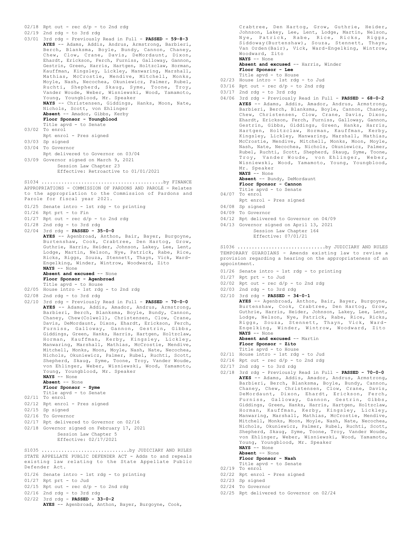```
02/18 Rpt out - rec d/p - to 2nd rdg
02/19 2nd rdg - to 3rd rdg
03/01 3rd rdg - Previously Read in Full - PASSED - 59-8-3
      AYES -- Adams, Addis, Andrus, Armstrong, Barbieri,
      Berch, Blanksma, Boyle, Bundy, Cannon, Chaney,
       Chew, Clow, Crane, Davis, DeMordaunt, Dixon,
      Ehardt, Erickson, Ferch, Furniss, Galloway, Gannon,
       Gestrin, Green, Harris, Hartgen, Holtzclaw, Horman,
      Kauffman, Kingsley, Lickley, Manwaring, Marshall,
      Mathias, McCrostie, Mendive, Mitchell, Monks,
      Moyle, Nash, Necochea, Okuniewicz, Palmer, Rubel,
       Ruchti, Shepherd, Skaug, Syme, Toone, Troy,
      Vander Woude, Weber, Wisniewski, Wood, Yamamoto,
      Young, Youngblood, Mr. Speaker
      NAYS -- Christensen, Giddings, Hanks, Moon, Nate,
       Nichols, Scott, von Ehlinger
      Absent -- Amador, Gibbs, Kerby
       Floor Sponsor - Youngblood
       Title apvd - to Senate
03/02 To enrol
      Rpt enrol - Pres signed
03/03 Sp signed
03/04 To Governor
      Rpt delivered to Governor on 03/04
03/09 Governor signed on March 9, 2021
          Session Law Chapter 23
           Effective: Retroactive to 01/01/2021
APPROPRIATIONS - COMMISSION OF PARDONS AND PAROLE - Relates
to the appropriation to the Commission of Pardons and
Parole for fiscal year 2021.
01/25 Senate intro - 1st rdg - to printing
01/26 Rpt prt - to Fin
01/27 Rpt out - rec d/p - to 2nd rdg
01/28 2nd rdg - to 3rd rdg
02/04 3rd rdg - PASSED - 35-0-0
      AYES -- Agenbroad, Anthon, Bair, Bayer, Burgoyne,
      Burtenshaw, Cook, Crabtree, Den Hartog, Grow,
       Guthrie, Harris, Heider, Johnson, Lakey, Lee, Lent,
Lodge, Martin, Nelson, Nye, Patrick, Rabe, Rice,
       Ricks, Riggs, Souza, Stennett, Thayn, Vick, Ward-
      Engelking, Winder, Wintrow, Woodward, Zito
      NAYS -- None
      Absent and excused -- None
      Floor Sponsor - Agenbroad
       Title apvd - to House
02/05 House intro - 1st rdg - to 2nd rdg
02/08 2nd rdg - to 3rd rdg
02/10 3rd rdg - Previously Read in Full - PASSED - 70-0-0
      AYES -- Adams, Addis, Amador, Andrus, Armstrong,
      Barbieri, Berch, Blanksma, Boyle, Bundy, Cannon,
       Chaney, Chew(Colwell), Christensen, Clow, Crane,
       Davis, DeMordaunt, Dixon, Ehardt, Erickson, Ferch,
       Furniss, Galloway, Gannon, Gestrin, Gibbs,
Giddings, Green, Hanks, Harris, Hartgen, Holtzclaw,
       Horman, Kauffman, Kerby, Kingsley, Lickley,
Manwaring, Marshall, Mathias, McCrostie, Mendive,
       Mitchell, Monks, Moon, Moyle, Nash, Nate, Necochea,
Nichols, Okuniewicz, Palmer, Rubel, Ruchti, Scott,
       Shepherd, Skaug, Syme, Toone, Troy, Vander Woude,
       von Ehlinger, Weber, Wisniewski, Wood, Yamamoto,
       Young, Youngblood, Mr. Speaker
      NAYS -- None
      Absent -- None
      Floor Sponsor - Syme
       Title apvd - to Senate
02/11 To enrol
02/12 Rpt enrol - Pres signed
02/15 Sp signed
02/16 To Governor
02/17 Rpt delivered to Governor on 02/16
02/18 Governor signed on February 17, 2021
          Session Law Chapter 5
           Effective: 02/17/2021
S1034 ...........................................by FINANCE
STATE APPELLATE PUBLIC DEFENDER ACT - Adds to and repeals
existing law relating to the State Appellate Public
Defender Act.
01/26 Senate intro - 1st rdg - to printing
01/27 Rpt prt - to Jud
S1035 ...............................by JUDICIARY AND RULES
```
Crabtree, Den Hartog, Grow, Guthrie, Heider, Johnson, Lakey, Lee, Lent, Lodge, Martin, Nelson, Nye, Patrick, Rabe, Rice, Ricks, Riggs, Siddoway(Burtenshaw), Souza, Stennett, Thayn, Van Orden(Bair), Vick, Ward-Engelking, Wintrow, Woodward, Zito **NAYS** -- None

**Absent and excused** -- Harris, Winder **Floor Sponsor - Lee** Title apvd - to House

- 02/23 House intro 1st rdg to Jud
- $03/16$  Rpt out rec  $d/p$  to 2nd rdg
- 03/17 2nd rdg to 3rd rdg
- 04/06 3rd rdg Previously Read in Full **PASSED 68-0-2 AYES** -- Adams, Addis, Amador, Andrus, Armstrong, Barbieri, Berch, Blanksma, Boyle, Cannon, Chaney, Chew, Christensen, Clow, Crane, Davis, Dixon, Ehardt, Erickson, Ferch, Furniss, Galloway, Gannon, Gestrin, Gibbs, Giddings, Green, Hanks, Harris, Hartgen, Holtzclaw, Horman, Kauffman, Kerby, Kingsley, Lickley, Manwaring, Marshall, Mathias, McCrostie, Mendive, Mitchell, Monks, Moon, Moyle, Nash, Nate, Necochea, Nichols, Okuniewicz, Palmer, Rubel, Ruchti, Scott, Shepherd, Skaug, Syme, Toone, Troy, Vander Woude, von Ehlinger, Weber, Wisniewski, Wood, Yamamoto, Young, Youngblood, Mr. Speaker **NAYS** -- None

**Absent** -- Bundy, DeMordaunt **Floor Sponsor - Cannon**

- Title apvd to Senate
- 04/07 To enrol
- Rpt enrol Pres signed
- 04/08 Sp signed
- 04/09 To Governor
- 04/12 Rpt delivered to Governor on 04/09
- 04/13 Governor signed on April 13, 2021 Session Law Chapter 164

Effective: 07/01/21

TEMPORARY GUARDIANS - Amends existing law to revise a provision regarding a hearing on the appropriateness of an appointment. S1036 ...............................by JUDICIARY AND RULES

- 01/26 Senate intro 1st rdg to printing
- 01/27 Rpt prt to Jud
- $02/02$  Rpt out rec  $d/p$  to 2nd rdg
- 02/03 2nd rdg to 3rd rdg
- 02/10 3rd rdg **PASSED 34-0-1**

**AYES** -- Agenbroad, Anthon, Bair, Bayer, Burgoyne, Burtenshaw, Cook, Crabtree, Den Hartog, Grow, Guthrie, Harris, Heider, Johnson, Lakey, Lee, Lent, Lodge, Nelson, Nye, Patrick, Rabe, Rice, Ricks, Riggs, Souza, Stennett, Thayn, Vick, Ward-Engelking, Winder, Wintrow, Woodward, Zito **NAYS** -- None **Absent and excused** -- Martin

**Floor Sponsor - Zito**

- Title apvd to House
- 02/11 House intro 1st rdg to Jud
- $02/16$  Rpt out rec d/p to 2nd rdg
- $02/17$  2nd rdg to 3rd rdg
- 02/18 3rd rdg Previously Read in Full **PASSED 70-0-0 AYES** -- Adams, Addis, Amador, Andrus, Armstrong, Barbieri, Berch, Blanksma, Boyle, Bundy, Cannon, Chaney, Chew, Christensen, Clow, Crane, Davis, DeMordaunt, Dixon, Ehardt, Erickson, Ferch, Furniss, Galloway, Gannon, Gestrin, Gibbs, Giddings, Green, Hanks, Harris, Hartgen, Holtzclaw, Horman, Kauffman, Kerby, Kingsley, Lickley, Manwaring, Marshall, Mathias, McCrostie, Mendive, Mitchell, Monks, Moon, Moyle, Nash, Nate, Necochea, Nichols, Okuniewicz, Palmer, Rubel, Ruchti, Scott, Shepherd, Skaug, Syme, Toone, Troy, Vander Woude, von Ehlinger, Weber, Wisniewski, Wood, Yamamoto, Young, Youngblood, Mr. Speaker **NAYS** -- None

**Absent** -- None

**Floor Sponsor - Nash**

Title apvd - to Senate

- 02/19 To enrol
- 02/22 Rpt enrol Pres signed
- 02/23 Sp signed
- 02/24 To Governor
- 02/25 Rpt delivered to Governor on 02/24

02/22 3rd rdg - **PASSED - 33-0-2**

02/16 2nd rdg - to 3rd rdg

 $02/15$  Rpt out - rec  $d/p$  - to 2nd rdg

AYES -- Agenbroad, Anthon, Bayer, Burgoyne, Cook,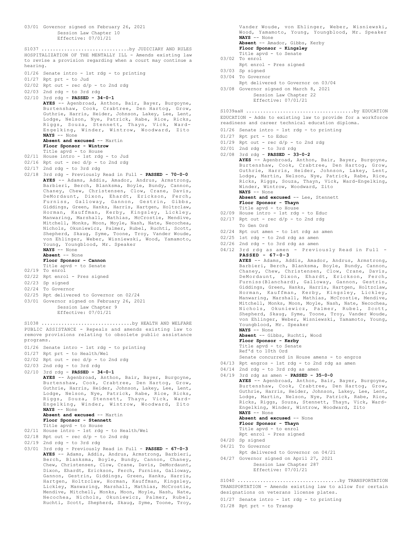03/01 Governor signed on February 26, 2021 Session Law Chapter 10 Effective: 07/01/21 HOSPITALIZATION OF THE MENTALLY ILL - Amends existing law to revise a provision regarding when a court may continue a hearing. 01/26 Senate intro - 1st rdg - to printing 01/27 Rpt prt - to Jud 02/02 Rpt out - rec d/p - to 2nd rdg 02/03 2nd rdg - to 3rd rdg 02/10 3rd rdg - **PASSED - 34-0-1 AYES** -- Agenbroad, Anthon, Bair, Bayer, Burgoyne, Burtenshaw, Cook, Crabtree, Den Hartog, Grow, Guthrie, Harris, Heider, Johnson, Lakey, Lee, Lent, Lodge, Nelson, Nye, Patrick, Rabe, Rice, Ricks, Riggs, Souza, Stennett, Thayn, Vick, Ward-Engelking, Winder, Wintrow, Woodward, Zito **NAYS** -- None **Absent and excused** -- Martin **Floor Sponsor - Wintrow** Title apvd - to House 02/11 House intro - 1st rdg - to Jud  $02/16$  Rpt out - rec  $d/p$  - to 2nd rdg 02/17 2nd rdg - to 3rd rdg 02/18 3rd rdg - Previously Read in Full - **PASSED - 70-0-0 AYES** -- Adams, Addis, Amador, Andrus, Armstrong, Barbieri, Berch, Blanksma, Boyle, Bundy, Cannon, Chaney, Chew, Christensen, Clow, Crane, Davis, DeMordaunt, Dixon, Ehardt, Erickson, Ferch, Furniss, Galloway, Gannon, Gestrin, Gibbs, Giddings, Green, Hanks, Harris, Hartgen, Holtzclaw, Horman, Kauffman, Kerby, Kingsley, Lickley, Manwaring, Marshall, Mathias, McCrostie, Mendive, Mitchell, Monks, Moon, Moyle, Nash, Nate, Necochea, Nichols, Okuniewicz, Palmer, Rubel, Ruchti, Scott, Shepherd, Skaug, Syme, Toone, Troy, Vander Woude, von Ehlinger, Weber, Wisniewski, Wood, Yamamoto, Young, Youngblood, Mr. Speaker **NAYS** -- None **Absent** -- None **Floor Sponsor - Cannon** Title apvd - to Senate 02/19 To enrol 02/22 Rpt enrol - Pres signed 02/23 Sp signed 02/24 To Governor 02/25 Rpt delivered to Governor on 02/24 03/01 Governor signed on February 26, 2021 Session Law Chapter 9 Effective: 07/01/21 S1037 ...............................by JUDICIARY AND RULES PUBLIC ASSISTANCE - Repeals and amends existing law to remove provisions relating to obsolete public assistance programs. 01/26 Senate intro - 1st rdg - to printing 01/27 Rpt prt - to Health/Wel 02/02 Rpt out - rec d/p - to 2nd rdg 02/03 2nd rdg - to 3rd rdg 02/10 3rd rdg - **PASSED - 34-0-1 AYES** -- Agenbroad, Anthon, Bair, Bayer, Burgoyne, Burtenshaw, Cook, Crabtree, Den Hartog, Grow, Guthrie, Harris, Heider, Johnson, Lakey, Lee, Lent, Lodge, Nelson, Nye, Patrick, Rabe, Rice, Ricks, Riggs, Souza, Stennett, Thayn, Vick, Ward-Engelking, Winder, Wintrow, Woodward, Zito **NAYS** -- None **Absent and excused** -- Martin **Floor Sponsor - Stennett** Title apvd - to House 02/11 House intro - 1st rdg - to Health/Wel 02/18 Rpt out - rec d/p - to 2nd rdg 02/19 2nd rdg - to 3rd rdg 03/01 3rd rdg - Previously Read in Full - **PASSED - 67-0-3 AYES** -- Adams, Addis, Andrus, Armstrong, Barbieri, Berch, Blanksma, Boyle, Bundy, Cannon, Chaney, Chew, Christensen, Clow, Crane, Davis, DeMordaunt, Dixon, Ehardt, Erickson, Ferch, Furniss, Galloway, Gannon, Gestrin, Giddings, Green, Hanks, Harris, Hartgen, Holtzclaw, Horman, Kauffman, Kingsley, Lickley, Manwaring, Marshall, Mathias, McCrostie, S1038 ................................by HEALTH AND WELFARE

Mendive, Mitchell, Monks, Moon, Moyle, Nash, Nate, Necochea, Nichols, Okuniewicz, Palmer, Rubel, Ruchti, Scott, Shepherd, Skaug, Syme, Toone, Troy,

Vander Woude, von Ehlinger, Weber, Wisniewski, Wood, Yamamoto, Young, Youngblood, Mr. Speaker **NAYS** -- None **Absent** -- Amador, Gibbs, Kerby **Floor Sponsor - Kingsley** Title apvd - to Senate 03/02 To enrol

- Rpt enrol Pres signed
- 03/03 Sp signed
- 03/04 To Governor
	- Rpt delivered to Governor on 03/04
- 03/08 Governor signed on March 8, 2021 Session Law Chapter 22 Effective: 07/01/21

EDUCATION - Adds to existing law to provide for a workforce readiness and career technical education diploma. S1039aaH ......................................by EDUCATION

- 01/26 Senate intro 1st rdg to printing
- 01/27 Rpt prt to Educ
- 01/29 Rpt out rec  $d/p$  to 2nd rdg
- 02/01 2nd rdg to 3rd rdg
- 02/08 3rd rdg **PASSED 33-0-2 AYES** -- Agenbroad, Anthon, Bair, Bayer, Burgoyne, Burtenshaw, Cook, Crabtree, Den Hartog, Grow, Guthrie, Harris, Heider, Johnson, Lakey, Lent, Lodge, Martin, Nelson, Nye, Patrick, Rabe, Rice, Ricks, Riggs, Souza, Thayn, Vick, Ward-Engelking, Winder, Wintrow, Woodward, Zito **NAYS** -- None **Absent and excused** -- Lee, Stennett **Floor Sponsor - Thayn** Title apvd - to House 02/09 House intro - 1st rdg - to Educ  $02/17$  Rpt out - rec  $d/p$  - to 2nd rdg To Gen Ord
- 02/24 Rpt out amen to 1st rdg as amen
- 02/25 1st rdg to 2nd rdg as amen
- 02/26 2nd rdg to 3rd rdg as amen
- 04/12 3rd rdg as amen Previously Read in Full **PASSED - 67-0-3**

**AYES** -- Adams, Addis, Amador, Andrus, Armstrong, Barbieri, Berch, Blanksma, Boyle, Bundy, Cannon, Chaney, Chew, Christensen, Clow, Crane, Davis, DeMordaunt, Dixon, Ehardt, Erickson, Ferch, Furniss(Blanchard), Galloway, Gannon, Gestrin, Giddings, Green, Hanks, Harris, Hartgen, Holtzclaw, Horman, Kauffman, Kerby, Kingsley, Lickley, Manwaring, Marshall, Mathias, McCrostie, Mendive, Mitchell, Monks, Moon, Moyle, Nash, Nate, Necochea, Nichols, Okuniewicz, Palmer, Rubel, Scott, Shepherd, Skaug, Syme, Toone, Troy, Vander Woude, von Ehlinger, Weber, Wisniewski, Yamamoto, Young, Youngblood, Mr. Speaker **NAYS** -- None

**Absent** -- Gibbs, Ruchti, Wood **Floor Sponsor - Kerby** Title apvd - to Senate Ref'd to 10th Ord Senate concurred in House amens - to engros

- 04/13 Rpt engros 1st rdg to 2nd rdg as amen
- 04/14 2nd rdg to 3rd rdg as amen
- 04/19 3rd rdg as amen **PASSED 35-0-0**

**AYES** -- Agenbroad, Anthon, Bair, Bayer, Burgoyne, Burtenshaw, Cook, Crabtree, Den Hartog, Grow, Guthrie, Harris, Heider, Johnson, Lakey, Lee, Lent, Lodge, Martin, Nelson, Nye, Patrick, Rabe, Rice, Ricks, Riggs, Souza, Stennett, Thayn, Vick, Ward-Engelking, Winder, Wintrow, Woodward, Zito **NAYS** -- None **Absent and excused** -- None **Floor Sponsor - Thayn** Title apvd - to enrol Rpt enrol - Pres signed 04/20 Sp signed 04/21 To Governor Rpt delivered to Governor on 04/21 04/27 Governor signed on April 27, 2021 Session Law Chapter 287

Effective: 07/01/21

TRANSPORTATION - Amends existing law to allow for certain designations on veterans license plates. S1040 ....................................by TRANSPORTATION

- 01/27 Senate intro 1st rdg to printing
- 01/28 Rpt prt to Transp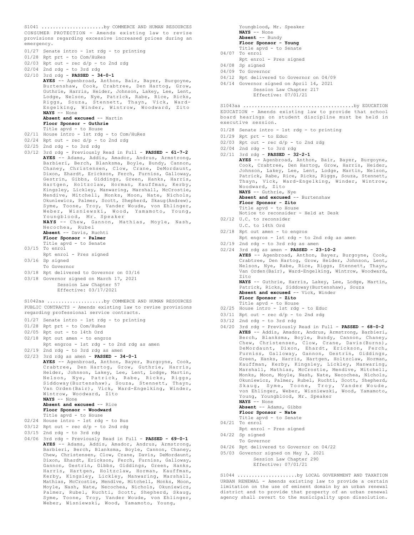CONSUMER PROTECTION - Amends existing law to revise provisions regarding excessive increased prices during an emergency. 01/27 Senate intro - 1st rdg - to printing 01/28 Rpt prt - to Com/HuRes  $02/03$  Rpt out - rec  $d/p$  - to 2nd rdg 02/04 2nd rdg - to 3rd rdg 02/10 3rd rdg - **PASSED - 34-0-1 AYES** -- Agenbroad, Anthon, Bair, Bayer, Burgoyne, Burtenshaw, Cook, Crabtree, Den Hartog, Grow, Guthrie, Harris, Heider, Johnson, Lakey, Lee, Lent, Lodge, Nelson, Nye, Patrick, Rabe, Rice, Ricks, Riggs, Souza, Stennett, Thayn, Vick, Ward-Engelking, Winder, Wintrow, Woodward, Zito **NAYS** -- None **Absent and excused** -- Martin **Floor Sponsor - Guthrie** Title apvd - to House 02/11 House intro - 1st rdg - to Com/HuRes 02/24 Rpt out - rec d/p - to 2nd rdg 02/25 2nd rdg - to 3rd rdg 03/12 3rd rdg - Previously Read in Full - **PASSED - 61-7-2 AYES** -- Adams, Addis, Amador, Andrus, Armstrong, Barbieri, Berch, Blanksma, Boyle, Bundy, Cannon, Chaney, Christensen, Clow, Crane, DeMordaunt, Dixon, Ehardt, Erickson, Ferch, Furniss, Galloway, Gestrin, Gibbs, Giddings, Green, Hanks, Harris, Hartgen, Holtzclaw, Horman, Kauffman, Kerby, Kingsley, Lickley, Manwaring, Marshall, McCrostie, Mendive, Mitchell, Monks, Moon, Nate, Nichols, Okuniewicz, Palmer, Scott, Shepherd, Skaug(Andrew), Syme, Toone, Troy, Vander Woude, von Ehlinger, Weber, Wisniewski, Wood, Yamamoto, Young, Youngblood, Mr. Speaker **NAYS** -- Chew, Gannon, Mathias, Moyle, Nash, Necochea, Rubel **Absent** -- Davis, Ruchti **Floor Sponsor - Palmer** Title apvd - to Senate 03/15 To enrol Rpt enrol - Pres signed 03/16 Sp signed To Governor 03/18 Rpt delivered to Governor on 03/16 03/18 Governor signed on March 17, 2021 Session Law Chapter 57 Effective: 03/17/2021 S1041 ......................by COMMERCE AND HUMAN RESOURCES PUBLIC CONTRACTS - Amends existing law to revise provisions regarding professional service contracts. 01/27 Senate intro - 1st rdg - to printing 01/28 Rpt prt - to Com/HuRes 02/05 Rpt out - to 14th Ord 02/18 Rpt out amen - to engros Rpt engros - 1st rdg - to 2nd rdg as amen 02/19 2nd rdg - to 3rd rdg as amen 02/23 3rd rdg as amen - **PASSED - 34-0-1 AYES** -- Agenbroad, Anthon, Bayer, Burgoyne, Cook, Crabtree, Den Hartog, Grow, Guthrie, Harris, Heider, Johnson, Lakey, Lee, Lent, Lodge, Martin, Nelson, Nye, Patrick, Rabe, Ricks, Riggs, Siddoway(Burtenshaw), Souza, Stennett, Thayn, Van Orden(Bair), Vick, Ward-Engelking, Winder, Wintrow, Woodward, Zito **NAYS** -- None **Absent and excused** -- Rice **Floor Sponsor - Woodward** Title apvd - to House 02/24 House intro - 1st rdg - to Bus  $03/12$  Rpt out - rec  $d/p$  - to 2nd rdg 03/15 2nd rdg - to 3rd rdg 04/06 3rd rdg - Previously Read in Full - **PASSED - 69-0-1** S1042aa ....................by COMMERCE AND HUMAN RESOURCES

**AYES** -- Adams, Addis, Amador, Andrus, Armstrong, Barbieri, Berch, Blanksma, Boyle, Cannon, Chaney, Chew, Christensen, Clow, Crane, Davis, DeMordaunt, Dixon, Ehardt, Erickson, Ferch, Furniss, Galloway, Gannon, Gestrin, Gibbs, Giddings, Green, Hanks, Harris, Hartgen, Holtzclaw, Horman, Kauffman, Kerby, Kingsley, Lickley, Manwaring, Marshall, Mathias, McCrostie, Mendive, Mitchell, Monks, Moon, Moyle, Nash, Nate, Necochea, Nichols, Okuniewicz, Palmer, Rubel, Ruchti, Scott, Shepherd, Skaug, Syme, Toone, Troy, Vander Woude, von Ehlinger, Weber, Wisniewski, Wood, Yamamoto, Young,

Youngblood, Mr. Speaker **NAYS** -- None **Absent** -- Bundy **Floor Sponsor - Young** Title apvd - to Senate 04/07 To enrol Rpt enrol - Pres signed 04/08 Sp signed 04/09 To Governor 04/12 Rpt delivered to Governor on 04/09 04/14 Governor signed on April 14, 2021 Session Law Chapter 217 Effective: 07/01/21 EDUCATION - Amends existing law to provide that school board hearings on student discipline must be held in executive session. 01/28 Senate intro - 1st rdg - to printing 01/29 Rpt prt - to Educ  $02/03$  Rpt out - rec  $d/p$  - to 2nd rdg  $02/04$  2nd rdg - to 3rd rdg 02/11 3rd rdg - **PASSED - 32-2-1 AYES** -- Agenbroad, Anthon, Bair, Bayer, Burgoyne, Cook, Crabtree, Den Hartog, Grow, Harris, Heider, Johnson, Lakey, Lee, Lent, Lodge, Martin, Nelson, Patrick, Rabe, Rice, Ricks, Riggs, Souza, Stennett, Thayn, Vick, Ward-Engelking, Winder, Wintrow, Woodward, Zito **NAYS** -- Guthrie, Nye **Absent and excused** -- Burtenshaw **Floor Sponsor - Zito** Title apvd - to House Notice to reconsider - Held at Desk 02/12 U.C. to reconsider U.C. to 14th Ord 02/18 Rpt out amen - to engros Rpt engros - 1st rdg - to 2nd rdg as amen 02/19 2nd rdg - to 3rd rdg as amen 02/24 3rd rdg as amen - **PASSED - 23-10-2 AYES** -- Agenbroad, Anthon, Bayer, Burgoyne, Cook, Crabtree, Den Hartog, Grow, Heider, Johnson, Lent, Nelson, Nye, Rabe, Rice, Riggs, Stennett, Thayn, Van Orden(Bair), Ward-Engelking, Wintrow, Woodward, Zito **NAYS** -- Guthrie, Harris, Lakey, Lee, Lodge, Martin, Patrick, Ricks, Siddoway(Burtenshaw), Souza **Absent and excused** -- Vick, Winder **Floor Sponsor - Zito** Title apvd - to House 02/25 House intro - 1st rdg - to Educ  $03/11$  Rpt out - rec  $d/p$  - to 2nd rdg 03/12 2nd rdg - to 3rd rdg S1043aa .......................................by EDUCATION

- 
- 
- 04/20 3rd rdg Previously Read in Full **PASSED 68-0-2 AYES** -- Addis, Amador, Andrus, Armstrong, Barbieri, Berch, Blanksma, Boyle, Bundy, Cannon, Chaney, Chew, Christensen, Clow, Crane, Davis(Burns), DeMordaunt, Dixon, Ehardt, Erickson, Ferch, Furniss, Galloway, Gannon, Gestrin, Giddings, Green, Hanks, Harris, Hartgen, Holtzclaw, Horman, Kauffman, Kerby, Kingsley, Lickley, Manwaring, Marshall, Mathias, McCrostie, Mendive, Mitchell, Monks, Moon, Moyle, Nash, Nate, Necochea, Nichols, Okuniewicz, Palmer, Rubel, Ruchti, Scott, Shepherd, Skaug, Syme, Toone, Troy, Vander Woude, von Ehlinger, Weber, Wisniewski, Wood, Yamamoto, Young, Youngblood, Mr. Speaker **NAYS** -- None **Absent** -- Adams, Gibbs

**Floor Sponsor - Nate**

- Title apvd to Senate 04/21 To enrol
- Rpt enrol Pres signed 04/22 Sp signed
- To Governor
- 04/26 Rpt delivered to Governor on 04/22
- 05/03 Governor signed on May 3, 2021

Session Law Chapter 290 Effective: 07/01/21

URBAN RENEWAL - Amends existing law to provide a certain limitation on the use of eminent domain by an urban renewal district and to provide that property of an urban renewal agency shall revert to the municipality upon dissolution. S1044 .....................by LOCAL GOVERNMENT AND TAXATION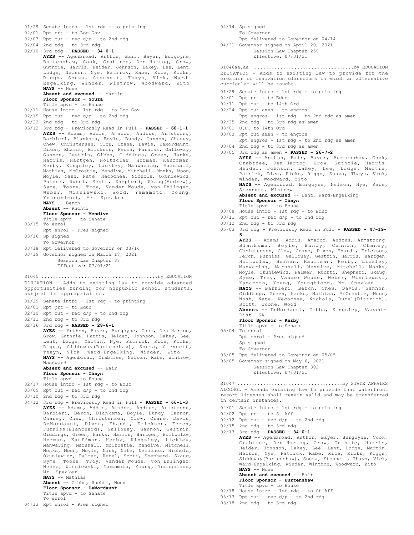```
01/29 Senate intro - 1st rdg - to printing
02/01 Rpt prt - to Loc Gov
02/03 Rpt out - rec d/p - to 2nd rdg
02/04 2nd rdg - to 3rd rdg
02/10 3rd rdg - PASSED - 34-0-1
      AYES -- Agenbroad, Anthon, Bair, Bayer, Burgoyne,
      Burtenshaw, Cook, Crabtree, Den Hartog, Grow,
      Guthrie, Harris, Heider, Johnson, Lakey, Lee, Lent,
       Lodge, Nelson, Nye, Patrick, Rabe, Rice, Ricks,
Riggs, Souza, Stennett, Thayn, Vick, Ward-
      Engelking, Winder, Wintrow, Woodward, Zito
      NAYS -- None
      Absent and excused -- Martin
      Floor Sponsor - Souza
      Title apvd - to House
02/11 House intro - 1st rdg - to Loc Gov
02/19 Rpt out - rec d/p - to 2nd rdg
02/22 2nd rdg - to 3rd rdg
03/12 3rd rdg - Previously Read in Full - PASSED - 68-1-1
      AYES -- Adams, Addis, Amador, Andrus, Armstrong,
       Barbieri, Blanksma, Boyle, Bundy, Cannon, Chaney,
Chew, Christensen, Clow, Crane, Davis, DeMordaunt,
      Dixon, Ehardt, Erickson, Ferch, Furniss, Galloway,
      Gannon, Gestrin, Gibbs, Giddings, Green, Hanks,
      Harris, Hartgen, Holtzclaw, Horman, Kauffman,
      Kerby, Kingsley, Lickley, Manwaring, Marshall,
      Mathias, McCrostie, Mendive, Mitchell, Monks, Moon,
      Moyle, Nash, Nate, Necochea, Nichols, Okuniewicz,
      Palmer, Rubel, Scott, Shepherd, Skaug(Andrew),
      Syme, Toone, Troy, Vander Woude, von Ehlinger,
      Weber, Wisniewski, Wood, Yamamoto, Young,
      Youngblood, Mr. Speaker
      NAYS -- Berch
      Absent -- Ruchti
      Floor Sponsor - Mendive
      Title apvd - to Senate
03/15 To enrol
      Rpt enrol - Pres signed
03/16 Sp signed
      To Governor
03/18 Rpt delivered to Governor on 03/16
03/19 Governor signed on March 18, 2021
           Session Law Chapter 87
           Effective: 07/01/21
EDUCATION - Adds to existing law to provide advanced
opportunities funding for nonpublic school students,
subject to appropriation.
01/29 Senate intro - 1st rdg - to printing
02/01 Rpt prt - to Educ
02/10 Rpt out - rec d/p - to 2nd rdg
02/11 2nd rdg - to 3rd rdg
02/16 3rd rdg - PASSED - 28-6-1
      AYES -- Anthon, Bayer, Burgoyne, Cook, Den Hartog,
      Grow, Guthrie, Harris, Heider, Johnson, Lakey, Lee,
      Lent, Lodge, Martin, Nye, Patrick, Rice, Ricks,
       Riggs, Siddoway(Burtenshaw), Souza, Stennett,
Thayn, Vick, Ward-Engelking, Winder, Zito
      NAYS -- Agenbroad, Crabtree, Nelson, Rabe, Wintrow,
      Woodward
      Absent and excused -- Bair
      Floor Sponsor - Thayn
Title apvd - to House
02/17 House intro - 1st rdg - to Educ
03/09 Rpt out - rec d/p - to 2nd rdg
03/10 2nd rdg - to 3rd rdg
04/12 3rd rdg - Previously Read in Full - PASSED - 66-1-3
      AYES -- Adams, Addis, Amador, Andrus, Armstrong,
      Barbieri, Berch, Blanksma, Boyle, Bundy, Cannon,
       Chaney, Chew, Christensen, Clow, Crane, Davis,
DeMordaunt, Dixon, Ehardt, Erickson, Ferch,
      Furniss(Blanchard), Galloway, Gannon, Gestrin,
      Giddings, Green, Hanks, Harris, Hartgen, Holtzclaw,
      Horman, Kauffman, Kerby, Kingsley, Lickley,
      Manwaring, Marshall, McCrostie, Mendive, Mitchell,
      Monks, Moon, Moyle, Nash, Nate, Necochea, Nichols,
      Okuniewicz, Palmer, Rubel, Scott, Shepherd, Skaug,
       Syme, Toone, Troy, Vander Woude, von Ehlinger,
Weber, Wisniewski, Yamamoto, Young, Youngblood,
      Mr. Speaker
      NAYS -- Mathias
      Absent -- Gibbs, Ruchti, Wood
      Floor Sponsor - DeMordaunt
      Title apvd - to Senate
      To enrol
S1045 .........................................by EDUCATION
```
04/13 Rpt enrol - Pres signed

04/14 Sp signed To Governor

Rpt delivered to Governor on 04/14

04/21 Governor signed on April 20, 2021 Session Law Chapter 259 Effective: 07/01/21

EDUCATION - Adds to existing law to provide for the creation of innovation classrooms in which an alternative curriculum will be taught. S1046aa,aa ....................................by EDUCATION

- 01/29 Senate intro 1st rdg to printing
- 02/01 Rpt prt to Educ
- 02/11 Rpt out to 14th Ord
- 02/24 Rpt out amen to engros
	- Rpt engros 1st rdg to 2nd rdg as amen
- 02/25 2nd rdg to 3rd rdg as amen
- 03/01 U.C. to 14th Ord
- 03/03 Rpt out amen to engros Rpt engros - 1st rdg - to 2nd rdg as amen
- 03/04 2nd rdg to 3rd rdg as amen
- 03/05 3rd rdg as amen **PASSED 26-7-2 AYES** -- Anthon, Bair, Bayer, Burtenshaw, Cook, Crabtree, Den Hartog, Grow, Guthrie, Harris, Heider, Johnson, Lakey, Lee, Lodge, Martin, Patrick, Rice, Ricks, Riggs, Souza, Thayn, Vick, Winder, Woodward, Zito<br>**NAYS** -- Agenbroad, Burgoyne, Nelson, Nye, Rabe, Stennett, Wintrow **Absent and excused** -- Lent, Ward-Engelking

**Floor Sponsor - Thayn** Title apvd - to House

- 03/08 House intro 1st rdg to Educ
- 03/11 Rpt out rec d/p to 2nd rdg
- 03/12 2nd rdg to 3rd rdg
- 05/03 3rd rdg Previously Read in Full **PASSED 47-19-**

**3 AYES** -- Adams, Addis, Amador, Andrus, Armstrong, Blanksma, Boyle, Bundy, Cannon, Chaney, Christensen, Clow, Crane, Dixon, Ehardt, Erickson, Ferch, Furniss, Galloway, Gestrin, Harris, Hartgen, Holtzclaw, Horman, Kauffman, Kerby, Lickley, Manwaring, Marshall, Mendive, Mitchell, Monks, Moyle, Okuniewicz, Palmer, Ruchti, Shepherd, Skaug, Syme, Troy, Vander Woude, Weber, Wisniewski, Yamamoto, Young, Youngblood, Mr. Speaker **NAYS** -- Barbieri, Berch, Chew, Davis, Gannon, Giddings, Green, Hanks, Mathias, McCrostie, Moon, Nash, Nate, Necochea, Nichols, Rubel(Dittrich), Scott, Toone, Wood **Absent** -- DeMordaunt, Gibbs, Kingsley, Vacant-Dist. 6A **Floor Sponsor - Kerby** Title apvd - to Senate 05/04 To enrol Rpt enrol - Pres signed Sp signed

- To Governor
- 05/05 Rpt delivered to Governor on 05/05
- 05/05 Governor signed on May 6, 2021

Session Law Chapter 302 Effective: 07/01/21

ALCOHOL - Amends existing law to provide that waterfront resort licenses shall remain valid and may be transferred in certain instances. S1047 .....................................by STATE AFFAIRS

- 02/01 Senate intro 1st rdg to printing
- 02/02 Rpt prt to St Aff
- $02/12$  Rpt out rec  $d/p$  to 2nd rdg
- 02/15 2nd rdg to 3rd rdg
- 02/17 3rd rdg **PASSED 34-0-1 AYES** -- Agenbroad, Anthon, Bayer, Burgoyne, Cook, Crabtree, Den Hartog, Grow, Guthrie, Harris, Heider, Johnson, Lakey, Lee, Lent, Lodge, Martin, Nelson, Nye, Patrick, Rabe, Rice, Ricks, Riggs, Siddoway(Burtenshaw), Souza, Stennett, Thayn, Vick, Ward-Engelking, Winder, Wintrow, Woodward, Zito **NAYS** -- None **Absent and excused** -- Bair **Floor Sponsor - Burtenshaw**
	- Title apvd to House
- 02/18 House intro 1st rdg to St Aff
- $03/17$  Rpt out rec  $d/p$  to 2nd rdg
- 03/18 2nd rdg to 3rd rdg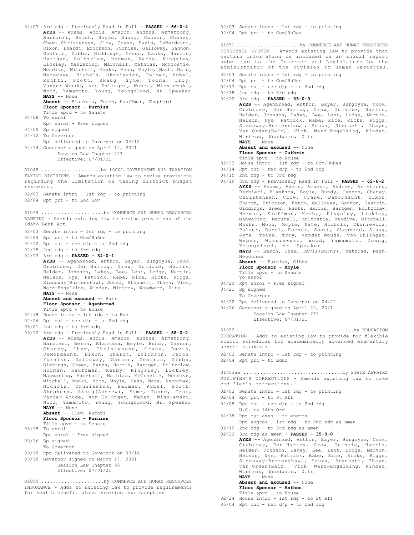```
04/07 3rd rdg - Previously Read in Full - PASSED - 66-0-4
       AYES -- Adams, Addis, Amador, Andrus, Armstrong,
       Barbieri, Berch, Boyle, Bundy, Cannon, Chaney,
       Chew, Christensen, Clow, Crane, Davis, DeMordaunt,
       Dixon, Ehardt, Erickson, Furniss, Galloway, Gannon,
       Gestrin, Gibbs, Giddings, Green, Hanks, Harris,
       Hartgen, Holtzclaw, Horman, Kerby, Kingsley,
       Lickley, Manwaring, Marshall, Mathias, McCrostie,
       Mendive, Mitchell, Monks, Moon, Moyle, Nash, Nate,
       Necochea, Nichols, Okuniewicz, Palmer, Rubel,
       Ruchti, Scott, Skaug, Syme, Toone, Troy,
       Vander Woude, von Ehlinger, Weber, Wisniewski,
       Wood, Yamamoto, Young, Youngblood, Mr. Speaker
       NAYS -- None
       Absent -- Blanksma, Ferch, Kauffman, Shepherd
       Floor Sponsor - Furniss
       Title apvd - to Senate
04/08 To enrol
      Rpt enrol - Pres signed
04/09 Sp signed
04/12 To Governor
      Rpt delivered to Governor on 04/12
04/14 Governor signed on April 14, 2021
           Session Law Chapter 223
            Effective: 07/01/21
TAXING DISTRICTS - Amends existing law to revise provisions
regarding the limitation on taxing district budget
requests.
02/03 Senate intro - 1st rdg - to printing
02/04 Rpt prt - to Loc Gov
S1048 ............................by LOCAL GOVERNMENT AND TAXATION
BANKING - Amends existing law to revise provisions of the
Idaho Bank Act.
02/03 Senate intro - 1st rdg - to printing
02/04 Rpt prt - to Com/HuRes
02/12 Rpt out - rec d/p - to 2nd rdg
02/15 2nd rdg - to 3rd rdg
02/17 3rd rdg - PASSED - 34-0-1
      AYES -- Agenbroad, Anthon, Bayer, Burgoyne, Cook,
       Crabtree, Den Hartog, Grow, Guthrie, Harris,
Heider, Johnson, Lakey, Lee, Lent, Lodge, Martin,
Nelson, Nye, Patrick, Rabe, Rice, Ricks, Riggs,
       Siddoway(Burtenshaw), Souza, Stennett, Thayn, Vick,
       Ward-Engelking, Winder, Wintrow, Woodward, Zito
       NAYS -- None
      Absent and excused -- Bair
       Floor Sponsor - Agenbroad
       Title apvd - to House
02/18 House intro - 1st rdg - to Bus
02/26 Rpt out - rec d/p - to 2nd rdg
03/01 2nd rdg - to 3rd rdg
03/12 3rd rdg - Previously Read in Full - PASSED - 68-0-2
AYES -- Adams, Addis, Amador, Andrus, Armstrong,
       Barbieri, Berch, Blanksma, Boyle, Bundy, Cannon,
Chaney, Chew, Christensen, Crane, Davis,
       DeMordaunt, Dixon, Ehardt, Erickson, Ferch,
       Furniss, Galloway, Gannon, Gestrin, Gibbs,
Giddings, Green, Hanks, Harris, Hartgen, Holtzclaw,
       Horman, Kauffman, Kerby, Kingsley, Lickley,
       Manwaring, Marshall, Mathias, McCrostie, Mendive,
       Mitchell, Monks, Moon, Moyle, Nash, Nate, Necochea,
       Nichols, Okuniewicz, Palmer, Rubel, Scott,
       Shepherd, Skaug(Andrew), Syme, Toone, Troy,
       Vander Woude, von Ehlinger, Weber, Wisniewski,
Wood, Yamamoto, Young, Youngblood, Mr. Speaker
       NAYS -- None
      Absent -- Clow, Ruchti
       Floor Sponsor - Furniss
       Title apvd - to Senate
03/15 To enrol
      Rpt enrol - Pres signed
03/16 Sp signed
      To Governor
03/18 Rpt delivered to Governor on 03/16
03/18 Governor signed on March 17, 2021
            Session Law Chapter 58
            Effective: 07/01/21
S1049 ......................by COMMERCE AND HUMAN RESOURCES
S1050 ......................by COMMERCE AND HUMAN RESOURCES
```
INSURANCE - Adds to existing law to provide requirements for health benefit plans covering contraception.

02/03 Senate intro - 1st rdg - to printing 02/04 Rpt prt - to Com/HuRes

PERSONNEL SYSTEM - Amends existing law to provide that certain information be included in an annual report submitted to the Governor and Legislature by the administrator of the Division of Human Resources. S1051 ......................by COMMERCE AND HUMAN RESOURCES

- 02/03 Senate intro 1st rdg to printing
- 02/04 Rpt prt to Com/HuRes
- $02/17$  Rpt out rec  $d/p$  to 2nd rdg
- 02/18 2nd rdg to 3rd rdg

02/22 3rd rdg - **PASSED - 35-0-0 AYES** -- Agenbroad, Anthon, Bayer, Burgoyne, Cook, Crabtree, Den Hartog, Grow, Guthrie, Harris, Heider, Johnson, Lakey, Lee, Lent, Lodge, Martin, Nelson, Nye, Patrick, Rabe, Rice, Ricks, Riggs, Siddoway(Burtenshaw), Souza, Stennett, Thayn, Van Orden(Bair), Vick, Ward-Engelking, Winder, Wintrow, Woodward, Zito **NAYS** -- None Absent and excused -- None **Floor Sponsor - Guthrie** Title apvd - to House 02/23 House intro - 1st rdg - to Com/HuRes  $04/14$  Rpt out - rec  $d/p$  - to 2nd rdg 04/15 2nd rdg - to 3rd rdg 04/19 3rd rdg - Previously Read in Full - **PASSED - 62-6-2 AYES** -- Adams, Addis, Amador, Andrus, Armstrong, Barbieri, Blanksma, Boyle, Bundy, Cannon, Chaney, Christensen, Clow, Crane, DeMordaunt, Dixon, Ehardt, Erickson, Ferch, Galloway, Gannon, Gestrin, Giddings, Green, Hanks, Harris, Hartgen, Holtzclaw, Horman, Kauffman, Kerby, Kingsley, Lickley, Manwaring, Marshall, McCrostie, Mendive, Mitchell, Monks, Moon, Moyle, Nate, Nichols, Okuniewicz, Palmer, Rubel, Ruchti, Scott, Shepherd, Skaug, Syme, Toone, Troy, Vander Woude, von Ehlinger, Weber, Wisniewski, Wood, Yamamoto, Young, Youngblood, Mr. Speaker **NAYS** -- Berch, Chew, Davis(Burns), Mathias, Nash, Necochea **Absent** -- Furniss, Gibbs **Floor Sponsor - Moyle** Title apvd - to Senate To enrol 04/20 Rpt enrol - Pres signed 04/21 Sp signed To Governor 04/22 Rpt delivered to Governor on 04/21 04/26 Governor signed on April 22, 2021 Session Law Chapter 271 Effective: 07/01/21 EDUCATION - Adds to existing law to provide for flexible school schedules for academically advanced elementary school students. 02/03 Senate intro - 1st rdg - to printing 02/04 Rpt prt - to Educ S1052 .........................................by EDUCATION CODIFIER'S CORRECTIONS - Amends existing law to make codifier's corrections. 02/03 Senate intro - 1st rdg - to printing 02/04 Rpt prt - to St Aff 02/09 Rpt out - rec d/p - to 2nd rdg U.C. to 14th Ord 02/18 Rpt out amen - to engros Rpt engros - 1st rdg - to 2nd rdg as amen 02/19 2nd rdg - to 3rd rdg as amen 02/23 3rd rdg as amen - **PASSED - 35-0-0 AYES** -- Agenbroad, Anthon, Bayer, Burgoyne, Cook, S1053aa ...................................by STATE AFFAIRS

Crabtree, Den Hartog, Grow, Guthrie, Harris, Heider, Johnson, Lakey, Lee, Lent, Lodge, Martin, Nelson, Nye, Patrick, Rabe, Rice, Ricks, Riggs, Siddoway(Burtenshaw), Souza, Stennett, Thayn, Van Orden(Bair), Vick, Ward-Engelking, Winder, Wintrow, Woodward, Zito **NAYS** -- None

**Absent and excused** -- None **Floor Sponsor - Anthon**

- Title apvd to House
- 02/24 House intro 1st rdg to St Aff
- $05/04$  Rpt out rec d/p to 2nd rdg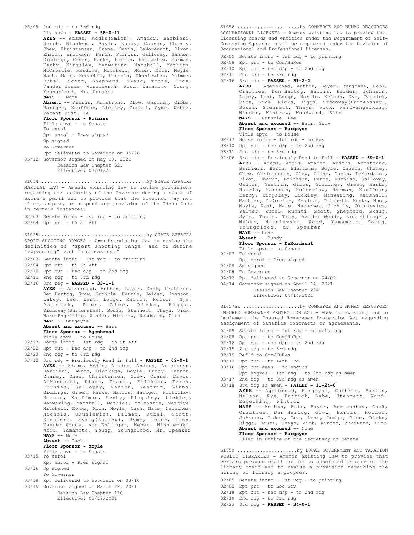```
05/05 2nd rdg - to 3rd rdg
      Rls susp - PASSED - 58-0-11
      AYES -- Adams, Addis(Smith), Amador, Barbieri,
       Berch, Blanksma, Boyle, Bundy, Cannon, Chaney,
Chew, Christensen, Crane, Davis, DeMordaunt, Dixon,
      Ehardt, Erickson, Ferch, Furniss, Galloway, Gannon,
      Giddings, Green, Hanks, Harris, Holtzclaw, Horman,
       Kerby, Kingsley, Manwaring, Marshall, Mathias,
      McCrostie, Mendive, Mitchell, Monks, Moon, Moyle,
       Nash, Nate, Necochea, Nichols, Okuniewicz, Palmer,
       Rubel, Scott, Shepherd, Skaug, Toone, Troy,
Vander Woude, Wisniewski, Wood, Yamamoto, Young,
      Youngblood, Mr. Speaker
      NAYS -- None
      Absent -- Andrus, Armstrong, Clow, Gestrin, Gibbs,
      Hartgen, Kauffman, Lickley, Ruchti, Syme, Weber,
      Vacant-Dist. 6A
      Floor Sponsor - Furniss
      Title apvd - to Senate
       To enrol
      Rpt enrol - Pres signed
      Sp signed
      To Governor
      Rpt delivered to Governor on 05/06
05/12 Governor signed on May 10, 2021
          Session Law Chapter 321
           Effective: 07/01/21
MARTIAL LAW - Amends existing law to revise provisions
regarding the authority of the Governor during a state of
extreme peril and to provide that the Governor may not
alter, adjust, or suspend any provision of the Idaho Code
in certain instances.
02/03 Senate intro - 1st rdg - to printing
02/04 Rpt prt - to St Aff
S1054 .....................................by STATE AFFAIRS
SPORT SHOOTING RANGES - Amends existing law to revise the
definition of "sport shooting range" and to define
"expanding" and "increasing."
02/03 Senate intro - 1st rdg - to printing
02/04 Rpt prt - to St Aff
02/10 Rpt out - rec d/p - to 2nd rdg
02/11 2nd rdg - to 3rd rdg
02/16 3rd rdg - PASSED - 33-1-1
      AYES -- Agenbroad, Anthon, Bayer, Cook, Crabtree,
      Den Hartog, Grow, Guthrie, Harris, Heider, Johnson,
       Lakey, Lee, Lent, Lodge, Martin, Nelson, Nye,
       Patrick, Rabe, Rice, Ricks, Riggs,
Siddoway(Burtenshaw), Souza, Stennett, Thayn, Vick,
      Ward-Engelking, Winder, Wintrow, Woodward, Zito
      NAYS -- Burgoyne
      Absent and excused -- Bair
       Floor Sponsor - Agenbroad
       Title apvd - to House
02/17 House intro - 1st rdg - to St Aff
02/22 Rpt out - rec d/p - to 2nd rdg
02/23 2nd rdg - to 3rd rdg
03/12 3rd rdg - Previously Read in Full - PASSED - 69-0-1
      AYES -- Adams, Addis, Amador, Andrus, Armstrong,
      Barbieri, Berch, Blanksma, Boyle, Bundy, Cannon,
       Chaney, Chew, Christensen, Clow, Crane, Davis,
       DeMordaunt, Dixon, Ehardt, Erickson, Ferch,
Furniss, Galloway, Gannon, Gestrin, Gibbs,
      Giddings, Green, Hanks, Harris, Hartgen, Holtzclaw,
       Horman, Kauffman, Kerby, Kingsley, Lickley,
      Manwaring, Marshall, Mathias, McCrostie, Mendive,
      Mitchell, Monks, Moon, Moyle, Nash, Nate, Necochea,
       Nichols, Okuniewicz, Palmer, Rubel, Scott,
      Shepherd, Skaug(Andrew), Syme, Toone, Troy,
       Vander Woude, von Ehlinger, Weber, Wisniewski,
      Wood, Yamamoto, Young, Youngblood, Mr. Speaker
      NAYS -- None
      Absent -- Ruchti
      Floor Sponsor - Moyle
      Title apvd - to Senate
03/15 To enrol
      Rpt enrol - Pres signed
03/16 Sp signed
      To Governor
03/18 Rpt delivered to Governor on 03/16
03/19 Governor signed on March 22, 2021
           Session Law Chapter 110
           Effective: 03/19/2021
S1055 .....................................by STATE AFFAIRS
```
OCCUPATIONAL LICENSES - Amends existing law to provide that licensing boards and entities under the Department of Self-Governing Agencies shall be organized under the Division of Occupational and Professional Licenses. S1056 ......................by COMMERCE AND HUMAN RESOURCES

02/05 Senate intro - 1st rdg - to printing

02/08 Rpt prt - to Com/HuRes

- $02/10$  Rpt out rec  $d/p$  to 2nd rdg
- 02/11 2nd rdg to 3rd rdg
- 02/16 3rd rdg **PASSED 31-2-2**

**AYES** -- Agenbroad, Anthon, Bayer, Burgoyne, Cook, Crabtree, Den Hartog, Harris, Heider, Johnson, Lakey, Lent, Lodge, Martin, Nelson, Nye, Patrick, Rabe, Rice, Ricks, Riggs, Siddoway(Burtenshaw), Souza, Stennett, Thayn, Vick, Ward-Engelking, Winder, Wintrow, Woodward, Zito **NAYS** -- Guthrie, Lee **Absent and excused** -- Bair, Grow **Floor Sponsor - Burgoyne** Title apvd - to House 02/17 House intro - 1st rdg - to Bus  $03/10$  Rpt out - rec  $d/p$  - to 2nd rdg  $03/11$  2nd rdg - to 3rd rdg

- 04/06 3rd rdg Previously Read in Full **PASSED 69-0-1 AYES** -- Adams, Addis, Amador, Andrus, Armstrong, Barbieri, Berch, Blanksma, Boyle, Cannon, Chaney, Chew, Christensen, Clow, Crane, Davis, DeMordaunt, Dixon, Ehardt, Erickson, Ferch, Furniss, Galloway, Gannon, Gestrin, Gibbs, Giddings, Green, Hanks, Harris, Hartgen, Holtzclaw, Horman, Kauffman, Kerby, Kingsley, Lickley, Manwaring, Marshall, Mathias, McCrostie, Mendive, Mitchell, Monks, Moon, Moyle, Nash, Nate, Necochea, Nichols, Okuniewicz, Palmer, Rubel, Ruchti, Scott, Shepherd, Skaug, Syme, Toone, Troy, Vander Woude, von Ehlinger, Weber, Wisniewski, Wood, Yamamoto, Young, Youngblood, Mr. Speaker **NAYS** -- None
	- **Absent** -- Bundy
	- **Floor Sponsor DeMordaunt** Title apvd - to Senate
- 04/07 To enrol
- Rpt enrol Pres signed
- 04/08 Sp signed
- 04/09 To Governor
- 04/12 Rpt delivered to Governor on 04/09
- 04/14 Governor signed on April 14, 2021

Session Law Chapter 224 Effective: 04/14/2021

INSURED HOMEOWNER PROTECTION ACT - Adds to existing law to implement the Insured Homeowner Protection Act regarding assignment of benefits contracts or agreements. S1057aa ....................by COMMERCE AND HUMAN RESOURCES

- 02/05 Senate intro 1st rdg to printing
- 02/08 Rpt prt to Com/HuRes
- $02/12$  Rpt out rec  $d/p$  to 2nd rdg
- 02/15 2nd rdg to 3rd rdg
- 02/19 Ref'd to Com/HuRes
- 03/10 Rpt out to 14th Ord
- 03/16 Rpt out amen to engros Rpt engros - 1st rdg - to 2nd rdg as amen
- 03/17 2nd rdg to 3rd rdg as amen 03/18 3rd rdg as amen - **FAILED - 11-24-0**
	- **AYES** -- Agenbroad, Burgoyne, Guthrie, Martin, Nelson, Nye, Patrick, Rabe, Stennett, Ward-Engelking, Wintrow **NAYS** -- Anthon, Bair, Bayer, Burtenshaw, Cook, Crabtree, Den Hartog, Grow, Harris, Heider, Johnson, Lakey, Lee, Lent, Lodge, Rice, Ricks, Riggs, Souza, Thayn, Vick, Winder, Woodward, Zito **Absent and excused** -- None **Floor Sponsor - Burgoyne** Filed in Office of the Secretary of Senate

PUBLIC LIBRARIES - Amends existing law to provide that certain persons shall not be an appointed trustee of the library board and to revise a provision regarding the hiring of library employees. S1058 .....................by LOCAL GOVERNMENT AND TAXATION

02/05 Senate intro - 1st rdg - to printing

02/08 Rpt prt - to Loc Gov

 $02/18$  Rpt out - rec d/p - to 2nd rdg

- 02/19 2nd rdg to 3rd rdg
- 02/23 3rd rdg **PASSED 34-0-1**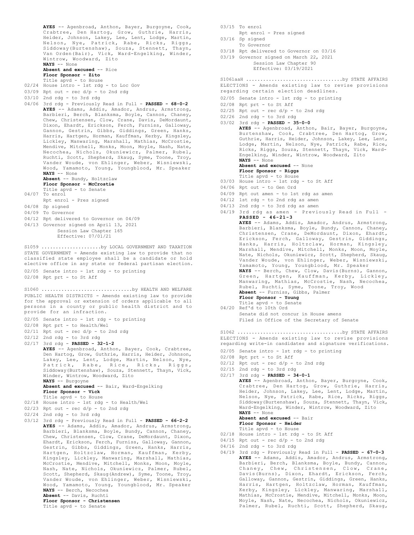```
AYES -- Agenbroad, Anthon, Bayer, Burgoyne, Cook,
      Crabtree, Den Hartog, Grow, Guthrie, Harris,
      Heider, Johnson, Lakey, Lee, Lent, Lodge, Martin,
      Nelson, Nye, Patrick, Rabe, Ricks, Riggs,
      Siddoway(Burtenshaw), Souza, Stennett, Thayn,
      Van Orden(Bair), Vick, Ward-Engelking, Winder,
      Wintrow, Woodward, Zito
      NAYS -- None
      Absent and excused -- Rice
      Floor Sponsor - Zito
      Title apvd - to House
02/24 House intro - 1st rdg - to Loc Gov
03/09 Rpt out - rec d/p - to 2nd rdg
03/10 2nd rdg - to 3rd rdg
04/06 3rd rdg - Previously Read in Full - PASSED - 68-0-2
      AYES -- Adams, Addis, Amador, Andrus, Armstrong,
      Barbieri, Berch, Blanksma, Boyle, Cannon, Chaney,
      Chew, Christensen, Clow, Crane, Davis, DeMordaunt,
      Dixon, Ehardt, Erickson, Ferch, Furniss, Galloway,
       Gannon, Gestrin, Gibbs, Giddings, Green, Hanks,
Harris, Hartgen, Horman, Kauffman, Kerby, Kingsley,
      Lickley, Manwaring, Marshall, Mathias, McCrostie,
      Mendive, Mitchell, Monks, Moon, Moyle, Nash, Nate,
      Necochea, Nichols, Okuniewicz, Palmer, Rubel,
      Ruchti, Scott, Shepherd, Skaug, Syme, Toone, Troy,
      Vander Woude, von Ehlinger, Weber, Wisniewski,
       Wood, Yamamoto, Young, Youngblood, Mr. Speaker
NAYS -- None
      Absent -- Bundy, Holtzclaw
      Floor Sponsor - McCrostie
      Title apvd - to Senate
04/07 To enrol
      Rpt enrol - Pres signed
04/08 Sp signed
04/09 To Governor
04/12 Rpt delivered to Governor on 04/09
04/13 Governor signed on April 13, 2021
          Session Law Chapter 165
           Effective: 07/01/21
STATE GOVERNMENT - Amends existing law to provide that no
classified state employee shall be a candidate or hold
elective office in any state or federal partisan election.
02/05 Senate intro - 1st rdg - to printing
02/08 Rpt prt - to St Aff
S1059 ..........................by LOCAL GOVERNMENT AND TAXATION
PUBLIC HEALTH DISTRICTS - Amends existing law to provide
for the approval or extension of orders applicable to all
persons in a county or public health district and to
provide for an infraction.
02/05 Senate intro - 1st rdg - to printing
02/08 Rpt prt - to Health/Wel
02/11 Rpt out - rec d/p - to 2nd rdg
02/12 2nd rdg - to 3rd rdg
02/17 3rd rdg - PASSED - 32-1-2
      AYES -- Agenbroad, Anthon, Bayer, Cook, Crabtree,
      Den Hartog, Grow, Guthrie, Harris, Heider, Johnson,
      Lakey, Lee, Lent, Lodge, Martin, Nelson, Nye,
       Patrick, Rabe, Rice, Ricks, Riggs,
Siddoway(Burtenshaw), Souza, Stennett, Thayn, Vick,
       Winder, Wintrow, Woodward, Zito
NAYS -- Burgoyne
      Absent and excused -- Bair, Ward-Engelking
      Floor Sponsor - Vick
Title apvd - to House
02/18 House intro - 1st rdg - to Health/Wel
02/23 Rpt out - rec d/p - to 2nd rdg
02/24 2nd rdg - to 3rd rdg
03/12 3rd rdg - Previously Read in Full - PASSED - 66-2-2
      AYES -- Adams, Addis, Amador, Andrus, Armstrong,
      Barbieri, Blanksma, Boyle, Bundy, Cannon, Chaney,
      Chew, Christensen, Clow, Crane, DeMordaunt, Dixon,
      Ehardt, Erickson, Ferch, Furniss, Galloway, Gannon,
      Gestrin, Gibbs, Giddings, Green, Hanks, Harris,
      Hartgen, Holtzclaw, Horman, Kauffman, Kerby,
      Kingsley, Lickley, Manwaring, Marshall, Mathias,
      McCrostie, Mendive, Mitchell, Monks, Moon, Moyle,
      Nash, Nate, Nichols, Okuniewicz, Palmer, Rubel,
      Scott, Shepherd, Skaug(Andrew), Syme, Toone, Troy,
      Vander Woude, von Ehlinger, Weber, Wisniewski,
      Wood, Yamamoto, Young, Youngblood, Mr. Speaker
      NAYS -- Berch, Necochea
      Absent -- Davis, Ruchti
      Floor Sponsor - Christensen
S1060 ..................................by HEALTH AND WELFARE
```
Title apvd - to Senate

- 03/15 To enrol
- Rpt enrol Pres signed 03/16 Sp signed
	- To Governor
- 03/18 Rpt delivered to Governor on 03/16
- 03/19 Governor signed on March 22, 2021 Session Law Chapter 90

#### Effective: 03/19/2021

#### ELECTIONS - Amends existing law to revise provisions S1061aaH ..................................by STATE AFFAIRS

- regarding certain election deadlines.
- 02/05 Senate intro 1st rdg to printing
- 02/08 Rpt prt to St Aff
- $02/25$  Rpt out rec  $d/p$  to 2nd rdg
- 02/26 2nd rdg to 3rd rdg
- 03/02 3rd rdg **PASSED 35-0-0**
	- **AYES** -- Agenbroad, Anthon, Bair, Bayer, Burgoyne, Burtenshaw, Cook, Crabtree, Den Hartog, Grow, Guthrie, Harris, Heider, Johnson, Lakey, Lee, Lent, Lodge, Martin, Nelson, Nye, Patrick, Rabe, Rice, Ricks, Riggs, Souza, Stennett, Thayn, Vick, Ward-Engelking, Winder, Wintrow, Woodward, Zito **NAYS** -- None
		- Absent and excused -- None

**Floor Sponsor - Riggs**

- Title apvd to House
- 03/03 House intro 1st rdg to St Aff
- 04/06 Rpt out to Gen Ord
- 04/09 Rpt out amen to 1st rdg as amen
- 04/12 1st rdg to 2nd rdg as amen
- $04/13$  2nd rdg to 3rd rdg as amen
- 04/19 3rd rdg as amen Previously Read in Full **PASSED - 46-21-3**

```
AYES -- Adams, Addis, Amador, Andrus, Armstrong,
Barbieri, Blanksma, Boyle, Bundy, Cannon, Chaney,
Christensen, Crane, DeMordaunt, Dixon, Ehardt,
Erickson, Ferch, Galloway, Gestrin, Giddings,
Hanks, Harris, Holtzclaw, Horman, Kingsley,
Marshall, Mendive, Mitchell, Monks, Moon, Moyle,
Nate, Nichols, Okuniewicz, Scott, Shepherd, Skaug,
Vander Woude, von Ehlinger, Weber, Wisniewski,
Yamamoto, Young, Youngblood, Mr. Speaker
NAYS -- Berch, Chew, Clow, Davis(Burns), Gannon,
Green, Hartgen, Kauffman, Kerby, Lickley,
Manwaring, Mathias, McCrostie, Nash, Necochea,
Rubel, Ruchti, Syme, Toone, Troy, Wood
Absent -- Furniss, Gibbs, Palmer
Floor Sponsor - Young
Title apvd - to Senate
```
04/20 Ref'd to 10th Ord Senate did not concur in House amens Filed in Office of the Secretary of Senate

ELECTIONS - Amends existing law to revise provisions regarding write-in candidates and signature verifications. S1062 .....................................by STATE AFFAIRS

- 02/05 Senate intro 1st rdg to printing
- 02/08 Rpt prt to St Aff
- $02/12$  Rpt out rec d/p to 2nd rdg
- 02/15 2nd rdg to 3rd rdg
- 02/17 3rd rdg **PASSED 34-0-1**

**AYES** -- Agenbroad, Anthon, Bayer, Burgoyne, Cook, Crabtree, Den Hartog, Grow, Guthrie, Harris, Heider, Johnson, Lakey, Lee, Lent, Lodge, Martin, Nelson, Nye, Patrick, Rabe, Rice, Ricks, Riggs, Siddoway(Burtenshaw), Souza, Stennett, Thayn, Vick, Ward-Engelking, Winder, Wintrow, Woodward, Zito **NAYS** -- None

```
Absent and excused -- Bair
```
- **Floor Sponsor Heider**
- Title apvd to House
- 02/18 House intro 1st rdg to St Aff
- $04/15$  Rpt out rec  $d/p$  to 2nd rdg
- 04/16 2nd rdg to 3rd rdg
- 04/19 3rd rdg Previously Read in Full **PASSED 67-0-3 AYES** -- Adams, Addis, Amador, Andrus, Armstrong, Barbieri, Berch, Blanksma, Boyle, Bundy, Cannon, Chaney, Chew, Christensen, Clow, Crane, Davis(Burns), Dixon, Ehardt, Erickson, Ferch, Galloway, Gannon, Gestrin, Giddings, Green, Hanks, Harris, Hartgen, Holtzclaw, Horman, Kauffman, Kerby, Kingsley, Lickley, Manwaring, Marshall, Mathias, McCrostie, Mendive, Mitchell, Monks, Moon, Moyle, Nash, Nate, Necochea, Nichols, Okuniewicz, Palmer, Rubel, Ruchti, Scott, Shepherd, Skaug,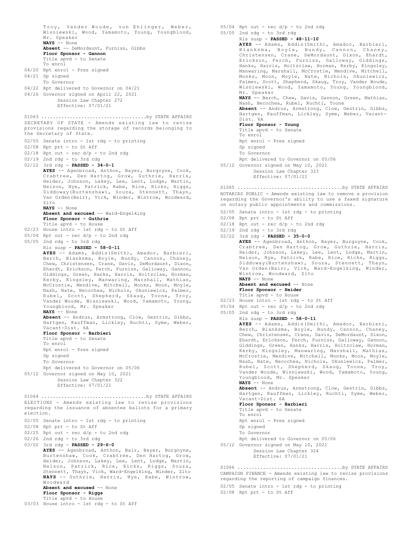Troy, Vander Woude, von Ehlinger, Weber, Wisniewski, Wood, Yamamoto, Young, Youngblood, Mr. Speaker **NAYS** -- None **Absent** -- DeMordaunt, Furniss, Gibbs **Floor Sponsor - Gannon** Title apvd - to Senate To enrol 04/20 Rpt enrol - Pres signed 04/21 Sp signed To Governor 04/22 Rpt delivered to Governor on 04/21 04/26 Governor signed on April 22, 2021 Session Law Chapter 272 Effective: 07/01/21 SECRETARY OF STATE - Amends existing law to revise provisions regarding the storage of records belonging to the Secretary of State. 02/05 Senate intro - 1st rdg - to printing 02/08 Rpt prt - to St Aff 02/18 Rpt out - rec d/p - to 2nd rdg 02/19 2nd rdg - to 3rd rdg 02/22 3rd rdg - **PASSED - 34-0-1 AYES** -- Agenbroad, Anthon, Bayer, Burgoyne, Cook, Crabtree, Den Hartog, Grow, Guthrie, Harris, Heider, Johnson, Lakey, Lee, Lent, Lodge, Martin,<br>Nelson, Nye, Patrick, Rabe, Rice, Ricks, Riggs,<br>Siddoway(Burtenshaw), Souza, Stennett, Thayn,<br>Van Orden(Bair), Vick, Winder, Wintrow, Woodward, Zito **NAYS** -- None **Absent and excused** -- Ward-Engelking **Floor Sponsor - Guthrie** Title apvd - to House 02/23 House intro - 1st rdg - to St Aff 05/04 Rpt out - rec d/p - to 2nd rdg  $05/05$  2nd rdg - to 3rd rdg Rls susp - **PASSED - 58-0-11 AYES** -- Adams, Addis(Smith), Amador, Barbieri, Berch, Blanksma, Boyle, Bundy, Cannon, Chaney, Chew, Christensen, Crane, Davis, DeMordaunt, Dixon, Ehardt, Erickson, Ferch, Furniss, Galloway, Gannon, Giddings, Green, Hanks, Harris, Holtzclaw, Horman, Kerby, Kingsley, Manwaring, Marshall, Mathias, McCrostie, Mendive, Mitchell, Monks, Moon, Moyle, Nash, Nate, Necochea, Nichols, Okuniewicz, Palmer, Rubel, Scott, Shepherd, Skaug, Toone, Troy, Vander Woude, Wisniewski, Wood, Yamamoto, Young, Youngblood, Mr. Speaker **NAYS** -- None **Absent** -- Andrus, Armstrong, Clow, Gestrin, Gibbs, Hartgen, Kauffman, Lickley, Ruchti, Syme, Weber, Vacant-Dist. 6A **Floor Sponsor - Barbieri** Title apvd - to Senate To enrol Rpt enrol - Pres signed Sp signed To Governor Rpt delivered to Governor on 05/06 05/12 Governor signed on May 10, 2021 Session Law Chapter 322 Effective: 07/01/21 S1063 .....................................by STATE AFFAIRS ELECTIONS - Amends existing law to revise provisions regarding the issuance of absentee ballots for a primary election. 02/05 Senate intro - 1st rdg - to printing 02/08 Rpt prt - to St Aff 02/25 Rpt out - rec d/p - to 2nd rdg 02/26 2nd rdg - to 3rd rdg 03/02 3rd rdg - **PASSED - 29-6-0 AYES** -- Agenbroad, Anthon, Bair, Bayer, Burgoyne, Burtenshaw, Cook, Crabtree, Den Hartog, Grow, Heider, Johnson, Lakey, Lee, Lent, Lodge, Martin, Nelson, Patrick, Rice, Ricks, Riggs, Souza, Stennett, Thayn, Vick, Ward-Engelking, Winder, Zito **NAYS** -- Guthrie, Harris, Nye, Rabe, Wintrow, Woodward Absent and excused -- None **Floor Sponsor - Riggs** S1064 .....................................by STATE AFFAIRS

```
Title apvd - to House
03/03 House intro - 1st rdg - to St Aff
```
05/04 Rpt out - rec d/p - to 2nd rdg 05/05 2nd rdg - to 3rd rdg Rls susp - **PASSED - 48-11-10** AYES -- Adams, Addis(Smith), Amador, Barbieri, Blanksma, Boyle, Bundy, Cannon, Chaney, Christensen, Crane, DeMordaunt, Dixon, Ehardt, Erickson, Ferch, Furniss, Galloway, Giddings, Hanks, Harris, Holtzclaw, Horman, Kerby, Kingsley, Manwaring, Marshall, McCrostie, Mendive, Mitchell, Monks, Moon, Moyle, Nate, Nichols, Okuniewicz, Palmer, Scott, Shepherd, Skaug, Troy, Vander Woude, Wisniewski, Wood, Yamamoto, Young, Youngblood, Mr. Speaker **NAYS** -- Berch, Chew, Davis, Gannon, Green, Mathias, Nash, Necochea, Rubel, Ruchti, Toone **Absent** -- Andrus, Armstrong, Clow, Gestrin, Gibbs, Hartgen, Kauffman, Lickley, Syme, Weber, Vacant-Dist. 6A **Floor Sponsor - Young** Title apvd - to Senate To enrol Rpt enrol - Pres signed Sp signed To Governor Rpt delivered to Governor on 05/06 05/12 Governor signed on May 10, 2021 Session Law Chapter 323 Effective: 07/01/21 NOTARIES PUBLIC - Amends existing law to remove a provision regarding the Governor's ability to use a faxed signature on notary public appointments and commissions. 02/05 Senate intro - 1st rdg - to printing 02/08 Rpt prt - to St Aff  $02/18$  Rpt out - rec  $d/p$  - to 2nd rdg 02/19 2nd rdg - to 3rd rdg 02/22 3rd rdg - **PASSED - 35-0-0 AYES** -- Agenbroad, Anthon, Bayer, Burgoyne, Cook, Crabtree, Den Hartog, Grow, Guthrie, Harris, Heider, Johnson, Lakey, Lee, Lent, Lodge, Martin, Nelson, Nye, Patrick, Rabe, Rice, Ricks, Riggs, Siddoway(Burtenshaw), Souza, Stennett, Thayn, Van Orden(Bair), Vick, Ward-Engelking, Winder, Wintrow, Woodward, Zito **NAYS** -- None **Absent and excused** -- None **Floor Sponsor - Heider** Title apvd - to House 02/23 House intro - 1st rdg - to St Aff 05/04 Rpt out - rec d/p - to 2nd rdg 05/05 2nd rdg - to 3rd rdg Rls susp - **PASSED - 58-0-11 AYES** -- Adams, Addis(Smith), Amador, Barbieri, Berch, Blanksma, Boyle, Bundy, Cannon, Chaney, Chew, Christensen, Crane, Davis, DeMordaunt, Dixon, Ehardt, Erickson, Ferch, Furniss, Galloway, Gannon, Giddings, Green, Hanks, Harris, Holtzclaw, Horman, Kerby, Kingsley, Manwaring, Marshall, Mathias, McCrostie, Mendive, Mitchell, Monks, Moon, Moyle, Nash, Nate, Necochea, Nichols, Okuniewicz, Palmer, Rubel, Scott, Shepherd, Skaug, Toone, Troy, Vander Woude, Wisniewski, Wood, Yamamoto, Young, Youngblood, Mr. Speaker **NAYS** -- None **Absent** -- Andrus, Armstrong, Clow, Gestrin, Gibbs, Hartgen, Kauffman, Lickley, Ruchti, Syme, Weber, Vacant-Dist. 6A **Floor Sponsor - Barbieri** Title apvd - to Senate To enrol Rpt enrol - Pres signed Sp signed To Governor Rpt delivered to Governor on 05/06 05/12 Governor signed on May 10, 2021 Session Law Chapter 324 Effective: 07/01/21 S1065 .....................................by STATE AFFAIRS CAMPAIGN FINANCE - Amends existing law to revise provisions regarding the reporting of campaign finances. 02/05 Senate intro - 1st rdg - to printing S1066 .....................................by STATE AFFAIRS

```
02/08 Rpt prt - to St Aff
```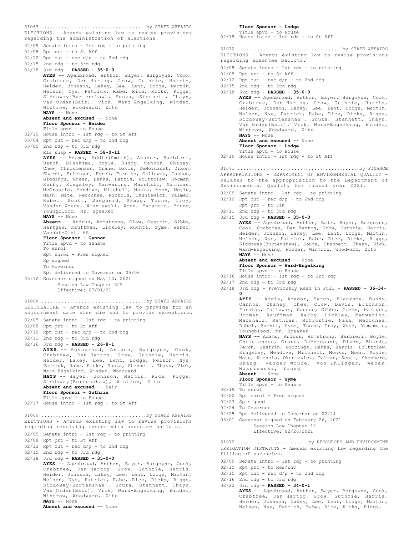ELECTIONS - Amends existing law to revise provisions regarding the administration of elections. 02/05 Senate intro - 1st rdg - to printing 02/08 Rpt prt - to St Aff  $02/12$  Rpt out - rec  $d/p$  - to 2nd rdg 02/15 2nd rdg - to 3rd rdg 02/18 3rd rdg - **PASSED - 35-0-0 AYES** -- Agenbroad, Anthon, Bayer, Burgoyne, Cook, Crabtree, Den Hartog, Grow, Guthrie, Harris, Heider, Johnson, Lakey, Lee, Lent, Lodge, Martin, Nelson, Nye, Patrick, Rabe, Rice, Ricks, Riggs, Siddoway(Burtenshaw), Souza, Stennett, Thayn, Van Orden(Bair), Vick, Ward-Engelking, Winder, Wintrow, Woodward, Zito **NAYS** -- None **Absent and excused** -- None **Floor Sponsor - Heider** Title apvd - to House 02/19 House intro - 1st rdg - to St Aff 05/04 Rpt out - rec d/p - to 2nd rdg 05/05 2nd rdg - to 3rd rdg Rls susp - **PASSED - 58-0-11 AYES** -- Adams, Addis(Smith), Amador, Barbieri, Berch, Blanksma, Boyle, Bundy, Cannon, Chaney, Chew, Christensen, Crane, Davis, DeMordaunt, Dixon, Ehardt, Erickson, Ferch, Furniss, Galloway, Gannon, Giddings, Green, Hanks, Harris, Holtzclaw, Horman, Kerby, Kingsley, Manwaring, Marshall, Mathias, McCrostie, Mendive, Mitchell, Monks, Moon, Moyle, Nash, Nate, Necochea, Nichols, Okuniewicz, Palmer, Rubel, Scott, Shepherd, Skaug, Toone, Troy, Vander Woude, Wisniewski, Wood, Yamamoto, Young, Youngblood, Mr. Speaker **NAYS** -- None **Absent** -- Andrus, Armstrong, Clow, Gestrin, Gibbs, Hartgen, Kauffman, Lickley, Ruchti, Syme, Weber, Vacant-Dist. 6A **Floor Sponsor - Gannon** Title apvd - to Senate To enrol Rpt enrol - Pres signed Sp signed To Governor Rpt delivered to Governor on 05/06 05/12 Governor signed on May 10, 2021 Session Law Chapter 325 Effective: 07/01/21 S1067 .....................................by STATE AFFAIRS LEGISLATURE - Amends existing law to provide for an adjournment date sine die and to provide exceptions. 02/05 Senate intro - 1st rdg - to printing 02/08 Rpt prt - to St Aff  $02/10$  Rpt out - rec d/p - to 2nd rdg 02/11 2nd rdg - to 3rd rdg 02/16 3rd rdg - **PASSED - 26-8-1 AYES** -- Agenbroad, Anthon, Burgoyne, Cook, Crabtree, Den Hartog, Grow, Guthrie, Harris, Heider, Lakey, Lee, Lent, Lodge, Nelson, Nye, Patrick, Rabe, Ricks, Souza, Stennett, Thayn, Vick, Ward-Engelking, Winder, Woodward **NAYS** -- Bayer, Johnson, Martin, Rice, Riggs, Siddoway(Burtenshaw), Wintrow, Zito **Absent and excused** -- Bair **Floor Sponsor - Guthrie** Title apvd - to House 02/17 House intro - 1st rdg - to St Aff S1068 .....................................by STATE AFFAIRS ELECTIONS - Amends existing law to revise provisions regarding resolving issues with absentee ballots. 02/05 Senate intro - 1st rdg - to printing 02/08 Rpt prt - to St Aff 02/12 Rpt out - rec d/p - to 2nd rdg 02/15 2nd rdg - to 3rd rdg 02/18 3rd rdg - **PASSED - 35-0-0 AYES** -- Agenbroad, Anthon, Bayer, Burgoyne, Cook, Crabtree, Den Hartog, Grow, Guthrie, Harris, Heider, Johnson, Lakey, Lee, Lent, Lodge, Martin, Nelson, Nye, Patrick, Rabe, Rice, Ricks, Riggs, Siddoway(Burtenshaw), Souza, Stennett, Thayn, Van Orden(Bair), Vick, Ward-Engelking, Winder, Wintrow, Woodward, Zito **NAYS** -- None Absent and excused -- None S1069 .....................................by STATE AFFAIRS

**Floor Sponsor - Lodge** Title apvd - to House 02/19 House intro - 1st rdg - to St Aff ELECTIONS - Amends existing law to revise provisions regarding absentee ballots. 02/08 Senate intro - 1st rdg - to printing 02/09 Rpt prt - to St Aff  $02/12$  Rpt out - rec  $d/p$  - to 2nd rdg 02/15 2nd rdg - to 3rd rdg 02/18 3rd rdg - **PASSED - 35-0-0 AYES** -- Agenbroad, Anthon, Bayer, Burgoyne, Cook, Crabtree, Den Hartog, Grow, Guthrie, Harris, Heider, Johnson, Lakey, Lee, Lent, Lodge, Martin, Nelson, Nye, Patrick, Rabe, Rice, Ricks, Riggs, Siddoway(Burtenshaw), Souza, Stennett, Thayn, Van Orden(Bair), Vick, Ward-Engelking, Winder, Wintrow, Woodward, Zito **NAYS** -- None **Absent and excused** -- None **Floor Sponsor - Lodge** Title apvd - to House 02/19 House intro - 1st rdg - to St Aff S1070 .....................................by STATE AFFAIRS APPROPRIATIONS - DEPARTMENT OF ENVIRONMENTAL QUALITY - Relates to the appropriation to the Department of Environmental Quality for fiscal year 2021. 02/09 Senate intro - 1st rdg - to printing  $02/10$  Rpt out - rec  $d/p$  - to 2nd rdg Rpt prt - to Fin 02/11 2nd rdg - to 3rd rdg 02/15 3rd rdg - **PASSED - 35-0-0** AYES -- Agenbroad, Anthon, Bair, Bayer, Burgoyne, Cook, Crabtree, Den Hartog, Grow, Guthrie, Harris, Heider, Johnson, Lakey, Lee, Lent, Lodge, Martin, Nelson, Nye, Patrick, Rabe, Rice, Ricks, Riggs, Siddoway(Burtenshaw), Souza, Stennett, Thayn, Vick, Ward-Engelking, Winder, Wintrow, Woodward, Zito **NAYS** -- None **Absent and excused** -- None **Floor Sponsor - Ward-Engelking** Title apvd - to House 02/16 House intro - 1st rdg - to 2nd rdg 02/17 2nd rdg - to 3rd rdg 02/18 3rd rdg - Previously Read in Full - **PASSED - 36-34- 0 AYES** -- Addis, Amador, Berch, Blanksma, Bundy, Cannon, Chaney, Chew, Clow, Davis, Erickson, Furniss, Galloway, Gannon, Gibbs, Green, Hartgen, Horman, Kauffman, Kerby, Lickley, Manwaring, Marshall, Mathias, McCrostie, Nash, Necochea, Rubel, Ruchti, Syme, Toone, Troy, Wood, Yamamoto, Youngblood, Mr. Speaker **NAYS** -- Adams, Andrus, Armstrong, Barbieri, Boyle, Christensen, Crane, DeMordaunt, Dixon, Ehardt, Ferch, Gestrin, Giddings, Hanks, Harris, Holtzclaw, Kingsley, Mendive, Mitchell, Monks, Moon, Moyle, Nate, Nichols, Okuniewicz, Palmer, Scott, Shepherd, Skaug, Vander Woude, von Ehlinger, Weber, Wisniewski, Young **Absent** -- None **Floor Sponsor - Syme** Title apvd - to Senate 02/19 To enrol 02/22 Rpt enrol - Pres signed 02/23 Sp signed 02/24 To Governor 02/25 Rpt delivered to Governor on 02/24 03/01 Governor signed on February 26, 2021 Session Law Chapter 12 Effective: 02/26/2021 S1071 ...........................................by FINANCE IRRIGATION DISTRICTS - Amends existing law regarding the filling of vacancies. 02/09 Senate intro - 1st rdg - to printing 02/10 Rpt prt - to Res/Env S1072 ................................by RESOURCES AND ENVIRONMENT

- $02/15$  Rpt out rec d/p to 2nd rdg
- 02/16 2nd rdg to 3rd rdg
- 02/22 3rd rdg **PASSED 34-0-1**
	- **AYES** -- Agenbroad, Anthon, Bayer, Burgoyne, Cook, Crabtree, Den Hartog, Grow, Guthrie, Harris, Heider, Johnson, Lakey, Lee, Lent, Lodge, Martin, Nelson, Nye, Patrick, Rabe, Rice, Ricks, Riggs,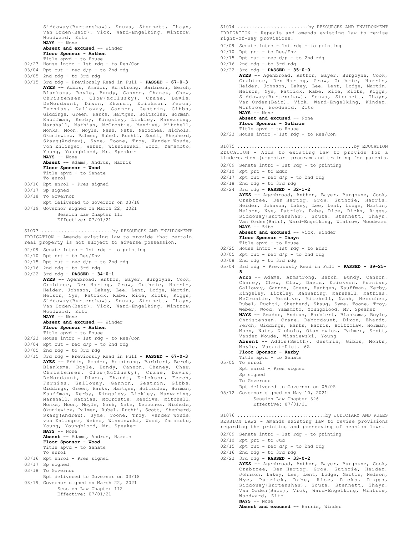Siddoway(Burtenshaw), Souza, Stennett, Thayn, Van Orden(Bair), Vick, Ward-Engelking, Wintrow, Woodward, Zito **NAYS** -- None **Absent and excused** -- Winder **Floor Sponsor - Anthon** Title apvd - to House 02/23 House intro - 1st rdg - to Res/Con  $03/04$  Rpt out - rec  $d/p$  - to 2nd rdg 03/05 2nd rdg - to 3rd rdg 03/15 3rd rdg - Previously Read in Full - **PASSED - 67-0-3 AYES** -- Addis, Amador, Armstrong, Barbieri, Berch, Blanksma, Boyle, Bundy, Cannon, Chaney, Chew, Christensen, Clow(McClusky), Crane, Davis, DeMordaunt, Dixon, Ehardt, Erickson, Ferch, Furniss, Galloway, Gannon, Gestrin, Gibbs, Giddings, Green, Hanks, Hartgen, Holtzclaw, Horman, Kauffman, Kerby, Kingsley, Lickley, Manwaring, Marshall, Mathias, McCrostie, Mendive, Mitchell, Monks, Moon, Moyle, Nash, Nate, Necochea, Nichols, Okuniewicz, Palmer, Rubel, Ruchti, Scott, Shepherd, Skaug(Andrew), Syme, Toone, Troy, Vander Woude, von Ehlinger, Weber, Wisniewski, Wood, Yamamoto, Young, Youngblood, Mr. Speaker **NAYS** -- None **Absent** -- Adams, Andrus, Harris **Floor Sponsor - Wood** Title apvd - to Senate To enrol 03/16 Rpt enrol - Pres signed 03/17 Sp signed 03/18 To Governor Rpt delivered to Governor on 03/18 03/19 Governor signed on March 22, 2021 Session Law Chapter 111 Effective: 07/01/21 IRRIGATION - Amends existing law to provide that certain real property is not subject to adverse possession. 02/09 Senate intro - 1st rdg - to printing 02/10 Rpt prt - to Res/Env  $02/15$  Rpt out - rec  $d/p$  - to 2nd rdg 02/16 2nd rdg - to 3rd rdg 02/22 3rd rdg - **PASSED - 34-0-1 AYES** -- Agenbroad, Anthon, Bayer, Burgoyne, Cook, Crabtree, Den Hartog, Grow, Guthrie, Harris, Heider, Johnson, Lakey, Lee, Lent, Lodge, Martin, Nelson, Nye, Patrick, Rabe, Rice, Ricks, Riggs, Siddoway(Burtenshaw), Souza, Stennett, Thayn, Van Orden(Bair), Vick, Ward-Engelking, Wintrow, Woodward, Zito **NAYS** -- None **Absent and excused** -- Winder **Floor Sponsor - Anthon** Title apvd - to House 02/23 House intro - 1st rdg - to Res/Con  $03/04$  Rpt out - rec  $d/p$  - to 2nd rdg 03/05 2nd rdg - to 3rd rdg 03/15 3rd rdg - Previously Read in Full - **PASSED - 67-0-3 AYES** -- Addis, Amador, Armstrong, Barbieri, Berch, Blanksma, Boyle, Bundy, Cannon, Chaney, Chew, Christensen, Clow(McClusky), Crane, Davis,<br>DeMordaunt, Dixon, Ehardt, Erickson, Ferch, Dixon, Ehardt, Erickson, Ferch, Furniss, Galloway, Gannon, Gestrin, Gibbs, Giddings, Green, Hanks, Hartgen, Holtzclaw, Horman, Kauffman, Kerby, Kingsley, Lickley, Manwaring, Marshall, Mathias, McCrostie, Mendive, Mitchell, Monks, Moon, Moyle, Nash, Nate, Necochea, Nichols, Okuniewicz, Palmer, Rubel, Ruchti, Scott, Shepherd, Skaug(Andrew), Syme, Toone, Troy, Vander Woude, von Ehlinger, Weber, Wisniewski, Wood, Yamamoto, Young, Youngblood, Mr. Speaker **NAYS** -- None **Absent** -- Adams, Andrus, Harris **Floor Sponsor - Wood** Title apvd - to Senate To enrol 03/16 Rpt enrol - Pres signed 03/17 Sp signed 03/18 To Governor Rpt delivered to Governor on 03/18 03/19 Governor signed on March 22, 2021 Session Law Chapter 112 Effective: 07/01/21 S1073 .........................by RESOURCES AND ENVIRONMENT

IRRIGATION - Repeals and amends existing law to revise right-of-way provisions. 02/09 Senate intro - 1st rdg - to printing 02/10 Rpt prt - to Res/Env  $02/15$  Rpt out - rec  $d/p$  - to 2nd rdg 02/16 2nd rdg - to 3rd rdg 02/22 3rd rdg - **PASSED - 35-0-0 AYES** -- Agenbroad, Anthon, Bayer, Burgoyne, Cook, Crabtree, Den Hartog, Grow, Guthrie, Harris, Heider, Johnson, Lakey, Lee, Lent, Lodge, Martin, Nelson, Nye, Patrick, Rabe, Rice, Ricks, Riggs, Siddoway(Burtenshaw), Souza, Stennett, Thayn, Van Orden(Bair), Vick, Ward-Engelking, Winder, Wintrow, Woodward, Zito **NAYS** -- None **Absent and excused** -- None **Floor Sponsor - Guthrie** Title apvd - to House 02/23 House intro - 1st rdg - to Res/Con EDUCATION - Adds to existing law to provide for a kindergarten jump-start program and training for parents. 02/09 Senate intro - 1st rdg - to printing 02/10 Rpt prt - to Educ  $02/17$  Rpt out - rec d/p - to 2nd rdg 02/18 2nd rdg - to 3rd rdg 02/24 3rd rdg - **PASSED - 32-1-2 AYES** -- Agenbroad, Anthon, Bayer, Burgoyne, Cook, Crabtree, Den Hartog, Grow, Guthrie, Harris, Heider, Johnson, Lakey, Lee, Lent, Lodge, Martin, Nelson, Nye, Patrick, Rabe, Rice, Ricks, Riggs, Siddoway(Burtenshaw), Souza, Stennett, Thayn, Van Orden(Bair), Ward-Engelking, Wintrow, Woodward **NAYS** -- Zito **Absent and excused** -- Vick, Winder **Floor Sponsor - Thayn** Title apvd - to House 02/25 House intro - 1st rdg - to Educ 03/05 Rpt out - rec d/p - to 2nd rdg 03/08 2nd rdg - to 3rd rdg 05/04 3rd rdg - Previously Read in Full - **PASSED - 39-25- 5 AYES** -- Adams, Armstrong, Berch, Bundy, Cannon, Chaney, Chew, Clow, Davis, Erickson, Furniss, Galloway, Gannon, Green, Hartgen, Kauffman, Kerby, Kingsley, Lickley, Manwaring, Marshall, Mathias, McCrostie, Mendive, Mitchell, Nash, Necochea, Rubel, Ruchti, Shepherd, Skaug, Syme, Toone, Troy, Weber, Wood, Yamamoto, Youngblood, Mr. Speaker **NAYS** -- Amador, Andrus, Barbieri, Blanksma, Boyle, Christensen, Crane, DeMordaunt, Dixon, Ehardt, Ferch, Giddings, Hanks, Harris, Holtzclaw, Horman, Moon, Nate, Nichols, Okuniewicz, Palmer, Scott, Vander Woude, Wisniewski, Young **Absent** -- Addis(Smith), Gestrin, Gibbs, Monks, Moyle, Vacant-Dist. 6A **Floor Sponsor - Kerby** Title apvd - to Senate 05/05 To enrol Rpt enrol - Pres signed Sp signed To Governor Rpt delivered to Governor on 05/05 05/12 Governor signed on May 10, 2021 Session Law Chapter 326 Effective: 07/01/21 S1075 .........................................by EDUCATION SESSION LAWS - Amends existing law to revise provisions regarding the printing and preserving of session laws. 02/09 Senate intro - 1st rdg - to printing 02/10 Rpt prt - to Jud  $02/15$  Rpt out - rec  $d/p$  - to 2nd rdg 02/16 2nd rdg - to 3rd rdg 02/22 3rd rdg - **PASSED - 33-0-2** S1076 ...................................by JUDICIARY AND RULES

S1074 .........................by RESOURCES AND ENVIRONMENT

**AYES** -- Agenbroad, Anthon, Bayer, Burgoyne, Cook, Crabtree, Den Hartog, Grow, Guthrie, Heider, Johnson, Lakey, Lee, Lent, Lodge, Martin, Nelson, Nye, Patrick, Rabe, Rice, Ricks, Riggs, Siddoway(Burtenshaw), Souza, Stennett, Thayn, Van Orden(Bair), Vick, Ward-Engelking, Wintrow, Woodward, Zito **NAYS** -- None

**Absent and excused** -- Harris, Winder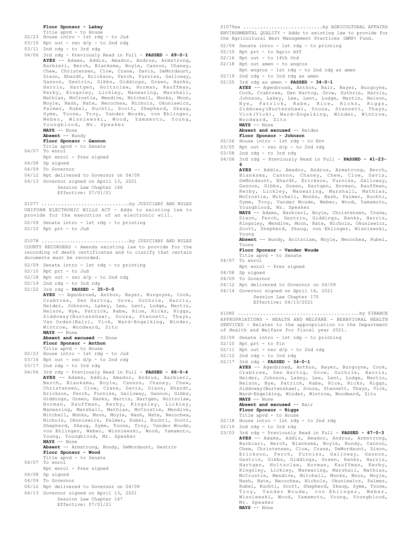#### **Floor Sponsor - Lakey**

- Title apvd to House
- 02/23 House intro 1st rdg to Jud  $03/10$  Rpt out - rec  $d/p$  - to 2nd rdg
- 03/11 2nd rdg to 3rd rdg
- 
- 04/06 3rd rdg Previously Read in Full **PASSED 69-0-1 AYES** -- Adams, Addis, Amador, Andrus, Armstrong, Barbieri, Berch, Blanksma, Boyle, Cannon, Chaney, Chew, Christensen, Clow, Crane, Davis, DeMordaunt, Dixon, Ehardt, Erickson, Ferch, Furniss, Galloway, Gannon, Gestrin, Gibbs, Giddings, Green, Hanks, Harris, Hartgen, Holtzclaw, Horman, Kauffman, Kerby, Kingsley, Lickley, Manwaring, Marshall, Mathias, McCrostie, Mendive, Mitchell, Monks, Moon, Moyle, Nash, Nate, Necochea, Nichols, Okuniewicz, Palmer, Rubel, Ruchti, Scott, Shepherd, Skaug, Syme, Toone, Troy, Vander Woude, von Ehlinger, Weber, Wisniewski, Wood, Yamamoto, Young, Youngblood, Mr. Speaker **NAYS** -- None **Absent** -- Bundy **Floor Sponsor - Gannon** Title apvd - to Senate 04/07 To enrol Rpt enrol - Pres signed 04/08 Sp signed 04/09 To Governor 04/12 Rpt delivered to Governor on 04/09 04/13 Governor signed on April 13, 2021
- Session Law Chapter 166 Effective: 07/01/21

UNIFORM ELECTRONIC WILLS ACT - Adds to existing law to provide for the execution of an electronic will. 02/09 Senate intro - 1st rdg - to printing 02/10 Rpt prt - to Jud S1077 .................................by JUDICIARY AND RULES

COUNTY RECORDERS - Amends existing law to provide for the recording of death certificates and to clarify that certain documents must be recorded. S1078 ...................................by JUDICIARY AND RULES

- 02/09 Senate intro 1st rdg to printing
- 02/10 Rpt prt to Jud
- $02/18$  Rpt out rec d/p to 2nd rdg
- 02/19 2nd rdg to 3rd rdg
- 02/22 3rd rdg **PASSED 35-0-0**
	- AYES -- Agenbroad, Anthon, Bayer, Burgoyne, Cook, Crabtree, Den Hartog, Grow, Guthrie, Harris, Heider, Johnson, Lakey, Lee, Lent, Lodge, Martin, Nelson, Nye, Patrick, Rabe, Rice, Ricks, Riggs, Siddoway(Burtenshaw), Souza, Stennett, Thayn, Van Orden(Bair), Vick, Ward-Engelking, Winder, Wintrow, Woodward, Zito **NAYS** -- None

Absent and excused -- None

- **Floor Sponsor Anthon**
- Title apvd to House
- 02/23 House intro 1st rdg to Jud
- $03/16$  Rpt out rec  $d/p$  to 2nd rdg
- 03/17 2nd rdg to 3rd rdg
- 04/06 3rd rdg Previously Read in Full **PASSED 66-0-4 AYES** -- Adams, Addis, Amador, Andrus, Barbieri, Berch, Blanksma, Boyle, Cannon, Chaney, Chew, Christensen, Clow, Crane, Davis, Dixon, Ehardt, Erickson, Ferch, Furniss, Galloway, Gannon, Gibbs, Giddings, Green, Hanks, Harris, Hartgen, Holtzclaw, Horman, Kauffman, Kerby, Kingsley, Lickley, Manwaring, Marshall, Mathias, McCrostie, Mendive, Mitchell, Monks, Moon, Moyle, Nash, Nate, Necochea, Nichols, Okuniewicz, Palmer, Rubel, Ruchti, Scott, Shepherd, Skaug, Syme, Toone, Troy, Vander Woude, von Ehlinger, Weber, Wisniewski, Wood, Yamamoto, Young, Youngblood, Mr. Speaker **NAYS** -- None

**Absent** -- Armstrong, Bundy, DeMordaunt, Gestrin **Floor Sponsor - Wood** Title apvd - to Senate

- 04/07 To enrol
- Rpt enrol Pres signed
- 04/08 Sp signed
- 04/09 To Governor
- 04/12 Rpt delivered to Governor on 04/09
- 04/13 Governor signed on April 13, 2021 Session Law Chapter 167 Effective: 07/01/21

ENVIRONMENTAL QUALITY - Adds to existing law to provide for the Agricultural Best Management Practices (BMP) Fund. S1079aa ............................by AGRICULTURAL AFFAIRS

02/09 Senate intro - 1st rdg - to printing

- 02/10 Rpt prt to Agric Aff
- 02/16 Rpt out to 14th Ord
- 02/18 Rpt out amen to engros
- Rpt engros 1st rdg to 2nd rdg as amen 02/19 2nd rdg - to 3rd rdg as amen
- 02/25 3rd rdg as amen **PASSED 34-0-1**

**AYES** -- Agenbroad, Anthon, Bair, Bayer, Burgoyne, Cook, Crabtree, Den Hartog, Grow, Guthrie, Harris, Johnson, Lakey, Lee, Lent, Lodge, Martin, Nelson, Nye, Patrick, Rabe, Rice, Ricks, Riggs, Siddoway(Burtenshaw), Souza, Stennett, Thayn, Vick(Vick), Ward-Engelking, Winder, Wintrow, Woodward, Zito **NAYS** -- None

**Absent and excused** -- Heider

- **Floor Sponsor Johnson** 02/26 House intro - 1st rdg - to Env
- $03/05$  Rpt out rec  $d/p$  to 2nd rdg
- 03/08 2nd rdg to 3rd rdg
- 
- 04/06 3rd rdg Previously Read in Full **PASSED 41-23- 6**

**AYES** -- Addis, Amador, Andrus, Armstrong, Berch, Blanksma, Cannon, Chaney, Chew, Clow, Davis, DeMordaunt, Ehardt, Erickson, Furniss, Galloway, Gannon, Gibbs, Green, Hartgen, Horman, Kauffman, Kerby, Lickley, Manwaring, Marshall, Mathias, McCrostie, Mitchell, Monks, Nash, Palmer, Ruchti, Syme, Troy, Vander Woude, Weber, Wood, Yamamoto, Youngblood, Mr. Speaker **NAYS** -- Adams, Barbieri, Boyle, Christensen, Crane, Dixon, Ferch, Gestrin, Giddings, Hanks, Harris, Kingsley, Mendive, Moon, Nate, Nichols, Okuniewicz, Scott, Shepherd, Skaug, von Ehlinger, Wisniewski, Young **Absent** -- Bundy, Holtzclaw, Moyle, Necochea, Rubel, Toone **Floor Sponsor - Vander Woude** Title apvd - to Senate 04/07 To enrol Rpt enrol - Pres signed 04/08 Sp signed 04/09 To Governor 04/12 Rpt delivered to Governor on 04/09 04/14 Governor signed on April 14, 2021 Session Law Chapter 175 Effective: 04/13/2021 APPROPRIATIONS - HEALTH AND WELFARE - BEHAVIORAL HEALTH SERVICES - Relates to the appropriation to the Department of Health and Welfare for fiscal year 2021. 02/09 Senate intro - 1st rdg - to printing  $02/10$  Rpt prt - to Fin 02/11 Rpt out - rec d/p - to 2nd rdg 02/12 2nd rdg - to 3rd rdg 02/17 3rd rdg - **PASSED - 34-0-1 AYES** -- Agenbroad, Anthon, Bayer, Burgoyne, Cook, Crabtree, Den Hartog, Grow, Guthrie, Harris, Heider, Johnson, Lakey, Lee, Lent, Lodge, Martin, Nelson, Nye, Patrick, Rabe, Rice, Ricks, Riggs, Siddoway(Burtenshaw), Souza, Stennett, Thayn, Vick, Ward-Engelking, Winder, Wintrow, Woodward, Zito **NAYS** -- None **Absent and excused** -- Bair **Floor Sponsor - Riggs** Title apvd - to House 02/18 House intro - 1st rdg - to 2nd rdg 02/19 2nd rdg - to 3rd rdg 03/03 3rd rdg - Previously Read in Full - **PASSED - 67-0-3 AYES** -- Adams, Addis, Amador, Andrus, Armstrong, S1080 ...........................................by FINANCE

- - Barbieri, Berch, Blanksma, Boyle, Bundy, Cannon, Chew, Christensen, Clow, Crane, DeMordaunt, Dixon, Erickson, Ferch, Furniss, Galloway, Gannon, Gestrin, Gibbs, Giddings, Green, Hanks, Harris, Hartgen, Holtzclaw, Horman, Kauffman, Kerby, Kingsley, Lickley, Manwaring, Marshall, Mathias, McCrostie, Mendive, Mitchell, Monks, Moon, Moyle, Nash, Nate, Necochea, Nichols, Okuniewicz, Palmer, Rubel, Ruchti, Scott, Shepherd, Skaug, Syme, Toone, Troy, Vander Woude, von Ehlinger, Weber, Wisniewski, Wood, Yamamoto, Young, Youngblood, Mr. Speaker **NAYS** -- None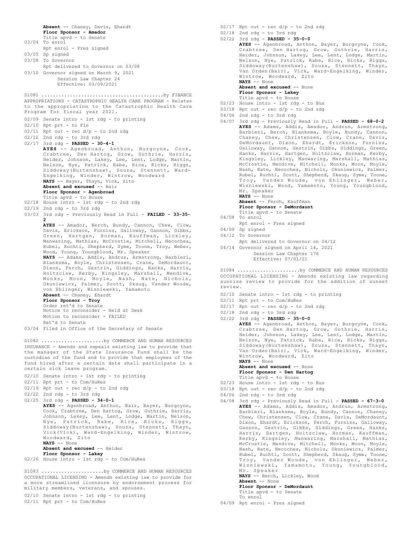```
Absent -- Chaney, Davis, Ehardt
       Floor Sponsor - Amador
       Title apvd - to Senate
03/04 To enrol
      Rpt enrol - Pres signed
03/05 Sp signed
03/08 To Governor
      Rpt delivered to Governor on 03/08
03/10 Governor signed on March 9, 2021
        Session Law Chapter 24
             Effective: 03/09/2021
APPROPRIATIONS - CATASTROPHIC HEALTH CARE PROGRAM - Relates
to the appropriation to the Catastrophic Health Care
Program for fiscal year 2021.
02/09 Senate intro - 1st rdg - to printing
02/10 Rpt prt - to Fin
02/11 Rpt out - rec d/p - to 2nd rdg
02/12 2nd rdg - to 3rd rdg
02/17 3rd rdg - PASSED - 30-4-1
       AYES -- Agenbroad, Anthon, Burgoyne, Cook,
        Crabtree, Den Hartog, Grow, Guthrie, Harris,
Heider, Johnson, Lakey, Lee, Lent, Lodge, Martin,
       Nelson, Nye, Patrick, Rabe, Rice, Ricks, Riggs,
       Siddoway(Burtenshaw), Souza, Stennett, Ward-
        Engelking, Winder, Wintrow, Woodward
NAYS -- Bayer, Thayn, Vick, Zito
       Absent and excused -- Bair
       Floor Sponsor - Agenbroad
Title apvd - to House
02/18 House intro - 1st rdg - to 2nd rdg
02/19 2nd rdg - to 3rd rdg
03/03 3rd rdg - Previously Read in Full - FAILED - 33-35-
       2
        AYES -- Amador, Berch, Bundy, Cannon, Chew, Clow,
Davis, Erickson, Furniss, Galloway, Gannon, Gibbs,
        Green, Hartgen, Horman, Kauffman, Lickley,
Manwaring, Mathias, McCrostie, Mitchell, Necochea,
        Rubel, Ruchti, Shepherd, Syme, Toone, Troy, Weber,
Wood, Young, Youngblood, Mr. Speaker
       NAYS -- Adams, Addis, Andrus, Armstrong, Barbieri,
       Blanksma, Boyle, Christensen, Crane, DeMordaunt,
       Dixon, Ferch, Gestrin, Giddings, Hanks, Harris,
        Holtzclaw, Kerby, Kingsley, Marshall, Mendive,
Monks, Moon, Moyle, Nash, Nate, Nichols,
        Okuniewicz, Palmer, Scott, Skaug, Vander Woude,
von Ehlinger, Wisniewski, Yamamoto
       Absent -- Chaney, Ehardt
       Floor Sponsor - Troy
       Order ret'd to Senate
       Notice to reconsider - Held at Desk
       Motion to reconsider - FAILED
       Ret'd to Senate
03/04 Filed in Office of the Secretary of Senate
S1081 ...........................................by FINANCE
INSURANCE - Amends and repeals existing law to provide that
the manager of the State Insurance Fund shall be the
custodian of the fund and to provide that employees of the
fund hired after a certain date shall participate in a
certain sick leave program.
02/10 Senate intro - 1st rdg - to printing
02/11 Rpt prt - to Com/HuRes
02/19 Rpt out - rec d/p - to 2nd rdg
02/22 2nd rdg - to 3rd rdg
02/25 3rd rdg - PASSED - 34-0-1
       AYES -- Agenbroad, Anthon, Bair, Bayer, Burgoyne,
        Cook, Crabtree, Den Hartog, Grow, Guthrie, Harris,
Johnson, Lakey, Lee, Lent, Lodge, Martin, Nelson,
Nye, Patrick, Rabe, Rice, Ricks, Riggs,
Siddoway(Burtenshaw), Souza, Stennett, Thayn,
        Vick(Vick), Ward-Engelking, Winder, Wintrow,
Woodward, Zito
       NAYS -- None
       Absent and excused -- Heider
Floor Sponsor - Lakey
02/26 House intro - 1st rdg - to Com/HuRes
S1082 ......................by COMMERCE AND HUMAN RESOURCES
OCCUPATIONAL LICENSING - Amends existing law to provide for
a more streamlined licensure by endorsement process for
military members, veterans, and spouses.
S1083 ......................by COMMERCE AND HUMAN RESOURCES
```
02/10 Senate intro - 1st rdg - to printing 02/11 Rpt prt - to Com/HuRes

- $02/17$  Rpt out rec  $d/p$  to 2nd rdg 02/18 2nd rdg - to 3rd rdg 02/22 3rd rdg - **PASSED - 35-0-0 AYES** -- Agenbroad, Anthon, Bayer, Burgoyne, Cook, Crabtree, Den Hartog, Grow, Guthrie, Harris, Heider, Johnson, Lakey, Lee, Lent, Lodge, Martin, Nelson, Nye, Patrick, Rabe, Rice, Ricks, Riggs, Siddoway(Burtenshaw), Souza, Stennett, Thayn, Van Orden(Bair), Vick, Ward-Engelking, Winder, Wintrow, Woodward, Zito **NAYS** -- None Absent and excused -- None **Floor Sponsor - Lakey** Title apvd - to House 02/23 House intro - 1st rdg - to Bus  $03/18$  Rpt out - rec d/p - to 2nd rdg 04/06 2nd rdg - to 3rd rdg 04/07 3rd rdg - Previously Read in Full - **PASSED - 68-0-2 AYES** -- Adams, Addis, Amador, Andrus, Armstrong, Barbieri, Berch, Blanksma, Boyle, Bundy, Cannon, Chaney, Chew, Christensen, Clow, Crane, Davis, DeMordaunt, Dixon, Ehardt, Erickson, Furniss, Galloway, Gannon, Gestrin, Gibbs, Giddings, Green, Hanks, Harris, Hartgen, Holtzclaw, Horman, Kerby, Kingsley, Lickley, Manwaring, Marshall, Mathias, McCrostie, Mendive, Mitchell, Monks, Moon, Moyle, Nash, Nate, Necochea, Nichols, Okuniewicz, Palmer, Rubel, Ruchti, Scott, Shepherd, Skaug, Syme, Toone, Troy, Vander Woude, von Ehlinger, Weber, Wisniewski, Wood, Yamamoto, Young, Youngblood, Mr. Speaker **NAYS** -- None **Absent** -- Ferch, Kauffman **Floor Sponsor - DeMordaunt** Title apvd - to Senate
- 04/08 To enrol
	- Rpt enrol Pres signed
- 04/09 Sp signed
- 04/12 To Governor
	- Rpt delivered to Governor on 04/12
- 04/14 Governor signed on April 14, 2021 Session Law Chapter 176 Effective: 07/01/21

OCCUPATIONAL LICENSING - Amends existing law regarding sunrise review to provide for the addition of sunset review. S1084 ......................by COMMERCE AND HUMAN RESOURCES

- 02/10 Senate intro 1st rdg to printing
- 02/11 Rpt prt to Com/HuRes
- $02/17$  Rpt out rec  $d/p$  to 2nd rdg
- 02/18 2nd rdg to 3rd rdg

02/22 3rd rdg - **PASSED - 35-0-0 AYES** -- Agenbroad, Anthon, Bayer, Burgoyne, Cook, Crabtree, Den Hartog, Grow, Guthrie, Harris, Heider, Johnson, Lakey, Lee, Lent, Lodge, Martin, Nelson, Nye, Patrick, Rabe, Rice, Ricks, Riggs, Siddoway(Burtenshaw), Souza, Stennett, Thayn, Van Orden(Bair), Vick, Ward-Engelking, Winder, Wintrow, Woodward, Zito **NAYS** -- None

**Absent and excused** -- None **Floor Sponsor - Den Hartog**

- Title apvd to House
- 02/23 House intro 1st rdg to Bus
- $03/18$  Rpt out rec  $d/p$  to 2nd rdg
- 04/06 2nd rdg to 3rd rdg
- 04/08 3rd rdg Previously Read in Full **PASSED 67-3-0 AYES** -- Adams, Addis, Amador, Andrus, Armstrong, Barbieri, Blanksma, Boyle, Bundy, Cannon, Chaney, Chew, Christensen, Clow, Crane, Davis, DeMordaunt, Dixon, Ehardt, Erickson, Ferch, Furniss, Galloway, Gannon, Gestrin, Gibbs, Giddings, Green, Hanks, Harris, Hartgen, Holtzclaw, Horman, Kauffman, Kerby, Kingsley, Manwaring, Marshall, Mathias, McCrostie, Mendive, Mitchell, Monks, Moon, Moyle, Nash, Nate, Necochea, Nichols, Okuniewicz, Palmer, Rubel, Ruchti, Scott, Shepherd, Skaug, Syme, Toone, Troy, Vander Woude, von Ehlinger, Weber, Wisniewski, Yamamoto, Young, Youngblood, Mr. Speaker **NAYS** -- Berch, Lickley, Wood **Absent** -- None **Floor Sponsor - DeMordaunt**

Title apvd - to Senate To enrol

04/09 Rpt enrol - Pres signed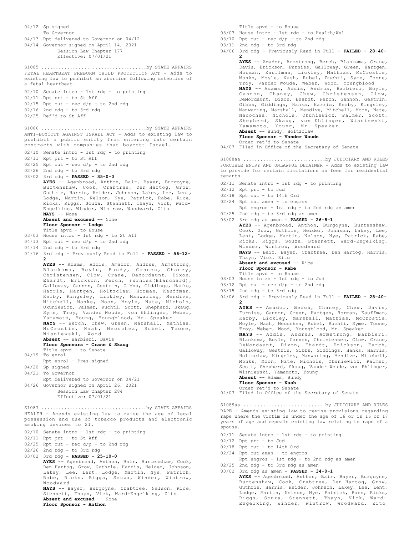04/12 Sp signed To Governor 04/13 Rpt delivered to Governor on 04/12 04/14 Governor signed on April 14, 2021 Session Law Chapter 177 Effective: 07/01/21 FETAL HEARTBEAT PREBORN CHILD PROTECTION ACT - Adds to existing law to prohibit an abortion following detection of a fetal heartbeat. 02/10 Senate intro - 1st rdg - to printing 02/11 Rpt prt - to St Aff  $02/15$  Rpt out - rec  $d/p$  - to 2nd rdg  $02/16$  2nd rdg - to 3rd rdg 02/25 Ref'd to St Aff S1085 .....................................by STATE AFFAIRS ANTI-BOYCOTT AGAINST ISRAEL ACT - Adds to existing law to prohibit a public entity from entering into certain contracts with companies that boycott Israel. 02/10 Senate intro - 1st rdg - to printing 02/11 Rpt prt - to St Aff 02/25 Rpt out - rec d/p - to 2nd rdg 02/26 2nd rdg - to 3rd rdg 03/02 3rd rdg - **PASSED - 35-0-0 AYES** -- Agenbroad, Anthon, Bair, Bayer, Burgoyne, Burtenshaw, Cook, Crabtree, Den Hartog, Grow, Guthrie, Harris, Heider, Johnson, Lakey, Lee, Lent, Lodge, Martin, Nelson, Nye, Patrick, Rabe, Rice, Ricks, Riggs, Souza, Stennett, Thayn, Vick, Ward-Engelking, Winder, Wintrow, Woodward, Zito **NAYS** -- None **Absent and excused** -- None **Floor Sponsor - Lodge** Title apvd - to House 03/03 House intro - 1st rdg - to St Aff  $04/13$  Rpt out - rec  $d/p$  - to 2nd rdg 04/14 2nd rdg - to 3rd rdg 04/16 3rd rdg - Previously Read in Full - **PASSED - 56-12-** 2<br>AYES -- Adams, Addis, Amador, Andrus, Armstrong,<br>Blanksma, Boyle, Bundy, Cannon, Chaney,<br>Christensen, Clow, Crane, DeMordaunt, Dixon,<br>Ehardt, Erickson, Ferch, Furniss(Blanchard),<br>Galloway, Gannon, Gestrin, Gibbs, Gidding Harris, Hartgen, Holtzclaw, Horman, Kauffman, Kerby, Kingsley, Lickley, Manwaring, Mendive, Mitchell, Monks, Moon, Moyle, Nate, Nichols, Okuniewicz, Palmer, Ruchti, Scott, Shepherd, Skaug, Syme, Troy, Vander Woude, von Ehlinger, Weber, Yamamoto, Young, Youngblood, Mr. Speaker **NAYS** -- Berch, Chew, Green, Marshall, Mathias, McCrostie, Nash, Necochea, Rubel, Toone, Wisniewski, Wood **Absent** -- Barbieri, Davis **Floor Sponsors - Crane & Skaug** Title apvd - to Senate 04/19 To enrol Rpt enrol - Pres signed 04/20 Sp signed 04/21 To Governor Rpt delivered to Governor on 04/21 04/26 Governor signed on April 26, 2021 Session Law Chapter 284 Effective: 07/01/21 S1086 .....................................by STATE AFFAIRS HEALTH - Amends existing law to raise the age of legal possession and use of tobacco products and electronic smoking devices to 21. 02/10 Senate intro - 1st rdg - to printing 02/11 Rpt prt - to St Aff  $02/25$  Rpt out - rec d/p - to 2nd rdg 02/26 2nd rdg - to 3rd rdg 03/02 3rd rdg - **PASSED - 25-10-0 AYES** -- Agenbroad, Anthon, Bair, Burtenshaw, Cook, Den Hartog, Grow, Guthrie, Harris, Heider, Johnson, Lakey, Lee, Lent, Lodge, Martin, Nye, Patrick, Rabe, Ricks, Riggs, Souza, Winder, Wintrow, Woodward **NAYS** -- Bayer, Burgoyne, Crabtree, Nelson, Rice, Stennett, Thayn, Vick, Ward-Engelking, Zito **Absent and excused** -- None **Floor Sponsor - Anthon** S1087 .....................................by STATE AFFAIRS Title apvd - to House

- 03/03 House intro 1st rdg to Health/Wel
- $03/10$  Rpt out rec  $d/p$  to 2nd rdg
- $03/11$  2nd rdg to 3rd rdg
- 04/06 3rd rdg Previously Read in Full **FAILED 28-40- 2**

**AYES** -- Amador, Armstrong, Berch, Blanksma, Crane, Davis, Erickson, Furniss, Galloway, Green, Hartgen, Horman, Kauffman, Lickley, Mathias, McCrostie, Monks, Moyle, Nash, Rubel, Ruchti, Syme, Toone, Troy, Vander Woude, Weber, Wood, Youngblood **NAYS** -- Adams, Addis, Andrus, Barbieri, Boyle, Cannon, Chaney, Chew, Christensen, Clow, DeMordaunt, Dixon, Ehardt, Ferch, Gannon, Gestrin, Gibbs, Giddings, Hanks, Harris, Kerby, Kingsley, Manwaring, Marshall, Mendive, Mitchell, Moon, Nate, Necochea, Nichols, Okuniewicz, Palmer, Scott, Shepherd, Skaug, von Ehlinger, Wisniewski, Yamamoto, Young, Mr. Speaker **Absent** -- Bundy, Holtzclaw **Floor Sponsor - Vander Woude** Order ret'd to Senate

04/07 Filed in Office of the Secretary of Senate

FORCIBLE ENTRY AND UNLAWFUL DETAINER - Adds to existing law to provide for certain limitations on fees for residential tenants. S1088aa .............................by JUDICIARY AND RULES

- 02/11 Senate intro 1st rdg to printing
- 02/12 Rpt prt to Jud
- 02/18 Rpt out to 14th Ord
- 02/24 Rpt out amen to engros
	- Rpt engros 1st rdg to 2nd rdg as amen
- 02/25 2nd rdg to 3rd rdg as amen

| $03/02$ 3rd rdq as amen - PASSED - 26-8-1          |
|----------------------------------------------------|
| AYES -- Agenbroad, Anthon, Burgoyne, Burtenshaw,   |
| Cook, Grow, Guthrie, Heider, Johnson, Lakey, Lee,  |
| Lent, Lodge, Martin, Nelson, Nye, Patrick, Rabe,   |
| Ricks, Riggs, Souza, Stennett, Ward-Engelking,     |
| Winder, Wintrow, Woodward                          |
| NAYS -- Bair, Bayer, Crabtree, Den Hartog, Harris, |
| Thayn, Vick, Zito                                  |
| Absent and excused -- Rice                         |
| Floor Sponsor - Rabe                               |
| Title apvd - to House                              |
| 03/03 House intro - 1st rdg - to Jud               |

- $03/12$  Rpt out rec  $d/p$  to 2nd rdg
- 03/15 2nd rdg to 3rd rdg
- 
- 04/06 3rd rdg Previously Read in Full **FAILED 28-40- 2 AYES** -- Amador, Berch, Chaney, Chew, Davis,

Furniss, Gannon, Green, Hartgen, Horman, Kauffman, Kerby, Lickley, Marshall, Mathias, McCrostie, Moyle, Nash, Necochea, Rubel, Ruchti, Syme, Toone, Troy, Weber, Wood, Youngblood, Mr. Speaker

**NAYS** -- Addis, Andrus, Armstrong, Barbieri, Blanksma, Boyle, Cannon, Christensen, Clow, Crane, DeMordaunt, Dixon, Ehardt, Erickson, Ferch, Galloway, Gestrin, Gibbs, Giddings, Hanks, Harris, Holtzclaw, Kingsley, Manwaring, Mendive, Mitchell, Monks, Moon, Nate, Nichols, Okuniewicz, Palmer, Scott, Shepherd, Skaug, Vander Woude, von Ehlinger, Wisniewski, Yamamoto, Young

### **Absent** -- Adams, Bundy

**Floor Sponsor - Nash**

- 
- Order ret'd to Senate 04/07 Filed in Office of the Secretary of Senate

RAPE - Amends existing law to revise provisions regarding rape where the victim is under the age of 16 or is 16 or 17 years of age and repeals existing law relating to rape of a spouse. S1089aa .............................by JUDICIARY AND RULES

- 02/11 Senate intro 1st rdg to printing
- 02/12 Rpt prt to Jud
- 02/18 Rpt out to 14th Ord
- 02/24 Rpt out amen to engros
- Rpt engros 1st rdg to 2nd rdg as amen 02/25 2nd rdg - to 3rd rdg as amen
- 03/02 3rd rdg as amen **PASSED 34-0-1**

AYES -- Agenbroad, Anthon, Bair, Bayer, Burgoyne, Burtenshaw, Cook, Crabtree, Den Hartog, Grow, Guthrie, Harris, Heider, Johnson, Lakey, Lee, Lent, Lodge, Martin, Nelson, Nye, Patrick, Rabe, Ricks, Riggs, Souza, Stennett, Thayn, Vick, Ward-Engelking, Winder, Wintrow, Woodward, Zito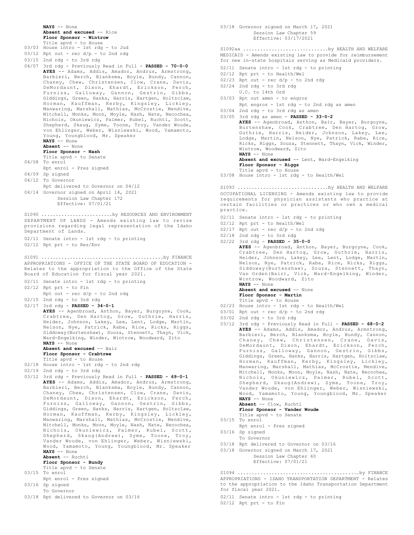**NAYS** -- None **Absent and excused** -- Rice **Floor Sponsor - Wintrow**

- Title apvd to House 03/03 House intro - 1st rdg - to Jud
- $03/12$  Rpt out rec  $d/p$  to 2nd rdg
- 03/15 2nd rdg to 3rd rdg
- 04/07 3rd rdg Previously Read in Full **PASSED 70-0-0 AYES** -- Adams, Addis, Amador, Andrus, Armstrong, Barbieri, Berch, Blanksma, Boyle, Bundy, Cannon, Chaney, Chew, Christensen, Clow, Crane, Davis, DeMordaunt, Dixon, Ehardt, Erickson, Ferch, Furniss, Galloway, Gannon, Gestrin, Gibbs, Giddings, Green, Hanks, Harris, Hartgen, Holtzclaw, Horman, Kauffman, Kerby, Kingsley, Lickley, Manwaring, Marshall, Mathias, McCrostie, Mendive, Mitchell, Monks, Moon, Moyle, Nash, Nate, Necochea, Nichols, Okuniewicz, Palmer, Rubel, Ruchti, Scott, Shepherd, Skaug, Syme, Toone, Troy, Vander Woude, von Ehlinger, Weber, Wisniewski, Wood, Yamamoto, Young, Youngblood, Mr. Speaker **NAYS** -- None **Absent** -- None **Floor Sponsor - Nash** Title apvd - to Senate 04/08 To enrol Rpt enrol - Pres signed 04/09 Sp signed 04/12 To Governor Rpt delivered to Governor on 04/12 04/14 Governor signed on April 14, 2021 Session Law Chapter 172 Effective: 07/01/21 DEPARTMENT OF LANDS - Amends existing law to revise provisions regarding legal representation of the Idaho Department of Lands. 02/11 Senate intro - 1st rdg - to printing 02/12 Rpt prt - to Res/Env S1090 ..............................by RESOURCES AND ENVIRONMENT APPROPRIATIONS - OFFICE OF THE STATE BOARD OF EDUCATION - Relates to the appropriation to the Office of the State Board of Education for fiscal year 2021. 02/11 Senate intro - 1st rdg - to printing 02/12 Rpt prt - to Fin Rpt out - rec d/p - to 2nd rdg 02/15 2nd rdg - to 3rd rdg 02/17 3rd rdg - **PASSED - 34-0-1 AYES** -- Agenbroad, Anthon, Bayer, Burgoyne, Cook, Crabtree, Den Hartog, Grow, Guthrie, Harris, Heider, Johnson, Lakey, Lee, Lent, Lodge, Martin, Nelson, Nye, Patrick, Rabe, Rice, Ricks, Riggs, Siddoway(Burtenshaw), Souza, Stennett, Thayn, Vick, Ward-Engelking, Winder, Wintrow, Woodward, Zito **NAYS** -- None **Absent and excused** -- Bair **Floor Sponsor - Crabtree** Title apvd - to House 02/18 House intro - 1st rdg - to 2nd rdg 02/19 2nd rdg - to 3rd rdg 03/12 3rd rdg - Previously Read in Full - **PASSED - 69-0-1 AYES** -- Adams, Addis, Amador, Andrus, Armstrong, Barbieri, Berch, Blanksma, Boyle, Bundy, Cannon, Chaney, Chew, Christensen, Clow, Crane, Davis, DeMordaunt, Dixon, Ehardt, Erickson, Ferch, Furniss, Galloway, Gannon, Gestrin, Gibbs, Giddings, Green, Hanks, Harris, Hartgen, Holtzclaw, Horman, Kauffman, Kerby, Kingsley, Lickley, Manwaring, Marshall, Mathias, McCrostie, Mendive, Mitchell, Monks, Moon, Moyle, Nash, Nate, Necochea, Nichols, Okuniewicz, Palmer, Rubel, Scott, Shepherd, Skaug(Andrew), Syme, Toone, Troy, Vander Woude, von Ehlinger, Weber, Wisniewski, Wood, Yamamoto, Young, Youngblood, Mr. Speaker **NAYS** -- None **Absent** -- Ruchti **Floor Sponsor - Bundy** S1091 ...........................................by FINANCE
- Title apvd to Senate 03/15 To enrol
- Rpt enrol Pres signed 03/16 Sp signed
- To Governor
- 03/18 Rpt delivered to Governor on 03/16

03/18 Governor signed on March 17, 2021 Session Law Chapter 59 Effective: 03/17/2021

MEDICAID - Amends existing law to provide for reimbursement for new in-state hospitals serving as Medicaid providers. S1092aa ..............................by HEALTH AND WELFARE

- 02/11 Senate intro 1st rdg to printing
- 02/12 Rpt prt to Health/Wel
- $02/23$  Rpt out rec  $d/p$  to 2nd rdg
- 02/24 2nd rdg to 3rd rdg
- U.C. to 14th Ord
- 03/03 Rpt out amen to engros Rpt engros - 1st rdg - to 2nd rdg as amen
- 03/04 2nd rdg to 3rd rdg as amen 03/05 3rd rdg as amen - **PASSED - 33-0-2**
- **AYES** -- Agenbroad, Anthon, Bair, Bayer, Burgoyne, Burtenshaw, Cook, Crabtree, Den Hartog, Grow, Guthrie, Harris, Heider, Johnson, Lakey, Lee, Lodge, Martin, Nelson, Nye, Patrick, Rabe, Rice, Ricks, Riggs, Souza, Stennett, Thayn, Vick, Winder, Wintrow, Woodward, Zito **NAYS** -- None **Absent and excused** -- Lent, Ward-Engelking **Floor Sponsor - Riggs**
	- Title apvd to House
- 03/08 House intro 1st rdg to Health/Wel

OCCUPATIONAL LICENSING - Amends existing law to provide requirements for physician assistants who practice at certain facilities or practices or who own a medical practice. S1093 ................................by HEALTH AND WELFARE

- 02/11 Senate intro 1st rdg to printing
- 02/12 Rpt prt to Health/Wel
- $02/17$  Rpt out rec  $d/p$  to 2nd rdg
- 02/18 2nd rdg to 3rd rdg
- 02/22 3rd rdg **PASSED 35-0-0 AYES** -- Agenbroad, Anthon, Bayer, Burgoyne, Cook, Crabtree, Den Hartog, Grow, Guthrie, Harris, Heider, Johnson, Lakey, Lee, Lent, Lodge, Martin, Nelson, Nye, Patrick, Rabe, Rice, Ricks, Riggs,

Siddoway(Burtenshaw), Souza, Stennett, Thayn, Van Orden(Bair), Vick, Ward-Engelking, Winder, Wintrow, Woodward, Zito **NAYS** -- None

**Absent and excused** -- None **Floor Sponsor - Martin**

- Title apvd to House
- 02/23 House intro 1st rdg to Health/Wel
- $03/01$  Rpt out rec  $d/p$  to 2nd rdg
- 03/02 2nd rdg to 3rd rdg
- 03/12 3rd rdg Previously Read in Full **PASSED 68-0-2 AYES** -- Adams, Addis, Amador, Andrus, Armstrong, Barbieri, Berch, Blanksma, Boyle, Bundy, Cannon, Chaney, Chew, Christensen, Crane, Davis, DeMordaunt, Dixon, Ehardt, Erickson, Ferch, Furniss, Galloway, Gannon, Gestrin, Gibbs, Giddings, Green, Hanks, Harris, Hartgen, Holtzclaw, Horman, Kauffman, Kerby, Kingsley, Lickley, Manwaring, Marshall, Mathias, McCrostie, Mendive, Mitchell, Monks, Moon, Moyle, Nash, Nate, Necochea, Nichols, Okuniewicz, Palmer, Rubel, Scott, Shepherd, Skaug(Andrew), Syme, Toone, Troy, Vander Woude, von Ehlinger, Weber, Wisniewski, Wood, Yamamoto, Young, Youngblood, Mr. Speaker **NAYS** -- None

**Absent** -- Clow, Ruchti **Floor Sponsor - Vander Woude**

- Title apvd to Senate
- 03/15 To enrol
- Rpt enrol Pres signed
- 03/16 Sp signed
- To Governor
- 03/18 Rpt delivered to Governor on 03/16
- 03/18 Governor signed on March 17, 2021 Session Law Chapter 60

Effective: 07/01/21

APPROPRIATIONS - IDAHO TRANSPORTATION DEPARTMENT - Relates to the appropriation to the Idaho Transportation Department for fiscal year 2021. S1094 ...........................................by FINANCE

02/11 Senate intro - 1st rdg - to printing

02/12 Rpt prt - to Fin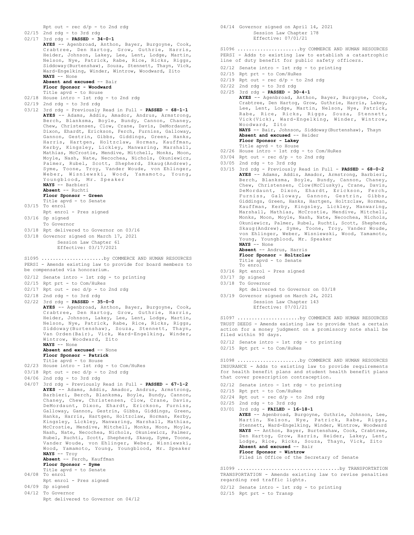Rpt out - rec d/p - to 2nd rdg 02/15 2nd rdg - to 3rd rdg 02/17 3rd rdg - **PASSED - 34-0-1 AYES** -- Agenbroad, Anthon, Bayer, Burgoyne, Cook, Crabtree, Den Hartog, Grow, Guthrie, Harris, Heider, Johnson, Lakey, Lee, Lent, Lodge, Martin, Nelson, Nye, Patrick, Rabe, Rice, Ricks, Riggs, Siddoway(Burtenshaw), Souza, Stennett, Thayn, Vick, Ward-Engelking, Winder, Wintrow, Woodward, Zito **NAYS** -- None **Absent and excused** -- Bair **Floor Sponsor - Woodward** Title apvd - to House 02/18 House intro - 1st rdg - to 2nd rdg 02/19 2nd rdg - to 3rd rdg 03/12 3rd rdg - Previously Read in Full - **PASSED - 68-1-1 AYES** -- Adams, Addis, Amador, Andrus, Armstrong, Berch, Blanksma, Boyle, Bundy, Cannon, Chaney, Chew, Christensen, Clow, Crane, Davis, DeMordaunt, Dixon, Ehardt, Erickson, Ferch, Furniss, Galloway, Gannon, Gestrin, Gibbs, Giddings, Green, Hanks, Harris, Hartgen, Holtzclaw, Horman, Kauffman, Kerby, Kingsley, Lickley, Manwaring, Marshall, Mathias, McCrostie, Mendive, Mitchell, Monks, Moon, Moyle, Nash, Nate, Necochea, Nichols, Okuniewicz, Palmer, Rubel, Scott, Shepherd, Skaug(Andrew), Syme, Toone, Troy, Vander Woude, von Ehlinger, Weber, Wisniewski, Wood, Yamamoto, Young, Youngblood, Mr. Speaker **NAYS** -- Barbieri **Absent** -- Ruchti **Floor Sponsor - Green** Title apvd - to Senate 03/15 To enrol Rpt enrol - Pres signed 03/16 Sp signed To Governor 03/18 Rpt delivered to Governor on 03/16 03/18 Governor signed on March 17, 2021 Session Law Chapter 61 Effective: 03/17/2021 PERSI - Amends existing law to provide for board members to be compensated via honorarium. 02/12 Senate intro - 1st rdg - to printing 02/15 Rpt prt - to Com/HuRes  $02/17$  Rpt out - rec  $d/p$  - to 2nd rdg 02/18 2nd rdg - to 3rd rdg 02/22 3rd rdg - **PASSED - 35-0-0 AYES** -- Agenbroad, Anthon, Bayer, Burgoyne, Cook, Crabtree, Den Hartog, Grow, Guthrie, Harris, Heider, Johnson, Lakey, Lee, Lent, Lodge, Martin, Nelson, Nye, Patrick, Rabe, Rice, Ricks, Riggs, Siddoway(Burtenshaw), Souza, Stennett, Thayn, Van Orden(Bair), Vick, Ward-Engelking, Winder, Wintrow, Woodward, Zito **NAYS** -- None **Absent and excused** -- None **Floor Sponsor - Patrick** Title apvd - to House 02/23 House intro - 1st rdg - to Com/HuRes 03/18 Rpt out - rec d/p - to 2nd rdg 04/06 2nd rdg - to 3rd rdg 04/07 3rd rdg - Previously Read in Full - **PASSED - 67-1-2 AYES** -- Adams, Addis, Amador, Andrus, Armstrong, Barbieri, Berch, Blanksma, Boyle, Bundy, Cannon, Chaney, Chew, Christensen, Clow, Crane, Davis, DeMordaunt, Dixon, Ehardt, Erickson, Furniss, Galloway, Gannon, Gestrin, Gibbs, Giddings, Green, Hanks, Harris, Hartgen, Holtzclaw, Horman, Kerby, Kingsley, Lickley, Manwaring, Marshall, Mathias, McCrostie, Mendive, Mitchell, Monks, Moon, Moyle, Nash, Nate, Necochea, Nichols, Okuniewicz, Palmer, Rubel, Ruchti, Scott, Shepherd, Skaug, Syme, Toone, Vander Woude, von Ehlinger, Weber, Wisniewski, Wood, Yamamoto, Young, Youngblood, Mr. Speaker **NAYS** -- Troy **Absent** -- Ferch, Kauffman **Floor Sponsor - Syme** Title apvd - to Senate 04/08 To enrol Rpt enrol - Pres signed 04/09 Sp signed 04/12 To Governor Rpt delivered to Governor on 04/12 S1095 ......................by COMMERCE AND HUMAN RESOURCES

04/14 Governor signed on April 14, 2021 Session Law Chapter 178 Effective: 07/01/21

PERSI - Adds to existing law to establish a catastrophic line of duty benefit for public safety officers. S1096 ......................by COMMERCE AND HUMAN RESOURCES

- 02/12 Senate intro 1st rdg to printing
- 02/15 Rpt prt to Com/HuRes
- $02/19$  Rpt out rec  $d/p$  to 2nd rdg
- 02/22 2nd rdg to 3rd rdg

02/25 3rd rdg - **PASSED - 30-4-1 AYES** -- Agenbroad, Anthon, Bayer, Burgoyne, Cook, Crabtree, Den Hartog, Grow, Guthrie, Harris, Lakey, Lee, Lent, Lodge, Martin, Nelson, Nye, Patrick, Rabe, Rice, Ricks, Riggs, Souza, Stennett, Vick(Vick), Ward-Engelking, Winder, Wintrow, Woodward, Zito **NAYS** -- Bair, Johnson, Siddoway(Burtenshaw), Thayn **Absent and excused** -- Heider **Floor Sponsor - Lakey** Title apvd - to House 02/26 House intro - 1st rdg - to Com/HuRes  $03/04$  Rpt out - rec  $d/p$  - to 2nd rdg  $03/05$  2nd rdg - to 3rd rdg 03/15 3rd rdg - Previously Read in Full - **PASSED - 68-0-2 AYES** -- Adams, Addis, Amador, Armstrong, Barbieri, Berch, Blanksma, Boyle, Bundy, Cannon, Chaney, Chew, Christensen, Clow(McClusky), Crane, Davis, DeMordaunt, Dixon, Ehardt, Erickson, Ferch, Furniss, Galloway, Gannon, Gestrin, Gibbs, Giddings, Green, Hanks, Hartgen, Holtzclaw, Horman, Kauffman, Kerby, Kingsley, Lickley, Manwaring, Marshall, Mathias, McCrostie, Mendive, Mitchell, Monks, Moon, Moyle, Nash, Nate, Necochea, Nichols, Okuniewicz, Palmer, Rubel, Ruchti, Scott, Shepherd, Skaug(Andrew), Syme, Toone, Troy, Vander Woude, von Ehlinger, Weber, Wisniewski, Wood, Yamamoto, Young, Youngblood, Mr. Speaker **NAYS** -- None **Absent** -- Andrus, Harris **Floor Sponsor - Holtzclaw** Title apvd - to Senate To enrol

- 03/16 Rpt enrol Pres signed
- 03/17 Sp signed
- 03/18 To Governor
- Rpt delivered to Governor on 03/18
- 03/19 Governor signed on March 24, 2021 Session Law Chapter 143 Effective: 07/01/21

TRUST DEEDS - Amends existing law to provide that a certain action for a money judgment on a promissory note shall be filed within 90 days. S1097 ......................by COMMERCE AND HUMAN RESOURCES

- 02/12 Senate intro 1st rdg to printing
- 02/15 Rpt prt to Com/HuRes

INSURANCE - Adds to existing law to provide requirements for health benefit plans and student health benefit plans that cover prescription contraception. S1098 ......................by COMMERCE AND HUMAN RESOURCES

- 02/12 Senate intro 1st rdg to printing
- 02/15 Rpt prt to Com/HuRes
- $02/24$  Rpt out rec  $d/p$  to 2nd rdg
- 02/25 2nd rdg to 3rd rdg
- 03/01 3rd rdg **FAILED 16-18-1 AYES** -- Agenbroad, Burgoyne, Guthrie, Johnson, Lee, Martin, Nelson, Nye, Patrick, Rabe, Riggs, Stennett, Ward-Engelking, Winder, Wintrow, Woodward **NAYS** -- Anthon, Bayer, Burtenshaw, Cook, Crabtree, Den Hartog, Grow, Harris, Heider, Lakey, Lent, Lodge, Rice, Ricks, Souza, Thayn, Vick, Zito **Absent and excused** -- Bair **Floor Sponsor - Wintrow**

Filed in Office of the Secretary of Senate

TRANSPORTATION - Amends existing law to revise penalties regarding red traffic lights. S1099 ....................................by TRANSPORTATION

02/12 Senate intro - 1st rdg - to printing

02/15 Rpt prt - to Transp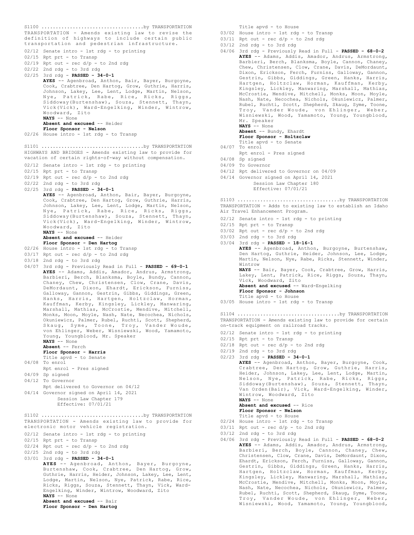TRANSPORTATION - Amends existing law to revise the definition of highways to include certain public transportation and pedestrian infrastructure. S1100 ....................................by TRANSPORTATION

- 02/12 Senate intro 1st rdg to printing
- 02/15 Rpt prt to Transp
- $02/19$  Rpt out rec  $d/p$  to 2nd rdg
- 02/22 2nd rdg to 3rd rdg
- 

02/25 3rd rdg - **PASSED - 34-0-1 AYES** -- Agenbroad, Anthon, Bair, Bayer, Burgoyne, Cook, Crabtree, Den Hartog, Grow, Guthrie, Harris, Johnson, Lakey, Lee, Lent, Lodge, Martin, Nelson, Nye, Patrick, Rabe, Rice, Ricks, Riggs, Siddoway(Burtenshaw), Souza, Stennett, Thayn, Vick(Vick), Ward-Engelking, Winder, Wintrow, Woodward, Zito **NAYS** -- None **Absent and excused** -- Heider **Floor Sponsor - Nelson**

02/26 House intro - 1st rdg - to Transp

HIGHWAYS AND BRIDGES - Amends existing law to provide for vacation of certain rights-of-way without compensation. S1101 ....................................by TRANSPORTATION

- 02/12 Senate intro 1st rdg to printing
- 02/15 Rpt prt to Transp
- $02/19$  Rpt out rec  $d/p$  to 2nd rdg
- 02/22 2nd rdg to 3rd rdg
- 02/25 3rd rdg **PASSED 34-0-1**
	- **AYES** -- Agenbroad, Anthon, Bair, Bayer, Burgoyne, Cook, Crabtree, Den Hartog, Grow, Guthrie, Harris, Johnson, Lakey, Lee, Lent, Lodge, Martin, Nelson, Nye, Patrick, Rabe, Rice, Ricks, Riggs, Siddoway(Burtenshaw), Souza, Stennett, Thayn, Vick(Vick), Ward-Engelking, Winder, Wintrow, Woodward, Zito **NAYS** -- None

# **Absent and excused** -- Heider

- **Floor Sponsor Den Hartog** 02/26 House intro - 1st rdg - to Transp
- 03/17 Rpt out rec d/p to 2nd rdg
- 
- 03/18 2nd rdg to 3rd rdg
- 04/07 3rd rdg Previously Read in Full **PASSED 69-0-1 AYES** -- Adams, Addis, Amador, Andrus, Armstrong, Barbieri, Berch, Blanksma, Boyle, Bundy, Cannon, Chaney, Chew, Christensen, Clow, Crane, Davis, DeMordaunt, Dixon, Ehardt, Erickson, Furniss, Galloway, Gannon, Gestrin, Gibbs, Giddings, Green, Hanks, Harris, Hartgen, Holtzclaw, Horman, Kauffman, Kerby, Kingsley, Lickley, Manwaring, Marshall, Mathias, McCrostie, Mendive, Mitchell, Monks, Moon, Moyle, Nash, Nate, Necochea, Nichols, Okuniewicz, Palmer, Rubel, Ruchti, Scott, Shepherd, Skaug, Syme, Toone, Troy, Vander Woude, von Ehlinger, Weber, Wisniewski, Wood, Yamamoto, Young, Youngblood, Mr. Speaker **NAYS** -- None **Absent** -- Ferch **Floor Sponsor - Harris**

Title apvd - to Senate 04/08 To enrol

- Rpt enrol Pres signed
- 04/09 Sp signed
- 04/12 To Governor
- Rpt delivered to Governor on 04/12 04/14 Governor signed on April 14, 2021 Session Law Chapter 179
	- Effective: 07/01/21

TRANSPORTATION - Amends existing law to provide for electronic motor vehicle registration. 02/12 Senate intro - 1st rdg - to printing S1102 ....................................by TRANSPORTATION

- 
- 02/15 Rpt prt to Transp
- 02/24 Rpt out rec d/p to 2nd rdg
- 02/25 2nd rdg to 3rd rdg
- 03/01 3rd rdg **PASSED 34-0-1**

**AYES** -- Agenbroad, Anthon, Bayer, Burgoyne, Burtenshaw, Cook, Crabtree, Den Hartog, Grow, Guthrie, Harris, Heider, Johnson, Lakey, Lee, Lent, Lodge, Martin, Nelson, Nye, Patrick, Rabe, Rice, Ricks, Riggs, Souza, Stennett, Thayn, Vick, Ward-Engelking, Winder, Wintrow, Woodward, Zito **NAYS** -- None **Absent and excused** -- Bair

**Floor Sponsor - Den Hartog**

Title apvd - to House

- 03/02 House intro 1st rdg to Transp
- $03/11$  Rpt out rec  $d/p$  to 2nd rdg
- $03/12$  2nd rdg to 3rd rdg
- 04/06 3rd rdg Previously Read in Full **PASSED 68-0-2 AYES** -- Adams, Addis, Amador, Andrus, Armstrong, Barbieri, Berch, Blanksma, Boyle, Cannon, Chaney, Chew, Christensen, Clow, Crane, Davis, DeMordaunt, Dixon, Erickson, Ferch, Furniss, Galloway, Gannon, Gestrin, Gibbs, Giddings, Green, Hanks, Harris, Hartgen, Holtzclaw, Horman, Kauffman, Kerby, Kingsley, Lickley, Manwaring, Marshall, Mathias, McCrostie, Mendive, Mitchell, Monks, Moon, Moyle, Nash, Nate, Necochea, Nichols, Okuniewicz, Palmer, Rubel, Ruchti, Scott, Shepherd, Skaug, Syme, Toone, Troy, Vander Woude, von Ehlinger, Weber, Wisniewski, Wood, Yamamoto, Young, Youngblood, Mr. Speaker **NAYS** -- None **Absent** -- Bundy, Ehardt
	- **Floor Sponsor Holtzclaw**
	- Title apvd to Senate
- 04/07 To enrol
	- Rpt enrol Pres signed
- 04/08 Sp signed
- 04/09 To Governor
- 04/12 Rpt delivered to Governor on 04/09
- 04/14 Governor signed on April 14, 2021 Session Law Chapter 180 Effective: 07/01/21

TRANSPORTATION - Adds to existing law to establish an Idaho Air Travel Enhancement Program. S1103 ....................................by TRANSPORTATION

- 02/12 Senate intro 1st rdg to printing
- 02/15 Rpt prt to Transp
- $03/02$  Rpt out rec d/p to 2nd rdg
- 03/03 2nd rdg to 3rd rdg
- 03/04 3rd rdg **PASSED 18-16-1 AYES** -- Agenbroad, Anthon, Burgoyne, Burtenshaw, Den Hartog, Guthrie, Heider, Johnson, Lee, Lodge, Martin, Nelson, Nye, Rabe, Ricks, Stennett, Winder, Wintrow **NAYS** -- Bair, Bayer, Cook, Crabtree, Grow, Harris, Lakey, Lent, Patrick, Rice, Riggs, Souza, Thayn, Vick, Woodward, Zito **Absent and excused** -- Ward-Engelking **Floor Sponsor - Johnson** Title apvd - to House 03/05 House intro - 1st rdg - to Transp S1104 ....................................by TRANSPORTATION

TRANSPORTATION - Amends existing law to provide for certain on-track equipment on railroad tracks.

- 02/12 Senate intro 1st rdg to printing
- 02/15 Rpt prt to Transp
- $02/18$  Rpt out rec d/p to 2nd rdg
- 02/19 2nd rdg to 3rd rdg
- 02/23 3rd rdg **PASSED 34-0-1 AYES** -- Agenbroad, Anthon, Bayer, Burgoyne, Cook, Crabtree, Den Hartog, Grow, Guthrie, Harris, Heider, Johnson, Lakey, Lee, Lent, Lodge, Martin, Nelson, Nye, Patrick, Rabe, Ricks, Riggs, Siddoway(Burtenshaw), Souza, Stennett, Thayn, Van Orden(Bair), Vick, Ward-Engelking, Winder, Wintrow, Woodward, Zito

**NAYS** -- None

**Absent and excused** -- Rice **Floor Sponsor - Nelson**

- Title apvd to House
- 02/24 House intro 1st rdg to Transp
- 03/11 Rpt out rec d/p to 2nd rdg
- 03/12 2nd rdg to 3rd rdg
- 04/06 3rd rdg Previously Read in Full **PASSED 68-0-2 AYES** -- Adams, Addis, Amador, Andrus, Armstrong, Barbieri, Berch, Boyle, Cannon, Chaney, Chew, Christensen, Clow, Crane, Davis, DeMordaunt, Dixon, Ehardt, Erickson, Ferch, Furniss, Galloway, Gannon, Gestrin, Gibbs, Giddings, Green, Hanks, Harris, Hartgen, Holtzclaw, Horman, Kauffman, Kerby, Kingsley, Lickley, Manwaring, Marshall, Mathias, McCrostie, Mendive, Mitchell, Monks, Moon, Moyle, Nash, Nate, Necochea, Nichols, Okuniewicz, Palmer, Rubel, Ruchti, Scott, Shepherd, Skaug, Syme, Toone, Troy, Vander Woude, von Ehlinger, Weber, Wisniewski, Wood, Yamamoto, Young, Youngblood,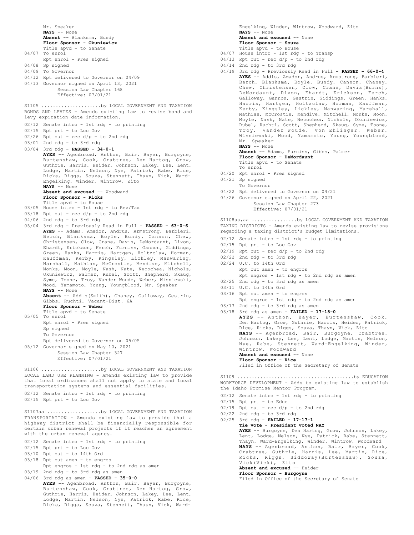Mr. Speaker **NAYS** -- None **Absent** -- Blanksma, Bundy **Floor Sponsor - Okuniewicz** Title apvd - to Senate 04/07 To enrol Rpt enrol - Pres signed 04/08 Sp signed 04/09 To Governor 04/12 Rpt delivered to Governor on 04/09 04/13 Governor signed on April 13, 2021 Session Law Chapter 168 Effective: 07/01/21 BONDS AND LEVIES - Amends existing law to revise bond and levy expiration date information. 02/12 Senate intro - 1st rdg - to printing 02/15 Rpt prt - to Loc Gov  $02/26$  Rpt out - rec  $d/p$  - to 2nd rdg 03/01 2nd rdg - to 3rd rdg 03/04 3rd rdg - **PASSED - 34-0-1 AYES** -- Agenbroad, Anthon, Bair, Bayer, Burgoyne, Burtenshaw, Cook, Crabtree, Den Hartog, Grow, Guthrie, Harris, Heider, Johnson, Lakey, Lee, Lent, Lodge, Martin, Nelson, Nye, Patrick, Rabe, Rice, Ricks, Riggs, Souza, Stennett, Thayn, Vick, Ward-Engelking, Winder, Wintrow, Zito **NAYS** -- None Absent and excused -- Woodward **Floor Sponsor - Ricks** Title apvd - to House 03/05 House intro - 1st rdg - to Rev/Tax 03/18 Rpt out - rec d/p - to 2nd rdg 04/06 2nd rdg - to 3rd rdg 05/04 3rd rdg - Previously Read in Full - **PASSED - 63-0-6 AYES** -- Adams, Amador, Andrus, Armstrong, Barbieri, Berch, Blanksma, Boyle, Bundy, Cannon, Chew, Christensen, Clow, Crane, Davis, DeMordaunt, Dixon, Ehardt, Erickson, Ferch, Furniss, Gannon, Giddings, Green, Hanks, Harris, Hartgen, Holtzclaw, Horman, Kauffman, Kerby, Kingsley, Lickley, Manwaring, Marshall, Mathias, McCrostie, Mendive, Mitchell, Monks, Moon, Moyle, Nash, Nate, Necochea, Nichols, Okuniewicz, Palmer, Rubel, Scott, Shepherd, Skaug, Syme, Toone, Troy, Vander Woude, Weber, Wisniewski, Wood, Yamamoto, Young, Youngblood, Mr. Speaker **NAYS** -- None **Absent** -- Addis(Smith), Chaney, Galloway, Gestrin, Gibbs, Ruchti, Vacant-Dist. 6A **Floor Sponsor - Weber** Title apvd - to Senate 05/05 To enrol Rpt enrol - Pres signed Sp signed To Governor Rpt delivered to Governor on 05/05 05/12 Governor signed on May 10, 2021 Session Law Chapter 327 Effective: 07/01/21 S1105 ..........................by LOCAL GOVERNMENT AND TAXATION LOCAL LAND USE PLANNING - Amends existing law to provide that local ordinances shall not apply to state and local transportation systems and essential facilities. 02/12 Senate intro - 1st rdg - to printing 02/15 Rpt prt - to Loc Gov S1106 ...........................by LOCAL GOVERNMENT AND TAXATION TRANSPORTATION - Amends existing law to provide that a highway district shall be financially responsible for certain urban renewal projects if it reaches an agreement with the urban renewal agency. 02/12 Senate intro - 1st rdg - to printing 02/15 Rpt prt - to Loc Gov 03/10 Rpt out - to 14th Ord 03/18 Rpt out amen - to engros Rpt engros - 1st rdg - to 2nd rdg as amen S1107aa ...................by LOCAL GOVERNMENT AND TAXATION

03/19 2nd rdg - to 3rd rdg as amen

04/06 3rd rdg as amen - **PASSED - 35-0-0 AYES** -- Agenbroad, Anthon, Bair, Bayer, Burgoyne, Burtenshaw, Cook, Crabtree, Den Hartog, Grow, Guthrie, Harris, Heider, Johnson, Lakey, Lee, Lent, Lodge, Martin, Nelson, Nye, Patrick, Rabe, Rice, Ricks, Riggs, Souza, Stennett, Thayn, Vick, Ward-

Engelking, Winder, Wintrow, Woodward, Zito **NAYS** -- None **Absent and excused** -- None **Floor Sponsor - Souza** Title apvd - to House

- 04/07 House intro 1st rdg to Transp
- $04/13$  Rpt out rec  $d/p$  to 2nd rdg
- 04/14 2nd rdg to 3rd rdg
- 04/19 3rd rdg Previously Read in Full **PASSED 66-0-4 AYES** -- Addis, Amador, Andrus, Armstrong, Barbieri, Berch, Blanksma, Boyle, Bundy, Cannon, Chaney, Chew, Christensen, Clow, Crane, Davis(Burns), DeMordaunt, Dixon, Ehardt, Erickson, Ferch, Galloway, Gannon, Gestrin, Giddings, Green, Hanks, Harris, Hartgen, Holtzclaw, Horman, Kauffman, Kerby, Kingsley, Lickley, Manwaring, Marshall, Mathias, McCrostie, Mendive, Mitchell, Monks, Moon, Moyle, Nash, Nate, Necochea, Nichols, Okuniewicz, Rubel, Ruchti, Scott, Shepherd, Skaug, Syme, Toone, Troy, Vander Woude, von Ehlinger, Weber, Wisniewski, Wood, Yamamoto, Young, Youngblood, Mr. Speaker **NAYS** -- None
	- **Absent** -- Adams, Furniss, Gibbs, Palmer
	- **Floor Sponsor DeMordaunt** Title apvd - to Senate
	- To enrol
- 04/20 Rpt enrol Pres signed
- 04/21 Sp signed
- To Governor
- 04/22 Rpt delivered to Governor on 04/21
- 04/26 Governor signed on April 22, 2021
	- Session Law Chapter 273 Effective: 07/01/21

TAXING DISTRICTS - Amends existing law to revise provisions regarding a taxing district's budget limitations. S1108aa,aa ................by LOCAL GOVERNMENT AND TAXATION

- 02/12 Senate intro 1st rdg to printing
- 02/15 Rpt prt to Loc Gov
- $02/19$  Rpt out rec  $d/p$  to 2nd rdg
- 02/22 2nd rdg to 3rd rdg
- 02/24 U.C. to 14th Ord
- Rpt out amen to engros Rpt engros - 1st rdg - to 2nd rdg as amen
- 02/25 2nd rdg to 3rd rdg as amen
- 03/11 U.C. to 14th Ord
- 03/16 Rpt out amen to engros
	- Rpt engros 1st rdg to 2nd rdg as amen
- 03/17 2nd rdg to 3rd rdg as amen
- 03/18 3rd rdg as amen **FAILED 17-18-0 AYES** -- Anthon, Bayer, Burtenshaw, Cook, Den Hartog, Grow, Guthrie, Harris, Heider, Patrick, Rice, Ricks, Riggs, Souza, Thayn, Vick, Zito **NAYS** -- Agenbroad, Bair, Burgoyne, Crabtree, Johnson, Lakey, Lee, Lent, Lodge, Martin, Nelson, Nye, Rabe, Stennett, Ward-Engelking, Winder, Wintrow, Woodward Absent and excused -- None **Floor Sponsor - Rice**

Filed in Office of the Secretary of Senate

- WORKFORCE DEVELOPMENT Adds to existing law to establish the Idaho Promise Mentor Program. S1109 .........................................by EDUCATION
- 02/12 Senate intro 1st rdg to printing
- 02/15 Rpt prt to Educ
- $02/19$  Rpt out rec  $d/p$  to 2nd rdg
- 02/22 2nd rdg to 3rd rdg

02/25 3rd rdg - **FAILED - 17-17-1 Tie vote - President voted NAY AYES** -- Burgoyne, Den Hartog, Grow, Johnson, Lakey, Lent, Lodge, Nelson, Nye, Patrick, Rabe, Stennett, Thayn, Ward-Engelking, Winder, Wintrow, Woodward **NAYS** -- Agenbroad, Anthon, Bair, Bayer, Cook, Crabtree, Guthrie, Harris, Lee, Martin, Rice, Ricks, Riggs, Siddoway(Burtenshaw), Souza, Vick(Vick), Zito **Absent and excused** -- Heider

### **Floor Sponsor - Burgoyne**

Filed in Office of the Secretary of Senate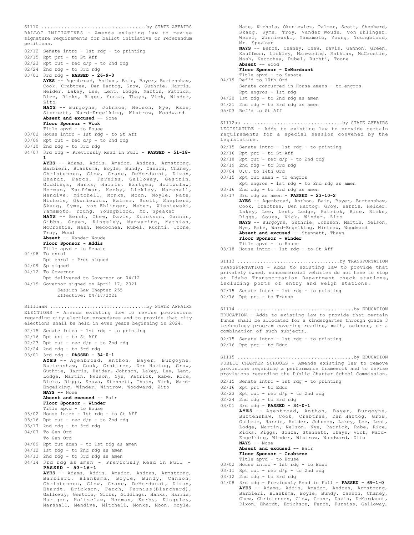BALLOT INITIATIVES - Amends existing law to revise signature requirements for ballot initiative or referendum petitions. 02/12 Senate intro - 1st rdg - to printing 02/15 Rpt prt - to St Aff  $02/23$  Rpt out - rec  $d/p$  - to 2nd rdg 02/24 2nd rdg - to 3rd rdg 03/01 3rd rdg - **PASSED - 26-9-0 AYES** -- Agenbroad, Anthon, Bair, Bayer, Burtenshaw, Cook, Crabtree, Den Hartog, Grow, Guthrie, Harris, Heider, Lakey, Lee, Lent, Lodge, Martin, Patrick, Rice, Ricks, Riggs, Souza, Thayn, Vick, Winder, Zito **NAYS** -- Burgoyne, Johnson, Nelson, Nye, Rabe, Stennett, Ward-Engelking, Wintrow, Woodward Absent and excused -- None **Floor Sponsor - Vick** Title apvd - to House 03/02 House intro - 1st rdg - to St Aff 03/09 Rpt out - rec d/p - to 2nd rdg 03/10 2nd rdg - to 3rd rdg 04/07 3rd rdg - Previously Read in Full - **PASSED - 51-18- 1 AYES** -- Adams, Addis, Amador, Andrus, Armstrong, Barbieri, Blanksma, Boyle, Bundy, Cannon, Chaney, Christensen, Clow, Crane, DeMordaunt, Dixon, Ehardt, Ferch, Furniss, Galloway, Gestrin, Giddings, Hanks, Harris, Hartgen, Holtzclaw, Horman, Kauffman, Kerby, Lickley, Marshall, Mendive, Mitchell, Monks, Moon, Moyle, Nate, Nichols, Okuniewicz, Palmer, Scott, Shepherd, Skaug, Syme, von Ehlinger, Weber, Wisniewski, Yamamoto, Young, Youngblood, Mr. Speaker **NAYS** -- Berch, Chew, Davis, Erickson, Gannon, Gibbs, Green, Kingsley, Manwaring, Mathias, McCrostie, Nash, Necochea, Rubel, Ruchti, Toone, Troy, Wood **Absent** -- Vander Woude **Floor Sponsor - Addis** Title apvd - to Senate 04/08 To enrol Rpt enrol - Pres signed 04/09 Sp signed 04/12 To Governor Rpt delivered to Governor on 04/12 04/19 Governor signed on April 17, 2021 Session Law Chapter 255 Effective: 04/17/2021 S1110 .....................................by STATE AFFAIRS ELECTIONS - Amends existing law to revise provisions regarding city election procedures and to provide that city elections shall be held in even years beginning in 2024. 02/15 Senate intro - 1st rdg - to printing 02/16 Rpt prt - to St Aff 02/23 Rpt out - rec d/p - to 2nd rdg 02/24 2nd rdg - to 3rd rdg 03/01 3rd rdg - **PASSED - 34-0-1 AYES** -- Agenbroad, Anthon, Bayer, Burgoyne, Burtenshaw, Cook, Crabtree, Den Hartog, Grow, Guthrie, Harris, Heider, Johnson, Lakey, Lee, Lent, Lodge, Martin, Nelson, Nye, Patrick, Rabe, Rice, Ricks, Riggs, Souza, Stennett, Thayn, Vick, Ward-Engelking, Winder, Wintrow, Woodward, Zito **NAYS** -- None **Absent and excused** -- Bair **Floor Sponsor - Winder** Title apvd - to House 03/02 House intro - 1st rdg - to St Aff 03/16 Rpt out - rec d/p - to 2nd rdg 03/17 2nd rdg - to 3rd rdg 04/07 To Gen Ord To Gen Ord 04/09 Rpt out amen - to 1st rdg as amen 04/12 1st rdg - to 2nd rdg as amen 04/13 2nd rdg - to 3rd rdg as amen 04/14 3rd rdg as amen - Previously Read in Full - **PASSED - 53-16-1 AYES** -- Adams, Addis, Amador, Andrus, Armstrong, Barbieri, Blanksma, Boyle, Bundy, Cannon, Christensen, Clow, Crane, DeMordaunt, Dixon, Ehardt, Erickson, Ferch, Furniss(Blanchard), Galloway, Gestrin, Gibbs, Giddings, Hanks, Harris, S1111aaH ..................................by STATE AFFAIRS

Hartgen, Holtzclaw, Horman, Kerby, Kingsley, Marshall, Mendive, Mitchell, Monks, Moon, Moyle,

Nate, Nichols, Okuniewicz, Palmer, Scott, Shepherd, Skaug, Syme, Troy, Vander Woude, von Ehlinger, Weber, Wisniewski, Yamamoto, Young, Youngblood, Mr. Speaker **NAYS** -- Berch, Chaney, Chew, Davis, Gannon, Green, Kauffman, Lickley, Manwaring, Mathias, McCrostie, Nash, Necochea, Rubel, Ruchti, Toone **Absent** -- Wood **Floor Sponsor - DeMordaunt** Title apvd - to Senate 04/19 Ref'd to 10th Ord Senate concurred in House amens - to engros Rpt engros - 1st rdg 04/20 1st rdg - to 2nd rdg as amen 04/21 2nd rdg - to 3rd rdg as amen 05/03 Ref'd to St Aff LEGISLATURE - Adds to existing law to provide certain requirements for a special session convened by the Legislature. 02/15 Senate intro - 1st rdg - to printing 02/16 Rpt prt - to St Aff  $02/18$  Rpt out - rec  $d/p$  - to 2nd rdg 02/19 2nd rdg - to 3rd rdg 03/04 U.C. to 14th Ord 03/15 Rpt out amen - to engros Rpt engros - 1st rdg - to 2nd rdg as amen 03/16 2nd rdg - to 3rd rdg as amen 03/17 3rd rdg as amen - **PASSED - 23-10-2 AYES** -- Agenbroad, Anthon, Bair, Bayer, Burtenshaw, Cook, Crabtree, Den Hartog, Grow, Harris, Heider, Lakey, Lee, Lent, Lodge, Patrick, Rice, Ricks, Riggs, Souza, Vick, Winder, Zito **NAYS** -- Burgoyne, Guthrie, Johnson, Martin, Nelson, Nye, Rabe, Ward-Engelking, Wintrow, Woodward **Absent and excused** -- Stennett, Thayn **Floor Sponsor - Winder** Title apvd - to House 03/18 House intro - 1st rdg - to St Aff S1112aa ...................................by STATE AFFAIRS TRANSPORTATION - Adds to existing law to provide that privately owned, noncommercial vehicles do not have to stop at Idaho Transportation Department check stations, including ports of entry and weigh stations. 02/15 Senate intro - 1st rdg - to printing 02/16 Rpt prt - to Transp S1113 ....................................by TRANSPORTATION EDUCATION - Adds to existing law to provide that certain funds shall be allocated for a kindergarten through grade 3 technology program covering reading, math, science, or a combination of such subjects. 02/15 Senate intro - 1st rdg - to printing 02/16 Rpt prt - to Educ S1114 .........................................by EDUCATION PUBLIC CHARTER SCHOOLS - Amends existing law to remove provisions regarding a performance framework and to revise provisions regarding the Public Charter School Commission. 02/15 Senate intro - 1st rdg - to printing 02/16 Rpt prt - to Educ  $02/23$  Rpt out - rec  $d/p$  - to 2nd rdg 02/24 2nd rdg - to 3rd rdg 03/01 3rd rdg - **PASSED - 34-0-1 AYES** -- Agenbroad, Anthon, Bayer, Burgoyne, Burtenshaw, Cook, Crabtree, Den Hartog, Grow, Guthrie, Harris, Heider, Johnson, Lakey, Lee, Lent, Lodge, Martin, Nelson, Nye, Patrick, Rabe, Rice, Ricks, Riggs, Souza, Stennett, Thayn, Vick, Ward-Engelking, Winder, Wintrow, Woodward, Zito **NAYS** -- None **Absent and excused** -- Bair **Floor Sponsor - Crabtree** Title apvd - to House 03/02 House intro - 1st rdg - to Educ  $03/11$  Rpt out - rec  $d/p$  - to 2nd rdg 03/12 2nd rdg - to 3rd rdg 04/08 3rd rdg - Previously Read in Full - **PASSED - 69-1-0 AYES** -- Adams, Addis, Amador, Andrus, Armstrong, S1115 .........................................by EDUCATION

Barbieri, Blanksma, Boyle, Bundy, Cannon, Chaney, Chew, Christensen, Clow, Crane, Davis, DeMordaunt, Dixon, Ehardt, Erickson, Ferch, Furniss, Galloway,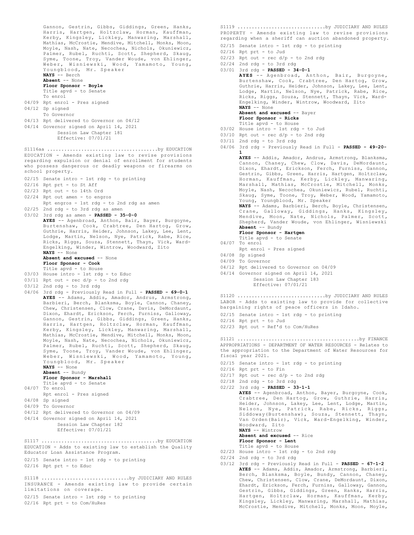Gannon, Gestrin, Gibbs, Giddings, Green, Hanks, Harris, Hartgen, Holtzclaw, Horman, Kauffman, Kerby, Kingsley, Lickley, Manwaring, Marshall, Mathias, McCrostie, Mendive, Mitchell, Monks, Moon, Moyle, Nash, Nate, Necochea, Nichols, Okuniewicz, Palmer, Rubel, Ruchti, Scott, Shepherd, Skaug, Syme, Toone, Troy, Vander Woude, von Ehlinger, Weber, Wisniewski, Wood, Yamamoto, Young, Youngblood, Mr. Speaker **NAYS** -- Berch **Absent** -- None **Floor Sponsor - Boyle** Title apvd - to Senate To enrol 04/09 Rpt enrol - Pres signed 04/12 Sp signed To Governor 04/13 Rpt delivered to Governor on 04/12 04/14 Governor signed on April 14, 2021 Session Law Chapter 181 Effective: 07/01/21 EDUCATION - Amends existing law to revise provisions regarding expulsion or denial of enrollment for students who possess dangerous or deadly weapons or firearms on school property. 02/15 Senate intro - 1st rdg - to printing 02/16 Rpt prt - to St Aff 02/23 Rpt out - to 14th Ord 02/24 Rpt out amen - to engros Rpt engros - 1st rdg - to 2nd rdg as amen 02/25 2nd rdg - to 3rd rdg as amen 03/02 3rd rdg as amen - **PASSED - 35-0-0 AYES** -- Agenbroad, Anthon, Bair, Bayer, Burgoyne, Burtenshaw, Cook, Crabtree, Den Hartog, Grow, Guthrie, Harris, Heider, Johnson, Lakey, Lee, Lent, Lodge, Martin, Nelson, Nye, Patrick, Rabe, Rice, Ricks, Riggs, Souza, Stennett, Thayn, Vick, Ward-Engelking, Winder, Wintrow, Woodward, Zito **NAYS** -- None **Absent and excused** -- None **Floor Sponsor - Cook** Title apvd - to House 03/03 House intro - 1st rdg - to Educ  $03/11$  Rpt out - rec  $d/p$  - to 2nd rdg 03/12 2nd rdg - to 3rd rdg 04/06 3rd rdg - Previously Read in Full - **PASSED - 69-0-1 AYES** -- Adams, Addis, Amador, Andrus, Armstrong, Barbieri, Berch, Blanksma, Boyle, Cannon, Chaney, Chew, Christensen, Clow, Crane, Davis, DeMordaunt, Dixon, Ehardt, Erickson, Ferch, Furniss, Galloway, Gannon, Gestrin, Gibbs, Giddings, Green, Hanks, Harris, Hartgen, Holtzclaw, Horman, Kauffman, Kerby, Kingsley, Lickley, Manwaring, Marshall, Mathias, McCrostie, Mendive, Mitchell, Monks, Moon, Moyle, Nash, Nate, Necochea, Nichols, Okuniewicz, Palmer, Rubel, Ruchti, Scott, Shepherd, Skaug, Syme, Toone, Troy, Vander Woude, von Ehlinger, Weber, Wisniewski, Wood, Yamamoto, Young, Youngblood, Mr. Speaker **NAYS** -- None **Absent** -- Bundy **Floor Sponsor - Marshall** Title apvd - to Senate 04/07 To enrol Rpt enrol - Pres signed 04/08 Sp signed 04/09 To Governor 04/12 Rpt delivered to Governor on 04/09 04/14 Governor signed on April 14, 2021 Session Law Chapter 182 Effective: 07/01/21 S1116aa .......................................by EDUCATION EDUCATION - Adds to existing law to establish the Quality Educator Loan Assistance Program. 02/15 Senate intro - 1st rdg - to printing  $02/16$  Rpt prt - to Educ S1117 .........................................by EDUCATION INSURANCE - Amends existing law to provide certain limitations on coverage. 02/15 Senate intro - 1st rdg - to printing 02/16 Rpt prt - to Com/HuRes S1118 .................................by JUDICIARY AND RULES

PROPERTY - Amends existing law to revise provisions regarding when a sheriff can auction abandoned property. 02/15 Senate intro - 1st rdg - to printing 02/16 Rpt prt - to Jud  $02/23$  Rpt out - rec  $d/p$  - to 2nd rdg 02/24 2nd rdg - to 3rd rdg 03/01 3rd rdg - **PASSED - 34-0-1 AYES** -- Agenbroad, Anthon, Bair, Burgoyne, Burtenshaw, Cook, Crabtree, Den Hartog, Grow, Guthrie, Harris, Heider, Johnson, Lakey, Lee, Lent, Lodge, Martin, Nelson, Nye, Patrick, Rabe, Rice, Ricks, Riggs, Souza, Stennett, Thayn, Vick, Ward-Engelking, Winder, Wintrow, Woodward, Zito **NAYS** -- None **Absent and excused** -- Bayer **Floor Sponsor - Ricks** Title apvd - to House 03/02 House intro - 1st rdg - to Jud 03/10 Rpt out - rec d/p - to 2nd rdg 03/11 2nd rdg - to 3rd rdg 04/06 3rd rdg - Previously Read in Full - **PASSED - 49-20- 1 AYES** -- Addis, Amador, Andrus, Armstrong, Blanksma, Cannon, Chaney, Chew, Clow, Davis, DeMordaunt, Dixon, Ehardt, Erickson, Ferch, Furniss, Gannon, Gestrin, Gibbs, Green, Harris, Hartgen, Holtzclaw, Horman, Kauffman, Kerby, Lickley, Manwaring, Marshall, Mathias, McCrostie, Mitchell, Monks, Moyle, Nash, Necochea, Okuniewicz, Rubel, Ruchti, Skaug, Syme, Toone, Troy, Weber, Wood, Yamamoto, Young, Youngblood, Mr. Speaker **NAYS** -- Adams, Barbieri, Berch, Boyle, Christensen, Crane, Galloway, Giddings, Hanks, Kingsley, Mendive, Moon, Nate, Nichols, Palmer, Scott, Shepherd, Vander Woude, von Ehlinger, Wisniewski **Absent** -- Bundy **Floor Sponsor - Hartgen** Title apvd - to Senate 04/07 To enrol Rpt enrol - Pres signed 04/08 Sp signed 04/09 To Governor 04/12 Rpt delivered to Governor on 04/09 04/14 Governor signed on April 14, 2021 Session Law Chapter 183 Effective: 07/01/21 LABOR - Adds to existing law to provide for collective bargaining rights of peace officers in Idaho. 02/15 Senate intro - 1st rdg - to printing 02/16 Rpt prt - to Jud 02/23 Rpt out - Ref'd to Com/HuRes S1120 ...............................by JUDICIARY AND RULES APPROPRIATIONS - DEPARTMENT OF WATER RESOURCES - Relates to the appropriation to the Department of Water Resources for fiscal year 2021. 02/15 Senate intro - 1st rdg - to printing  $02/16$  Rpt prt - to Fin  $02/17$  Rpt out - rec  $d/p$  - to 2nd rdg 02/18 2nd rdg - to 3rd rdg 02/22 3rd rdg - **PASSED - 33-1-1 AYES** -- Agenbroad, Anthon, Bayer, Burgoyne, Cook, Crabtree, Den Hartog, Grow, Guthrie, Harris, Heider, Johnson, Lakey, Lee, Lent, Lodge, Martin, Nelson, Nye, Patrick, Rabe, Ricks, Riggs, Siddoway(Burtenshaw), Souza, Stennett, Thayn, Van Orden(Bair), Vick, Ward-Engelking, Winder, Woodward, Zito **NAYS** -- Wintrow **Absent and excused** -- Rice **Floor Sponsor - Lent** Title apvd - to House S1121 ...........................................by FINANCE

S1119 ...............................by JUDICIARY AND RULES

- 02/23 House intro 1st rdg to 2nd rdg
- 02/24 2nd rdg to 3rd rdg
- 03/12 3rd rdg Previously Read in Full **PASSED 67-1-2 AYES** -- Adams, Addis, Amador, Armstrong, Barbieri, Berch, Blanksma, Boyle, Bundy, Cannon, Chaney, Chew, Christensen, Clow, Crane, DeMordaunt, Dixon, Ehardt, Erickson, Ferch, Furniss, Galloway, Gannon, Gestrin, Gibbs, Giddings, Green, Hanks, Harris, Hartgen, Holtzclaw, Horman, Kauffman, Kerby, Kingsley, Lickley, Manwaring, Marshall, Mathias, McCrostie, Mendive, Mitchell, Monks, Moon, Moyle,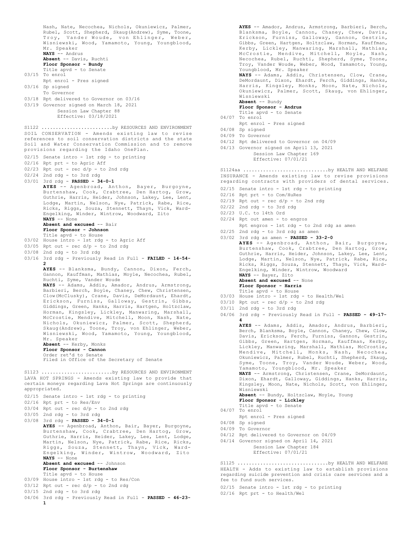Nash, Nate, Necochea, Nichols, Okuniewicz, Palmer, Rubel, Scott, Shepherd, Skaug(Andrew), Syme, Toone, Troy, Vander Woude, von Ehlinger, Weber, Wisniewski, Wood, Yamamoto, Young, Youngblood, Mr. Speaker **NAYS** -- Andrus **Absent** -- Davis, Ruchti **Floor Sponsor - Bundy** Title apvd - to Senate 03/15 To enrol Rpt enrol - Pres signed 03/16 Sp signed To Governor 03/18 Rpt delivered to Governor on 03/16 03/19 Governor signed on March 18, 2021 Session Law Chapter 88 Effective: 03/18/2021 SOIL CONSERVATION - Amends existing law to revise references to soil conservation districts and the state Soil and Water Conservation Commission and to remove provisions regarding the Idaho OnePlan. 02/15 Senate intro - 1st rdg - to printing 02/16 Rpt prt - to Agric Aff  $02/23$  Rpt out - rec  $d/p$  - to 2nd rdg 02/24 2nd rdg - to 3rd rdg 03/01 3rd rdg - **PASSED - 34-0-1 AYES** -- Agenbroad, Anthon, Bayer, Burgoyne, Burtenshaw, Cook, Crabtree, Den Hartog, Grow, Guthrie, Harris, Heider, Johnson, Lakey, Lee, Lent, Lodge, Martin, Nelson, Nye, Patrick, Rabe, Rice, Ricks, Riggs, Souza, Stennett, Thayn, Vick, Ward-Engelking, Winder, Wintrow, Woodward, Zito **NAYS** -- None **Absent and excused** -- Bair **Floor Sponsor - Johnson** Title apvd - to House 03/02 House intro - 1st rdg - to Agric Aff  $03/05$  Rpt out - rec  $d/p$  - to 2nd rdg 03/08 2nd rdg - to 3rd rdg 03/16 3rd rdg - Previously Read in Full - **FAILED - 14-54- 2 AYES** -- Blanksma, Bundy, Cannon, Dixon, Ferch, Gannon, Kauffman, Mathias, Moyle, Necochea, Rubel, Ruchti, Syme, Vander Woude **NAYS** -- Adams, Addis, Amador, Andrus, Armstrong, Barbieri, Berch, Boyle, Chaney, Chew, Christensen, Clow(McClusky), Crane, Davis, DeMordaunt, Ehardt, Erickson, Furniss, Galloway, Gestrin, Gibbs, Giddings, Green, Hanks, Harris, Hartgen, Holtzclaw, Horman, Kingsley, Lickley, Manwaring, Marshall, McCrostie, Mendive, Mitchell, Moon, Nash, Nate, Nichols, Okuniewicz, Palmer, Scott, Shepherd, Skaug(Andrew), Toone, Troy, von Ehlinger, Weber, Wisniewski, Wood, Yamamoto, Young, Youngblood, Mr. Speaker **Absent** -- Kerby, Monks **Floor Sponsor - Cannon** Order ret'd to Senate Filed in Office of the Secretary of Senate S1122 .............................by RESOURCES AND ENVIRONMENT LAVA HOT SPRINGS - Amends existing law to provide that certain moneys regarding Lava Hot Springs are continuously appropriated. 02/15 Senate intro - 1st rdg - to printing 02/16 Rpt prt - to Res/Env 03/04 Rpt out - rec d/p - to 2nd rdg 03/05 2nd rdg - to 3rd rdg 03/08 3rd rdg - **PASSED - 34-0-1 AYES** -- Agenbroad, Anthon, Bair, Bayer, Burgoyne, Burtenshaw, Cook, Crabtree, Den Hartog, Grow, Guthrie, Harris, Heider, Lakey, Lee, Lent, Lodge, Martin, Nelson, Nye, Patrick, Rabe, Rice, Ricks, Riggs, Souza, Stennett, Thayn, Vick, Ward-Engelking, Winder, Wintrow, Woodward, Zito **NAYS** -- None **Absent and excused** -- Johnson **Floor Sponsor - Burtenshaw** Title apvd - to House 03/09 House intro - 1st rdg - to Res/Con 03/12 Rpt out - rec d/p - to 2nd rdg 03/15 2nd rdg - to 3rd rdg 04/06 3rd rdg - Previously Read in Full - **PASSED - 46-23- 1** S1123 ...............................by RESOURCES AND ENVIRONMENT

**AYES** -- Amador, Andrus, Armstrong, Barbieri, Berch, Blanksma, Boyle, Cannon, Chaney, Chew, Davis, Erickson, Furniss, Galloway, Gannon, Gestrin, Gibbs, Green, Hartgen, Holtzclaw, Horman, Kauffman, Kerby, Lickley, Manwaring, Marshall, Mathias, McCrostie, Mendive, Mitchell, Moyle, Nash, Necochea, Rubel, Ruchti, Shepherd, Syme, Toone, Troy, Vander Woude, Weber, Wood, Yamamoto, Young, Youngblood, Mr. Speaker **NAYS** -- Adams, Addis, Christensen, Clow, Crane, DeMordaunt, Dixon, Ehardt, Ferch, Giddings, Hanks, Harris, Kingsley, Monks, Moon, Nate, Nichols, Okuniewicz, Palmer, Scott, Skaug, von Ehlinger, Wisniewski **Absent** -- Bundy **Floor Sponsor - Andrus** Title apvd - to Senate 04/07 To enrol Rpt enrol - Pres signed 04/08 Sp signed 04/09 To Governor 04/12 Rpt delivered to Governor on 04/09 04/13 Governor signed on April 13, 2021 Session Law Chapter 169 Effective: 07/01/21 INSURANCE - Amends existing law to revise provisions regarding contracts with providers of dental services. 02/15 Senate intro - 1st rdg - to printing 02/16 Rpt prt - to Com/HuRes  $02/19$  Rpt out - rec  $d/p$  - to 2nd rdg S1124aa ..............................by HEALTH AND WELFARE

- 02/22 2nd rdg to 3rd rdg
- 02/23 U.C. to 14th Ord
- 02/24 Rpt out amen to engros
- Rpt engros 1st rdg to 2nd rdg as amen
- 02/25 2nd rdg to 3rd rdg as amen
- 03/02 3rd rdg as amen **PASSED 33-2-0 AYES** -- Agenbroad, Anthon, Bair, Burgoyne, Burtenshaw, Cook, Crabtree, Den Hartog, Grow, Guthrie, Harris, Heider, Johnson, Lakey, Lee, Lent, Lodge, Martin, Nelson, Nye, Patrick, Rabe, Rice, Ricks, Riggs, Souza, Stennett, Thayn, Vick, Ward-Engelking, Winder, Wintrow, Woodward **NAYS** -- Bayer, Zito Absent and excused -- None **Floor Sponsor - Harris** Title apvd - to House
- 03/03 House intro 1st rdg to Health/Wel
- $03/10$  Rpt out rec  $d/p$  to 2nd rdg
- 03/11 2nd rdg to 3rd rdg
- 04/06 3rd rdg Previously Read in Full **PASSED 49-17- 4**

**AYES** -- Adams, Addis, Amador, Andrus, Barbieri, Berch, Blanksma, Boyle, Cannon, Chaney, Chew, Clow, Davis, Erickson, Ferch, Furniss, Gannon, Gestrin, Gibbs, Green, Hartgen, Horman, Kauffman, Kerby, Lickley, Manwaring, Marshall, Mathias, McCrostie, Mendive, Mitchell, Monks, Nash, Necochea, Okuniewicz, Palmer, Rubel, Ruchti, Shepherd, Skaug, Syme, Toone, Troy, Vander Woude, Weber, Wood, Yamamoto, Youngblood, Mr. Speaker **NAYS** -- Armstrong, Christensen, Crane, DeMordaunt,

Dixon, Ehardt, Galloway, Giddings, Hanks, Harris, Kingsley, Moon, Nate, Nichols, Scott, von Ehlinger, Wisniewski

**Absent** -- Bundy, Holtzclaw, Moyle, Young **Floor Sponsor - Lickley**

- Title apvd to Senate
- 04/07 To enrol
- Rpt enrol Pres signed
- 04/08 Sp signed
- 04/09 To Governor
- 04/12 Rpt delivered to Governor on 04/09
- 04/14 Governor signed on April 14, 2021
	- Session Law Chapter 184 Effective: 07/01/21

HEALTH - Adds to existing law to establish provisions regarding suicide prevention and crisis care services and a fee to fund such services. S1125 ................................by HEALTH AND WELFARE

02/15 Senate intro - 1st rdg - to printing

02/16 Rpt prt - to Health/Wel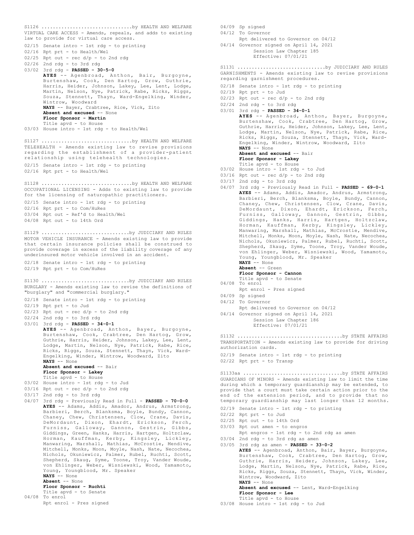VIRTUAL CARE ACCESS - Amends, repeals, and adds to existing law to provide for virtual care access. 02/15 Senate intro - 1st rdg - to printing 02/16 Rpt prt - to Health/Wel  $02/25$  Rpt out - rec  $d/p$  - to 2nd rdg 02/26 2nd rdg - to 3rd rdg 03/02 3rd rdg - **PASSED - 30-5-0 AYES** -- Agenbroad, Anthon, Bair, Burgoyne, Burtenshaw, Cook, Den Hartog, Grow, Guthrie, Harris, Heider, Johnson, Lakey, Lee, Lent, Lodge, Martin, Nelson, Nye, Patrick, Rabe, Ricks, Riggs, Souza, Stennett, Thayn, Ward-Engelking, Winder, Wintrow, Woodward **NAYS** -- Bayer, Crabtree, Rice, Vick, Zito **Absent and excused** -- None **Floor Sponsor - Martin** Title apvd - to House 03/03 House intro - 1st rdg - to Health/Wel S1126 ................................by HEALTH AND WELFARE TELEHEALTH - Amends existing law to revise provisions regarding the establishment of a provider-patient relationship using telehealth technologies. 02/15 Senate intro - 1st rdg - to printing 02/16 Rpt prt - to Health/Wel S1127 ................................by HEALTH AND WELFARE OCCUPATIONAL LICENSING - Adds to existing law to provide for the licensing of naturopathic practitioners. 02/15 Senate intro - 1st rdg - to printing 02/16 Rpt prt - to Com/HuRes 03/04 Rpt out - Ref'd to Health/Wel 04/08 Rpt out - to 14th Ord S1128 ................................by HEALTH AND WELFARE MOTOR VEHICLE INSURANCE - Amends existing law to provide that certain insurance policies shall be construed to provide coverage in excess of the liability coverage of any underinsured motor vehicle involved in an accident. 02/18 Senate intro - 1st rdg - to printing 02/19 Rpt prt - to Com/HuRes S1129 ...............................by JUDICIARY AND RULES BURGLARY - Amends existing law to revise the definitions of "burglary" and "commercial burglary." 02/18 Senate intro - 1st rdg - to printing 02/19 Rpt prt - to Jud  $02/23$  Rpt out - rec  $d/p$  - to 2nd rdg 02/24 2nd rdg - to 3rd rdg 03/01 3rd rdg - **PASSED - 34-0-1 AYES** -- Agenbroad, Anthon, Bayer, Burgoyne, Burtenshaw, Cook, Crabtree, Den Hartog, Grow, Guthrie, Harris, Heider, Johnson, Lakey, Lee, Lent, Lodge, Martin, Nelson, Nye, Patrick, Rabe, Rice, Ricks, Riggs, Souza, Stennett, Thayn, Vick, Ward-Engelking, Winder, Wintrow, Woodward, Zito **NAYS** -- None **Absent and excused** -- Bair **Floor Sponsor - Lakey** Title apvd - to House 03/02 House intro - 1st rdg - to Jud  $03/16$  Rpt out - rec  $d/p$  - to 2nd rdg  $03/17$  2nd rdg - to 3rd rdg 04/07 3rd rdg - Previously Read in Full - **PASSED - 70-0-0 AYES** -- Adams, Addis, Amador, Andrus, Armstrong, Barbieri, Berch, Blanksma, Boyle, Bundy, Cannon, Chaney, Chew, Christensen, Clow, Crane, Davis, DeMordaunt, Dixon, Ehardt, Erickson, Ferch, Furniss, Galloway, Gannon, Gestrin, Gibbs, Giddings, Green, Hanks, Harris, Hartgen, Holtzclaw, Horman, Kauffman, Kerby, Kingsley, Lickley, Manwaring, Marshall, Mathias, McCrostie, Mendive, Mitchell, Monks, Moon, Moyle, Nash, Nate, Necochea, Nichols, Okuniewicz, Palmer, Rubel, Ruchti, Scott, Shepherd, Skaug, Syme, Toone, Troy, Vander Woude, von Ehlinger, Weber, Wisniewski, Wood, Yamamoto, Young, Youngblood, Mr. Speaker **NAYS** -- None **Absent** -- None **Floor Sponsor - Ruchti** Title apvd - to Senate 04/08 To enrol Rpt enrol - Pres signed S1130 ...............................by JUDICIARY AND RULES 04/12 To Governor 04/08 To enrol 04/09 Sp signed 03/05 3rd rdg as amen - **PASSED - 33-0-2**

- 04/09 Sp signed
	- Rpt delivered to Governor on 04/12
- 04/14 Governor signed on April 14, 2021 Session Law Chapter 185 Effective: 07/01/21

GARNISHMENTS - Amends existing law to revise provisions regarding garnishment procedures. S1131 ...............................by JUDICIARY AND RULES

- 02/18 Senate intro 1st rdg to printing
- 02/19 Rpt prt to Jud
- $02/23$  Rpt out rec  $d/p$  to 2nd rdg
- 02/24 2nd rdg to 3rd rdg
- 03/01 3rd rdg **PASSED 34-0-1 AYES** -- Agenbroad, Anthon, Bayer, Burgoyne, Burtenshaw, Cook, Crabtree, Den Hartog, Grow, Guthrie, Harris, Heider, Johnson, Lakey, Lee, Lent, Lodge, Martin, Nelson, Nye, Patrick, Rabe, Rice, Ricks, Riggs, Souza, Stennett, Thayn, Vick, Ward-Engelking, Winder, Wintrow, Woodward, Zito **NAYS** -- None
	- **Absent and excused** -- Bair

**Floor Sponsor - Lakey** Title apvd - to House

- 03/02 House intro 1st rdg to Jud
- $03/16$  Rpt out rec  $d/p$  to 2nd rdg
- 03/17 2nd rdg to 3rd rdg
- 04/07 3rd rdg Previously Read in Full **PASSED 69-0-1 AYES** -- Adams, Addis, Amador, Andrus, Armstrong, Barbieri, Berch, Blanksma, Boyle, Bundy, Cannon, Chaney, Chew, Christensen, Clow, Crane, Davis, DeMordaunt, Dixon, Ehardt, Erickson, Ferch, Furniss, Galloway, Gannon, Gestrin, Gibbs, Giddings, Hanks, Harris, Hartgen, Holtzclaw, Horman, Kauffman, Kerby, Kingsley, Lickley, Manwaring, Marshall, Mathias, McCrostie, Mendive, Mitchell, Monks, Moon, Moyle, Nash, Nate, Necochea, Nichols, Okuniewicz, Palmer, Rubel, Ruchti, Scott, Shepherd, Skaug, Syme, Toone, Troy, Vander Woude, von Ehlinger, Weber, Wisniewski, Wood, Yamamoto, Young, Youngblood, Mr. Speaker **NAYS** -- None
	- **Absent** -- Green
	- **Floor Sponsor Cannon**
	- Title apvd to Senate
	-
	- Rpt enrol Pres signed
- 
- 04/12 To Governor
	- Rpt delivered to Governor on 04/12
- 04/14 Governor signed on April 14, 2021 Session Law Chapter 186 Effective: 07/01/21

TRANSPORTATION - Amends existing law to provide for driving authorization cards. S1132 .....................................by STATE AFFAIRS

02/19 Senate intro - 1st rdg - to printing 02/22 Rpt prt - to Transp

GUARDIANS OF MINORS - Amends existing law to limit the time during which a temporary guardianship may be extended, to provide that a court must take certain action prior to the end of the extension period, and to provide that no temporary guardianship may last longer than 12 months. S1133aa ...................................by STATE AFFAIRS

- 02/19 Senate intro 1st rdg to printing
- 02/22 Rpt prt to Jud
- 02/25 Rpt out to 14th Ord
- 03/03 Rpt out amen to engros
- Rpt engros 1st rdg to 2nd rdg as amen
- 03/04 2nd rdg to 3rd rdg as amen

**AYES** -- Agenbroad, Anthon, Bair, Bayer, Burgoyne, Burtenshaw, Cook, Crabtree, Den Hartog, Grow, Guthrie, Harris, Heider, Johnson, Lakey, Lee, Lodge, Martin, Nelson, Nye, Patrick, Rabe, Rice, Ricks, Riggs, Souza, Stennett, Thayn, Vick, Winder, Wintrow, Woodward, Zito **NAYS** -- None **Absent and excused** -- Lent, Ward-Engelking

**Floor Sponsor - Lee** Title apvd - to House

03/08 House intro - 1st rdg - to Jud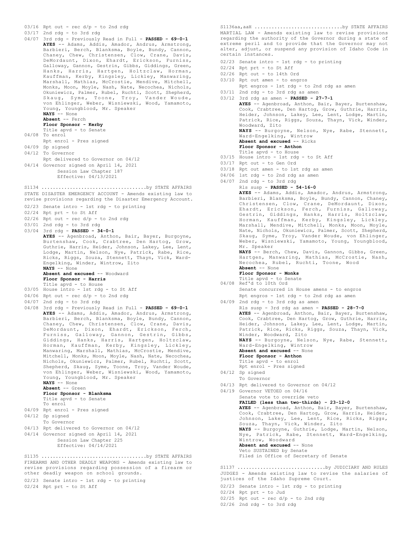$03/16$  Rpt out - rec  $d/p$  - to 2nd rdg

03/17 2nd rdg - to 3rd rdg 04/07 3rd rdg - Previously Read in Full - **PASSED - 69-0-1 AYES** -- Adams, Addis, Amador, Andrus, Armstrong, Barbieri, Berch, Blanksma, Boyle, Bundy, Cannon, Chaney, Chew, Christensen, Clow, Crane, Davis, DeMordaunt, Dixon, Ehardt, Erickson, Furniss, Galloway, Gannon, Gestrin, Gibbs, Giddings, Green, Hanks, Harris, Hartgen, Holtzclaw, Horman, Kauffman, Kerby, Kingsley, Lickley, Manwaring, Marshall, Mathias, McCrostie, Mendive, Mitchell, Monks, Moon, Moyle, Nash, Nate, Necochea, Nichols, Okuniewicz, Palmer, Rubel, Ruchti, Scott, Shepherd, Skaug, Syme, Toone, Troy, Vander Woude, von Ehlinger, Weber, Wisniewski, Wood, Yamamoto, Young, Youngblood, Mr. Speaker **NAYS** -- None **Absent** -- Ferch **Floor Sponsor - Kerby** Title apvd - to Senate 04/08 To enrol Rpt enrol - Pres signed 04/09 Sp signed 04/12 To Governor Rpt delivered to Governor on 04/12 04/14 Governor signed on April 14, 2021 Session Law Chapter 187 Effective: 04/13/2021 STATE DISASTER EMERGENCY ACCOUNT - Amends existing law to revise provisions regarding the Disaster Emergency Account. 02/23 Senate intro - 1st rdg - to printing 02/24 Rpt prt - to St Aff  $02/26$  Rpt out - rec d/p - to 2nd rdg 03/01 2nd rdg - to 3rd rdg 03/04 3rd rdg - **PASSED - 34-0-1 AYES** -- Agenbroad, Anthon, Bair, Bayer, Burgoyne, Burtenshaw, Cook, Crabtree, Den Hartog, Grow, Guthrie, Harris, Heider, Johnson, Lakey, Lee, Lent, Lodge, Martin, Nelson, Nye, Patrick, Rabe, Rice, Ricks, Riggs, Souza, Stennett, Thayn, Vick, Ward-Engelking, Winder, Wintrow, Zito **NAYS** -- None **Absent and excused** -- Woodward **Floor Sponsor - Harris** Title apvd - to House 03/05 House intro - 1st rdg - to St Aff  $04/06$  Rpt out - rec  $d/p$  - to 2nd rdg 04/07 2nd rdg - to 3rd rdg 04/08 3rd rdg - Previously Read in Full - **PASSED - 69-0-1 AYES** -- Adams, Addis, Amador, Andrus, Armstrong, Barbieri, Berch, Blanksma, Boyle, Bundy, Cannon, Chaney, Chew, Christensen, Clow, Crane, Davis, DeMordaunt, Dixon, Ehardt, Erickson, Ferch, Furniss, Galloway, Gannon, Gestrin, Gibbs, Giddings, Hanks, Harris, Hartgen, Holtzclaw, Horman, Kauffman, Kerby, Kingsley, Lickley, Manwaring, Marshall, Mathias, McCrostie, Mendive, Mitchell, Monks, Moon, Moyle, Nash, Nate, Necochea, Nichols, Okuniewicz, Palmer, Rubel, Ruchti, Scott, Shepherd, Skaug, Syme, Toone, Troy, Vander Woude, von Ehlinger, Weber, Wisniewski, Wood, Yamamoto, Young, Youngblood, Mr. Speaker **NAYS** -- None **Absent** -- Green **Floor Sponsor - Blanksma** Title apvd - to Senate To enrol 04/09 Rpt enrol - Pres signed 04/12 Sp signed To Governor 04/13 Rpt delivered to Governor on 04/12 04/14 Governor signed on April 14, 2021 Session Law Chapter 225 Effective: 04/14/2021 S1134 .....................................by STATE AFFAIRS S1135 .....................................by STATE AFFAIRS

FIREARMS AND OTHER DEADLY WEAPONS - Amends existing law to revise provisions regarding possession of a firearm or other deadly weapon on school grounds.

02/23 Senate intro - 1st rdg - to printing

02/24 Rpt prt - to St Aff

MARTIAL LAW - Amends existing law to revise provisions regarding the authority of the Governor during a state of extreme peril and to provide that the Governor may not alter, adjust, or suspend any provision of Idaho Code in certain instances. S1136aa,aaH ...............................by STATE AFFAIRS

- 02/23 Senate intro 1st rdg to printing
- 02/24 Rpt prt to St Aff
- 02/26 Rpt out to 14th Ord
- 03/10 Rpt out amen to engros
	- Rpt engros 1st rdg to 2nd rdg as amen
- 

03/11 2nd rdg - to 3rd rdg as amen 03/12 3rd rdg as amen - **PASSED - 27-7-1 AYES** -- Agenbroad, Anthon, Bair, Bayer, Burtenshaw, Cook, Crabtree, Den Hartog, Grow, Guthrie, Harris, Heider, Johnson, Lakey, Lee, Lent, Lodge, Martin, Patrick, Rice, Riggs, Souza, Thayn, Vick, Winder, Woodward, Zito **NAYS** -- Burgoyne, Nelson, Nye, Rabe, Stennett, Ward-Engelking, Wintrow **Absent and excused** -- Ricks **Floor Sponsor - Anthon** Title apvd - to House 03/15 House intro - 1st rdg - to St Aff 03/17 Rpt out - to Gen Ord 03/18 Rpt out amen - to 1st rdg as amen 04/06 1st rdg - to 2nd rdg as amen 04/07 2nd rdg - to 3rd rdg Rls susp - **PASSED - 54-16-0 AYES** -- Adams, Addis, Amador, Andrus, Armstrong, Barbieri, Blanksma, Boyle, Bundy, Cannon, Chaney, Christensen, Clow, Crane, DeMordaunt, Dixon, Ehardt, Erickson, Ferch, Furniss, Galloway, Gestrin, Giddings, Hanks, Harris, Holtzclaw, Horman, Kauffman, Kerby, Kingsley, Lickley, Marshall, Mendive, Mitchell, Monks, Moon, Moyle, Nate, Nichols, Okuniewicz, Palmer, Scott, Shepherd, Skaug, Syme, Troy, Vander Woude, von Ehlinger, Weber, Wisniewski, Yamamoto, Young, Youngblood, Mr. Speaker **NAYS** -- Berch, Chew, Davis, Gannon, Gibbs, Green, Hartgen, Manwaring, Mathias, McCrostie, Nash, Necochea, Rubel, Ruchti, Toone, Wood **Absent** -- None **Floor Sponsor - Monks** Title apvd - to Senate 04/08 Ref'd to 10th Ord Senate concurred in House amens - to engros Rpt engros - 1st rdg - to 2nd rdg as amen 04/09 2nd rdg - to 3rd rdg as amen Rls susp - 3rd rdg as amen - **PASSED - 28-7-0 AYES** -- Agenbroad, Anthon, Bair, Bayer, Burtenshaw, Cook, Crabtree, Den Hartog, Grow, Guthrie, Harris, Heider, Johnson, Lakey, Lee, Lent, Lodge, Martin, Patrick, Rice, Ricks, Riggs, Souza, Thayn, Vick, Winder, Woodward, Zito<br>**NAYS** -- Burgoyne, Nelson, Nye, Rabe, Stennett, Ward-Engelking, Wintrow **Absent and excused** -- None **Floor Sponsor - Anthon** Title apvd - to enrol Rpt enrol - Pres signed 04/12 Sp signed To Governor 04/13 Rpt delivered to Governor on 04/12 04/19 Governor VETOED on 04/16 Senate vote to override veto **FAILED (less than two-thirds) - 23-12-0 AYES** -- Agenbroad, Anthon, Bair, Bayer, Burtenshaw, Cook, Crabtree, Den Hartog, Grow, Harris, Heider, Johnson, Lakey, Lee, Lent, Rice, Ricks, Riggs, Souza, Thayn, Vick, Winder, Zito **NAYS** -- Burgoyne, Guthrie, Lodge, Martin, Nelson, Nye, Patrick, Rabe, Stennett, Ward-Engelking, Wintrow, Woodward

JUDGES - Amends existing law to revise the salaries of justices of the Idaho Supreme Court. S1137 ...............................by JUDICIARY AND RULES

Filed in Office of Secretary of Senate

02/23 Senate intro - 1st rdg - to printing

**Absent and excused** -- None Veto SUSTAINED by Senate

- 02/24 Rpt prt to Jud
- $02/25$  Rpt out rec d/p to 2nd rdg
- 02/26 2nd rdg to 3rd rdg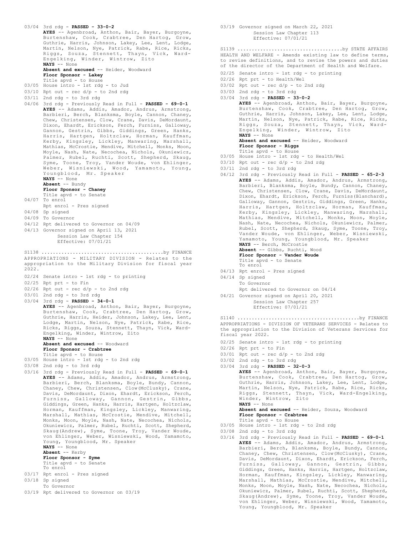```
03/04 3rd rdg - PASSED - 33-0-2
AYES -- Agenbroad, Anthon, Bair, Bayer, Burgoyne,
      Burtenshaw, Cook, Crabtree, Den Hartog, Grow,
       Guthrie, Harris, Johnson, Lakey, Lee, Lent, Lodge,
       Martin, Nelson, Nye, Patrick, Rabe, Rice, Ricks,
Riggs, Souza, Stennett, Thayn, Vick, Ward-
Engelking, Winder, Wintrow, Zito
      NAYS -- None
      Absent and excused -- Heider, Woodward
       Floor Sponsor - Lakey
       Title apvd - to House
03/05 House intro - 1st rdg - to Jud
03/10 Rpt out - rec d/p - to 2nd rdg
03/11 2nd rdg - to 3rd rdg
04/06 3rd rdg - Previously Read in Full - PASSED - 69-0-1
       AYES -- Adams, Addis, Amador, Andrus, Armstrong,
      Barbieri, Berch, Blanksma, Boyle, Cannon, Chaney,
       Chew, Christensen, Clow, Crane, Davis, DeMordaunt,
       Dixon, Ehardt, Erickson, Ferch, Furniss, Galloway,
      Gannon, Gestrin, Gibbs, Giddings, Green, Hanks,
       Harris, Hartgen, Holtzclaw, Horman, Kauffman,
       Kerby, Kingsley, Lickley, Manwaring, Marshall,
Mathias, McCrostie, Mendive, Mitchell, Monks, Moon,
      Moyle, Nash, Nate, Necochea, Nichols, Okuniewicz,
       Palmer, Rubel, Ruchti, Scott, Shepherd, Skaug,
      Syme, Toone, Troy, Vander Woude, von Ehlinger,
       Weber, Wisniewski, Wood, Yamamoto, Young,
       Youngblood, Mr. Speaker
      NAYS -- None
      Absent -- Bundy
      Floor Sponsor - Chaney
      Title apvd - to Senate
04/07 To enrol
     Rpt enrol - Pres signed
04/08 Sp signed
04/09 To Governor
04/12 Rpt delivered to Governor on 04/09
04/13 Governor signed on April 13, 2021
           Session Law Chapter 154
           Effective: 07/01/21
APPROPRIATIONS - MILITARY DIVISION - Relates to the
appropriation to the Military Division for fiscal year
2022.
02/24 Senate intro - 1st rdg - to printing
02/25 Rpt prt - to Fin
02/26 Rpt out - rec d/p - to 2nd rdg
03/01 2nd rdg - to 3rd rdg
03/04 3rd rdg - PASSED - 34-0-1
      AYES -- Agenbroad, Anthon, Bair, Bayer, Burgoyne,
      Burtenshaw, Cook, Crabtree, Den Hartog, Grow,
       Guthrie, Harris, Heider, Johnson, Lakey, Lee, Lent,
      Lodge, Martin, Nelson, Nye, Patrick, Rabe, Rice,
      Ricks, Riggs, Souza, Stennett, Thayn, Vick, Ward-
       Engelking, Winder, Wintrow, Zito
      NAYS -- None
       Absent and excused -- Woodward
      Floor Sponsor - Crabtree
       Title apvd - to House
03/05 House intro - 1st rdg - to 2nd rdg
03/08 2nd rdg - to 3rd rdg
03/16 3rd rdg - Previously Read in Full - PASSED - 69-0-1
      AYES -- Adams, Addis, Amador, Andrus, Armstrong,
       Barbieri, Berch, Blanksma, Boyle, Bundy, Cannon,
Chaney, Chew, Christensen, Clow(McClusky), Crane,
Davis, DeMordaunt, Dixon, Ehardt, Erickson, Ferch,
      Furniss, Galloway, Gannon, Gestrin, Gibbs,
       Giddings, Green, Hanks, Harris, Hartgen, Holtzclaw,
      Horman, Kauffman, Kingsley, Lickley, Manwaring,
      Marshall, Mathias, McCrostie, Mendive, Mitchell,
      Monks, Moon, Moyle, Nash, Nate, Necochea, Nichols,
      Okuniewicz, Palmer, Rubel, Ruchti, Scott, Shepherd,
      Skaug(Andrew), Syme, Toone, Troy, Vander Woude,
       von Ehlinger, Weber, Wisniewski, Wood, Yamamoto,
      Young, Youngblood, Mr. Speaker
      NAYS -- None
       Absent -- Kerby
Floor Sponsor - Syme
      Title apvd - to Senate
      To enrol
03/17 Rpt enrol - Pres signed
03/18 Sp signed
     To Governor
S1138 ...........................................by FINANCE
```
03/19 Rpt delivered to Governor on 03/19

03/19 Governor signed on March 22, 2021 Session Law Chapter 113 Effective: 07/01/21

HEALTH AND WELFARE - Amends existing law to define terms, to revise definitions, and to revise the powers and duties of the director of the Department of Health and Welfare. S1139 .....................................by STATE AFFAIRS

- 02/25 Senate intro 1st rdg to printing
- 02/26 Rpt prt to Health/Wel
- 03/02 Rpt out rec  $d/p$  to 2nd rdg
- 03/03 2nd rdg to 3rd rdg
- 03/04 3rd rdg **PASSED 33-0-2 AYES** -- Agenbroad, Anthon, Bair, Bayer, Burgoyne, Burtenshaw, Cook, Crabtree, Den Hartog, Grow, Guthrie, Harris, Johnson, Lakey, Lee, Lent, Lodge, Martin, Nelson, Nye, Patrick, Rabe, Rice, Ricks, Riggs, Souza, Stennett, Thayn, Vick, Ward-Engelking, Winder, Wintrow, Zito **NAYS** -- None **Absent and excused** -- Heider, Woodward **Floor Sponsor - Riggs** Title apvd - to House 03/05 House intro - 1st rdg - to Health/Wel  $03/10$  Rpt out - rec  $d/p$  - to 2nd rdg 03/11 2nd rdg - to 3rd rdg 04/12 3rd rdg - Previously Read in Full - **PASSED - 65-2-3 AYES** -- Adams, Addis, Amador, Andrus, Armstrong, Barbieri, Blanksma, Boyle, Bundy, Cannon, Chaney, Chew, Christensen, Clow, Crane, Davis, DeMordaunt, Dixon, Ehardt, Erickson, Ferch, Furniss(Blanchard), Galloway, Gannon, Gestrin, Giddings, Green, Hanks, Harris, Hartgen, Holtzclaw, Horman, Kauffman, Kerby, Kingsley, Lickley, Manwaring, Marshall, Mathias, Mendive, Mitchell, Monks, Moon, Moyle, Nash, Nate, Necochea, Nichols, Okuniewicz, Palmer, Rubel, Scott, Shepherd, Skaug, Syme, Toone, Troy, Vander Woude, von Ehlinger, Weber, Wisniewski, Yamamoto, Young, Youngblood, Mr. Speaker **NAYS** -- Berch, McCrostie **Absent** -- Gibbs, Ruchti, Wood

**Floor Sponsor - Vander Woude**

- Title apvd to Senate
- To enrol
- 04/13 Rpt enrol Pres signed
- 04/14 Sp signed To Governor
	- Rpt delivered to Governor on 04/14
- 04/21 Governor signed on April 20, 2021

Session Law Chapter 257 Effective: 07/01/21

APPROPRIATIONS - DIVISION OF VETERANS SERVICES - Relates to the appropriation to the Division of Veterans Services for fiscal year 2022. S1140 ...........................................by FINANCE

- 02/25 Senate intro 1st rdg to printing
- $02/26$  Rpt prt to Fin
- $03/01$  Rpt out rec  $d/p$  to 2nd rdg
- 03/02 2nd rdg to 3rd rdg 03/04 3rd rdg - **PASSED - 32-0-3**

**AYES** -- Agenbroad, Anthon, Bair, Bayer, Burgoyne, Burtenshaw, Cook, Crabtree, Den Hartog, Grow, Guthrie, Harris, Johnson, Lakey, Lee, Lent, Lodge, Martin, Nelson, Nye, Patrick, Rabe, Rice, Ricks,<br>Riggs, Stennett, Thayn, Vick, Ward-Engelking,<br>Winder, Wintrow, Zito<br>**NAYS** -- None

**Absent and excused** -- Heider, Souza, Woodward **Floor Sponsor - Crabtree**

- Title apvd to House 03/05 House intro - 1st rdg - to 2nd rdg
- 03/08 2nd rdg to 3rd rdg
- 03/16 3rd rdg Previously Read in Full **PASSED 69-0-1 AYES** -- Adams, Addis, Amador, Andrus, Armstrong, Barbieri, Berch, Blanksma, Boyle, Bundy, Cannon, Chaney, Chew, Christensen, Clow(McClusky), Crane, Davis, DeMordaunt, Dixon, Ehardt, Erickson, Ferch, Furniss, Galloway, Gannon, Gestrin, Gibbs, Giddings, Green, Hanks, Harris, Hartgen, Holtzclaw, Horman, Kauffman, Kingsley, Lickley, Manwaring, Marshall, Mathias, McCrostie, Mendive, Mitchell, Monks, Moon, Moyle, Nash, Nate, Necochea, Nichols, Okuniewicz, Palmer, Rubel, Ruchti, Scott, Shepherd, Skaug(Andrew), Syme, Toone, Troy, Vander Woude, von Ehlinger, Weber, Wisniewski, Wood, Yamamoto, Young, Youngblood, Mr. Speaker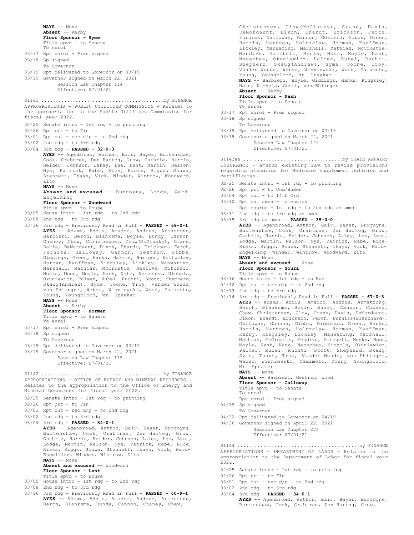```
NAYS -- None
       Absent -- Kerby
       Floor Sponsor - Syme
       Title apvd - to Senate
       To enrol
03/17 Rpt enrol - Pres signed
03/18 Sp signed
      To Governor
03/19 Rpt delivered to Governor on 03/19
03/19 Governor signed on March 22, 2021
            Session Law Chapter 114
            Effective: 07/01/21
APPROPRIATIONS - PUBLIC UTILITIES COMMISSION - Relates to
the appropriation to the Public Utilities Commission for
fiscal year 2022.
02/25 Senate intro - 1st rdg - to printing
02/26 Rpt prt - to Fin
03/01 Rpt out - rec d/p - to 2nd rdg
03/02 2nd rdg - to 3rd rdg
03/04 3rd rdg - PASSED - 32-0-3
      AYES -- Agenbroad, Anthon, Bair, Bayer, Burtenshaw,
       Cook, Crabtree, Den Hartog, Grow, Guthrie, Harris,
       Heider, Johnson, Lakey, Lee, Lent, Martin, Nelson,
Nye, Patrick, Rabe, Rice, Ricks, Riggs, Souza,
       Stennett, Thayn, Vick, Winder, Wintrow, Woodward,
       Zito
       NAYS -- None
      Absent and excused -- Burgoyne, Lodge, Ward-
       Engelking
       Floor Sponsor - Woodward
Title apvd - to House
03/05 House intro - 1st rdg - to 2nd rdg
03/08 2nd rdg - to 3rd rdg
03/16 3rd rdg - Previously Read in Full - PASSED - 69-0-1
AYES -- Adams, Addis, Amador, Andrus, Armstrong,
       Barbieri, Berch, Blanksma, Boyle, Bundy, Cannon,
Chaney, Chew, Christensen, Clow(McClusky), Crane,
       Davis, DeMordaunt, Dixon, Ehardt, Erickson, Ferch,
       Furniss, Galloway, Gannon, Gestrin, Gibbs,
Giddings, Green, Hanks, Harris, Hartgen, Holtzclaw,
       Horman, Kauffman, Kingsley, Lickley, Manwaring,
       Marshall, Mathias, McCrostie, Mendive, Mitchell,
Monks, Moon, Moyle, Nash, Nate, Necochea, Nichols,
       Okuniewicz, Palmer, Rubel, Ruchti, Scott, Shepherd,
       Skaug(Andrew), Syme, Toone, Troy, Vander Woude,
       von Ehlinger, Weber, Wisniewski, Wood, Yamamoto,
       Young, Youngblood, Mr. Speaker
       NAYS -- None
       Absent -- Kerby
       Floor Sponsor - Horman
       Title apvd - to Senate
       To enrol
03/17 Rpt enrol - Pres signed
03/18 Sp signed
      To Governor
03/19 Rpt delivered to Governor on 03/19
03/19 Governor signed on March 22, 2021
           Session Law Chapter 115
            Effective: 07/01/21
S1141 ...........................................by FINANCE
APPROPRIATIONS - OFFICE OF ENERGY AND MINERAL RESOURCES -
Relates to the appropriation to the Office of Energy and
Mineral Resources for fiscal year 2022.
02/25 Senate intro - 1st rdg - to printing
02/26 Rpt prt - to Fin
03/01 Rpt out - rec d/p - to 2nd rdg
03/02 2nd rdg - to 3rd rdg
03/04 3rd rdg - PASSED - 34-0-1
       AYES -- Agenbroad, Anthon, Bair, Bayer, Burgoyne,
       Burtenshaw, Cook, Crabtree, Den Hartog, Grow,
       Guthrie, Harris, Heider, Johnson, Lakey, Lee, Lent,
       Lodge, Martin, Nelson, Nye, Patrick, Rabe, Rice,
       Ricks, Riggs, Souza, Stennett, Thayn, Vick, Ward-
       Engelking, Winder, Wintrow, Zito
       NAYS -- None
       Absent and excused -- Woodward
       Floor Sponsor - Lent
       Title apvd - to House
03/05 House intro - 1st rdg - to 2nd rdg
03/08 2nd rdg - to 3rd rdg
S1142 ...........................................by FINANCE
```
Christensen, Clow(McClusky), Crane, Davis, DeMordaunt, Dixon, Ehardt, Erickson, Ferch, Furniss, Galloway, Gannon, Gestrin, Gibbs, Green, Harris, Hartgen, Holtzclaw, Horman, Kauffman, Lickley, Manwaring, Marshall, Mathias, McCrostie, Mendive, Mitchell, Monks, Moon, Moyle, Nash, Necochea, Okuniewicz, Palmer, Rubel, Ruchti, Shepherd, Skaug(Andrew), Syme, Toone, Troy, Vander Woude, Weber, Wisniewski, Wood, Yamamoto, Young, Youngblood, Mr. Speaker **NAYS** -- Barbieri, Boyle, Giddings, Hanks, Kingsley, Nate, Nichols, Scott, von Ehlinger **Absent** -- Kerby **Floor Sponsor - Nash**

Title apvd - to Senate To enrol

- 03/17 Rpt enrol Pres signed
- 03/18 Sp signed
- To Governor 03/19 Rpt delivered to Governor on 03/19
- 03/19 Governor signed on March 24, 2021
	- Session Law Chapter 129 Effective: 07/01/21

INSURANCE - Amends existing law to revise provisions regarding standards for Medicare supplement policies and certificates. S1143aa ...................................by STATE AFFAIRS

- 02/25 Senate intro 1st rdg to printing
- 02/26 Rpt prt to Com/HuRes
- 03/04 Rpt out to 14th Ord
- 03/10 Rpt out amen to engros
	- Rpt engros 1st rdg to 2nd rdg as amen
- 03/11 2nd rdg to 3rd rdg as amen 03/15 3rd rdg as amen - **PASSED - 35-0-0**
- **AYES** -- Agenbroad, Anthon, Bair, Bayer, Burgoyne, Burtenshaw, Cook, Crabtree, Den Hartog, Grow, Guthrie, Harris, Heider, Johnson, Lakey, Lee, Lent, Lodge, Martin, Nelson, Nye, Patrick, Rabe, Rice, Ricks, Riggs, Souza, Stennett, Thayn, Vick, Ward-Engelking, Winder, Wintrow, Woodward, Zito **NAYS** -- None

```
Absent and excused -- None
Floor Sponsor - Souza
```
Title apvd - to House

- 03/16 House intro 1st rdg to Bus
- $04/12$  Rpt out rec  $d/p$  to 2nd rdg
- 04/13 2nd rdg to 3rd rdg
- 04/14 3rd rdg Previously Read in Full **PASSED 67-0-3 AYES** -- Adams, Addis, Amador, Andrus, Armstrong, Berch, Blanksma, Boyle, Bundy, Cannon, Chaney, Chew, Christensen, Clow, Crane, Davis, DeMordaunt, Dixon, Ehardt, Erickson, Ferch, Furniss(Blanchard), Galloway, Gannon, Gibbs, Giddings, Green, Hanks, Harris, Hartgen, Holtzclaw, Horman, Kauffman, Kerby, Kingsley, Lickley, Manwaring, Marshall, Mathias, McCrostie, Mendive, Mitchell, Monks, Moon, Moyle, Nash, Nate, Necochea, Nichols, Okuniewicz, Palmer, Rubel, Ruchti, Scott, Shepherd, Skaug, Syme, Toone, Troy, Vander Woude, von Ehlinger, Weber, Wisniewski, Yamamoto, Young, Youngblood, Mr. Speaker **NAYS** -- None

**Absent** -- Barbieri, Gestrin, Wood **Floor Sponsor - Galloway**

- Title apvd to Senate
- To enrol
- Rpt enrol Pres signed
- 04/19 Sp signed
- To Governor
- 04/20 Rpt delivered to Governor on 04/19
- 04/26 Governor signed on April 22, 2021 Session Law Chapter 274 Effective: 07/01/21

APPROPRIATIONS - DEPARTMENT OF LABOR - Relates to the appropriation to the Department of Labor for fiscal year 2021. S1144 ...........................................by FINANCE

- 02/25 Senate intro 1st rdg to printing
- 02/26 Rpt prt to Fin
- $03/01$  Rpt out rec  $d/p$  to 2nd rdg
- 03/02 2nd rdg to 3rd rdg 03/04 3rd rdg - **PASSED - 34-0-1**

**AYES** -- Agenbroad, Anthon, Bair, Bayer, Burgoyne, Burtenshaw, Cook, Crabtree, Den Hartog, Grow,

03/16 3rd rdg - Previously Read in Full - **PASSED - 60-9-1 AYES** -- Adams, Addis, Amador, Andrus, Armstrong, Berch, Blanksma, Bundy, Cannon, Chaney, Chew,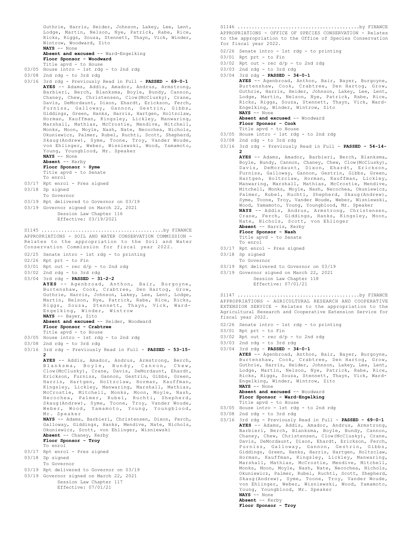Guthrie, Harris, Heider, Johnson, Lakey, Lee, Lent, Lodge, Martin, Nelson, Nye, Patrick, Rabe, Rice, Ricks, Riggs, Souza, Stennett, Thayn, Vick, Winder, Wintrow, Woodward, Zito **NAYS** -- None **Absent and excused** -- Ward-Engelking

**Floor Sponsor - Woodward** Title apvd - to House

- 03/05 House intro 1st rdg to 2nd rdg
- 03/08 2nd rdg to 3rd rdg
- 03/16 3rd rdg Previously Read in Full **PASSED 69-0-1 AYES** -- Adams, Addis, Amador, Andrus, Armstrong, Barbieri, Berch, Blanksma, Boyle, Bundy, Cannon, Chaney, Chew, Christensen, Clow(McClusky), Crane, Davis, DeMordaunt, Dixon, Ehardt, Erickson, Ferch, Furniss, Galloway, Gannon, Gestrin, Gibbs, Giddings, Green, Hanks, Harris, Hartgen, Holtzclaw, Horman, Kauffman, Kingsley, Lickley, Manwaring, Marshall, Mathias, McCrostie, Mendive, Mitchell, Monks, Moon, Moyle, Nash, Nate, Necochea, Nichols, Okuniewicz, Palmer, Rubel, Ruchti, Scott, Shepherd, Skaug(Andrew), Syme, Toone, Troy, Vander Woude, von Ehlinger, Weber, Wisniewski, Wood, Yamamoto, Young, Youngblood, Mr. Speaker **NAYS** -- None **Absent** -- Kerby **Floor Sponsor - Syme** Title apvd - to Senate To enrol
- 03/17 Rpt enrol Pres signed
- 03/18 Sp signed
- To Governor
- 03/19 Rpt delivered to Governor on 03/19
- 03/19 Governor signed on March 22, 2021
- Session Law Chapter 116 Effective: 03/19/2021

APPROPRIATIONS - SOIL AND WATER CONSERVATION COMMISSION - Relates to the appropriation to the Soil and Water Conservation Commission for fiscal year 2022. S1145 ...........................................by FINANCE

- 02/25 Senate intro 1st rdg to printing
- 02/26 Rpt prt to Fin
- $03/01$  Rpt out rec d/p to 2nd rdg
- 03/02 2nd rdg to 3rd rdg
- 03/04 3rd rdg **PASSED 31-2-2**
- AYES -- Agenbroad, Anthon, Bair, Burgoyne,<br>Burtenshaw, Cook, Crabtree, Den Hartog, Grow,<br>Guthrie, Harris, Johnson, Lakey, Lee, Lent, Lodge,<br>Martin, Nelson, Nye, Patrick, Rabe, Rice, Ricks,<br>Riggs, Souza, Stennett, Thayn, Vi Engelking, Winder, Wintrow **NAYS** -- Bayer, Zito

### **Absent and excused** -- Heider, Woodward **Floor Sponsor - Crabtree**

- Title apvd to House
- 03/05 House intro 1st rdg to 2nd rdg
- 03/08 2nd rdg to 3rd rdg
- 03/16 3rd rdg Previously Read in Full **PASSED 53-15- 2 AYES** -- Addis, Amador, Andrus, Armstrong, Berch,

Blanksma, Boyle, Bundy, Cannon, Chew, Clow(McClusky), Crane, Davis, DeMordaunt, Ehardt, Erickson, Furniss, Gannon, Gestrin, Gibbs, Green, Harris, Hartgen, Holtzclaw, Horman, Kauffman, Kingsley, Lickley, Manwaring, Marshall, Mathias, McCrostie, Mitchell, Monks, Moon, Moyle, Nash, Necochea, Palmer, Rubel, Ruchti, Shepherd, Skaug(Andrew), Syme, Toone, Troy, Vander Woude, Weber, Wood, Yamamoto, Young, Youngblood, Mr. Speaker **NAYS** -- Adams, Barbieri, Christensen, Dixon, Ferch, Galloway, Giddings, Hanks, Mendive, Nate, Nichols, Okuniewicz, Scott, von Ehlinger, Wisniewski

**Absent** -- Chaney, Kerby **Floor Sponsor - Troy**

- To enrol
- 03/17 Rpt enrol Pres signed
- 03/18 Sp signed To Governor
- 
- 03/19 Rpt delivered to Governor on 03/19
- 03/19 Governor signed on March 22, 2021 Session Law Chapter 117 Effective: 07/01/21

APPROPRIATIONS - OFFICE OF SPECIES CONSERVATION - Relates to the appropriation to the Office of Species Conservation for fiscal year 2022. S1146 ...........................................by FINANCE

- 02/26 Senate intro 1st rdg to printing
- 03/01 Rpt prt to Fin
- $03/02$  Rpt out rec  $d/p$  to 2nd rdg
- 03/03 2nd rdg to 3rd rdg
- 03/04 3rd rdg **PASSED 34-0-1**

**AYES** -- Agenbroad, Anthon, Bair, Bayer, Burgoyne, Burtenshaw, Cook, Crabtree, Den Hartog, Grow, Guthrie, Harris, Heider, Johnson, Lakey, Lee, Lent, Lodge, Martin, Nelson, Nye, Patrick, Rabe, Rice, Ricks, Riggs, Souza, Stennett, Thayn, Vick, Ward-Engelking, Winder, Wintrow, Zito **NAYS** -- None

# Absent and excused -- Woodward

- **Floor Sponsor Cook**
- Title apvd to House
- 03/05 House intro 1st rdg to 2nd rdg
- 03/08 2nd rdg to 3rd rdg
- 03/16 3rd rdg Previously Read in Full **PASSED 54-14- 2**

**AYES** -- Adams, Amador, Barbieri, Berch, Blanksma, Boyle, Bundy, Cannon, Chaney, Chew, Clow(McClusky), Davis, DeMordaunt, Dixon, Ehardt, Erickson, Furniss, Galloway, Gannon, Gestrin, Gibbs, Green, Hartgen, Holtzclaw, Horman, Kauffman, Lickley, Manwaring, Marshall, Mathias, McCrostie, Mendive, Mitchell, Monks, Moyle, Nash, Necochea, Okuniewicz, Palmer, Rubel, Ruchti, Shepherd, Skaug(Andrew), Syme, Toone, Troy, Vander Woude, Weber, Wisniewski, Wood, Yamamoto, Young, Youngblood, Mr. Speaker **NAYS** -- Addis, Andrus, Armstrong, Christensen, Crane, Ferch, Giddings, Hanks, Kingsley, Moon, Nate, Nichols, Scott, von Ehlinger **Absent** -- Harris, Kerby **Floor Sponsor - Nash** Title apvd - to Senate To enrol 03/17 Rpt enrol - Pres signed 03/18 Sp signed To Governor 03/19 Rpt delivered to Governor on 03/19

03/19 Governor signed on March 22, 2021

Session Law Chapter 118 Effective: 07/01/21

APPROPRIATIONS - AGRICULTURAL RESEARCH AND COOPERATIVE EXTENSION SERVICE - Relates to the appropriation to the Agricultural Research and Cooperative Extension Service for fiscal year 2022. S1147 ...........................................by FINANCE

- 02/26 Senate intro 1st rdg to printing
- 03/01 Rpt prt to Fin
- $03/02$  Rpt out rec  $d/p$  to 2nd rdg
- 03/03 2nd rdg to 3rd rdg
- 03/04 3rd rdg **PASSED 34-0-1**

**AYES** -- Agenbroad, Anthon, Bair, Bayer, Burgoyne, Burtenshaw, Cook, Crabtree, Den Hartog, Grow, Guthrie, Harris, Heider, Johnson, Lakey, Lee, Lent, Lodge, Martin, Nelson, Nye, Patrick, Rabe, Rice, Ricks, Riggs, Souza, Stennett, Thayn, Vick, Ward-Engelking, Winder, Wintrow, Zito **NAYS** -- None

**Absent and excused** -- Woodward **Floor Sponsor - Ward-Engelking**

- Title apvd to House
- 03/05 House intro 1st rdg to 2nd rdg
- 03/08 2nd rdg to 3rd rdg
- 03/16 3rd rdg Previously Read in Full **PASSED 69-0-1 AYES** -- Adams, Addis, Amador, Andrus, Armstrong, Barbieri, Berch, Blanksma, Boyle, Bundy, Cannon, Chaney, Chew, Christensen, Clow(McClusky), Crane, Davis, DeMordaunt, Dixon, Ehardt, Erickson, Ferch, Furniss, Galloway, Gannon, Gestrin, Gibbs, Giddings, Green, Hanks, Harris, Hartgen, Holtzclaw, Horman, Kauffman, Kingsley, Lickley, Manwaring, Marshall, Mathias, McCrostie, Mendive, Mitchell, Monks, Moon, Moyle, Nash, Nate, Necochea, Nichols, Okuniewicz, Palmer, Rubel, Ruchti, Scott, Shepherd, Skaug(Andrew), Syme, Toone, Troy, Vander Woude, von Ehlinger, Weber, Wisniewski, Wood, Yamamoto, Young, Youngblood, Mr. Speaker **NAYS** -- None **Absent** -- Kerby

**Floor Sponsor - Troy**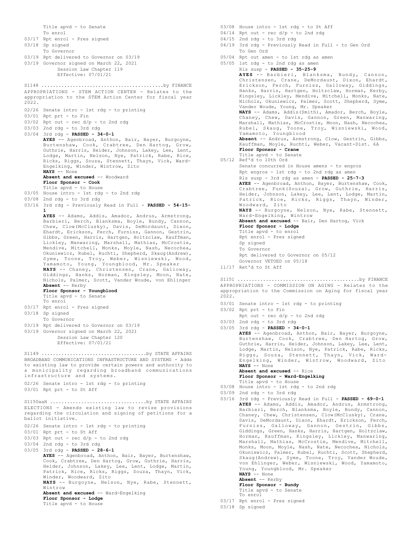Title apvd - to Senate To enrol 03/17 Rpt enrol - Pres signed 03/18 Sp signed To Governor 03/19 Rpt delivered to Governor on 03/19 03/19 Governor signed on March 22, 2021 Session Law Chapter 119 Effective: 07/01/21 APPROPRIATIONS - STEM ACTION CENTER - Relates to the appropriation to the STEM Action Center for fiscal year 2022. 02/26 Senate intro - 1st rdg - to printing 03/01 Rpt prt - to Fin 03/02 Rpt out - rec d/p - to 2nd rdg 03/03 2nd rdg - to 3rd rdg 03/04 3rd rdg - **PASSED - 34-0-1 AYES** -- Agenbroad, Anthon, Bair, Bayer, Burgoyne, Burtenshaw, Cook, Crabtree, Den Hartog, Grow, Guthrie, Harris, Heider, Johnson, Lakey, Lee, Lent, Lodge, Martin, Nelson, Nye, Patrick, Rabe, Rice, Ricks, Riggs, Souza, Stennett, Thayn, Vick, Ward-Engelking, Winder, Wintrow, Zito **NAYS** -- None **Absent and excused** -- Woodward **Floor Sponsor - Cook** Title apvd - to House 03/05 House intro - 1st rdg - to 2nd rdg 03/08 2nd rdg - to 3rd rdg 03/16 3rd rdg - Previously Read in Full - **PASSED - 54-15- 1 AYES** -- Adams, Addis, Amador, Andrus, Armstrong, Barbieri, Berch, Blanksma, Boyle, Bundy, Cannon, Chew, Clow(McClusky), Davis, DeMordaunt, Dixon, Ehardt, Erickson, Ferch, Furniss, Gannon, Gestrin, Gibbs, Green, Harris, Hartgen, Holtzclaw, Kauffman, Lickley, Manwaring, Marshall, Mathias, McCrostie, Mendive, Mitchell, Monks, Moyle, Nash, Necochea, Okuniewicz, Rubel, Ruchti, Shepherd, Skaug(Andrew), Syme, Toone, Troy, Weber, Wisniewski, Wood, Yamamoto, Young, Youngblood, Mr. Speaker **NAYS** -- Chaney, Christensen, Crane, Galloway, Giddings, Hanks, Horman, Kingsley, Moon, Nate, Nichols, Palmer, Scott, Vander Woude, von Ehlinger **Absent** -- Kerby **Floor Sponsor - Youngblood** Title apvd - to Senate To enrol 03/17 Rpt enrol - Pres signed 03/18 Sp signed To Governor 03/19 Rpt delivered to Governor on 03/19 03/19 Governor signed on March 22, 2021 Session Law Chapter 120 Effective: 07/01/21 S1148 ...........................................by FINANCE BROADBAND COMMUNICATIONS INFRASTRUCTURE AND SYSTEMS - Adds to existing law to provide certain powers and authority to a municipality regarding broadband communications infrastructure and systems. 02/26 Senate intro - 1st rdg - to printing 03/01 Rpt prt - to St Aff S1149 .....................................by STATE AFFAIRS ELECTIONS - Amends existing law to revise provisions regarding the circulation and signing of petitions for a ballot initiative. 02/26 Senate intro - 1st rdg - to printing 03/01 Rpt prt - to St Aff 03/03 Rpt out - rec d/p - to 2nd rdg 03/04 2nd rdg - to 3rd rdg 03/05 3rd rdg - **PASSED - 28-6-1 AYES** -- Agenbroad, Anthon, Bair, Bayer, Burtenshaw, Cook, Crabtree, Den Hartog, Grow, Guthrie, Harris, Heider, Johnson, Lakey, Lee, Lent, Lodge, Martin, Patrick, Rice, Ricks, Riggs, Souza, Thayn, Vick, Winder, Woodward, Zito<br>**NAYS** -- Burgoyne, Nelson, Nye, Rabe, Stennett, Wintrow **Absent and excused** -- Ward-Engelking **Floor Sponsor - Lodge** Title apvd - to House S1150aaH ..................................by STATE AFFAIRS

- 03/08 House intro 1st rdg to St Aff
- $04/14$  Rpt out rec  $d/p$  to 2nd rdg
- 04/15 2nd rdg to 3rd rdg
- 04/19 3rd rdg Previously Read in Full to Gen Ord To Gen Ord
- 05/04 Rpt out amen to 1st rdg as amen
- 

05/05 1st rdg - to 2nd rdg as amen Rls susp - **PASSED - 35-25-9 AYES** -- Barbieri, Blanksma, Bundy, Cannon, Christensen, Crane, DeMordaunt, Dixon, Ehardt, Erickson, Ferch, Furniss, Galloway, Giddings, Hanks, Harris, Hartgen, Holtzclaw, Horman, Kerby, Kingsley, Lickley, Mendive, Mitchell, Monks, Nate, Nichols, Okuniewicz, Palmer, Scott, Shepherd, Syme, Vander Woude, Young, Mr. Speaker **NAYS** -- Adams, Addis(Smith), Amador, Berch, Boyle, Chaney, Chew, Davis, Gannon, Green, Manwaring, Marshall, Mathias, McCrostie, Moon, Nash, Necochea, Rubel, Skaug, Toone, Troy, Wisniewski, Wood, Yamamoto, Youngblood **Absent** -- Andrus, Armstrong, Clow, Gestrin, Gibbs, Kauffman, Moyle, Ruchti, Weber, Vacant-Dist. 6A **Floor Sponsor - Crane** Title apvd - to Senate 05/12 Ref'd to 10th Ord Senate concurred in House amens - to engros Rpt engros - 1st rdg - to 2nd rdg as amen Rls susp - 3rd rdg as amen - **PASSED - 25-7-3 AYES** -- Agenbroad, Anthon, Bayer, Burtenshaw, Cook, Crabtree, Funk(Souza), Grow, Guthrie, Harris, Heider, Johnson, Lakey, Lee, Lent, Lodge, Martin, Patrick, Rice, Ricks, Riggs, Thayn, Winder, Woodward, Zito **NAYS** -- Burgoyne, Nelson, Nye, Rabe, Stennett, Ward-Engelking, Wintrow **Absent and excused** -- Bair, Den Hartog, Vick **Floor Sponsor - Lodge** Title apvd - to enrol Rpt enrol - Pres signed Sp signed To Governor Rpt delivered to Governor on 05/12 Governor VETOED on 05/18 11/17 Ret'd to St Aff

APPROPRIATIONS - COMMISSION ON AGING - Relates to the appropriation to the Commission on Aging for fiscal year 2022. S1151 ...........................................by FINANCE

- 03/01 Senate intro 1st rdg to printing
- 03/02 Rpt prt to Fin
	- Rpt out rec d/p to 2nd rdg
- 03/03 2nd rdg to 3rd rdg 03/05 3rd rdg - **PASSED - 34-0-1**

**AYES** -- Agenbroad, Anthon, Bair, Bayer, Burgoyne, Burtenshaw, Cook, Crabtree, Den Hartog, Grow, Guthrie, Harris, Heider, Johnson, Lakey, Lee, Lent, Lodge, Martin, Nelson, Nye, Patrick, Rabe, Ricks, Riggs, Souza, Stennett, Thayn, Vick, Ward-Engelking, Winder, Wintrow, Woodward, Zito **NAYS** -- None **Absent and excused** -- Rice

**Floor Sponsor - Ward-Engelking** Title apvd - to House

- 03/08 House intro 1st rdg to 2nd rdg
- 03/09 2nd rdg to 3rd rdg
- 03/16 3rd rdg Previously Read in Full **PASSED 69-0-1 AYES** -- Adams, Addis, Amador, Andrus, Armstrong, Barbieri, Berch, Blanksma, Boyle, Bundy, Cannon, Chaney, Chew, Christensen, Clow(McClusky), Crane, Davis, DeMordaunt, Dixon, Ehardt, Erickson, Ferch, Furniss, Galloway, Gannon, Gestrin, Gibbs, Giddings, Green, Hanks, Harris, Hartgen, Holtzclaw, Horman, Kauffman, Kingsley, Lickley, Manwaring, Marshall, Mathias, McCrostie, Mendive, Mitchell, Monks, Moon, Moyle, Nash, Nate, Necochea, Nichols, Okuniewicz, Palmer, Rubel, Ruchti, Scott, Shepherd, Skaug(Andrew), Syme, Toone, Troy, Vander Woude, von Ehlinger, Weber, Wisniewski, Wood, Yamamoto, Young, Youngblood, Mr. Speaker **NAYS** -- None **Absent** -- Kerby

**Floor Sponsor - Bundy** Title apvd - to Senate To enrol

- 03/17 Rpt enrol Pres signed
- 03/18 Sp signed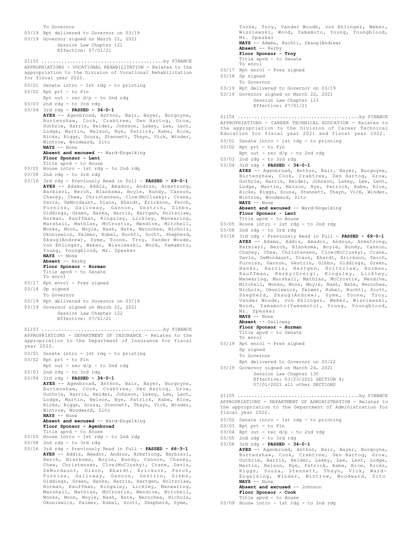To Governor 03/19 Rpt delivered to Governor on 03/19 03/19 Governor signed on March 22, 2021 Session Law Chapter 121 Effective: 07/01/21 APPROPRIATIONS - VOCATIONAL REHABILITATION - Relates to the appropriation to the Division of Vocational Rehabilitation for fiscal year 2022. 03/01 Senate intro - 1st rdg - to printing 03/02 Rpt prt - to Fin Rpt out - rec d/p - to 2nd rdg 03/03 2nd rdg - to 3rd rdg 03/04 3rd rdg - **PASSED - 34-0-1 AYES** -- Agenbroad, Anthon, Bair, Bayer, Burgoyne, Burtenshaw, Cook, Crabtree, Den Hartog, Grow, Guthrie, Harris, Heider, Johnson, Lakey, Lee, Lent, Lodge, Martin, Nelson, Nye, Patrick, Rabe, Rice, Ricks, Riggs, Souza, Stennett, Thayn, Vick, Winder, Wintrow, Woodward, Zito **NAYS** -- None **Absent and excused** -- Ward-Engelking **Floor Sponsor - Lent** Title apvd - to House 03/05 House intro - 1st rdg - to 2nd rdg 03/08 2nd rdg - to 3rd rdg 03/16 3rd rdg - Previously Read in Full - **PASSED - 69-0-1 AYES** -- Adams, Addis, Amador, Andrus, Armstrong, Barbieri, Berch, Blanksma, Boyle, Bundy, Cannon, Chaney, Chew, Christensen, Clow(McClusky), Crane, Davis, DeMordaunt, Dixon, Ehardt, Erickson, Ferch, Furniss, Galloway, Gannon, Gestrin, Gibbs, Giddings, Green, Hanks, Harris, Hartgen, Holtzclaw, Horman, Kauffman, Kingsley, Lickley, Manwaring, Marshall, Mathias, McCrostie, Mendive, Mitchell, Monks, Moon, Moyle, Nash, Nate, Necochea, Nichols, Okuniewicz, Palmer, Rubel, Ruchti, Scott, Shepherd, Skaug(Andrew), Syme, Toone, Troy, Vander Woude, von Ehlinger, Weber, Wisniewski, Wood, Yamamoto, Young, Youngblood, Mr. Speaker **NAYS** -- None **Absent** -- Kerby **Floor Sponsor - Horman** Title apvd - to Senate To enrol 03/17 Rpt enrol - Pres signed 03/18 Sp signed To Governor 03/19 Rpt delivered to Governor on 03/19 03/19 Governor signed on March 22, 2021 Session Law Chapter 122 Effective: 07/01/21 S1152 ...........................................by FINANCE APPROPRIATIONS - DEPARTMENT OF INSURANCE - Relates to the appropriation to the Department of Insurance for fiscal year 2022. 03/01 Senate intro - 1st rdg - to printing 03/02 Rpt prt - to Fin Rpt out -  $rec d/p - to 2nd rd$ 03/03 2nd rdg - to 3rd rdg 03/04 3rd rdg - **PASSED - 34-0-1 AYES** -- Agenbroad, Anthon, Bair, Bayer, Burgoyne, Burtenshaw, Cook, Crabtree, Den Hartog, Grow, Guthrie, Harris, Heider, Johnson, Lakey, Lee, Lent, Lodge, Martin, Nelson, Nye, Patrick, Rabe, Rice, Ricks, Riggs, Souza, Stennett, Thayn, Vick, Winder, Wintrow, Woodward, Zito **NAYS** -- None **Absent and excused** -- Ward-Engelking **Floor Sponsor - Agenbroad** Title apvd - to House 03/05 House intro - 1st rdg - to 2nd rdg 03/08 2nd rdg - to 3rd rdg 03/16 3rd rdg - Previously Read in Full - **PASSED - 66-3-1 AYES** -- Addis, Amador, Andrus, Armstrong, Barbieri, Berch, Blanksma, Boyle, Bundy, Cannon, Chaney, Chew, Christensen, Clow(McClusky), Crane, Davis, DeMordaunt, Dixon, Ehardt, Erickson, Ferch, Furniss, Galloway, Gannon, Gestrin, Gibbs, Giddings, Green, Hanks, Harris, Hartgen, Holtzclaw, Horman, Kauffman, Kingsley, Lickley, Manwaring, Marshall, Mathias, McCrostie, Mendive, Mitchell, Monks, Moon, Moyle, Nash, Nate, Necochea, Nichols, S1153 ...........................................by FINANCE

Okuniewicz, Palmer, Rubel, Scott, Shepherd, Syme,

Toone, Troy, Vander Woude, von Ehlinger, Weber, Wisniewski, Wood, Yamamoto, Young, Youngblood, Mr. Speaker **NAYS** -- Adams, Ruchti, Skaug(Andrew) **Absent** -- Kerby **Floor Sponsor - Troy** Title apvd - to Senate To enrol 03/17 Rpt enrol - Pres signed 03/18 Sp signed To Governor 03/19 Rpt delivered to Governor on 03/19 03/19 Governor signed on March 22, 2021 Session Law Chapter 123 Effective: 07/01/21 S1154 ...........................................by FINANCE

APPROPRIATIONS - CAREER TECHNICAL EDUCATION - Relates to the appropriation to the Division of Career Technical Education for fiscal year 2021 and fiscal year 2022.

- 03/01 Senate intro 1st rdg to printing
- 03/02 Rpt prt to Fin
- Rpt out rec d/p to 2nd rdg 03/03 2nd rdg - to 3rd rdg
- 03/04 3rd rdg **PASSED 34-0-1**

**AYES** -- Agenbroad, Anthon, Bair, Bayer, Burgoyne, Burtenshaw, Cook, Crabtree, Den Hartog, Grow, Guthrie, Harris, Heider, Johnson, Lakey, Lee, Lent, Lodge, Martin, Nelson, Nye, Patrick, Rabe, Rice, Ricks, Riggs, Souza, Stennett, Thayn, Vick, Winder, Wintrow, Woodward, Zito **NAYS** -- None

**Absent and excused** -- Ward-Engelking **Floor Sponsor - Lent**

- Title apvd to House
- 03/05 House intro 1st rdg to 2nd rdg
- 03/08 2nd rdg to 3rd rdg
- 03/18 3rd rdg Previously Read in Full **PASSED 69-0-1 AYES** -- Adams, Addis, Amador, Andrus, Armstrong, Barbieri, Berch, Blanksma, Boyle, Bundy, Cannon, Chaney, Chew, Christensen, Clow(McClusky), Crane, Davis, DeMordaunt, Dixon, Ehardt, Erickson, Ferch, Furniss, Gannon, Gestrin, Gibbs, Giddings, Green, Hanks, Harris, Hartgen, Holtzclaw, Horman, Kauffman, Kerby(Greig), Kingsley, Lickley, Manwaring, Marshall, Mathias, McCrostie, Mendive, Mitchell, Monks, Moon, Moyle, Nash, Nate, Necochea, Nichols, Okuniewicz, Palmer, Rubel, Ruchti, Scott, Shepherd, Skaug(Andrew), Syme, Toone, Troy, Vander Woude, von Ehlinger, Weber, Wisniewski, Wood, Yamamoto(Yamamoto), Young, Youngblood, Mr. Speaker **NAYS** -- None **Absent** -- Galloway
	- **Floor Sponsor Horman** Title apvd - to Senate
	- To enrol
- 03/19 Rpt enrol Pres signed Sp signed To Governor Rpt delivered to Governor on 03/22
- 03/19 Governor signed on March 24, 2021
	- Session Law Chapter 130 Effective: 03/23/2021 SECTION 4; 07/01/2021 all other SECTIONS

APPROPRIATIONS - DEPARTMENT OF ADMINISTRATION - Relates to the appropriation to the Department of Administration for fiscal year 2022. S1155 ...........................................by FINANCE

- 03/02 Senate intro 1st rdg to printing
- 03/03 Rpt prt to Fin
- $03/04$  Rpt out rec  $d/p$  to 2nd rdg
- 03/05 2nd rdg to 3rd rdg
- 03/08 3rd rdg **PASSED 34-0-1**

**AYES** -- Agenbroad, Anthon, Bair, Bayer, Burgoyne, Burtenshaw, Cook, Crabtree, Den Hartog, Grow, Guthrie, Harris, Heider, Lakey, Lee, Lent, Lodge, Martin, Nelson, Nye, Patrick, Rabe, Rice, Ricks, Riggs, Souza, Stennett, Thayn, Vick, Ward-Engelking, Winder, Wintrow, Woodward, Zito **NAYS** -- None **Absent and excused** -- Johnson

**Floor Sponsor - Cook**

- Title apvd to House
- 03/09 House intro 1st rdg to 2nd rdg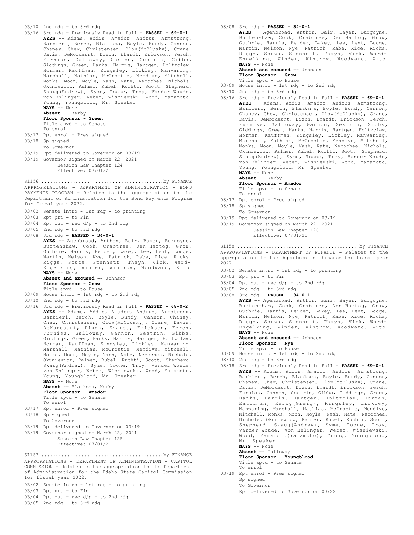```
03/10 2nd rdg - to 3rd rdg
```
- 03/16 3rd rdg Previously Read in Full **PASSED 69-0-1 AYES** -- Adams, Addis, Amador, Andrus, Armstrong, Barbieri, Berch, Blanksma, Boyle, Bundy, Cannon, Chaney, Chew, Christensen, Clow(McClusky), Crane, Davis, DeMordaunt, Dixon, Ehardt, Erickson, Ferch, Furniss, Galloway, Gannon, Gestrin, Gibbs, Giddings, Green, Hanks, Harris, Hartgen, Holtzclaw, Horman, Kauffman, Kingsley, Lickley, Manwaring, Marshall, Mathias, McCrostie, Mendive, Mitchell, Monks, Moon, Moyle, Nash, Nate, Necochea, Nichols, Okuniewicz, Palmer, Rubel, Ruchti, Scott, Shepherd, Skaug(Andrew), Syme, Toone, Troy, Vander Woude, von Ehlinger, Weber, Wisniewski, Wood, Yamamoto, Young, Youngblood, Mr. Speaker **NAYS** -- None **Absent** -- Kerby **Floor Sponsor - Green** Title apvd - to Senate To enrol 03/17 Rpt enrol - Pres signed 03/18 Sp signed
- To Governor
- 03/19 Rpt delivered to Governor on 03/19
- 03/19 Governor signed on March 22, 2021 Session Law Chapter 124 Effective: 07/01/21

APPROPRIATIONS - DEPARTMENT OF ADMINISTRATION - BOND PAYMENTS PROGRAM - Relates to the appropriation to the Department of Administration for the Bond Payments Program for fiscal year 2022. S1156 ...........................................by FINANCE

- 03/02 Senate intro 1st rdg to printing
- 03/03 Rpt prt to Fin
- $03/04$  Rpt out rec d/p to 2nd rdg
- 03/05 2nd rdg to 3rd rdg

03/08 3rd rdg - **PASSED - 34-0-1 AYES** -- Agenbroad, Anthon, Bair, Bayer, Burgoyne, Burtenshaw, Cook, Crabtree, Den Hartog, Grow, Guthrie, Harris, Heider, Lakey, Lee, Lent, Lodge, Martin, Nelson, Nye, Patrick, Rabe, Rice, Ricks, Riggs, Souza, Stennett, Thayn, Vick, Ward-Engelking, Winder, Wintrow, Woodward, Zito **NAYS** -- None

**Absent and excused** -- Johnson

**Floor Sponsor - Grow** Title apvd - to House

- 03/09 House intro 1st rdg to 2nd rdg
- 03/10 2nd rdg to 3rd rdg
- 03/16 3rd rdg Previously Read in Full **PASSED 68-0-2 AYES** -- Adams, Addis, Amador, Andrus, Armstrong, Barbieri, Berch, Boyle, Bundy, Cannon, Chaney, Chew, Christensen, Clow(McClusky), Crane, Davis, DeMordaunt, Dixon, Ehardt, Erickson, Ferch, Furniss, Galloway, Gannon, Gestrin, Gibbs, Giddings, Green, Hanks, Harris, Hartgen, Holtzclaw, Horman, Kauffman, Kingsley, Lickley, Manwaring, Marshall, Mathias, McCrostie, Mendive, Mitchell, Monks, Moon, Moyle, Nash, Nate, Necochea, Nichols, Okuniewicz, Palmer, Rubel, Ruchti, Scott, Shepherd, Skaug(Andrew), Syme, Toone, Troy, Vander Woude, von Ehlinger, Weber, Wisniewski, Wood, Yamamoto, Young, Youngblood, Mr. Speaker **NAYS** -- None **Absent** -- Blanksma, Kerby **Floor Sponsor - Amador** Title apvd - to Senate To enrol
- 03/17 Rpt enrol Pres signed
- 03/18 Sp signed
- To Governor
- 03/19 Rpt delivered to Governor on 03/19
- 03/19 Governor signed on March 22, 2021
	- Session Law Chapter 125 Effective: 07/01/21

APPROPRIATIONS - DEPARTMENT OF ADMINISTRATION - CAPITOL COMMISSION - Relates to the appropriation to the Department of Administration for the Idaho State Capitol Commission for fiscal year 2022. S1157 ...........................................by FINANCE

- 03/02 Senate intro 1st rdg to printing
- 03/03 Rpt prt to Fin
- $03/04$  Rpt out rec  $d/p$  to 2nd rdg
- 03/05 2nd rdg to 3rd rdg

03/08 3rd rdg - **PASSED - 34-0-1 AYES** -- Agenbroad, Anthon, Bair, Bayer, Burgoyne, Burtenshaw, Cook, Crabtree, Den Hartog, Grow, Guthrie, Harris, Heider, Lakey, Lee, Lent, Lodge, Martin, Nelson, Nye, Patrick, Rabe, Rice, Ricks, Riggs, Souza, Stennett, Thayn, Vick, Ward-Engelking, Winder, Wintrow, Woodward, Zito **NAYS** -- None **Absent and excused** -- Johnson

**Floor Sponsor - Grow**

Title apvd - to House

- 03/09 House intro 1st rdg to 2nd rdg
- 03/10 2nd rdg to 3rd rdg
- 03/16 3rd rdg Previously Read in Full **PASSED 69-0-1 AYES** -- Adams, Addis, Amador, Andrus, Armstrong, Barbieri, Berch, Blanksma, Boyle, Bundy, Cannon, Chaney, Chew, Christensen, Clow(McClusky), Crane, Davis, DeMordaunt, Dixon, Ehardt, Erickson, Ferch, Furniss, Galloway, Gannon, Gestrin, Gibbs, Giddings, Green, Hanks, Harris, Hartgen, Holtzclaw, Horman, Kauffman, Kingsley, Lickley, Manwaring, Marshall, Mathias, McCrostie, Mendive, Mitchell, Monks, Moon, Moyle, Nash, Nate, Necochea, Nichols, Okuniewicz, Palmer, Rubel, Ruchti, Scott, Shepherd, Skaug(Andrew), Syme, Toone, Troy, Vander Woude, von Ehlinger, Weber, Wisniewski, Wood, Yamamoto, Young, Youngblood, Mr. Speaker **NAYS** -- None
	- **Absent** -- Kerby

To enrol

**Floor Sponsor - Amador**

Title apvd - to Senate

- 03/17 Rpt enrol Pres signed
- 03/18 Sp signed
- To Governor
- 03/19 Rpt delivered to Governor on 03/19
- 03/19 Governor signed on March 22, 2021 Session Law Chapter 126 Effective: 07/01/21

APPROPRIATIONS - DEPARTMENT OF FINANCE - Relates to the appropriation to the Department of Finance for fiscal year 2022. S1158 ...........................................by FINANCE

- 03/02 Senate intro 1st rdg to printing
- 03/03 Rpt prt to Fin
- 03/04 Rpt out rec d/p to 2nd rdg
- 03/05 2nd rdg to 3rd rdg 03/08 3rd rdg - **PASSED - 34-0-1**
- **AYES** -- Agenbroad, Anthon, Bair, Bayer, Burgoyne, Burtenshaw, Cook, Crabtree, Den Hartog, Grow, Guthrie, Harris, Heider, Lakey, Lee, Lent, Lodge, Martin, Nelson, Nye, Patrick, Rabe, Rice, Ricks, Riggs, Souza, Stennett, Thayn, Vick, Ward-Engelking, Winder, Wintrow, Woodward, Zito **NAYS** -- None **Absent and excused** -- Johnson **Floor Sponsor - Nye**
- Title apvd to House
- 03/09 House intro 1st rdg to 2nd rdg
- 03/10 2nd rdg to 3rd rdg
- 03/18 3rd rdg Previously Read in Full **PASSED 69-0-1 AYES** -- Adams, Addis, Amador, Andrus, Armstrong, Barbieri, Berch, Blanksma, Boyle, Bundy, Cannon, Chaney, Chew, Christensen, Clow(McClusky), Crane, Davis, DeMordaunt, Dixon, Ehardt, Erickson, Ferch, Furniss, Gannon, Gestrin, Gibbs, Giddings, Green, Hanks, Harris, Hartgen, Holtzclaw, Horman, Kauffman, Kerby(Greig), Kingsley, Lickley, Manwaring, Marshall, Mathias, McCrostie, Mendive, Mitchell, Monks, Moon, Moyle, Nash, Nate, Necochea, Nichols, Okuniewicz, Palmer, Rubel, Ruchti, Scott, Shepherd, Skaug(Andrew), Syme, Toone, Troy, Vander Woude, von Ehlinger, Weber, Wisniewski, Wood, Yamamoto(Yamamoto), Young, Youngblood, Mr. Speaker **NAYS** -- None
	- **Absent** -- Galloway **Floor Sponsor - Youngblood** Title apvd - to Senate To enrol
- 03/19 Rpt enrol Pres signed Sp signed To Governor
	- Rpt delivered to Governor on 03/22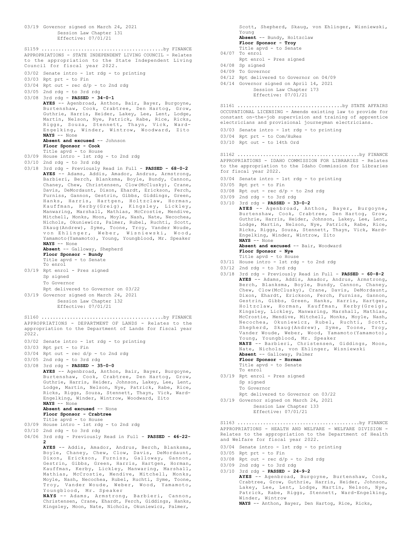03/19 Governor signed on March 24, 2021 Session Law Chapter 131 Effective: 07/01/21 APPROPRIATIONS - STATE INDEPENDENT LIVING COUNCIL - Relates to the appropriation to the State Independent Living Council for fiscal year 2022. 03/02 Senate intro - 1st rdg - to printing 03/03 Rpt prt - to Fin 03/04 Rpt out - rec d/p - to 2nd rdg 03/05 2nd rdg - to 3rd rdg 03/08 3rd rdg - **PASSED - 34-0-1 AYES** -- Agenbroad, Anthon, Bair, Bayer, Burgoyne, Burtenshaw, Cook, Crabtree, Den Hartog, Grow, Guthrie, Harris, Heider, Lakey, Lee, Lent, Lodge, Martin, Nelson, Nye, Patrick, Rabe, Rice, Ricks, Riggs, Souza, Stennett, Thayn, Vick, Ward-Engelking, Winder, Wintrow, Woodward, Zito **NAYS** -- None **Absent and excused** -- Johnson **Floor Sponsor - Cook** Title apvd - to House 03/09 House intro - 1st rdg - to 2nd rdg 03/10 2nd rdg - to 3rd rdg 03/18 3rd rdg - Previously Read in Full - **PASSED - 68-0-2 AYES** -- Adams, Addis, Amador, Andrus, Armstrong, Barbieri, Berch, Blanksma, Boyle, Bundy, Cannon, Chaney, Chew, Christensen, Clow(McClusky), Crane, Davis, DeMordaunt, Dixon, Ehardt, Erickson, Ferch, Furniss, Gannon, Gestrin, Gibbs, Giddings, Green, Hanks, Harris, Hartgen, Holtzclaw, Horman, Kauffman, Kerby(Greig), Kingsley, Lickley, Manwaring, Marshall, Mathias, McCrostie, Mendive, Mitchell, Monks, Moon, Moyle, Nash, Nate, Necochea, Nichols, Okuniewicz, Palmer, Rubel, Ruchti, Scott, Skaug(Andrew), Syme, Toone, Troy, Vander Woude, von Ehlinger, Weber, Wisniewski, Wood, Yamamoto(Yamamoto), Young, Youngblood, Mr. Speaker **NAYS** -- None **Absent** -- Galloway, Shepherd **Floor Sponsor - Bundy** Title apvd - to Senate To enrol 03/19 Rpt enrol - Pres signed Sp signed To Governor Rpt delivered to Governor on 03/22 03/19 Governor signed on March 24, 2021 Session Law Chapter 132 Effective: 07/01/21 S1159 ...........................................by FINANCE APPROPRIATIONS - DEPARTMENT OF LANDS - Relates to the appropriation to the Department of Lands for fiscal year 2022. 03/02 Senate intro - 1st rdg - to printing 03/03 Rpt prt - to Fin 03/04 Rpt out - rec d/p - to 2nd rdg 03/05 2nd rdg - to 3rd rdg 03/08 3rd rdg - **PASSED - 35-0-0 AYES** -- Agenbroad, Anthon, Bair, Bayer, Burgoyne, Burtenshaw, Cook, Crabtree, Den Hartog, Grow, Guthrie, Harris, Heider, Johnson, Lakey, Lee, Lent, Lodge, Martin, Nelson, Nye, Patrick, Rabe, Rice, Ricks, Riggs, Souza, Stennett, Thayn, Vick, Ward-Engelking, Winder, Wintrow, Woodward, Zito **NAYS** -- None **Absent and excused** -- None **Floor Sponsor - Crabtree** Title apvd - to House 03/09 House intro - 1st rdg - to 2nd rdg 03/10 2nd rdg - to 3rd rdg 04/06 3rd rdg - Previously Read in Full - **PASSED - 46-22- 2 AYES** -- Addis, Amador, Andrus, Berch, Blanksma, Boyle, Chaney, Chew, Clow, Davis, DeMordaunt, Dixon, Erickson, Furniss, Galloway, Gannon, Gestrin, Gibbs, Green, Harris, Hartgen, Horman, Kauffman, Kerby, Lickley, Manwaring, Marshall, Mathias, McCrostie, Mendive, Mitchell, Monks, Moyle, Nash, Necochea, Rubel, Ruchti, Syme, Toone, Troy, Vander Woude, Weber, Wood, Yamamoto, Youngblood, Mr. Speaker S1160 ...........................................by FINANCE

**NAYS** -- Adams, Armstrong, Barbieri, Cannon, Christensen, Crane, Ehardt, Ferch, Giddings, Hanks, Kingsley, Moon, Nate, Nichols, Okuniewicz, Palmer,

Scott, Shepherd, Skaug, von Ehlinger, Wisniewski, Young **Absent** -- Bundy, Holtzclaw **Floor Sponsor - Troy** Title apvd - to Senate 04/07 To enrol Rpt enrol - Pres signed 04/08 Sp signed 04/09 To Governor 04/12 Rpt delivered to Governor on 04/09 04/14 Governor signed on April 14, 2021 Session Law Chapter 173 Effective: 07/01/21 OCCUPATIONAL LICENSING - Amends existing law to provide for constant on-the-job supervision and training of apprentice electricians and provisional journeyman electricians. 03/03 Senate intro - 1st rdg - to printing 03/04 Rpt prt - to Com/HuRes 03/10 Rpt out - to 14th Ord S1161 .....................................by STATE AFFAIRS APPROPRIATIONS - IDAHO COMMISSION FOR LIBRARIES - Relates to the appropriation to the Idaho Commission for Libraries for fiscal year 2022. 03/04 Senate intro - 1st rdg - to printing 03/05 Rpt prt - to Fin  $03/08$  Rpt out - rec  $d/p$  - to 2nd rdg 03/09 2nd rdg - to 3rd rdg 03/10 3rd rdg - **PASSED - 33-0-2 AYES** -- Agenbroad, Anthon, Bayer, Burgoyne, Burtenshaw, Cook, Crabtree, Den Hartog, Grow, Guthrie, Harris, Heider, Johnson, Lakey, Lee, Lent, Lodge, Martin, Nelson, Nye, Patrick, Rabe, Rice, Ricks, Riggs, Souza, Stennett, Thayn, Vick, Ward-Engelking, Winder, Wintrow, Zito **NAYS** -- None **Absent and excused** -- Bair, Woodward **Floor Sponsor - Nye** Title apvd - to House 03/11 House intro - 1st rdg - to 2nd rdg 03/12 2nd rdg - to 3rd rdg 03/18 3rd rdg - Previously Read in Full - **PASSED - 60-8-2 AYES** -- Adams, Addis, Amador, Andrus, Armstrong, Berch, Blanksma, Boyle, Bundy, Cannon, Chaney, Chew, Clow(McClusky), Crane, Davis, DeMordaunt, Dixon, Ehardt, Erickson, Ferch, Furniss, Gannon, Gestrin, Gibbs, Green, Hanks, Harris, Hartgen, Holtzclaw, Horman, Kauffman, Kerby(Greig), Kingsley, Lickley, Manwaring, Marshall, Mathias, McCrostie, Mendive, Mitchell, Monks, Moyle, Nash, Necochea, Okuniewicz, Rubel, Ruchti, Scott, Shepherd, Skaug(Andrew), Syme, Toone, Troy, Vander Woude, Weber, Wood, Yamamoto(Yamamoto), Young, Youngblood, Mr. Speaker **NAYS** -- Barbieri, Christensen, Giddings, Moon, Nate, Nichols, von Ehlinger, Wisniewski **Absent** -- Galloway, Palmer **Floor Sponsor - Horman** Title apvd - to Senate To enrol 03/19 Rpt enrol - Pres signed Sp signed To Governor Rpt delivered to Governor on 03/22 03/19 Governor signed on March 24, 2021 Session Law Chapter 133 Effective: 07/01/21 S1162 ...........................................by FINANCE APPROPRIATIONS - HEALTH AND WELFARE - WELFARE DIVISION -Relates to the appropriation to the Department of Health and Welfare for fiscal year 2022. 03/04 Senate intro - 1st rdg - to printing 03/05 Rpt prt - to Fin  $03/08$  Rpt out - rec d/p - to 2nd rdg 03/09 2nd rdg - to 3rd rdg 03/10 3rd rdg - **PASSED - 24-9-2 AYES** -- Agenbroad, Burgoyne, Burtenshaw, Cook, Crabtree, Grow, Guthrie, Harris, Heider, Johnson, Lakey, Lee, Lent, Lodge, Martin, Nelson, Nye, Patrick, Rabe, Riggs, Stennett, Ward-Engelking, Winder, Wintrow S1163 ...........................................by FINANCE

**NAYS** -- Anthon, Bayer, Den Hartog, Rice, Ricks,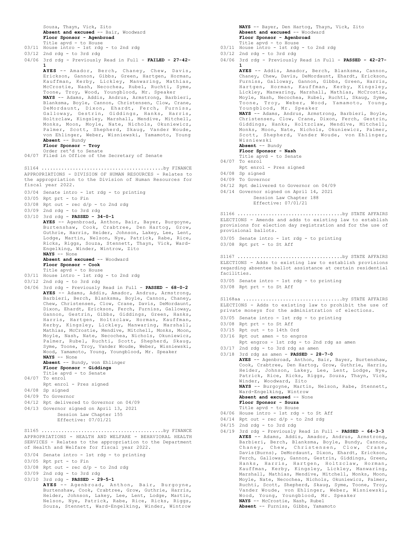Souza, Thayn, Vick, Zito **Absent and excused** -- Bair, Woodward **Floor Sponsor - Agenbroad**

- Title apvd to House 03/11 House intro - 1st rdg - to 2nd rdg
- 03/12 2nd rdg to 3rd rdg
- 04/06 3rd rdg Previously Read in Full **FAILED 27-42- 1**

**AYES** -- Amador, Berch, Chaney, Chew, Davis, Erickson, Gannon, Gibbs, Green, Hartgen, Horman, Kauffman, Kerby, Lickley, Manwaring, Mathias, McCrostie, Nash, Necochea, Rubel, Ruchti, Syme, Toone, Troy, Wood, Youngblood, Mr. Speaker **NAYS** -- Adams, Addis, Andrus, Armstrong, Barbieri, Blanksma, Boyle, Cannon, Christensen, Clow, Crane, DeMordaunt, Dixon, Ehardt, Ferch, Furniss, Galloway, Gestrin, Giddings, Hanks, Harris, Holtzclaw, Kingsley, Marshall, Mendive, Mitchell, Monks, Moon, Moyle, Nate, Nichols, Okuniewicz, Palmer, Scott, Shepherd, Skaug, Vander Woude, von Ehlinger, Weber, Wisniewski, Yamamoto, Young **Absent** -- Bundy **Floor Sponsor - Troy**

Order ret'd to Senate 04/07 Filed in Office of the Secretary of Senate

APPROPRIATIONS - DIVISION OF HUMAN RESOURCES - Relates to the appropriation to the Division of Human Resources for fiscal year 2022. S1164 ...........................................by FINANCE

- 03/04 Senate intro 1st rdg to printing
- 03/05 Rpt prt to Fin
- $03/08$  Rpt out rec  $d/p$  to 2nd rdg
- 03/09 2nd rdg to 3rd rdg
- 03/10 3rd rdg **PASSED 34-0-1**
	- **AYES** -- Agenbroad, Anthon, Bair, Bayer, Burgoyne, Burtenshaw, Cook, Crabtree, Den Hartog, Grow, Guthrie, Harris, Heider, Johnson, Lakey, Lee, Lent, Lodge, Martin, Nelson, Nye, Patrick, Rabe, Rice, Ricks, Riggs, Souza, Stennett, Thayn, Vick, Ward-Engelking, Winder, Wintrow, Zito **NAYS** -- None **Absent and excused** -- Woodward

## **Floor Sponsor - Cook** Title apvd - to House

- 03/11 House intro 1st rdg to 2nd rdg
- 03/12 2nd rdg to 3rd rdg
- 04/06 3rd rdg Previously Read in Full **PASSED 68-0-2**
- **AYES** -- Adams, Addis, Amador, Andrus, Armstrong, Barbieri, Berch, Blanksma, Boyle, Cannon, Chaney, Chew, Christensen, Clow, Crane, Davis, DeMordaunt, Dixon, Ehardt, Erickson, Ferch, Furniss, Galloway, Gannon, Gestrin, Gibbs, Giddings, Green, Hanks, Harris, Hartgen, Holtzclaw, Horman, Kauffman, Kerby, Kingsley, Lickley, Manwaring, Marshall, Mathias, McCrostie, Mendive, Mitchell, Monks, Moon, Moyle, Nash, Nate, Necochea, Nichols, Okuniewicz, Palmer, Rubel, Ruchti, Scott, Shepherd, Skaug, Syme, Toone, Troy, Vander Woude, Weber, Wisniewski, Wood, Yamamoto, Young, Youngblood, Mr. Speaker **NAYS** -- None **Absent** -- Bundy, von Ehlinger

# **Floor Sponsor - Giddings**

Title apvd - to Senate 04/07 To enrol

- Rpt enrol Pres signed
- 04/08 Sp signed
- 04/09 To Governor
- 04/12 Rpt delivered to Governor on 04/09
- 04/13 Governor signed on April 13, 2021
- Session Law Chapter 155 Effective: 07/01/21

APPROPRIATIONS - HEALTH AND WELFARE - BEHAVIORAL HEALTH SERVICES - Relates to the appropriation to the Department of Health and Welfare for fiscal year 2022. S1165 ...........................................by FINANCE

- 03/04 Senate intro 1st rdg to printing
- 03/05 Rpt prt to Fin
- $03/08$  Rpt out rec  $d/p$  to 2nd rdg
- 03/09 2nd rdg to 3rd rdg
- 03/10 3rd rdg **PASSED 29-5-1**

**AYES** -- Agenbroad, Anthon, Bair, Burgoyne, Burtenshaw, Cook, Crabtree, Grow, Guthrie, Harris, Heider, Johnson, Lakey, Lee, Lent, Lodge, Martin, Nelson, Nye, Patrick, Rabe, Rice, Ricks, Riggs, Souza, Stennett, Ward-Engelking, Winder, Wintrow

**NAYS** -- Bayer, Den Hartog, Thayn, Vick, Zito **Absent and excused** -- Woodward **Floor Sponsor - Agenbroad** Title apvd - to House

- 03/11 House intro 1st rdg to 2nd rdg
- 03/12 2nd rdg to 3rd rdg
- 04/06 3rd rdg Previously Read in Full **PASSED 42-27- 1**

**AYES** -- Addis, Amador, Berch, Blanksma, Cannon, Chaney, Chew, Davis, DeMordaunt, Ehardt, Erickson, Furniss, Galloway, Gannon, Gibbs, Green, Harris, Hartgen, Horman, Kauffman, Kerby, Kingsley, Lickley, Manwaring, Marshall, Mathias, McCrostie, Moyle, Nash, Necochea, Rubel, Ruchti, Skaug, Syme, Toone, Troy, Weber, Wood, Yamamoto, Young, Youngblood, Mr. Speaker **NAYS** -- Adams, Andrus, Armstrong, Barbieri, Boyle, Christensen, Clow, Crane, Dixon, Ferch, Gestrin, Giddings, Hanks, Holtzclaw, Mendive, Mitchell, Monks, Moon, Nate, Nichols, Okuniewicz, Palmer, Scott, Shepherd, Vander Woude, von Ehlinger, Wisniewski **Absent** -- Bundy **Floor Sponsor - Nash** Title apvd - to Senate 04/07 To enrol Rpt enrol - Pres signed 04/08 Sp signed 04/09 To Governor 04/12 Rpt delivered to Governor on 04/09 04/14 Governor signed on April 14, 2021 Session Law Chapter 188 Effective: 07/01/21 ELECTIONS - Amends and adds to existing law to establish provisions for election day registration and for the use of provisional ballots. 03/05 Senate intro - 1st rdg - to printing 03/08 Rpt prt - to St Aff S1166 .....................................by STATE AFFAIRS ELECTIONS - Adds to existing law to establish provisions regarding absentee ballot assistance at certain residential facilities. 03/05 Senate intro - 1st rdg - to printing 03/08 Rpt prt - to St Aff S1167 .....................................by STATE AFFAIRS 03/05 Senate intro - 1st rdg - to printing 03/08 Rpt prt - to St Aff 03/15 Rpt out - to 14th Ord 03/16 Rpt out amen - to engros Rpt engros - 1st rdg - to 2nd rdg as amen 03/17 2nd rdg - to 3rd rdg as amen 03/18 3rd rdg as amen - **PASSED - 28-7-0 AYES** -- Agenbroad, Anthon, Bair, Bayer, Burtenshaw, Cook, Crabtree, Den Hartog, Grow, Guthrie, Harris, Heider, Johnson, Lakey, Lee, Lent, Lodge, Nye, Patrick, Rice, Ricks, Riggs, Souza, Thayn, Vick, Winder, Woodward, Zito **NAYS** -- Burgoyne, Martin, Nelson, Rabe, Stennett, Ward-Engelking, Wintrow **Absent and excused** -- None **Floor Sponsor - Souza** Title apvd - to House 04/06 House intro - 1st rdg - to St Aff  $04/14$  Rpt out - rec d/p - to 2nd rdg 04/15 2nd rdg - to 3rd rdg 04/19 3rd rdg - Previously Read in Full - **PASSED - 64-3-3 AYES** -- Adams, Addis, Amador, Andrus, Armstrong, Barbieri, Berch, Blanksma, Boyle, Bundy, Cannon,<br>Chaney, Chew, Christensen, Clow, Crane, Chaney, Chew, Christensen, Clow, Crane, Davis(Burns), DeMordaunt, Dixon, Ehardt, Erickson, Ferch, Galloway, Gannon, Gestrin, Giddings, Green, Hanks, Harris, Hartgen, Holtzclaw, Horman, Kauffman, Kerby, Kingsley, Lickley, Manwaring,

**Absent** -- Furniss, Gibbs, Yamamoto

ELECTIONS - Adds to existing law to prohibit the use of private moneys for the administration of elections. S1168aa ...................................by STATE AFFAIRS

- 
- 
- 
- -
- 

- 
- 
- - Marshall, Mathias, Mendive, Mitchell, Monks, Moon, Moyle, Nate, Necochea, Nichols, Okuniewicz, Palmer, Ruchti, Scott, Shepherd, Skaug, Syme, Toone, Troy, Vander Woude, von Ehlinger, Weber, Wisniewski, Wood, Young, Youngblood, Mr. Speaker **NAYS** -- McCrostie, Nash, Rubel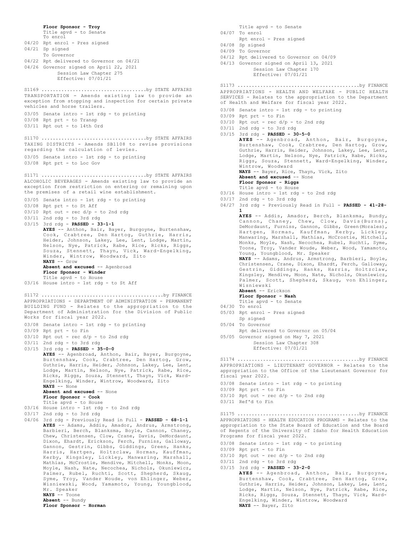**Floor Sponsor - Troy** Title apvd - to Senate To enrol 04/20 Rpt enrol - Pres signed 04/21 Sp signed To Governor 04/22 Rpt delivered to Governor on 04/21 04/26 Governor signed on April 22, 2021 Session Law Chapter 275 Effective: 07/01/21 TRANSPORTATION - Amends existing law to provide an exception from stopping and inspection for certain private vehicles and horse trailers. 03/05 Senate intro - 1st rdg - to printing 03/08 Rpt prt - to Transp 03/11 Rpt out - to 14th Ord S1169 .....................................by STATE AFFAIRS TAXING DISTRICTS - Amends SB1108 to revise provisions regarding the calculation of levies. 03/05 Senate intro - 1st rdg - to printing 03/08 Rpt prt - to Loc Gov S1170 .....................................by STATE AFFAIRS ALCOHOLIC BEVERAGES - Amends existing law to provide an exception from restriction on entering or remaining upon the premises of a retail wine establishment. 03/05 Senate intro - 1st rdg - to printing 03/08 Rpt prt - to St Aff  $03/10$  Rpt out - rec  $d/p$  - to 2nd rdg 03/11 2nd rdg - to 3rd rdg 03/15 3rd rdg - **PASSED - 33-1-1 AYES** -- Anthon, Bair, Bayer, Burgoyne, Burtenshaw, Cook, Crabtree, Den Hartog, Guthrie, Harris, Heider, Johnson, Lakey, Lee, Lent, Lodge, Martin, Nelson, Nye, Patrick, Rabe, Rice, Ricks, Riggs, Souza, Stennett, Thayn, Vick, Ward-Engelking, Winder, Wintrow, Woodward, Zito **NAYS** -- Grow Absent and excused -- Agenbroad **Floor Sponsor - Winder** Title apvd - to House 03/16 House intro - 1st rdg - to St Aff S1171 .....................................by STATE AFFAIRS APPROPRIATIONS - DEPARTMENT OF ADMINISTRATION - PERMANENT BUILDING FUND - Relates to the appropriation to the Department of Administration for the Division of Public Works for fiscal year 2022. 03/08 Senate intro - 1st rdg - to printing 03/09 Rpt prt - to Fin 03/10 Rpt out - rec d/p - to 2nd rdg 03/11 2nd rdg - to 3rd rdg 03/15 3rd rdg - **PASSED - 35-0-0 AYES** -- Agenbroad, Anthon, Bair, Bayer, Burgoyne, Burtenshaw, Cook, Crabtree, Den Hartog, Grow, Guthrie, Harris, Heider, Johnson, Lakey, Lee, Lent, Lodge, Martin, Nelson, Nye, Patrick, Rabe, Rice, Ricks, Riggs, Souza, Stennett, Thayn, Vick, Ward-Engelking, Winder, Wintrow, Woodward, Zito **NAYS** -- None **Absent and excused** -- None **Floor Sponsor - Cook** Title apvd - to House 03/16 House intro - 1st rdg - to 2nd rdg 03/17 2nd rdg - to 3rd rdg 04/06 3rd rdg - Previously Read in Full - **PASSED - 68-1-1 AYES** -- Adams, Addis, Amador, Andrus, Armstrong, Barbieri, Berch, Blanksma, Boyle, Cannon, Chaney, Chew, Christensen, Clow, Crane, Davis, DeMordaunt, Dixon, Ehardt, Erickson, Ferch, Furniss, Galloway, Gannon, Gestrin, Gibbs, Giddings, Green, Hanks, Harris, Hartgen, Holtzclaw, Horman, Kauffman, Kerby, Kingsley, Lickley, Manwaring, Marshall, Mathias, McCrostie, Mendive, Mitchell, Monks, Moon, Moyle, Nash, Nate, Necochea, Nichols, Okuniewicz, Palmer, Rubel, Ruchti, Scott, Shepherd, Skaug, Syme, Troy, Vander Woude, von Ehlinger, Weber, Wisniewski, Wood, Yamamoto, Young, Youngblood, Mr. Speaker **NAYS** -- Toone **Absent** -- Bundy **Floor Sponsor - Horman** S1172 ...........................................by FINANCE

04/07 To enrol Rpt enrol - Pres signed 04/08 Sp signed 04/09 To Governor 04/12 Rpt delivered to Governor on 04/09 04/13 Governor signed on April 13, 2021 Session Law Chapter 170 Effective: 07/01/21 APPROPRIATIONS - HEALTH AND WELFARE - PUBLIC HEALTH SERVICES - Relates to the appropriation to the Department of Health and Welfare for fiscal year 2022. 03/08 Senate intro - 1st rdg - to printing 03/09 Rpt prt - to Fin 03/10 Rpt out - rec d/p - to 2nd rdg 03/11 2nd rdg - to 3rd rdg 03/15 3rd rdg - **PASSED - 30-5-0 AYES** -- Agenbroad, Anthon, Bair, Burgoyne, Burtenshaw, Cook, Crabtree, Den Hartog, Grow, Guthrie, Harris, Heider, Johnson, Lakey, Lee, Lent, Lodge, Martin, Nelson, Nye, Patrick, Rabe, Ricks, Riggs, Souza, Stennett, Ward-Engelking, Winder, Wintrow, Woodward **NAYS** -- Bayer, Rice, Thayn, Vick, Zito **Absent and excused** -- None **Floor Sponsor - Riggs** Title apvd - to House 03/16 House intro - 1st rdg - to 2nd rdg 03/17 2nd rdg - to 3rd rdg 04/27 3rd rdg - Previously Read in Full - **PASSED - 41-28- 1 AYES** -- Addis, Amador, Berch, Blanksma, Bundy, Cannon, Chaney, Chew, Clow, Davis(Burns), DeMordaunt, Furniss, Gannon, Gibbs, Green(Morales), Hartgen, Horman, Kauffman, Kerby, Lickley, Manwaring, Marshall, Mathias, McCrostie, Mitchell, Monks, Moyle, Nash, Necochea, Rubel, Ruchti, Syme, Toone, Troy, Vander Woude, Weber, Wood, Yamamoto, Young, Youngblood, Mr. Speaker **NAYS** -- Adams, Andrus, Armstrong, Barbieri, Boyle, Christensen, Crane, Dixon, Ehardt, Ferch, Galloway, Gestrin, Giddings, Hanks, Harris, Holtzclaw, Kingsley, Mendive, Moon, Nate, Nichols, Okuniewicz, Palmer, Scott, Shepherd, Skaug, von Ehlinger, Wisniewski **Absent** -- Erickson **Floor Sponsor - Nash** Title apvd - to Senate 04/30 To enrol 05/03 Rpt enrol - Pres signed Sp signed 05/04 To Governor Rpt delivered to Governor on 05/04 05/05 Governor signed on May 7, 2021 Session Law Chapter 308 Effective: 07/01/21 S1173 ...........................................by FINANCE APPROPRIATIONS - LIEUTENANT GOVERNOR - Relates to the appropriation to the Office of the Lieutenant Governor for fiscal year 2022. 03/08 Senate intro - 1st rdg - to printing 03/09 Rpt prt - to Fin  $03/10$  Rpt out - rec  $d/p$  - to 2nd rdg 03/11 Ref'd to Fin S1174 ...........................................by FINANCE APPROPRIATIONS - HEALTH EDUCATION PROGRAMS - Relates to the appropriation to the State Board of Education and the Board of Regents of the University of Idaho for Health Education Programs for fiscal year 2022. 03/08 Senate intro - 1st rdg - to printing 03/09 Rpt prt - to Fin  $03/10$  Rpt out - rec d/p - to 2nd rdg 03/11 2nd rdg - to 3rd rdg 03/15 3rd rdg - **PASSED - 33-2-0 AYES** -- Agenbroad, Anthon, Bair, Burgoyne, Burtenshaw, Cook, Crabtree, Den Hartog, Grow, Guthrie, Harris, Heider, Johnson, Lakey, Lee, Lent, Lodge, Martin, Nelson, Nye, Patrick, Rabe, Rice, Ricks, Riggs, Souza, Stennett, Thayn, Vick, Ward-Engelking, Winder, Wintrow, Woodward **NAYS** -- Bayer, Zito S1175 ...........................................by FINANCE

Title apvd - to Senate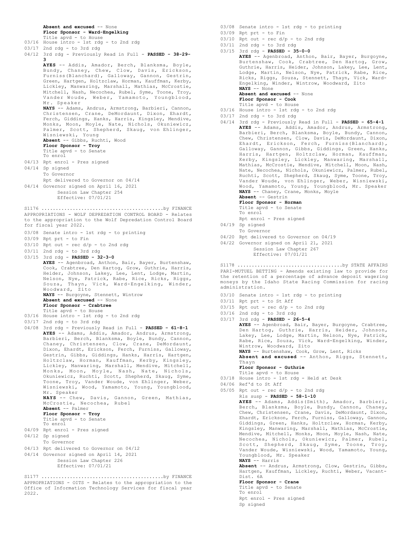### **Absent and excused** -- None **Floor Sponsor - Ward-Engelking**

Title apvd - to House 03/16 House intro - 1st rdg - to 2nd rdg

- 03/17 2nd rdg to 3rd rdg
- 04/12 3rd rdg Previously Read in Full **PASSED 38-29- 3**
- **AYES** -- Addis, Amador, Berch, Blanksma, Boyle, Bundy, Chaney, Chew, Clow, Davis, Erickson, Furniss(Blanchard), Galloway, Gannon, Gestrin, Green, Hartgen, Holtzclaw, Horman, Kauffman, Kerby, Lickley, Manwaring, Marshall, Mathias, McCrostie, Mitchell, Nash, Necochea, Rubel, Syme, Toone, Troy, Vander Woude, Weber, Yamamoto, Youngblood, Mr. Speaker **NAYS** -- Adams, Andrus, Armstrong, Barbieri, Cannon, Christensen, Crane, DeMordaunt, Dixon, Ehardt, Ferch, Giddings, Hanks, Harris, Kingsley, Mendive, Monks, Moon, Moyle, Nate, Nichols, Okuniewicz, Palmer, Scott, Shepherd, Skaug, von Ehlinger, Wisniewski, Young **Absent** -- Gibbs, Ruchti, Wood **Floor Sponsor - Troy** Title apvd - to Senate To enrol 04/13 Rpt enrol - Pres signed 04/14 Sp signed To Governor Rpt delivered to Governor on 04/14 04/14 Governor signed on April 16, 2021 Session Law Chapter 254 Effective: 07/01/21 APPROPRIATIONS - WOLF DEPREDATION CONTROL BOARD - Relates to the appropriation to the Wolf Depredation Control Board for fiscal year 2022. 03/08 Senate intro - 1st rdg - to printing 03/09 Rpt prt - to Fin  $03/10$  Rpt out - rec d/p - to 2nd rdg 03/11 2nd rdg - to 3rd rdg 03/15 3rd rdg - **PASSED - 32-3-0 AYES** -- Agenbroad, Anthon, Bair, Bayer, Burtenshaw, Cook, Crabtree, Den Hartog, Grow, Guthrie, Harris, Heider, Johnson, Lakey, Lee, Lent, Lodge, Martin, Nelson, Nye, Patrick, Rabe, Rice, Ricks, Riggs, Souza, Thayn, Vick, Ward-Engelking, Winder, Woodward, Zito **NAYS** -- Burgoyne, Stennett, Wintrow Absent and excused -- None **Floor Sponsor - Crabtree** Title apvd - to House 03/16 House intro - 1st rdg - to 2nd rdg 03/17 2nd rdg - to 3rd rdg 04/08 3rd rdg - Previously Read in Full - **PASSED - 61-8-1 AYES** -- Adams, Addis, Amador, Andrus, Armstrong, Barbieri, Berch, Blanksma, Boyle, Bundy, Cannon, Chaney, Christensen, Clow, Crane, DeMordaunt, Dixon, Ehardt, Erickson, Ferch, Furniss, Galloway, Gestrin, Gibbs, Giddings, Hanks, Harris, Hartgen, Holtzclaw, Horman, Kauffman, Kerby, Kingsley, Lickley, Manwaring, Marshall, Mendive, Mitchell, Monks, Moon, Moyle, Nash, Nate, Nichols, Okuniewicz, Ruchti, Scott, Shepherd, Skaug, Syme, Toone, Troy, Vander Woude, von Ehlinger, Weber, Wisniewski, Wood, Yamamoto, Young, Youngblood, Mr. Speaker **NAYS** -- Chew, Davis, Gannon, Green, Mathias, McCrostie, Necochea, Rubel **Absent** -- Palmer **Floor Sponsor - Troy** Title apvd - to Senate To enrol 04/09 Rpt enrol - Pres signed 04/12 Sp signed To Governor 04/13 Rpt delivered to Governor on 04/12 04/14 Governor signed on April 14, 2021 Session Law Chapter 226 Effective: 07/01/21 S1176 ...........................................by FINANCE APPROPRIATIONS - OITS - Relates to the appropriation to the S1177 ...........................................by FINANCE
- Office of Information Technology Services for fiscal year 2022.
- 03/08 Senate intro 1st rdg to printing
- 03/09 Rpt prt to Fin
- $03/10$  Rpt out rec  $d/p$  to 2nd rdg
- $03/11$  2nd rdg to 3rd rdg 03/15 3rd rdg - **PASSED - 35-0-0 AYES** -- Agenbroad, Anthon, Bair, Bayer, Burgoyne, Burtenshaw, Cook, Crabtree, Den Hartog, Grow, Guthrie, Harris, Heider, Johnson, Lakey, Lee, Lent, Lodge, Martin, Nelson, Nye, Patrick, Rabe, Rice, Ricks, Riggs, Souza, Stennett, Thayn, Vick, Ward-Engelking, Winder, Wintrow, Woodward, Zito **NAYS** -- None **Absent and excused** -- None **Floor Sponsor - Cook** Title apvd - to House
- 03/16 House intro 1st rdg to 2nd rdg
- 03/17 2nd rdg to 3rd rdg
- 04/14 3rd rdg Previously Read in Full **PASSED 65-4-1 AYES** -- Adams, Addis, Amador, Andrus, Armstrong, Barbieri, Berch, Blanksma, Boyle, Bundy, Cannon, Chew, Christensen, Clow, Davis, DeMordaunt, Dixon, Ehardt, Erickson, Ferch, Furniss(Blanchard), Galloway, Gannon, Gibbs, Giddings, Green, Hanks, Harris, Hartgen, Holtzclaw, Horman, Kauffman, Kerby, Kingsley, Lickley, Manwaring, Marshall, Mathias, McCrostie, Mendive, Mitchell, Moon, Nash, Nate, Necochea, Nichols, Okuniewicz, Palmer, Rubel, Ruchti, Scott, Shepherd, Skaug, Syme, Toone, Troy, Vander Woude, von Ehlinger, Weber, Wisniewski, Wood, Yamamoto, Young, Youngblood, Mr. Speaker **NAYS** -- Chaney, Crane, Monks, Moyle **Absent** -- Gestrin
	- **Floor Sponsor Horman**
	- Title apvd to Senate
	- To enrol Rpt enrol - Pres signed
- 04/19 Sp signed
- To Governor
- 04/20 Rpt delivered to Governor on 04/19
- 04/22 Governor signed on April 21, 2021 Session Law Chapter 267 Effective: 07/01/21

PARI-MUTUEL BETTING - Amends existing law to provide for the retention of a percentage of advance deposit wagering moneys by the Idaho State Racing Commission for racing administration. S1178 .....................................by STATE AFFAIRS

- 03/10 Senate intro 1st rdg to printing
- 03/11 Rpt prt to St Aff
- $03/15$  Rpt out rec  $d/p$  to 2nd rdg
- 03/16 2nd rdg to 3rd rdg 03/17 3rd rdg - **PASSED - 26-5-4 AYES** -- Agenbroad, Bair, Bayer, Burgoyne, Crabtree, Den Hartog, Guthrie, Harris, Heider, Johnson, Lakey, Lee, Lodge, Martin, Nelson, Nye, Patrick, Rabe, Rice, Souza, Vick, Ward-Engelking, Winder, Wintrow, Woodward, Zito **NAYS** -- Burtenshaw, Cook, Grow, Lent, Ricks **Absent and excused** -- Anthon, Riggs, Stennett, Thayn **Floor Sponsor - Guthrie** Title apvd - to House
- 03/18 House intro 1st rdg Held at Desk
- 04/06 Ref'd to St Aff
- 05/05 Rpt out rec  $d/p$  to 2nd rdg
	- Rls susp **PASSED 58-1-10**

**AYES** -- Adams, Addis(Smith), Amador, Barbieri, Berch, Blanksma, Boyle, Bundy, Cannon, Chaney, Chew, Christensen, Crane, Davis, DeMordaunt, Dixon, Ehardt, Erickson, Ferch, Furniss, Galloway, Gannon, Giddings, Green, Hanks, Holtzclaw, Horman, Kerby, Kingsley, Manwaring, Marshall, Mathias, McCrostie, Mendive, Mitchell, Monks, Moon, Moyle, Nash, Nate, Necochea, Nichols, Okuniewicz, Palmer, Rubel, Scott, Shepherd, Skaug, Syme, Toone, Troy, Vander Woude, Wisniewski, Wood, Yamamoto, Young, Youngblood, Mr. Speaker **NAYS** -- Harris

**Absent** -- Andrus, Armstrong, Clow, Gestrin, Gibbs, Hartgen, Kauffman, Lickley, Ruchti, Weber, Vacant-Dist. 6A

**Floor Sponsor - Crane**

Title apvd - to Senate To enrol Rpt enrol - Pres signed Sp signed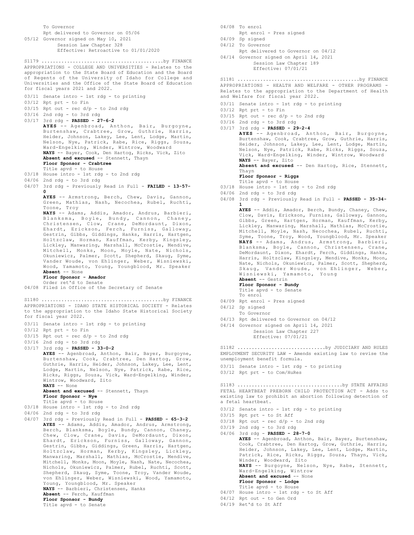To Governor Rpt delivered to Governor on 05/06 05/12 Governor signed on May 10, 2021 Session Law Chapter 328 Effective: Retroactive to 01/01/2020 APPROPRIATIONS - COLLEGE AND UNIVERSITIES - Relates to the appropriation to the State Board of Education and the Board of Regents of the University of Idaho for College and Universities and the Office of the State Board of Education for fiscal years 2021 and 2022. 03/11 Senate intro - 1st rdg - to printing  $03/12$  Rpt prt - to Fin  $03/15$  Rpt out - rec  $d/p$  - to 2nd rdg 03/16 2nd rdg - to 3rd rdg 03/17 3rd rdg - **PASSED - 27-6-2 AYES** -- Agenbroad, Anthon, Bair, Burgoyne, Burtenshaw, Crabtree, Grow, Guthrie, Harris, Heider, Johnson, Lakey, Lee, Lent, Lodge, Martin, Nelson, Nye, Patrick, Rabe, Rice, Riggs, Souza, Ward-Engelking, Winder, Wintrow, Woodward **NAYS** -- Bayer, Cook, Den Hartog, Ricks, Vick, Zito **Absent and excused** -- Stennett, Thayn **Floor Sponsor - Crabtree** Title apvd - to House 03/18 House intro - 1st rdg - to 2nd rdg 04/06 2nd rdg - to 3rd rdg 04/07 3rd rdg - Previously Read in Full - **FAILED - 13-57- 0 AYES** -- Armstrong, Berch, Chew, Davis, Gannon, Green, Mathias, Nash, Necochea, Rubel, Ruchti, Toone, Troy **NAYS** -- Adams, Addis, Amador, Andrus, Barbieri, Blanksma, Boyle, Bundy, Cannon, Chaney, Christensen, Clow, Crane, DeMordaunt, Dixon, Ehardt, Erickson, Ferch, Furniss, Galloway, Gestrin, Gibbs, Giddings, Hanks, Harris, Hartgen, Holtzclaw, Horman, Kauffman, Kerby, Kingsley, Lickley, Manwaring, Marshall, McCrostie, Mendive, Mitchell, Monks, Moon, Moyle, Nate, Nichols, Okuniewicz, Palmer, Scott, Shepherd, Skaug, Syme, Vander Woude, von Ehlinger, Weber, Wisniewski, Wood, Yamamoto, Young, Youngblood, Mr. Speaker **Absent** -- None **Floor Sponsor - Amador** Order ret'd to Senate 04/08 Filed in Office of the Secretary of Senate S1179 ...........................................by FINANCE APPROPRIATIONS - IDAHO STATE HISTORICAL SOCIETY - Relates to the appropriation to the Idaho State Historical Society for fiscal year 2022. 03/11 Senate intro - 1st rdg - to printing 03/12 Rpt prt - to Fin  $03/15$  Rpt out - rec  $d/p$  - to 2nd rdg 03/16 2nd rdg - to 3rd rdg 03/17 3rd rdg - **PASSED - 33-0-2 AYES** -- Agenbroad, Anthon, Bair, Bayer, Burgoyne, Burtenshaw, Cook, Crabtree, Den Hartog, Grow, Guthrie, Harris, Heider, Johnson, Lakey, Lee, Lent, Lodge, Martin, Nelson, Nye, Patrick, Rabe, Rice, Ricks, Riggs, Souza, Vick, Ward-Engelking, Winder, Wintrow, Woodward, Zito **NAYS** -- None **Absent and excused** -- Stennett, Thayn **Floor Sponsor - Nye** Title apvd - to House 03/18 House intro - 1st rdg - to 2nd rdg 04/06 2nd rdg - to 3rd rdg 04/07 3rd rdg - Previously Read in Full - **PASSED - 65-3-2 AYES** -- Adams, Addis, Amador, Andrus, Armstrong, Berch, Blanksma, Boyle, Bundy, Cannon, Chaney, Chew, Clow, Crane, Davis, DeMordaunt, Dixon, Ehardt, Erickson, Furniss, Galloway, Gannon, Gestrin, Gibbs, Giddings, Green, Harris, Hartgen, Holtzclaw, Horman, Kerby, Kingsley, Lickley, Manwaring, Marshall, Mathias, McCrostie, Mendive, Mitchell, Monks, Moon, Moyle, Nash, Nate, Necochea, Nichols, Okuniewicz, Palmer, Rubel, Ruchti, Scott, Shepherd, Skaug, Syme, Toone, Troy, Vander Woude, von Ehlinger, Weber, Wisniewski, Wood, Yamamoto, Young, Youngblood, Mr. Speaker **NAYS** -- Barbieri, Christensen, Hanks **Absent** -- Ferch, Kauffman **Floor Sponsor - Bundy** S1180 ...........................................by FINANCE

Title apvd - to Senate

04/08 To enrol

Rpt enrol - Pres signed

04/09 Sp signed

- 04/12 To Governor
- Rpt delivered to Governor on 04/12 04/14 Governor signed on April 14, 2021

Session Law Chapter 189

Effective: 07/01/21

APPROPRIATIONS - HEALTH AND WELFARE - OTHER PROGRAMS - Relates to the appropriation to the Department of Health and Welfare for fiscal year 2022. S1181 ...........................................by FINANCE

03/11 Senate intro - 1st rdg - to printing

03/12 Rpt prt - to Fin

 $03/15$  Rpt out - rec  $d/p$  - to 2nd rdg

03/16 2nd rdg - to 3rd rdg

03/17 3rd rdg - **PASSED - 29-2-4 AYES** -- Agenbroad, Anthon, Bair, Burgoyne, Burtenshaw, Cook, Crabtree, Grow, Guthrie, Harris, Heider, Johnson, Lakey, Lee, Lent, Lodge, Martin,

Nelson, Nye, Patrick, Rabe, Ricks, Riggs, Souza, Vick, Ward-Engelking, Winder, Wintrow, Woodward **NAYS** -- Bayer, Zito

**Absent and excused** -- Den Hartog, Rice, Stennett, Thayn

- **Floor Sponsor Riggs** Title apvd - to House
- 03/18 House intro 1st rdg to 2nd rdg
- 04/06 2nd rdg to 3rd rdg
- 04/08 3rd rdg Previously Read in Full **PASSED 35-34- 1**

**AYES** -- Addis, Amador, Berch, Bundy, Chaney, Chew, Clow, Davis, Erickson, Furniss, Galloway, Gannon, Gibbs, Green, Hartgen, Horman, Kauffman, Kerby, Lickley, Manwaring, Marshall, Mathias, McCrostie, Mitchell, Moyle, Nash, Necochea, Rubel, Ruchti, Syme, Toone, Troy, Wood, Youngblood, Mr. Speaker **NAYS** -- Adams, Andrus, Armstrong, Barbieri, Blanksma, Boyle, Cannon, Christensen, Crane, DeMordaunt, Dixon, Ehardt, Ferch, Giddings, Hanks, Harris, Holtzclaw, Kingsley, Mendive, Monks, Moon, Nate, Nichols, Okuniewicz, Palmer, Scott, Shepherd, Skaug, Vander Woude, von Ehlinger, Weber, Wisniewski, Yamamoto, Young **Absent** -- Gestrin

**Floor Sponsor - Bundy** Title apvd - to Senate

- 04/09 Rpt enrol Pres signed
- 04/12 Sp signed

To enrol

- To Governor
- 04/13 Rpt delivered to Governor on 04/12
- 04/14 Governor signed on April 14, 2021

Session Law Chapter 227 Effective: 07/01/21

EMPLOYMENT SECURITY LAW - Amends existing law to revise the unemployment benefit formula. S1182 ...............................by JUDICIARY AND RULES

- 03/11 Senate intro 1st rdg to printing
- 03/12 Rpt prt to Com/HuRes

FETAL HEARTBEAT PREBORN CHILD PROTECTION ACT - Adds to existing law to prohibit an abortion following detection of a fetal heartbeat. S1183 .....................................by STATE AFFAIRS

- 03/12 Senate intro 1st rdg to printing
- 03/15 Rpt prt to St Aff
- 03/18 Rpt out rec d/p to 2nd rdg
- 03/19 2nd rdg to 3rd rdg

04/06 3rd rdg - **PASSED - 28-7-0 AYES** -- Agenbroad, Anthon, Bair, Bayer, Burtenshaw, Cook, Crabtree, Den Hartog, Grow, Guthrie, Harris, Heider, Johnson, Lakey, Lee, Lent, Lodge, Martin, Patrick, Rice, Ricks, Riggs, Souza, Thayn, Vick, Winder, Woodward, Zito **NAYS** -- Burgoyne, Nelson, Nye, Rabe, Stennett, Ward-Engelking, Wintrow **Absent and excused** -- None **Floor Sponsor - Lodge** Title apvd - to House 04/07 House intro - 1st rdg - to St Aff

04/12 Rpt out - to Gen Ord

04/19 Ret'd to St Aff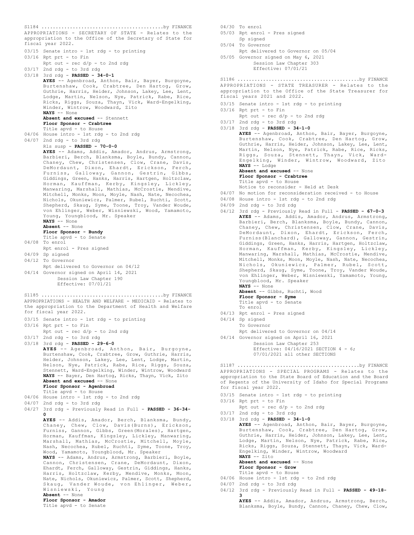APPROPRIATIONS - SECRETARY OF STATE - Relates to the appropriation to the Office of the Secretary of State for fiscal year 2022. 03/15 Senate intro - 1st rdg - to printing  $03/16$  Rpt prt - to Fin  $Rpt$  out - rec  $d/p$  - to 2nd rdg 03/17 2nd rdg - to 3rd rdg 03/18 3rd rdg - **PASSED - 34-0-1 AYES** -- Agenbroad, Anthon, Bair, Bayer, Burgoyne, Burtenshaw, Cook, Crabtree, Den Hartog, Grow, Guthrie, Harris, Heider, Johnson, Lakey, Lee, Lent, Lodge, Martin, Nelson, Nye, Patrick, Rabe, Rice, Ricks, Riggs, Souza, Thayn, Vick, Ward-Engelking, Winder, Wintrow, Woodward, Zito **NAYS** -- None **Absent and excused** -- Stennett **Floor Sponsor - Crabtree** Title apvd - to House 04/06 House intro - 1st rdg - to 2nd rdg 04/07 2nd rdg - to 3rd rdg Rls susp - **PASSED - 70-0-0 AYES** -- Adams, Addis, Amador, Andrus, Armstrong, Barbieri, Berch, Blanksma, Boyle, Bundy, Cannon, Chaney, Chew, Christensen, Clow, Crane, Davis, DeMordaunt, Dixon, Ehardt, Erickson, Ferch, Furniss, Galloway, Gannon, Gestrin, Gibbs, Giddings, Green, Hanks, Harris, Hartgen, Holtzclaw, Horman, Kauffman, Kerby, Kingsley, Lickley, Manwaring, Marshall, Mathias, McCrostie, Mendive, Mitchell, Monks, Moon, Moyle, Nash, Nate, Necochea, Nichols, Okuniewicz, Palmer, Rubel, Ruchti, Scott, Shepherd, Skaug, Syme, Toone, Troy, Vander Woude, von Ehlinger, Weber, Wisniewski, Wood, Yamamoto, Young, Youngblood, Mr. Speaker **NAYS** -- None **Absent** -- None **Floor Sponsor - Bundy** Title apvd - to Senate 04/08 To enrol Rpt enrol - Pres signed 04/09 Sp signed 04/12 To Governor Rpt delivered to Governor on 04/12 04/14 Governor signed on April 14, 2021 Session Law Chapter 190 Effective: 07/01/21 S1184 ...........................................by FINANCE APPROPRIATIONS - HEALTH AND WELFARE - MEDICAID - Relates to the appropriation to the Department of Health and Welfare for fiscal year 2022. 03/15 Senate intro - 1st rdg - to printing 03/16 Rpt prt - to Fin Rpt out - rec d/p - to 2nd rdg 03/17 2nd rdg - to 3rd rdg 03/18 3rd rdg - **PASSED - 29-6-0 AYES** -- Agenbroad, Anthon, Bair, Burgoyne, Burtenshaw, Cook, Crabtree, Grow, Guthrie, Harris, Heider, Johnson, Lakey, Lee, Lent, Lodge, Martin, Nelson, Nye, Patrick, Rabe, Rice, Riggs, Souza, Stennett, Ward-Engelking, Winder, Wintrow, Woodward **NAYS** -- Bayer, Den Hartog, Ricks, Thayn, Vick, Zito **Absent and excused** -- None **Floor Sponsor - Agenbroad** Title apvd - to House 04/06 House intro - 1st rdg - to 2nd rdg 04/07 2nd rdg - to 3rd rdg 04/27 3rd rdg - Previously Read in Full - **PASSED - 36-34- 0 AYES** -- Addis, Amador, Berch, Blanksma, Bundy, Chaney, Chew, Clow, Davis(Burns), Erickson, Furniss, Gannon, Gibbs, Green(Morales), Hartgen, Horman, Kauffman, Kingsley, Lickley, Manwaring, Marshall, Mathias, McCrostie, Mitchell, Moyle, Nash, Necochea, Rubel, Ruchti, Syme, Toone, Troy, Wood, Yamamoto, Youngblood, Mr. Speaker **NAYS** -- Adams, Andrus, Armstrong, Barbieri, Boyle, Cannon, Christensen, Crane, DeMordaunt, Dixon, Ehardt, Ferch, Galloway, Gestrin, Giddings, Hanks, Harris, Holtzclaw, Kerby, Mendive, Monks, Moon, Nate, Nichols, Okuniewicz, Palmer, Scott, Shepherd, Skaug, Vander Woude, von Ehlinger, Weber, Wisniewski, Young **Absent** -- None **Floor Sponsor - Amador** Title apvd - to Senate S1185 ...........................................by FINANCE

04/30 To enrol 05/03 Rpt enrol - Pres signed Sp signed

- 05/04 To Governor
- Rpt delivered to Governor on 05/04 05/05 Governor signed on May 6, 2021
	- Session Law Chapter 303 Effective: 07/01/21

APPROPRIATIONS - STATE TREASURER - Relates to the appropriation to the Office of the State Treasurer for fiscal years 2021 and 2022. S1186 ...........................................by FINANCE

- 03/15 Senate intro 1st rdg to printing
- 03/16 Rpt prt to Fin
	- Rpt out rec d/p to 2nd rdg
- 03/17 2nd rdg to 3rd rdg 03/18 3rd rdg - **PASSED - 34-1-0 AYES** -- Agenbroad, Anthon, Bair, Bayer, Burgoyne, Burtenshaw, Cook, Crabtree, Den Hartog, Grow, Guthrie, Harris, Heider, Johnson, Lakey, Lee, Lent, Martin, Nelson, Nye, Patrick, Rabe, Rice, Ricks, Riggs, Souza, Stennett, Thayn, Vick, Ward-Engelking, Winder, Wintrow, Woodward, Zito **NAYS** -- Lodge **Absent and excused** -- None **Floor Sponsor - Crabtree** Title apvd - to House Notice to reconsider - Held at Desk 04/07 No motion for reconsideration received - to House 04/08 House intro - 1st rdg - to 2nd rdg 04/09 2nd rdg - to 3rd rdg
- 04/12 3rd rdg Previously Read in Full **PASSED 67-0-3 AYES** -- Adams, Addis, Amador, Andrus, Armstrong, Barbieri, Berch, Blanksma, Boyle, Bundy, Cannon, Chaney, Chew, Christensen, Clow, Crane, Davis, DeMordaunt, Dixon, Ehardt, Erickson, Ferch, Furniss(Blanchard), Galloway, Gannon, Gestrin, Giddings, Green, Hanks, Harris, Hartgen, Holtzclaw, Horman, Kauffman, Kerby, Kingsley, Lickley, Manwaring, Marshall, Mathias, McCrostie, Mendive, Mitchell, Monks, Moon, Moyle, Nash, Nate, Necochea, Nichols, Okuniewicz, Palmer, Rubel, Scott, Shepherd, Skaug, Syme, Toone, Troy, Vander Woude, von Ehlinger, Weber, Wisniewski, Yamamoto, Young, Youngblood, Mr. Speaker **NAYS** -- None

**Absent** -- Gibbs, Ruchti, Wood **Floor Sponsor - Syme**

- Title apvd to Senate
- To enrol
- 04/13 Rpt enrol Pres signed
- 04/14 Sp signed To Governor Rpt delivered to Governor on 04/14 04/14 Governor signed on April 16, 2021 Session Law Chapter 253
	- Effective: 04/16/2021 SECTION 4 6; 07/01/2021 all other SECTIONS

APPROPRIATIONS - SPECIAL PROGRAMS - Relates to the appropriation to the State Board of Education and the Board of Regents of the University of Idaho for Special Programs for fiscal year 2022. S1187 ...........................................by FINANCE

- 03/15 Senate intro 1st rdg to printing
- $03/16$  Rpt prt to Fin
- Rpt out rec d/p to 2nd rdg  $03/17$  2nd rdg - to 3rd rdg
- 03/18 3rd rdg **PASSED 34-1-0 AYES** -- Agenbroad, Anthon, Bair, Bayer, Burgoyne, Burtenshaw, Cook, Crabtree, Den Hartog, Grow, Guthrie, Harris, Heider, Johnson, Lakey, Lee, Lent, Lodge, Martin, Nelson, Nye, Patrick, Rabe, Rice, Ricks, Riggs, Souza, Stennett, Thayn, Vick, Ward-Engelking, Winder, Wintrow, Woodward **NAYS** -- Zito Absent and excused -- None

**Floor Sponsor - Grow** Title apvd - to House

- 04/06 House intro 1st rdg to 2nd rdg
- 04/07 2nd rdg to 3rd rdg
- 04/12 3rd rdg Previously Read in Full **PASSED 49-18-**

**3 AYES** -- Addis, Amador, Andrus, Armstrong, Berch, Blanksma, Boyle, Bundy, Cannon, Chaney, Chew, Clow,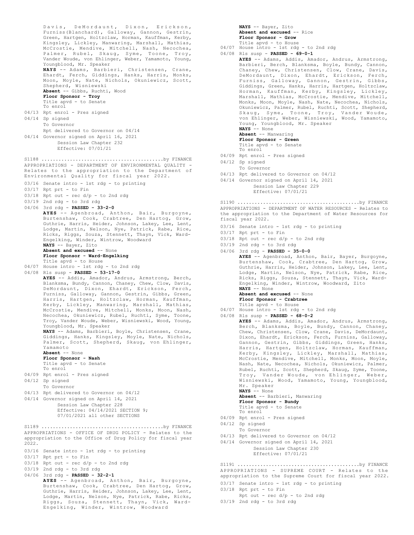Davis, DeMordaunt, Dixon, Erickson, Furniss(Blanchard), Galloway, Gannon, Gestrin, Green, Hartgen, Holtzclaw, Horman, Kauffman, Kerby, Kingsley, Lickley, Manwaring, Marshall, Mathias, McCrostie, Mendive, Mitchell, Nash, Necochea, Palmer, Rubel, Skaug, Syme, Toone, Troy, Vander Woude, von Ehlinger, Weber, Yamamoto, Young, Youngblood, Mr. Speaker **NAYS** -- Adams, Barbieri, Christensen, Crane, Ehardt, Ferch, Giddings, Hanks, Harris, Monks, Moon, Moyle, Nate, Nichols, Okuniewicz, Scott, Shepherd, Wisniewski **Absent** -- Gibbs, Ruchti, Wood **Floor Sponsor - Troy** Title apvd - to Senate To enrol 04/13 Rpt enrol - Pres signed 04/14 Sp signed To Governor Rpt delivered to Governor on 04/14 04/14 Governor signed on April 16, 2021 Session Law Chapter 232 Effective: 07/01/21 APPROPRIATIONS - DEPARTMENT OF ENVIRONMENTAL QUALITY - Relates to the appropriation to the Department of Environmental Quality for fiscal year 2022. 03/16 Senate intro - 1st rdg - to printing 03/17 Rpt prt - to Fin 03/18 Rpt out - rec d/p - to 2nd rdg 03/19 2nd rdg - to 3rd rdg 04/06 3rd rdg - **PASSED - 33-2-0 AYES** -- Agenbroad, Anthon, Bair, Burgoyne, Burtenshaw, Cook, Crabtree, Den Hartog, Grow, Guthrie, Harris, Heider, Johnson, Lakey, Lee, Lent, Lodge, Martin, Nelson, Nye, Patrick, Rabe, Rice, Ricks, Riggs, Souza, Stennett, Thayn, Vick, Ward-Engelking, Winder, Wintrow, Woodward **NAYS** -- Bayer, Zito **Absent and excused** -- None **Floor Sponsor - Ward-Engelking** Title apvd - to House 04/07 House intro - 1st rdg - to 2nd rdg 04/08 Rls susp - **PASSED - 53-17-0 AYES** -- Addis, Amador, Andrus, Armstrong, Berch, Blanksma, Bundy, Cannon, Chaney, Chew, Clow, Davis, DeMordaunt, Dixon, Ehardt, Erickson, Ferch, Furniss, Galloway, Gannon, Gestrin, Gibbs, Green, Harris, Hartgen, Holtzclaw, Horman, Kauffman, Kerby, Lickley, Manwaring, Marshall, Mathias, McCrostie, Mendive, Mitchell, Monks, Moon, Nash, Necochea, Okuniewicz, Rubel, Ruchti, Syme, Toone, Troy, Vander Woude, Weber, Wisniewski, Wood, Young, Youngblood, Mr. Speaker **NAYS** -- Adams, Barbieri, Boyle, Christensen, Crane, Giddings, Hanks, Kingsley, Moyle, Nate, Nichols, Palmer, Scott, Shepherd, Skaug, von Ehlinger, Yamamoto **Absent** -- None **Floor Sponsor - Nash** Title apvd - to Senate To enrol 04/09 Rpt enrol - Pres signed 04/12 Sp signed To Governor 04/13 Rpt delivered to Governor on 04/12 04/14 Governor signed on April 14, 2021 Session Law Chapter 228 Effective:  $04/\overline{14}/2021$  SECTION 9; 07/01/2021 all other SECTIONS S1188 ...........................................by FINANCE APPROPRIATIONS - OFFICE OF DRUG POLICY - Relates to the appropriation to the Office of Drug Policy for fiscal year 2022. 03/16 Senate intro - 1st rdg - to printing  $03/17$  Rpt prt - to Fin  $03/18$  Rpt out - rec  $d/p$  - to 2nd rdg 03/19 2nd rdg - to 3rd rdg 04/06 3rd rdg - **PASSED - 32-2-1 AYES** -- Agenbroad, Anthon, Bair, Burgoyne, Burtenshaw, Cook, Crabtree, Den Hartog, Grow, Guthrie, Harris, Heider, Johnson, Lakey, Lee, Lent, Lodge, Martin, Nelson, Nye, Patrick, Rabe, Ricks, Riggs, Souza, Stennett, Thayn, Vick, Ward-S1189 ...........................................by FINANCE

Engelking, Winder, Wintrow, Woodward

**NAYS** -- Bayer, Zito **Absent and excused** -- Rice **Floor Sponsor - Grow** Title apvd - to House 04/07 House intro - 1st rdg - to 2nd rdg

- 04/08 Rls susp **PASSED 69-0-1**
- **AYES** -- Adams, Addis, Amador, Andrus, Armstrong, Barbieri, Berch, Blanksma, Boyle, Bundy, Cannon, Chaney, Chew, Christensen, Clow, Crane, Davis, DeMordaunt, Dixon, Ehardt, Erickson, Ferch, Furniss, Galloway, Gannon, Gestrin, Gibbs, Giddings, Green, Hanks, Harris, Hartgen, Holtzclaw, Horman, Kauffman, Kerby, Kingsley, Lickley, Marshall, Mathias, McCrostie, Mendive, Mitchell, Monks, Moon, Moyle, Nash, Nate, Necochea, Nichols, Okuniewicz, Palmer, Rubel, Ruchti, Scott, Shepherd, Skaug, Syme, Toone, Troy, Vander Woude, von Ehlinger, Weber, Wisniewski, Wood, Yamamoto, Young, Youngblood, Mr. Speaker **NAYS** -- None **Absent** -- Manwaring **Floor Sponsor - Green** Title apvd - to Senate To enrol 04/09 Rpt enrol - Pres signed 04/12 Sp signed To Governor 04/13 Rpt delivered to Governor on 04/12 04/14 Governor signed on April 14, 2021 Session Law Chapter 229 Effective: 07/01/21 S1190 ...........................................by FINANCE

APPROPRIATIONS - DEPARTMENT OF WATER RESOURCES - Relates to the appropriation to the Department of Water Resources for fiscal year 2022.

- 03/16 Senate intro 1st rdg to printing
- 03/17 Rpt prt to Fin
- 03/18 Rpt out rec d/p to 2nd rdg
- $03/19$  2nd rdg to 3rd rdg
- 04/06 3rd rdg **PASSED 35-0-0 AYES** -- Agenbroad, Anthon, Bair, Bayer, Burgoyne, Burtenshaw, Cook, Crabtree, Den Hartog, Grow, Guthrie, Harris, Heider, Johnson, Lakey, Lee, Lent, Lodge, Martin, Nelson, Nye, Patrick, Rabe, Rice, Ricks, Riggs, Souza, Stennett, Thayn, Vick, Ward-Engelking, Winder, Wintrow, Woodward, Zito **NAYS** -- None **Absent and excused** -- None

**Floor Sponsor - Crabtree**

- Title apvd to House 04/07 House intro 1st rdg to 2nd rdg
- 04/08 Rls susp **PASSED 68-0-2**
	- **AYES** -- Adams, Addis, Amador, Andrus, Armstrong, Berch, Blanksma, Boyle, Bundy, Cannon, Chaney, Chew, Christensen, Clow, Crane, Davis, DeMordaunt, Dixon, Ehardt, Erickson, Ferch, Furniss, Galloway, Gannon, Gestrin, Gibbs, Giddings, Green, Hanks, Harris, Hartgen, Holtzclaw, Horman, Kauffman, Kerby, Kingsley, Lickley, Marshall, Mathias, McCrostie, Mendive, Mitchell, Monks, Moon, Moyle, Nash, Nate, Necochea, Nichols, Okuniewicz, Palmer, Rubel, Ruchti, Scott, Shepherd, Skaug, Syme, Toone, Troy, Vander Woude, von Ehlinger, Weber, Wisniewski, Wood, Yamamoto, Young, Youngblood, Mr. Speaker **NAYS** -- None

**Absent** -- Barbieri, Manwaring

- **Floor Sponsor Bundy** Title apvd - to Senate
- To enrol
- 04/09 Rpt enrol Pres signed
- 04/12 Sp signed
- To Governor
- 04/13 Rpt delivered to Governor on 04/12
- 04/14 Governor signed on April 14, 2021
	- Session Law Chapter 230 Effective: 07/01/21

APPROPRIATIONS - SUPREME COURT - Relates to the appropriation to the Supreme Court for fiscal year 2022. S1191 ...........................................by FINANCE

- 03/17 Senate intro 1st rdg to printing
- 03/18 Rpt prt to Fin
- Rpt out rec d/p to 2nd rdg
- 03/19 2nd rdg to 3rd rdg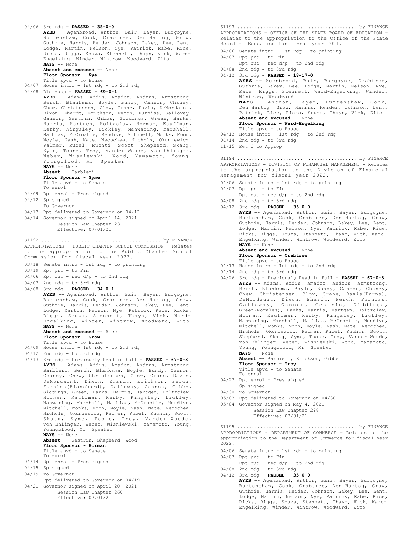04/06 3rd rdg - **PASSED - 35-0-0 AYES** -- Agenbroad, Anthon, Bair, Bayer, Burgoyne, Burtenshaw, Cook, Crabtree, Den Hartog, Grow, Guthrie, Harris, Heider, Johnson, Lakey, Lee, Lent, Lodge, Martin, Nelson, Nye, Patrick, Rabe, Rice, Ricks, Riggs, Souza, Stennett, Thayn, Vick, Ward-Engelking, Winder, Wintrow, Woodward, Zito **NAYS** -- None **Absent and excused** -- None **Floor Sponsor - Nye** Title apvd - to House 04/07 House intro - 1st rdg - to 2nd rdg 04/08 Rls susp - **PASSED - 69-0-1 AYES** -- Adams, Addis, Amador, Andrus, Armstrong, Berch, Blanksma, Boyle, Bundy, Cannon, Chaney, Chew, Christensen, Clow, Crane, Davis, DeMordaunt, Dixon, Ehardt, Erickson, Ferch, Furniss, Galloway, Gannon, Gestrin, Gibbs, Giddings, Green, Hanks, Harris, Hartgen, Holtzclaw, Horman, Kauffman, Kerby, Kingsley, Lickley, Manwaring, Marshall, Mathias, McCrostie, Mendive, Mitchell, Monks, Moon, Moyle, Nash, Nate, Necochea, Nichols, Okuniewicz, Palmer, Rubel, Ruchti, Scott, Shepherd, Skaug, Syme, Toone, Troy, Vander Woude, von Ehlinger, Weber, Wisniewski, Wood, Yamamoto, Young, Youngblood, Mr. Speaker **NAYS** -- None **Absent** -- Barbieri **Floor Sponsor - Syme** Title apvd - to Senate To enrol 04/09 Rpt enrol - Pres signed 04/12 Sp signed To Governor 04/13 Rpt delivered to Governor on 04/12 04/14 Governor signed on April 14, 2021 Session Law Chapter 231 Effective: 07/01/21 APPROPRIATIONS - PUBLIC CHARTER SCHOOL COMMISSION - Relates to the appropriation to the Public Charter School Commission for fiscal year 2022. 03/18 Senate intro - 1st rdg - to printing 03/19 Rpt prt - to Fin  $04/06$  Rpt out - rec  $d/p$  - to 2nd rdg 04/07 2nd rdg - to 3rd rdg 04/08 3rd rdg - **PASSED - 34-0-1 AYES** -- Agenbroad, Anthon, Bair, Bayer, Burgoyne, Burtenshaw, Cook, Crabtree, Den Hartog, Grow, Guthrie, Harris, Heider, Johnson, Lakey, Lee, Lent, Lodge, Martin, Nelson, Nye, Patrick, Riggs, Souza, Stennett, Thayn, Vick, Ward-Engelking, Winder, Wintrow, Woodward, Zito **NAYS** -- None **Absent and excused** -- Rice **Floor Sponsor - Grow** Title apvd - to House 04/09 House intro - 1st rdg - to 2nd rdg 04/12 2nd rdg - to 3rd rdg 04/13 3rd rdg - Previously Read in Full - **PASSED - 67-0-3 AYES** -- Adams, Addis, Amador, Andrus, Armstrong, Barbieri, Berch, Blanksma, Boyle, Bundy, Cannon, Chaney, Chew, Christensen, Clow, Crane, Davis, DeMordaunt, Dixon, Ehardt, Erickson, Ferch, Furniss(Blanchard), Galloway, Gannon, Gibbs, Giddings, Green, Hanks, Harris, Hartgen, Holtzclaw, Horman, Kauffman, Kerby, Kingsley, Lickley, Manwaring, Marshall, Mathias, McCrostie, Mendive, Mitchell, Monks, Moon, Moyle, Nash, Nate, Necochea, Nichols, Okuniewicz, Palmer, Rubel, Ruchti, Scott, Skaug, Syme, Toone, Troy, Vander Woude, von Ehlinger, Weber, Wisniewski, Yamamoto, Young, Youngblood, Mr. Speaker **NAYS** -- None **Absent** -- Gestrin, Shepherd, Wood **Floor Sponsor - Horman** Title apvd - to Senate To enrol 04/14 Rpt enrol - Pres signed 04/15 Sp signed 04/19 To Governor Rpt delivered to Governor on 04/19 04/21 Governor signed on April 20, 2021 Session Law Chapter 260 Effective: 07/01/21 S1192 ...........................................by FINANCE APPROPRIATIONS - OFFICE OF THE STATE BOARD OF EDUCATION - Relates to the appropriation to the Office of the State Board of Education for fiscal year 2021. S1193 ...........................................by FINANCE

- 04/06 Senate intro 1st rdg to printing
- 04/07 Rpt prt to Fin  $Rpt$  out - rec  $d/p$  - to 2nd rdg
- 04/08 2nd rdg to 3rd rdg
- 04/12 3rd rdg **PASSED 18-17-0**

**AYES** -- Agenbroad, Bair, Burgoyne, Crabtree, Guthrie, Lakey, Lee, Lodge, Martin, Nelson, Nye, Rabe, Riggs, Stennett, Ward-Engelking, Winder, Wintrow, Woodward<br>**NAYS --** Anthon, Bayer, Burtenshaw, Cook,<br>Den Hartog, Grow, Harris, Heider, Johnson, Lent, Patrick, Rice, Ricks, Souza, Thayn, Vick, Zito **Absent and excused** -- None **Floor Sponsor - Ward-Engelking** Title apvd - to House 04/13 House intro - 1st rdg - to 2nd rdg 04/14 2nd rdg - to 3rd rdg 11/15 Ret'd to Approp APPROPRIATIONS - DIVISION OF FINANCIAL MANAGEMENT - Relates to the appropriation to the Division of Financial Management for fiscal year 2022. 04/06 Senate intro - 1st rdg - to printing 04/07 Rpt prt - to Fin S1194 ...........................................by FINANCE

- $Rpt$  out rec  $d/p$  to 2nd rdg
- 04/08 2nd rdg to 3rd rdg
- 04/12 3rd rdg **PASSED 35-0-0 AYES** -- Agenbroad, Anthon, Bair, Bayer, Burgoyne, Burtenshaw, Cook, Crabtree, Den Hartog, Grow, Guthrie, Harris, Heider, Johnson, Lakey, Lee, Lent, Lodge, Martin, Nelson, Nye, Patrick, Rabe, Rice, Ricks, Riggs, Souza, Stennett, Thayn, Vick, Ward-Engelking, Winder, Wintrow, Woodward, Zito **NAYS** -- None

**Absent and excused** -- None **Floor Sponsor - Crabtree**

- Title apvd to House
- 04/13 House intro 1st rdg to 2nd rdg
- 04/14 2nd rdg to 3rd rdg
- 04/26 3rd rdg Previously Read in Full **PASSED 67-0-3 AYES** -- Adams, Addis, Amador, Andrus, Armstrong, Berch, Blanksma, Boyle, Bundy, Cannon, Chaney, Chew, Christensen, Clow, Crane, Davis(Burns), DeMordaunt, Dixon, Ehardt, Ferch, Furniss, Galloway, Gannon, Gestrin, Giddings, Green(Morales), Hanks, Harris, Hartgen, Holtzclaw, Horman, Kauffman, Kerby, Kingsley, Lickley, Manwaring, Marshall, Mathias, McCrostie, Mendive, Mitchell, Monks, Moon, Moyle, Nash, Nate, Necochea, Nichols, Okuniewicz, Palmer, Rubel, Ruchti, Scott, Shepherd, Skaug, Syme, Toone, Troy, Vander Woude, von Ehlinger, Weber, Wisniewski, Wood, Yamamoto, Young, Youngblood, Mr. Speaker **NAYS** -- None

**Absent** -- Barbieri, Erickson, Gibbs

- **Floor Sponsor Troy** Title apvd - to Senate
- To enrol
- 04/27 Rpt enrol Pres signed Sp signed
- 04/30 To Governor
- 05/03 Rpt delivered to Governor on 04/30
- 05/04 Governor signed on May 4, 2021 Session Law Chapter 298

Effective: 07/01/21

APPROPRIATIONS - DEPARTMENT OF COMMERCE - Relates to the appropriation to the Department of Commerce for fiscal year 2022. S1195 ...........................................by FINANCE

- 04/06 Senate intro 1st rdg to printing
- 04/07 Rpt prt to Fin
	- Rpt out rec  $d/p$  to 2nd rdg
- 04/08 2nd rdg to 3rd rdg
- 04/12 3rd rdg **PASSED 35-0-0 AYES** -- Agenbroad, Anthon, Bair, Bayer, Burgoyne, Burtenshaw, Cook, Crabtree, Den Hartog, Grow, Guthrie, Harris, Heider, Johnson, Lakey, Lee, Lent, Lodge, Martin, Nelson, Nye, Patrick, Rabe, Rice, Ricks, Riggs, Souza, Stennett, Thayn, Vick, Ward-Engelking, Winder, Wintrow, Woodward, Zito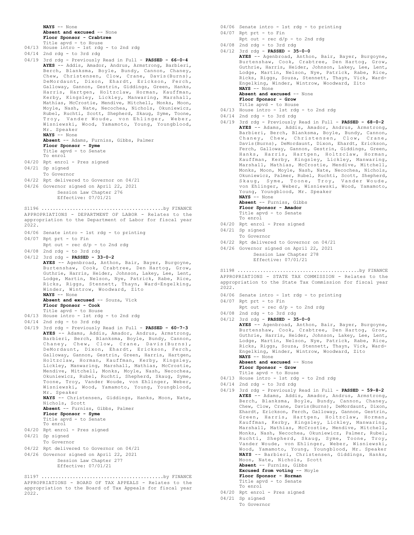**NAYS** -- None **Absent and excused** -- None **Floor Sponsor - Crabtree**

- Title apvd to House 04/13 House intro - 1st rdg - to 2nd rdg
- 
- 04/14 2nd rdg to 3rd rdg 04/19 3rd rdg - Previously Read in Full - **PASSED - 66-0-4 AYES** -- Addis, Amador, Andrus, Armstrong, Barbieri, Berch, Blanksma, Boyle, Bundy, Cannon, Chaney, Chew, Christensen, Clow, Crane, Davis(Burns), DeMordaunt, Dixon, Ehardt, Erickson, Ferch, Galloway, Gannon, Gestrin, Giddings, Green, Hanks, Harris, Hartgen, Holtzclaw, Horman, Kauffman, Kerby, Kingsley, Lickley, Manwaring, Marshall, Mathias, McCrostie, Mendive, Mitchell, Monks, Moon, Moyle, Nash, Nate, Necochea, Nichols, Okuniewicz, Rubel, Ruchti, Scott, Shepherd, Skaug, Syme, Toone, Troy, Vander Woude, von Ehlinger, Weber, Wisniewski, Wood, Yamamoto, Young, Youngblood, Mr. Speaker **NAYS** -- None **Absent** -- Adams, Furniss, Gibbs, Palmer **Floor Sponsor - Syme** Title apvd - to Senate To enrol 04/20 Rpt enrol - Pres signed 04/21 Sp signed To Governor 04/22 Rpt delivered to Governor on 04/21 04/26 Governor signed on April 22, 2021 Session Law Chapter 276 Effective: 07/01/21 APPROPRIATIONS - DEPARTMENT OF LABOR - Relates to the appropriation to the Department of Labor for fiscal year 2022. 04/06 Senate intro - 1st rdg - to printing 04/07 Rpt prt - to Fin  $r$   $\frac{1}{\sqrt{2}}$   $\frac{1}{\sqrt{2}}$   $\frac{1}{\sqrt{2}}$   $\frac{1}{\sqrt{2}}$   $\frac{1}{\sqrt{2}}$   $\frac{1}{\sqrt{2}}$   $\frac{1}{\sqrt{2}}$   $\frac{1}{\sqrt{2}}$   $\frac{1}{\sqrt{2}}$   $\frac{1}{\sqrt{2}}$   $\frac{1}{\sqrt{2}}$   $\frac{1}{\sqrt{2}}$   $\frac{1}{\sqrt{2}}$   $\frac{1}{\sqrt{2}}$   $\frac{1}{\sqrt{2}}$   $\frac{1}{\sqrt{2}}$   $\frac{1}{\sqrt{$ 04/08 2nd rdg - to 3rd rdg 04/12 3rd rdg - **PASSED - 33-0-2 AYES** -- Agenbroad, Anthon, Bair, Bayer, Burgoyne, Burtenshaw, Cook, Crabtree, Den Hartog, Grow, Guthrie, Harris, Heider, Johnson, Lakey, Lee, Lent, Lodge, Martin, Nelson, Nye, Patrick, Rabe, Rice, Ricks, Riggs, Stennett, Thayn, Ward-Engelking, Winder, Wintrow, Woodward, Zito **NAYS** -- None **Absent and excused** -- Souza, Vick **Floor Sponsor - Cook** Title apvd - to House 04/13 House intro - 1st rdg - to 2nd rdg 04/14 2nd rdg - to 3rd rdg 04/19 3rd rdg - Previously Read in Full - **PASSED - 60-7-3 AYES** -- Adams, Addis, Amador, Andrus, Armstrong, Barbieri, Berch, Blanksma, Boyle, Bundy, Cannon, Chaney, Chew, Clow, Crane, Davis(Burns), DeMordaunt, Dixon, Ehardt, Erickson, Ferch, S1196 ...........................................by FINANCE
- Galloway, Gannon, Gestrin, Green, Harris, Hartgen, Holtzclaw, Horman, Kauffman, Kerby, Kingsley, Lickley, Manwaring, Marshall, Mathias, McCrostie, Mendive, Mitchell, Monks, Moyle, Nash, Necochea, Okuniewicz, Rubel, Ruchti, Shepherd, Skaug, Syme, Toone, Troy, Vander Woude, von Ehlinger, Weber, Wisniewski, Wood, Yamamoto, Young, Youngblood, Mr. Speaker **NAYS** -- Christensen, Giddings, Hanks, Moon, Nate, Nichols, Scott **Absent** -- Furniss, Gibbs, Palmer

**Floor Sponsor - Syme** Title apvd - to Senate

To enrol

- 04/20 Rpt enrol Pres signed
- 04/21 Sp signed
- To Governor
- 04/22 Rpt delivered to Governor on 04/21
- 04/26 Governor signed on April 22, 2021 Session Law Chapter 277 Effective: 07/01/21

APPROPRIATIONS - BOARD OF TAX APPEALS - Relates to the appropriation to the Board of Tax Appeals for fiscal year 2022. S1197 ...........................................by FINANCE

- 04/06 Senate intro 1st rdg to printing
- 04/07 Rpt prt to Fin
	- Rpt out  $rec d/p to 2nd rd$
- 04/08 2nd rdg to 3rd rdg 04/12 3rd rdg - **PASSED - 35-0-0 AYES** -- Agenbroad, Anthon, Bair, Bayer, Burgoyne, Burtenshaw, Cook, Crabtree, Den Hartog, Grow, Guthrie, Harris, Heider, Johnson, Lakey, Lee, Lent,

Lodge, Martin, Nelson, Nye, Patrick, Rabe, Rice, Ricks, Riggs, Souza, Stennett, Thayn, Vick, Ward-Engelking, Winder, Wintrow, Woodward, Zito **NAYS** -- None **Absent and excused** -- None **Floor Sponsor - Grow**

Title apvd - to House

- 04/13 House intro 1st rdg to 2nd rdg
- 04/14 2nd rdg to 3rd rdg
- 04/19 3rd rdg Previously Read in Full **PASSED 68-0-2 AYES** -- Adams, Addis, Amador, Andrus, Armstrong, Barbieri, Berch, Blanksma, Boyle, Bundy, Cannon, Chaney, Chew, Christensen, Clow, Crane, Davis(Burns), DeMordaunt, Dixon, Ehardt, Erickson, Ferch, Galloway, Gannon, Gestrin, Giddings, Green, Hanks, Harris, Hartgen, Holtzclaw, Horman, Kauffman, Kerby, Kingsley, Lickley, Manwaring, Marshall, Mathias, McCrostie, Mendive, Mitchell, Monks, Moon, Moyle, Nash, Nate, Necochea, Nichols, Okuniewicz, Palmer, Rubel, Ruchti, Scott, Shepherd, Skaug, Syme, Toone, Troy, Vander Woude, von Ehlinger, Weber, Wisniewski, Wood, Yamamoto, Young, Youngblood, Mr. Speaker **NAYS** -- None

**Absent** -- Furniss, Gibbs **Floor Sponsor - Amador**

- Title apvd to Senate
- To enrol 04/20 Rpt enrol - Pres signed
- 04/21 Sp signed
- To Governor
- 04/22 Rpt delivered to Governor on 04/21
- 04/26 Governor signed on April 22, 2021 Session Law Chapter 278

Effective: 07/01/21

APPROPRIATIONS - STATE TAX COMMISSION - Relates to the appropriation to the State Tax Commission for fiscal year 2022. S1198 ...........................................by FINANCE

- 04/06 Senate intro 1st rdg to printing
- 04/07 Rpt prt to Fin
	- Rpt out rec d/p to 2nd rdg
- 04/08 2nd rdg to 3rd rdg

04/12 3rd rdg - **PASSED - 35-0-0 AYES** -- Agenbroad, Anthon, Bair, Bayer, Burgoyne, Burtenshaw, Cook, Crabtree, Den Hartog, Grow, Guthrie, Harris, Heider, Johnson, Lakey, Lee, Lent, Lodge, Martin, Nelson, Nye, Patrick, Rabe, Rice, Ricks, Riggs, Souza, Stennett, Thayn, Vick, Ward-Engelking, Winder, Wintrow, Woodward, Zito **NAYS** -- None

Absent and excused -- None

- **Floor Sponsor Grow**
- Title apvd to House
- 04/13 House intro 1st rdg to 2nd rdg
- 04/14 2nd rdg to 3rd rdg
- 04/19 3rd rdg Previously Read in Full **PASSED 59-8-2 AYES** -- Adams, Addis, Amador, Andrus, Armstrong, Berch, Blanksma, Boyle, Bundy, Cannon, Chaney, Chew, Clow, Crane, Davis(Burns), DeMordaunt, Dixon, Ehardt, Erickson, Ferch, Galloway, Gannon, Gestrin, Green, Harris, Hartgen, Holtzclaw, Horman, Kauffman, Kerby, Kingsley, Lickley, Manwaring, Marshall, Mathias, McCrostie, Mendive, Mitchell, Monks, Nash, Necochea, Okuniewicz, Palmer, Rubel, Ruchti, Shepherd, Skaug, Syme, Toone, Troy, Vander Woude, von Ehlinger, Weber, Wisniewski, Wood, Yamamoto, Young, Youngblood, Mr. Speaker **NAYS** -- Barbieri, Christensen, Giddings, Hanks, Moon, Nate, Nichols, Scott **Absent** -- Furniss, Gibbs **Excused from voting** -- Moyle **Floor Sponsor - Horman**
	- Title apvd to Senate To enrol
- 04/20 Rpt enrol Pres signed
- 04/21 Sp signed
	- To Governor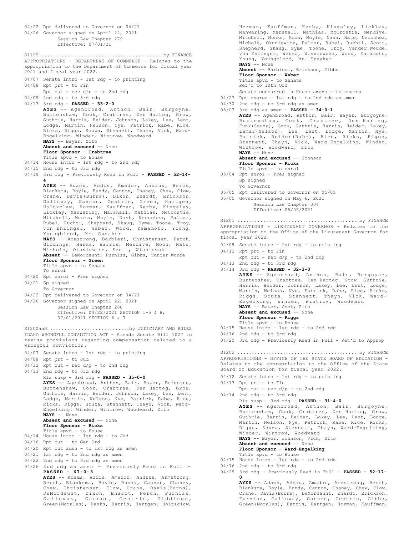```
04/22 Rpt delivered to Governor on 04/21
04/26 Governor signed on April 22, 2021
           Session Law Chapter 279
           Effective: 07/01/21
APPROPRIATIONS - DEPARTMENT OF COMMERCE - Relates to the
appropriation to the Department of Commerce for fiscal year
2021 and fiscal year 2022.
04/07 Senate intro - 1st rdg - to printing
04/08 Rpt prt - to Fin
    Rpt out - rec d/p - to 2nd rdg
04/09 2nd rdg - to 3rd rdg
04/13 3rd rdg - PASSED - 33-2-0
AYES -- Agenbroad, Anthon, Bair, Burgoyne,
Burtenshaw, Cook, Crabtree, Den Hartog, Grow,
       Guthrie, Harris, Heider, Johnson, Lakey, Lee, Lent,
       Lodge, Martin, Nelson, Nye, Patrick, Rabe, Rice,
       Ricks, Riggs, Souza, Stennett, Thayn, Vick, Ward-
       Engelking, Winder, Wintrow, Woodward
       NAYS -- Bayer, Zito
       Absent and excused -- None
       Floor Sponsor - Crabtree
       Title apvd - to House
04/14 House intro - 1st rdg - to 2nd rdg
04/15 2nd rdg - to 3rd rdg
04/19 3rd rdg - Previously Read in Full - PASSED - 52-14-
       4
       AYES -- Adams, Addis, Amador, Andrus, Berch,
       Blanksma, Boyle, Bundy, Cannon, Chaney, Chew, Clow,
Crane, Davis(Burns), Dixon, Ehardt, Erickson,
       Galloway, Gannon, Gestrin, Green, Hartgen,
Holtzclaw, Horman, Kauffman, Kerby, Kingsley,
       Lickley, Manwaring, Marshall, Mathias, McCrostie,
       Mitchell, Monks, Moyle, Nash, Necochea, Palmer,
       Rubel, Ruchti, Shepherd, Skaug, Syme, Toone, Troy,
von Ehlinger, Weber, Wood, Yamamoto, Young,
       Youngblood, Mr. Speaker
       NAYS -- Armstrong, Barbieri, Christensen, Ferch,
       Giddings, Hanks, Harris, Mendive, Moon, Nate,
       Nichols, Okuniewicz, Scott, Wisniewski
       Absent -- DeMordaunt, Furniss, Gibbs, Vander Woude
       Floor Sponsor - Green
       Title apvd - to Senate
       To enrol
04/20 Rpt enrol - Pres signed
04/21 Sp signed
      To Governor
04/22 Rpt delivered to Governor on 04/21
04/26 Governor signed on April 22, 2021
           Session Law Chapter 280
           Effective: 04/22/2021 SECTION 1-5 & 8;
           07/01/2021 SECTION 6 & 7
S1199 ...........................................by FINANCE
IDAHO WRONGFUL CONVICTION ACT - Amends Senate Bill 1027 to
revise provisions regarding compensation related to a
wrongful conviction.
04/07 Senate intro - 1st rdg - to printing
04/08 Rpt prt - to Jud
04/12 Rpt out - rec d/p - to 2nd rdg
04/13 2nd rdg - to 3rd rdg
       Rls susp - 3rd rdg - PASSED - 35-0-0
       AYES -- Agenbroad, Anthon, Bair, Bayer, Burgoyne,
       Burtenshaw, Cook, Crabtree, Den Hartog, Grow,
       Guthrie, Harris, Heider, Johnson, Lakey, Lee, Lent,
Lodge, Martin, Nelson, Nye, Patrick, Rabe, Rice,
       Ricks, Riggs, Souza, Stennett, Thayn, Vick, Ward-
       Engelking, Winder, Wintrow, Woodward, Zito
       NAYS -- None
      Absent and excused -- None
       Floor Sponsor - Ricks
      Title apvd - to House
04/14 House intro - 1st rdg - to Jud
04/16 Rpt out - to Gen Ord
04/20 Rpt out amen - to 1st rdg as amen
04/21 1st rdg - to 2nd rdg as amen
04/22 2nd rdg - to 3rd rdg as amen
04/26 3rd rdg as amen - Previously Read in Full -
       PASSED - 67-0-3
       AYES -- Adams, Addis, Amador, Andrus, Armstrong,
       Berch, Blanksma, Boyle, Bundy, Cannon, Chaney,
       Chew, Christensen, Clow, Crane, Davis(Burns),
       DeMordaunt, Dixon, Ehardt, Ferch, Furniss,
       Galloway, Gannon, Gestrin, Giddings,
S1200aaH ............................by JUDICIARY AND RULES
```
Green(Morales), Hanks, Harris, Hartgen, Holtzclaw,

Horman, Kauffman, Kerby, Kingsley, Lickley, Manwaring, Marshall, Mathias, McCrostie, Mendive, Mitchell, Monks, Moon, Moyle, Nash, Nate, Necochea, Nichols, Okuniewicz, Palmer, Rubel, Ruchti, Scott, Shepherd, Skaug, Syme, Toone, Troy, Vander Woude, von Ehlinger, Weber, Wisniewski, Wood, Yamamoto, Young, Youngblood, Mr. Speaker **NAYS** -- None **Absent** -- Barbieri, Erickson, Gibbs **Floor Sponsor - Weber** Title apvd - to Senate Ref'd to 10th Ord Senate concurred in House amens - to engros 04/27 Rpt engros - 1st rdg - to 2nd rdg as amen 04/30 2nd rdg - to 3rd rdg as amen 05/03 3rd rdg as amen - **PASSED - 34-0-1 AYES** -- Agenbroad, Anthon, Bair, Bayer, Burgoyne, Burtenshaw, Cook, Crabtree, Den Hartog, Funk(Souza), Grow, Guthrie, Harris, Heider, Lakey, Lamar(Nelson), Lee, Lent, Lodge, Martin, Nye, Patrick, Reider(Rabe), Rice, Ricks, Riggs, Stennett, Thayn, Vick, Ward-Engelking, Winder, Wintrow, Woodward, Zito **NAYS** -- None **Absent and excused** -- Johnson **Floor Sponsor - Ricks** Title apvd - to enrol 05/04 Rpt enrol - Pres signed Sp signed To Governor 05/05 Rpt delivered to Governor on 05/05 05/05 Governor signed on May 6, 2021 Session Law Chapter 304 Effective: 05/05/2021 APPROPRIATIONS - LIEUTENANT GOVERNOR - Relates to the appropriation to the Office of the Lieutenant Governor for fiscal year 2022. 04/09 Senate intro - 1st rdg - to printing 04/12 Rpt prt - to Fin S1201 ...........................................by FINANCE

- Rpt out rec d/p to 2nd rdg
- 04/13 2nd rdg to 3rd rdg
- 04/14 3rd rdg **PASSED 32-3-0 AYES** -- Agenbroad, Anthon, Bair, Burgoyne, Burtenshaw, Crabtree, Den Hartog, Grow, Guthrie, Harris, Heider, Johnson, Lakey, Lee, Lent, Lodge, Martin, Nelson, Nye, Patrick, Rabe, Rice, Ricks, Riggs, Souza, Stennett, Thayn, Vick, Ward-Engelking, Winder, Wintrow, Woodward **NAYS** -- Bayer, Cook, Zito **Absent and excused** -- None **Floor Sponsor - Riggs** Title apvd - to House 04/15 House intro - 1st rdg - to 2nd rdg
- $04/16$  2nd rdg to 3rd rdg
- 04/20 3rd rdg Previously Read in Full Ret'd to Approp

APPROPRIATIONS - OFFICE OF THE STATE BOARD OF EDUCATION - Relates to the appropriation to the Office of the State Board of Education for fiscal year 2022. S1202 ...........................................by FINANCE

04/12 Senate intro - 1st rdg - to printing

```
04/13 Rpt prt - to Fin
     Rpt out - rec d/p - to 2nd rdg
```

```
04/14 2nd rdg - to 3rd rdg
      Rls susp - 3rd rdg - PASSED - 31-4-0
      AYES -- Agenbroad, Anthon, Bair, Burgoyne,
      Burtenshaw, Cook, Crabtree, Den Hartog, Grow,
      Guthrie, Harris, Heider, Lakey, Lee, Lent, Lodge,
      Martin, Nelson, Nye, Patrick, Rabe, Rice, Ricks,
      Riggs, Souza, Stennett, Thayn, Ward-Engelking,
      Winder, Wintrow, Woodward
      NAYS -- Bayer, Johnson, Vick, Zito
      Absent and excused -- None
      Floor Sponsor - Ward-Engelking
      Title apvd - to House
04/15 House intro - 1st rdg - to 2nd rdg
```
- 
- 04/16 2nd rdg to 3rd rdg
- 04/29 3rd rdg Previously Read in Full **PASSED 52-17- 0**

**AYES** -- Adams, Addis, Amador, Armstrong, Berch, Blanksma, Boyle, Bundy, Cannon, Chaney, Chew, Clow, Crane, Davis(Burns), DeMordaunt, Ehardt, Erickson, Furniss, Galloway, Gannon, Gestrin, Gibbs, Green(Morales), Harris, Hartgen, Horman, Kauffman,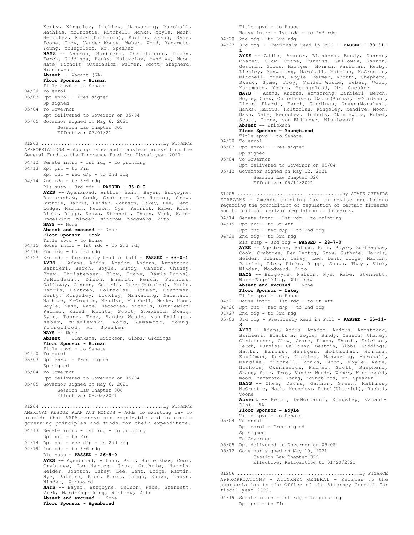```
Kerby, Kingsley, Lickley, Manwaring, Marshall,
       Mathias, McCrostie, Mitchell, Monks, Moyle, Nash,
       Necochea, Rubel(Dittrich), Ruchti, Skaug, Syme,
       Toone, Troy, Vander Woude, Weber, Wood, Yamamoto,
       Young, Youngblood, Mr. Speaker
       NAYS -- Andrus, Barbieri, Christensen, Dixon,
Ferch, Giddings, Hanks, Holtzclaw, Mendive, Moon,
      Nate, Nichols, Okuniewicz, Palmer, Scott, Shepherd,
       Wisniewski
      Absent -- Vacant (6A)
       Floor Sponsor - Horman
       Title apvd - to Senate
04/30 To enrol
05/03 Rpt enrol - Pres signed
      Sp signed
05/04 To Governor
     Rpt delivered to Governor on 05/04
05/05 Governor signed on May 6, 2021
          Session Law Chapter 305
           Effective: 07/01/21
APPROPRIATIONS - Appropriates and transfers moneys from the
General Fund to the Innocence Fund for fiscal year 2021.
04/12 Senate intro - 1st rdg - to printing
04/13 Rpt prt - to Fin
       Rpt out - rec d/p - to 2nd rdg
04/14 2nd rdg - to 3rd rdg
      Rls susp - 3rd rdg - PASSED - 35-0-0
      AYES -- Agenbroad, Anthon, Bair, Bayer, Burgoyne,
      Burtenshaw, Cook, Crabtree, Den Hartog, Grow,
      Guthrie, Harris, Heider, Johnson, Lakey, Lee, Lent,
       Lodge, Martin, Nelson, Nye, Patrick, Rabe, Rice,
       Ricks, Riggs, Souza, Stennett, Thayn, Vick, Ward-
       Engelking, Winder, Wintrow, Woodward, Zito
      NAYS -- None
      Absent and excused -- None
      Floor Sponsor - Cook
       Title apvd - to House
04/15 House intro - 1st rdg - to 2nd rdg
04/16 2nd rdg - to 3rd rdg
04/27 3rd rdg - Previously Read in Full - PASSED - 66-0-4
AYES -- Adams, Addis, Amador, Andrus, Armstrong,
      Barbieri, Berch, Boyle, Bundy, Cannon, Chaney,
      Chew, Christensen, Clow, Crane, Davis(Burns),
      DeMordaunt, Dixon, Ehardt, Ferch, Furniss,
      Galloway, Gannon, Gestrin, Green(Morales), Hanks,
       Harris, Hartgen, Holtzclaw, Horman, Kauffman,
Kerby, Kingsley, Lickley, Manwaring, Marshall,
      Mathias, McCrostie, Mendive, Mitchell, Monks, Moon,
      Moyle, Nash, Nate, Necochea, Nichols, Okuniewicz,
       Palmer, Rubel, Ruchti, Scott, Shepherd, Skaug,
      Syme, Toone, Troy, Vander Woude, von Ehlinger,
      Weber, Wisniewski, Wood, Yamamoto, Young,
      Youngblood, Mr. Speaker
      NAYS -- None
      Absent -- Blanksma, Erickson, Gibbs, Giddings
      Floor Sponsor - Horman
       Title apvd - to Senate
04/30 To enrol
05/03 Rpt enrol - Pres signed
      Sp signed
05/04 To Governor
      Rpt delivered to Governor on 05/04
05/05 Governor signed on May 6, 2021
          Session Law Chapter 306
           Effective: 05/05/2021
S1203 ...........................................by FINANCE
AMERICAN RESCUE PLAN ACT MONEYS - Adds to existing law to
provide that ARPA moneys are cognizable and to create
governing principles and funds for their expenditure.
04/13 Senate intro - 1st rdg - to printing
      Rpt prt - to Fin
04/14 Rpt out - rec d/p - to 2nd rdg
04/19 2nd rdg - to 3rd rdg
      Rls susp - PASSED - 26-9-0
      AYES -- Agenbroad, Anthon, Bair, Burtenshaw, Cook,
       Crabtree, Den Hartog, Grow, Guthrie, Harris,
       Heider, Johnson, Lakey, Lee, Lent, Lodge, Martin,
Nye, Patrick, Rice, Ricks, Riggs, Souza, Thayn,
       Winder, Woodward
      NAYS -- Bayer, Burgoyne, Nelson, Rabe, Stennett,
       Vick, Ward-Engelking, Wintrow, Zito
      Absent and excused -- None
      Floor Sponsor - Agenbroad
S1204 ...........................................by FINANCE
```

```
Title apvd - to House
      House intro - 1st rdg - to 2nd rdg
04/20 2nd rdg - to 3rd rdg
04/27 3rd rdg - Previously Read in Full - PASSED - 38-31-
       1
       AYES -- Addis, Amador, Blanksma, Bundy, Cannon,
Chaney, Clow, Crane, Furniss, Galloway, Gannon,
       Gestrin, Gibbs, Hartgen, Horman, Kauffman, Kerby,
       Lickley, Manwaring, Marshall, Mathias, McCrostie,
Mitchell, Monks, Moyle, Palmer, Ruchti, Shepherd,
       Skaug, Syme, Troy, Vander Woude, Weber, Wood,
Yamamoto, Young, Youngblood, Mr. Speaker
       NAYS -- Adams, Andrus, Armstrong, Barbieri, Berch,
       Boyle, Chew, Christensen, Davis(Burns), DeMordaunt,
       Dixon, Ehardt, Ferch, Giddings, Green(Morales),
       Hanks, Harris, Holtzclaw, Kingsley, Mendive, Moon,
       Nash, Nate, Necochea, Nichols, Okuniewicz, Rubel,
       Scott, Toone, von Ehlinger, Wisniewski
       Absent -- Erickson
       Floor Sponsor - Youngblood
Title apvd - to Senate
04/30 To enrol
05/03 Rpt enrol - Pres signed
       Sp signed
05/04 To Governor
      Rpt delivered to Governor on 05/04
05/12 Governor signed on May 12, 2021
           Session Law Chapter 320
            Effective: 05/10/2021
FIREARMS - Amends existing law to revise provisions
regarding the prohibition of regulation of certain firearms
and to prohibit certain regulation of firearms.
04/14 Senate intro - 1st rdg - to printing
04/19 Rpt prt - to St Aff
       Rpt out - rec d/p - to 2nd rdg
04/20 2nd rdg - to 3rd rdg
       Rls susp - 3rd rdg - PASSED - 28-7-0
       AYES -- Agenbroad, Anthon, Bair, Bayer, Burtenshaw,
       Cook, Crabtree, Den Hartog, Grow, Guthrie, Harris,
       Heider, Johnson, Lakey, Lee, Lent, Lodge, Martin,
       Patrick, Rice, Ricks, Riggs, Souza, Thayn, Vick,
       Winder, Woodward, Zito
       NAYS -- Burgoyne, Nelson, Nye, Rabe, Stennett,
Ward-Engelking, Wintrow
       Absent and excused -- None
       Floor Sponsor - Lakey
       Title apvd - to House
04/21 House intro - 1st rdg - to St Aff
04/26 Rpt out - rec d/p - to 2nd rdg
04/27 2nd rdg - to 3rd rdg
05/03 3rd rdg - Previously Read in Full - PASSED - 55-11-
       3
AYES -- Adams, Addis, Amador, Andrus, Armstrong,
       Barbieri, Blanksma, Boyle, Bundy, Cannon, Chaney,
       Christensen, Clow, Crane, Dixon, Ehardt, Erickson,
       Ferch, Furniss, Galloway, Gestrin, Gibbs, Giddings,
       Hanks, Harris, Hartgen, Holtzclaw, Horman,
Kauffman, Kerby, Lickley, Manwaring, Marshall,
       Mendive, Mitchell, Monks, Moon, Moyle, Nate,
Nichols, Okuniewicz, Palmer, Scott, Shepherd,
       Skaug, Syme, Troy, Vander Woude, Weber, Wisniewski,
       Wood, Yamamoto, Young, Youngblood, Mr. Speaker
       NAYS -- Chew, Davis, Gannon, Green, Mathias,
       McCrostie, Nash, Necochea, Rubel(Dittrich), Ruchti,
       Toone
       Absent -- Berch, DeMordaunt, Kingsley, Vacant-
       Dist. 6A
       Floor Sponsor - Boyle
       Title apvd - to Senate
05/04 To enrol
       Rpt enrol - Pres signed
S1205 .....................................by STATE AFFAIRS
```
- Sp signed To Governor 05/05 Rpt delivered to Governor on 05/05 05/12 Governor signed on May 10, 2021
- Session Law Chapter 329 Effective: Retroactive to 01/20/2021

APPROPRIATIONS - ATTORNEY GENERAL - Relates to the appropriation to the Office of the Attorney General for fiscal year 2022. S1206 ...........................................by FINANCE

04/19 Senate intro - 1st rdg - to printing Rpt prt - to Fin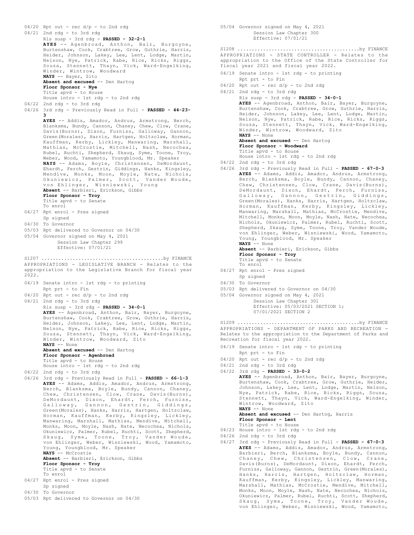```
04/20 Rpt out - rec d/p - to 2nd rdg
04/21 2nd rdg - to 3rd rdg
      Rls susp - 3rd rdg - PASSED - 32-2-1
      AYES -- Agenbroad, Anthon, Bair, Burgoyne,
      Burtenshaw, Cook, Crabtree, Grow, Guthrie, Harris,
       Heider, Johnson, Lakey, Lee, Lent, Lodge, Martin,
Nelson, Nye, Patrick, Rabe, Rice, Ricks, Riggs,
      Souza, Stennett, Thayn, Vick, Ward-Engelking,
      Winder, Wintrow, Woodward
      NAYS -- Bayer, Zito
      Absent and excused -- Den Hartog
      Floor Sponsor - Nye
      Title apvd - to House
      House intro - 1st rdg - to 2nd rdg
04/22 2nd rdg - to 3rd rdg
04/26 3rd rdg - Previously Read in Full - PASSED - 44-23-
      3
      AYES -- Addis, Amador, Andrus, Armstrong, Berch,
      Blanksma, Bundy, Cannon, Chaney, Chew, Clow, Crane,
      Davis(Burns), Dixon, Furniss, Galloway, Gannon,
      Green(Morales), Harris, Hartgen, Holtzclaw, Horman,
      Kauffman, Kerby, Lickley, Manwaring, Marshall,
      Mathias, McCrostie, Mitchell, Nash, Necochea,
      Rubel, Ruchti, Shepherd, Skaug, Syme, Toone, Troy,
      Weber, Wood, Yamamoto, Youngblood, Mr. Speaker
      NAYS -- Adams, Boyle, Christensen, DeMordaunt,
      Ehardt, Ferch, Gestrin, Giddings, Hanks, Kingsley,
       Mendive, Monks, Moon, Moyle, Nate, Nichols,
Okuniewicz, Palmer, Scott, Vander Woude,
      von Ehlinger, Wisniewski, Young
      Absent -- Barbieri, Erickson, Gibbs
      Floor Sponsor - Troy
      Title apvd - to Senate
      To enrol
04/27 Rpt enrol - Pres signed
      Sp signed
04/30 To Governor
05/03 Rpt delivered to Governor on 04/30
05/04 Governor signed on May 4, 2021
          Session Law Chapter 299
           Effective: 07/01/21
APPROPRIATIONS - LEGISLATIVE BRANCH - Relates to the
appropriation to the Legislative Branch for fiscal year
2022.
04/19 Senate intro - 1st rdg - to printing
      Rpt prt - to Fin
04/20 Rpt out - rec d/p - to 2nd rdg
04/21 2nd rdg - to 3rd rdg
      Rls susp - 3rd rdg - PASSED - 34-0-1
       AYES -- Agenbroad, Anthon, Bair, Bayer, Burgoyne,
Burtenshaw, Cook, Crabtree, Grow, Guthrie, Harris,
      Heider, Johnson, Lakey, Lee, Lent, Lodge, Martin,
      Nelson, Nye, Patrick, Rabe, Rice, Ricks, Riggs,
      Souza, Stennett, Thayn, Vick, Ward-Engelking,
      Winder, Wintrow, Woodward, Zito
      NAYS -- None
      Absent and excused -- Den Hartog
      Floor Sponsor - Agenbroad
      Title apvd - to House
      House intro - 1st rdg - to 2nd rdg
04/22 2nd rdg - to 3rd rdg
04/26 3rd rdg - Previously Read in Full - PASSED - 66-1-3
      AYES -- Adams, Addis, Amador, Andrus, Armstrong,
      Berch, Blanksma, Boyle, Bundy, Cannon, Chaney,
      Chew, Christensen, Clow, Crane, Davis(Burns),
      DeMordaunt, Dixon, Ehardt, Ferch, Furniss,
      Galloway, Gannon, Gestrin, Giddings,
      Green(Morales), Hanks, Harris, Hartgen, Holtzclaw,
      Horman, Kauffman, Kerby, Kingsley, Lickley,
      Manwaring, Marshall, Mathias, Mendive, Mitchell,
      Monks, Moon, Moyle, Nash, Nate, Necochea, Nichols,
      Okuniewicz, Palmer, Rubel, Ruchti, Scott, Shepherd,
       Skaug, Syme, Toone, Troy, Vander Woude,
von Ehlinger, Weber, Wisniewski, Wood, Yamamoto,
      Young, Youngblood, Mr. Speaker
      NAYS -- McCrostie
      Absent -- Barbieri, Erickson, Gibbs
      Floor Sponsor - Troy
      Title apvd - to Senate
      To enrol
04/27 Rpt enrol - Pres signed
     Sp signed
04/30 To Governor
S1207 ...........................................by FINANCE
```

```
05/04 Governor signed on May 4, 2021
           Session Law Chapter 300
            Effective: 07/01/21
APPROPRIATIONS - STATE CONTROLLER - Relates to the
appropriation to the Office of the State Controller for
fiscal year 2021 and fiscal year 2022.
04/19 Senate intro - 1st rdg - to printing
      Rpt prt - to Fin
04/20 Rpt out - rec d/p - to 2nd rdg
04/21 2nd rdg - to 3rd rdg
       Rls susp - 3rd rdg - PASSED - 34-0-1
AYES -- Agenbroad, Anthon, Bair, Bayer, Burgoyne,
       Burtenshaw, Cook, Crabtree, Grow, Guthrie, Harris,
       Heider, Johnson, Lakey, Lee, Lent, Lodge, Martin,
       Nelson, Nye, Patrick, Rabe, Rice, Ricks, Riggs,
       Souza, Stennett, Thayn, Vick, Ward-Engelking,
       Winder, Wintrow, Woodward, Zito
       NAYS -- None
       Absent and excused -- Den Hartog
       Floor Sponsor - Woodward
       Title apvd - to House
       House intro - 1st rdg - to 2nd rdg
04/22 2nd rdg - to 3rd rdg
04/26 3rd rdg - Previously Read in Full - PASSED - 67-0-3
       AYES -- Adams, Addis, Amador, Andrus, Armstrong,
       Berch, Blanksma, Boyle, Bundy, Cannon, Chaney,
       Chew, Christensen, Clow, Crane, Davis(Burns),
       DeMordaunt, Dixon, Ehardt, Ferch, Furniss,
       Galloway, Gannon, Gestrin, Giddings,
Green(Morales), Hanks, Harris, Hartgen, Holtzclaw,
       Horman, Kauffman, Kerby, Kingsley, Lickley,
       Manwaring, Marshall, Mathias, McCrostie, Mendive,
       Mitchell, Monks, Moon, Moyle, Nash, Nate, Necochea,
Nichols, Okuniewicz, Palmer, Rubel, Ruchti, Scott,
       Shepherd, Skaug, Syme, Toone, Troy, Vander Woude,
       von Ehlinger, Weber, Wisniewski, Wood, Yamamoto,
       Young, Youngblood, Mr. Speaker
       NAYS -- None
       Absent -- Barbieri, Erickson, Gibbs
       Floor Sponsor - Troy
       Title apvd - to Senate
       To enrol
04/27 Rpt enrol - Pres signed
       Sp signed
04/30 To Governor
05/03 Rpt delivered to Governor on 04/30
05/04 Governor signed on May 4, 2021
            Session Law Chapter 301
            Effective: 05/03/2021 SECTION 1;
            07/01/2021 SECTION 2
S1208 ...........................................by FINANCE
APPROPRIATIONS - DEPARTMENT OF PARKS AND RECREATION -
Relates to the appropriation to the Department of Parks and
Recreation for fiscal year 2022.
04/19 Senate intro - 1st rdg - to printing
       Rpt prt - to Fin
04/20 Rpt out - rec d/p - to 2nd rdg
04/21 2nd rdg - to 3rd rdg
04/22 3rd rdg - PASSED - 33-0-2
       AYES -- Agenbroad, Anthon, Bair, Bayer, Burgoyne,
       Burtenshaw, Cook, Crabtree, Grow, Guthrie, Heider,
Johnson, Lakey, Lee, Lent, Lodge, Martin, Nelson,
       Nye, Patrick, Rabe, Rice, Ricks, Riggs, Souza,
       Stennett, Thayn, Vick, Ward-Engelking, Winder,
Wintrow, Woodward, Zito
       NAYS -- None
       Absent and excused -- Den Hartog, Harris
       Floor Sponsor - Lent
       Title apvd - to House
04/23 House intro - 1st rdg - to 2nd rdg
04/26 2nd rdg - to 3rd rdg
04/27 3rd rdg - Previously Read in Full - PASSED - 67-0-3
       AYES -- Adams, Addis, Amador, Andrus, Armstrong,
       Barbieri, Berch, Blanksma, Boyle, Bundy, Cannon,
       Chaney, Chew, Christensen, Clow, Crane,
       Davis(Burns), DeMordaunt, Dixon, Ehardt, Ferch,
       Furniss, Galloway, Gannon, Gestrin, Green(Morales),
Hanks, Harris, Hartgen, Holtzclaw, Horman,
S1209 ...........................................by FINANCE
```
05/03 Rpt delivered to Governor on 04/30

Kauffman, Kerby, Kingsley, Lickley, Manwaring, Marshall, Mathias, McCrostie, Mendive, Mitchell, Monks, Moon, Moyle, Nash, Nate, Necochea, Nichols, Okuniewicz, Palmer, Rubel, Ruchti, Scott, Shepherd, Skaug, Syme, Toone, Troy, Vander Woude, von Ehlinger, Weber, Wisniewski, Wood, Yamamoto,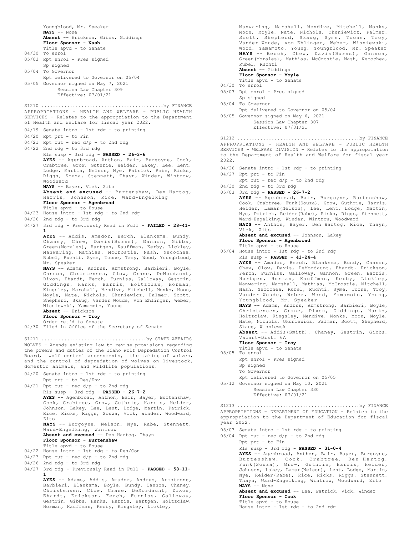Youngblood, Mr. Speaker **NAYS** -- None **Absent** -- Erickson, Gibbs, Giddings **Floor Sponsor - Nash** Title apvd - to Senate 04/30 To enrol 05/03 Rpt enrol - Pres signed Sp signed 05/04 To Governor Rpt delivered to Governor on 05/04 05/05 Governor signed on May 7, 2021 Session Law Chapter 309 Effective: 07/01/21 APPROPRIATIONS - HEALTH AND WELFARE - PUBLIC HEALTH SERVICES - Relates to the appropriation to the Department of Health and Welfare for fiscal year 2022. 04/19 Senate intro - 1st rdg - to printing 04/20 Rpt prt - to Fin  $04/21$  Rpt out - rec  $d/p$  - to 2nd rdg 04/22 2nd rdg - to 3rd rdg Rls susp - 3rd rdg - **PASSED - 26-3-6 AYES** -- Agenbroad, Anthon, Bair, Burgoyne, Cook, Crabtree, Grow, Guthrie, Heider, Lakey, Lee, Lent, Lodge, Martin, Nelson, Nye, Patrick, Rabe, Ricks, Riggs, Souza, Stennett, Thayn, Winder, Wintrow, Woodward **NAYS** -- Bayer, Vick, Zito **Absent and excused** -- Burtenshaw, Den Hartog, Harris, Johnson, Rice, Ward-Engelking **Floor Sponsor - Agenbroad** Title apvd - to House 04/23 House intro - 1st rdg - to 2nd rdg 04/26 2nd rdg - to 3rd rdg 04/27 3rd rdg - Previously Read in Full - **FAILED - 28-41- 1 AYES** -- Addis, Amador, Berch, Blanksma, Bundy, Chaney, Chew, Davis(Burns), Gannon, Gibbs, Green(Morales), Hartgen, Kauffman, Kerby, Lickley, Manwaring, Mathias, McCrostie, Nash, Necochea, Rubel, Ruchti, Syme, Toone, Troy, Wood, Youngblood, Mr. Speaker **NAYS** -- Adams, Andrus, Armstrong, Barbieri, Boyle, Cannon, Christensen, Clow, Crane, DeMordaunt, Dixon, Ehardt, Ferch, Furniss, Galloway, Gestrin, Giddings, Hanks, Harris, Holtzclaw, Horman, Kingsley, Marshall, Mendive, Mitchell, Monks, Moon, Moyle, Nate, Nichols, Okuniewicz, Palmer, Scott, Shepherd, Skaug, Vander Woude, von Ehlinger, Weber, Wisniewski, Yamamoto, Young **Absent** -- Erickson **Floor Sponsor - Troy** Order ret'd to Senate 04/30 Filed in Office of the Secretary of Senate S1210 ...........................................by FINANCE WOLVES - Amends existing law to revise provisions regarding the powers and duties of the Idaho Wolf Depredation Control Board, wolf control assessments, the taking of wolves, and the control of depredation of wolves on livestock, domestic animals, and wildlife populations. 04/20 Senate intro - 1st rdg - to printing Rpt prt - to Res/Env 04/21 Rpt out - rec d/p - to 2nd rdg Rls susp - 3rd rdg - **PASSED - 26-7-2 AYES** -- Agenbroad, Anthon, Bair, Bayer, Burtenshaw, Cook, Crabtree, Grow, Guthrie, Harris, Heider, Johnson, Lakey, Lee, Lent, Lodge, Martin, Patrick, Rice, Ricks, Riggs, Souza, Vick, Winder, Woodward, Zito **NAYS** -- Burgoyne, Nelson, Nye, Rabe, Stennett, Ward-Engelking, Wintrow **Absent and excused** -- Den Hartog, Thayn **Floor Sponsor - Burtenshaw** Title apvd - to House 04/22 House intro - 1st rdg - to Res/Con 04/23 Rpt out - rec d/p - to 2nd rdg 04/26 2nd rdg - to 3rd rdg 04/27 3rd rdg - Previously Read in Full - **PASSED - 58-11- 1 AYES** -- Adams, Addis, Amador, Andrus, Armstrong, Barbieri, Blanksma, Boyle, Bundy, Cannon, Chaney, Christensen, Clow, Crane, DeMordaunt, Dixon, Ehardt, Erickson, Ferch, Furniss, Galloway, Gestrin, Gibbs, Hanks, Harris, Hartgen, Holtzclaw, S1211 .....................................by STATE AFFAIRS

Horman, Kauffman, Kerby, Kingsley, Lickley,

Manwaring, Marshall, Mendive, Mitchell, Monks, Moon, Moyle, Nate, Nichols, Okuniewicz, Palmer, Scott, Shepherd, Skaug, Syme, Toone, Troy, Vander Woude, von Ehlinger, Weber, Wisniewski, Wood, Yamamoto, Young, Youngblood, Mr. Speaker<br>**NAYS** -- Berch, Chew, Davis(Burns), Gannon,<br>Green(Morales), Mathias, McCrostie, Nash, Necochea, Rubel, Ruchti **Absent** -- Giddings

**Floor Sponsor - Moyle**

Title apvd - to Senate

- 04/30 To enrol
- 05/03 Rpt enrol Pres signed
- Sp signed 05/04 To Governor
	- Rpt delivered to Governor on 05/04
- 05/05 Governor signed on May 6, 2021

Session Law Chapter 307 Effective: 07/01/21

APPROPRIATIONS - HEALTH AND WELFARE - PUBLIC HEALTH SERVICES - WELFARE DIVISION - Relates to the appropriation to the Department of Health and Welfare for fiscal year 2022. S1212 ...........................................by FINANCE

- 04/26 Senate intro 1st rdg to printing
- 04/27 Rpt prt to Fin

Rpt out - rec d/p - to 2nd rdg

- 04/30 2nd rdg to 3rd rdg
- 05/03 3rd rdg **PASSED 26-7-2**

**AYES** -- Agenbroad, Bair, Burgoyne, Burtenshaw, Cook, Crabtree, Funk(Souza), Grow, Guthrie, Harris, Heider, Lamar(Nelson), Lee, Lent, Lodge, Martin, Nye, Patrick, Reider(Rabe), Ricks, Riggs, Stennett, Ward-Engelking, Winder, Wintrow, Woodward **NAYS** -- Anthon, Bayer, Den Hartog, Rice, Thayn, Vick, Zito Absent and excused -- Johnson, Lakey **Floor Sponsor - Agenbroad** Title apvd - to House 05/04 House intro - 1st rdg - to 2nd rdg Rls susp - **PASSED - 41-24-4** AYES -- Amador, Berch, Blanksma, Bundy, Cannon, Chew, Clow, Davis, DeMordaunt, Ehardt, Erickson, Ferch, Furniss, Galloway, Gannon, Green, Harris, Hartgen, Horman, Kauffman, Kerby, Lickley, Manwaring, Marshall, Mathias, McCrostie, Mitchell, Nash, Necochea, Rubel, Ruchti, Syme, Toone, Troy, Vander Woude, Weber, Wood, Yamamoto, Young, Youngblood, Mr. Speaker **NAYS** -- Adams, Andrus, Armstrong, Barbieri, Boyle, Christensen, Crane, Dixon, Giddings, Hanks, Holtzclaw, Kingsley, Mendive, Monks, Moon, Moyle, Nate, Nichols, Okuniewicz, Palmer, Scott, Shepherd, Skaug, Wisniewski **Absent** -- Addis(Smith), Chaney, Gestrin, Gibbs, Vacant-Dist. 6A **Floor Sponsor - Troy** Title apvd - to Senate

- 05/05 To enrol Rpt enrol - Pres signed Sp signed To Governor Rpt delivered to Governor on 05/05
- 05/12 Governor signed on May 10, 2021
	- Session Law Chapter 330 Effective: 07/01/21

APPROPRIATIONS - DEPARTMENT OF EDUCATION - Relates to the appropriation to the Department of Education for fiscal year 2022. S1213 ...........................................by FINANCE

05/03 Senate intro - 1st rdg - to printing

05/04 Rpt out - rec d/p - to 2nd rdg

Rpt prt - to Fin Rls susp - 3rd rdg - **PASSED - 31-0-4 AYES** -- Agenbroad, Anthon, Bair, Bayer, Burgoyne, Burtenshaw, Cook, Crabtree, Den Hartog, Funk(Souza), Grow, Guthrie, Harris, Heider, Johnson, Lakey, Lamar(Nelson), Lent, Lodge, Martin, Nye, Reider(Rabe), Rice, Ricks, Riggs, Stennett, Thayn, Ward-Engelking, Wintrow, Woodward, Zito **NAYS** -- None **Absent and excused** -- Lee, Patrick, Vick, Winder **Floor Sponsor - Cook** Title apvd - to House House intro - 1st rdg - to 2nd rdg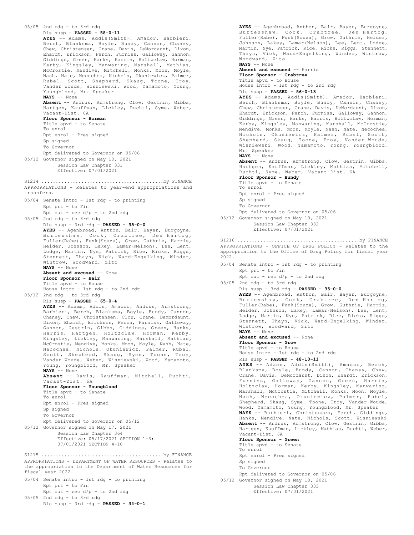```
05/05 2nd rdg - to 3rd rdg
      Rls susp - PASSED - 58-0-11
      AYES -- Adams, Addis(Smith), Amador, Barbieri,
       Berch, Blanksma, Boyle, Bundy, Cannon, Chaney,
Chew, Christensen, Crane, Davis, DeMordaunt, Dixon,
      Ehardt, Erickson, Ferch, Furniss, Galloway, Gannon,
       Giddings, Green, Hanks, Harris, Holtzclaw, Horman,
Kerby, Kingsley, Manwaring, Marshall, Mathias,
      McCrostie, Mendive, Mitchell, Monks, Moon, Moyle,
      Nash, Nate, Necochea, Nichols, Okuniewicz, Palmer,
       Rubel, Scott, Shepherd, Skaug, Toone, Troy,
Vander Woude, Wisniewski, Wood, Yamamoto, Young,
      Youngblood, Mr. Speaker
      NAYS -- None
      Absent -- Andrus, Armstrong, Clow, Gestrin, Gibbs,
      Hartgen, Kauffman, Lickley, Ruchti, Syme, Weber,
      Vacant-Dist. 6A
      Floor Sponsor - Horman
      Title apvd - to Senate
      To enrol
      Rpt enrol - Pres signed
      Sp signed
      To Governor
      Rpt delivered to Governor on 05/06
05/12 Governor signed on May 10, 2021
          Session Law Chapter 331
           Effective: 07/01/2021
APPROPRIATIONS - Relates to year-end appropriations and
transfers.
05/04 Senate intro - 1st rdg - to printing
      Rpt prt - to Fin
      Rpt out - rec d/p - to 2nd rdg
05/05 2nd rdg - to 3rd rdg
      Rls susp - 3rd rdg - PASSED - 35-0-0
      AYES -- Agenbroad, Anthon, Bair, Bayer, Burgoyne,
      Burtenshaw, Cook, Crabtree, Den Hartog,
      Fuller(Rabe), Funk(Souza), Grow, Guthrie, Harris,
      Heider, Johnson, Lakey, Lamar(Nelson), Lee, Lent,
      Lodge, Martin, Nye, Patrick, Rice, Ricks, Riggs,
      Stennett, Thayn, Vick, Ward-Engelking, Winder,
      Wintrow, Woodward, Zito
      NAYS -- None
      Absent and excused -- None
      Floor Sponsor - Bair
      Title apvd - to House
      House intro - 1st rdg - to 2nd rdg
05/12 2nd rdg - to 3rd rdg
      Rls susp - PASSED - 65-0-4
      AYES -- Adams, Addis, Amador, Andrus, Armstrong,
      Barbieri, Berch, Blanksma, Boyle, Bundy, Cannon,
      Chaney, Chew, Christensen, Clow, Crane, DeMordaunt,
      Dixon, Ehardt, Erickson, Ferch, Furniss, Galloway,
      Gannon, Gestrin, Gibbs, Giddings, Green, Hanks,
       Harris, Hartgen, Holtzclaw, Horman, Kerby,
Kingsley, Lickley, Manwaring, Marshall, Mathias,
      McCrostie, Mendive, Monks, Moon, Moyle, Nash, Nate,
      Necochea, Nichols, Okuniewicz, Palmer, Rubel,
      Scott, Shepherd, Skaug, Syme, Toone, Troy,
      Vander Woude, Weber, Wisniewski, Wood, Yamamoto,
      Young, Youngblood, Mr. Speaker
      NAYS -- None
      Absent -- Davis, Kauffman, Mitchell, Ruchti,
      Vacant-Dist. 6A
      Floor Sponsor - Youngblood
      Title apvd - to Senate
      To enrol
      Rpt enrol - Pres signed
      Sp signed
      To Governor
      Rpt delivered to Governor on 05/12
05/12 Governor signed on May 17, 2021
          Session Law Chapter 364
           Effective: 05/17/2021 SECTION 1-3;
           07/01/2021 SECTION 4-10
S1214 ...........................................by FINANCE
APPROPRIATIONS - DEPARTMENT OF WATER RESOURCES - Relates to
the appropriation to the Department of Water Resources for
fiscal year 2022.
05/04 Senate intro - 1st rdg - to printing
      Rpt prt - to Fin
      Rpt out - rec d/p - to 2nd rdg
S1215 ...........................................by FINANCE
```
05/05 2nd rdg - to 3rd rdg

Rls susp - 3rd rdg - **PASSED - 34-0-1**

Burtenshaw, Cook, Crabtree, Den Hartog, Fuller(Rabe), Funk(Souza), Grow, Guthrie, Heider, Johnson, Lakey, Lamar(Nelson), Lee, Lent, Lodge, Martin, Nye, Patrick, Rice, Ricks, Riggs, Stennett, Thayn, Vick, Ward-Engelking, Winder, Wintrow, Woodward, Zito **NAYS** -- None **Absent and excused** -- Harris **Floor Sponsor - Crabtree** Title apvd - to House House intro - 1st rdg - to 2nd rdg Rls susp - **PASSED - 56-0-13 AYES** -- Adams, Addis(Smith), Amador, Barbieri, Berch, Blanksma, Boyle, Bundy, Cannon, Chaney, Chew, Christensen, Crane, Davis, DeMordaunt, Dixon, Ehardt, Erickson, Ferch, Furniss, Galloway, Gannon, Giddings, Green, Hanks, Harris, Holtzclaw, Horman, Kerby, Kingsley, Manwaring, Marshall, McCrostie, Mendive, Monks, Moon, Moyle, Nash, Nate, Necochea, Nichols, Okuniewicz, Palmer, Rubel, Scott, Shepherd, Skaug, Toone, Troy, Vander Woude, Wisniewski, Wood, Yamamoto, Young, Youngblood, Mr. Speaker **NAYS** -- None **Absent** -- Andrus, Armstrong, Clow, Gestrin, Gibbs, Hartgen, Kauffman, Lickley, Mathias, Mitchell, Ruchti, Syme, Weber, Vacant-Dist. 6A **Floor Sponsor - Bundy** Title apvd - to Senate To enrol Rpt enrol - Pres signed Sp signed To Governor Rpt delivered to Governor on 05/06 05/12 Governor signed on May 10, 2021 Session Law Chapter 332 Effective: 07/01/2021 APPROPRIATIONS - OFFICE OF DRUG POLICY - Relates to the appropriation to the Office of Drug Policy for fiscal year 2022. 05/04 Senate intro - 1st rdg - to printing Rpt prt - to Fin Rpt out -  $rec d/p - to 2nd rd$ 05/05 2nd rdg - to 3rd rdg Rls susp - 3rd rdg - **PASSED - 35-0-0 AYES** -- Agenbroad, Anthon, Bair, Bayer, Burgoyne, Burtenshaw, Cook, Crabtree, Den Hartog, Fuller(Rabe), Funk(Souza), Grow, Guthrie, Harris, Heider, Johnson, Lakey, Lamar(Nelson), Lee, Lent, Lodge, Martin, Nye, Patrick, Rice, Ricks, Riggs, Stennett, Thayn, Vick, Ward-Engelking, Winder, Wintrow, Woodward, Zito **NAYS** -- None **Absent and excused** -- None **Floor Sponsor - Grow** Title apvd - to House House intro - 1st rdg - to 2nd rdg Rls susp - **PASSED - 48-10-11 AYES** -- Adams, Addis(Smith), Amador, Berch, Blanksma, Boyle, Bundy, Cannon, Chaney, Chew, Crane, Davis, DeMordaunt, Dixon, Ehardt, Erickson, Furniss, Galloway, Gannon, Green, Harris, Holtzclaw, Horman, Kerby, Kingsley, Manwaring, Marshall, McCrostie, Mitchell, Monks, Moon, Moyle, Nash, Necochea, Okuniewicz, Palmer, Rubel,<br>Shepherd, Skaug, Syme, Toone, Troy, Vander Woude,<br>Mood, Yamamoto, Young, Youngblood, Mr. Speaker<br>**NAYS** -- Barbieri, Christensen, Ferch, Giddings, Hanks, Mendive, Nate, Nichols, Scott, Wisniewski **Absent** -- Andrus, Armstrong, Clow, Gestrin, Gibbs, Hartgen, Kauffman, Lickley, Mathias, Ruchti, Weber, Vacant-Dist. 6A **Floor Sponsor - Green** Title apvd - to Senate To enrol Rpt enrol - Pres signed Sp signed To Governor Rpt delivered to Governor on 05/06 05/12 Governor signed on May 10, 2021 Session Law Chapter 333 Effective: 07/01/2021 S1216 ...........................................by FINANCE

**AYES** -- Agenbroad, Anthon, Bair, Bayer, Burgoyne,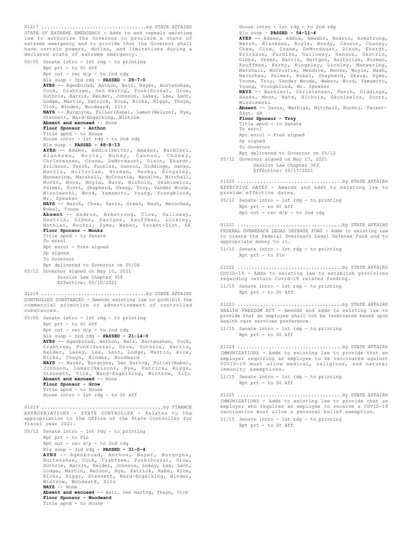STATE OF EXTREME EMERGENCY - Adds to and repeals existing law to authorize the Governor to proclaim a state of extreme emergency and to provide that the Governor shall have certain powers, duties, and limitations during a declared state of extreme emergency. 05/05 Senate intro - 1st rdg - to printing Rpt prt - to St Aff Rpt out - rec d/p - to 2nd rdg Rls susp - 3rd rdg - **PASSED - 28-7-0 AYES** -- Agenbroad, Anthon, Bair, Bayer, Burtenshaw, Cook, Crabtree, Den Hartog, Funk(Souza), Grow, Guthrie, Harris, Heider, Johnson, Lakey, Lee, Lent, Lodge, Martin, Patrick, Rice, Ricks, Riggs, Thayn, Vick, Winder, Woodward, Zito **NAYS** -- Burgoyne, Fuller(Rabe), Lamar(Nelson), Nye, Stennett, Ward-Engelking, Wintrow **Absent and excused** -- None **Floor Sponsor - Anthon** Title apvd - to House House intro - 1st rdg - to 2nd rdg Rls susp - **PASSED - 48-8-13 AYES** -- Adams, Addis(Smith), Amador, Barbieri, Blanksma, Boyle, Bundy, Cannon, Chaney, Christensen, Crane, DeMordaunt, Dixon, Ehardt, Erickson, Ferch, Furniss, Gannon, Giddings, Hanks, Harris, Holtzclaw, Horman, Kerby, Kingsley, Manwaring, Marshall, McCrostie, Mendive, Mitchell, Monks, Moon, Moyle, Nate, Nichols, Okuniewicz, Palmer, Scott, Shepherd, Skaug, Troy, Vander Woude, Wisniewski, Wood, Yamamoto, Young, Youngblood, Mr. Speaker **NAYS** -- Berch, Chew, Davis, Green, Nash, Necochea, Rubel, Toone **Absent** -- Andrus, Armstrong, Clow, Galloway, Gestrin, Gibbs, Hartgen, Kauffman, Lickley, Mathias, Ruchti, Syme, Weber, Vacant-Dist. 6A **Floor Sponsor - Monks** Title apvd - to Senate To enrol Rpt enrol - Pres signed Sp signed To Governor Rpt delivered to Governor on 05/06 05/12 Governor signed on May 10, 2021 Session Law Chapter 359 Effective: 05/10/2021 S1217 .....................................by STATE AFFAIRS CONTROLLED SUBSTANCES - Amends existing law to prohibit the commercial promotion or advertisement of controlled substances. 05/05 Senate intro - 1st rdg - to printing Rpt prt - to St Aff Rpt out - rec d/p - to 2nd rdg Rls susp - 3rd rdg - **PASSED - 21-14-0 AYES** -- Agenbroad, Anthon, Bair, Burtenshaw, Cook, Crabtree, Funk(Souza), Grow, Guthrie, Harris, Heider, Lakey, Lee, Lent, Lodge, Martin, Rice, Ricks, Thayn, Winder, Woodward **NAYS** -- Bayer, Burgoyne, Den Hartog, Fuller(Rabe), Johnson, Lamar(Nelson), Nye, Patrick, Riggs, Stennett, Vick, Ward-Engelking, Wintrow, Zito **Absent and excused** -- None **Floor Sponsor - Grow** Title apvd - to House House intro - 1st rdg - to St Aff S1218 .....................................by STATE AFFAIRS APPROPRIATIONS - STATE CONTROLLER - Relates to the appropriation to the Office of the State Controller for fiscal year 2021. 05/12 Senate intro - 1st rdg - to printing Rpt prt - to Fin Rpt out - rec d/p - to 2nd rdg Rls susp - 3rd rdg - **PASSED - 31-0-4 AYES** -- Agenbroad, Anthon, Bayer, Burgoyne, Burtenshaw, Cook, Crabtree, Funk(Souza), Grow, Guthrie, Harris, Heider, Johnson, Lakey, Lee, Lent, Lodge, Martin, Nelson, Nye, Patrick, Rabe, Rice, Ricks, Riggs, Stennett, Ward-Engelking, Winder, Wintrow, Woodward, Zito **NAYS** -- None **Absent and excused** -- Bair, Den Hartog, Thayn, Vick **Floor Sponsor - Woodward** Title apvd - to House S1219 ...........................................by FINANCE

House intro - 1st rdg - to 2nd rdg Rls susp - **PASSED - 54-11-4 AYES** -- Adams, Addis, Amador, Andrus, Armstrong, Berch, Blanksma, Boyle, Bundy, Cannon, Chaney, Chew, Clow, Crane, DeMordaunt, Dixon, Ehardt, Erickson, Furniss, Galloway, Gannon, Gestrin, Gibbs, Green, Harris, Hartgen, Holtzclaw, Horman, Kauffman, Kerby, Kingsley, Lickley, Manwaring, Marshall, McCrostie, Mendive, Monks, Moyle, Nash, Necochea, Palmer, Rubel, Shepherd, Skaug, Syme, Toone, Troy, Vander Woude, Weber, Wood, Yamamoto, Young, Youngblood, Mr. Speaker **NAYS** -- Barbieri, Christensen, Ferch, Giddings, Hanks, Moon, Nate, Nichols, Okuniewicz, Scott, Wisniewski **Absent** -- Davis, Mathias, Mitchell, Ruchti, Vacant-Dist. 6A **Floor Sponsor - Troy** Title apvd - to Senate To enrol Rpt enrol - Pres signed Sp signed To Governor Rpt delivered to Governor on 05/12 05/12 Governor signed on May 17, 2021 Session Law Chapter 363 Effective: 05/17/2021 EFFECTIVE DATES - Amends and adds to existing law to provide effective dates. 05/12 Senate intro - 1st rdg - to printing Rpt prt - to St Aff  $Rpt$  out - rec  $d/p$  - to 2nd rdg S1220 .....................................by STATE AFFAIRS FEDERAL OVERREACH LEGAL DEFENSE FUND - Adds to existing law to create the Federal Overreach Legal Defense Fund and to appropriate money to it. 11/15 Senate intro - 1st rdg - to printing Rpt prt - to Fin S1221 .....................................by STATE AFFAIRS COVID-19 - Adds to existing law to establish provisions regarding certain Covid-19 related funding. 11/15 Senate intro - 1st rdg - to printing Rpt prt - to St Aff S1222 .....................................by STATE AFFAIRS HEALTH FREEDOM ACT - Amends and adds to existing law to provide that an employee shall not be terminated based upon health care services preference. 11/15 Senate intro - 1st rdg - to printing Rpt prt - to St Aff S1223 .....................................by STATE AFFAIRS IMMUNIZATIONS - Adds to existing law to provide that an employer requiring an employee to be vaccinated against COVID-19 must allow medical, religious, and natural immunity exemptions. 11/15 Senate intro - 1st rdg - to printing Rpt prt - to St Aff S1224 .....................................by STATE AFFAIRS IMMUNIZATIONS - Adds to existing law to provide that an employer who requires an employee to receive a COVID-19 vaccination must allow a personal belief exemption. 11/15 Senate intro - 1st rdg - to printing Rpt prt - to St Aff S1225 .....................................by STATE AFFAIRS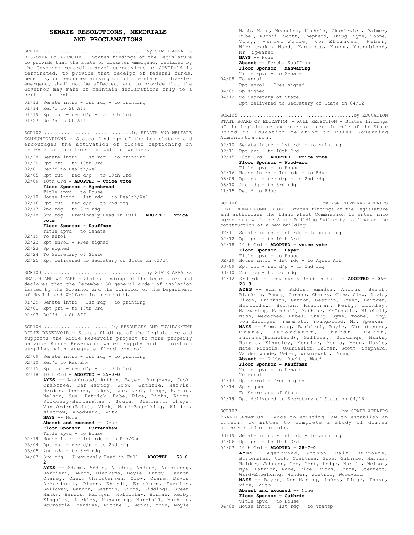## **SENATE RESOLUTIONS, MEMORIALS AND PROCLAMATIONS**

DISASTER EMERGENCIES - States findings of the Legislature to provide that the state of disaster emergency declared by the Governor regarding novel coronavirus or COVID-19 is terminated, to provide that receipt of federal funds, benefits, or resources arising out of the state of disaster emergency shall not be affected, and to provide that the Governor may make or maintain declarations only to a certain extent. SCR101 ....................................by STATE AFFAIRS

01/13 Senate intro - 1st rdg - to printing 01/14 Ref'd to St Aff  $01/19$  Rpt out - rec  $d/p$  - to 10th Ord 01/27 Ref'd to St Aff

COMMUNICATIONS - States findings of the Legislature and encourages the activation of closed captioning on television monitors in public venues. SCR102 ...............................by HEALTH AND WELFARE

- 01/28 Senate intro 1st rdg to printing
- 01/29 Rpt prt to 10th Ord
- 02/01 Ref'd to Health/Wel
- $02/05$  Rpt out rec  $d/p$  to 10th Ord
- 02/09 10th Ord **ADOPTED voice vote**
- **Floor Sponsor Agenbroad** Title apvd - to House
- 02/10 House intro 1st rdg to Health/Wel
- $02/16$  Rpt out rec  $d/p$  to 2nd rdg
- 02/17 2nd rdg to 3rd rdg
- 3rd rdg Previously Read in Full **ADOPTED voice** 02/18 **vote**
	- **Floor Sponsor Kauffman**
	- Title apvd to Senate
- 02/19 To enrol
- 02/22 Rpt enrol Pres signed
- 02/23 Sp signed
- 02/24 To Secretary of State
- 02/25 Rpt delivered to Secretary of State on 02/24

HEALTH AND WELFARE - States findings of the Legislature and declares that the December 30 general order of isolation issued by the Governor and the director of the Department of Health and Welfare is terminated. SCR103 ....................................by STATE AFFAIRS

01/29 Senate intro - 1st rdg - to printing 02/01 Rpt prt - to 10th Ord 02/03 Ref'd to St Aff

RIRIE RESERVOIR - States findings of the Legislature and supports the Ririe Reservoir project to more properly balance Ririe Reservoir water supply and irrigation supplies with adequate flood control. SCR104 .............................by RESOURCES AND ENVIRONMENT

- 02/09 Senate intro 1st rdg to printing
- 02/10 Ref'd to Res/Env
- 02/15 Rpt out rec d/p to 10th Ord
- 02/18 10th Ord **ADOPTED 35-0-0**

**AYES** -- Agenbroad, Anthon, Bayer, Burgoyne, Cook, Crabtree, Den Hartog, Grow, Guthrie, Harris, Heider, Johnson, Lakey, Lee, Lent, Lodge, Martin, Nelson, Nye, Patrick, Rabe, Rice, Ricks, Riggs, Siddoway(Burtenshaw), Souza, Stennett, Thayn, Van Orden(Bair), Vick, Ward-Engelking, Winder, Wintrow, Woodward, Zito **NAYS** -- None

**Absent and excused** -- None **Floor Sponsor - Burtenshaw**

Title apvd - to House

- 02/19 House intro 1st rdg to Res/Con
- $03/04$  Rpt out rec  $d/p$  to 2nd rdg
- 03/05 2nd rdg to 3rd rdg
- 04/07 3rd rdg Previously Read in Full **ADOPTED 68-0-**
- **2 AYES** -- Adams, Addis, Amador, Andrus, Armstrong,

Barbieri, Berch, Blanksma, Boyle, Bundy, Cannon, Chaney, Chew, Christensen, Clow, Crane, Davis, DeMordaunt, Dixon, Ehardt, Erickson, Furniss, Galloway, Gannon, Gestrin, Gibbs, Giddings, Green, Hanks, Harris, Hartgen, Holtzclaw, Horman, Kerby, Kingsley, Lickley, Manwaring, Marshall, Mathias, McCrostie, Mendive, Mitchell, Monks, Moon, Moyle,

Nash, Nate, Necochea, Nichols, Okuniewicz, Palmer, Rubel, Ruchti, Scott, Shepherd, Skaug, Syme, Toone, Troy, Vander Woude, von Ehlinger, Weber, Wisniewski, Wood, Yamamoto, Young, Youngblood, Mr. Speaker

**NAYS** -- None **Absent** -- Ferch, Kauffman

- **Floor Sponsor Manwaring** Title apvd - to Senate
- 04/08 To enrol
	- Rpt enrol Pres signed
- 04/09 Sp signed
- 04/12 To Secretary of State
	- Rpt delivered to Secretary of State on 04/12

STATE BOARD OF EDUCATION - RULE REJECTION - States findings of the Legislature and rejects a certain rule of the State Board of Education relating to Rules Governing Administration. SCR105 ........................................by EDUCATION

- 02/10 Senate intro 1st rdg to printing
- 02/11 Rpt prt to 10th Ord
- 02/15 10th Ord **ADOPTED voice vote Floor Sponsor - Woodward**
- Title apvd to House
- 02/16 House intro 1st rdg to Educ

03/09 Rpt out - rec d/p - to 2nd rdg 03/10 2nd rdg - to 3rd rdg

- 
- 11/15 Ret'd to Educ

IDAHO WHEAT COMMISSION - States findings of the Legislature and authorizes the Idaho Wheat Commission to enter into agreements with the State Building Authority to finance the construction of a new building. SCR106 .................................by AGRICULTURAL AFFAIRS

- 02/11 Senate intro 1st rdg to printing
- 02/12 Rpt prt to 10th Ord
- 02/18 10th Ord **ADOPTED voice vote Floor Sponsor - Bayer**
- Title apvd to House 02/19 House intro 1st rdg to Agric Aff
- 
- 03/09 Rpt out rec d/p to 2nd rdg
- 03/10 2nd rdg to 3rd rdg
- 04/12 3rd rdg Previously Read in Full **ADOPTED 39- 28-3**

**AYES** -- Adams, Addis, Amador, Andrus, Berch, Blanksma, Bundy, Cannon, Chaney, Chew, Clow, Davis, Dixon, Erickson, Gannon, Gestrin, Green, Hartgen, Holtzclaw, Horman, Kauffman, Kerby, Lickley, Manwaring, Marshall, Mathias, McCrostie, Mitchell, Nash, Necochea, Rubel, Skaug, Syme, Toone, Troy, von Ehlinger, Yamamoto, Youngblood, Mr. Speaker **NAYS** -- Armstrong, Barbieri, Boyle, Christensen, Crane, DeMordaunt, Ehardt, Ferch, Furniss(Blanchard), Galloway, Giddings, Hanks, Harris, Kingsley, Mendive, Monks, Moon, Moyle, Nate, Nichols, Okuniewicz, Palmer, Scott, Shepherd, Vander Woude, Weber, Wisniewski, Young

- **Absent** -- Gibbs, Ruchti, Wood
- **Floor Sponsor Kauffman** Title apvd - to Senate
- To enrol
- 04/13 Rpt enrol Pres signed
- 04/14 Sp signed
- To Secretary of State
- 04/19 Rpt delivered to Secretary of State on 04/16

TRANSPORTATION - Adds to existing law to establish an interim committee to complete a study of driver authorization cards. SCR107 ....................................by STATE AFFAIRS

- 03/19 Senate intro 1st rdg to printing
- 04/06 Rpt prt to 10th Ord
- 04/07 10th Ord **ADOPTED 28-7-0**

**AYES** -- Agenbroad, Anthon, Bair, Burgoyne, Burtenshaw, Cook, Crabtree, Grow, Guthrie, Harris, Heider, Johnson, Lee, Lent, Lodge, Martin, Nelson, Nye, Patrick, Rabe, Rice, Ricks, Souza, Stennett, Ward-Engelking, Winder, Wintrow, Woodward **NAYS** -- Bayer, Den Hartog, Lakey, Riggs, Thayn, Vick, Zito **Absent and excused** -- None **Floor Sponsor - Guthrie** Title apvd - to House

04/08 House intro - 1st rdg - to Transp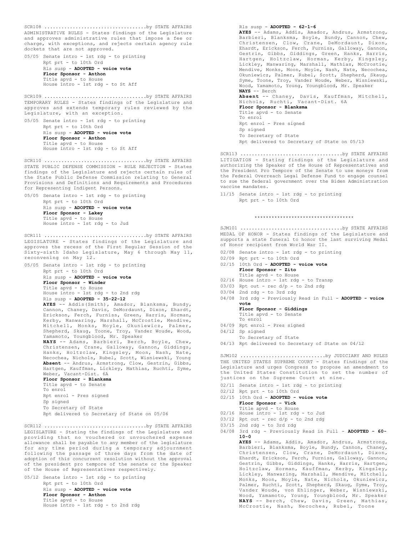ADMINISTRATIVE RULES - States findings of the Legislature and approves administrative rules that impose a fee or charge, with exceptions, and rejects certain agency rule dockets that are not approved. SCR108 ....................................by STATE AFFAIRS

05/05 Senate intro - 1st rdg - to printing Rpt prt - to 10th Ord Rls susp - **ADOPTED - voice vote Floor Sponsor - Anthon** Title apvd - to House House intro - 1st rdg - to St Aff

TEMPORARY RULES - States findings of the Legislature and approves and extends temporary rules reviewed by the Legislature, with an exception. SCR109 ....................................by STATE AFFAIRS

05/05 Senate intro - 1st rdg - to printing Rpt prt - to 10th Ord Rls susp - **ADOPTED - voice vote Floor Sponsor - Anthon** Title apvd - to House House intro - 1st rdg - to St Aff

STATE PUBLIC DEFENSE COMMISSION - RULE REJECTION - States findings of the Legislature and rejects certain rules of the State Public Defense Commission relating to General Provisions and Definitions and Requirements and Procedures for Representing Indigent Persons. SCR110 ....................................by STATE AFFAIRS

05/05 Senate intro - 1st rdg - to printing

Rpt prt - to 10th Ord Rls susp - **ADOPTED - voice vote Floor Sponsor - Lakey** Title apvd - to House House intro - 1st rdg - to Jud

LEGISLATURE - States findings of the Legislature and approves the recess of the First Regular Session of the Sixty-sixth Idaho Legislature, May 6 through May 11, reconvening on May 12. SCR111 ....................................by STATE AFFAIRS

05/05 Senate intro - 1st rdg - to printing Rpt prt - to 10th Ord Rls susp - **ADOPTED - voice vote Floor Sponsor - Winder** Title apvd - to House House intro - 1st rdg - to 2nd rdg Rls susp - **ADOPTED - 35-22-12 AYES** -- Addis(Smith), Amador, Blanksma, Bundy, Cannon, Chaney, Davis, DeMordaunt, Dixon, Ehardt, Erickson, Ferch, Furniss, Green, Harris, Horman, Kerby, Manwaring, Marshall, McCrostie, Mendive,

> Shepherd, Skaug, Toone, Troy, Vander Woude, Wood, Yamamoto, Youngblood, Mr. Speaker **NAYS** -- Adams, Barbieri, Berch, Boyle, Chew, Christensen, Crane, Galloway, Gannon, Giddings, Hanks, Holtzclaw, Kingsley, Moon, Nash, Nate, Necochea, Nichols, Rubel, Scott, Wisniewski, Young **Absent** -- Andrus, Armstrong, Clow, Gestrin, Gibbs, Hartgen, Kauffman, Lickley, Mathias, Ruchti, Syme, Weber, Vacant-Dist. 6A **Floor Sponsor - Blanksma**

> Mitchell, Monks, Moyle, Okuniewicz, Palmer,

Title apvd - to Senate To enrol Rpt enrol - Pres signed Sp signed To Secretary of State Rpt delivered to Secretary of State on 05/06

LEGISLATURE - Stating the findings of the Legislature and providing that no vouchered or unvouchered expense allowance shall be payable to any member of the legislature for any time period during a temporary adjournment following the passage of three days from the date of adoption of this concurrent resolution without the approval of the president pro tempore of the senate or the Speaker of the House of Representatives respectively. SCR112 ....................................by STATE AFFAIRS

05/12 Senate intro - 1st rdg - to printing Rpt prt - to 10th Ord Rls susp - **ADOPTED - voice vote Floor Sponsor - Anthon** Title apvd - to House House intro - 1st rdg - to 2nd rdg

Rls susp - **ADOPTED - 62-1-6 AYES** -- Adams, Addis, Amador, Andrus, Armstrong, Barbieri, Blanksma, Boyle, Bundy, Cannon, Chew,<br>Christensen. Clow. Crane. DeMordaunt, Dixon, Christensen, Clow, Crane, DeMordaunt, Ehardt, Erickson, Ferch, Furniss, Galloway, Gannon, Gestrin, Gibbs, Giddings, Green, Hanks, Harris, Hartgen, Holtzclaw, Horman, Kerby, Kingsley, Lickley, Manwaring, Marshall, Mathias, McCrostie, Mendive, Monks, Moon, Moyle, Nash, Nate, Necochea, Okuniewicz, Palmer, Rubel, Scott, Shepherd, Skaug, Syme, Toone, Troy, Vander Woude, Weber, Wisniewski, Wood, Yamamoto, Young, Youngblood, Mr. Speaker **NAYS** -- Berch **Absent** -- Chaney, Davis, Kauffman, Mitchell, Nichols, Ruchti, Vacant-Dist. 6A **Floor Sponsor - Blanksma** Title apvd - to Senate To enrol Rpt enrol - Pres signed Sp signed To Secretary of State Rpt delivered to Secretary of State on 05/13 SCR113 ....................................by STATE AFFAIRS

LITIGATION - Stating findings of the Legislature and authorizing the Speaker of the House of Representatives and the President Pro Tempore of the Senate to use moneys from the Federal Overreach Legal Defense Fund to engage counsel to sue the federal government over the Biden Administration vaccine mandates.

11/15 Senate intro - 1st rdg - to printing Rpt prt - to 10th Ord

### \*\*\*\*\*\*\*\*\*\*\*\*\*\*\*\*\*\*\*\*\*\*\*\*\*\*\*\*\*\*\*\*\*\*\*

MEDAL OF HONOR - States findings of the Legislature and supports a state funeral to honor the last surviving Medal of Honor recipient from World War II. SJM101 ....................................by STATE AFFAIRS

- 02/08 Senate intro 1st rdg to printing
- 02/09 Rpt prt to 10th Ord
- 02/15 10th Ord **ADOPTED voice vote**
- **Floor Sponsor Zito**
- Title apvd to House 02/16 House intro 1st rdg to Transp
- 03/03 Rpt out rec d/p to 2nd rdg
- 03/04 2nd rdg to 3rd rdg
- 04/08 3rd rdg Previously Read in Full ADOPTED voice **vote**
	- **Floor Sponsor Giddings**
	- Title apvd to Senate To enrol
- 04/09 Rpt enrol Pres signed
- 04/12 Sp signed
- To Secretary of State
- 04/13 Rpt delivered to Secretary of State on 04/12

THE UNITED STATES SUPREME COURT - States findings of the Legislature and urges Congress to propose an amendment to the United States Constitution to set the number of justices on the Supreme Court at nine. SJM102 ...................................by JUDICIARY AND RULES

- 02/11 Senate intro 1st rdg to printing
- 02/12 Rpt prt to 10th Ord
- 02/15 10th Ord **ADOPTED voice vote Floor Sponsor - Vick**
- Title apvd to House 02/16 House intro - 1st rdg - to Jud
- $03/12$  Rpt out rec  $d/p$  to 2nd rdg
- 
- 03/15 2nd rdg to 3rd rdg
- 04/08 3rd rdg Previously Read in Full **ADOPTED 60- 10-0**

**AYES** -- Adams, Addis, Amador, Andrus, Armstrong, Barbieri, Blanksma, Boyle, Bundy, Cannon, Chaney, Christensen, Clow, Crane, DeMordaunt, Dixon, Ehardt, Erickson, Ferch, Furniss, Galloway, Gannon, Gestrin, Gibbs, Giddings, Hanks, Harris, Hartgen, Holtzclaw, Horman, Kauffman, Kerby, Kingsley, Lickley, Manwaring, Marshall, Mendive, Mitchell, Monks, Moon, Moyle, Nate, Nichols, Okuniewicz, Palmer, Ruchti, Scott, Shepherd, Skaug, Syme, Troy, Vander Woude, von Ehlinger, Weber, Wisniewski, Wood, Yamamoto, Young, Youngblood, Mr. Speaker **NAYS** -- Berch, Chew, Davis, Green, Mathias, McCrostie, Nash, Necochea, Rubel, Toone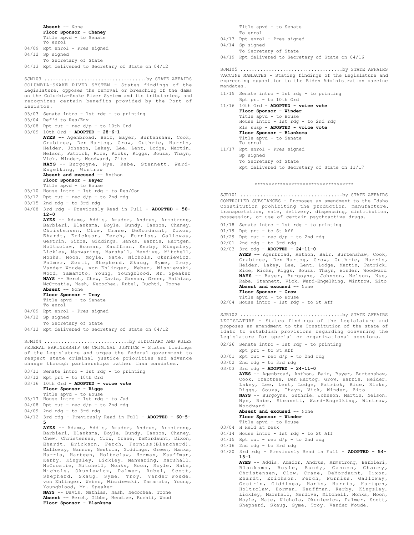**Absent** -- None **Floor Sponsor - Chaney** Title apvd - to Senate To enrol 04/09 Rpt enrol - Pres signed 04/12 Sp signed To Secretary of State 04/13 Rpt delivered to Secretary of State on 04/12 COLUMBIA-SNAKE RIVER SYSTEM - States findings of the Legislature, opposes the removal or breaching of the dams on the Columbia-Snake River System and its tributaries, and recognizes certain benefits provided by the Port of Lewiston. 03/03 Senate intro - 1st rdg - to printing 03/04 Ref'd to Res/Env 03/08 Rpt out - rec d/p - to 10th Ord 03/09 10th Ord - **ADOPTED - 28-6-1 AYES** -- Agenbroad, Bair, Bayer, Burtenshaw, Cook, Crabtree, Den Hartog, Grow, Guthrie, Harris, Heider, Johnson, Lakey, Lee, Lent, Lodge, Martin, Nelson, Patrick, Rice, Ricks, Riggs, Souza, Thayn, Vick, Winder, Woodward, Zito **NAYS** -- Burgoyne, Nye, Rabe, Stennett, Ward-Engelking, Wintrow **Absent and excused** -- Anthon **Floor Sponsor - Bayer** Title apvd - to House 03/10 House intro - 1st rdg - to Res/Con 03/12 Rpt out - rec d/p - to 2nd rdg 03/15 2nd rdg - to 3rd rdg 04/08 3rd rdg - Previously Read in Full - **ADOPTED - 58- 12-0 AYES** -- Adams, Addis, Amador, Andrus, Armstrong, Barbieri, Blanksma, Boyle, Bundy, Cannon, Chaney, Christensen, Clow, Crane, DeMordaunt, Dixon, Ehardt, Erickson, Ferch, Furniss, Galloway, Gestrin, Gibbs, Giddings, Hanks, Harris, Hartgen, Holtzclaw, Horman, Kauffman, Kerby, Kingsley, Lickley, Manwaring, Marshall, Mendive, Mitchell, Monks, Moon, Moyle, Nate, Nichols, Okuniewicz, Palmer, Scott, Shepherd, Skaug, Syme, Troy, Vander Woude, von Ehlinger, Weber, Wisniewski, Wood, Yamamoto, Young, Youngblood, Mr. Speaker **NAYS** -- Berch, Chew, Davis, Gannon, Green, Mathias, McCrostie, Nash, Necochea, Rubel, Ruchti, Toone **Absent** -- None **Floor Sponsor - Troy** Title apvd - to Senate To enrol 04/09 Rpt enrol - Pres signed 04/12 Sp signed To Secretary of State 04/13 Rpt delivered to Secretary of State on 04/12 SJM103 ....................................by STATE AFFAIRS FEDERAL PARTNERSHIP ON CRIMINAL JUSTICE - States findings of the Legislature and urges the federal government to respect state criminal justice priorities and advance change through partnerships rather than mandates. 03/11 Senate intro - 1st rdg - to printing 03/12 Rpt prt - to 10th Ord 03/16 10th Ord - **ADOPTED - voice vote Floor Sponsor - Riggs** Title apvd - to House 03/17 House intro - 1st rdg - to Jud  $04/08$  Rpt out - rec  $d/p$  - to 2nd rdg 04/09 2nd rdg - to 3rd rdg 04/12 3rd rdg - Previously Read in Full - **ADOPTED - 60-5- 5 AYES** -- Adams, Addis, Amador, Andrus, Armstrong, Barbieri, Blanksma, Boyle, Bundy, Cannon, Chaney, Chew, Christensen, Clow, Crane, DeMordaunt, Dixon, Ehardt, Erickson, Ferch, Furniss(Blanchard), Galloway, Gannon, Gestrin, Giddings, Green, Hanks, Harris, Hartgen, Holtzclaw, Horman, Kauffman, Kerby, Kingsley, Lickley, Manwaring, Marshall, McCrostie, Mitchell, Monks, Moon, Moyle, Nate, Nichols, Okuniewicz, Palmer, Rubel, Scott, Shepherd, Skaug, Syme, Troy, Vander Woude, von Ehlinger, Weber, Wisniewski, Yamamoto, Young, Youngblood, Mr. Speaker **NAYS** -- Davis, Mathias, Nash, Necochea, Toone **Absent** -- Berch, Gibbs, Mendive, Ruchti, Wood **Floor Sponsor - Blanksma** SJM104 ..............................by JUDICIARY AND RULES

Title apvd - to Senate To enrol

04/13 Rpt enrol - Pres signed

- 04/14 Sp signed
- To Secretary of State
- 04/19 Rpt delivered to Secretary of State on 04/16

VACCINE MANDATES - Stating findings of the Legislature and expressing opposition to the Biden Administration vaccine mandates. SJM105 ....................................by STATE AFFAIRS

- 11/15 Senate intro 1st rdg to printing Rpt prt - to 10th Ord
- 10th Ord **ADOPTED voice vote** 11/16 **Floor Sponsor - Winder** Title apvd - to House House intro - 1st rdg - to 2nd rdg Rls susp - **ADOPTED - voice vote Floor Sponsor - Blanksma** Title apvd - to Senate To enrol
- 11/17 Rpt enrol Pres signed Sp signed To Secretary of State Rpt delivered to Secretary of State on 11/17

### \*\*\*\*\*\*\*\*\*\*\*\*\*\*\*\*\*\*\*\*\*\*\*\*\*\*\*\*\*\*\*\*\*\*\*

CONTROLLED SUBSTANCES - Proposes an amendment to the Idaho Constitution prohibiting the production, manufacture, transportation, sale, delivery, dispensing, distribution, possession, or use of certain psychoactive drugs. SJR101 ....................................by STATE AFFAIRS

- 01/18 Senate intro 1st rdg to printing
- 01/19 Rpt prt to St Aff
- $01/29$  Rpt out rec  $d/p$  to 2nd rdg
- 02/01 2nd rdg to 3rd rdg

02/03 3rd rdg - **ADOPTED - 24-11-0 AYES** -- Agenbroad, Anthon, Bair, Burtenshaw, Cook, Crabtree, Den Hartog, Grow, Guthrie, Harris, Heider, Lakey, Lee, Lent, Lodge, Martin, Patrick, Rice, Ricks, Riggs, Souza, Thayn, Winder, Woodward **NAYS** -- Bayer, Burgoyne, Johnson, Nelson, Nye, Rabe, Stennett, Vick, Ward-Engelking, Wintrow, Zito **Absent and excused** -- None **Floor Sponsor - Grow** Title apvd - to House

02/04 House intro - 1st rdg - to St Aff

LEGISLATURE - States findings of the Legislature and proposes an amendment to the Constitution of the state of Idaho to establish provisions regarding convening the Legislature for special or organizational sessions. SJR102 ....................................by STATE AFFAIRS

- 02/26 Senate intro 1st rdg to printing
- Rpt prt to St Aff
- $03/01$  Rpt out rec  $d/p$  to 2nd rdg
- $03/02$  2nd rdg to 3rd rdg

03/03 3rd rdg - **ADOPTED - 24-11-0 AYES** -- Agenbroad, Anthon, Bair, Bayer, Burtenshaw, Cook, Crabtree, Den Hartog, Grow, Harris, Heider, Lakey, Lee, Lent, Lodge, Patrick, Rice, Ricks, Riggs, Souza, Thayn, Vick, Winder, Zito **NAYS** -- Burgoyne, Guthrie, Johnson, Martin, Nelson, Nye, Rabe, Stennett, Ward-Engelking, Wintrow, Woodward **Absent and excused** -- None **Floor Sponsor - Winder** Title apvd - to House 03/04 H Held at Desk 04/14 House intro - 1st rdg - to St Aff 04/15 Rpt out - rec d/p - to 2nd rdg

- 04/16 2nd rdg to 3rd rdg
- 04/20 3rd rdg Previously Read in Full **ADOPTED 54- 15-1**

**AYES** -- Addis, Amador, Andrus, Armstrong, Barbieri, Blanksma, Boyle, Bundy, Cannon, Chaney, Christensen, Clow, Crane, DeMordaunt, Dixon, Ehardt, Erickson, Ferch, Furniss, Galloway, Gestrin, Giddings, Hanks, Harris, Hartgen, Holtzclaw, Horman, Kauffman, Kerby, Kingsley, Lickley, Marshall, Mendive, Mitchell, Monks, Moon, Moyle, Nate, Nichols, Okuniewicz, Palmer, Scott, Shepherd, Skaug, Syme, Troy, Vander Woude,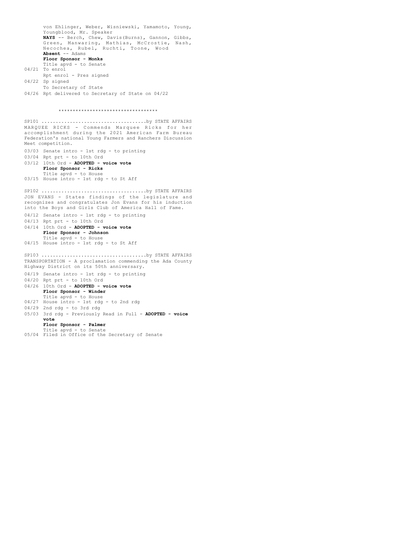von Ehlinger, Weber, Wisniewski, Yamamoto, Young, Youngblood, Mr. Speaker **NAYS** -- Berch, Chew, Davis(Burns), Gannon, Gibbs, Green, Manwaring, Mathias, McCrostie, Nash, Necochea, Rubel, Ruchti, Toone, Wood **Absent** -- Adams **Floor Sponsor - Monks** Title apvd - to Senate 04/21 To enrol Rpt enrol - Pres signed 04/22 Sp signed To Secretary of State 04/26 Rpt delivered to Secretary of State on 04/22 \*\*\*\*\*\*\*\*\*\*\*\*\*\*\*\*\*\*\*\*\*\*\*\*\*\*\*\*\*\*\*\*\*\*\* MARQUEE RICKS - Commends Marquee Ricks for her accomplishment during the 2021 American Farm Bureau Federation's national Young Farmers and Ranchers Discussion Meet competition. 03/03 Senate intro - 1st rdg - to printing 03/04 Rpt prt - to 10th Ord 03/12 10th Ord - **ADOPTED - voice vote Floor Sponsor - Ricks** Title apvd - to House 03/15 House intro - 1st rdg - to St Aff SP101 .....................................by STATE AFFAIRS JON EVANS - States findings of the legislature and recognizes and congratulates Jon Evans for his induction into the Boys and Girls Club of America Hall of Fame. 04/12 Senate intro - 1st rdg - to printing 04/13 Rpt prt - to 10th Ord 04/14 10th Ord - **ADOPTED - voice vote Floor Sponsor - Johnson** Title apvd - to House 04/15 House intro - 1st rdg - to St Aff SP102 .....................................by STATE AFFAIRS TRANSPORTATION - A proclamation commending the Ada County Highway District on its 50th anniversary. 04/19 Senate intro - 1st rdg - to printing 04/20 Rpt prt - to 10th Ord 04/26 10th Ord - **ADOPTED - voice vote Floor Sponsor - Winder** Title apvd - to House 04/27 House intro - 1st rdg - to 2nd rdg 04/29 2nd rdg - to 3rd rdg 05/03 3rd rdg - Previously Read in Full - ADOPTED - voice **vote Floor Sponsor - Palmer** Title apvd - to Senate 05/04 Filed in Office of the Secretary of Senate SP103 .....................................by STATE AFFAIRS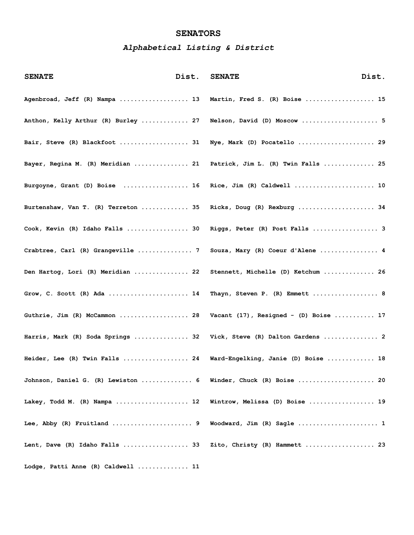# **SENATORS**

# *Alphabetical Listing & District*

| <b>SENATE</b>                       | Dist. | <b>SENATE</b>                              | Dist. |
|-------------------------------------|-------|--------------------------------------------|-------|
| Agenbroad, Jeff (R) Nampa  13       |       | Martin, Fred S. (R) Boise  15              |       |
| Anthon, Kelly Arthur (R) Burley  27 |       | Nelson, David (D) Moscow  5                |       |
| Bair, Steve (R) Blackfoot  31       |       | Nye, Mark (D) Pocatello  29                |       |
| Bayer, Regina M. (R) Meridian  21   |       | Patrick, Jim L. (R) Twin Falls  25         |       |
| Burgoyne, Grant (D) Boise  16       |       | Rice, Jim (R) Caldwell  10                 |       |
| Burtenshaw, Van T. (R) Terreton  35 |       | Ricks, Doug (R) Rexburg  34                |       |
| Cook, Kevin (R) Idaho Falls  30     |       | Riggs, Peter (R) Post Falls  3             |       |
| Crabtree, Carl (R) Grangeville  7   |       | Souza, Mary (R) Coeur d'Alene  4           |       |
| Den Hartog, Lori (R) Meridian  22   |       | Stennett, Michelle (D) Ketchum  26         |       |
| Grow, C. Scott (R) Ada  14          |       | Thayn, Steven P. (R) Emmett  8             |       |
| Guthrie, Jim (R) McCammon  28       |       | Vacant $(17)$ , Resigned - $(D)$ Boise  17 |       |
| Harris, Mark (R) Soda Springs  32   |       | Vick, Steve (R) Dalton Gardens  2          |       |
| Heider, Lee (R) Twin Falls  24      |       | Ward-Engelking, Janie (D) Boise  18        |       |
| Johnson, Daniel G. (R) Lewiston  6  |       | Winder, Chuck (R) Boise  20                |       |
| Lakey, Todd M. (R) Nampa  12        |       | Wintrow, Melissa (D) Boise  19             |       |
| Lee, Abby (R) Fruitland  9          |       | Woodward, Jim (R) Sagle  1                 |       |
| Lent, Dave (R) Idaho Falls  33      |       | Zito, Christy (R) Hammett  23              |       |
| Lodge, Patti Anne (R) Caldwell  11  |       |                                            |       |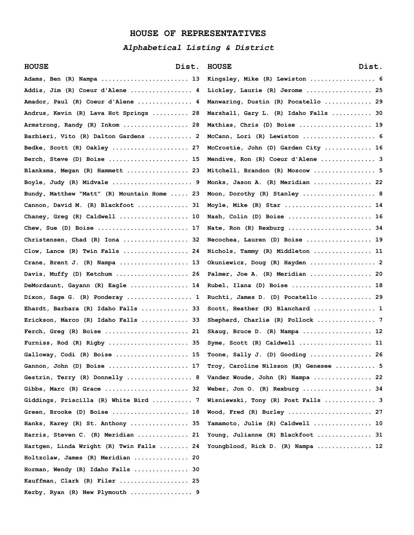# **HOUSE OF REPRESENTATIVES**

# *Alphabetical Listing & District*

| <b>HOUSE</b><br>Dist.                                             | Dist.<br><b>HOUSE</b>                 |
|-------------------------------------------------------------------|---------------------------------------|
| Adams, Ben (R) Nampa  13                                          | Kingsley, Mike (R) Lewiston  6        |
| Addis, Jim (R) Coeur d'Alene  4                                   | Lickley, Laurie (R) Jerome  25        |
| Amador, Paul (R) Coeur d'Alene  4                                 | Manwaring, Dustin (R) Pocatello  29   |
| Andrus, Kevin (R) Lava Hot Springs  28                            | Marshall, Gary L. (R) Idaho Falls  30 |
| Armstrong, Randy (R) Inkom  28                                    | Mathias, Chris (D) Boise  19          |
| Barbieri, Vito (R) Dalton Gardens  2                              | McCann, Lori (R) Lewiston  6          |
| Bedke, Scott (R) Oakley  27                                       | McCrostie, John (D) Garden City  16   |
| Berch, Steve (D) Boise  15                                        | Mendive, Ron (R) Coeur d'Alene  3     |
| Blanksma, Megan (R) Hammett  23                                   | Mitchell, Brandon (R) Moscow  5       |
| Boyle, Judy (R) Midvale  9                                        | Monks, Jason A. (R) Meridian  22      |
| Bundy, Matthew "Matt" (R) Mountain Home  23                       | Moon, Dorothy (R) Stanley  8          |
| Cannon, David M. (R) Blackfoot  31                                | Moyle, Mike (R) Star  14              |
| Chaney, Greg (R) Caldwell  10                                     | Nash, Colin (D) Boise  16             |
| Chew, Sue (D) Boise  17                                           | Nate, Ron (R) Rexburg  34             |
| Christensen, Chad (R) Iona  32                                    | Necochea, Lauren (D) Boise  19        |
| Clow, Lance (R) Twin Falls  24                                    | Nichols, Tammy (R) Middleton  11      |
|                                                                   | Okuniewicz, Doug (R) Hayden  2        |
| Davis, Muffy (D) Ketchum  26                                      | Palmer, Joe A. (R) Meridian  20       |
| DeMordaunt, Gayann (R) Eagle  14                                  | Rubel, Ilana (D) Boise  18            |
| Dixon, Sage G. (R) Ponderay  1                                    | Ruchti, James D. (D) Pocatello  29    |
| Ehardt, Barbara (R) Idaho Falls  33                               | Scott, Heather (R) Blanchard  1       |
| Erickson, Marco (R) Idaho Falls  33                               | Shepherd, Charlie (R) Pollock  7      |
|                                                                   | Skaug, Bruce D. (R) Nampa  12         |
| Furniss, Rod (R) Rigby  35                                        | Syme, Scott (R) Caldwell  11          |
| Galloway, Codi (R) Boise  15                                      | Toone, Sally J. (D) Gooding  26       |
| Gannon, John (D) Boise  17                                        | Troy, Caroline Nilsson (R) Genesee  5 |
| Gestrin, Terry (R) Donnelly  8                                    | Vander Woude, John (R) Nampa  22      |
| Gibbs, Marc (R) Grace  32                                         | Weber, Jon O. (R) Rexburg  34         |
| Giddings, Priscilla (R) White Bird  7                             | Wisniewski, Tony (R) Post Falls  3    |
| Green, Brooke (D) Boise $18$                                      | Wood, Fred (R) Burley  27             |
| Hanks, Karey (R) St. Anthony  35                                  | Yamamoto, Julie (R) Caldwell  10      |
| Harris, Steven C. (R) Meridian  21                                | Young, Julianne (R) Blackfoot  31     |
| Hartgen, Linda Wright (R) Twin Falls  24                          | Youngblood, Rick D. (R) Nampa  12     |
| Holtzclaw, James (R) Meridian  20                                 |                                       |
| $Horman$ , Wendy (R) Idaho Falls $\ldots \ldots \ldots \ldots 30$ |                                       |
| Kauffman, Clark (R) Filer  25                                     |                                       |
| Kerby, Ryan (R) New Plymouth  9                                   |                                       |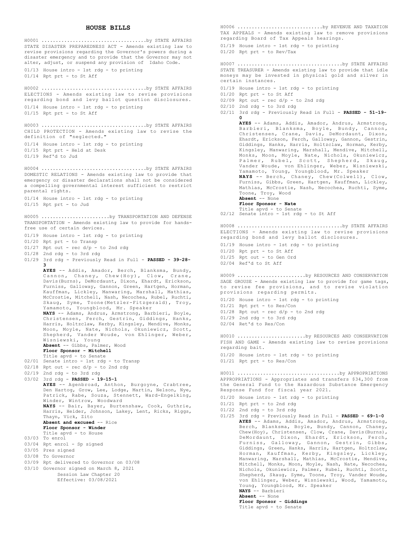#### **HOUSE BILLS**

STATE DISASTER PREPAREDNESS ACT - Amends existing law to revise provisions regarding the Governor's powers during a disaster emergency and to provide that the Governor may not alter, adjust, or suspend any provision of Idaho Code. 01/13 House intro - 1st rdg - to printing 01/14 Rpt prt - to St Aff H0001 .....................................by STATE AFFAIRS ELECTIONS - Amends existing law to revise provisions regarding bond and levy ballot question disclosures. 01/14 House intro - 1st rdg - to printing 01/15 Rpt prt - to St Aff H0002 .....................................by STATE AFFAIRS CHILD PROTECTION - Amends existing law to revise the definition of "neglected." 01/14 House intro - 1st rdg - to printing 01/15 Rpt prt - Held at Desk 01/19 Ref'd to Jud H0003 .....................................by STATE AFFAIRS DOMESTIC RELATIONS - Amends existing law to provide that emergency or disaster declarations shall not be considered a compelling governmental interest sufficient to restrict parental rights. 01/14 House intro - 1st rdg - to printing 01/15 Rpt prt - to Jud H0004 .....................................by STATE AFFAIRS TRANSPORTATION - Amends existing law to provide for handsfree use of certain devices. 01/19 House intro - 1st rdg - to printing 01/20 Rpt prt - to Transp  $01/27$  Rpt out - rec  $d/p$  - to 2nd rdg 01/28 2nd rdg - to 3rd rdg 01/29 3rd rdg - Previously Read in Full - **PASSED - 39-28- 3 AYES** -- Addis, Amador, Berch, Blanksma, Bundy, Cannon, Chaney, Chew(Hoy), Clow, Crane, Davis(Burns), DeMordaunt, Dixon, Ehardt, Erickson, Furniss, Galloway, Gannon, Green, Hartgen, Horman, Kauffman, Lickley, Manwaring, Marshall, Mathias, McCrostie, Mitchell, Nash, Necochea, Rubel, Ruchti, Skaug, Syme, Toone(Metzler-Fitzgerald), Troy, Yamamoto, Youngblood, Mr. Speaker **NAYS** -- Adams, Andrus, Armstrong, Barbieri, Boyle, Christensen, Ferch, Gestrin, Giddings, Hanks, Harris, Holtzclaw, Kerby, Kingsley, Mendive, Monks, Moon, Moyle, Nate, Nichols, Okuniewicz, Scott, Shepherd, Vander Woude, von Ehlinger, Weber, Wisniewski, Young **Absent** -- Gibbs, Palmer, Wood **Floor Sponsor - Mitchell** Title apvd - to Senate 02/01 Senate intro - 1st rdg - to Transp 02/18 Rpt out - rec d/p - to 2nd rdg 02/19 2nd rdg - to 3rd rdg 03/02 3rd rdg - **PASSED - 19-15-1 AYES** -- Agenbroad, Anthon, Burgoyne, Crabtree, Den Hartog, Grow, Lee, Lodge, Martin, Nelson, Nye, Patrick, Rabe, Souza, Stennett, Ward-Engelking, Winder, Wintrow, Woodward **NAYS** -- Bair, Bayer, Burtenshaw, Cook, Guthrie, Harris, Heider, Johnson, Lakey, Lent, Ricks, Riggs, Thayn, Vick, Zito **Absent and excused** -- Rice **Floor Sponsor - Winder** Title apvd - to House 03/03 To enrol 03/04 Rpt enrol - Sp signed 03/05 Pres signed 03/08 To Governor 03/09 Rpt delivered to Governor on 03/08 03/10 Governor signed on March 8, 2021 Session Law Chapter 20 Effective: 03/08/2021 H0005 ........................by TRANSPORTATION AND DEFENSE

TAX APPEALS - Amends existing law to remove provisions regarding Board of Tax Appeals hearings. 01/19 House intro - 1st rdg - to printing 01/20 Rpt prt - to Rev/Tax H0006 ..............................by REVENUE AND TAXATION STATE TREASURER - Amends existing law to provide that idle moneys may be invested in physical gold and silver in certain instances. 01/19 House intro - 1st rdg - to printing 01/20 Rpt prt - to St Aff 02/09 Rpt out - rec d/p - to 2nd rdg 02/10 2nd rdg - to 3rd rdg 02/11 3rd rdg - Previously Read in Full - **PASSED - 51-19- 0 AYES** -- Adams, Addis, Amador, Andrus, Armstrong, Barbieri, Blanksma, Boyle, Bundy, Cannon, Christensen, Crane, Davis, DeMordaunt, Dixon, Ehardt, Erickson, Ferch, Galloway, Gannon, Gestrin, Giddings, Hanks, Harris, Holtzclaw, Horman, Kerby, Kingsley, Manwaring, Marshall, Mendive, Mitchell, Monks, Moon, Moyle, Nate, Nichols, Okuniewicz, Palmer, Rubel, Scott, Shepherd, Skaug, Vander Woude, von Ehlinger, Weber, Wisniewski, Yamamoto, Young, Youngblood, Mr. Speaker **NAYS** -- Berch, Chaney, Chew(Colwell), Clow, Furniss, Gibbs, Green, Hartgen, Kauffman, Lickley, Mathias, McCrostie, Nash, Necochea, Ruchti, Syme, Toone, Troy, Wood **Absent** -- None **Floor Sponsor - Nate** Title apvd - to Senate 02/12 Senate intro - 1st rdg - to St Aff H0007 .....................................by STATE AFFAIRS ELECTIONS - Amends existing law to revise provisions regarding bond and levy ballot disclosures. 01/19 House intro - 1st rdg - to printing 01/20 Rpt prt - to St Aff 01/25 Rpt out - to Gen Ord 02/04 Ref'd to St Aff H0008 .....................................by STATE AFFAIRS SAGE GROUSE - Amends existing law to provide for game tags, to revise fee provisions, and to revise violation provisions regarding permits. 01/20 House intro - 1st rdg - to printing 01/21 Rpt prt - to Res/Con  $01/28$  Rpt out - rec  $d/p$  - to 2nd rdg  $01/29$  2nd rdg - to 3rd rdg 02/04 Ret'd to Res/Con H0009 ........................by RESOURCES AND CONSERVATION FISH AND GAME - Amends existing law to revise provisions regarding bait. 01/20 House intro - 1st rdg - to printing 01/21 Rpt prt - to Res/Con H0010 ........................by RESOURCES AND CONSERVATION APPROPRIATIONS - Appropriates and transfers \$34,300 from the General Fund to the Hazardous Substance Emergency Response Fund for fiscal year 2021. 01/20 House intro - 1st rdg - to printing 01/21 Rpt prt - to 2nd rdg 01/22 2nd rdg - to 3rd rdg 01/25 3rd rdg - Previously Read in Full - **PASSED - 69-1-0 AYES** -- Adams, Addis, Amador, Andrus, Armstrong, Berch, Blanksma, Boyle, Bundy, Cannon, Chaney, Chew(Hoy), Christensen, Clow, Crane, Davis(Burns), DeMordaunt, Dixon, Ehardt, Erickson, Ferch, Furniss, Galloway, Gannon, Gestrin, Gibbs, Giddings, Green, Hanks, Harris, Hartgen, Holtzclaw, Horman, Kauffman, Kerby, Kingsley, Lickley, Manwaring, Marshall, Mathias, McCrostie, Mendive, Mitchell, Monks, Moon, Moyle, Nash, Nate, Necochea, Nichols, Okuniewicz, Palmer, Rubel, Ruchti, Scott, Shepherd, Skaug, Syme, Toone, Troy, Vander Woude, von Ehlinger, Weber, Wisniewski, Wood, Yamamoto, Young, Youngblood, Mr. Speaker **NAYS** -- Barbieri H0011 ....................................by APPROPRIATIONS

**Absent** -- None **Floor Sponsor - Giddings**

Title apvd - to Senate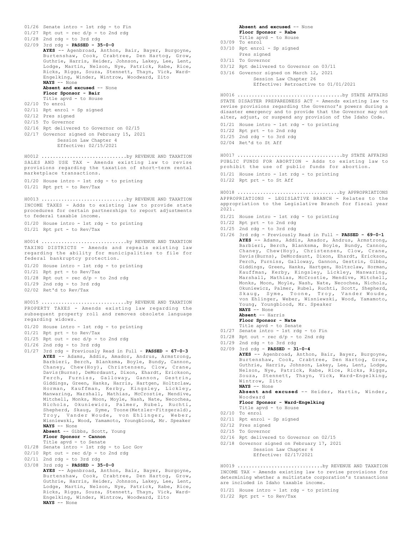01/26 Senate intro - 1st rdg - to Fin 01/27 Rpt out - rec d/p - to 2nd rdg 01/28 2nd rdg - to 3rd rdg 02/09 3rd rdg - **PASSED - 35-0-0 AYES** -- Agenbroad, Anthon, Bair, Bayer, Burgoyne, Burtenshaw, Cook, Crabtree, Den Hartog, Grow, Guthrie, Harris, Heider, Johnson, Lakey, Lee, Lent, Lodge, Martin, Nelson, Nye, Patrick, Rabe, Rice, Ricks, Riggs, Souza, Stennett, Thayn, Vick, Ward-Engelking, Winder, Wintrow, Woodward, Zito **NAYS** -- None **Absent and excused** -- None **Floor Sponsor - Bair** Title apvd - to House 02/10 To enrol 02/11 Rpt enrol - Sp signed 02/12 Pres signed 02/15 To Governor 02/16 Rpt delivered to Governor on 02/15 02/17 Governor signed on February 15, 2021 Session Law Chapter 4 Effective: 02/15/2021 SALES AND USE TAX - Amends existing law to revise provisions regarding the taxation of short-term rental marketplace transactions. 01/20 House intro - 1st rdg - to printing 01/21 Rpt prt - to Rev/Tax H0012 ..............................by REVENUE AND TAXATION INCOME TAXES - Adds to existing law to provide state procedures for certain partnerships to report adjustments to federal taxable income. 01/20 House intro - 1st rdg - to printing 01/21 Rpt prt - to Rev/Tax H0013 ..............................by REVENUE AND TAXATION TAXING DISTRICTS - Amends and repeals existing law regarding the ability for municipalities to file for federal bankruptcy protection. 01/20 House intro - 1st rdg - to printing 01/21 Rpt prt - to Rev/Tax 01/28 Rpt out - rec d/p - to 2nd rdg 01/29 2nd rdg - to 3rd rdg 02/02 Ret'd to Rev/Tax H0014 ..............................by REVENUE AND TAXATION PROPERTY TAXES - Amends existing law regarding the subsequent property roll and removes obsolete language regarding widows. 01/20 House intro - 1st rdg - to printing 01/21 Rpt prt - to Rev/Tax  $01/25$  Rpt out - rec  $d/p$  - to 2nd rdg 01/26 2nd rdg - to 3rd rdg 01/27 3rd rdg - Previously Read in Full - **PASSED - 67-0-3 AYES** -- Adams, Addis, Amador, Andrus, Armstrong, Barbieri, Berch, Blanksma, Boyle, Bundy, Cannon, Chaney, Chew(Hoy), Christensen, Clow, Crane, Davis(Burns), DeMordaunt, Dixon, Ehardt, Erickson, Ferch, Furniss, Galloway, Gannon, Gestrin, Giddings, Green, Hanks, Harris, Hartgen, Holtzclaw, Horman, Kauffman, Kerby, Kingsley, Lickley, Manwaring, Marshall, Mathias, McCrostie, Mendive, Mitchell, Monks, Moon, Moyle, Nash, Nate, Necochea, Nichols, Okuniewicz, Palmer, Rubel, Ruchti, Shepherd, Skaug, Syme, Toone(Metzler-Fitzgerald), Troy, Vander Woude, von Ehlinger, Weber, Wisniewski, Wood, Yamamoto, Youngblood, Mr. Speaker **NAYS** -- None **Absent** -- Gibbs, Scott, Young **Floor Sponsor - Cannon** Title apvd - to Senate 01/28 Senate intro - 1st rdg - to Loc Gov  $02/10$  Rpt out - rec  $d/p$  - to 2nd rdg 02/11 2nd rdg - to 3rd rdg 03/08 3rd rdg - **PASSED - 35-0-0 AYES** -- Agenbroad, Anthon, Bair, Bayer, Burgoyne, Burtenshaw, Cook, Crabtree, Den Hartog, Grow, Guthrie, Harris, Heider, Johnson, Lakey, Lee, Lent, Lodge, Martin, Nelson, Nye, Patrick, Rabe, Rice, Ricks, Riggs, Souza, Stennett, Thayn, Vick, Ward-Engelking, Winder, Wintrow, Woodward, Zito **NAYS** -- None H0015 ..............................by REVENUE AND TAXATION

**Absent and excused** -- None **Floor Sponsor - Rabe** Title apvd - to House 03/09 To enrol 03/10 Rpt enrol - Sp signed Pres signed 03/11 To Governor 03/12 Rpt delivered to Governor on 03/11 03/16 Governor signed on March 12, 2021 Session Law Chapter 26 Effective: Retroactive to 01/01/2021 STATE DISASTER PREPAREDNESS ACT - Amends existing law to revise provisions regarding the Governor's powers during a disaster emergency and to provide that the Governor may not alter, adjust, or suspend any provision of the Idaho Code. 01/21 House intro - 1st rdg - to printing 01/22 Rpt prt - to 2nd rdg 01/25 2nd rdg - to 3rd rdg 02/04 Ret'd to St Aff H0016 .....................................by STATE AFFAIRS PUBLIC FUNDS FOR ABORTION - Adds to existing law to prohibit the use of public funds for abortion. 01/21 House intro - 1st rdg - to printing 01/22 Rpt prt - to St Aff H0017 .....................................by STATE AFFAIRS APPROPRIATIONS - LEGISLATIVE BRANCH - Relates to the appropriation to the Legislative Branch for fiscal year 2021. 01/21 House intro - 1st rdg - to printing 01/22 Rpt prt - to 2nd rdg 01/25 2nd rdg - to 3rd rdg 01/26 3rd rdg - Previously Read in Full - **PASSED - 69-0-1 AYES** -- Adams, Addis, Amador, Andrus, Armstrong, Barbieri, Berch, Blanksma, Boyle, Bundy, Cannon, Chaney, Chew(Hoy), Christensen, Clow, Crane, Davis(Burns), DeMordaunt, Dixon, Ehardt, Erickson, Ferch, Furniss, Galloway, Gannon, Gestrin, Gibbs, Giddings, Green, Hanks, Hartgen, Holtzclaw, Horman, Kauffman, Kerby, Kingsley, Lickley, Manwaring, Marshall, Mathias, McCrostie, Mendive, Mitchell, Monks, Moon, Moyle, Nash, Nate, Necochea, Nichols, Okuniewicz, Palmer, Rubel, Ruchti, Scott, Shepherd, Skaug, Syme, Toone, Troy, Vander Woude, von Ehlinger, Weber, Wisniewski, Wood, Yamamoto, Young, Youngblood, Mr. Speaker **NAYS** -- None **Absent** -- Harris **Floor Sponsor - Nate** Title apvd - to Senate 01/27 Senate intro - 1st rdg - to Fin  $01/28$  Rpt out - rec  $d/p$  - to 2nd rdg 01/29 2nd rdg - to 3rd rdg 02/09 3rd rdg - **PASSED - 31-0-4 AYES** -- Agenbroad, Anthon, Bair, Bayer, Burgoyne, Burtenshaw, Cook, Crabtree, Den Hartog, Grow, Guthrie, Harris, Johnson, Lakey, Lee, Lent, Lodge, Nelson, Nye, Patrick, Rabe, Rice, Ricks, Riggs, Souza, Stennett, Thayn, Vick, Ward-Engelking, Wintrow, Zito **NAYS** -- None **Absent and excused** -- Heider, Martin, Winder, Woodward **Floor Sponsor - Ward-Engelking** Title apvd - to House 02/10 To enrol 02/11 Rpt enrol - Sp signed 02/12 Pres signed 02/15 To Governor 02/16 Rpt delivered to Governor on 02/15 02/18 Governor signed on February 17, 2021 Session Law Chapter 6 Effective: 02/17/2021 H0018 ....................................by APPROPRIATIONS H0019 ..............................by REVENUE AND TAXATION

INCOME TAX - Amends existing law to revise provisions for determining whether a multistate corporation's transactions are included in Idaho taxable income.

01/21 House intro - 1st rdg - to printing 01/22 Rpt prt - to Rev/Tax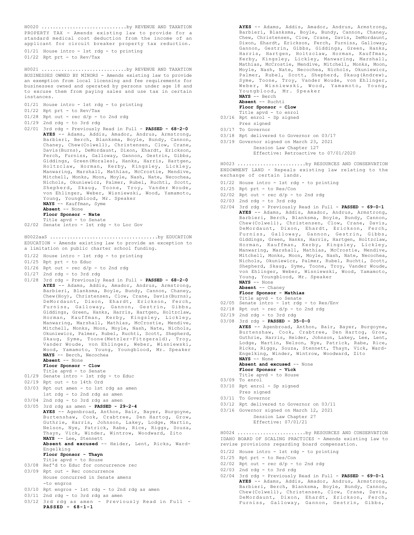PROPERTY TAX - Amends existing law to provide for a standard medical cost deduction from the income of an applicant for circuit breaker property tax reduction. H0020 ..............................by REVENUE AND TAXATION

01/21 House intro - 1st rdg - to printing 01/22 Rpt prt - to Rev/Tax

BUSINESSES OWNED BY MINORS - Amends existing law to provide an exemption from local licensing and fee requirements for businesses owned and operated by persons under age 18 and to excuse them from paying sales and use tax in certain instances. H0021 ..............................by REVENUE AND TAXATION

- 01/21 House intro 1st rdg to printing
- 01/22 Rpt prt to Rev/Tax
- $01/28$  Rpt out rec d/p to 2nd rdg

01/29 2nd rdg - to 3rd rdg

02/01 3rd rdg - Previously Read in Full - **PASSED - 68-2-0 AYES** -- Adams, Addis, Amador, Andrus, Armstrong, Barbieri, Berch, Blanksma, Boyle, Bundy, Cannon, Chaney, Chew(Colwell), Christensen, Clow, Crane, Davis(Burns), DeMordaunt, Dixon, Ehardt, Erickson, Ferch, Furniss, Galloway, Gannon, Gestrin, Gibbs, Giddings, Green(Morales), Hanks, Harris, Hartgen, Holtzclaw, Horman, Kerby, Kingsley, Lickley, Manwaring, Marshall, Mathias, McCrostie, Mendive, Mitchell, Monks, Moon, Moyle, Nash, Nate, Necochea, Nichols, Okuniewicz, Palmer, Rubel, Ruchti, Scott, Shepherd, Skaug, Toone, Troy, Vander Woude, von Ehlinger, Weber, Wisniewski, Wood, Yamamoto, Young, Youngblood, Mr. Speaker **NAYS** -- Kauffman, Syme **Absent** -- None

**Floor Sponsor - Nate**

Title apvd - to Senate 02/02 Senate intro - 1st rdg - to Loc Gov

EDUCATION - Amends existing law to provide an exception to a limitation on public charter school funding. H0022aaS ......................................by EDUCATION

- 01/22 House intro 1st rdg to printing
- 01/25 Rpt prt to Educ
- 01/26 Rpt out rec d/p to 2nd rdg
- 01/27 2nd rdg to 3rd rdg
- 01/28 3rd rdg Previously Read in Full **PASSED 68-2-0 AYES** -- Adams, Addis, Amador, Andrus, Armstrong, Barbieri, Blanksma, Boyle, Bundy, Cannon, Chaney, Chew(Hoy), Christensen, Clow, Crane, Davis(Burns), DeMordaunt, Dixon, Ehardt, Erickson, Ferch, Furniss, Galloway, Gannon, Gestrin, Gibbs, Giddings, Green, Hanks, Harris, Hartgen, Holtzclaw, Horman, Kauffman, Kerby, Kingsley, Lickley, Manwaring, Marshall, Mathias, McCrostie, Mendive, Mitchell, Monks, Moon, Moyle, Nash, Nate, Nichols, Okuniewicz, Palmer, Rubel, Ruchti, Scott, Shepherd, Skaug, Syme, Toone(Metzler-Fitzgerald), Troy, Vander Woude, von Ehlinger, Weber, Wisniewski, Wood, Yamamoto, Young, Youngblood, Mr. Speaker **NAYS** -- Berch, Necochea

## **Absent** -- None

**Floor Sponsor - Clow**

- Title apvd to Senate 01/29 Senate intro - 1st rdg - to Educ
- 02/19 Rpt out to 14th Ord
- 03/03 Rpt out amen to 1st rdg as amen
	- 1st rdg to 2nd rdg as amen
- 03/04 2nd rdg to 3rd rdg as amen
- 03/05 3rd rdg as amen **PASSED 29-2-4 AYES** -- Agenbroad, Anthon, Bair, Bayer, Burgoyne, Burtenshaw, Cook, Crabtree, Den Hartog, Grow, Guthrie, Harris, Johnson, Lakey, Lodge, Martin, Nelson, Nye, Patrick, Rabe, Rice, Riggs, Souza, Thayn, Vick, Winder, Wintrow, Woodward, Zito **NAYS** -- Lee, Stennett **Absent and excused** -- Heider, Lent, Ricks, Ward-

Engelking

- **Floor Sponsor Thayn**
- Title apvd to House
- 03/08 Ref'd to Educ for concurrence rec 03/09 Rpt out - Rec concurrence
- House concurred in Senate amens -to engros
- 03/10 Rpt engros 1st rdg to 2nd rdg as amen
- 03/11 2nd rdg to 3rd rdg as amen
- 03/12 3rd rdg as amen Previously Read in Full **PASSED - 68-1-1**

**AYES** -- Adams, Addis, Amador, Andrus, Armstrong, Barbieri, Blanksma, Boyle, Bundy, Cannon, Chaney, Chew, Christensen, Clow, Crane, Davis, DeMordaunt, Dixon, Ehardt, Erickson, Ferch, Furniss, Galloway, Gannon, Gestrin, Gibbs, Giddings, Green, Hanks, Harris, Hartgen, Holtzclaw, Horman, Kauffman, Kerby, Kingsley, Lickley, Manwaring, Marshall, Mathias, McCrostie, Mendive, Mitchell, Monks, Moon, Moyle, Nash, Nate, Necochea, Nichols, Okuniewicz, Palmer, Rubel, Scott, Shepherd, Skaug(Andrew), Syme, Toone, Troy, Vander Woude, von Ehlinger, Weber, Wisniewski, Wood, Yamamoto, Young, Youngblood, Mr. Speaker **NAYS** -- Berch

**Absent** -- Ruchti

**Floor Sponsor - Clow**

- Title apvd to enrol 03/16 Rpt enrol Sp signed
- Pres signed 03/17 To Governor
- 
- 03/18 Rpt delivered to Governor on 03/17

03/19 Governor signed on March 23, 2021 Session Law Chapter 127 Effective: Retroactive to 07/01/2020

ENDOWMENT LAND - Repeals existing law relating to the exchange of certain lands. H0023 ........................by RESOURCES AND CONSERVATION

- 01/22 House intro 1st rdg to printing
- 01/25 Rpt prt to Res/Con
- $02/02$  Rpt out rec d/p to 2nd rdg
- 02/03 2nd rdg to 3rd rdg
- 02/04 3rd rdg Previously Read in Full **PASSED 69-0-1 AYES** -- Adams, Addis, Amador, Andrus, Armstrong, Barbieri, Berch, Blanksma, Boyle, Bundy, Cannon, Chew(Colwell), Christensen, Clow, Crane, Davis, DeMordaunt, Dixon, Ehardt, Erickson, Ferch, Furniss, Galloway, Gannon, Gestrin, Gibbs, Giddings, Green, Hanks, Harris, Hartgen, Holtzclaw, Horman, Kauffman, Kerby, Kingsley, Lickley, Manwaring, Marshall, Mathias, McCrostie, Mendive, Mitchell, Monks, Moon, Moyle, Nash, Nate, Necochea, Nichols, Okuniewicz, Palmer, Rubel, Ruchti, Scott, Shepherd, Skaug, Syme, Toone, Troy, Vander Woude, von Ehlinger, Weber, Wisniewski, Wood, Yamamoto, Young, Youngblood, Mr. Speaker **NAYS** -- None
	- **Absent** -- Chaney
	- **Floor Sponsor Mathias**

- Title apvd to Senate 02/05 Senate intro 1st rdg to Res/Env
- $02/18$  Rpt out rec  $d/p$  to 2nd rdg
- 02/19 2nd rdg to 3rd rdg 03/08 3rd rdg - **PASSED - 35-0-0**

AYES -- Agenbroad, Anthon, Bair, Bayer, Burgoyne, Burtenshaw, Cook, Crabtree, Den Hartog, Grow, Guthrie, Harris, Heider, Johnson, Lakey, Lee, Lent, Lodge, Martin, Nelson, Nye, Patrick, Rabe, Rice, Ricks, Riggs, Souza, Stennett, Thayn, Vick, Ward-Engelking, Winder, Wintrow, Woodward, Zito **NAYS** -- None

- Absent and excused -- None
- **Floor Sponsor Vick**
- Title apvd to House 03/09 To enrol
- 03/10 Rpt enrol Sp signed
- Pres signed
- 03/11 To Governor
- 03/12 Rpt delivered to Governor on 03/11
- 03/16 Governor signed on March 12, 2021 Session Law Chapter 27 Effective: 07/01/21

IDAHO BOARD OF SCALING PRACTICES - Amends existing law to revise provisions regarding board compensation. H0024 ........................by RESOURCES AND CONSERVATION

- 01/22 House intro 1st rdg to printing
- 01/25 Rpt prt to Res/Con
- $02/02$  Rpt out rec d/p to 2nd rdg
- $02/03$  2nd rdg to 3rd rdg
- 02/04 3rd rdg Previously Read in Full **PASSED 69-0-1 AYES** -- Adams, Addis, Amador, Andrus, Armstrong, Barbieri, Berch, Blanksma, Boyle, Bundy, Cannon, Chew(Colwell), Christensen, Clow, Crane, Davis, DeMordaunt, Dixon, Ehardt, Erickson, Ferch, Furniss, Galloway, Gannon, Gestrin, Gibbs,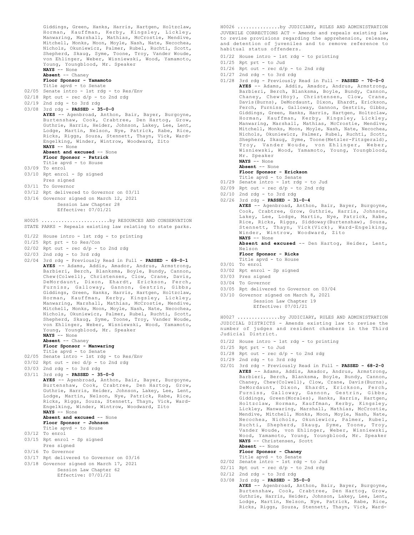Giddings, Green, Hanks, Harris, Hartgen, Holtzclaw, Horman, Kauffman, Kerby, Kingsley, Lickley, Manwaring, Marshall, Mathias, McCrostie, Mendive, Mitchell, Monks, Moon, Moyle, Nash, Nate, Necochea, Nichols, Okuniewicz, Palmer, Rubel, Ruchti, Scott, Shepherd, Skaug, Syme, Toone, Troy, Vander Woude, von Ehlinger, Weber, Wisniewski, Wood, Yamamoto, Young, Youngblood, Mr. Speaker **NAYS** -- None **Absent** -- Chaney **Floor Sponsor - Yamamoto** Title apvd - to Senate 02/05 Senate intro - 1st rdg - to Res/Env  $02/18$  Rpt out - rec  $d/p$  - to 2nd rdg 02/19 2nd rdg - to 3rd rdg 03/08 3rd rdg - **PASSED - 35-0-0 AYES** -- Agenbroad, Anthon, Bair, Bayer, Burgoyne, Burtenshaw, Cook, Crabtree, Den Hartog, Grow, Guthrie, Harris, Heider, Johnson, Lakey, Lee, Lent, Lodge, Martin, Nelson, Nye, Patrick, Rabe, Rice, Ricks, Riggs, Souza, Stennett, Thayn, Vick, Ward-Engelking, Winder, Wintrow, Woodward, Zito **NAYS** -- None **Absent and excused** -- None **Floor Sponsor - Patrick** Title apvd - to House 03/09 To enrol 03/10 Rpt enrol - Sp signed Pres signed 03/11 To Governor 03/12 Rpt delivered to Governor on 03/11 03/16 Governor signed on March 12, 2021 Session Law Chapter 28 Effective: 07/01/21 STATE PARKS - Repeals existing law relating to state parks. 01/22 House intro - 1st rdg - to printing 01/25 Rpt prt - to Res/Con  $02/02$  Rpt out - rec  $d/p$  - to 2nd rdg 02/03 2nd rdg - to 3rd rdg 02/04 3rd rdg - Previously Read in Full - **PASSED - 69-0-1 AYES** -- Adams, Addis, Amador, Andrus, Armstrong, Barbieri, Berch, Blanksma, Boyle, Bundy, Cannon, Chew(Colwell), Christensen, Clow, Crane, Davis, DeMordaunt, Dixon, Ehardt, Erickson, Ferch, Furniss, Galloway, Gannon, Gestrin, Gibbs, Giddings, Green, Hanks, Harris, Hartgen, Holtzclaw, Horman, Kauffman, Kerby, Kingsley, Lickley, Manwaring, Marshall, Mathias, McCrostie, Mendive, Mitchell, Monks, Moon, Moyle, Nash, Nate, Necochea, Nichols, Okuniewicz, Palmer, Rubel, Ruchti, Scott, Shepherd, Skaug, Syme, Toone, Troy, Vander Woude, von Ehlinger, Weber, Wisniewski, Wood, Yamamoto, Young, Youngblood, Mr. Speaker **NAYS** -- None **Absent** -- Chaney **Floor Sponsor - Manwaring** Title apvd - to Senate 02/05 Senate intro - 1st rdg - to Res/Env  $03/02$  Rpt out - rec  $d/p$  - to 2nd rdg 03/03 2nd rdg - to 3rd rdg 03/11 3rd rdg - **PASSED - 35-0-0 AYES** -- Agenbroad, Anthon, Bair, Bayer, Burgoyne, Burtenshaw, Cook, Crabtree, Den Hartog, Grow, Guthrie, Harris, Heider, Johnson, Lakey, Lee, Lent, Lodge, Martin, Nelson, Nye, Patrick, Rabe, Rice, Ricks, Riggs, Souza, Stennett, Thayn, Vick, Ward-Engelking, Winder, Wintrow, Woodward, Zito **NAYS** -- None Absent and excused -- None **Floor Sponsor - Johnson** Title apvd - to House 03/12 To enrol 03/15 Rpt enrol - Sp signed Pres signed 03/16 To Governor 03/17 Rpt delivered to Governor on 03/16 03/18 Governor signed on March 17, 2021 Session Law Chapter 62 Effective: 07/01/21 H0025 ........................by RESOURCES AND CONSERVATION

JUVENILE CORRECTIONS ACT - Amends and repeals existing law to revise provisions regarding the apprehension, release, and detention of juveniles and to remove reference to habitual status offenders. H0026 ...............by JUDICIARY, RULES AND ADMINISTRATION

- 01/22 House intro 1st rdg to printing
- 01/25 Rpt prt to Jud
- $01/26$  Rpt out rec  $d/p$  to 2nd rdg
- 01/27 2nd rdg to 3rd rdg
- 01/28 3rd rdg Previously Read in Full **PASSED 70-0-0 AYES** -- Adams, Addis, Amador, Andrus, Armstrong, Barbieri, Berch, Blanksma, Boyle, Bundy, Cannon, Chaney, Chew(Hoy), Christensen, Clow, Crane, Davis(Burns), DeMordaunt, Dixon, Ehardt, Erickson, Ferch, Furniss, Galloway, Gannon, Gestrin, Gibbs, Giddings, Green, Hanks, Harris, Hartgen, Holtzclaw, Horman, Kauffman, Kerby, Kingsley, Lickley, Manwaring, Marshall, Mathias, McCrostie, Mendive, Mitchell, Monks, Moon, Moyle, Nash, Nate, Necochea, Nichols, Okuniewicz, Palmer, Rubel, Ruchti, Scott, Shepherd, Skaug, Syme, Toone(Metzler-Fitzgerald), Troy, Vander Woude, von Ehlinger, Weber, Wisniewski, Wood, Yamamoto, Young, Youngblood, Mr. Speaker **NAYS** -- None
	- **Absent** -- None **Floor Sponsor - Erickson**
	-
- Title apvd to Senate 01/29 Senate intro 1st rdg to Jud
- $02/09$  Rpt out rec d/p to 2nd rdg
- 02/10 2nd rdg to 3rd rdg
- 02/26 3rd rdg **PASSED 31-0-4 AYES** -- Agenbroad, Anthon, Bair, Bayer, Burgoyne, Cook, Crabtree, Grow, Guthrie, Harris, Johnson, Lakey, Lee, Lodge, Martin, Nye, Patrick, Rabe, Rice, Ricks, Riggs, Siddoway(Burtenshaw), Souza,<br>Stennett, Thayn, Vick(Vick), Ward-Engelking,<br>Winder, Wintrow, Woodward, Zito<br>**NAYS** -- None

**Absent and excused** -- Den Hartog, Heider, Lent, Nelson

- **Floor Sponsor Ricks**
- Title apvd to House 03/01 To enrol
- 03/02 Rpt enrol Sp signed
- 03/03 Pres signed
- 03/04 To Governor
- 03/05 Rpt delivered to Governor on 03/04
- 03/10 Governor signed on March 8, 2021
	- Session Law Chapter 19 Effective: 07/01/21

JUDICIAL DISTRICTS - Amends existing law to revise the number of judges and resident chambers in the Third Judicial District. H0027 ...............by JUDICIARY, RULES AND ADMINISTRATION

- 01/22 House intro 1st rdg to printing
- 01/25 Rpt prt to Jud
- 01/28 Rpt out rec d/p to 2nd rdg
- 01/29 2nd rdg to 3rd rdg
- 02/01 3rd rdg Previously Read in Full **PASSED 68-2-0 AYES** -- Adams, Addis, Amador, Andrus, Armstrong, Barbieri, Berch, Blanksma, Boyle, Bundy, Cannon, Chaney, Chew(Colwell), Clow, Crane, Davis(Burns), DeMordaunt, Dixon, Ehardt, Erickson, Ferch, Furniss, Galloway, Gannon, Gestrin, Gibbs, Giddings, Green(Morales), Hanks, Harris, Hartgen, Holtzclaw, Horman, Kauffman, Kerby, Kingsley, Lickley, Manwaring, Marshall, Mathias, McCrostie, Mendive, Mitchell, Monks, Moon, Moyle, Nash, Nate, Necochea, Nichols, Okuniewicz, Palmer, Rubel, Ruchti, Shepherd, Skaug, Syme, Toone, Troy, Vander Woude, von Ehlinger, Weber, Wisniewski,<br>Wood, Yamamoto, Young, Youngblood, Mr. Speaker<br>**NAYS** -- Christensen, Scott
	- **Absent** -- None **Floor Sponsor - Chaney**

Title apvd - to Senate

- 02/02 Senate intro 1st rdg to Jud
- $02/11$  Rpt out rec d/p to 2nd rdg
- $02/12$  2nd rdg to 3rd rdg
- 03/08 3rd rdg **PASSED 35-0-0**
	- **AYES** -- Agenbroad, Anthon, Bair, Bayer, Burgoyne, Burtenshaw, Cook, Crabtree, Den Hartog, Grow, Guthrie, Harris, Heider, Johnson, Lakey, Lee, Lent, Lodge, Martin, Nelson, Nye, Patrick, Rabe, Rice, Ricks, Riggs, Souza, Stennett, Thayn, Vick, Ward-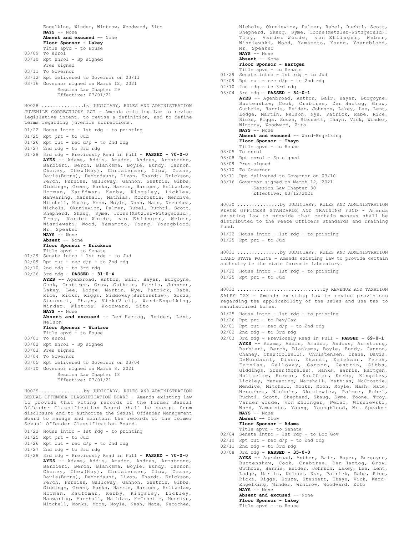Engelking, Winder, Wintrow, Woodward, Zito **NAYS** -- None **Absent and excused** -- None **Floor Sponsor - Lakey** Title apvd - to House 03/09 To enrol 03/10 Rpt enrol - Sp signed Pres signed 03/11 To Governor 03/12 Rpt delivered to Governor on 03/11 03/16 Governor signed on March 12, 2021 Session Law Chapter 29 Effective: 07/01/21 JUVENILE CORRECTIONS ACT - Amends existing law to revise legislative intent, to revise a definition, and to define terms regarding juvenile corrections. 01/22 House intro - 1st rdg - to printing 01/25 Rpt prt - to Jud  $01/26$  Rpt out - rec  $d/p$  - to 2nd rdg 01/27 2nd rdg - to 3rd rdg 01/28 3rd rdg - Previously Read in Full - **PASSED - 70-0-0 AYES** -- Adams, Addis, Amador, Andrus, Armstrong, Barbieri, Berch, Blanksma, Boyle, Bundy, Cannon, Chaney, Chew(Hoy), Christensen, Clow, Crane, Davis(Burns), DeMordaunt, Dixon, Ehardt, Erickson, Ferch, Furniss, Galloway, Gannon, Gestrin, Gibbs, Giddings, Green, Hanks, Harris, Hartgen, Holtzclaw, Horman, Kauffman, Kerby, Kingsley, Lickley, Manwaring, Marshall, Mathias, McCrostie, Mendive, Mitchell, Monks, Moon, Moyle, Nash, Nate, Necochea, Nichols, Okuniewicz, Palmer, Rubel, Ruchti, Scott, Shepherd, Skaug, Syme, Toone(Metzler-Fitzgerald), Troy, Vander Woude, von Ehlinger, Weber, Wisniewski, Wood, Yamamoto, Young, Youngblood, Mr. Speaker **NAYS** -- None **Absent** -- None **Floor Sponsor - Erickson** Title apvd - to Senate 01/29 Senate intro - 1st rdg - to Jud  $02/09$  Rpt out - rec  $d/p$  - to 2nd rdg 02/10 2nd rdg - to 3rd rdg 02/26 3rd rdg - **PASSED - 31-0-4 AYES** -- Agenbroad, Anthon, Bair, Bayer, Burgoyne, Cook, Crabtree, Grow, Guthrie, Harris, Johnson, Lakey, Lee, Lodge, Martin, Nye, Patrick, Rabe, Rice, Ricks, Riggs, Siddoway(Burtenshaw), Souza, Stennett, Thayn, Vick(Vick), Ward-Engelking, Winder, Wintrow, Woodward, Zito **NAYS** -- None **Absent and excused** -- Den Hartog, Heider, Lent, Nelson **Floor Sponsor - Wintrow** Title apvd - to House 03/01 To enrol 03/02 Rpt enrol - Sp signed 03/03 Pres signed 03/04 To Governor 03/05 Rpt delivered to Governor on 03/04 03/10 Governor signed on March 8, 2021 Session Law Chapter 18 Effective: 07/01/21 H0028 ...............by JUDICIARY, RULES AND ADMINISTRATION SEXUAL OFFENDER CLASSIFICATION BOARD - Amends existing law to provide that voting records of the former Sexual Offender Classification Board shall be exempt from disclosure and to authorize the Sexual Offender Management Board to manage and maintain the records of the former Sexual Offender Classification Board. 01/22 House intro - 1st rdg - to printing 01/25 Rpt prt - to Jud  $01/26$  Rpt out - rec  $d/p$  - to 2nd rdg 01/27 2nd rdg - to 3rd rdg 01/28 3rd rdg - Previously Read in Full - **PASSED - 70-0-0** H0029 ...............by JUDICIARY, RULES AND ADMINISTRATION

**AYES** -- Adams, Addis, Amador, Andrus, Armstrong, Barbieri, Berch, Blanksma, Boyle, Bundy, Cannon, Chaney, Chew(Hoy), Christensen, Clow, Crane, Davis(Burns), DeMordaunt, Dixon, Ehardt, Erickson, Ferch, Furniss, Galloway, Gannon, Gestrin, Gibbs, Giddings, Green, Hanks, Harris, Hartgen, Holtzclaw, Horman, Kauffman, Kerby, Kingsley, Lickley, Manwaring, Marshall, Mathias, McCrostie, Mendive, Mitchell, Monks, Moon, Moyle, Nash, Nate, Necochea,

Mr. Speaker **NAYS** -- None **Absent** -- None **Floor Sponsor - Hartgen** Title apvd - to Senate 01/29 Senate intro - 1st rdg - to Jud  $02/09$  Rpt out - rec  $d/p$  - to 2nd rdg 02/10 2nd rdg - to 3rd rdg 03/04 3rd rdg - **PASSED - 34-0-1 AYES** -- Agenbroad, Anthon, Bair, Bayer, Burgoyne, Burtenshaw, Cook, Crabtree, Den Hartog, Grow, Guthrie, Harris, Heider, Johnson, Lakey, Lee, Lent, Lodge, Martin, Nelson, Nye, Patrick, Rabe, Rice, Ricks, Riggs, Souza, Stennett, Thayn, Vick, Winder, Wintrow, Woodward, Zito **NAYS** -- None **Absent and excused** -- Ward-Engelking **Floor Sponsor - Thayn** Title apvd - to House 03/05 To enrol 03/08 Rpt enrol - Sp signed 03/09 Pres signed 03/10 To Governor 03/11 Rpt delivered to Governor on 03/10 03/16 Governor signed on March 12, 2021 Session Law Chapter 30 Effective: 03/12/2021 PEACE OFFICERS STANDARDS AND TRAINING FUND - Amends existing law to provide that certain moneys shall be distributed to the Peace Officers Standards and Training Fund. 01/22 House intro - 1st rdg - to printing 01/25 Rpt prt - to Jud H0030 ...............by JUDICIARY, RULES AND ADMINISTRATION IDAHO STATE POLICE - Amends existing law to provide certain authority to the state forensic laboratory. 01/22 House intro - 1st rdg - to printing 01/25 Rpt prt - to Jud H0031 ...............by JUDICIARY, RULES AND ADMINISTRATION

Nichols, Okuniewicz, Palmer, Rubel, Ruchti, Scott, Shepherd, Skaug, Syme, Toone(Metzler-Fitzgerald), Troy, Vander Woude, von Ehlinger, Weber, Wisniewski, Wood, Yamamoto, Young, Youngblood,

SALES TAX - Amends existing law to revise provisions regarding the applicability of the sales and use tax to manufactured homes. H0032 ..............................by REVENUE AND TAXATION

- 01/25 House intro 1st rdg to printing
- 01/26 Rpt prt to Rev/Tax
- $02/01$  Rpt out rec d/p to 2nd rdg
- 02/02 2nd rdg to 3rd rdg
- 02/03 3rd rdg Previously Read in Full **PASSED 69-0-1 AYES** -- Adams, Addis, Amador, Andrus, Armstrong, Barbieri, Berch, Blanksma, Boyle, Bundy, Cannon, Chaney, Chew(Colwell), Christensen, Crane, Davis, DeMordaunt, Dixon, Ehardt, Erickson, Ferch, Furniss, Galloway, Gannon, Gestrin, Gibbs, Giddings, Green(Morales), Hanks, Harris, Hartgen, Holtzclaw, Horman, Kauffman, Kerby, Kingsley, Lickley, Manwaring, Marshall, Mathias, McCrostie, Mendive, Mitchell, Monks, Moon, Moyle, Nash, Nate, Necochea, Nichols, Okuniewicz, Palmer, Rubel, Ruchti, Scott, Shepherd, Skaug, Syme, Toone, Troy, Vander Woude, von Ehlinger, Weber, Wisniewski, Wood, Yamamoto, Young, Youngblood, Mr. Speaker **NAYS** -- None

```
Absent -- Clow
```
**Floor Sponsor - Adams** Title apvd - to Senate

- 02/04 Senate intro 1st rdg to Loc Gov
- $02/10$  Rpt out rec  $d/p$  to 2nd rdg
- 02/11 2nd rdg to 3rd rdg
- 03/08 3rd rdg **PASSED 35-0-0**

Title apvd - to House

**AYES** -- Agenbroad, Anthon, Bair, Bayer, Burgoyne, Burtenshaw, Cook, Crabtree, Den Hartog, Grow, Guthrie, Harris, Heider, Johnson, Lakey, Lee, Lent, Lodge, Martin, Nelson, Nye, Patrick, Rabe, Rice, Ricks, Riggs, Souza, Stennett, Thayn, Vick, Ward-Engelking, Winder, Wintrow, Woodward, Zito **NAYS** -- None **Absent and excused** -- None **Floor Sponsor - Lakey**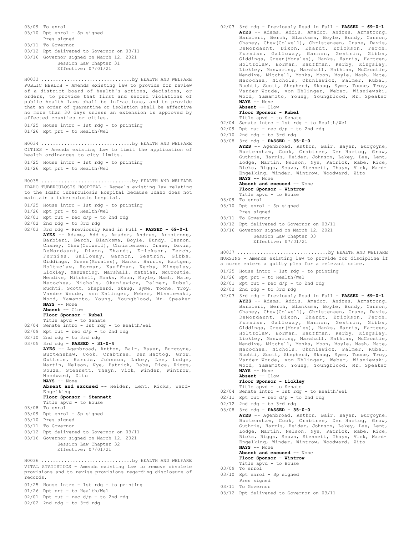03/09 To enrol 03/10 Rpt enrol - Sp signed

- Pres signed
- 03/11 To Governor
- 03/12 Rpt delivered to Governor on 03/11
- 03/16 Governor signed on March 12, 2021
	- Session Law Chapter 31 Effective: 07/01/21

PUBLIC HEALTH - Amends existing law to provide for review of a district board of health's actions, decisions, or orders, to provide that first and second violations of public health laws shall be infractions, and to provide that an order of quarantine or isolation shall be effective no more than 30 days unless an extension is approved by affected counties or cities. H0033 ................................by HEALTH AND WELFARE

01/25 House intro - 1st rdg - to printing 01/26 Rpt prt - to Health/Wel

CITIES - Amends existing law to limit the application of health ordinances to city limits. H0034 ................................by HEALTH AND WELFARE

01/25 House intro - 1st rdg - to printing 01/26 Rpt prt - to Health/Wel

IDAHO TUBERCULOSIS HOSPITAL - Repeals existing law relating to the Idaho Tuberculosis Hospital because Idaho does not maintain a tuberculosis hospital. H0035 ................................by HEALTH AND WELFARE

- 01/25 House intro 1st rdg to printing
- 01/26 Rpt prt to Health/Wel
- $02/01$  Rpt out rec  $d/p$  to 2nd rdg
- 02/02 2nd rdg to 3rd rdg
- 02/03 3rd rdg Previously Read in Full **PASSED 69-0-1 AYES** -- Adams, Addis, Amador, Andrus, Armstrong, Barbieri, Berch, Blanksma, Boyle, Bundy, Cannon, Chaney, Chew(Colwell), Christensen, Crane, Davis, DeMordaunt, Dixon, Ehardt, Erickson, Ferch, Furniss, Galloway, Gannon, Gestrin, Gibbs, Giddings, Green(Morales), Hanks, Harris, Hartgen, Holtzclaw, Horman, Kauffman, Kerby, Kingsley, Lickley, Manwaring, Marshall, Mathias, McCrostie, Mendive, Mitchell, Monks, Moon, Moyle, Nash, Nate, Necochea, Nichols, Okuniewicz, Palmer, Rubel, Ruchti, Scott, Shepherd, Skaug, Syme, Toone, Troy, Vander Woude, von Ehlinger, Weber, Wisniewski, Wood, Yamamoto, Young, Youngblood, Mr. Speaker **NAYS** -- None
	- **Absent** -- Clow

### **Floor Sponsor - Rubel**

- Title apvd to Senate
- 02/04 Senate intro 1st rdg to Health/Wel
- 02/09 Rpt out rec d/p to 2nd rdg 02/10 2nd rdg - to 3rd rdg
- 
- 03/05 3rd rdg **PASSED 31-0-4 AYES** -- Agenbroad, Anthon, Bair, Bayer, Burgoyne, Burtenshaw, Cook, Crabtree, Den Hartog, Grow, Guthrie, Harris, Johnson, Lakey, Lee, Lodge, Martin, Nelson, Nye, Patrick, Rabe, Rice, Riggs, Souza, Stennett, Thayn, Vick, Winder, Wintrow, Woodward, Zito **NAYS** -- None

**Absent and excused** -- Heider, Lent, Ricks, Ward-Engelking

- **Floor Sponsor Stennett** Title apvd - to House
- 03/08 To enrol
- 03/09 Rpt enrol Sp signed
- 03/10 Pres signed
- 03/11 To Governor
- 03/12 Rpt delivered to Governor on 03/11
- 03/16 Governor signed on March 12, 2021
- Session Law Chapter 32
	- Effective: 07/01/21

VITAL STATISTICS - Amends existing law to remove obsolete provisions and to revise provisions regarding disclosure of records. H0036 ................................by HEALTH AND WELFARE

- 01/25 House intro 1st rdg to printing
- 01/26 Rpt prt to Health/Wel
- $02/01$  Rpt out rec  $d/p$  to 2nd rdg 02/02 2nd rdg - to 3rd rdg
- 02/03 3rd rdg Previously Read in Full **PASSED 69-0-1 AYES** -- Adams, Addis, Amador, Andrus, Armstrong, Barbieri, Berch, Blanksma, Boyle, Bundy, Cannon, Chaney, Chew(Colwell), Christensen, Crane, Davis, DeMordaunt, Dixon, Ehardt, Erickson, Ferch, Furniss, Galloway, Gannon, Gestrin, Gibbs, Giddings, Green(Morales), Hanks, Harris, Hartgen, Holtzclaw, Horman, Kauffman, Kerby, Kingsley, Lickley, Manwaring, Marshall, Mathias, McCrostie, Mendive, Mitchell, Monks, Moon, Moyle, Nash, Nate, Necochea, Nichols, Okuniewicz, Palmer, Rubel, Ruchti, Scott, Shepherd, Skaug, Syme, Toone, Troy, Vander Woude, von Ehlinger, Weber, Wisniewski, Wood, Yamamoto, Young, Youngblood, Mr. Speaker **NAYS** -- None **Absent** -- Clow
	-
	- **Floor Sponsor Rubel** Title apvd - to Senate
- 02/04 Senate intro 1st rdg to Health/Wel
- $02/09$  Rpt out rec  $d/p$  to 2nd rdg
- 02/10 2nd rdg to 3rd rdg
- 03/08 3rd rdg **PASSED 35-0-0 AYES** -- Agenbroad, Anthon, Bair, Bayer, Burgoyne, Burtenshaw, Cook, Crabtree, Den Hartog, Grow, Guthrie, Harris, Heider, Johnson, Lakey, Lee, Lent, Lodge, Martin, Nelson, Nye, Patrick, Rabe, Rice, Ricks, Riggs, Souza, Stennett, Thayn, Vick, Ward-Engelking, Winder, Wintrow, Woodward, Zito **NAYS** -- None Absent and excused -- None
	- **Floor Sponsor Wintrow**
	- Title apvd to House
- 03/09 To enrol
- 03/10 Rpt enrol Sp signed
- Pres signed 03/11 To Governor
- 
- 03/12 Rpt delivered to Governor on 03/11

03/16 Governor signed on March 12, 2021 Session Law Chapter 33 Effective: 07/01/21

NURSING - Amends existing law to provide for discipline if a nurse enters a guilty plea for a relevant crime. H0037 ................................by HEALTH AND WELFARE

- 01/25 House intro 1st rdg to printing
- 01/26 Rpt prt to Health/Wel
- $02/01$  Rpt out rec  $d/p$  to 2nd rdg
- 02/02 2nd rdg to 3rd rdg
- 02/03 3rd rdg Previously Read in Full **PASSED 69-0-1 AYES** -- Adams, Addis, Amador, Andrus, Armstrong, Barbieri, Berch, Blanksma, Boyle, Bundy, Cannon, Chaney, Chew(Colwell), Christensen, Crane, Davis, DeMordaunt, Dixon, Ehardt, Erickson, Ferch, Furniss, Galloway, Gannon, Gestrin, Gibbs, Giddings, Green(Morales), Hanks, Harris, Hartgen, Holtzclaw, Horman, Kauffman, Kerby, Kingsley, Lickley, Manwaring, Marshall, Mathias, McCrostie, Mendive, Mitchell, Monks, Moon, Moyle, Nash, Nate, Necochea, Nichols, Okuniewicz, Palmer, Rubel, Ruchti, Scott, Shepherd, Skaug, Syme, Toone, Troy, Vander Woude, von Ehlinger, Weber, Wisniewski, Wood, Yamamoto, Young, Youngblood, Mr. Speaker **NAYS** -- None **Absent** -- Clow

#### **Floor Sponsor - Lickley** Title apvd - to Senate

- 02/04 Senate intro 1st rdg to Health/Wel
- $02/11$  Rpt out rec  $d/p$  to 2nd rdg
- 02/12 2nd rdg to 3rd rdg
- 03/08 3rd rdg **PASSED 35-0-0 AYES** -- Agenbroad, Anthon, Bair, Bayer, Burgoyne, Burtenshaw, Cook, Crabtree, Den Hartog, Grow, Guthrie, Harris, Heider, Johnson, Lakey, Lee, Lent, Lodge, Martin, Nelson, Nye, Patrick, Rabe, Rice, Ricks, Riggs, Souza, Stennett, Thayn, Vick, Ward-Engelking, Winder, Wintrow, Woodward, Zito **NAYS** -- None **Absent and excused** -- None **Floor Sponsor - Wintrow** Title apvd - to House
- 03/09 To enrol
- 03/10 Rpt enrol Sp signed Pres signed
- 03/11 To Governor
- 03/12 Rpt delivered to Governor on 03/11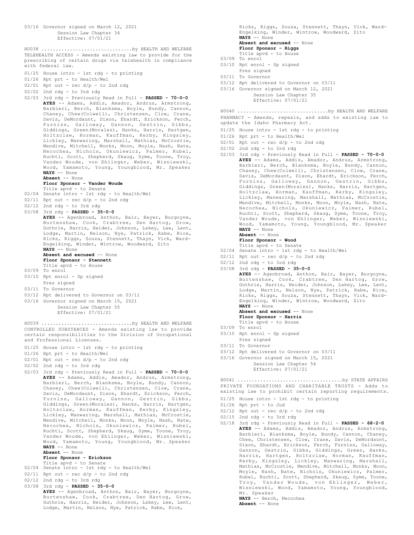03/16 Governor signed on March 12, 2021 Session Law Chapter 34 Effective: 07/01/21 TELEHEALTH ACCESS - Amends existing law to provide for the prescribing of certain drugs via telehealth in compliance with federal law. 01/25 House intro - 1st rdg - to printing 01/26 Rpt prt - to Health/Wel  $02/01$  Rpt out - rec  $d/p$  - to 2nd rdg 02/02 2nd rdg - to 3rd rdg 02/03 3rd rdg - Previously Read in Full - **PASSED - 70-0-0 AYES** -- Adams, Addis, Amador, Andrus, Armstrong, Barbieri, Berch, Blanksma, Boyle, Bundy, Cannon, Chaney, Chew(Colwell), Christensen, Clow, Crane, Davis, DeMordaunt, Dixon, Ehardt, Erickson, Ferch, Furniss, Galloway, Gannon, Gestrin, Gibbs, Giddings, Green(Morales), Hanks, Harris, Hartgen, Holtzclaw, Horman, Kauffman, Kerby, Kingsley, Lickley, Manwaring, Marshall, Mathias, McCrostie, Mendive, Mitchell, Monks, Moon, Moyle, Nash, Nate, Necochea, Nichols, Okuniewicz, Palmer, Rubel, Ruchti, Scott, Shepherd, Skaug, Syme, Toone, Troy, Vander Woude, von Ehlinger, Weber, Wisniewski, Wood, Yamamoto, Young, Youngblood, Mr. Speaker **NAYS** -- None **Absent** -- None **Floor Sponsor - Vander Woude** Title apvd - to Senate 02/04 Senate intro - 1st rdg - to Health/Wel  $02/11$  Rpt out - rec  $d/p$  - to 2nd rdg 02/12 2nd rdg - to 3rd rdg 03/08 3rd rdg - **PASSED - 35-0-0 AYES** -- Agenbroad, Anthon, Bair, Bayer, Burgoyne, Burtenshaw, Cook, Crabtree, Den Hartog, Grow, Guthrie, Harris, Heider, Johnson, Lakey, Lee, Lent, Lodge, Martin, Nelson, Nye, Patrick, Rabe, Rice, Ricks, Riggs, Souza, Stennett, Thayn, Vick, Ward-Engelking, Winder, Wintrow, Woodward, Zito **NAYS** -- None Absent and excused -- None **Floor Sponsor - Stennett** Title apvd - to House 03/09 To enrol 03/10 Rpt enrol - Sp signed Pres signed 03/11 To Governor 03/12 Rpt delivered to Governor on 03/11 03/16 Governor signed on March 15, 2021 Session Law Chapter 55 Effective: 07/01/21 H0038 ................................by HEALTH AND WELFARE CONTROLLED SUBSTANCES - Amends existing law to provide certain responsibilities to the Division of Occupational and Professional Licenses. 01/25 House intro - 1st rdg - to printing 01/26 Rpt prt - to Health/Wel 02/01 Rpt out - rec d/p - to 2nd rdg 02/02 2nd rdg - to 3rd rdg 02/03 3rd rdg - Previously Read in Full - **PASSED - 70-0-0 AYES** -- Adams, Addis, Amador, Andrus, Armstrong, Barbieri, Berch, Blanksma, Boyle, Bundy, Cannon, Chaney, Chew(Colwell), Christensen, Clow, Crane, Davis, DeMordaunt, Dixon, Ehardt, Erickson, Ferch, Furniss, Galloway, Gannon, Gestrin, Gibbs, Giddings, Green(Morales), Hanks, Harris, Hartgen, Holtzclaw, Horman, Kauffman, Kerby, Kingsley, Lickley, Manwaring, Marshall, Mathias, McCrostie, Mendive, Mitchell, Monks, Moon, Moyle, Nash, Nate, H0039 ................................by HEALTH AND WELFARE

Wood, Yamamoto, Young, Youngblood, Mr. Speaker **NAYS** -- None

### **Absent** -- None

**Floor Sponsor - Erickson**

- Title apvd to Senate 02/04 Senate intro 1st rdg to Health/Wel
- $02/11$  Rpt out rec  $d/p$  to 2nd rdg
- 
- 02/12 2nd rdg to 3rd rdg 03/08 3rd rdg - **PASSED - 35-0-0**
	- **AYES** -- Agenbroad, Anthon, Bair, Bayer, Burgoyne, Burtenshaw, Cook, Crabtree, Den Hartog, Grow, Guthrie, Harris, Heider, Johnson, Lakey, Lee, Lent, Lodge, Martin, Nelson, Nye, Patrick, Rabe, Rice,

Necochea, Nichols, Okuniewicz, Palmer, Rubel, Ruchti, Scott, Shepherd, Skaug, Syme, Toone, Troy, Vander Woude, von Ehlinger, Weber, Wisniewski,

Ricks, Riggs, Souza, Stennett, Thayn, Vick, Ward-Engelking, Winder, Wintrow, Woodward, Zito **NAYS** -- None

Absent and excused -- None

- **Floor Sponsor Riggs** Title apvd - to House
- 03/09 To enrol
- 03/10 Rpt enrol Sp signed
- Pres signed
- 03/11 To Governor
- 03/12 Rpt delivered to Governor on 03/11
- 03/16 Governor signed on March 12, 2021 Session Law Chapter 35 Effective: 07/01/21

PHARMACY - Amends, repeals, and adds to existing law to update the Idaho Pharmacy Act. H0040 ................................by HEALTH AND WELFARE

- 01/25 House intro 1st rdg to printing
- 01/26 Rpt prt to Health/Wel
- $02/01$  Rpt out rec  $d/p$  to 2nd rdg
- $02/02$  2nd rdg to 3rd rdg
- 02/03 3rd rdg Previously Read in Full **PASSED 70-0-0 AYES** -- Adams, Addis, Amador, Andrus, Armstrong, Barbieri, Berch, Blanksma, Boyle, Bundy, Cannon, Chaney, Chew(Colwell), Christensen, Clow, Crane, Davis, DeMordaunt, Dixon, Ehardt, Erickson, Ferch, Furniss, Galloway, Gannon, Gestrin, Gibbs, Giddings, Green(Morales), Hanks, Harris, Hartgen, Holtzclaw, Horman, Kauffman, Kerby, Kingsley, Lickley, Manwaring, Marshall, Mathias, McCrostie, Mendive, Mitchell, Monks, Moon, Moyle, Nash, Nate, Necochea, Nichols, Okuniewicz, Palmer, Rubel, Ruchti, Scott, Shepherd, Skaug, Syme, Toone, Troy, Vander Woude, von Ehlinger, Weber, Wisniewski, Wood, Yamamoto, Young, Youngblood, Mr. Speaker **NAYS** -- None **Absent** -- None
	- **Floor Sponsor Wood**
	-
- Title apvd to Senate 02/04 Senate intro 1st rdg to Health/Wel
- $02/11$  Rpt out rec  $d/p$  to 2nd rdg
- 02/12 2nd rdg to 3rd rdg
- 03/08 3rd rdg **PASSED 35-0-0 AYES** -- Agenbroad, Anthon, Bair, Bayer, Burgoyne, Burtenshaw, Cook, Crabtree, Den Hartog, Grow, Guthrie, Harris, Heider, Johnson, Lakey, Lee, Lent, Lodge, Martin, Nelson, Nye, Patrick, Rabe, Rice, Ricks, Riggs, Souza, Stennett, Thayn, Vick, Ward-Engelking, Winder, Wintrow, Woodward, Zito **NAYS** -- None Absent and excused -- None **Floor Sponsor - Harris** Title apvd - to House 03/09 To enrol 03/10 Rpt enrol - Sp signed
- Pres signed
- 03/11 To Governor
- 03/12 Rpt delivered to Governor on 03/11
- 03/16 Governor signed on March 15, 2021 Session Law Chapter 54 Effective: 07/01/21

PRIVATE FOUNDATIONS AND CHARITABLE TRUSTS - Adds to existing law to prohibit certain reporting requirements. H0041 .....................................by STATE AFFAIRS

- 01/25 House intro 1st rdg to printing
- 01/26 Rpt prt to Jud
- $02/12$  Rpt out rec  $d/p$  to 2nd rdg
- 02/15 2nd rdg to 3rd rdg
- 02/18 3rd rdg Previously Read in Full **PASSED 68-2-0 AYES** -- Adams, Addis, Amador, Andrus, Armstrong, Barbieri, Blanksma, Boyle, Bundy, Cannon, Chaney, Chew, Christensen, Clow, Crane, Davis, DeMordaunt, Dixon, Ehardt, Erickson, Ferch, Furniss, Galloway, Gannon, Gestrin, Gibbs, Giddings, Green, Hanks, Harris, Hartgen, Holtzclaw, Horman, Kauffman, Kerby, Kingsley, Lickley, Manwaring, Marshall, Mathias, McCrostie, Mendive, Mitchell, Monks, Moon, Moyle, Nash, Nate, Nichols, Okuniewicz, Palmer, Rubel, Ruchti, Scott, Shepherd, Skaug, Syme, Toone, Troy, Vander Woude, von Ehlinger, Weber, Wisniewski, Wood, Yamamoto, Young, Youngblood, Mr. Speaker **NAYS** -- Berch, Necochea
	- **Absent** -- None
	-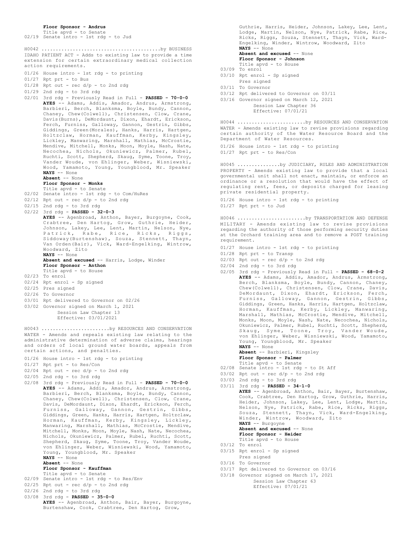**Floor Sponsor - Andrus**

Title apvd - to Senate 02/19 Senate intro - 1st rdg - to Jud

IDAHO PATIENT ACT - Adds to existing law to provide a time extension for certain extraordinary medical collection action requirements. H0042 ..........................................by BUSINESS

01/26 House intro - 1st rdg - to printing

- 01/27 Rpt prt to Bus
- 01/28 Rpt out rec d/p to 2nd rdg
- 01/29 2nd rdg to 3rd rdg
- 02/01 3rd rdg Previously Read in Full **PASSED 70-0-0 AYES** -- Adams, Addis, Amador, Andrus, Armstrong, Barbieri, Berch, Blanksma, Boyle, Bundy, Cannon, Chaney, Chew(Colwell), Christensen, Clow, Crane, Davis(Burns), DeMordaunt, Dixon, Ehardt, Erickson, Ferch, Furniss, Galloway, Gannon, Gestrin, Gibbs, Giddings, Green(Morales), Hanks, Harris, Hartgen, Holtzclaw, Horman, Kauffman, Kerby, Kingsley, Lickley, Manwaring, Marshall, Mathias, McCrostie, Mendive, Mitchell, Monks, Moon, Moyle, Nash, Nate, Necochea, Nichols, Okuniewicz, Palmer, Rubel, Ruchti, Scott, Shepherd, Skaug, Syme, Toone, Troy, Vander Woude, von Ehlinger, Weber, Wisniewski, Wood, Yamamoto, Young, Youngblood, Mr. Speaker **NAYS** -- None

### **Absent** -- None

### **Floor Sponsor - Monks**

- Title apvd to Senate
- 02/02 Senate intro 1st rdg to Com/HuRes
- 02/12 Rpt out rec d/p to 2nd rdg
- 02/15 2nd rdg to 3rd rdg
- 02/22 3rd rdg **PASSED 32-0-3**
- **AYES** -- Agenbroad, Anthon, Bayer, Burgoyne, Cook, Crabtree, Den Hartog, Grow, Guthrie, Heider, Johnson, Lakey, Lee, Lent, Martin, Nelson, Nye, Patrick, Rabe, Rice, Ricks, Riggs, Siddoway(Burtenshaw), Souza, Stennett, Thayn, Van Orden(Bair), Vick, Ward-Engelking, Wintrow, Woodward, Zito **NAYS** -- None

**Absent and excused** -- Harris, Lodge, Winder **Floor Sponsor - Anthon**

- Title apvd to House
- 02/23 To enrol
- 02/24 Rpt enrol Sp signed
- 02/25 Pres signed
- 02/26 To Governor
- 03/01 Rpt delivered to Governor on 02/26
- 03/02 Governor signed on March 1, 2021 Session Law Chapter 13 Effective: 03/01/2021

WATER - Amends and repeals existing law relating to the administrative determination of adverse claims, hearings and orders of local ground water boards, appeals from certain actions, and penalties. H0043 ........................by RESOURCES AND CONSERVATION

- 01/26 House intro 1st rdg to printing
- 01/27 Rpt prt to Res/Con
- 02/04 Rpt out rec d/p to 2nd rdg
- 02/05 2nd rdg to 3rd rdg
- 02/08 3rd rdg Previously Read in Full **PASSED 70-0-0 AYES** -- Adams, Addis, Amador, Andrus, Armstrong, Barbieri, Berch, Blanksma, Boyle, Bundy, Cannon, Chaney, Chew(Colwell), Christensen, Clow, Crane, Davis, DeMordaunt, Dixon, Ehardt, Erickson, Ferch, Furniss, Galloway, Gannon, Gestrin, Gibbs, Giddings, Green, Hanks, Harris, Hartgen, Holtzclaw, Horman, Kauffman, Kerby, Kingsley, Lickley, Manwaring, Marshall, Mathias, McCrostie, Mendive, Mitchell, Monks, Moon, Moyle, Nash, Nate, Necochea, Nichols, Okuniewicz, Palmer, Rubel, Ruchti, Scott, Shepherd, Skaug, Syme, Toone, Troy, Vander Woude, von Ehlinger, Weber, Wisniewski, Wood, Yamamoto, Young, Youngblood, Mr. Speaker **NAYS** -- None
	- **Absent** -- None

## **Floor Sponsor - Kauffman**

### Title apvd - to Senate

- 02/09 Senate intro 1st rdg to Res/Env
- 02/25 Rpt out rec d/p to 2nd rdg
- 02/26 2nd rdg to 3rd rdg
- 
- 03/08 3rd rdg **PASSED 35-0-0 AYES** -- Agenbroad, Anthon, Bair, Bayer, Burgoyne, Burtenshaw, Cook, Crabtree, Den Hartog, Grow,

Guthrie, Harris, Heider, Johnson, Lakey, Lee, Lent, Lodge, Martin, Nelson, Nye, Patrick, Rabe, Rice, Ricks, Riggs, Souza, Stennett, Thayn, Vick, Ward-Engelking, Winder, Wintrow, Woodward, Zito **NAYS** -- None

### Absent and excused -- None

- **Floor Sponsor Johnson** Title apvd - to House
- 03/09 To enrol
- 03/10 Rpt enrol Sp signed Pres signed
- 03/11 To Governor
- 03/12 Rpt delivered to Governor on 03/11
- 03/16 Governor signed on March 12, 2021
	- Session Law Chapter 36 Effective: 07/01/21

WATER - Amends existing law to revise provisions regarding certain authority of the Water Resource Board and the Department of Water Resources. H0044 ........................by RESOURCES AND CONSERVATION

01/26 House intro - 1st rdg - to printing

01/27 Rpt prt - to Res/Con

PROPERTY - Amends existing law to provide that a local governmental unit shall not enact, maintain, or enforce an ordinance or a resolution that would have the effect of regulating rent, fees, or deposits charged for leasing private residential property. H0045 ...............by JUDICIARY, RULES AND ADMINISTRATION

01/26 House intro - 1st rdg - to printing 01/27 Rpt prt - to Jud

MILITARY - Amends existing law to revise provisions regarding the authority of those performing security duties at the Orchard training area and to remove a POST training requirement. H0046 ........................by TRANSPORTATION AND DEFENSE

- 01/27 House intro 1st rdg to printing
- 01/28 Rpt prt to Transp
- $02/03$  Rpt out rec  $d/p$  to 2nd rdg
- 02/04 2nd rdg to 3rd rdg
- 02/05 3rd rdg Previously Read in Full **PASSED 68-0-2 AYES** -- Adams, Addis, Amador, Andrus, Armstrong, Berch, Blanksma, Boyle, Bundy, Cannon, Chaney, Chew(Colwell), Christensen, Clow, Crane, Davis, DeMordaunt, Dixon, Ehardt, Erickson, Ferch, Furniss, Galloway, Gannon, Gestrin, Gibbs, Giddings, Green, Hanks, Harris, Hartgen, Holtzclaw, Horman, Kauffman, Kerby, Lickley, Manwaring, Marshall, Mathias, McCrostie, Mendive, Mitchell, Monks, Moon, Moyle, Nash, Nate, Necochea, Nichols, Okuniewicz, Palmer, Rubel, Ruchti, Scott, Shepherd, Skaug, Syme, Toone, Troy, Vander Woude, von Ehlinger, Weber, Wisniewski, Wood, Yamamoto, Young, Youngblood, Mr. Speaker **NAYS** -- None

**Absent** -- Barbieri, Kingsley

- **Floor Sponsor Palmer**
- Title apvd to Senate 02/08 Senate intro 1st rdg to St Aff
- 
- $03/02$  Rpt out rec  $d/p$  to 2nd rdg 03/03 2nd rdg - to 3rd rdg
- 03/11 3rd rdg **PASSED 34-1-0 AYES** -- Agenbroad, Anthon, Bair, Bayer, Burtenshaw,

```
Cook, Crabtree, Den Hartog, Grow, Guthrie, Harris,
Heider, Johnson, Lakey, Lee, Lent, Lodge, Martin,
Nelson, Nye, Patrick, Rabe, Rice, Ricks, Riggs,
Souza, Stennett, Thayn, Vick, Ward-Engelking,
Winder, Wintrow, Woodward, Zito
NAYS -- Burgoyne
Absent and excused -- None
Floor Sponsor - Heider
Title apvd - to House
```
- 03/12 To enrol
- 03/15 Rpt enrol Sp signed
- Pres signed
- 03/16 To Governor
- 03/17 Rpt delivered to Governor on 03/16
- 03/18 Governor signed on March 17, 2021
	- Session Law Chapter 63 Effective: 07/01/21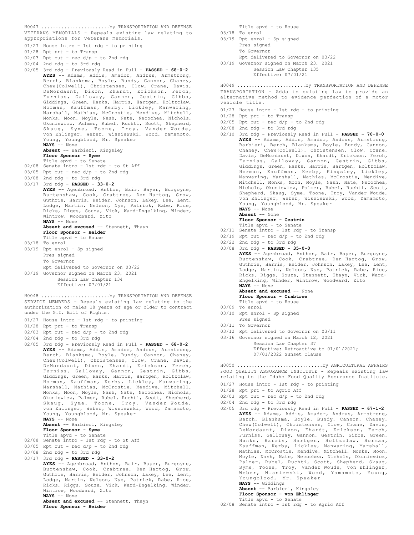VETERANS MEMORIALS - Repeals existing law relating to appropriations for veterans memorials. H0047 ........................by TRANSPORTATION AND DEFENSE

- 01/27 House intro 1st rdg to printing
- 01/28 Rpt prt to Transp
- 02/03 Rpt out rec  $d/p$  to 2nd rdg
- 02/04 2nd rdg to 3rd rdg
- 02/05 3rd rdg Previously Read in Full **PASSED 68-0-2 AYES** -- Adams, Addis, Amador, Andrus, Armstrong, Berch, Blanksma, Boyle, Bundy, Cannon, Chaney, Chew(Colwell), Christensen, Clow, Crane, Davis, DeMordaunt, Dixon, Ehardt, Erickson, Ferch, Furniss, Galloway, Gannon, Gestrin, Gibbs, Giddings, Green, Hanks, Harris, Hartgen, Holtzclaw, Horman, Kauffman, Kerby, Lickley, Manwaring, Marshall, Mathias, McCrostie, Mendive, Mitchell, Monks, Moon, Moyle, Nash, Nate, Necochea, Nichols, Okuniewicz, Palmer, Rubel, Ruchti, Scott, Shepherd, Skaug, Syme, Toone, Troy, Vander Woude, von Ehlinger, Weber, Wisniewski, Wood, Yamamoto, Young, Youngblood, Mr. Speaker **NAYS** -- None **Absent** -- Barbieri, Kingsley

### **Floor Sponsor - Syme**

- 
- Title apvd to Senate 02/08 Senate intro 1st rdg to St Aff
- 03/05 Rpt out rec d/p to 2nd rdg
- 03/08 2nd rdg to 3rd rdg
- 03/17 3rd rdg **PASSED 33-0-2**
- AYES -- Agenbroad, Anthon, Bair, Bayer, Burgoyne, Burtenshaw, Cook, Crabtree, Den Hartog, Grow, Guthrie, Harris, Heider, Johnson, Lakey, Lee, Lent, Lodge, Martin, Nelson, Nye, Patrick, Rabe, Rice, Ricks, Riggs, Souza, Vick, Ward-Engelking, Winder, Wintrow, Woodward, Zito **NAYS** -- None
	- **Absent and excused** -- Stennett, Thayn **Floor Sponsor - Heider** Title apvd - to House
- 03/18 To enrol
- 03/19 Rpt enrol Sp signed Pres signed To Governor Rpt delivered to Governor on 03/22
- 03/19 Governor signed on March 23, 2021 Session Law Chapter 134 Effective: 07/01/21
- SERVICE MEMBERS Repeals existing law relating to the authorization of males 18 years of age or older to contract under the G.I. Bill of Rights. H0048 ........................by TRANSPORTATION AND DEFENSE
- 01/27 House intro 1st rdg to printing
- 01/28 Rpt prt to Transp
- $02/03$  Rpt out rec  $d/p$  to 2nd rdg
- $02/04$  2nd rdg to 3rd rdg
- 02/05 3rd rdg Previously Read in Full **PASSED 68-0-2 AYES** -- Adams, Addis, Amador, Andrus, Armstrong, Berch, Blanksma, Boyle, Bundy, Cannon, Chaney, Chew(Colwell), Christensen, Clow, Crane, Davis, DeMordaunt, Dixon, Ehardt, Erickson, Ferch, Furniss, Galloway, Gannon, Gestrin, Gibbs, Giddings, Green, Hanks, Harris, Hartgen, Holtzclaw, Horman, Kauffman, Kerby, Lickley, Manwaring, Marshall, Mathias, McCrostie, Mendive, Mitchell, Monks, Moon, Moyle, Nash, Nate, Necochea, Nichols, Okuniewicz, Palmer, Rubel, Ruchti, Scott, Shepherd, Skaug, Syme, Toone, Troy, Vander Woude, von Ehlinger, Weber, Wisniewski, Wood, Yamamoto, Young, Youngblood, Mr. Speaker **NAYS** -- None **Absent** -- Barbieri, Kingsley **Floor Sponsor - Syme** Title apvd - to Senate
- 02/08 Senate intro 1st rdg to St Aff
- 03/05 Rpt out rec  $d/p$  to 2nd rdg
- 03/08 2nd rdg to 3rd rdg
- 

03/17 3rd rdg - **PASSED - 33-0-2 AYES** -- Agenbroad, Anthon, Bair, Bayer, Burgoyne, Burtenshaw, Cook, Crabtree, Den Hartog, Grow, Guthrie, Harris, Heider, Johnson, Lakey, Lee, Lent, Lodge, Martin, Nelson, Nye, Patrick, Rabe, Rice, Ricks, Riggs, Souza, Vick, Ward-Engelking, Winder, Wintrow, Woodward, Zito **NAYS** -- None

Absent and excused -- Stennett, Thayn **Floor Sponsor - Heider**

- Title apvd to House 03/18 To enrol
- 03/19 Rpt enrol Sp signed Pres signed To Governor
	- Rpt delivered to Governor on 03/22
- 03/19 Governor signed on March 23, 2021

Session Law Chapter 135 Effective: 07/01/21

TRANSPORTATION - Adds to existing law to provide an alternative method to evidence perfection of a motor vehicle title. H0049 ........................by TRANSPORTATION AND DEFENSE

- 01/27 House intro 1st rdg to printing
- 01/28 Rpt prt to Transp
- $02/05$  Rpt out rec  $d/p$  to 2nd rdg
- 02/08 2nd rdg to 3rd rdg
- 02/10 3rd rdg Previously Read in Full **PASSED 70-0-0 AYES** -- Adams, Addis, Amador, Andrus, Armstrong, Barbieri, Berch, Blanksma, Boyle, Bundy, Cannon, Chaney, Chew(Colwell), Christensen, Clow, Crane, Davis, DeMordaunt, Dixon, Ehardt, Erickson, Ferch, Furniss, Galloway, Gannon, Gestrin, Gibbs, Giddings, Green, Hanks, Harris, Hartgen, Holtzclaw, Horman, Kauffman, Kerby, Kingsley, Lickley, Manwaring, Marshall, Mathias, McCrostie, Mendive, Mitchell, Monks, Moon, Moyle, Nash, Nate, Necochea, Nichols, Okuniewicz, Palmer, Rubel, Ruchti, Scott, Shepherd, Skaug, Syme, Toone, Troy, Vander Woude, von Ehlinger, Weber, Wisniewski, Wood, Yamamoto, Young, Youngblood, Mr. Speaker **NAYS** -- None
	- **Absent** -- None
	- **Floor Sponsor Gestrin**
- Title apvd to Senate 02/11 Senate intro 1st rdg to Transp
- $02/19$  Rpt out rec  $d/p$  to 2nd rdg
- 02/22 2nd rdg to 3rd rdg
- 03/08 3rd rdg **PASSED 35-0-0 AYES** -- Agenbroad, Anthon, Bair, Bayer, Burgoyne, Burtenshaw, Cook, Crabtree, Den Hartog, Grow, Guthrie, Harris, Heider, Johnson, Lakey, Lee, Lent, Lodge, Martin, Nelson, Nye, Patrick, Rabe, Rice, Ricks, Riggs, Souza, Stennett, Thayn, Vick, Ward-Engelking, Winder, Wintrow, Woodward, Zito **NAYS** -- None Absent and excused -- None **Floor Sponsor - Crabtree** Title apvd - to House 03/09 To enrol
- 03/10 Rpt enrol Sp signed Pres signed
- 03/11 To Governor
- 03/12 Rpt delivered to Governor on 03/11
- 03/16 Governor signed on March 12, 2021 Session Law Chapter 37 Effective: Retroactive to 01/01/2021; 07/01/2022 Sunset Clause

FOOD QUALITY ASSURANCE INSTITUTE - Repeals existing law relating to the Idaho Food Quality Assurance Institute. H0050 ..............................by AGRICULTURAL AFFAIRS

- 01/27 House intro 1st rdg to printing
- 01/28 Rpt prt to Agric Aff
- $02/03$  Rpt out rec  $d/p$  to 2nd rdg
- 02/04 2nd rdg to 3rd rdg
- 02/05 3rd rdg Previously Read in Full **PASSED 67-1-2 AYES** -- Adams, Addis, Amador, Andrus, Armstrong, Berch, Blanksma, Boyle, Bundy, Cannon, Chaney, Chew(Colwell), Christensen, Clow, Crane, Davis, DeMordaunt, Dixon, Ehardt, Erickson, Ferch, Furniss, Galloway, Gannon, Gestrin, Gibbs, Green, Hanks, Harris, Hartgen, Holtzclaw, Horman, Kauffman, Kerby, Lickley, Manwaring, Marshall, Mathias, McCrostie, Mendive, Mitchell, Monks, Moon, Moyle, Nash, Nate, Necochea, Nichols, Okuniewicz, Palmer, Rubel, Ruchti, Scott, Shepherd, Skaug, Syme, Toone, Troy, Vander Woude, von Ehlinger, Weber, Wisniewski, Wood, Yamamoto, Young, Youngblood, Mr. Speaker **NAYS** -- Giddings
	- **Absent** -- Barbieri, Kingsley

**Floor Sponsor - von Ehlinger**

- Title apvd to Senate
- 02/08 Senate intro 1st rdg to Agric Aff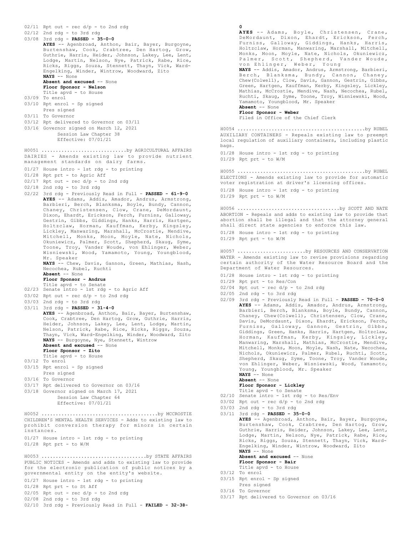02/11 Rpt out - rec d/p - to 2nd rdg 02/12 2nd rdg - to 3rd rdg 03/08 3rd rdg - **PASSED - 35-0-0 AYES** -- Agenbroad, Anthon, Bair, Bayer, Burgoyne, Burtenshaw, Cook, Crabtree, Den Hartog, Grow, Guthrie, Harris, Heider, Johnson, Lakey, Lee, Lent, Lodge, Martin, Nelson, Nye, Patrick, Rabe, Rice, Ricks, Riggs, Souza, Stennett, Thayn, Vick, Ward-Engelking, Winder, Wintrow, Woodward, Zito **NAYS** -- None **Absent and excused** -- None **Floor Sponsor - Nelson** Title apvd - to House 03/09 To enrol 03/10 Rpt enrol - Sp signed Pres signed 03/11 To Governor 03/12 Rpt delivered to Governor on 03/11 03/16 Governor signed on March 12, 2021 Session Law Chapter 38 Effective: 07/01/21 DAIRIES - Amends existing law to provide nutrient management standards on dairy farms. 01/27 House intro - 1st rdg - to printing 01/28 Rpt prt - to Agric Aff 02/17 Rpt out - rec d/p - to 2nd rdg 02/18 2nd rdg - to 3rd rdg 02/22 3rd rdg - Previously Read in Full - **PASSED - 61-9-0 AYES** -- Adams, Addis, Amador, Andrus, Armstrong, Barbieri, Berch, Blanksma, Boyle, Bundy, Cannon, Chaney, Christensen, Clow, Crane, DeMordaunt, Dixon, Ehardt, Erickson, Ferch, Furniss, Galloway, Gestrin, Gibbs, Giddings, Hanks, Harris, Hartgen, Holtzclaw, Horman, Kauffman, Kerby, Kingsley, Lickley, Manwaring, Marshall, McCrostie, Mendive, Mitchell, Monks, Moon, Moyle, Nate, Nichols, Okuniewicz, Palmer, Scott, Shepherd, Skaug, Syme, Toone, Troy, Vander Woude, von Ehlinger, Weber, Wisniewski, Wood, Yamamoto, Young, Youngblood, Mr. Speaker **NAYS** -- Chew, Davis, Gannon, Green, Mathias, Nash, Necochea, Rubel, Ruchti **Absent** -- None **Floor Sponsor - Andrus** Title apvd - to Senate 02/23 Senate intro - 1st rdg - to Agric Aff 03/02 Rpt out - rec  $d/p$  - to 2nd rdg 03/03 2nd rdg - to 3rd rdg 03/11 3rd rdg - **PASSED - 31-4-0 AYES** -- Agenbroad, Anthon, Bair, Bayer, Burtenshaw, Cook, Crabtree, Den Hartog, Grow, Guthrie, Harris, Heider, Johnson, Lakey, Lee, Lent, Lodge, Martin, Nelson, Patrick, Rabe, Rice, Ricks, Riggs, Souza, Thayn, Vick, Ward-Engelking, Winder, Woodward, Zito **NAYS** -- Burgoyne, Nye, Stennett, Wintrow **Absent and excused** -- None **Floor Sponsor - Zito** Title apvd - to House 03/12 To enrol 03/15 Rpt enrol - Sp signed Pres signed 03/16 To Governor 03/17 Rpt delivered to Governor on 03/16 03/18 Governor signed on March 17, 2021 Session Law Chapter 64 Effective: 07/01/21 H0051 ..............................by AGRICULTURAL AFFAIRS CHILDREN'S MENTAL HEALTH SERVICES - Adds to existing law to prohibit conversion therapy for minors in certain instances. 01/27 House intro - 1st rdg - to printing  $01/28$  Rpt prt - to  $W/M$ H0052 .........................................by MCCROSTIE PUBLIC NOTICES - Amends and adds to existing law to provide for the electronic publication of public notices by a governmental entity on the entity's website. 01/27 House intro - 1st rdg - to printing 01/28 Rpt prt - to St Aff 02/05 Rpt out - rec d/p - to 2nd rdg 02/08 2nd rdg - to 3rd rdg H0053 .....................................by STATE AFFAIRS

02/10 3rd rdg - Previously Read in Full - **FAILED - 32-38-**

### **0 AYES** -- Adams, Boyle, Christensen, Crane, DeMordaunt, Dixon, Ehardt, Erickson, Ferch, Furniss, Galloway, Giddings, Hanks, Harris, Holtzclaw, Horman, Manwaring, Marshall, Mitchell, Monks, Moon, Moyle, Nate, Nichols, Okuniewicz, Palmer, Scott, Shepherd, Vander Woude,<br>von Ehlinger, Weber, Young von Ehlinger, **NAYS** -- Addis, Amador, Andrus, Armstrong, Barbieri, Berch, Blanksma, Bundy, Cannon, Chaney, Chew(Colwell), Clow, Davis, Gannon, Gestrin, Gibbs, Green, Hartgen, Kauffman, Kerby, Kingsley, Lickley, Mathias, McCrostie, Mendive, Nash, Necochea, Rubel, Ruchti, Skaug, Syme, Toone, Troy, Wisniewski, Wood, Yamamoto, Youngblood, Mr. Speaker **Absent** -- None **Floor Sponsor - Weber** Filed in Office of the Chief Clerk AUXILIARY CONTAINERS - Repeals existing law to preempt local regulation of auxiliary containers, including plastic bags. 01/28 House intro - 1st rdg - to printing  $01/29$  Rpt prt - to  $W/M$ H0054 .............................................by RUBEL ELECTIONS - Amends existing law to provide for automatic voter registration at driver's licensing offices. 01/28 House intro - 1st rdg - to printing  $01/29$  Rpt prt - to  $W/M$ H0055 .............................................by RUBEL ABORTION - Repeals and adds to existing law to provide that abortion shall be illegal and that the attorney general shall direct state agencies to enforce this law. 01/28 House intro - 1st rdg - to printing 01/29 Rpt prt - to W/M H0056 ....................................by SCOTT AND NATE WATER - Amends existing law to revise provisions regarding certain authority of the Water Resource Board and the Department of Water Resources. 01/28 House intro - 1st rdg - to printing 01/29 Rpt prt - to Res/Con  $02/04$  Rpt out - rec d/p - to 2nd rdg 02/05 2nd rdg - to 3rd rdg 02/09 3rd rdg - Previously Read in Full - **PASSED - 70-0-0** AYES -- Adams, Addis, Amador, Andrus, Armstrong, Barbieri, Berch, Blanksma, Boyle, Bundy, Cannon, Chaney, Chew(Colwell), Christensen, Clow, Crane, Davis, DeMordaunt, Dixon, Ehardt, Erickson, Ferch, Furniss, Galloway, Gannon, Gestrin, Gibbs, Giddings, Green, Hanks, Harris, Hartgen, Holtzclaw, Horman, Kauffman, Kerby, Kingsley, Lickley, Manwaring, Marshall, Mathias, McCrostie, Mendive, Mitchell, Monks, Moon, Moyle, Nash, Nate, Necochea, Nichols, Okuniewicz, Palmer, Rubel, Ruchti, Scott, Shepherd, Skaug, Syme, Toone, Troy, Vander Woude, von Ehlinger, Weber, Wisniewski, Wood, Yamamoto, Young, Youngblood, Mr. Speaker **NAYS** -- None **Absent** -- None **Floor Sponsor - Lickley** Title apvd - to Senate 02/10 Senate intro - 1st rdg - to Res/Env 03/02 Rpt out - rec  $d/p$  - to 2nd rdg 03/03 2nd rdg - to 3rd rdg 03/11 3rd rdg - **PASSED - 35-0-0 AYES** -- Agenbroad, Anthon, Bair, Bayer, Burgoyne, Burtenshaw, Cook, Crabtree, Den Hartog, Grow, Guthrie, Harris, Heider, Johnson, Lakey, Lee, Lent, Lodge, Martin, Nelson, Nye, Patrick, Rabe, Rice, Ricks, Riggs, Souza, Stennett, Thayn, Vick, Ward-Engelking, Winder, Wintrow, Woodward, Zito **NAYS** -- None **Absent and excused** -- None **Floor Sponsor - Bair** Title apvd - to House H0057 ........................by RESOURCES AND CONSERVATION

- 03/12 To enrol
- 03/15 Rpt enrol Sp signed
- Pres signed 03/16 To Governor
- 03/17 Rpt delivered to Governor on 03/16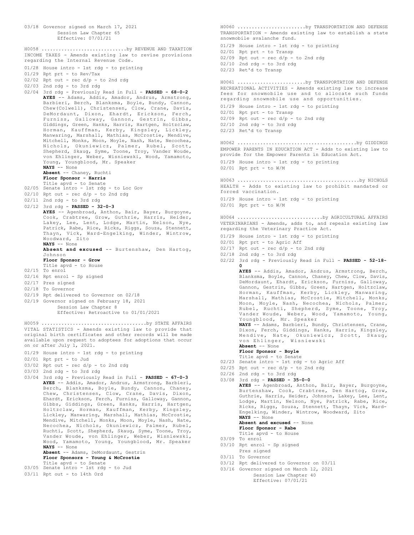03/18 Governor signed on March 17, 2021 Session Law Chapter 65 Effective: 07/01/21 INCOME TAXES - Amends existing law to revise provisions regarding the Internal Revenue Code. 01/28 House intro - 1st rdg - to printing 01/29 Rpt prt - to Rev/Tax  $02/02$  Rpt out - rec  $d/p$  - to 2nd rdg 02/03 2nd rdg - to 3rd rdg 02/04 3rd rdg - Previously Read in Full - **PASSED - 68-0-2 AYES** -- Adams, Addis, Amador, Andrus, Armstrong, Barbieri, Berch, Blanksma, Boyle, Bundy, Cannon, Chew(Colwell), Christensen, Clow, Crane, Davis, DeMordaunt, Dixon, Ehardt, Erickson, Ferch, Furniss, Galloway, Gannon, Gestrin, Gibbs, Giddings, Green, Hanks, Harris, Hartgen, Holtzclaw, Horman, Kauffman, Kerby, Kingsley, Lickley, Manwaring, Marshall, Mathias, McCrostie, Mendive, Mitchell, Monks, Moon, Moyle, Nash, Nate, Necochea, Nichols, Okuniewicz, Palmer, Rubel, Scott, Shepherd, Skaug, Syme, Toone, Troy, Vander Woude, von Ehlinger, Weber, Wisniewski, Wood, Yamamoto, Young, Youngblood, Mr. Speaker **NAYS** -- None **Absent** -- Chaney, Ruchti **Floor Sponsor - Harris** Title apvd - to Senate 02/05 Senate intro - 1st rdg - to Loc Gov  $02/10$  Rpt out - rec  $d/p$  - to 2nd rdg 02/11 2nd rdg - to 3rd rdg 02/12 3rd rdg - **PASSED - 32-0-3 AYES** -- Agenbroad, Anthon, Bair, Bayer, Burgoyne, Cook, Crabtree, Grow, Guthrie, Harris, Heider, Lakey, Lee, Lent, Lodge, Martin, Nelson, Nye, Patrick, Rabe, Rice, Ricks, Riggs, Souza, Stennett, Thayn, Vick, Ward-Engelking, Winder, Wintrow, Woodward, Zito **NAYS** -- None **Absent and excused** -- Burtenshaw, Den Hartog, Johnson **Floor Sponsor - Grow** Title apvd - to House 02/15 To enrol 02/16 Rpt enrol - Sp signed 02/17 Pres signed 02/18 To Governor 02/19 Rpt delivered to Governor on 02/18 02/19 Governor signed on February 18, 2021 Session Law Chapter 8 Effective: Retroactive to 01/01/2021 H0058 ..............................by REVENUE AND TAXATION VITAL STATISTICS - Amends existing law to provide that original birth certificates and other records will be made available upon request to adoptees for adoptions that occur on or after July 1, 2021. 01/29 House intro - 1st rdg - to printing 02/01 Rpt prt - to Jud 03/02 Rpt out - rec d/p - to 2nd rdg 03/03 2nd rdg - to 3rd rdg 03/04 3rd rdg - Previously Read in Full - **PASSED - 67-0-3 AYES** -- Addis, Amador, Andrus, Armstrong, Barbieri, Berch, Blanksma, Boyle, Bundy, Cannon, Chaney, Chew, Christensen, Clow, Crane, Davis, Dixon, Ehardt, Erickson, Ferch, Furniss, Galloway, Gannon, Gibbs, Giddings, Green, Hanks, Harris, Hartgen, Holtzclaw, Horman, Kauffman, Kerby, Kingsley, Lickley, Manwaring, Marshall, Mathias, McCrostie, Mendive, Mitchell, Monks, Moon, Moyle, Nash, Nate, Necochea, Nichols, Okuniewicz, Palmer, Rubel, Ruchti, Scott, Shepherd, Skaug, Syme, Toone, Troy, Vander Woude, von Ehlinger, Weber, Wisniewski, Wood, Yamamoto, Young, Youngblood, Mr. Speaker **NAYS** -- None **Absent** -- Adams, DeMordaunt, Gestrin **Floor Sponsors - Young & McCrostie** H0059 .....................................by STATE AFFAIRS

- Title apvd to Senate 03/05 Senate intro 1st rdg to Jud
- 03/11 Rpt out to 14th Ord

TRANSPORTATION - Amends existing law to establish a state snowmobile avalanche fund. 01/29 House intro - 1st rdg - to printing 02/01 Rpt prt - to Transp 02/09 Rpt out - rec d/p - to 2nd rdg 02/10 2nd rdg - to 3rd rdg 02/23 Ret'd to Transp H0060 ........................by TRANSPORTATION AND DEFENSE RECREATIONAL ACTIVITIES - Amends existing law to increase fees for snowmobile use and to allocate such funds regarding snowmobile use and opportunities. 01/29 House intro - 1st rdg - to printing 02/01 Rpt prt - to Transp 02/09 Rpt out - rec d/p - to 2nd rdg 02/10 2nd rdg - to 3rd rdg 02/23 Ret'd to Transp H0061 ........................by TRANSPORTATION AND DEFENSE EMPOWER PARENTS IN EDUCATION ACT - Adds to existing law to provide for the Empower Parents in Education Act. 01/29 House intro - 1st rdg - to printing 02/01 Rpt prt - to W/M H0062 ..........................................by GIDDINGS HEALTH - Adds to existing law to prohibit mandated or forced vaccination. 01/29 House intro - 1st rdg - to printing 02/01 Rpt prt - to W/M H0063 ...........................................by NICHOLS VETERINARIANS - Amends, adds to, and repeals existing law regarding the Veterinary Practice Act. 01/29 House intro - 1st rdg - to printing 02/01 Rpt prt - to Agric Aff  $02/17$  Rpt out - rec  $d/p$  - to 2nd rdg 02/18 2nd rdg - to 3rd rdg 02/22 3rd rdg - Previously Read in Full - **PASSED - 52-18- 0 AYES** -- Addis, Amador, Andrus, Armstrong, Berch, Blanksma, Boyle, Cannon, Chaney, Chew, Clow, Davis, DeMordaunt, Ehardt, Erickson, Furniss, Galloway, Gannon, Gestrin, Gibbs, Green, Hartgen, Holtzclaw, Horman, Kauffman, Kerby, Lickley, Manwaring, Marshall, Mathias, McCrostie, Mitchell, Monks, Moon, Moyle, Nash, Necochea, Nichols, Palmer, Rubel, Ruchti, Shepherd, Syme, Toone, Troy, Vander Woude, Weber, Wood, Yamamoto, Young, Youngblood, Mr. Speaker **NAYS** -- Adams, Barbieri, Bundy, Christensen, Crane, Dixon, Ferch, Giddings, Hanks, Harris, Kingsley, Mendive, Nate, Okuniewicz, Scott, Skaug, von Ehlinger, Wisniewski **Absent** -- None **Floor Sponsor - Boyle** Title apvd - to Senate 02/23 Senate intro - 1st rdg - to Agric Aff  $02/25$  Rpt out - rec  $d/p$  - to 2nd rdg  $02/26$  2nd rdg - to 3rd rdg 03/08 3rd rdg - **PASSED - 35-0-0 AYES** -- Agenbroad, Anthon, Bair, Bayer, Burgoyne, Burtenshaw, Cook, Crabtree, Den Hartog, Grow, Guthrie, Harris, Heider, Johnson, Lakey, Lee, Lent, Lodge, Martin, Nelson, Nye, Patrick, Rabe, Rice, Ricks, Riggs, Souza, Stennett, Thayn, Vick, Ward-Engelking, Winder, Wintrow, Woodward, Zito **NAYS** -- None **Absent and excused** -- None **Floor Sponsor - Rabe** Title apvd - to House 03/09 To enrol 03/10 Rpt enrol - Sp signed Pres signed 03/11 To Governor 03/12 Rpt delivered to Governor on 03/11 03/16 Governor signed on March 12, 2021 Session Law Chapter 40 Effective: 07/01/21 H0064 ..............................by AGRICULTURAL AFFAIRS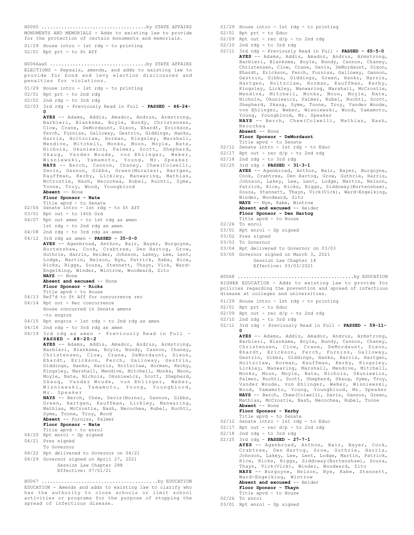MONUMENTS AND MEMORIALS - Adds to existing law to provide for the protection of certain monuments and memorials. 01/29 House intro - 1st rdg - to printing 02/01 Rpt prt - to St Aff H0065 .....................................by STATE AFFAIRS ELECTIONS - Repeals, amends, and adds to existing law to provide for bond and levy election disclosures and penalties for violations. 01/29 House intro - 1st rdg - to printing 02/01 Rpt prt - to 2nd rdg 02/02 2nd rdg - to 3rd rdg 02/03 3rd rdg - Previously Read in Full - **PASSED - 46-24- 0 AYES** -- Adams, Addis, Amador, Andrus, Armstrong, Barbieri, Blanksma, Boyle, Bundy, Christensen, Clow, Crane, DeMordaunt, Dixon, Ehardt, Erickson, Ferch, Furniss, Galloway, Gestrin, Giddings, Hanks, Harris, Holtzclaw, Horman, Kingsley, Marshall, Mendive, Mitchell, Monks, Moon, Moyle, Nate, Nichols, Okuniewicz, Palmer, Scott, Shepherd, Skaug, Vander Woude, von Ehlinger, Weber, Wisniewski, Yamamoto, Young, Mr. Speaker **NAYS** -- Berch, Cannon, Chaney, Chew(Colwell), Davis, Gannon, Gibbs, Green(Morales), Hartgen, Kauffman, Kerby, Lickley, Manwaring, Mathias, McCrostie, Nash, Necochea, Rubel, Ruchti, Syme, Toone, Troy, Wood, Youngblood **Absent** -- None **Floor Sponsor - Nate** Title apvd - to Senate 02/04 Senate intro - 1st rdg - to St Aff 03/01 Rpt out - to 14th Ord 04/07 Rpt out amen - to 1st rdg as amen 1st rdg - to 2nd rdg as amen 04/08 2nd rdg - to 3rd rdg as amen 04/12 3rd rdg as amen - **PASSED - 35-0-0 AYES** -- Agenbroad, Anthon, Bair, Bayer, Burgoyne, Burtenshaw, Cook, Crabtree, Den Hartog, Grow, Guthrie, Harris, Heider, Johnson, Lakey, Lee, Lent, Lodge, Martin, Nelson, Nye, Patrick, Rabe, Rice, Ricks, Riggs, Souza, Stennett, Thayn, Vick, Ward-Engelking, Winder, Wintrow, Woodward, Zito **NAYS** -- None Absent and excused -- None **Floor Sponsor - Ricks** Title apvd - to House 04/13 Ref'd to St Aff for concurrence rec 04/14 Rpt out - Rec concurrence House concurred in Senate amens -to engros 04/15 Rpt engros - 1st rdg - to 2nd rdg as amen 04/16 2nd rdg - to 3rd rdg as amen 04/19 3rd rdg as amen - Previously Read in Full - **PASSED - 48-20-2 AYES** -- Adams, Addis, Amador, Andrus, Armstrong, Barbieri, Blanksma, Boyle, Bundy, Cannon, Chaney, Christensen, Clow, Crane, DeMordaunt, Dixon, Ehardt, Erickson, Ferch, Galloway, Gestrin, Giddings, Hanks, Harris, Holtzclaw, Horman, Kerby, Kingsley, Marshall, Mendive, Mitchell, Monks, Moon, Moyle, Nate, Nichols, Okuniewicz, Scott, Shepherd, Skaug, Vander Woude, von Ehlinger, Weber, Wisniewski, Yamamoto, Young, Youngblood, Mr. Speaker NAYS -- Berch, Chew, Davis(Burns), Gannon, Gibbs, Green, Hartgen, Kauffman, Lickley, Manwaring, Mathias, McCrostie, Nash, Necochea, Rubel, Ruchti, Syme, Toone, Troy, Wood **Absent** -- Furniss, Palmer **Floor Sponsor - Nate** Title apvd - to enrol 04/20 Rpt enrol - Sp signed 04/21 Pres signed To Governor 04/22 Rpt delivered to Governor on 04/21 04/29 Governor signed on April 27, 2021 Session Law Chapter 288 Effective: 07/01/21 H0066aaS ..................................by STATE AFFAIRS EDUCATION - Amends and adds to existing law to clarify who has the authority to close schools or limit school activities or programs for the purpose of stopping the H0067 .........................................by EDUCATION

spread of infectious disease.

01/29 House intro - 1st rdg - to printing

02/01 Rpt prt - to Educ

- $02/09$  Rpt out rec  $d/p$  to 2nd rdg
- 02/10 2nd rdg to 3rd rdg
- 02/11 3rd rdg Previously Read in Full **PASSED 65-5-0 AYES** -- Adams, Addis, Amador, Andrus, Armstrong, Barbieri, Blanksma, Boyle, Bundy, Cannon, Chaney, Christensen, Clow, Crane, Davis, DeMordaunt, Dixon, Ehardt, Erickson, Ferch, Furniss, Galloway, Gannon, Gestrin, Gibbs, Giddings, Green, Hanks, Harris, Hartgen, Holtzclaw, Horman, Kauffman, Kerby, Kingsley, Lickley, Manwaring, Marshall, McCrostie, Mendive, Mitchell, Monks, Moon, Moyle, Nate, Nichols, Okuniewicz, Palmer, Rubel, Ruchti, Scott, Shepherd, Skaug, Syme, Toone, Troy, Vander Woude, von Ehlinger, Weber, Wisniewski, Wood, Yamamoto, Young, Youngblood, Mr. Speaker **NAYS** -- Berch, Chew(Colwell), Mathias, Nash, Necochea **Absent** -- None **Floor Sponsor - DeMordaunt**
	- Title apvd to Senate
- 02/12 Senate intro 1st rdg to Educ
- $02/17$  Rpt out rec  $d/p$  to 2nd rdg
- 02/18 2nd rdg to 3rd rdg

02/25 3rd rdg - **PASSED - 31-3-1 AYES** -- Agenbroad, Anthon, Bair, Bayer, Burgoyne, Cook, Crabtree, Den Hartog, Grow, Guthrie, Harris, Johnson, Lakey, Lee, Lent, Lodge, Martin, Nelson, Patrick, Rice, Ricks, Riggs, Siddoway(Burtenshaw), Souza, Stennett, Thayn, Vick(Vick), Ward-Engelking, Winder, Woodward, Zito **NAYS** -- Nye, Rabe, Wintrow **Absent and excused** -- Heider **Floor Sponsor - Den Hartog** Title apvd - to House 02/26 To enrol 03/01 Rpt enrol - Sp signed 03/02 Pres signed

- 03/03 To Governor
- 03/04 Rpt delivered to Governor on 03/03
- 03/05 Governor signed on March 3, 2021

Session Law Chapter 14

Effective: 03/03/2021

HIGHER EDUCATION - Adds to existing law to provide for policies regarding the prevention and spread of infectious disease at colleges and universities. H0068 .........................................by EDUCATION

- 01/29 House intro 1st rdg to printing
- 02/01 Rpt prt to Educ
- $02/09$  Rpt out rec  $d/p$  to 2nd rdg
- $02/10$  2nd rdg to 3rd rdg
- 02/11 3rd rdg Previously Read in Full **PASSED 59-11- 0**

**AYES** -- Adams, Addis, Amador, Andrus, Armstrong, Barbieri, Blanksma, Boyle, Bundy, Cannon, Chaney, Christensen, Clow, Crane, DeMordaunt, Dixon, Ehardt, Erickson, Ferch, Furniss, Galloway, Gestrin, Gibbs, Giddings, Hanks, Harris, Hartgen, Holtzclaw, Horman, Kauffman, Kerby, Kingsley, Lickley, Manwaring, Marshall, Mendive, Mitchell, Monks, Moon, Moyle, Nate, Nichols, Okuniewicz, Palmer, Ruchti, Scott, Shepherd, Skaug, Syme, Troy, Vander Woude, von Ehlinger, Weber, Wisniewski, Wood, Yamamoto, Young, Youngblood, Mr. Speaker **NAYS** -- Berch, Chew(Colwell), Davis, Gannon, Green, Mathias, McCrostie, Nash, Necochea, Rubel, Toone **Absent** -- None

### **Floor Sponsor - Kerby**

- Title apvd to Senate 02/12 Senate intro 1st rdg to Educ
- 
- $02/17$  Rpt out rec d/p to 2nd rdg
- 02/18 2nd rdg to 3rd rdg

02/25 3rd rdg - **PASSED - 27-7-1**

**AYES** -- Agenbroad, Anthon, Bair, Bayer, Cook, Crabtree, Den Hartog, Grow, Guthrie, Harris, Johnson, Lakey, Lee, Lent, Lodge, Martin, Patrick, Rice, Ricks, Riggs, Siddoway(Burtenshaw), Souza, Thayn, Vick(Vick), Winder, Woodward, Zito **NAYS** -- Burgoyne, Nelson, Nye, Rabe, Stennett, Ward-Engelking, Wintrow **Absent and excused** -- Heider **Floor Sponsor - Thayn**

- Title apvd to House 02/26 To enrol
- 
- 03/01 Rpt enrol Sp signed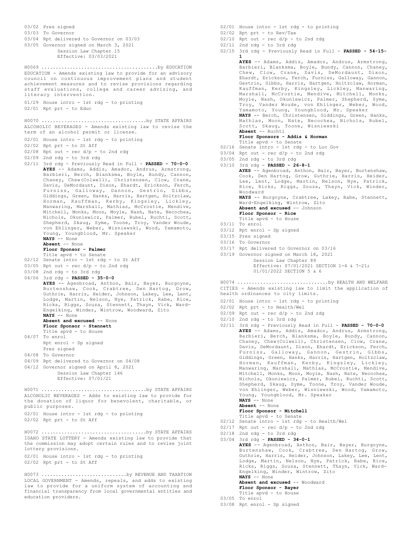03/02 Pres signed 03/03 To Governor 03/04 Rpt delivered to Governor on 03/03 03/05 Governor signed on March 3, 2021 Session Law Chapter 15 Effective: 03/03/2021 EDUCATION - Amends existing law to provide for an advisory council on continuous improvement plans and student achievement measures and to revise provisions regarding staff evaluations, college and career advising, and literacy intervention. 01/29 House intro - 1st rdg - to printing 02/01 Rpt prt - to Educ H0069 .........................................by EDUCATION ALCOHOLIC BEVERAGES - Amends existing law to revise the term of an alcohol permit or license. 02/01 House intro - 1st rdg - to printing 02/02 Rpt prt - to St Aff  $02/08$  Rpt out - rec  $d/p$  - to 2nd rdg 02/09 2nd rdg - to 3rd rdg 02/11 3rd rdg - Previously Read in Full - **PASSED - 70-0-0 AYES** -- Adams, Addis, Amador, Andrus, Armstrong, Barbieri, Berch, Blanksma, Boyle, Bundy, Cannon, Chaney, Chew(Colwell), Christensen, Clow, Crane, Davis, DeMordaunt, Dixon, Ehardt, Erickson, Ferch, Furniss, Galloway, Gannon, Gestrin, Gibbs, Giddings, Green, Hanks, Harris, Hartgen, Holtzclaw, Horman, Kauffman, Kerby, Kingsley, Lickley, Manwaring, Marshall, Mathias, McCrostie, Mendive, Mitchell, Monks, Moon, Moyle, Nash, Nate, Necochea, Nichols, Okuniewicz, Palmer, Rubel, Ruchti, Scott, Shepherd, Skaug, Syme, Toone, Troy, Vander Woude, von Ehlinger, Weber, Wisniewski, Wood, Yamamoto, Young, Youngblood, Mr. Speaker **NAYS** -- None **Absent** -- None **Floor Sponsor - Palmer** Title apvd - to Senate 02/12 Senate intro - 1st rdg - to St Aff  $03/05$  Rpt out - rec  $d/p$  - to 2nd rdg 03/08 2nd rdg - to 3rd rdg 04/06 3rd rdg - **PASSED - 35-0-0 AYES** -- Agenbroad, Anthon, Bair, Bayer, Burgoyne, Burtenshaw, Cook, Crabtree, Den Hartog, Grow, Guthrie, Harris, Heider, Johnson, Lakey, Lee, Lent, Lodge, Martin, Nelson, Nye, Patrick, Rabe, Rice, Ricks, Riggs, Souza, Stennett, Thayn, Vick, Ward-Engelking, Winder, Wintrow, Woodward, Zito **NAYS** -- None **Absent and excused** -- None **Floor Sponsor - Stennett** Title apvd - to House 04/07 To enrol Rpt enrol - Sp signed Pres signed 04/08 To Governor 04/09 Rpt delivered to Governor on 04/08 04/12 Governor signed on April 8, 2021 Session Law Chapter 146 Effective: 07/01/21 H0070 .....................................by STATE AFFAIRS ALCOHOLIC BEVERAGES - Adds to existing law to provide for the donation of liquor for benevolent, charitable, or public purposes. 02/01 House intro - 1st rdg - to printing 02/02 Rpt prt - to St Aff H0071 .....................................by STATE AFFAIRS IDAHO STATE LOTTERY - Amends existing law to provide that the commission may adopt certain rules and to revise joint lottery provisions. 02/01 House intro - 1st rdg - to printing 02/02 Rpt prt - to St Aff H0072 .....................................by STATE AFFAIRS H0073 ..............................by REVENUE AND TAXATION

LOCAL GOVERNMENT - Amends, repeals, and adds to existing law to provide for a uniform system of accounting and financial transparency from local governmental entities and education providers.

- 02/01 House intro 1st rdg to printing
- 02/02 Rpt prt to Rev/Tax
- $02/10$  Rpt out rec  $d/p$  to 2nd rdg
- $02/11$  2nd rdg to 3rd rdg
- 02/15 3rd rdg Previously Read in Full **PASSED 54-15- 1**

**AYES** -- Adams, Addis, Amador, Andrus, Armstrong, Barbieri, Blanksma, Boyle, Bundy, Cannon, Chaney, Chew, Clow, Crane, Davis, DeMordaunt, Dixon, Ehardt, Erickson, Ferch, Furniss, Galloway, Gannon, Gestrin, Gibbs, Harris, Hartgen, Holtzclaw, Horman, Kauffman, Kerby, Kingsley, Lickley, Manwaring, Marshall, McCrostie, Mendive, Mitchell, Monks, Moyle, Nash, Okuniewicz, Palmer, Shepherd, Syme, Troy, Vander Woude, von Ehlinger, Weber, Wood, Yamamoto, Young, Youngblood, Mr. Speaker **NAYS** -- Berch, Christensen, Giddings, Green, Hanks, Mathias, Moon, Nate, Necochea, Nichols, Rubel, Scott, Skaug, Toone, Wisniewski **Absent** -- Ruchti **Floor Sponsors - Addis & Horman** Title apvd - to Senate 02/16 Senate intro - 1st rdg - to Loc Gov  $03/04$  Rpt out - rec  $d/p$  - to 2nd rdg 03/05 2nd rdg - to 3rd rdg 03/10 3rd rdg - **PASSED - 26-8-1 AYES** -- Agenbroad, Anthon, Bair, Bayer, Burtenshaw, Cook, Den Hartog, Grow, Guthrie, Harris, Heider, Lee, Lent, Lodge, Martin, Nelson, Nye, Patrick, Rice, Ricks, Riggs, Souza, Thayn, Vick, Winder, Woodward **NAYS** -- Burgoyne, Crabtree, Lakey, Rabe, Stennett, Ward-Engelking, Wintrow, Zito **Absent and excused** -- Johnson **Floor Sponsor - Rice** Title apvd - to House 03/11 To enrol 03/12 Rpt enrol - Sp signed 03/15 Pres signed 03/16 To Governor 03/17 Rpt delivered to Governor on 03/16 03/19 Governor signed on March 18, 2021 Session Law Chapter 89 Effective: 07/01/2021 SECTION 1-4 & 7-21; 01/01/2022 SECTION 5 & 6 CITIES - Amends existing law to limit the application of health ordinances to city limits. 02/01 House intro - 1st rdg - to printing 02/02 Rpt prt - to Health/Wel  $02/09$  Rpt out - rec  $d/p$  - to 2nd rdg 02/10 2nd rdg - to 3rd rdg 02/11 3rd rdg - Previously Read in Full - **PASSED - 70-0-0 AYES** -- Adams, Addis, Amador, Andrus, Armstrong, Barbieri, Berch, Blanksma, Boyle, Bundy, Cannon, Chaney, Chew(Colwell), Christensen, Clow, Crane, Davis, DeMordaunt, Dixon, Ehardt, Erickson, Ferch, Furniss, Galloway, Gannon, Gestrin, Gibbs, Giddings, Green, Hanks, Harris, Hartgen, Holtzclaw, Horman, Kauffman, Kerby, Kingsley, Lickley, Manwaring, Marshall, Mathias, McCrostie, Mendive, Mitchell, Monks, Moon, Moyle, Nash, Nate, Necochea, Nichols, Okuniewicz, Palmer, Rubel, Ruchti, Scott, Shepherd, Skaug, Syme, Toone, Troy, Vander Woude, von Ehlinger, Weber, Wisniewski, Wood, Yamamoto, Young, Youngblood, Mr. Speaker **NAYS** -- None **Absent** -- None **Floor Sponsor - Mitchell** Title apvd - to Senate 02/12 Senate intro - 1st rdg - to Health/Wel  $02/17$  Rpt out - rec  $d/p$  - to 2nd rdg 02/18 2nd rdg - to 3rd rdg 03/04 3rd rdg - **PASSED - 34-0-1 AYES** -- Agenbroad, Anthon, Bair, Bayer, Burgoyne, Burtenshaw, Cook, Crabtree, Den Hartog, Grow, Guthrie, Harris, Heider, Johnson, Lakey, Lee, Lent, Lodge, Martin, Nelson, Nye, Patrick, Rabe, Rice, Ricks, Riggs, Souza, Stennett, Thayn, Vick, Ward-Engelking, Winder, Wintrow, Zito **NAYS** -- None **Absent and excused** -- Woodward **Floor Sponsor - Bayer** Title apvd - to House 03/05 To enrol H0074 ................................by HEALTH AND WELFARE

03/08 Rpt enrol - Sp signed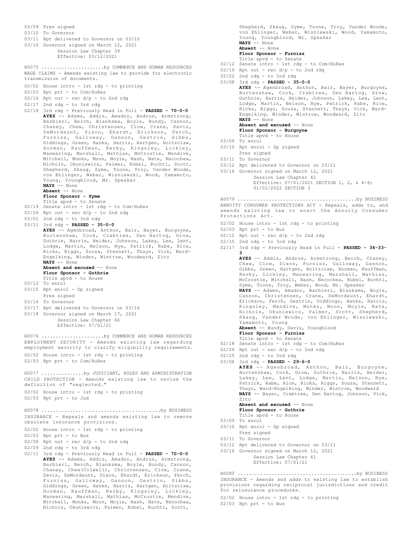

Shepherd, Skaug, Syme, Toone, Troy, Vander Woude, von Ehlinger, Weber, Wisniewski, Wood, Yamamoto, Young, Youngblood, Mr. Speaker<br>NAYS -- None **NAYS** -- None **Absent** -- None **Floor Sponsor - Furniss** Title apvd - to Senate 02/12 Senate intro - 1st rdg - to Com/HuRes  $02/19$  Rpt out - rec d/p - to 2nd rdg 02/22 2nd rdg - to 3rd rdg 03/08 3rd rdg - **PASSED - 35-0-0 AYES** -- Agenbroad, Anthon, Bair, Bayer, Burgoyne, Burtenshaw, Cook, Crabtree, Den Hartog, Grow, Guthrie, Harris, Heider, Johnson, Lakey, Lee, Lent, Lodge, Martin, Nelson, Nye, Patrick, Rabe, Rice, Ricks, Riggs, Souza, Stennett, Thayn, Vick, Ward-Engelking, Winder, Wintrow, Woodward, Zito **NAYS** -- None Absent and excused -- None **Floor Sponsor - Burgoyne** Title apvd - to House 03/09 To enrol 03/10 Rpt enrol - Sp signed Pres signed 03/11 To Governor 03/12 Rpt delivered to Governor on 03/11 03/16 Governor signed on March 12, 2021 Session Law Chapter 42 Effective: 07/01/2021 SECTION 1, 2, & 4-9; 01/01/2022 SECTION 3 ANNUITY CONSUMER PROTECTIONS ACT - Repeals, adds to, and amends existing law to enact the Annuity Consumer Protections Act. 02/02 House intro - 1st rdg - to printing 02/03 Rpt prt - to Bus  $02/12$  Rpt out - rec  $d/p$  - to 2nd rdg 02/15 2nd rdg - to 3rd rdg 02/17 3rd rdg - Previously Read in Full - **PASSED - 34-33- 3 AYES** -- Addis, Andrus, Armstrong, Berch, Chaney, Chew, Clow, Dixon, Furniss, Galloway, Gannon, Gibbs, Green, Hartgen, Holtzclaw, Horman, Kauffman, Kerby, Lickley, Manwaring, Marshall, Mathias, McCrostie, Mitchell, Nash, Necochea, Rubel, Ruchti, Syme, Toone, Troy, Weber, Wood, Mr. Speaker **NAYS** -- Adams, Amador, Barbieri, Blanksma, Boyle, Cannon, Christensen, Crane, DeMordaunt, Ehardt, Erickson, Ferch, Gestrin, Giddings, Hanks, Harris, Kingsley, Mendive, Monks, Moon, Moyle, Nate, Nichols, Okuniewicz, Palmer, Scott, Shepherd, Skaug, Vander Woude, von Ehlinger, Wisniewski, Yamamoto, Young **Absent** -- Bundy, Davis, Youngblood **Floor Sponsor - Furniss** Title apvd - to Senate 02/18 Senate intro - 1st rdg - to Com/HuRes  $02/24$  Rpt out - rec  $d/p$  - to 2nd rdg  $02/25$  2nd rdg - to 3rd rdg 03/08 3rd rdg - **PASSED - 29-6-0 AYES** -- Agenbroad, Anthon, Bair, Burgoyne, Burtenshaw, Cook, Grow, Guthrie, Harris, Heider, Lakey, Lee, Lent, Lodge, Martin, Nelson, Nye, Patrick, Rabe, Rice, Ricks, Riggs, Souza, Stennett, Thayn, Ward-Engelking, Winder, Wintrow, Woodward **NAYS** -- Bayer, Crabtree, Den Hartog, Johnson, Vick, Zito **Absent and excused** -- None **Floor Sponsor - Guthrie** Title apvd - to House 03/09 To enrol 03/10 Rpt enrol - Sp signed Pres signed 03/11 To Governor 03/12 Rpt delivered to Governor on 03/11 03/16 Governor signed on March 12, 2021 Session Law Chapter 41 Effective: 07/01/21 H0079 ..........................................by BUSINESS INSURANCE - Amends and adds to existing law to establish provisions regarding reciprocal jurisdictions and credit for reinsurance procedures. H0080 ..........................................by BUSINESS

02/02 House intro - 1st rdg - to printing

02/03 Rpt prt - to Bus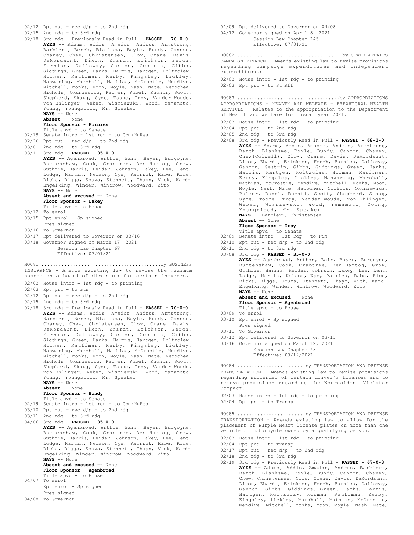02/12 Rpt out - rec d/p - to 2nd rdg

02/15 2nd rdg - to 3rd rdg

02/18 3rd rdg - Previously Read in Full - **PASSED - 70-0-0 AYES** -- Adams, Addis, Amador, Andrus, Armstrong, Barbieri, Berch, Blanksma, Boyle, Bundy, Cannon, Chaney, Chew, Christensen, Clow, Crane, Davis, DeMordaunt, Dixon, Ehardt, Erickson, Ferch, Furniss, Galloway, Gannon, Gestrin, Gibbs, Giddings, Green, Hanks, Harris, Hartgen, Holtzclaw, Horman, Kauffman, Kerby, Kingsley, Lickley, Manwaring, Marshall, Mathias, McCrostie, Mendive, Mitchell, Monks, Moon, Moyle, Nash, Nate, Necochea, Nichols, Okuniewicz, Palmer, Rubel, Ruchti, Scott, Shepherd, Skaug, Syme, Toone, Troy, Vander Woude, von Ehlinger, Weber, Wisniewski, Wood, Yamamoto, Young, Youngblood, Mr. Speaker **NAYS** -- None

**Absent** -- None

### **Floor Sponsor - Furniss**

- Title apvd to Senate
- 02/19 Senate intro 1st rdg to Com/HuRes  $02/26$  Rpt out - rec  $d/p$  - to 2nd rdg
- 
- 03/01 2nd rdg to 3rd rdg 03/11 3rd rdg - **PASSED - 35-0-0**
	- **AYES** -- Agenbroad, Anthon, Bair, Bayer, Burgoyne, Burtenshaw, Cook, Crabtree, Den Hartog, Grow,
		- Guthrie, Harris, Heider, Johnson, Lakey, Lee, Lent, Lodge, Martin, Nelson, Nye, Patrick, Rabe, Rice, Ricks, Riggs, Souza, Stennett, Thayn, Vick, Ward-Engelking, Winder, Wintrow, Woodward, Zito **NAYS** -- None
		- **Absent and excused** -- None
		- **Floor Sponsor Lakey**
		- Title apvd to House
- 03/12 To enrol
- 03/15 Rpt enrol Sp signed
- Pres signed
- 03/16 To Governor
- 03/17 Rpt delivered to Governor on 03/16
- 03/18 Governor signed on March 17, 2021
	- Session Law Chapter 67 Effective: 07/01/21

INSURANCE - Amends existing law to revise the maximum number on a board of directors for certain insurers. H0081 ..........................................by BUSINESS

- 02/02 House intro 1st rdg to printing
- 02/03 Rpt prt to Bus
- $02/12$  Rpt out rec  $d/p$  to 2nd rdg
- 02/15 2nd rdg to 3rd rdg
- 02/18 3rd rdg Previously Read in Full **PASSED 70-0-0 AYES** -- Adams, Addis, Amador, Andrus, Armstrong, Barbieri, Berch, Blanksma, Boyle, Bundy, Cannon, Chaney, Chew, Christensen, Clow, Crane, Davis, DeMordaunt, Dixon, Ehardt, Erickson, Ferch, Furniss, Galloway, Gannon, Gestrin, Gibbs, Giddings, Green, Hanks, Harris, Hartgen, Holtzclaw, Horman, Kauffman, Kerby, Kingsley, Lickley, Manwaring, Marshall, Mathias, McCrostie, Mendive, Mitchell, Monks, Moon, Moyle, Nash, Nate, Necochea, Nichols, Okuniewicz, Palmer, Rubel, Ruchti, Scott, Shepherd, Skaug, Syme, Toone, Troy, Vander Woude, von Ehlinger, Weber, Wisniewski, Wood, Yamamoto, Young, Youngblood, Mr. Speaker **NAYS** -- None

**Absent** -- None

### **Floor Sponsor - Bundy**

Title apvd - to Senate

- 02/19 Senate intro 1st rdg to Com/HuRes
- 03/10 Rpt out rec d/p to 2nd rdg
- 03/11 2nd rdg to 3rd rdg
- 04/06 3rd rdg **PASSED 35-0-0 AYES** -- Agenbroad, Anthon, Bair, Bayer, Burgoyne, Burtenshaw, Cook, Crabtree, Den Hartog, Grow, Guthrie, Harris, Heider, Johnson, Lakey, Lee, Lent, Lodge, Martin, Nelson, Nye, Patrick, Rabe, Rice, Ricks, Riggs, Souza, Stennett, Thayn, Vick, Ward-Engelking, Winder, Wintrow, Woodward, Zito **NAYS** -- None **Absent and excused** -- None **Floor Sponsor - Agenbroad**

# Title apvd - to House

- 04/07 To enrol Rpt enrol - Sp signed
- Pres signed
- 04/08 To Governor

04/09 Rpt delivered to Governor on 04/08 04/12 Governor signed on April 8, 2021 Session Law Chapter 145 Effective: 07/01/21

CAMPAIGN FINANCE - Amends existing law to revise provisions regarding campaign expenditures and independent expenditures. H0082 .....................................by STATE AFFAIRS

02/02 House intro - 1st rdg - to printing 02/03 Rpt prt - to St Aff

APPROPRIATIONS - HEALTH AND WELFARE - BEHAVIORAL HEALTH SERVICES - Relates to the appropriation to the Department of Health and Welfare for fiscal year 2021. H0083 ....................................by APPROPRIATIONS

- 02/03 House intro 1st rdg to printing
- 02/04 Rpt prt to 2nd rdg
- 02/05 2nd rdg to 3rd rdg
- 02/08 3rd rdg Previously Read in Full **PASSED 68-2-0 AYES** -- Adams, Addis, Amador, Andrus, Armstrong, Berch, Blanksma, Boyle, Bundy, Cannon, Chaney, Chew(Colwell), Clow, Crane, Davis, DeMordaunt, Dixon, Ehardt, Erickson, Ferch, Furniss, Galloway, Gannon, Gestrin, Gibbs, Giddings, Green, Hanks, Harris, Hartgen, Holtzclaw, Horman, Kauffman, Kerby, Kingsley, Lickley, Manwaring, Marshall, Mathias, McCrostie, Mendive, Mitchell, Monks, Moon, Moyle, Nash, Nate, Necochea, Nichols, Okuniewicz, Palmer, Rubel, Ruchti, Scott, Shepherd, Skaug, Syme, Toone, Troy, Vander Woude, von Ehlinger, Weber, Wisniewski, Wood, Yamamoto, Young, Youngblood, Mr. Speaker **NAYS** -- Barbieri, Christensen **Absent** -- None
	- **Floor Sponsor Troy**

- Title apvd to Senate 02/09 Senate intro 1st rdg to Fin
- $02/10$  Rpt out rec  $d/p$  to 2nd rdg
- 02/11 2nd rdg to 3rd rdg
- 03/08 3rd rdg **PASSED 35-0-0 AYES** -- Agenbroad, Anthon, Bair, Bayer, Burgoyne, Burtenshaw, Cook, Crabtree, Den Hartog, Grow, Guthrie, Harris, Heider, Johnson, Lakey, Lee, Lent,

Lodge, Martin, Nelson, Nye, Patrick, Rabe, Rice, Ricks, Riggs, Souza, Stennett, Thayn, Vick, Ward-Engelking, Winder, Wintrow, Woodward, Zito **NAYS** -- None **Absent and excused** -- None

- **Floor Sponsor Agenbroad** Title apvd - to House
- 03/09 To enrol
- 03/10 Rpt enrol Sp signed
- Pres signed
- 03/11 To Governor
- 03/12 Rpt delivered to Governor on 03/11
- 03/16 Governor signed on March 12, 2021

Session Law Chapter 43 Effective: 03/12/2021

TRANSPORTATION - Amends existing law to revise provisions regarding surrender of certain driver's licenses and to remove provisions regarding the Nonresident Violator Compact. H0084 ........................by TRANSPORTATION AND DEFENSE

- 02/03 House intro 1st rdg to printing
- 02/04 Rpt prt to Transp

TRANSPORTATION - Amends existing law to allow for the placement of Purple Heart license plates on more than one vehicle or motorcycle owned by a qualifying person. H0085 ........................by TRANSPORTATION AND DEFENSE

- 02/03 House intro 1st rdg to printing
- 02/04 Rpt prt to Transp
- $02/17$  Rpt out rec  $d/p$  to 2nd rdg
- 02/18 2nd rdg to 3rd rdg
- 02/19 3rd rdg Previously Read in Full **PASSED 67-0-3 AYES** -- Adams, Addis, Amador, Andrus, Barbieri, Berch, Blanksma, Boyle, Bundy, Cannon, Chaney, Chew, Christensen, Clow, Crane, Davis, DeMordaunt, Dixon, Ehardt, Erickson, Ferch, Furniss, Galloway, Gannon, Gibbs, Giddings, Green, Hanks, Harris, Hartgen, Holtzclaw, Horman, Kauffman, Kerby, Kingsley, Lickley, Marshall, Mathias, McCrostie, Mendive, Mitchell, Monks, Moon, Moyle, Nash, Nate,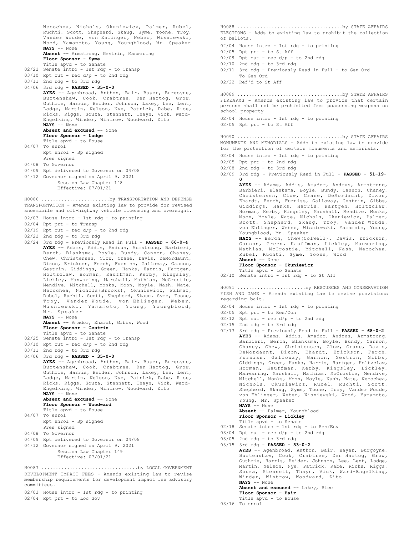Necochea, Nichols, Okuniewicz, Palmer, Rubel, Ruchti, Scott, Shepherd, Skaug, Syme, Toone, Troy, Vander Woude, von Ehlinger, Weber, Wisniewski, Wood, Yamamoto, Young, Youngblood, Mr. Speaker **NAYS** -- None **Absent** -- Armstrong, Gestrin, Manwaring **Floor Sponsor - Syme** Title apvd - to Senate 02/22 Senate intro - 1st rdg - to Transp  $03/10$  Rpt out - rec  $d/p$  - to 2nd rdg 03/11 2nd rdg - to 3rd rdg 04/06 3rd rdg - **PASSED - 35-0-0 AYES** -- Agenbroad, Anthon, Bair, Bayer, Burgoyne, Burtenshaw, Cook, Crabtree, Den Hartog, Grow, Guthrie, Harris, Heider, Johnson, Lakey, Lee, Lent, Lodge, Martin, Nelson, Nye, Patrick, Rabe, Rice, Ricks, Riggs, Souza, Stennett, Thayn, Vick, Ward-Engelking, Winder, Wintrow, Woodward, Zito **NAYS** -- None **Absent and excused** -- None **Floor Sponsor - Lodge** Title apvd - to House 04/07 To enrol Rpt enrol - Sp signed Pres signed 04/08 To Governor 04/09 Rpt delivered to Governor on 04/08 04/12 Governor signed on April 9, 2021 Session Law Chapter 148 Effective: 07/01/21 TRANSPORTATION - Amends existing law to provide for revised snowmobile and off-highway vehicle licensing and oversight. 02/03 House intro - 1st rdg - to printing 02/04 Rpt prt - to Transp  $02/19$  Rpt out - rec  $d/p$  - to 2nd rdg 02/22 2nd rdg - to 3rd rdg 02/24 3rd rdg - Previously Read in Full - **PASSED - 66-0-4 AYES** -- Adams, Addis, Andrus, Armstrong, Barbieri, Berch, Blanksma, Boyle, Bundy, Cannon, Chaney, Chew, Christensen, Clow, Crane, Davis, DeMordaunt, Dixon, Erickson, Ferch, Furniss, Galloway, Gannon, Gestrin, Giddings, Green, Hanks, Harris, Hartgen, Holtzclaw, Horman, Kauffman, Kerby, Kingsley, Lickley, Manwaring, Marshall, Mathias, McCrostie, Mendive, Mitchell, Monks, Moon, Moyle, Nash, Nate, Necochea, Nichols(Brooks), Okuniewicz, Palmer, Rubel, Ruchti, Scott, Shepherd, Skaug, Syme, Toone, Troy, Vander Woude, von Ehlinger, Weber, Wisniewski, Yamamoto, Young, Youngblood, Mr. Speaker **NAYS** -- None **Absent** -- Amador, Ehardt, Gibbs, Wood **Floor Sponsor - Gestrin** Title apvd - to Senate 02/25 Senate intro - 1st rdg - to Transp  $03/10$  Rpt out - rec  $d/p$  - to 2nd rdg 03/11 2nd rdg - to 3rd rdg 04/06 3rd rdg - **PASSED - 35-0-0 AYES** -- Agenbroad, Anthon, Bair, Bayer, Burgoyne, Burtenshaw, Cook, Crabtree, Den Hartog, Grow, Guthrie, Harris, Heider, Johnson, Lakey, Lee, Lent, Lodge, Martin, Nelson, Nye, Patrick, Rabe, Rice, Ricks, Riggs, Souza, Stennett, Thayn, Vick, Ward-Engelking, Winder, Wintrow, Woodward, Zito **NAYS** -- None Absent and excused -- None **Floor Sponsor - Woodward** Title apvd - to House 04/07 To enrol Rpt enrol - Sp signed Pres signed 04/08 To Governor 04/09 Rpt delivered to Governor on 04/08 04/12 Governor signed on April 9, 2021 Session Law Chapter 149 Effective: 07/01/21 H0086 ........................by TRANSPORTATION AND DEFENSE DEVELOPMENT IMPACT FEES - Amends existing law to revise H0087 ..................................by LOCAL GOVERNMENT

membership requirements for development impact fee advisory committees.

02/03 House intro - 1st rdg - to printing

02/04 Rpt prt - to Loc Gov

ELECTIONS - Adds to existing law to prohibit the collection of ballots. H0088 .....................................by STATE AFFAIRS

02/04 House intro - 1st rdg - to printing

- 02/05 Rpt prt to St Aff  $02/09$  Rpt out - rec  $d/p$  - to 2nd rdg
- 02/10 2nd rdg to 3rd rdg
- 02/11 3rd rdg Previously Read in Full to Gen Ord To Gen Ord
- 02/22 Ref'd to St Aff

FIREARMS - Amends existing law to provide that certain persons shall not be prohibited from possessing weapons on school property. H0089 .....................................by STATE AFFAIRS

02/04 House intro - 1st rdg - to printing 02/05 Rpt prt - to St Aff

MONUMENTS AND MEMORIALS - Adds to existing law to provide for the protection of certain monuments and memorials. H0090 .....................................by STATE AFFAIRS

- 02/04 House intro 1st rdg to printing
- 02/05 Rpt prt to 2nd rdg
- 02/08 2nd rdg to 3rd rdg
- 02/09 3rd rdg Previously Read in Full **PASSED 51-19- 0**

**AYES** -- Adams, Addis, Amador, Andrus, Armstrong, Barbieri, Blanksma, Boyle, Bundy, Cannon, Chaney, Christensen, Clow, Crane, DeMordaunt, Dixon, Ehardt, Ferch, Furniss, Galloway, Gestrin, Gibbs, Giddings, Hanks, Harris, Hartgen, Holtzclaw, Horman, Kerby, Kingsley, Marshall, Mendive, Monks, Moon, Moyle, Nate, Nichols, Okuniewicz, Palmer, Scott, Shepherd, Skaug, Troy, Vander Woude, von Ehlinger, Weber, Wisniewski, Yamamoto, Young, Youngblood, Mr. Speaker

**NAYS** -- Berch, Chew(Colwell), Davis, Erickson, Gannon, Green, Kauffman, Lickley, Manwaring, Mathias, McCrostie, Mitchell, Nash, Necochea, Rubel, Ruchti, Syme, Toone, Wood **Absent** -- None

### **Floor Sponsor - Okuniewicz**

Title apvd - to Senate 02/10 Senate intro - 1st rdg - to St Aff

FISH AND GAME - Amends existing law to revise provisions regarding bait. H0091 ........................by RESOURCES AND CONSERVATION

- 02/04 House intro 1st rdg to printing
- 02/05 Rpt prt to Res/Con
- $02/12$  Rpt out rec  $d/p$  to 2nd rdg
- 02/15 2nd rdg to 3rd rdg
- 02/17 3rd rdg Previously Read in Full **PASSED 68-0-2 AYES** -- Adams, Addis, Amador, Andrus, Armstrong, Barbieri, Berch, Blanksma, Boyle, Bundy, Cannon, Chaney, Chew, Christensen, Clow, Crane, Davis, DeMordaunt, Dixon, Ehardt, Erickson, Ferch, Furniss, Galloway, Gannon, Gestrin, Gibbs, Giddings, Green, Hanks, Harris, Hartgen, Holtzclaw, Horman, Kauffman, Kerby, Kingsley, Lickley, Manwaring, Marshall, Mathias, McCrostie, Mendive, Mitchell, Monks, Moon, Moyle, Nash, Nate, Necochea, Nichols, Okuniewicz, Rubel, Ruchti, Scott, Shepherd, Skaug, Syme, Toone, Troy, Vander Woude, von Ehlinger, Weber, Wisniewski, Wood, Yamamoto, Young, Mr. Speaker **NAYS** -- None

**Absent** -- Palmer, Youngblood **Floor Sponsor - Lickley**

- 
- Title apvd to Senate 02/18 Senate intro 1st rdg to Res/Env
- 03/04 Rpt out rec d/p to 2nd rdg
- 03/05 2nd rdg to 3rd rdg 03/15 3rd rdg - **PASSED - 33-0-2**

**AYES** -- Agenbroad, Anthon, Bair, Bayer, Burgoyne, Burtenshaw, Cook, Crabtree, Den Hartog, Grow, Guthrie, Harris, Heider, Johnson, Lee, Lent, Lodge, Martin, Nelson, Nye, Patrick, Rabe, Ricks, Riggs, Souza, Stennett, Thayn, Vick, Ward-Engelking, Winder, Wintrow, Woodward, Zito **NAYS** -- None

#### **Absent and excused** -- Lakey, Rice **Floor Sponsor - Bair**

- Title apvd to House
- 03/16 To enrol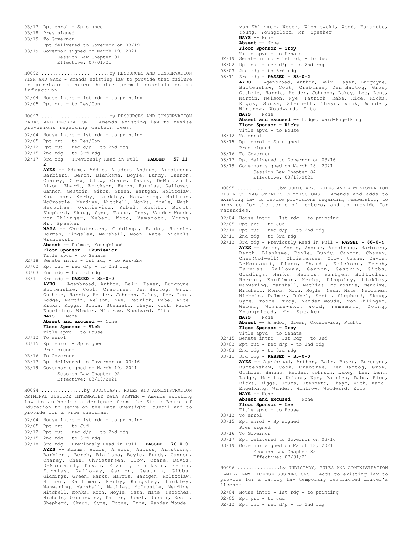03/17 Rpt enrol - Sp signed 03/18 Pres signed 03/19 To Governor Rpt delivered to Governor on 03/19 03/19 Governor signed on March 19, 2021 Session Law Chapter 91 Effective: 07/01/21 FISH AND GAME - Amends existing law to provide that failure to purchase a hound hunter permit constitutes an infraction. 02/04 House intro - 1st rdg - to printing 02/05 Rpt prt - to Res/Con H0092 ........................by RESOURCES AND CONSERVATION PARKS AND RECREATION - Amends existing law to revise provisions regarding certain fees. 02/04 House intro - 1st rdg - to printing 02/05 Rpt prt - to Res/Con  $02/12$  Rpt out - rec  $d/p$  - to 2nd rdg 02/15 2nd rdg - to 3rd rdg 02/17 3rd rdg - Previously Read in Full - **PASSED - 57-11- 2 AYES** -- Adams, Addis, Amador, Andrus, Armstrong, Barbieri, Berch, Blanksma, Boyle, Bundy, Cannon, Chaney, Chew, Clow, Crane, Davis, DeMordaunt, Dixon, Ehardt, Erickson, Ferch, Furniss, Galloway, Gannon, Gestrin, Gibbs, Green, Hartgen, Holtzclaw, Kauffman, Kerby, Lickley, Manwaring, Mathias, McCrostie, Mendive, Mitchell, Monks, Moyle, Nash, Necochea, Okuniewicz, Rubel, Ruchti, Scott, Shepherd, Skaug, Syme, Toone, Troy, Vander Woude, von Ehlinger, Weber, Wood, Yamamoto, Young, Mr. Speaker **NAYS** -- Christensen, Giddings, Hanks, Harris, Horman, Kingsley, Marshall, Moon, Nate, Nichols, Wisniewski **Absent** -- Palmer, Youngblood **Floor Sponsor - Okuniewicz** Title apvd - to Senate 02/18 Senate intro - 1st rdg - to Res/Env 03/02 Rpt out - rec  $d/p$  - to 2nd rdg 03/03 2nd rdg - to 3rd rdg 03/11 3rd rdg - **PASSED - 35-0-0 AYES** -- Agenbroad, Anthon, Bair, Bayer, Burgoyne, Burtenshaw, Cook, Crabtree, Den Hartog, Grow, Guthrie, Harris, Heider, Johnson, Lakey, Lee, Lent, Lodge, Martin, Nelson, Nye, Patrick, Rabe, Rice, Ricks, Riggs, Souza, Stennett, Thayn, Vick, Ward-Engelking, Winder, Wintrow, Woodward, Zito **NAYS** -- None Absent and excused -- None **Floor Sponsor - Vick** Title apvd - to House 03/12 To enrol 03/15 Rpt enrol - Sp signed Pres signed 03/16 To Governor 03/17 Rpt delivered to Governor on 03/16 03/19 Governor signed on March 19, 2021 Session Law Chapter 92 Effective: 03/19/2021 H0093 ........................by RESOURCES AND CONSERVATION CRIMINAL JUSTICE INTEGRATED DATA SYSTEM - Amends existing law to authorize a designee from the State Board of Education to serve on the Data Oversight Council and to provide for a vice chairman. 02/04 House intro - 1st rdg - to printing 02/05 Rpt prt - to Jud 02/12 Rpt out - rec d/p - to 2nd rdg 02/15 2nd rdg - to 3rd rdg 02/18 3rd rdg - Previously Read in Full - **PASSED - 70-0-0 AYES** -- Adams, Addis, Amador, Andrus, Armstrong, Barbieri, Berch, Blanksma, Boyle, Bundy, Cannon, H0094 ...............by JUDICIARY, RULES AND ADMINISTRATION

Chaney, Chew, Christensen, Clow, Crane, Davis, DeMordaunt, Dixon, Ehardt, Erickson, Ferch, Furniss, Galloway, Gannon, Gestrin, Gibbs, Giddings, Green, Hanks, Harris, Hartgen, Holtzclaw, Horman, Kauffman, Kerby, Kingsley, Lickley, Manwaring, Marshall, Mathias, McCrostie, Mendive, Mitchell, Monks, Moon, Moyle, Nash, Nate, Necochea, Nichols, Okuniewicz, Palmer, Rubel, Ruchti, Scott, Shepherd, Skaug, Syme, Toone, Troy, Vander Woude,

von Ehlinger, Weber, Wisniewski, Wood, Yamamoto, Young, Youngblood, Mr. Speaker **NAYS** -- None **Absent** -- None **Floor Sponsor - Troy** Title apvd - to Senate 02/19 Senate intro - 1st rdg - to Jud  $03/02$  Rpt out - rec  $d/p$  - to 2nd rdg 03/03 2nd rdg - to 3rd rdg 03/11 3rd rdg - **PASSED - 33-0-2 AYES** -- Agenbroad, Anthon, Bair, Bayer, Burgoyne, Burtenshaw, Cook, Crabtree, Den Hartog, Grow, Guthrie, Harris, Heider, Johnson, Lakey, Lee, Lent, Martin, Nelson, Nye, Patrick, Rabe, Rice, Ricks, Riggs, Souza, Stennett, Thayn, Vick, Winder, Wintrow, Woodward, Zito **NAYS** -- None **Absent and excused** -- Lodge, Ward-Engelking **Floor Sponsor - Ricks** Title apvd - to House 03/12 To enrol 03/15 Rpt enrol - Sp signed Pres signed 03/16 To Governor

03/17 Rpt delivered to Governor on 03/16

03/19 Governor signed on March 18, 2021 Session Law Chapter 84 Effective: 03/18/2021

DISTRICT MAGISTRATES COMMISSIONS - Amends and adds to existing law to revise provisions regarding membership, to provide for the terms of members, and to provide for .<br>vacancies. H0095 ...............by JUDICIARY, RULES AND ADMINISTRATION

- 02/04 House intro 1st rdg to printing
- 02/05 Rpt prt to Jud
- $02/10$  Rpt out rec  $d/p$  to 2nd rdg
- 02/11 2nd rdg to 3rd rdg
- 02/12 3rd rdg Previously Read in Full **PASSED 66-0-4 AYES** -- Adams, Addis, Andrus, Armstrong, Barbieri, Berch, Blanksma, Boyle, Bundy, Cannon, Chaney, Chew(Colwell), Christensen, Clow, Crane, Davis, DeMordaunt, Dixon, Ehardt, Erickson, Ferch, Furniss, Galloway, Gannon, Gestrin, Gibbs, Giddings, Hanks, Harris, Hartgen, Holtzclaw, Horman, Kauffman, Kerby, Kingsley, Lickley, Manwaring, Marshall, Mathias, McCrostie, Mendive, Mitchell, Monks, Moon, Moyle, Nash, Nate, Necochea, Nichols, Palmer, Rubel, Scott, Shepherd, Skaug, Syme, Toone, Troy, Vander Woude, von Ehlinger, Weber, Wisniewski, Wood, Yamamoto, Young, Youngblood, Mr. Speaker **NAYS** -- None **Absent** -- Amador, Green, Okuniewicz, Ruchti
- **Floor Sponsor Troy** Title apvd - to Senate
- 02/15 Senate intro 1st rdg to Jud
- $03/02$  Rpt out rec  $d/p$  to 2nd rdg
- 03/03 2nd rdg to 3rd rdg
- 03/11 3rd rdg **PASSED 35-0-0**

**AYES** -- Agenbroad, Anthon, Bair, Bayer, Burgoyne, Burtenshaw, Cook, Crabtree, Den Hartog, Grow, Guthrie, Harris, Heider, Johnson, Lakey, Lee, Lent, Lodge, Martin, Nelson, Nye, Patrick, Rabe, Rice, Ricks, Riggs, Souza, Stennett, Thayn, Vick, Ward-Engelking, Winder, Wintrow, Woodward, Zito **NAYS** -- None

```
Absent and excused -- None
```
- **Floor Sponsor Lee** Title apvd - to House
- 03/12 To enrol
- 03/15 Rpt enrol Sp signed
	- Pres signed
- 03/16 To Governor
- 03/17 Rpt delivered to Governor on 03/16
- 03/19 Governor signed on March 18, 2021 Session Law Chapter 85 Effective: 07/01/21

FAMILY LAW LICENSE SUSPENSIONS - Adds to existing law to provide for a family law temporary restricted driver's license. H0096 ...............by JUDICIARY, RULES AND ADMINISTRATION

- 02/04 House intro 1st rdg to printing
- 02/05 Rpt prt to Jud
- $02/12$  Rpt out rec  $d/p$  to 2nd rdg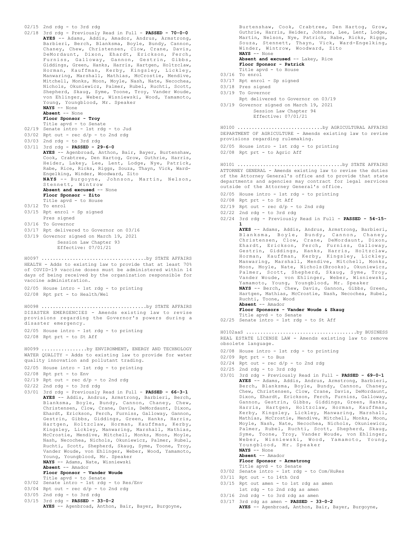02/15 2nd rdg - to 3rd rdg 02/18 3rd rdg - Previously Read in Full - **PASSED - 70-0-0 AYES** -- Adams, Addis, Amador, Andrus, Armstrong, Barbieri, Berch, Blanksma, Boyle, Bundy, Cannon, Chaney, Chew, Christensen, Clow, Crane, Davis, DeMordaunt, Dixon, Ehardt, Erickson, Ferch, Furniss, Galloway, Gannon, Gestrin, Gibbs, Giddings, Green, Hanks, Harris, Hartgen, Holtzclaw, Horman, Kauffman, Kerby, Kingsley, Lickley, Manwaring, Marshall, Mathias, McCrostie, Mendive, Mitchell, Monks, Moon, Moyle, Nash, Nate, Necochea, Nichols, Okuniewicz, Palmer, Rubel, Ruchti, Scott, Shepherd, Skaug, Syme, Toone, Troy, Vander Woude, von Ehlinger, Weber, Wisniewski, Wood, Yamamoto, Young, Youngblood, Mr. Speaker **NAYS** -- None **Absent** -- None **Floor Sponsor - Troy** Title apvd - to Senate 02/19 Senate intro - 1st rdg - to Jud 03/02 Rpt out - rec d/p - to 2nd rdg 03/03 2nd rdg - to 3rd rdg 03/11 3rd rdg - **PASSED - 29-6-0 AYES** -- Agenbroad, Anthon, Bair, Bayer, Burtenshaw, Cook, Crabtree, Den Hartog, Grow, Guthrie, Harris, Heider, Lakey, Lee, Lent, Lodge, Nye, Patrick, Rabe, Rice, Ricks, Riggs, Souza, Thayn, Vick, Ward-Engelking, Winder, Woodward, Zito **NAYS** -- Burgoyne, Johnson, Martin, Nelson, Stennett, Wintrow **Absent and excused** -- None **Floor Sponsor - Zito** Title apvd - to House 03/12 To enrol 03/15 Rpt enrol - Sp signed Pres signed 03/16 To Governor 03/17 Rpt delivered to Governor on 03/16 03/19 Governor signed on March 19, 2021 Session Law Chapter 93 Effective: 07/01/21 HEALTH - Adds to existing law to provide that at least 70% of COVID-19 vaccine doses must be administered within 14 days of being received by the organization responsible for vaccine administration. 02/05 House intro - 1st rdg - to printing 02/08 Rpt prt - to Health/Wel H0097 .....................................by STATE AFFAIRS DISASTER EMERGENCIES - Amends existing law to revise provisions regarding the Governor's powers during a disaster emergency. 02/05 House intro - 1st rdg - to printing 02/08 Rpt prt - to St Aff H0098 .....................................by STATE AFFAIRS WATER QUALITY - Adds to existing law to provide for water quality innovation and pollutant trading. 02/05 House intro - 1st rdg - to printing 02/08 Rpt prt - to Env  $02/19$  Rpt out - rec  $d/p$  - to 2nd rdg 02/22 2nd rdg - to 3rd rdg 03/01 3rd rdg - Previously Read in Full - **PASSED - 66-3-1 AYES** -- Addis, Andrus, Armstrong, Barbieri, Berch, Blanksma, Boyle, Bundy, Cannon, Chaney, Chew, Christensen, Clow, Crane, Davis, DeMordaunt, Dixon, Ehardt, Erickson, Ferch, Furniss, Galloway, Gannon, Gestrin, Gibbs, Giddings, Green, Hanks, Harris, Hartgen, Holtzclaw, Horman, Kauffman, Kerby, H0099 ................by ENVIRONMENT, ENERGY AND TECHNOLOGY

Burtenshaw, Cook, Crabtree, Den Hartog, Grow, Guthrie, Harris, Heider, Johnson, Lee, Lent, Lodge, Martin, Nelson, Nye, Patrick, Rabe, Ricks, Riggs, Souza, Stennett, Thayn, Vick, Ward-Engelking, Winder, Wintrow, Woodward, Zito **NAYS** -- None **Absent and excused** -- Lakey, Rice **Floor Sponsor - Patrick** Title apvd - to House 03/16 To enrol 03/17 Rpt enrol - Sp signed 03/18 Pres signed 03/19 To Governor Rpt delivered to Governor on 03/19 03/19 Governor signed on March 19, 2021 Session Law Chapter 94 Effective: 07/01/21 DEPARTMENT OF AGRICULTURE - Amends existing law to revise provisions regarding rulemaking. 02/05 House intro - 1st rdg - to printing 02/08 Rpt prt - to Agric Aff H0100 ..............................by AGRICULTURAL AFFAIRS ATTORNEY GENERAL - Amends existing law to revise the duties of the Attorney General's office and to provide that state departments and agencies may contract for legal services outside of the Attorney General's office. 02/05 House intro - 1st rdg - to printing 02/08 Rpt prt - to St Aff  $02/19$  Rpt out - rec  $d/p$  - to 2nd rdg  $02/22$  2nd rdg - to 3rd rdg 02/24 3rd rdg - Previously Read in Full - **PASSED - 54-15- 1 AYES** -- Adams, Addis, Andrus, Armstrong, Barbieri, Blanksma, Boyle, Bundy, Cannon, Chaney, Christensen, Clow, Crane, DeMordaunt, Dixon, Ehardt, Erickson, Ferch, Furniss, Galloway, Gestrin, Giddings, Hanks, Harris, Holtzclaw, Horman, Kauffman, Kerby, Kingsley, Lickley, Manwaring, Marshall, Mendive, Mitchell, Monks, Moon, Moyle, Nate, Nichols(Brooks), Okuniewicz, Palmer, Scott, Shepherd, Skaug, Syme, Troy, Vander Woude, von Ehlinger, Weber, Wisniewski, Yamamoto, Young, Youngblood, Mr. Speaker H0101 .....................................by STATE AFFAIRS

**NAYS** -- Berch, Chew, Davis, Gannon, Gibbs, Green, Hartgen, Mathias, McCrostie, Nash, Necochea, Rubel, Ruchti, Toone, Wood

**Absent** -- Amador **Floor Sponsors - Vander Woude & Skaug**

Title apvd - to Senate 02/25 Senate intro - 1st rdg - to St Aff

REAL ESTATE LICENSE LAW - Amends existing law to remove obsolete language. H0102aaS .......................................by BUSINESS

- 02/08 House intro 1st rdg to printing
- 02/09 Rpt prt to Bus
- $02/24$  Rpt out rec  $d/p$  to 2nd rdg
- 02/25 2nd rdg to 3rd rdg
- 03/01 3rd rdg Previously Read in Full **PASSED 69-0-1 AYES** -- Adams, Addis, Andrus, Armstrong, Barbieri, Berch, Blanksma, Boyle, Bundy, Cannon, Chaney, Chew, Christensen, Clow, Crane, Davis, DeMordaunt, Dixon, Ehardt, Erickson, Ferch, Furniss, Galloway, Gannon, Gestrin, Gibbs, Giddings, Green, Hanks, Harris, Hartgen, Holtzclaw, Horman, Kauffman, Kerby, Kingsley, Lickley, Manwaring, Marshall, Mathias, McCrostie, Mendive, Mitchell, Monks, Moon, Moyle, Nash, Nate, Necochea, Nichols, Okuniewicz, Palmer, Rubel, Ruchti, Scott, Shepherd, Skaug, Syme, Toone, Troy, Vander Woude, von Ehlinger, Weber, Wisniewski, Wood, Yamamoto, Young, Youngblood, Mr. Speaker **NAYS** -- None

#### **Absent** -- Amador

- **Floor Sponsor Armstrong**
- Title apvd to Senate 03/02 Senate intro 1st rdg to Com/HuRes
- 
- 03/11 Rpt out to 14th Ord
- 03/15 Rpt out amen to 1st rdg as amen
- 1st rdg to 2nd rdg as amen
- 03/16 2nd rdg to 3rd rdg as amen 03/17 3rd rdg as amen - **PASSED - 33-0-2**
- **AYES** -- Agenbroad, Anthon, Bair, Bayer, Burgoyne,

 $03/04$  Rpt out - rec  $d/p$  - to 2nd rdg 03/05 2nd rdg - to 3rd rdg

**Absent** -- Amador

- 03/15 3rd rdg **PASSED 33-0-2**
- **AYES** -- Agenbroad, Anthon, Bair, Bayer, Burgoyne,

Young, Youngblood, Mr. Speaker **NAYS** -- Adams, Nate, Wisniewski

**Floor Sponsor - Vander Woude** Title apvd - to Senate 03/02 Senate intro - 1st rdg - to Res/Env

Kingsley, Lickley, Manwaring, Marshall, Mathias, McCrostie, Mendive, Mitchell, Monks, Moon, Moyle, Nash, Necochea, Nichols, Okuniewicz, Palmer, Rubel, Ruchti, Scott, Shepherd, Skaug, Syme, Toone, Troy, Vander Woude, von Ehlinger, Weber, Wood, Yamamoto,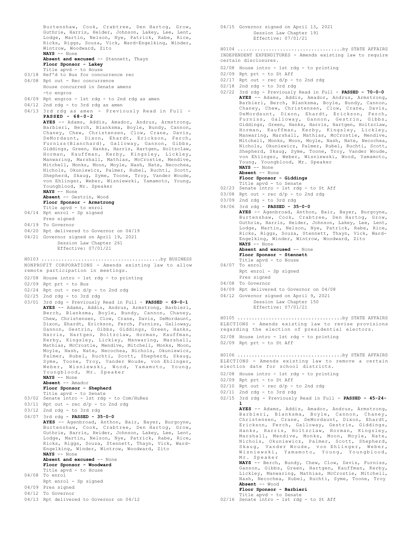Burtenshaw, Cook, Crabtree, Den Hartog, Grow, Guthrie, Harris, Heider, Johnson, Lakey, Lee, Lent, Lodge, Martin, Nelson, Nye, Patrick, Rabe, Rice, Ricks, Riggs, Souza, Vick, Ward-Engelking, Winder, Wintrow, Woodward, Zito **NAYS** -- None **Absent and excused** -- Stennett, Thayn **Floor Sponsor - Lakey** Title apvd - to House 03/18 Ref'd to Bus for concurrence rec 04/08 Rpt out - Rec concurrence House concurred in Senate amens -to engros 04/09 Rpt engros - 1st rdg - to 2nd rdg as amen 04/12 2nd rdg - to 3rd rdg as amen 04/13 3rd rdg as amen - Previously Read in Full - **PASSED - 68-0-2 AYES** -- Adams, Addis, Amador, Andrus, Armstrong, Barbieri, Berch, Blanksma, Boyle, Bundy, Cannon, Chaney, Chew, Christensen, Clow, Crane, Davis, DeMordaunt, Dixon, Ehardt, Erickson, Ferch, Furniss(Blanchard), Galloway, Gannon, Gibbs, Giddings, Green, Hanks, Harris, Hartgen, Holtzclaw, Horman, Kauffman, Kerby, Kingsley, Lickley, Manwaring, Marshall, Mathias, McCrostie, Mendive, Mitchell, Monks, Moon, Moyle, Nash, Nate, Necochea, Nichols, Okuniewicz, Palmer, Rubel, Ruchti, Scott, Shepherd, Skaug, Syme, Toone, Troy, Vander Woude, von Ehlinger, Weber, Wisniewski, Yamamoto, Young, Youngblood, Mr. Speaker **NAYS** -- None **Absent** -- Gestrin, Wood **Floor Sponsor - Armstrong** Title apvd - to enrol 04/14 Rpt enrol - Sp signed Pres signed 04/19 To Governor 04/20 Rpt delivered to Governor on 04/19 04/21 Governor signed on April 19, 2021 Session Law Chapter 261 Effective: 07/01/21 NONPROFIT CORPORATIONS - Amends existing law to allow remote participation in meetings. 02/08 House intro - 1st rdg - to printing 02/09 Rpt prt - to Bus 02/24 Rpt out - rec d/p - to 2nd rdg 02/25 2nd rdg - to 3rd rdg 03/01 3rd rdg - Previously Read in Full - **PASSED - 69-0-1 AYES** -- Adams, Addis, Andrus, Armstrong, Barbieri, Berch, Blanksma, Boyle, Bundy, Cannon, Chaney, Chew, Christensen, Clow, Crane, Davis, DeMordaunt, Dixon, Ehardt, Erickson, Ferch, Furniss, Galloway, Gannon, Gestrin, Gibbs, Giddings, Green, Hanks, Harris, Hartgen, Holtzclaw, Horman, Kauffman, Kerby, Kingsley, Lickley, Manwaring, Marshall, Mathias, McCrostie, Mendive, Mitchell, Monks, Moon, Moyle, Nash, Nate, Necochea, Nichols, Okuniewicz, Palmer, Rubel, Ruchti, Scott, Shepherd, Skaug, Syme, Toone, Troy, Vander Woude, von Ehlinger, Weber, Wisniewski, Wood, Yamamoto, Young, Youngblood, Mr. Speaker **NAYS** -- None **Absent** -- Amador **Floor Sponsor - Shepherd** Title apvd - to Senate 03/02 Senate intro - 1st rdg - to Com/HuRes 03/11 Rpt out - rec d/p - to 2nd rdg 03/12 2nd rdg - to 3rd rdg 04/07 3rd rdg - **PASSED - 35-0-0 AYES** -- Agenbroad, Anthon, Bair, Bayer, Burgoyne, Burtenshaw, Cook, Crabtree, Den Hartog, Grow, Guthrie, Harris, Heider, Johnson, Lakey, Lee, Lent, Lodge, Martin, Nelson, Nye, Patrick, Rabe, Rice, Ricks, Riggs, Souza, Stennett, Thayn, Vick, Ward-Engelking, Winder, Wintrow, Woodward, Zito **NAYS** -- None **Absent and excused** -- None **Floor Sponsor - Woodward** Title apvd - to House 04/08 To enrol Rpt enrol - Sp signed 04/09 Pres signed 04/12 To Governor 04/13 Rpt delivered to Governor on 04/12 H0103 ..........................................by BUSINESS

Session Law Chapter 191 Effective: 07/01/21 INDEPENDENT EXPENDITURES - Amends existing law to require certain disclosures. 02/08 House intro - 1st rdg - to printing 02/09 Rpt prt - to St Aff  $02/17$  Rpt out - rec  $d/p$  - to 2nd rdg 02/18 2nd rdg - to 3rd rdg 02/22 3rd rdg - Previously Read in Full - **PASSED - 70-0-0 AYES** -- Adams, Addis, Amador, Andrus, Armstrong, Barbieri, Berch, Blanksma, Boyle, Bundy, Cannon, Chaney, Chew, Christensen, Clow, Crane, Davis, DeMordaunt, Dixon, Ehardt, Erickson, Ferch, Furniss, Galloway, Gannon, Gestrin, Gibbs, Giddings, Green, Hanks, Harris, Hartgen, Holtzclaw, Horman, Kauffman, Kerby, Kingsley, Lickley, Manwaring, Marshall, Mathias, McCrostie, Mendive, Mitchell, Monks, Moon, Moyle, Nash, Nate, Necochea, Nichols, Okuniewicz, Palmer, Rubel, Ruchti, Scott, Shepherd, Skaug, Syme, Toone, Troy, Vander Woude, von Ehlinger, Weber, Wisniewski, Wood, Yamamoto, Young, Youngblood, Mr. Speaker **NAYS** -- None **Absent** -- None **Floor Sponsor - Giddings** Title apvd - to Senate 02/23 Senate intro - 1st rdg - to St Aff  $03/08$  Rpt out - rec  $d/p$  - to 2nd rdg 03/09 2nd rdg - to 3rd rdg 04/06 3rd rdg - **PASSED - 35-0-0 AYES** -- Agenbroad, Anthon, Bair, Bayer, Burgoyne, Burtenshaw, Cook, Crabtree, Den Hartog, Grow, Guthrie, Harris, Heider, Johnson, Lakey, Lee, Lent, Lodge, Martin, Nelson, Nye, Patrick, Rabe, Rice, Ricks, Riggs, Souza, Stennett, Thayn, Vick, Ward-Engelking, Winder, Wintrow, Woodward, Zito **NAYS** -- None **Absent and excused** -- None **Floor Sponsor - Stennett** Title apvd - to House 04/07 To enrol Rpt enrol - Sp signed Pres signed 04/08 To Governor 04/09 Rpt delivered to Governor on 04/08 04/12 Governor signed on April 9, 2021 Session Law Chapter 150 Effective: 07/01/21 H0104 .....................................by STATE AFFAIRS ELECTIONS - Amends existing law to revise provisions regarding the election of presidential electors. 02/08 House intro - 1st rdg - to printing 02/09 Rpt prt - to St Aff H0105 .....................................by STATE AFFAIRS ELECTIONS - Amends existing law to remove a certain election date for school districts. 02/08 House intro - 1st rdg - to printing 02/09 Rpt prt - to St Aff  $02/10$  Rpt out - rec  $d/p$  - to 2nd rdg 02/11 2nd rdg - to 3rd rdg 02/15 3rd rdg - Previously Read in Full - **PASSED - 45-24- 1 AYES** -- Adams, Addis, Amador, Andrus, Armstrong, Barbieri, Blanksma, Boyle, Cannon, Chaney, Christensen, Crane, DeMordaunt, Dixon, Ehardt, Erickson, Ferch, Galloway, Gestrin, Giddings,<br>Hanks, Harris, Holtzclaw, Horman, Kingsley,<br>Marshall, Mendive, Monks, Moon, Moyle, Nate,<br>Nichols, Okuniewicz, Palmer, Scott, Shepherd,<br>Skaug, Vander Woude, von Ehlinger, Weber, H0106 .....................................by STATE AFFAIRS

04/15 Governor signed on April 13, 2021

Mr. Speaker **NAYS** -- Berch, Bundy, Chew, Clow, Davis, Furniss, Gannon, Gibbs, Green, Hartgen, Kauffman, Kerby, Lickley, Manwaring, Mathias, McCrostie, Mitchell, Nash, Necochea, Rubel, Ruchti, Syme, Toone, Troy **Absent** -- Wood

### **Floor Sponsor - Barbieri**

#### Title apvd - to Senate

02/16 Senate intro - 1st rdg - to St Aff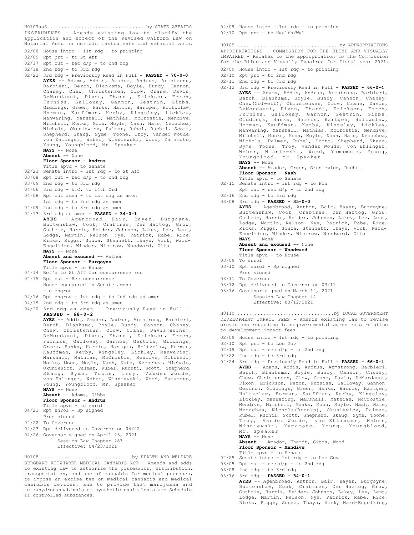INSTRUMENTS - Amends existing law to clarify the application and effect of the Revised Uniform Law on Notarial Acts on certain instruments and notarial acts. H0107aaS ..................................by STATE AFFAIRS

- 02/08 House intro 1st rdg to printing
- 02/09 Rpt prt to St Aff
- $02/17$  Rpt out rec  $d/p$  to 2nd rdg
- 02/18 2nd rdg to 3rd rdg
- 02/22 3rd rdg Previously Read in Full **PASSED 70-0-0 AYES** -- Adams, Addis, Amador, Andrus, Armstrong, Barbieri, Berch, Blanksma, Boyle, Bundy, Cannon, Chaney, Chew, Christensen, Clow, Crane, Davis, DeMordaunt, Dixon, Ehardt, Erickson, Ferch, Furniss, Galloway, Gannon, Gestrin, Gibbs, Giddings, Green, Hanks, Harris, Hartgen, Holtzclaw, Horman, Kauffman, Kerby, Kingsley, Lickley, Manwaring, Marshall, Mathias, McCrostie, Mendive, Mitchell, Monks, Moon, Moyle, Nash, Nate, Necochea, Nichols, Okuniewicz, Palmer, Rubel, Ruchti, Scott, Shepherd, Skaug, Syme, Toone, Troy, Vander Woude, von Ehlinger, Weber, Wisniewski, Wood, Yamamoto, Young, Youngblood, Mr. Speaker **NAYS** -- None
	- **Absent** -- None

#### **Floor Sponsor - Andrus**

- Title apvd to Senate 02/23 Senate intro 1st rdg to St Aff
- $03/08$  Rpt out rec  $d/p$  to 2nd rdg
- 03/09 2nd rdg to 3rd rdg
- 04/06 3rd rdg U.C. to 14th Ord
- 04/08 Rpt out amen to 1st rdg as amen
- 1st rdg to 2nd rdg as amen
- 04/09 2nd rdg to 3rd rdg as amen
- 04/13 3rd rdg as amen **PASSED 34-0-1 AYES** -- Agenbroad, Bair, Bayer, Burgoyne, Burtenshaw, Cook, Crabtree, Den Hartog, Grow, Guthrie, Harris, Heider, Johnson, Lakey, Lee, Lent, Lodge, Martin, Nelson, Nye, Patrick, Rabe, Rice, Ricks, Riggs, Souza, Stennett, Thayn, Vick, Ward-Engelking, Winder, Wintrow, Woodward, Zito

#### **NAYS** -- None **Absent and excused** -- Anthon

### **Floor Sponsor - Burgoyne**

Title apvd - to House

- 04/14 Ref'd to St Aff for concurrence rec
- 04/15 Rpt out Rec concurrence House concurred in Senate amens -to engros
- 04/16 Rpt engros 1st rdg to 2nd rdg as amen
- 04/19 2nd rdg to 3rd rdg as amen
- 
- 04/20 3rd rdg as amen Previously Read in Full **PASSED - 68-0-2**

**AYES** -- Addis, Amador, Andrus, Armstrong, Barbieri, Berch, Blanksma, Boyle, Bundy, Cannon, Chaney, Chew, Christensen, Clow, Crane, Davis(Burns), DeMordaunt, Dixon, Ehardt, Erickson, Ferch, Furniss, Galloway, Gannon, Gestrin, Giddings, Green, Hanks, Harris, Hartgen, Holtzclaw, Horman, Kauffman, Kerby, Kingsley, Lickley, Manwaring, Marshall, Mathias, McCrostie, Mendive, Mitchell, Monks, Moon, Moyle, Nash, Nate, Necochea, Nichols, Okuniewicz, Palmer, Rubel, Ruchti, Scott, Shepherd, Skaug, Syme, Toone, Troy, Vander Woude, von Ehlinger, Weber, Wisniewski, Wood, Yamamoto, Young, Youngblood, Mr. Speaker **NAYS** -- None **Absent** -- Adams, Gibbs **Floor Sponsor - Andrus** Title apvd - to enrol

```
04/21 Rpt enrol - Sp signed
```
- Pres signed 04/22 To Governor
- 
- 04/23 Rpt delivered to Governor on 04/22
- 04/26 Governor signed on April 23, 2021 Session Law Chapter 283
	- Effective: 04/23/2021

SERGEANT KITZHABER MEDICAL CANNABIS ACT - Amends and adds to existing law to authorize the possession, distribution, transportation, and use of cannabis for medical purposes, to impose an excise tax on medical cannabis and medical cannabis devices, and to provide that marijuana and tetrahydrocannabinols or synthetic equivalents are Schedule II controlled substances. H0108 ................................by HEALTH AND WELFARE 02/09 House intro - 1st rdg - to printing 02/10 Rpt prt - to Health/Wel

APPROPRIATIONS - COMMISSION FOR THE BLIND AND VISUALLY IMPAIRED - Relates to the appropriation to the Commission for the Blind and Visually Impaired for fiscal year 2021. H0109 ....................................by APPROPRIATIONS

- 02/09 House intro 1st rdg to printing
- 02/10 Rpt prt to 2nd rdg
- 02/11 2nd rdg to 3rd rdg
- 02/12 3rd rdg Previously Read in Full **PASSED 66-0-4 AYES** -- Adams, Addis, Andrus, Armstrong, Barbieri, Berch, Blanksma, Boyle, Bundy, Cannon, Chaney, Chew(Colwell), Christensen, Clow, Crane, Davis, DeMordaunt, Dixon, Ehardt, Erickson, Ferch, Furniss, Galloway, Gannon, Gestrin, Gibbs, Giddings, Hanks, Harris, Hartgen, Holtzclaw, Horman, Kauffman, Kerby, Kingsley, Lickley, Manwaring, Marshall, Mathias, McCrostie, Mendive, Mitchell, Monks, Moon, Moyle, Nash, Nate, Necochea, Nichols, Palmer, Rubel, Scott, Shepherd, Skaug, Syme, Toone, Troy, Vander Woude, von Ehlinger, Weber, Wisniewski, Wood, Yamamoto, Young, Youngblood, Mr. Speaker **NAYS** -- None

**Absent** -- Amador, Green, Okuniewicz, Ruchti **Floor Sponsor - Nash**

- Title apvd to Senate
- 02/15 Senate intro 1st rdg to Fin
	- Rpt out rec d/p to 2nd rdg
- 02/16 2nd rdg to 3rd rdg
- 03/08 3rd rdg **PASSED 35-0-0**

**AYES** -- Agenbroad, Anthon, Bair, Bayer, Burgoyne, Burtenshaw, Cook, Crabtree, Den Hartog, Grow, Guthrie, Harris, Heider, Johnson, Lakey, Lee, Lent, Lodge, Martin, Nelson, Nye, Patrick, Rabe, Rice, Ricks, Riggs, Souza, Stennett, Thayn, Vick, Ward-Engelking, Winder, Wintrow, Woodward, Zito **NAYS** -- None

## **Absent and excused** -- None

**Floor Sponsor - Woodward**

- Title apvd to House
- 03/09 To enrol
- 03/10 Rpt enrol Sp signed Pres signed
- 03/11 To Governor
- 03/12 Rpt delivered to Governor on 03/11
- 03/16 Governor signed on March 12, 2021 Session Law Chapter 44 Effective: 03/12/2021

DEVELOPMENT IMPACT FEES - Amends existing law to revise provisions regarding intergovernmental agreements relating to development impact fees. H0110 ..................................by LOCAL GOVERNMENT

- 02/09 House intro 1st rdg to printing
- 02/10 Rpt prt to Loc Gov
- 02/19 Rpt out rec d/p to 2nd rdg
- 02/22 2nd rdg to 3rd rdg
- 02/24 3rd rdg Previously Read in Full **PASSED 66-0-4 AYES** -- Adams, Addis, Andrus, Armstrong, Barbieri, Berch, Blanksma, Boyle, Bundy, Cannon, Chaney, Chew, Christensen, Clow, Crane, Davis, DeMordaunt, Dixon, Erickson, Ferch, Furniss, Galloway, Gannon, Gestrin, Giddings, Green, Hanks, Harris, Hartgen, Holtzclaw, Horman, Kauffman, Kerby, Kingsley, Lickley, Manwaring, Marshall, Mathias, McCrostie, Mendive, Mitchell, Monks, Moon, Moyle, Nash, Nate, Necochea, Nichols(Brooks), Okuniewicz, Palmer, Rubel, Ruchti, Scott, Shepherd, Skaug, Syme, Toone, Troy, Vander Woude, von Ehlinger, Weber, Wisniewski, Yamamoto, Young, Youngblood, Mr. Speaker **NAYS** -- None

**Absent** -- Amador, Ehardt, Gibbs, Wood **Floor Sponsor - Mendive**

- Title apvd to Senate 02/25 Senate intro - 1st rdg - to Loc Gov
- 03/05 Rpt out rec  $d/p$  to 2nd rdg
- 03/08 2nd rdg to 3rd rdg
- 03/16 3rd rdg **PASSED 34-0-1 AYES** -- Agenbroad, Anthon, Bair, Bayer, Burgoyne, Burtenshaw, Cook, Crabtree, Den Hartog, Grow, Guthrie, Harris, Heider, Johnson, Lakey, Lee, Lent, Lodge, Martin, Nelson, Nye, Patrick, Rabe, Rice, Ricks, Riggs, Souza, Thayn, Vick, Ward-Engelking,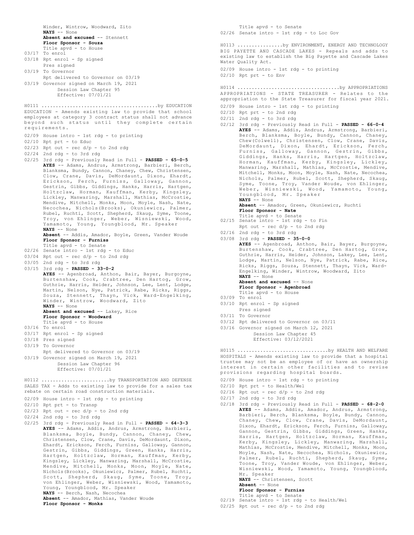Winder, Wintrow, Woodward, Zito **NAYS** -- None **Absent and excused** -- Stennett **Floor Sponsor - Souza** Title apvd - to House 03/17 To enrol 03/18 Rpt enrol - Sp signed Pres signed 03/19 To Governor Rpt delivered to Governor on 03/19 03/19 Governor signed on March 19, 2021 Session Law Chapter 95 Effective: 07/01/21 EDUCATION - Amends existing law to provide that school employees at category 3 contract status shall not advance beyond such status until they complete certain requirements. 02/09 House intro - 1st rdg - to printing 02/10 Rpt prt - to Educ  $02/23$  Rpt out - rec  $d/p$  - to 2nd rdg 02/24 2nd rdg - to 3rd rdg 02/25 3rd rdg - Previously Read in Full - **PASSED - 65-0-5 AYES** -- Adams, Andrus, Armstrong, Barbieri, Berch, Blanksma, Bundy, Cannon, Chaney, Chew, Christensen, Clow, Crane, Davis, DeMordaunt, Dixon, Ehardt, Erickson, Ferch, Furniss, Galloway, Gannon, Gestrin, Gibbs, Giddings, Hanks, Harris, Hartgen, Holtzclaw, Horman, Kauffman, Kerby, Kingsley, Lickley, Manwaring, Marshall, Mathias, McCrostie, Mendive, Mitchell, Monks, Moon, Moyle, Nash, Nate, Necochea, Nichols(Brooks), Okuniewicz, Palmer, Rubel, Ruchti, Scott, Shepherd, Skaug, Syme, Toone, Troy, von Ehlinger, Weber, Wisniewski, Wood, Yamamoto, Young, Youngblood, Mr. Speaker **NAYS** -- None **Absent** -- Addis, Amador, Boyle, Green, Vander Woude **Floor Sponsor - Furniss** Title apvd - to Senate 02/26 Senate intro - 1st rdg - to Educ 03/04 Rpt out - rec d/p - to 2nd rdg 03/05 2nd rdg - to 3rd rdg 03/15 3rd rdg - **PASSED - 33-0-2 AYES** -- Agenbroad, Anthon, Bair, Bayer, Burgoyne, Burtenshaw, Cook, Crabtree, Den Hartog, Grow, Guthrie, Harris, Heider, Johnson, Lee, Lent, Lodge, Martin, Nelson, Nye, Patrick, Rabe, Ricks, Riggs, Souza, Stennett, Thayn, Vick, Ward-Engelking, Winder, Wintrow, Woodward, Zito **NAYS** -- None **Absent and excused** -- Lakey, Rice **Floor Sponsor - Woodward** Title apvd - to House 03/16 To enrol 03/17 Rpt enrol - Sp signed 03/18 Pres signed 03/19 To Governor Rpt delivered to Governor on 03/19 03/19 Governor signed on March 19, 2021 Session Law Chapter 96 Effective: 07/01/21 H0111 .........................................by EDUCATION SALES TAX - Adds to existing law to provide for a sales tax rebate on certain road construction materials. 02/09 House intro - 1st rdg - to printing 02/10 Rpt prt - to Transp  $02/23$  Rpt out - rec  $d/p$  - to 2nd rdg 02/24 2nd rdg - to 3rd rdg 02/25 3rd rdg - Previously Read in Full - **PASSED - 64-3-3 AYES** -- Adams, Addis, Andrus, Armstrong, Barbieri, Blanksma, Boyle, Bundy, Cannon, Chaney, Chew, Christensen, Clow, Crane, Davis, DeMordaunt, Dixon, Ehardt, Erickson, Ferch, Furniss, Galloway, Gannon, Gestrin, Gibbs, Giddings, Green, Hanks, Harris, Hartgen, Holtzclaw, Horman, Kauffman, Kerby, Kingsley, Lickley, Manwaring, Marshall, McCrostie, Mendive, Mitchell, Monks, Moon, Moyle, Nate, Nichols(Brooks), Okuniewicz, Palmer, Rubel, Ruchti, Scott, Shepherd, Skaug, Syme, Toone, Troy, von Ehlinger, Weber, Wisniewski, Wood, Yamamoto, Young, Youngblood, Mr. Speaker **NAYS** -- Berch, Nash, Necochea H0112 ........................by TRANSPORTATION AND DEFENSE

**Absent** -- Amador, Mathias, Vander Woude

**Floor Sponsor - Monks**

Title apvd - to Senate 02/19 Senate intro - 1st rdg - to Health/Wel

Mr. Speaker

**Absent** -- None **Floor Sponsor - Furniss**

 $02/25$  Rpt out - rec d/p - to 2nd rdg

**NAYS** -- Christensen, Scott

Title apvd - to Senate 02/26 Senate intro - 1st rdg - to Loc Gov

02/09 House intro - 1st rdg - to printing

02/09 House intro - 1st rdg - to printing

Youngblood, Mr. Speaker

Water Quality Act.

 $02/10$  Rpt prt - to Env

02/10 Rpt prt - to 2nd rdg 02/11 2nd rdg - to 3rd rdg

**NAYS** -- None

02/16 2nd rdg - to 3rd rdg 03/08 3rd rdg - **PASSED - 35-0-0**

**NAYS** -- None

03/10 Rpt enrol - Sp signed Pres signed 03/11 To Governor

02/10 Rpt prt - to Health/Wel  $02/16$  Rpt out - rec  $d/p$  - to 2nd rdg

02/17 2nd rdg - to 3rd rdg

03/09 To enrol

**Absent and excused** -- None **Floor Sponsor - Agenbroad** Title apvd - to House

03/12 Rpt delivered to Governor on 03/11 03/16 Governor signed on March 12, 2021 Session Law Chapter 45 Effective: 03/12/2021

provisions regarding hospital boards. 02/09 House intro - 1st rdg - to printing

**Floor Sponsor - Nate** Title apvd - to Senate 02/15 Senate intro - 1st rdg - to Fin Rpt out - rec d/p - to 2nd rdg

BIG PAYETTE AND CASCADE LAKES - Repeals and adds to existing law to establish the Big Payette and Cascade Lakes

APPROPRIATIONS - STATE TREASURER - Relates to the appropriation to the State Treasurer for fiscal year 2021.

H0114 ....................................by APPROPRIATIONS

02/12 3rd rdg - Previously Read in Full - **PASSED - 66-0-4 AYES** -- Adams, Addis, Andrus, Armstrong, Barbieri, Berch, Blanksma, Boyle, Bundy, Cannon, Chaney, Chew(Colwell), Christensen, Clow, Crane, Davis, DeMordaunt, Dixon, Ehardt, Erickson, Ferch, Furniss, Galloway, Gannon, Gestrin, Gibbs, Giddings, Hanks, Harris, Hartgen, Holtzclaw, Horman, Kauffman, Kerby, Kingsley, Lickley, Manwaring, Marshall, Mathias, McCrostie, Mendive, Mitchell, Monks, Moon, Moyle, Nash, Nate, Necochea, Nichols, Palmer, Rubel, Scott, Shepherd, Skaug, Syme, Toone, Troy, Vander Woude, von Ehlinger, Weber, Wisniewski, Wood, Yamamoto, Young,

**Absent** -- Amador, Green, Okuniewicz, Ruchti

**AYES** -- Agenbroad, Anthon, Bair, Bayer, Burgoyne, Burtenshaw, Cook, Crabtree, Den Hartog, Grow, Guthrie, Harris, Heider, Johnson, Lakey, Lee, Lent, Lodge, Martin, Nelson, Nye, Patrick, Rabe, Rice, Ricks, Riggs, Souza, Stennett, Thayn, Vick, Ward-Engelking, Winder, Wintrow, Woodward, Zito

HOSPITALS - Amends existing law to provide that a hospital trustee may not be an employee of or have an ownership interest in certain other facilities and to revise

H0115 ................................by HEALTH AND WELFARE

02/18 3rd rdg - Previously Read in Full - **PASSED - 68-2-0 AYES** -- Adams, Addis, Amador, Andrus, Armstrong, Barbieri, Berch, Blanksma, Boyle, Bundy, Cannon, Chaney, Chew, Clow, Crane, Davis, DeMordaunt, Dixon, Ehardt, Erickson, Ferch, Furniss, Galloway, Gannon, Gestrin, Gibbs, Giddings, Green, Hanks, Harris, Hartgen, Holtzclaw, Horman, Kauffman, Kerby, Kingsley, Lickley, Manwaring, Marshall, Mathias, McCrostie, Mendive, Mitchell, Monks, Moon, Moyle, Nash, Nate, Necochea, Nichols, Okuniewicz, Palmer, Rubel, Ruchti, Shepherd, Skaug, Syme, Toone, Troy, Vander Woude, von Ehlinger, Weber, Wisniewski, Wood, Yamamoto, Young, Youngblood,

H0113 ................by ENVIRONMENT, ENERGY AND TECHNOLOGY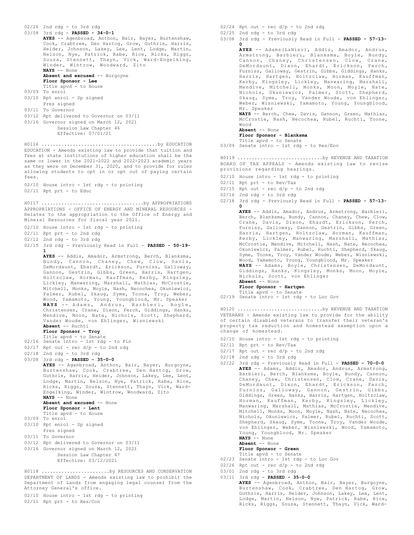```
02/26 2nd rdg - to 3rd rdg
03/08 3rd rdg - PASSED - 34-0-1
      AYES -- Agenbroad, Anthon, Bair, Bayer, Burtenshaw,
      Cook, Crabtree, Den Hartog, Grow, Guthrie, Harris,
      Heider, Johnson, Lakey, Lee, Lent, Lodge, Martin,
      Nelson, Nye, Patrick, Rabe, Rice, Ricks, Riggs,
      Souza, Stennett, Thayn, Vick, Ward-Engelking,
      Winder, Wintrow, Woodward, Zito
      NAYS -- None
      Absent and excused -- Burgoyne
      Floor Sponsor - Lee
      Title apvd - to House
03/09 To enrol
03/10 Rpt enrol - Sp signed
      Pres signed
03/11 To Governor
03/12 Rpt delivered to Governor on 03/11
03/16 Governor signed on March 12, 2021
           Session Law Chapter 46
           Effective: 07/01/21
EDUCATION - Amends existing law to provide that tuition and
fees at state institutions of higher education shall be the
same or lower in the 2021-2022 and 2022-2023 academic years
as they were on December 31, 2020, and to provide for rules
allowing students to opt in or opt out of paying certain
fees.
02/10 House intro - 1st rdg - to printing
02/11 Rpt prt - to Educ
H0116 .........................................by EDUCATION
APPROPRIATIONS - OFFICE OF ENERGY AND MINERAL RESOURCES -
Relates to the appropriation to the Office of Energy and
Mineral Resources for fiscal year 2021.
02/10 House intro - 1st rdg - to printing
02/11 Rpt prt - to 2nd rdg
02/12 2nd rdg - to 3rd rdg
02/15 3rd rdg - Previously Read in Full - PASSED - 50-19-
      1
      AYES -- Addis, Amador, Armstrong, Berch, Blanksma,
      Bundy, Cannon, Chaney, Chew, Clow, Davis,
      DeMordaunt, Ehardt, Erickson, Furniss, Galloway,
       Gannon, Gestrin, Gibbs, Green, Harris, Hartgen,
Holtzclaw, Horman, Kauffman, Kerby, Kingsley,
       Lickley, Manwaring, Marshall, Mathias, McCrostie,
      Mitchell, Monks, Moyle, Nash, Necochea, Okuniewicz,
       Palmer, Rubel, Skaug, Syme, Toone, Troy, Weber,
Wood, Yamamoto, Young, Youngblood, Mr. Speaker
      NAYS -- Adams, Andrus, Barbieri, Boyle,
      Christensen, Crane, Dixon, Ferch, Giddings, Hanks,
      Mendive, Moon, Nate, Nichols, Scott, Shepherd,
      Vander Woude, von Ehlinger, Wisniewski
      Absent -- Ruchti
      Floor Sponsor - Troy
       Title apvd - to Senate
02/16 Senate intro - 1st rdg - to Fin
02/17 Rpt out - rec d/p - to 2nd rdg
02/18 2nd rdg - to 3rd rdg
03/08 3rd rdg - PASSED - 35-0-0
      AYES -- Agenbroad, Anthon, Bair, Bayer, Burgoyne,
      Burtenshaw, Cook, Crabtree, Den Hartog, Grow,
       Guthrie, Harris, Heider, Johnson, Lakey, Lee, Lent,
Lodge, Martin, Nelson, Nye, Patrick, Rabe, Rice,
      Ricks, Riggs, Souza, Stennett, Thayn, Vick, Ward-
      Engelking, Winder, Wintrow, Woodward, Zito
      NAYS -- None
      Absent and excused -- None
      Floor Sponsor - Lent
      Title apvd - to House
03/09 To enrol
03/10 Rpt enrol - Sp signed
     Pres signed
03/11 To Governor
03/12 Rpt delivered to Governor on 03/11
03/16 Governor signed on March 12, 2021
          Session Law Chapter 47
           Effective: 03/12/2021
H0117 ....................................by APPROPRIATIONS
DEPARTMENT OF LANDS - Amends existing law to prohibit the
H0118 ........................by RESOURCES AND CONSERVATION
```
Department of Lands from engaging legal counsel from the Attorney General's office.

02/10 House intro - 1st rdg - to printing

02/11 Rpt prt - to Res/Con

 $02/24$  Rpt out - rec  $d/p$  - to 2nd rdg 02/25 2nd rdg - to 3rd rdg 03/08 3rd rdg - Previously Read in Full - **PASSED - 57-13- 0 AYES** -- Adams(LaNier), Addis, Amador, Andrus, Armstrong, Barbieri, Blanksma, Boyle, Bundy, Cannon, Chaney, Christensen, Clow, Crane, DeMordaunt, Dixon, Ehardt, Erickson, Ferch, Furniss, Galloway, Gestrin, Gibbs, Giddings, Hanks, Harris, Hartgen, Holtzclaw, Horman, Kauffman, Kerby, Kingsley, Lickley, Manwaring, Marshall, Mendive, Mitchell, Monks, Moon, Moyle, Nate, Nichols, Okuniewicz, Palmer, Scott, Shepherd, Skaug, Syme, Troy, Vander Woude, von Ehlinger, Weber, Wisniewski, Yamamoto, Young, Youngblood, Mr. Speaker **NAYS** -- Berch, Chew, Davis, Gannon, Green, Mathias, McCrostie, Nash, Necochea, Rubel, Ruchti, Toone, Wood **Absent** -- None **Floor Sponsor - Blanksma** Title apvd - to Senate 03/09 Senate intro - 1st rdg - to Res/Env

BOARD OF TAX APPEALS - Amends existing law to revise provisions regarding hearings. H0119 ..............................by REVENUE AND TAXATION

- 02/10 House intro 1st rdg to printing
- 02/11 Rpt prt to Rev/Tax
- $02/15$  Rpt out rec  $d/p$  to 2nd rdg
- 02/16 2nd rdg to 3rd rdg
- 02/18 3rd rdg Previously Read in Full **PASSED 57-13- 0**

**AYES** -- Addis, Amador, Andrus, Armstrong, Barbieri, Berch, Blanksma, Bundy, Cannon, Chaney, Chew, Clow, Crane, Davis, Dixon, Ehardt, Erickson, Ferch, Furniss, Galloway, Gannon, Gestrin, Gibbs, Green, Harris, Hartgen, Holtzclaw, Horman, Kauffman, Kerby, Lickley, Manwaring, Marshall, Mathias, McCrostie, Mendive, Mitchell, Nash, Nate, Necochea, Okuniewicz, Palmer, Rubel, Ruchti, Shepherd, Skaug, Syme, Toone, Troy, Vander Woude, Weber, Wisniewski, Wood, Yamamoto, Young, Youngblood, Mr. Speaker **NAYS** -- Adams, Boyle, Christensen, DeMordaunt, Giddings, Hanks, Kingsley, Monks, Moon, Moyle, Nichols, Scott, von Ehlinger **Absent** -- None **Floor Sponsor - Hartgen**

Title apvd - to Senate

02/19 Senate intro - 1st rdg - to Loc Gov

VETERANS - Amends existing law to provide for the ability of certain disabled veterans to transfer their veteran's property tax reduction and homestead exemption upon a change of homestead. H0120 ..............................by REVENUE AND TAXATION

- 02/10 House intro 1st rdg to printing
- 02/11 Rpt prt to Rev/Tax
- $02/17$  Rpt out rec  $d/p$  to 2nd rdg
- 02/18 2nd rdg to 3rd rdg
- 02/22 3rd rdg Previously Read in Full **PASSED 70-0-0 AYES** -- Adams, Addis, Amador, Andrus, Armstrong, Barbieri, Berch, Blanksma, Boyle, Bundy, Cannon, Chaney, Chew, Christensen, Clow, Crane, Davis, DeMordaunt, Dixon, Ehardt, Erickson, Ferch, Furniss, Galloway, Gannon, Gestrin, Gibbs, Giddings, Green, Hanks, Harris, Hartgen, Holtzclaw, Horman, Kauffman, Kerby, Kingsley, Lickley, Manwaring, Marshall, Mathias, McCrostie, Mendive, Mitchell, Monks, Moon, Moyle, Nash, Nate, Necochea, Nichols, Okuniewicz, Palmer, Rubel, Ruchti, Scott, Shepherd, Skaug, Syme, Toone, Troy, Vander Woude, von Ehlinger, Weber, Wisniewski, Wood, Yamamoto, Young, Youngblood, Mr. Speaker

**NAYS** -- None **Absent** -- None

**Floor Sponsor - Green**

- Title apvd to Senate 02/23 Senate intro 1st rdg to Loc Gov
- $02/26$  Rpt out rec  $d/p$  to 2nd rdg
- 03/01 2nd rdg to 3rd rdg
- 03/11 3rd rdg **PASSED 35-0-0 AYES** -- Agenbroad, Anthon, Bair, Bayer, Burgoyne, Burtenshaw, Cook, Crabtree, Den Hartog, Grow, Guthrie, Harris, Heider, Johnson, Lakey, Lee, Lent, Lodge, Martin, Nelson, Nye, Patrick, Rabe, Rice, Ricks, Riggs, Souza, Stennett, Thayn, Vick, Ward-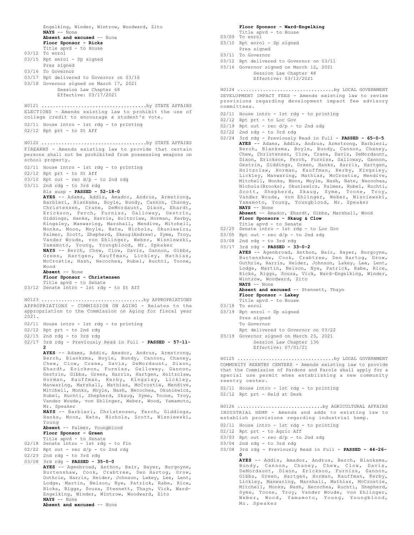Engelking, Winder, Wintrow, Woodward, Zito **NAYS** -- None **Absent and excused** -- None **Floor Sponsor - Ricks** Title apvd - to House 03/12 To enrol 03/15 Rpt enrol - Sp signed Pres signed 03/16 To Governor 03/17 Rpt delivered to Governor on 03/16 03/18 Governor signed on March 17, 2021 Session Law Chapter 68 Effective: 03/17/2021 ELECTIONS - Amends existing law to prohibit the use of college credit to encourage a student's vote. 02/11 House intro - 1st rdg - to printing 02/12 Rpt prt - to St Aff H0121 .....................................by STATE AFFAIRS FIREARMS - Amends existing law to provide that certain persons shall not be prohibited from possessing weapons on school property. 02/11 House intro - 1st rdg - to printing 02/12 Rpt prt - to St Aff 03/10 Rpt out - rec d/p - to 2nd rdg 03/11 2nd rdg - to 3rd rdg Rls susp - **PASSED - 52-18-0 AYES** -- Adams, Addis, Amador, Andrus, Armstrong, Barbieri, Blanksma, Boyle, Bundy, Cannon, Chaney, Christensen, Crane, DeMordaunt, Dixon, Ehardt, Erickson, Ferch, Furniss, Galloway, Gestrin, Giddings, Hanks, Harris, Holtzclaw, Horman, Kerby, Kingsley, Manwaring, Marshall, Mendive, Mitchell, Monks, Moon, Moyle, Nate, Nichols, Okuniewicz, Palmer, Scott, Shepherd, Skaug(Andrew), Syme, Troy, Vander Woude, von Ehlinger, Weber, Wisniewski, Yamamoto, Young, Youngblood, Mr. Speaker **NAYS** -- Berch, Chew, Clow, Davis, Gannon, Gibbs, Green, Hartgen, Kauffman, Lickley, Mathias, McCrostie, Nash, Necochea, Rubel, Ruchti, Toone, Wood **Absent** -- None **Floor Sponsor - Christensen** Title apvd - to Senate 03/12 Senate intro - 1st rdg - to St Aff H0122 .....................................by STATE AFFAIRS APPROPRIATIONS - COMMISSION ON AGING - Relates to the appropriation to the Commission on Aging for fiscal year 2021. 02/11 House intro - 1st rdg - to printing 02/12 Rpt prt - to 2nd rdg 02/15 2nd rdg - to 3rd rdg 02/17 3rd rdg - Previously Read in Full - **PASSED - 57-11- 2 AYES** -- Adams, Addis, Amador, Andrus, Armstrong, Berch, Blanksma, Boyle, Bundy, Cannon, Chaney, Chew, Clow, Crane, Davis, DeMordaunt, Dixon, Ehardt, Erickson, Furniss, Galloway, Gannon, Gestrin, Gibbs, Green, Harris, Hartgen, Holtzclaw, Horman, Kauffman, Kerby, Kingsley, Lickley, Manwaring, Marshall, Mathias, McCrostie, Mendive, Mitchell, Monks, Moyle, Nash, Necochea, Okuniewicz, Rubel, Ruchti, Shepherd, Skaug, Syme, Toone, Troy, Vander Woude, von Ehlinger, Weber, Wood, Yamamoto, Mr. Speaker **NAYS** -- Barbieri, Christensen, Ferch, Giddings, Hanks, Moon, Nate, Nichols, Scott, Wisniewski, Young **Absent** -- Palmer, Youngblood **Floor Sponsor - Green** Title apvd - to Senate 02/18 Senate intro - 1st rdg - to Fin  $02/22$  Rpt out - rec  $d/p$  - to 2nd rdg  $02/23$  2nd rdg - to 3rd rdg 03/08 3rd rdg - **PASSED - 35-0-0 AYES** -- Agenbroad, Anthon, Bair, Bayer, Burgoyne, Burtenshaw, Cook, Crabtree, Den Hartog, Grow, Guthrie, Harris, Heider, Johnson, Lakey, Lee, Lent, Lodge, Martin, Nelson, Nye, Patrick, Rabe, Rice, Ricks, Riggs, Souza, Stennett, Thayn, Vick, Ward-Engelking, Winder, Wintrow, Woodward, Zito **NAYS** -- None **Absent and excused** -- None H0123 ....................................by APPROPRIATIONS

**Floor Sponsor - Ward-Engelking** Title apvd - to House 03/09 To enrol

- 03/10 Rpt enrol Sp signed
- Pres signed
- 03/11 To Governor
- 03/12 Rpt delivered to Governor on 03/11
- 03/16 Governor signed on March 12, 2021 Session Law Chapter 48

```
Effective: 03/12/2021
```
DEVELOPMENT IMPACT FEES - Amends existing law to revise provisions regarding development impact fee advisory committees. H0124 ..................................by LOCAL GOVERNMENT

- 02/11 House intro 1st rdg to printing
- 02/12 Rpt prt to Loc Gov
- $02/19$  Rpt out rec  $d/p$  to 2nd rdg
- 02/22 2nd rdg to 3rd rdg
- 02/24 3rd rdg Previously Read in Full **PASSED 65-0-5 AYES** -- Adams, Addis, Andrus, Armstrong, Barbieri, Berch, Blanksma, Boyle, Bundy, Cannon, Chaney, Chew, Christensen, Clow, Crane, Davis, DeMordaunt, Dixon, Erickson, Ferch, Furniss, Galloway, Gannon, Gestrin, Giddings, Green, Hanks, Harris, Hartgen, Holtzclaw, Horman, Kauffman, Kerby, Kingsley, Lickley, Manwaring, Mathias, McCrostie, Mendive, Mitchell, Monks, Moon, Moyle, Nash, Nate, Necochea, Nichols(Brooks), Okuniewicz, Palmer, Rubel, Ruchti, Scott, Shepherd, Skaug, Syme, Toone, Troy, Vander Woude, von Ehlinger, Weber, Wisniewski, Yamamoto, Young, Youngblood, Mr. Speaker **NAYS** -- None **Absent** -- Amador, Ehardt, Gibbs, Marshall, Wood

### **Floor Sponsors - Skaug & Clow**

- Title apvd to Senate 02/25 Senate intro 1st rdg to Loc Gov
- 
- 03/05 Rpt out rec  $d/p$  to 2nd rdg
- 03/08 2nd rdg to 3rd rdg
- 03/17 3rd rdg **PASSED 33-0-2 AYES** -- Agenbroad, Anthon, Bair, Bayer, Burgoyne, Burtenshaw, Cook, Crabtree, Den Hartog, Grow, Guthrie, Harris, Heider, Johnson, Lakey, Lee, Lent, Lodge, Martin, Nelson, Nye, Patrick, Rabe, Rice, Ricks, Riggs, Souza, Vick, Ward-Engelking, Winder, Wintrow, Woodward, Zito **NAYS** -- None

**Absent and excused** -- Stennett, Thayn

- **Floor Sponsor Lakey**
- Title apvd to House
- 03/18 To enrol
- 03/19 Rpt enrol Sp signed Pres signed To Governor
	- Rpt delivered to Governor on 03/22
- 03/19 Governor signed on March 23, 2021 Session Law Chapter 136 Effective: 07/01/21

COMMUNITY REENTRY CENTERS - Amends existing law to provide that the Commission of Pardons and Parole shall apply for a special use permit when establishing a new community reentry center. H0125 ..................................by LOCAL GOVERNMENT

### 02/11 House intro - 1st rdg - to printing 02/12 Rpt prt - Held at Desk

INDUSTRIAL HEMP - Amends and adds to existing law to establish provisions regarding industrial hemp. H0126 ..............................by AGRICULTURAL AFFAIRS

- 02/11 House intro 1st rdg to printing
- 02/12 Rpt prt to Agric Aff
- $03/03$  Rpt out rec  $d/p$  to 2nd rdg
- 03/04 2nd rdg to 3rd rdg
- 03/08 3rd rdg Previously Read in Full **PASSED 44-26- 0**

**AYES** -- Addis, Amador, Andrus, Berch, Blanksma, Bundy, Cannon, Chaney, Chew, Clow, Davis, DeMordaunt, Dixon, Erickson, Furniss, Gannon, Gibbs, Green, Hartgen, Horman, Kauffman, Kerby, Lickley, Manwaring, Marshall, Mathias, McCrostie, Mitchell, Monks, Nash, Necochea, Ruchti, Shepherd, Syme, Toone, Troy, Vander Woude, von Ehlinger, Weber, Wood, Yamamoto, Young, Youngblood, Mr. Speaker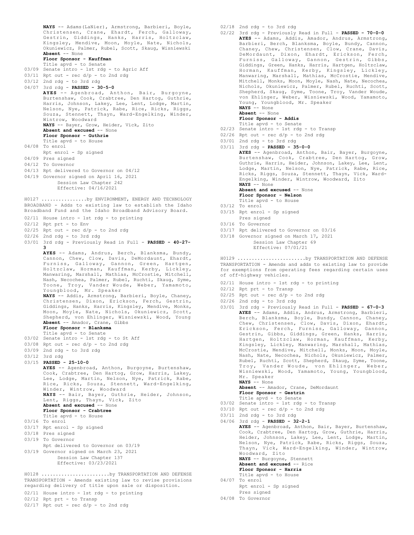**NAYS** -- Adams(LaNier), Armstrong, Barbieri, Boyle, Christensen, Crane, Ehardt, Ferch, Galloway, Gestrin, Giddings, Hanks, Harris, Holtzclaw, Kingsley, Mendive, Moon, Moyle, Nate, Nichols, Okuniewicz, Palmer, Rubel, Scott, Skaug, Wisniewski **Absent** -- None **Floor Sponsor - Kauffman** Title apvd - to Senate 03/09 Senate intro - 1st rdg - to Agric Aff  $03/11$  Rpt out - rec  $d/p$  - to 2nd rdg 03/12 2nd rdg - to 3rd rdg

04/07 3rd rdg - **PASSED - 30-5-0 AYES** -- Agenbroad, Anthon, Bair, Burgoyne, Burtenshaw, Cook, Crabtree, Den Hartog, Guthrie, Harris, Johnson, Lakey, Lee, Lent, Lodge, Martin, Nelson, Nye, Patrick, Rabe, Rice, Ricks, Riggs, Souza, Stennett, Thayn, Ward-Engelking, Winder, Wintrow, Woodward **NAYS** -- Bayer, Grow, Heider, Vick, Zito **Absent and excused** -- None

**Floor Sponsor - Guthrie**

Title apvd - to House

- 04/08 To enrol
- Rpt enrol Sp signed
- 04/09 Pres signed
- 04/12 To Governor
- 04/13 Rpt delivered to Governor on 04/12
- 04/19 Governor signed on April 16, 2021
	- Session Law Chapter 242
		- Effective: 04/16/2021

BROADBAND - Adds to existing law to establish the Idaho Broadband Fund and the Idaho Broadband Advisory Board. H0127 ................by ENVIRONMENT, ENERGY AND TECHNOLOGY

- 02/11 House intro 1st rdg to printing
- 02/12 Rpt prt to Env
- $02/25$  Rpt out rec  $d/p$  to 2nd rdg
- 02/26 2nd rdg to 3rd rdg
- 03/01 3rd rdg Previously Read in Full **PASSED 40-27- 3**

**AYES** -- Adams, Andrus, Berch, Blanksma, Bundy, Cannon, Chew, Clow, Davis, DeMordaunt, Ehardt, Furniss, Galloway, Gannon, Green, Hartgen, Holtzclaw, Horman, Kauffman, Kerby, Lickley, Manwaring, Marshall, Mathias, McCrostie, Mitchell, Nash, Necochea, Palmer, Rubel, Ruchti, Skaug, Syme, Toone, Troy, Vander Woude, Weber, Yamamoto, Youngblood, Mr. Speaker **NAYS** -- Addis, Armstrong, Barbieri, Boyle, Chaney, Christensen, Dixon, Erickson, Ferch, Gestrin,

Giddings, Hanks, Harris, Kingsley, Mendive, Monks, Moon, Moyle, Nate, Nichols, Okuniewicz, Scott, Shepherd, von Ehlinger, Wisniewski, Wood, Young **Absent** -- Amador, Crane, Gibbs

#### **Floor Sponsor - Blanksma** Title apvd - to Senate

- 03/02 Senate intro 1st rdg to St Aff
- $03/08$  Rpt out rec  $d/p$  to 2nd rdg
- 03/09 2nd rdg to 3rd rdg
- 03/12 3rd rdg
- 
- 03/15 **PASSED 25-10-0**

**AYES** -- Agenbroad, Anthon, Burgoyne, Burtenshaw, Cook, Crabtree, Den Hartog, Grow, Harris, Lakey, Lee, Lodge, Martin, Nelson, Nye, Patrick, Rabe, Rice, Ricks, Souza, Stennett, Ward-Engelking, Winder, Wintrow, Woodward **NAYS** -- Bair, Bayer, Guthrie, Heider, Johnson, Lent, Riggs, Thayn, Vick, Zito **Absent and excused** -- None **Floor Sponsor - Crabtree** Title apvd - to House 03/16 To enrol

- 
- 03/17 Rpt enrol Sp signed
- 03/18 Pres signed
- 03/19 To Governor
- Rpt delivered to Governor on 03/19 03/19 Governor signed on March 23, 2021 Session Law Chapter 137 Effective: 03/23/2021

TRANSPORTATION - Amends existing law to revise provisions regarding delivery of title upon sale or disposition. H0128 ........................by TRANSPORTATION AND DEFENSE

02/11 House intro - 1st rdg - to printing

- 02/12 Rpt prt to Transp
- $02/17$  Rpt out rec d/p to 2nd rdg

02/18 2nd rdg - to 3rd rdg

- 02/22 3rd rdg Previously Read in Full **PASSED 70-0-0 AYES** -- Adams, Addis, Amador, Andrus, Armstrong, Barbieri, Berch, Blanksma, Boyle, Bundy, Cannon, Chaney, Chew, Christensen, Clow, Crane, Davis, DeMordaunt, Dixon, Ehardt, Erickson, Ferch, Furniss, Galloway, Gannon, Gestrin, Gibbs, Giddings, Green, Hanks, Harris, Hartgen, Holtzclaw, Horman, Kauffman, Kerby, Kingsley, Lickley, Manwaring, Marshall, Mathias, McCrostie, Mendive, Mitchell, Monks, Moon, Moyle, Nash, Nate, Necochea, Nichols, Okuniewicz, Palmer, Rubel, Ruchti, Scott, Shepherd, Skaug, Syme, Toone, Troy, Vander Woude, von Ehlinger, Weber, Wisniewski, Wood, Yamamoto, Young, Youngblood, Mr. Speaker **NAYS** -- None
	-

### **Absent** -- None **Floor Sponsor - Addis**

- 
- Title apvd to Senate 02/23 Senate intro 1st rdg to Transp
- 02/26 Rpt out rec d/p to 2nd rdg
- 03/01 2nd rdg to 3rd rdg
- 03/11 3rd rdg **PASSED 35-0-0**

**AYES** -- Agenbroad, Anthon, Bair, Bayer, Burgoyne, Burtenshaw, Cook, Crabtree, Den Hartog, Grow, Guthrie, Harris, Heider, Johnson, Lakey, Lee, Lent, Lodge, Martin, Nelson, Nye, Patrick, Rabe, Rice, Ricks, Riggs, Souza, Stennett, Thayn, Vick, Ward-Engelking, Winder, Wintrow, Woodward, Zito **NAYS** -- None

**Absent and excused** -- None **Floor Sponsor - Nelson**

- Title apvd to House
- 03/12 To enrol
- 03/15 Rpt enrol Sp signed Pres signed
- 03/16 To Governor
- 03/17 Rpt delivered to Governor on 03/16
- 03/18 Governor signed on March 17, 2021

Session Law Chapter 69 Effective: 07/01/21

TRANSPORTATION - Amends and adds to existing law to provide for exemptions from operating fees regarding certain uses of off-highway vehicles. H0129 ........................by TRANSPORTATION AND DEFENSE

- 02/11 House intro 1st rdg to printing
- 02/12 Rpt prt to Transp
- $02/25$  Rpt out rec d/p to 2nd rdg
- 02/26 2nd rdg to 3rd rdg
- 03/01 3rd rdg Previously Read in Full **PASSED 67-0-3 AYES** -- Adams, Addis, Andrus, Armstrong, Barbieri, Berch, Blanksma, Boyle, Bundy, Cannon, Chaney, Chew, Christensen, Clow, Davis, Dixon, Ehardt, Erickson, Ferch, Furniss, Galloway, Gannon, Gestrin, Gibbs, Giddings, Green, Hanks, Harris, Hartgen, Holtzclaw, Horman, Kauffman, Kerby, Kingsley, Lickley, Manwaring, Marshall, Mathias, McCrostie, Mendive, Mitchell, Monks, Moon, Moyle, Nash, Nate, Necochea, Nichols, Okuniewicz, Palmer, Rubel, Ruchti, Scott, Shepherd, Skaug, Syme, Toone, Troy, Vander Woude, von Ehlinger, Weber, Wisniewski, Wood, Yamamoto, Young, Youngblood, Mr. Speaker **NAYS** -- None

**Absent** -- Amador, Crane, DeMordaunt **Floor Sponsor - Gestrin**

- 
- Title apvd to Senate 03/02 Senate intro 1st rdg to Transp
- $03/10$  Rpt out rec  $d/p$  to 2nd rdg
- 03/11 2nd rdg to 3rd rdg 04/06 3rd rdg - **PASSED - 32-2-1**

AYES -- Agenbroad, Anthon, Bair, Bayer, Burtenshaw, Cook, Crabtree, Den Hartog, Grow, Guthrie, Harris, Heider, Johnson, Lakey, Lee, Lent, Lodge, Martin, Nelson, Nye, Patrick, Rabe, Ricks, Riggs, Souza, Thayn, Vick, Ward-Engelking, Winder, Wintrow, Woodward, Zito **NAYS** -- Burgoyne, Stennett

**Absent and excused** -- Rice

- **Floor Sponsor Harris**
- Title apvd to House 04/07 To enrol
- Rpt enrol Sp signed Pres signed
- 04/08 To Governor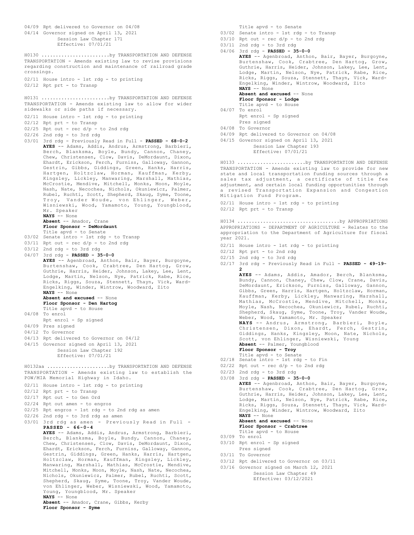04/09 Rpt delivered to Governor on 04/08 04/14 Governor signed on April 13, 2021 Session Law Chapter 171 Effective: 07/01/21 TRANSPORTATION - Amends existing law to revise provisions regarding construction and maintenance of railroad grade crossings. 02/11 House intro - 1st rdg - to printing 02/12 Rpt prt - to Transp H0130 ........................by TRANSPORTATION AND DEFENSE TRANSPORTATION - Amends existing law to allow for wider sidewalks or side paths if necessary. 02/11 House intro - 1st rdg - to printing 02/12 Rpt prt - to Transp  $02/25$  Rpt out - rec  $d/p$  - to 2nd rdg  $02/26$  2nd rdg - to 3rd rdg 03/01 3rd rdg - Previously Read in Full - **PASSED - 68-0-2 AYES** -- Adams, Addis, Andrus, Armstrong, Barbieri, Berch, Blanksma, Boyle, Bundy, Cannon, Chaney, Chew, Christensen, Clow, Davis, DeMordaunt, Dixon, Ehardt, Erickson, Ferch, Furniss, Galloway, Gannon, Gestrin, Gibbs, Giddings, Green, Hanks, Harris, Hartgen, Holtzclaw, Horman, Kauffman, Kerby, Kingsley, Lickley, Manwaring, Marshall, Mathias, McCrostie, Mendive, Mitchell, Monks, Moon, Moyle, Nash, Nate, Necochea, Nichols, Okuniewicz, Palmer, Rubel, Ruchti, Scott, Shepherd, Skaug, Syme, Toone, Troy, Vander Woude, von Ehlinger, Weber, Wisniewski, Wood, Yamamoto, Young, Youngblood, Mr. Speaker **NAYS** -- None **Absent** -- Amador, Crane **Floor Sponsor - DeMordaunt** Title apvd - to Senate 03/02 Senate intro - 1st rdg - to Transp  $03/11$  Rpt out - rec  $d/p$  - to 2nd rdg  $03/12$  2nd rdg - to 3rd rdg 04/07 3rd rdg - **PASSED - 35-0-0 AYES** -- Agenbroad, Anthon, Bair, Bayer, Burgoyne, Burtenshaw, Cook, Crabtree, Den Hartog, Grow, Guthrie, Harris, Heider, Johnson, Lakey, Lee, Lent, Lodge, Martin, Nelson, Nye, Patrick, Rabe, Rice, Ricks, Riggs, Souza, Stennett, Thayn, Vick, Ward-Engelking, Winder, Wintrow, Woodward, Zito **NAYS** -- None **Absent and excused** -- None **Floor Sponsor - Den Hartog** Title apvd - to House 04/08 To enrol Rpt enrol - Sp signed 04/09 Pres signed 04/12 To Governor 04/13 Rpt delivered to Governor on 04/12 04/15 Governor signed on April 13, 2021 Session Law Chapter 192 Effective: 07/01/21 H0131 ........................by TRANSPORTATION AND DEFENSE TRANSPORTATION - Amends existing law to establish the POW/MIA Memorial Highway in Idaho. 02/11 House intro - 1st rdg - to printing 02/12 Rpt prt - to Transp 02/17 Rpt out - to Gen Ord 02/24 Rpt out amen - to engros 02/25 Rpt engros - 1st rdg - to 2nd rdg as amen 02/26 2nd rdg - to 3rd rdg as amen 03/01 3rd rdg as amen - Previously Read in Full - **PASSED - 66-0-4 AYES** -- Adams, Addis, Andrus, Armstrong, Barbieri, Berch, Blanksma, Boyle, Bundy, Cannon, Chaney, Chew, Christensen, Clow, Davis, DeMordaunt, Dixon, Ehardt, Erickson, Ferch, Furniss, Galloway, Gannon, Gestrin, Giddings, Green, Hanks, Harris, Hartgen, Holtzclaw, Horman, Kauffman, Kingsley, Lickley, Manwaring, Marshall, Mathias, McCrostie, Mendive, Mitchell, Monks, Moon, Moyle, Nash, Nate, Necochea, Nichols, Okuniewicz, Palmer, Rubel, Ruchti, Scott, Shepherd, Skaug, Syme, Toone, Troy, Vander Woude, von Ehlinger, Weber, Wisniewski, Wood, Yamamoto, Young, Youngblood, Mr. Speaker **NAYS** -- None **Absent** -- Amador, Crane, Gibbs, Kerby **Floor Sponsor - Syme** H0132aa ......................by TRANSPORTATION AND DEFENSE Title apvd - to Senate

- 03/02 Senate intro 1st rdg to Transp
- $03/10$  Rpt out rec  $d/p$  to 2nd rdg
- 03/11 2nd rdg to 3rd rdg 04/06 3rd rdg - **PASSED - 35-0-0 AYES** -- Agenbroad, Anthon, Bair, Bayer, Burgoyne,

Burtenshaw, Cook, Crabtree, Den Hartog, Grow, Guthrie, Harris, Heider, Johnson, Lakey, Lee, Lent, Lodge, Martin, Nelson, Nye, Patrick, Rabe, Rice, Ricks, Riggs, Souza, Stennett, Thayn, Vick, Ward-Engelking, Winder, Wintrow, Woodward, Zito **NAYS** -- None **Absent and excused** -- None **Floor Sponsor - Lodge** Title apvd - to House 04/07 To enrol Rpt enrol - Sp signed Pres signed 04/08 To Governor 04/09 Rpt delivered to Governor on 04/08 04/15 Governor signed on April 13, 2021 Session Law Chapter 193 Effective: 07/01/21 H0133 ........................by TRANSPORTATION AND DEFENSE

TRANSPORTATION - Amends existing law to provide for new state and local transportation funding sources through a sales tax adjustment, a certificate of title fee adjustment, and certain local funding opportunities through a revised Transportation Expansion and Congestion Mitigation Fund Program.

02/11 House intro - 1st rdg - to printing 02/12 Rpt prt - to Transp

APPROPRIATIONS - DEPARTMENT OF AGRICULTURE - Relates to the appropriation to the Department of Agriculture for fiscal year 2021. H0134 ....................................by APPROPRIATIONS

- 02/11 House intro 1st rdg to printing
- 02/12 Rpt prt to 2nd rdg
- 02/15 2nd rdg to 3rd rdg
- 02/17 3rd rdg Previously Read in Full **PASSED 49-19- 2 AYES** -- Adams, Addis, Amador, Berch, Blanksma, Bundy, Cannon, Chaney, Chew, Clow, Crane, Davis,

DeMordaunt, Erickson, Furniss, Galloway, Gannon, Gibbs, Green, Harris, Hartgen, Holtzclaw, Horman, Kauffman, Kerby, Lickley, Manwaring, Marshall, Mathias, McCrostie, Mendive, Mitchell, Monks, Moyle, Nash, Necochea, Okuniewicz, Rubel, Ruchti, Shepherd, Skaug, Syme, Toone, Troy, Vander Woude, Weber, Wood, Yamamoto, Mr. Speaker **NAYS** -- Andrus, Armstrong, Barbieri, Boyle, Christensen, Dixon, Ehardt, Ferch, Gestrin, Giddings, Hanks, Kingsley, Moon, Nate, Nichols,

Scott, von Ehlinger, Wisniewski, Young **Absent** -- Palmer, Youngblood

- **Floor Sponsor Troy**
- Title apvd to Senate 02/18 Senate intro 1st rdg to Fin
- $02/22$  Rpt out rec d/p to 2nd rdg
- 
- 02/23 2nd rdg to 3rd rdg 03/08 3rd rdg - **PASSED - 35-0-0**

**AYES** -- Agenbroad, Anthon, Bair, Bayer, Burgoyne, Burtenshaw, Cook, Crabtree, Den Hartog, Grow, Guthrie, Harris, Heider, Johnson, Lakey, Lee, Lent, Lodge, Martin, Nelson, Nye, Patrick, Rabe, Rice, Ricks, Riggs, Souza, Stennett, Thayn, Vick, Ward-Engelking, Winder, Wintrow, Woodward, Zito **NAYS** -- None

**Absent and excused** -- None **Floor Sponsor - Crabtree**

- Title apvd to House
- 03/09 To enrol
- 03/10 Rpt enrol Sp signed
- Pres signed
- 03/11 To Governor
- 03/12 Rpt delivered to Governor on 03/11
- 03/16 Governor signed on March 12, 2021 Session Law Chapter 49 Effective: 03/12/2021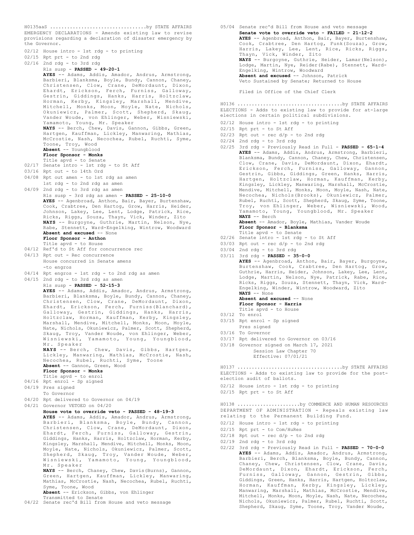EMERGENCY DECLARATIONS - Amends existing law to revise provisions regarding a declaration of disaster emergency by the Governor. 02/12 House intro - 1st rdg - to printing 02/15 Rpt prt - to 2nd rdg 02/16 2nd rdg - to 3rd rdg Rls susp - **PASSED - 49-20-1 AYES** -- Adams, Addis, Amador, Andrus, Armstrong, Barbieri, Blanksma, Boyle, Bundy, Cannon, Chaney,<br>Christensen, Clow, Crane, DeMordaunt, Dixon, Christensen, Clow, Crane, DeMordaunt, Ehardt, Erickson, Ferch, Furniss, Galloway, Gestrin, Giddings, Hanks, Harris, Holtzclaw, Horman, Kerby, Kingsley, Marshall, Mendive, Mitchell, Monks, Moon, Moyle, Nate, Nichols, Okuniewicz, Palmer, Scott, Shepherd, Skaug, Vander Woude, von Ehlinger, Weber, Wisniewski, Yamamoto, Young, Mr. Speaker **NAYS** -- Berch, Chew, Davis, Gannon, Gibbs, Green, Hartgen, Kauffman, Lickley, Manwaring, Mathias, McCrostie, Nash, Necochea, Rubel, Ruchti, Syme, Toone, Troy, Wood **Absent** -- Youngblood **Floor Sponsor - Monks** Title apvd - to Senate 02/17 Senate intro - 1st rdg - to St Aff 03/16 Rpt out - to 14th Ord 04/08 Rpt out amen - to 1st rdg as amen 1st rdg - to 2nd rdg as amen 04/09 2nd rdg - to 3rd rdg as amen Rls susp - 3rd rdg as amen - **PASSED - 25-10-0 AYES** -- Agenbroad, Anthon, Bair, Bayer, Burtenshaw, Cook, Crabtree, Den Hartog, Grow, Harris, Heider, Johnson, Lakey, Lee, Lent, Lodge, Patrick, Rice, Ricks, Riggs, Souza, Thayn, Vick, Winder, Zito **NAYS** -- Burgoyne, Guthrie, Martin, Nelson, Nye, Rabe, Stennett, Ward-Engelking, Wintrow, Woodward **Absent and excused** -- None **Floor Sponsor - Anthon** Title apvd - to House 04/12 Ref'd to St Aff for concurrence rec 04/13 Rpt out - Rec concurrence House concurred in Senate amens -to engros 04/14 Rpt engros - 1st rdg - to 2nd rdg as amen 04/15 2nd rdg - to 3rd rdg as amen Rls susp - **PASSED - 52-15-3 AYES** -- Adams, Addis, Amador, Andrus, Armstrong, Barbieri, Blanksma, Boyle, Bundy, Cannon, Chaney, Christensen, Clow, Crane, DeMordaunt, Dixon, Ehardt, Erickson, Ferch, Furniss(Blanchard), Galloway, Gestrin, Giddings, Hanks, Harris, Holtzclaw, Horman, Kauffman, Kerby, Kingsley, Marshall, Mendive, Mitchell, Monks, Moon, Moyle, Nate, Nichols, Okuniewicz, Palmer, Scott, Shepherd, Skaug, Troy, Vander Woude, von Ehlinger, Weber, Wisniewski, Yamamoto, Young, Youngblood, Mr. Speaker **NAYS** -- Berch, Chew, Davis, Gibbs, Hartgen, Lickley, Manwaring, Mathias, McCrostie, Nash, Necochea, Rubel, Ruchti, Syme, Toone **Absent** -- Gannon, Green, Wood **Floor Sponsor - Monks** Title apvd - to enrol 04/16 Rpt enrol - Sp signed 04/19 Pres signed To Governor 04/20 Rpt delivered to Governor on 04/19 04/21 Governor VETOED on 04/20 **House vote to override veto - PASSED - 48-19-3 AYES** -- Adams, Addis, Amador, Andrus, Armstrong, Barbieri, Blanksma, Boyle, Bundy, Cannon, Christensen, Clow, Crane, DeMordaunt, Dixon, Ehardt, Ferch, Furniss, Galloway, Gestrin, Giddings, Hanks, Harris, Holtzclaw, Horman, Kerby, Kingsley, Marshall, Mendive, Mitchell, Monks, Moon, Moyle, Nate, Nichols, Okuniewicz, Palmer, Scott, Shepherd, Skaug, Troy, Vander Woude, Weber, Wisniewski, Yamamoto, Young, Youngblood, Mr. Speaker **NAYS** -- Berch, Chaney, Chew, Davis(Burns), Gannon, Green, Hartgen, Kauffman, Lickley, Manwaring, Mathias, McCrostie, Nash, Necochea, Rubel, Ruchti, Syme, Toone, Wood **Absent** -- Erickson, Gibbs, von Ehlinger Transmitted to Senate

04/22 Senate rec'd Bill from House and veto message

H0135aaS ..................................by STATE AFFAIRS 05/04 Senate rec'd Bill from House and veto message **Senate vote to override veto - FAILED - 21-12-2 AYES** -- Agenbroad, Anthon, Bair, Bayer, Burtenshaw, Cook, Crabtree, Den Hartog, Funk(Souza), Grow, Harris, Lakey, Lee, Lent, Rice, Ricks, Riggs, Thayn, Vick, Winder, Zito **NAYS** -- Burgoyne, Guthrie, Heider, Lamar(Nelson), Lodge, Martin, Nye, Reider(Rabe), Stennett, Ward-Engelking, Wintrow, Woodward **Absent and excused** -- Johnson, Patrick Veto Sustained by Senate; Returned to House Filed in Office of the Chief Clerk ELECTIONS - Adds to existing law to provide for at-large elections in certain political subdivisions. 02/12 House intro - 1st rdg - to printing 02/15 Rpt prt - to St Aff  $02/23$  Rpt out - rec  $d/p$  - to 2nd rdg 02/24 2nd rdg - to 3rd rdg 02/25 3rd rdg - Previously Read in Full - **PASSED - 65-1-4 AYES** -- Adams, Addis, Andrus, Armstrong, Barbieri, Blanksma, Bundy, Cannon, Chaney, Chew, Christensen, Clow, Crane, Davis, DeMordaunt, Dixon, Ehardt, Erickson, Ferch, Furniss, Galloway, Gannon, Gestrin, Gibbs, Giddings, Green, Hanks, Harris, Hartgen, Holtzclaw, Horman, Kauffman, Kerby, Kingsley, Lickley, Manwaring, Marshall, McCrostie, Mendive, Mitchell, Monks, Moon, Moyle, Nash, Nate, Necochea, Nichols(Brooks), Okuniewicz, Palmer, Rubel, Ruchti, Scott, Shepherd, Skaug, Syme, Toone, Troy, von Ehlinger, Weber, Wisniewski, Wood, Yamamoto, Young, Youngblood, Mr. Speaker **NAYS** -- Berch **Absent** -- Amador, Boyle, Mathias, Vander Woude **Floor Sponsor - Blanksma** Title apvd - to Senate 02/26 Senate intro - 1st rdg - to St Aff 03/03 Rpt out - rec  $d/p$  - to 2nd rdg 03/04 2nd rdg - to 3rd rdg 03/11 3rd rdg - **PASSED - 35-0-0 AYES** -- Agenbroad, Anthon, Bair, Bayer, Burgoyne, Burtenshaw, Cook, Crabtree, Den Hartog, Grow, Guthrie, Harris, Heider, Johnson, Lakey, Lee, Lent, Lodge, Martin, Nelson, Nye, Patrick, Rabe, Rice, Ricks, Riggs, Souza, Stennett, Thayn, Vick, Ward-Engelking, Winder, Wintrow, Woodward, Zito **NAYS** -- None **Absent and excused** -- None **Floor Sponsor - Harris** Title apvd - to House 03/12 To enrol 03/15 Rpt enrol - Sp signed Pres signed 03/16 To Governor 03/17 Rpt delivered to Governor on 03/16 03/18 Governor signed on March 17, 2021 Session Law Chapter 70 Effective: 07/01/21 H0136 .....................................by STATE AFFAIRS ELECTIONS - Adds to existing law to provide for the postelection audit of ballots. 02/12 House intro - 1st rdg - to printing 02/15 Rpt prt - to St Aff H0137 .....................................by STATE AFFAIRS DEPARTMENT OF ADMINISTRATION - Repeals existing law relating to the Permanent Building Fund. 02/12 House intro - 1st rdg - to printing 02/15 Rpt prt - to Com/HuRes  $02/18$  Rpt out - rec d/p - to 2nd rdg  $02/19$  2nd rdg - to 3rd rdg 02/22 3rd rdg - Previously Read in Full - **PASSED - 70-0-0** H0138 ......................by COMMERCE AND HUMAN RESOURCES

**AYES** -- Adams, Addis, Amador, Andrus, Armstrong, Barbieri, Berch, Blanksma, Boyle, Bundy, Cannon, Chaney, Chew, Christensen, Clow, Crane, Davis, DeMordaunt, Dixon, Ehardt, Erickson, Ferch, Furniss, Galloway, Gannon, Gestrin, Gibbs, Giddings, Green, Hanks, Harris, Hartgen, Holtzclaw, Horman, Kauffman, Kerby, Kingsley, Lickley, Manwaring, Marshall, Mathias, McCrostie, Mendive, Mitchell, Monks, Moon, Moyle, Nash, Nate, Necochea, Nichols, Okuniewicz, Palmer, Rubel, Ruchti, Scott, Shepherd, Skaug, Syme, Toone, Troy, Vander Woude,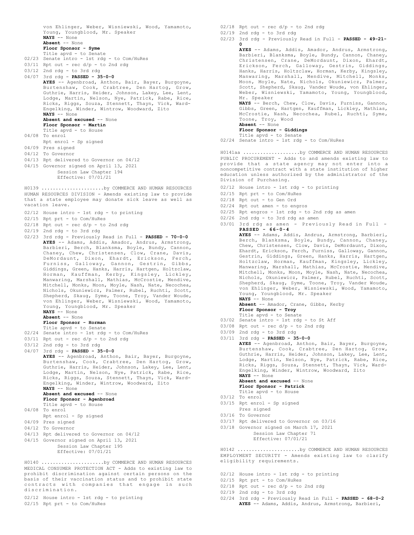von Ehlinger, Weber, Wisniewski, Wood, Yamamoto, Young, Youngblood, Mr. Speaker **NAYS** -- None **Absent** -- None **Floor Sponsor - Syme** Title apvd - to Senate 02/23 Senate intro - 1st rdg - to Com/HuRes  $03/11$  Rpt out - rec  $d/p$  - to 2nd rdg 03/12 2nd rdg - to 3rd rdg 04/07 3rd rdg - **PASSED - 35-0-0 AYES** -- Agenbroad, Anthon, Bair, Bayer, Burgoyne, Burtenshaw, Cook, Crabtree, Den Hartog, Grow, Guthrie, Harris, Heider, Johnson, Lakey, Lee, Lent, Lodge, Martin, Nelson, Nye, Patrick, Rabe, Rice, Ricks, Riggs, Souza, Stennett, Thayn, Vick, Ward-Engelking, Winder, Wintrow, Woodward, Zito **NAYS** -- None **Absent and excused** -- None **Floor Sponsor - Martin** Title apvd - to House 04/08 To enrol Rpt enrol - Sp signed 04/09 Pres signed 04/12 To Governor 04/13 Rpt delivered to Governor on 04/12 04/15 Governor signed on April 13, 2021 Session Law Chapter 194 Effective: 07/01/21 HUMAN RESOURCES DIVISION - Amends existing law to provide H0139 ......................by COMMERCE AND HUMAN RESOURCES

that a state employee may donate sick leave as well as vacation leave.

- 02/12 House intro 1st rdg to printing
- 02/15 Rpt prt to Com/HuRes
- $02/18$  Rpt out rec d/p to 2nd rdg
- 02/19 2nd rdg to 3rd rdg
- 02/23 3rd rdg Previously Read in Full **PASSED 70-0-0 AYES** -- Adams, Addis, Amador, Andrus, Armstrong, Barbieri, Berch, Blanksma, Boyle, Bundy, Cannon, Chaney, Chew, Christensen, Clow, Crane, Davis, DeMordaunt, Dixon, Ehardt, Erickson, Ferch, Furniss, Galloway, Gannon, Gestrin, Gibbs, Giddings, Green, Hanks, Harris, Hartgen, Holtzclaw, Horman, Kauffman, Kerby, Kingsley, Lickley, Manwaring, Marshall, Mathias, McCrostie, Mendive, Mitchell, Monks, Moon, Moyle, Nash, Nate, Necochea, Nichols, Okuniewicz, Palmer, Rubel, Ruchti, Scott, Shepherd, Skaug, Syme, Toone, Troy, Vander Woude, von Ehlinger, Weber, Wisniewski, Wood, Yamamoto, Young, Youngblood, Mr. Speaker **NAYS** -- None
	- **Absent** -- None
	- **Floor Sponsor Horman**
	- Title apvd to Senate
- 02/24 Senate intro 1st rdg to Com/HuRes
- 03/11 Rpt out rec d/p to 2nd rdg
- 03/12 2nd rdg to 3rd rdg
- 04/07 3rd rdg **PASSED 35-0-0**
- **AYES** -- Agenbroad, Anthon, Bair, Bayer, Burgoyne, Burtenshaw, Cook, Crabtree, Den Hartog, Grow, Guthrie, Harris, Heider, Johnson, Lakey, Lee, Lent, Lodge, Martin, Nelson, Nye, Patrick, Rabe, Rice, Ricks, Riggs, Souza, Stennett, Thayn, Vick, Ward-Engelking, Winder, Wintrow, Woodward, Zito **NAYS** -- None **Absent and excused** -- None **Floor Sponsor - Agenbroad** Title apvd - to House 04/08 To enrol
- Rpt enrol Sp signed
- 04/09 Pres signed
- 04/12 To Governor
- 04/13 Rpt delivered to Governor on 04/12
- 04/15 Governor signed on April 13, 2021
	- Session Law Chapter 195
	- Effective: 07/01/21

MEDICAL CONSUMER PROTECTION ACT - Adds to existing law to prohibit discrimination against certain persons on the basis of their vaccination status and to prohibit state contracts with companies that engage in such discrimination. H0140 ......................by COMMERCE AND HUMAN RESOURCES

- 02/12 House intro 1st rdg to printing
- 02/15 Rpt prt to Com/HuRes

 $02/18$  Rpt out - rec  $d/p$  - to 2nd rdg

- 02/19 2nd rdg to 3rd rdg
- 02/23 3rd rdg Previously Read in Full **PASSED 49-21- 0**

**AYES** -- Adams, Addis, Amador, Andrus, Armstrong, Barbieri, Blanksma, Boyle, Bundy, Cannon, Chaney, Christensen, Crane, DeMordaunt, Dixon, Ehardt, Erickson, Ferch, Galloway, Gestrin, Giddings, Hanks, Harris, Holtzclaw, Horman, Kerby, Kingsley, Manwaring, Marshall, Mendive, Mitchell, Monks, Moon, Moyle, Nate, Nichols, Okuniewicz, Palmer, Scott, Shepherd, Skaug, Vander Woude, von Ehlinger, Weber, Wisniewski, Yamamoto, Young, Youngblood, Mr. Speaker

**NAYS** -- Berch, Chew, Clow, Davis, Furniss, Gannon, Gibbs, Green, Hartgen, Kauffman, Lickley, Mathias, McCrostie, Nash, Necochea, Rubel, Ruchti, Syme, Toone, Troy, Wood **Absent** -- None

**Floor Sponsor - Giddings**

- Title apvd to Senate
- 02/24 Senate intro 1st rdg to Com/HuRes

PUBLIC PROCUREMENT - Adds to and amends existing law to provide that a state agency may not enter into a noncompetitive contract with a state institution of higher education unless authorized by the administrator of the Division of Purchasing. H0141aa ....................by COMMERCE AND HUMAN RESOURCES

- 02/12 House intro 1st rdg to printing
- 02/15 Rpt prt to Com/HuRes
- 02/18 Rpt out to Gen Ord
- 02/24 Rpt out amen to engros
- 02/25 Rpt engros 1st rdg to 2nd rdg as amen
- 02/26 2nd rdg to 3rd rdg as amen
- 03/01 3rd rdg as amen Previously Read in Full **PASSED - 66-0-4**

**AYES** -- Adams, Addis, Andrus, Armstrong, Barbieri, Berch, Blanksma, Boyle, Bundy, Cannon, Chaney, Chew, Christensen, Clow, Davis, DeMordaunt, Dixon, Ehardt, Erickson, Ferch, Furniss, Galloway, Gannon, Gestrin, Giddings, Green, Hanks, Harris, Hartgen, Holtzclaw, Horman, Kauffman, Kingsley, Lickley, Manwaring, Marshall, Mathias, McCrostie, Mendive, Mitchell, Monks, Moon, Moyle, Nash, Nate, Necochea, Nichols, Okuniewicz, Palmer, Rubel, Ruchti, Scott, Shepherd, Skaug, Syme, Toone, Troy, Vander Woude, von Ehlinger, Weber, Wisniewski, Wood, Yamamoto, Young, Youngblood, Mr. Speaker **NAYS** -- None

**Absent** -- Amador, Crane, Gibbs, Kerby **Floor Sponsor - Troy**

- Title apvd to Senate
- 03/02 Senate intro 1st rdg to St Aff
- $03/08$  Rpt out rec  $d/p$  to 2nd rdg
- 03/09 2nd rdg to 3rd rdg
- 03/11 3rd rdg **PASSED 35-0-0**

**AYES** -- Agenbroad, Anthon, Bair, Bayer, Burgoyne, Burtenshaw, Cook, Crabtree, Den Hartog, Grow, Guthrie, Harris, Heider, Johnson, Lakey, Lee, Lent, Lodge, Martin, Nelson, Nye, Patrick, Rabe, Rice, Ricks, Riggs, Souza, Stennett, Thayn, Vick, Ward-Engelking, Winder, Wintrow, Woodward, Zito **NAYS** -- None

**Absent and excused** -- None **Floor Sponsor - Patrick**

- Title apvd to House
- 03/12 To enrol
- 03/15 Rpt enrol Sp signed
- Pres signed
- 03/16 To Governor
- 03/17 Rpt delivered to Governor on 03/16
- 03/18 Governor signed on March 17, 2021

Session Law Chapter 71 Effective: 07/01/21

EMPLOYMENT SECURITY - Amends existing law to clarify eligibility requirements. H0142 ......................by COMMERCE AND HUMAN RESOURCES

- 02/12 House intro 1st rdg to printing
- 02/15 Rpt prt to Com/HuRes
- $02/18$  Rpt out rec  $d/p$  to 2nd rdg
- 02/19 2nd rdg to 3rd rdg
- 02/24 3rd rdg Previously Read in Full **PASSED 68-0-2 AYES** -- Adams, Addis, Andrus, Armstrong, Barbieri,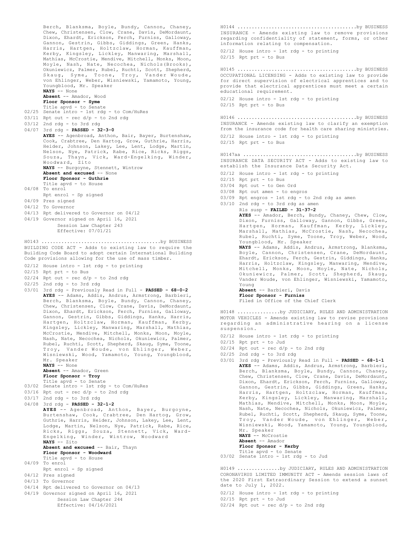Berch, Blanksma, Boyle, Bundy, Cannon, Chaney, Chew, Christensen, Clow, Crane, Davis, DeMordaunt, Dixon, Ehardt, Erickson, Ferch, Furniss, Galloway, Gannon, Gestrin, Gibbs, Giddings, Green, Hanks, Harris, Hartgen, Holtzclaw, Horman, Kauffman, Kerby, Kingsley, Lickley, Manwaring, Marshall, Mathias, McCrostie, Mendive, Mitchell, Monks, Moon, Moyle, Nash, Nate, Necochea, Nichols(Brooks), Okuniewicz, Palmer, Rubel, Ruchti, Scott, Shepherd, Skaug, Syme, Toone, Troy, Vander Woude, von Ehlinger, Weber, Wisniewski, Yamamoto, Young, Youngblood, Mr. Speaker **NAYS** -- None **Absent** -- Amador, Wood **Floor Sponsor - Syme** Title apvd - to Senate 02/25 Senate intro - 1st rdg - to Com/HuRes  $03/11$  Rpt out - rec  $d/p$  - to 2nd rdg  $03/12$  2nd rdg - to 3rd rdg 04/07 3rd rdg - **PASSED - 32-3-0** AYES -- Agenbroad, Anthon, Bair, Bayer, Burtenshaw, Cook, Crabtree, Den Hartog, Grow, Guthrie, Harris, Heider, Johnson, Lakey, Lee, Lent, Lodge, Martin, Nelson, Nye, Patrick, Rabe, Rice, Ricks, Riggs, Souza, Thayn, Vick, Ward-Engelking, Winder, Woodward, Zito **NAYS** -- Burgoyne, Stennett, Wintrow **Absent and excused** -- None **Floor Sponsor - Guthrie** Title apvd - to House 04/08 To enrol Rpt enrol - Sp signed 04/09 Pres signed 04/12 To Governor 04/13 Rpt delivered to Governor on 04/12 04/19 Governor signed on April 16, 2021 Session Law Chapter 243 Effective: 07/01/21 BUILDING CODE ACT - Adds to existing law to require the Building Code Board to adopt certain International Building Code provisions allowing for the use of mass timber. 02/12 House intro - 1st rdg - to printing 02/15 Rpt prt - to Bus  $02/24$  Rpt out - rec  $d/p$  - to 2nd rdg  $02/25$  2nd rdg - to 3rd rdg 03/01 3rd rdg - Previously Read in Full - **PASSED - 68-0-2 AYES** -- Adams, Addis, Andrus, Armstrong, Barbieri, Berch, Blanksma, Boyle, Bundy, Cannon, Chaney, Chew, Christensen, Clow, Crane, Davis, DeMordaunt, Dixon, Ehardt, Erickson, Ferch, Furniss, Galloway, Gannon, Gestrin, Gibbs, Giddings, Hanks, Harris, Hartgen, Holtzclaw, Horman, Kauffman, Kerby, Kingsley, Lickley, Manwaring, Marshall, Mathias, McCrostie, Mendive, Mitchell, Monks, Moon, Moyle, Nash, Nate, Necochea, Nichols, Okuniewicz, Palmer, Rubel, Ruchti, Scott, Shepherd, Skaug, Syme, Toone, Troy, Vander Woude, von Ehlinger, Weber, Wisniewski, Wood, Yamamoto, Young, Youngblood, Mr. Speaker **NAYS** -- None **Absent** -- Amador, Green **Floor Sponsor - Troy** Title apvd - to Senate 03/02 Senate intro - 1st rdg - to Com/HuRes 03/16 Rpt out - rec d/p - to 2nd rdg 03/17 2nd rdg - to 3rd rdg 04/08 3rd rdg - **PASSED - 32-1-2 AYES** -- Agenbroad, Anthon, Bayer, Burgoyne, Burtenshaw, Cook, Crabtree, Den Hartog, Grow, Guthrie, Harris, Heider, Johnson, Lakey, Lee, Lent, Lodge, Martin, Nelson, Nye, Patrick, Rabe, Rice, Ricks, Riggs, Souza, Stennett, Vick, Ward-Engelking, Winder, Wintrow, Woodward **NAYS** -- Zito **Absent and excused** -- Bair, Thayn **Floor Sponsor - Woodward** Title apvd - to House 04/09 To enrol Rpt enrol - Sp signed 04/12 Pres signed 04/13 To Governor 04/14 Rpt delivered to Governor on 04/13 04/19 Governor signed on April 16, 2021 Session Law Chapter 244 Effective: 04/16/2021 H0143 ..........................................by BUSINESS INSURANCE - Amends existing law to remove provisions regarding confidentiality of statement, forms, or other information relating to compensation. 02/12 House intro - 1st rdg - to printing  $02/15$  Rpt prt - to Bus H0144 ..........................................by BUSINESS OCCUPATIONAL LICENSING - Adds to existing law to provide for direct supervision of electrical apprentices and to provide that electrical apprentices must meet a certain educational requirement. 02/12 House intro - 1st rdg - to printing 02/15 Rpt prt - to Bus H0145 ..........................................by BUSINESS INSURANCE - Amends existing law to clarify an exemption from the insurance code for health care sharing ministries. 02/12 House intro - 1st rdg - to printing  $02/15$  Rpt prt - to Bus H0146 ..........................................by BUSINESS INSURANCE DATA SECURITY ACT - Adds to existing law to establish the Insurance Data Security Act. 02/12 House intro - 1st rdg - to printing 02/15 Rpt prt - to Bus 03/04 Rpt out - to Gen Ord 03/08 Rpt out amen - to engros 03/09 Rpt engros - 1st rdg - to 2nd rdg as amen 03/10 2nd rdg - to 3rd rdg as amen Rls susp - **FAILED - 31-37-2 AYES** -- Amador, Berch, Bundy, Chaney, Chew, Clow, Dixon, Furniss, Galloway, Gannon, Gibbs, Green, Hartgen, Horman, Kauffman, Kerby, Lickley, Marshall, Mathias, McCrostie, Nash, Necochea, Rubel, Ruchti, Syme, Toone, Troy, Weber, Wood, Youngblood, Mr. Speaker **NAYS** -- Adams, Addis, Andrus, Armstrong, Blanksma, Boyle, Cannon, Christensen, Crane, DeMordaunt, Ehardt, Erickson, Ferch, Gestrin, Giddings, Hanks, Harris, Holtzclaw, Kingsley, Manwaring, Mendive, Mitchell, Monks, Moon, Moyle, Nate, Nichols, Okuniewicz, Palmer, Scott, Shepherd, Skaug, Vander Woude, von Ehlinger, Wisniewski, Yamamoto, Young **Absent** -- Barbieri, Davis **Floor Sponsor - Furniss** Filed in Office of the Chief Clerk H0147aa ........................................by BUSINESS MOTOR VEHICLES - Amends existing law to revise provisions regarding an administrative hearing on a license suspension. 02/12 House intro - 1st rdg - to printing 02/15 Rpt prt - to Jud  $02/24$  Rpt out - rec d/p - to 2nd rdg 02/25 2nd rdg - to 3rd rdg 03/01 3rd rdg - Previously Read in Full - **PASSED - 68-1-1 AYES** -- Adams, Addis, Andrus, Armstrong, Barbieri, Berch, Blanksma, Boyle, Bundy, Cannon, Chaney, Chew, Christensen, Clow, Crane, Davis, DeMordaunt, Dixon, Ehardt, Erickson, Ferch, Furniss, Galloway, Gannon, Gestrin, Gibbs, Giddings, Green, Hanks, Harris, Hartgen, Holtzclaw, Horman, Kauffman, Kerby, Kingsley, Lickley, Manwaring, Marshall, Mathias, Mendive, Mitchell, Monks, Moon, Moyle, Nash, Nate, Necochea, Nichols, Okuniewicz, Palmer, Rubel, Ruchti, Scott, Shepherd, Skaug, Syme, Toone, Troy, Vander Woude, von Ehlinger, Weber, Wisniewski, Wood, Yamamoto, Young, Youngblood, Mr. Speaker **NAYS** -- McCrostie **Absent** -- Amador **Floor Sponsor - Kerby** Title apvd - to Senate 03/02 Senate intro - 1st rdg - to Jud H0148 ...............by JUDICIARY, RULES AND ADMINISTRATION CORONAVIRUS LIMITED IMMUNITY ACT - Amends session laws of the 2020 First Extraordinary Session to extend a sunset H0149 ...............by JUDICIARY, RULES AND ADMINISTRATION

02/12 House intro - 1st rdg - to printing 02/15 Rpt prt - to Jud  $02/24$  Rpt out - rec d/p - to 2nd rdg

date to July 1, 2022.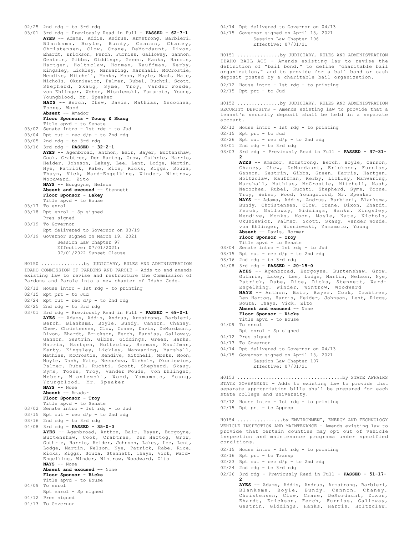#### 02/25 2nd rdg - to 3rd rdg

- 03/01 3rd rdg Previously Read in Full **PASSED 62-7-1 AYES** -- Adams, Addis, Andrus, Armstrong, Barbieri, Blanksma, Boyle, Bundy, Cannon, Chaney, Christensen, Clow, Crane, DeMordaunt, Dixon, Ehardt, Erickson, Ferch, Furniss, Galloway, Gannon, Gestrin, Gibbs, Giddings, Green, Hanks, Harris, Hartgen, Holtzclaw, Horman, Kauffman, Kerby, Kingsley, Lickley, Manwaring, Marshall, McCrostie, Mendive, Mitchell, Monks, Moon, Moyle, Nash, Nate, Nichols, Okuniewicz, Palmer, Rubel, Ruchti, Scott, Shepherd, Skaug, Syme, Troy, Vander Woude, von Ehlinger, Weber, Wisniewski, Yamamoto, Young, Youngblood, Mr. Speaker **NAYS** -- Berch, Chew, Davis, Mathias, Necochea, Toone, Wood **Absent** -- Amador **Floor Sponsors - Young & Skaug** Title apvd - to Senate 03/02 Senate intro - 1st rdg - to Jud 03/04 Rpt out - rec d/p - to 2nd rdg
- 03/05 2nd rdg to 3rd rdg
- 03/16 3rd rdg **PASSED 32-2-1**

**AYES** -- Agenbroad, Anthon, Bair, Bayer, Burtenshaw, Cook, Crabtree, Den Hartog, Grow, Guthrie, Harris, Heider, Johnson, Lakey, Lee, Lent, Lodge, Martin, Nye, Patrick, Rabe, Rice, Ricks, Riggs, Souza, Thayn, Vick, Ward-Engelking, Winder, Wintrow, Woodward, Zito **NAYS** -- Burgoyne, Nelson

#### **Absent and excused** -- Stennett **Floor Sponsor - Lakey**

- Title apvd to House
- 03/17 To enrol
- 03/18 Rpt enrol Sp signed Pres signed
- 03/19 To Governor
- Rpt delivered to Governor on 03/19 03/19 Governor signed on March 19, 2021 Session Law Chapter 97 Effective: 07/01/2021;
	- 07/01/2022 Sunset Clause

IDAHO COMMISSION OF PARDONS AND PAROLE - Adds to and amends existing law to revise and restructure the Commission of Pardons and Parole into a new chapter of Idaho Code. H0150 ...............by JUDICIARY, RULES AND ADMINISTRATION

- 02/12 House intro 1st rdg to printing
- 02/15 Rpt prt to Jud
- $02/24$  Rpt out rec  $d/p$  to 2nd rdg
- 02/25 2nd rdg to 3rd rdg
- 03/01 3rd rdg Previously Read in Full **PASSED 69-0-1 AYES** -- Adams, Addis, Andrus, Armstrong, Barbieri, Berch, Blanksma, Boyle, Bundy, Cannon, Chaney, Chew, Christensen, Clow, Crane, Davis, DeMordaunt, Dixon, Ehardt, Erickson, Ferch, Furniss, Galloway, Gannon, Gestrin, Gibbs, Giddings, Green, Hanks, Harris, Hartgen, Holtzclaw, Horman, Kauffman, Kerby, Kingsley, Lickley, Manwaring, Marshall, Mathias, McCrostie, Mendive, Mitchell, Monks, Moon, Moyle, Nash, Nate, Necochea, Nichols, Okuniewicz, Palmer, Rubel, Ruchti, Scott, Shepherd, Skaug, Syme, Toone, Troy, Vander Woude, von Ehlinger, Weber, Wisniewski, Wood, Yamamoto, Young, Youngblood, Mr. Speaker **NAYS** -- None

**Absent** -- Amador

**Floor Sponsor - Troy**

- 
- Title apvd to Senate 03/02 Senate intro 1st rdg to Jud
- $03/15$  Rpt out rec  $d/p$  to 2nd rdg
- 03/16 2nd rdg to 3rd rdg

04/08 3rd rdg - **PASSED - 35-0-0**

- **AYES** -- Agenbroad, Anthon, Bair, Bayer, Burgoyne, Burtenshaw, Cook, Crabtree, Den Hartog, Grow, Guthrie, Harris, Heider, Johnson, Lakey, Lee, Lent, Lodge, Martin, Nelson, Nye, Patrick, Rabe, Rice, Ricks, Riggs, Souza, Stennett, Thayn, Vick, Ward-Engelking, Winder, Wintrow, Woodward, Zito **NAYS** -- None Absent and excused -- None **Floor Sponsor - Ricks** Title apvd - to House 04/09 To enrol Rpt enrol - Sp signed
- 
- 04/12 Pres signed
- 04/13 To Governor

04/14 Rpt delivered to Governor on 04/13 04/15 Governor signed on April 13, 2021 Session Law Chapter 196 Effective: 07/01/21

IDAHO BAIL ACT - Amends existing law to revise the definition of "bail bond," to define "charitable bail organization," and to provide for a bail bond or cash deposit posted by a charitable bail organization. H0151 ...............by JUDICIARY, RULES AND ADMINISTRATION

02/12 House intro - 1st rdg - to printing

02/15 Rpt prt - to Jud

SECURITY DEPOSITS - Amends existing law to provide that a tenant's security deposit shall be held in a separate account. H0152 ...............by JUDICIARY, RULES AND ADMINISTRATION

- 02/12 House intro 1st rdg to printing
- 02/15 Rpt prt to Jud
- $02/26$  Rpt out rec d/p to 2nd rdg
- 03/01 2nd rdg to 3rd rdg
- 03/03 3rd rdg Previously Read in Full **PASSED 37-31-**
	- **2 AYES** -- Amador, Armstrong, Berch, Boyle, Cannon, Chaney, Chew, DeMordaunt, Erickson, Furniss, Gannon, Gestrin, Gibbs, Green, Harris, Hartgen, Holtzclaw, Kauffman, Kerby, Lickley, Manwaring, Marshall, Mathias, McCrostie, Mitchell, Nash, Necochea, Rubel, Ruchti, Shepherd, Syme, Toone, Troy, Weber, Wood, Youngblood, Mr. Speaker **NAYS** -- Adams, Addis, Andrus, Barbieri, Blanksma, Bundy, Christensen, Clow, Crane, Dixon, Ehardt, Ferch, Galloway, Giddings, Hanks, Kingsley, Mendive, Monks, Moon, Moyle, Nate, Nichols, Okuniewicz, Palmer, Scott, Skaug, Vander Woude, von Ehlinger, Wisniewski, Yamamoto, Young **Absent** -- Davis, Horman **Floor Sponsor - Troy**
		- Title apvd to Senate
- 03/04 Senate intro 1st rdg to Jud
- $03/15$  Rpt out rec  $d/p$  to 2nd rdg
- 03/16 2nd rdg to 3rd rdg
- 04/08 3rd rdg **PASSED 20-15-0 AYES** -- Agenbroad, Burgoyne, Burtenshaw, Grow, Guthrie, Lakey, Lee, Lodge, Martin, Nelson, Nye, Patrick, Rabe, Rice, Ricks, Stennett, Ward-Engelking, Winder, Wintrow, Woodward **NAYS** -- Anthon, Bair, Bayer, Cook, Crabtree, Den Hartog, Harris, Heider, Johnson, Lent, Riggs, Souza, Thayn, Vick, Zito **Absent and excused** -- None **Floor Sponsor - Ricks** Title apvd - to House 04/09 To enrol
- Rpt enrol Sp signed
- 04/12 Pres signed
- 04/13 To Governor
- 04/14 Rpt delivered to Governor on 04/13
- 04/15 Governor signed on April 13, 2021 Session Law Chapter 197 Effective: 07/01/21

STATE GOVERNMENT - Adds to existing law to provide that separate appropriation bills shall be prepared for each state college and university. H0153 .....................................by STATE AFFAIRS

- 02/12 House intro 1st rdg to printing
- 02/15 Rpt prt to Approp

VEHICLE INSPECTION AND MAINTENANCE - Amends existing law to provide that certain counties may opt out of vehicle inspection and maintenance programs under specified conditions. H0154 ................by ENVIRONMENT, ENERGY AND TECHNOLOGY

- 02/15 House intro 1st rdg to printing
- 02/16 Rpt prt to Transp
- $02/23$  Rpt out rec d/p to 2nd rdg
- 02/24 2nd rdg to 3rd rdg
- 02/26 3rd rdg Previously Read in Full **PASSED 51-17- 2**

**AYES** -- Adams, Addis, Andrus, Armstrong, Barbieri, Blanksma, Boyle, Bundy, Cannon, Chaney, Christensen, Clow, Crane, DeMordaunt, Dixon, Ehardt, Erickson, Ferch, Furniss, Galloway, Gestrin, Giddings, Hanks, Harris, Holtzclaw,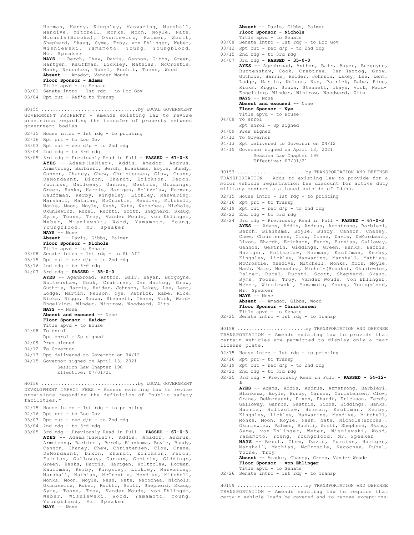Horman, Kerby, Kingsley, Manwaring, Marshall, Mendive, Mitchell, Monks, Moon, Moyle, Nate, Nichols(Brooks), Okuniewicz, Palmer, Scott, Shepherd, Skaug, Syme, Troy, von Ehlinger, Weber, Wisniewski, Yamamoto, Young, Youngblood, Mr. Speaker NAYS -- Berch, Chew, Davis, Gannon, Gibbs, Green, Hartgen, Kauffman, Lickley, Mathias, McCrostie, Nash, Necochea, Rubel, Ruchti, Toone, Wood **Absent** -- Amador, Vander Woude **Floor Sponsor - Adams** Title apvd - to Senate 03/01 Senate intro - 1st rdg - to Loc Gov 03/04 Rpt out - Ref'd to Transp GOVERNMENT PROPERTY - Amends existing law to revise provisions regarding the transfer of property between government bodies. 02/15 House intro - 1st rdg - to printing 02/16 Rpt prt - to Loc Gov  $03/03$  Rpt out - rec  $d/p$  - to 2nd rdg 03/04 2nd rdg - to 3rd rdg 03/05 3rd rdg - Previously Read in Full - **PASSED - 67-0-3 AYES** -- Adams(LaNier), Addis, Amador, Andrus, Armstrong, Barbieri, Berch, Blanksma, Boyle, Bundy, Cannon, Chaney, Chew, Christensen, Clow, Crane, DeMordaunt, Dixon, Ehardt, Erickson, Ferch, Furniss, Galloway, Gannon, Gestrin, Giddings, Green, Hanks, Harris, Hartgen, Holtzclaw, Horman, Kauffman, Kerby, Kingsley, Lickley, Manwaring, Marshall, Mathias, McCrostie, Mendive, Mitchell, Monks, Moon, Moyle, Nash, Nate, Necochea, Nichols, Okuniewicz, Rubel, Ruchti, Scott, Shepherd, Skaug, Syme, Toone, Troy, Vander Woude, von Ehlinger, Weber, Wisniewski, Wood, Yamamoto, Young, Youngblood, Mr. Speaker **NAYS** -- None **Absent** -- Davis, Gibbs, Palmer **Floor Sponsor - Nichols** Title apvd - to Senate 03/08 Senate intro - 1st rdg - to St Aff  $03/15$  Rpt out - rec  $d/p$  - to 2nd rdg 03/16 2nd rdg - to 3rd rdg 04/07 3rd rdg - **PASSED - 35-0-0 AYES** -- Agenbroad, Anthon, Bair, Bayer, Burgoyne, Burtenshaw, Cook, Crabtree, Den Hartog, Grow, Guthrie, Harris, Heider, Johnson, Lakey, Lee, Lent, Lodge, Martin, Nelson, Nye, Patrick, Rabe, Rice, Ricks, Riggs, Souza, Stennett, Thayn, Vick, Ward-Engelking, Winder, Wintrow, Woodward, Zito **NAYS** -- None **Absent and excused** -- None **Floor Sponsor - Heider** Title apvd - to House 04/08 To enrol Rpt enrol - Sp signed 04/09 Pres signed 04/12 To Governor 04/13 Rpt delivered to Governor on 04/12 04/15 Governor signed on April 13, 2021 Session Law Chapter 198 Effective: 07/01/21 H0155 ..................................by LOCAL GOVERNMENT DEVELOPMENT IMPACT FEES - Amends existing law to revise provisions regarding the definition of "public safety facilities." 02/15 House intro - 1st rdg - to printing 02/16 Rpt prt - to Loc Gov 03/03 Rpt out - rec d/p - to 2nd rdg 03/04 2nd rdg - to 3rd rdg 03/05 3rd rdg - Previously Read in Full - **PASSED - 67-0-3 AYES** -- Adams(LaNier), Addis, Amador, Andrus, Armstrong, Barbieri, Berch, Blanksma, Boyle, Bundy, Cannon, Chaney, Chew, Christensen, Clow, Crane, DeMordaunt, Dixon, Ehardt, Erickson, Ferch, Furniss, Galloway, Gannon, Gestrin, Giddings, Green, Hanks, Harris, Hartgen, Holtzclaw, Horman, Kauffman, Kerby, Kingsley, Lickley, Manwaring, Marshall, Mathias, McCrostie, Mendive, Mitchell, Monks, Moon, Moyle, Nash, Nate, Necochea, Nichols, Okuniewicz, Rubel, Ruchti, Scott, Shepherd, Skaug, H0156 ..................................by LOCAL GOVERNMENT

Syme, Toone, Troy, Vander Woude, von Ehlinger, Weber, Wisniewski, Wood, Yamamoto, Young,

**Absent** -- Davis, Gibbs, Palmer **Floor Sponsor - Nichols** Title apvd - to Senate

- 03/08 Senate intro 1st rdg to Loc Gov
- $03/12$  Rpt out rec  $d/p$  to 2nd rdg
- $03/15$  2nd rdg to 3rd rdg
- 04/07 3rd rdg **PASSED 35-0-0 AYES** -- Agenbroad, Anthon, Bair, Bayer, Burgoyne,

Burtenshaw, Cook, Crabtree, Den Hartog, Grow, Guthrie, Harris, Heider, Johnson, Lakey, Lee, Lent, Lodge, Martin, Nelson, Nye, Patrick, Rabe, Rice, Ricks, Riggs, Souza, Stennett, Thayn, Vick, Ward-Engelking, Winder, Wintrow, Woodward, Zito **NAYS** -- None **Absent and excused** -- None

**Floor Sponsor - Nye**

- Title apvd to House
- 04/08 To enrol
	- Rpt enrol Sp signed
- 04/09 Pres signed
- 04/12 To Governor
- 04/13 Rpt delivered to Governor on 04/12
- 04/15 Governor signed on April 13, 2021

Session Law Chapter 199 Effective: 07/01/21

TRANSPORTATION - Adds to existing law to provide for a motor vehicle registration fee discount for active duty military members stationed outside of Idaho. H0157 ........................by TRANSPORTATION AND DEFENSE

- 02/15 House intro 1st rdg to printing
- 02/16 Rpt prt to Transp
- $02/19$  Rpt out rec  $d/p$  to 2nd rdg
- 02/22 2nd rdg to 3rd rdg
- 02/24 3rd rdg Previously Read in Full **PASSED 67-0-3 AYES** -- Adams, Addis, Andrus, Armstrong, Barbieri, Berch, Blanksma, Boyle, Bundy, Cannon, Chaney, Chew, Christensen, Clow, Crane, Davis, DeMordaunt, Dixon, Ehardt, Erickson, Ferch, Furniss, Galloway, Gannon, Gestrin, Giddings, Green, Hanks, Harris, Hartgen, Holtzclaw, Horman, Kauffman, Kerby, Kingsley, Lickley, Manwaring, Marshall, Mathias, McCrostie, Mendive, Mitchell, Monks, Moon, Moyle, Nash, Nate, Necochea, Nichols(Brooks), Okuniewicz, Palmer, Rubel, Ruchti, Scott, Shepherd, Skaug, Syme, Toone, Troy, Vander Woude, von Ehlinger, Weber, Wisniewski, Yamamoto, Young, Youngblood, Mr. Speaker **NAYS** -- None

**Absent** -- Amador, Gibbs, Wood **Floor Sponsor - Christensen**

- Title apvd to Senate
- 02/25 Senate intro 1st rdg to Transp

TRANSPORTATION - Amends existing law to provide that certain vehicles are permitted to display only a rear license plate. H0158 ........................by TRANSPORTATION AND DEFENSE

- 02/15 House intro 1st rdg to printing
- 02/16 Rpt prt to Transp
- $02/19$  Rpt out rec  $d/p$  to 2nd rdg
- 02/22 2nd rdg to 3rd rdg
- 02/25 3rd rdg Previously Read in Full **PASSED 54-12- 4**

**AYES** -- Adams, Addis, Andrus, Armstrong, Barbieri, Blanksma, Boyle, Bundy, Cannon, Christensen, Clow, Crane, DeMordaunt, Dixon, Ehardt, Erickson, Ferch, Galloway, Gannon, Gestrin, Gibbs, Giddings, Hanks, Harris, Holtzclaw, Horman, Kauffman, Kerby, Kingsley, Lickley, Manwaring, Mendive, Mitchell, Monks, Moon, Moyle, Nash, Nate, Nichols(Brooks), Okuniewicz, Palmer, Ruchti, Scott, Shepherd, Skaug, Syme, von Ehlinger, Weber, Wisniewski, Wood, Yamamoto, Young, Youngblood, Mr. Speaker **NAYS** -- Berch, Chew, Davis, Furniss, Hartgen, Marshall, Mathias, McCrostie, Necochea, Rubel, Toone, Troy **Absent** -- Amador, Chaney, Green, Vander Woude **Floor Sponsor - von Ehlinger**

Title apvd - to Senate 02/26 Senate intro - 1st rdg - to Transp

TRANSPORTATION - Amends existing law to require that certain vehicle loads be covered and to remove exceptions. H0159 ........................by TRANSPORTATION AND DEFENSE

Youngblood, Mr. Speaker **NAYS** -- None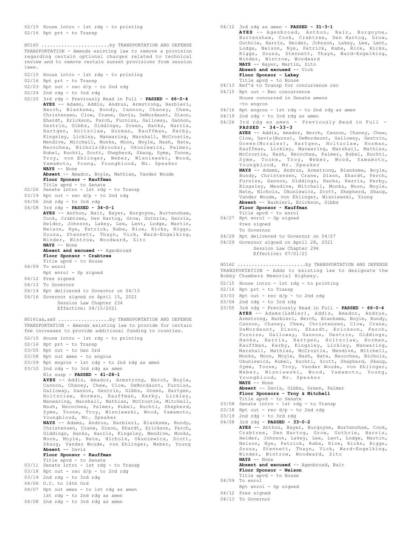02/15 House intro - 1st rdg - to printing 02/16 Rpt prt - to Transp

TRANSPORTATION - Amends existing law to remove a provision regarding certain optional charges related to technical review and to remove certain sunset provisions from session laws. H0160 ........................by TRANSPORTATION AND DEFENSE

- 02/15 House intro 1st rdg to printing
- 02/16 Rpt prt to Transp
- $02/23$  Rpt out rec d/p to 2nd rdg
- 02/24 2nd rdg to 3rd rdg
- 02/25 3rd rdg Previously Read in Full **PASSED 66-0-4 AYES** -- Adams, Addis, Andrus, Armstrong, Barbieri, Berch, Blanksma, Bundy, Cannon, Chaney, Chew, Christensen, Clow, Crane, Davis, DeMordaunt, Dixon, Ehardt, Erickson, Ferch, Furniss, Galloway, Gannon, Gestrin, Gibbs, Giddings, Green, Hanks, Harris, Hartgen, Holtzclaw, Horman, Kauffman, Kerby, Kingsley, Lickley, Manwaring, Marshall, McCrostie, Mendive, Mitchell, Monks, Moon, Moyle, Nash, Nate, Necochea, Nichols(Brooks), Okuniewicz, Palmer, Rubel, Ruchti, Scott, Shepherd, Skaug, Syme, Toone, Troy, von Ehlinger, Weber, Wisniewski, Wood, Yamamoto, Young, Youngblood, Mr. Speaker **NAYS** -- None
	- **Absent** -- Amador, Boyle, Mathias, Vander Woude **Floor Sponsor - Kauffman**
	- Title apvd to Senate
- 02/26 Senate intro 1st rdg to Transp
- 03/19 Rpt out rec d/p to 2nd rdg
- 04/06 2nd rdg to 3rd rdg
- 04/08 3rd rdg **PASSED 34-0-1**
	- **AYES** -- Anthon, Bair, Bayer, Burgoyne, Burtenshaw, Cook, Crabtree, Den Hartog, Grow, Guthrie, Harris, Heider, Johnson, Lakey, Lee, Lent, Lodge, Martin, Nelson, Nye, Patrick, Rabe, Rice, Ricks, Riggs, Souza, Stennett, Thayn, Vick, Ward-Engelking, Winder, Wintrow, Woodward, Zito **NAYS** -- None

## **Absent and excused** -- Agenbroad

- **Floor Sponsor Crabtree**
- Title apvd to House
- 04/09 To enrol
- Rpt enrol Sp signed
- 04/12 Pres signed 04/13 To Governor
- 
- 04/14 Rpt delivered to Governor on 04/13
- 04/16 Governor signed on April 15, 2021 Session Law Chapter 234 Effective: 04/15/2021

TRANSPORTATION - Amends existing law to provide for certain fee increases to provide additional funding to counties. H0161aa,aaS ..................by TRANSPORTATION AND DEFENSE

- 02/15 House intro 1st rdg to printing
- 02/16 Rpt prt to Transp
- 03/05 Rpt out to Gen Ord
- 03/08 Rpt out amen to engros
- 03/09 Rpt engros 1st rdg to 2nd rdg as amen
- 03/10 2nd rdg to 3rd rdg as amen
	- Rls susp **PASSED 41-28-1**

**AYES** -- Addis, Amador, Armstrong, Berch, Boyle, Cannon, Chaney, Chew, Clow, DeMordaunt, Furniss, Galloway, Gannon, Gestrin, Gibbs, Green, Hartgen, Holtzclaw, Horman, Kauffman, Kerby, Lickley, Manwaring, Marshall, Mathias, McCrostie, Mitchell, Nash, Necochea, Palmer, Rubel, Ruchti, Shepherd, Syme, Toone, Troy, Wisniewski, Wood, Yamamoto, Youngblood, Mr. Speaker

**NAYS** -- Adams, Andrus, Barbieri, Blanksma, Bundy, Christensen, Crane, Dixon, Ehardt, Erickson, Ferch, Giddings, Hanks, Harris, Kingsley, Mendive, Monks, Moon, Moyle, Nate, Nichols, Okuniewicz, Scott, Skaug, Vander Woude, von Ehlinger, Weber, Young **Absent** -- Davis

### **Floor Sponsor - Kauffman**

- Title apvd to Senate
- 03/11 Senate intro 1st rdg to Transp
- $03/18$  Rpt out rec  $d/p$  to 2nd rdg
- $03/19$  2nd rdg to 3rd rdg
- 04/06 U.C. to 14th Ord
- 04/07 Rpt out amen to 1st rdg as amen
- 1st rdg to 2nd rdg as amen  $04/08$  2nd rdg - to 3rd rdg as amen
	-
- 04/12 3rd rdg as amen **PASSED 31-3-1**
	- **AYES** -- Agenbroad, Anthon, Bair, Burgoyne, Burtenshaw, Cook, Crabtree, Den Hartog, Grow, Guthrie, Harris, Heider, Johnson, Lakey, Lee, Lent, Lodge, Nelson, Nye, Patrick, Rabe, Rice, Ricks, Riggs, Souza, Stennett, Thayn, Ward-Engelking, Winder, Wintrow, Woodward **NAYS** -- Bayer, Martin, Zito **Absent and excused** -- Vick **Floor Sponsor - Lakey** Title apvd - to House
- 04/13 Ref'd to Transp for concurrence rec
- 04/15 Rpt out Rec concurrence House concurred in Senate amens -to engros
- 04/16 Rpt engros 1st rdg to 2nd rdg as amen
- 04/19 2nd rdg to 3rd rdg as amen
- 04/26 3rd rdg as amen Previously Read in Full **PASSED - 34-33-3 AYES** -- Addis, Amador, Berch, Cannon, Chaney, Chew, Clow, Davis(Burns), DeMordaunt, Galloway, Gestrin, Green(Morales), Hartgen, Holtzclaw, Horman, Kauffman, Lickley, Manwaring, Marshall, Mathias, McCrostie, Nash, Necochea, Palmer, Rubel, Ruchti, Syme, Toone, Troy, Weber, Wood, Yamamoto, Youngblood, Mr. Speaker

**NAYS** -- Adams, Andrus, Armstrong, Blanksma, Boyle, Bundy, Christensen, Crane, Dixon, Ehardt, Ferch, Furniss, Gannon, Giddings, Hanks, Harris, Kerby, Kingsley, Mendive, Mitchell, Monks, Moon, Moyle, Nate, Nichols, Okuniewicz, Scott, Shepherd, Skaug, Vander Woude, von Ehlinger, Wisniewski, Young **Absent** -- Barbieri, Erickson, Gibbs

### **Floor Sponsor - Kauffman**

- Title apvd to enrol 04/27 Rpt enrol Sp signed Pres signed
- To Governor
- 04/29 Rpt delivered to Governor on 04/27
- 04/29 Governor signed on April 28, 2021 Session Law Chapter 294 Effective: 07/01/21

TRANSPORTATION - Adds to existing law to designate the Bobby Chambers Memorial Highway. H0162 ........................by TRANSPORTATION AND DEFENSE

- 02/15 House intro 1st rdg to printing
- 02/16 Rpt prt to Transp
- 03/03 Rpt out rec d/p to 2nd rdg
- 03/04 2nd rdg to 3rd rdg
- 03/05 3rd rdg Previously Read in Full **PASSED 66-0-4 AYES** -- Adams(LaNier), Addis, Amador, Andrus, Armstrong, Barbieri, Berch, Blanksma, Boyle, Bundy, Cannon, Chaney, Chew, Christensen, Clow, Crane, DeMordaunt, Dixon, Ehardt, Erickson, Ferch, Furniss, Galloway, Gannon, Gestrin, Giddings, Hanks, Harris, Hartgen, Holtzclaw, Horman, Kauffman, Kerby, Kingsley, Lickley, Manwaring, Marshall, Mathias, McCrostie, Mendive, Mitchell, Monks, Moon, Moyle, Nash, Nate, Necochea, Nichols, Okuniewicz, Rubel, Ruchti, Scott, Shepherd, Skaug, Syme, Toone, Troy, Vander Woude, von Ehlinger, Weber, Wisniewski, Wood, Yamamoto, Young, Youngblood, Mr. Speaker **NAYS** -- None

**Absent** -- Davis, Gibbs, Green, Palmer **Floor Sponsors - Troy & Mitchell**

- Title apvd to Senate
- 03/08 Senate intro 1st rdg to Transp
- $03/18$  Rpt out rec  $d/p$  to 2nd rdg 03/19 2nd rdg - to 3rd rdg
- 04/08 3rd rdg **PASSED 33-0-2**

**AYES** -- Anthon, Bayer, Burgoyne, Burtenshaw, Cook, Crabtree, Den Hartog, Grow, Guthrie, Harris, Heider, Johnson, Lakey, Lee, Lent, Lodge, Martin, Nelson, Nye, Patrick, Rabe, Rice, Ricks, Riggs, Souza, Stennett, Thayn, Vick, Ward-Engelking, Winder, Wintrow, Woodward, Zito **NAYS** -- None **Absent and excused** -- Agenbroad, Bair

**Floor Sponsor - Nelson**

- Title apvd to House
- 04/09 To enrol
	- Rpt enrol Sp signed
- 04/12 Pres signed
- 04/13 To Governor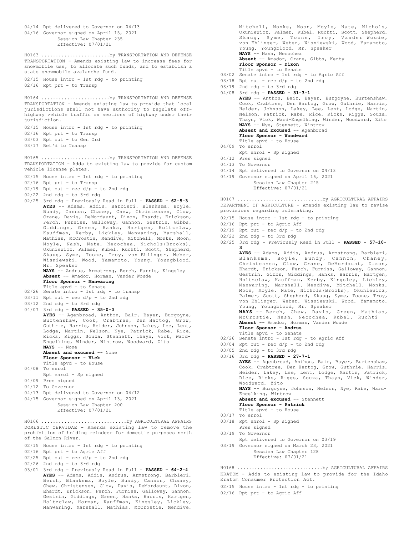```
04/14 Rpt delivered to Governor on 04/13
04/16 Governor signed on April 15, 2021
           Session Law Chapter 235
           Effective: 07/01/21
```
TRANSPORTATION - Amends existing law to increase fees for snowmobile use, to allocate such funds, and to establish a state snowmobile avalanche fund. H0163 ........................by TRANSPORTATION AND DEFENSE

```
02/15 House intro - 1st rdg - to printing
02/16 Rpt prt - to Transp
```
TRANSPORTATION - Amends existing law to provide that local jurisdictions shall not have authority to regulate offhighway vehicle traffic on sections of highway under their jurisdiction. H0164 ........................by TRANSPORTATION AND DEFENSE

- 02/15 House intro 1st rdg to printing
- 02/16 Rpt prt to Transp
- 03/03 Rpt out to Gen Ord
- 03/17 Ret'd to Transp

TRANSPORTATION - Adds to existing law to provide for custom vehicle license plates. H0165 ........................by TRANSPORTATION AND DEFENSE

- 02/15 House intro 1st rdg to printing
- 02/16 Rpt prt to Transp
- $02/19$  Rpt out rec  $d/p$  to 2nd rdg
- $02/22$  2nd rdg to 3rd rdg
- 02/25 3rd rdg Previously Read in Full **PASSED 62-5-3 AYES** -- Adams, Addis, Barbieri, Blanksma, Boyle, Bundy, Cannon, Chaney, Chew, Christensen, Clow, Crane, Davis, DeMordaunt, Dixon, Ehardt, Erickson, Ferch, Furniss, Galloway, Gannon, Gestrin, Gibbs, Giddings, Green, Hanks, Hartgen, Holtzclaw, Kauffman, Kerby, Lickley, Manwaring, Marshall, Mathias, McCrostie, Mendive, Mitchell, Monks, Moon, Moyle, Nash, Nate, Necochea, Nichols(Brooks), Okuniewicz, Palmer, Rubel, Ruchti, Scott, Shepherd, Skaug, Syme, Toone, Troy, von Ehlinger, Weber, Wisniewski, Wood, Yamamoto, Young, Youngblood, Mr. Speaker

**NAYS** -- Andrus, Armstrong, Berch, Harris, Kingsley **Absent** -- Amador, Horman, Vander Woude **Floor Sponsor - Manwaring**

- Title apvd to Senate 02/26 Senate intro 1st rdg to Transp
- $03/11$  Rpt out rec  $d/p$  to 2nd rdg
- 03/12 2nd rdg to 3rd rdg
- 04/07 3rd rdg **PASSED 35-0-0**

**AYES** -- Agenbroad, Anthon, Bair, Bayer, Burgoyne, Burtenshaw, Cook, Crabtree, Den Hartog, Grow, Guthrie, Harris, Heider, Johnson, Lakey, Lee, Lent, Lodge, Martin, Nelson, Nye, Patrick, Rabe, Rice, Ricks, Riggs, Souza, Stennett, Thayn, Vick, Ward-Engelking, Winder, Wintrow, Woodward, Zito **NAYS** -- None

**Absent and excused** -- None

- **Floor Sponsor Vick**
- Title apvd to House
- 04/08 To enrol Rpt enrol - Sp signed
- 04/09 Pres signed
- 04/12 To Governor
- 04/13 Rpt delivered to Governor on 04/12
- 04/15 Governor signed on April 13, 2021
	- Session Law Chapter 200
	- Effective: 07/01/21

DOMESTIC CERVIDAE - Amends existing law to remove the prohibition of holding reindeer for domestic purposes north of the Salmon River. H0166 ..............................by AGRICULTURAL AFFAIRS

- 02/15 House intro 1st rdg to printing
- 02/16 Rpt prt to Agric Aff
- 02/25 Rpt out rec d/p to 2nd rdg
- 02/26 2nd rdg to 3rd rdg
- 03/01 3rd rdg Previously Read in Full **PASSED 64-2-4 AYES** -- Adams, Addis, Andrus, Armstrong, Barbieri, Berch, Blanksma, Boyle, Bundy, Cannon, Chaney, Chew, Christensen, Clow, Davis, DeMordaunt, Dixon, Ehardt, Erickson, Ferch, Furniss, Galloway, Gannon, Gestrin, Giddings, Green, Hanks, Harris, Hartgen, Holtzclaw, Horman, Kauffman, Kingsley, Lickley, Manwaring, Marshall, Mathias, McCrostie, Mendive,

Mitchell, Monks, Moon, Moyle, Nate, Nichols, Okuniewicz, Palmer, Rubel, Ruchti, Scott, Shepherd, Skaug, Syme, Toone, Troy, Vander Woude, von Ehlinger, Weber, Wisniewski, Wood, Yamamoto, Young, Youngblood, Mr. Speaker **NAYS** -- Nash, Necochea **Absent** -- Amador, Crane, Gibbs, Kerby **Floor Sponsor - Dixon** Title apvd - to Senate

- 03/02 Senate intro 1st rdg to Agric Aff
- $03/18$  Rpt out rec  $d/p$  to 2nd rdg
- 03/19 2nd rdg to 3rd rdg
- 04/08 3rd rdg **PASSED 31-3-1 AYES** -- Anthon, Bair, Bayer, Burgoyne, Burtenshaw, Cook, Crabtree, Den Hartog, Grow, Guthrie, Harris, Heider, Johnson, Lakey, Lee, Lent, Lodge, Martin, Nelson, Patrick, Rabe, Rice, Ricks, Riggs, Souza, Thayn, Vick, Ward-Engelking, Winder, Woodward, Zito **NAYS** -- Nye, Stennett, Wintrow Absent and Excused -- Agenbroad **Floor Sponsor - Woodward**
	- Title apvd to House 04/09 To enrol
	- Rpt enrol Sp signed
	- 04/12 Pres signed
	- 04/13 To Governor
	- 04/14 Rpt delivered to Governor on 04/13
	-
	- 04/19 Governor signed on April 16, 2021 Session Law Chapter 245 Effective: 07/01/21

DEPARTMENT OF AGRICULTURE - Amends existing law to revise provisions regarding rulemaking. H0167 ..............................by AGRICULTURAL AFFAIRS

- 02/15 House intro 1st rdg to printing
- 02/16 Rpt prt to Agric Aff
- $02/19$  Rpt out rec  $d/p$  to 2nd rdg
- 02/22 2nd rdg to 3rd rdg
- 02/25 3rd rdg Previously Read in Full **PASSED 57-10- 3**
- **AYES** -- Adams, Addis, Andrus, Armstrong, Barbieri, Blanksma, Boyle, Bundy, Cannon, Chaney, Christensen, Clow, Crane, DeMordaunt, Dixon, Ehardt, Erickson, Ferch, Furniss, Galloway, Gannon, Gestrin, Gibbs, Giddings, Hanks, Harris, Hartgen, Holtzclaw, Kauffman, Kerby, Kingsley, Lickley, Manwaring, Marshall, Mendive, Mitchell, Monks, Moon, Moyle, Nate, Nichols(Brooks), Okuniewicz, Palmer, Scott, Shepherd, Skaug, Syme, Toone, Troy, von Ehlinger, Weber, Wisniewski, Wood, Yamamoto, Young, Youngblood, Mr. Speaker **NAYS** -- Berch, Chew, Davis, Green, Mathias, McCrostie, Nash, Necochea, Rubel, Ruchti **Absent** -- Amador, Horman, Vander Woude **Floor Sponsor - Andrus** Title apvd - to Senate 02/26 Senate intro - 1st rdg - to Agric Aff  $03/04$  Rpt out - rec  $d/p$  - to 2nd rdg 03/05 2nd rdg - to 3rd rdg 03/16 3rd rdg - **PASSED - 27-7-1 AYES** -- Agenbroad, Anthon, Bair, Bayer, Burtenshaw, Cook, Crabtree, Den Hartog, Grow, Guthrie, Harris, Heider, Lakey, Lee, Lent, Lodge, Martin, Patrick, Rice, Ricks, Riggs, Souza, Thayn, Vick, Winder, Woodward, Zito **NAYS** -- Burgoyne, Johnson, Nelson, Nye, Rabe, Ward-Engelking, Wintrow **Absent and excused** -- Stennett **Floor Sponsor - Patrick**
- Title apvd to House 03/17 To enrol
- 03/18 Rpt enrol Sp signed
- Pres signed
- 03/19 To Governor
- Rpt delivered to Governor on 03/19
- 03/19 Governor signed on March 23, 2021 Session Law Chapter 128 Effective: 07/01/21

KRATOM - Adds to existing law to provide for the Idaho Kratom Consumer Protection Act. H0168 ..............................by AGRICULTURAL AFFAIRS

02/15 House intro - 1st rdg - to printing

02/16 Rpt prt - to Agric Aff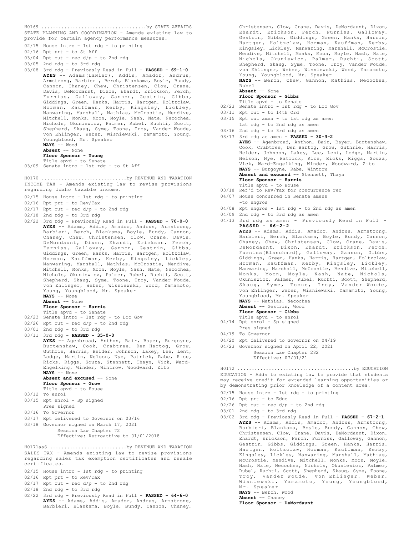STATE PLANNING AND COORDINATION - Amends existing law to provide for certain agency performance measures. H0169 .....................................by STATE AFFAIRS

- 02/15 House intro 1st rdg to printing
- 02/16 Rpt prt to St Aff
- $03/04$  Rpt out rec  $d/p$  to 2nd rdg
- 03/05 2nd rdg to 3rd rdg
- 03/08 3rd rdg Previously Read in Full **PASSED 69-1-0 AYES** -- Adams(LaNier), Addis, Amador, Andrus, Armstrong, Barbieri, Berch, Blanksma, Boyle, Bundy, Cannon, Chaney, Chew, Christensen, Clow, Crane, Davis, DeMordaunt, Dixon, Ehardt, Erickson, Ferch, Furniss, Galloway, Gannon, Gestrin, Gibbs, Giddings, Green, Hanks, Harris, Hartgen, Holtzclaw, Horman, Kauffman, Kerby, Kingsley, Lickley, Manwaring, Marshall, Mathias, McCrostie, Mendive, Mitchell, Monks, Moon, Moyle, Nash, Nate, Necochea, Nichols, Okuniewicz, Palmer, Rubel, Ruchti, Scott, Shepherd, Skaug, Syme, Toone, Troy, Vander Woude, von Ehlinger, Weber, Wisniewski, Yamamoto, Young, Youngblood, Mr. Speaker **NAYS** -- Wood

**Absent** -- None **Floor Sponsor - Young**

Title apvd - to Senate 03/09 Senate intro - 1st rdg - to St Aff

INCOME TAX - Amends existing law to revise provisions regarding Idaho taxable income. H0170 ..............................by REVENUE AND TAXATION

- 02/15 House intro 1st rdg to printing
- 02/16 Rpt prt to Rev/Tax
- $02/17$  Rpt out rec d/p to 2nd rdg
- 02/18 2nd rdg to 3rd rdg
- 02/22 3rd rdg Previously Read in Full **PASSED 70-0-0 AYES** -- Adams, Addis, Amador, Andrus, Armstrong, Barbieri, Berch, Blanksma, Boyle, Bundy, Cannon, Chaney, Chew, Christensen, Clow, Crane, Davis, DeMordaunt, Dixon, Ehardt, Erickson, Ferch, Furniss, Galloway, Gannon, Gestrin, Gibbs, Giddings, Green, Hanks, Harris, Hartgen, Holtzclaw, Horman, Kauffman, Kerby, Kingsley, Lickley, Manwaring, Marshall, Mathias, McCrostie, Mendive, Mitchell, Monks, Moon, Moyle, Nash, Nate, Necochea, Nichols, Okuniewicz, Palmer, Rubel, Ruchti, Scott, Shepherd, Skaug, Syme, Toone, Troy, Vander Woude, von Ehlinger, Weber, Wisniewski, Wood, Yamamoto, Young, Youngblood, Mr. Speaker **NAYS** -- None

**Absent** -- None

### **Floor Sponsor - Harris**

- Title apvd to Senate 02/23 Senate intro 1st rdg to Loc Gov
- $02/26$  Rpt out rec  $d/p$  to 2nd rdg
- 03/01 2nd rdg to 3rd rdg
- 03/11 3rd rdg **PASSED 35-0-0**
	- **AYES** -- Agenbroad, Anthon, Bair, Bayer, Burgoyne, Burtenshaw, Cook, Crabtree, Den Hartog, Grow, Guthrie, Harris, Heider, Johnson, Lakey, Lee, Lent, Lodge, Martin, Nelson, Nye, Patrick, Rabe, Rice, Ricks, Riggs, Souza, Stennett, Thayn, Vick, Ward-Engelking, Winder, Wintrow, Woodward, Zito **NAYS** -- None **Absent and excused** -- None

## **Floor Sponsor - Grow**

- Title apvd to House
- 03/12 To enrol
- 03/15 Rpt enrol Sp signed Pres signed
- 03/16 To Governor
- 03/17 Rpt delivered to Governor on 03/16
- 03/18 Governor signed on March 17, 2021 Session Law Chapter 72 Effective: Retroactive to 01/01/2018

SALES TAX - Amends existing law to revise provisions regarding sales tax exemption certificates and resale certificates. H0171aaS ...........................by REVENUE AND TAXATION

- 02/15 House intro 1st rdg to printing
- 02/16 Rpt prt to Rev/Tax
- $02/17$  Rpt out rec  $d/p$  to 2nd rdg
- 02/18 2nd rdg to 3rd rdg
- 02/22 3rd rdg Previously Read in Full **PASSED 64-6-0 AYES** -- Adams, Addis, Amador, Andrus, Armstrong, Barbieri, Blanksma, Boyle, Bundy, Cannon, Chaney,

Christensen, Clow, Crane, Davis, DeMordaunt, Dixon, Ehardt, Erickson, Ferch, Furniss, Galloway, Gestrin, Gibbs, Giddings, Green, Hanks, Harris, Hartgen, Holtzclaw, Horman, Kauffman, Kerby, Kingsley, Lickley, Manwaring, Marshall, McCrostie, Mendive, Mitchell, Monks, Moon, Moyle, Nash, Nate, Nichols, Okuniewicz, Palmer, Ruchti, Scott, Shepherd, Skaug, Syme, Toone, Troy, Vander Woude, von Ehlinger, Weber, Wisniewski, Wood, Yamamoto, Young, Youngblood, Mr. Speaker

**NAYS** -- Berch, Chew, Gannon, Mathias, Necochea, Rubel

**Absent** -- None **Floor Sponsor - Gibbs**

- Title apvd to Senate
- 02/23 Senate intro 1st rdg to Loc Gov
- 03/11 Rpt out to 14th Ord
- 03/15 Rpt out amen to 1st rdg as amen
- 1st rdg to 2nd rdg as amen 03/16 2nd rdg - to 3rd rdg as amen
- 03/17 3rd rdg as amen **PASSED 30-3-2 AYES** -- Agenbroad, Anthon, Bair, Bayer, Burtenshaw, Cook, Crabtree, Den Hartog, Grow, Guthrie, Harris, Heider, Johnson, Lakey, Lee, Lent, Lodge, Martin, Nelson, Nye, Patrick, Rice, Ricks, Riggs, Souza, Vick, Ward-Engelking, Winder, Woodward, Zito **NAYS** -- Burgoyne, Rabe, Wintrow **Absent and excused** -- Stennett, Thayn **Floor Sponsor - Harris** Title apvd - to House
- 03/18 Ref'd to Rev/Tax for concurrence rec
- 04/07 House concurred in Senate amens

-to engros

- 04/08 Rpt engros 1st rdg to 2nd rdg as amen
- 04/09 2nd rdg to 3rd rdg as amen
- 04/13 3rd rdg as amen Previously Read in Full **PASSED - 66-2-2**
	- **AYES** -- Adams, Addis, Amador, Andrus, Armstrong, Barbieri, Berch, Blanksma, Boyle, Bundy, Cannon, Chaney, Chew, Christensen, Clow, Crane, Davis, DeMordaunt, Dixon, Ehardt, Erickson, Ferch, Furniss(Blanchard), Galloway, Gannon, Gibbs, Giddings, Green, Hanks, Harris, Hartgen, Holtzclaw, Horman, Kauffman, Kerby, Kingsley, Lickley, Manwaring, Marshall, McCrostie, Mendive, Mitchell, Monks, Moon, Moyle, Nash, Nate, Nichols, Okuniewicz, Palmer, Rubel, Ruchti, Scott, Shepherd, Skaug, Syme, Toone, Troy, Vander Woude, von Ehlinger, Weber, Wisniewski, Yamamoto, Young, Youngblood, Mr. Speaker **NAYS** -- Mathias, Necochea **Absent** -- Gestrin, Wood
		- **Floor Sponsor Gibbs**
- 
- Title apvd to enrol 04/14 Rpt enrol Sp signed Pres signed
- 04/19 To Governor
- 04/20 Rpt delivered to Governor on 04/19
- 04/23 Governor signed on April 22, 2021 Session Law Chapter 282
	- Effective: 07/01/21

EDUCATION - Adds to existing law to provide that students may receive credit for extended learning opportunities or by demonstrating prior knowledge of a content area. H0172 .........................................by EDUCATION

- 02/15 House intro 1st rdg to printing
- 02/16 Rpt prt to Educ
- $02/26$  Rpt out rec d/p to 2nd rdg
- 03/01 2nd rdg to 3rd rdg
- 03/02 3rd rdg Previously Read in Full **PASSED 67-2-1 AYES** -- Adams, Addis, Amador, Andrus, Armstrong, Barbieri, Blanksma, Boyle, Bundy, Cannon, Chew, Christensen, Clow, Crane, Davis, DeMordaunt, Dixon, Ehardt, Erickson, Ferch, Furniss, Galloway, Gannon, Gestrin, Gibbs, Giddings, Green, Hanks, Harris,<br>Hartgen, Holtzclaw, Horman, Kauffman, Kerby, Hartgen, Holtzclaw, Horman, Kauffman, Kingsley, Lickley, Manwaring, Marshall, Mathias, McCrostie, Mendive, Mitchell, Monks, Moon, Moyle, Nash, Nate, Necochea, Nichols, Okuniewicz, Palmer, Rubel, Ruchti, Scott, Shepherd, Skaug, Syme, Toone, Troy, Vander Woude, von Ehlinger, Weber, Wisniewski, Yamamoto, Young, Youngblood, Mr. Speaker **NAYS** -- Berch, Wood **Absent** -- Chaney

**Floor Sponsor - DeMordaunt**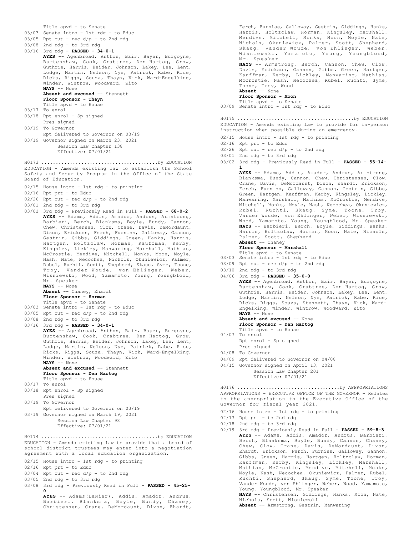Title apvd - to Senate 03/03 Senate intro - 1st rdg - to Educ  $03/05$  Rpt out - rec  $d/p$  - to 2nd rdg 03/08 2nd rdg - to 3rd rdg 03/16 3rd rdg - **PASSED - 34-0-1 AYES** -- Agenbroad, Anthon, Bair, Bayer, Burgoyne, Burtenshaw, Cook, Crabtree, Den Hartog, Grow, Guthrie, Harris, Heider, Johnson, Lakey, Lee, Lent, Lodge, Martin, Nelson, Nye, Patrick, Rabe, Rice, Ricks, Riggs, Souza, Thayn, Vick, Ward-Engelking, Winder, Wintrow, Woodward, Zito **NAYS** -- None **Absent and excused** -- Stennett **Floor Sponsor - Thayn** Title apvd - to House 03/17 To enrol 03/18 Rpt enrol - Sp signed Pres signed 03/19 To Governor Rpt delivered to Governor on 03/19 03/19 Governor signed on March 23, 2021 Session Law Chapter 138 Effective: 07/01/21 EDUCATION - Amends existing law to establish the School Safety and Security Program in the Office of the State Board of Education. 02/15 House intro - 1st rdg - to printing 02/16 Rpt prt - to Educ  $02/26$  Rpt out - rec  $d/p$  - to 2nd rdg 03/01 2nd rdg - to 3rd rdg 03/02 3rd rdg - Previously Read in Full - **PASSED - 68-0-2 AYES** -- Adams, Addis, Amador, Andrus, Armstrong, Barbieri, Berch, Blanksma, Boyle, Bundy, Cannon, Chew, Christensen, Clow, Crane, Davis, DeMordaunt, Dixon, Erickson, Ferch, Furniss, Galloway, Gannon, Gestrin, Gibbs, Giddings, Green, Hanks, Harris, Hartgen, Holtzclaw, Horman, Kauffman, Kerby, Kingsley, Lickley, Manwaring, Marshall, Mathias, McCrostie, Mendive, Mitchell, Monks, Moon, Moyle, Nash, Nate, Necochea, Nichols, Okuniewicz, Palmer, Rubel, Ruchti, Scott, Shepherd, Skaug, Syme, Toone, Troy, Vander Woude, von Ehlinger, Weber, Wisniewski, Wood, Yamamoto, Young, Youngblood, Mr. Speaker **NAYS** -- None **Absent** -- Chaney, Ehardt **Floor Sponsor - Horman** Title apvd - to Senate 03/03 Senate intro - 1st rdg - to Educ 03/05 Rpt out - rec d/p - to 2nd rdg 03/08 2nd rdg - to 3rd rdg 03/16 3rd rdg - **PASSED - 34-0-1 AYES** -- Agenbroad, Anthon, Bair, Bayer, Burgoyne, Burtenshaw, Cook, Crabtree, Den Hartog, Grow, Guthrie, Harris, Heider, Johnson, Lakey, Lee, Lent, Lodge, Martin, Nelson, Nye, Patrick, Rabe, Rice, Ricks, Riggs, Souza, Thayn, Vick, Ward-Engelking, Winder, Wintrow, Woodward, Zito **NAYS** -- None **Absent and excused** -- Stennett **Floor Sponsor - Den Hartog** Title apvd - to House 03/17 To enrol 03/18 Rpt enrol - Sp signed Pres signed 03/19 To Governor Rpt delivered to Governor on 03/19 03/19 Governor signed on March 19, 2021 Session Law Chapter 98 Effective: 07/01/21 H0173 .........................................by EDUCATION EDUCATION - Amends existing law to provide that a board of school district trustees may enter into a negotiation agreement with a local education organization. 02/15 House intro - 1st rdg - to printing 02/16 Rpt prt - to Educ  $03/04$  Rpt out - rec  $d/p$  - to 2nd rdg 03/05 2nd rdg - to 3rd rdg H0174 .........................................by EDUCATION

03/08 3rd rdg - Previously Read in Full - **PASSED - 45-25- 0 AYES** -- Adams(LaNier), Addis, Amador, Andrus,

Barbieri, Blanksma, Boyle, Bundy, Chaney, Christensen, Crane, DeMordaunt, Dixon, Ehardt,

Ferch, Furniss, Galloway, Gestrin, Giddings, Hanks, Harris, Holtzclaw, Horman, Kingsley, Marshall, Mendive, Mitchell, Monks, Moon, Moyle, Nate, Nichols, Okuniewicz, Palmer, Scott, Shepherd, Skaug, Vander Woude, von Ehlinger, Weber, Wisniewski, Yamamoto, Young, Youngblood, Mr. Speaker **NAYS** -- Armstrong, Berch, Cannon, Chew, Clow, Davis, Erickson, Gannon, Gibbs, Green, Hartgen, Kauffman, Kerby, Lickley, Manwaring, Mathias, McCrostie, Nash, Necochea, Rubel, Ruchti, Syme, Toone, Troy, Wood **Absent** -- None **Floor Sponsor - Moon** Title apvd - to Senate 03/09 Senate intro - 1st rdg - to Educ EDUCATION - Amends existing law to provide for in-person instruction when possible during an emergency. 02/15 House intro - 1st rdg - to printing 02/16 Rpt prt - to Educ  $02/26$  Rpt out - rec d/p - to 2nd rdg  $03/01$  2nd rdg - to 3rd rdg 03/02 3rd rdg - Previously Read in Full - **PASSED - 55-14- 1** H0175 .........................................by EDUCATION

**AYES** -- Adams, Addis, Amador, Andrus, Armstrong, Blanksma, Bundy, Cannon, Chew, Christensen, Clow, Crane, Davis, DeMordaunt, Dixon, Ehardt, Erickson, Ferch, Furniss, Galloway, Gannon, Gestrin, Gibbs, Green, Hartgen, Kauffman, Kerby, Kingsley, Lickley, Manwaring, Marshall, Mathias, McCrostie, Mendive, Mitchell, Monks, Moyle, Nash, Necochea, Okuniewicz, Rubel, Ruchti, Skaug, Syme, Toone, Troy, Vander Woude, von Ehlinger, Weber, Wisniewski,<br>Wood, Yamamoto, Young, Youngblood, Mr. Speaker<br>**NAYS --** Barbieri, Berch, Boyle, Giddings, Hanks, Harris, Holtzclaw, Horman, Moon, Nate, Nichols, Palmer, Scott, Shepherd **Absent** -- Chaney

- **Floor Sponsor Marshall**
- Title apvd to Senate
- 03/03 Senate intro 1st rdg to Educ
- 03/09 Rpt out rec d/p to 2nd rdg
- $03/10$  2nd rdg to 3rd rdg
- 04/06 3rd rdg **PASSED 35-0-0 AYES** -- Agenbroad, Anthon, Bair, Bayer, Burgoyne, Burtenshaw, Cook, Crabtree, Den Hartog, Grow, Guthrie, Harris, Heider, Johnson, Lakey, Lee, Lent, Lodge, Martin, Nelson, Nye, Patrick, Rabe, Rice, Ricks, Riggs, Souza, Stennett, Thayn, Vick, Ward-Engelking, Winder, Wintrow, Woodward, Zito **NAYS** -- None
	- **Absent and excused** -- None **Floor Sponsor - Den Hartog**
		- Title apvd to House
- 04/07 To enrol Rpt enrol - Sp signed
- Pres signed
- 04/08 To Governor
- 04/09 Rpt delivered to Governor on 04/08
- 04/15 Governor signed on April 13, 2021 Session Law Chapter 201

Effective: 07/01/21

APPROPRIATIONS - EXECUTIVE OFFICE OF THE GOVERNOR - Relates to the appropriation to the Executive Office of the Governor for fiscal year 2021. H0176 ....................................by APPROPRIATIONS

- 02/16 House intro 1st rdg to printing
- 02/17 Rpt prt to 2nd rdg
- 02/18 2nd rdg to 3rd rdg
- 02/19 3rd rdg Previously Read in Full **PASSED 59-8-3 AYES** -- Adams, Addis, Amador, Andrus, Barbieri, Berch, Blanksma, Boyle, Bundy, Cannon, Chaney, Chew, Clow, Crane, Davis, DeMordaunt, Dixon, Ehardt, Erickson, Ferch, Furniss, Galloway, Gannon, Gibbs, Green, Harris, Hartgen, Holtzclaw, Horman, Kauffman, Kerby, Kingsley, Lickley, Marshall, Mathias, McCrostie, Mendive, Mitchell, Monks, Moyle, Nash, Necochea, Okuniewicz, Palmer, Rubel, Ruchti, Shepherd, Skaug, Syme, Toone, Troy, Vander Woude, von Ehlinger, Weber, Wood, Yamamoto, Young, Youngblood, Mr. Speaker **NAYS** -- Christensen, Giddings, Hanks, Moon, Nate, Nichols, Scott, Wisniewski
	- **Absent** -- Armstrong, Gestrin, Manwaring
- 
- -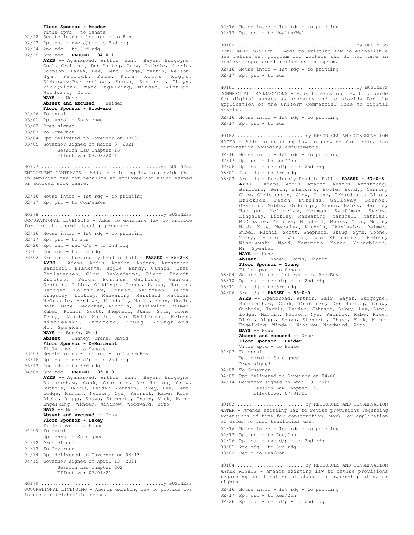```
Floor Sponsor - Amador
       Title apvd - to Senate
02/22 Senate intro - 1st rdg - to Fin
02/23 Rpt out - rec d/p - to 2nd rdg
02/24 2nd rdg - to 3rd rdg
02/25 3rd rdg - PASSED - 34-0-1
       AYES -- Agenbroad, Anthon, Bair, Bayer, Burgoyne,
       Cook, Crabtree, Den Hartog, Grow, Guthrie, Harris,
Johnson, Lakey, Lee, Lent, Lodge, Martin, Nelson,
       Nye, Patrick, Rabe, Rice, Ricks, Riggs,
Siddoway(Burtenshaw), Souza, Stennett, Thayn,
Vick(Vick), Ward-Engelking, Winder, Wintrow,
       Woodward, Zito
       NAYS -- None
       Absent and excused -- Heider
       Floor Sponsor - Woodward
02/26 To enrol
03/01 Rpt enrol - Sp signed
03/02 Pres signed
03/03 To Governor
03/04 Rpt delivered to Governor on 03/03
03/05 Governor signed on March 3, 2021
           Session Law Chapter 16
            Effective: 03/03/2021
EMPLOYMENT CONTRACTS - Adds to existing law to provide that
an employer may not penalize an employee for using earned
or accrued sick leave.
02/16 House intro - 1st rdg - to printing
02/17 Rpt prt - to Com/HuRes
H0177 ..........................................by BUSINESS
OCCUPATIONAL LICENSING - Adds to existing law to provide
for certain apprenticeship programs.
02/16 House intro - 1st rdg - to printing
02/17 Rpt prt - to Bus
02/26 Rpt out - rec d/p - to 2nd rdg
03/01 2nd rdg - to 3rd rdg
03/02 3rd rdg - Previously Read in Full - PASSED - 65-2-3
AYES -- Adams, Addis, Amador, Andrus, Armstrong,
       Barbieri, Blanksma, Boyle, Bundy, Cannon, Chew,
Christensen, Clow, DeMordaunt, Dixon, Ehardt,
       Erickson, Ferch, Furniss, Galloway, Gannon,
       Gestrin, Gibbs, Giddings, Green, Hanks, Harris,
       Hartgen, Holtzclaw, Horman, Kauffman, Kerby,
Kingsley, Lickley, Manwaring, Marshall, Mathias,
       McCrostie, Mendive, Mitchell, Monks, Moon, Moyle,
       Nash, Nate, Necochea, Nichols, Okuniewicz, Palmer,
       Rubel, Ruchti, Scott, Shepherd, Skaug, Syme, Toone,
       Troy, Vander Woude, von Ehlinger, Weber,
       Wisniewski, Yamamoto, Young, Youngblood,
       Mr. Speaker
       NAYS -- Berch, Wood
       Absent -- Chaney, Crane, Davis
       Floor Sponsor - DeMordaunt
       Title apvd - to Senate
03/03 Senate intro - 1st rdg - to Com/HuRes
03/16 Rpt out - rec d/p - to 2nd rdg
03/17 2nd rdg - to 3rd rdg
04/08 3rd rdg - PASSED - 35-0-0
       AYES -- Agenbroad, Anthon, Bair, Bayer, Burgoyne,
       Burtenshaw, Cook, Crabtree, Den Hartog, Grow,
       Guthrie, Harris, Heider, Johnson, Lakey, Lee, Lent,
       Lodge, Martin, Nelson, Nye, Patrick, Rabe, Rice,
       Ricks, Riggs, Souza, Stennett, Thayn, Vick, Ward-
       Engelking, Winder, Wintrow, Woodward, Zito
       NAYS -- None
       Absent and excused -- None
       Floor Sponsor - Lakey
       Title apvd - to House
04/09 To enrol
       Rpt enrol - Sp signed
04/12 Pres signed
04/13 To Governor
04/14 Rpt delivered to Governor on 04/13
04/15 Governor signed on April 13, 2021
           Session Law Chapter 202
            Effective: 07/01/21
H0178 ..........................................by BUSINESS
OCCUPATIONAL LICENSING - Amends existing law to provide for
H0179 ..........................................by BUSINESS
```
interstate telehealth access.

02/16 House intro - 1st rdg - to printing 02/17 Rpt prt - to Health/Wel RETIREMENT SYSTEMS - Adds to existing law to establish a new retirement program for workers who do not have an employer-sponsored retirement program. 02/16 House intro - 1st rdg - to printing  $02/17$  Rpt prt - to Bus H0180 ..........................................by BUSINESS COMMERCIAL TRANSACTIONS - Adds to existing law to provide for digital assets as property and to provide for the application of the Uniform Commercial Code to digital assets. 02/16 House intro - 1st rdg - to printing 02/17 Rpt prt - to Bus H0181 ..........................................by BUSINESS WATER - Adds to existing law to provide for irrigation corporation boundary adjustments. 02/16 House intro - 1st rdg - to printing 02/17 Rpt prt - to Res/Con  $02/26$  Rpt out - rec  $d/p$  - to 2nd rdg 03/01 2nd rdg - to 3rd rdg 03/03 3rd rdg - Previously Read in Full - **PASSED - 67-0-3 AYES** -- Adams, Addis, Amador, Andrus, Armstrong, Barbieri, Berch, Blanksma, Boyle, Bundy, Cannon, Chew, Christensen, Clow, Crane, DeMordaunt, Dixon, Erickson, Ferch, Furniss, Galloway, Gannon, Gestrin, Gibbs, Giddings, Green, Hanks, Harris, Hartgen, Holtzclaw, Horman, Kauffman, Kerby, Kingsley, Lickley, Manwaring, Marshall, Mathias, McCrostie, Mendive, Mitchell, Monks, Moon, Moyle, Nash, Nate, Necochea, Nichols, Okuniewicz, Palmer, Rubel, Ruchti, Scott, Shepherd, Skaug, Syme, Toone, Troy, Vander Woude, von Ehlinger, Weber, Wisniewski, Wood, Yamamoto, Young, Youngblood, Mr. Speaker **NAYS** -- None **Absent** -- Chaney, Davis, Ehardt **Floor Sponsor - Young** Title apvd - to Senate 03/04 Senate intro - 1st rdg - to Res/Env  $03/10$  Rpt out - rec  $d/p$  - to 2nd rdg 03/11 2nd rdg - to 3rd rdg 04/06 3rd rdg - **PASSED - 35-0-0** AYES -- Agenbroad, Anthon, Bair, Bayer, Burgoyne, Burtenshaw, Cook, Crabtree, Den Hartog, Grow, Guthrie, Harris, Heider, Johnson, Lakey, Lee, Lent, Lodge, Martin, Nelson, Nye, Patrick, Rabe, Rice, Ricks, Riggs, Souza, Stennett, Thayn, Vick, Ward-Engelking, Winder, Wintrow, Woodward, Zito **NAYS** -- None Absent and excused -- None **Floor Sponsor - Heider** Title apvd - to House 04/07 To enrol Rpt enrol - Sp signed Pres signed 04/08 To Governor 04/09 Rpt delivered to Governor on 04/08 04/14 Governor signed on April 9, 2021 Session Law Chapter 156 Effective: 07/01/21 H0182 ........................by RESOURCES AND CONSERVATION WATER - Amends existing law to revise provisions regarding extensions of time for construction, work, or application of water to full beneficial use. 02/16 House intro - 1st rdg - to printing 02/17 Rpt prt - to Res/Con H0183 ........................by RESOURCES AND CONSERVATION

- 
- $02/26$  Rpt out rec  $d/p$  to 2nd rdg
- 03/01 2nd rdg to 3rd rdg
- 03/02 Ret'd to Res/Con

WATER RIGHTS - Amends existing law to revise provisions regarding notification of change in ownership of water rights. H0184 ........................by RESOURCES AND CONSERVATION

02/16 House intro - 1st rdg - to printing

02/17 Rpt prt - to Res/Con

 $02/26$  Rpt out - rec  $d/p$  - to 2nd rdg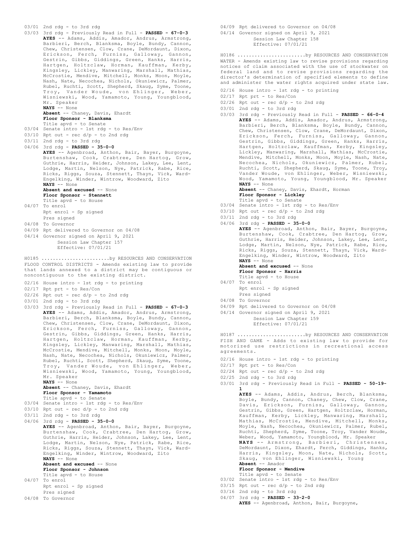```
03/01 2nd rdg - to 3rd rdg
03/03 3rd rdg - Previously Read in Full - PASSED - 67-0-3
       AYES -- Adams, Addis, Amador, Andrus, Armstrong,
       Barbieri, Berch, Blanksma, Boyle, Bundy, Cannon,
       Chew, Christensen, Clow, Crane, DeMordaunt, Dixon,
       Erickson, Ferch, Furniss, Galloway, Gannon,
       Gestrin, Gibbs, Giddings, Green, Hanks, Harris,
       Hartgen, Holtzclaw, Horman, Kauffman, Kerby,
Kingsley, Lickley, Manwaring, Marshall, Mathias,
       McCrostie, Mendive, Mitchell, Monks, Moon, Moyle,
       Nash, Nate, Necochea, Nichols, Okuniewicz, Palmer,
       Rubel, Ruchti, Scott, Shepherd, Skaug, Syme, Toone,
       Troy, Vander Woude, von Ehlinger, Weber,
       Wisniewski, Wood, Yamamoto, Young, Youngblood,
       Mr. Speaker
       NAYS -- None
       Absent -- Chaney, Davis, Ehardt
       Floor Sponsor - Blanksma
Title apvd - to Senate
03/04 Senate intro - 1st rdg - to Res/Env
03/10 Rpt out - rec d/p - to 2nd rdg
03/11 2nd rdg - to 3rd rdg
04/06 3rd rdg - PASSED - 35-0-0
       AYES -- Agenbroad, Anthon, Bair, Bayer, Burgoyne,
       Burtenshaw, Cook, Crabtree, Den Hartog, Grow,
       Guthrie, Harris, Heider, Johnson, Lakey, Lee, Lent,
Lodge, Martin, Nelson, Nye, Patrick, Rabe, Rice,
Ricks, Riggs, Souza, Stennett, Thayn, Vick, Ward-
       Engelking, Winder, Wintrow, Woodward, Zito
       NAYS -- None
       Absent and excused -- None
       Floor Sponsor - Stennett
       Title apvd - to House
04/07 To enrol
       Rpt enrol - Sp signed
       Pres signed
04/08 To Governor
04/09 Rpt delivered to Governor on 04/08
04/14 Governor signed on April 9, 2021
            Session Law Chapter 157
            Effective: 07/01/21
FLOOD CONTROL DISTRICTS - Amends existing law to provide
that lands annexed to a district may be contiguous or
noncontiguous to the existing district.
02/16 House intro - 1st rdg - to printing
02/17 Rpt prt - to Res/Con
02/26 Rpt out - rec d/p - to 2nd rdg
03/01 2nd rdg - to 3rd rdg
03/03 3rd rdg - Previously Read in Full - PASSED - 67-0-3
       AYES -- Adams, Addis, Amador, Andrus, Armstrong,
       Barbieri, Berch, Blanksma, Boyle, Bundy, Cannon,
       Chew, Christensen, Clow, Crane, DeMordaunt, Dixon,
       Erickson, Ferch, Furniss, Galloway, Gannon,
       Gestrin, Gibbs, Giddings, Green, Hanks, Harris,
       Hartgen, Holtzclaw, Horman, Kauffman, Kerby,
Kingsley, Lickley, Manwaring, Marshall, Mathias,
       McCrostie, Mendive, Mitchell, Monks, Moon, Moyle,
Nash, Nate, Necochea, Nichols, Okuniewicz, Palmer,
       Rubel, Ruchti, Scott, Shepherd, Skaug, Syme, Toone,
       Troy, Vander Woude, von Ehlinger, Weber,
       Wisniewski, Wood, Yamamoto, Young, Youngblood,
       Mr. Speaker
       NAYS -- None
       Absent -- Chaney, Davis, Ehardt
       Floor Sponsor - Yamamoto
Title apvd - to Senate
03/04 Senate intro - 1st rdg - to Res/Env
03/10 Rpt out - rec d/p - to 2nd rdg
03/11 2nd rdg - to 3rd rdg
04/06 3rd rdg - PASSED - 35-0-0
       AYES -- Agenbroad, Anthon, Bair, Bayer, Burgoyne,
       Burtenshaw, Cook, Crabtree, Den Hartog, Grow,
       Guthrie, Harris, Heider, Johnson, Lakey, Lee, Lent,
Lodge, Martin, Nelson, Nye, Patrick, Rabe, Rice,
Ricks, Riggs, Souza, Stennett, Thayn, Vick, Ward-
       Engelking, Winder, Wintrow, Woodward, Zito
       NAYS -- None
       Absent and excused -- None
       Floor Sponsor - Johnson
       Title apvd - to House
04/07 To enrol
       Rpt enrol - Sp signed
       Pres signed
04/08 To Governor
H0185 ........................by RESOURCES AND CONSERVATION
```
04/09 Rpt delivered to Governor on 04/08 04/14 Governor signed on April 9, 2021 Session Law Chapter 158 Effective: 07/01/21

WATER - Amends existing law to revise provisions regarding notices of claim associated with the use of stockwater on federal land and to revise provisions regarding the director's determination of specified elements to define and administer the water rights acquired under state law. H0186 ........................by RESOURCES AND CONSERVATION

- 02/16 House intro 1st rdg to printing
- 02/17 Rpt prt to Res/Con
- $02/26$  Rpt out rec d/p to 2nd rdg
- 03/01 2nd rdg to 3rd rdg
- 03/03 3rd rdg Previously Read in Full **PASSED 66-0-4 AYES** -- Adams, Addis, Amador, Andrus, Armstrong, Barbieri, Berch, Blanksma, Boyle, Bundy, Cannon, Chew, Christensen, Clow, Crane, DeMordaunt, Dixon, Erickson, Ferch, Furniss, Galloway, Gannon, Gestrin, Gibbs, Giddings, Green, Hanks, Harris, Hartgen, Holtzclaw, Kauffman, Kerby, Kingsley, Lickley, Manwaring, Marshall, Mathias, McCrostie, Mendive, Mitchell, Monks, Moon, Moyle, Nash, Nate, Necochea, Nichols, Okuniewicz, Palmer, Rubel, Ruchti, Scott, Shepherd, Skaug, Syme, Toone, Troy, Vander Woude, von Ehlinger, Weber, Wisniewski, Wood, Yamamoto, Young, Youngblood, Mr. Speaker **NAYS** -- None

**Absent** -- Chaney, Davis, Ehardt, Horman **Floor Sponsor - Lickley**

Title apvd - to Senate

- 03/04 Senate intro 1st rdg to Res/Env
- $03/10$  Rpt out rec  $d/p$  to 2nd rdg
- 03/11 2nd rdg to 3rd rdg
- 04/06 3rd rdg **PASSED 35-0-0**

**AYES** -- Agenbroad, Anthon, Bair, Bayer, Burgoyne, Burtenshaw, Cook, Crabtree, Den Hartog, Grow, Guthrie, Harris, Heider, Johnson, Lakey, Lee, Lent, Lodge, Martin, Nelson, Nye, Patrick, Rabe, Rice, Ricks, Riggs, Souza, Stennett, Thayn, Vick, Ward-Engelking, Winder, Wintrow, Woodward, Zito **NAYS** -- None

**Absent and excused** -- None

**Floor Sponsor - Harris**

- Title apvd to House 04/07 To enrol Rpt enrol - Sp signed
- Pres signed
- 04/08 To Governor
- 04/09 Rpt delivered to Governor on 04/08
- 04/14 Governor signed on April 9, 2021 Session Law Chapter 159 Effective: 07/01/21

FISH AND GAME - Adds to existing law to provide for motorized use restrictions in recreational access agreements. H0187 ........................by RESOURCES AND CONSERVATION

- 02/16 House intro 1st rdg to printing
- 02/17 Rpt prt to Res/Con
- $02/24$  Rpt out rec  $d/p$  to 2nd rdg
- 02/25 2nd rdg to 3rd rdg
- 03/01 3rd rdg Previously Read in Full **PASSED 50-19-**

**1 AYES** -- Adams, Addis, Andrus, Berch, Blanksma, Boyle, Bundy, Cannon, Chaney, Chew, Clow, Crane, Davis, Erickson, Furniss, Galloway, Gannon, Gestrin, Gibbs, Green, Hartgen, Holtzclaw, Horman, Kauffman, Kerby, Lickley, Manwaring, Marshall, Mathias, McCrostie, Mendive, Mitchell, Monks, Moyle, Nash, Necochea, Okuniewicz, Palmer, Rubel, Ruchti, Shepherd, Syme, Toone, Troy, Vander Woude, Weber, Wood, Yamamoto, Youngblood, Mr. Speaker **NAYS** -- Armstrong, Barbieri, Christensen, DeMordaunt, Dixon, Ehardt, Ferch, Giddings, Hanks, Harris, Kingsley, Moon, Nate, Nichols, Scott, Skaug, von Ehlinger, Wisniewski, Young **Absent** -- Amador **Floor Sponsor - Mendive**

Title apvd - to Senate

- 03/02 Senate intro 1st rdg to Res/Env
- $03/15$  Rpt out rec  $d/p$  to 2nd rdg
- 03/16 2nd rdg to 3rd rdg
- 04/07 3rd rdg **PASSED 33-2-0**
	- **AYES** -- Agenbroad, Anthon, Bair, Burgoyne,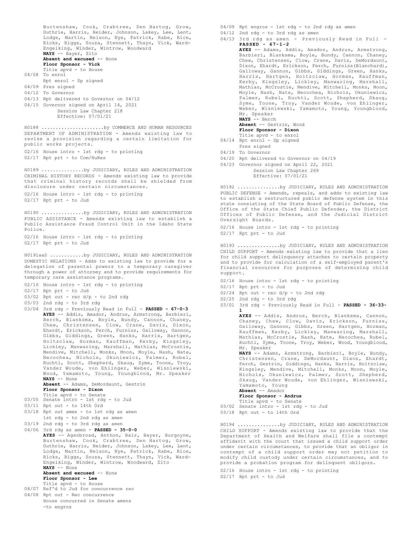Burtenshaw, Cook, Crabtree, Den Hartog, Grow, Guthrie, Harris, Heider, Johnson, Lakey, Lee, Lent, Lodge, Martin, Nelson, Nye, Patrick, Rabe, Rice, Ricks, Riggs, Souza, Stennett, Thayn, Vick, Ward-Engelking, Winder, Wintrow, Woodward **NAYS** -- Bayer, Zito **Absent and excused** -- None **Floor Sponsor - Vick** Title apvd - to House 04/08 To enrol Rpt enrol - Sp signed 04/09 Pres signed 04/12 To Governor 04/13 Rpt delivered to Governor on 04/12 04/15 Governor signed on April 14, 2021 Session Law Chapter 218 Effective: 07/01/21 DEPARTMENT OF ADMINISTRATION - Amends existing law to revise a provision regarding a certain limitation for public works projects. 02/16 House intro - 1st rdg - to printing 02/17 Rpt prt - to Com/HuRes H0188 ......................by COMMERCE AND HUMAN RESOURCES CRIMINAL HISTORY RECORDS - Amends existing law to provide that criminal history records shall be shielded from disclosure under certain circumstances. 02/16 House intro - 1st rdg - to printing 02/17 Rpt prt - to Jud H0189 ...............by JUDICIARY, RULES AND ADMINISTRATION PUBLIC ASSISTANCE - Amends existing law to establish a Public Assistance Fraud Control Unit in the Idaho State Police. 02/16 House intro - 1st rdg - to printing 02/17 Rpt prt - to Jud H0190 ...............by JUDICIARY, RULES AND ADMINISTRATION DOMESTIC RELATIONS - Adds to existing law to provide for a delegation of parental powers to a temporary caregiver through a power of attorney and to provide requirements for temporary care assistance programs. 02/16 House intro - 1st rdg - to printing 02/17 Rpt prt - to Jud 03/02 Rpt out - rec d/p - to 2nd rdg 03/03 2nd rdg - to 3rd rdg 03/04 3rd rdg - Previously Read in Full - **PASSED - 67-0-3 AYES** -- Addis, Amador, Andrus, Armstrong, Barbieri, Berch, Blanksma, Boyle, Bundy, Cannon, Chaney, Chew, Christensen, Clow, Crane, Davis, Dixon, Ehardt, Erickson, Ferch, Furniss, Galloway, Gannon, Gibbs, Giddings, Green, Hanks, Harris, Hartgen, Holtzclaw, Horman, Kauffman, Kerby, Kingsley, Lickley, Manwaring, Marshall, Mathias, McCrostie, Mendive, Mitchell, Monks, Moon, Moyle, Nash, Nate, Necochea, Nichols, Okuniewicz, Palmer, Rubel, Ruchti, Scott, Shepherd, Skaug, Syme, Toone, Troy, Vander Woude, von Ehlinger, Weber, Wisniewski, Wood, Yamamoto, Young, Youngblood, Mr. Speaker **NAYS** -- None **Absent** -- Adams, DeMordaunt, Gestrin **Floor Sponsor - Dixon** Title apvd - to Senate 03/05 Senate intro - 1st rdg - to Jud 03/11 Rpt out - to 14th Ord 03/18 Rpt out amen - to 1st rdg as amen 1st rdg - to 2nd rdg as amen 03/19 2nd rdg - to 3rd rdg as amen 04/06 3rd rdg as amen - **PASSED - 35-0-0 AYES** -- Agenbroad, Anthon, Bair, Bayer, Burgoyne, Burtenshaw, Cook, Crabtree, Den Hartog, Grow, Guthrie, Harris, Heider, Johnson, Lakey, Lee, Lent, Lodge, Martin, Nelson, Nye, Patrick, Rabe, Rice, Ricks, Riggs, Souza, Stennett, Thayn, Vick, Ward-Engelking, Winder, Wintrow, Woodward, Zito **NAYS** -- None **Absent and excused** -- None **Floor Sponsor - Lee** Title apvd - to House 04/07 Ref'd to Jud for concurrence rec 04/08 Rpt out - Rec concurrence House concurred in Senate amens -to engros H0191aaS ............by JUDICIARY, RULES AND ADMINISTRATION 04/09 Rpt engros - 1st rdg - to 2nd rdg as amen 04/12 2nd rdg - to 3rd rdg as amen 04/13 3rd rdg as amen - Previously Read in Full - **PASSED - 67-1-2 AYES** -- Adams, Addis, Amador, Andrus, Armstrong, Barbieri, Blanksma, Boyle, Bundy, Cannon, Chaney, Chew, Christensen, Clow, Crane, Davis, DeMordaunt, Dixon, Ehardt, Erickson, Ferch, Furniss(Blanchard), Galloway, Gannon, Gibbs, Giddings, Green, Hanks, Harris, Hartgen, Holtzclaw, Horman, Kauffman, Kerby, Kingsley, Lickley, Manwaring, Marshall, Mathias, McCrostie, Mendive, Mitchell, Monks, Moon, Moyle, Nash, Nate, Necochea, Nichols, Okuniewicz, Palmer, Rubel, Ruchti, Scott, Shepherd, Skaug, Syme, Toone, Troy, Vander Woude, von Ehlinger, Weber, Wisniewski, Yamamoto, Young, Youngblood, Mr. Speaker **NAYS** -- Berch **Absent** -- Gestrin, Wood **Floor Sponsor - Dixon** Title apvd - to enrol 04/14 Rpt enrol - Sp signed Pres signed 04/19 To Governor 04/20 Rpt delivered to Governor on 04/19 04/23 Governor signed on April 22, 2021 Session Law Chapter 269

PUBLIC DEFENSE - Amends, repeals, and adds to existing law to establish a restructured public defense system in this state consisting of the State Board of Public Defense, the Office of the State Chief Public Defender, the District Offices of Public Defense, and the Judicial District Oversight Boards. H0192 ...............by JUDICIARY, RULES AND ADMINISTRATION

02/16 House intro - 1st rdg - to printing 02/17 Rpt prt - to Jud

Effective: 07/01/21

CHILD SUPPORT - Amends existing law to provide that a lien for child support delinquency attaches to certain property and to provide for calculation of a self-employed parent's financial resources for purposes of determining child support. H0193 ...............by JUDICIARY, RULES AND ADMINISTRATION

- 02/16 House intro 1st rdg to printing
- 02/17 Rpt prt to Jud
- 02/24 Rpt out rec d/p to 2nd rdg
- 02/25 2nd rdg to 3rd rdg
- 03/01 3rd rdg Previously Read in Full **PASSED 36-33- 1**

**AYES** -- Addis, Andrus, Berch, Blanksma, Cannon, Chaney, Chew, Clow, Davis, Erickson, Furniss, Galloway, Gannon, Gibbs, Green, Hartgen, Horman, Kauffman, Kerby, Lickley, Manwaring, Marshall, Mathias, McCrostie, Nash, Nate, Necochea, Rubel, Ruchti, Syme, Toone, Troy, Weber, Wood, Youngblood, Mr. Speaker

**NAYS** -- Adams, Armstrong, Barbieri, Boyle, Bundy, Christensen, Crane, DeMordaunt, Dixon, Ehardt, Ferch, Gestrin, Giddings, Hanks, Harris, Holtzclaw, Kingsley, Mendive, Mitchell, Monks, Moon, Moyle, Nichols, Okuniewicz, Palmer, Scott, Shepherd, Skaug, Vander Woude, von Ehlinger, Wisniewski, Yamamoto, Young **Absent** -- Amador

**Floor Sponsor - Andrus**

- Title apvd to Senate
- 03/02 Senate intro 1st rdg to Jud
- 03/18 Rpt out to 14th Ord

CHILD SUPPORT - Amends existing law to provide that the Department of Health and Welfare shall file a contempt affidavit with the court that issued a child support order under certain circumstances, to provide that an obligor in contempt of a child support order may not petition to modify child custody under certain circumstances, and to provide a probation program for delinquent obligors. H0194 ...............by JUDICIARY, RULES AND ADMINISTRATION

02/16 House intro - 1st rdg - to printing 02/17 Rpt prt - to Jud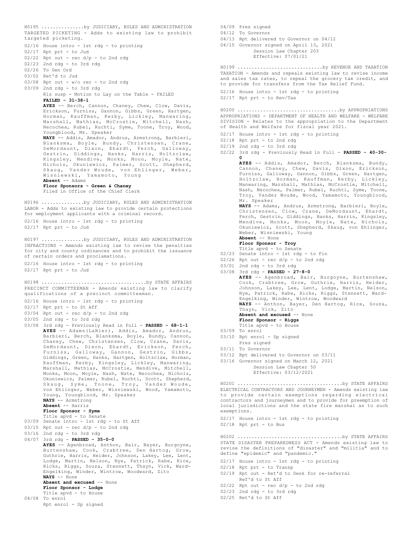```
TARGETED PICKETING - Adds to existing law to prohibit
targeted picketing.
02/16 House intro - 1st rdg - to printing
02/17 Rpt prt - to Jud
02/22 Rpt out - rec d/p - to 2nd rdg
02/23 2nd rdg - to 3rd rdg
02/26 To Gen Ord
03/02 Ret'd to Jud
03/08 Rpt out - w/o rec - to 2nd rdg
03/09 2nd rdg - to 3rd rdg
       Rls susp - Motion to Lay on the Table - FAILED
       FAILED - 31-38-1
       AYES -- Berch, Cannon, Chaney, Chew, Clow, Davis,
       Erickson, Furniss, Gannon, Gibbs, Green, Hartgen,
       Horman, Kauffman, Kerby, Lickley, Manwaring,
       Marshall, Mathias, McCrostie, Mitchell, Nash,
       Necochea, Rubel, Ruchti, Syme, Toone, Troy, Wood,
       Youngblood, Mr. Speaker
NAYS -- Addis, Amador, Andrus, Armstrong, Barbieri,
       Blanksma, Boyle, Bundy, Christensen, Crane,
       DeMordaunt, Dixon, Ehardt, Ferch, Galloway,
       Gestrin, Giddings, Hanks, Harris, Holtzclaw,
Kingsley, Mendive, Monks, Moon, Moyle, Nate,
       Nichols, Okuniewicz, Palmer, Scott, Shepherd,
Skaug, Vander Woude, von Ehlinger, Weber,
       Wisniewski, Yamamoto, Young
       Absent -- Adams
       Floor Sponsors - Green & Chaney
       Filed in Office of the Chief Clerk
H0195 ...............by JUDICIARY, RULES AND ADMINISTRATION
LABOR - Adds to existing law to provide certain protections
for employment applicants with a criminal record.
02/16 House intro - 1st rdg - to printing
02/17 Rpt prt - to Jud
H0196 ...............by JUDICIARY, RULES AND ADMINISTRATION
INFRACTIONS - Amends existing law to revise the penalties
for city and county ordinances and to prohibit the issuance
of certain orders and proclamations.
02/16 House intro - 1st rdg - to printing
02/17 Rpt prt - to Jud
H0197 ...............by JUDICIARY, RULES AND ADMINISTRATION
PRECINCT COMMITTEEMAN - Amends existing law to clarify
qualifications of a precinct committeeman.
02/16 House intro - 1st rdg - to printing
02/17 Rpt prt - to St Aff
03/04 Rpt out - rec d/p - to 2nd rdg
03/05 2nd rdg - to 3rd rdg
03/08 3rd rdg - Previously Read in Full - PASSED - 68-1-1
       AYES -- Adams(LaNier), Addis, Amador, Andrus,
       Barbieri, Berch, Blanksma, Boyle, Bundy, Cannon,
       Chaney, Chew, Christensen, Clow, Crane, Davis,
       DeMordaunt, Dixon, Ehardt, Erickson, Ferch,
Furniss, Galloway, Gannon, Gestrin, Gibbs,
       Giddings, Green, Hanks, Hartgen, Holtzclaw, Horman,
       Kauffman, Kerby, Kingsley, Lickley, Manwaring,
       Marshall, Mathias, McCrostie, Mendive, Mitchell,
       Monks, Moon, Moyle, Nash, Nate, Necochea, Nichols,
       Okuniewicz, Palmer, Rubel, Ruchti, Scott, Shepherd,
Skaug, Syme, Toone, Troy, Vander Woude,
von Ehlinger, Weber, Wisniewski, Wood, Yamamoto,
       Young, Youngblood, Mr. Speaker
NAYS -- Armstrong
       Absent -- Harris
       Floor Sponsor - Syme
Title apvd - to Senate
03/09 Senate intro - 1st rdg - to St Aff
03/15 Rpt out - rec d/p - to 2nd rdg
03/16 2nd rdg - to 3rd rdg
04/07 3rd rdg - PASSED - 35-0-0
       AYES -- Agenbroad, Anthon, Bair, Bayer, Burgoyne,
       Burtenshaw, Cook, Crabtree, Den Hartog, Grow,
       Guthrie, Harris, Heider, Johnson, Lakey, Lee, Lent,
       Lodge, Martin, Nelson, Nye, Patrick, Rabe, Rice,
Ricks, Riggs, Souza, Stennett, Thayn, Vick, Ward-
       Engelking, Winder, Wintrow, Woodward, Zito
       NAYS -- None
       Absent and excused -- None
       Floor Sponsor - Lodge
       Title apvd - to House
04/08 To enrol
       Rpt enrol - Sp signed
H0198 .....................................by STATE AFFAIRS
```

```
04/09 Pres signed
04/12 To Governor
04/13 Rpt delivered to Governor on 04/12
04/15 Governor signed on April 13, 2021
            Session Law Chapter 203
            Effective: 07/01/21
TAXATION - Amends and repeals existing law to revise income
and sales tax rates, to repeal the grocery tax credit, and
to provide for transfers from the Tax Relief Fund.
02/16 House intro - 1st rdg - to printing
02/17 Rpt prt - to Rev/Tax
H0199 ..............................by REVENUE AND TAXATION
APPROPRIATIONS - DEPARTMENT OF HEALTH AND WELFARE - WELFARE
DIVISION - Relates to the appropriation to the Department
of Health and Welfare for fiscal year 2021.
02/17 House intro - 1st rdg - to printing
02/18 Rpt prt - to 2nd rdg
02/19 2nd rdg - to 3rd rdg
02/22 3rd rdg - Previously Read in Full - PASSED - 40-30-
       0
       AYES -- Addis, Amador, Berch, Blanksma, Bundy,
Cannon, Chaney, Chew, Davis, Dixon, Erickson,
       Furniss, Galloway, Gannon, Gibbs, Green, Hartgen,
       Holtzclaw, Horman, Kauffman, Kerby, Lickley,
       Manwaring, Marshall, Mathias, McCrostie, Mitchell,
       Nash, Necochea, Palmer, Rubel, Ruchti, Syme, Toone,
       Troy, Vander Woude, Wood, Yamamoto, Youngblood,
       Mr. Speaker<br>NAYS -- Adams, Andrus, Armstrong, Barbieri, Boyle,<br>Christensen, Clow, Crane, DeMordaunt, Ehardt,
       Ferch, Gestrin, Giddings, Hanks, Harris, Kingsley,
       Mendive, Monks, Moon, Moyle, Nate, Nichols,
       Okuniewicz, Scott, Shepherd, Skaug, von Ehlinger,
       Weber, Wisniewski, Young
       Absent -- None
       Floor Sponsor - Troy
       Title apvd - to Senate
02/23 Senate intro - 1st rdg - to Fin
02/26 Rpt out - rec d/p - to 2nd rdg
03/01 2nd rdg - to 3rd rdg
03/08 3rd rdg - PASSED - 27-8-0
AYES -- Agenbroad, Bair, Burgoyne, Burtenshaw,
       Cook, Crabtree, Grow, Guthrie, Harris, Heider,
Johnson, Lakey, Lee, Lent, Lodge, Martin, Nelson,
       Nye, Patrick, Rabe, Ricks, Riggs, Stennett, Ward-
       Engelking, Winder, Wintrow, Woodward
       NAYS -- Anthon, Bayer, Den Hartog, Rice, Souza,
       Thayn, Vick, Zito
       Absent and excused -- None
       Floor Sponsor - Riggs
       Title apvd - to House
03/09 To enrol
03/10 Rpt enrol - Sp signed
      Pres signed
03/11 To Governor
03/12 Rpt delivered to Governor on 03/11
03/16 Governor signed on March 12, 2021
            Session Law Chapter 50
            Effective: 03/12/2021
H0200 ....................................by APPROPRIATIONS
ELECTRICAL CONTRACTORS AND JOURNEYMEN - Amends existing law
to provide certain exemptions regarding electrical
contractors and journeymen and to provide for preemption of
local jurisdictions and the state fire marshal as to such
exemptions.
02/17 House intro - 1st rdg - to printing
02/18 Rpt prt - to Bus
H0201 .....................................by STATE AFFAIRS
STATE DISASTER PREPAREDNESS ACT - Amends existing law to
revise the definitions of "disaster" and "militia" and to
define "epidemic" and "pandemic."
02/17 House intro - 1st rdg - to printing
02/18 Rpt prt - to Transp
02/19 Rpt out - Ret'd to Desk for re-referral
H0202 .....................................by STATE AFFAIRS
```
- Ref'd to St Aff
- $02/22$  Rpt out rec  $d/p$  to 2nd rdg
- 02/23 2nd rdg to 3rd rdg
- 02/25 Ret'd to St Aff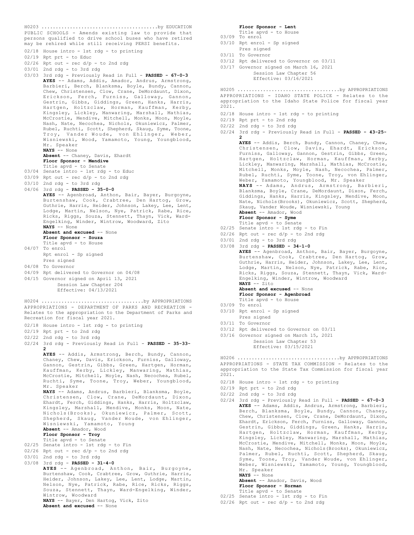PUBLIC SCHOOLS - Amends existing law to provide that persons qualified to drive school buses who have retired may be rehired while still receiving PERSI benefits. 02/18 House intro - 1st rdg - to printing 02/19 Rpt prt - to Educ  $02/26$  Rpt out - rec  $d/p$  - to 2nd rdg 03/01 2nd rdg - to 3rd rdg 03/03 3rd rdg - Previously Read in Full - **PASSED - 67-0-3 AYES** -- Adams, Addis, Amador, Andrus, Armstrong, Barbieri, Berch, Blanksma, Boyle, Bundy, Cannon, Chew, Christensen, Clow, Crane, DeMordaunt, Dixon, Erickson, Ferch, Furniss, Galloway, Gannon, Gestrin, Gibbs, Giddings, Green, Hanks, Harris, Hartgen, Holtzclaw, Horman, Kauffman, Kerby, Kingsley, Lickley, Manwaring, Marshall, Mathias, McCrostie, Mendive, Mitchell, Monks, Moon, Moyle, Nash, Nate, Necochea, Nichols, Okuniewicz, Palmer, Rubel, Ruchti, Scott, Shepherd, Skaug, Syme, Toone, Troy, Vander Woude, von Ehlinger, Weber, Wisniewski, Wood, Yamamoto, Young, Youngblood, Mr. Speaker **NAYS** -- None **Absent** -- Chaney, Davis, Ehardt **Floor Sponsor - Mendive** Title apvd - to Senate 03/04 Senate intro - 1st rdg - to Educ 03/09 Rpt out - rec  $d/p - t$ o 2nd rdg 03/10 2nd rdg - to 3rd rdg 04/06 3rd rdg - **PASSED - 35-0-0** AYES -- Agenbroad, Anthon, Bair, Bayer, Burgoyne, Burtenshaw, Cook, Crabtree, Den Hartog, Grow, Guthrie, Harris, Heider, Johnson, Lakey, Lee, Lent, Lodge, Martin, Nelson, Nye, Patrick, Rabe, Rice, Ricks, Riggs, Souza, Stennett, Thayn, Vick, Ward-Engelking, Winder, Wintrow, Woodward, Zito **NAYS** -- None Absent and excused -- None **Floor Sponsor - Souza** Title apvd - to House 04/07 To enrol Rpt enrol - Sp signed Pres signed 04/08 To Governor 04/09 Rpt delivered to Governor on 04/08 04/15 Governor signed on April 13, 2021 Session Law Chapter 204 Effective: 04/13/2021 APPROPRIATIONS - DEPARTMENT OF PARKS AND RECREATION - Relates to the appropriation to the Department of Parks and Recreation for fiscal year 2021. 02/18 House intro - 1st rdg - to printing 02/19 Rpt prt - to 2nd rdg 02/22 2nd rdg - to 3rd rdg 02/24 3rd rdg - Previously Read in Full - **PASSED - 35-33- 2 AYES** -- Addis, Armstrong, Berch, Bundy, Cannon, Chaney, Chew, Davis, Erickson, Furniss, Galloway, Gannon, Gestrin, Gibbs, Green, Hartgen, Horman, Kauffman, Kerby, Lickley, Manwaring, Mathias, McCrostie, Mitchell, Moyle, Nash, Necochea, Rubel, Ruchti, Syme, Toone, Troy, Weber, Youngblood, Mr. Speaker **NAYS** -- Adams, Andrus, Barbieri, Blanksma, Boyle, Christensen, Clow, Crane, DeMordaunt, Dixon, Ehardt, Ferch, Giddings, Hanks, Harris, Holtzclaw, Kingsley, Marshall, Mendive, Monks, Moon, Nate, Nichols(Brooks), Okuniewicz, Palmer, Scott, Shepherd, Skaug, Vander Woude, von Ehlinger, Wisniewski, Yamamoto, Young **Absent** -- Amador, Wood **Floor Sponsor - Troy** Title apvd - to Senate 02/25 Senate intro - 1st rdg - to Fin  $02/26$  Rpt out - rec  $d/p$  - to 2nd rdg 03/01 2nd rdg - to 3rd rdg 03/08 3rd rdg - **PASSED - 31-4-0 AYES** -- Agenbroad, Anthon, Bair, Burgoyne, Burtenshaw, Cook, Crabtree, Grow, Guthrie, Harris, Heider, Johnson, Lakey, Lee, Lent, Lodge, Martin, Nelson, Nye, Patrick, Rabe, Rice, Ricks, Riggs, Souza, Stennett, Thayn, Ward-Engelking, Winder, Wintrow, Woodward **NAYS** -- Bayer, Den Hartog, Vick, Zito **Absent and excused** -- None H0204 ....................................by APPROPRIATIONS

H0203 .........................................by EDUCATION

**Floor Sponsor - Lent** Title apvd - to House 03/09 To enrol 03/10 Rpt enrol - Sp signed

- Pres signed 03/11 To Governor
- 03/12 Rpt delivered to Governor on 03/11
- 03/17 Governor signed on March 16, 2021 Session Law Chapter 56 Effective: 03/16/2021

APPROPRIATIONS - IDAHO STATE POLICE - Relates to the appropriation to the Idaho State Police for fiscal year 2021. H0205 ....................................by APPROPRIATIONS

- 02/18 House intro 1st rdg to printing
- 02/19 Rpt prt to 2nd rdg
- 02/22 2nd rdg to 3rd rdg
- 02/24 3rd rdg Previously Read in Full **PASSED 43-25- 2**

**AYES** -- Addis, Berch, Bundy, Cannon, Chaney, Chew, Christensen, Clow, Davis, Ehardt, Erickson, Furniss, Galloway, Gannon, Gestrin, Gibbs, Green, Hartgen, Holtzclaw, Horman, Kauffman, Kerby, Lickley, Manwaring, Marshall, Mathias, McCrostie, Mitchell, Monks, Moyle, Nash, Necochea, Palmer, Rubel, Ruchti, Syme, Toone, Troy, von Ehlinger, Weber, Yamamoto, Youngblood, Mr. Speaker **NAYS** -- Adams, Andrus, Armstrong, Barbieri, Blanksma, Boyle, Crane, DeMordaunt, Dixon, Ferch, Giddings, Hanks, Harris, Kingsley, Mendive, Moon,

Nate, Nichols(Brooks), Okuniewicz, Scott, Shepherd, Skaug, Vander Woude, Wisniewski, Young **Absent** -- Amador, Wood

#### **Floor Sponsor - Syme**

- Title apvd to Senate 02/25 Senate intro 1st rdg to Fin
- 
- $02/26$  Rpt out rec d/p to 2nd rdg
- 03/01 2nd rdg to 3rd rdg
- 03/08 3rd rdg **PASSED 34-1-0 AYES** -- Agenbroad, Anthon, Bair, Bayer, Burgoyne, Burtenshaw, Cook, Crabtree, Den Hartog, Grow, Guthrie, Harris, Heider, Johnson, Lakey, Lee, Lent, Lodge, Martin, Nelson, Nye, Patrick, Rabe, Rice, Ricks, Riggs, Souza, Stennett, Thayn, Vick, Ward-Engelking, Winder, Wintrow, Woodward **NAYS** -- Zito Absent and excused -- None

**Floor Sponsor - Agenbroad** Title apvd - to House

- 03/09 To enrol
- 03/10 Rpt enrol Sp signed
- Pres signed
- 03/11 To Governor
- 03/12 Rpt delivered to Governor on 03/11
- 03/16 Governor signed on March 15, 2021 Session Law Chapter 53 Effective: 03/15/2021

APPROPRIATIONS - STATE TAX COMMISSION - Relates to the appropriation to the State Tax Commission for fiscal year  $2021.$ H0206 ....................................by APPROPRIATIONS

- 02/18 House intro 1st rdg to printing
- 02/19 Rpt prt to 2nd rdg
- 02/22 2nd rdg to 3rd rdg
- 02/24 3rd rdg Previously Read in Full **PASSED 67-0-3 AYES** -- Adams, Addis, Andrus, Armstrong, Barbieri, Berch, Blanksma, Boyle, Bundy, Cannon, Chaney, Chew, Christensen, Clow, Crane, DeMordaunt, Dixon, Ehardt, Erickson, Ferch, Furniss, Galloway, Gannon, Gestrin, Gibbs, Giddings, Green, Hanks, Harris, Hartgen, Holtzclaw, Horman, Kauffman, Kerby, Kingsley, Lickley, Manwaring, Marshall, Mathias, McCrostie, Mendive, Mitchell, Monks, Moon, Moyle, Nash, Nate, Necochea, Nichols(Brooks), Okuniewicz, Palmer, Rubel, Ruchti, Scott, Shepherd, Skaug, Syme, Toone, Troy, Vander Woude, von Ehlinger, Weber, Wisniewski, Yamamoto, Young, Youngblood, Mr. Speaker **NAYS** -- None **Absent** -- Amador, Davis, Wood

**Floor Sponsor - Horman**

- 
- Title apvd to Senate 02/25 Senate intro 1st rdg to Fin
- $02/26$  Rpt out rec  $d/p$  to 2nd rdg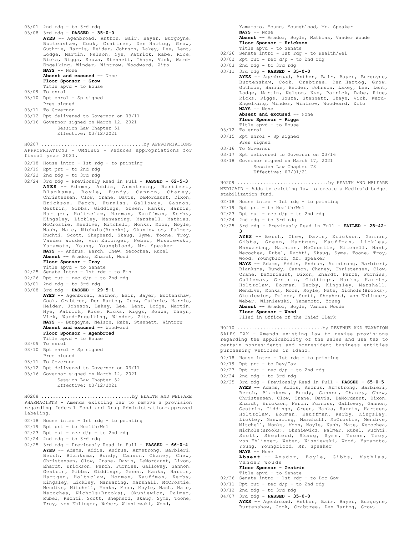```
03/01 2nd rdg - to 3rd rdg
03/08 3rd rdg - PASSED - 35-0-0
AYES -- Agenbroad, Anthon, Bair, Bayer, Burgoyne,
      Burtenshaw, Cook, Crabtree, Den Hartog, Grow,
      Guthrie, Harris, Heider, Johnson, Lakey, Lee, Lent,
      Lodge, Martin, Nelson, Nye, Patrick, Rabe, Rice,
      Ricks, Riggs, Souza, Stennett, Thayn, Vick, Ward-
      Engelking, Winder, Wintrow, Woodward, Zito
      NAYS -- None
      Absent and excused -- None
      Floor Sponsor - Grow
      Title apvd - to House
03/09 To enrol
03/10 Rpt enrol - Sp signed
      Pres signed
03/11 To Governor
03/12 Rpt delivered to Governor on 03/11
03/16 Governor signed on March 12, 2021
           Session Law Chapter 51
           Effective: 03/12/2021
APPROPRIATIONS - OMNIBUS - Reduces appropriations for
fiscal year 2021.
02/18 House intro - 1st rdg - to printing
02/19 Rpt prt - to 2nd rdg
02/22 2nd rdg - to 3rd rdg
02/24 3rd rdg - Previously Read in Full - PASSED - 62-5-3
      AYES -- Adams, Addis, Armstrong, Barbieri,
      Blanksma, Boyle, Bundy, Cannon, Chaney,
      Christensen, Clow, Crane, Davis, DeMordaunt, Dixon,
      Erickson, Ferch, Furniss, Galloway, Gannon,
      Gestrin, Gibbs, Giddings, Green, Hanks, Harris,
      Hartgen, Holtzclaw, Horman, Kauffman, Kerby,
      Kingsley, Lickley, Manwaring, Marshall, Mathias,
      McCrostie, Mendive, Mitchell, Monks, Moon, Moyle,
      Nash, Nate, Nichols(Brooks), Okuniewicz, Palmer,
      Ruchti, Scott, Shepherd, Skaug, Syme, Toone, Troy,
      Vander Woude, von Ehlinger, Weber, Wisniewski,
      Yamamoto, Young, Youngblood, Mr. Speaker
      NAYS -- Andrus, Berch, Chew, Necochea, Rubel
      Absent -- Amador, Ehardt, Wood
      Floor Sponsor - Troy
      Title apvd - to Senate
02/25 Senate intro - 1st rdg - to Fin
02/26 Rpt out - rec d/p - to 2nd rdg
03/01 2nd rdg - to 3rd rdg
03/08 3rd rdg - PASSED - 29-5-1
      AYES -- Agenbroad, Anthon, Bair, Bayer, Burtenshaw,
      Cook, Crabtree, Den Hartog, Grow, Guthrie, Harris,
      Heider, Johnson, Lakey, Lee, Lent, Lodge, Martin,
      Nye, Patrick, Rice, Ricks, Riggs, Souza, Thayn,
      Vick, Ward-Engelking, Winder, Zito
      NAYS -- Burgoyne, Nelson, Rabe, Stennett, Wintrow
      Absent and excused -- Woodward
      Floor Sponsor - Agenbroad
      Title apvd - to House
03/09 To enrol
03/10 Rpt enrol - Sp signed
     Pres signed
03/11 To Governor
03/12 Rpt delivered to Governor on 03/11
03/16 Governor signed on March 12, 2021
          Session Law Chapter 52
           Effective: 03/12/2021
H0207 ....................................by APPROPRIATIONS
PHARMACISTS - Amends existing law to remove a provision
regarding federal Food and Drug Administration-approved
labeling.
02/18 House intro - 1st rdg - to printing
02/19 Rpt prt - to Health/Wel
02/23 Rpt out - rec d/p - to 2nd rdg
02/24 2nd rdg - to 3rd rdg
02/25 3rd rdg - Previously Read in Full - PASSED - 66-0-4
      AYES -- Adams, Addis, Andrus, Armstrong, Barbieri,
      Berch, Blanksma, Bundy, Cannon, Chaney, Chew,
       Christensen, Clow, Crane, Davis, DeMordaunt, Dixon,
Ehardt, Erickson, Ferch, Furniss, Galloway, Gannon,
      Gestrin, Gibbs, Giddings, Green, Hanks, Harris,
      Hartgen, Holtzclaw, Horman, Kauffman, Kerby,
      Kingsley, Lickley, Manwaring, Marshall, McCrostie,
      Mendive, Mitchell, Monks, Moon, Moyle, Nash, Nate,
      Necochea, Nichols(Brooks), Okuniewicz, Palmer,
H0208 ................................by HEALTH AND WELFARE
```
Rubel, Ruchti, Scott, Shepherd, Skaug, Syme, Toone, Troy, von Ehlinger, Weber, Wisniewski, Wood,

Yamamoto, Young, Youngblood, Mr. Speaker **NAYS** -- None **Absent** -- Amador, Boyle, Mathias, Vander Woude **Floor Sponsor - Erickson** Title apvd - to Senate 02/26 Senate intro - 1st rdg - to Health/Wel  $03/02$  Rpt out - rec  $d/p$  - to 2nd rdg 03/03 2nd rdg - to 3rd rdg 03/11 3rd rdg - **PASSED - 35-0-0 AYES** -- Agenbroad, Anthon, Bair, Bayer, Burgoyne, Burtenshaw, Cook, Crabtree, Den Hartog, Grow, Guthrie, Harris, Heider, Johnson, Lakey, Lee, Lent, Lodge, Martin, Nelson, Nye, Patrick, Rabe, Rice, Ricks, Riggs, Souza, Stennett, Thayn, Vick, Ward-Engelking, Winder, Wintrow, Woodward, Zito **NAYS** -- None **Absent and excused** -- None **Floor Sponsor - Riggs** Title apvd - to House 03/12 To enrol 03/15 Rpt enrol - Sp signed Pres signed 03/16 To Governor 03/17 Rpt delivered to Governor on 03/16

03/18 Governor signed on March 17, 2021 Session Law Chapter 73

Effective: 07/01/21

MEDICAID - Adds to existing law to create a Medicaid budget stabilization fund. H0209 ................................by HEALTH AND WELFARE

- 02/18 House intro 1st rdg to printing
- 02/19 Rpt prt to Health/Wel
- $02/23$  Rpt out rec  $d/p$  to 2nd rdg
- $02/24$  2nd rdg to 3rd rdg
- 02/25 3rd rdg Previously Read in Full **FAILED 25-42- 3**

**AYES** -- Berch, Chew, Davis, Erickson, Gannon, Gibbs, Green, Hartgen, Kauffman, Lickley, Manwaring, Mathias, McCrostie, Mitchell, Nash, Necochea, Rubel, Ruchti, Skaug, Syme, Toone, Troy, Wood, Youngblood, Mr. Speaker

**NAYS** -- Adams, Addis, Andrus, Armstrong, Barbieri, Blanksma, Bundy, Cannon, Chaney, Christensen, Clow, Crane, DeMordaunt, Dixon, Ehardt, Ferch, Furniss, Galloway, Gestrin, Giddings, Hanks, Harris, Holtzclaw, Horman, Kerby, Kingsley, Marshall, Mendive, Monks, Moon, Moyle, Nate, Nichols(Brooks), Okuniewicz, Palmer, Scott, Shepherd, von Ehlinger, Weber, Wisniewski, Yamamoto, Young **Absent** -- Amador, Boyle, Vander Woude **Floor Sponsor - Wood**

Filed in Office of the Chief Clerk

SALES TAX - Amends existing law to revise provisions regarding the applicability of the sales and use tax to certain nonresidents and nonresident business entities purchasing vehicles in Idaho. H0210 ..............................by REVENUE AND TAXATION

- 02/18 House intro 1st rdg to printing
- 02/19 Rpt prt to Rev/Tax
- $02/23$  Rpt out rec d/p to 2nd rdg
- 02/24 2nd rdg to 3rd rdg
- 02/25 3rd rdg Previously Read in Full **PASSED 65-0-5 AYES** -- Adams, Addis, Andrus, Armstrong, Barbieri, Berch, Blanksma, Bundy, Cannon, Chaney, Chew, Christensen, Clow, Crane, Davis, DeMordaunt, Dixon, Ehardt, Erickson, Ferch, Furniss, Galloway, Gannon, Gestrin, Giddings, Green, Hanks, Harris, Hartgen, Holtzclaw, Horman, Kauffman, Kerby, Kingsley, Lickley, Manwaring, Marshall, McCrostie, Mendive, Mitchell, Monks, Moon, Moyle, Nash, Nate, Necochea, Nichols(Brooks), Okuniewicz, Palmer, Rubel, Ruchti, Scott, Shepherd, Skaug, Syme, Toone, Troy, von Ehlinger, Weber, Wisniewski, Wood, Yamamoto, Young, Youngblood, Mr. Speaker **NAYS** -- None **Absent** -- Amador, Boyle, Gibbs, Mathias, Vander Woude **Floor Sponsor - Gestrin**
	-
- Title apvd to Senate 02/26 Senate intro 1st rdg to Loc Gov
- $03/11$  Rpt out rec  $d/p$  to 2nd rdg
- 03/12 2nd rdg to 3rd rdg
- 04/07 3rd rdg **PASSED 35-0-0 AYES** -- Agenbroad, Anthon, Bair, Bayer, Burgoyne,
	- Burtenshaw, Cook, Crabtree, Den Hartog, Grow,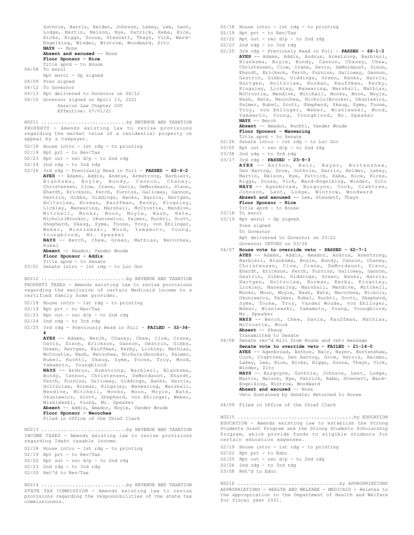Guthrie, Harris, Heider, Johnson, Lakey, Lee, Lent, Lodge, Martin, Nelson, Nye, Patrick, Rabe, Rice, Ricks, Riggs, Souza, Stennett, Thayn, Vick, Ward-Engelking, Winder, Wintrow, Woodward, Zito **NAYS** -- None **Absent and excused** -- None **Floor Sponsor - Rice** Title apvd - to House 04/08 To enrol Rpt enrol - Sp signed 04/09 Pres signed 04/12 To Governor 04/13 Rpt delivered to Governor on 04/12 04/15 Governor signed on April 13, 2021 Session Law Chapter 205 Effective: 07/01/21 PROPERTY - Amends existing law to revise provisions regarding the market value of a residential property on appeal by a taxpayer. 02/18 House intro - 1st rdg - to printing 02/19 Rpt prt - to Rev/Tax 02/23 Rpt out - rec d/p - to 2nd rdg 02/24 2nd rdg - to 3rd rdg 02/26 3rd rdg - Previously Read in Full - **PASSED - 62-6-2 AYES** -- Adams, Addis, Andrus, Armstrong, Barbieri, Blanksma, Boyle, Bundy, Cannon, Chaney, Christensen, Clow, Crane, Davis, DeMordaunt, Dixon, Ehardt, Erickson, Ferch, Furniss, Galloway, Gannon, Gestrin, Gibbs, Giddings, Hanks, Harris, Hartgen, Holtzclaw, Horman, Kauffman, Kerby, Kingsley, Lickley, Manwaring, Marshall, McCrostie, Mendive, Mitchell, Monks, Moon, Moyle, Nash, Nate, Nichols(Brooks), Okuniewicz, Palmer, Ruchti, Scott, Shepherd, Skaug, Syme, Toone, Troy, von Ehlinger, Weber, Wisniewski, Wood, Yamamoto, Young, Youngblood, Mr. Speaker **NAYS** -- Berch, Chew, Green, Mathias, Necochea, Rubel **Absent** -- Amador, Vander Woude **Floor Sponsor - Addis** Title apvd - to Senate 03/01 Senate intro - 1st rdg - to Loc Gov H0211 ..............................by REVENUE AND TAXATION PROPERTY TAXES - Amends existing law to revise provisions regarding the exclusion of certain Medicaid income to a certified family home provider. 02/18 House intro - 1st rdg - to printing 02/19 Rpt prt - to Rev/Tax  $02/23$  Rpt out - rec  $d/p$  - to 2nd rdg 02/24 2nd rdg - to 3rd rdg 02/25 3rd rdg - Previously Read in Full - **FAILED - 32-34- 4 AYES** -- Adams, Berch, Chaney, Chew, Clow, Crane, Davis, Dixon, Erickson, Gannon, Gestrin, Gibbs, Green, Hartgen, Kauffman, Kerby, Lickley, Mathias, McCrostie, Nash, Necochea, Nichols(Brooks), Palmer, Rubel, Ruchti, Skaug, Syme, Toone, Troy, Wood, Yamamoto, Youngblood **NAYS** -- Andrus, Armstrong, Barbieri, Blanksma, Bundy, Cannon, Christensen, DeMordaunt, Ehardt, Ferch, Furniss, Galloway, Giddings, Hanks, Harris, Holtzclaw, Horman, Kingsley, Manwaring, Marshall, Mendive, Mitchell, Monks, Moon, Moyle, Nate, Okuniewicz, Scott, Shepherd, von Ehlinger, Weber, Wisniewski, Young, Mr. Speaker **Absent** -- Addis, Amador, Boyle, Vander Woude **Floor Sponsor - Necochea** Filed in Office of the Chief Clerk H0212 ..............................by REVENUE AND TAXATION INCOME TAXES - Amends existing law to revise provisions regarding Idaho taxable income. 02/18 House intro - 1st rdg - to printing 02/19 Rpt prt - to Rev/Tax 02/22 Rpt out - rec d/p - to 2nd rdg 02/23 2nd rdg - to 3rd rdg 02/25 Ret'd to Rev/Tax H0213 ..............................by REVENUE AND TAXATION H0214 ..............................by REVENUE AND TAXATION 02/18 House intro - 1st rdg - to printing 02/19 Rpt prt - to Rev/Tax  $02/22$  Rpt out - rec  $d/p$  - to 2nd rdg 02/23 2nd rdg - to 3rd rdg **NAYS** -- Berch Title apvd - to House 03/18 To enrol 03/19 Rpt enrol - Sp signed Pres signed To Governor Mr. Speaker Winder, Zito 02/26 2nd rdg - to 3rd rdg 03/08 Ret'd to Educ

STATE TAX COMMISSION - Amends existing law to revise provisions regarding the responsibilities of the state tax commissioners.

02/25 3rd rdg - Previously Read in Full - **PASSED - 66-1-3 AYES** -- Adams, Addis, Andrus, Armstrong, Barbieri, Blanksma, Boyle, Bundy, Cannon, Chaney, Chew, Christensen, Clow, Crane, Davis, DeMordaunt, Dixon, Ehardt, Erickson, Ferch, Furniss, Galloway, Gannon, Gestrin, Gibbs, Giddings, Green, Hanks, Harris, Hartgen, Holtzclaw, Horman, Kauffman, Kerby, Kingsley, Lickley, Manwaring, Marshall, Mathias, McCrostie, Mendive, Mitchell, Monks, Moon, Moyle, Nash, Nate, Necochea, Nichols(Brooks), Okuniewicz, Palmer, Rubel, Scott, Shepherd, Skaug, Syme, Toone, Troy, von Ehlinger, Weber, Wisniewski, Wood, Yamamoto, Young, Youngblood, Mr. Speaker **Absent** -- Amador, Ruchti, Vander Woude **Floor Sponsor - Manwaring** Title apvd - to Senate 02/26 Senate intro - 1st rdg - to Loc Gov  $03/05$  Rpt out - rec  $d/p$  - to 2nd rdg 03/08 2nd rdg - to 3rd rdg 03/17 3rd rdg - **PASSED - 23-9-3 AYES** -- Anthon, Bair, Bayer, Burtenshaw,

Den Hartog, Grow, Guthrie, Harris, Heider, Lakey, Martin, Nelson, Nye, Patrick, Rabe, Rice, Ricks, Riggs, Souza, Vick, Ward-Engelking, Winder, Zito **NAYS** -- Agenbroad, Burgoyne, Cook, Crabtree, Johnson, Lent, Lodge, Wintrow, Woodward Absent and excused -- Lee, Stennett, Thayn **Floor Sponsor - Rice**

Rpt delivered to Governor on 03/22 Governor VETOED on 03/26

### 04/07 **House vote to override veto - PASSED - 62-7-1 AYES** -- Adams, Addis, Amador, Andrus, Armstrong, Barbieri, Blanksma, Boyle, Bundy, Cannon, Chaney, Christensen, Clow, Crane, DeMordaunt, Dixon, Ehardt, Erickson, Ferch, Furniss, Galloway, Gannon, Gestrin, Gibbs, Giddings, Green, Hanks, Harris, Hartgen, Holtzclaw, Horman, Kerby, Kingsley, Lickley, Manwaring, Marshall, Mendive, Mitchell, Monks, Moon, Moyle, Nash, Nate, Necochea, Nichols, Okuniewicz, Palmer, Rubel, Ruchti, Scott, Shepherd, Syme, Toone, Troy, Vander Woude, von Ehlinger, Weber, Wisniewski, Yamamoto, Young, Youngblood, **NAYS** -- Berch, Chew, Davis, Kauffman, Mathias, McCrostie, Wood **Absent** -- Skaug Transmitted to Senate

04/08 Senate rec'd Bill from House and veto message **Senate vote to override veto - FAILED - 21-14-0 AYES** -- Agenbroad, Anthon, Bair, Bayer, Burtenshaw, Cook, Crabtree, Den Hartog, Grow, Harris, Heider, Lakey, Lee, Rice, Ricks, Riggs, Souza, Thayn, Vick, **NAYS** -- Burgoyne, Guthrie, Johnson, Lent, Lodge, Martin, Nelson, Nye, Patrick, Rabe, Stennett, Ward-Engelking, Wintrow, Woodward **Absent and excused** -- None Veto Sustained by Senate; Returned to House 04/09 Filed in Office of the Chief Clerk

EDUCATION - Amends existing law to establish the Strong Students Grant Program and the Strong Students Scholarship Program, which provide funds to eligible students for certain education expenses. H0215 .........................................by EDUCATION

- 02/19 House intro 1st rdg to printing
- 02/22 Rpt prt to Educ
- $02/25$  Rpt out rec d/p to 2nd rdg
- 

APPROPRIATIONS - HEALTH AND WELFARE - MEDICAID - Relates to the appropriation to the Department of Health and Welfare for fiscal year 2021. H0216 ....................................by APPROPRIATIONS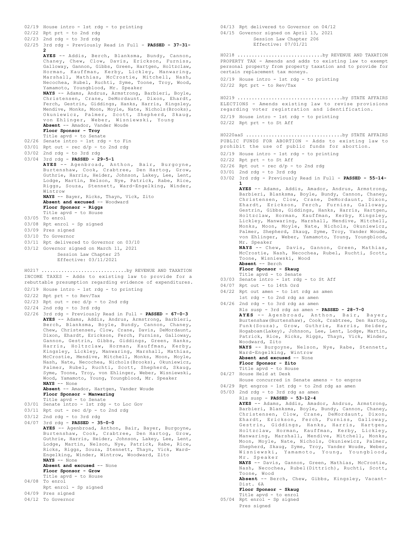02/22 Rpt prt - to 2nd rdg 02/23 2nd rdg - to 3rd rdg 02/25 3rd rdg - Previously Read in Full - **PASSED - 37-31- 2 AYES** -- Addis, Berch, Blanksma, Bundy, Cannon, Chaney, Chew, Clow, Davis, Erickson, Furniss, Galloway, Gannon, Gibbs, Green, Hartgen, Holtzclaw, Horman, Kauffman, Kerby, Lickley, Manwaring, Marshall, Mathias, McCrostie, Mitchell, Nash, Necochea, Rubel, Ruchti, Syme, Toone, Troy, Wood, Yamamoto, Youngblood, Mr. Speaker **NAYS** -- Adams, Andrus, Armstrong, Barbieri, Boyle, Christensen, Crane, DeMordaunt, Dixon, Ehardt, Ferch, Gestrin, Giddings, Hanks, Harris, Kingsley, Mendive, Monks, Moon, Moyle, Nate, Nichols(Brooks), Okuniewicz, Palmer, Scott, Shepherd, Skaug, von Ehlinger, Weber, Wisniewski, Young **Absent** -- Amador, Vander Woude **Floor Sponsor - Troy** Title apvd - to Senate 02/26 Senate intro - 1st rdg - to Fin  $03/01$  Rpt out - rec  $d/p$  - to 2nd rdg 03/02 2nd rdg - to 3rd rdg 03/04 3rd rdg - **PASSED - 29-5-1 AYES** -- Agenbroad, Anthon, Bair, Burgoyne, Burtenshaw, Cook, Crabtree, Den Hartog, Grow, Guthrie, Harris, Heider, Johnson, Lakey, Lee, Lent, Lodge, Martin, Nelson, Nye, Patrick, Rabe, Rice, Riggs, Souza, Stennett, Ward-Engelking, Winder, Wintrow **NAYS** -- Bayer, Ricks, Thayn, Vick, Zito **Absent and excused** -- Woodward **Floor Sponsor - Riggs** Title apvd - to House 03/05 To enrol 03/08 Rpt enrol - Sp signed 03/09 Pres signed 03/10 To Governor 03/11 Rpt delivered to Governor on 03/10 03/12 Governor signed on March 11, 2021 Session Law Chapter 25 Effective: 03/11/2021 INCOME TAXES - Adds to existing law to provide for a rebuttable presumption regarding evidence of expenditures. 02/19 House intro - 1st rdg - to printing 02/22 Rpt prt - to Rev/Tax  $02/23$  Rpt out - rec d/p - to 2nd rdg  $02/24$  2nd rdg - to 3rd rdg 02/26 3rd rdg - Previously Read in Full - **PASSED - 67-0-3 AYES** -- Adams, Addis, Andrus, Armstrong, Barbieri, Berch, Blanksma, Boyle, Bundy, Cannon, Chaney, Chew, Christensen, Clow, Crane, Davis, DeMordaunt, Dixon, Ehardt, Erickson, Ferch, Furniss, Galloway, Gannon, Gestrin, Gibbs, Giddings, Green, Hanks,<br>Harris, Holtzclaw, Horman, Kauffman, Kerby, Harris, Holtzclaw, Horman, Kauffman, Kingsley, Lickley, Manwaring, Marshall, Mathias, McCrostie, Mendive, Mitchell, Monks, Moon, Moyle, Nash, Nate, Necochea, Nichols(Brooks), Okuniewicz, Palmer, Rubel, Ruchti, Scott, Shepherd, Skaug, Syme, Toone, Troy, von Ehlinger, Weber, Wisniewski, Wood, Yamamoto, Young, Youngblood, Mr. Speaker **NAYS** -- None **Absent** -- Amador, Hartgen, Vander Woude **Floor Sponsor - Manwaring** Title apvd - to Senate 03/01 Senate intro - 1st rdg - to Loc Gov  $03/11$  Rpt out - rec  $d/p$  - to 2nd rdg  $03/12$  2nd rdg - to 3rd rdg 04/07 3rd rdg - **PASSED - 35-0-0 AYES** -- Agenbroad, Anthon, Bair, Bayer, Burgoyne, Burtenshaw, Cook, Crabtree, Den Hartog, Grow, Guthrie, Harris, Heider, Johnson, Lakey, Lee, Lent, Lodge, Martin, Nelson, Nye, Patrick, Rabe, Rice, Ricks, Riggs, Souza, Stennett, Thayn, Vick, Ward-Engelking, Winder, Wintrow, Woodward, Zito **NAYS** -- None **Absent and excused** -- None **Floor Sponsor - Grow** Title apvd - to House 04/08 To enrol Rpt enrol - Sp signed 04/09 Pres signed 04/12 To Governor H0217 ..............................by REVENUE AND TAXATION

02/19 House intro - 1st rdg - to printing

04/13 Rpt delivered to Governor on 04/12 04/15 Governor signed on April 13, 2021 Session Law Chapter 206 Effective: 07/01/21 PROPERTY TAX - Amends and adds to existing law to exempt personal property from property taxation and to provide for certain replacement tax moneys. 02/19 House intro - 1st rdg - to printing H0218 ..............................by REVENUE AND TAXATION

02/22 Rpt prt - to Rev/Tax

ELECTIONS - Amends existing law to revise provisions regarding voter registration and identification. 02/19 House intro - 1st rdg - to printing 02/22 Rpt prt - to St Aff H0219 .....................................by STATE AFFAIRS

PUBLIC FUNDS FOR ABORTION - Adds to existing law to prohibit the use of public funds for abortion. H0220aaS ..................................by STATE AFFAIRS

- 02/19 House intro 1st rdg to printing
- 02/22 Rpt prt to St Aff
- $02/26$  Rpt out rec  $d/p$  to 2nd rdg
- 03/01 2nd rdg to 3rd rdg
- 03/02 3rd rdg Previously Read in Full **PASSED 55-14- 1**

**AYES** -- Adams, Addis, Amador, Andrus, Armstrong, Barbieri, Blanksma, Boyle, Bundy, Cannon, Chaney, Christensen, Clow, Crane, DeMordaunt, Dixon, Ehardt, Erickson, Ferch, Furniss, Galloway, Gestrin, Gibbs, Giddings, Hanks, Harris, Hartgen, Holtzclaw, Horman, Kauffman, Kerby, Kingsley, Lickley, Manwaring, Marshall, Mendive, Mitchell, Monks, Moon, Moyle, Nate, Nichols, Okuniewicz, Palmer, Shepherd, Skaug, Syme, Troy, Vander Woude, von Ehlinger, Weber, Yamamoto, Young, Youngblood, Mr. Speaker

**NAYS** -- Chew, Davis, Gannon, Green, Mathias, McCrostie, Nash, Necochea, Rubel, Ruchti, Scott, Toone, Wisniewski, Wood **Absent** -- Berch

- **Floor Sponsor Skaug**
- Title apvd to Senate 03/03 Senate intro - 1st rdg - to St Aff
- 04/07 Rpt out to 14th Ord
- 04/22 Rpt out amen to 1st rdg as amen
- 1st rdg to 2nd rdg as amen
- 04/26 2nd rdg to 3rd rdg as amen Rls susp - 3rd rdg as amen - **PASSED - 28-7-0 AYES** -- Agenbroad, Anthon, Bair, Bayer, Burtenshaw(Burtenshaw), Cook, Crabtree, Den Hartog, Funk(Souza), Grow, Guthrie, Harris, Heider, Hogaboam(Lakey), Johnson, Lee, Lent, Lodge, Martin, Patrick, Rice, Ricks, Riggs, Thayn, Vick, Winder, Woodward, Zito **NAYS** -- Burgoyne, Nelson, Nye, Rabe, Stennett, Ward-Engelking, Wintrow Absent and excused -- None **Floor Sponsor - Zito** Title apvd - to House 04/27 House Held at Desk House concurred in Senate amens - to engros 04/29 Rpt engros - 1st rdg - to 2nd rdg as amen
- 05/03 2nd rdg to 3rd rdg as amen Rls susp - **PASSED - 53-12-4 AYES** -- Adams, Addis, Amador, Andrus, Armstrong, Barbieri, Blanksma, Boyle, Bundy, Cannon, Chaney, Christensen, Clow, Crane, DeMordaunt, Dixon, Ehardt, Erickson, Ferch, Furniss, Galloway, Gestrin, Giddings, Hanks, Harris, Hartgen, Holtzclaw, Horman, Kauffman, Kerby, Lickley, Manwaring, Marshall, Mendive, Mitchell, Monks, Moon, Moyle, Nate, Nichols, Okuniewicz, Palmer, Shepherd, Skaug, Syme, Troy, Vander Woude, Weber, Wisniewski, Yamamoto, Young, Youngblood, Mr. Speaker **NAYS** -- Davis, Gannon, Green, Mathias, McCrostie, Nash, Necochea, Rubel(Dittrich), Ruchti, Scott, Toone, Wood **Absent** -- Berch, Chew, Gibbs, Kingsley, Vacant-Dist. 6A **Floor Sponsor - Skaug** Title apvd - to enrol 05/04 Rpt enrol - Sp signed
	- Pres signed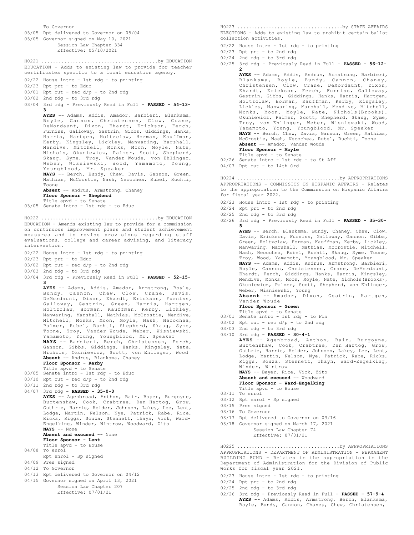To Governor 05/05 Rpt delivered to Governor on 05/04 05/05 Governor signed on May 10, 2021 Session Law Chapter 334 Effective: 05/10/2021 EDUCATION - Adds to existing law to provide for teacher certificates specific to a local education agency. 02/22 House intro - 1st rdg - to printing 02/23 Rpt prt - to Educ  $03/01$  Rpt out - rec d/p - to 2nd rdg 03/02 2nd rdg - to 3rd rdg 03/04 3rd rdg - Previously Read in Full - **PASSED - 54-13- 3 AYES** -- Adams, Addis, Amador, Barbieri, Blanksma, Boyle, Cannon, Christensen, Clow, Crane, DeMordaunt, Dixon, Ehardt, Erickson, Ferch, Furniss, Galloway, Gestrin, Gibbs, Giddings, Hanks, Harris, Hartgen, Holtzclaw, Horman, Kauffman, Kerby, Kingsley, Lickley, Manwaring, Marshall, Mendive, Mitchell, Monks, Moon, Moyle, Nate, Nichols, Okuniewicz, Palmer, Scott, Shepherd, Skaug, Syme, Troy, Vander Woude, von Ehlinger, Weber, Wisniewski, Wood, Yamamoto, Young, Youngblood, Mr. Speaker **NAYS** -- Berch, Bundy, Chew, Davis, Gannon, Green, Mathias, McCrostie, Nash, Necochea, Rubel, Ruchti, Toone **Absent** -- Andrus, Armstrong, Chaney **Floor Sponsor - Shepherd** Title apvd - to Senate 03/05 Senate intro - 1st rdg - to Educ H0221 .........................................by EDUCATION EDUCATION - Amends existing law to provide for a commission on continuous improvement plans and student achievement measures and to revise provisions regarding staff evaluations, college and career advising, and literacy intervention. 02/22 House intro - 1st rdg - to printing 02/23 Rpt prt - to Educ 03/02 Rpt out - rec d/p - to 2nd rdg 03/03 2nd rdg - to 3rd rdg 03/04 3rd rdg - Previously Read in Full - **PASSED - 52-15- 3 AYES** -- Adams, Addis, Amador, Armstrong, Boyle, Bundy, Cannon, Chew, Clow, Crane, Davis, DeMordaunt, Dixon, Ehardt, Erickson, Furniss, Galloway, Gestrin, Green, Harris, Hartgen, Holtzclaw, Horman, Kauffman, Kerby, Lickley, Manwaring, Marshall, Mathias, McCrostie, Mendive, Mitchell, Monks, Moon, Moyle, Nash, Necochea, Palmer, Rubel, Ruchti, Shepherd, Skaug, Syme, Toone, Troy, Vander Woude, Weber, Wisniewski, Yamamoto, Young, Youngblood, Mr. Speaker **NAYS** -- Barbieri, Berch, Christensen, Ferch, Gannon, Gibbs, Giddings, Hanks, Kingsley, Nate, Nichols, Okuniewicz, Scott, von Ehlinger, Wood **Absent** -- Andrus, Blanksma, Chaney **Floor Sponsor - Kerby** Title apvd - to Senate 03/05 Senate intro - 1st rdg - to Educ 03/10 Rpt out - rec d/p - to 2nd rdg 03/11 2nd rdg - to 3rd rdg 04/07 3rd rdg - **PASSED - 35-0-0 AYES** -- Agenbroad, Anthon, Bair, Bayer, Burgoyne, Burtenshaw, Cook, Crabtree, Den Hartog, Grow, Guthrie, Harris, Heider, Johnson, Lakey, Lee, Lent, Lodge, Martin, Nelson, Nye, Patrick, Rabe, Rice, Ricks, Riggs, Souza, Stennett, Thayn, Vick, Ward-Engelking, Winder, Wintrow, Woodward, Zito **NAYS** -- None **Absent and excused** -- None **Floor Sponsor - Lent** Title apvd - to House 04/08 To enrol Rpt enrol - Sp signed 04/09 Pres signed 04/12 To Governor 04/13 Rpt delivered to Governor on 04/12 04/15 Governor signed on April 13, 2021 Session Law Chapter 207 Effective: 07/01/21 H0222 .........................................by EDUCATION

ELECTIONS - Adds to existing law to prohibit certain ballot collection activities. H0223 .....................................by STATE AFFAIRS

02/22 House intro - 1st rdg - to printing

- 02/23 Rpt prt to 2nd rdg
- 02/24 2nd rdg to 3rd rdg
- 02/25 3rd rdg Previously Read in Full **PASSED 56-12- 2**
	- **AYES** -- Adams, Addis, Andrus, Armstrong, Barbieri, Blanksma, Boyle, Bundy, Cannon, Chaney, Christensen, Clow, Crane, DeMordaunt, Dixon, Ehardt, Erickson, Ferch, Furniss, Galloway, Gestrin, Gibbs, Giddings, Hanks, Harris, Hartgen, Holtzclaw, Horman, Kauffman, Kerby, Kingsley, Lickley, Manwaring, Marshall, Mendive, Mitchell, Monks, Moon, Moyle, Nate, Nichols(Brooks), Okuniewicz, Palmer, Scott, Shepherd, Skaug, Syme, Troy, von Ehlinger, Weber, Wisniewski, Wood, Yamamoto, Young, Youngblood, Mr. Speaker **NAYS** -- Berch, Chew, Davis, Gannon, Green, Mathias, McCrostie, Nash, Necochea, Rubel, Ruchti, Toone **Absent** -- Amador, Vander Woude **Floor Sponsor - Moyle** Title apvd - to Senate
- 02/26 Senate intro 1st rdg to St Aff
- 04/07 Rpt out to 14th Ord

APPROPRIATIONS - COMMISSION ON HISPANIC AFFAIRS - Relates to the appropriation to the Commission on Hispanic Affairs for fiscal year 2022. H0224 ....................................by APPROPRIATIONS

- 02/23 House intro 1st rdg to printing
- 02/24 Rpt prt to 2nd rdg
- 02/25 2nd rdg to 3rd rdg
- 02/26 3rd rdg Previously Read in Full **PASSED 35-30- 5**

**AYES** -- Berch, Blanksma, Bundy, Chaney, Chew, Clow, Davis, Erickson, Furniss, Galloway, Gannon, Gibbs, Green, Holtzclaw, Horman, Kauffman, Kerby, Lickley, Manwaring, Marshall, Mathias, McCrostie, Mitchell, Nash, Necochea, Rubel, Ruchti, Skaug, Syme, Toone, Troy, Wood, Yamamoto, Youngblood, Mr. Speaker **NAYS** -- Adams, Addis, Andrus, Armstrong, Barbieri,

Boyle, Cannon, Christensen, Crane, DeMordaunt, Ehardt, Ferch, Giddings, Hanks, Harris, Kingsley, Mendive, Monks, Moon, Moyle, Nate, Nichols(Brooks), Okuniewicz, Palmer, Scott, Shepherd, von Ehlinger, Weber, Wisniewski, Young

**Absent** -- Amador, Dixon, Gestrin, Hartgen, Vander Woude

- **Floor Sponsor Green**
- Title apvd to Senate 03/01 Senate intro - 1st rdg - to Fin
- $03/02$  Rpt out rec  $d/p$  to 2nd rdg
- 
- 03/03 2nd rdg to 3rd rdg

03/10 3rd rdg - **PASSED - 30-4-1 AYES** -- Agenbroad, Anthon, Bair, Burgoyne, Burtenshaw, Cook, Crabtree, Den Hartog, Grow, Guthrie, Harris, Heider, Johnson, Lakey, Lee, Lent, Lodge, Martin, Nelson, Nye, Patrick, Rabe, Ricks, Riggs, Souza, Stennett, Thayn, Ward-Engelking, Winder, Wintrow

**NAYS** -- Bayer, Rice, Vick, Zito **Absent and excused** -- Woodward **Floor Sponsor - Ward-Engelking**

- Title apvd to House
- 03/11 To enrol
- 03/12 Rpt enrol Sp signed
- 03/15 Pres signed
- 03/16 To Governor
- 03/17 Rpt delivered to Governor on 03/16
- 03/18 Governor signed on March 17, 2021 Session Law Chapter 74 Effective: 07/01/21

APPROPRIATIONS - DEPARTMENT OF ADMINISTRATION - PERMANENT BUILDING FUND - Relates to the appropriation to the Department of Administration for the Division of Public Works for fiscal year 2021. H0225 ....................................by APPROPRIATIONS

- 02/23 House intro 1st rdg to printing
- 02/24 Rpt prt to 2nd rdg
- 02/25 2nd rdg to 3rd rdg
- 02/26 3rd rdg Previously Read in Full **PASSED 57-9-4 AYES** -- Adams, Addis, Armstrong, Berch, Blanksma, Boyle, Bundy, Cannon, Chaney, Chew, Christensen,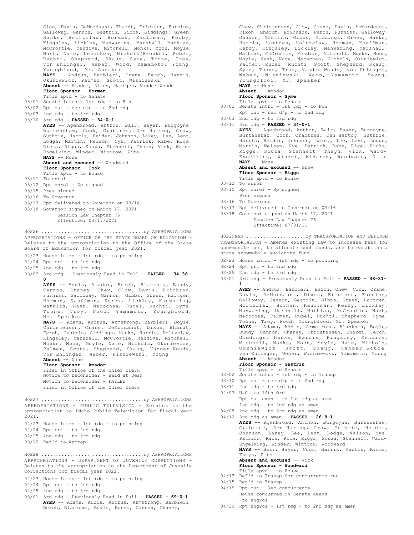Clow, Davis, DeMordaunt, Ehardt, Erickson, Furniss, Galloway, Gannon, Gestrin, Gibbs, Giddings, Green, Hanks, Holtzclaw, Horman, Kauffman, Kerby, Kingsley, Lickley, Manwaring, Marshall, Mathias, McCrostie, Mendive, Mitchell, Monks, Moon, Moyle, Nash, Nate, Necochea, Nichols(Brooks), Rubel, Ruchti, Shepherd, Skaug, Syme, Toone, Troy, von Ehlinger, Weber, Wood, Yamamoto, Young, Youngblood, Mr. Speaker **NAYS** -- Andrus, Barbieri, Crane, Ferch, Harris, Okuniewicz, Palmer, Scott, Wisniewski **Absent** -- Amador, Dixon, Hartgen, Vander Woude **Floor Sponsor - Horman** Title apvd - to Senate 03/01 Senate intro - 1st rdg - to Fin 03/02 Rpt out - rec d/p - to 2nd rdg 03/03 2nd rdg - to 3rd rdg 03/10 3rd rdg - **PASSED - 34-0-1 AYES** -- Agenbroad, Anthon, Bair, Bayer, Burgoyne, Burtenshaw, Cook, Crabtree, Den Hartog, Grow, Guthrie, Harris, Heider, Johnson, Lakey, Lee, Lent, Lodge, Martin, Nelson, Nye, Patrick, Rabe, Rice, Ricks, Riggs, Souza, Stennett, Thayn, Vick, Ward-Engelking, Winder, Wintrow, Zito **NAYS** -- None **Absent and excused** -- Woodward **Floor Sponsor - Cook** Title apvd - to House 03/11 To enrol 03/12 Rpt enrol - Sp signed 03/15 Pres signed 03/16 To Governor 03/17 Rpt delivered to Governor on 03/16 03/18 Governor signed on March 17, 2021 Session Law Chapter 75 Effective: 03/17/2021 APPROPRIATIONS - OFFICE OF THE STATE BOARD OF EDUCATION - Relates to the appropriation to the Office of the State Board of Education for fiscal year 2021. 02/23 House intro - 1st rdg - to printing 02/24 Rpt prt - to 2nd rdg 02/25 2nd rdg - to 3rd rdg 03/02 3rd rdg - Previously Read in Full - **FAILED - 34-36- 0 AYES** -- Addis, Amador, Berch, Blanksma, Bundy, Cannon, Chaney, Chew, Clow, Davis, Erickson, Furniss, Galloway, Gannon, Gibbs, Green, Hartgen, Horman, Kauffman, Kerby, Lickley, Manwaring, Mathias, Nash, Necochea, Rubel, Ruchti, Syme, Toone, Troy, Wood, Yamamoto, Youngblood, Mr. Speaker **NAYS** -- Adams, Andrus, Armstrong, Barbieri, Boyle, Christensen, Crane, DeMordaunt, Dixon, Ehardt, Ferch, Gestrin, Giddings, Hanks, Harris, Holtzclaw, Kingsley, Marshall, McCrostie, Mendive, Mitchell, Monks, Moon, Moyle, Nate, Nichols, Okuniewicz, Palmer, Scott, Shepherd, Skaug, Vander Woude, von Ehlinger, Weber, Wisniewski, Young **Absent** -- None **Floor Sponsor - Amador** Filed in Office of the Chief Clerk Notice to reconsider - Held at Desk Motion to reconsider - FAILED Filed in Office of the Chief Clerk H0226 ....................................by APPROPRIATIONS APPROPRIATIONS - PUBLIC TELEVISION - Relates to the appropriation to Idaho Public Television for fiscal year 2021. 02/23 House intro - 1st rdg - to printing 02/24 Rpt prt - to 2nd rdg 02/25 2nd rdg - to 3rd rdg 03/10 Ret'd to Approp H0227 ....................................by APPROPRIATIONS APPROPRIATIONS - DEPARTMENT OF JUVENILE CORRECTIONS - Relates to the appropriation to the Department of Juvenile Corrections for fiscal year 2022. 02/23 House intro - 1st rdg - to printing 02/24 Rpt prt - to 2nd rdg 02/25 2nd rdg - to 3rd rdg H0228 ....................................by APPROPRIATIONS

03/01 3rd rdg - Previously Read in Full - **PASSED - 69-0-1 AYES** -- Adams, Addis, Andrus, Armstrong, Barbieri, Berch, Blanksma, Boyle, Bundy, Cannon, Chaney,

Chew, Christensen, Clow, Crane, Davis, DeMordaunt, Dixon, Ehardt, Erickson, Ferch, Furniss, Galloway, Gannon, Gestrin, Gibbs, Giddings, Green, Hanks, Harris, Hartgen, Holtzclaw, Horman, Kauffman, Kerby, Kingsley, Lickley, Manwaring, Marshall, Mathias, McCrostie, Mendive, Mitchell, Monks, Moon, Moyle, Nash, Nate, Necochea, Nichols, Okuniewicz, Palmer, Rubel, Ruchti, Scott, Shepherd, Skaug, Syme, Toone, Troy, Vander Woude, von Ehlinger, Weber, Wisniewski, Wood, Yamamoto, Young, Youngblood, Mr. Speaker

**NAYS** -- None **Absent** -- Amador

**Floor Sponsor - Syme**

- Title apvd to Senate
- 03/02 Senate intro 1st rdg to Fin
- Rpt out rec d/p to 2nd rdg 03/03 2nd rdg - to 3rd rdg
- 03/11 3rd rdg **PASSED 34-0-1**

**AYES** -- Agenbroad, Anthon, Bair, Bayer, Burgoyne, Burtenshaw, Cook, Crabtree, Den Hartog, Guthrie, Harris, Heider, Johnson, Lakey, Lee, Lent, Lodge, Martin, Nelson, Nye, Patrick, Rabe, Rice, Ricks, Riggs, Souza, Stennett, Thayn, Vick, Ward-Engelking, Winder, Wintrow, Woodward, Zito **NAYS** -- None **Absent and excused** -- Grow

**Floor Sponsor - Riggs**

- Title apvd to House
- 03/12 To enrol
- 03/15 Rpt enrol Sp signed Pres signed
- 03/16 To Governor
- 03/17 Rpt delivered to Governor on 03/16
- 03/18 Governor signed on March 17, 2021 Session Law Chapter 76

Effective: 07/01/21

TRANSPORTATION - Amends existing law to increase fees for snowmobile use, to allocate such funds, and to establish a state snowmobile avalanche fund. H0229aaS .....................by TRANSPORTATION AND DEFENSE

- 02/23 House intro 1st rdg to printing
- 02/24 Rpt prt to 2nd rdg
- 02/25 2nd rdg to 3rd rdg
- 03/01 3rd rdg Previously Read in Full **PASSED 38-31- 1**

**AYES** -- Andrus, Barbieri, Berch, Chew, Clow, Crane, Davis, DeMordaunt, Dixon, Erickson, Furniss, Galloway, Gannon, Gestrin, Gibbs, Green, Hartgen, Holtzclaw, Horman, Kauffman, Kerby, Lickley, Manwaring, Marshall, Mathias, McCrostie, Nash, Necochea, Palmer, Rubel, Ruchti, Shepherd, Syme, Toone, Troy, Wood, Youngblood, Mr. Speaker **NAYS** -- Adams, Addis, Armstrong, Blanksma, Boyle, Bundy, Cannon, Chaney, Christensen, Ehardt, Ferch,<br>Giddings, Hanks, Harris, Kingsley, Mendive,<br>Mitchell, Monks, Moon, Moyle, Nate, Nichols,<br>Okuniewicz, Scott, Skaug, Vander Woude,<br>von Ehlinger, Weber, Wisniewski, Yamamoto,

- **Absent** -- Amador
- **Floor Sponsor Gestrin**
- Title apvd to Senate 03/02 Senate intro 1st rdg to Transp
- $03/10$  Rpt out rec  $d/p$  to 2nd rdg
- 03/11 2nd rdg to 3rd rdg
- 04/07 U.C. to 14th Ord
	- Rpt out amen to 1st rdg as amen
	- 1st rdg to 2nd rdg as amen
- 04/08 2nd rdg to 3rd rdg as amen

04/12 3rd rdg as amen - **PASSED - 26-8-1 AYES** -- Agenbroad, Anthon, Burgoyne, Burtenshaw, Crabtree, Den Hartog, Grow, Guthrie, Heider, Johnson, Lakey, Lee, Lent, Lodge, Nelson, Nye, Patrick, Rabe, Rice, Riggs, Souza, Stennett, Ward-Engelking, Winder, Wintrow, Woodward **NAYS** -- Bair, Bayer, Cook, Harris, Martin, Ricks, Thayn, Zito **Absent and excused** -- Vick **Floor Sponsor - Woodward** Title apvd - to House

- 04/13 Ref'd to Transp for concurrence rec
- 04/15 Ret'd to Transp
- 04/19 Rpt out Rec concurrence House concurred in Senate amens -to engros
- 04/20 Rpt engros 1st rdg to 2nd rdg as amen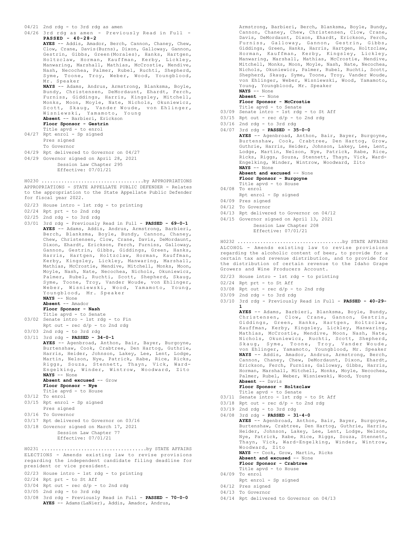04/21 2nd rdg - to 3rd rdg as amen 04/26 3rd rdg as amen - Previously Read in Full - **PASSED - 40-28-2 AYES** -- Addis, Amador, Berch, Cannon, Chaney, Chew, Clow, Crane, Davis(Burns), Dixon, Galloway, Gannon, Gestrin, Gibbs, Green(Morales), Hanks, Hartgen, Holtzclaw, Horman, Kauffman, Kerby, Lickley, Manwaring, Marshall, Mathias, McCrostie, Mendive, Nash, Necochea, Palmer, Rubel, Ruchti, Shepherd, Syme, Toone, Troy, Weber, Wood, Youngblood, Mr. Speaker **NAYS** -- Adams, Andrus, Armstrong, Blanksma, Boyle, Bundy, Christensen, DeMordaunt, Ehardt, Ferch, Furniss, Giddings, Harris, Kingsley, Mitchell, Monks, Moon, Moyle, Nate, Nichols, Okuniewicz, Scott, Skaug, Vander Woude, von Ehlinger, Wisniewski, Yamamoto, Young **Absent** -- Barbieri, Erickson **Floor Sponsor - Gestrin** Title apvd - to enrol 04/27 Rpt enrol - Sp signed Pres signed To Governor 04/29 Rpt delivered to Governor on 04/27 04/29 Governor signed on April 28, 2021 Session Law Chapter 295 Effective: 07/01/21 APPROPRIATIONS - STATE APPELLATE PUBLIC DEFENDER - Relates to the appropriation to the State Appellate Public Defender for fiscal year 2022. 02/23 House intro - 1st rdg - to printing 02/24 Rpt prt - to 2nd rdg 02/25 2nd rdg - to 3rd rdg 03/01 3rd rdg - Previously Read in Full - **PASSED - 69-0-1 AYES** -- Adams, Addis, Andrus, Armstrong, Barbieri, Berch, Blanksma, Boyle, Bundy, Cannon, Chaney, Chew, Christensen, Clow, Crane, Davis, DeMordaunt, Dixon, Ehardt, Erickson, Ferch, Furniss, Galloway, Gannon, Gestrin, Gibbs, Giddings, Green, Hanks, Harris, Hartgen, Holtzclaw, Horman, Kauffman, Kerby, Kingsley, Lickley, Manwaring, Marshall, Mathias, McCrostie, Mendive, Mitchell, Monks, Moon, Moyle, Nash, Nate, Necochea, Nichols, Okuniewicz, Palmer, Rubel, Ruchti, Scott, Shepherd, Skaug, Syme, Toone, Troy, Vander Woude, von Ehlinger, Weber, Wisniewski, Wood, Yamamoto, Young, Youngblood, Mr. Speaker **NAYS** -- None **Absent** -- Amador **Floor Sponsor - Nash** Title apvd - to Senate 03/02 Senate intro - 1st rdg - to Fin Rpt out -  $rec d/p - to 2nd rd$ 03/03 2nd rdg - to 3rd rdg 03/11 3rd rdg - **PASSED - 34-0-1 AYES** -- Agenbroad, Anthon, Bair, Bayer, Burgoyne, Burtenshaw, Cook, Crabtree, Den Hartog, Guthrie, Harris, Heider, Johnson, Lakey, Lee, Lent, Lodge, Martin, Nelson, Nye, Patrick, Rabe, Rice, Ricks, Martin, Neison, Nye, Tacrich, Nazi, Nick, Ward-<br>Riggs, Souza, Stennett, Thayn, Vick, Ward-Engelking, Winder, Wintrow, Woodward, Zito **NAYS** -- None **Absent and excused** -- Grow **Floor Sponsor - Nye** Title apvd - to House 03/12 To enrol 03/15 Rpt enrol - Sp signed Pres signed 03/16 To Governor 03/17 Rpt delivered to Governor on 03/16 03/18 Governor signed on March 17, 2021 Session Law Chapter 77 Effective: 07/01/21 H0230 ....................................by APPROPRIATIONS ELECTIONS - Amends existing law to revise provisions regarding the independent candidate filing deadline for president or vice president. 02/23 House intro - 1st rdg - to printing 02/24 Rpt prt - to St Aff  $03/04$  Rpt out - rec  $d/p$  - to 2nd rdg 03/05 2nd rdg - to 3rd rdg 03/08 3rd rdg - Previously Read in Full - **PASSED - 70-0-0** H0231 .....................................by STATE AFFAIRS

Armstrong, Barbieri, Berch, Blanksma, Boyle, Bundy,<br>Cannon, Chaney, Chew, Christensen, Clow, Crane, Chaney, Chew, Christensen, Clow, Crane, Davis, DeMordaunt, Dixon, Ehardt, Erickson, Ferch, Furniss, Galloway, Gannon, Gestrin, Giddings, Green, Hanks, Harris, Hartgen, Holtzclaw, Horman, Kauffman, Kerby, Kingsley, Lickley, Manwaring, Marshall, Mathias, McCrostie, Mendive, Mitchell, Monks, Moon, Moyle, Nash, Nate, Necochea, Nichols, Okuniewicz, Palmer, Rubel, Ruchti, Scott, Shepherd, Skaug, Syme, Toone, Troy, Vander Woude, von Ehlinger, Weber, Wisniewski, Wood, Yamamoto, Young, Youngblood, Mr. Speaker

**NAYS** -- None **Absent** -- None

**Floor Sponsor - McCrostie** Title apvd - to Senate

- 03/09 Senate intro 1st rdg to St Aff
- $03/15$  Rpt out rec  $d/p$  to 2nd rdg
- $03/16$  2nd rdg to 3rd rdg
- 04/07 3rd rdg **PASSED 35-0-0**

**AYES** -- Agenbroad, Anthon, Bair, Bayer, Burgoyne, Burtenshaw, Cook, Crabtree, Den Hartog, Grow, Guthrie, Harris, Heider, Johnson, Lakey, Lee, Lent, Lodge, Martin, Nelson, Nye, Patrick, Rabe, Rice, Ricks, Riggs, Souza, Stennett, Thayn, Vick, Ward-Engelking, Winder, Wintrow, Woodward, Zito **NAYS** -- None

**Absent and excused** -- None

- **Floor Sponsor Burgoyne**
- Title apvd to House
- 04/08 To enrol
	- Rpt enrol Sp signed
- 04/09 Pres signed
- 04/12 To Governor
- 04/13 Rpt delivered to Governor on 04/12
- 04/15 Governor signed on April 13, 2021

Session Law Chapter 208 Effective: 07/01/21

ALCOHOL - Amends existing law to revise provisions regarding the alcoholic content of beer, to provide for a certain tax and revenue distribution, and to provide for the distribution of certain revenue to the Idaho Grape Growers and Wine Producers Account. H0232 .....................................by STATE AFFAIRS

- 02/23 House intro 1st rdg to printing
- 02/24 Rpt prt to St Aff
- $03/08$  Rpt out rec  $d/p$  to 2nd rdg
- 03/09 2nd rdg to 3rd rdg
- 03/10 3rd rdg Previously Read in Full **PASSED 40-29- 1 AYES** -- Adams, Barbieri, Blanksma, Boyle, Bundy,

Christensen, Clow, Crane, Gannon, Gestrin, Giddings, Green, Hanks, Hartgen, Holtzclaw, Kauffman, Kerby, Kingsley, Lickley, Manwaring, Mathias, McCrostie, Mendive, Moon, Nash, Nate, Nichols, Okuniewicz, Ruchti, Scott, Shepherd, Skaug, Syme, Toone, Troy, Vander Woude, von Ehlinger, Yamamoto, Youngblood, Mr. Speaker **NAYS** -- Addis, Amador, Andrus, Armstrong, Berch, Cannon, Chaney, Chew, DeMordaunt, Dixon, Ehardt, Erickson, Ferch, Furniss, Galloway, Gibbs, Harris, Horman, Marshall, Mitchell, Monks, Moyle, Necochea, Palmer, Rubel, Weber, Wisniewski, Wood, Young **Absent** -- Davis

### **Floor Sponsor - Holtzclaw**

- Title apvd to Senate
- 03/11 Senate intro 1st rdg to St Aff  $03/18$  Rpt out - rec  $d/p$  - to 2nd rdg
- $03/19$  2nd rdg to 3rd rdg
- 04/08 3rd rdg **PASSED 31-4-0**

**AYES** -- Agenbroad, Anthon, Bair, Bayer, Burgoyne, Burtenshaw, Crabtree, Den Hartog, Guthrie, Harris, Heider, Johnson, Lakey, Lee, Lent, Lodge, Nelson, Nye, Patrick, Rabe, Rice, Riggs, Souza, Stennett, Thayn, Vick, Ward-Engelking, Winder, Wintrow, Woodward, Zito **NAYS** -- Cook, Grow, Martin, Ricks **Absent and excused** -- None

**Floor Sponsor - Crabtree** Title apvd - to House 04/09 To enrol

- Rpt enrol Sp signed
- 04/12 Pres signed
- 04/13 To Governor
- 04/14 Rpt delivered to Governor on 04/13
- **AYES** -- Adams(LaNier), Addis, Amador, Andrus,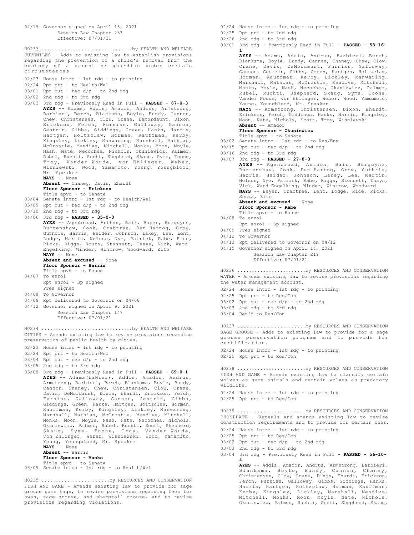```
04/19 Governor signed on April 13, 2021
          Session Law Chapter 233
           Effective: 07/01/21
JUVENILES - Adds to existing law to establish provisions
regarding the prevention of a child's removal from the
custody of a parent or guardian under certain
circumstances.
02/23 House intro - 1st rdg - to printing
02/24 Rpt prt - to Health/Wel
03/01 Rpt out - rec d/p - to 2nd rdg
03/02 2nd rdg - to 3rd rdg
03/03 3rd rdg - Previously Read in Full - PASSED - 67-0-3
      AYES -- Adams, Addis, Amador, Andrus, Armstrong,
      Barbieri, Berch, Blanksma, Boyle, Bundy, Cannon,
       Chew, Christensen, Clow, Crane, DeMordaunt, Dixon,
       Erickson, Ferch, Furniss, Galloway, Gannon,
      Gestrin, Gibbs, Giddings, Green, Hanks, Harris,
      Hartgen, Holtzclaw, Horman, Kauffman, Kerby,
      Kingsley, Lickley, Manwaring, Marshall, Mathias,
      McCrostie, Mendive, Mitchell, Monks, Moon, Moyle,
       Nash, Nate, Necochea, Nichols, Okuniewicz, Palmer,
      Rubel, Ruchti, Scott, Shepherd, Skaug, Syme, Toone,
       Troy, Vander Woude, von Ehlinger, Weber,
      Wisniewski, Wood, Yamamoto, Young, Youngblood,
      Mr. Speaker
      NAYS -- None
      Absent -- Chaney, Davis, Ehardt
       Floor Sponsor - Erickson
       Title apvd - to Senate
03/04 Senate intro - 1st rdg - to Health/Wel
03/09 Rpt out - rec d/p - to 2nd rdg
03/10 2nd rdg - to 3rd rdg
04/06 3rd rdg - PASSED - 35-0-0
      AYES -- Agenbroad, Anthon, Bair, Bayer, Burgoyne,
      Burtenshaw, Cook, Crabtree, Den Hartog, Grow,
       Guthrie, Harris, Heider, Johnson, Lakey, Lee, Lent,
       Lodge, Martin, Nelson, Nye, Patrick, Rabe, Rice,
       Ricks, Riggs, Souza, Stennett, Thayn, Vick, Ward-
      Engelking, Winder, Wintrow, Woodward, Zito
      NAYS -- None
      Absent and excused -- None
      Floor Sponsor - Harris
      Title apvd - to House
04/07 To enrol
      Rpt enrol - Sp signed
      Pres signed
04/08 To Governor
04/09 Rpt delivered to Governor on 04/08
04/12 Governor signed on April 9, 2021
          Session Law Chapter 147
           Effective: 07/01/21
H0233 ................................by HEALTH AND WELFARE
CITIES - Amends existing law to revise provisions regarding
preservation of public health by cities.
02/23 House intro - 1st rdg - to printing
02/24 Rpt prt - to Health/Wel
03/04 Rpt out - rec d/p - to 2nd rdg
03/05 2nd rdg - to 3rd rdg
03/08 3rd rdg - Previously Read in Full - PASSED - 69-0-1
      AYES -- Adams(LaNier), Addis, Amador, Andrus,
      Armstrong, Barbieri, Berch, Blanksma, Boyle, Bundy,
       Cannon, Chaney, Chew, Christensen, Clow, Crane,
Davis, DeMordaunt, Dixon, Ehardt, Erickson, Ferch,
      Furniss, Galloway, Gannon, Gestrin, Gibbs,
       Giddings, Green, Hanks, Hartgen, Holtzclaw, Horman,
      Kauffman, Kerby, Kingsley, Lickley, Manwaring,
      Marshall, Mathias, McCrostie, Mendive, Mitchell,
      Monks, Moon, Moyle, Nash, Nate, Necochea, Nichols,
       Okuniewicz, Palmer, Rubel, Ruchti, Scott, Shepherd,
Skaug, Syme, Toone, Troy, Vander Woude,
von Ehlinger, Weber, Wisniewski, Wood, Yamamoto,
      Young, Youngblood, Mr. Speaker
      NAYS -- None
      Absent -- Harris
      Floor Sponsor - Monks
Title apvd - to Senate
03/09 Senate intro - 1st rdg - to Health/Wel
H0234 ................................by HEALTH AND WELFARE
H0235 ........................by RESOURCES AND CONSERVATION
```
FISH AND GAME - Amends existing law to provide for sage grouse game tags, to revise provisions regarding fees for swan, sage grouse, and sharptail grouse, and to revise provisions regarding violations.

- 02/24 House intro 1st rdg to printing
- 02/25 Rpt prt to 2nd rdg
- 02/26 2nd rdg to 3rd rdg
- 03/01 3rd rdg Previously Read in Full **PASSED 53-16- 1**

**AYES** -- Adams, Addis, Andrus, Barbieri, Berch, Blanksma, Boyle, Bundy, Cannon, Chaney, Chew, Clow, Crane, Davis, DeMordaunt, Furniss, Galloway, Gannon, Gestrin, Gibbs, Green, Hartgen, Holtzclaw, Horman, Kauffman, Kerby, Lickley, Manwaring, Marshall, Mathias, McCrostie, Mendive, Mitchell, Monks, Moyle, Nash, Necochea, Okuniewicz, Palmer, Rubel, Ruchti, Shepherd, Skaug, Syme, Toone, Vander Woude, von Ehlinger, Weber, Wood, Yamamoto, Young, Youngblood, Mr. Speaker **NAYS** -- Armstrong, Christensen, Dixon, Ehardt, Erickson, Ferch, Giddings, Hanks, Harris, Kingsley, Moon, Nate, Nichols, Scott, Troy, Wisniewski **Absent** -- Amador **Floor Sponsor - Okuniewicz** Title apvd - to Senate 03/02 Senate intro - 1st rdg - to Res/Env  $03/15$  Rpt out - rec  $d/p$  - to 2nd rdg 03/16 2nd rdg - to 3rd rdg 04/07 3rd rdg - **PASSED - 27-8-0 AYES** -- Agenbroad, Anthon, Bair, Burgoyne, Burtenshaw, Cook, Den Hartog, Grow, Guthrie, Harris, Heider, Johnson, Lakey, Lee, Martin, Nelson, Nye, Patrick, Rabe, Riggs, Stennett, Thayn, Vick, Ward-Engelking, Winder, Wintrow, Woodward **NAYS** -- Bayer, Crabtree, Lent, Lodge, Rice, Ricks, Souza, Zito Absent and excused -- None **Floor Sponsor - Rabe** Title apvd - to House 04/08 To enrol Rpt enrol - Sp signed 04/09 Pres signed 04/12 To Governor 04/13 Rpt delivered to Governor on 04/12 04/15 Governor signed on April 14, 2021 Session Law Chapter 219 Effective: 07/01/21 WATER - Amends existing law to revise provisions regarding the water management account. 02/24 House intro - 1st rdg - to printing 02/25 Rpt prt - to Res/Con  $03/02$  Rpt out - rec d/p - to 2nd rdg  $03/03$  2nd rdg - to 3rd rdg 03/04 Ret'd to Res/Con H0236 ........................by RESOURCES AND CONSERVATION SAGE GROUSE - Adds to existing law to provide for a sage grouse preservation program and to provide for certification. 02/24 House intro - 1st rdg - to printing 02/25 Rpt prt - to Res/Con H0237 ........................by RESOURCES AND CONSERVATION FISH AND GAME - Amends existing law to classify certain wolves as game animals and certain wolves as predatory wildlife. 02/24 House intro - 1st rdg - to printing 02/25 Rpt prt - to Res/Con H0238 ........................by RESOURCES AND CONSERVATION PHOSPHATE - Repeals and amends existing law to revise construction requirements and to provide for certain fees. 02/24 House intro - 1st rdg - to printing 02/25 Rpt prt - to Res/Con  $03/02$  Rpt out - rec  $d/p$  - to 2nd rdg 03/03 2nd rdg - to 3rd rdg 03/04 3rd rdg - Previously Read in Full - **PASSED - 56-10-** H0239 ........................by RESOURCES AND CONSERVATION

**4 AYES** -- Addis, Amador, Andrus, Armstrong, Barbieri, Blanksma, Boyle, Bundy, Cannon, Chaney, Christensen, Clow, Crane, Dixon, Ehardt, Erickson, Ferch, Furniss, Galloway, Gibbs, Giddings, Hanks, Harris, Hartgen, Holtzclaw, Horman, Kauffman, Kerby, Kingsley, Lickley, Marshall, Mendive, Mitchell, Monks, Moon, Moyle, Nate, Nichols, Okuniewicz, Palmer, Ruchti, Scott, Shepherd, Skaug,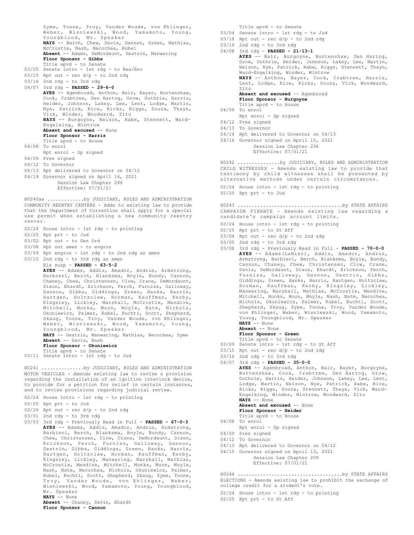Syme, Toone, Troy, Vander Woude, von Ehlinger, Weber, Wisniewski, Wood, Yamamoto, Young, Youngblood, Mr. Speaker **NAYS** -- Berch, Chew, Davis, Gannon, Green, Mathias, McCrostie, Nash, Necochea, Rubel **Absent** -- Adams, DeMordaunt, Gestrin, Manwaring **Floor Sponsor - Gibbs** Title apvd - to Senate 03/05 Senate intro - 1st rdg - to Res/Env  $03/15$  Rpt out - rec  $d/p$  - to 2nd rdg 03/16 2nd rdg - to 3rd rdg 04/07 3rd rdg - **PASSED - 29-6-0 AYES** -- Agenbroad, Anthon, Bair, Bayer, Burtenshaw, Cook, Crabtree, Den Hartog, Grow, Guthrie, Harris, Heider, Johnson, Lakey, Lee, Lent, Lodge, Martin, Nye, Patrick, Rice, Ricks, Riggs, Souza, Thayn, Vick, Winder, Woodward, Zito **NAYS** -- Burgoyne, Nelson, Rabe, Stennett, Ward-Engelking, Wintrow **Absent and excused** -- None **Floor Sponsor - Harris** Title apvd - to House 04/08 To enrol Rpt enrol - Sp signed 04/09 Pres signed 04/12 To Governor 04/13 Rpt delivered to Governor on 04/12 04/19 Governor signed on April 16, 2021 Session Law Chapter 246 Effective: 07/01/21 COMMUNITY REENTRY CENTERS - Adds to existing law to provide that the Department of Correction shall apply for a special use permit when establishing a new community reentry center. 02/24 House intro - 1st rdg - to printing 02/25 Rpt prt - to Jud 03/02 Rpt out - to Gen Ord 03/08 Rpt out amen - to engros 03/09 Rpt engros - 1st rdg - to 2nd rdg as amen 03/10 2nd rdg - to 3rd rdg as amen Rls susp - **PASSED - 63-5-2 AYES** -- Adams, Addis, Amador, Andrus, Armstrong, Barbieri, Berch, Blanksma, Boyle, Bundy, Cannon, Chaney, Chew, Christensen, Clow, Crane, DeMordaunt, Dixon, Ehardt, Erickson, Ferch, Furniss, Galloway, Gannon, Gibbs, Giddings, Green, Hanks, Harris, Hartgen, Holtzclaw, Horman, Kauffman, Kerby, Kingsley, Lickley, Marshall, McCrostie, Mendive, Mitchell, Monks, Moon, Moyle, Nate, Nichols, Okuniewicz, Palmer, Rubel, Ruchti, Scott, Shepherd, Skaug, Toone, Troy, Vander Woude, von Ehlinger, Weber, Wisniewski, Wood, Yamamoto, Young, Youngblood, Mr. Speaker **NAYS** -- Gestrin, Manwaring, Mathias, Necochea, Syme **Absent** -- Davis, Nash **Floor Sponsor - Okuniewicz** Title apvd - to Senate 03/11 Senate intro - 1st rdg - to Jud H0240aa .............by JUDICIARY, RULES AND ADMINISTRATION MOTOR VEHICLES - Amends existing law to revise a provision regarding the installation of an ignition interlock device, to provide for a petition for relief in certain instances, and to revise provisions regarding judicial review. 02/24 House intro - 1st rdg - to printing 02/25 Rpt prt - to Jud  $02/26$  Rpt out - rec  $d/p$  - to 2nd rdg 03/01 2nd rdg - to 3rd rdg 03/03 3rd rdg - Previously Read in Full - **PASSED - 67-0-3 AYES** -- Adams, Addis, Amador, Andrus, Armstrong, Barbieri, Berch, Blanksma, Boyle, Bundy, Cannon, Chew, Christensen, Clow, Crane, DeMordaunt, Dixon, Erickson, Ferch, Furniss, Galloway, Gannon, Gestrin, Gibbs, Giddings, Green, Hanks, Harris, Hartgen, Holtzclaw, Horman, Kauffman, Kerby, Kingsley, Lickley, Manwaring, Marshall, Mathias, McCrostie, Mendive, Mitchell, Monks, Moon, Moyle, H0241 ...............by JUDICIARY, RULES AND ADMINISTRATION

**AYES** -- Agenbroad, Anthon, Bair, Bayer, Burgoyne, Burtenshaw, Cook, Crabtree, Den Hartog, Grow, Guthrie, Harris, Heider, Johnson, Lakey, Lee, Lent, Lodge, Martin, Nelson, Nye, Patrick, Rabe, Rice, Ricks, Riggs, Souza, Stennett, Thayn, Vick, Ward-Engelking, Winder, Wintrow, Woodward, Zito **NAYS** -- None **Absent and excused** -- None **Floor Sponsor - Heider** Title apvd - to House Rpt enrol - Sp signed 04/09 Pres signed 04/12 To Governor 04/13 Rpt delivered to Governor on 04/12 04/15 Governor signed on April 13, 2021 Session Law Chapter 209 Effective: 07/01/21 ELECTIONS - Amends existing law to prohibit the exchange of college credit for a student's vote. 02/24 House intro - 1st rdg - to printing 02/25 Rpt prt - to St Aff H0244 .....................................by STATE AFFAIRS

- Title apvd to Senate 03/04 Senate intro - 1st rdg - to Jud  $03/18$  Rpt out - rec  $d/p$  - to 2nd rdg  $03/19$  2nd rdg - to 3rd rdg 04/08 3rd rdg - **PASSED - 21-13-1 AYES** -- Bair, Burgoyne, Burtenshaw, Den Hartog, Grow, Guthrie, Heider, Johnson, Lakey, Lee, Martin, Nelson, Nye, Patrick, Rabe, Riggs, Stennett, Thayn, Ward-Engelking, Winder, Wintrow **NAYS** -- Anthon, Bayer, Cook, Crabtree, Harris, Lent, Lodge, Rice, Ricks, Souza, Vick, Woodward, Zito **Absent and excused** -- Agenbroad **Floor Sponsor - Burgoyne** Title apvd - to House 04/09 To enrol Rpt enrol - Sp signed 04/12 Pres signed 04/13 To Governor 04/14 Rpt delivered to Governor on 04/13 04/16 Governor signed on April 15, 2021 Session Law Chapter 236 Effective: 07/01/21 CHILD WITNESSES - Amends existing law to provide that testimony by child witnesses shall be presented by alternative methods under certain circumstances. 02/24 House intro - 1st rdg - to printing 02/25 Rpt prt - to Jud H0242 ...............by JUDICIARY, RULES AND ADMINISTRATION CAMPAIGN FINANCE - Amends existing law regarding a candidate's campaign account limits. 02/24 House intro - 1st rdg - to printing 02/25 Rpt prt - to St Aff  $03/04$  Rpt out - rec  $d/p$  - to 2nd rdg 03/05 2nd rdg - to 3rd rdg 03/08 3rd rdg - Previously Read in Full - **PASSED - 70-0-0 AYES** -- Adams(LaNier), Addis, Amador, Andrus, Armstrong, Barbieri, Berch, Blanksma, Boyle, Bundy, Cannon, Chaney, Chew, Christensen, Clow, Crane, Davis, DeMordaunt, Dixon, Ehardt, Erickson, Ferch, Furniss, Galloway, Gannon, Gestrin, Gibbs, Giddings, Green, Hanks, Harris, Hartgen, Holtzclaw, Horman, Kauffman, Kerby, Kingsley, Lickley, Manwaring, Marshall, Mathias, McCrostie, Mendive, Mitchell, Monks, Moon, Moyle, Nash, Nate, Necochea, Nichols, Okuniewicz, Palmer, Rubel, Ruchti, Scott, Shepherd, Skaug, Syme, Toone, Troy, Vander Woude, von Ehlinger, Weber, Wisniewski, Wood, Yamamoto, Young, Youngblood, Mr. Speaker **NAYS** -- None **Absent** -- None **Floor Sponsor - Green** Title apvd - to Senate 03/09 Senate intro - 1st rdg - to St Aff 03/15 Rpt out - rec d/p - to 2nd rdg 03/16 2nd rdg - to 3rd rdg 04/07 3rd rdg - **PASSED - 35-0-0** 04/08 To enrol H0243 .....................................by STATE AFFAIRS
- 
- 
- -

Mr. Speaker **NAYS** -- None **Absent** -- Chaney, Davis, Ehardt

```
Floor Sponsor - Cannon
```
Nash, Nate, Necochea, Nichols, Okuniewicz, Palmer, Rubel, Ruchti, Scott, Shepherd, Skaug, Syme, Toone, Troy, Vander Woude, von Ehlinger, Weber, Wisniewski, Wood, Yamamoto, Young, Youngblood,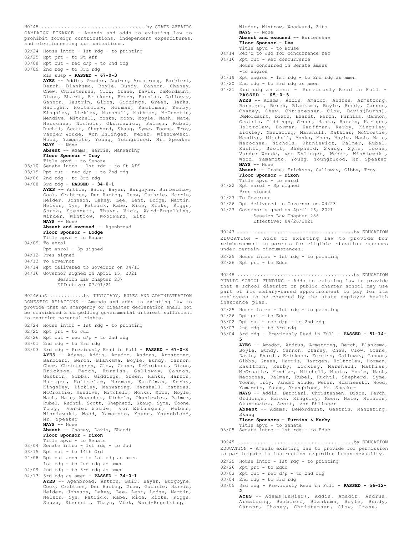CAMPAIGN FINANCE - Amends and adds to existing law to prohibit foreign contributions, independent expenditures, and electioneering communications. H0245 .....................................by STATE AFFAIRS

02/24 House intro - 1st rdg - to printing 02/25 Rpt prt - to St Aff  $03/08$  Rpt out - rec  $d/p$  - to 2nd rdg 03/09 2nd rdg - to 3rd rdg Rls susp - **PASSED - 67-0-3 AYES** -- Addis, Amador, Andrus, Armstrong, Barbieri, Berch, Blanksma, Boyle, Bundy, Cannon, Chaney, Chew, Christensen, Clow, Crane, Davis, DeMordaunt, Dixon, Ehardt, Erickson, Ferch, Furniss, Galloway, Gannon, Gestrin, Gibbs, Giddings, Green, Hanks, Hartgen, Holtzclaw, Horman, Kauffman, Kerby, Kingsley, Lickley, Marshall, Mathias, McCrostie, Mendive, Mitchell, Monks, Moon, Moyle, Nash, Nate, Necochea, Nichols, Okuniewicz, Palmer, Rubel, Ruchti, Scott, Shepherd, Skaug, Syme, Toone, Troy, Vander Woude, von Ehlinger, Weber, Wisniewski, Wood, Yamamoto, Young, Youngblood, Mr. Speaker **NAYS** -- None **Absent** -- Adams, Harris, Manwaring **Floor Sponsor - Troy** Title apvd - to Senate 03/10 Senate intro - 1st rdg - to St Aff 03/19 Rpt out - rec d/p - to 2nd rdg 04/06 2nd rdg - to 3rd rdg 04/08 3rd rdg - **PASSED - 34-0-1 AYES** -- Anthon, Bair, Bayer, Burgoyne, Burtenshaw, Cook, Crabtree, Den Hartog, Grow, Guthrie, Harris, Heider, Johnson, Lakey, Lee, Lent, Lodge, Martin, Nelson, Nye, Patrick, Rabe, Rice, Ricks, Riggs, Souza, Stennett, Thayn, Vick, Ward-Engelking, Winder, Wintrow, Woodward, Zito **NAYS** -- None Absent and excused -- Agenbroad **Floor Sponsor - Lodge** Title apvd - to House 04/09 To enrol Rpt enrol - Sp signed 04/12 Pres signed 04/13 To Governor 04/14 Rpt delivered to Governor on 04/13 04/16 Governor signed on April 15, 2021 Session Law Chapter 237 Effective: 07/01/21 DOMESTIC RELATIONS - Amends and adds to existing law to provide that an emergency or disaster declaration shall not be considered a compelling governmental interest sufficient to restrict parental rights. 02/24 House intro - 1st rdg - to printing 02/25 Rpt prt - to Jud  $02/26$  Rpt out - rec  $d/p$  - to 2nd rdg 03/01 2nd rdg - to 3rd rdg 03/03 3rd rdg - Previously Read in Full - **PASSED - 67-0-3 AYES** -- Adams, Addis, Amador, Andrus, Armstrong, Barbieri, Berch, Blanksma, Boyle, Bundy, Cannon, Chew, Christensen, Clow, Crane, DeMordaunt, Dixon, Erickson, Ferch, Furniss, Galloway, Gannon, Gestrin, Gibbs, Giddings, Green, Hanks, Harris, Hartgen, Holtzclaw, Horman, Kauffman, Kerby, Kingsley, Lickley, Manwaring, Marshall, Mathias, McCrostie, Mendive, Mitchell, Monks, Moon, Moyle, Nash, Nate, Necochea, Nichols, Okuniewicz, Palmer, Rubel, Ruchti, Scott, Shepherd, Skaug, Syme, Toone, Troy, Vander Woude, von Ehlinger, Weber, Wisniewski, Wood, Yamamoto, Young, Youngblood, Mr. Speaker **NAYS** -- None **Absent** -- Chaney, Davis, Ehardt **Floor Sponsor - Dixon** Title apvd - to Senate 03/04 Senate intro - 1st rdg - to Jud 03/15 Rpt out - to 14th Ord 04/08 Rpt out amen - to 1st rdg as amen 1st rdg - to 2nd rdg as amen  $04/09$  2nd rdg - to 3rd rdg as amen 04/13 3rd rdg as amen - **PASSED - 34-0-1 AYES** -- Agenbroad, Anthon, Bair, Bayer, Burgoyne, Cook, Crabtree, Den Hartog, Grow, Guthrie, Harris, Heider, Johnson, Lakey, Lee, Lent, Lodge, Martin, H0246aaS ............by JUDICIARY, RULES AND ADMINISTRATION

Nelson, Nye, Patrick, Rabe, Rice, Ricks, Riggs, Souza, Stennett, Thayn, Vick, Ward-Engelking,

Winder, Wintrow, Woodward, Zito **NAYS** -- None **Absent and excused** -- Burtenshaw **Floor Sponsor - Lee** Title apvd - to House 04/14 Ref'd to Jud for concurrence rec 04/16 Rpt out - Rec concurrence House concurred in Senate amens -to engros 04/19 Rpt engros - 1st rdg - to 2nd rdg as amen 04/20 2nd rdg - to 3rd rdg as amen 04/21 3rd rdg as amen - Previously Read in Full - **PASSED - 65-0-5 AYES** -- Adams, Addis, Amador, Andrus, Armstrong, Barbieri, Berch, Blanksma, Boyle, Bundy, Cannon, Chaney, Chew, Christensen, Clow, Davis(Burns), DeMordaunt, Dixon, Ehardt, Ferch, Furniss, Gannon, Gestrin, Giddings, Green, Hanks, Harris, Hartgen, Holtzclaw, Horman, Kauffman, Kerby, Kingsley, Lickley, Manwaring, Marshall, Mathias, McCrostie, Mendive, Mitchell, Monks, Moon, Moyle, Nash, Nate, Necochea, Nichols, Okuniewicz, Palmer, Rubel, Ruchti, Scott, Shepherd, Skaug, Syme, Toone, Vander Woude, von Ehlinger, Weber, Wisniewski, Wood, Yamamoto, Young, Youngblood, Mr. Speaker **NAYS** -- None **Absent** -- Crane, Erickson, Galloway, Gibbs, Troy **Floor Sponsor - Dixon** Title apvd - to enrol 04/22 Rpt enrol - Sp signed Pres signed 04/23 To Governor 04/26 Rpt delivered to Governor on 04/23 04/27 Governor signed on April 26, 2021 Session Law Chapter 286 Effective: 04/26/2021 EDUCATION - Adds to existing law to provide for reimbursement to parents for eligible education expenses under certain circumstances. 02/25 House intro - 1st rdg - to printing 02/26 Rpt prt - to Educ H0247 .........................................by EDUCATION PUBLIC SCHOOL FUNDING - Adds to existing law to provide that a school district or public charter school may use part of its salary-based apportionment to pay for its employees to be covered by the state employee health insurance plan. 02/25 House intro - 1st rdg - to printing 02/26 Rpt prt - to Educ  $03/02$  Rpt out - rec  $d/p$  - to 2nd rdg 03/03 2nd rdg - to 3rd rdg 03/04 3rd rdg - Previously Read in Full - **PASSED - 51-14- 5 AYES** -- Amador, Andrus, Armstrong, Berch, Blanksma, Boyle, Bundy, Cannon, Chaney, Chew, Clow, Crane, Davis, Ehardt, Erickson, Furniss, Galloway, Gannon, Gibbs, Green, Harris, Hartgen, Holtzclaw, Horman, Kauffman, Kerby, Lickley, Marshall, Mathias, McCrostie, Mendive, Mitchell, Monks, Moyle, Nash, Necochea, Palmer, Rubel, Ruchti, Shepherd, Syme, Toone, Troy, Vander Woude, Weber, Wisniewski, Wood, Yamamoto, Young, Youngblood, Mr. Speaker **NAYS** -- Addis, Barbieri, Christensen, Dixon, Ferch, Giddings, Hanks, Kingsley, Moon, Nate, Nichols, Okuniewicz, Scott, von Ehlinger **Absent** -- Adams, DeMordaunt, Gestrin, Manwaring, Skaug **Floor Sponsors - Furniss & Kerby** Title apvd - to Senate 03/05 Senate intro - 1st rdg - to Educ H0248 .........................................by EDUCATION EDUCATION - Amends existing law to provide for permission to participate in instruction regarding human sexuality. 02/25 House intro - 1st rdg - to printing 02/26 Rpt prt - to Educ  $03/03$  Rpt out - rec  $d/p$  - to 2nd rdg H0249 .........................................by EDUCATION

- 03/04 2nd rdg to 3rd rdg
- 03/05 3rd rdg Previously Read in Full **PASSED 56-12- 2**

**AYES** -- Adams(LaNier), Addis, Amador, Andrus, Armstrong, Barbieri, Blanksma, Boyle, Bundy, Cannon, Chaney, Christensen, Clow, Crane,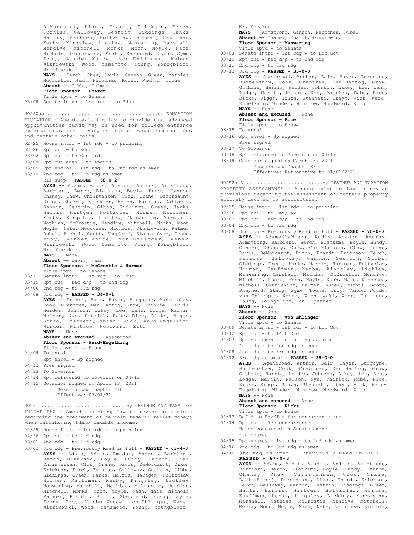DeMordaunt, Dixon, Ehardt, Erickson, Ferch, Furniss, Galloway, Gestrin, Giddings, Hanks, Harris, Hartgen, Holtzclaw, Horman, Kauffman, Kerby, Kingsley, Lickley, Manwaring, Marshall, Mendive, Mitchell, Monks, Moon, Moyle, Nate, Nichols, Okuniewicz, Scott, Shepherd, Skaug, Syme, Troy, Vander Woude, von Ehlinger, Weber, Wisniewski, Wood, Yamamoto, Young, Youngblood, Mr. Speaker **NAYS** -- Berch, Chew, Davis, Gannon, Green, Mathias, McCrostie, Nash, Necochea, Rubel, Ruchti, Toone **Absent** -- Gibbs, Palmer **Floor Sponsor - Ehardt** Title apvd - to Senate 03/08 Senate intro - 1st rdg - to Educ EDUCATION - Amends existing law to provide that advanced opportunities funds may be used for college entrance examinations, preliminary college entrance examinations, and certain other costs. 02/25 House intro - 1st rdg - to printing 02/26 Rpt prt - to Educ 03/02 Rpt out - to Gen Ord 03/08 Rpt out amen - to engros 03/09 Rpt engros - 1st rdg - to 2nd rdg as amen 03/10 2nd rdg - to 3rd rdg as amen Rls susp - **PASSED - 68-0-2 AYES** -- Adams, Addis, Amador, Andrus, Armstrong, Barbieri, Berch, Blanksma, Boyle, Bundy, Cannon, Chaney, Chew, Christensen, Clow, Crane, DeMordaunt, Dixon, Ehardt, Erickson, Ferch, Furniss, Galloway, Gannon, Gestrin, Gibbs, Giddings, Green, Hanks, Harris, Hartgen, Holtzclaw, Horman, Kauffman, Kerby, Kingsley, Lickley, Manwaring, Marshall, Mathias, McCrostie, Mendive, Mitchell, Monks, Moon, Moyle, Nate, Necochea, Nichols, Okuniewicz, Palmer, Rubel, Ruchti, Scott, Shepherd, Skaug, Syme, Toone, Troy, Vander Woude, von Ehlinger, Weber, Wisniewski, Wood, Yamamoto, Young, Youngblood, Mr. Speaker **NAYS** -- None **Absent** -- Davis, Nash **Floor Sponsors - McCrostie & Horman** Title apvd - to Senate 03/11 Senate intro - 1st rdg - to Educ  $03/19$  Rpt out - rec  $d/p$  - to 2nd rdg 04/06 2nd rdg - to 3rd rdg 04/08 3rd rdg - **PASSED - 34-0-1 AYES** -- Anthon, Bair, Bayer, Burgoyne, Burtenshaw, Cook, Crabtree, Den Hartog, Grow, Guthrie, Harris, Heider, Johnson, Lakey, Lee, Lent, Lodge, Martin, Nelson, Nye, Patrick, Rabe, Rice, Ricks, Riggs, Souza, Stennett, Thayn, Vick, Ward-Engelking, Winder, Wintrow, Woodward, Zito **NAYS** -- None Absent and excused -- Agenbroad **Floor Sponsor - Ward-Engelking** Title apvd - to House 04/09 To enrol Rpt enrol - Sp signed 04/12 Pres signed 04/13 To Governor 04/14 Rpt delivered to Governor on 04/13 04/15 Governor signed on April 13, 2021 Session Law Chapter 210 Effective: 07/01/21 H0250aa .......................................by EDUCATION INCOME TAX - Amends existing law to revise provisions regarding the treatment of certain federal relief moneys when calculating Idaho taxable income. 02/25 House intro - 1st rdg - to printing 02/26 Rpt prt - to 2nd rdg 03/01 2nd rdg - to 3rd rdg 03/02 3rd rdg - Previously Read in Full - **PASSED - 63-4-3 AYES** -- Adams, Addis, Amador, Andrus, Barbieri, Berch, Blanksma, Boyle, Bundy, Cannon, Chew, H0251 ..............................by REVENUE AND TAXATION

Christensen, Clow, Crane, Davis, DeMordaunt, Dixon, Erickson, Ferch, Furniss, Galloway, Gestrin, Gibbs, Giddings, Green, Hanks, Harris, Hartgen, Holtzclaw, Horman, Kauffman, Kerby, Kingsley, Lickley, Manwaring, Marshall, Mathias, McCrostie, Mendive, Mitchell, Monks, Moon, Moyle, Nash, Nate, Nichols, Palmer, Ruchti, Scott, Shepherd, Skaug, Syme, Toone, Troy, Vander Woude, von Ehlinger, Weber, Wisniewski, Wood, Yamamoto, Young, Youngblood,

Mr. Speaker **NAYS** -- Armstrong, Gannon, Necochea, Rubel **Absent** -- Chaney, Ehardt, Okuniewicz **Floor Sponsor - Manwaring** Title apvd - to Senate

- 03/03 Senate intro 1st rdg to Loc Gov
- $03/10$  Rpt out rec  $d/p$  to 2nd rdg
- 
- 03/11 2nd rdg to 3rd rdg 03/12 3rd rdg - **PASSED - 35-0-0 AYES** -- Agenbroad, Anthon, Bair, Bayer, Burgoyne, Burtenshaw, Cook, Crabtree, Den Hartog, Grow, Guthrie, Harris, Heider, Johnson, Lakey, Lee, Lent, Lodge, Martin, Nelson, Nye, Patrick, Rabe, Rice, Ricks, Riggs, Souza, Stennett, Thayn, Vick, Ward-Engelking, Winder, Wintrow, Woodward, Zito **NAYS** -- None **Absent and excused** -- None **Floor Sponsor - Rice** Title apvd - to House 03/15 To enrol 03/16 Rpt enrol - Sp signed Pres signed 03/17 To Governor 03/18 Rpt delivered to Governor on 03/17 03/19 Governor signed on March 18, 2021 Session Law Chapter 86 Effective: Retroactive to 01/01/2021

PROPERTY ASSESSMENTS - Amends existing law to revise provisions regarding the assessment of certain property actively devoted to agriculture. H0252aaS ...........................by REVENUE AND TAXATION

- 02/25 House intro 1st rdg to printing
- 02/26 Rpt prt to Rev/Tax
- 03/03 Rpt out rec  $d/p$  to 2nd rdg
- 03/04 2nd rdg to 3rd rdg
- 03/08 3rd rdg Previously Read in Full **PASSED 70-0-0 AYES** -- Adams(LaNier), Addis, Amador, Andrus, Armstrong, Barbieri, Berch, Blanksma, Boyle, Bundy, Cannon, Chaney, Chew, Christensen, Clow, Crane, Davis, DeMordaunt, Dixon, Ehardt, Erickson, Ferch, Furniss, Galloway, Gannon, Gestrin, Gibbs, Giddings, Green, Hanks, Harris, Hartgen, Holtzclaw, Horman, Kauffman, Kerby, Kingsley, Lickley, Manwaring, Marshall, Mathias, McCrostie, Mendive, Mitchell, Monks, Moon, Moyle, Nash, Nate, Necochea, Nichols, Okuniewicz, Palmer, Rubel, Ruchti, Scott, Shepherd, Skaug, Syme, Toone, Troy, Vander Woude, von Ehlinger, Weber, Wisniewski, Wood, Yamamoto, Young, Youngblood, Mr. Speaker **NAYS** -- None **Absent** -- None
	- **Floor Sponsor von Ehlinger**
		- Title apvd to Senate
- 03/09 Senate intro 1st rdg to Loc Gov
- 03/12 Rpt out to 14th Ord
- 04/07 Rpt out amen to 1st rdg as amen
- 1st rdg to 2nd rdg as amen
- 04/08 2nd rdg to 3rd rdg as amen
- 04/12 3rd rdg as amen **PASSED 35-0-0**

**AYES** -- Agenbroad, Anthon, Bair, Bayer, Burgoyne, Burtenshaw, Cook, Crabtree, Den Hartog, Grow, Guthrie, Harris, Heider, Johnson, Lakey, Lee, Lent, Lodge, Martin, Nelson, Nye, Patrick, Rabe, Rice, Ricks, Riggs, Souza, Stennett, Thayn, Vick, Ward-Engelking, Winder, Wintrow, Woodward, Zito **NAYS** -- None Absent and excused -- None **Floor Sponsor - Ricks**

- Title apvd to House
- 04/13 Ref'd to Rev/Tax for concurrence rec
- 04/14 Rpt out Rec concurrence House concurred in Senate amens -to engros
- 04/15 Rpt engros 1st rdg to 2nd rdg as amen
- 04/16 2nd rdg to 3rd rdg as amen
- 04/19 3rd rdg as amen Previously Read in Full **PASSED - 67-0-3**

**AYES** -- Adams, Addis, Amador, Andrus, Armstrong, Barbieri, Berch, Blanksma, Boyle, Bundy, Cannon, Chaney, Chew, Christensen, Clow, Crane, Davis(Burns), DeMordaunt, Dixon, Ehardt, Erickson, Ferch, Galloway, Gannon, Gestrin, Giddings, Green, Hanks, Harris, Hartgen, Holtzclaw, Horman, Kauffman, Kerby, Kingsley, Lickley, Manwaring, Marshall, Mathias, McCrostie, Mendive, Mitchell, Monks, Moon, Moyle, Nash, Nate, Necochea, Nichols,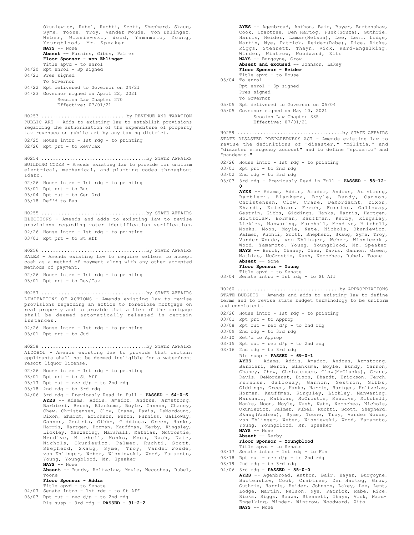Okuniewicz, Rubel, Ruchti, Scott, Shepherd, Skaug, Syme, Toone, Troy, Vander Woude, von Ehlinger, Weber, Wisniewski, Wood, Yamamoto, Young, Youngblood, Mr. Speaker **NAYS** -- None **Absent** -- Furniss, Gibbs, Palmer **Floor Sponsor - von Ehlinger** Title apvd - to enrol 04/20 Rpt enrol - Sp signed 04/21 Pres signed To Governor 04/22 Rpt delivered to Governor on 04/21 04/23 Governor signed on April 22, 2021 Session Law Chapter 270 Effective: 07/01/21 PUBLIC ART - Adds to existing law to establish provisions regarding the authorization of the expenditure of property tax revenues on public art by any taxing district. 02/25 House intro - 1st rdg - to printing 02/26 Rpt prt - to Rev/Tax H0253 ..............................by REVENUE AND TAXATION BUILDING CODES - Amends existing law to provide for uniform electrical, mechanical, and plumbing codes throughout Idaho. 02/26 House intro - 1st rdg - to printing 03/01 Rpt prt - to Bus  $03/04$  Rpt out - to Gen Ord 03/18 Ref'd to Bus H0254 .....................................by STATE AFFAIRS ELECTIONS - Amends and adds to existing law to revise provisions regarding voter identification verification. 02/26 House intro - 1st rdg - to printing 03/01 Rpt prt - to St Aff H0255 .....................................by STATE AFFAIRS SALES - Amends existing law to require sellers to accept cash as a method of payment along with any other accepted methods of payment. 02/26 House intro - 1st rdg - to printing 03/01 Rpt prt - to Rev/Tax H0256 .....................................by STATE AFFAIRS LIMITATIONS OF ACTIONS - Amends existing law to revise provisions regarding an action to foreclose mortgage on real property and to provide that a lien of the mortgage shall be deemed automatically released in certain instances. 02/26 House intro - 1st rdg - to printing 03/01 Rpt prt - to Jud H0257 .....................................by STATE AFFAIRS ALCOHOL - Amends existing law to provide that certain applicants shall not be deemed ineligible for a waterfront resort liquor license. 02/26 House intro - 1st rdg - to printing 03/01 Rpt prt - to St Aff  $03/17$  Rpt out - rec  $d/p$  - to 2nd rdg 03/18 2nd rdg - to 3rd rdg 04/06 3rd rdg - Previously Read in Full - **PASSED - 64-0-6 AYES** -- Adams, Addis, Amador, Andrus, Armstrong, Barbieri, Berch, Blanksma, Boyle, Cannon, Chaney, Chew, Christensen, Clow, Crane, Davis, DeMordaunt, Dixon, Ehardt, Erickson, Ferch, Furniss, Galloway, Gannon, Gestrin, Gibbs, Giddings, Green, Hanks, Harris, Hartgen, Horman, Kauffman, Kerby, Kingsley, Lickley, Manwaring, Marshall, Mathias, McCrostie, Mendive, Mitchell, Monks, Moon, Nash, Nate, Nichols, Okuniewicz, Palmer, Ruchti, Scott, Shepherd, Skaug, Syme, Troy, Vander Woude, von Ehlinger, Weber, Wisniewski, Wood, Yamamoto, Young, Youngblood, Mr. Speaker **NAYS** -- None **Absent** -- Bundy, Holtzclaw, Moyle, Necochea, Rubel, Toone **Floor Sponsor - Addis** Title apvd - to Senate 04/07 Senate intro - 1st rdg - to St Aff 05/03 Rpt out - rec d/p - to 2nd rdg H0258 .....................................by STATE AFFAIRS

Rls susp - 3rd rdg - **PASSED - 31-2-2**

Pres signed To Governor 05/05 Rpt delivered to Governor on 05/04 05/05 Governor signed on May 10, 2021 Session Law Chapter 335 Effective: 07/01/21 STATE DISASTER PREPAREDNESS ACT - Amends existing law to revise the definitions of "disaster," "militia," and "disaster emergency account" and to define "epidemic" and "pandemic." 02/26 House intro - 1st rdg - to printing 03/01 Rpt prt - to 2nd rdg 03/02 2nd rdg - to 3rd rdg 03/03 3rd rdg - Previously Read in Full - **PASSED - 58-12- 0 AYES** -- Adams, Addis, Amador, Andrus, Armstrong, Barbieri, Blanksma, Boyle, Bundy, Cannon, Christensen, Clow, Crane, DeMordaunt, Dixon, Ehardt, Erickson, Ferch, Furniss, Galloway, Gestrin, Gibbs, Giddings, Hanks, Harris, Hartgen, Holtzclaw, Horman, Kauffman, Kerby, Kingsley, Lickley, Manwaring, Marshall, Mendive, Mitchell, Monks, Moon, Moyle, Nate, Nichols, Okuniewicz, Palmer, Ruchti, Scott, Shepherd, Skaug, Syme, Troy, Vander Woude, von Ehlinger, Weber, Wisniewski, Wood, Yamamoto, Young, Youngblood, Mr. Speaker **NAYS** -- Berch, Chaney, Chew, Davis, Gannon, Green, H0259 .....................................by STATE AFFAIRS

Mathias, McCrostie, Nash, Necochea, Rubel, Toone

STATE BUDGETS - Amends and adds to existing law to define terms and to revise state budget terminology to be uniform

H0260 ....................................by APPROPRIATIONS

**AYES** -- Adams, Addis, Amador, Andrus, Armstrong, Barbieri, Berch, Blanksma, Boyle, Bundy, Cannon, Chaney, Chew, Christensen, Clow(McClusky), Crane, Davis, DeMordaunt, Dixon, Ehardt, Erickson, Ferch, Furniss, Galloway, Gannon, Gestrin, Gibbs, Giddings, Green, Hanks, Harris, Hartgen, Holtzclaw, Horman, Kauffman, Kingsley, Lickley, Manwaring, Marshall, Mathias, McCrostie, Mendive, Mitchell, Monks, Moon, Moyle, Nash, Nate, Necochea, Nichols, Okuniewicz, Palmer, Rubel, Ruchti, Scott, Shepherd, Skaug(Andrew), Syme, Toone, Troy, Vander Woude, von Ehlinger, Weber, Wisniewski, Wood, Yamamoto,

02/26 House intro - 1st rdg - to printing

 $03/08$  Rpt out - rec  $d/p$  - to 2nd rdg

 $03/15$  Rpt out - rec  $d/p$  - to 2nd rdg

Rls susp - **PASSED - 69-0-1**

Young, Youngblood, Mr. Speaker **NAYS** -- None

**AYES** -- Agenbroad, Anthon, Bair, Bayer, Burtenshaw, Cook, Crabtree, Den Hartog, Funk(Souza), Guthrie, Harris, Heider, Lamar(Nelson), Lee, Lent, Lodge, Martin, Nye, Patrick, Reider(Rabe), Rice, Ricks, Riggs, Stennett, Thayn, Vick, Ward-Engelking, Winder, Wintrow, Woodward, Zito

**NAYS** -- Burgoyne, Grow

**Floor Sponsor - Heider** Title apvd - to House

Rpt enrol - Sp signed

**Absent** -- None **Floor Sponsor - Young** Title apvd - to Senate 03/04 Senate intro - 1st rdg - to St Aff

03/01 Rpt prt - to Approp

03/09 2nd rdg - to 3rd rdg 03/10 Ret'd to Approp

03/16 2nd rdg - to 3rd rdg

**NAYS** -- None

and consistent.

05/04 To enrol

Absent and excused -- Johnson, Lakey

**Absent** -- Kerby **Floor Sponsor - Youngblood** Title apvd - to Senate 03/17 Senate intro - 1st rdg - to Fin  $03/18$  Rpt out - rec  $d/p$  - to 2nd rdg  $03/19$  2nd rdg - to 3rd rdg 04/06 3rd rdg - **PASSED - 35-0-0 AYES** -- Agenbroad, Anthon, Bair, Bayer, Burgoyne, Burtenshaw, Cook, Crabtree, Den Hartog, Grow, Guthrie, Harris, Heider, Johnson, Lakey, Lee, Lent, Lodge, Martin, Nelson, Nye, Patrick, Rabe, Rice, Ricks, Riggs, Souza, Stennett, Thayn, Vick, Ward-Engelking, Winder, Wintrow, Woodward, Zito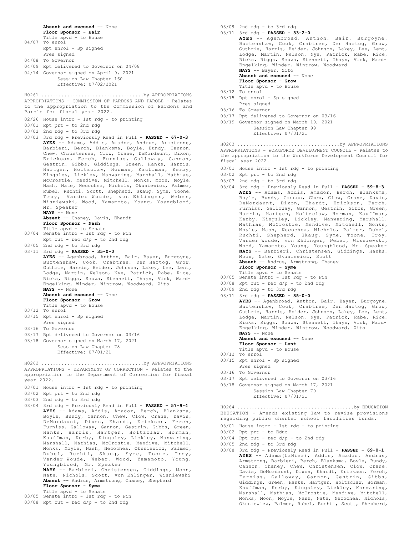**Absent and excused** -- None **Floor Sponsor - Bair** Title apvd - to House 04/07 To enrol Rpt enrol - Sp signed Pres signed 04/08 To Governor 04/09 Rpt delivered to Governor on 04/08 04/14 Governor signed on April 9, 2021 Session Law Chapter 160 Effective: 07/02/2021 APPROPRIATIONS - COMMISSION OF PARDONS AND PAROLE - Relates to the appropriation to the Commission of Pardons and Parole for fiscal year 2022. 02/26 House intro - 1st rdg - to printing 03/01 Rpt prt - to 2nd rdg 03/02 2nd rdg - to 3rd rdg 03/03 3rd rdg - Previously Read in Full - **PASSED - 67-0-3 AYES** -- Adams, Addis, Amador, Andrus, Armstrong, Barbieri, Berch, Blanksma, Boyle, Bundy, Cannon, Chew, Christensen, Clow, Crane, DeMordaunt, Dixon, Erickson, Ferch, Furniss, Galloway, Gannon, Gestrin, Gibbs, Giddings, Green, Hanks, Harris, Hartgen, Holtzclaw, Horman, Kauffman, Kerby, Kingsley, Lickley, Manwaring, Marshall, Mathias, McCrostie, Mendive, Mitchell, Monks, Moon, Moyle, Nash, Nate, Necochea, Nichols, Okuniewicz, Palmer, Rubel, Ruchti, Scott, Shepherd, Skaug, Syme, Toone, Troy, Vander Woude, von Ehlinger, Weber, Wisniewski, Wood, Yamamoto, Young, Youngblood, Mr. Speaker **NAYS** -- None **Absent** -- Chaney, Davis, Ehardt **Floor Sponsor - Nash** Title apvd - to Senate 03/04 Senate intro - 1st rdg - to Fin Rpt out -  $rec d/p - to 2nd rd$ 03/05 2nd rdg - to 3rd rdg 03/11 3rd rdg - **PASSED - 35-0-0 AYES** -- Agenbroad, Anthon, Bair, Bayer, Burgoyne, Burtenshaw, Cook, Crabtree, Den Hartog, Grow, Guthrie, Harris, Heider, Johnson, Lakey, Lee, Lent, Lodge, Martin, Nelson, Nye, Patrick, Rabe, Rice, Ricks, Riggs, Souza, Stennett, Thayn, Vick, Ward-Engelking, Winder, Wintrow, Woodward, Zito **NAYS** -- None **Absent and excused** -- None **Floor Sponsor - Grow** Title apvd - to House 03/12 To enrol 03/15 Rpt enrol - Sp signed Pres signed 03/16 To Governor 03/17 Rpt delivered to Governor on 03/16 03/18 Governor signed on March 17, 2021 Session Law Chapter 78 Effective: 07/01/21 H0261 ....................................by APPROPRIATIONS APPROPRIATIONS - DEPARTMENT OF CORRECTION - Relates to the appropriation to the Department of Correction for fiscal year 2022. 03/01 House intro - 1st rdg - to printing 03/02 Rpt prt - to 2nd rdg 03/03 2nd rdg - to 3rd rdg 03/04 3rd rdg - Previously Read in Full - **PASSED - 57-9-4 AYES** -- Adams, Addis, Amador, Berch, Blanksma, Boyle, Bundy, Cannon, Chew, Clow, Crane, Davis, DeMordaunt, Dixon, Ehardt, Erickson, Ferch, Furniss, Galloway, Gannon, Gestrin, Gibbs, Green, Hanks, Harris, Hartgen, Holtzclaw, Horman, Kauffman, Kerby, Kingsley, Lickley, Manwaring, Marshall, Mathias, McCrostie, Mendive, Mitchell, Monks, Moyle, Nash, Necochea, Okuniewicz, Palmer, Rubel, Ruchti, Skaug, Syme, Toone, Troy, Vander Woude, Weber, Wood, Yamamoto, Young, Youngblood, Mr. Speaker **NAYS** -- Barbieri, Christensen, Giddings, Moon, Nate, Nichols, Scott, von Ehlinger, Wisniewski **Absent** -- Andrus, Armstrong, Chaney, Shepherd **Floor Sponsor - Syme** Title apvd - to Senate 03/05 Senate intro - 1st rdg - to Fin  $03/08$  Rpt out - rec  $d/p$  - to 2nd rdg H0262 ....................................by APPROPRIATIONS

03/09 2nd rdg - to 3rd rdg 03/11 3rd rdg - **PASSED - 33-2-0 AYES** -- Agenbroad, Anthon, Bair, Burgoyne, Burtenshaw, Cook, Crabtree, Den Hartog, Grow, Guthrie, Harris, Heider, Johnson, Lakey, Lee, Lent, Lodge, Martin, Nelson, Nye, Patrick, Rabe, Rice, Ricks, Riggs, Souza, Stennett, Thayn, Vick, Ward-Engelking, Winder, Wintrow, Woodward **NAYS** -- Bayer, Zito **Absent and excused** -- None **Floor Sponsor - Grow** Title apvd - to House 03/12 To enrol

- 03/15 Rpt enrol Sp signed Pres signed
- 03/16 To Governor
- 03/17 Rpt delivered to Governor on 03/16
- 03/19 Governor signed on March 19, 2021
	- Session Law Chapter 99 Effective: 07/01/21

APPROPRIATIONS - WORKFORCE DEVELOPMENT COUNCIL - Relates to the appropriation to the Workforce Development Council for fiscal year 2022. H0263 ....................................by APPROPRIATIONS

- 03/01 House intro 1st rdg to printing
- 03/02 Rpt prt to 2nd rdg
- 03/03 2nd rdg to 3rd rdg
- 03/04 3rd rdg Previously Read in Full **PASSED 59-8-3 AYES** -- Adams, Addis, Amador, Berch, Blanksma, Boyle, Bundy, Cannon, Chew, Clow, Crane, Davis, DeMordaunt, Dixon, Ehardt, Erickson, Ferch, Furniss, Galloway, Gannon, Gestrin, Gibbs, Green, Harris, Hartgen, Holtzclaw, Horman, Kauffman, Kerby, Kingsley, Lickley, Manwaring, Marshall, Mathias, McCrostie, Mendive, Mitchell, Monks, Moyle, Nash, Necochea, Nichols, Palmer, Rubel, Ruchti, Shepherd, Skaug, Syme, Toone, Troy, Vander Woude, von Ehlinger, Weber, Wisniewski, Wood, Yamamoto, Young, Youngblood, Mr. Speaker **NAYS** -- Barbieri, Christensen, Giddings, Hanks, Moon, Nate, Okuniewicz, Scott **Absent** -- Andrus, Armstrong, Chaney **Floor Sponsor - Syme**
	- Title apvd to Senate
- 03/05 Senate intro 1st rdg to Fin
- $03/08$  Rpt out rec  $d/p$  to 2nd rdg
- 03/09 2nd rdg to 3rd rdg
- 03/11 3rd rdg **PASSED 35-0-0 AYES** -- Agenbroad, Anthon, Bair, Bayer, Burgoyne,

Burtenshaw, Cook, Crabtree, Den Hartog, Grow, Guthrie, Harris, Heider, Johnson, Lakey, Lee, Lent, Lodge, Martin, Nelson, Nye, Patrick, Rabe, Rice, Ricks, Riggs, Souza, Stennett, Thayn, Vick, Ward-Engelking, Winder, Wintrow, Woodward, Zito **NAYS** -- None

**Absent and excused** -- None

- **Floor Sponsor Lent** Title apvd - to House
- 03/12 To enrol
- 03/15 Rpt enrol Sp signed
- Pres signed
- 03/16 To Governor
- 03/17 Rpt delivered to Governor on 03/16
- 03/18 Governor signed on March 17, 2021
	- Session Law Chapter 79 Effective: 07/01/21

EDUCATION - Amends existing law to revise provisions regarding public charter school facilities funds. H0264 .........................................by EDUCATION

- 03/01 House intro 1st rdg to printing
- 03/02 Rpt prt to Educ
- 03/04 Rpt out rec d/p to 2nd rdg
- 03/05 2nd rdg to 3rd rdg
- 03/08 3rd rdg Previously Read in Full **PASSED 69-0-1 AYES** -- Adams(LaNier), Addis, Amador, Andrus, Armstrong, Barbieri, Berch, Blanksma, Boyle, Bundy, Cannon, Chaney, Chew, Christensen, Clow, Crane, Davis, DeMordaunt, Dixon, Ehardt, Erickson, Ferch, Furniss, Galloway, Gannon, Gestrin, Gibbs, Giddings, Green, Hanks, Hartgen, Holtzclaw, Horman, Kauffman, Kerby, Kingsley, Lickley, Manwaring, Marshall, Mathias, McCrostie, Mendive, Mitchell, Monks, Moon, Moyle, Nash, Nate, Necochea, Nichols, Okuniewicz, Palmer, Rubel, Ruchti, Scott, Shepherd,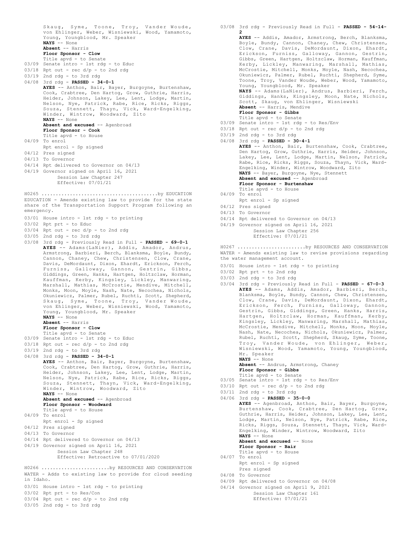Skaug, Syme, Toone, Troy, Vander Woude, von Ehlinger, Weber, Wisniewski, Wood, Yamamoto, Young, Youngblood, Mr. Speaker<br>NAYS -- None .<br>-- None **Absent** -- Harris **Floor Sponsor - Clow** Title apvd - to Senate 03/09 Senate intro - 1st rdg - to Educ  $03/18$  Rpt out - rec  $d/p$  - to 2nd rdg 03/19 2nd rdg - to 3rd rdg 04/08 3rd rdg - **PASSED - 34-0-1 AYES** -- Anthon, Bair, Bayer, Burgoyne, Burtenshaw, Cook, Crabtree, Den Hartog, Grow, Guthrie, Harris, Heider, Johnson, Lakey, Lee, Lent, Lodge, Martin, Nelson, Nye, Patrick, Rabe, Rice, Ricks, Riggs, Souza, Stennett, Thayn, Vick, Ward-Engelking, Winder, Wintrow, Woodward, Zito **NAYS** -- None Absent and excused -- Agenbroad **Floor Sponsor - Cook** Title apvd - to House 04/09 To enrol Rpt enrol - Sp signed 04/12 Pres signed 04/13 To Governor 04/14 Rpt delivered to Governor on 04/13 04/19 Governor signed on April 16, 2021 Session Law Chapter 247 Effective: 07/01/21 EDUCATION - Amends existing law to provide for the state share of the Transportation Support Program following an emergency. 03/01 House intro - 1st rdg - to printing 03/02 Rpt prt - to Educ  $03/04$  Rpt out - rec  $d/p$  - to 2nd rdg 03/05 2nd rdg - to 3rd rdg 03/08 3rd rdg - Previously Read in Full - **PASSED - 69-0-1 AYES** -- Adams(LaNier), Addis, Amador, Andrus, Armstrong, Barbieri, Berch, Blanksma, Boyle, Bundy, Cannon, Chaney, Chew, Christensen, Clow, Crane, Davis, DeMordaunt, Dixon, Ehardt, Erickson, Ferch, Furniss, Galloway, Gannon, Gestrin, Gibbs, Giddings, Green, Hanks, Hartgen, Holtzclaw, Horman, Kauffman, Kerby, Kingsley, Lickley, Manwaring, Marshall, Mathias, McCrostie, Mendive, Mitchell, Monks, Moon, Moyle, Nash, Nate, Necochea, Nichols, Okuniewicz, Palmer, Rubel, Ruchti, Scott, Shepherd, Skaug, Syme, Toone, Troy, Vander Woude, von Ehlinger, Weber, Wisniewski, Wood, Yamamoto, Young, Youngblood, Mr. Speaker **NAYS** -- None **Absent** -- Harris **Floor Sponsor - Clow** Title apvd - to Senate 03/09 Senate intro - 1st rdg - to Educ  $03/18$  Rpt out - rec  $d/p$  - to 2nd rdg 03/19 2nd rdg - to 3rd rdg 04/08 3rd rdg - **PASSED - 34-0-1 AYES** -- Anthon, Bair, Bayer, Burgoyne, Burtenshaw, Cook, Crabtree, Den Hartog, Grow, Guthrie, Harris, Heider, Johnson, Lakey, Lee, Lent, Lodge, Martin, Nelson, Nye, Patrick, Rabe, Rice, Ricks, Riggs, Souza, Stennett, Thayn, Vick, Ward-Engelking, Winder, Wintrow, Woodward, Zito **NAYS** -- None Absent and excused -- Agenbroad **Floor Sponsor - Woodward** Title apvd - to House 04/09 To enrol Rpt enrol - Sp signed 04/12 Pres signed 04/13 To Governor 04/14 Rpt delivered to Governor on 04/13 04/19 Governor signed on April 16, 2021 Session Law Chapter 248 Effective: Retroactive to 07/01/2020 H0265 .........................................by EDUCATION WATER - Adds to existing law to provide for cloud seeding in Idaho. 03/01 House intro - 1st rdg - to printing 03/02 Rpt prt - to Res/Con H0266 ........................by RESOURCES AND CONSERVATION 03/08 3rd rdg - Previously Read in Full - **PASSED - 54-14-**

03/04 Rpt out - rec d/p - to 2nd rdg

03/05 2nd rdg - to 3rd rdg

**2 AYES** -- Addis, Amador, Armstrong, Berch, Blanksma, Boyle, Bundy, Cannon, Chaney, Chew, Christensen, Clow, Crane, Davis, DeMordaunt, Dixon, Ehardt, Erickson, Furniss, Galloway, Gannon, Gestrin, Gibbs, Green, Hartgen, Holtzclaw, Horman, Kauffman, Kerby, Lickley, Manwaring, Marshall, Mathias, McCrostie, Mitchell, Monks, Moyle, Nash, Necochea, Okuniewicz, Palmer, Rubel, Ruchti, Shepherd, Syme, Toone, Troy, Vander Woude, Weber, Wood, Yamamoto, Young, Youngblood, Mr. Speaker **NAYS** -- Adams(LaNier), Andrus, Barbieri, Ferch, Giddings, Hanks, Kingsley, Moon, Nate, Nichols, Scott, Skaug, von Ehlinger, Wisniewski **Absent** -- Harris, Mendive **Floor Sponsor - Gibbs** Title apvd - to Senate 03/09 Senate intro - 1st rdg - to Res/Env  $03/18$  Rpt out - rec  $d/p$  - to 2nd rdg 03/19 2nd rdg - to 3rd rdg 04/08 3rd rdg - **PASSED - 30-4-1 AYES** -- Anthon, Bair, Burtenshaw, Cook, Crabtree, Den Hartog, Grow, Guthrie, Harris, Heider, Johnson, Lakey, Lee, Lent, Lodge, Martin, Nelson, Patrick, Rabe, Rice, Ricks, Riggs, Souza, Thayn, Vick, Ward-Engelking, Winder, Wintrow, Woodward, Zito **NAYS** -- Bayer, Burgoyne, Nye, Stennett Absent and excused -- Agenbroad **Floor Sponsor - Burtenshaw** Title apvd - to House 04/09 To enrol Rpt enrol - Sp signed 04/12 Pres signed 04/13 To Governor 04/14 Rpt delivered to Governor on 04/13 04/19 Governor signed on April 16, 2021 Session Law Chapter 256 Effective: 07/01/21 WATER - Amends existing law to revise provisions regarding the water management account. 03/01 House intro - 1st rdg - to printing 03/02 Rpt prt - to 2nd rdg 03/03 2nd rdg - to 3rd rdg 03/04 3rd rdg - Previously Read in Full - **PASSED - 67-0-3** H0267 ........................by RESOURCES AND CONSERVATION

**AYES** -- Adams, Addis, Amador, Barbieri, Berch, Blanksma, Boyle, Bundy, Cannon, Chew, Christensen, Clow, Crane, Davis, DeMordaunt, Dixon, Ehardt, Erickson, Ferch, Furniss, Galloway, Gannon, Gestrin, Gibbs, Giddings, Green, Hanks, Harris, Hartgen, Holtzclaw, Horman, Kauffman, Kerby, Kingsley, Lickley, Manwaring, Marshall, Mathias, McCrostie, Mendive, Mitchell, Monks, Moon, Moyle, Nash, Nate, Necochea, Nichols, Okuniewicz, Palmer, Rubel, Ruchti, Scott, Shepherd, Skaug, Syme, Toone, Troy, Vander Woude, von Ehlinger, Weber, Wisniewski, Wood, Yamamoto, Young, Youngblood, Mr. Speaker **NAYS** -- None

**Absent** -- Andrus, Armstrong, Chaney **Floor Sponsor - Gibbs**

- Title apvd to Senate 03/05 Senate intro 1st rdg to Res/Env
- 03/10 Rpt out rec d/p to 2nd rdg
- 03/11 2nd rdg to 3rd rdg
- 04/06 3rd rdg **PASSED 35-0-0 AYES** -- Agenbroad, Anthon, Bair, Bayer, Burgoyne, Burtenshaw, Cook, Crabtree, Den Hartog, Grow, Guthrie, Harris, Heider, Johnson, Lakey, Lee, Lent, Lodge, Martin, Nelson, Nye, Patrick, Rabe, Rice, Ricks, Riggs, Souza, Stennett, Thayn, Vick, Ward-Engelking, Winder, Wintrow, Woodward, Zito **NAYS** -- None **Absent and excused** -- None **Floor Sponsor - Bair**
	- Title apvd to House
- 04/07 To enrol
	- Rpt enrol Sp signed Pres signed
- 04/08 To Governor
- 04/09 Rpt delivered to Governor on 04/08
- 04/14 Governor signed on April 9, 2021 Session Law Chapter 161 Effective: 07/01/21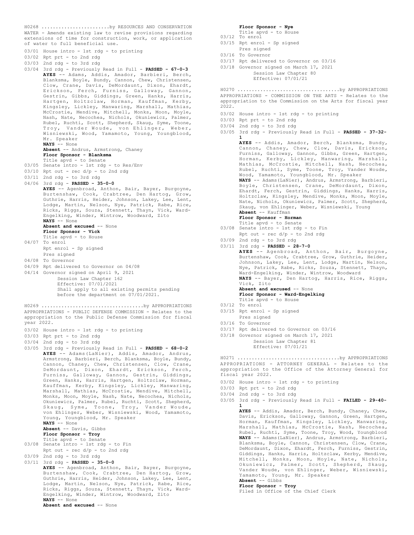WATER - Amends existing law to revise provisions regarding extensions of time for construction, work, or application of water to full beneficial use. H0268 ........................by RESOURCES AND CONSERVATION

- 03/01 House intro 1st rdg to printing
- 03/02 Rpt prt to 2nd rdg
- 03/03 2nd rdg to 3rd rdg
- 03/04 3rd rdg Previously Read in Full **PASSED 67-0-3 AYES** -- Adams, Addis, Amador, Barbieri, Berch, Blanksma, Boyle, Bundy, Cannon, Chew, Christensen, Clow, Crane, Davis, DeMordaunt, Dixon, Ehardt, Erickson, Ferch, Furniss, Galloway, Gannon, Gestrin, Gibbs, Giddings, Green, Hanks, Harris, Hartgen, Holtzclaw, Horman, Kauffman, Kerby, Kingsley, Lickley, Manwaring, Marshall, Mathias, McCrostie, Mendive, Mitchell, Monks, Moon, Moyle, Nash, Nate, Necochea, Nichols, Okuniewicz, Palmer, Rubel, Ruchti, Scott, Shepherd, Skaug, Syme, Toone, Troy, Vander Woude, von Ehlinger, Weber, Wisniewski, Wood, Yamamoto, Young, Youngblood, Mr. Speaker **NAYS** -- None **Absent** -- Andrus, Armstrong, Chaney **Floor Sponsor - Blanksma** Title apvd - to Senate 03/05 Senate intro - 1st rdg - to Res/Env 03/10 Rpt out - rec d/p - to 2nd rdg 03/11 2nd rdg - to 3rd rdg
- 
- 04/06 3rd rdg **PASSED 35-0-0**
- **AYES** -- Agenbroad, Anthon, Bair, Bayer, Burgoyne, Burtenshaw, Cook, Crabtree, Den Hartog, Grow, Guthrie, Harris, Heider, Johnson, Lakey, Lee, Lent, Lodge, Martin, Nelson, Nye, Patrick, Rabe, Rice, Ricks, Riggs, Souza, Stennett, Thayn, Vick, Ward-Engelking, Winder, Wintrow, Woodward, Zito **NAYS** -- None
	- **Absent and excused** -- None
	- **Floor Sponsor Vick** Title apvd - to House
- 04/07 To enrol
- Rpt enrol Sp signed
- Pres signed
- 04/08 To Governor
- 04/09 Rpt delivered to Governor on 04/08
- 04/14 Governor signed on April 9, 2021 Session Law Chapter 162 Effective: 07/01/2021 Shall apply to all existing permits pending before the department on 07/01/2021.
- 
- APPROPRIATIONS PUBLIC DEFENSE COMMISSION Relates to the appropriation to the Public Defense Commission for fiscal year 2022. H0269 ....................................by APPROPRIATIONS
- 03/02 House intro 1st rdg to printing
- 03/03 Rpt prt to 2nd rdg
- 03/04 2nd rdg to 3rd rdg
- 03/05 3rd rdg Previously Read in Full **PASSED 68-0-2 AYES** -- Adams(LaNier), Addis, Amador, Andrus, Armstrong, Barbieri, Berch, Blanksma, Boyle, Bundy, Cannon, Chaney, Chew, Christensen, Clow, Crane, DeMordaunt, Dixon, Ehardt, Erickson, Ferch, Furniss, Galloway, Gannon, Gestrin, Giddings, Green, Hanks, Harris, Hartgen, Holtzclaw, Horman, Kauffman, Kerby, Kingsley, Lickley, Manwaring, Marshall, Mathias, McCrostie, Mendive, Mitchell, Monks, Moon, Moyle, Nash, Nate, Necochea, Nichols, Okuniewicz, Palmer, Rubel, Ruchti, Scott, Shepherd, Skaug, Syme, Toone, Troy, Vander Woude, von Ehlinger, Weber, Wisniewski, Wood, Yamamoto, Young, Youngblood, Mr. Speaker **NAYS** -- None **Absent** -- Davis, Gibbs **Floor Sponsor - Troy** Title apvd - to Senate 03/08 Senate intro - 1st rdg - to Fin Rpt out - rec d/p - to 2nd rdg 03/09 2nd rdg - to 3rd rdg
- 03/11 3rd rdg **PASSED 35-0-0**
	- **AYES** -- Agenbroad, Anthon, Bair, Bayer, Burgoyne, Burtenshaw, Cook, Crabtree, Den Hartog, Grow, Guthrie, Harris, Heider, Johnson, Lakey, Lee, Lent, Lodge, Martin, Nelson, Nye, Patrick, Rabe, Rice, Ricks, Riggs, Souza, Stennett, Thayn, Vick, Ward-Engelking, Winder, Wintrow, Woodward, Zito **NAYS** -- None
		- **Absent and excused** -- None

**Floor Sponsor - Nye** Title apvd - to House

- 03/12 To enrol
- 03/15 Rpt enrol Sp signed Pres signed
- 03/16 To Governor
- 03/17 Rpt delivered to Governor on 03/16
- 03/18 Governor signed on March 17, 2021 Session Law Chapter 80 Effective: 07/01/21

APPROPRIATIONS - COMMISSION ON THE ARTS - Relates to the appropriation to the Commission on the Arts for fiscal year 2022. H0270 ....................................by APPROPRIATIONS

- 03/02 House intro 1st rdg to printing
- 03/03 Rpt prt to 2nd rdg
- 03/04 2nd rdg to 3rd rdg
- 03/05 3rd rdg Previously Read in Full **PASSED 37-32-**

**1 AYES** -- Addis, Amador, Berch, Blanksma, Bundy, Cannon, Chaney, Chew, Clow, Davis, Erickson, Furniss, Galloway, Gannon, Gibbs, Green, Hartgen, Horman, Kerby, Lickley, Manwaring, Marshall, Mathias, McCrostie, Mitchell, Nash, Necochea, Rubel, Ruchti, Syme, Toone, Troy, Vander Woude, Wood, Yamamoto, Youngblood, Mr. Speaker **NAYS** -- Adams(LaNier), Andrus, Armstrong, Barbieri, Boyle, Christensen, Crane, DeMordaunt, Dixon, Ehardt, Ferch, Gestrin, Giddings, Hanks, Harris, Holtzclaw, Kingsley, Mendive, Monks, Moon, Moyle, Nate, Nichols, Okuniewicz, Palmer, Scott, Shepherd, Skaug, von Ehlinger, Weber, Wisniewski, Young **Absent** -- Kauffman **Floor Sponsor - Horman**

- Title apvd to Senate 03/08 Senate intro 1st rdg to Fin Rpt out - rec d/p - to 2nd rdg
- 03/09 2nd rdg to 3rd rdg
- 03/11 3rd rdg **PASSED 28-7-0 AYES** -- Agenbroad, Anthon, Bair, Burgoyne, Burtenshaw, Cook, Crabtree, Grow, Guthrie, Heider, Johnson, Lakey, Lee, Lent, Lodge, Martin, Nelson, Nye, Patrick, Rabe, Ricks, Souza, Stennett, Thayn, Ward-Engelking, Winder, Wintrow, Woodward **NAYS** -- Bayer, Den Hartog, Harris, Rice, Riggs, Vick, Zito **Absent and excused** -- None **Floor Sponsor - Ward-Engelking** Title apvd - to House 03/12 To enrol 03/15 Rpt enrol - Sp signed Pres signed 03/16 To Governor 03/17 Rpt delivered to Governor on 03/16
- 03/18 Governor signed on March 17, 2021 Session Law Chapter 81 Effective: 07/01/21

APPROPRIATIONS - ATTORNEY GENERAL - Relates to the appropriation to the Office of the Attorney General for fiscal year 2022. H0271 ....................................by APPROPRIATIONS

- 03/02 House intro 1st rdg to printing
- 03/03 Rpt prt to 2nd rdg
- 03/04 2nd rdg to 3rd rdg
- 03/05 3rd rdg Previously Read in Full **FAILED 29-40- 1**

**AYES** -- Addis, Amador, Berch, Bundy, Chaney, Chew, Davis, Erickson, Galloway, Gannon, Green, Hartgen, Horman, Kauffman, Kingsley, Lickley, Manwaring, Marshall, Mathias, McCrostie, Nash, Necochea, Rubel, Ruchti, Syme, Toone, Troy, Wood, Youngblood **NAYS** -- Adams(LaNier), Andrus, Armstrong, Barbieri, Blanksma, Boyle, Cannon, Christensen, Clow, Crane, DeMordaunt, Dixon, Ehardt, Ferch, Furniss, Gestrin, Giddings, Hanks, Harris, Holtzclaw, Kerby, Mendive, Mitchell, Monks, Moon, Moyle, Nate, Nichols, Okuniewicz, Palmer, Scott, Shepherd, Skaug, Vander Woude, von Ehlinger, Weber, Wisniewski, Yamamoto, Young, Mr. Speaker

# **Absent** -- Gibbs **Floor Sponsor - Troy**

Filed in Office of the Chief Clerk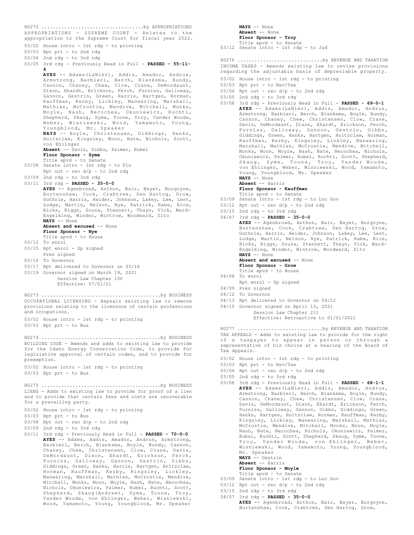APPROPRIATIONS - SUPREME COURT - Relates to the appropriation to the Supreme Court for fiscal year 2022. 03/02 House intro - 1st rdg - to printing 03/03 Rpt prt - to 2nd rdg 03/04 2nd rdg - to 3rd rdg 03/05 3rd rdg - Previously Read in Full - **PASSED - 55-11- 4 AYES** -- Adams(LaNier), Addis, Amador, Andrus, Armstrong, Barbieri, Berch, Blanksma, Bundy, Cannon, Chaney, Chew, Clow, Crane, DeMordaunt, Dixon, Ehardt, Erickson, Ferch, Furniss, Galloway, Gannon, Gestrin, Green, Harris, Hartgen, Horman, Kauffman, Kerby, Lickley, Manwaring, Marshall, Mathias, McCrostie, Mendive, Mitchell, Monks, Moyle, Nash, Necochea, Okuniewicz, Ruchti, Shepherd, Skaug, Syme, Toone, Troy, Vander Woude, Weber, Wisniewski, Wood, Yamamoto, Young, Youngblood, Mr. Speaker **NAYS** -- Boyle, Christensen, Giddings, Hanks, Holtzclaw, Kingsley, Moon, Nate, Nichols, Scott, von Ehlinger **Absent** -- Davis, Gibbs, Palmer, Rubel **Floor Sponsor - Syme** Title apvd - to Senate 03/08 Senate intro - 1st rdg - to Fin Rpt out - rec d/p - to 2nd rdg 03/09 2nd rdg - to 3rd rdg 03/11 3rd rdg - **PASSED - 35-0-0 AYES** -- Agenbroad, Anthon, Bair, Bayer, Burgoyne, Burtenshaw, Cook, Crabtree, Den Hartog, Grow, Guthrie, Harris, Heider, Johnson, Lakey, Lee, Lent, Lodge, Martin, Nelson, Nye, Patrick, Rabe, Rice, Ricks, Riggs, Souza, Stennett, Thayn, Vick, Ward-Engelking, Winder, Wintrow, Woodward, Zito **NAYS** -- None Absent and excused -- None **Floor Sponsor - Nye** Title apvd - to House 03/12 To enrol 03/15 Rpt enrol - Sp signed Pres signed 03/16 To Governor 03/17 Rpt delivered to Governor on 03/16 03/19 Governor signed on March 19, 2021 Session Law Chapter 100 Effective: 07/01/21 H0272 ....................................by APPROPRIATIONS OCCUPATIONAL LICENSING - Repeals existing law to remove provisions relating to the licensure of certain professions and occupations. 03/02 House intro - 1st rdg - to printing 03/03 Rpt prt - to Bus H0273 ..........................................by BUSINESS BUILDING CODE - Amends and adds to existing law to provide for the Idaho Energy Conservation Code, to provide for legislative approval of certain codes, and to provide for preemption. 03/02 House intro - 1st rdg - to printing 03/03 Rpt prt - to Bus H0274 ..........................................by BUSINESS LIENS - Adds to existing law to provide for proof of a lien and to provide that certain fees and costs are recoverable for a prevailing party. 03/02 House intro - 1st rdg - to printing 03/03 Rpt prt - to Bus 03/08 Rpt out - rec d/p - to 2nd rdg 03/09 2nd rdg - to 3rd rdg 03/11 3rd rdg - Previously Read in Full - **PASSED - 70-0-0 AYES** -- Adams, Addis, Amador, Andrus, Armstrong, Barbieri, Berch, Blanksma, Boyle, Bundy, Cannon, Chaney, Chew, Christensen, Clow, Crane, Davis, DeMordaunt, Dixon, Ehardt, Erickson, Ferch, Furniss, Galloway, Gannon, Gestrin, Gibbs, Giddings, Green, Hanks, Harris, Hartgen, Holtzclaw, Horman, Kauffman, Kerby, Kingsley, Lickley, Manwaring, Marshall, Mathias, McCrostie, Mendive, Mitchell, Monks, Moon, Moyle, Nash, Nate, Necochea, Nichols, Okuniewicz, Palmer, Rubel, Ruchti, Scott, Shepherd, Skaug(Andrew), Syme, Toone, Troy, Vander Woude, von Ehlinger, Weber, Wisniewski, Wood, Yamamoto, Young, Youngblood, Mr. Speaker H0275 ..........................................by BUSINESS

```
NAYS -- None
      Absent -- None
      Floor Sponsor - Troy
      Title apvd - to Senate
03/12 Senate intro - 1st rdg - to Jud
INCOME TAXES - Amends existing law to revise provisions
regarding the adjustable basis of depreciable property.
03/02 House intro - 1st rdg - to printing
03/03 Rpt prt - to Rev/Tax
03/04 Rpt out - rec d/p - to 2nd rdg
03/05 2nd rdg - to 3rd rdg
03/08 3rd rdg - Previously Read in Full - PASSED - 69-0-1
      AYES -- Adams(LaNier), Addis, Amador, Andrus,
      Armstrong, Barbieri, Berch, Blanksma, Boyle, Bundy,
      Cannon, Chaney, Chew, Christensen, Clow, Crane,
      Davis, DeMordaunt, Dixon, Ehardt, Erickson, Ferch,
      Furniss, Galloway, Gannon, Gestrin, Gibbs,
      Giddings, Green, Hanks, Hartgen, Holtzclaw, Horman,
      Kauffman, Kerby, Kingsley, Lickley, Manwaring,
      Marshall, Mathias, McCrostie, Mendive, Mitchell,
      Monks, Moon, Moyle, Nash, Nate, Necochea, Nichols,
      Okuniewicz, Palmer, Rubel, Ruchti, Scott, Shepherd,
       Skaug, Syme, Toone, Troy, Vander Woude,
von Ehlinger, Weber, Wisniewski, Wood, Yamamoto,
      Young, Youngblood, Mr. Speaker
      NAYS -- None
      Absent -- Harris
      Floor Sponsor - Kauffman
      Title apvd - to Senate
03/09 Senate intro - 1st rdg - to Loc Gov
03/12 Rpt out - rec d/p - to 2nd rdg
03/15 2nd rdg - to 3rd rdg
04/07 3rd rdg - PASSED - 35-0-0
      AYES -- Agenbroad, Anthon, Bair, Bayer, Burgoyne,
      Burtenshaw, Cook, Crabtree, Den Hartog, Grow,
      Guthrie, Harris, Heider, Johnson, Lakey, Lee, Lent,
      Lodge, Martin, Nelson, Nye, Patrick, Rabe, Rice,
      Ricks, Riggs, Souza, Stennett, Thayn, Vick, Ward-
      Engelking, Winder, Wintrow, Woodward, Zito
      NAYS -- None
      Absent and excused -- None
      Floor Sponsor - Grow
      Title apvd - to House
04/08 To enrol
      Rpt enrol - Sp signed
04/09 Pres signed
04/12 To Governor
04/13 Rpt delivered to Governor on 04/12
04/15 Governor signed on April 13, 2021
           Session Law Chapter 211
           Effective: Retroactive to 01/01/2021
H0276 ..............................by REVENUE AND TAXATION
```
TAX APPEALS - Adds to existing law to provide for the right of a taxpayer to appear in person or through a representative of his choice at a hearing of the Board of Tax Appeals. H0277 ..............................by REVENUE AND TAXATION

- 03/02 House intro 1st rdg to printing
- 03/03 Rpt prt to Rev/Tax
- 03/04 Rpt out rec d/p to 2nd rdg
- 03/05 2nd rdg to 3rd rdg
- 03/08 3rd rdg Previously Read in Full **PASSED 68-1-1 AYES** -- Adams(LaNier), Addis, Amador, Andrus, Armstrong, Barbieri, Berch, Blanksma, Boyle, Bundy, Cannon, Chaney, Chew, Christensen, Clow, Crane, Davis, DeMordaunt, Dixon, Ehardt, Erickson, Ferch, Furniss, Galloway, Gannon, Gibbs, Giddings, Green, Hanks, Hartgen, Holtzclaw, Horman, Kauffman, Kerby, Kingsley, Lickley, Manwaring, Marshall, Mathias, McCrostie, Mendive, Mitchell, Monks, Moon, Moyle, Nash, Nate, Necochea, Nichols, Okuniewicz, Palmer, Rubel, Ruchti, Scott, Shepherd, Skaug, Syme, Toone, Troy, Vander Woude, von Ehlinger, Weber, Wisniewski, Wood, Yamamoto, Young, Youngblood, Mr. Speaker **NAYS** -- Gestrin
	- **Absent** -- Harris
	- **Floor Sponsor Moyle**

## Title apvd - to Senate

- 03/09 Senate intro 1st rdg to Loc Gov
- $03/12$  Rpt out rec  $d/p$  to 2nd rdg
- 03/15 2nd rdg to 3rd rdg
- 04/07 3rd rdg **PASSED 35-0-0 AYES** -- Agenbroad, Anthon, Bair, Bayer, Burgoyne, Burtenshaw, Cook, Crabtree, Den Hartog, Grow,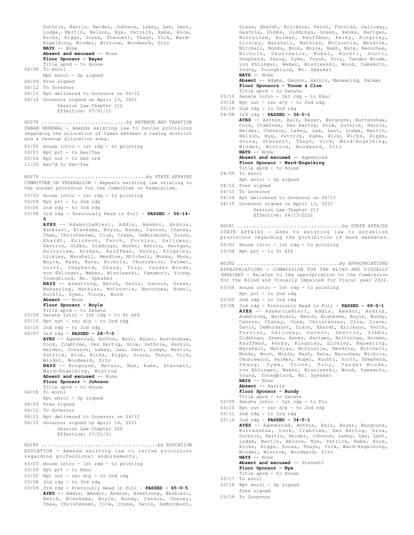Guthrie, Harris, Heider, Johnson, Lakey, Lee, Lent, Lodge, Martin, Nelson, Nye, Patrick, Rabe, Rice, Ricks, Riggs, Souza, Stennett, Thayn, Vick, Ward-Engelking, Winder, Wintrow, Woodward, Zito **NAYS** -- None Absent and excused -- None **Floor Sponsor - Bayer** Title apvd - to House 04/08 To enrol Rpt enrol - Sp signed 04/09 Pres signed 04/12 To Governor 04/13 Rpt delivered to Governor on 04/12 04/15 Governor signed on April 13, 2021 Session Law Chapter 212 Effective: 07/01/21 URBAN RENEWAL - Amends existing law to revise provisions regarding the allocation of taxes between a taxing district and a revenue allocation area. 03/02 House intro - 1st rdg - to printing 03/03 Rpt prt - to Rev/Tax 03/04 Rpt out - to Gen Ord 11/15 Ret'd to Rev/Tax H0278 ..............................by REVENUE AND TAXATION COMMITTEE ON FEDERALISM - Repeals existing law relating to the sunset provision for the Committee on Federalism. 03/03 House intro - 1st rdg - to printing 03/04 Rpt prt - to 2nd rdg 03/05 2nd rdg - to 3rd rdg 03/08 3rd rdg - Previously Read in Full - **PASSED - 56-14- 0 AYES** -- Adams(LaNier), Addis, Amador, Andrus, Barbieri, Blanksma, Boyle, Bundy, Cannon, Chaney, Chew, Christensen, Clow, Crane, DeMordaunt, Dixon, Ehardt, Erickson, Ferch, Furniss, Galloway, Gestrin, Gibbs, Giddings, Hanks, Harris, Hartgen, Holtzclaw, Horman, Kauffman, Kerby, Kingsley, Lickley, Marshall, Mendive, Mitchell, Monks, Moon, Moyle, Nash, Nate, Nichols, Okuniewicz, Palmer, Scott, Shepherd, Skaug, Troy, Vander Woude, von Ehlinger, Weber, Wisniewski, Yamamoto, Young, Youngblood, Mr. Speaker **NAYS** -- Armstrong, Berch, Davis, Gannon, Green, Manwaring, Mathias, McCrostie, Necochea, Rubel, Ruchti, Syme, Toone, Wood **Absent** -- None **Floor Sponsor - Boyle** Title apvd - to Senate 03/09 Senate intro - 1st rdg - to St Aff  $03/15$  Rpt out - rec  $d/p$  - to 2nd rdg 03/16 2nd rdg - to 3rd rdg 04/07 3rd rdg - **PASSED - 28-7-0 AYES** -- Agenbroad, Anthon, Bair, Bayer, Burtenshaw, Cook, Crabtree, Den Hartog, Grow, Guthrie, Harris, Heider, Johnson, Lakey, Lee, Lent, Lodge, Martin, Patrick, Rice, Ricks, Riggs, Souza, Thayn, Vick, Winder, Woodward, Zito **NAYS** -- Burgoyne, Nelson, Nye, Rabe, Stennett, Ward-Engelking, Wintrow **Absent and excused** -- None **Floor Sponsor - Johnson** Title apvd - to House 04/08 To enrol Rpt enrol - Sp signed 04/09 Pres signed 04/12 To Governor 04/13 Rpt delivered to Governor on 04/12 04/15 Governor signed on April 14, 2021 Session Law Chapter 220 Effective: 07/01/21 H0279 .....................................by STATE AFFAIRS EDUCATION - Amends existing law to revise provisions regarding professional endorsements. 03/03 House intro - 1st rdg - to printing 03/04 Rpt prt - to Educ  $03/05$  Rpt out - rec  $d/p$  - to 2nd rdg 03/08 2nd rdg - to 3rd rdg 03/09 3rd rdg - Previously Read in Full - **PASSED - 65-0-5 AYES** -- Addis, Amador, Andrus, Armstrong, Barbieri, H0280 .........................................by EDUCATION

Berch, Blanksma, Boyle, Bundy, Cannon, Chaney, Chew, Christensen, Clow, Crane, Davis, DeMordaunt,

Dixon, Ehardt, Erickson, Ferch, Furniss, Galloway, Gestrin, Gibbs, Giddings, Green, Hanks, Hartgen, Holtzclaw, Horman, Kauffman, Kerby, Kingsley, Lickley, Marshall, Mathias, McCrostie, Mendive, Mitchell, Monks, Moon, Moyle, Nash, Nate, Necochea, Nichols, Okuniewicz, Rubel, Ruchti, Scott, Shepherd, Skaug, Syme, Toone, Troy, Vander Woude, von Ehlinger, Weber, Wisniewski, Wood, Yamamoto, Young, Youngblood, Mr. Speaker **NAYS** -- None **Absent** -- Adams, Gannon, Harris, Manwaring, Palmer **Floor Sponsors - Toone & Clow** Title apvd - to Senate 03/10 Senate intro - 1st rdg - to Educ  $03/18$  Rpt out - rec  $d/p$  - to 2nd rdg 03/19 2nd rdg - to 3rd rdg 04/08 3rd rdg - **PASSED - 34-0-1 AYES** -- Anthon, Bair, Bayer, Burgoyne, Burtenshaw, Cook, Crabtree, Den Hartog, Grow, Guthrie, Harris, Heider, Johnson, Lakey, Lee, Lent, Lodge, Martin, Nelson, Nye, Patrick, Rabe, Rice, Ricks, Riggs, Souza, Stennett, Thayn, Vick, Ward-Engelking, Winder, Wintrow, Woodward, Zito **NAYS** -- None **Absent and excused** -- Agenbroad **Floor Sponsor - Ward-Engelking** Title apvd - to House 04/09 To enrol Rpt enrol - Sp signed 04/12 Pres signed 04/13 To Governor 04/14 Rpt delivered to Governor on 04/13 04/15 Governor signed on April 13, 2021 Session Law Chapter 213 Effective: 04/13/2021 STATE AFFAIRS - Adds to existing law to establish provisions regarding the prohibition of mask mandates. 03/03 House intro - 1st rdg - to printing 03/04 Rpt prt - to St Aff H0281 .....................................by STATE AFFAIRS APPROPRIATIONS - COMMISSION FOR THE BLIND AND VISUALLY IMPAIRED - Relates to the appropriation to the Commission for the Blind and Visually Impaired for fiscal year 2022. 03/04 House intro - 1st rdg - to printing Rpt prt - to 2nd rdg 03/05 2nd rdg - to 3rd rdg 03/08 3rd rdg - Previously Read in Full - **PASSED - 69-0-1 AYES** -- Adams(LaNier), Addis, Amador, Andrus, Armstrong, Barbieri, Berch, Blanksma, Boyle, Bundy, Cannon, Chaney, Chew, Christensen, Clow, Crane, Davis, DeMordaunt, Dixon, Ehardt, Erickson, Ferch, Furniss, Galloway, Gannon, Gestrin, Gibbs, Giddings, Green, Hanks, Hartgen, Holtzclaw, Horman, Kauffman, Kerby, Kingsley, Lickley, Manwaring, Marshall, Mathias, McCrostie, Mendive, Mitchell, Monks, Moon, Moyle, Nash, Nate, Necochea, Nichols, Okuniewicz, Palmer, Rubel, Ruchti, Scott, Shepherd, Skaug, Syme, Toone, Troy, Vander Woude, von Ehlinger, Weber, Wisniewski, Wood, Yamamoto, Young, Youngblood, Mr. Speaker **NAYS** -- None **Absent** -- Harris **Floor Sponsor - Bundy** Title apvd - to Senate 03/09 Senate intro - 1st rdg - to Fin  $03/10$  Rpt out - rec  $d/p$  - to 2nd rdg 03/11 2nd rdg - to 3rd rdg 03/16 3rd rdg - **PASSED - 34-0-1 AYES** -- Agenbroad, Anthon, Bair, Bayer, Burgoyne, Burtenshaw, Cook, Crabtree, Den Hartog, Grow, Guthrie, Harris, Heider, Johnson, Lakey, Lee, Lent, Lodge, Martin, Nelson, Nye, Patrick, Rabe, Rice, Ricks, Riggs, Souza, Thayn, Vick, Ward-Engelking, Winder, Wintrow, Woodward, Zito H0282 ....................................by APPROPRIATIONS

> **NAYS** -- None **Absent and excused** -- Stennett **Floor Sponsor - Nye** Title apvd - to House

- 03/17 To enrol
- 03/18 Rpt enrol Sp signed Pres signed
- 03/19 To Governor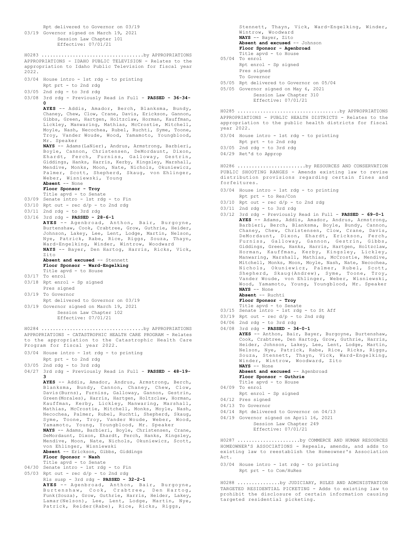Rpt delivered to Governor on 03/19 03/19 Governor signed on March 19, 2021 Session Law Chapter 101 Effective: 07/01/21 APPROPRIATIONS - IDAHO PUBLIC TELEVISION - Relates to the appropriation to Idaho Public Television for fiscal year 2022. 03/04 House intro - 1st rdg - to printing Rpt prt - to 2nd rdg 03/05 2nd rdg - to 3rd rdg 03/08 3rd rdg - Previously Read in Full - **PASSED - 36-34- 0 AYES** -- Addis, Amador, Berch, Blanksma, Bundy, Chaney, Chew, Clow, Crane, Davis, Erickson, Gannon, Gibbs, Green, Hartgen, Holtzclaw, Horman, Kauffman, Lickley, Manwaring, Mathias, McCrostie, Mitchell, Moyle, Nash, Necochea, Rubel, Ruchti, Syme, Toone, Troy, Vander Woude, Wood, Yamamoto, Youngblood, Mr. Speaker **NAYS** -- Adams(LaNier), Andrus, Armstrong, Barbieri, Boyle, Cannon, Christensen, DeMordaunt, Dixon, Ehardt, Ferch, Furniss, Galloway, Gestrin, Giddings, Hanks, Harris, Kerby, Kingsley, Marshall, Mendive, Monks, Moon, Nate, Nichols, Okuniewicz, Palmer, Scott, Shepherd, Skaug, von Ehlinger, Weber, Wisniewski, Young **Absent** -- None **Floor Sponsor - Troy** Title apvd - to Senate 03/09 Senate intro - 1st rdg - to Fin  $03/10$  Rpt out - rec  $d/p$  - to 2nd rdg 03/11 2nd rdg - to 3rd rdg 03/16 3rd rdg - **PASSED - 28-6-1 AYES** -- Agenbroad, Anthon, Bair, Burgoyne, Burtenshaw, Cook, Crabtree, Grow, Guthrie, Heider, Johnson, Lakey, Lee, Lent, Lodge, Martin, Nelson, Nye, Patrick, Rabe, Rice, Riggs, Souza, Thayn, Ward-Engelking, Winder, Wintrow, Woodward **NAYS** -- Bayer, Den Hartog, Harris, Ricks, Vick, Zito **Absent and excused** -- Stennett **Floor Sponsor - Ward-Engelking** Title apvd - to House 03/17 To enrol 03/18 Rpt enrol - Sp signed Pres signed 03/19 To Governor Rpt delivered to Governor on 03/19 03/19 Governor signed on March 19, 2021 Session Law Chapter 102 Effective: 07/01/21 H0283 ....................................by APPROPRIATIONS APPROPRIATIONS - CATASTROPHIC HEALTH CARE PROGRAM - Relates to the appropriation to the Catastrophic Health Care Program for fiscal year 2022. 03/04 House intro - 1st rdg - to printing Rpt prt - to 2nd rdg 03/05 2nd rdg - to 3rd rdg 04/27 3rd rdg - Previously Read in Full - **PASSED - 48-19- 3 AYES** -- Addis, Amador, Andrus, Armstrong, Berch, Blanksma, Bundy, Cannon, Chaney, Chew, Clow, Davis(Burns), Furniss, Galloway, Gannon, Gestrin, Green(Morales), Harris, Hartgen, Holtzclaw, Horman, Kauffman, Kerby, Lickley, Manwaring, Marshall, Mathias, McCrostie, Mitchell, Monks, Moyle, Nash, Necochea, Palmer, Rubel, Ruchti, Shepherd, Skaug, Syme, Toone, Troy, Vander Woude, Weber, Wood, Yamamoto, Young, Youngblood, Mr. Speaker **NAYS** -- Adams, Barbieri, Boyle, Christensen, Crane, DeMordaunt, Dixon, Ehardt, Ferch, Hanks, Kingsley, Mendive, Moon, Nate, Nichols, Okuniewicz, Scott, von Ehlinger, Wisniewski **Absent** -- Erickson, Gibbs, Giddings **Floor Sponsor - Nash** Title apvd - to Senate 04/30 Senate intro - 1st rdg - to Fin 05/03 Rpt out - rec  $d/p$  - to 2nd rdg Rls susp - 3rd rdg - **PASSED - 32-2-1 AYES** -- Agenbroad, Anthon, Bair, Burgoyne, Burtenshaw, Cook, Crabtree, Den Hartog, Funk(Souza), Grow, Guthrie, Harris, Heider, Lakey, Lamar(Nelson), Lee, Lent, Lodge, Martin, Nye, H0284 ....................................by APPROPRIATIONS

Patrick, Reider(Rabe), Rice, Ricks, Riggs,

Stennett, Thayn, Vick, Ward-Engelking, Winder, Wintrow, Woodward **NAYS** -- Bayer, Zito **Absent and excused** -- Johnson **Floor Sponsor - Agenbroad** Title apvd - to House 05/04 To enrol Rpt enrol - Sp signed

- Pres signed To Governor
- 05/05 Rpt delivered to Governor on 05/04
- 05/05 Governor signed on May 6, 2021 Session Law Chapter 310 Effective: 07/01/21

APPROPRIATIONS - PUBLIC HEALTH DISTRICTS - Relates to the appropriation to the public health districts for fiscal year 2022. H0285 ....................................by APPROPRIATIONS

- 03/04 House intro 1st rdg to printing Rpt prt - to 2nd rdg
- 03/05 2nd rdg to 3rd rdg
- 04/29 Ret'd to Approp

PUBLIC SHOOTING RANGES - Amends existing law to revise distribution provisions regarding certain fines and forfeitures. H0286 ........................by RESOURCES AND CONSERVATION

- 03/04 House intro 1st rdg to printing Rpt prt - to Res/Con
- $03/10$  Rpt out rec d/p to 2nd rdg
- 03/11 2nd rdg to 3rd rdg
- 03/12 3rd rdg Previously Read in Full **PASSED 69-0-1 AYES** -- Adams, Addis, Amador, Andrus, Armstrong, Barbieri, Berch, Blanksma, Boyle, Bundy, Cannon, Chaney, Chew, Christensen, Clow, Crane, Davis, DeMordaunt, Dixon, Ehardt, Erickson, Ferch,<br>Furniss, Galloway, Gannon, Gestrin, Gibbs,<br>Giddings, Green, Hanks, Harris, Hartgen, Holtzclaw,<br>Horman, Kauffman, Kerby, Kingsley, Lickley,<br>Manwaring, Marshall, Mathias, McCrostie Mitchell, Monks, Moon, Moyle, Nash, Nate, Necochea, Nichols, Okuniewicz, Palmer, Rubel, Scott, Shepherd, Skaug(Andrew), Syme, Toone, Troy, Vander Woude, von Ehlinger, Weber, Wisniewski, Wood, Yamamoto, Young, Youngblood, Mr. Speaker **NAYS** -- None **Absent** -- Ruchti
	- **Floor Sponsor Troy**
	- Title apvd to Senate
- 03/15 Senate intro 1st rdg to St Aff
- 03/19 Rpt out rec  $d/p$  to 2nd rdg
- 04/06 2nd rdg to 3rd rdg

04/08 3rd rdg - **PASSED - 34-0-1 AYES** -- Anthon, Bair, Bayer, Burgoyne, Burtenshaw, Cook, Crabtree, Den Hartog, Grow, Guthrie, Harris, Heider, Johnson, Lakey, Lee, Lent, Lodge, Martin, Nelson, Nye, Patrick, Rabe, Rice, Ricks, Riggs, Souza, Stennett, Thayn, Vick, Ward-Engelking, Winder, Wintrow, Woodward, Zito **NAYS** -- None

Absent and excused -- Agenbroad **Floor Sponsor - Guthrie** Title apvd - to House

- 04/09 To enrol
- Rpt enrol Sp signed
- 04/12 Pres signed
- 04/13 To Governor
- 04/14 Rpt delivered to Governor on 04/13
- 04/19 Governor signed on April 16, 2021

Session Law Chapter 249 Effective: 07/01/21

HOMEOWNER'S ASSOCIATIONS - Repeals, amends, and adds to existing law to reestablish the Homeowner's Association Act. H0287 ......................by COMMERCE AND HUMAN RESOURCES

03/04 House intro - 1st rdg - to printing Rpt prt - to Com/HuRes

TARGETED RESIDENTIAL PICKETING - Adds to existing law to prohibit the disclosure of certain information causing targeted residential picketing. H0288 ...............by JUDICIARY, RULES AND ADMINISTRATION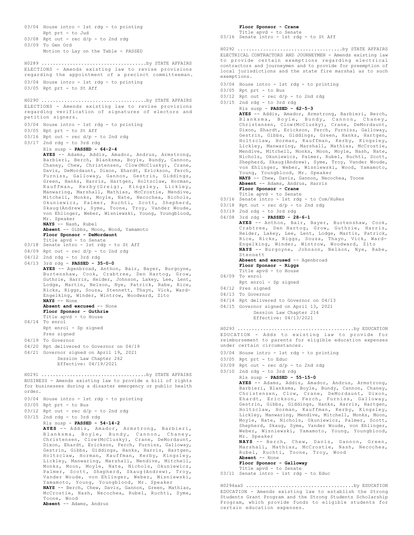03/04 House intro - 1st rdg - to printing Rpt prt - to Jud  $03/08$  Rpt out - rec  $d/p$  - to 2nd rdg 03/09 To Gen Ord Motion to Lay on the Table - PASSED ELECTIONS - Amends existing law to revise provisions regarding the appointment of a precinct committeeman. 03/04 House intro - 1st rdg - to printing 03/05 Rpt prt - to St Aff H0289 .....................................by STATE AFFAIRS ELECTIONS - Amends existing law to revise provisions regarding verification of signatures of electors and petition signers. 03/04 House intro - 1st rdg - to printing 03/05 Rpt prt - to St Aff  $03/16$  Rpt out - rec  $d/p$  - to 2nd rdg 03/17 2nd rdg - to 3rd rdg Rls susp - **PASSED - 64-2-4 AYES** -- Adams, Addis, Amador, Andrus, Armstrong, Barbieri, Berch, Blanksma, Boyle, Bundy, Cannon, Chaney, Chew, Christensen, Clow(McClusky), Crane, Davis, DeMordaunt, Dixon, Ehardt, Erickson, Ferch, Furniss, Galloway, Gannon, Gestrin, Giddings, Green, Hanks, Harris, Hartgen, Holtzclaw, Horman, Kauffman, Kerby(Greig), Kingsley, Lickley, Manwaring, Marshall, Mathias, McCrostie, Mendive, Mitchell, Monks, Moyle, Nate, Necochea, Nichols, Okuniewicz, Palmer, Ruchti, Scott, Shepherd, Skaug(Andrew), Syme, Toone, Troy, Vander Woude, von Ehlinger, Weber, Wisniewski, Young, Youngblood, Mr. Speaker **NAYS** -- Nash, Rubel **Absent** -- Gibbs, Moon, Wood, Yamamoto **Floor Sponsor - DeMordaunt** Title apvd - to Senate 03/18 Senate intro - 1st rdg - to St Aff  $04/09$  Rpt out - rec  $d/p$  - to 2nd rdg 04/12 2nd rdg - to 3rd rdg 04/13 3rd rdg - **PASSED - 35-0-0 AYES** -- Agenbroad, Anthon, Bair, Bayer, Burgoyne, Burtenshaw, Cook, Crabtree, Den Hartog, Grow, Guthrie, Harris, Heider, Johnson, Lakey, Lee, Lent, Lodge, Martin, Nelson, Nye, Patrick, Rabe, Rice, Ricks, Riggs, Souza, Stennett, Thayn, Vick, Ward-Engelking, Winder, Wintrow, Woodward, Zito **NAYS** -- None **Absent and excused** -- None **Floor Sponsor - Guthrie** Title apvd - to House 04/14 To enrol Rpt enrol - Sp signed Pres signed 04/19 To Governor 04/20 Rpt delivered to Governor on 04/19 04/21 Governor signed on April 19, 2021 Session Law Chapter 262 Effective: 04/19/2021 H0290 .....................................by STATE AFFAIRS BUSINESS - Amends existing law to provide a bill of rights for businesses during a disaster emergency or public health order. 03/04 House intro - 1st rdg - to printing 03/05 Rpt prt - to Bus  $03/12$  Rpt out - rec  $d/p$  - to 2nd rdg 03/15 2nd rdg - to 3rd rdg Rls susp - **PASSED - 54-14-2 AYES** -- Addis, Amador, Armstrong, Barbieri, Blanksma, Boyle, Bundy, Cannon, Chaney, Christensen, Clow(McClusky), Crane, DeMordaunt, Dixon, Ehardt, Erickson, Ferch, Furniss, Galloway, Gestrin, Gibbs, Giddings, Hanks, Harris, Hartgen, Holtzclaw, Horman, Kauffman, Kerby, Kingsley, Lickley, Manwaring, Marshall, Mendive, Mitchell, Monks, Moon, Moyle, Nate, Nichols, Okuniewicz, Palmer, Scott, Shepherd, Skaug(Andrew), Troy, Vander Woude, von Ehlinger, Weber, Wisniewski, Yamamoto, Young, Youngblood, Mr. Speaker **NAYS** -- Berch, Chew, Davis, Gannon, Green, Mathias, H0291 .....................................by STATE AFFAIRS

McCrostie, Nash, Necochea, Rubel, Ruchti, Syme, Toone, Wood **Absent** -- Adams, Andrus

**Floor Sponsor - Crane** Title apvd - to Senate 03/16 Senate intro - 1st rdg - to St Aff

ELECTRICAL CONTRACTORS AND JOURNEYMEN - Amends existing law to provide certain exemptions regarding electrical contractors and journeymen and to provide for preemption of local jurisdictions and the state fire marshal as to such exemptions. H0292 .....................................by STATE AFFAIRS

- 03/04 House intro 1st rdg to printing
- 
- 
- 03/05 Rpt prt to Bus  $03/12$  Rpt out - rec  $d/p$  - to 2nd rdg  $03/15$  2nd rdg - to 3rd rdg Rls susp - **PASSED - 62-5-3 AYES** -- Addis, Amador, Armstrong, Barbieri, Berch, Blanksma, Boyle, Bundy, Cannon, Chaney, Christensen, Clow(McClusky), Crane, DeMordaunt, Dixon, Ehardt, Erickson, Ferch, Furniss, Galloway, Gestrin, Gibbs, Giddings, Green, Hanks, Hartgen, Holtzclaw, Horman, Kauffman, Kerby, Kingsley, Lickley, Manwaring, Marshall, Mathias, McCrostie, Mendive, Mitchell, Monks, Moon, Moyle, Nash, Nate, Nichols, Okuniewicz, Palmer, Rubel, Ruchti, Scott, Shepherd, Skaug(Andrew), Syme, Troy, Vander Woude, von Ehlinger, Weber, Wisniewski, Wood, Yamamoto, Young, Youngblood, Mr. Speaker **NAYS** -- Chew, Davis, Gannon, Necochea, Toone **Absent** -- Adams, Andrus, Harris **Floor Sponsor - Crane** Title apvd - to Senate 03/16 Senate intro - 1st rdg - to Com/HuRes  $03/18$  Rpt out - rec  $d/p$  - to 2nd rdg 03/19 2nd rdg - to 3rd rdg 04/08 3rd rdg - **PASSED - 28-6-1 AYES** -- Anthon, Bair, Bayer, Burtenshaw, Cook, Crabtree, Den Hartog, Grow, Guthrie, Harris, Heider, Lakey, Lee, Lent, Lodge, Martin, Patrick, Rice, Ricks, Riggs, Souza, Thayn, Vick, Ward-Engelking, Winder, Wintrow, Woodward, Zito **NAYS** -- Burgoyne, Johnson, Nelson, Nye, Rabe, Stennett Absent and excused -- Agenbroad **Floor Sponsor - Riggs** Title apvd - to House 04/09 To enrol Rpt enrol - Sp signed 04/12 Pres signed 04/13 To Governor 04/14 Rpt delivered to Governor on 04/13 04/15 Governor signed on April 13, 2021 Session Law Chapter 214 Effective: 04/13/2021 EDUCATION - Adds to existing law to provide for reimbursement to parents for eligible education expenses under certain circumstances. 03/04 House intro - 1st rdg - to printing H0293 .........................................by EDUCATION
- 03/05 Rpt prt to Educ
- $03/09$  Rpt out rec  $d/p$  to 2nd rdg
- 03/10 2nd rdg to 3rd rdg

Rls susp - **PASSED - 55-15-0 AYES** -- Adams, Addis, Amador, Andrus, Armstrong, Barbieri, Blanksma, Boyle, Bundy, Cannon, Chaney, Christensen, Clow, Crane, DeMordaunt, Dixon, Ehardt, Erickson, Ferch, Furniss, Galloway, Gestrin, Gibbs, Giddings, Hanks, Harris, Hartgen, Holtzclaw, Horman, Kauffman, Kerby, Kingsley, Lickley, Manwaring, Mendive, Mitchell, Monks, Moon, Moyle, Nate, Nichols, Okuniewicz, Palmer, Scott, Shepherd, Skaug, Syme, Vander Woude, von Ehlinger, Weber, Wisniewski, Yamamoto, Young, Youngblood, Mr. Speaker **NAYS** -- Berch, Chew, Davis, Gannon, Green, Marshall, Mathias, McCrostie, Nash, Necochea, Rubel, Ruchti, Toone, Troy, Wood **Absent** -- None

## **Floor Sponsor - Galloway**

- Title apvd to Senate
- 03/11 Senate intro 1st rdg to Educ

EDUCATION - Amends existing law to establish the Strong Students Grant Program and the Strong Students Scholarship Program, which provide funds to eligible students for certain education expenses. H0294aaS ......................................by EDUCATION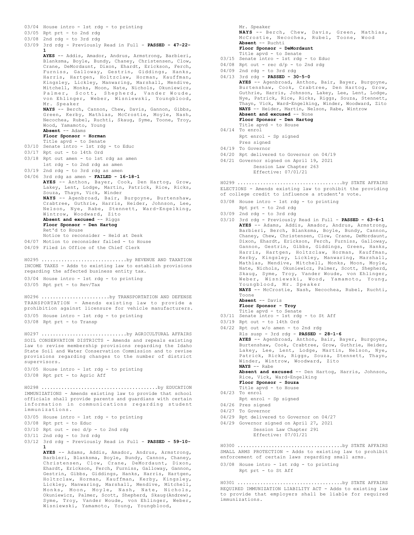03/05 Rpt prt - to 2nd rdg 03/08 2nd rdg - to 3rd rdg 03/09 3rd rdg - Previously Read in Full - **PASSED - 47-22- 1 AYES** -- Addis, Amador, Andrus, Armstrong, Barbieri, Blanksma, Boyle, Bundy, Chaney, Christensen, Clow, Crane, DeMordaunt, Dixon, Ehardt, Erickson, Ferch, Furniss, Galloway, Gestrin, Giddings, Hanks, Harris, Hartgen, Holtzclaw, Horman, Kauffman, Kingsley, Lickley, Manwaring, Marshall, Mendive, Mitchell, Monks, Moon, Nate, Nichols, Okuniewicz, Palmer, Scott, Shepherd, Vander Woude, von Ehlinger, Weber, Wisniewski, Youngblood, Mr. Speaker **NAYS** -- Berch, Cannon, Chew, Davis, Gannon, Gibbs, Green, Kerby, Mathias, McCrostie, Moyle, Nash, Necochea, Rubel, Ruchti, Skaug, Syme, Toone, Troy, Wood, Yamamoto, Young **Absent** -- Adams **Floor Sponsor - Horman** Title apvd - to Senate 03/10 Senate intro - 1st rdg - to Educ 03/17 Rpt out - to 14th Ord 03/18 Rpt out amen - to 1st rdg as amen 1st rdg - to 2nd rdg as amen 03/19 2nd rdg - to 3rd rdg as amen 04/06 3rd rdg as amen - **FAILED - 16-18-1 AYES** -- Anthon, Bayer, Cook, Den Hartog, Grow, Lakey, Lent, Lodge, Martin, Patrick, Rice, Ricks, Souza, Thayn, Vick, Winder **NAYS** -- Agenbroad, Bair, Burgoyne, Burtenshaw, Crabtree, Guthrie, Harris, Heider, Johnson, Lee, Nelson, Nye, Rabe, Stennett, Ward-Engelking, Wintrow, Woodward, Zito Absent and excused -- Riggs **Floor Sponsor - Den Hartog** Ret'd to House Notice to reconsider - Held at Desk 04/07 Motion to reconsider failed - to House 04/09 Filed in Office of the Chief Clerk INCOME TAXES - Adds to existing law to establish provisions regarding the affected business entity tax. 03/04 House intro - 1st rdg - to printing 03/05 Rpt prt - to Rev/Tax H0295 ..............................by REVENUE AND TAXATION TRANSPORTATION - Amends existing law to provide a prohibition against licensure for vehicle manufacturers. 03/05 House intro - 1st rdg - to printing 03/08 Rpt prt - to Transp H0296 ........................by TRANSPORTATION AND DEFENSE SOIL CONSERVATION DISTRICTS - Amends and repeals existing law to revise membership provisions regarding the Idaho State Soil and Water Conservation Commission and to revise provisions regarding changes to the number of district supervisors. 03/05 House intro - 1st rdg - to printing 03/08 Rpt prt - to Agric Aff H0297 ..............................by AGRICULTURAL AFFAIRS IMMUNIZATIONS - Amends existing law to provide that school officials shall provide parents and guardians with certain information in communications regarding student immunizations. 03/05 House intro - 1st rdg - to printing 03/08 Rpt prt - to Educ  $03/10$  Rpt out - rec  $d/p$  - to 2nd rdg 03/11 2nd rdg - to 3rd rdg 03/12 3rd rdg - Previously Read in Full - **PASSED - 59-10- 1 AYES** -- Adams, Addis, Amador, Andrus, Armstrong, Barbieri, Blanksma, Boyle, Bundy, Cannon, Chaney, Christensen, Clow, Crane, DeMordaunt, Dixon, Ehardt, Erickson, Ferch, Furniss, Galloway, Gannon, Gestrin, Gibbs, Giddings, Hanks, Harris, Hartgen, Holtzclaw, Horman, Kauffman, Kerby, Kingsley, Lickley, Manwaring, Marshall, Mendive, Mitchell, Monks, Moon, Moyle, Nash, Nate, Nichols, Okuniewicz, Palmer, Scott, Shepherd, Skaug(Andrew), Syme, Troy, Vander Woude, von Ehlinger, Weber, Wisniewski, Yamamoto, Young, Youngblood, H0298 .........................................by EDUCATION

03/04 House intro - 1st rdg - to printing

Mr. Speaker **NAYS** -- Berch, Chew, Davis, Green, Mathias, McCrostie, Necochea, Rubel, Toone, Wood **Absent** -- Ruchti **Floor Sponsor - DeMordaunt**

Title apvd - to Senate

- 03/15 Senate intro 1st rdg to Educ
- $04/08$  Rpt out rec  $d/p$  to 2nd rdg
- 04/09 2nd rdg to 3rd rdg

04/13 3rd rdg - **PASSED - 30-5-0 AYES** -- Agenbroad, Anthon, Bair, Bayer, Burgoyne, Burtenshaw, Cook, Crabtree, Den Hartog, Grow, Guthrie, Harris, Johnson, Lakey, Lee, Lent, Lodge, Nye, Patrick, Rice, Ricks, Riggs, Souza, Stennett, Thayn, Vick, Ward-Engelking, Winder, Woodward, Zito **NAYS** -- Heider, Martin, Nelson, Rabe, Wintrow **Absent and excused** -- None **Floor Sponsor - Den Hartog** Title apvd - to House 04/14 To enrol Rpt enrol - Sp signed

- Pres signed 04/19 To Governor
- 
- 04/20 Rpt delivered to Governor on 04/19
- 04/21 Governor signed on April 19, 2021 Session Law Chapter 263 Effective: 07/01/21

ELECTIONS - Amends existing law to prohibit the providing of college credit to influence a student's vote. H0299 .....................................by STATE AFFAIRS

- 03/08 House intro 1st rdg to printing
- Rpt prt to 2nd rdg
- 03/09 2nd rdg to 3rd rdg
- 03/10 3rd rdg Previously Read in Full **PASSED 63-6-1 AYES** -- Adams, Addis, Amador, Andrus, Armstrong, Barbieri, Berch, Blanksma, Boyle, Bundy, Cannon, Chaney, Chew, Christensen, Clow, Crane, DeMordaunt, Dixon, Ehardt, Erickson, Ferch, Furniss, Galloway, Gannon, Gestrin, Gibbs, Giddings, Green, Hanks, Harris, Hartgen, Holtzclaw, Horman, Kauffman, Kerby, Kingsley, Lickley, Manwaring, Marshall, Mathias, Mendive, Mitchell, Monks, Moon, Moyle, Nate, Nichols, Okuniewicz, Palmer, Scott, Shepherd, Skaug, Syme, Troy, Vander Woude, von Ehlinger, Weber, Wisniewski, Wood, Yamamoto, Young, Youngblood, Mr. Speaker **NAYS** -- McCrostie, Nash, Necochea, Rubel, Ruchti, Toone **Absent** -- Davis
	- **Floor Sponsor Troy**
	-
- Title apvd to Senate 03/11 Senate intro 1st rdg to St Aff
- 03/19 Rpt out to 14th Ord
- 04/22 Rpt out w/o amen to 2nd rdg
- Rls susp 3rd rdg **PASSED 28-1-6 AYES** -- Agenbroad, Anthon, Bair, Bayer, Burgoyne, Burtenshaw, Cook, Crabtree, Grow, Guthrie, Heider, Lakey, Lee, Lent, Lodge, Martin, Nelson, Nye, Patrick, Ricks, Riggs, Souza, Stennett, Thayn, Winder, Wintrow, Woodward, Zito **NAYS** -- Rabe **Absent and excused** -- Den Hartog, Harris, Johnson, Rice, Vick, Ward-Engelking **Floor Sponsor - Souza** Title apvd - to House 04/23 To enrol Rpt enrol - Sp signed 04/26 Pres signed 04/27 To Governor 04/29 Rpt delivered to Governor on 04/27 04/29 Governor signed on April 27, 2021 Session Law Chapter 291
	- Effective: 07/01/21

SMALL ARMS PROTECTION - Adds to existing law to prohibit enforcement of certain laws regarding small arms. H0300 .....................................by STATE AFFAIRS

03/08 House intro - 1st rdg - to printing

Rpt prt - to St Aff

REQUIRED IMMUNIZATION LIABILITY ACT - Adds to existing law to provide that employers shall be liable for required immunizations. H0301 .....................................by STATE AFFAIRS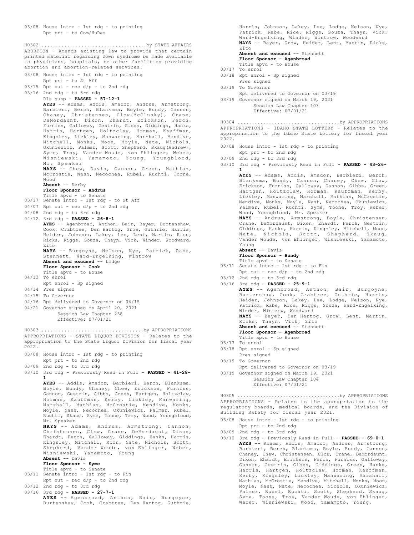03/08 House intro - 1st rdg - to printing Rpt prt - to Com/HuRes

ABORTION - Amends existing law to provide that certain printed material regarding Down syndrome be made available to physicians, hospitals, or other facilities providing abortion and abortion-related services. H0302 .....................................by STATE AFFAIRS

03/08 House intro - 1st rdg - to printing Rpt prt - to St Aff  $03/15$  Rpt out - rec  $d/p$  - to 2nd rdg 03/16 2nd rdg - to 3rd rdg Rls susp - **PASSED - 57-12-1 AYES** -- Adams, Addis, Amador, Andrus, Armstrong, Barbieri, Berch, Blanksma, Boyle, Bundy, Cannon, Chaney, Christensen, Clow(McClusky), Crane, DeMordaunt, Dixon, Ehardt, Erickson, Ferch, Furniss, Galloway, Gestrin, Gibbs, Giddings, Hanks, Harris, Hartgen, Holtzclaw, Horman, Kauffman, Kingsley, Lickley, Manwaring, Marshall, Mendive, Mitchell, Monks, Moon, Moyle, Nate, Nichols, Okuniewicz, Palmer, Scott, Shepherd, Skaug(Andrew), Syme, Troy, Vander Woude, von Ehlinger, Weber, Wisniewski, Yamamoto, Young, Youngblood, Mr. Speaker **NAYS** -- Chew, Davis, Gannon, Green, Mathias, McCrostie, Nash, Necochea, Rubel, Ruchti, Toone, Wood **Absent** -- Kerby **Floor Sponsor - Andrus** Title apvd - to Senate 03/17 Senate intro - 1st rdg - to St Aff  $04/07$  Rpt out - rec  $d/p$  - to 2nd rdg 04/08 2nd rdg - to 3rd rdg 04/12 3rd rdg - **PASSED - 26-8-1 AYES** -- Agenbroad, Anthon, Bair, Bayer, Burtenshaw, Cook, Crabtree, Den Hartog, Grow, Guthrie, Harris, Heider, Johnson, Lakey, Lee, Lent, Martin, Rice, Ricks, Riggs, Souza, Thayn, Vick, Winder, Woodward, Zito **NAYS** -- Burgoyne, Nelson, Nye, Patrick, Rabe, Stennett, Ward-Engelking, Wintrow **Absent and excused** -- Lodge **Floor Sponsor - Cook** Title apvd - to House 04/13 To enrol Rpt enrol - Sp signed 04/14 Pres signed 04/15 To Governor 04/16 Rpt delivered to Governor on 04/15 04/21 Governor signed on April 20, 2021 Session Law Chapter 258 Effective: 07/01/21 APPROPRIATIONS - STATE LIQUOR DIVISION - Relates to the appropriation to the State Liquor Division for fiscal year 2022. 03/08 House intro - 1st rdg - to printing Rpt prt - to 2nd rdg 03/09 2nd rdg - to 3rd rdg 03/10 3rd rdg - Previously Read in Full - **PASSED - 41-28- 1 AYES** -- Addis, Amador, Barbieri, Berch, Blanksma, Boyle, Bundy, Chaney, Chew, Erickson, Furniss, Gannon, Gestrin, Gibbs, Green, Hartgen, Holtzclaw, Horman, Kauffman, Kerby, Lickley, Manwaring, Marshall, Mathias, McCrostie, Mendive, Monks, Moyle, Nash, Necochea, Okuniewicz, Palmer, Rubel, Ruchti, Skaug, Syme, Toone, Troy, Wood, Youngblood, Mr. Speaker **NAYS** -- Adams, Andrus, Armstrong, Cannon, Christensen, Clow, Crane, DeMordaunt, Dixon, Ehardt, Ferch, Galloway, Giddings, Hanks, Harris, Kingsley, Mitchell, Moon, Nate, Nichols, Scott, Shepherd, Vander Woude, von Ehlinger, Weber, Wisniewski, Yamamoto, Young **Absent** -- Davis **Floor Sponsor - Syme** Title apvd - to Senate 03/11 Senate intro - 1st rdg - to Fin Rpt out - rec d/p - to 2nd rdg 03/12 2nd rdg - to 3rd rdg 03/16 3rd rdg - **PASSED - 27-7-1 AYES** -- Agenbroad, Anthon, Bair, Burgoyne, Burtenshaw, Cook, Crabtree, Den Hartog, Guthrie, H0303 ....................................by APPROPRIATIONS

Harris, Johnson, Lakey, Lee, Lodge, Nelson, Nye, Patrick, Rabe, Rice, Riggs, Souza, Thayn, Vick, Ward-Engelking, Winder, Wintrow, Woodward **NAYS** -- Bayer, Grow, Heider, Lent, Martin, Ricks, Zito

**Absent and excused** -- Stennett **Floor Sponsor - Agenbroad**

- Title apvd to House
- 03/17 To enrol
- 03/18 Rpt enrol Sp signed
- Pres signed
- 03/19 To Governor
- Rpt delivered to Governor on 03/19 03/19 Governor signed on March 19, 2021
	- Session Law Chapter 103 Effective: 07/01/21

APPROPRIATIONS - IDAHO STATE LOTTERY - Relates to the appropriation to the Idaho State Lottery for fiscal year 2022. H0304 ....................................by APPROPRIATIONS

- 03/08 House intro 1st rdg to printing Rpt prt - to 2nd rdg
- 03/09 2nd rdg to 3rd rdg
- 03/10 3rd rdg Previously Read in Full **PASSED 43-26- 1**

**AYES** -- Adams, Addis, Amador, Barbieri, Berch, Blanksma, Bundy, Cannon, Chaney, Chew, Clow, Erickson, Furniss, Galloway, Gannon, Gibbs, Green, Hartgen, Holtzclaw, Horman, Kauffman, Kerby, Lickley, Manwaring, Marshall, Mathias, McCrostie, Mendive, Monks, Moyle, Nash, Necochea, Okuniewicz, Palmer, Rubel, Ruchti, Syme, Toone, Troy, Weber, Wood, Youngblood, Mr. Speaker **NAYS** -- Andrus, Armstrong, Boyle, Christensen, Crane, DeMordaunt, Dixon, Ehardt, Ferch, Gestrin, Giddings, Hanks, Harris, Kingsley, Mitchell, Moon, Nate, Nichols, Scott, Shepherd, Skaug, Vander Woude, von Ehlinger, Wisniewski, Yamamoto, Young **Absent** -- Davis **Floor Sponsor - Bundy** Title apvd - to Senate 03/11 Senate intro - 1st rdg - to Fin Rpt out - rec d/p - to 2nd rdg 03/12 2nd rdg - to 3rd rdg 03/16 3rd rdg - **PASSED - 25-9-1 AYES** -- Agenbroad, Anthon, Bair, Burgoyne, Burtenshaw, Cook, Crabtree, Guthrie, Harris, Heider, Johnson, Lakey, Lee, Lodge, Nelson, Nye, Patrick, Rabe, Rice, Riggs, Souza, Ward-Engelking, Winder, Wintrow, Woodward<br>**NAYS** -- Bayer, Den Hartog, Grow, Lent, Martin,<br>Ricks, Thayn, Vick, Zito **Absent and excused** -- Stennett **Floor Sponsor - Agenbroad** Title apvd - to House 03/17 To enrol 03/18 Rpt enrol - Sp signed Pres signed 03/19 To Governor Rpt delivered to Governor on 03/19 03/19 Governor signed on March 19, 2021 Session Law Chapter 104 Effective: 07/01/21

APPROPRIATIONS - Relates to the appropriation to the regulatory boards, medical boards, and the Division of Building Safety for fiscal year 2021. H0305 ....................................by APPROPRIATIONS

- 03/08 House intro 1st rdg to printing
- Rpt prt to 2nd rdg
- 03/09 2nd rdg to 3rd rdg
- 03/10 3rd rdg Previously Read in Full **PASSED 69-0-1 AYES** -- Adams, Addis, Amador, Andrus, Armstrong, Barbieri, Berch, Blanksma, Boyle, Bundy, Cannon, Chaney, Chew, Christensen, Clow, Crane, DeMordaunt, Dixon, Ehardt, Erickson, Ferch, Furniss, Galloway, Gannon, Gestrin, Gibbs, Giddings, Green, Hanks, Harris, Hartgen, Holtzclaw, Horman, Kauffman, Kerby, Kingsley, Lickley, Manwaring, Marshall, Mathias, McCrostie, Mendive, Mitchell, Monks, Moon, Moyle, Nash, Nate, Necochea, Nichols, Okuniewicz, Palmer, Rubel, Ruchti, Scott, Shepherd, Skaug, Syme, Toone, Troy, Vander Woude, von Ehlinger, Weber, Wisniewski, Wood, Yamamoto, Young,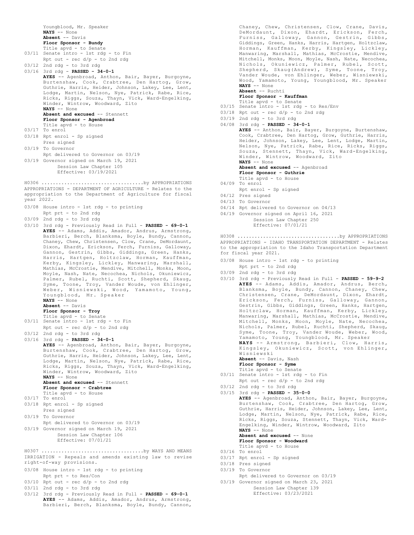Youngblood, Mr. Speaker **NAYS** -- None **Absent** -- Davis **Floor Sponsor - Bundy** Title apvd - to Senate 03/11 Senate intro - 1st rdg - to Fin Rpt out -  $rec d/p - to 2nd rd$ 03/12 2nd rdg - to 3rd rdg 03/16 3rd rdg - **PASSED - 34-0-1 AYES** -- Agenbroad, Anthon, Bair, Bayer, Burgoyne, Burtenshaw, Cook, Crabtree, Den Hartog, Grow, Guthrie, Harris, Heider, Johnson, Lakey, Lee, Lent, Lodge, Martin, Nelson, Nye, Patrick, Rabe, Rice, Ricks, Riggs, Souza, Thayn, Vick, Ward-Engelking, Winder, Wintrow, Woodward, Zito **NAYS** -- None **Absent and excused** -- Stennett **Floor Sponsor - Agenbroad** Title apvd - to House 03/17 To enrol 03/18 Rpt enrol - Sp signed Pres signed 03/19 To Governor Rpt delivered to Governor on 03/19 03/19 Governor signed on March 19, 2021 Session Law Chapter 105 Effective: 03/19/2021 APPROPRIATIONS - DEPARTMENT OF AGRICULTURE - Relates to the appropriation to the Department of Agriculture for fiscal year 2022. 03/08 House intro - 1st rdg - to printing Rpt prt - to 2nd rdg 03/09 2nd rdg - to 3rd rdg 03/10 3rd rdg - Previously Read in Full - **PASSED - 69-0-1 AYES** -- Adams, Addis, Amador, Andrus, Armstrong, Barbieri, Berch, Blanksma, Boyle, Bundy, Cannon, Chaney, Chew, Christensen, Clow, Crane, DeMordaunt, Dixon, Ehardt, Erickson, Ferch, Furniss, Galloway, Gannon, Gestrin, Gibbs, Giddings, Green, Hanks, Harris, Hartgen, Holtzclaw, Horman, Kauffman, Kerby, Kingsley, Lickley, Manwaring, Marshall, Mathias, McCrostie, Mendive, Mitchell, Monks, Moon, Moyle, Nash, Nate, Necochea, Nichols, Okuniewicz, Palmer, Rubel, Ruchti, Scott, Shepherd, Skaug, Syme, Toone, Troy, Vander Woude, von Ehlinger, Weber, Wisniewski, Wood, Yamamoto, Young, Youngblood, Mr. Speaker **NAYS** -- None **Absent** -- Davis **Floor Sponsor - Troy** Title apvd - to Senate 03/11 Senate intro - 1st rdg - to Fin Rpt out - rec d/p - to 2nd rdg 03/12 2nd rdg - to 3rd rdg 03/16 3rd rdg - **PASSED - 34-0-1 AYES** -- Agenbroad, Anthon, Bair, Bayer, Burgoyne, Burtenshaw, Cook, Crabtree, Den Hartog, Grow, Guthrie, Harris, Heider, Johnson, Lakey, Lee, Lent, Lodge, Martin, Nelson, Nye, Patrick, Rabe, Rice, Ricks, Riggs, Souza, Thayn, Vick, Ward-Engelking, Winder, Wintrow, Woodward, Zito **NAYS** -- None **Absent and excused** -- Stennett **Floor Sponsor - Crabtree** Title apvd - to House 03/17 To enrol 03/18 Rpt enrol - Sp signed Pres signed 03/19 To Governor Rpt delivered to Governor on 03/19 03/19 Governor signed on March 19, 2021 Session Law Chapter 106 Effective: 07/01/21 H0306 ....................................by APPROPRIATIONS IRRIGATION - Repeals and amends existing law to revise right-of-way provisions. 03/08 House intro - 1st rdg - to printing Rpt prt - to Res/Con  $03/10$  Rpt out - rec  $d/p$  - to 2nd rdg 03/11 2nd rdg - to 3rd rdg H0307 ....................................by WAYS AND MEANS **Absent** -- Ruchti 04/09 To enrol 04/12 Pres signed 04/13 To Governor 03/09 2nd rdg - to 3rd rdg 03/12 2nd rdg - to 3rd rdg 03/16 To enrol 03/18 Pres signed 03/19 To Governor 03/19 Governor signed on March 23, 2021

Session Law Chapter 139 Effective: 03/23/2021

Chaney, Chew, Christensen, Clow, Crane, Davis, DeMordaunt, Dixon, Ehardt, Erickson, Ferch, Furniss, Galloway, Gannon, Gestrin, Gibbs, Giddings, Green, Hanks, Harris, Hartgen, Holtzclaw, Horman, Kauffman, Kerby, Kingsley, Lickley, Manwaring, Marshall, Mathias, McCrostie, Mendive, Mitchell, Monks, Moon, Moyle, Nash, Nate, Necochea, Nichols, Okuniewicz, Palmer, Rubel, Scott, Shepherd, Skaug(Andrew), Syme, Toone, Troy, Vander Woude, von Ehlinger, Weber, Wisniewski, Wood, Yamamoto, Young, Youngblood, Mr. Speaker **NAYS** -- None

**Floor Sponsor - Kauffman**

- Title apvd to Senate
- 03/15 Senate intro 1st rdg to Res/Env  $03/18$  Rpt out - rec  $d/p$  - to 2nd rdg
- 03/19 2nd rdg to 3rd rdg
- 04/08 3rd rdg **PASSED 34-0-1**

**AYES** -- Anthon, Bair, Bayer, Burgoyne, Burtenshaw, Cook, Crabtree, Den Hartog, Grow, Guthrie, Harris, Heider, Johnson, Lakey, Lee, Lent, Lodge, Martin, Nelson, Nye, Patrick, Rabe, Rice, Ricks, Riggs, Souza, Stennett, Thayn, Vick, Ward-Engelking, Winder, Wintrow, Woodward, Zito **NAYS** -- None Absent and excused -- Agenbroad **Floor Sponsor - Guthrie** Title apvd - to House

- Rpt enrol Sp signed
- 
- 
- 04/14 Rpt delivered to Governor on 04/13
- 04/19 Governor signed on April 16, 2021 Session Law Chapter 250 Effective: 07/01/21

APPROPRIATIONS - IDAHO TRANSPORTATION DEPARTMENT - Relates to the appropriation to the Idaho Transportation Department for fiscal year 2021. H0308 ....................................by APPROPRIATIONS

- 03/08 House intro 1st rdg to printing
- Rpt prt to 2nd rdg
- 
- 03/10 3rd rdg Previously Read in Full **PASSED 59-9-2 AYES** -- Adams, Addis, Amador, Andrus, Berch, Blanksma, Boyle, Bundy, Cannon, Chaney, Chew, Christensen, Crane, DeMordaunt, Dixon, Ehardt, Erickson, Ferch, Furniss, Galloway, Gannon, Gestrin, Gibbs, Giddings, Green, Hanks, Hartgen, Holtzclaw, Horman, Kauffman, Kerby, Lickley, Manwaring, Marshall, Mathias, McCrostie, Mendive, Mitchell, Monks, Moon, Moyle, Nate, Necochea, Nichols, Palmer, Rubel, Ruchti, Shepherd, Skaug, Syme, Toone, Troy, Vander Woude, Weber, Wood, Yamamoto, Young, Youngblood, Mr. Speaker **NAYS --** Armstrong, Barbieri, Clow, Harris,<br>Kingsley, Okuniewicz, Scott, von Ehlinger,<br>Wisniewski

**Absent** -- Davis, Nash **Floor Sponsor - Syme**

- 
- Title apvd to Senate 03/11 Senate intro 1st rdg to Fin Rpt out -  $rec d/p - to 2nd rd$ 
	-
- 03/15 3rd rdg **PASSED 35-0-0**

**AYES** -- Agenbroad, Anthon, Bair, Bayer, Burgoyne, Burtenshaw, Cook, Crabtree, Den Hartog, Grow, Guthrie, Harris, Heider, Johnson, Lakey, Lee, Lent, Lodge, Martin, Nelson, Nye, Patrick, Rabe, Rice, Ricks, Riggs, Souza, Stennett, Thayn, Vick, Ward-Engelking, Winder, Wintrow, Woodward, Zito **NAYS** -- None **Absent and excused** -- None **Floor Sponsor - Woodward**

- Title apvd to House
- 
- 03/17 Rpt enrol Sp signed
- 
- 
- Rpt delivered to Governor on 03/19
- 03/12 3rd rdg Previously Read in Full **PASSED 69-0-1 AYES** -- Adams, Addis, Amador, Andrus, Armstrong, Barbieri, Berch, Blanksma, Boyle, Bundy, Cannon,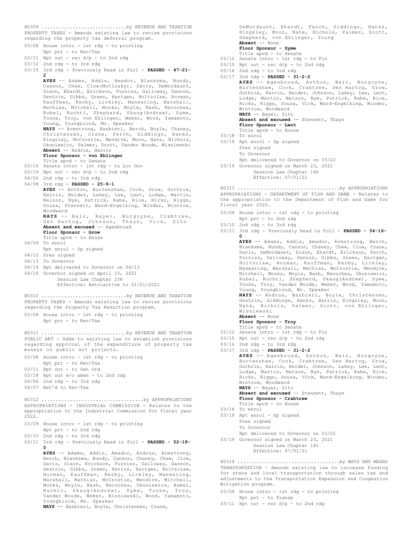PROPERTY TAXES - Amends existing law to revise provisions regarding the property tax deferral program. H0309 ..............................by REVENUE AND TAXATION

03/08 House intro - 1st rdg - to printing Rpt prt - to Rev/Tax 03/11 Rpt out - rec d/p - to 2nd rdg 03/12 2nd rdg - to 3rd rdg 03/15 3rd rdg - Previously Read in Full - **PASSED - 47-21- 2 AYES** -- Adams, Addis, Amador, Blanksma, Bundy, Cannon, Chew, Clow(McClusky), Davis, DeMordaunt, Dixon, Ehardt, Erickson, Furniss, Galloway, Gannon, Gestrin, Gibbs, Green, Hartgen, Holtzclaw, Horman, Kauffman, Kerby, Lickley, Manwaring, Marshall, Mathias, Mitchell, Monks, Moyle, Nash, Necochea, Rubel, Ruchti, Shepherd, Skaug(Andrew), Syme, Toone, Troy, von Ehlinger, Weber, Wood, Yamamoto, Young, Youngblood, Mr. Speaker **NAYS** -- Armstrong, Barbieri, Berch, Boyle, Chaney, Christensen, Crane, Ferch, Giddings, Hanks, Kingsley, McCrostie, Mendive, Moon, Nate, Nichols, Okuniewicz, Palmer, Scott, Vander Woude, Wisniewski **Absent** -- Andrus, Harris **Floor Sponsor - von Ehlinger** Title apvd - to Senate 03/16 Senate intro - 1st rdg - to Loc Gov 03/19 Rpt out - rec d/p - to 2nd rdg 04/06 2nd rdg - to 3rd rdg 04/08 3rd rdg - **PASSED - 25-9-1 AYES** -- Anthon, Burtenshaw, Cook, Grow, Guthrie, Harris, Heider, Lakey, Lee, Lent, Lodge, Martin, Nelson, Nye, Patrick, Rabe, Rice, Ricks, Riggs, Souza, Stennett, Ward-Engelking, Winder, Wintrow, Woodward **NAYS** -- Bair, Bayer, Burgoyne, Crabtree, Den Hartog, Johnson, Thayn, Vick, Zito Absent and excused -- Agenbroad **Floor Sponsor - Grow** Title apvd - to House 04/09 To enrol Rpt enrol - Sp signed 04/12 Pres signed 04/13 To Governor 04/14 Rpt delivered to Governor on 04/13 04/16 Governor signed on April 15, 2021 Session Law Chapter 238 Effective: Retroactive to 01/01/2021 PROPERTY TAXES - Amends existing law to revise provisions regarding the Property Tax Reduction program. 03/08 House intro - 1st rdg - to printing Rpt prt - to Rev/Tax H0310 ..............................by REVENUE AND TAXATION PUBLIC ART - Adds to existing law to establish provisions regarding approval of the expenditure of property tax moneys on public art projects. 03/08 House intro - 1st rdg - to printing Rpt prt - to Rev/Tax 03/11 Rpt out - to Gen Ord 03/18 Rpt out w/o amen - to 2nd rdg 04/06 2nd rdg - to 3rd rdg 04/07 Ret'd to Rev/Tax H0311 ..............................by REVENUE AND TAXATION APPROPRIATIONS - INDUSTRIAL COMMISSION - Relates to the appropriation to the Industrial Commission for fiscal year 2022. 03/09 House intro - 1st rdg - to printing Rpt prt - to 2nd rdg 03/10 2nd rdg - to 3rd rdg 03/11 3rd rdg - Previously Read in Full - **PASSED - 52-18- 0 AYES** -- Adams, Addis, Amador, Andrus, Armstrong, Berch, Blanksma, Bundy, Cannon, Chaney, Chew, Clow, Davis, Dixon, Erickson, Furniss, Galloway, Gannon, Gestrin, Gibbs, Green, Harris, Hartgen, Holtzclaw, H0312 ....................................by APPROPRIATIONS

Horman, Kauffman, Kerby, Lickley, Manwaring, Marshall, Mathias, McCrostie, Mendive, Mitchell, Monks, Moyle, Nash, Necochea, Okuniewicz, Rubel, Ruchti, Skaug(Andrew), Syme, Toone, Troy, Vander Woude, Weber, Wisniewski, Wood, Yamamoto, Youngblood, Mr. Speaker

**NAYS** -- Barbieri, Boyle, Christensen, Crane,

DeMordaunt, Ehardt, Ferch, Giddings, Hanks, Kingsley, Moon, Nate, Nichols, Palmer, Scott, Shepherd, von Ehlinger, Young **Absent** -- None **Floor Sponsor - Syme** Title apvd - to Senate

- 03/12 Senate intro 1st rdg to Fin
- $03/15$  Rpt out rec  $d/p$  to 2nd rdg
- $03/16$  2nd rdg to 3rd rdg
- 03/17 3rd rdg **PASSED 31-2-2**

**AYES** -- Agenbroad, Anthon, Bair, Burgoyne, Burtenshaw, Cook, Crabtree, Den Hartog, Grow, Guthrie, Harris, Heider, Johnson, Lakey, Lee, Lent, Lodge, Martin, Nelson, Nye, Patrick, Rabe, Rice, Ricks, Riggs, Souza, Vick, Ward-Engelking, Winder, Wintrow, Woodward **NAYS** -- Bayer, Zito **Absent and excused** -- Stennett, Thayn **Floor Sponsor - Lent** Title apvd - to House 03/18 To enrol 03/19 Rpt enrol - Sp signed Pres signed To Governor Rpt delivered to Governor on 03/22 03/19 Governor signed on March 23, 2021 Session Law Chapter 140 Effective: 07/01/21

APPROPRIATIONS - DEPARTMENT OF FISH AND GAME - Relates to the appropriation to the Department of Fish and Game for fiscal year 2022. H0313 ....................................by APPROPRIATIONS

- 03/09 House intro 1st rdg to printing Rpt prt - to 2nd rdg
- 03/10 2nd rdg to 3rd rdg
- 03/11 3rd rdg Previously Read in Full **PASSED 54-16- 0**

**AYES** -- Adams, Addis, Amador, Armstrong, Berch, Blanksma, Bundy, Cannon, Chaney, Chew, Clow, Crane, Davis, DeMordaunt, Dixon, Ehardt, Erickson, Ferch, Furniss, Galloway, Gannon, Gibbs, Green, Hartgen, Holtzclaw, Horman, Kauffman, Kerby, Lickley, Manwaring, Marshall, Mathias, McCrostie, Mendive, Mitchell, Monks, Moyle, Nash, Necochea, Okuniewicz, Rubel, Ruchti, Shepherd, Skaug(Andrew), Syme, Toone, Troy, Vander Woude, Weber, Wood, Yamamoto, Young, Youngblood, Mr. Speaker **NAYS** -- Andrus, Barbieri, Boyle, Christensen,

Gestrin, Giddings, Hanks, Harris, Kingsley, Moon, Nate, Nichols, Palmer, Scott, von Ehlinger, Wisniewski **Absent** -- None

- **Floor Sponsor Troy**
- 
- Title apvd to Senate 03/12 Senate intro 1st rdg to Fin
- $03/15$  Rpt out rec d/p to 2nd rdg
- 03/16 2nd rdg to 3rd rdg

03/17 3rd rdg - **PASSED - 31-2-2 AYES** -- Agenbroad, Anthon, Bair, Burgoyne, Burtenshaw, Cook, Crabtree, Den Hartog, Grow, Guthrie, Harris, Heider, Johnson, Lakey, Lee, Lent, Lodge, Martin, Nelson, Nye, Patrick, Rabe, Rice, Ricks, Riggs, Souza, Vick, Ward-Engelking, Winder, Wintrow, Woodward **NAYS** -- Bayer, Zito **Absent and excused** -- Stennett, Thayn

- **Floor Sponsor Crabtree** Title apvd - to House
- 03/18 To enrol
- 03/19 Rpt enrol Sp signed Pres signed To Governor
- Rpt delivered to Governor on 03/22 03/19 Governor signed on March 23, 2021
	- Session Law Chapter 141 Effective: 07/01/21

TRANSPORTATION - Amends existing law to increase funding for state and local transportation through sales tax and adjustments to the Transportation Expansion and Congestion Mitigation program. H0314 ....................................by WAYS AND MEANS

- 03/09 House intro 1st rdg to printing Rpt prt - to Transp
- $03/11$  Rpt out rec  $d/p$  to 2nd rdg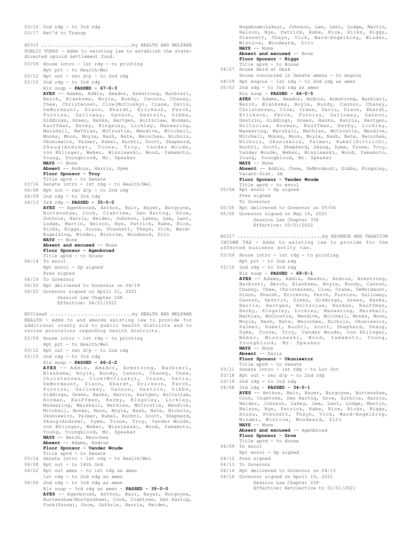03/12 2nd rdg - to 3rd rdg

03/17 Ret'd to Transp

PUBLIC FUNDS - Adds to existing law to establish the statedirected opioid settlement fund. H0315 ................................by HEALTH AND WELFARE

03/09 House intro - 1st rdg - to printing Rpt prt - to Health/Wel 03/12 Rpt out - rec d/p - to 2nd rdg 03/15 2nd rdg - to 3rd rdg Rls susp - **PASSED - 67-0-3 AYES** -- Adams, Addis, Amador, Armstrong, Barbieri, Berch, Blanksma, Boyle, Bundy, Cannon, Chaney, Chew, Christensen, Clow(McClusky), Crane, Davis, DeMordaunt, Dixon, Ehardt, Erickson, Ferch, Furniss, Galloway, Gannon, Gestrin, Gibbs, Giddings, Green, Hanks, Hartgen, Holtzclaw, Horman, Kauffman, Kerby, Kingsley, Lickley, Manwaring, Marshall, Mathias, McCrostie, Mendive, Mitchell, Monks, Moon, Moyle, Nash, Nate, Necochea, Nichols, Okuniewicz, Palmer, Rubel, Ruchti, Scott, Shepherd, Skaug(Andrew), Toone, Troy, Vander Woude, von Ehlinger, Weber, Wisniewski, Wood, Yamamoto, Young, Youngblood, Mr. Speaker **NAYS** -- None **Absent** -- Andrus, Harris, Syme **Floor Sponsor - Troy** Title apvd - to Senate 03/16 Senate intro - 1st rdg - to Health/Wel 04/08 Rpt out - rec d/p - to 2nd rdg 04/09 2nd rdg - to 3rd rdg 04/13 3rd rdg - **PASSED - 35-0-0 AYES** -- Agenbroad, Anthon, Bair, Bayer, Burgoyne, Burtenshaw, Cook, Crabtree, Den Hartog, Grow, Guthrie, Harris, Heider, Johnson, Lakey, Lee, Lent, Lodge, Martin, Nelson, Nye, Patrick, Rabe, Rice, Ricks, Riggs, Souza, Stennett, Thayn, Vick, Ward-Engelking, Winder, Wintrow, Woodward, Zito **NAYS** -- None Absent and excused -- None **Floor Sponsor - Agenbroad** Title apvd - to House 04/14 To enrol Rpt enrol - Sp signed Pres signed 04/19 To Governor 04/20 Rpt delivered to Governor on 04/19 04/22 Governor signed on April 21, 2021 Session Law Chapter 268 Effective: 04/21/2021 HEALTH - Adds to and amends existing law to provide for additional county aid to public health districts and to revise provisions regarding health districts. 03/09 House intro - 1st rdg - to printing Rpt prt - to Health/Wel 03/12 Rpt out - rec d/p - to 2nd rdg 03/15 2nd rdg - to 3rd rdg Rls susp - **PASSED - 66-2-2 AYES** -- Addis, Amador, Armstrong, Barbieri, Blanksma, Boyle, Bundy, Cannon, Chaney, Chew,<br>Christensen, Clow(McClusky), Crane, Davis,<br>DeMordaunt, Dixon, Ehardt, Erickson, Ferch,<br>Furniss, Galloway, Gannon, Gestrin, Gibbs,<br>Giddings, Green, Hanks, Harris, Hartgen, Holtz Horman, Kauffman, Kerby, Kingsley, Lickley, Manwaring, Marshall, Mathias, McCrostie, Mendive, Mitchell, Monks, Moon, Moyle, Nash, Nate, Nichols, Okuniewicz, Palmer, Rubel, Ruchti, Scott, Shepherd, Skaug(Andrew), Syme, Toone, Troy, Vander Woude, von Ehlinger, Weber, Wisniewski, Wood, Yamamoto, Young, Youngblood, Mr. Speaker **NAYS** -- Berch, Necochea **Absent** -- Adams, Andrus **Floor Sponsor - Vander Woude** Title apvd - to Senate 03/16 Senate intro - 1st rdg - to Health/Wel 04/08 Rpt out - to 14th Ord 04/22 Rpt out amen - to 1st rdg as amen 1st rdg - to 2nd rdg as amen 04/26 2nd rdg - to 3rd rdg as amen Rls susp - 3rd rdg as amen - **PASSED - 35-0-0 AYES** -- Agenbroad, Anthon, Bair, Bayer, Burgoyne, Burtenshaw(Burtenshaw), Cook, Crabtree, Den Hartog, H0316aaS .............................by HEALTH AND WELFARE

Funk(Souza), Grow, Guthrie, Harris, Heider,

Hogaboam(Lakey), Johnson, Lee, Lent, Lodge, Martin, Nelson, Nye, Patrick, Rabe, Rice, Ricks, Riggs, Stennett, Thayn, Vick, Ward-Engelking, Winder, Wintrow, Woodward, Zito **NAYS** -- None

#### Absent and excused -- None **Floor Sponsor - Riggs**

- Title apvd to House
- 04/27 House Held at Desk
- House concurred in Senate amens to engros
- 04/29 Rpt engros 1st rdg to 2nd rdg as amen

```
05/03 2nd rdg - to 3rd rdg as amen
     Rls susp - PASSED - 64-0-5
```
**AYES** -- Adams, Amador, Andrus, Armstrong, Barbieri, Berch, Blanksma, Boyle, Bundy, Cannon, Chaney, Christensen, Clow, Crane, Davis, Dixon, Ehardt, Erickson, Ferch, Furniss, Galloway, Gannon, Gestrin, Giddings, Green, Hanks, Harris, Hartgen, Holtzclaw, Horman, Kauffman, Kerby, Lickley, Manwaring, Marshall, Mathias, McCrostie, Mendive, Mitchell, Monks, Moon, Moyle, Nash, Nate, Necochea, Nichols, Okuniewicz, Palmer, Rubel(Dittrich), Ruchti, Scott, Shepherd, Skaug, Syme, Toone, Troy, Vander Woude, Weber, Wisniewski, Wood, Yamamoto, Young, Youngblood, Mr. Speaker **NAYS** -- None

**Absent** -- Addis, Chew, DeMordaunt, Gibbs, Kingsley, Vacant-Dist. 6A

## **Floor Sponsor - Vander Woude**

- Title apvd to enrol 05/04 Rpt enrol Sp signed
	- Pres signed To Governor
- 05/05 Rpt delivered to Governor on 05/04
- 05/05 Governor signed on May 10, 2021 Session Law Chapter 336

### Effective: 03/01/2022

INCOME TAX - Adds to existing law to provide for the affected business entity tax. H0317 ..............................by REVENUE AND TAXATION

- 03/09 House intro 1st rdg to printing Rpt prt - to 2nd rdg
- 03/10 2nd rdg to 3rd rdg
	- Rls susp **PASSED 69-0-1**

**AYES** -- Adams, Addis, Amador, Andrus, Armstrong, Barbieri, Berch, Blanksma, Boyle, Bundy, Cannon, Chaney, Chew, Christensen, Clow, Crane, DeMordaunt, Dixon, Ehardt, Erickson, Ferch, Furniss, Galloway, Gannon, Gestrin, Gibbs, Giddings, Green, Hanks, Harris, Hartgen, Holtzclaw, Horman, Kauffman, Kerby, Kingsley, Lickley, Manwaring, Marshall, Mathias, McCrostie, Mendive, Mitchell, Monks, Moon, Moyle, Nash, Nate, Necochea, Nichols, Okuniewicz, Palmer, Rubel, Ruchti, Scott, Shepherd, Skaug, Syme, Toone, Troy, Vander Woude, von Ehlinger, Weber, Wisniewski, Wood, Yamamoto, Young, Youngblood, Mr. Speaker

**NAYS** -- None **Absent** -- Davis

```
Floor Sponsor - Okuniewicz
```
Title apvd - to Senate

- 03/11 Senate intro 1st rdg to Loc Gov
- 03/18 Rpt out rec d/p to 2nd rdg
- 03/19 2nd rdg to 3rd rdg
- 04/08 3rd rdg **PASSED 34-0-1 AYES** -- Anthon, Bair, Bayer, Burgoyne, Burtenshaw, Cook, Crabtree, Den Hartog, Grow, Guthrie, Harris, Heider, Johnson, Lakey, Lee, Lent, Lodge, Martin, Nelson, Nye, Patrick, Rabe, Rice, Ricks, Riggs, Souza, Stennett, Thayn, Vick, Ward-Engelking, Winder, Wintrow, Woodward, Zito **NAYS** -- None Absent and excused -- Agenbroad
	- **Floor Sponsor Grow** Title apvd - to House
- 04/09 To enrol
	- Rpt enrol Sp signed
- 04/12 Pres signed
- 04/13 To Governor
- 04/14 Rpt delivered to Governor on 04/13
- 04/16 Governor signed on April 15, 2021
	- Session Law Chapter 239 Effective: Retroactive to 01/01/2021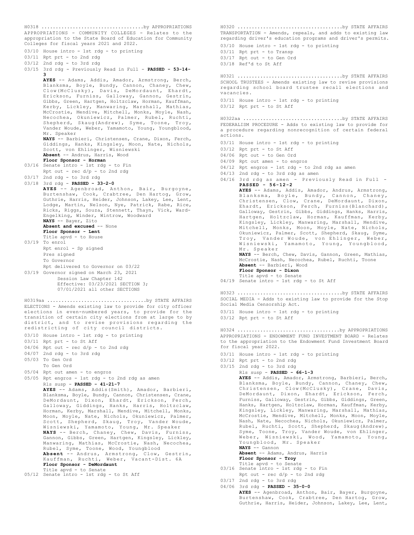APPROPRIATIONS - COMMUNITY COLLEGES - Relates to the appropriation to the State Board of Education for Community Colleges for fiscal years 2021 and 2022. H0318 ....................................by APPROPRIATIONS

- 03/10 House intro 1st rdg to printing 03/11 Rpt prt - to 2nd rdg 03/12 2nd rdg - to 3rd rdg
- 03/15 3rd rdg Previously Read in Full **PASSED 53-14- 3 AYES** -- Adams, Addis, Amador, Armstrong, Berch, Blanksma, Boyle, Bundy, Cannon, Chaney, Chew, Clow(McClusky), Davis, DeMordaunt, Ehardt, Erickson, Furniss, Galloway, Gannon, Gestrin, Gibbs, Green, Hartgen, Holtzclaw, Horman, Kauffman, Kerby, Lickley, Manwaring, Marshall, Mathias, McCrostie, Mendive, Mitchell, Monks, Moyle, Nash, Necochea, Okuniewicz, Palmer, Rubel, Ruchti, Shepherd, Skaug(Andrew), Syme, Toone, Troy, Vander Woude, Weber, Yamamoto, Young, Youngblood, Mr. Speaker **NAYS** -- Barbieri, Christensen, Crane, Dixon, Ferch, Giddings, Hanks, Kingsley, Moon, Nate, Nichols, Scott, von Ehlinger, Wisniewski **Absent** -- Andrus, Harris, Wood **Floor Sponsor - Horman** 03/16 Senate intro - 1st rdg - to Fin Rpt out - rec d/p - to 2nd rdg 03/17 2nd rdg - to 3rd rdg 03/18 3rd rdg - **PASSED - 33-2-0 AYES** -- Agenbroad, Anthon, Bair, Burgoyne, Burtenshaw, Cook, Crabtree, Den Hartog, Grow, Guthrie, Harris, Heider, Johnson, Lakey, Lee, Lent, Lodge, Martin, Nelson, Nye, Patrick, Rabe, Rice, Ricks, Riggs, Souza, Stennett, Thayn, Vick, Ward-Engelking, Winder, Wintrow, Woodward **NAYS** -- Bayer, Zito **Absent and excused** -- None **Floor Sponsor - Lent** Title apvd - to House 03/19 To enrol Rpt enrol - Sp signed
- Pres signed To Governor Rpt delivered to Governor on 03/22 03/19 Governor signed on March 23, 2021 Session Law Chapter 142 Effective: 03/23/2021 SECTION 3; 07/01/2021 all other SECTIONS

ELECTIONS - Amends existing law to provide for city officer elections in even-numbered years, to provide for the transition of certain city elections from at large to by district, and to revise provisions regarding the redistricting of city council districts. H0319aa ...................................by STATE AFFAIRS

- 03/10 House intro 1st rdg to printing
- 03/11 Rpt prt to St Aff
- 04/06 Rpt out rec d/p to 2nd rdg
- 04/07 2nd rdg to 3rd rdg
- 05/03 To Gen Ord
- To Gen Ord
- 05/04 Rpt out amen to engros
- 05/05 Rpt engros 1st rdg to 2nd rdg as amen

Rls susp - **PASSED - 41-21-7**

**AYES** -- Adams, Addis(Smith), Amador, Barbieri, Blanksma, Boyle, Bundy, Cannon, Christensen, Crane, DeMordaunt, Dixon, Ehardt, Erickson, Ferch, Galloway, Giddings, Hanks, Harris, Holtzclaw, Horman, Kerby, Marshall, Mendive, Mitchell, Monks, Moon, Moyle, Nate, Nichols, Okuniewicz, Palmer, Scott, Shepherd, Skaug, Troy, Vander Woude, Wisniewski, Yamamoto, Young, Mr. Speaker<br>**NAYS** -- Berch, Chaney, Chew, Davis, Furniss,<br>Gannon, Gibbs, Green, Hartgen, Kingsley, Lickley,<br>Manwaring, Mathias, McCrostie, Nash, Necochea, Rubel, Syme, Toone, Wood, Youngblood **Absent** -- Andrus, Armstrong, Clow, Gestrin, Kauffman, Ruchti, Weber, Vacant-Dist. 6A **Floor Sponsor - DeMordaunt** Title apvd - to Senate 05/12 Senate intro - 1st rdg - to St Aff

TRANSPORTATION - Amends, repeals, and adds to existing law regarding driver's education programs and driver's permits. 03/10 House intro - 1st rdg - to printing 03/11 Rpt prt - to Transp 03/17 Rpt out - to Gen Ord 03/18 Ref'd to St Aff H0320 .....................................by STATE AFFAIRS SCHOOL TRUSTEES - Amends existing law to revise provisions regarding school board trustee recall elections and vacancies. 03/11 House intro - 1st rdg - to printing 03/12 Rpt prt - to St Aff H0321 .....................................by STATE AFFAIRS FEDERALISM PROCEDURE - Adds to existing law to provide for a procedure regarding nonrecognition of certain federal actions. 03/11 House intro - 1st rdg - to printing 03/12 Rpt prt - to St Aff 04/06 Rpt out - to Gen Ord 04/09 Rpt out amen - to engros 04/12 Rpt engros - 1st rdg - to 2nd rdg as amen 04/13 2nd rdg - to 3rd rdg as amen 04/16 3rd rdg as amen - Previously Read in Full - **PASSED - 56-12-2 AYES** -- Adams, Addis, Amador, Andrus, Armstrong, Blanksma, Boyle, Bundy, Cannon, Chaney, Christensen, Clow, Crane, DeMordaunt, Dixon, Ehardt, Erickson, Ferch, Furniss(Blanchard), Galloway, Gestrin, Gibbs, Giddings, Hanks, Harris, Hartgen, Holtzclaw, Horman, Kauffman, Kerby, Kingsley, Lickley, Manwaring, Marshall, Mendive, Mitchell, Monks, Moon, Moyle, Nate, Nichols, Okuniewicz, Palmer, Scott, Shepherd, Skaug, Syme, Troy, Vander Woude, von Ehlinger, Weber, Wisniewski, Yamamoto, Young, Youngblood, Mr. Speaker **NAYS** -- Berch, Chew, Davis, Gannon, Green, Mathias, McCrostie, Nash, Necochea, Rubel, Ruchti, Toone **Absent** -- Barbieri, Wood **Floor Sponsor - Dixon** Title apvd - to Senate 04/19 Senate intro - 1st rdg - to St Aff H0322aa ...................................by STATE AFFAIRS SOCIAL MEDIA - Adds to existing law to provide for the Stop Social Media Censorship Act. 03/11 House intro - 1st rdg - to printing 03/12 Rpt prt - to St Aff H0323 .....................................by STATE AFFAIRS APPROPRIATIONS - ENDOWMENT FUND INVESTMENT BOARD - Relates to the appropriation to the Endowment Fund Investment Board for fiscal year 2022. 03/11 House intro - 1st rdg - to printing 03/12 Rpt prt - to 2nd rdg  $03/15$  2nd rdg - to 3rd rdg Rls susp - **PASSED - 66-1-3 AYES** -- Addis, Amador, Armstrong, Barbieri, Berch, Blanksma, Boyle, Bundy, Cannon, Chaney, Chew,<br>Christensen. Clow(McClusky), Crane, Davis, Christensen, Clow(McClusky), Crane, DeMordaunt, Dixon, Ehardt, Erickson, Ferch, Furniss, Galloway, Gestrin, Gibbs, Giddings, Green, Hanks, Hartgen, Holtzclaw, Horman, Kauffman, Kerby, Kingsley, Lickley, Manwaring, Marshall, Mathias, McCrostie, Mendive, Mitchell, Monks, Moon, Moyle, Nash, Nate, Necochea, Nichols, Okuniewicz, Palmer, Rubel, Ruchti, Scott, Shepherd, Skaug(Andrew), Syme, Toone, Troy, Vander Woude, von Ehlinger, Weber, Wisniewski, Wood, Yamamoto, Young, Youngblood, Mr. Speaker **NAYS** -- Gannon H0324 ....................................by APPROPRIATIONS

**Absent** -- Adams, Andrus, Harris **Floor Sponsor - Troy** Title apvd - to Senate

- 03/16 Senate intro 1st rdg to Fin Rpt out -  $rec d/p - to 2nd rd$
- 03/17 2nd rdg to 3rd rdg 04/06 3rd rdg - **PASSED - 35-0-0**
	- **AYES** -- Agenbroad, Anthon, Bair, Bayer, Burgoyne, Burtenshaw, Cook, Crabtree, Den Hartog, Grow, Guthrie, Harris, Heider, Johnson, Lakey, Lee, Lent,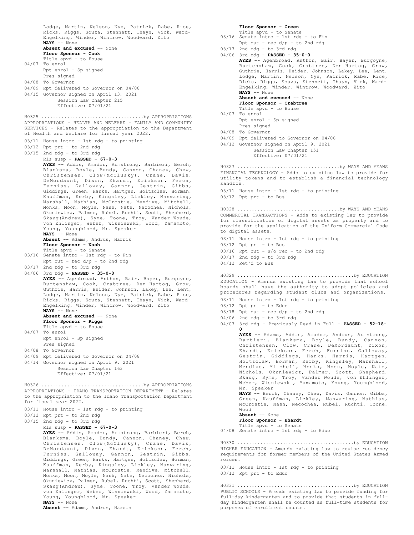Lodge, Martin, Nelson, Nye, Patrick, Rabe, Rice, Ricks, Riggs, Souza, Stennett, Thayn, Vick, Ward-Engelking, Winder, Wintrow, Woodward, Zito **NAYS** -- None Absent and excused -- None **Floor Sponsor - Cook** Title apvd - to House 04/07 To enrol Rpt enrol - Sp signed Pres signed 04/08 To Governor 04/09 Rpt delivered to Governor on 04/08 04/15 Governor signed on April 13, 2021 Session Law Chapter 215 Effective: 07/01/21 APPROPRIATIONS - HEALTH AND WELFARE - FAMILY AND COMMUNITY SERVICES - Relates to the appropriation to the Department of Health and Welfare for fiscal year 2022. 03/11 House intro - 1st rdg - to printing 03/12 Rpt prt - to 2nd rdg 03/15 2nd rdg - to 3rd rdg Rls susp - **PASSED - 67-0-3 AYES** -- Addis, Amador, Armstrong, Barbieri, Berch, Blanksma, Boyle, Bundy, Cannon, Chaney, Chew, Christensen, Clow(McClusky), Crane, Davis, DeMordaunt, Dixon, Ehardt, Erickson, Ferch, Furniss, Galloway, Gannon, Gestrin, Gibbs, Giddings, Green, Hanks, Hartgen, Holtzclaw, Horman, Kauffman, Kerby, Kingsley, Lickley, Manwaring, Marshall, Mathias, McCrostie, Mendive, Mitchell, Monks, Moon, Moyle, Nash, Nate, Necochea, Nichols, Okuniewicz, Palmer, Rubel, Ruchti, Scott, Shepherd, Skaug(Andrew), Syme, Toone, Troy, Vander Woude, von Ehlinger, Weber, Wisniewski, Wood, Yamamoto, Young, Youngblood, Mr. Speaker **NAYS** -- None **Absent** -- Adams, Andrus, Harris **Floor Sponsor - Nash** Title apvd - to Senate 03/16 Senate intro - 1st rdg - to Fin Rpt out - rec  $d/p - t$ o 2nd rdg  $03/17$  2nd rdg - to 3rd rdg 04/06 3rd rdg - **PASSED - 35-0-0 AYES** -- Agenbroad, Anthon, Bair, Bayer, Burgoyne, Burtenshaw, Cook, Crabtree, Den Hartog, Grow, Guthrie, Harris, Heider, Johnson, Lakey, Lee, Lent, Lodge, Martin, Nelson, Nye, Patrick, Rabe, Rice, Ricks, Riggs, Souza, Stennett, Thayn, Vick, Ward-Engelking, Winder, Wintrow, Woodward, Zito **NAYS** -- None **Absent and excused** -- None **Floor Sponsor - Riggs** Title apvd - to House 04/07 To enrol Rpt enrol - Sp signed Pres signed 04/08 To Governor 04/09 Rpt delivered to Governor on 04/08 04/14 Governor signed on April 9, 2021 Session Law Chapter 163 Effective: 07/01/21 H0325 ....................................by APPROPRIATIONS APPROPRIATIONS - IDAHO TRANSPORTATION DEPARTMENT - Relates to the appropriation to the Idaho Transportation Department for fiscal year 2022. 03/11 House intro - 1st rdg - to printing 03/12 Rpt prt - to 2nd rdg 03/15 2nd rdg - to 3rd rdg Rls susp - **PASSED - 67-0-3 AYES** -- Addis, Amador, Armstrong, Barbieri, Berch, Blanksma, Boyle, Bundy, Cannon, Chaney, Chew, Christensen, Clow(McClusky), Crane, Davis, DeMordaunt, Dixon, Ehardt, Erickson, Ferch, Furniss, Galloway, Gannon, Gestrin, Gibbs, Giddings, Green, Hanks, Hartgen, Holtzclaw, Horman, Kauffman, Kerby, Kingsley, Lickley, Manwaring, Marshall, Mathias, McCrostie, Mendive, Mitchell, Monks, Moon, Moyle, Nash, Nate, Necochea, Nichols, Okuniewicz, Palmer, Rubel, Ruchti, Scott, Shepherd, Skaug(Andrew), Syme, Toone, Troy, Vander Woude, von Ehlinger, Weber, Wisniewski, Wood, Yamamoto, Young, Youngblood, Mr. Speaker H0326 ....................................by APPROPRIATIONS

**Absent** -- Adams, Andrus, Harris

**NAYS** -- None

#### **Floor Sponsor - Green** Title apvd - to Senate

03/16 Senate intro - 1st rdg - to Fin Rpt out - rec  $d/p$  - to 2nd rdg 03/17 2nd rdg - to 3rd rdg 04/06 3rd rdg - **PASSED - 35-0-0 AYES** -- Agenbroad, Anthon, Bair, Bayer, Burgoyne, Burtenshaw, Cook, Crabtree, Den Hartog, Grow, Guthrie, Harris, Heider, Johnson, Lakey, Lee, Lent, Lodge, Martin, Nelson, Nye, Patrick, Rabe, Rice, Ricks, Riggs, Souza, Stennett, Thayn, Vick, Ward-Engelking, Winder, Wintrow, Woodward, Zito **NAYS** -- None **Absent and excused** -- None **Floor Sponsor - Crabtree** Title apvd - to House 04/07 To enrol Rpt enrol - Sp signed Pres signed 04/08 To Governor 04/09 Rpt delivered to Governor on 04/08 04/12 Governor signed on April 9, 2021 Session Law Chapter 151 Effective: 07/01/21 FINANCIAL TECHNOLOGY - Adds to existing law to provide for utility tokens and to establish a financial technology sandbox. 03/11 House intro - 1st rdg - to printing 03/12 Rpt prt - to Bus H0327 ....................................by WAYS AND MEANS COMMERCIAL TRANSACTIONS - Adds to existing law to provide for classification of digital assets as property and to provide for the application of the Uniform Commercial Code to digital assets. 03/11 House intro - 1st rdg - to printing  $03/12$  Rpt prt - to Bus 03/16 Rpt out - w/o rec - to 2nd rdg 03/17 2nd rdg - to 3rd rdg 04/12 Ret'd to Bus H0328 ....................................by WAYS AND MEANS EDUCATION - Amends existing law to provide that school boards shall have the authority to adopt policies and procedures regarding student clubs and organizations. 03/11 House intro - 1st rdg - to printing 03/12 Rpt prt - to Educ  $03/18$  Rpt out - rec  $d/p$  - to 2nd rdg 04/06 2nd rdg - to 3rd rdg 04/07 3rd rdg - Previously Read in Full - **PASSED - 52-18- 0 AYES** -- Adams, Addis, Amador, Andrus, Armstrong, Barbieri, Blanksma, Boyle, Bundy, Cannon, Christensen, Clow, Crane, DeMordaunt, Dixon, Ehardt, Erickson, Ferch, Furniss, Galloway, Gestrin, Giddings, Hanks, Harris, Hartgen, Holtzclaw, Horman, Kerby, Kingsley, Marshall, Mendive, Mitchell, Monks, Moon, Moyle, Nate, Nichols, Okuniewicz, Palmer, Scott, Shepherd, Skaug, Syme, Troy, Vander Woude, von Ehlinger, Weber, Wisniewski, Yamamoto, Young, Youngblood, Mr. Speaker **NAYS** -- Berch, Chaney, Chew, Davis, Gannon, Gibbs, Green, Kauffman, Lickley, Manwaring, Mathias, McCrostie, Nash, Necochea, Rubel, Ruchti, Toone, Wood **Absent** -- None **Floor Sponsor - Ehardt** Title apvd - to Senate 04/08 Senate intro - 1st rdg - to Educ H0329 .........................................by EDUCATION HIGHER EDUCATION - Amends existing law to revise residency requirements for former members of the United States Armed Forces. 03/11 House intro - 1st rdg - to printing H0330 .........................................by EDUCATION

03/12 Rpt prt - to Educ

PUBLIC SCHOOLS - Amends existing law to provide funding for full-day kindergarten and to provide that students in fullday kindergarten shall be counted as full-time students for purposes of enrollment counts. H0331 .........................................by EDUCATION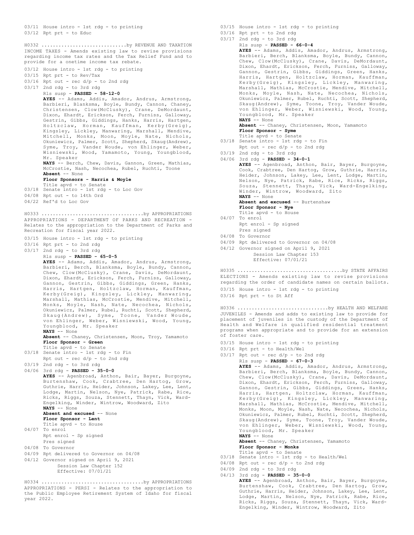03/11 House intro - 1st rdg - to printing 03/12 Rpt prt - to Educ

INCOME TAXES - Amends existing law to revise provisions regarding income tax rates and the Tax Relief Fund and to provide for a onetime income tax rebate. H0332 ..............................by REVENUE AND TAXATION

- 03/12 House intro 1st rdg to printing
- 03/15 Rpt prt to Rev/Tax
- 03/16 Rpt out rec d/p to 2nd rdg
- 03/17 2nd rdg to 3rd rdg

## Rls susp - **PASSED - 58-12-0**

**AYES** -- Adams, Addis, Amador, Andrus, Armstrong, Barbieri, Blanksma, Boyle, Bundy, Cannon, Chaney, Christensen, Clow(McClusky), Crane, DeMordaunt, Dixon, Ehardt, Erickson, Ferch, Furniss, Galloway, Gestrin, Gibbs, Giddings, Hanks, Harris, Hartgen, Holtzclaw, Horman, Kauffman, Kerby(Greig), Kingsley, Lickley, Manwaring, Marshall, Mendive, Mitchell, Monks, Moon, Moyle, Nate, Nichols, Okuniewicz, Palmer, Scott, Shepherd, Skaug(Andrew), Syme, Troy, Vander Woude, von Ehlinger, Weber, Wisniewski, Wood, Yamamoto, Young, Youngblood, Mr. Speaker

**NAYS** -- Berch, Chew, Davis, Gannon, Green, Mathias, McCrostie, Nash, Necochea, Rubel, Ruchti, Toone **Absent** -- None

## **Floor Sponsors - Harris & Moyle**

- Title apvd to Senate 03/18 Senate intro - 1st rdg - to Loc Gov
- 04/08 Rpt out to 14th Ord
- 04/22 Ref'd to Loc Gov

APPROPRIATIONS - DEPARTMENT OF PARKS AND RECREATION - Relates to the appropriation to the Department of Parks and Recreation for fiscal year 2022. H0333 ....................................by APPROPRIATIONS

- 03/15 House intro 1st rdg to printing
- 03/16 Rpt prt to 2nd rdg
- 03/17 2nd rdg to 3rd rdg

Rls susp - **PASSED - 65-0-5 AYES** -- Adams, Addis, Amador, Andrus, Armstrong, Barbieri, Berch, Blanksma, Boyle, Bundy, Cannon, Chew, Clow(McClusky), Crane, Davis, DeMordaunt, Dixon, Ehardt, Erickson, Ferch, Furniss, Galloway, Gannon, Gestrin, Gibbs, Giddings, Green, Hanks, Harris, Hartgen, Holtzclaw, Horman, Kauffman, Kerby(Greig), Kingsley, Lickley, Manwaring, Marshall, Mathias, McCrostie, Mendive, Mitchell, Monks, Moyle, Nash, Nate, Necochea, Nichols, Okuniewicz, Palmer, Rubel, Ruchti, Scott, Shepherd, Skaug(Andrew), Syme, Toone, Vander Woude, von Ehlinger, Weber, Wisniewski, Wood, Young, Youngblood, Mr. Speaker **NAYS** -- None

**Absent** -- Chaney, Christensen, Moon, Troy, Yamamoto **Floor Sponsor - Green**

- Title apvd to Senate 03/18 Senate intro 1st rdg to Fin
- Rpt out rec d/p to 2nd rdg
- 03/19 2nd rdg to 3rd rdg
- 04/06 3rd rdg **PASSED 35-0-0**

**AYES** -- Agenbroad, Anthon, Bair, Bayer, Burgoyne, Burtenshaw, Cook, Crabtree, Den Hartog, Grow, Guthrie, Harris, Heider, Johnson, Lakey, Lee, Lent, Lodge, Martin, Nelson, Nye, Patrick, Rabe, Rice, Ricks, Riggs, Souza, Stennett, Thayn, Vick, Ward-Engelking, Winder, Wintrow, Woodward, Zito **NAYS** -- None **Absent and excused** -- None **Floor Sponsor - Lent** Title apvd - to House

- 04/07 To enrol Rpt enrol - Sp signed
- Pres signed 04/08 To Governor
- 04/09 Rpt delivered to Governor on 04/08
- 04/12 Governor signed on April 9, 2021
	- Session Law Chapter 152
		- Effective: 07/01/21

APPROPRIATIONS - PERSI - Relates to the appropriation to the Public Employee Retirement System of Idaho for fiscal year 2022. H0334 ....................................by APPROPRIATIONS

- 03/15 House intro 1st rdg to printing
- 03/16 Rpt prt to 2nd rdg 03/17 2nd rdg - to 3rd rdg
	-

Rls susp - **PASSED - 66-0-4 AYES** -- Adams, Addis, Amador, Andrus, Armstrong, Barbieri, Berch, Blanksma, Boyle, Bundy, Cannon, Chew, Clow(McClusky), Crane, Davis, DeMordaunt, Dixon, Ehardt, Erickson, Ferch, Furniss, Galloway, Gannon, Gestrin, Gibbs, Giddings, Green, Hanks, Harris, Hartgen, Holtzclaw, Horman, Kauffman, Kerby(Greig), Kingsley, Lickley, Manwaring, Marshall, Mathias, McCrostie, Mendive, Mitchell, Monks, Moyle, Nash, Nate, Necochea, Nichols, Okuniewicz, Palmer, Rubel, Ruchti, Scott, Shepherd, Skaug(Andrew), Syme, Toone, Troy, Vander Woude, von Ehlinger, Weber, Wisniewski, Wood, Young, Youngblood, Mr. Speaker **NAYS** -- None **Absent** -- Chaney, Christensen, Moon, Yamamoto **Floor Sponsor - Syme** Title apvd - to Senate 03/18 Senate intro - 1st rdg - to Fin Rpt out -  $rec d/p - to 2nd rd$ 03/19 2nd rdg - to 3rd rdg 04/06 3rd rdg - **PASSED - 34-0-1 AYES** -- Agenbroad, Anthon, Bair, Bayer, Burgoyne, Cook, Crabtree, Den Hartog, Grow, Guthrie, Harris, Heider, Johnson, Lakey, Lee, Lent, Lodge, Martin, Nelson, Nye, Patrick, Rabe, Rice, Ricks, Riggs, Souza, Stennett, Thayn, Vick, Ward-Engelking, Winder, Wintrow, Woodward, Zito **NAYS** -- None **Absent and excused** -- Burtenshaw **Floor Sponsor - Nye** Title apvd - to House 04/07 To enrol Rpt enrol - Sp signed Pres signed 04/08 To Governor 04/09 Rpt delivered to Governor on 04/08 04/12 Governor signed on April 9, 2021 Session Law Chapter 153 Effective: 07/01/21 ELECTIONS - Amends existing law to revise provisions regarding the order of candidate names on certain ballots. 03/15 House intro - 1st rdg - to printing 03/16 Rpt prt - to St Aff H0335 .....................................by STATE AFFAIRS

JUVENILES - Amends and adds to existing law to provide for placement of juveniles in the custody of the Department of Health and Welfare in qualified residential treatment programs when appropriate and to provide for an extension of foster care. H0336 ................................by HEALTH AND WELFARE

- 03/15 House intro 1st rdg to printing
- 03/16 Rpt prt to Health/Wel
- $03/17$  Rpt out rec  $d/p$  to 2nd rdg
- Rls susp **PASSED 67-0-3**

**AYES** -- Adams, Addis, Amador, Andrus, Armstrong, Barbieri, Berch, Blanksma, Boyle, Bundy, Cannon, Chew, Clow(McClusky), Crane, Davis, DeMordaunt, Dixon, Ehardt, Erickson, Ferch, Furniss, Galloway, Gannon, Gestrin, Gibbs, Giddings, Green, Hanks, Harris, Hartgen, Holtzclaw, Horman, Kauffman, Kerby(Greig), Kingsley, Lickley, Manwaring, Marshall, Mathias, McCrostie, Mendive, Mitchell, Monks, Moon, Moyle, Nash, Nate, Necochea, Nichols, Okuniewicz, Palmer, Rubel, Ruchti, Scott, Shepherd, Skaug(Andrew), Syme, Toone, Troy, Vander Woude, von Ehlinger, Weber, Wisniewski, Wood, Young, Youngblood, Mr. Speaker **NAYS** -- None

**Absent** -- Chaney, Christensen, Yamamoto **Floor Sponsor - Monks**

- 
- Title apvd to Senate 03/18 Senate intro 1st rdg to Health/Wel
- $04/08$  Rpt out rec  $d/p$  to 2nd rdg
- 04/09 2nd rdg to 3rd rdg
- 04/13 3rd rdg **PASSED 35-0-0 AYES** -- Agenbroad, Anthon, Bair, Bayer, Burgoyne, Burtenshaw, Cook, Crabtree, Den Hartog, Grow, Guthrie, Harris, Heider, Johnson, Lakey, Lee, Lent, Lodge, Martin, Nelson, Nye, Patrick, Rabe, Rice, Ricks, Riggs, Souza, Stennett, Thayn, Vick, Ward-Engelking, Winder, Wintrow, Woodward, Zito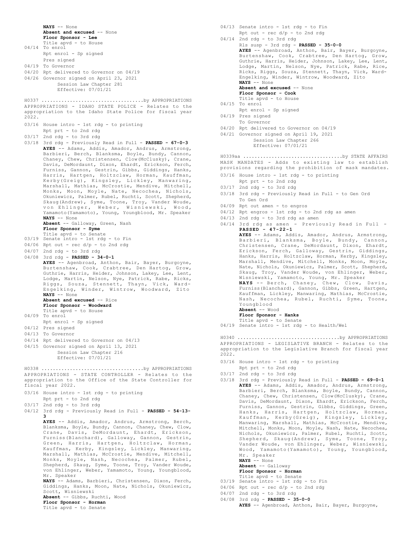**NAYS** -- None **Absent and excused** -- None

**Floor Sponsor - Lee**

- Title apvd to House 04/14 To enrol
- Rpt enrol Sp signed Pres signed
- 04/19 To Governor
- 04/20 Rpt delivered to Governor on 04/19
- 04/26 Governor signed on April 23, 2021
- Session Law Chapter 281 Effective: 07/01/21

APPROPRIATIONS - IDAHO STATE POLICE - Relates to the appropriation to the Idaho State Police for fiscal year 2022. H0337 ....................................by APPROPRIATIONS

- 03/16 House intro 1st rdg to printing Rpt prt - to 2nd rdg
- 03/17 2nd rdg to 3rd rdg
- 03/18 3rd rdg Previously Read in Full **PASSED 67-0-3 AYES** -- Adams, Addis, Amador, Andrus, Armstrong, Barbieri, Berch, Blanksma, Boyle, Bundy, Cannon, Chaney, Chew, Christensen, Clow(McClusky), Crane, Davis, DeMordaunt, Dixon, Ehardt, Erickson, Ferch, Furniss, Gannon, Gestrin, Gibbs, Giddings, Hanks, Harris, Hartgen, Holtzclaw, Horman, Kauffman, Kerby(Greig), Kingsley, Lickley, Manwaring, Marshall, Mathias, McCrostie, Mendive, Mitchell, Monks, Moon, Moyle, Nate, Necochea, Nichols, Okuniewicz, Palmer, Rubel, Ruchti, Scott, Shepherd, Skaug(Andrew), Syme, Toone, Troy, Vander Woude, von Ehlinger, Weber, Wisniewski, Wood, Yamamoto(Yamamoto), Young, Youngblood, Mr. Speaker **NAYS** -- None
	- **Absent** -- Galloway, Green, Nash **Floor Sponsor - Syme**
	-
- Title apvd to Senate 03/19 Senate intro 1st rdg to Fin
- $04/06$  Rpt out rec d/p to 2nd rdg
- 04/07 2nd rdg to 3rd rdg
- 04/08 3rd rdg **PASSED 34-0-1**
- **AYES** -- Agenbroad, Anthon, Bair, Bayer, Burgoyne, Burtenshaw, Cook, Crabtree, Den Hartog, Grow, Guthrie, Harris, Heider, Johnson, Lakey, Lee, Lent, Lodge, Martin, Nelson, Nye, Patrick, Rabe, Ricks, Riggs, Souza, Stennett, Thayn, Vick, Ward-Engelking, Winder, Wintrow, Woodward, Zito **NAYS** -- None **Absent and excused** -- Rice

## **Floor Sponsor - Woodward**

- Title apvd to House
- 04/09 To enrol
- Rpt enrol Sp signed
- 04/12 Pres signed
- 04/13 To Governor
- 04/14 Rpt delivered to Governor on 04/13
- 04/15 Governor signed on April 13, 2021 Session Law Chapter 216
- Effective: 07/01/21

APPROPRIATIONS - STATE CONTROLLER - Relates to the appropriation to the Office of the State Controller for fiscal year 2022. H0338 ....................................by APPROPRIATIONS

- 03/16 House intro 1st rdg to printing Rpt prt - to 2nd rdg
- 03/17 2nd rdg to 3rd rdg
- 04/12 3rd rdg Previously Read in Full **PASSED 54-13-**

**3 AYES** -- Addis, Amador, Andrus, Armstrong, Berch, Blanksma, Boyle, Bundy, Cannon, Chaney, Chew, Clow, Crane, Davis, DeMordaunt, Ehardt, Erickson, Furniss(Blanchard), Galloway, Gannon, Gestrin, Green, Harris, Hartgen, Holtzclaw, Horman, Kauffman, Kerby, Kingsley, Lickley, Manwaring, Marshall, Mathias, McCrostie, Mendive, Mitchell, Monks, Moyle, Nash, Necochea, Palmer, Rubel, Shepherd, Skaug, Syme, Toone, Troy, Vander Woude, von Ehlinger, Weber, Yamamoto, Young, Youngblood, Mr. Speaker

**NAYS** -- Adams, Barbieri, Christensen, Dixon, Ferch, Giddings, Hanks, Moon, Nate, Nichols, Okuniewicz, Scott, Wisniewski

**Absent** -- Gibbs, Ruchti, Wood

**Floor Sponsor - Horman**

Title apvd - to Senate

- 04/13 Senate intro 1st rdg to Fin
- Rpt out rec d/p to 2nd rdg
- 04/14 2nd rdg to 3rd rdg Rls susp - 3rd rdg - **PASSED - 35-0-0 AYES** -- Agenbroad, Anthon, Bair, Bayer, Burgoyne, Burtenshaw, Cook, Crabtree, Den Hartog, Grow, Guthrie, Harris, Heider, Johnson, Lakey, Lee, Lent, Lodge, Martin, Nelson, Nye, Patrick, Rabe, Rice, Ricks, Riggs, Souza, Stennett, Thayn, Vick, Ward-Engelking, Winder, Wintrow, Woodward, Zito **NAYS** -- None
	- **Absent and excused** -- None

**Floor Sponsor - Cook**

- Title apvd to House
- $04/15$  To enrol
- Rpt enrol Sp signed
- 04/19 Pres signed To Governor
- 04/20 Rpt delivered to Governor on 04/19
- 04/21 Governor signed on April 19, 2021 Session Law Chapter 266 Effective: 07/01/21

MASK MANDATES - Adds to existing law to establish provisions regarding the prohibition of mask mandates. H0339aa ...................................by STATE AFFAIRS

- 03/16 House intro 1st rdg to printing
- Rpt prt to 2nd rdg
- 03/17 2nd rdg to 3rd rdg
- 03/18 3rd rdg Previously Read in Full to Gen Ord To Gen Ord
- 04/09 Rpt out amen to engros
- 04/12 Rpt engros 1st rdg to 2nd rdg as amen
- 04/13 2nd rdg to 3rd rdg as amen
- 04/14 3rd rdg as amen Previously Read in Full **PASSED - 47-22-1**

**AYES** -- Adams, Addis, Amador, Andrus, Armstrong, Barbieri, Blanksma, Boyle, Bundy, Cannon, Christensen, Crane, DeMordaunt, Dixon, Ehardt, Erickson, Ferch, Galloway, Gestrin, Giddings, Hanks, Harris, Holtzclaw, Horman, Kerby, Kingsley, Marshall, Mendive, Mitchell, Monks, Moon, Moyle, Nate, Nichols, Okuniewicz, Palmer, Scott, Shepherd, Skaug, Troy, Vander Woude, von Ehlinger, Weber, Wisniewski, Yamamoto, Young, Mr. Speaker **NAYS** -- Berch, Chaney, Chew, Clow, Davis, Furniss(Blanchard), Gannon, Gibbs, Green, Hartgen, Kauffman, Lickley, Manwaring, Mathias, McCrostie, Nash, Necochea, Rubel, Ruchti, Syme, Toone, Youngblood **Absent** -- Wood **Floor Sponsor - Hanks**

- Title apvd to Senate
- 04/19 Senate intro 1st rdg to Health/Wel

APPROPRIATIONS - LEGISLATIVE BRANCH - Relates to the appropriation to the Legislative Branch for fiscal year 2022. H0340 ....................................by APPROPRIATIONS

- 03/16 House intro 1st rdg to printing
- Rpt prt to 2nd rdg
- 03/17 2nd rdg to 3rd rdg
- 03/18 3rd rdg Previously Read in Full **PASSED 69-0-1 AYES** -- Adams, Addis, Amador, Andrus, Armstrong, Barbieri, Berch, Blanksma, Boyle, Bundy, Cannon, Chaney, Chew, Christensen, Clow(McClusky), Crane, Davis, DeMordaunt, Dixon, Ehardt, Erickson, Ferch, Furniss, Gannon, Gestrin, Gibbs, Giddings, Green, Hanks, Harris, Hartgen, Holtzclaw, Horman, Kauffman, Kerby(Greig), Kingsley, Lickley, Manwaring, Marshall, Mathias, McCrostie, Mendive, Mitchell, Monks, Moon, Moyle, Nash, Nate, Necochea, Nichols, Okuniewicz, Palmer, Rubel, Ruchti, Scott, Shepherd, Skaug(Andrew), Syme, Toone, Troy, Vander Woude, von Ehlinger, Weber, Wisniewski, Wood, Yamamoto(Yamamoto), Young, Youngblood, Mr. Speaker **NAYS** -- None
	- **Absent** -- Galloway
	- **Floor Sponsor Horman** Title apvd - to Senate
- 03/19 Senate intro 1st rdg to Fin
- $04/06$  Rpt out rec  $d/p$  to 2nd rdg
- 04/07 2nd rdg to 3rd rdg
- 04/08 3rd rdg **PASSED 35-0-0**
	- **AYES** -- Agenbroad, Anthon, Bair, Bayer, Burgoyne,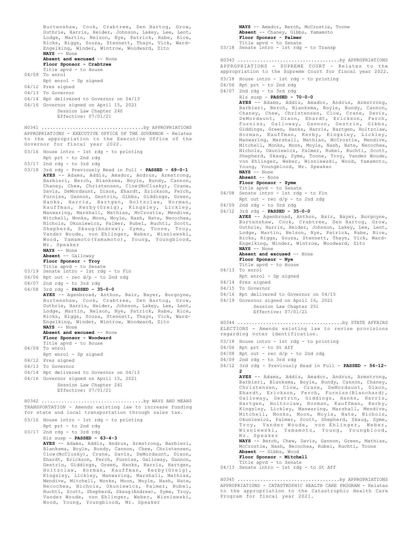Burtenshaw, Cook, Crabtree, Den Hartog, Grow, Guthrie, Harris, Heider, Johnson, Lakey, Lee, Lent, Lodge, Martin, Nelson, Nye, Patrick, Rabe, Rice, Ricks, Riggs, Souza, Stennett, Thayn, Vick, Ward-Engelking, Winder, Wintrow, Woodward, Zito **NAYS** -- None **Absent and excused** -- None **Floor Sponsor - Crabtree** Title apvd - to House 04/09 To enrol Rpt enrol - Sp signed 04/12 Pres signed 04/13 To Governor 04/14 Rpt delivered to Governor on 04/13 04/16 Governor signed on April 15, 2021 Session Law Chapter 240 Effective: 07/01/21 APPROPRIATIONS - EXECUTIVE OFFICE OF THE GOVERNOR - Relates to the appropriation to the Executive Office of the Governor for fiscal year 2022. 03/16 House intro - 1st rdg - to printing Rpt prt - to 2nd rdg 03/17 2nd rdg - to 3rd rdg 03/18 3rd rdg - Previously Read in Full - **PASSED - 69-0-1 AYES** -- Adams, Addis, Amador, Andrus, Armstrong, Barbieri, Berch, Blanksma, Boyle, Bundy, Cannon, Chaney, Chew, Christensen, Clow(McClusky), Crane, Davis, DeMordaunt, Dixon, Ehardt, Erickson, Ferch, Furniss, Gannon, Gestrin, Gibbs, Giddings, Green, Hanks, Harris, Hartgen, Holtzclaw, Horman, Kauffman, Kerby(Greig), Kingsley, Lickley, Manwaring, Marshall, Mathias, McCrostie, Mendive, Mitchell, Monks, Moon, Moyle, Nash, Nate, Necochea, Nichols, Okuniewicz, Palmer, Rubel, Ruchti, Scott, Shepherd, Skaug(Andrew), Syme, Toone, Troy, Vander Woude, von Ehlinger, Weber, Wisniewski, Wood, Yamamoto(Yamamoto), Young, Youngblood, Mr. Speaker **NAYS** -- None **Absent** -- Galloway **Floor Sponsor - Troy** Title apvd - to Senate 03/19 Senate intro - 1st rdg - to Fin  $04/06$  Rpt out - rec  $d/p$  - to 2nd rdg 04/07 2nd rdg - to 3rd rdg 04/08 3rd rdg - **PASSED - 35-0-0 AYES** -- Agenbroad, Anthon, Bair, Bayer, Burgoyne, Burtenshaw, Cook, Crabtree, Den Hartog, Grow, Guthrie, Harris, Heider, Johnson, Lakey, Lee, Lent, Lodge, Martin, Nelson, Nye, Patrick, Rabe, Rice, Ricks, Riggs, Souza, Stennett, Thayn, Vick, Ward-Engelking, Winder, Wintrow, Woodward, Zito **NAYS** -- None **Absent and excused** -- None **Floor Sponsor - Woodward** Title apvd - to House 04/09 To enrol Rpt enrol - Sp signed 04/12 Pres signed 04/13 To Governor 04/14 Rpt delivered to Governor on 04/13 04/16 Governor signed on April 15, 2021 Session Law Chapter 241 Effective: 07/01/21 H0341 ....................................by APPROPRIATIONS TRANSPORTATION - Amends existing law to increase funding for state and local transportation through sales tax. 03/16 House intro - 1st rdg - to printing Rpt prt - to 2nd rdg 03/17 2nd rdg - to 3rd rdg Rls susp - **PASSED - 63-4-3 AYES** -- Adams, Addis, Andrus, Armstrong, Barbieri, Blanksma, Boyle, Bundy, Cannon, Chew, Christensen, Clow(McClusky), Crane, Davis, DeMordaunt, Dixon, Ehardt, Erickson, Ferch, Furniss, Galloway, Gannon, Gestrin, Giddings, Green, Hanks, Harris, Hartgen, H0342 ....................................by WAYS AND MEANS

Holtzclaw, Horman, Kauffman, Kerby(Greig), Kingsley, Lickley, Manwaring, Marshall, Mathias, Mendive, Mitchell, Monks, Moon, Moyle, Nash, Nate, Necochea, Nichols, Okuniewicz, Palmer, Rubel, Ruchti, Scott, Shepherd, Skaug(Andrew), Syme, Troy, Vander Woude, von Ehlinger, Weber, Wisniewski, Wood, Young, Youngblood, Mr. Speaker

**NAYS** -- Amador, Berch, McCrostie, Toone **Absent** -- Chaney, Gibbs, Yamamoto **Floor Sponsor - Palmer** Title apvd - to Senate 03/18 Senate intro - 1st rdg - to Transp APPROPRIATIONS - SUPREME COURT - Relates to the appropriation to the Supreme Court for fiscal year 2022. 03/18 House intro - 1st rdg - to printing 04/06 Rpt prt - to 2nd rdg 04/07 2nd rdg - to 3rd rdg Rls susp - **PASSED - 70-0-0 AYES** -- Adams, Addis, Amador, Andrus, Armstrong, Barbieri, Berch, Blanksma, Boyle, Bundy, Cannon, Chaney, Chew, Christensen, Clow, Crane, Davis, DeMordaunt, Dixon, Ehardt, Erickson, Ferch, Furniss, Galloway, Gannon, Gestrin, Gibbs, Giddings, Green, Hanks, Harris, Hartgen, Holtzclaw, Horman, Kauffman, Kerby, Kingsley, Lickley, Manwaring, Marshall, Mathias, McCrostie, Mendive, Mitchell, Monks, Moon, Moyle, Nash, Nate, Necochea, Nichols, Okuniewicz, Palmer, Rubel, Ruchti, Scott, Shepherd, Skaug, Syme, Toone, Troy, Vander Woude, von Ehlinger, Weber, Wisniewski, Wood, Yamamoto, Young, Youngblood, Mr. Speaker **NAYS** -- None **Absent** -- None **Floor Sponsor - Syme** Title apvd - to Senate 04/08 Senate intro - 1st rdg - to Fin Rpt out - rec d/p - to 2nd rdg 04/09 2nd rdg - to 3rd rdg 04/12 3rd rdg - **PASSED - 35-0-0 AYES** -- Agenbroad, Anthon, Bair, Bayer, Burgoyne, Burtenshaw, Cook, Crabtree, Den Hartog, Grow, Guthrie, Harris, Heider, Johnson, Lakey, Lee, Lent, Lodge, Martin, Nelson, Nye, Patrick, Rabe, Rice, Ricks, Riggs, Souza, Stennett, Thayn, Vick, Ward-Engelking, Winder, Wintrow, Woodward, Zito **NAYS** -- None **Absent and excused** -- None **Floor Sponsor - Nye** Title apvd - to House 04/13 To enrol Rpt enrol - Sp signed 04/14 Pres signed 04/15 To Governor 04/16 Rpt delivered to Governor on 04/15 04/19 Governor signed on April 16, 2021 Session Law Chapter 251 Effective: 07/01/21 H0343 ....................................by APPROPRIATIONS ELECTIONS - Amends existing law to revise provisions regarding voter identification. 03/18 House intro - 1st rdg - to printing 04/06 Rpt prt - to St Aff 04/08 Rpt out - rec d/p - to 2nd rdg 04/09 2nd rdg - to 3rd rdg 04/12 3rd rdg - Previously Read in Full - **PASSED - 56-12- 2 AYES** -- Adams, Addis, Amador, Andrus, Armstrong, Barbieri, Blanksma, Boyle, Bundy, Cannon, Chaney, Christensen, Clow, Crane, DeMordaunt, Dixon, Ehardt, Erickson, Ferch, Furniss(Blanchard), Galloway, Gestrin, Giddings, Hanks, Harris, Hartgen, Holtzclaw, Horman, Kauffman, Kerby, Kingsley, Lickley, Manwaring, Marshall, Mendive, Mitchell, Monks, Moon, Moyle, Nate, Nichols, Okuniewicz, Palmer, Scott, Shepherd, Skaug, Syme, Troy, Vander Woude, von Ehlinger, Weber, Wisniewski, Yamamoto, Young, Youngblood, Mr. Speaker **NAYS** -- Berch, Chew, Davis, Gannon, Green, Mathias, McCrostie, Nash, Necochea, Rubel, Ruchti, Toone **Absent** -- Gibbs, Wood **Floor Sponsor - Mitchell** Title apvd - to Senate 04/13 Senate intro - 1st rdg - to St Aff H0344 .....................................by STATE AFFAIRS

APPROPRIATIONS - CATASTROPHIC HEALTH CARE PROGRAM - Relates to the appropriation to the Catastrophic Health Care Program for fiscal year 2021. H0345 ....................................by APPROPRIATIONS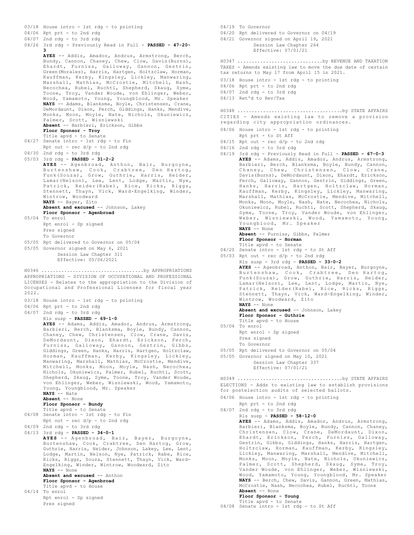```
03/18 House intro - 1st rdg - to printing
04/06 Rpt prt - to 2nd rdg
04/07 2nd rdg - to 3rd rdg
04/26 3rd rdg - Previously Read in Full - PASSED - 47-20-
        3
       AYES -- Addis, Amador, Andrus, Armstrong, Berch,
        Bundy, Cannon, Chaney, Chew, Clow, Davis(Burns),
       Ehardt, Furniss, Galloway, Gannon, Gestrin,
        Green(Morales), Harris, Hartgen, Holtzclaw, Horman,
       Kauffman, Kerby, Kingsley, Lickley, Manwaring,
        Marshall, Mathias, McCrostie, Mitchell, Nash,
Necochea, Rubel, Ruchti, Shepherd, Skaug, Syme,
        Toone, Troy, Vander Woude, von Ehlinger, Weber,
        Wood, Yamamoto, Young, Youngblood, Mr. Speaker
NAYS -- Adams, Blanksma, Boyle, Christensen, Crane,
       DeMordaunt, Dixon, Ferch, Giddings, Hanks, Mendive,
        Monks, Moon, Moyle, Nate, Nichols, Okuniewicz,
       Palmer, Scott, Wisniewski
       Absent -- Barbieri, Erickson, Gibbs
       Floor Sponsor - Troy
Title apvd - to Senate
04/27 Senate intro - 1st rdg - to Fin
       Rpt out - rec d/p - to 2nd rdg
04/30 2nd rdg - to 3rd rdg
05/03 3rd rdg - PASSED - 31-2-2
        AYES -- Agenbroad, Anthon, Bair, Burgoyne,<br>Burtenshaw, Cook, Crabtree, Den Hartog,<br>Funk(Souza), Grow, Guthrie, Harris, Heider,<br>Lamar(Nelson), Lee, Lent, Lodge, Martin, Nye,
        Patrick, Reider(Rabe), Rice, Ricks, Riggs,
Stennett, Thayn, Vick, Ward-Engelking, Winder,
Wintrow, Woodward
       NAYS -- Bayer, Zito
       Absent and excused -- Johnson, Lakey
       Floor Sponsor - Agenbroad
05/04 To enrol
       Rpt enrol - Sp signed
       Pres signed
       To Governor
05/05 Rpt delivered to Governor on 05/04
05/05 Governor signed on May 6, 2021
             Session Law Chapter 311
             Effective: 05/06/2021
H0346 ....................................by APPROPRIATIONS
```
APPROPRIATIONS - DIVISION OF OCCUPATIONAL AND PROFESSIONAL LICENSES - Relates to the appropriation to the Division of Occupational and Professional Licenses for fiscal year  $2022$ 

- 03/18 House intro 1st rdg to printing
- 04/06 Rpt prt to 2nd rdg
- 04/07 2nd rdg to 3rd rdg

Rls susp - **PASSED - 69-1-0 AYES** -- Adams, Addis, Amador, Andrus, Armstrong, Barbieri, Berch, Blanksma, Boyle, Bundy, Cannon, Chaney, Chew, Christensen, Clow, Crane, Davis, DeMordaunt, Dixon, Ehardt, Erickson, Ferch, Furniss, Galloway, Gannon, Gestrin, Gibbs, Giddings, Green, Hanks, Harris, Hartgen, Holtzclaw, Horman, Kauffman, Kerby, Kingsley, Lickley, Manwaring, Marshall, Mathias, McCrostie, Mendive, Mitchell, Monks, Moon, Moyle, Nash, Necochea, Nichols, Okuniewicz, Palmer, Rubel, Ruchti, Scott, Shepherd, Skaug, Syme, Toone, Troy, Vander Woude, von Ehlinger, Weber, Wisniewski, Wood, Yamamoto, Young, Youngblood, Mr. Speaker

```
NAYS -- Nate
```
**Absent** -- None

**Floor Sponsor - Bundy**

- Title apvd to Senate 04/08 Senate intro 1st rdg to Fin
- Rpt out rec d/p to 2nd rdg 04/09 2nd rdg - to 3rd rdg

```
04/13 3rd rdg - PASSED - 34-0-1
```
**AYES** -- Agenbroad, Bair, Bayer, Burgoyne, Burtenshaw, Cook, Crabtree, Den Hartog, Grow, Guthrie, Harris, Heider, Johnson, Lakey, Lee, Lent, Lodge, Martin, Nelson, Nye, Patrick, Rabe, Rice, Ricks, Riggs, Souza, Stennett, Thayn, Vick, Ward-Engelking, Winder, Wintrow, Woodward, Zito **NAYS** -- None **Absent and excused** -- Anthon **Floor Sponsor - Agenbroad** Title apvd - to House 04/14 To enrol

```
Rpt enrol - Sp signed
Pres signed
```
04/19 To Governor 04/20 Rpt delivered to Governor on 04/19 04/21 Governor signed on April 19, 2021 Session Law Chapter 264 Effective: 07/01/21 TAXES - Amends existing law to move the due date of certain tax returns to May 17 from April 15 in 2021. 03/18 House intro - 1st rdg - to printing 04/06 Rpt prt - to 2nd rdg 04/07 2nd rdg - to 3rd rdg 04/13 Ret'd to Rev/Tax H0347 ..............................by REVENUE AND TAXATION CITIES - Amends existing law to remove a provision regarding city appropriation ordinances. H0348 .....................................by STATE AFFAIRS

## 04/06 House intro - 1st rdg - to printing

- Rpt prt to St Aff  $04/15$  Rpt out - rec  $d/p$  - to 2nd rdg
- 
- 04/16 2nd rdg to 3rd rdg
- 04/19 3rd rdg Previously Read in Full **PASSED 67-0-3 AYES** -- Adams, Addis, Amador, Andrus, Armstrong, Barbieri, Berch, Blanksma, Boyle, Bundy, Cannon, Chaney, Chew, Christensen, Clow, Crane, Davis(Burns), DeMordaunt, Dixon, Ehardt, Erickson, Ferch, Galloway, Gannon, Gestrin, Giddings, Green, Hanks, Harris, Hartgen, Holtzclaw, Horman, Kauffman, Kerby, Kingsley, Lickley, Manwaring, Marshall, Mathias, McCrostie, Mendive, Mitchell, Monks, Moon, Moyle, Nash, Nate, Necochea, Nichols, Okuniewicz, Rubel, Ruchti, Scott, Shepherd, Skaug, Syme, Toone, Troy, Vander Woude, von Ehlinger, Weber, Wisniewski, Wood, Yamamoto, Young, Youngblood, Mr. Speaker **NAYS** -- None **Absent** -- Furniss, Gibbs, Palmer

**Floor Sponsor - Horman**

- Title apvd to Senate
- 04/20 Senate intro 1st rdg to St Aff
- 05/03 Rpt out rec  $d/p$  to 2nd rdg
- Rls susp 3rd rdg **PASSED 33-0-2 AYES** -- Agenbroad, Anthon, Bair, Bayer, Burgoyne, Burtenshaw, Cook, Crabtree, Den Hartog, Funk(Souza), Grow, Guthrie, Harris, Heider, Lamar(Nelson), Lee, Lent, Lodge, Martin, Nye, Patrick, Reider(Rabe), Rice, Ricks, Riggs, Stennett, Thayn, Vick, Ward-Engelking, Winder, Wintrow, Woodward, Zito **NAYS** -- None

Absent and excused -- Johnson, Lakey **Floor Sponsor - Guthrie** Title apvd - to House

- 05/04 To enrol Rpt enrol - Sp signed
	- Pres signed To Governor
- 05/05 Rpt delivered to Governor on 05/04
- 05/05 Governor signed on May 10, 2021 Session Law Chapter 337 Effective: 07/01/21

ELECTIONS - Adds to existing law to establish provisions for postelection audits of selected ballots. H0349 .....................................by STATE AFFAIRS

- 04/06 House intro 1st rdg to printing
- Rpt prt to 2nd rdg 04/07 2nd rdg - to 3rd rdg Rls susp - **PASSED - 58-12-0 AYES** -- Adams, Addis, Amador, Andrus, Armstrong, Barbieri, Blanksma, Boyle, Bundy, Cannon, Chaney, Christensen, Clow, Crane, DeMordaunt, Dixon, Ehardt, Erickson, Ferch, Furniss, Galloway, Gestrin, Gibbs, Giddings, Hanks, Harris, Hartgen, Holtzclaw, Horman, Kauffman, Kerby, Kingsley, Lickley, Manwaring, Marshall, Mendive, Mitchell, Monks, Moon, Moyle, Nate, Nichols, Okuniewicz, Palmer, Scott, Shepherd, Skaug, Syme, Troy, Vander Woude, von Ehlinger, Weber, Wisniewski, Wood, Yamamoto, Young, Youngblood, Mr. Speaker **NAYS** -- Berch, Chew, Davis, Gannon, Green, Mathias, McCrostie, Nash, Necochea, Rubel, Ruchti, Toone **Absent** -- None **Floor Sponsor - Young**
- Title apvd to Senate 04/08 Senate intro 1st rdg to St Aff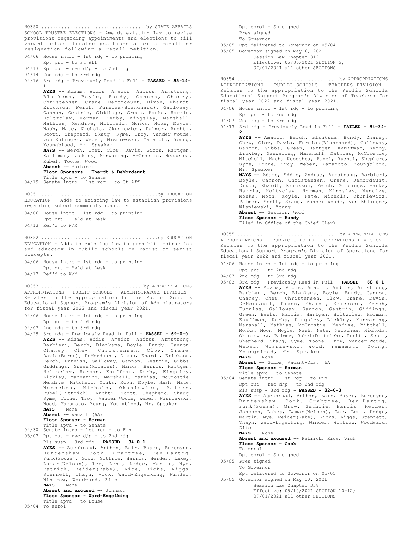```
SCHOOL TRUSTEE ELECTIONS - Amends existing law to revise
provisions regarding appointments and elections to fill
vacant school trustee positions after a recall or
resignation following a recall petition.
04/06 House intro - 1st rdg - to printing
       Rpt prt - to St Aff
04/13 Rpt out - rec d/p - to 2nd rdg
04/14 2nd rdg - to 3rd rdg
04/16 3rd rdg - Previously Read in Full - PASSED - 55-14-
       1
       AYES -- Adams, Addis, Amador, Andrus, Armstrong,
Blanksma, Boyle, Bundy, Cannon, Chaney,
Christensen, Crane, DeMordaunt, Dixon, Ehardt,
       Erickson, Ferch, Furniss(Blanchard), Galloway,
       Gannon, Gestrin, Giddings, Green, Hanks, Harris,
       Holtzclaw, Horman, Kerby, Kingsley, Marshall,
Mathias, Mendive, Mitchell, Monks, Moon, Moyle,
       Nash, Nate, Nichols, Okuniewicz, Palmer, Ruchti,
       Scott, Shepherd, Skaug, Syme, Troy, Vander Woude,
       von Ehlinger, Weber, Wisniewski, Yamamoto, Young,
Youngblood, Mr. Speaker
       NAYS -- Berch, Chew, Clow, Davis, Gibbs, Hartgen,
       Kauffman, Lickley, Manwaring, McCrostie, Necochea,
       Rubel, Toone, Wood
       Absent -- Barbieri
       Floor Sponsors - Ehardt & DeMordaunt
Title apvd - to Senate
04/19 Senate intro - 1st rdg - to St Aff
H0350 .....................................by STATE AFFAIRS
EDUCATION - Adds to existing law to establish provisions
regarding school community councils.
04/06 House intro - 1st rdg - to printing
      Rpt prt - Held at Desk
04/13 Ref'd to W/M
H0351 .........................................by EDUCATION
EDUCATION - Adds to existing law to prohibit instruction
and advocacy in public schools on racist or sexist
concepts.
04/06 House intro - 1st rdg - to printing
       Rpt prt - Held at Desk
04/13 Ref'd to W/M
H0352 .........................................by EDUCATION
APPROPRIATIONS - PUBLIC SCHOOLS - ADMINISTRATORS DIVISION -
Relates to the appropriation to the Public Schools
Educational Support Program's Division of Administrators
for fiscal year 2022 and fiscal year 2021.
04/06 House intro - 1st rdg - to printing
      Rpt prt - to 2nd rdg
04/07 2nd rdg - to 3rd rdg
04/29 3rd rdg - Previously Read in Full - PASSED - 69-0-0
       AYES -- Adams, Addis, Amador, Andrus, Armstrong,
       Barbieri, Berch, Blanksma, Boyle, Bundy, Cannon,
       Chaney, Chew, Christensen, Clow, Crane,
       Davis(Burns), DeMordaunt, Dixon, Ehardt, Erickson,
       Ferch, Furniss, Galloway, Gannon, Gestrin, Gibbs,
       Giddings, Green(Morales), Hanks, Harris, Hartgen,
       Holtzclaw, Horman, Kauffman, Kerby, Kingsley,
Lickley, Manwaring, Marshall, Mathias, McCrostie,
       Mendive, Mitchell, Monks, Moon, Moyle, Nash, Nate,
Necochea, Nichols, Okuniewicz, Palmer,
Rubel(Dittrich), Ruchti, Scott, Shepherd, Skaug,
Syme, Toone, Troy, Vander Woude, Weber, Wisniewski,
       Wood, Yamamoto, Young, Youngblood, Mr. Speaker
       NAYS -- None
       Absent -- Vacant (6A)
       Floor Sponsor - Horman
       Title apvd - to Senate
04/30 Senate intro - 1st rdg - to Fin
05/03 Rpt out - rec d/p - to 2nd rdg
       Rls susp - 3rd rdg - PASSED - 34-0-1
       AYES -- Agenbroad, Anthon, Bair, Bayer, Burgoyne,
       Burtenshaw, Cook, Crabtree, Den Hartog,
       Funk(Souza), Grow, Guthrie, Harris, Heider, Lakey,
       Lamar(Nelson), Lee, Lent, Lodge, Martin, Nye,
       Patrick, Reider(Rabe), Rice, Ricks, Riggs,
Stennett, Thayn, Vick, Ward-Engelking, Winder,
       Wintrow, Woodward, Zito
       NAYS -- None
       Absent and excused -- Johnson
       Floor Sponsor - Ward-Engelking
       Title apvd - to House
05/04 To enrol
H0353 ....................................by APPROPRIATIONS
```
Rpt enrol - Sp signed Pres signed To Governor 05/05 Rpt delivered to Governor on 05/04 05/05 Governor signed on May 6, 2021 Session Law Chapter 312 Effective: 05/06/2021 SECTION 5; 07/01/2021 all other SECTIONS APPROPRIATIONS - PUBLIC SCHOOLS - TEACHERS DIVISION - Relates to the appropriation to the Public Schools Educational Support Program's Division of Teachers for fiscal year 2022 and fiscal year 2021. 04/06 House intro - 1st rdg - to printing Rpt prt - to 2nd rdg 04/07 2nd rdg - to 3rd rdg 04/13 3rd rdg - Previously Read in Full - **FAILED - 34-34- 2 AYES** -- Amador, Berch, Blanksma, Bundy, Chaney, Chew, Clow, Davis, Furniss(Blanchard), Galloway, Gannon, Gibbs, Green, Hartgen, Kauffman, Kerby, Lickley, Manwaring, Marshall, Mathias, McCrostie, Mitchell, Nash, Necochea, Rubel, Ruchti, Shepherd, Syme, Toone, Troy, Weber, Yamamoto, Youngblood, Mr. Speaker **NAYS** -- Adams, Addis, Andrus, Armstrong, Barbieri, Boyle, Cannon, Christensen, Crane, DeMordaunt, Dixon, Ehardt, Erickson, Ferch, Giddings, Hanks, Harris, Holtzclaw, Horman, Kingsley, Mendive, Monks, Moon, Moyle, Nate, Nichols, Okuniewicz, Palmer, Scott, Skaug, Vander Woude, von Ehlinger, Wisniewski, Young **Absent** -- Gestrin, Wood **Floor Sponsor - Bundy** Filed in Office of the Chief Clerk H0354 ....................................by APPROPRIATIONS APPROPRIATIONS - PUBLIC SCHOOLS - OPERATIONS DIVISION - Relates to the appropriation to the Public Schools Educational Support Program's Division of Operations for fiscal year 2022 and fiscal year 2021. 04/06 House intro - 1st rdg - to printing Rpt prt - to 2nd rdg 04/07 2nd rdg - to 3rd rdg 05/03 3rd rdg - Previously Read in Full - **PASSED - 68-0-1** H0355 ....................................by APPROPRIATIONS

- **AYES** -- Adams, Addis, Amador, Andrus, Armstrong, Barbieri, Berch, Blanksma, Boyle, Bundy, Cannon, Chaney, Chew, Christensen, Clow, Crane, Davis, DeMordaunt, Dixon, Ehardt, Erickson, Ferch, Furniss, Galloway, Gannon, Gestrin, Giddings, Green, Hanks, Harris, Hartgen, Holtzclaw, Horman, Kauffman, Kerby, Kingsley, Lickley, Manwaring, Marshall, Mathias, McCrostie, Mendive, Mitchell, Monks, Moon, Moyle, Nash, Nate, Necochea, Nichols, Okuniewicz, Palmer, Rubel(Dittrich), Ruchti, Scott, Shepherd, Skaug, Syme, Toone, Troy, Vander Woude, Weber, Wisniewski, Wood, Yamamoto, Young, Youngblood, Mr. Speaker **NAYS** -- None
- **Absent** -- Gibbs, Vacant-Dist. 6A **Floor Sponsor - Horman** Title apvd - to Senate 05/04 Senate intro - 1st rdg - to Fin Rpt out - rec d/p - to 2nd rdg Rls susp - 3rd rdg - **PASSED - 32-0-3 AYES** -- Agenbroad, Anthon, Bair, Bayer, Burgoyne, Burtenshaw, Cook, Crabtree, Den Hartog, Funk(Souza), Grow, Guthrie, Harris, Heider, Johnson, Lakey, Lamar(Nelson), Lee, Lent, Lodge, Martin, Nye, Reider(Rabe), Ricks, Riggs, Stennett, Thayn, Ward-Engelking, Winder, Wintrow, Woodward, Zito **NAYS** -- None **Absent and excused** -- Patrick, Rice, Vick **Floor Sponsor - Cook** To enrol Rpt enrol - Sp signed 05/05 Pres signed To Governor Rpt delivered to Governor on 05/05 05/05 Governor signed on May 10, 2021 Session Law Chapter 338 Effective: 05/10/2021 SECTION 10-12; 07/01/2021 all other SECTIONS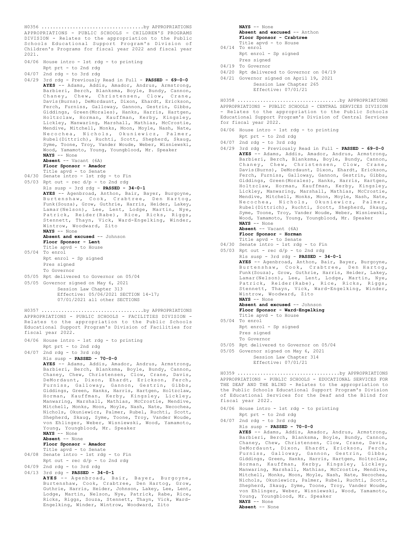APPROPRIATIONS - PUBLIC SCHOOLS - CHILDREN'S PROGRAMS DIVISION - Relates to the appropriation to the Public Schools Educational Support Program's Division of Children's Programs for fiscal year 2022 and fiscal year 2021. H0356 ....................................by APPROPRIATIONS

04/06 House intro - 1st rdg - to printing Rpt prt - to 2nd rdg 04/07 2nd rdg - to 3rd rdg 04/29 3rd rdg - Previously Read in Full - **PASSED - 69-0-0 AYES** -- Adams, Addis, Amador, Andrus, Armstrong, Barbieri, Berch, Blanksma, Boyle, Bundy, Cannon,<br>Chanev, Chew, Christensen, Clow, Crane, Chaney, Chew, Christensen, Clow, Davis(Burns), DeMordaunt, Dixon, Ehardt, Erickson, Ferch, Furniss, Galloway, Gannon, Gestrin, Gibbs, Giddings, Green(Morales), Hanks, Harris, Hartgen, Holtzclaw, Horman, Kauffman, Kerby, Kingsley, Lickley, Manwaring, Marshall, Mathias, McCrostie, Mendive, Mitchell, Monks, Moon, Moyle, Nash, Nate, Necochea, Nichols, Okuniewicz, Palmer, Rubel(Dittrich), Ruchti, Scott, Shepherd, Skaug, Syme, Toone, Troy, Vander Woude, Weber, Wisniewski, Wood, Yamamoto, Young, Youngblood, Mr. Speaker **NAYS** -- None **Absent** -- Vacant (6A) **Floor Sponsor - Amador** Title apvd - to Senate 04/30 Senate intro - 1st rdg - to Fin 05/03 Rpt out - rec  $d/p$  - to 2nd rdg Rls susp - 3rd rdg - **PASSED - 34-0-1 AYES** -- Agenbroad, Anthon, Bair, Bayer, Burgoyne, Burtenshaw, Cook, Crabtree, Den Hartog, Funk(Souza), Grow, Guthrie, Harris, Heider, Lakey, Lamar(Nelson), Lee, Lent, Lodge, Martin, Nye, Patrick, Reider(Rabe), Rice, Ricks, Riggs, Stennett, Thayn, Vick, Ward-Engelking, Winder, Wintrow, Woodward, Zito **NAYS** -- None **Absent and excused** -- Johnson **Floor Sponsor - Lent** Title apvd - to House 05/04 To enrol Rpt enrol - Sp signed Pres signed To Governor 05/05 Rpt delivered to Governor on 05/04 05/05 Governor signed on May 6, 2021 Session Law Chapter 313 Effective: 05/06/2021 SECTION 14-17; 07/01/2021 all other SECTIONS APPROPRIATIONS - PUBLIC SCHOOLS - FACILITIES DIVISION - Relates to the appropriation to the Public Schools Educational Support Program's Division of Facilities for fiscal year 2022. 04/06 House intro - 1st rdg - to printing Rpt prt - to 2nd rdg 04/07 2nd rdg - to 3rd rdg Rls susp - **PASSED - 70-0-0 AYES** -- Adams, Addis, Amador, Andrus, Armstrong, Barbieri, Berch, Blanksma, Boyle, Bundy, Cannon, Chaney, Chew, Christensen, Clow, Crane, Davis, DeMordaunt, Dixon, Ehardt, Erickson, Ferch, Furniss, Galloway, Gannon, Gestrin, Gibbs, Giddings, Green, Hanks, Harris, Hartgen, Holtzclaw, Horman, Kauffman, Kerby, Kingsley, Lickley, Manwaring, Marshall, Mathias, McCrostie, Mendive, Mitchell, Monks, Moon, Moyle, Nash, Nate, Necochea, Nichols, Okuniewicz, Palmer, Rubel, Ruchti, Scott, Shepherd, Skaug, Syme, Toone, Troy, Vander Woude, von Ehlinger, Weber, Wisniewski, Wood, Yamamoto, Young, Youngblood, Mr. Speaker **NAYS** -- None **Absent** -- None H0357 ....................................by APPROPRIATIONS

**Floor Sponsor - Amador** Title apvd - to Senate 04/08 Senate intro - 1st rdg - to Fin

Rpt out -  $rec d/p - to 2nd rd$ 

04/09 2nd rdg - to 3rd rdg 04/13 3rd rdg - **PASSED - 34-0-1**

**AYES** -- Agenbroad, Bair, Bayer, Burgoyne, Burtenshaw, Cook, Crabtree, Den Hartog, Grow, Guthrie, Harris, Heider, Johnson, Lakey, Lee, Lent, Lodge, Martin, Nelson, Nye, Patrick, Rabe, Rice, Ricks, Riggs, Souza, Stennett, Thayn, Vick, Ward-Engelking, Winder, Wintrow, Woodward, Zito

| $NAYS$ -- None               |
|------------------------------|
| Absent and excused -- Anthon |
| Floor Sponsor - Crabtree     |
| Title apvd - to House        |
| $04/14$ To enrol             |
| Rpt enrol - Sp signed        |

- Pres signed 04/19 To Governor
- 
- 04/20 Rpt delivered to Governor on 04/19
- 04/21 Governor signed on April 19, 2021 Session Law Chapter 265 Effective: 07/01/21

APPROPRIATIONS - PUBLIC SCHOOLS - CENTRAL SERVICES DIVISION - Relates to the appropriation to the Public Schools Educational Support Program's Division of Central Services for fiscal year 2022. H0358 ....................................by APPROPRIATIONS

- 04/06 House intro 1st rdg to printing
- Rpt prt to 2nd rdg
- 04/07 2nd rdg to 3rd rdg
- 04/29 3rd rdg Previously Read in Full **PASSED 69-0-0 AYES** -- Adams, Addis, Amador, Andrus, Armstrong, Barbieri, Berch, Blanksma, Boyle, Bundy, Cannon,<br>Chaney, Chew, Christensen, Clow, Crane, Chaney, Chew, Christensen, Davis(Burns), DeMordaunt, Dixon, Ehardt, Erickson, Ferch, Furniss, Galloway, Gannon, Gestrin, Gibbs, Giddings, Green(Morales), Hanks, Harris, Hartgen, Holtzclaw, Horman, Kauffman, Kerby, Kingsley, Lickley, Manwaring, Marshall, Mathias, McCrostie, Mendive, Mitchell, Monks, Moon, Moyle, Nash, Nate, Necochea, Nichols, Okuniewicz, Palmer, Rubel(Dittrich), Ruchti, Scott, Shepherd, Skaug, Syme, Toone, Troy, Vander Woude, Weber, Wisniewski, Wood, Yamamoto, Young, Youngblood, Mr. Speaker **NAYS** -- None **Absent** -- Vacant (6A) **Floor Sponsor - Horman**
- Title apvd to Senate 04/30 Senate intro 1st rdg to Fin
- 05/03 Rpt out rec  $d/p$  to 2nd rdg

Rls susp - 3rd rdg - **PASSED - 34-0-1**

**AYES** -- Agenbroad, Anthon, Bair, Bayer, Burgoyne, Burtenshaw, Cook, Crabtree, Den Hartog, Funk(Souza), Grow, Guthrie, Harris, Heider, Lakey, Lamar(Nelson), Lee, Lent, Lodge, Martin, Nye, Patrick, Reider(Rabe), Rice, Ricks, Riggs, Stennett, Thayn, Vick, Ward-Engelking, Winder, Wintrow, Woodward, Zito **NAYS** -- None

**Absent and excused** -- Johnson **Floor Sponsor - Ward-Engelking**

- Title apvd to House
- 05/04 To enrol
- Rpt enrol Sp signed Pres signed To Governor
- 05/05 Rpt delivered to Governor on 05/04
- 05/05 Governor signed on May 6, 2021
	- Session Law Chapter 314 Effective: 07/01/21

APPROPRIATIONS - PUBLIC SCHOOLS - EDUCATIONAL SERVICES FOR THE DEAF AND THE BLIND - Relates to the appropriation to the Public Schools Educational Support Program's Division of Educational Services for the Deaf and the Blind for fiscal year 2022. H0359 ....................................by APPROPRIATIONS

- 04/06 House intro 1st rdg to printing
- Rpt prt to 2nd rdg 04/07 2nd rdg - to 3rd rdg

Rls susp - **PASSED - 70-0-0 AYES** -- Adams, Addis, Amador, Andrus, Armstrong, Barbieri, Berch, Blanksma, Boyle, Bundy, Cannon, Chaney, Chew, Christensen, Clow, Crane, Davis, DeMordaunt, Dixon, Ehardt, Erickson, Ferch, Furniss, Galloway, Gannon, Gestrin, Gibbs, Giddings, Green, Hanks, Harris, Hartgen, Holtzclaw, Horman, Kauffman, Kerby, Kingsley, Lickley, Manwaring, Marshall, Mathias, McCrostie, Mendive, Mitchell, Monks, Moon, Moyle, Nash, Nate, Necochea, Nichols, Okuniewicz, Palmer, Rubel, Ruchti, Scott, Shepherd, Skaug, Syme, Toone, Troy, Vander Woude, von Ehlinger, Weber, Wisniewski, Wood, Yamamoto, Young, Youngblood, Mr. Speaker **NAYS** -- None

**Absent** -- None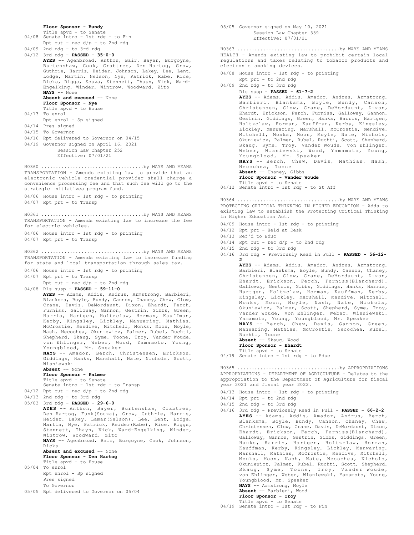```
Floor Sponsor - Bundy
      Title apvd - to Senate
04/08 Senate intro - 1st rdg - to Fin
      Rpt out - rec d/p - to 2nd rd04/09 2nd rdg - to 3rd rdg
04/12 3rd rdg - PASSED - 35-0-0
      AYES -- Agenbroad, Anthon, Bair, Bayer, Burgoyne,
      Burtenshaw, Cook, Crabtree, Den Hartog, Grow,
      Guthrie, Harris, Heider, Johnson, Lakey, Lee, Lent,
      Lodge, Martin, Nelson, Nye, Patrick, Rabe, Rice,
      Ricks, Riggs, Souza, Stennett, Thayn, Vick, Ward-
      Engelking, Winder, Wintrow, Woodward, Zito
      NAYS -- None
      Absent and excused -- None
      Floor Sponsor - Nye
      Title apvd - to House
04/13 To enrol
     Rpt enrol - Sp signed
04/14 Pres signed
04/15 To Governor
04/16 Rpt delivered to Governor on 04/15
04/19 Governor signed on April 16, 2021
          Session Law Chapter 252
           Effective: 07/01/21
TRANSPORTATION - Amends existing law to provide that an
electronic vehicle credential provider shall charge a
convenience processing fee and that such fee will go to the
strategic initiatives program fund.
04/06 House intro - 1st rdg - to printing
04/07 Rpt prt - to Transp
H0360 ....................................by WAYS AND MEANS
TRANSPORTATION - Amends existing law to increase the fee
for electric vehicles.
04/06 House intro - 1st rdg - to printing
04/07 Rpt prt - to Transp
H0361 ....................................by WAYS AND MEANS
TRANSPORTATION - Amends existing law to increase funding
for state and local transportation through sales tax.
04/06 House intro - 1st rdg - to printing
04/07 Rpt prt - to Transp
      Rpt out - rec d/p - to 2nd rdg
04/08 Rls susp - PASSED - 59-11-0
      AYES -- Adams, Addis, Andrus, Armstrong, Barbieri,
      Blanksma, Boyle, Bundy, Cannon, Chaney, Chew, Clow,
      Crane, Davis, DeMordaunt, Dixon, Ehardt, Ferch,
      Furniss, Galloway, Gannon, Gestrin, Gibbs, Green,
      Harris, Hartgen, Holtzclaw, Horman, Kauffman,
       Kerby, Kingsley, Lickley, Manwaring, Mathias,
McCrostie, Mendive, Mitchell, Monks, Moon, Moyle,
      Nash, Necochea, Okuniewicz, Palmer, Rubel, Ruchti,
      Shepherd, Skaug, Syme, Toone, Troy, Vander Woude,
      von Ehlinger, Weber, Wood, Yamamoto, Young,
      Youngblood, Mr. Speaker
      NAYS -- Amador, Berch, Christensen, Erickson,
      Giddings, Hanks, Marshall, Nate, Nichols, Scott,
      Wisniewski
      Absent -- None
      Floor Sponsor - Palmer
      Title apvd - to Senate
      Senate intro - 1st rdg - to Transp
04/12 Rpt out - rec d/p - to 2nd rdg
04/13 2nd rdg - to 3rd rdg
05/03 3rd rdg - PASSED - 29-6-0
      AYES -- Anthon, Bayer, Burtenshaw, Crabtree,
      Den Hartog, Funk(Souza), Grow, Guthrie, Harris,
      Heider, Lakey, Lamar(Nelson), Lee, Lent, Lodge,
      Martin, Nye, Patrick, Reider(Rabe), Rice, Riggs,
      Stennett, Thayn, Vick, Ward-Engelking, Winder,
      Wintrow, Woodward, Zito
      NAYS -- Agenbroad, Bair, Burgoyne, Cook, Johnson,
      Ricks
      Absent and excused -- None
      Floor Sponsor - Den Hartog
      Title apvd - to House
05/04 To enrol
      Rpt enrol - Sp signed
      Pres signed
      To Governor
05/05 Rpt delivered to Governor on 05/04
H0362 ....................................by WAYS AND MEANS
```

```
Effective: 07/01/21
HEALTH - Amends existing law to prohibit certain local
regulations and taxes relating to tobacco products and
electronic smoking devices.
04/08 House intro - 1st rdg - to printing
      Rpt prt - to 2nd rdg
04/09 2nd rdg - to 3rd rdg
      Rls susp - PASSED - 61-7-2
       AYES -- Adams, Addis, Amador, Andrus, Armstrong,
       Barbieri, Blanksma, Boyle, Bundy, Cannon,
       Christensen, Clow, Crane, DeMordaunt, Dixon,
       Ehardt, Erickson, Ferch, Furniss, Galloway, Gannon,
        Gestrin, Giddings, Green, Hanks, Harris, Hartgen,
Holtzclaw, Horman, Kauffman, Kerby, Kingsley,
        Lickley, Manwaring, Marshall, McCrostie, Mendive,
Mitchell, Monks, Moon, Moyle, Nate, Nichols,
        Okuniewicz, Palmer, Rubel, Ruchti, Scott, Shepherd,
Skaug, Syme, Troy, Vander Woude, von Ehlinger,
       Weber, Wisniewski, Wood, Yamamoto, Young,
        Youngblood, Mr. Speaker
NAYS -- Berch, Chew, Davis, Mathias, Nash,
       Necochea, Toone
       Absent -- Chaney, Gibbs
       Floor Sponsor - Vander Woude
Title apvd - to Senate
04/12 Senate intro - 1st rdg - to St Aff
H0363 ....................................by WAYS AND MEANS
PROTECTING CRITICAL THINKING IN HIGHER EDUCATION - Adds to
existing law to establish the Protecting Critical Thinking
in Higher Education Act.
04/09 House intro - 1st rdg - to printing
04/12 Rpt prt - Held at Desk
04/13 Ref'd to Educ
04/14 Rpt out - rec d/p - to 2nd rdg
04/15 2nd rdg - to 3rd rdg
04/16 3rd rdg - Previously Read in Full - PASSED - 56-12-
        2
       AYES -- Adams, Addis, Amador, Andrus, Armstrong,
       Barbieri, Blanksma, Boyle, Bundy, Cannon, Chaney,
        Christensen, Clow, Crane, DeMordaunt, Dixon,
Ehardt, Erickson, Ferch, Furniss(Blanchard),
       Galloway, Gestrin, Gibbs, Giddings, Hanks, Harris,
       Hartgen, Holtzclaw, Horman, Kauffman, Kerby,
       Kingsley, Lickley, Marshall, Mendive, Mitchell,
       Monks, Moon, Moyle, Nash, Nate, Nichols,
        Okuniewicz, Palmer, Scott, Shepherd, Syme, Troy,
Vander Woude, von Ehlinger, Weber, Wisniewski,
H0364 ....................................by WAYS AND MEANS
```
05/05 Governor signed on May 10, 2021 Session Law Chapter 339

Yamamoto, Young, Youngblood, Mr. Speaker<br>**NAYS --** Berch, Chew, Davis, Gannon, Green,<br>Manwaring, Mathias, McCrostie, Necochea, Rubel,

Ruchti, Toone **Absent** -- Skaug, Wood **Floor Sponsor - Ehardt** Title apvd - to Senate

04/19 Senate intro - 1st rdg - to Educ

APPROPRIATIONS - DEPARTMENT OF AGRICULTURE - Relates to the appropriation to the Department of Agriculture for fiscal year 2021 and fiscal year 2022. H0365 ....................................by APPROPRIATIONS

- 04/13 House intro 1st rdg to printing
- 04/14 Rpt prt to 2nd rdg
- 04/15 2nd rdg to 3rd rdg
- 04/16 3rd rdg Previously Read in Full **PASSED 66-2-2 AYES** -- Adams, Addis, Amador, Andrus, Berch, Blanksma, Boyle, Bundy, Cannon, Chaney, Chew, Christensen, Clow, Crane, Davis, DeMordaunt, Dixon, Ehardt, Erickson, Ferch, Furniss(Blanchard), Galloway, Gannon, Gestrin, Gibbs, Giddings, Green, Hanks, Harris, Hartgen, Holtzclaw, Horman, Kauffman, Kerby, Kingsley, Lickley, Manwaring, Marshall, Mathias, McCrostie, Mendive, Mitchell, Monks, Moon, Nash, Nate, Necochea, Nichols, Okuniewicz, Palmer, Rubel, Ruchti, Scott, Shepherd, Skaug, Syme, Toone, Troy, Vander Woude, von Ehlinger, Weber, Wisniewski, Yamamoto, Young, Youngblood, Mr. Speaker **NAYS** -- Armstrong, Moyle **Absent** -- Barbieri, Wood **Floor Sponsor - Troy**
- Title apvd to Senate 04/19 Senate intro 1st rdg to Fin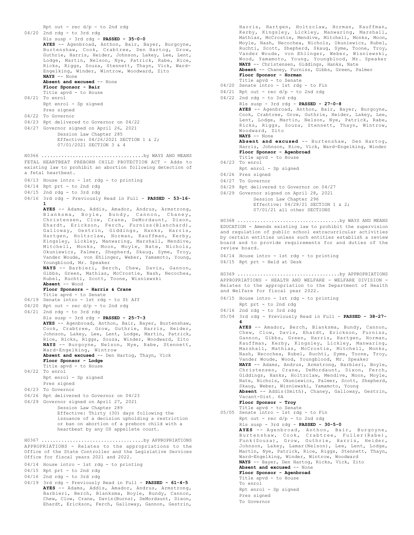```
Rpt out - rec d/p - to 2nd rdg
04/20 2nd rdg - to 3rd rdg
       Rls susp - 3rd rdg - PASSED - 35-0-0
       AYES -- Agenbroad, Anthon, Bair, Bayer, Burgoyne,
       Burtenshaw, Cook, Crabtree, Den Hartog, Grow,
       Guthrie, Harris, Heider, Johnson, Lakey, Lee, Lent,
Lodge, Martin, Nelson, Nye, Patrick, Rabe, Rice,
       Ricks, Riggs, Souza, Stennett, Thayn, Vick, Ward-
       Engelking, Winder, Wintrow, Woodward, Zito
       NAYS -- None
       Absent and excused -- None
       Floor Sponsor - Bair
       Title apvd - to House
04/21 To enrol
       Rpt enrol - Sp signed
       Pres signed
04/22 To Governor
04/23 Rpt delivered to Governor on 04/22
04/27 Governor signed on April 26, 2021
           Session Law Chapter 285
             Effective: 04/26/2021 SECTION 1 & 2;
            07/01/2021 SECTION 3 & 4
FETAL HEARTBEAT PREBORN CHILD PROTECTION ACT - Adds to
existing law to prohibit an abortion following detection of
a fetal heartbeat.
04/13 House intro - 1st rdg - to printing
04/14 Rpt prt - to 2nd rdg
04/15 2nd rdg - to 3rd rdg
04/16 3rd rdg - Previously Read in Full - PASSED - 53-16-
       1
       AYES -- Adams, Addis, Amador, Andrus, Armstrong,
Blanksma, Boyle, Bundy, Cannon, Chaney,
Christensen, Clow, Crane, DeMordaunt, Dixon,
Ehardt, Erickson, Ferch, Furniss(Blanchard),
       Galloway, Gestrin, Giddings, Hanks, Harris,
Hartgen, Holtzclaw, Horman, Kauffman, Kerby,
Kingsley, Lickley, Manwaring, Marshall, Mendive,
Mitchell, Monks, Moon, Moyle, Nate, Nichols,
       Okuniewicz, Palmer, Shepherd, Skaug, Syme, Troy,
       Vander Woude, von Ehlinger, Weber, Yamamoto, Young,
       Youngblood, Mr. Speaker
       NAYS -- Barbieri, Berch, Chew, Davis, Gannon,
       Gibbs, Green, Mathias, McCrostie, Nash, Necochea,
       Rubel, Ruchti, Scott, Toone, Wisniewski
       Absent -- Wood
       Floor Sponsors - Harris & Crane
Title apvd - to Senate
04/19 Senate intro - 1st rdg - to St Aff
04/20 Rpt out - rec d/p - to 2nd rdg
04/21 2nd rdg - to 3rd rdg
       Rls susp - 3rd rdg - PASSED - 25-7-3
       AYES -- Agenbroad, Anthon, Bair, Bayer, Burtenshaw,
       Cook, Crabtree, Grow, Guthrie, Harris, Heider,
Johnson, Lakey, Lee, Lent, Lodge, Martin, Patrick,
       Rice, Ricks, Riggs, Souza, Winder, Woodward, Zito
NAYS -- Burgoyne, Nelson, Nye, Rabe, Stennett,
       Ward-Engelking, Wintrow
       Absent and excused -- Den Hartog, Thayn, Vick
       Floor Sponsor - Lodge
       Title apvd - to House
04/22 To enrol
       Rpt enrol - Sp signed
       Pres signed
04/23 To Governor
04/26 Rpt delivered to Governor on 04/23
04/29 Governor signed on April 27, 2021
            Session Law Chapter 289
            Effective: Thirty (30) days following the
            issuance of a decision upholding a restriction
            or ban on abortion of a preborn child with a
            heartbeat by any US appellete court.
H0366 ....................................by WAYS AND MEANS
APPROPRIATIONS - Relates to the appropriations to the
Office of the State Controller and the Legislative Services
Office for fiscal years 2021 and 2022.
04/14 House intro - 1st rdg - to printing
04/15 Rpt prt - to 2nd rdg
04/16 2nd rdg - to 3rd rdg
04/19 3rd rdg - Previously Read in Full - PASSED - 61-4-5
       AYES -- Adams, Addis, Amador, Andrus, Armstrong,
H0367 ....................................by APPROPRIATIONS
```
Barbieri, Berch, Blanksma, Boyle, Bundy, Cannon, Chew, Clow, Crane, Davis(Burns), DeMordaunt, Dixon, Ehardt, Erickson, Ferch, Galloway, Gannon, Gestrin,

```
Harris, Hartgen, Holtzclaw, Horman, Kauffman,
Kerby, Kingsley, Lickley, Manwaring, Marshall,
       Mathias, McCrostie, Mendive, Mitchell, Monks, Moon,
       Moyle, Nash, Necochea, Nichols, Okuniewicz, Rubel,
       Ruchti, Scott, Shepherd, Skaug, Syme, Toone, Troy,
Vander Woude, von Ehlinger, Weber, Wisniewski,
Wood, Yamamoto, Young, Youngblood, Mr. Speaker
       NAYS -- Christensen, Giddings, Hanks, Nate
       Absent -- Chaney, Furniss, Gibbs, Green, Palmer
       Floor Sponsor - Horman
       Title apvd - to Senate
04/20 Senate intro - 1st rdg - to Fin
04/21 Rpt out - rec d/p - to 2nd rdg
04/22 2nd rdg - to 3rd rdg
       Rls susp - 3rd rdg - PASSED - 27-0-8
AYES -- Agenbroad, Anthon, Bair, Bayer, Burgoyne,
       Cook, Crabtree, Grow, Guthrie, Heider, Lakey, Lee,
       Lent, Lodge, Martin, Nelson, Nye, Patrick, Rabe,
       Ricks, Riggs, Souza, Stennett, Thayn, Wintrow,
       Woodward, Zito
       NAYS -- None
       Absent and excused -- Burtenshaw, Den Hartog,
       Harris, Johnson, Rice, Vick, Ward-Engelking, Winder
       Floor Sponsor - Agenbroad
       Title apvd - to House
04/23 To enrol
      Rpt enrol - Sp signed
04/26 Pres signed
04/27 To Governor
04/29 Rpt delivered to Governor on 04/27
04/29 Governor signed on April 28, 2021
            Session Law Chapter 296
            Effective: 04/28/21 SECTION 1 & 2:
            07/01/21 all other SECTIONS
EDUCATION - Amends existing law to prohibit the supervision
and regulation of public school extracurricular activities
by certain entities unless such entities establish a review
board and to provide requirements for and duties of the
review board.
04/14 House intro - 1st rdg - to printing
04/15 Rpt prt - Held at Desk
H0368 ....................................by WAYS AND MEANS
APPROPRIATIONS - HEALTH AND WELFARE - WELFARE DIVISION -
Relates to the appropriation to the Department of Health
and Welfare for fiscal year 2022.
04/15 House intro - 1st rdg - to printing
      Rpt prt - to 2nd rdg
04/16 2nd rdg - to 3rd rdg
05/04 3rd rdg - Previously Read in Full - PASSED - 38-27-
       4
       AYES -- Amador, Berch, Blanksma, Bundy, Cannon,
       Chew, Clow, Davis, Ehardt, Erickson, Furniss,
       Gannon, Gibbs, Green, Harris, Hartgen, Horman,
       Kauffman, Kerby, Kingsley, Lickley, Manwaring,
       Marshall, Mathias, McCrostie, Mitchell, Monks,
       Nash, Necochea, Rubel, Ruchti, Syme, Toone, Troy,
       Vander Woude, Wood, Youngblood, Mr. Speaker
       NAYS -- Adams, Andrus, Armstrong, Barbieri, Boyle,
Christensen, Crane, DeMordaunt, Dixon, Ferch,
       Giddings, Hanks, Holtzclaw, Mendive, Moon, Moyle,
       Nate, Nichols, Okuniewicz, Palmer, Scott, Shepherd,
Skaug, Weber, Wisniewski, Yamamoto, Young
       Absent -- Addis(Smith), Chaney, Galloway, Gestrin,
       Vacant-Dist. 6A
       Floor Sponsor - Troy
Title apvd - to Senate
05/05 Senate intro - 1st rdg - to Fin
       Rpt out - rec d/p - to 2nd rdg
H0369 ....................................by APPROPRIATIONS
```

```
Rls susp - 3rd rdg - PASSED - 30-5-0
```
To Governor

**AYES** -- Agenbroad, Anthon, Bair, Burgoyne, Burtenshaw, Cook, Crabtree, Fuller(Rabe), Funk(Souza), Grow, Guthrie, Harris, Heider, Johnson, Lakey, Lamar(Nelson), Lee, Lent, Lodge, Martin, Nye, Patrick, Rice, Riggs, Stennett, Thayn, Ward-Engelking, Winder, Wintrow, Woodward **NAYS** -- Bayer, Den Hartog, Ricks, Vick, Zito **Absent and excused** -- None **Floor Sponsor - Agenbroad** Title apvd - to House To enrol Rpt enrol - Sp signed Pres signed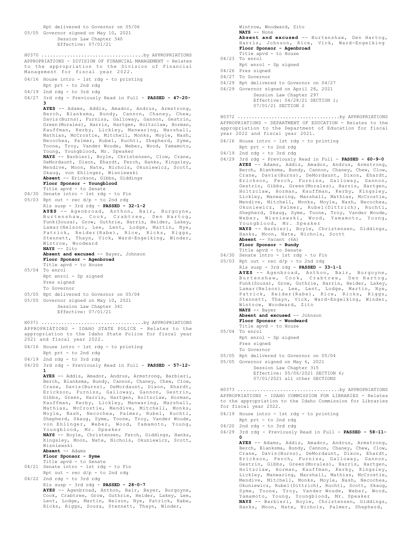```
Rpt delivered to Governor on 05/06
05/05 Governor signed on May 10, 2021
           Session Law Chapter 340
           Effective: 07/01/21
APPROPRIATIONS - DIVISION OF FINANCIAL MANAGEMENT - Relates
to the appropriation to the Division of Financial
Management for fiscal year 2022.
04/16 House intro - 1st rdg - to printing
      Rpt prt - to 2nd rdg
04/19 2nd rdg - to 3rd rdg
04/27 3rd rdg - Previously Read in Full - PASSED - 47-20-
       3
      AYES -- Adams, Addis, Amador, Andrus, Armstrong,
      Berch, Blanksma, Bundy, Cannon, Chaney, Chew,
      Davis(Burns), Furniss, Galloway, Gannon, Gestrin,
      Green(Morales), Harris, Hartgen, Holtzclaw, Horman,
      Kauffman, Kerby, Lickley, Manwaring, Marshall,
      Mathias, McCrostie, Mitchell, Monks, Moyle, Nash,
      Necochea, Palmer, Rubel, Ruchti, Shepherd, Syme,
      Toone, Troy, Vander Woude, Weber, Wood, Yamamoto,
      Young, Youngblood, Mr. Speaker
      NAYS -- Barbieri, Boyle, Christensen, Clow, Crane,
      DeMordaunt, Dixon, Ehardt, Ferch, Hanks, Kingsley,
      Mendive, Moon, Nate, Nichols, Okuniewicz, Scott,
      Skaug, von Ehlinger, Wisniewski
      Absent -- Erickson, Gibbs, Giddings
      Floor Sponsor - Youngblood
      Title apvd - to Senate
04/30 Senate intro - 1st rdg - to Fin
05/03 Rpt out - rec d/p - to 2nd rdg
      Rls susp - 3rd rdg - PASSED - 32-1-2
       AYES -- Agenbroad, Anthon, Bair, Burgoyne,
Burtenshaw, Cook, Crabtree, Den Hartog,
      Funk(Souza), Grow, Guthrie, Harris, Heider, Lakey,
       Lamar(Nelson), Lee, Lent, Lodge, Martin, Nye,
Patrick, Reider(Rabe), Rice, Ricks, Riggs,
Stennett, Thayn, Vick, Ward-Engelking, Winder,
Wintrow, Woodward
      NAYS -- Zito
      Absent and excused -- Bayer, Johnson
      Floor Sponsor - Agenbroad
      Title apvd - to House
05/04 To enrol
      Rpt enrol - Sp signed
      Pres signed
      To Governor
05/05 Rpt delivered to Governor on 05/04
05/05 Governor signed on May 10, 2021
           Session Law Chapter 341
           Effective: 07/01/21
H0370 ....................................by APPROPRIATIONS
APPROPRIATIONS - IDAHO STATE POLICE - Relates to the
appropriation to the Idaho State Police for fiscal year
2021 and fiscal year 2022.
04/16 House intro - 1st rdg - to printing
      Rpt prt - to 2nd rdg
04/19 2nd rdg - to 3rd rdg
04/20 3rd rdg - Previously Read in Full - PASSED - 57-12-
       1
      AYES -- Addis, Amador, Andrus, Armstrong, Barbieri,
      Berch, Blanksma, Bundy, Cannon, Chaney, Chew, Clow,
      Crane, Davis(Burns), DeMordaunt, Dixon, Ehardt,
      Erickson, Furniss, Galloway, Gannon, Gestrin,
      Gibbs, Green, Harris, Hartgen, Holtzclaw, Horman,
      Kauffman, Kerby, Lickley, Manwaring, Marshall,
      Mathias, McCrostie, Mendive, Mitchell, Monks,
      Moyle, Nash, Necochea, Palmer, Rubel, Ruchti,
      Shepherd, Skaug, Syme, Toone, Troy, Vander Woude,
      von Ehlinger, Weber, Wood, Yamamoto, Young,
      Youngblood, Mr. Speaker
      NAYS -- Boyle, Christensen, Ferch, Giddings, Hanks,
      Kingsley, Moon, Nate, Nichols, Okuniewicz, Scott,
      Wisniewski
      Absent -- Adams
      Floor Sponsor - Syme
      Title apvd - to Senate
04/21 Senate intro - 1st rdg - to Fin
      Rpt out - rec d/p - to 2nd rdg
04/22 2nd rdg - to 3rd rdg
      Rls susp - 3rd rdg - PASSED - 28-0-7
      AYES -- Agenbroad, Anthon, Bair, Bayer, Burgoyne,
      Cook, Crabtree, Grow, Guthrie, Heider, Lakey, Lee,
      Lent, Lodge, Martin, Nelson, Nye, Patrick, Rabe,
      Ricks, Riggs, Souza, Stennett, Thayn, Winder,
H0371 ....................................by APPROPRIATIONS
```
Wintrow, Woodward, Zito **NAYS** -- None **Absent and excused** -- Burtenshaw, Den Hartog, Harris, Johnson, Rice, Vick, Ward-Engelking **Floor Sponsor - Agenbroad** Title apvd - to House

- 04/23 To enrol
- Rpt enrol Sp signed
- 04/26 Pres signed
- 04/27 To Governor
- 04/29 Rpt delivered to Governor on 04/27
- 04/29 Governor signed on April 28, 2021 Session Law Chapter 297 Effective: 04/28/21 SECTION 1; 07/01/21 SECTION 2

APPROPRIATIONS - DEPARTMENT OF EDUCATION - Relates to the appropriation to the Department of Education for fiscal year 2022 and fiscal year 2021. H0372 ....................................by APPROPRIATIONS

- 04/16 House intro 1st rdg to printing
- Rpt prt to 2nd rdg 04/19 2nd rdg - to 3rd rdg
- 04/29 3rd rdg Previously Read in Full **PASSED 60-9-0 AYES** -- Adams, Addis, Amador, Andrus, Armstrong, Berch, Blanksma, Bundy, Cannon, Chaney, Chew, Clow, Crane, Davis(Burns), DeMordaunt, Dixon, Ehardt, Erickson, Ferch, Furniss, Galloway, Gannon, Gestrin, Gibbs, Green(Morales), Harris, Hartgen, Holtzclaw, Horman, Kauffman, Kerby, Kingsley, Lickley, Manwaring, Marshall, Mathias, McCrostie, Mendive, Mitchell, Monks, Moyle, Nash, Necochea, Okuniewicz, Palmer, Rubel(Dittrich), Ruchti, Shepherd, Skaug, Syme, Toone, Troy, Vander Woude, Weber, Wisniewski, Wood, Yamamoto, Young, Youngblood, Mr. Speaker **NAYS** -- Barbieri, Boyle, Christensen, Giddings, Hanks, Moon, Nate, Nichols, Scott
	- **Absent** -- Vacant (6A) **Floor Sponsor - Bundy**

```
Title apvd - to Senate
```
- 04/30 Senate intro 1st rdg to Fin
- 05/03 Rpt out rec d/p to 2nd rdg
- Rls susp 3rd rdg **PASSED 33-1-1**

**AYES** -- Agenbroad, Anthon, Bair, Burgoyne, Burtenshaw, Cook, Crabtree, Den Hartog, Funk(Souza), Grow, Guthrie, Harris, Heider, Lakey, Lamar(Nelson), Lee, Lent, Lodge, Martin, Nye, Patrick, Reider(Rabe), Rice, Ricks, Riggs, Stennett, Thayn, Vick, Ward-Engelking, Winder, Wintrow, Woodward, Zito **NAYS** -- Bayer

# **Absent and excused** -- Johnson

- **Floor Sponsor Woodward**
- Title apvd to House 05/04 To enrol Rpt enrol - Sp signed Pres signed
	- To Governor
- 05/05 Rpt delivered to Governor on 05/04
- 05/05 Governor signed on May 6, 2021 Session Law Chapter 315
	- Effective: 05/06/2021 SECTION 6; 07/01/2021 all other SECTIONS

APPROPRIATIONS - IDAHO COMMISSION FOR LIBRARIES - Relates to the appropriation to the Idaho Commission for Libraries for fiscal year 2022. H0373 ....................................by APPROPRIATIONS

- 04/19 House intro 1st rdg to printing
- Rpt prt to 2nd rdg
- 04/20 2nd rdg to 3rd rdg
- 04/29 3rd rdg Previously Read in Full **PASSED 58-11- 0**

**AYES** -- Adams, Addis, Amador, Andrus, Armstrong, Berch, Blanksma, Bundy, Cannon, Chaney, Chew, Clow, Crane, Davis(Burns), DeMordaunt, Dixon, Ehardt, Erickson, Ferch, Furniss, Galloway, Gannon,<br>Gestrin, Gibbs, Green(Morales), Harris, Hartgen,<br>Holtzclaw, Horman, Kauffman, Kerby, Kingsley,<br>Lickley, Manwaring, Marshall, Mathias, McCrostie,<br>Mendive, Mitchell, Monks, Moyle, Okuniewicz, Rubel(Dittrich), Ruchti, Scott, Skaug, Syme, Toone, Troy, Vander Woude, Weber, Wood, Yamamoto, Young, Youngblood, Mr. Speaker **NAYS** -- Barbieri, Boyle, Christensen, Giddings, Hanks, Moon, Nate, Nichols, Palmer, Shepherd,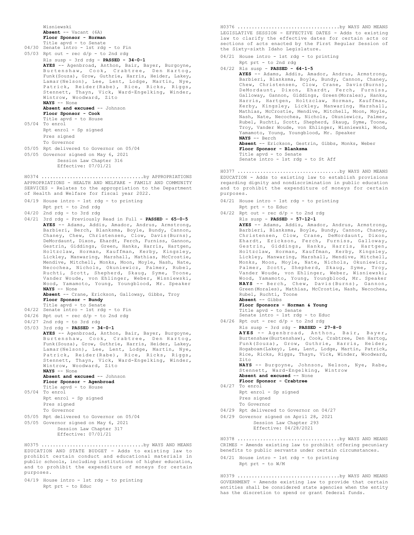```
Wisniewski
Absent -- Vacant (6A)
Floor Sponsor - Horman
Title apvd - to Senate
```

```
04/30 Senate intro - 1st rdg - to Fin
05/03 Rpt out - rec d/p - to 2nd rdg
      Rls susp - 3rd rdg - PASSED - 34-0-1
      AYES -- Agenbroad, Anthon, Bair, Bayer, Burgoyne,
      Burtenshaw, Cook, Crabtree, Den Hartog,
      Funk(Souza), Grow, Guthrie, Harris, Heider, Lakey,
      Lamar(Nelson), Lee, Lent, Lodge, Martin, Nye,
      Patrick, Reider(Rabe), Rice, Ricks, Riggs,
      Stennett, Thayn, Vick, Ward-Engelking, Winder,
Wintrow, Woodward, Zito
      NAYS -- None
      Absent and excused -- Johnson
      Floor Sponsor - Cook
      Title apvd - to House
05/04 To enrol
      Rpt enrol - Sp signed
      Pres signed
      To Governor
05/05 Rpt delivered to Governor on 05/04
05/05 Governor signed on May 6, 2021
```
Session Law Chapter 316 Effective: 07/01/21

APPROPRIATIONS - HEALTH AND WELFARE - FAMILY AND COMMUNITY SERVICES - Relates to the appropriation to the Department of Health and Welfare for fiscal year 2022. H0374 ....................................by APPROPRIATIONS

|                      |  |  |  | 04/19 House intro - 1st rdq - to printing |
|----------------------|--|--|--|-------------------------------------------|
| Rpt prt - to 2nd rdg |  |  |  |                                           |

04/20 2nd rdg - to 3rd rdg

04/21 3rd rdg - Previously Read in Full - **PASSED - 65-0-5 AYES** -- Adams, Addis, Amador, Andrus, Armstrong, Barbieri, Berch, Blanksma, Boyle, Bundy, Cannon, Chaney, Chew, Christensen, Clow, Davis(Burns), DeMordaunt, Dixon, Ehardt, Ferch, Furniss, Gannon, Gestrin, Giddings, Green, Hanks, Harris, Hartgen, Holtzclaw, Horman, Kauffman, Kerby, Kingsley, Lickley, Manwaring, Marshall, Mathias, McCrostie, Mendive, Mitchell, Monks, Moon, Moyle, Nash, Nate, Necochea, Nichols, Okuniewicz, Palmer, Rubel, Ruchti, Scott, Shepherd, Skaug, Syme, Toone, Vander Woude, von Ehlinger, Weber, Wisniewski, Wood, Yamamoto, Young, Youngblood, Mr. Speaker **NAYS** -- None

**Absent** -- Crane, Erickson, Galloway, Gibbs, Troy **Floor Sponsor - Bundy**

- Title apvd to Senate 04/22 Senate intro - 1st rdg - to Fin
- $04/26$  Rpt out rec  $d/p$  to 2nd rdg
- 

```
04/27 2nd rdg - to 3rd rdg
05/03 3rd rdg - PASSED - 34-0-1
       AYES -- Agenbroad, Anthon, Bair, Bayer, Burgoyne,
       Burtenshaw, Cook, Crabtree, Den Hartog,
Funk(Souza), Grow, Guthrie, Harris, Heider, Lakey,
       Lamar(Nelson), Lee, Lent, Lodge, Martin, Nye,
       Patrick, Reider(Rabe), Rice, Ricks, Riggs,
       Stennett, Thayn, Vick, Ward-Engelking, Winder,
Wintrow, Woodward, Zito
       NAYS -- None
       Absent and excused -- Johnson
       Floor Sponsor - Agenbroad
       Title apvd - to House
05/04 To enrol
      Rpt enrol - Sp signed
       Pres signed
       To Governor
```
- 05/05 Rpt delivered to Governor on 05/04
- 05/05 Governor signed on May 6, 2021 Session Law Chapter 317 Effective: 07/01/21

EDUCATION AND STATE BUDGET - Adds to existing law to prohibit certain conduct and educational materials in public schools, including institutions of higher education, and to prohibit the expenditure of moneys for certain purposes. H0375 ....................................by WAYS AND MEANS

04/19 House intro - 1st rdg - to printing Rpt prt - to Educ

LEGISLATIVE SESSION - EFFECTIVE DATES - Adds to existing law to clarify the effective dates for certain acts or sections of acts enacted by the First Regular Session of the Sixty-sixth Idaho Legislature. H0376 ....................................by WAYS AND MEANS

04/21 House intro - 1st rdg - to printing Rpt prt - to 2nd rdg

```
04/22 Rls susp - PASSED - 64-1-5
```
**AYES** -- Adams, Addis, Amador, Andrus, Armstrong, Barbieri, Blanksma, Boyle, Bundy, Cannon, Chaney, Chew, Christensen, Clow, Crane, Davis(Burns), DeMordaunt, Dixon, Ehardt, Ferch, Furniss, Galloway, Gannon, Giddings, Green(Morales), Hanks, Harris, Hartgen, Holtzclaw, Horman, Kauffman, Kerby, Kingsley, Lickley, Manwaring, Marshall, Mathias, McCrostie, Mendive, Mitchell, Moon, Moyle, Nash, Nate, Necochea, Nichols, Okuniewicz, Palmer, Rubel, Ruchti, Scott, Shepherd, Skaug, Syme, Toone, Troy, Vander Woude, von Ehlinger, Wisniewski, Wood, Yamamoto, Young, Youngblood, Mr. Speaker **NAYS** -- Berch **Absent** -- Erickson, Gestrin, Gibbs, Monks, Weber **Floor Sponsor - Blanksma**

Title apvd - to Senate Senate intro - 1st rdg - to St Aff

EDUCATION - Adds to existing law to establish provisions regarding dignity and nondiscrimination in public education and to prohibit the expenditure of moneys for certain purposes. H0377 ....................................by WAYS AND MEANS

- 04/21 House intro 1st rdg to printing Rpt prt - to Educ
- $04/22$  Rpt out rec  $d/p$  to 2nd rdg
	- Rls susp **PASSED 57-12-1**

**AYES** -- Adams, Addis, Amador, Andrus, Armstrong, Barbieri, Blanksma, Boyle, Bundy, Cannon, Chaney, Christensen, Clow, Crane, DeMordaunt, Dixon, Christensen, Clow, Crane, DeMordaunt, Ehardt, Erickson, Ferch, Furniss, Galloway, Gestrin, Giddings, Hanks, Harris, Hartgen, Holtzclaw, Horman, Kauffman, Kerby, Kingsley, Lickley, Manwaring, Marshall, Mendive, Mitchell, Monks, Moon, Moyle, Nate, Nichols, Okuniewicz, Palmer, Scott, Shepherd, Skaug, Syme, Troy, Vander Woude, von Ehlinger, Weber, Wisniewski, Wood, Yamamoto, Young, Youngblood, Mr. Speaker **NAYS** -- Berch, Chew, Davis(Burns), Gannon, Green(Morales), Mathias, McCrostie, Nash, Necochea, Rubel, Ruchti, Toone **Absent** -- Gibbs

```
Floor Sponsors - Horman & Young
```
Title apvd - to Senate Senate intro - 1st rdg - to Educ

 $04/26$  Rpt out - rec  $d/p$  - to 2nd rdg

Rls susp - 3rd rdg - **PASSED - 27-8-0**

**AYES** -- Agenbroad, Anthon, Bair, Bayer, Burtenshaw(Burtenshaw), Cook, Crabtree, Den Hartog, Funk(Souza), Grow, Guthrie, Harris, Heider, Hogaboam(Lakey), Lee, Lent, Lodge, Martin, Patrick, Rice, Ricks, Riggs, Thayn, Vick, Winder, Woodward, Zito

**NAYS** -- Burgoyne, Johnson, Nelson, Nye, Rabe, Stennett, Ward-Engelking, Wintrow **Absent and excused** -- None

- **Floor Sponsor Crabtree**
- 04/27 To enrol Rpt enrol - Sp signed
	- Pres signed
	- To Governor
- 04/29 Rpt delivered to Governor on 04/27
- 04/29 Governor signed on April 28, 2021 Session Law Chapter 293

Effective: 04/28/2021

CRIMES - Amends existing law to prohibit offering pecuniary benefits to public servants under certain circumstances. H0378 ....................................by WAYS AND MEANS

04/21 House intro - 1st rdg - to printing Rpt prt - to W/M

GOVERNMENT - Amends existing law to provide that certain entities shall be considered state agencies when the entity has the discretion to spend or grant federal funds. H0379 ....................................by WAYS AND MEANS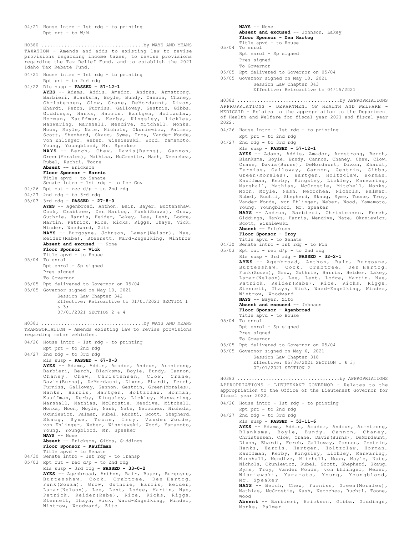04/21 House intro - 1st rdg - to printing Rpt prt - to  $W/M$ 

TAXATION - Amends and adds to existing law to revise provisions regarding income taxes, to revise provisions regarding the Tax Relief Fund, and to establish the 2021 Idaho Tax Rebate Fund. H0380 ....................................by WAYS AND MEANS

04/21 House intro - 1st rdg - to printing Rpt prt - to 2nd rdg 04/22 Rls susp - **PASSED - 57-12-1 AYES** -- Adams, Addis, Amador, Andrus, Armstrong, Barbieri, Blanksma, Boyle, Bundy, Cannon, Chaney, Christensen, Clow, Crane, DeMordaunt, Dixon, Ehardt, Ferch, Furniss, Galloway, Gestrin, Gibbs, Giddings, Hanks, Harris, Hartgen, Holtzclaw, Horman, Kauffman, Kerby, Kingsley, Lickley, Manwaring, Marshall, Mendive, Mitchell, Monks, Moon, Moyle, Nate, Nichols, Okuniewicz, Palmer, Scott, Shepherd, Skaug, Syme, Troy, Vander Woude, von Ehlinger, Weber, Wisniewski, Wood, Yamamoto, Young, Youngblood, Mr. Speaker **NAYS** -- Berch, Chew, Davis(Burns), Gannon, Green(Morales), Mathias, McCrostie, Nash, Necochea, Rubel, Ruchti, Toone **Absent** -- Erickson **Floor Sponsor - Harris** Title apvd - to Senate Senate intro - 1st rdg - to Loc Gov 04/26 Rpt out - rec d/p - to 2nd rdg 04/27 2nd rdg - to 3rd rdg 05/03 3rd rdg - **PASSED - 27-8-0 AYES** -- Agenbroad, Anthon, Bair, Bayer, Burtenshaw, Cook, Crabtree, Den Hartog, Funk(Souza), Grow, Guthrie, Harris, Heider, Lakey, Lee, Lent, Lodge, Martin, Patrick, Rice, Ricks, Riggs, Thayn, Vick, Winder, Woodward, Zito **NAYS** -- Burgoyne, Johnson, Lamar(Nelson), Nye, Reider(Rabe), Stennett, Ward-Engelking, Wintrow **Absent and excused** -- None **Floor Sponsor - Vick** Title apvd - to House 05/04 To enrol Rpt enrol - Sp signed Pres signed To Governor 05/05 Rpt delivered to Governor on 05/04 05/05 Governor signed on May 10, 2021 Session Law Chapter 342 Effective: Retroactive to 01/01/2021 SECTION 1 & 3; 07/01/2021 SECTION 2 & 4 TRANSPORTATION - Amends existing law to revise provisions regarding motor vehicles. 04/26 House intro - 1st rdg - to printing Rpt prt - to 2nd rdg 04/27 2nd rdg - to 3rd rdg Rls susp - **PASSED - 67-0-3 AYES** -- Adams, Addis, Amador, Andrus, Armstrong, Barbieri, Berch, Blanksma, Boyle, Bundy, Cannon, Chaney, Chew, Christensen, Clow, Crane, Davis(Burns), DeMordaunt, Dixon, Ehardt, Ferch, Furniss, Galloway, Gannon, Gestrin, Green(Morales), Hanks, Harris, Hartgen, Holtzclaw, Horman, Kauffman, Kerby, Kingsley, Lickley, Manwaring, Marshall, Mathias, McCrostie, Mendive, Mitchell, Monks, Moon, Moyle, Nash, Nate, Necochea, Nichols, Okuniewicz, Palmer, Rubel, Ruchti, Scott, Shepherd, Skaug, Syme, Toone, Troy, Vander Woude, von Ehlinger, Weber, Wisniewski, Wood, Yamamoto, Young, Youngblood, Mr. Speaker **NAYS** -- None **Absent** -- Erickson, Gibbs, Giddings **Floor Sponsor - Kauffman** Title apvd - to Senate 04/30 Senate intro - 1st rdg - to Transp 05/03 Rpt out - rec d/p - to 2nd rdg Rls susp - 3rd rdg - **PASSED - 33-0-2 AYES** -- Agenbroad, Anthon, Bair, Bayer, Burgoyne, Burtenshaw, Cook, Crabtree, Den Hartog, Funk(Souza), Grow, Guthrie, Harris, Heider, Lamar(Nelson), Lee, Lent, Lodge, Martin, Nye, Patrick, Reider(Rabe), Rice, Ricks, Riggs, Stennett, Thayn, Vick, Ward-Engelking, Winder, Wintrow, Woodward, Zito H0381 ....................................by WAYS AND MEANS

**NAYS** -- None Absent and excused -- Johnson, Lakey **Floor Sponsor - Den Hartog** Title apvd - to House 05/04 To enrol Rpt enrol - Sp signed Pres signed To Governor 05/05 Rpt delivered to Governor on 05/04 05/05 Governor signed on May 10, 2021 Session Law Chapter 343 Effective: Retroactive to 04/15/2021 APPROPRIATIONS - DEPARTMENT OF HEALTH AND WELFARE - MEDICAID - Relates to the appropriation to the Department of Health and Welfare for fiscal year 2021 and fiscal year 2022. 04/26 House intro - 1st rdg - to printing Rpt prt - to 2nd rdg 04/27 2nd rdg - to 3rd rdg Rls susp - **PASSED - 57-12-1 AYES** -- Adams, Addis, Amador, Armstrong, Berch, Blanksma, Boyle, Bundy, Cannon, Chaney, Chew, Clow, Crane, Davis(Burns), DeMordaunt, Dixon, Ehardt, Furniss, Galloway, Gannon, Gestrin, Gibbs, Green(Morales), Hartgen, Holtzclaw, Horman, Kauffman, Kerby, Kingsley, Lickley, Manwaring, Marshall, Mathias, McCrostie, Mitchell, Monks, Moon, Moyle, Nash, Necochea, Nichols, Palmer, Rubel, Ruchti, Shepherd, Skaug, Syme, Toone, Troy, Vander Woude, von Ehlinger, Weber, Wood, Yamamoto, Young, Youngblood, Mr. Speaker **NAYS** -- Andrus, Barbieri, Christensen, Ferch, Giddings, Hanks, Harris, Mendive, Nate, Okuniewicz, Scott, Wisniewski **Absent** -- Erickson **Floor Sponsor - Troy** Title apvd - to Senate 04/30 Senate intro - 1st rdg - to Fin 05/03 Rpt out - rec  $d/p$  - to 2nd rdg Rls susp - 3rd rdg - **PASSED - 32-2-1 AYES** -- Agenbroad, Anthon, Bair, Burgoyne, Burtenshaw, Cook, Crabtree, Den Hartog, Funk(Souza), Grow, Guthrie, Harris, Heider, Lakey, Lamar(Nelson), Lee, Lent, Lodge, Martin, Nye, Patrick, Reider(Rabe), Rice, Ricks, Riggs, Stennett, Thayn, Vick, Ward-Engelking, Winder, Wintrow, Woodward **NAYS** -- Bayer, Zito **Absent and excused** -- Johnson **Floor Sponsor - Agenbroad** Title apvd - to House 05/04 To enrol Rpt enrol - Sp signed Pres signed To Governor 05/05 Rpt delivered to Governor on 05/04 05/05 Governor signed on May 6, 2021 Session Law Chapter 318 Effective: 05/06/2021 SECTION 1 & 3; 07/01/2021 SECTION 2 H0382 ....................................by APPROPRIATIONS H0383 ....................................by APPROPRIATIONS

APPROPRIATIONS - LIEUTENANT GOVERNOR - Relates to the appropriation to the Office of the Lieutenant Governor for fiscal year 2022.

- 04/26 House intro 1st rdg to printing Rpt prt - to 2nd rdg
- 04/27 2nd rdg to 3rd rdg Rls susp - **PASSED - 53-11-6 AYES** -- Adams, Addis, Amador, Andrus, Armstrong, Blanksma, Boyle, Bundy, Cannon, Chaney, Christensen, Clow, Crane, Davis(Burns), DeMordaunt, Dixon, Ehardt, Ferch, Galloway, Gannon, Gestrin, Hanks, Harris, Hartgen, Holtzclaw, Horman, Kauffman, Kerby, Kingsley, Lickley, Manwaring, Marshall, Mendive, Mitchell, Moon, Moyle, Nate, Nichols, Okuniewicz, Rubel, Scott, Shepherd, Skaug, Syme, Troy, Vander Woude, von Ehlinger, Weber, Wisniewski, Yamamoto, Young, Youngblood, Mr. Speaker **NAYS** -- Berch, Chew, Furniss, Green(Morales),

Mathias, McCrostie, Nash, Necochea, Ruchti, Toone, Wood

**Absent** -- Barbieri, Erickson, Gibbs, Giddings, Monks, Palmer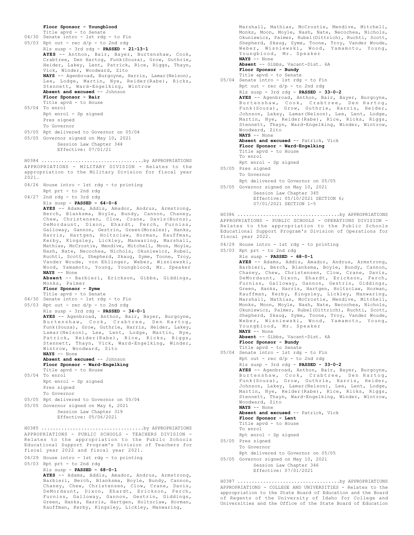```
Floor Sponsor - Youngblood
      Title apvd - to Senate
04/30 Senate intro - 1st rdg - to Fin
05/03 Rpt out - rec d/p - to 2nd rdg
      Rls susp - 3rd rdg - PASSED - 21-13-1
      AYES -- Anthon, Bair, Bayer, Burtenshaw, Cook,
       Crabtree, Den Hartog, Funk(Souza), Grow, Guthrie,
Heider, Lakey, Lent, Patrick, Rice, Riggs, Thayn,
      Vick, Winder, Woodward, Zito
       NAYS -- Agenbroad, Burgoyne, Harris, Lamar(Nelson),
Lee, Lodge, Martin, Nye, Reider(Rabe), Ricks,
      Stennett, Ward-Engelking, Wintrow
      Absent and excused -- Johnson
      Floor Sponsor - Bair
      Title apvd - to House
05/04 To enrol
      Rpt enrol - Sp signed
      Pres signed
      To Governor
05/05 Rpt delivered to Governor on 05/04
05/05 Governor signed on May 10, 2021
           Session Law Chapter 344
           Effective: 07/01/21
APPROPRIATIONS - MILITARY DIVISION - Relates to the
appropriation to the Military Division for fiscal year
2021.
04/26 House intro - 1st rdg - to printing
      Rpt prt - to 2nd rdg
04/27 2nd rdg - to 3rd rdg
      Rls susp - PASSED - 64-0-6
      AYES -- Adams, Addis, Amador, Andrus, Armstrong,
      Berch, Blanksma, Boyle, Bundy, Cannon, Chaney,
      Chew, Christensen, Clow, Crane, Davis(Burns),
      DeMordaunt, Dixon, Ehardt, Ferch, Furniss,
      Galloway, Gannon, Gestrin, Green(Morales), Hanks,
      Harris, Hartgen, Holtzclaw, Horman, Kauffman,
      Kerby, Kingsley, Lickley, Manwaring, Marshall,
      Mathias, McCrostie, Mendive, Mitchell, Moon, Moyle,
      Nash, Nate, Necochea, Nichols, Okuniewicz, Rubel,
      Ruchti, Scott, Shepherd, Skaug, Syme, Toone, Troy,
      Vander Woude, von Ehlinger, Weber, Wisniewski,
      Wood, Yamamoto, Young, Youngblood, Mr. Speaker
      NAYS -- None
      Absent -- Barbieri, Erickson, Gibbs, Giddings,
      Monks, Palmer
      Floor Sponsor - Syme
Title apvd - to Senate
04/30 Senate intro - 1st rdg - to Fin
05/03 Rpt out - rec d/p - to 2nd rdg
      Rls susp - 3rd rdg - PASSED - 34-0-1
      AYES -- Agenbroad, Anthon, Bair, Bayer, Burgoyne,
      Burtenshaw, Cook, Crabtree, Den Hartog,
      Funk(Souza), Grow, Guthrie, Harris, Heider, Lakey,
      Lamar(Nelson), Lee, Lent, Lodge, Martin, Nye,
      Patrick, Reider(Rabe), Rice, Ricks, Riggs,
       Stennett, Thayn, Vick, Ward-Engelking, Winder,
Wintrow, Woodward, Zito
      NAYS -- None
      Absent and excused -- Johnson
      Floor Sponsor - Ward-Engelking
      Title apvd - to House
05/04 To enrol
      Rpt enrol - Sp signed
      Pres signed
      To Governor
05/05 Rpt delivered to Governor on 05/04
05/05 Governor signed on May 6, 2021
           Session Law Chapter 319
           Effective: 05/06/2021
H0384 ....................................by APPROPRIATIONS
APPROPRIATIONS - PUBLIC SCHOOLS - TEACHERS DIVISION -
Relates to the appropriation to the Public Schools
Educational Support Program's Division of Teachers for
fiscal year 2022 and fiscal year 2021.
04/29 House intro - 1st rdg - to printing
05/03 Rpt prt - to 2nd rdg
      Rls susp - PASSED - 68-0-1
      AYES -- Adams, Addis, Amador, Andrus, Armstrong,
       Barbieri, Berch, Blanksma, Boyle, Bundy, Cannon,
Chaney, Chew, Christensen, Clow, Crane, Davis,
H0385 ....................................by APPROPRIATIONS
```
DeMordaunt, Dixon, Ehardt, Erickson, Ferch, Furniss, Galloway, Gannon, Gestrin, Giddings, Green, Hanks, Harris, Hartgen, Holtzclaw, Horman, Kauffman, Kerby, Kingsley, Lickley, Manwaring,

Okuniewicz, Palmer, Rubel(Dittrich), Ruchti, Scott, Shepherd, Skaug, Syme, Toone, Troy, Vander Woude, Weber, Wisniewski, Wood, Yamamoto, Young, Youngblood, Mr. Speaker **NAYS** -- None **Absent** -- Gibbs, Vacant-Dist. 6A **Floor Sponsor - Bundy** Title apvd - to Senate 05/04 Senate intro - 1st rdg - to Fin Rpt out - rec d/p - to 2nd rdg Rls susp - 3rd rdg - **PASSED - 33-0-2 AYES** -- Agenbroad, Anthon, Bair, Bayer, Burgoyne, Burtenshaw, Cook, Crabtree, Den Hartog, Funk(Souza), Grow, Guthrie, Harris, Heider, Johnson, Lakey, Lamar(Nelson), Lee, Lent, Lodge, Martin, Nye, Reider(Rabe), Rice, Ricks, Riggs, Stennett, Thayn, Ward-Engelking, Winder, Wintrow, Woodward, Zito **NAYS** -- None **Absent and excused** -- Patrick, Vick **Floor Sponsor - Ward-Engelking** Title apvd - to House To enrol Rpt enrol - Sp signed 05/05 Pres signed To Governor Rpt delivered to Governor on 05/05 05/05 Governor signed on May 10, 2021 Session Law Chapter 345 Effective: 05/10/2021 SECTION 6; 07/01/2021 SECTION 1-5 APPROPRIATIONS - PUBLIC SCHOOLS - OPERATIONS DIVISION - Relates to the appropriation to the Public Schools Educational Support Program's Division of Operations for fiscal year 2022. 04/29 House intro - 1st rdg - to printing 05/03 Rpt prt - to 2nd rdg Rls susp - **PASSED - 68-0-1 AYES** -- Adams, Addis, Amador, Andrus, Armstrong, Barbieri, Berch, Blanksma, Boyle, Bundy, Cannon, Chaney, Chew, Christensen, Clow, Crane, Davis, DeMordaunt, Dixon, Ehardt, Erickson, Ferch, Furniss, Galloway, Gannon, Gestrin, Giddings, Green, Hanks, Harris, Hartgen, Holtzclaw, Horman, Kauffman, Kerby, Kingsley, Lickley, Manwaring, Marshall, Mathias, McCrostie, Mendive, Mitchell, Monks, Moon, Moyle, Nash, Nate, Necochea, Nichols, Okuniewicz, Palmer, Rubel(Dittrich), Ruchti, Scott, Shepherd, Skaug, Syme, Toone, Troy, Vander Woude, Weber, Wisniewski, Wood, Yamamoto, Young, Youngblood, Mr. Speaker **NAYS** -- None **Absent** -- Gibbs, Vacant-Dist. 6A **Floor Sponsor - Bundy** Title apvd - to Senate 05/04 Senate intro - 1st rdg - to Fin Rpt out -  $rec d/p - to 2nd rd$ Rls susp - 3rd rdg - **PASSED - 33-0-2 AYES** -- Agenbroad, Anthon, Bair, Bayer, Burgoyne, Burtenshaw, Cook, Crabtree, Den Hartog, Funk(Souza), Grow, Guthrie, Harris, Heider, Johnson, Lakey, Lamar(Nelson), Lee, Lent, Lodge, Martin, Nye, Reider(Rabe), Rice, Ricks, Riggs, Stennett, Thayn, Ward-Engelking, Winder, Wintrow, Woodward, Zito **NAYS** -- None **Absent and excused** -- Patrick, Vick **Floor Sponsor - Lent** Title apvd - to House To enrol Rpt enrol - Sp signed 05/05 Pres signed To Governor Rpt delivered to Governor on 05/05 05/05 Governor signed on May 10, 2021 Session Law Chapter 346 Effective: 07/01/2021 H0386 ....................................by APPROPRIATIONS H0387 ....................................by APPROPRIATIONS

Marshall, Mathias, McCrostie, Mendive, Mitchell, Monks, Moon, Moyle, Nash, Nate, Necochea, Nichols,

APPROPRIATIONS - COLLEGE AND UNIVERSITIES - Relates to the appropriation to the State Board of Education and the Board of Regents of the University of Idaho for College and Universities and the Office of the State Board of Education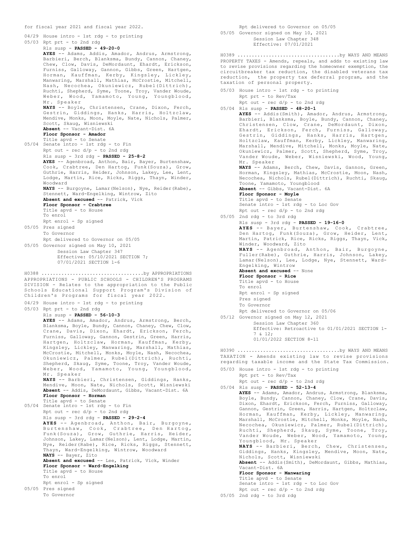```
for fiscal year 2021 and fiscal year 2022.
04/29 House intro - 1st rdg - to printing
05/03 Rpt prt - to 2nd rdg
      Rls susp - PASSED - 49-20-0
      AYES -- Adams, Addis, Amador, Andrus, Armstrong,
      Barbieri, Berch, Blanksma, Bundy, Cannon, Chaney,
      Chew, Clow, Davis, DeMordaunt, Ehardt, Erickson,
      Furniss, Galloway, Gannon, Gibbs, Green, Hartgen,
      Horman, Kauffman, Kerby, Kingsley, Lickley,
      Manwaring, Marshall, Mathias, McCrostie, Mitchell,
      Nash, Necochea, Okuniewicz, Rubel(Dittrich),
      Ruchti, Shepherd, Syme, Toone, Troy, Vander Woude,
      Weber, Wood, Yamamoto, Young, Youngblood,
      Mr. Speaker
      NAYS -- Boyle, Christensen, Crane, Dixon, Ferch,
      Gestrin, Giddings, Hanks, Harris, Holtzclaw,
      Mendive, Monks, Moon, Moyle, Nate, Nichols, Palmer,
      Scott, Skaug, Wisniewski
      Absent -- Vacant-Dist. 6A
      Floor Sponsor - Amador
      Title apvd - to Senate
05/04 Senate intro - 1st rdg - to Fin
      Rpt out - rec d/p - to 2nd rdRls susp - 3rd rdg - PASSED - 25-8-2
      AYES -- Agenbroad, Anthon, Bair, Bayer, Burtenshaw,
      Cook, Crabtree, Den Hartog, Funk(Souza), Grow,
      Guthrie, Harris, Heider, Johnson, Lakey, Lee, Lent,
      Lodge, Martin, Rice, Ricks, Riggs, Thayn, Winder,
      Woodward
      NAYS -- Burgoyne, Lamar(Nelson), Nye, Reider(Rabe),
      Stennett, Ward-Engelking, Wintrow, Zito
      Absent and excused -- Patrick, Vick
      Floor Sponsor - Crabtree
      Title apvd - to House
      To enrol
      Rpt enrol - Sp signed
05/05 Pres signed
      To Governor
      Rpt delivered to Governor on 05/05
05/05 Governor signed on May 10, 2021
           Session Law Chapter 347
           Effective: 05/10/2021 SECTION 7;
           07/01/2021 SECTION 1-6
APPROPRIATIONS - PUBLIC SCHOOLS - CHILDREN'S PROGRAMS
DIVISION - Relates to the appropriation to the Public
Schools Educational Support Program's Division of
Children's Programs for fiscal year 2022.
04/29 House intro - 1st rdg - to printing
05/03 Rpt prt - to 2nd rdg
      Rls susp - PASSED - 56-10-3
      AYES -- Adams, Amador, Andrus, Armstrong, Berch,
      Blanksma, Boyle, Bundy, Cannon, Chaney, Chew, Clow,
      Crane, Davis, Dixon, Ehardt, Erickson, Ferch,
      Furniss, Galloway, Gannon, Gestrin, Green, Harris,
      Hartgen, Holtzclaw, Horman, Kauffman, Kerby,
      Kingsley, Lickley, Manwaring, Marshall, Mathias,
      McCrostie, Mitchell, Monks, Moyle, Nash, Necochea,
      Okuniewicz, Palmer, Rubel(Dittrich), Ruchti,
      Shepherd, Skaug, Syme, Toone, Troy, Vander Woude,
      Weber, Wood, Yamamoto, Young, Youngblood,
      Mr. Speaker
      NAYS -- Barbieri, Christensen, Giddings, Hanks,
      Mendive, Moon, Nate, Nichols, Scott, Wisniewski
      Absent -- Addis, DeMordaunt, Gibbs, Vacant-Dist. 6A
      Floor Sponsor - Horman
      Title apvd - to Senate
05/04 Senate intro - 1st rdg - to Fin
      Rpt out - rec d/p - to 2nd rdRls susp - 3rd rdg - PASSED - 29-2-4
      AYES -- Agenbroad, Anthon, Bair, Burgoyne,
      Burtenshaw, Cook, Crabtree, Den Hartog,
Funk(Souza), Grow, Guthrie, Harris, Heider,
      Johnson, Lakey, Lamar(Nelson), Lent, Lodge, Martin,
      Nye, Reider(Rabe), Rice, Ricks, Riggs, Stennett,
      Thayn, Ward-Engelking, Wintrow, Woodward
NAYS -- Bayer, Zito
Absent and excused -- Lee, Patrick, Vick, Winder
      Floor Sponsor - Ward-Engelking
      Title apvd - to House
H0388 ....................................by APPROPRIATIONS
```
To enrol Rpt enrol - Sp signed

05/05 Pres signed

To Governor

Rpt delivered to Governor on 05/05 05/05 Governor signed on May 10, 2021 Session Law Chapter 348 Effective: 07/01/2021

PROPERTY TAXES - Amends, repeals, and adds to existing law to revise provisions regarding the homeowner exemption, the circuitbreaker tax reduction, the disabled veterans tax reduction, the property tax deferral program, and the taxation of personal property. H0389 ....................................by WAYS AND MEANS

05/03 House intro - 1st rdg - to printing Rpt prt - to Rev/Tax

 $Rpt$  out - rec  $d/p$  - to 2nd rdg

05/04 Rls susp - **PASSED - 48-20-1 AYES** -- Addis(Smith), Amador, Andrus, Armstrong, Barbieri, Blanksma, Boyle, Bundy, Cannon, Chaney, Christensen, Clow, Crane, DeMordaunt, Dixon, Ehardt, Erickson, Ferch, Furniss, Galloway, Gestrin, Giddings, Hanks, Harris, Hartgen, Holtzclaw, Kauffman, Kerby, Lickley, Manwaring, Marshall, Mendive, Mitchell, Monks, Moyle, Nate, Okuniewicz, Palmer, Scott, Shepherd, Syme, Troy, Vander Woude, Weber, Wisniewski, Wood, Young, Mr. Speaker

**NAYS** -- Adams, Berch, Chew, Davis, Gannon, Green, Horman, Kingsley, Mathias, McCrostie, Moon, Nash, Necochea, Nichols, Rubel(Dittrich), Ruchti, Skaug, Toone, Yamamoto, Youngblood

**Absent** -- Gibbs, Vacant-Dist. 6A **Floor Sponsor - Moyle** Title apvd - to Senate

Senate intro - 1st rdg - to Loc Gov Rpt out -  $rec d/p - to 2nd rd$ 

05/05 2nd rdg - to 3rd rdg Rls susp - 3rd rdg - **PASSED - 19-16-0**

**AYES** -- Bayer, Burtenshaw, Cook, Crabtree, Den Hartog, Funk(Souza), Grow, Heider, Lent, Martin, Patrick, Rice, Ricks, Riggs, Thayn, Vick, Winder, Woodward, Zito **NAYS** -- Agenbroad, Anthon, Bair, Burgoyne,

Fuller(Rabe), Guthrie, Harris, Johnson, Lakey, Lamar(Nelson), Lee, Lodge, Nye, Stennett, Ward-Engelking, Wintrow

**Absent and excused** -- None **Floor Sponsor - Rice** Title apvd - to House To enrol Rpt enrol - Sp signed Pres signed

To Governor

Rpt delivered to Governor on 05/06

05/12 Governor signed on May 12, 2021 Session Law Chapter 360

> Effective: Retroactive to 01/01/2021 SECTION 1- 7 & 12;

01/01/2022 SECTION 8-11

TAXATION - Amends existing law to revise provisions regarding taxable income and the State Tax Commission. H0390 ....................................by WAYS AND MEANS

- 05/03 House intro 1st rdg to printing Rpt prt - to Rev/Tax
- Rpt out rec d/p to 2nd rdg 05/04 Rls susp - **PASSED - 52-13-4**

**AYES** -- Adams, Amador, Andrus, Armstrong, Blanksma, Boyle, Bundy, Cannon, Chaney, Clow, Crane, Davis, Dixon, Ehardt, Erickson, Ferch, Furniss, Galloway, Gannon, Gestrin, Green, Harris, Hartgen, Holtzclaw, Horman, Kauffman, Kerby, Lickley, Manwaring, Marshall, McCrostie, Mitchell, Monks, Moyle, Nash, Necochea, Okuniewicz, Palmer, Rubel(Dittrich), Ruchti, Shepherd, Skaug, Syme, Toone, Troy, Vander Woude, Weber, Wood, Yamamoto, Young, Youngblood, Mr. Speaker **NAYS** -- Barbieri, Berch, Chew, Christensen, Giddings, Hanks, Kingsley, Mendive, Moon, Nate, Nichols, Scott, Wisniewski **Absent** -- Addis(Smith), DeMordaunt, Gibbs, Mathias, Vacant-Dist. 6A **Floor Sponsor - Manwaring** Title apvd - to Senate Senate intro - 1st rdg - to Loc Gov Rpt out - rec d/p - to 2nd rdg

05/05 2nd rdg - to 3rd rdg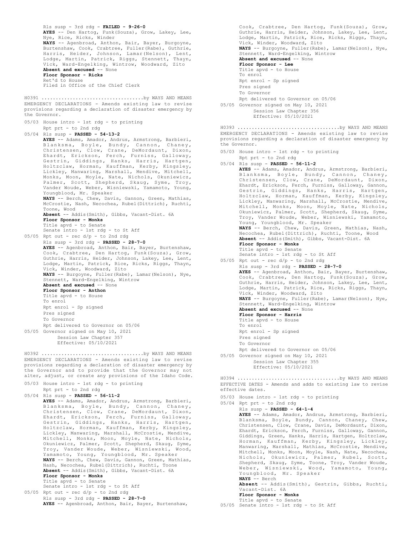```
Rls susp - 3rd rdg - FAILED - 9-26-0
       AYES -- Den Hartog, Funk(Souza), Grow, Lakey, Lee,
       Nye, Rice, Ricks, Winder
       NAYS -- Agenbroad, Anthon, Bair, Bayer, Burgoyne,
        Burtenshaw, Cook, Crabtree, Fuller(Rabe), Guthrie,
Harris, Heider, Johnson, Lamar(Nelson), Lent,
       Lodge, Martin, Patrick, Riggs, Stennett, Thayn,
       Vick, Ward-Engelking, Wintrow, Woodward, Zito
       Absent and excused -- None
       Floor Sponsor - Ricks
       Ret'd to House
       Filed in Office of the Chief Clerk
EMERGENCY DECLARATIONS - Amends existing law to revise
provisions regarding a declaration of disaster emergency by
.<br>the Governor.
05/03 House intro - 1st rdg - to printing
       Rpt prt - to 2nd rdg
05/04 Rls susp - PASSED - 54-13-2
       AYES -- Adams, Amador, Andrus, Armstrong, Barbieri,
        Blanksma, Boyle, Bundy, Cannon, Chaney,
Christensen, Clow, Crane, DeMordaunt, Dixon,
Ehardt, Erickson, Ferch, Furniss, Galloway,
        Gestrin, Giddings, Hanks, Harris, Hartgen,
Holtzclaw, Horman, Kauffman, Kerby, Kingsley,
Lickley, Manwaring, Marshall, Mendive, Mitchell,
        Monks, Moon, Moyle, Nate, Nichols, Okuniewicz,
Palmer, Scott, Shepherd, Skaug, Syme, Troy,
Vander Woude, Weber, Wisniewski, Yamamoto, Young,
       Youngblood, Mr. Speaker
        NAYS -- Berch, Chew, Davis, Gannon, Green, Mathias,
McCrostie, Nash, Necochea, Rubel(Dittrich), Ruchti,
       Toone, Wood
       Absent -- Addis(Smith), Gibbs, Vacant-Dist. 6A
       Floor Sponsor - Monks
        Title apvd - to Senate
Senate intro - 1st rdg - to St Aff
05/05 Rpt out - rec d/p - to 2nd rdg
       Rls susp - 3rd rdg - PASSED - 28-7-0
       AYES -- Agenbroad, Anthon, Bair, Bayer, Burtenshaw,
       Cook, Crabtree, Den Hartog, Funk(Souza), Grow,
       Guthrie, Harris, Heider, Johnson, Lakey, Lee, Lent,
       Lodge, Martin, Patrick, Rice, Ricks, Riggs, Thayn,
       Vick, Winder, Woodward, Zito
       NAYS -- Burgoyne, Fuller(Rabe), Lamar(Nelson), Nye,
       Stennett, Ward-Engelking, Wintrow
       Absent and excused -- None
       Floor Sponsor - Anthon
       Title apvd - to House
       To enrol
       Rpt enrol - Sp signed
       Pres signed
       To Governor
       Rpt delivered to Governor on 05/06
05/05 Governor signed on May 10, 2021
            Session Law Chapter 357
             Effective: 05/10/2021
H0391 ....................................by WAYS AND MEANS
EMERGENCY DECLARATIONS - Amends existing law to revise
provisions regarding a declaration of disaster emergency by
.<br>the Governor and to provide that the Governor may not
alter, adjust, or create any provisions of the Idaho Code.
H0392 ....................................by WAYS AND MEANS
```

| 05/03 House intro - 1st rdg - to printing                    |
|--------------------------------------------------------------|
| Rpt prt - to 2nd rdg                                         |
| $05/04$ Rls susp - PASSED - 56-11-2                          |
| AYES -- Adams, Amador, Andrus, Armstrong, Barbieri,          |
| Blanksma, Boyle, Bundy, Cannon, Chaney,                      |
| Christensen, Clow, Crane, DeMordaunt, Dixon,                 |
| Ehardt, Erickson, Ferch, Furniss, Galloway,                  |
| Gestrin, Giddings, Hanks, Harris, Hartgen,                   |
| Holtzclaw, Horman, Kauffman, Kerby, Kingsley,                |
| Lickley, Manwaring, Marshall, McCrostie, Mendive,            |
| Mitchell, Monks, Moon, Moyle, Nate, Nichols,                 |
| Okuniewicz, Palmer, Scott, Shepherd, Skauq, Syme,            |
| Troy, Vander Woude, Weber, Wisniewski, Wood,                 |
| Yamamoto, Young, Youngblood, Mr. Speaker                     |
| NAYS -- Berch, Chew, Davis, Gannon, Green, Mathias,          |
| Nash, Necochea, Rubel (Dittrich), Ruchti, Toone              |
| Absent -- Addis (Smith), Gibbs, Vacant-Dist. 6A              |
| Floor Sponsor - Monks                                        |
| Title apvd - to Senate<br>Senate intro - 1st rdg - to St Aff |
|                                                              |
| $05/05$ Rpt out - rec d/p - to 2nd rdg                       |
| Rls susp - 3rd rdg - PASSED - 28-7-0                         |
| AYES -- Agenbroad, Anthon, Bair, Bayer, Burtenshaw,          |
|                                                              |

Cook, Crabtree, Den Hartog, Funk(Souza), Grow, Guthrie, Harris, Heider, Johnson, Lakey, Lee, Lent, Lodge, Martin, Patrick, Rice, Ricks, Riggs, Thayn, Vick, Winder, Woodward, Zito **NAYS** -- Burgoyne, Fuller(Rabe), Lamar(Nelson), Nye, Stennett, Ward-Engelking, Wintrow **Absent and excused** -- None **Floor Sponsor - Lee** Title apvd - to House To enrol Rpt enrol - Sp signed Pres signed To Governor

Rpt delivered to Governor on 05/06

05/05 Governor signed on May 10, 2021 Session Law Chapter 356 Effective: 05/10/2021

EMERGENCY DECLARATIONS - Amends existing law to revise provisions regarding a declaration of disaster emergency by the Governor. H0393 ....................................by WAYS AND MEANS

05/03 House intro - 1st rdg - to printing

Rpt prt - to 2nd rdg 05/04 Rls susp - **PASSED - 56-11-2 AYES** -- Adams, Amador, Andrus, Armstrong, Barbieri, Blanksma, Boyle, Bundy, Cannon, Chaney, Christensen, Clow, Crane, DeMordaunt, Dixon, Ehardt, Erickson, Ferch, Furniss, Galloway, Gannon, Gestrin, Giddings, Hanks, Harris, Hartgen, Holtzclaw, Horman, Kauffman, Kerby, Kingsley, Lickley, Manwaring, Marshall, McCrostie, Mendive, Mitchell, Monks, Moon, Moyle, Nate, Nichols, Okuniewicz, Palmer, Scott, Shepherd, Skaug, Syme, Troy, Vander Woude, Weber, Wisniewski, Yamamoto, Young, Youngblood, Mr. Speaker **NAYS** -- Berch, Chew, Davis, Green, Mathias, Nash, Necochea, Rubel(Dittrich), Ruchti, Toone, Wood **Absent** -- Addis(Smith), Gibbs, Vacant-Dist. 6A **Floor Sponsor - Monks** Title apvd - to Senate Senate intro - 1st rdg - to St Aff 05/05 Rpt out - rec  $d/p$  - to 2nd rdg Rls susp - 3rd rdg - **PASSED - 28-7-0 AYES** -- Agenbroad, Anthon, Bair, Bayer, Burtenshaw, Cook, Crabtree, Den Hartog, Funk(Souza), Grow, Guthrie, Harris, Heider, Johnson, Lakey, Lee, Lent, Lodge, Martin, Patrick, Rice, Ricks, Riggs, Thayn, Vick, Winder, Woodward, Zito **NAYS** -- Burgoyne, Fuller(Rabe), Lamar(Nelson), Nye, Stennett, Ward-Engelking, Wintrow **Absent and excused** -- None **Floor Sponsor - Harris** Title apvd - to House To enrol Rpt enrol - Sp signed Pres signed To Governor Rpt delivered to Governor on 05/06 05/05 Governor signed on May 10, 2021 Session Law Chapter 355 Effective: 05/10/2021 H0394 ....................................by WAYS AND MEANS

EFFECTIVE DATES - Amends and adds to existing law to revise effective dates.

05/03 House intro - 1st rdg - to printing

- 05/04 Rpt prt to 2nd rdg Rls susp - **PASSED - 64-1-4 AYES** -- Adams, Amador, Andrus, Armstrong, Barbieri, Blanksma, Boyle, Bundy, Cannon, Chaney, Chew, Christensen, Clow, Crane, Davis, DeMordaunt, Dixon, Ehardt, Erickson, Ferch, Furniss, Galloway, Gannon, Giddings, Green, Hanks, Harris, Hartgen, Holtzclaw, Horman, Kauffman, Kerby, Kingsley, Lickley, Manwaring, Marshall, Mathias, McCrostie, Mendive, Mitchell, Monks, Moon, Moyle, Nash, Nate, Necochea, Nichols, Okuniewicz, Palmer, Rubel, Scott, Shepherd, Skaug, Syme, Toone, Troy, Vander Woude, Weber, Wisniewski, Wood, Yamamoto, Young, Youngblood, Mr. Speaker **NAYS** -- Berch **Absent** -- Addis(Smith), Gestrin, Gibbs, Ruchti, Vacant-Dist. 6A **Floor Sponsor - Monks** Title apvd - to Senate
- 05/05 Senate intro 1st rdg to St Aff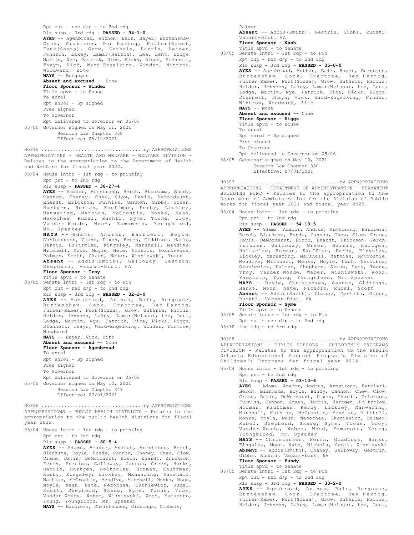```
Rpt out - rec d/p - to 2nd rdg
       Rls susp - 3rd rdg - PASSED - 34-1-0
       AYES -- Agenbroad, Anthon, Bair, Bayer, Burtenshaw,
       Cook, Crabtree, Den Hartog, Fuller(Rabe),
Funk(Souza), Grow, Guthrie, Harris, Heider,
Johnson, Lakey, Lamar(Nelson), Lee, Lent, Lodge,
       Martin, Nye, Patrick, Rice, Ricks, Riggs, Stennett,
       Thayn, Vick, Ward-Engelking, Winder, Wintrow,
       Woodward, Zito
       NAYS -- Burgoyne
       Absent and excused -- None
       Floor Sponsor - Winder
       Title apvd - to House
       To enrol
       Rpt enrol - Sp signed
       Pres signed
       To Governor
       Rpt delivered to Governor on 05/06
05/05 Governor signed on May 11, 2021
           Session Law Chapter 358
            Effective: 05/10/2021
APPROPRIATIONS - HEALTH AND WELFARE - WELFARE DIVISION -
Relates to the appropriation to the Department of Health
and Welfare for fiscal year 2022.
05/04 House intro - 1st rdg - to printing
       Rpt prt - to 2nd rdg
       Rls susp - PASSED - 38-27-4
       AYES -- Amador, Armstrong, Berch, Blanksma, Bundy,
       Cannon, Chaney, Chew, Clow, Davis, DeMordaunt,
Ehardt, Erickson, Furniss, Gannon, Gibbs, Green,
       Hartgen, Horman, Kauffman, Kerby, Lickley,
Manwaring, Mathias, McCrostie, Monks, Nash,
       Necochea, Rubel, Ruchti, Syme, Toone, Troy,
Vander Woude, Wood, Yamamoto, Youngblood,
       Mr. Speaker
       NAYS -- Adams, Andrus, Barbieri, Boyle,
Christensen, Crane, Dixon, Ferch, Giddings, Hanks,
       Harris, Holtzclaw, Kingsley, Marshall, Mendive,
       Mitchell, Moon, Moyle, Nate, Nichols, Okuniewicz,<br>Palmer, Scott, Skaug, Weber, Wisniewski, Young<br>Absent -- Addis(Smith), Galloway, Gestrin,<br>Shepherd, Vacant-Dist. 6A
       Floor Sponsor - Troy
       Title apvd - to Senate
05/05 Senate intro - 1st rdg - to Fin
       Rpt out - rec d/p - to 2nd rdg
       Rls susp - 3rd rdg - PASSED - 32-3-0
       AYES -- Agenbroad, Anthon, Bair, Burgoyne,
       Burtenshaw, Cook, Crabtree, Den Hartog,
Fuller(Rabe), Funk(Souza), Grow, Guthrie, Harris,
       Heider, Johnson, Lakey, Lamar(Nelson), Lee, Lent,
       Lodge, Martin, Nye, Patrick, Rice, Ricks, Riggs,
       Stennett, Thayn, Ward-Engelking, Winder, Wintrow,
       Woodward
       NAYS -- Bayer, Vick, Zito
       Absent and excused -- None
       Floor Sponsor - Agenbroad
       To enrol
       Rpt enrol - Sp signed
       Pres signed
       To Governor
       Rpt delivered to Governor on 05/06
05/05 Governor signed on May 10, 2021
            Session Law Chapter 349
            Effective: 07/01/2021
H0395 ....................................by APPROPRIATIONS
APPROPRIATIONS - PUBLIC HEALTH DISTRICTS - Relates to the
appropriation to the public health districts for fiscal
year 2022.
05/04 House intro - 1st rdg - to printing
       Rpt prt - to 2nd rdg
       Rls susp - PASSED - 60-5-4
       AYES -- Adams, Amador, Andrus, Armstrong, Berch,
       Blanksma, Boyle, Bundy, Cannon, Chaney, Chew, Clow,
       Crane, Davis, DeMordaunt, Dixon, Ehardt, Erickson,
       Ferch, Furniss, Galloway, Gannon, Green, Hanks,
       Harris, Hartgen, Holtzclaw, Horman, Kauffman,
Kerby, Kingsley, Lickley, Manwaring, Marshall,
       Mathias, McCrostie, Mendive, Mitchell, Monks, Moon,
       Moyle, Nash, Nate, Necochea, Okuniewicz, Rubel,
       Scott, Shepherd, Skaug, Syme, Toone, Troy,
       Vander Woude, Weber, Wisniewski, Wood, Yamamoto,
       Young, Youngblood, Mr. Speaker
H0396 ....................................by APPROPRIATIONS
```

```
NAYS -- Barbieri, Christensen, Giddings, Nichols,
```
Palmer **Absent** -- Addis(Smith), Gestrin, Gibbs, Ruchti, Vacant-Dist. 6A **Floor Sponsor - Nash** Title apvd - to Senate 05/05 Senate intro - 1st rdg - to Fin Rpt out -  $rec d/p - to 2nd rd$ Rls susp - 3rd rdg - **PASSED - 35-0-0 AYES** -- Agenbroad, Anthon, Bair, Bayer, Burgoyne, Burtenshaw, Cook, Crabtree, Den Hartog, Fuller(Rabe), Funk(Souza), Grow, Guthrie, Harris, Heider, Johnson, Lakey, Lamar(Nelson), Lee, Lent, Lodge, Martin, Nye, Patrick, Rice, Ricks, Riggs, Stennett, Thayn, Vick, Ward-Engelking, Winder, Wintrow, Woodward, Zito **NAYS** -- None **Absent and excused** -- None **Floor Sponsor - Riggs** Title apvd - to House To enrol Rpt enrol - Sp signed Pres signed To Governor Rpt delivered to Governor on 05/06 05/05 Governor signed on May 10, 2021 Session Law Chapter 350 Effective: 07/01/2021 APPROPRIATIONS - DEPARTMENT OF ADMINISTRATION - PERMANENT BUILDING FUND - Relates to the appropriation to the Department of Administration for the Division of Public Works for fiscal year 2021 and fiscal year 2022. 05/04 House intro - 1st rdg - to printing Rpt prt - to 2nd rdg Rls susp - **PASSED - 54-10-5 AYES** -- Adams, Amador, Andrus, Armstrong, Barbieri, Berch, Blanksma, Bundy, Cannon, Chew, Clow, Crane, Davis, DeMordaunt, Dixon, Ehardt, Erickson, Ferch, Furniss, Galloway, Green, Harris, Hartgen, Holtzclaw, Horman, Kauffman, Kerby, Kingsley, Lickley, Manwaring, Marshall, Mathias, McCrostie, Mendive, Mitchell, Monks, Moyle, Nash, Necochea, Okuniewicz, Palmer, Shepherd, Skaug, Syme, Toone, Troy, Vander Woude, Weber, Wisniewski, Wood, Yamamoto, Young, Youngblood, Mr. Speaker **NAYS** -- Boyle, Christensen, Gannon, Giddings, Hanks, Moon, Nate, Nichols, Rubel, Scott **Absent** -- Addis(Smith), Chaney, Gestrin, Gibbs, Ruchti, Vacant-Dist. 6A **Floor Sponsor - Syme** Title apvd - to Senate 05/05 Senate intro - 1st rdg - to Fin Rpt out - rec d/p - to 2nd rdg  $05/12$  2nd rdg - to 3rd rdg H0397 ....................................by APPROPRIATIONS APPROPRIATIONS - PUBLIC SCHOOLS - CHILDREN'S PROGRAMS DIVISION - Relates to the appropriation to the Public Schools Educational Support Program's Division of Children's Programs for fiscal year 2022. 05/04 House intro - 1st rdg - to printing Rpt prt - to 2nd rdg Rls susp - **PASSED - 53-10-6 AYES** -- Adams, Amador, Andrus, Armstrong, Barbieri, Berch, Blanksma, Boyle, Bundy, Cannon, Chew, Clow, Crane, Davis, DeMordaunt, Dixon, Ehardt, Erickson, Furniss, Gannon, Green, Harris, Hartgen, Holtzclaw, Horman, Kauffman, Kerby, Lickley, Manwaring, Marshall, Mathias, McCrostie, Mendive, Mitchell, Monks, Moyle, Nash, Necochea, Okuniewicz, Palmer, Rubel, Shepherd, Skaug, Syme, Toone, Troy, Vander Woude, Weber, Wood, Yamamoto, Young, Youngblood, Mr. Speaker **NAYS** -- Christensen, Ferch, Giddings, Hanks, Kingsley, Moon, Nate, Nichols, Scott, Wisniewski **Absent** -- Addis(Smith), Chaney, Galloway, Gestrin, Gibbs, Ruchti, Vacant-Dist. 6A **Floor Sponsor - Bundy** Title apvd - to Senate 05/05 Senate intro - 1st rdg - to Fin H0398 ....................................by APPROPRIATIONS

Rpt out - rec d/p - to 2nd rdg Rls susp - 3rd rdg - **PASSED - 33-2-0 AYES** -- Agenbroad, Anthon, Bair, Burgoyne, Burtenshaw, Cook, Crabtree, Den Hartog, Fuller(Rabe), Funk(Souza), Grow, Guthrie, Harris, Heider, Johnson, Lakey, Lamar(Nelson), Lee, Lent,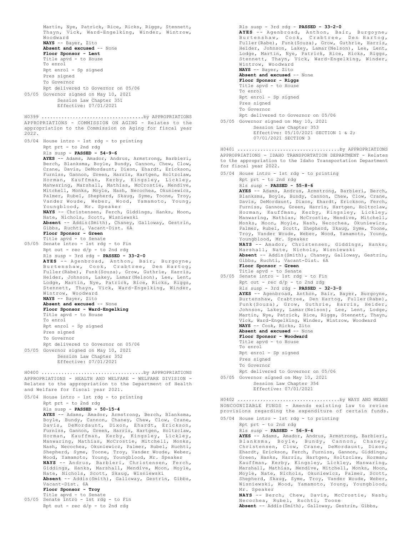Martin, Nye, Patrick, Rice, Ricks, Riggs, Stennett, Thayn, Vick, Ward-Engelking, Winder, Wintrow, Woodward **NAYS** -- Bayer, Zito **Absent and excused** -- None **Floor Sponsor - Lent** Title apvd - to House To enrol Rpt enrol - Sp signed Pres signed To Governor Rpt delivered to Governor on 05/06 05/05 Governor signed on May 10, 2021 Session Law Chapter 351 Effective: 07/01/2021 APPROPRIATIONS - COMMISSION ON AGING - Relates to the appropriation to the Commission on Aging for fiscal year 2022. 05/04 House intro - 1st rdg - to printing Rpt prt - to 2nd rdg Rls susp - **PASSED - 54-9-6 AYES** -- Adams, Amador, Andrus, Armstrong, Barbieri, Berch, Blanksma, Boyle, Bundy, Cannon, Chew, Clow, Crane, Davis, DeMordaunt, Dixon, Ehardt, Erickson, Furniss, Gannon, Green, Harris, Hartgen, Holtzclaw, Horman, Kauffman, Kerby, Kingsley, Lickley, Manwaring, Marshall, Mathias, McCrostie, Mendive, Mitchell, Monks, Moyle, Nash, Necochea, Okuniewicz, Palmer, Rubel, Shepherd, Skaug, Syme, Toone, Troy, Vander Woude, Weber, Wood, Yamamoto, Young, Youngblood, Mr. Speaker **NAYS** -- Christensen, Ferch, Giddings, Hanks, Moon, Nate, Nichols, Scott, Wisniewski **Absent** -- Addis(Smith), Chaney, Galloway, Gestrin, Gibbs, Ruchti, Vacant-Dist. 6A **Floor Sponsor - Green** Title apvd - to Senate 05/05 Senate intro - 1st rdg - to Fin Rpt out - rec d/p - to 2nd rdg Rls susp - 3rd rdg - **PASSED - 33-2-0 AYES** -- Agenbroad, Anthon, Bair, Burgoyne, Burtenshaw, Cook, Crabtree, Den Hartog, Fuller(Rabe), Funk(Souza), Grow, Guthrie, Harris, Heider, Johnson, Lakey, Lamar(Nelson), Lee, Lent, Lodge, Martin, Nye, Patrick, Rice, Ricks, Riggs, Stennett, Thayn, Vick, Ward-Engelking, Winder, Wintrow, Woodward **NAYS** -- Bayer, Zito **Absent and excused** -- None **Floor Sponsor - Ward-Engelking** Title apvd - to House To enrol Rpt enrol - Sp signed Pres signed To Governor Rpt delivered to Governor on 05/06 05/05 Governor signed on May 10, 2021 Session Law Chapter 352 Effective: 07/01/2021 H0399 ....................................by APPROPRIATIONS APPROPRIATIONS - HEALTH AND WELFARE - WELFARE DIVISION - Relates to the appropriation to the Department of Health and Welfare for fiscal year 2021. 05/04 House intro - 1st rdg - to printing Rpt prt - to 2nd rdg Rls susp - **PASSED - 50-15-4 AYES** -- Adams, Amador, Armstrong, Berch, Blanksma, Boyle, Bundy, Cannon, Chaney, Chew, Clow, Crane, Davis, DeMordaunt, Dixon, Ehardt, Erickson, Furniss, Gannon, Green, Harris, Hartgen, Holtzclaw, Horman, Kauffman, Kerby, Kingsley, Lickley, Manwaring, Mathias, McCrostie, Mitchell, Monks, Nash, Necochea, Okuniewicz, Palmer, Rubel, Ruchti, Shepherd, Syme, Toone, Troy, Vander Woude, Weber, Wood, Yamamoto, Young, Youngblood, Mr. Speaker **NAYS** -- Andrus, Barbieri, Christensen, Ferch, Giddings, Hanks, Marshall, Mendive, Moon, Moyle, Nate, Nichols, Scott, Skaug, Wisniewski **Absent** -- Addis(Smith), Galloway, Gestrin, Gibbs, Vacant-Dist. 6A **Floor Sponsor - Troy** Title apvd - to Senate 05/05 Senate intro - 1st rdg - to Fin Rpt out - rec d/p - to 2nd rdg H0400 ....................................by APPROPRIATIONS

Rls susp - 3rd rdg - **PASSED - 33-2-0 AYES** -- Agenbroad, Anthon, Bair, Burgoyne, Burtenshaw, Cook, Crabtree, Den Hartog, Fuller(Rabe), Funk(Souza), Grow, Guthrie, Harris, Heider, Johnson, Lakey, Lamar(Nelson), Lee, Lent, Lodge, Martin, Nye, Patrick, Rice, Ricks, Riggs, Stennett, Thayn, Vick, Ward-Engelking, Winder, Wintrow, Woodward **NAYS** -- Bayer, Zito **Absent and excused** -- None **Floor Sponsor - Riggs** Title apvd - to House To enrol Rpt enrol - Sp signed Pres signed To Governor Rpt delivered to Governor on 05/06 05/05 Governor signed on May 10, 2021 Session Law Chapter 353 Effective: 05/10/2021 SECTION 1 & 2; 07/01/2021 SECTION 3 APPROPRIATIONS - IDAHO TRANSPORTATION DEPARTMENT - Relates to the appropriation to the Idaho Transportation Department for fiscal year 2022. 05/04 House intro - 1st rdg - to printing Rpt prt - to 2nd rdg Rls susp - **PASSED - 55-8-6 AYES** -- Adams, Andrus, Armstrong, Barbieri, Berch, Blanksma, Boyle, Bundy, Cannon, Chew, Clow, Crane, Davis, DeMordaunt, Dixon, Ehardt, Erickson, Ferch, Furniss, Gannon, Green, Harris, Hartgen, Holtzclaw, Horman, Kauffman, Kerby, Kingsley, Lickley, Manwaring, Mathias, McCrostie, Mendive, Mitchell, Monks, Moon, Moyle, Nash, Necochea, Okuniewicz, Palmer, Rubel, Scott, Shepherd, Skaug, Syme, Toone, Troy, Vander Woude, Weber, Wood, Yamamoto, Young, Youngblood, Mr. Speaker **NAYS** -- Amador, Christensen, Giddings, Hanks, Marshall, Nate, Nichols, Wisniewski **Absent** -- Addis(Smith), Chaney, Galloway, Gestrin, Gibbs, Ruchti, Vacant-Dist. 6A **Floor Sponsor - Green** Title apvd - to Senate 05/05 Senate intro - 1st rdg - to Fin Rpt out - rec d/p - to 2nd rdg Rls susp - 3rd rdg - **PASSED - 32-3-0 AYES** -- Agenbroad, Anthon, Bair, Bayer, Burgoyne, Burtenshaw, Crabtree, Den Hartog, Fuller(Rabe), Funk(Souza), Grow, Guthrie, Harris, Heider, Johnson, Lakey, Lamar(Nelson), Lee, Lent, Lodge, Martin, Nye, Patrick, Rice, Riggs, Stennett, Thayn, Vick, Ward-Engelking, Winder, Wintrow, Woodward **NAYS** -- Cook, Ricks, Zito **Absent and excused** -- None **Floor Sponsor - Woodward** Title apvd - to House To enrol Rpt enrol - Sp signed Pres signed To Governor Rpt delivered to Governor on 05/06 05/05 Governor signed on May 10, 2021 Session Law Chapter 354 Effective: 07/01/2021 H0401 ....................................by APPROPRIATIONS NONCOGNIZABLE FUNDS - Amends existing law to revise provisions regarding the expenditure of certain funds. 05/04 House intro - 1st rdg - to printing Rpt prt - to 2nd rdg H0402 ....................................by WAYS AND MEANS

Rls susp - **PASSED - 56-9-4 AYES** -- Adams, Amador, Andrus, Armstrong, Barbieri, Blanksma, Boyle, Bundy, Cannon, Chaney, Christensen, Clow, Crane, DeMordaunt, Dixon, Ehardt, Erickson, Ferch, Furniss, Gannon, Giddings, Green, Hanks, Harris, Hartgen, Holtzclaw, Horman, Kauffman, Kerby, Kingsley, Lickley, Manwaring, Marshall, Mathias, Mendive, Mitchell, Monks, Moon, Moyle, Nate, Nichols, Okuniewicz, Palmer, Scott, Shepherd, Skaug, Syme, Troy, Vander Woude, Weber, Wisniewski, Wood, Yamamoto, Young, Youngblood, Mr. Speaker **NAYS** -- Berch, Chew, Davis, McCrostie, Nash,

Necochea, Rubel, Ruchti, Toone **Absent** -- Addis(Smith), Galloway, Gestrin, Gibbs,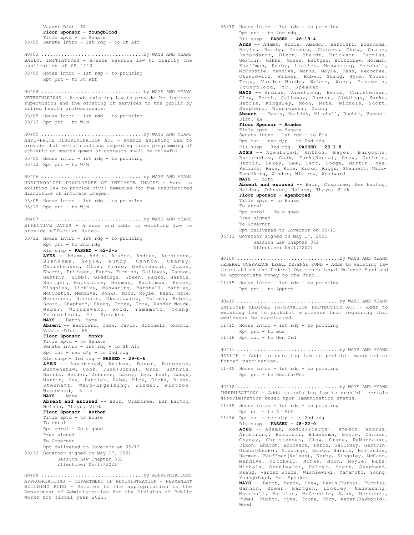Vacant-Dist. 6A **Floor Sponsor - Youngblood** Title apvd - to Senate 05/05 Senate intro - 1st rdg - to St Aff BALLOT INITIATIVES - Amends session law to clarify the application of SB 1110. 05/05 House intro - 1st rdg - to printing Rpt prt - to St Aff H0403 ....................................by WAYS AND MEANS VETERINARIANS - Amends existing law to provide for indirect supervision and the offering of services to the public by allied health professionals. 05/05 House intro - 1st rdg - to printing 05/12 Rpt prt - to W/M H0404 ....................................by WAYS AND MEANS ANTI-PRICE DISCRIMINATION ACT - Amends existing law to provide that certain actions regarding video programming of athletic or sports games or contests shall be unlawful. 05/05 House intro - 1st rdg - to printing 05/12 Rpt prt - to W/M H0405 ....................................by WAYS AND MEANS UNAUTHORIZED DISCLOSURE OF INTIMATE IMAGES - Adds to existing law to provide civil remedies for the unauthorized disclosure of intimate images. 05/05 House intro - 1st rdg - to printing  $05/12$  Rpt prt - to  $W/M$ H0406 ....................................by WAYS AND MEANS EFFECTIVE DATES - Amends and adds to existing law to provide effective dates. 05/12 House intro - 1st rdg - to printing Rpt prt - to 2nd rdg Rls susp - **PASSED - 62-2-5 AYES** -- Adams, Addis, Amador, Andrus, Armstrong, Blanksma, Boyle, Bundy, Cannon, Chaney, Christensen, Clow, Crane, DeMordaunt, Dixon, Ehardt, Erickson, Ferch, Furniss, Galloway, Gannon, Gestrin, Gibbs, Giddings, Green, Hanks, Harris, Hartgen, Holtzclaw, Horman, Kauffman, Kerby, Kingsley, Lickley, Manwaring, Marshall, Mathias, McCrostie, Mendive, Monks, Moon, Moyle, Nash, Nate, Necochea, Nichols, Okuniewicz, Palmer, Rubel, Scott, Shepherd, Skaug, Toone, Troy, Vander Woude, Weber, Wisniewski, Wood, Yamamoto, Young, Youngblood, Mr. Speaker **NAYS** -- Berch, Syme **Absent** -- Barbieri, Chew, Davis, Mitchell, Ruchti, Vacant-Dist. 6A **Floor Sponsor - Monks** Title apvd - to Senate Senate intro - 1st rdg - to St Aff Rpt out - rec  $d/p$  - to 2nd rdq Rls susp - 3rd rdg - **PASSED - 29-0-6 AYES** -- Agenbroad, Anthon, Bayer, Burgoyne, Burtenshaw, Cook, Funk(Souza), Grow, Guthrie, Harris, Heider, Johnson, Lakey, Lee, Lent, Lodge, Martin, Nye, Patrick, Rabe, Rice, Ricks, Riggs, Stennett, Ward-Engelking, Winder, Wintrow, Woodward, Zito **NAYS** -- None **Absent and excused** -- Bair, Crabtree, Den Hartog, Nelson, Thayn, Vick **Floor Sponsor - Anthon** Title apvd - to House To enrol Rpt enrol - Sp signed Pres signed To Governor Rpt delivered to Governor on 05/13 05/12 Governor signed on May 17, 2021 Session Law Chapter 362 Effective: 05/17/2021 H0407 ....................................by WAYS AND MEANS APPROPRIATIONS - DEPARTMENT OF ADMINISTRATION - PERMANENT BUILDING FUND - Relates to the appropriation to the H0408 ....................................by APPROPRIATIONS

Department of Administration for the Division of Public

Works for fiscal year 2021.

05/12 House intro - 1st rdg - to printing Rpt prt - to 2nd rdg Rls susp - **PASSED - 46-19-4 AYES** -- Adams, Addis, Amador, Barbieri, Blanksma, Boyle, Bundy, Cannon, Chaney, Chew, Crane, DeMordaunt, Dixon, Ehardt, Erickson, Furniss, Gestrin, Gibbs, Green, Hartgen, Holtzclaw, Horman, Kauffman, Kerby, Lickley, Manwaring, Marshall, McCrostie, Mendive, Monks, Moyle, Nash, Necochea, Okuniewicz, Palmer, Rubel, Skaug, Syme, Toone, Troy, Vander Woude, Weber, Wood, Yamamoto, Youngblood, Mr. Speaker **NAYS** -- Andrus, Armstrong, Berch, Christensen, Clow, Ferch, Galloway, Gannon, Giddings, Hanks, Harris, Kingsley, Moon, Nate, Nichols, Scott, Shepherd, Wisniewski, Young **Absent** -- Davis, Mathias, Mitchell, Ruchti, Vacant-Dist. 6A **Floor Sponsor - Amador** Title apvd - to Senate Senate intro - 1st rdg - to Fin Rpt out - rec d/p - to 2nd rdg Rls susp - 3rd rdg - **PASSED - 26-1-8 AYES** -- Agenbroad, Anthon, Bayer, Burgoyne, Burtenshaw, Cook, Funk(Souza), Grow, Guthrie, Harris, Lakey, Lee, Lent, Lodge, Martin, Nye, Patrick, Rabe, Rice, Ricks, Riggs, Stennett, Ward-Engelking, Winder, Wintrow, Woodward **NAYS** -- Zito **Absent and excused** -- Bair, Crabtree, Den Hartog, Heider, Johnson, Nelson, Thayn, Vick **Floor Sponsor - Agenbroad** Title apvd - to House To enrol Rpt enrol - Sp signed Pres signed To Governor Rpt delivered to Governor on 05/13 05/12 Governor signed on May 17, 2021 Session Law Chapter 361 Effective: 05/17/2021 FEDERAL OVERREACH LEGAL DEFENSE FUND - Adds to existing law to establish the Federal Overreach Legal Defense Fund and to appropriate money to the fund. 11/15 House intro - 1st rdg - to printing Rpt prt - to Approp H0409 ....................................by WAYS AND MEANS EMPLOYEE MEDICAL INFORMATION PROTECTION ACT - Adds to existing law to prohibit employers from requiring that employees be vaccinated. 11/15 House intro - 1st rdg - to printing Rpt prt - to Bus 11/16 Rpt out - to Gen Ord H0410 ....................................by WAYS AND MEANS HEALTH - Adds to existing law to prohibit mandated or forced vaccination. 11/15 House intro - 1st rdg - to printing Rpt prt - to Health/Wel H0411 ....................................by WAYS AND MEANS IMMUNIZATIONS - Adds to existing law to prohibit certain discrimination based upon immunization status. 11/15 House intro - 1st rdg - to printing Rpt prt - to St Aff  $11/16$  Rpt out - rec  $d/p$  - to 2nd rdg H0412 ....................................by WAYS AND MEANS

Rls susp - **PASSED - 48-22-0 AYES** -- Adams, Addis(Pierce), Amador, Andrus, Armstrong, Barbieri, Blanksma, Boyle, Cannon, Chaney, Christensen, Clow, Crane, DeMordaunt, Dixon, Ehardt, Erickson, Ferch, Galloway, Gestrin, Gibbs(Goode), Giddings, Hanks, Harris, Holtzclaw, Horman, Kauffman(Nelsen), Kerby, Kingsley, McCann, Mendive, Mitchell, Monks, Moon, Moyle, Nate, Nichols, Okuniewicz, Palmer, Scott, Shepherd, Skaug, Vander Woude, Wisniewski, Yamamoto, Young, Youngblood, Mr. Speaker **NAYS** -- Berch, Bundy, Chew, Davis(Burns), Furniss,

Gannon, Green, Hartgen, Lickley, Manwaring, Marshall, Mathias, McCrostie, Nash, Necochea, Rubel, Ruchti, Syme, Toone, Troy, Weber(Raybould), Wood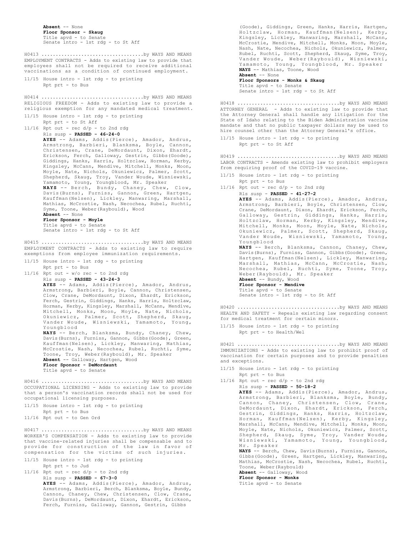```
Absent -- None
Floor Sponsor - Skaug
Title apvd - to Senate
Senate intro - 1st rdg - to St Aff
```
EMPLOYMENT CONTRACTS - Adds to existing law to provide that employees shall not be required to receive additional vaccinations as a condition of continued employment. 11/15 House intro - 1st rdg - to printing H0413 ....................................by WAYS AND MEANS

Rpt prt - to Bus

RELIGIOUS FREEDOM - Adds to existing law to provide a religious exemption for any mandated medical treatment. H0414 ....................................by WAYS AND MEANS

11/15 House intro - 1st rdg - to printing Rpt prt - to St Aff  $11/16$  Rpt out - rec  $d/p$  - to 2nd rdg Rls susp - **PASSED - 46-24-0 AYES** -- Adams, Addis(Pierce), Amador, Andrus, Armstrong, Barbieri, Blanksma, Boyle, Cannon, Christensen, Crane, DeMordaunt, Dixon, Ehardt, Erickson, Ferch, Galloway, Gestrin, Gibbs(Goode), Giddings, Hanks, Harris, Holtzclaw, Horman, Kerby, Kingsley, McCann, Mendive, Mitchell, Monks, Moon, Moyle, Nate, Nichols, Okuniewicz, Palmer, Scott, Shepherd, Skaug, Troy, Vander Woude, Wisniewski, Yamamoto, Young, Youngblood, Mr. Speaker **NAYS** -- Berch, Bundy, Chaney, Chew, Clow, Davis(Burns), Furniss, Gannon, Green, Hartgen, Kauffman(Nelsen), Lickley, Manwaring, Marshall, Mathias, McCrostie, Nash, Necochea, Rubel, Ruchti, Syme, Toone, Weber(Raybould), Wood **Absent** -- None **Floor Sponsor - Moyle**

Title apvd - to Senate Senate intro - 1st rdg - to St Aff

EMPLOYMENT CONTRACTS - Adds to existing law to require exemptions from employee immunization requirements. H0415 ....................................by WAYS AND MEANS

- 11/15 House intro 1st rdg to printing Rpt prt - to Bus
- 11/16 Rpt out  $w$ /o rec to 2nd rdg Rls susp - **PASSED - 43-24-3**

**AYES** -- Adams, Addis(Pierce), Amador, Andrus, Armstrong, Barbieri, Boyle, Cannon, Christensen, Clow, Crane, DeMordaunt, Dixon, Ehardt, Erickson, Ferch, Gestrin, Giddings, Hanks, Harris, Holtzclaw, Horman, Kerby, Kingsley, Marshall, McCann, Mendive, Mitchell, Monks, Moon, Moyle, Nate, Nichols, Okuniewicz, Palmer, Scott, Shepherd, Skaug, Vander Woude, Wisniewski, Yamamoto, Young, Youngblood

**NAYS** -- Berch, Blanksma, Bundy, Chaney, Chew, Davis(Burns), Furniss, Gannon, Gibbs(Goode), Green, Kauffman(Nelsen), Lickley, Manwaring, Mathias, McCrostie, Nash, Necochea, Rubel, Ruchti, Syme, Toone, Troy, Weber(Raybould), Mr. Speaker

**Absent** -- Galloway, Hartgen, Wood **Floor Sponsor - DeMordaunt** Title apvd - to Senate

OCCUPATIONAL LICENSING - Adds to existing law to provide that a person's vaccination records shall not be used for occupational licensing purposes. H0416 ....................................by WAYS AND MEANS

| $11/15$ House intro - 1st rdg - to printing |
|---------------------------------------------|
| Rpt prt - to Bus                            |
| $11/16$ Rpt out - to Gen Ord                |

WORKER'S COMPENSATION - Adds to existing law to provide that vaccine-related injuries shall be compensable and to provide for construction of the law in favor of compensation for the victims of such injuries. H0417 ....................................by WAYS AND MEANS

- 11/15 House intro 1st rdg to printing Rpt prt - to Jud
- $11/16$  Rpt out rec  $d/p$  to 2nd rdg

Rls susp - **PASSED - 67-3-0 AYES** -- Adams, Addis(Pierce), Amador, Andrus, Armstrong, Barbieri, Berch, Blanksma, Boyle, Bundy, Cannon, Chaney, Chew, Christensen, Clow, Crane, Davis(Burns), DeMordaunt, Dixon, Ehardt, Erickson, Ferch, Furniss, Galloway, Gannon, Gestrin, Gibbs

(Goode), Giddings, Green, Hanks, Harris, Hartgen, Holtzclaw, Horman, Kauffman(Nelsen), Kerby, Kingsley, Lickley, Manwaring, Marshall, McCann, McCrostie, Mendive, Mitchell, Monks, Moon, Moyle, Nash, Nate, Necochea, Nichols, Okuniewicz, Palmer, Rubel, Ruchti, Scott, Shepherd, Skaug, Syme, Troy, Vander Woude, Weber(Raybould), Wisniewski, Yamamoto, Young, Youngblood, Mr. Speaker **NAYS** -- Mathias, Toone, Wood **Absent** -- None **Floor Sponsors - Monks & Skaug** Title apvd - to Senate

Senate intro - 1st rdg - to St Aff

ATTORNEY GENERAL - Adds to existing law to provide that the Attorney General shall handle any litigation for the State of Idaho relating to the Biden Administration vaccine mandate and that no public taxpayer dollars may be used to hire counsel other than the Attorney General's office. H0418 ....................................by WAYS AND MEANS

11/15 House intro - 1st rdg - to printing Rpt prt - to St Aff

LABOR CONTRACTS - Amends existing law to prohibit employers from requiring proof of the COVID-19 vaccine. H0419 ....................................by WAYS AND MEANS

- 11/15 House intro 1st rdg to printing
- Rpt prt to Bus

 $11/16$  Rpt out - rec  $d/p$  - to 2nd rdg Rls susp - **PASSED - 41-27-2**

**AYES** -- Adams, Addis(Pierce), Amador, Andrus, Armstrong, Barbieri, Boyle, Christensen, Clow, Crane, DeMordaunt, Dixon, Ehardt, Erickson, Ferch, Galloway, Gestrin, Giddings, Hanks, Harris, Holtzclaw, Horman, Kerby, Kingsley, Mendive, Mitchell, Monks, Moon, Moyle, Nate, Nichols, Okuniewicz, Palmer, Scott, Shepherd, Skaug, Vander Woude, Wisniewski, Yamamoto, Young, Youngblood

**NAYS** -- Berch, Blanksma, Cannon, Chaney, Chew, Davis(Burns), Furniss, Gannon, Gibbs(Goode), Green, Hartgen, Kauffman(Nelsen), Lickley, Manwaring, Marshall, Mathias, McCann, McCrostie, Nash, Necochea, Rubel, Ruchti, Syme, Toone, Troy, Weber(Raybould), Mr. Speaker

**Absent** -- Bundy, Wood **Floor Sponsor - Mendive** Title apvd - to Senate Senate intro - 1st rdg - to St Aff

HEALTH AND SAFETY - Repeals existing law regarding consent for medical treatment for certain minors. H0420 ....................................by WAYS AND MEANS

11/15 House intro - 1st rdg - to printing Rpt prt - to Health/Wel

IMMUNIZATIONS - Adds to existing law to prohibit proof of vaccination for certain purposes and to provide penalties and exceptions. H0421 ....................................by WAYS AND MEANS

- 11/15 House intro 1st rdg to printing Rpt prt - to Bus
- $11/16$  Rpt out rec  $d/p$  to 2nd rdg

Rls susp - **PASSED - 50-18-2 AYES** -- Adams, Addis(Pierce), Amador, Andrus, Armstrong, Barbieri, Blanksma, Boyle, Bundy, Cannon, Chaney, Christensen, Clow, Crane, DeMordaunt, Dixon, Ehardt, Erickson, Ferch, Gestrin, Giddings, Hanks, Harris, Holtzclaw, Horman, Kauffman(Nelsen), Kerby, Kingsley, Marshall, McCann, Mendive, Mitchell, Monks, Moon, Moyle, Nate, Nichols, Okuniewicz, Palmer, Scott, Shepherd, Skaug, Syme, Troy, Vander Woude, Wisniewski, Yamamoto, Young, Youngblood, Mr. Speaker **NAYS** -- Berch, Chew, Davis(Burns), Furniss, Gannon,

Gibbs(Goode), Green, Hartgen, Lickley, Manwaring, Mathias, McCrostie, Nash, Necochea, Rubel, Ruchti, Toone, Weber(Raybould)

# **Absent** -- Galloway, Wood **Floor Sponsor - Monks** Title apvd - to Senate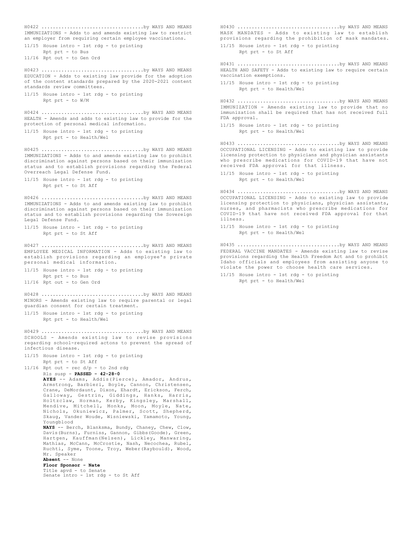IMMUNIZATIONS - Adds to and amends existing law to restrict an employer from requiring certain employee vaccinations. 11/15 House intro - 1st rdg - to printing Rpt prt - to Bus 11/16 Rpt out - to Gen Ord H0422 ....................................by WAYS AND MEANS EDUCATION - Adds to existing law provide for the adoption of the content standards prepared by the 2020-2021 content standards review committees. 11/15 House intro - 1st rdg - to printing Rpt prt - to W/M H0423 ....................................by WAYS AND MEANS HEALTH - Amends and adds to existing law to provide for the protection of personal medical information. 11/15 House intro - 1st rdg - to printing Rpt prt - to Health/Wel H0424 ....................................by WAYS AND MEANS IMMUNIZATIONS - Adds to and amends existing law to prohibit discrimination against persons based on their immunization status and to establish provisions regarding the Federal Overreach Legal Defense Fund. 11/15 House intro - 1st rdg - to printing Rpt prt - to St Aff H0425 ....................................by WAYS AND MEANS IMMUNIZATIONS - Adds to and amends existing law to prohibit discrimination against persons based on their immunization status and to establish provisions regarding the Sovereign Legal Defense Fund. 11/15 House intro - 1st rdg - to printing Rpt prt - to St Aff H0426 ....................................by WAYS AND MEANS EMPLOYEE MEDICAL INFORMATION - Adds to existing law to establish provisions regarding an employee's private personal medical information. 11/15 House intro - 1st rdg - to printing Rpt prt - to Bus 11/16 Rpt out - to Gen Ord H0427 ....................................by WAYS AND MEANS MINORS - Amends existing law to require parental or legal guardian consent for certain treatment. 11/15 House intro - 1st rdg - to printing Rpt prt - to Health/Wel H0428 ....................................by WAYS AND MEANS SCHOOLS - Amends existing law to revise provisions regarding school-required actons to prevent the spread of infectious disease. 11/15 House intro - 1st rdg - to printing Rpt prt - to St Aff  $11/16$  Rpt out - rec  $d/p$  - to 2nd rdg Rls susp - **PASSED - 42-28-0 AYES** -- Adams, Addis(Pierce), Amador, Andrus, Armstrong, Barbieri, Boyle, Cannon, Christensen, Crane, DeMordaunt, Dixon, Ehardt, Erickson, Ferch, Galloway, Gestrin, Giddings, Hanks, Harris, Holtzclaw, Horman, Kerby, Kingsley, Marshall, Mendive, Mitchell, Monks, Moon, Moyle, Nate, Nichols, Okuniewicz, Palmer, Scott, Shepherd, Skaug, Vander Woude, Wisniewski, Yamamoto, Young, Youngblood **NAYS** -- Berch, Blanksma, Bundy, Chaney, Chew, Clow, Davis(Burns), Furniss, Gannon, Gibbs(Goode), Green, Hartgen, Kauffman(Nelsen), Lickley, Manwaring, Mathias, McCann, McCrostie, Nash, Necochea, Rubel, Ruchti, Syme, Toone, Troy, Weber(Raybould), Wood, Mr. Speaker **Absent** -- None **Floor Sponsor - Nate** Title apvd - to Senate Senate intro - 1st rdg - to St Aff H0429 ....................................by WAYS AND MEANS MASK MANDATES - Adds to existing law to establish provisions regarding the prohibition of mask mandates. 11/15 House intro - 1st rdg - to printing Rpt prt - to St Aff H0430 ....................................by WAYS AND MEANS HEALTH AND SAFETY - Adds to existing law to require certain vaccination exemptions. 11/15 House intro - 1st rdg - to printing Rpt prt - to Health/Wel H0431 ....................................by WAYS AND MEANS illness.

IMMUNIZATION - Amends existing law to provide that no immunization shall be required that has not received full FDA approval. 11/15 House intro - 1st rdg - to printing Rpt prt - to Health/Wel H0432 ....................................by WAYS AND MEANS OCCUPATIONAL LICENSING - Adds to existing law to provide licensing protection to physicians and physician assistants who prescribe medications for COVID-19 that have not received FDA approval for that illness. 11/15 House intro - 1st rdg - to printing Rpt prt - to Health/Wel H0433 ....................................by WAYS AND MEANS OCCUPATIONAL LICENSING - Adds to existing law to provide licensing protection to physicians, physician assistants, nurses, and pharmacists who prescribe medications for COVID-19 that have not received FDA approval for that 11/15 House intro - 1st rdg - to printing Rpt prt - to Health/Wel H0434 ....................................by WAYS AND MEANS

FEDERAL VACCINE MANDATES - Amends existing law to revise provisions regarding the Health Freedom Act and to prohibit Idaho officials and employees from assisting anyone to violate the power to choose health care services. H0435 ....................................by WAYS AND MEANS

11/15 House intro - 1st rdg - to printing Rpt prt - to Health/Wel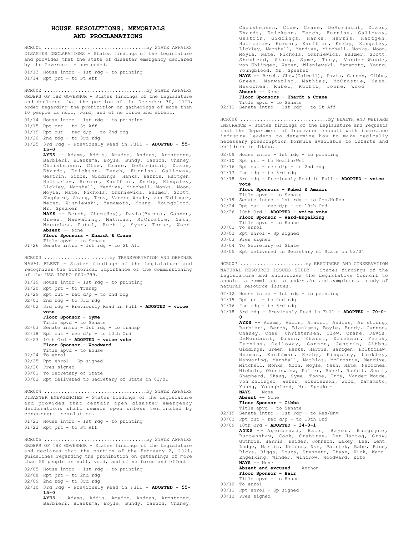# **HOUSE RESOLUTIONS, MEMORIALS AND PROCLAMATIONS**

|       | DISASTER DECLARATIONS - States findings of the Legislature<br>and provides that the state of disaster emergency declared                                                                                                                                                                                                                                                                                                                                                                                                                                                                                                                                                                                                                          |
|-------|---------------------------------------------------------------------------------------------------------------------------------------------------------------------------------------------------------------------------------------------------------------------------------------------------------------------------------------------------------------------------------------------------------------------------------------------------------------------------------------------------------------------------------------------------------------------------------------------------------------------------------------------------------------------------------------------------------------------------------------------------|
|       | by the Governor is now ended.                                                                                                                                                                                                                                                                                                                                                                                                                                                                                                                                                                                                                                                                                                                     |
|       | 01/13 House intro - 1st rdg - to printing<br>01/14 Rpt prt - to St Aff                                                                                                                                                                                                                                                                                                                                                                                                                                                                                                                                                                                                                                                                            |
|       | HCR002 by STATE AFFAIRS<br>ORDERS OF THE GOVERNOR - States findings of the Legislature<br>and declares that the portion of the December 30, 2020,<br>order regarding the prohibition on gatherings of more than<br>10 people is null, void, and of no force and effect.                                                                                                                                                                                                                                                                                                                                                                                                                                                                           |
| 01/14 | House intro - 1st rdg - to printing                                                                                                                                                                                                                                                                                                                                                                                                                                                                                                                                                                                                                                                                                                               |
|       | 01/15 Rpt prt - to St Aff<br>$01/19$ Rpt out - rec d/p - to 2nd rdg                                                                                                                                                                                                                                                                                                                                                                                                                                                                                                                                                                                                                                                                               |
|       | $01/20$ 2nd rdg - to 3rd rdg                                                                                                                                                                                                                                                                                                                                                                                                                                                                                                                                                                                                                                                                                                                      |
|       | 01/25 3rd rdg - Previously Read in Full - ADOPTED - 55-<br>$15 - 0$                                                                                                                                                                                                                                                                                                                                                                                                                                                                                                                                                                                                                                                                               |
|       | AYES -- Adams, Addis, Amador, Andrus, Armstrong,<br>Barbieri, Blanksma, Boyle, Bundy, Cannon, Chaney,<br>Christensen, Clow, Crane, DeMordaunt, Dixon,<br>Ehardt, Erickson, Ferch, Furniss, Galloway,<br>Gestrin, Gibbs, Giddings, Hanks, Harris, Hartgen,<br>Holtzclaw, Horman, Kauffman, Kerby, Kingsley,<br>Lickley, Marshall, Mendive, Mitchell, Monks, Moon,<br>Moyle, Nate, Nichols, Okuniewicz, Palmer, Scott,<br>Shepherd, Skaug, Troy, Vander Woude, von Ehlinger,<br>Weber, Wisniewski, Yamamoto, Young, Youngblood,<br>Mr. Speaker<br>NAYS -- Berch, Chew(Hoy), Davis(Burns), Gannon,<br>Green, Manwaring, Mathias, McCrostie, Nash,<br>Necochea, Rubel, Ruchti, Syme, Toone, Wood<br>Absent -- None<br>Floor Sponsors - Ehardt & Crane |
|       | Title apvd - to Senate<br>01/26 Senate intro - 1st rdg - to St Aff                                                                                                                                                                                                                                                                                                                                                                                                                                                                                                                                                                                                                                                                                |
|       | HCR003 by TRANSPORTATION AND DEFENSE                                                                                                                                                                                                                                                                                                                                                                                                                                                                                                                                                                                                                                                                                                              |
|       | NAVAL FLEET - States findings of the Legislature and<br>recognizes the historical importance of the commissioning<br>of the USS IDAHO SSN-799.                                                                                                                                                                                                                                                                                                                                                                                                                                                                                                                                                                                                    |
|       | 01/19 House intro - 1st rdg - to printing                                                                                                                                                                                                                                                                                                                                                                                                                                                                                                                                                                                                                                                                                                         |
|       | 01/20 Rpt prt - to Transp<br>$01/29$ Rpt out - rec d/p - to 2nd rdg                                                                                                                                                                                                                                                                                                                                                                                                                                                                                                                                                                                                                                                                               |
|       | $02/01$ 2nd rdg - to 3rd rdg                                                                                                                                                                                                                                                                                                                                                                                                                                                                                                                                                                                                                                                                                                                      |
|       | 02/02 3rd rdg - Previously Read in Full - ADOPTED - voice<br>vote                                                                                                                                                                                                                                                                                                                                                                                                                                                                                                                                                                                                                                                                                 |
|       | Floor Sponsor - Syme                                                                                                                                                                                                                                                                                                                                                                                                                                                                                                                                                                                                                                                                                                                              |
| 02/03 | Title apvd - to Senate<br>Senate intro - 1st rdg - to Transp                                                                                                                                                                                                                                                                                                                                                                                                                                                                                                                                                                                                                                                                                      |
| 02/18 | Rpt out - rec $d/p$ - to 10th Ord                                                                                                                                                                                                                                                                                                                                                                                                                                                                                                                                                                                                                                                                                                                 |
| 02/23 | 10th Ord - ADOPTED - voice vote<br>Floor Sponsor - Woodward                                                                                                                                                                                                                                                                                                                                                                                                                                                                                                                                                                                                                                                                                       |
|       | Title apvd - to House                                                                                                                                                                                                                                                                                                                                                                                                                                                                                                                                                                                                                                                                                                                             |
| 02/24 | To enrol                                                                                                                                                                                                                                                                                                                                                                                                                                                                                                                                                                                                                                                                                                                                          |
| 02/25 | Rpt enrol - Sp signed<br>02/26 Pres signed                                                                                                                                                                                                                                                                                                                                                                                                                                                                                                                                                                                                                                                                                                        |
|       | 03/01 To Secretary of State                                                                                                                                                                                                                                                                                                                                                                                                                                                                                                                                                                                                                                                                                                                       |
| 03/02 | Rpt delivered to Secretary of State on 03/01                                                                                                                                                                                                                                                                                                                                                                                                                                                                                                                                                                                                                                                                                                      |
|       | DISASTER EMERGENCIES - States findings of the Legislature<br>and provides that certain open disaster emergency<br>declarations shall remain open unless terminated by                                                                                                                                                                                                                                                                                                                                                                                                                                                                                                                                                                             |
|       | concurrent resolution.                                                                                                                                                                                                                                                                                                                                                                                                                                                                                                                                                                                                                                                                                                                            |
|       | 01/21 House intro - 1st rdg - to printing<br>01/22 Rpt prt - to St Aff                                                                                                                                                                                                                                                                                                                                                                                                                                                                                                                                                                                                                                                                            |
|       | HCR005 by STATE AFFAIRS<br>ORDERS OF THE GOVERNOR - States findings of the Legislature<br>and declares that the portion of the February 2, 2021,<br>guidelines regarding the prohibition on gatherings of more<br>than 50 people is null, void, and of no force and effect.                                                                                                                                                                                                                                                                                                                                                                                                                                                                       |
|       | 02/05 House intro - 1st rdg - to printing<br>02/08 Rpt prt - to 2nd rdg                                                                                                                                                                                                                                                                                                                                                                                                                                                                                                                                                                                                                                                                           |
|       | 02/09 2nd rdg - to 3rd rdg                                                                                                                                                                                                                                                                                                                                                                                                                                                                                                                                                                                                                                                                                                                        |
|       | 02/10 3rd rdg - Previously Read in Full - ADOPTED - 55-                                                                                                                                                                                                                                                                                                                                                                                                                                                                                                                                                                                                                                                                                           |

**15-0 AYES** -- Adams, Addis, Amador, Andrus, Armstrong, Barbieri, Blanksma, Boyle, Bundy, Cannon, Chaney,

Christensen, Clow, Crane, DeMordaunt, Dixon, Ehardt, Erickson, Ferch, Furniss, Galloway, Gestrin, Giddings, Hanks, Harris, Hartgen, Holtzclaw, Horman, Kauffman, Kerby, Kingsley, Lickley, Marshall, Mendive, Mitchell, Monks, Moon, Moyle, Nate, Nichols, Okuniewicz, Palmer, Scott, Shepherd, Skaug, Syme, Troy, Vander Woude, von Ehlinger, Weber, Wisniewski, Yamamoto, Young, Youngblood, Mr. Speaker **NAYS** -- Berch, Chew(Colwell), Davis, Gannon, Gibbs, Green, Manwaring, Mathias, McCrostie, Nash, Necochea, Rubel, Ruchti, Toone, Wood **Absent** -- None

## **Floor Sponsors - Ehardt & Crane**

Title apvd - to Senate 02/11 Senate intro - 1st rdg - to St Aff

INSURANCE - States findings of the Legislature and requests that the Department of Insurance consult with insurance industry leaders to determine how to make medically necessary prescription formula available to infants and children in Idaho. HCR006 ...............................by HEALTH AND WELFARE

- 02/09 House intro 1st rdg to printing
- 02/10 Rpt prt to Health/Wel
- $02/16$  Rpt out rec  $d/p$  to 2nd rdg
- 02/17 2nd rdg to 3rd rdg
- 3rd rdg Previously Read in Full **ADOPTED voice** 02/18 **vote**

## **Floor Sponsors - Rubel & Amador** Title apvd - to Senate

- 02/19 Senate intro 1st rdg to Com/HuRes
- $02/24$  Rpt out rec d/p to 10th Ord
- 02/26 10th Ord **ADOPTED voice vote Floor Sponsor - Ward-Engelking**
- Title apvd to House 03/01 To enrol
- 03/02 Rpt enrol Sp signed
- 03/03 Pres signed
- 03/04 To Secretary of State
- 03/05 Rpt delivered to Secretary of State on 03/04

NATURAL RESOURCE ISSUES STUDY - States findings of the Legislature and authorizes the Legislative Council to appoint a committee to undertake and complete a study of natural resource issues. HCR007 .......................by RESOURCES AND CONSERVATION

- 02/12 House intro 1st rdg to printing
- 02/15 Rpt prt to 2nd rdg
- $02/16$  2nd rdg to 3rd rdg
- 02/18 3rd rdg Previously Read in Full **ADOPTED 70-0- 0**

**AYES** -- Adams, Addis, Amador, Andrus, Armstrong, Barbieri, Berch, Blanksma, Boyle, Bundy, Cannon, Chaney, Chew, Christensen, Clow, Crane, Davis, DeMordaunt, Dixon, Ehardt, Erickson, Ferch, Furniss, Galloway, Gannon, Gestrin, Gibbs, Giddings, Green, Hanks, Harris, Hartgen, Holtzclaw, Horman, Kauffman, Kerby, Kingsley, Lickley, Manwaring, Marshall, Mathias, McCrostie, Mendive, Mitchell, Monks, Moon, Moyle, Nash, Nate, Necochea, Nichols, Okuniewicz, Palmer, Rubel, Ruchti, Scott, Shepherd, Skaug, Syme, Toone, Troy, Vander Woude, von Ehlinger, Weber, Wisniewski, Wood, Yamamoto, Young, Youngblood, Mr. Speaker

**NAYS** -- None

**Absent** -- None

# **Floor Sponsor - Gibbs**

- Title apvd to Senate 02/19 Senate intro - 1st rdg - to Res/Env
- 03/02 Rpt out rec  $d/p$  to 10th Ord
- 03/09 10th Ord **ADOPTED 34-0-1 AYES** -- Agenbroad, Bair, Bayer, Burgoyne, Burtenshaw, Cook, Crabtree, Den Hartog, Grow, Guthrie, Harris, Heider, Johnson, Lakey, Lee, Lent, Lodge, Martin, Nelson, Nye, Patrick, Rabe, Rice, Ricks, Riggs, Souza, Stennett, Thayn, Vick, Ward-Engelking, Winder, Wintrow, Woodward, Zito **NAYS** -- None

## **Absent and excused** -- Anthon

- **Floor Sponsor Bair**
- Title apvd to House 03/10 To enrol
- 03/11 Rpt enrol Sp signed
- 03/12 Pres signed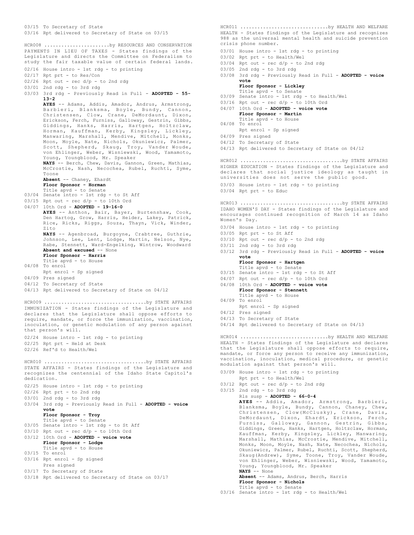03/15 To Secretary of State 03/16 Rpt delivered to Secretary of State on 03/15 PAYMENTS IN LIEU OF TAXES - States findings of the Legislature and directs the Committee on Federalism to study the fair taxable value of certain federal lands. 02/16 House intro - 1st rdg - to printing 02/17 Rpt prt - to Res/Con 02/26 Rpt out - rec d/p - to 2nd rdg 03/01 2nd rdg - to 3rd rdg 03/03 3rd rdg - Previously Read in Full - **ADOPTED - 55- 13-2 AYES** -- Adams, Addis, Amador, Andrus, Armstrong, Barbieri, Blanksma, Boyle, Bundy, Cannon, Christensen, Clow, Crane, DeMordaunt, Dixon, Erickson, Ferch, Furniss, Galloway, Gestrin, Gibbs, Giddings, Hanks, Harris, Hartgen, Holtzclaw, Horman, Kauffman, Kerby, Kingsley, Lickley, Manwaring, Marshall, Mendive, Mitchell, Monks, Moon, Moyle, Nate, Nichols, Okuniewicz, Palmer, Scott, Shepherd, Skaug, Troy, Vander Woude, von Ehlinger, Weber, Wisniewski, Wood, Yamamoto, Young, Youngblood, Mr. Speaker **NAYS** -- Berch, Chew, Davis, Gannon, Green, Mathias, McCrostie, Nash, Necochea, Rubel, Ruchti, Syme, Toone **Absent** -- Chaney, Ehardt **Floor Sponsor - Horman** Title apvd - to Senate 03/04 Senate intro - 1st rdg - to St Aff 03/15 Rpt out - rec d/p - to 10th Ord 04/07 10th Ord - **ADOPTED - 19-16-0 AYES** -- Anthon, Bair, Bayer, Burtenshaw, Cook, Den Hartog, Grow, Harris, Heider, Lakey, Patrick, Rice, Ricks, Riggs, Souza, Thayn, Vick, Winder, Zito **NAYS** -- Agenbroad, Burgoyne, Crabtree, Guthrie, Johnson, Lee, Lent, Lodge, Martin, Nelson, Nye, Rabe, Stennett, Ward-Engelking, Wintrow, Woodward **Absent and excused** -- None **Floor Sponsor - Harris** Title apvd - to House 04/08 To enrol Rpt enrol - Sp signed 04/09 Pres signed 04/12 To Secretary of State 04/13 Rpt delivered to Secretary of State on 04/12 HCR008 .......................by RESOURCES AND CONSERVATION IMMUNIZATION - States findings of the Legislature and declares that the Legislature shall oppose efforts to require, mandate, or force the immunization, vaccination, inoculation, or genetic modulation of any person against that person's will. 02/24 House intro - 1st rdg - to printing 02/25 Rpt prt - Held at Desk 02/26 Ref'd to Health/Wel HCR009 ....................................by STATE AFFAIRS STATE AFFAIRS - States findings of the Legislature and HCR010 ....................................by STATE AFFAIRS

recognizes the centennial of the Idaho State Capitol's dedication.

02/25 House intro - 1st rdg - to printing

02/26 Rpt prt - to 2nd rdg

03/01 2nd rdg - to 3rd rdg

03/04 3rd rdg - Previously Read in Full - ADOPTED - voice **vote**

**Floor Sponsor - Troy**

- Title apvd to Senate 03/05 Senate intro - 1st rdg - to St Aff
- $03/10$  Rpt out rec  $d/p$  to 10th Ord
- 03/12 10th Ord **ADOPTED voice vote Floor Sponsor - Lodge**
- Title apvd to House 03/15 To enrol
- 03/16 Rpt enrol Sp signed Pres signed
- 03/17 To Secretary of State
- 03/18 Rpt delivered to Secretary of State on 03/17

HEALTH - States findings of the Legislature and recognizes 988 as the universal mental health and suicide prevention crisis phone number. 03/01 House intro - 1st rdg - to printing 03/02 Rpt prt - to Health/Wel HCR011 ...............................by HEALTH AND WELFARE

- $03/04$  Rpt out rec  $d/p$  to 2nd rdg
- 03/05 2nd rdg to 3rd rdg
- 03/08 3rd rdg Previously Read in Full ADOPTED voice **vote**

**Floor Sponsor - Lickley** Title apvd - to Senate

- 03/09 Senate intro 1st rdg to Health/Wel
- $03/16$  Rpt out rec  $d/p$  to 10th Ord
- 04/07 10th Ord **ADOPTED voice vote**
- **Floor Sponsor Martin**
- Title apvd to House 04/08 To enrol
- Rpt enrol Sp signed
- 04/09 Pres signed
- 04/12 To Secretary of State
- 04/13 Rpt delivered to Secretary of State on 04/12

HIGHER EDUCATION - States findings of the Legislature and declares that social justice ideology as taught in universities does not serve the public good. HCR012 ....................................by STATE AFFAIRS

- 03/03 House intro 1st rdg to printing
- 03/04 Rpt prt to Educ

IDAHO WOMEN'S DAY - States findings of the Legislature and encourages continued recognition of March 14 as Idaho Women's Day. HCR013 ....................................by STATE AFFAIRS

- 03/04 House intro 1st rdg to printing
- 03/05 Rpt prt to St Aff
- $03/10$  Rpt out rec  $d/p$  to 2nd rdg
- 03/11 2nd rdg to 3rd rdg
- 03/12 3rd rdg Previously Read in Full ADOPTED voice **vote**

## **Floor Sponsor - Hartgen** Title apvd - to Senate

- 03/15 Senate intro 1st rdg to St Aff
- $04/07$  Rpt out rec  $d/p$  to 10th Ord
- 04/08 10th Ord **ADOPTED voice vote Floor Sponsor - Stennett**
- Title apvd to House
- 04/09 To enrol Rpt enrol - Sp signed
- 04/12 Pres signed
- 04/13 To Secretary of State
- 04/14 Rpt delivered to Secretary of State on 04/13

HEALTH - States findings of the Legislature and declares that the Legislature shall oppose efforts to require, mandate, or force any person to receive any immunization, vaccination, inoculation, medical procedure, or genetic modulation against that person's will. HCR014 ...............................by HEALTH AND WELFARE

- 03/09 House intro 1st rdg to printing
- Rpt prt to Health/Wel
- $03/12$  Rpt out rec d/p to 2nd rdg
- 03/15 2nd rdg to 3rd rdg Rls susp - **ADOPTED - 66-0-4 AYES** -- Addis, Amador, Armstrong, Barbieri, Blanksma, Boyle, Bundy, Cannon, Chaney, Chew, Christensen, Clow(McClusky), Crane, Davis, DeMordaunt, Dixon, Ehardt, Erickson, Ferch, Furniss, Galloway, Gannon, Gestrin, Gibbs,

Giddings, Green, Hanks, Hartgen, Holtzclaw, Horman, Kauffman, Kerby, Kingsley, Lickley, Manwaring, Marshall, Mathias, McCrostie, Mendive, Mitchell, Monks, Moon, Moyle, Nash, Nate, Necochea, Nichols, Okuniewicz, Palmer, Rubel, Ruchti, Scott, Shepherd, Skaug(Andrew), Syme, Toone, Troy, Vander Woude, von Ehlinger, Weber, Wisniewski, Wood, Yamamoto, Young, Youngblood, Mr. Speaker

**NAYS** -- None **Absent** -- Adams, Andrus, Berch, Harris **Floor Sponsor - Nichols**

Title apvd - to Senate 03/16 Senate intro - 1st rdg - to Health/Wel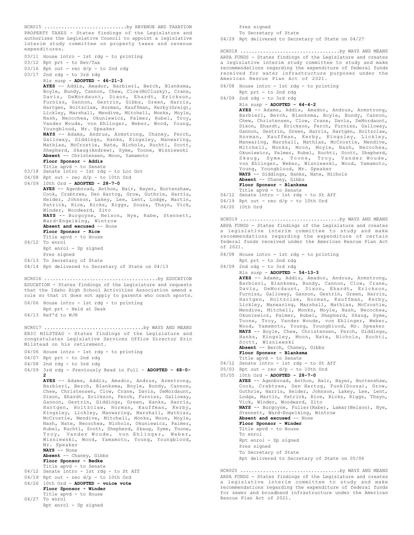PROPERTY TAXES - States findings of the Legislature and authorizes the Legislative Council to appoint a legislative interim study committee on property taxes and revenue expenditures. 03/11 House intro - 1st rdg - to printing 03/12 Rpt prt - to Rev/Tax  $03/16$  Rpt out - rec  $d/p$  - to 2nd rdg 03/17 2nd rdg - to 3rd rdg Rls susp - **ADOPTED - 46-21-3 AYES** -- Addis, Amador, Barbieri, Berch, Blanksma, Boyle, Bundy, Cannon, Chew, Clow(McClusky), Crane, Davis, DeMordaunt, Dixon, Ehardt, Erickson, Furniss, Gannon, Gestrin, Gibbs, Green, Harris, Hartgen, Holtzclaw, Horman, Kauffman, Kerby(Greig), Lickley, Marshall, Mendive, Mitchell, Monks, Moyle, Nash, Necochea, Okuniewicz, Palmer, Rubel, Troy, Vander Woude, von Ehlinger, Weber, Wood, Young, Youngblood, Mr. Speaker **NAYS** -- Adams, Andrus, Armstrong, Chaney, Ferch, Galloway, Giddings, Hanks, Kingsley, Manwaring, Mathias, McCrostie, Nate, Nichols, Ruchti, Scott, Shepherd, Skaug(Andrew), Syme, Toone, Wisniewski **Absent** -- Christensen, Moon, Yamamoto **Floor Sponsor - Addis** Title apvd - to Senate 03/18 Senate intro - 1st rdg - to Loc Gov 04/08 Rpt out - rec d/p - to 10th Ord 04/09 10th Ord - **ADOPTED - 28-7-0 AYES** -- Agenbroad, Anthon, Bair, Bayer, Burtenshaw, Cook, Crabtree, Den Hartog, Grow, Guthrie, Harris, Heider, Johnson, Lakey, Lee, Lent, Lodge, Martin, Patrick, Rice, Ricks, Riggs, Souza, Thayn, Vick, Winder, Woodward, Zito **NAYS** -- Burgoyne, Nelson, Nye, Rabe, Stennett, Ward-Engelking, Wintrow **Absent and excused** -- None **Floor Sponsor - Rice** Title apvd - to House 04/12 To enrol Rpt enrol - Sp signed Pres signed 04/13 To Secretary of State 04/14 Rpt delivered to Secretary of State on 04/13 HCR015 .................................by REVENUE AND TAXATION 04/06 House intro - 1st rdg - to printing Rpt prt - Held at Desk 04/13 Ref'd to W/M HCR016 ........................................by EDUCATION ERIC MILSTEAD - States findings of the Legislature and 04/06 House intro - 1st rdg - to printing 04/07 Rpt prt - to 2nd rdg 04/08 2nd rdg - to 3rd rdg **2 AYES** -- Adams, Addis, Amador, Andrus, Armstrong, Barbieri, Berch, Blanksma, Boyle, Bundy, Cannon, Mr. Speaker **NAYS** -- None **Absent** -- Chaney, Gibbs **Floor Sponsor - Bedke** Title apvd - to Senate 04/12 Senate intro - 1st rdg - to St Aff 04/19 Rpt out - rec d/p - to 10th Ord 04/26 10th Ord - **ADOPTED - voice vote Floor Sponsor - Winder** HCR017 ...................................by WAYS AND MEANS

To enrol Rpt enrol - Sp signed Pres signed To Secretary of State Rpt delivered to Secretary of State on 05/06 ARPA FUNDS - States findings of the Legislature and creates a legislative interim committee to study and make recommendations regarding the expenditure of federal funds for sewer and broadband infrastructure under the American Rescue Plan Act of 2021. HCR020 ...................................by WAYS AND MEANS

ARPA FUNDS - States findings of the Legislature and creates a legislative interim committee to study and make recommendations regarding the expenditure of certain federal funds received under the American Rescue Plan Act of 2021. HCR019 ...................................by WAYS AND MEANS

```
04/08 House intro - 1st rdg - to printing
```

```
Rpt prt - to 2nd rdg
```

```
04/09 2nd rdg - to 3rd rdg
      Rls susp - ADOPTED - 54-13-3
```
AYES -- Adams, Addis, Amador, Andrus, Armstrong, Barbieri, Blanksma, Bundy, Cannon, Clow, Crane, Davis, DeMordaunt, Dixon, Ehardt, Erickson, Furniss, Galloway, Gannon, Gestrin, Green, Harris, Hartgen, Holtzclaw, Horman, Kauffman, Kerby, Lickley, Manwaring, Marshall, Mathias, McCrostie, Mendive, Mitchell, Monks, Moyle, Nash, Necochea, Okuniewicz, Palmer, Rubel, Shepherd, Skaug, Syme,

Toone, Troy, Vander Woude, von Ehlinger, Weber, Wood, Yamamoto, Young, Youngblood, Mr. Speaker

**NAYS** -- Boyle, Chew, Christensen, Ferch, Giddings, Hanks, Kingsley, Moon, Nate, Nichols, Ruchti, Scott, Wisniewski **Absent** -- Berch, Chaney, Gibbs

**AYES** -- Agenbroad, Anthon, Bair, Bayer, Burtenshaw, Cook, Crabtree, Den Hartog, Funk(Souza), Grow, Guthrie, Harris, Heider, Johnson, Lakey, Lee, Lent, Lodge, Martin, Patrick, Rice, Ricks, Riggs, Thayn,

**NAYS** -- Burgoyne, Fuller(Rabe), Lamar(Nelson), Nye,

```
Floor Sponsor - Blanksma
```

```
Title apvd - to Senate
```
04/12 Senate intro - 1st rdg - to St Aff

Vick, Winder, Woodward, Zito

Stennett, Ward-Engelking, Wintrow **Absent and excused** -- None **Floor Sponsor - Winder** Title apvd - to House

05/03 Rpt out - rec  $d/p$  - to 10th Ord 05/05 10th Ord - **ADOPTED - 28-7-0**

Pres signed To Secretary of State

04/29 Rpt delivered to Secretary of State on 04/27

ARPA FUNDS - States findings of the Legislature and creates a legislative interim study committee to study and make recommendations regarding the expenditure of federal funds received for water infrastructure purposes under the American Rescue Plan Act of 2021. HCR018 ...................................by WAYS AND MEANS

```
04/08 House intro - 1st rdg - to printing
```

```
Rpt prt - to 2nd rdg
```

```
04/09 2nd rdg - to 3rd rdg
```
# Rls susp - **ADOPTED - 64-4-2 AYES** -- Adams, Addis, Amador, Andrus, Armstrong,

Barbieri, Berch, Blanksma, Boyle, Bundy, Cannon, Chew, Christensen, Clow, Crane, Davis, DeMordaunt, Dixon, Ehardt, Erickson, Ferch, Furniss, Galloway, Gannon, Gestrin, Green, Harris, Hartgen, Holtzclaw, Horman, Kauffman, Kerby, Kingsley, Lickley, Manwaring, Marshall, Mathias, McCrostie, Mendive, Mitchell, Monks, Moon, Moyle, Nash, Necochea, Okuniewicz, Palmer, Rubel, Ruchti, Scott, Shepherd, Skaug, Syme, Toone, Troy, Vander Woude, von Ehlinger, Weber, Wisniewski, Wood, Yamamoto, Young, Youngblood, Mr. Speaker **NAYS** -- Giddings, Hanks, Nate, Nichols **Absent** -- Chaney, Gibbs **Floor Sponsor - Blanksma** Title apvd - to Senate 04/12 Senate intro - 1st rdg - to St Aff 04/19 Rpt out - rec d/p - to 10th Ord 04/20 10th Ord

- 
- 

EDUCATION - States findings of the Legislature and requests that the Idaho High School Activities Association amend a rule so that it does not apply to parents who coach sports.

```
congratulates Legislative Services Office Director Eric
Milstead on his retirement.
```
- 04/09 3rd rdg Previously Read in Full **ADOPTED 68-0-**
	- Chew, Christensen, Clow, Crane, Davis, DeMordaunt, Dixon, Ehardt, Erickson, Ferch, Furniss, Galloway, Gannon, Gestrin, Giddings, Green, Hanks, Harris, Hartgen, Holtzclaw, Horman, Kauffman, Kerby, Kingsley, Lickley, Manwaring, Marshall, Mathias, McCrostie, Mendive, Mitchell, Monks, Moon, Moyle, Nash, Nate, Necochea, Nichols, Okuniewicz, Palmer, Rubel, Ruchti, Scott, Shepherd, Skaug, Syme, Toone, Troy, Vander Woude, von Ehlinger, Weber, Wisniewski, Wood, Yamamoto, Young, Youngblood,

```
Title apvd - to House
04/27 To enrol
```
Rpt enrol - Sp signed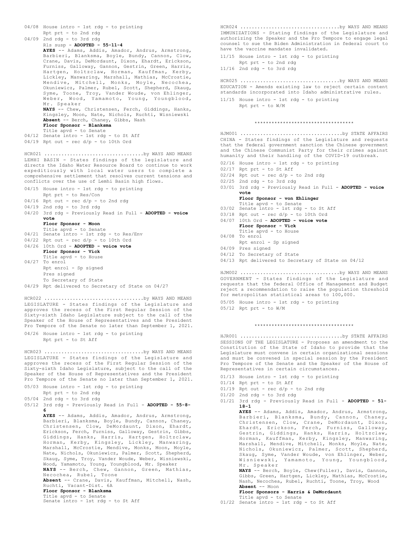```
04/08 House intro - 1st rdg - to printing
     Rpt prt - to 2nd rdg
04/09 2nd rdg - to 3rd rdg
      Rls susp - ADOPTED - 55-11-4
      AYES -- Adams, Addis, Amador, Andrus, Armstrong,
      Barbieri, Blanksma, Boyle, Bundy, Cannon, Clow,
       Crane, Davis, DeMordaunt, Dixon, Ehardt, Erickson,
       Furniss, Galloway, Gannon, Gestrin, Green, Harris,
      Hartgen, Holtzclaw, Horman, Kauffman, Kerby,
       Lickley, Manwaring, Marshall, Mathias, McCrostie,
       Mendive, Mitchell, Monks, Moyle, Necochea,
Okuniewicz, Palmer, Rubel, Scott, Shepherd, Skaug,
       Syme, Toone, Troy, Vander Woude, von Ehlinger,
Weber, Wood, Yamamoto, Young, Youngblood,
      Mr. Speaker
      NAYS -- Chew, Christensen, Ferch, Giddings, Hanks,
       Kingsley, Moon, Nate, Nichols, Ruchti, Wisniewski
      Absent -- Berch, Chaney, Gibbs, Nash
       Floor Sponsor - Blanksma
Title apvd - to Senate
04/12 Senate intro - 1st rdg - to St Aff
04/19 Rpt out - rec d/p - to 10th Ord
LEMHI BASIN - States findings of the legislature and
directs the Idaho Water Resource Board to continue to work
expeditiously with local water users to complete a
comprehensive settlement that resolves current tensions and
conflicts over the use of Lemhi Basin high flows.
04/15 House intro - 1st rdg - to printing
     Rpt prt - to Res/Con
04/16 Rpt out - rec d/p - to 2nd rdg
04/19 2nd rdg - to 3rd rdg
04/20 3rd rdg - Previously Read in Full - ADOPTED - voice
      vote
      Floor Sponsor - Moon
       Title apvd - to Senate
04/21 Senate intro - 1st rdg - to Res/Env
04/22 Rpt out - rec d/p - to 10th Ord
04/26 10th Ord - ADOPTED - voice vote
      Floor Sponsor - Vick
       Title apvd - to House
04/27 To enrol
      Rpt enrol - Sp signed
      Pres signed
      To Secretary of State
04/29 Rpt delivered to Secretary of State on 04/27
HCR021 ...................................by WAYS AND MEANS
LEGISLATURE - States findings of the Legislature and
approves the recess of the First Regular Session of the
Sixty-sixth Idaho Legislature subject to the call of the
Speaker of the House of Representatives and the President
Pro Tempore of the Senate no later than September 1, 2021.
04/26 House intro - 1st rdg - to printing
      Rpt prt - to St Aff
HCR022 ...................................by WAYS AND MEANS
LEGISLATURE - States findings of the Legislature and
approves the recess of the First Regular Session of the
HCR023 ...................................by WAYS AND MEANS
```
Sixty-sixth Idaho Legislature, subject to the call of the Speaker of the House of Representatives and the President Pro Tempore of the Senate no later than September 1, 2021.

- 05/03 House intro 1st rdg to printing
- Rpt prt to 2nd rdg
- 05/04 2nd rdg to 3rd rdg

05/12 3rd rdg - Previously Read in Full - **ADOPTED - 55-8- 6**

> **AYES** -- Adams, Addis, Amador, Andrus, Armstrong, Barbieri, Blanksma, Boyle, Bundy, Cannon, Chaney, Christensen, Clow, DeMordaunt, Dixon, Ehardt, Erickson, Ferch, Furniss, Galloway, Gestrin, Gibbs, Giddings, Hanks, Harris, Hartgen, Holtzclaw, Horman, Kerby, Kingsley, Lickley, Manwaring, Marshall, McCrostie, Mendive, Monks, Moon, Moyle, Nate, Nichols, Okuniewicz, Palmer, Scott, Shepherd, Skaug, Syme, Troy, Vander Woude, Weber, Wisniewski, Wood, Yamamoto, Young, Youngblood, Mr. Speaker **NAYS** -- Berch, Chew, Gannon, Green, Mathias, Necochea, Rubel, Toone **Absent** -- Crane, Davis, Kauffman, Mitchell, Nash, Ruchti, Vacant-Dist. 6A

# **Floor Sponsor - Blanksma** Title apvd - to Senate

Senate intro - 1st rdg - to St Aff

IMMUNIZATIONS - Stating findings of the Legislature and authorizing the Speaker and the Pro Tempore to engage legal counsel to sue the Biden Administration in federal court to have the vaccine mandates invalidated. HCR024 ...................................by WAYS AND MEANS

11/15 House intro - 1st rdg - to printing Rpt prt - to 2nd rdg

```
11/16 2nd rdg - to 3rd rdg
```
EDUCATION - Amends existing law to reject certain content standards incorporated into Idaho administrative rules. HCR025 ...................................by WAYS AND MEANS

11/15 House intro - 1st rdg - to printing Rpt prt - to W/M

## \*\*\*\*\*\*\*\*\*\*\*\*\*\*\*\*\*\*\*\*\*\*\*\*\*\*\*\*\*\*\*\*\*\*\*

CHINA - States findings of the Legislature and requests that the federal government sanction the Chinese government and the Chinese Communist Party for their crimes against humanity and their handling of the COVID-19 outbreak. HJM001 ....................................by STATE AFFAIRS

- 02/16 House intro 1st rdg to printing
- 02/17 Rpt prt to St Aff
- 02/24 Rpt out rec d/p to 2nd rdg
- 02/25 2nd rdg to 3rd rdg
- 03/01 3rd rdg Previously Read in Full ADOPTED voice **vote**

## **Floor Sponsor - von Ehlinger** Title apvd - to Senate

- 03/02 Senate intro 1st rdg to St Aff
- $03/18$  Rpt out rec  $d/p$  to 10th Ord
- 04/07 10th Ord **ADOPTED voice vote**
- **Floor Sponsor Vick**
- Title apvd to House 04/08 To enrol
- Rpt enrol Sp signed
- 04/09 Pres signed
- 04/12 To Secretary of State
- 04/13 Rpt delivered to Secretary of State on 04/12

GOVERNMENT - States findings of the Legislature and requests that the federal Office of Management and Budget reject a recommendation to raise the population threshold for metropolitan statistical areas to 100,000. HJM002 ...................................by WAYS AND MEANS

05/05 House intro - 1st rdg - to printing

05/12 Rpt prt - to W/M

SESSIONS OF THE LEGISLATURE - Proposes an amendment to the Constitution of the State of Idaho to provide that the Legislature must convene in certain organizational sessions and must be convened in special session by the President Pro Tempore of the Senate and the Speaker of the House of Representatives in certain circumstances. HJR001 ....................................by STATE AFFAIRS

\*\*\*\*\*\*\*\*\*\*\*\*\*\*\*\*\*\*\*\*\*\*\*\*\*\*\*\*\*\*\*\*\*\*\*

- 01/13 House intro 1st rdg to printing
- 01/14 Rpt prt to St Aff
- $01/19$  Rpt out rec d/p to 2nd rdg
- $01/20$  2nd rdg to 3rd rdg
- 01/21 3rd rdg Previously Read in Full **ADOPTED 51- 18-1**

**AYES** -- Adams, Addis, Amador, Andrus, Armstrong, Barbieri, Blanksma, Bundy, Cannon, Chaney, Christensen, Clow, Crane, DeMordaunt, Dixon, Ehardt, Erickson, Ferch, Furniss, Galloway, Gestrin, Giddings, Hanks, Harris, Holtzclaw,<br>Horman, Kauffman, Kerby, Kingsley, Manwaring, Horman, Kauffman, Kerby, Kingsley, Marshall, Mendive, Mitchell, Monks, Moyle, Nate, Nichols, Okuniewicz, Palmer, Scott, Shepherd, Skaug, Syme, Vander Woude, von Ehlinger, Weber, Wisniewski, Yamamoto, Young, Youngblood, Mr. Speaker **NAYS** -- Berch, Boyle, Chew(Fuller), Davis, Gannon,

Gibbs, Green, Hartgen, Lickley, Mathias, McCrostie, Nash, Necochea, Rubel, Ruchti, Toone, Troy, Wood **Absent** -- Moon

- **Floor Sponsors Harris & DeMordaunt** Title apvd - to Senate
- 01/22 Senate intro 1st rdg to St Aff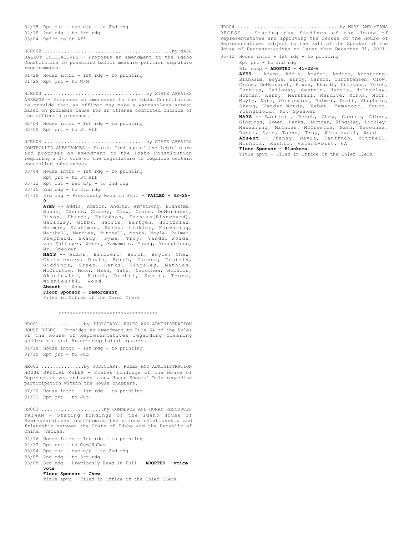$02/18$  Rpt out - rec  $d/p$  - to 2nd rdg 02/19 2nd rdg - to 3rd rdg 03/04 Ref'd to St Aff BALLOT INITIATIVES - Proposes an amendment to the Idaho Constitution to prescribe ballot measure petition signature requirements. 01/28 House intro - 1st rdg - to printing 01/29 Rpt prt - to W/M HJR002 .............................................by NASH ARRESTS - Proposes an amendment to the Idaho Constitution to provide that an officer may make a warrantless arrest based on probable cause for an offense committed outside of the officer's presence. 02/04 House intro - 1st rdg - to printing 02/05 Rpt prt - to St Aff HJR003 ....................................by STATE AFFAIRS CONTROLLED SUBSTANCES - States findings of the Legislature and proposes an amendment to the Idaho Constitution requiring a 2/3 vote of the Legislature to legalize certain controlled substances. 03/04 House intro - 1st rdg - to printing Rpt prt - to St Aff  $03/12$  Rpt out - rec  $d/p$  - to 2nd rdg 03/15 2nd rdg - to 3rd rdg 04/15 3rd rdg - Previously Read in Full - **FAILED - 42-28- 0 AYES** -- Addis, Amador, Andrus, Armstrong, Blanksma, Bundy, Cannon, Chaney, Clow, Crane, DeMordaunt, Dixon, Ehardt, Erickson, Furniss(Blanchard), Galloway, Gibbs, Harris, Hartgen, Holtzclaw, Horman, Kauffman, Kerby, Lickley, Manwaring, Marshall, Mendive, Mitchell, Monks, Moyle, Palmer, Shepherd, Skaug, Syme, Troy, Vander Woude, von Ehlinger, Weber, Yamamoto, Young, Youngblood, Mr. Speaker **NAYS** -- Adams, Barbieri, Berch, Boyle, Chew, Christensen, Davis, Ferch, Gannon, Gestrin, Giddings, Green, Hanks, Kingsley, Mathias, McCrostie, Moon, Nash, Nate, Necochea, Nichols, Okuniewicz, Rubel, Ruchti, Scott, Toone, Wisniewski, Wood **Absent** -- None **Floor Sponsor - DeMordaunt** Filed in Office of the Chief Clerk HJR004 ....................................by STATE AFFAIRS \*\*\*\*\*\*\*\*\*\*\*\*\*\*\*\*\*\*\*\*\*\*\*\*\*\*\*\*\*\*\*\*\*\*\* HOUSE RULES - Provides an amendment to Rule 64 of the Rules of the House of Representatives regarding clearing galleries and House-regulated spaces. 01/18 House intro - 1st rdg - to printing 01/19 Rpt prt - to Jud HR001 ...............by JUDICIARY, RULES AND ADMINISTRATION HOUSE SPECIAL RULES - States findings of the House of Representatives and adds a new House Special Rule regarding participation within the House chambers. 01/20 House intro - 1st rdg - to printing 01/21 Rpt prt - to Jud HR002 ...............by JUDICIARY, RULES AND ADMINISTRATION TAIWAN - Stating findings of the Idaho House of Representatives reaffirming the strong relationship and friendship between the State of Idaho and the Republic of China, Taiwan. 02/16 House intro - 1st rdg - to printing 02/17 Rpt prt - to Com/HuRes  $03/04$  Rpt out - rec  $d/p$  - to 2nd rdg 03/05 2nd rdg - to 3rd rdg 03/08 3rd rdg - Previously Read in Full - ADOPTED - voice **vote Floor Sponsor - Chew** Title apvd - Filed in Office of the Chief Clerk HR003 ......................by COMMERCE AND HUMAN RESOURCES

RECESS - Stating the findings of the House of Representatives and approving the recess of the House of Representatives subject to the call of the Speaker of the House of Representatives no later than December 31, 2021. HR004 ....................................by WAYS AND MEANS

05/12 House intro - 1st rdg - to printing Rpt prt - to 2nd rdg Rls susp - **ADOPTED - 41-22-6 AYES** -- Adams, Addis, Amador, Andrus, Armstrong, Blanksma, Boyle, Bundy, Cannon, Christensen, Clow, Crane, DeMordaunt, Dixon, Ehardt, Erickson, Ferch, Furniss, Galloway, Gestrin, Harris, Holtzclaw, Horman, Kerby, Marshall, Mendive, Monks, Moon, Moyle, Nate, Okuniewicz, Palmer, Scott, Shepherd, Skaug, Vander Woude, Weber, Yamamoto, Young, Youngblood, Mr. Speaker **NAYS** -- Barbieri, Berch, Chew, Gannon, Gibbs, Giddings, Green, Hanks, Hartgen, Kingsley, Lickley, Manwaring, Mathias, McCrostie, Nash, Necochea,

Rubel, Syme, Toone, Troy, Wisniewski, Wood<br>**Absent** -- Chaney, Davis, Kauffman, Mitchell,<br>Nichols, Ruchti, Vacant-Dist. 6A **Floor Sponsor - Blanksma**

Title apvd - Filed in Office of the Chief Clerk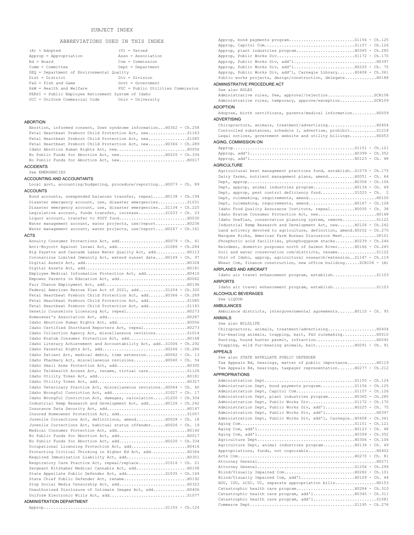# ABBREVIATIONS USED IN THIS INDEX

| $(A) = Adopted$                                    | $(V) = Vetoed$                    |
|----------------------------------------------------|-----------------------------------|
| Approp = Appropriation                             | Assn = Association                |
| $Bd = Board$                                       | $Com = Commission$                |
| $Comm = Committer$                                 | $Depth = Department$              |
| DEQ = Department of Environmental Quality          |                                   |
| $Dist = District$                                  | $Div = Division$                  |
| $FAG = Fish$ and Game                              | $Govt = Govermment$               |
| H&W = Health and Welfare                           | PUC = Public Utilities Commission |
| PERSI = Public Employee Retirement System of Idaho |                                   |
| UCC = Uniform Commercial Code                      | Univ = University                 |
|                                                    |                                   |

# ABORTION

| Abortion, informed consent, Down syndrome information H0302 - Ch.258 |
|----------------------------------------------------------------------|
| Fetal Heartbeat Preborn Child Protection Act, newS1183               |
| Fetal Heartbeat Preborn Child Protection Act, newS1085               |
| Fetal Heartbeat Preborn Child Protection Act, new H0366 - Ch.289     |
|                                                                      |
| No Public Funds for Abortion Act, new10220 - Ch.334                  |
|                                                                      |
|                                                                      |

# ACCIDENTS

See EMERGENCIES

# ACCOUNTING AND ACCOUNTANTS

Local govt, accounting/budgeting, procedure/reporting...H0073 - Ch. 89 ACCOUNTS

Bond accounts, unexpended balances transfer, repeal.....H0138 - Ch.194 Disaster emergency account, use, disaster emergencies............S1031 Disaster emergency account, use, disaster emergencies...S1134 - Ch.225 Legislative account, funds transfer, increase...........S1033 - Ch. 23 Liquor account, transfer to POST fund............................H0030 Water management account, water projects, use/report..............H0236 Water management account, water projects, use/report....H0267 - Ch.161

# ACTS

| Anti-Boycott Against Israel Act, addS1086 - Ch.284                    |  |
|-----------------------------------------------------------------------|--|
| Big Payette and Cascade Lakes Water Quality Act, add H0113            |  |
| Coronavirus Limited Immunity Act, extend sunset date H0149 - Ch. 97   |  |
|                                                                       |  |
|                                                                       |  |
| Employee Medical Information Protection Act, add H0410                |  |
|                                                                       |  |
|                                                                       |  |
| Federal American Rescue Plan Act of 2021, add S1204 - Ch.320          |  |
| Fetal Heartbeat Preborn Child Protection Act, add H0366 - Ch.289      |  |
| Fetal Heartbeat Preborn Child Protection Act, add51085                |  |
| Fetal Heartbeat Preborn Child Protection Act, add S1183               |  |
|                                                                       |  |
|                                                                       |  |
|                                                                       |  |
|                                                                       |  |
| Idaho Collection Agency Act, miscellaneous revisionsS1014             |  |
|                                                                       |  |
| Idaho Literacy Achievement and Accountability Act, add S1006 - Ch.292 |  |
|                                                                       |  |
| Idaho Patient Act, medical debts, time extension H0042 - Ch. 13       |  |
| Idaho Pharmacy Act, miscellaneous revisions H0040 - Ch. 54            |  |
|                                                                       |  |
| Idaho Telehealth Access Act, rename, virtual care S1126               |  |
|                                                                       |  |
|                                                                       |  |
| Idaho Veterinary Practice Act, miscellaneous revisions H0064 - Ch. 40 |  |
| Idaho Wrongful Conviction Act, add51027 - Ch. 17                      |  |
| Idaho Wrongful Conviction Act, damages, calculationS1200 - Ch.304     |  |
| Industrial Hemp Research and Development Act, add H0126 - Ch.242      |  |
|                                                                       |  |
|                                                                       |  |
| Juvenile Corrections Act, definitions, amend H0028 - Ch. 18           |  |
| Juvenile Corrections Act, habitual status offender H0026 - Ch. 19     |  |
|                                                                       |  |
|                                                                       |  |
|                                                                       |  |
| Occupational Licensing Protection Act, add H0416                      |  |
| Protecting Critical Thinking in Higher Ed Act, add10364               |  |
|                                                                       |  |
| Respiratory Care Practice Act, repeal/replaceS1016 - Ch. 21           |  |
| Sergeant Kitzhaber Medical Cannabis Act, add H0108                    |  |
| State Appellate Public Defender Act, addS1035 - Ch.164                |  |
|                                                                       |  |
|                                                                       |  |
| Unauthorized Disclosure of Intimate Images Act, add H0406             |  |
|                                                                       |  |
| ADMINISTRATION DEPARTMENT                                             |  |
|                                                                       |  |

Approp, Public Works Div, add'l................................. H0225 - Ch. 75 Approp, Public Works Div, add'l, Carnegie Library.......H0408 - Ch.361 Public works projects, design/construction, delegate.............H0188 ADMINISTRATIVE PROCEDURE ACT See also RULES Administrative rules, fee, approval/rejection...................SCR108 Administrative rules, temporary, approve/exception..............SCR109 ADOPTION Adoptee, birth certificate, parents/medical information..........H0059 ADVERTISING Chiropractors, animals, treatment/advertising....................H0404 Controlled substances, schedule I, advertise, prohibit...........S1218 Legal notices, government website and utility billings...........H0053 AGING, COMMISSION ON Approp..................................................S1151 - Ch.121 Approp, add'l...........................................H0399 - Ch.352 Approp, add'l...........................................H0123 - Ch. 48 **AGRICULTURE** Agricultural best management practices fund, establish..S1079 - Ch.175 Dairy farms, nutrient management plans, amend........... H0051 - Ch. 64 Dept, approp............................................H0306 - Ch.106 Dept, approp, animal industries program...................H0134 - Ch. 49 Dept, approp, pest control deficiency fund...............S1023 - Ch. Dept, rulemaking, requirements, amend............................H0100 Dept, rulemaking, requirements, amend.....................H0167 - Ch.128 Idaho Food Quality Assurance Institute, repeal..........H0050 - Ch. 38 Idaho Kratom Consumer Protection Act, new........................H0168 Idaho OnePlan, conservation planning system, remove..............S1122 Industrial Hemp Research and Development Act, new.......H0126 - Ch.242 Land actively devoted to agriculture, definition, amend.H0252 - Ch.270 Marquee Ricks, American Farm Bureau Discussion Meet..............SP101 Phosphoric acid facilities, phosphogypsum stacks........H0239 - Ch.246 Reindeer, domestic purposes north of Salmon River.......H0166 - Ch.245 Soil and water conservation com/districts, rename................S1122 Univ of Idaho, approp, agricultural research/extension..S1147 - Ch.119 Wheat Com, finance construction, new office building......SCR106 - (A) AIRPLANES AND AIRCRAFT Idaho air travel enhancement program, establish..................S1103 **AIRPORTS** Idaho air travel enhancement program, establish..................S1103 ALCOHOLIC BEVERAGES See LIQUOR AMBULANCES Ambulance districts, intergovernmental agreements.......H0110 - Ch. 95

Approp, bond payments program...........................S1156 - Ch.125 Approp, Capitol Com.....................................S1157 - Ch.126 Approp, plant industries program................................H0365 - Ch.285 Approp, Public Works Div................................S1172 - Ch.170 Approp, Public Works Div, add'l..................................H0397

### ANIMALS .<br>See also wildlife wildlife also wild

| See also WILDLIFE                                        |  |
|----------------------------------------------------------|--|
|                                                          |  |
| Fur-bearing animals, trapping, bait, F&G rulemakingH0010 |  |
|                                                          |  |
| Trapping, wild fur-bearing animals, baitH0091 - Ch. 91   |  |
| <b>DDC</b> 110                                           |  |

# APPEALS

See also STATE APPELLATE PUBLIC DEFENDER

Tax Appeals Bd, hearings, matter of public importance............H0119 Tax Appeals Bd, hearings, taxpayer representation.......H0277 - Ch.212 APPROPRIATIONS

| Administration Dept, bond payments programS1156 - Ch.125             |  |
|----------------------------------------------------------------------|--|
|                                                                      |  |
| Administration Dept, plant industries program H0365 - Ch.285         |  |
|                                                                      |  |
| Administration Dept, Public Works Div, add'l H0225 - Ch. 75          |  |
|                                                                      |  |
| Administration Dept, Public Works Div, add'l, CarnegieH0408 - Ch.361 |  |
|                                                                      |  |
|                                                                      |  |
|                                                                      |  |
|                                                                      |  |
| Agriculture Dept, animal industries programH0134 - Ch. 49            |  |
|                                                                      |  |
|                                                                      |  |
|                                                                      |  |
|                                                                      |  |
|                                                                      |  |
| Blind/Visually Impaired Com, add'l10109 - Ch. 44                     |  |
| BSU, ISU, LCSC, UI, separate appropriation bills H0153               |  |
|                                                                      |  |
| Catastrophic health care program, add'110345 - Ch.311                |  |
|                                                                      |  |
|                                                                      |  |
|                                                                      |  |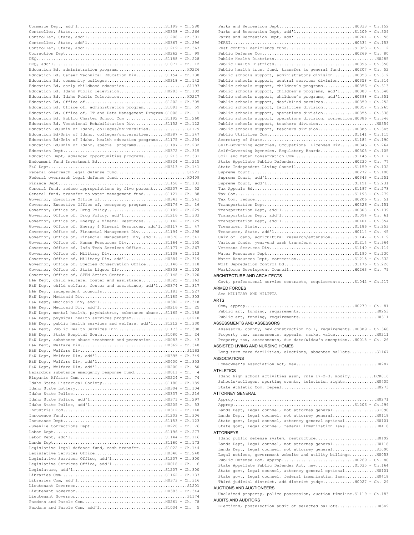| Education Bd, administration program H0226                                                                           |                |
|----------------------------------------------------------------------------------------------------------------------|----------------|
| Education Bd, Career Technical Education DivS1154 - Ch.130                                                           |                |
| Education Bd, community colleges H0318 - Ch.142                                                                      |                |
|                                                                                                                      |                |
| Education Bd, Idaho Public Television H0283 - Ch.102                                                                 |                |
|                                                                                                                      |                |
|                                                                                                                      |                |
| Education Bd, Office of, administration programS1091 - Ch. 59                                                        |                |
| Education Bd, Office of, IT and Data Management Program. S1008 - Ch.                                                 | $\overline{1}$ |
| Education Bd, Public Charter School Com S1192 - Ch.260                                                               |                |
| Education Bd, Vocational Rehabilitation DivS1152 - Ch.122                                                            |                |
| Education Bd/Univ of Idaho, colleges/universitiesS1179                                                               |                |
| Education Bd/Univ of Idaho, colleges/universities H0387 - Ch.347                                                     |                |
| Education Bd/Univ of Idaho, health education programs S1175 - Ch.254                                                 |                |
| Education Bd/Univ of Idaho, special programsS1187 - Ch.232                                                           |                |
|                                                                                                                      |                |
| Education Dept, advanced opportunities programsS1213 - Ch.331                                                        |                |
|                                                                                                                      |                |
|                                                                                                                      |                |
|                                                                                                                      |                |
|                                                                                                                      |                |
| General fund, reduce appropriations by five percent H0207 - Ch. 52                                                   |                |
| General fund, transfer to water management fundS1121 - Ch. 88                                                        |                |
|                                                                                                                      |                |
| Governor, Executive Office of, emergency programH0176 - Ch. 16                                                       |                |
|                                                                                                                      |                |
| Governor, Office of, Drug Policy, add'l51216 - Ch.333                                                                |                |
| Governor, Office of, Energy & Mineral ResourcesS1142 - Ch.129                                                        |                |
| Governor, Office of, Energy & Mineral Resources, add'lH0117 - Ch. 47                                                 |                |
| Governor, Office of, Financial Management DivS1194 - Ch.298                                                          |                |
| Governor, Office of, Financial Management Div, add'l H0370 - Ch.341                                                  |                |
| Governor, Office of, Human Resources DivS1164 - Ch.155                                                               |                |
| Governor, Office of, Info Tech Services OfficeS1177 - Ch.267                                                         |                |
| Governor, Office of, Military DivS1138 - Ch.113                                                                      |                |
| Governor, Office of, Military Div, add'l10384 - Ch.319                                                               |                |
| Governor, Office of, Species Conservation OfficeS1146 - Ch.118                                                       |                |
|                                                                                                                      |                |
| Governor, Office of, STEM Action CenterS1148 - Ch.120                                                                |                |
|                                                                                                                      |                |
| H&W Dept, child welfare, foster and assistance H0325 - Ch.163                                                        |                |
| H&W Dept, child welfare, foster and assistance, add'l H0374 - Ch.317                                                 |                |
|                                                                                                                      |                |
|                                                                                                                      |                |
|                                                                                                                      |                |
| H&W Dept, Medicaid Div, add'1 H0216 - Ch. 25<br>H&W Dept, mental health, psychiatric, substance abuse S1165 - Ch.188 |                |
|                                                                                                                      |                |
| H&W Dept, public health services and welfare, add'lS1212 - Ch.330                                                    |                |
|                                                                                                                      |                |
|                                                                                                                      |                |
| H&W Dept, substance abuse treatment and prevention H0083 - Ch. 43                                                    |                |
|                                                                                                                      |                |
|                                                                                                                      |                |
|                                                                                                                      |                |
|                                                                                                                      |                |
|                                                                                                                      |                |
| Hazardous substance emergency response fundH0011 - Ch.                                                               | $\frac{4}{3}$  |
|                                                                                                                      |                |
| Idaho State Historical SocietyS1180 - Ch.189                                                                         |                |
|                                                                                                                      |                |
|                                                                                                                      |                |
|                                                                                                                      |                |
|                                                                                                                      |                |
|                                                                                                                      |                |
|                                                                                                                      |                |
|                                                                                                                      |                |
|                                                                                                                      |                |
|                                                                                                                      |                |
|                                                                                                                      |                |
| Legislative legal defense fund, cash transfer S1022 - Ch.144                                                         |                |
|                                                                                                                      |                |
|                                                                                                                      |                |
|                                                                                                                      | - 6            |
|                                                                                                                      |                |
|                                                                                                                      |                |
|                                                                                                                      |                |
|                                                                                                                      |                |
|                                                                                                                      |                |
|                                                                                                                      |                |

| Parks and Recreation Dept, add'151209 - Ch.309                          |
|-------------------------------------------------------------------------|
|                                                                         |
|                                                                         |
| 2                                                                       |
|                                                                         |
|                                                                         |
|                                                                         |
| Public health trust fund, transfer to general fund H0207 - Ch. 52       |
| Public schools support, administrators division H0353 - Ch.312          |
| Public schools support, central services division H0358 - Ch.314        |
| Public schools support, children's programs H0356 - Ch.313              |
| Public schools support, children's programs, add'l H0388 - Ch.348       |
| Public schools support, children's programs, add'l H0398 - Ch.351       |
| Public schools support, deaf/blind services10359 - Ch.252               |
| Public schools support, facilities division H0357 - Ch.265              |
| Public schools support, operations division H0355 - Ch.338              |
| Public schools support, operations division, correction. H0386 - Ch.346 |
|                                                                         |
| Public schools support, teachers division H0385 - Ch.345                |
|                                                                         |
|                                                                         |
| Self-Governing Agencies, Occupational Licenses Div H0346 - Ch.264       |
| Self-Governing Agencies, Regulatory BoardsH0305 - Ch.105                |
|                                                                         |
|                                                                         |
|                                                                         |
|                                                                         |
|                                                                         |
|                                                                         |
|                                                                         |
|                                                                         |
|                                                                         |
|                                                                         |
|                                                                         |
|                                                                         |
|                                                                         |
|                                                                         |
|                                                                         |
| Univ of Idaho, agricultural research/extensionS1147 - Ch.119            |
| Various funds, year-end cash transfersS1214 - Ch.364                    |
|                                                                         |
|                                                                         |
| Water Resources Dept, correctionS1215 - Ch.332                          |
|                                                                         |
|                                                                         |
|                                                                         |
| ARCHITECTURE AND ARCHITECTS                                             |
| Govt, professional service contracts, requirementsS1042 - Ch.217        |
| <b>ARMED FORCES</b>                                                     |
| See MILITARY AND MILITIA                                                |
| <b>ARTS</b>                                                             |
|                                                                         |
|                                                                         |
|                                                                         |
|                                                                         |
| ASSESSMENTS AND ASSESSORS                                               |
| Assessors, county, new construction roll, requirements H0389 - Ch.360   |
| Property tax, assessments, appeals, market value H0211                  |
| Property tax, assessments, due date/widow's exemption H0015 - Ch. 26    |
| ASSISTED LIVING AND NURSING HOMES                                       |
| Long-term care facilities, elections, absentee ballotsS1167             |
| <b>ASSOCIATIONS</b>                                                     |
|                                                                         |
| <b>ATHLETICS</b>                                                        |
| Idaho high school activities assn, rule 17-2-3, modifyHCR016            |
| Schools/colleges, sporting events, television rights H0405              |
|                                                                         |
| <b>ATTORNEY GENERAL</b>                                                 |
|                                                                         |
|                                                                         |
|                                                                         |

Lands Dept, legal counsel, not attorney general..................S1090 Lands Dept, legal counsel, not attorney general.................................. State govt, legal counsel, attorney general optional.............H0101 State govt, legal counsel, federal immunization laws.............H0418

# ATTORNEYS

Idaho public defense system, restructure.........................H0192 Lands Dept, legal counsel, not attorney general.....................H0118 Lands Dept, legal counsel, not attorney general.....................S1090 Legal notices, government website and utility billings...........H0053 Public Defense Com, approp..............................H0269 - Ch. 80 State Appellate Public Defender Act, new................S1035 - Ch.164 State govt, legal counsel, attorney general optional.............H0101 State govt, legal counsel, federal immunization laws.............H0418 Third judicial district, add district judge.............H0027 - Ch. 29

## AUCTIONS AND AUCTIONEERS

Unclaimed property, police possession, auction timeline.S1119 - Ch.183 AUDITS AND AUDITORS

Elections, postelection audit of selected ballots................H0349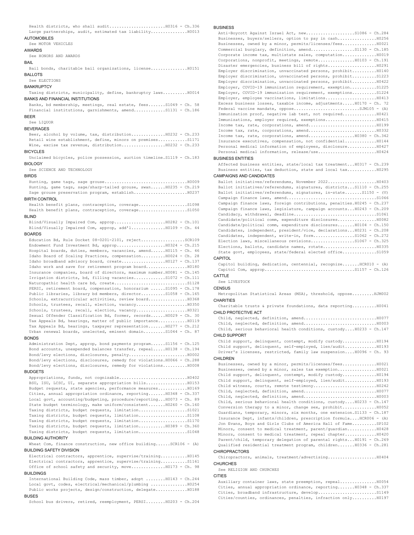Health districts, who shall audit.......................H0316 - Ch.336 Large partnerships, audit, estimated tax liability.................H0013

# AUTOMOBILES

## See MOTOR VEHICLES

# AWARDS

See HONORS AND AWARDS

### BAIL

Bail bonds, charitable bail organizations, license...............H0151 BALLOTS

### See ELECTIONS

**BANKRUPTCY** 

Taxing districts, municipality, define, bankruptcy laws..........H0014 BANKS AND FINANCIAL INSTITUTIONS

Banks, bd membership, meetings, real estate, fees.......S1049 - Ch. 58 Financial institutions, garnishments, amend.............S1131 - Ch.186 BEER

See LIQUOR **BEVERAGES** 

Beer, alcohol by volume, tax, distribution..............H0232 - Ch.233 Retail wine establishment, define, minors on premises............S1171 Wine, excise tax revenue, distribution..................H0232 - Ch.233 BICYCLES

Unclaimed bicycles, police possession, auction timeline.S1119 - Ch.183 BIOLOGY

See SCIENCE AND TECHNOLOGY

### **BIRDS**

Hunting, game tags, sage grouse..................................H0009 Hunting, game tags, sage/sharp-tailed grouse, swan......H0235 - Ch.219 Sage grouse preservation program, establish......................H0237 BIRTH CONTROL

Health benefit plans, contraception, coverage....................S1098 Health benefit plans, contraception, coverage........................S1050

# BLIND

Blind/Visually Impaired Com, approp.....................H0282 - Ch.101 Blind/Visually Impaired Com, approp, add'l..............H0109 - Ch. 44

# **BOARDS**

Education Bd, Rule Docket 08-0201-2101, reject..................SCR109 Endowment Fund Investment Bd, approp....................H0324 - Ch.215 Hospital boards, duties, members, vacancies, amend......H0115 - Ch. 46 Idaho Board of Scaling Practices, compensation..........H0024 - Ch. 28 Idaho broadband advisory board, create..................H0127 - Ch.137 Idaho work and save for retirement program board.................H0180 Insurance companies, board of directors, maximum number.H0081 - Ch.145 Irrigation districts, bd, filling vacancies.............S1072 - Ch.111 Naturopathic health care bd, create.................................S1128 PERSI, retirement board, compensation, honorarium ......S1095 - Ch.178 Public libraries, library bd members, director..........S1058 - Ch.165 Schools, extracurricular activities, review board...................... H0368 Schools, trustees, recall, election, vacancy.....................H0350 Schools, trustees, recall, election, vacancy.....................H0321 Sexual Offender Classification Bd, former, records......H0029 - Ch. 30 Tax Appeals Bd, hearings, matter of public importance............H0119 Tax Appeals Bd, hearings, taxpayer representation.......H0277 - Ch.212 Urban renewal boards, unelected, eminent domain.........S1044 - Ch. 87

## **BONDS**

Administration Dept, approp, bond payments program......S1156 - Ch.125 Bond accounts, unexpended balances transfer, repeal.....H0138 - Ch.194 Bond/levy elections, disclosures, penalty........................H0002 Bond/levy elections, disclosures, remedy for violations.H0066 - Ch.288 Bond/levy elections, disclosures, remedy for violations..........H0008

# **BUDGETS**

Appropriations, funds, not cognizable............................H0402 BSU, ISU, LCSC, UI, separate appropriation bills.................H0153 Budget requests, state agencies, performance measures............H0169 Cities, annual appropriation ordinance, reporting.......H0348 - Ch.337 Local govt, accounting/budgeting, procedure/reporting...H0073 - Ch. 89 State budget terminology, make uniform/consistent.......H0260 - Ch.160 Taxing districts, budget requests, limitation....................S1021 Taxing districts, budget requests, limitation....................S1108 Taxing districts, budget requests, limitation....................S1170 Taxing districts, budget requests, limitation...........H0389 - Ch.360 Taxing districts, budget requests, limitation....................S1048

## BUILDING AUTHORITY

Wheat Com, finance construction, new office building......SCR106 - (A) BUILDING SAFETY DIVISION

Electrical contractors, apprentice, supervise/training...........H0145 Electrical contractors, apprentice, supervise/training...........S1161 Office of school safety and security, move...............H0173 - Ch. 98

# **BUILDINGS**

International Building Code, mass timber, adopt ........H0143 - Ch.244 Local govt, codes, electrical/mechanical/plumbing ...............H0254 Public works projects, design/construction, delegate.............H0188

## BUSES

School bus drivers, retired, reemployment, PERSI........H0203 - Ch.204

## BUSINESS

| Anti-Boycott Against Israel Act, new51086 - Ch.284                 |
|--------------------------------------------------------------------|
| Businesses, buyers/sellers, option to pay in cash H0256            |
| Businesses, owned by a minor, permits/licenses/fees H0021          |
| Commercial burglary, definition, amendS1130 - Ch.185               |
| Corporate income tax, multistate sales, computationH0019           |
| Corporations, nonprofit, meetings, remoteH0103 - Ch.191            |
|                                                                    |
| Employer discrimination, unvaccinated persons, prohibitH0140       |
| Employer discrimination, unvaccinated persons, prohibitS1223       |
| Employer discrimination, unvaccinated persons, prohibit H0422      |
| Employer, COVID-19 immunization requirement, exemptionS1225        |
| Employer, COVID-19 immunization requirement, exemptionsS1224       |
|                                                                    |
| Excess business losses, taxable income, adjustments H0170 - Ch. 72 |
| Federal vaccine mandate, opposeSJM105 - (A)                        |
| Immunization proof, negative lab test, not required H0421          |
|                                                                    |
|                                                                    |
|                                                                    |
|                                                                    |
| Insurance executives, compensation, not confidential H0144         |
| Personal medical information of employees, disclosure H0427        |
|                                                                    |
|                                                                    |

# BUSINESS ENTITIES

Affected business entities, state/local tax treatment...H0317 - Ch.239 Business entities, tax deduction, state and local tax............H0295

## CAMPAIGNS AND CANDIDATES

Ballot initiatives/referendums, November 2022....................H0403 Ballot initiatives/referendums, signatures, districts...S1110 - Ch.255 Ballot initiatives/referendums, signatures, in-state.......S1150 - (V) Campaign finance laws, amend.....................................S1066 Campaign finance laws, foreign contributions, penalties.H0245 - Ch.237 Campaign finance laws, legislature, campaign accounts...H0243 - Ch.209 Candidacy, withdrawal, deadline..................................S1061 Candidate/political comm, expenditure disclosures................H0082 Candidate/political comm, expenditure disclosures.......H0104 - Ch.150 Candidates, independent, president/vice, declarations...H0231 - Ch.208 Candidates, independent, write-in, form.................S1062 - Ch.272 Election laws, miscellaneous revisions..................S1067 - Ch.325 Elections, ballots, candidate names, rotate......................H0335 State govt, employees, state/federal elected office..............................

## **CAPITOL**

Capitol building, dedication, centennial, recognize.......HCR010 - (A) Capitol Com, approp.....................................S1157 - Ch.126

# CATTLE

See LIVESTOCK

**CENSUS** 

Metropolitan Statistical Areas (MSA), threshold, oppose.........HJM002 **CHARITIES** 

Charitable trusts & private foundations, data reporting..........H0041 CHILD PROTECTIVE ACT

Child, neglected, definition, amend..............................H0077 Child, neglected, definition, amend..............................H0003 Child, serious behavioral health conditions, custody....H0233 - Ch.147

# CHILD SUPPORT

Child support, delinquent, contempt, modify custody..............H0194 Child support, delinquent, self-employed, lien/audit.............H0193 Driver's licenses, restricted, family law suspension....H0096 - Ch. 93 CHILDREN

Businesses, owned by a minor, permits/licenses/fees..............H0021 Businesses, owned by a minor, sales tax exemption................H0021 Child support, delinquent, contempt, modify custody..............H0194 Child support, delinquent, self-employed, lien/audit.............H0193 Child witness, courts, remote testimony..........................H0242 Child, neglected, definition, amend..............................H0077 Child, neglected, definition, amend..............................H0003 Child, serious behavioral health conditions, custody....H0233 - Ch.147 Conversion therapy to a minor, change sex, prohibit..............H0052 Guardians, temporary, minors, six months, one extension.S1133 - Ch.187 Insurance Dept, infants/children, prescription formula....HCR006 - (A) Jon Evans, Boys and Girls Clubs of America Hall of Fame..........SP102 Minors, consent to medical treatment, parent/guardian............H0428 Minors, consent to medical treatment, repeal chapter.............H0420 Parent/child, temporary delegation of parental rights...H0191 - Ch.269 Qualified residential treatment program, children.......H0336 - Ch.281

## CHIROPRACTORS

Chiropractors, animals, treatment/advertising....................H0404 **CHURCHES** 

See RELIGION AND CHURCHES

### **CITIES**

Auxiliary container laws, state preemption, repeal...............H0054 Cities, annual appropriation ordinance, reporting.......H0348 - Ch.337 Cities, broadband infrastructure, develop...............................S1149 Cities/counties, ordinances, penalties, infraction only..........H0197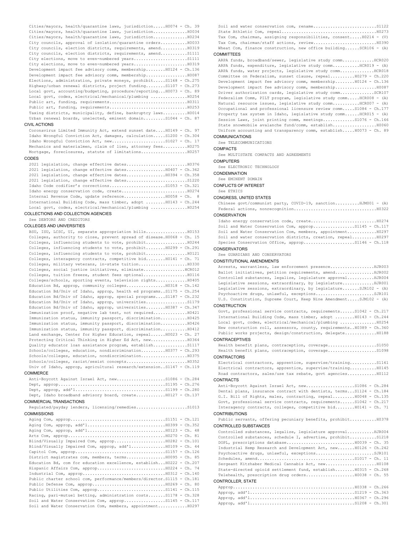Cities/mayors, health/quarantine laws, jurisdiction.....H0074 - Ch. 39 Cities/mayors, health/quarantine laws, jurisdiction..............H0034 Cities/mayors, health/quarantine laws, jurisdiction..............H0234 City councils, approval of isolation/quarantine orders...........H0033 City councils, election districts, requirements, amend...........H0319 City councils, election districts, requirements, amend...........S1111 City elections, move to even-numbered years........................S1111 City elections, move to even-numbered years......................H0319 Development impact fee advisory comm, membership........H0124 - Ch.136 Development impact fee advisory comm, membership.................H0087 Elections, administration, private moneys, prohibit.....S1168 - Ch.275 Highway/urban renewal districts, project funding........S1107 - Ch.273 Local govt, accounting/budgeting, procedure/reporting...H0073 - Ch. 89 Local govt, codes, electrical/mechanical/plumbing ...............H0254 Public art, funding, requirements................................H0311 Public art, funding, requirements................................H0253 Taxing districts, municipality, define, bankruptcy laws..........H0014 Urban renewal boards, unelected, eminent domain.........S1044 - Ch. 87

# CIVIL ACTIONS

Coronavirus Limited Immunity Act, extend sunset date....H0149 - Ch. 97 Idaho Wrongful Conviction Act, damages, calculation.....S1200 - Ch.304 Idaho Wrongful Conviction Act, new........................S1027 - Ch. 17 Mechanics and materialmen, claim of lien, attorney fees..........H0275 Mortgage, foreclosures, statute of limitations...................H0257

# **CODES**

2021 legislation, change effective dates.........................H0376 2021 legislation, change effective dates................H0407 - Ch.362 2021 legislation, change effective dates................H0394 - Ch.358 2021 legislation, change effective dates.........................S1220 Idaho Code codifier's corrections.......................S1053 - Ch.321 Idaho energy conservation code, create...........................H0274 Internal Revenue Code, update reference.................H0058 - Ch. 8 International Building Code, mass timber, adopt ........H0143 - Ch.244 Local govt, codes, electrical/mechanical/plumbing ...............H0254

COLLECTIONS AND COLLECTION AGENCIES

# See DEBTORS AND CREDITORS

# COLLEGES AND UNIVERSITIES

BSU, ISU, LCSC, UI, separate appropriation bills.................H0153 Colleges, authority to close, prevent spread of disease.H0068 - Ch. 15 Colleges, influencing students to vote, prohibit.................H0244 Colleges, influencing students to vote, prohibit........H0299 - Ch.291 Colleges, influencing students to vote, prohibit.................H0121 Colleges, interagency contracts, competitive bid........H0141 - Ch. 71 Colleges, military veterans, in-state tuition....................H0330 Colleges, social justice initiatives, eliminate.................HCR012 Colleges, tuition freeze, student fees optional..................H0116 Colleges/schools, sporting events, television rights.............H0405 Education Bd, approp, community colleges................H0318 - Ch.142 Education Bd/Univ of Idaho, approp, health ed programs..S1175 - Ch.254 Education Bd/Univ of Idaho, approp, special programs....S1187 - Ch.232 Education Bd/Univ of Idaho, approp, universities.................S1179 Education Bd/Univ of Idaho, approp, universities........H0387 - Ch.347 Immunization proof, negative lab test, not required..............H0421 Immunization status, immunity passport, discrimination...........H0425 Immunization status, immunity passport, discrimination...........H0426 Immunization status, immunity passport, discrimination...........H0412 Land exchange, Center for Higher Education, repeal......H0023 - Ch. 27 Protecting Critical Thinking in Higher Ed Act, new...............H0364 Quality educator loan assistance program, establish..............S1117 Schools/colleges, education, nondiscrimination..........H0377 - Ch.293 Schools/colleges, education, nondiscrimination...................H0375 Schools/colleges, racist/sexist concepts.........................H0352 Univ of Idaho, approp, agricultural research/extension..S1147 - Ch.119

# COMMERCE

Anti-Boycott Against Israel Act, new....................S1086 - Ch.284 Dept, approp............................................S1195 - Ch.276 Dept, approp, add'l.....................................S1199 - Ch.280 Dept, Idaho broadband advisory board, create............H0127 - Ch.137

# COMMERCIAL TRANSACTIONS

Regulated/payday lenders, licensing/remedies.....................S1013 COMMISSIONS

Aging Com, approp.......................................S1151 - Ch.121 Aging Com, approp, add'l................................H0399 - Ch.352 Aging Com, approp, add'l................................H0123 - Ch. 48 Arts Com, approp........................................H0270 - Ch. 81 Blind/Visually Impaired Com, approp.....................H0282 - Ch.101 Blind/Visually Impaired Com, approp, add'l..............H0109 - Ch. 44 Capitol Com, approp.....................................S1157 - Ch.126 District magistrates com, members, terms................H0095 - Ch. 85 Education Bd, com for education excellence, establish...H0222 - Ch.207 Hispanic Affairs Com, approp............................H0224 - Ch. 74 Industrial Com, approp..................................H0312 - Ch.140 Public charter school com, performance/members/director.S1115 - Ch.181 Public Defense Com, approp..............................H0269 - Ch. 80 Public Utilities Com, approp...............................S1141 - Ch.115 Racing, pari-mutuel betting, administration costs.......S1178 - Ch.328 Soil and Water Conservation Com, approp.................S1145 - Ch.117 Soil and Water Conservation Com, members, appointment............H0297

| $\frac{1}{2}$                                                      |  |
|--------------------------------------------------------------------|--|
| Wheat Com, finance construction, new office buildingSCR106 - (A)   |  |
|                                                                    |  |
| Tax Com, chairman, assigning responsibilities, consent H0214 - (V) |  |
|                                                                    |  |
|                                                                    |  |

**COMMITTEES** 

ARPA funds, broadband/sewer, legislative study comm..............HCR020 ARPA funds, expenditure, legislative study comm...........HCR019 - (A) ARPA funds, water projects, legislative study comm..............HCR018 Committee on Federalism, sunset clause, repeal..........H0279 - Ch.220 Development impact fee advisory comm, membership........H0124 - Ch.136 Development impact fee advisory comm, membership.................H0087 Driver authorization cards, legislative study comm..............SCR107 Federalism Comm, PILT program, legislative study comm.....HCR008 - (A) Natural resource issues, legislative study comm...........HCR007 - (A) Occupational and professional licensure review comm.....S1084 - Ch.177 Property tax system in Idaho, legislative study comm......HCR015 - (A) Session Laws, joint printing comm, meetings.............S1076 - Ch.166 State snowmobile avalanche fund/comm, establish..................H0060 Uniform accounting and transparency comm, establish.....H0073 - Ch. 89 COMMUNICATIONS

# See TELECOMMUNICATIONS

# **COMPACTS**

See MULTISTATE COMPACTS AND AGREEMENTS

### **COMPUTERS**

See ELECTRONIC TECHNOLOGY

## **CONDEMNATION**

See EMINENT DOMAIN

CONFLICTS OF INTEREST

# See ETHICS

CONGRESS, UNITED STATES

Chinese govt/communist party, COVID-19, sanction..........HJM001 - (A) Federal actions, nonrecognition..................................H0322 CONSERVATION

| Soil and Water Conservation Com, appropS1145 - Ch.117         |  |
|---------------------------------------------------------------|--|
| Soil and Water Conservation Com, members, appointment H0297   |  |
| Soil and water conservation districts, creation, repeal H0297 |  |
|                                                               |  |
| CONSERVATORS                                                  |  |

See GUARDIANS AND CONSERVATORS

# CONSTITUTIONAL AMENDMENTS

| Arrests, warrantless, law enforcement presenceHJR003              |  |
|-------------------------------------------------------------------|--|
| Ballot initiatives, petition requirements, amendHJR002            |  |
| Controlled substances, legalize, legislature approvalHJR004       |  |
| Legislative sessions, extraordinary, by legislatureHJR001         |  |
| Legislative sessions, extraordinary, by legislature SJR102 - (A)  |  |
|                                                                   |  |
| U.S. Constitution, Supreme Court, Keep Nine AmendmentSJM102 - (A) |  |

## CONSTRUCTION

```
Govt, professional service contracts, requirements......S1042 - Ch.217
International Building Code, mass timber, adopt ........H0143 - Ch.244
Local govt, codes, electrical/mechanical/plumbing ...............H0254
New construction roll, assessors, county, requirements..H0389 - Ch.360
Public works projects, design/construction, delegate.............H0188
```
# CONTRACEPTIVES

| <b>CONTRACTORS</b> |  |  |
|--------------------|--|--|
|                    |  |  |
|                    |  |  |

## CONTRACTORS

Electrical contractors, apprentice, supervise/training...........S1161 Electrical contractors, apprentice, supervise/training...........H0145 Road contractors, sales/use tax rebate, govt agencies............H0112

# **CONTRACTS**

```
Anti-Boycott Against Israel Act, new....................S1086 - Ch.284
Dental plans, insurance contract with dentists, terms...S1124 - Ch.184
G.I. Bill of Rights, males, contracting, repeal.........H0048 - Ch.135
Govt, professional service contracts, requirements......S1042 - Ch.217
Interagency contracts, colleges, competitive bid........H0141 - Ch. 71
```
## CONTRIBUTIONS

Public servants, offering pecuniary benefits, prohibit...........H0378 CONTROLLED SUBSTANCES

Controlled substances, legalize, legislature approval...........HJR004 Controlled substances, schedule I, advertise, prohibit...........S1218 DOPL, prescriptions database............................H0039 - Ch. 35 Industrial Hemp Research and Development Act, new.......H0126 - Ch.242 Psychoactive drugs, unlawful, exceptions..........................SJR101 Schedules, amend........................................S1017 - Ch. 11 Sergeant Kitzhaber Medical Cannabis Act, new.....................H0108 State-directed opioid settlement fund, establish........H0315 - Ch.268 Telehealth, prescription drug orders....................H0038 - Ch. 55 CONTROLLER, STATE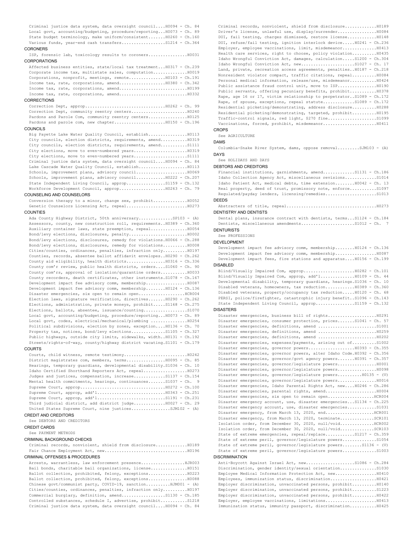Criminal justice data system, data oversight council....H0094 - Ch. 84 Local govt, accounting/budgeting, procedure/reporting...H0073 - Ch. 89 State budget terminology, make uniform/consistent.......H0260 - Ch.160 Various funds, year-end cash transfers...................S1214 - Ch.364

# **CORONERS**

ISP, forensic lab, toxicology results to coroners................H0031 CORPORATIONS

Affected business entities, state/local tax treatment...H0317 - Ch.239 Corporate income tax, multistate sales, computation..............H0019 Corporations, nonprofit, meetings, remote...............H0103 - Ch.191 Income tax, rate, corporations, amend...................H0380 - Ch.342 Income tax, rate, corporations, amend............................H0199 Income tax, rate, corporations, amend............................H0332

# **CORRECTIONS**

Correction Dept, approp.................................H0262 - Ch. 99 Correction Dept, community reentry centers.......................H0240 Pardons and Parole Com, community reentry centers................H0125 Pardons and parole com, new chapter.....................H0150 - Ch.196

# COUNCILS

Big Payette Lake Water Quality Council, establish................H0113 City councils, election districts, requirements, amend...........H0319 City councils, election districts, requirements, amend...........S1111 City elections, move to even-numbered years......................H0319 City elections, move to even-numbered years......................S1111 Criminal justice data system, data oversight council....H0094 - Ch. 84 Lake Cascade Water Quality Council, establish....................H0113 Schools, improvement plans, advisory council............................. H0069 Schools, improvement plans, advisory council............H0222 - Ch.207 State Independent Living Council, approp................S1159 - Ch.132 Workforce Development Council, approp...................H0263 - Ch. 79

## COUNSELING AND COUNSELORS

Conversion therapy to a minor, change sex, prohibit..............H0052 Genetic Counselors Licensing Act, repeal.........................H0273 COUNTIES

Ada County Highway District, 50th anniversary..............SP103 - (A) Assessors, county, new construction roll, requirements..H0389 - Ch.360 Auxiliary container laws, state preemption, repeal...............H0054 Bond/levy elections, disclosures, penalty........................H0002 Bond/levy elections, disclosures, remedy for violations.H0066 - Ch.288 Bond/levy elections, disclosures, remedy for violations..........H0008 Cities/counties, ordinances, penalties, infraction only..........H0197 Counties, records, absentee ballot affidavit envelopes..H0290 - Ch.262 County aid eligibility, health districts................H0316 - Ch.336 County com'r review, public health districts, orders....S1060 - Ch. 90 County com'rs, approval of isolation/quarantine orders...........H0033 County recorders, death certificates, other instruments.S1078 - Ch.167 Development impact fee advisory comm, membership.................H0087 Development impact fee advisory comm, membership........H0124 - Ch.136 Disaster emergencies, six open to remain open...................HCR004 Election laws, signature verification, directives.......H0290 - Ch.262 Elections, administration, private moneys, prohibit.....S1168 - Ch.275 Elections, ballots, absentee, issuance/counting.................................. Local govt, accounting/budgeting, procedure/reporting...H0073 - Ch. 89 Local govt, codes, electrical/mechanical/plumbing ...............H0254 Political subdivisions, election by zones, exception....H0136 - Ch. 70 Property tax, notices, bond/levy elections..............S1105 - Ch.327 Public highways, outside city limits, sidewalks, width..H0131 - Ch.192 Streets/rights-of-way, county/highway district vacating.S1101 - Ch.179

# COURTS

```
Courts, child witness, remote testimony..........................H0242
District magistrates com, members, terms................H0095 - Ch. 85
Hearings, temporary guardians, developmental disability.S1036 - Ch. 10
Idaho Certified Shorthand Reporters Act, repeal..................H0273
Judges and justices, compensation, increase.............S1137 - Ch.154
Mental health commitments, hearings, continuances.......S1037 - Ch. 9
Supreme Court, approp...................................H0272 - Ch.100
Supreme Court, approp, add'l............................H0343 - Ch.251
Supreme Court, approp, add'1................................S1191 - Ch.231
Third judicial district, add district judge..............H0027 - Ch. 29
United States Supreme Court, nine justices.................SJM102 - (A)
```
CREDIT AND CREDITORS

See DEBTORS AND CREDITORS

CREDIT CARDS

# See PAYMENT METHODS

# CRIMINAL BACKGROUND CHECKS

Criminal records, nonviolent, shield from disclosure.............H0189 Fair Chance Employment Act, new..................................H0196

# CRIMINAL OFFENSES & PROCEDURES

Arrests, warrantless, law enforcement presence..................HJR003 Bail bonds, charitable bail organizations, license...............H0151 Ballot collection, prohibited, felony, exceptions................H0223 Ballot collection, prohibited, felony, exceptions................H0088 Chinese govt/communist party, COVID-19, sanction..........HJM001 - (A) Cities/counties, ordinances, penalties, infraction only..........H0197 Commercial burglary, definition, amend..................S1130 - Ch.185 Controlled substances, schedule I, advertise, prohibit...........S1218 Criminal justice data system, data oversight council....H0094 - Ch. 84

Criminal records, nonviolent, shield from disclosure.............H0189 Driver's license, unlawful use, display/surrender................H0084 DUI, fail testing, charges dismissed, restore license............H0148 DUI, refuse/fail testing, ignition interlock device.....H0241 - Ch.236 Employer, employee vaccinations, limit, misdemeanor..............H0413 Health care services, right to choose, policy violation..........H0435 Idaho Wrongful Conviction Act, damages, calculation.....S1200 - Ch.304 Idaho Wrongful Conviction Act, new........................S1027 - Ch. 17 Land, private, recreation access agreements, penalties..H0187 - Ch.218 Nonresident violator compact, traffic citations, repeal..........H0084 Personal medical information, release/use, misdemeanor...........H0424 Public assistance fraud control unit, move to ISP...................H0190 Public servants, offering pecuniary benefits, prohibit...........H0378 Rape, age 16 or 17, victim relationship to perpetrator..S1089 - Ch.172 Rape, of spouse, exceptions, repeal statute..............S1089 - Ch.172 Residential picketing/demonstrating, address disclosure..........H0288 Residential picketing/demonstrating, targeted, prohibit..........H0195 Traffic-control signals, red light, \$270 fine....................S1099 Vaccinations, forced, prohibit, misdemeanor......................H0411

# CROPS

See AGRICULTURE

DAMS

Columbia-Snake River System, dams, oppose removal.........SJM103 - (A) DAYS

See HOLIDAYS AND DAYS

# DEBTORS AND CREDITORS

Financial institutions, garnishments, amend.............S1131 - Ch.186 Idaho Collection Agency Act, miscellaneous revisions.............S1014 Idaho Patient Act, medical debts, time extension........H0042 - Ch. 13 Real property, deed of trust, promissory note, enforce............S1097 Regulated/payday lenders, licensing/remedies.....................S1013 DEEDS

# Abstracters of title, repeal.....................................H0273

# DENTISTRY AND DENTISTS

Dental plans, insurance contract with dentists, terms...S1124 - Ch.184 Dentists, miscellaneous amendments......................S1012 - Ch. 7 **DENTURISTS** 

# See PROFESSIONS

DEVELOPMENT

Development impact fee advisory comm, membership........H0124 - Ch.136 Development impact fee advisory comm, membership.................H0087 Development impact fees, fire stations and apparatus....H0156 - Ch.199 DISABLED

Blind/Visually Impaired Com, approp.....................H0282 - Ch.101 Blind/Visually Impaired Com, approp, add'l..............H0109 - Ch. 44 Developmental disability, temporary guardians, hearings.S1036 - Ch. 10 Disabled veterans, homeowners, tax reduction............H0389 - Ch.360 Disabled veterans, property/occupancy tax reduction.....H0120 - Ch. 68 PERSI, police/firefighter, catastrophic injury benefit..S1096 - Ch.143 State Independent Living Council, approp................S1159 - Ch.132

### **DISASTERS**

| Disaster emergencies, consumer protection, prices S1041 - Ch. 57       |
|------------------------------------------------------------------------|
|                                                                        |
|                                                                        |
| Disaster emergencies, definitions, amend  H0202                        |
| Disaster emergencies, expenses/payments, arising out ofS1002           |
|                                                                        |
| Disaster emergencies, governor powers, alter Idaho Code.H0392 - Ch.356 |
| Disaster emergencies, governor/govt agency powersH0391 - Ch.357        |
| Disaster emergencies, governor/legislature powersH0001                 |
| Disaster emergencies, governor/legislature powersH0098                 |
| Disaster emergencies, governor/legislature powers H0135 - (V)          |
| Disaster emergencies, governor/legislature powersH0016                 |
| Disaster emergencies, Idaho Parental Rights Act, new H0246 - Ch.286    |
|                                                                        |
| Disaster emergencies, six open to remain openHCR004                    |
| Disaster emergency account, use, disaster emergencies S1134 - Ch.225   |
| Disaster emergency account, use, disaster emergenciesS1031             |
| Disaster emergency, from March 13, 2020, endHCR001                     |
| Disaster emergency, from March 13, 2020, terminateSCR101               |
| Isolation order, from December 30, 2020, null/voidHCR002               |
| Isolation order, from December 30, 2020, null/voidSCR103               |
| State of extreme emergencies, repeal/replaceS1217 - Ch.359             |
| State of extreme peril, governor/legislature powersS1054               |
| State of extreme peril, governor/legislature powersS1136 - (V)         |
| State of extreme peril, governor/legislature powersS1003               |
| <b>DISCRIMINATION</b>                                                  |

Anti-Boycott Against Israel Act, new....................S1086 - Ch.284 Discrimination, gender identity/sexual orientation...............S1030 Employee Medical Information Protection Act, new.................H0410 Employees, immunization status, discrimination...................H0421 Employer discrimination, unvaccinated persons, prohibit..........H0140 Employer discrimination, unvaccinated persons, prohibit..........S1223 Employer discrimination, unvaccinated persons, prohibit..........H0422 Employer, employee vaccinations, limitations...............................10413 Immunization status, immunity passport, discrimination...........H0425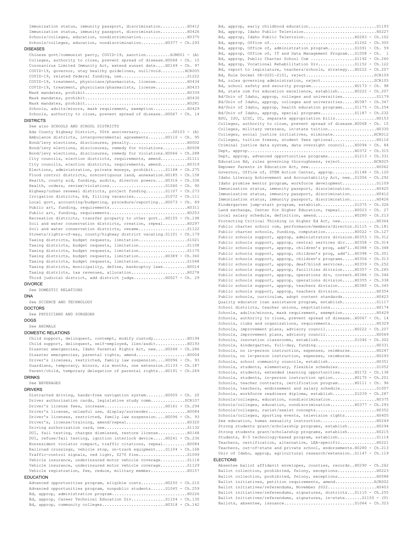Immunization status, immunity passport, discrimination...........H0412 Immunization status, immunity passport, discrimination...........H0426 Schools/colleges, education, nondiscrimination...................H0375 Schools/colleges, education, nondiscrimination..........H0377 - Ch.293

# DISEASES

| Chinese qovt/communist party, COVID-19, sanctionHJM001 - (A)            |
|-------------------------------------------------------------------------|
| Colleges, authority to close, prevent spread of disease. H0068 - Ch. 15 |
| Coronavirus Limited Immunity Act, extend sunset date H0149 - Ch. 97     |
| COVID-19, qovernor, stay healthy quidelines, null/voidHCR005            |
|                                                                         |
| COVID-19, treatment, physicians/pharmacists, license H0434              |
| COVID-19, treatment, physicians/pharmacists, license H0433              |
|                                                                         |
|                                                                         |
|                                                                         |
| Schools, adults/minors, mask requirement, exemption H0429               |
| Schools, authority to close, prevent spread of diseaseH0067 - Ch. 14    |
|                                                                         |

### DISTRICTS

# See also SCHOOLS AND SCHOOL DISTRICTS

```
Ada County Highway District, 50th anniversary..............SP103 - (A)
Ambulance districts, intergovernmental agreements.......H0110 - Ch. 95
Bond/levy elections, disclosures, penalty........................H0002
Bond/levy elections, disclosures, remedy for violations..........H0008
Bond/levy elections, disclosures, remedy for violations.H0066 - Ch.288
City councils, election districts, requirements, amend...........S1111
City councils, election districts, requirements, amend...........H0319
Elections, administration, private moneys, prohibit.....S1168 - Ch.275
Flood control districts, noncontiguous land, annexation.H0185 - Ch.158
Health, county aid, funding, audits, director powers....H0316 - Ch.336
Health, orders, review/violations..........................S1060 - Ch. 90
Highway/urban renewal districts, project funding........S1107 - Ch.273
Irrigation districts, bd, filling vacancies.............S1072 - Ch.111
Local govt, accounting/budgeting, procedure/reporting...H0073 - Ch. 89
Public art, funding, requirements................................H0311
Public art, funding, requirements................................H0253
Recreation districts, transfer property to other govt...H0155 - Ch.198
Soil and water conservation districts, creation, repeal..........H0297
Soil and water conservation districts, rename....................S1122
Streets/rights-of-way, county/highway district vacating.S1101 - Ch.179
Taxing districts, budget requests, limitation....................S1021
Taxing districts, budget requests, limitation....................S1108
Taxing districts, budget requests, limitation....................S1170
Taxing districts, budget requests, limitation...........H0389 - Ch.360
Taxing districts, budget requests, limitation......................S1048
Taxing districts, municipality, define, bankruptcy laws..........H0014
Taxing districts, tax revenues, allocation............................H0278
Third judicial district, add district judge.............H0027 - Ch. 29
```
# DIVORCE

DNA

See DOMESTIC RELATIONS

### See SCIENCE AND TECHNOLOGY

DOCTORS

See PHYSICIANS AND SURGEONS

## DOGS

See ANIMALS

# DOMESTIC RELATIONS

Child support, delinquent, contempt, modify custody..............H0194 Child support, delinquent, self-employed, lien/audit.............H0193 Disaster emergencies, Idaho Parental Rights Act, new....H0246 - Ch.286 Disaster emergencies, parental rights, amend.....................H0004 Driver's licenses, restricted, family law suspension....H0096 - Ch. 93 Guardians, temporary, minors, six months, one extension.S1133 - Ch.187 Parent/child, temporary delegation of parental rights...H0191 - Ch.269

## DRINKS

See BEVERAGES

# DRIVERS

```
Distracted driving, hands-free navigation system........H0005 - Ch. 20
Driver authorization cards, legislative study comm..............SCR107
Driver's license fees, increase.........................H0161 - Ch.294
Driver's license, unlawful use, display/surrender................H0084
Driver's licenses, restricted, family law suspension....H0096 - Ch. 93
Driver's, license/training, amend/repeal.........................H0320
Driving authorization card, new..................................S1132
DUI, fail testing, charges dismissed, restore license............H0148
DUI, refuse/fail testing, ignition interlock device.....H0241 - Ch.236
Nonresident violator compact, traffic citations, repeal..........H0084
Railroad crossings, vehicle stop, on-track equipment....S1104 - Ch.168
Traffic-control signals, red light, $270 fine....................S1099
Vehicle insurance, underinsured motor vehicle coverage...........S1118
Vehicle insurance, underinsured motor vehicle coverage...........S1129
Vehicle registration, fee, reduce, military member.......................
```
# EDUCATION

|  |  | Advanced opportunities program, eligible costsH0250 - Ch.210     |  |  |
|--|--|------------------------------------------------------------------|--|--|
|  |  | Advanced opportunities program, nonpublic studentsS1045 - Ch.259 |  |  |
|  |  |                                                                  |  |  |
|  |  | Bd, approp, Career Technical Education DivS1154 - Ch.130         |  |  |
|  |  |                                                                  |  |  |
|  |  |                                                                  |  |  |

Bd, approp, early childhood education............................S1193 Bd, approp, Idaho Public Television..............................H0227 Bd, approp, Idaho Public Television.....................H0283 - Ch.102 Bd, approp, Office of...................................S1202 - Ch.305 Bd, approp, Office of, administration program...........S1091 - Ch. 59 Bd, approp, Office of, IT and Data Management Program...S1008 - Ch. 1 Bd, approp, Public Charter School Com ..................S1192 - Ch.260 Bd, approp, Vocational Rehabilitation Div...............S1152 - Ch.122 Bd, report to legislature, teachers/schools, strategy...H0222 - Ch.207 Bd, Rule Docket 08-0201-2101, reject............................SCR109 Bd, rules governing administration, reject......................SCR105 Bd, school safety and security program...................H0173 - Ch. 98 Bd, state com for education excellence, establish.......H0222 - Ch.207 Bd/Univ of Idaho, approp, colleges and universities..............S1179 Bd/Univ of Idaho, approp, colleges and universities.....H0387 - Ch.347 Bd/Univ of Idaho, approp, health education programs.....S1175 - Ch.254 Bd/Univ of Idaho, approp, special programs..............S1187 - Ch.232 BSU, ISU, LCSC, UI, separate appropriation bills.................H0153 Colleges, authority to close, prevent spread of disease.H0068 - Ch. 15 Colleges, military veterans, in-state tuition....................H0330 Colleges, social justice initiatives, eliminate.................HCR012 Colleges, tuition freeze, student fees optional..................H0116 Criminal justice data system, data oversight council....H0094 - Ch. 84 Dept, approp............................................H0372 - Ch.315 Dept, approp, advanced opportunities programs...........S1213 - Ch.331 Education Bd, rules governing thoroughness, reject..............HCR025 Empower Parents in Education Act, new............................H0062 Governor, Office of, STEM Action Center, approp.........S1148 - Ch.120 Idaho Literacy Achievement and Accountability Act, new..S1006 - Ch.292 Idaho promise mentor program, workforce development..............S1109 Immunization status, immunity passport, discrimination...........H0425 Immunization status, immunity passport, discrimination...........H0412 Immunization status, immunity passport, discrimination...........H0426 Kindergarten jump-start program, establish...............S1075 - Ch.326 Land exchange, Center for Higher Education, repeal......H0023 - Ch. 27 Local salary schedule, definition, amend................H0280 - Ch.213 Protecting Critical Thinking in Higher Ed Act, new...............H0364 Public charter school com, performance/members/director.S1115 - Ch.181 Public charter schools, funding, computation............H0022 - Ch.127 Public schools support, approp, administrators division.H0353 - Ch.312 Public schools support, approp, central services div....H0358 - Ch.314 Public schools support, approp, children's prog, add'l..H0388 - Ch.348 Public schools support, approp, children's prog, add'l..H0398 - Ch.351 Public schools support, approp, children's programs.....H0356 - Ch.313 Public schools support, approp, deaf/blind services.....H0359 - Ch.252 Public schools support, approp, facilities division.....H0357 - Ch.265 Public schools support, approp, operations div, correct.H0386 - Ch.346 Public schools support, approp, operations division..... H0355 - Ch.338 Public schools support, approp, teachers division.......H0385 - Ch.345 Public schools support, approp, teachers division................H0354 Public schools, curriculum, adopt content standards..............H0423 Quality educator loan assistance program, establish..............S1117 School districts, teacher unions, negotiations...................H0174 Schools, adults/minors, mask requirement, exemption..............H0429 Schools, authority to close, prevent spread of disease..H0067 - Ch. 14 Schools, clubs and organizations, requirements........................... H0329 Schools, improvement plans, advisory council............H0222 - Ch.207 Schools, improvement plans, advisory council.....................H0069 Schools, innovation classrooms, establish..................S1046 - Ch.302 Schools, kindergarten, full-day, funding.........................H0331 Schools, no in-person instruction, expenses, reimburse...........H0247 Schools, no in-person instruction, expenses, reimburse...........H0293 Schools, school community councils, establish....................H0351 Schools, students, elementary, flexible schedules................S1052 Schools, students, extended learning opportunities......H0172 - Ch.138 Schools, students, in-person instruction option.........H0175 - Ch.201 Schools, teacher contracts, certification program.......H0111 - Ch. 96 Schools, teachers, endorsement and salary schedule..................S1007 Schools, workforce readiness diploma, establish.........S1039 - Ch.287 Schools/colleges, education, nondiscrimination...................H0375 Schools/colleges, education, nondiscrimination..........H0377 - Ch.293 Schools/colleges, racist/sexist concepts.........................H0352 Schools/colleges, sporting events, television rights.............H0405 Sex education, human sexuality instruction.......................H0249 Strong students grant/scholarship programs, establish............H0294 Strong students grant/scholarship programs, establish............H0215 Students, K-3 technology-based program, establish...................S1114 Teachers, certification, alternative, LEA-specific...............H0221 Teachers, out-of-state and private school, endorsements.H0280 - Ch.213 Univ of Idaho, approp, agricultural research/extension..S1147 - Ch.119 ELECTIONS

## Absentee ballot affidavit envelopes, counties, records..H0290 - Ch.262 Ballot collection, prohibited, felony, exceptions................H0223 Ballot collection, prohibited, felony, exceptions................H0088 Ballot initiatives, petition requirements, amend................HJR002 Ballot initiatives/referendums, November 2022....................H0403 Ballot initiatives/referendums, signatures, districts...S1110 - Ch.255 Ballot initiatives/referendums, signatures, in-state.......S1150 - (V) Ballots, absentee, issuance.............................S1064 - Ch.323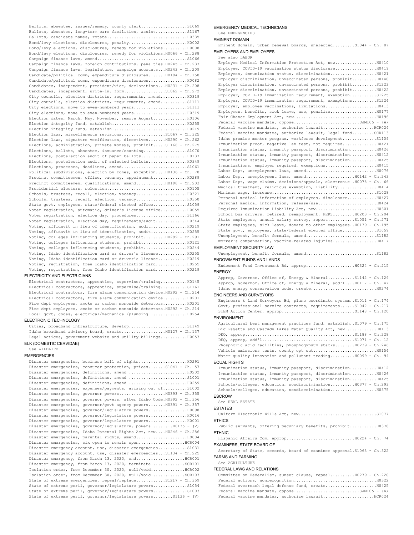Ballots, absentee, issues/remedy, county clerk......................S1069 Ballots, absentee, long-term care facilities, assist...............S1167 Ballots, candidate names, rotate.................................H0335 Bond/levy elections, disclosures, penalty........................H0002 Bond/levy elections, disclosures, remedy for violations..........H0008 Bond/levy elections, disclosures, remedy for violations.H0066 - Ch.288 Campaign finance laws, amend.....................................S1066 Campaign finance laws, foreign contributions, penalties.H0245 - Ch.237 Campaign finance laws, legislature, campaign accounts...H0243 - Ch.209 Candidate/political comm, expenditure disclosures.......H0104 - Ch.150 Candidate/political comm, expenditure disclosures................H0082 Candidates, independent, president/vice, declarations...H0231 - Ch.208 Candidates, independent, write-in, form...................S1062 - Ch.272 City councils, election districts, requirements, amend...........H0319 City councils, election districts, requirements, amend...........S1111 City elections, move to even-numbered years.........................S1111 City elections, move to even-numbered years......................H0319 Election dates, March, May, November, remove August................. H0106 Election integrity fund, establish...............................H0255 Election integrity fund, establish...............................H0219 Election laws, miscellaneous revisions...................S1067 - Ch.325 Election laws, signature verification, directives.......H0290 - Ch.262 Elections, administration, private moneys, prohibit.....S1168 - Ch.275 Elections, ballots, absentee, issuance/counting.................................. Elections, postelection audit of paper ballots...................H0137 Elections, postelection audit of selected ballots................H0349 Elections, processes, deadlines, amend.................................S1061 Political subdivisions, election by zones, exception....H0136 - Ch. 70 Precinct committeemen, office, vacancy, appointment................ H0289 Precinct committeemen, qualifications, amend............H0198 - Ch.203 Presidential electors, selection.................................H0105 Schools, trustees, recall, election, vacancy.....................H0321 Schools, trustees, recall, election, vacancy.....................H0350 State govt, employees, state/federal elected office..............S1059 Voter registration, automatic, driver's license office...........H0055 Voter registration, election day, procedures.....................S1166 Voter registration, election day, requirements/audit.............H0344 Voting, affidavit in lieu of identification, audit...............H0219 Voting, affidavit in lieu of identification, audit...............H0255 Voting, colleges influencing students, prohibit.........H0299 - Ch.291 Voting, colleges influencing students, prohibit..................H0121 Voting, colleges influencing students, prohibit..................H0244 Voting, Idaho identification card or driver's license............H0255 Voting, Idaho identification card or driver's license............H0219 Voting, registration, free Idaho identification card.............H0255 Voting, registration, free Idaho identification card.............H0219

# ELECTRICITY AND ELECTRICIANS

Electrical contractors, apprentice, supervise/training...........H0145 Electrical contractors, apprentice, supervise/training............S1161 Electrical contractors, fire alarm communication device.H0292 - Ch.214 Electrical contractors, fire alarm communication device..........H0201 Fire dept employees, smoke or carbon monoxide detectors..........H0201 Fire dept employees, smoke or carbon monoxide detectors.H0292 - Ch.214 Local govt, codes, electrical/mechanical/plumbing ...............H0254

## ELECTRONIC TECHNOLOGY

Cities, broadband infrastructure, develop...........................S1149 Idaho broadband advisory board, create...................H0127 - Ch.137 Legal notices, government website and utility billings...........H0053

# ELK (DOMESTIC CERVIDAE)

See WILDLIFE

# **EMERGENCIES**

| Disaster emergencies, consumer protection, prices S1041 - Ch. 57       |
|------------------------------------------------------------------------|
|                                                                        |
|                                                                        |
| Disaster emergencies, definitions, amend  H0259                        |
| Disaster emergencies, expenses/payments, arising out ofS1002           |
| Disaster emergencies, governor powersH0393 - Ch.355                    |
| Disaster emergencies, governor powers, alter Idaho Code.H0392 - Ch.356 |
| Disaster emergencies, governor/govt agency powersH0391 - Ch.357        |
|                                                                        |
| Disaster emergencies, governor/legislature powersH0016                 |
| Disaster emergencies, governor/legislature powersH0001                 |
| Disaster emergencies, governor/legislature, powers H0135 - (V)         |
| Disaster emergencies, Idaho Parental Rights Act, new H0246 - Ch.286    |
|                                                                        |
| Disaster emergencies, six open to remain openRCR004                    |
| Disaster emergency account, use, disaster emergenciesS1031             |
| Disaster emergency account, use, disaster emergencies S1134 - Ch.225   |
| Disaster emergency, from March 13, 2020, endHCR001                     |
| Disaster emergency, from March 13, 2020, terminateSCR101               |
| Isolation order, from December 30, 2020, null/voidHCR002               |
| Isolation order, from December 30, 2020, null/voidSCR103               |
| State of extreme emergencies, repeal/replaceS1217 - Ch.359             |
| State of extreme peril, governor/legislature powersS1054               |
| State of extreme peril, governor/legislature powersS1003               |
| State of extreme peril, governor/legislature powersS1136 - (V)         |

# EMERGENCY MEDICAL TECHNICIANS

See EMERGENCIES EMINENT DOMAIN

Eminent domain, urban renewal boards, unelected.........S1044 - Ch. 87 EMPLOYERS AND EMPLOYEES

See also LABOR

| see aiso LABOR                                                                                                               |  |
|------------------------------------------------------------------------------------------------------------------------------|--|
| Employee Medical Information Protection Act, new H0410                                                                       |  |
| Employee, COVID-19 vaccination status disclosure H0419                                                                       |  |
| Employees, immunization status, discrimination H0421                                                                         |  |
| Employer discrimination, unvaccinated persons, prohibit H0140                                                                |  |
| Employer discrimination, unvaccinated persons, prohibitS1223                                                                 |  |
| Employer discrimination, unvaccinated persons, prohibit H0422                                                                |  |
| Employer, COVID-19 immunization requirement, exemption S1225<br>Employer, COVID-19 immunization requirement, exemptionsS1224 |  |
|                                                                                                                              |  |
|                                                                                                                              |  |
|                                                                                                                              |  |
| Federal vaccine mandate, opposeSJM105 - (A)                                                                                  |  |
| Federal vaccine mandates, authorize lawsuitRCR024                                                                            |  |
| Federal vaccine mandates, authorize lawsuit, legal fundSCR113                                                                |  |
| Idaho promise mentor program, workforce developmentS1109                                                                     |  |
| Immunization proof, negative lab test, not required H0421                                                                    |  |
| Immunization status, immunity passport, discriminationH0426                                                                  |  |
| Immunization status, immunity passport, discriminationH0412                                                                  |  |
| Immunization status, immunity passport, discriminationH0425                                                                  |  |
|                                                                                                                              |  |
|                                                                                                                              |  |
| Labor Dept, unemployment laws, amend10142 - Ch.243                                                                           |  |
| Labor Dept, wage claims, decisions/appeals, electronic .H0075 - Ch. 66                                                       |  |
| Medical treatment, religious exemption, liability H0414                                                                      |  |
| Personal medical information of employees, disclosure H0427                                                                  |  |
|                                                                                                                              |  |
|                                                                                                                              |  |
| School bus drivers, retired, reemployment, PERSI H0203 - Ch.204                                                              |  |
| State employees, annual salary survey, reportS1051 - Ch.271                                                                  |  |
| State employees, sick leave, donate to other employees H0139 - Ch.195                                                        |  |
| State govt, employees, state/federal elected officeS1059                                                                     |  |
|                                                                                                                              |  |
| Worker's compensation, vaccine-related injuriesH0417                                                                         |  |
| <b>EMPLOYMENT SECURITY LAW</b>                                                                                               |  |
|                                                                                                                              |  |
| ENDOWMENT FUNDS AND LANDS                                                                                                    |  |
| Endowment Fund Investment Bd, approp H0324 - Ch.215                                                                          |  |
| ENERGY                                                                                                                       |  |
| Approp, Governor, Office of, Energy & MineralS1142 - Ch.129                                                                  |  |
| Approp, Governor, Office of, Energy & Mineral, add'l H0117 - Ch. 47                                                          |  |
|                                                                                                                              |  |
| ENGINEERS AND SURVEYORS                                                                                                      |  |
| Engineers & Land Surveyors Bd, plane coordinate system. S1011 - Ch.174                                                       |  |
| Govt, professional service contracts, requirements S1042 - Ch.217                                                            |  |
|                                                                                                                              |  |
| ENVIRONMENT                                                                                                                  |  |
| Agricultural best management practices fund, establishS1079 - Ch.175                                                         |  |
| Big Payette and Cascade Lakes Water Quality Act, newH0113                                                                    |  |
|                                                                                                                              |  |
|                                                                                                                              |  |
| Phosphoric acid facilities, phosphogypsum stacks H0239 - Ch.246                                                              |  |
|                                                                                                                              |  |
| Water quality innovation and pollutant tradingH0099 - Ch. 94                                                                 |  |
| <b>EQUAL RIGHTS</b>                                                                                                          |  |
| Immunization status, immunity passport, discriminationH0412                                                                  |  |
| Immunization status, immunity passport, discrimination H0426                                                                 |  |
| Immunization status, immunity passport, discrimination H0425                                                                 |  |
| Schools/colleges, education, nondiscrimination H0377 - Ch.293<br>Schools/colleges, education, nondiscrimination              |  |
|                                                                                                                              |  |
| ESCROW<br>See REAL ESTATE                                                                                                    |  |
|                                                                                                                              |  |
| <b>ESTATES</b>                                                                                                               |  |
|                                                                                                                              |  |
| ETHICS                                                                                                                       |  |
| Public servants, offering pecuniary benefits, prohibit H0378                                                                 |  |
| ETHNIC                                                                                                                       |  |
|                                                                                                                              |  |
| EXAMINERS, STATE BOARD OF                                                                                                    |  |
| Secretary of State, records, board of examiner approval. S1063 - Ch.322                                                      |  |
| FARMS AND FARMING                                                                                                            |  |
| See AGRICULTURE                                                                                                              |  |
| FEDERAL LAWS AND RELATIONS                                                                                                   |  |
| Committee on Federalism, sunset clause, repeal H0279 - Ch.220                                                                |  |
| Federal actions, nonrecognition<br>$\ldots \ldots$ . $H0322$                                                                 |  |

Federal overreach legal defense fund, create.....................H0425 Federal vaccine mandate, oppose.............................SJM105 - (A) Federal vaccine mandates, authorize lawsuit.....................HCR024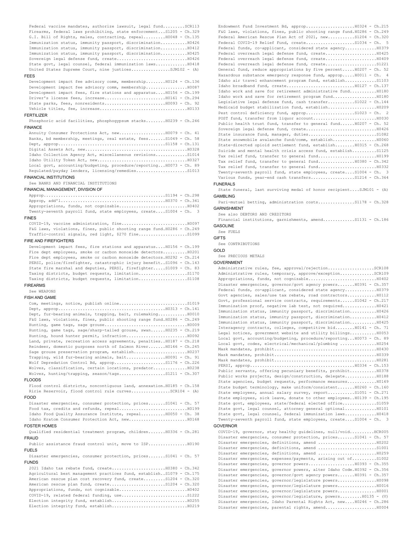Federal vaccine mandates, authorize lawsuit, legal fund.........SCR113 Firearms, federal laws prohibiting, state enforcement...S1205 - Ch.329 G.I. Bill of Rights, males, contracting, repeal.........H0048 - Ch.135 Immunization status, immunity passport, discrimination...........H0426 Immunization status, immunity passport, discrimination...........H0412 Immunization status, immunity passport, discrimination...........H0425 Sovereign legal defense fund, create.............................H0426 State govt, legal counsel, federal immunization laws.............H0418

## FEES

United States Supreme Court, nine justices................SJM102 - (A) Development impact fee advisory comm, membership........H0124 - Ch.136 Development impact fee advisory comm, membership.................H0087 Development impact fees, fire stations and apparatus....H0156 - Ch.199 Driver's license fees, increase.........................H0161 - Ch.294 State parks, fees, nonresidents.........................H0093 - Ch. 92

## Vehicle titles, fee, increase....................................H0133 FERTILIZER

Phosphoric acid facilities, phosphogypsum stacks........H0239 - Ch.246 **FINANCE** 

Annuity Consumer Protections Act, new...................H0079 - Ch. 41 Banks, bd membership, meetings, real estate, fees.......S1049 - Ch. 58 Dept, approp............................................S1158 - Ch.131 Digital Assets Act, new..........................................H0328 Idaho Collection Agency Act, miscellaneous revisions.............S1014 Idaho Utility Token Act, new.....................................H0327 Local govt, accounting/budgeting, procedure/reporting...H0073 - Ch. 89 Regulated/payday lenders, licensing/remedies.....................S1013

### FINANCIAL INSTITUTIONS

See BANKS AND FINANCIAL INSTITUTIONS

## FINANCIAL MANAGEMENT, DIVISION OF

Approp..................................................S1194 - Ch.298 Approp, add'l...........................................H0370 - Ch.341 Appropriations, funds, not cognizable............................H0402 Twenty-seventh payroll fund, state employees, create....S1004 - Ch. 3

## FINES

COVID-19, vaccine administration, fine...........................H0097 F&G laws, violations, fines, public shooting range fund.H0286 - Ch.249 Traffic-control signals, red light, \$270 fine....................S1099

## FIRE AND FIREFIGHTERS

Development impact fees, fire stations and apparatus....H0156 - Ch.199 Fire dept employees, smoke or carbon monoxide detectors........... H0201 Fire dept employees, smoke or carbon monoxide detectors.H0292 - Ch.214 PERSI, police/firefighter, catastrophic injury benefit..S1096 - Ch.143 State fire marshal and deputies, PERSI, firefighter.....S1009 - Ch. 83 Taxing districts, budget requests, limitation....................S1170 Taxing districts, budget requests, limitation....................S1108

# FIREARMS

See WEAPONS

# FISH AND GAME

Com, meetings, notice, publish online............................S1019 Dept, approp............................................H0313 - Ch.141 Dept, fur-bearing animals, trapping, bait, rulemaking............H0010 F&G laws, violations, fines, public shooting range fund.H0286 - Ch.249 Hunting, game tags, sage grouse..................................H0009 Hunting, game tags, sage/sharp-tailed grouse, swan......H0235 - Ch.219 Hunting, hound hunter permit, infraction.........................H0092 Land, private, recreation access agreements, penalties..H0187 - Ch.218 Reindeer, domestic purposes north of Salmon River.......H0166 - Ch.245 Sage grouse preservation program, establish......................H0237 Trapping, wild fur-bearing animals, bait................H0091 - Ch. 91 Wolf Depredation Control Bd, approp.....................S1176 - Ch.226 Wolves, classification, certain locations, predator..............H0238 Wolves, hunting/trapping, season/tags...................S1211 - Ch.307

# FLOODS

Flood control districts, noncontiguous land, annexation.H0185 - Ch.158 Ririe Reservoir, flood control rule curves...............SCR104 - (A)

### FOOD

Disaster emergencies, consumer protection, prices.......S1041 - Ch. 57 Food tax, credits and refunds, repeal............................H0199 Idaho Food Quality Assurance Institute, repeal..........H0050 - Ch. 38 Idaho Kratom Consumer Protection Act, new........................H0168 FOSTER HOMES

Qualified residential treatment program, children.......H0336 - Ch.281 **FRAUD** 

Public assistance fraud control unit, move to ISP................H0190 FUELS

Disaster emergencies, consumer protection, prices.......S1041 - Ch. 57 FUNDS

2021 Idaho tax rebate fund, create......................H0380 - Ch.342 Agricultural best management practices fund, establish..S1079 - Ch.175 American rescue plan cost recovery fund, create.........S1204 - Ch.320 American rescue plan fund, create.........................S1204 - Ch.320 Appropriations, funds, not cognizable............................H0402 COVID-19, related federal funding, use................................S1222 Election integrity fund, establish...............................H0255 Election integrity fund, establish...............................H0219

Endowment Fund Investment Bd, approp....................H0324 - Ch.215 F&G laws, violations, fines, public shooting range fund.H0286 - Ch.249 Federal American Rescue Plan Act of 2021, new...........S1204 - Ch.320 Federal COVID-19 Relief Fund, create......................S1034 - Ch. Federal funds, co-applicant, considered state agency............................ Federal overreach legal defense fund, create.....................H0425 Federal overreach legal defense fund, create.....................H0409 Federal overreach legal defense fund, create.....................S1221 General fund, reduce appropriations by five percent.....H0207 - Ch. 52 Hazardous substance emergency response fund, approp.....H0011 - Ch. 4 Idaho air travel enhancement program fund, establish.............S1103 Idaho broadband fund, create............................H0127 - Ch.137 Idaho work and save for retirement administrative fund...........H0180 Idaho work and save for retirement program fund..................H0180 Legislative legal defense fund, cash transfer...........S1022 - Ch.144 Medicaid budget stabilization fund, establish....................H0209 Pest control deficiency fund, approp....................S1023 - Ch. 2 POST fund, transfer from liquor account..........................H0030 Public health trust fund, transfer to general fund......H0207 - Ch. 52 Sovereign legal defense fund, create.............................H0426 State insurance fund, manager, duties............................S1082 State snowmobile avalanche fund/comm, establish..................H0060 State-directed opioid settlement fund, establish........H0315 - Ch.268 Suicide and mental health crisis access fund, establish..........S1125 Tax relief fund, transfer to general fund........................H0199 Tax relief fund, transfer to general fund...............H0380 - Ch.342 Tax relief fund, transfer to general fund........................H0332 Twenty-seventh payroll fund, state employees, create....S1004 - Ch. 3 Various funds, year-end cash transfers..................S1214 - Ch.364

### FUNERALS

State funeral, last surviving medal of honor recipient.... $S_JM101 - (A)$ GAMBLING

Pari-mutuel betting, administration costs................S1178 - Ch.328 GARNISHMENT

See also DEBTORS AND CREDITORS

Financial institutions, garnishments, amend..............S1131 - Ch.186

# GASOLINE

See FUELS

# GIFTS

See CONTRIBUTIONS

## GOLD

See PRECIOUS METALS

### GOVERNMENT

Administrative rules, fee, approval/rejection....................SCR108 Administrative rules, temporary, approve/exception..............SCR109 Appropriations, funds, not cognizable............................H0402 Disaster emergencies, governor/govt agency powers.......H0391 - Ch.357 Federal funds, co-applicant, considered state agency.............H0379 Govt agencies, sales/use tax rebate, road contractors............H0112 Govt, professional service contracts, requirements......S1042 - Ch.217 Immunization proof, negative lab test, not required..............H0421 Immunization status, immunity passport, discrimination...........H0426 Immunization status, immunity passport, discrimination...........H0412 Immunization status, immunity passport, discrimination...........H0425 Interagency contracts, colleges, competitive bid........H0141 - Ch. 71 Legal notices, government website and utility billings...........H0053 Local govt, accounting/budgeting, procedure/reporting...H0073 - Ch. 89 Local govt, codes, electrical/mechanical/plumbing ................H0254 Mask mandates, prohibit..........................................H0430 Mask mandates, prohibit..........................................H0339 Mask mandates, prohibit..........................................H0281 PERSI, approp...........................................H0334 - Ch.153 Public servants, offering pecuniary benefits, prohibit...........H0378 Public works projects, design/construction, delegate.............H0188 State agencies, budget requests, performance measures............H0169 State budget terminology, make uniform/consistent.......H0260 - Ch.160 State employees, annual salary survey, report...........S1051 - Ch.271 State employees, sick leave, donate to other employees..H0139 - Ch.195 State govt, employees, state/federal elected office..............S1059 State govt, legal counsel, attorney general optional.............H0101 State govt, legal counsel, federal immunization laws.............H0418 Twenty-seventh payroll fund, state employees, create....S1004 - Ch. 3

# GOVERNOR

COVID-19, governor, stay healthy guidelines, null/void..........HCR005 Disaster emergencies, consumer protection, prices.......S1041 - Ch. 57 Disaster emergencies, definitions, amend ........................H0202 Disaster emergencies, definitions, amend ........................S1001 Disaster emergencies, definitions, amend ........................H0259 Disaster emergencies, expenses/payments, arising out of..........S1002 Disaster emergencies, governor powers...................H0393 - Ch.355 Disaster emergencies, governor powers, alter Idaho Code.H0392 - Ch.356 Disaster emergencies, governor/govt agency powers.......H0391 - Ch.357 Disaster emergencies, governor/legislature powers................H0098 Disaster emergencies, governor/legislature powers................H0016 Disaster emergencies, governor/legislature powers................H0001 Disaster emergencies, governor/legislature, powers.........H0135 - (V) Disaster emergencies, Idaho Parental Rights Act, new....H0246 - Ch.286 Disaster emergencies, parental rights, amend.....................H0004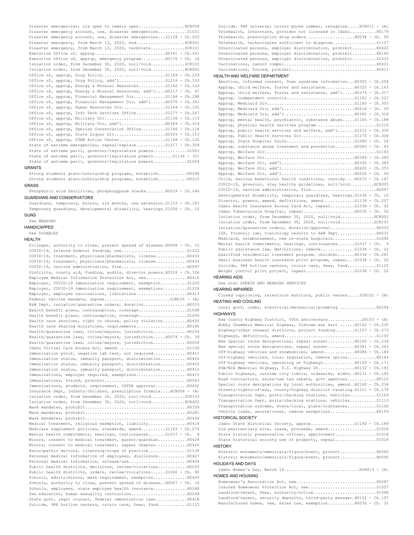Disaster emergencies, six open to remain open...................HCR004 Disaster emergency account, use, disaster emergencies............S1031 Disaster emergency account, use, disaster emergencies...S1134 - Ch.225 Disaster emergency, from March 13, 2020, end.......................HCR001 Disaster emergency, from March 13, 2020, terminate..............SCR101 Executive Office of, approp.............................H0341 - Ch.241 Executive Office of, approp, emergency program..........H0176 - Ch. 16 Isolation order, from December 30, 2020, null/void..............SCR103 Isolation order, from December 30, 2020, null/void..............HCR002 Office of, approp, Drug Policy.............................S1189 - Ch.229 Office of, approp, Drug Policy, add'l.....................S1216 - Ch.333 Office of, approp, Energy & Mineral Resources...........S1142 - Ch.129 Office of, approp, Energy & Mineral Resources, add'l....H0117 - Ch. 47 Office of, approp, Financial Management Div.............S1194 - Ch.298 Office of, approp, Financial Management Div, add'l......H0370 - Ch.341 Office of, approp, Human Resources Div..................S1164 - Ch.155 Office of, approp, Info Tech Services Office............S1177 - Ch.267 Office of, approp, Military Div...........................S1138 - Ch.113 Office of, approp, Military Div, add'l......................... H0384 - Ch.319 Office of, approp, Species Conservation Office..........S1146 - Ch.118 Office of, approp, State Liquor Div.....................H0303 - Ch.103 Office of, approp, STEM Action Center...................S1148 - Ch.120 State of extreme emergencies, repeal/replace............S1217 - Ch.359 State of extreme peril, governor/legislature powers..............S1003 State of extreme peril, governor/legislature powers........S1136 - (V) State of extreme peril, governor/legislature powers..............S1054

## GRANTS

Strong students grant/scholarship programs, establish............H0294 Strong students grant/scholarship programs, establish............H0215 GRASS

Phosphoric acid facilities, phosphogypsum stacks........H0239 - Ch.246 GUARDIANS AND CONSERVATORS

Guardians, temporary, minors, six months, one extension.S1133 - Ch.187 Temporary guardians, developmental disability, hearings.S1036 - Ch. 10 GUNS

See WEAPONS HANDICAPPED

## See DISABLED

| HEALTH                                                                  |
|-------------------------------------------------------------------------|
| Colleges, authority to close, prevent spread of disease. H0068 - Ch. 15 |
|                                                                         |
| COVID-19, treatment, physicians/pharmacists, license H0433              |
| COVID-19, treatment, physicians/pharmacists, license H0434              |
|                                                                         |
| Districts, county aid, funding, audits, director powers. H0316 - Ch.336 |
| Employee Medical Information Protection Act, new H0410                  |
| Employer, COVID-19 immunization requirement, exemptionS1225             |
| Employer, COVID-19 immunization requirement, exemptions S1224           |
|                                                                         |
|                                                                         |
| H&W Dept, isolation/quarantine orders, duration H0033                   |
|                                                                         |
| Health benefit plans, contraception, coverage51050                      |
| Health care services, right to choose, policy violation H0435           |
| Health care sharing ministries, requirementsH0146                       |
| Health/quarantine laws, cities/mayors, jurisdiction H0234               |
| Health/quarantine laws, cities/mayors, jurisdiction H0074 - Ch. 39      |
| Health/quarantine laws, cities/mayors, jurisdiction H0034               |
|                                                                         |
| Immunization proof, negative lab test, not required H0421               |
| Immunization status, immunity passport, discrimination H0426            |
| Immunization status, immunity passport, discrimination H0425            |
| Immunization status, immunity passport, discrimination H0412            |
| Immunizations, employer required, exemptions10415                       |
|                                                                         |
| Immunizations, students, requirement, USFDA approval H0432              |
| Insurance Dept, infants/children, prescription formula HCR006 - (A)     |
| Isolation order, from December 30, 2020, null/voidSCR103                |
| Isolation order, from December 30, 2020, null/void HCR002               |
|                                                                         |
|                                                                         |
|                                                                         |
| Medical treatment, religious exemption, liability H0414                 |
| Medicare supplement policies, standards, amendS1143 - Ch.274            |
| Mental health commitments, hearings, continuancesS1037 - Ch. 9          |
| Minors, consent to medical treatment, parent/guardianH0428              |
| Minors, consent to medical treatment, repeal chapter H0420              |
| Naturopathic doctors, licensing/scope of practice                       |
| Personal medical information of employees, disclosure H0427             |
| Personal medical information, release/use10424                          |
| Public health districts, decisions, review/violations H0033             |
| Public health districts, orders, review/violations S1060 - Ch. 90       |
| Schools, adults/minors, mask requirement, exemption H0429               |
| Schools, authority to close, prevent spread of disease H0067 - Ch. 14   |
| Schools, employees, state employee health insurance H0248               |
| Sex education, human sexuality instruction H0249                        |
| State govt, legal counsel, federal immunization laws H0418              |
| Suicide, 988 hotline centers, crisis care, fees, fundS1125              |
|                                                                         |

Suicide, 988 universal crisis phone number, recognize.....HCR011 - (A) Telehealth, interstate, provider not licensed in Idaho...........H0179 Telehealth, prescription drug orders........................ H0038 - Ch. 55 Telehealth, technologies sufficient to diagnose..................S1127 Unvaccinated persons, employer discrimination, prohibit..........H0422 Unvaccinated persons, employer discrimination, prohibit..........H0140 Unvaccinated persons, employer discrimination, prohibit..........S1223 Vaccinations, cannot compel......................................H0431 Vaccinations, forced, prohibit...................................H0411

## HEALTH AND WELFARE DEPARTMENT

| Abortion, informed consent, Down syndrome information H0302 - Ch.258    |  |
|-------------------------------------------------------------------------|--|
| Approp, child welfare, foster and assistanceH0325 - Ch.163              |  |
| Approp, child welfare, foster and assistance, add'l H0374 - Ch.317      |  |
|                                                                         |  |
|                                                                         |  |
|                                                                         |  |
|                                                                         |  |
| Approp, mental health, psychiatric, substance abuseS1165 - Ch.188       |  |
|                                                                         |  |
| Approp, public health services and welfare, add'1 S1212 - Ch.330        |  |
| Approp, Public Health Services DivS1173 - Ch.308                        |  |
|                                                                         |  |
| Approp, substance abuse treatment and prevention H0083 - Ch. 43         |  |
|                                                                         |  |
|                                                                         |  |
|                                                                         |  |
|                                                                         |  |
|                                                                         |  |
| Child, serious behavioral health conditions, custody H0233 - Ch.147     |  |
| COVID-19, governor, stay healthy guidelines, null/void HCR005           |  |
|                                                                         |  |
| Developmental disability, temporary quardians, hearings. S1036 - Ch. 10 |  |
| Director, powers, amend, definitions, amendS1139 - Ch.257               |  |
| Idaho Health Insurance Access Card Act, repeal S1038 - Ch. 22           |  |
|                                                                         |  |
| Isolation order, from December 30, 2020, null/voidHCR002                |  |
| Isolation order, from December 30, 2020, null/voidSCR103                |  |
|                                                                         |  |
| ISP, forensic lab, toxicology results to H&W DeptH0031                  |  |
| Medicaid, reimbursement, new in-state hospitalsS1092                    |  |
| Mental health commitments, hearings, continuancesS1037 - Ch. 9          |  |
| Public assistance law, definitions, remove31038 - Ch. 22                |  |
| Qualified residential treatment program, children H0336 - Ch.281        |  |
| Small business health insurance pilot program, repeal S1038 - Ch. 22    |  |
| Suicide, 988 hotline centers, crisis care, fees, fund S1125             |  |
| Weight control pilot project, repealS1038 - Ch. 22                      |  |

### HEARING AIDS

See also SPEECH AND HEARING SERVICES

HEARING IMPAIRED

Closed captioning, television monitors, public venues.....SCR102 - (A) HEATING AND COOLING

Local govt, codes, electrical/mechanical/plumbing ...............H0254 **HIGHWAYS** 

Ada County Highway District, 50th anniversary..............SP103 - (A) Bobby Chambers Memorial Highway, Vietnam war hero ......H0162 - Ch.235 Highway/urban renewal districts, project funding........S1107 - Ch.273 Highways, definition, amend......................................S1100 New special route designations, repeal sunset...........H0160 - Ch.234 New special route designations, repeal sunset...........H0381 - Ch.343 Off-highway vehicles and snowmobiles, amend.............H0086 - Ch.149 Off-highway vehicles, local regulation, remove option............H0164 Off-highway vehicles, operating on highways.............H0129 - Ch.171 POW/MIA Memorial Highway, U.S. Highway 26...............H0132 - Ch.193 Public highways, outside city limits, sidewalks, width..H0131 - Ch.192 Road contractors, sales/use tax rebate, govt agencies............H0112 Special route designations by local authorities, amend..H0160 - Ch.234 Streets/rights-of-way, county/highway district vacating.S1101 - Ch.179 Transportation Dept, ports/checking stations, vehicles...........S1169 Transportation Dept, ports/checking stations, vehicles...........S1113 Transportation systems, state/local, plans/ordinances............S1106 Vehicle loads, secure/cover, remove exceptions...................H0159

### HISTORICAL SOCIETY

Idaho State Historical Society, approp..................S1180 - Ch.189 Old penitentiary site, lease, proceeds, amend.......................S1018 State historic preservation officer, appointment.................S1018 State historical society use of property, repeal...................S1018 **HISTORY** 

| Historic monuments/memorials/figure/event, protectH0065 |  |
|---------------------------------------------------------|--|
| Historic monuments/memorials/fiqure/event, protectH0090 |  |
| HOLIDAYS AND DAYS                                       |  |
| Idaho Women's Day, March $14$ RCR013 - (A)              |  |

## HOMES AND HOUSING

| <u>IUINLU AND LIUUUINU</u>                                               |  |
|--------------------------------------------------------------------------|--|
|                                                                          |  |
|                                                                          |  |
|                                                                          |  |
| Landlord/tenant, security deposits, third-party manager. H0152 - Ch. 197 |  |
| Manufactured homes, new, sales tax, exemption H0032 - Ch. 31             |  |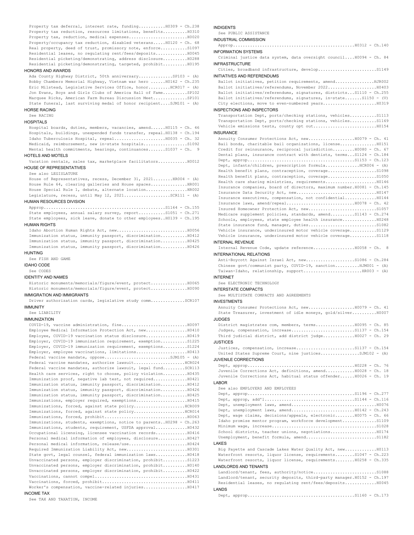Property tax deferral, interest rate, funding...........H0309 - Ch.238 Property tax reduction, resources limitations, benefits..........H0310 Property tax, reduction, medical expenses........................H0020 Property/occupancy tax reduction, disabled veterans.....H0120 - Ch. 68 Real property, deed of trust, promissory note, enforce................... Residential leases, no regulating rent/fees/deposits.............H0045 Residential picketing/demonstrating, address disclosure..........H0288 Residential picketing/demonstrating, targeted, prohibit..........H0195

## HONORS AND AWARDS

Ada County Highway District, 50th anniversary..............SP103 - (A) Bobby Chambers Memorial Highway, Vietnam war hero ......H0162 - Ch.235 Eric Milstead, Legislative Services Office, honor.........HCR017 - (A) Jon Evans, Boys and Girls Clubs of America Hall of Fame..........SP102 Marquee Ricks, American Farm Bureau Discussion Meet..............SP101 State funeral, last surviving medal of honor recipient....SJM101 - (A)

### HORSE RACING

See RACING

# **HOSPITALS**

Hospital boards, duties, members, vacancies, amend......H0115 - Ch. 46 Hospitals, buildings, unexpended funds transfer, repeal.H0138 - Ch.194 Idaho Tuberculosis Hospital, repeal.....................H0035 - Ch. 32 Medicaid, reimbursement, new in-state hospitals..................S1092 Mental health commitments, hearings, continuances.......S1037 - Ch. 9

## HOTELS AND MOTELS

Vacation rentals, sales tax, marketplace facilitators............H0012 HOUSE OF REPRESENTATIVES

# See also LEGISLATURE

House of Representatives, recess, December 31, 2021........HR004 - (A) House Rule 64, clearing galleries and House spaces...............HR001 House Special Rule 1, debate, alternate location.................HR002 Legislature, recess, until May 12, 2021...................SCR111 - (A)

# HUMAN RESOURCES DIVISION

Approp..................................................S1164 - Ch.155 State employees, annual salary survey, report...........S1051 - Ch.271 State employees, sick leave, donate to other employees..H0139 - Ch.195

## HUMAN RIGHTS

Idaho Abortion Human Rights Act, new.............................H0056 Immunization status, immunity passport, discrimination...........H0412 Immunization status, immunity passport, discrimination...........H0425 Immunization status, immunity passport, discrimination...........H0426

# **HUNTING**

See FISH AND GAME

IDAHO CODE

# See CODES

IDENTITY AND NAMES

Historic monuments/memorials/figure/event, protect...............H0065 Historic monuments/memorials/figure/event, protect...............H0090

# IMMIGRATION AND IMMIGRANTS

Driver authorization cards, legislative study comm..............SCR107 IMMUNITY

# See LIABILITY

IMMUNIZATION

| Employee Medical Information Protection Act, new10410                 |
|-----------------------------------------------------------------------|
| Employee, COVID-19 vaccination status disclosure H0419                |
| Employer, COVID-19 immunization requirement, exemptionS1225           |
| Employer, COVID-19 immunization requirement, exemptionsS1224          |
|                                                                       |
| Federal vaccine mandate, oppose5JM105 - $(A)$                         |
| Federal vaccine mandates, authorize lawsuitHCR024                     |
| Federal vaccine mandates, authorize lawsuit, legal fundSCR113         |
| Health care services, right to choose, policy violation H0435         |
| Immunization proof, negative lab test, not required H0421             |
| Immunization status, immunity passport, discrimination H0412          |
| Immunization status, immunity passport, discrimination H0426          |
| Immunization status, immunity passport, discrimination H0425          |
|                                                                       |
|                                                                       |
| Immunizations, forced, against state policyRCR014                     |
|                                                                       |
| Immunizations, students, exemptions, notice to parents H0298 - Ch.263 |
| Immunizations, students, requirement, USFDA approval H0432            |
| Occupational licensing, licensee vaccination recordsH0416             |
| Personal medical information of employees, disclosure H0427           |
|                                                                       |
|                                                                       |
| State govt, legal counsel, federal immunization laws H0418            |
| Unvaccinated persons, employer discrimination, prohibitS1223          |
| Unvaccinated persons, employer discrimination, prohibit H0140         |
| Unvaccinated persons, employer discrimination, prohibit H0422         |
|                                                                       |
|                                                                       |
| Worker's compensation, vaccine-related injuries10417                  |
| OMIT INV                                                              |

# INCOME TAX

See TAX AND TAXATION, INCOME

# INDIGENTS

See PUBLIC ASSISTANCE INDUSTRIAL COMMISSION

Approp..................................................H0312 - Ch.140 INFORMATION SYSTEMS

Criminal justice data system, data oversight council....H0094 - Ch. 84 INFRASTRUCTURE

Cities, broadband infrastructure, develop........................S1149 INITIATIVES AND REFERENDUMS

Ballot initiatives, petition requirements, amend................HJR002 Ballot initiatives/referendums, November 2022....................H0403 Ballot initiatives/referendums, signatures, districts...S1110 - Ch.255 Ballot initiatives/referendums, signatures, in-state.......S1150 - (V) City elections, move to even-numbered years......................H0319

# INSPECTIONS AND INSPECTORS

Transportation Dept, ports/checking stations, vehicles...........S1113 Transportation Dept, ports/checking stations, vehicles...........S1169 Vehicle emissions tests, county opt out..........................H0154

# INSURANCE

| Annuity Consumer Protections Act, new10079 - Ch. 41                      |
|--------------------------------------------------------------------------|
| Bail bonds, charitable bail organizations, license H0151                 |
| Credit for reinsurance, reciprocal jurisdictionH0080 - Ch. 67            |
| Dental plans, insurance contract with dentists, terms S1124 - Ch.184     |
|                                                                          |
| Dept, infants/children, prescription formulaHCR006 - (A)                 |
|                                                                          |
|                                                                          |
|                                                                          |
| Insurance companies, board of directors, maximum number. H0081 - Ch. 145 |
|                                                                          |
| Insurance executives, compensation, not confidential H0144               |
|                                                                          |
|                                                                          |
| Medicare supplement policies, standards, amendS1143 - Ch.274             |
| Schools, employees, state employee health insurance H0248                |
|                                                                          |
| Vehicle insurance, underinsured motor vehicle coverageS1129              |
| Vehicle insurance, underinsured motor vehicle coverageS1118              |

### INTERNAL REVENUE

Internal Revenue Code, update reference.................H0058 - Ch. 8 INTERNATIONAL RELATIONS

## Anti-Boycott Against Israel Act, new....................S1086 - Ch.284 Chinese govt/communist party, COVID-19, sanction..........HJM001 - (A) Taiwan-Idaho, relationship, support...............................HR003 - (A)

INTERNET

See ELECTRONIC TECHNOLOGY

# INTERSTATE COMPACTS

See MULTISTATE COMPACTS AND AGREEMENTS

# INVESTMENTS

| State Treasurer, investment of idle moneys, gold/silverH0007     |  |
|------------------------------------------------------------------|--|
| <b>JUDGES</b>                                                    |  |
| District magistrates com, members, terms10095 - Ch. 85           |  |
|                                                                  |  |
| Third judicial district, add district judgeH0027 - Ch. 29        |  |
| JUSTICES                                                         |  |
|                                                                  |  |
| United States Supreme Court, nine justicesSJM102 - (A)           |  |
| JUVENILE CORRECTIONS                                             |  |
|                                                                  |  |
| Juvenile Corrections Act, definitions, amend H0028 - Ch. 18      |  |
| Juvenile Corrections Act, habitual status offenderH0026 - Ch. 19 |  |
| LABOR                                                            |  |
| See also EMPLOYERS AND EMPLOYEES                                 |  |
|                                                                  |  |
|                                                                  |  |
|                                                                  |  |
|                                                                  |  |
| Dept, wage claims, decisions/appeals, electronicH0075 - Ch. 66   |  |

## LAKES

| <u>LAULU</u>                                                             |
|--------------------------------------------------------------------------|
| Big Payette and Cascade Lakes Water Quality Act, newH0113                |
| Waterfront resorts, liquor license, requirementsS1047 - Ch.223           |
| Waterfront resorts, liquor license, requirementsH0258 - Ch.335           |
| LANDLORDS AND TENANTS                                                    |
|                                                                          |
| Landlord/tenant, security deposits, third-party manager. H0152 - Ch. 197 |
| Residential leases, no requlating rent/fees/depositsH0045                |
|                                                                          |

Idaho promise mentor program, workforce development..............S1109 Minimum wage, increase...........................................S1028 School districts, teacher unions, negotiations...................H0174 Unemployment, benefit formula, amend.............................S1182

LANDS Dept, approp............................................S1160 - Ch.173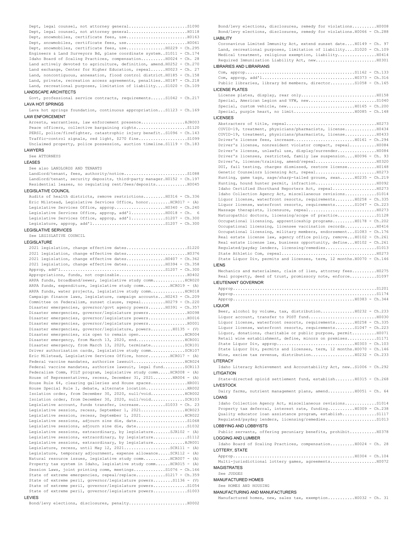Dept, legal counsel, not attorney general............................S1090 Dept, legal counsel, not attorney general.............................H0118 Dept, snowmobiles, certificate fees, use.........................H0163 Dept, snowmobiles, certificate fees, use.........................H0061 Dept, snowmobiles, certificate fees, use.................H0229 - Ch.295 Engineers & Land Surveyors Bd, plane coordinate system..S1011 - Ch.174 Idaho Board of Scaling Practices, compensation..........H0024 - Ch. 28 Land actively devoted to agriculture, definition, amend.H0252 - Ch.270 Land exchange, Center for Higher Education, repeal......H0023 - Ch. 27 Land, noncontiguous, annexation, flood control district.H0185 - Ch.158 Land, private, recreation access agreements, penalties..H0187 - Ch.218 Land, recreational purposes, limitation of liability....S1020 - Ch.109 LANDSCAPE ARCHITECTS

Govt, professional service contracts, requirements......S1042 - Ch.217 LAVA HOT SPRINGS

Lava hot springs foundation, continuous appropriation...S1123 - Ch.169 LAW ENFORCEMENT

Arrests, warrantless, law enforcement presence..................HJR003 Peace officers, collective bargaining rights........................S1120 PERSI, police/firefighter, catastrophic injury benefit..S1096 - Ch.143 Traffic-control signals, red light, \$270 fine....................S1099 Unclaimed property, police possession, auction timeline.S1119 - Ch.183

## LAWYERS

See ATTORNEYS

# LEASES

See also LANDLORDS AND TENANTS

Landlord/tenant, fees, authority/notice..........................S1088 Landlord/tenant, security deposits, third-party manager.H0152 - Ch.197 Residential leases, no regulating rent/fees/deposits.............H0045

# LEGISLATIVE COUNCIL

Audits of health districts, remove restrictions.........H0316 - Ch.336 Eric Milstead, Legislative Services Office, honor.........HCR017 - (A) Legislative Services Office, approp.....................H0340 - Ch.240 Legislative Services Office, approp, add'l................H0018 - Ch. 6 Legislative Services Office, approp, add'l................S1207 - Ch.300 Legislature, approp, add'l..............................S1207 - Ch.300

## LEGISLATIVE SERVICES

See LEGISLATIVE COUNCIL

## LEGISLATURE

2021 legislation, change effective dates.........................S1220 2021 legislation, change effective dates.........................H0376 2021 legislation, change effective dates................H0407 - Ch.362 2021 legislation, change effective dates................H0394 - Ch.358 Approp, add'l...........................................S1207 - Ch.300 Appropriations, funds, not cognizable............................H0402 ARPA funds, broadband/sewer, legislative study comm................ HCR020 ARPA funds, expenditure, legislative study comm........... HCR019 - (A) ARPA funds, water projects, legislative study comm..............HCR018 Campaign finance laws, legislature, campaign accounts...H0243 - Ch.209 Committee on Federalism, sunset clause, repeal..........H0279 - Ch.220 Disaster emergencies, governor/govt agency powers.......H0391 - Ch.357 Disaster emergencies, governor/legislature powers................H0098 Disaster emergencies, governor/legislature powers................H0016 Disaster emergencies, governor/legislature powers................H0001 Disaster emergencies, governor/legislature, powers.........H0135 - (V) Disaster emergencies, six open to remain open...................HCR004 Disaster emergency, from March 13, 2020, end....................HCR001 Disaster emergency, from March 13, 2020, terminate..............SCR101 Driver authorization cards, legislative study comm..............SCR107 Eric Milstead, Legislative Services Office, honor.........HCR017 - (A) Federal vaccine mandates, authorize lawsuit......................HCR024 Federal vaccine mandates, authorize lawsuit, legal fund.........SCR113 Federalism Comm, PILT program, legislative study comm.....HCR008 - (A) House of Representatives, recess, December 31, 2021........ HR004 - (A) House Rule 64, clearing galleries and House spaces...............HR001 House Special Rule 1, debate, alternate location.................HR002 Isolation order, from December 30, 2020, null/void..............HCR002 Isolation order, from December 30, 2020, null/void..............SCR103 Legislative account, funds transfer, increase...........S1033 - Ch. 23 Legislative session, recess, September 1, 2021....................HCR023 Legislative session, recess, September 1, 2021.....................HCR022 Legislative sessions, adjourn sine die, date........................S1068 Legislative sessions, adjourn sine die, date........................S1032 Legislative sessions, extraordinary, by legislature.......SJR102 - (A) Legislative sessions, extraordinary, by legislature................S1112 Legislative sessions, extraordinary, by legislature.............HJR001 Legislature, recess, until May 12,  $2021$ .....................SCR111 - (A) Legislature, temporary adjournment, expense allowance.....SCR112 - (A) Natural resource issues, legislative study comm...........HCR007 - (A) Property tax system in Idaho, legislative study comm...... HCR015 - (A) Session Laws, joint printing comm, meetings.............S1076 - Ch.166 State of extreme emergencies, repeal/replace............S1217 - Ch.359 State of extreme peril, governor/legislature powers........S1136 - (V) State of extreme peril, governor/legislature powers..............S1054 State of extreme peril, governor/legislature powers..............S1003 **LEVIES** 

Bond/levy elections, disclosures, remedy for violations..........H0008 Bond/levy elections, disclosures, remedy for violations.H0066 - Ch.288 LIABILITY Coronavirus Limited Immunity Act, extend sunset date....H0149 - Ch. 97

## Land, recreational purposes, limitation of liability....S1020 - Ch.109 Medical treatment, religious exemption, liability................H0414 Required Immunization Liability Act, new.........................H0301 LIBRARIES AND LIBRARIANS  $Com, *approp*.............................................$ Com, approp, add'l......................................H0373 - Ch.316 Public libraries, library bd members, director..........S1058 - Ch.165 LICENSE PLATES License plates, display, rear only...............................H0158 Special, American Legion and VFW, new.................................S1040 Special, custom vehicle, new............................H0165 - Ch.200 Special, purple heart, no limit.........................H0085 - Ch.148 LICENSES Abstracters of title, repeal.....................................H0273 COVID-19, treatment, physicians/pharmacists, license.............H0434 COVID-19, treatment, physicians/pharmacists, license.............H0433 Driver's license fees, increase.........................H0161 - Ch.294 Driver's license, nonresident violator compact, repeal...........H0084 Driver's license, unlawful use, display/surrender................H0084 Driver's licenses, restricted, family law suspension....H0096 - Ch. 93 Driver's, license/training, amend/repeal.........................H0320 DUI, fail testing, charges dismissed, restore license............H0148 Genetic Counselors Licensing Act, repeal.........................H0273 Hunting, game tags, sage/sharp-tailed grouse, swan......H0235 - Ch.219 Hunting, hound hunter permit, infraction..............................H0092 Idaho Certified Shorthand Reporters Act, repeal..................H0273 Idaho Collection Agency Act, miscellaneous revisions.............S1014 Liquor license, waterfront resorts, requirements........H0258 - Ch.335 Liquor license, waterfront resorts, requirements........S1047 - Ch.223 Massage therapists, licensure, repeal................................H0273 Naturopathic doctors, licensing/scope of practice..................S1128 Occupational licensing, apprenticeship programs.........H0178 - Ch.202 Occupational licensing, licensee vaccination records.............H0416 Occupational licensing, military members, endorsement...S1083 - Ch.176 Real estate license law, agency office policy, remove...H0102 - Ch.261 Real estate license law, business opportunity, define...H0102 - Ch.261 Regulated/payday lenders, licensing/remedies.....................S1013 State Athletic Com, repeal.......................................H0273 State Liquor Div, permits and licenses, term, 12 months.H0070 - Ch.146 LIENS Mechanics and materialmen, claim of lien, attorney fees..........H0275 Real property, deed of trust, promissory note, enforce............S1097 LIEUTENANT GOVERNOR Approp...........................................................S1201 Approp...........................................................S1174 Approp..................................................H0383 - Ch.344

### LIQUOR

Beer, alcohol by volume, tax, distribution..............H0232 - Ch.233 Liquor account, transfer to POST fund............................H0030 Liquor license, waterfront resorts, requirements........H0258 - Ch.335 Liquor license, waterfront resorts, requirements........S1047 - Ch.223 Liquor, donations, charitable or public purpose, permit..........H0071 Retail wine establishment, define, minors on premises............S1171 State Liquor Div, approp................................H0303 - Ch.103 State Liquor Div, permits and licenses, term, 12 months.H0070 - Ch.146 Wine, excise tax revenue, distribution......................H0232 - Ch.233 LITERACY

Idaho Literacy Achievement and Accountability Act, new..S1006 - Ch.292 LITIGATION

State-directed opioid settlement fund, establish........H0315 - Ch.268 LIVESTOCK

Dairy farms, nutrient management plans, amend............H0051 - Ch. 64 LOANS

Idaho Collection Agency Act, miscellaneous revisions.............S1014 Property tax deferral, interest rate, funding...........H0309 - Ch.238 Quality educator loan assistance program, establish..............S1117 Regulated/payday lenders, licensing/remedies.....................S1013 LOBBYING AND LOBBYISTS Public servants, offering pecuniary benefits, prohibit...........H0378 LOGGING AND LUMBER

Idaho Board of Scaling Practices, compensation..........H0024 - Ch. 28 LOTTERY, STATE Approp..................................................H0304 - Ch.104 Multi-jurisdictional lottery games, agreements...................H0072 **MAGISTRATES** 

See JUDGES

MANUFACTURED HOMES See HOMES AND HOUSING

MANUFACTURING AND MANUFACTURERS

Manufactured homes, new, sales tax, exemption........... H0032 - Ch. 31

Bond/levy elections, disclosures, penalty........................H0002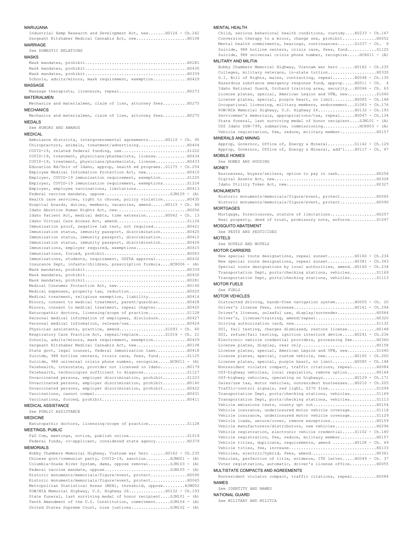### MARIJUANA

Industrial Hemp Research and Development Act, new.......H0126 - Ch.242 Sergeant Kitzhaber Medical Cannabis Act, new.....................H0108 MARRIAGE

See DOMESTIC RELATIONS

## MASKS

Mask mandates, prohibit..........................................H0281 Mask mandates, prohibit..........................................H0430 Mask mandates, prohibit..........................................H0339 Schools, adults/minors, mask requirement, exemption..............H0429

## MASSAGE

Massage therapists, licensure, repeal..................................H0273 MATERIALMEN

Mechanics and materialmen, claim of lien, attorney fees..........H0275 **MECHANICS** 

Mechanics and materialmen, claim of lien, attorney fees..........H0275 MEDALS

See HONORS AND AWARDS

## MEDICAL

Ambulance districts, intergovernmental agreements.......H0110 - Ch. 95 Chiropractors, animals, treatment/advertising....................H0404 COVID-19, related federal funding, use..................................S1222 COVID-19, treatment, physicians/pharmacists, license.............H0434 COVID-19, treatment, physicians/pharmacists, license.............H0433 Education Bd/Univ of Idaho, approp, health ed programs..S1175 - Ch.254 Employee Medical Information Protection Act, new..................... H0410 Employer, COVID-19 immunization requirement, exemption...........S1225 Employer, COVID-19 immunization requirement, exemptions..........S1224 Employer, employee vaccinations, limitations............................. H0413 Federal vaccine mandate, oppose.............................SJM105 - (A) Health care services, right to choose, policy violation..........H0435 Hospital boards, duties, members, vacancies, amend......H0115 - Ch. 46 Idaho Abortion Human Rights Act, new.............................H0056 Idaho Patient Act, medical debts, time extension........H0042 - Ch. 13 Idaho Virtual Care Access Act, amend.............................S1126 Immunization proof, negative lab test, not required..............H0421 Immunization status, immunity passport, discrimination...........H0425 Immunization status, immunity passport, discrimination...........H0412 Immunization status, immunity passport, discrimination...........H0426 Immunizations, employer required, exemptions.....................H0415 Immunizations, forced, prohibit..................................H0063 Immunizations, students, requirement, USFDA approval.............H0432 Insurance Dept, infants/children, prescription formula....HCR006 - (A) Mask mandates, prohibit..........................................H0339 Mask mandates, prohibit..........................................H0430 Mask mandates, prohibit..........................................H0281 Medical Consumer Protection Act, new.............................H0140 Medical expenses, property tax, reduction........................H0020 Medical treatment, religious exemption, liability................H0414 Minors, consent to medical treatment, parent/guardian............H0428 Minors, consent to medical treatment, repeal chapter.............H0420 Naturopathic doctors, licensing/scope of practice................S1128 Personal medical information of employees, disclosure............H0427 Personal medical information, release/use........................H0424 Physician assistants, practice, amend...................S1093 - Ch. 60 Respiratory Care Practice Act, repeal/replace...........S1016 - Ch. 21 Schools, adults/minors, mask requirement, exemption..............H0429 Sergeant Kitzhaber Medical Cannabis Act, new.....................H0108 State govt, legal counsel, federal immunization laws.............H0418 Suicide, 988 hotline centers, crisis care, fees, fund..............S1125 Suicide, 988 universal crisis phone number, recognize.....HCR011 - (A) Telehealth, interstate, provider not licensed in Idaho...........H0179 Telehealth, technologies sufficient to diagnose..................S1127 Unvaccinated persons, employer discrimination, prohibit..........S1223 Unvaccinated persons, employer discrimination, prohibit..........H0140 Unvaccinated persons, employer discrimination, prohibit..........H0422 Vaccinations, cannot compel......................................H0431 Vaccinations, forced, prohibit...................................H0411

## MEDICAL ASSISTANCE See PUBLIC ASSISTANCE

# MEDICINE

Naturopathic doctors, licensing/scope of practice................S1128 MEETINGS, PUBLIC

F&G Com, meetings, notice, publish online........................S1019 Federal funds, co-applicant, considered state agency.............H0379 MEMORIALS

## Bobby Chambers Memorial Highway, Vietnam war hero ......H0162 - Ch.235 Chinese govt/communist party, COVID-19, sanction..........HJM001 - (A) Columbia-Snake River System, dams, oppose removal.........SJM103 - (A) Federal vaccine mandate, oppose............................SJM105 - (A) Historic monuments/memorials/figure/event, protect...............H0090 Historic monuments/memorials/figure/event, protect...............H0065 Metropolitan Statistical Areas (MSA), threshold, oppose.........HJM002 POW/MIA Memorial Highway, U.S. Highway 26...............H0132 - Ch.193 State funeral, last surviving medal of honor recipient....SJM101 - (A) Tenth Amendment of the U.S. Constitution, commitment......SJM104 - (A) United States Supreme Court, nine justices................SJM102 - (A)

## MENTAL HEALTH

Child, serious behavioral health conditions, custody....H0233 - Ch.147 Conversion therapy to a minor, change sex, prohibit..............H0052 Mental health commitments, hearings, continuances.......S1037 - Ch. 9 Suicide, 988 hotline centers, crisis care, fees, fund..............S1125 Suicide, 988 universal crisis phone number, recognize.....HCR011 - (A)

# MILITARY AND MILITIA

Bobby Chambers Memorial Highway, Vietnam war hero ......H0162 - Ch.235 Colleges, military veterans, in-state tuition....................H0330 G.I. Bill of Rights, males, contracting, repeal.........H0048 - Ch.135 Hazardous substance emergency response fund, approp.....H0011 - Ch. 4 Idaho National Guard, Orchard training area, security...H0046 - Ch. 63 License plates, special, American Legion and VFW, new............S1040 License plates, special, purple heart, no limit.........H0085 - Ch.148 Occupational licensing, military members, endorsement...S1083 - Ch.176 POW/MIA Memorial Highway, U.S. Highway 26...............H0132 - Ch.193 Servicemen's memorials, appropriations/tax, repeal......H0047 - Ch.134 State funeral, last surviving medal of honor recipient....SJM101 - (A) USS Idaho SSN-799, submarine, commissioning..............HCR003 - (A) Vehicle registration, fee, reduce, military member...............H0157

## MINERALS AND MINING

Approp, Governor, Office of, Energy & Mineral...........S1142 - Ch.129 Approp, Governor, Office of, Energy & Mineral, add'l....H0117 - Ch. 47 MOBILE HOMES

See HOMES AND HOUSING

### **MONEY**

## MONUMENTS

Historic monuments/memorials/figure/event, protect...............H0065 Historic monuments/memorials/figure/event, protect...............H0090 **MORTGAGES** 

Mortgage, foreclosures, statute of limitations...................H0257 Real property, deed of trust, promissory note, enforce...........S1097 MOSQUITO ABATEMENT

See PESTS AND PESTICIDES

MOTELS

See HOTELS AND MOTELS

## MOTOR CARRIERS

New special route designations, repeal sunset...........H0160 - Ch.234 New special route designations, repeal sunset...........H0381 - Ch.343 Special route designations by local authorities, amend..H0160 - Ch.234 Transportation Dept, ports/checking stations, vehicles...........S1169 Transportation Dept, ports/checking stations, vehicles...........S1113 MOTOR FUELS

# See FUELS

MOTOR VEHICLES

Distracted driving, hands-free navigation system........H0005 - Ch. 20 Driver's license fees, increase.........................H0161 - Ch.294 Driver's license, unlawful use, display/surrender................H0084 Driver's, license/training, amend/repeal.........................H0320 Driving authorization card, new..................................S1132 DUI, fail testing, charges dismissed, restore license............H0148 DUI, refuse/fail testing, ignition interlock device.....H0241 - Ch.236 Electronic vehicle credential providers, processing fee..........H0360 License plates, display, rear only...............................H0158 License plates, special, American Legion and VFW, new............S1040 License plates, special, custom vehicle, new............H0165 - Ch.200 License plates, special, purple heart, no limit.........H0085 - Ch.148 Nonresident violator compact, traffic citations, repeal..........H0084 Off-highway vehicles, local regulation, remove option............H0164 Off-highway vehicles, operating on highways.............H0129 - Ch.171 Sales/use tax, motor vehicles, nonresident businesses...H0210 - Ch.205 Traffic-control signals, red light, \$270 fine....................S1099 Transportation Dept, ports/checking stations, vehicles...........S1169 Transportation Dept, ports/checking stations, vehicles...........S1113 Vehicle emissions tests, county opt out..........................H0154 Vehicle insurance, underinsured motor vehicle coverage...........S1118 Vehicle insurance, underinsured motor vehicle coverage...........S1129 Vehicle loads, secure/cover, remove exceptions...................H0159 Vehicle manufacturers/distributors, new vehicles.................H0296 Vehicle registration, electronic vehicle credential.....S1102 - Ch.180 Vehicle registration, fee, reduce, military member...............H0157 Vehicle titles, duplicate, requirements, amend .........H0128 - Ch. 69 Vehicle titles, fee, increase....................................H0133 Vehicles, electric/hybrid, fees, amend...........................H0361 Vehicles, perfection of title, evidence, ITD letter.....H0049 - Ch. 37 Voter registration, automatic, driver's license office...........H0055

# MULTISTATE COMPACTS AND AGREEMENTS

Nonresident violator compact, traffic citations, repeal..........H0084 NAMES

# See IDENTITY AND NAMES

NATIONAL GUARD

See MILITARY AND MILITIA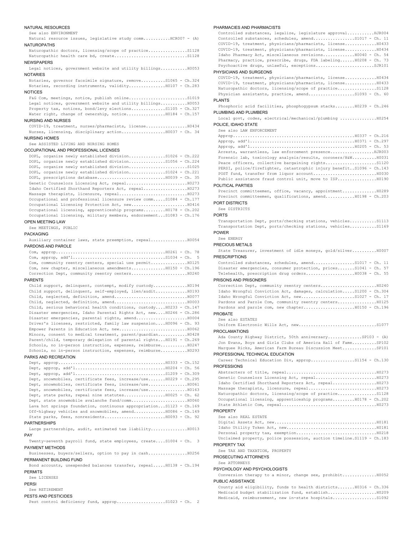# NATURAL RESOURCES

### See also ENVIRONMENT

Natural resource issues, legislative study comm...........HCR007 - (A) NATUROPATHS

Naturopathic doctors, licensing/scope of practice................S1128 Naturopathic health care bd, create..............................S1128 NEWSPAPERS

Legal notices, government website and utility billings...........H0053 **NOTARIES** 

Notaries, governor facsimile signature, remove..........S1065 - Ch.324 Notaries, recording instruments, validity...............H0107 - Ch.283

### **NOTICES**

F&G Com, meetings, notice, publish online..............................S1019 Legal notices, government website and utility billings...........H0053 Property tax, notices, bond/levy elections..............S1105 - Ch.327 Water right, change of ownership, notice.................H0184 - Ch.157

### NURSING AND NURSES

COVID-19, treatment, nurses/pharmacists, license.................H0434 Nurses, licensing, disciplinary action........................ H0037 - Ch. 34

## NURSING HOMES

See ASSISTED LIVING AND NURSING HOMES

# OCCUPATIONAL AND PROFESSIONAL LICENSES

|  |  | DOPL, organize newly established divisionS1026 - Ch.222              |  |  |  |
|--|--|----------------------------------------------------------------------|--|--|--|
|  |  | DOPL, organize newly established divisionS1056 - Ch.224              |  |  |  |
|  |  |                                                                      |  |  |  |
|  |  | DOPL, organize newly established divisionS1024 - Ch.221              |  |  |  |
|  |  | DOPL, prescriptions database H0039 - Ch. 35                          |  |  |  |
|  |  |                                                                      |  |  |  |
|  |  |                                                                      |  |  |  |
|  |  |                                                                      |  |  |  |
|  |  | Occupational and professional licensure review commS1084 - Ch.177    |  |  |  |
|  |  |                                                                      |  |  |  |
|  |  | Occupational licensing, apprenticeship programsH0178 - Ch.202        |  |  |  |
|  |  | Occupational licensing, military members, endorsement S1083 - Ch.176 |  |  |  |
|  |  |                                                                      |  |  |  |

### OPEN MEETING LAW

See MEETINGS, PUBLIC

### PACKAGING

Auxiliary container laws, state preemption, repeal...............H0054 PARDONS AND PAROLE

Com, approp.............................................H0261 - Ch. 78 Com, approp, add'l......................................S1034 - Ch. 5 Com, community reentry centers, special use permit.................H0125 Com, new chapter, miscellaneous amendments..............H0150 - Ch.196 Correction Dept, community reentry centers.......................H0240

# PARENTS

Child support, delinquent, contempt, modify custody..............H0194 Child support, delinquent, self-employed, lien/audit.............H0193 Child, neglected, definition, amend..............................H0077 Child, neglected, definition, amend..............................H0003 Child, serious behavioral health conditions, custody....H0233 - Ch.147 Disaster emergencies, Idaho Parental Rights Act, new....H0246 - Ch.286 Disaster emergencies, parental rights, amend.....................H0004 Driver's licenses, restricted, family law suspension....H0096 - Ch. 93 Empower Parents in Education Act, new............................H0062 Minors, consent to medical treatment, parent/guardian............H0428 Parent/child, temporary delegation of parental rights...H0191 - Ch.269 Schools, no in-person instruction, expenses, reimburse...........H0247 Schools, no in-person instruction, expenses, reimburse...........H0293

# PARKS AND RECREATION

| Dept, snowmobiles, certificate fees, increase/useH0229 - Ch.295     |
|---------------------------------------------------------------------|
| Dept, snowmobiles, certificate fees, increase/useH0061              |
| Dept, snowmobiles, certificate fees, increase/useH0163              |
| Dept, state parks, repeal nine statutes H0025 - Ch. 62              |
|                                                                     |
| Lava hot springs foundation, continuous appropriationS1123 - Ch.169 |
| Off-highway vehicles and snowmobiles, amendH0086 - Ch.149           |
|                                                                     |

### PARTNERSHIPS

Large partnerships, audit, estimated tax liability...............H0013 PAY

Twenty-seventh payroll fund, state employees, create....S1004 - Ch. 3 PAYMENT METHODS

Businesses, buyers/sellers, option to pay in cash................H0256 PERMANENT BUILDING FUND

Bond accounts, unexpended balances transfer, repeal.....H0138 - Ch.194 PERMITS

## See LICENSES

## PERSI

See RETIREMENT

## PESTS AND PESTICIDES

Pest control deficiency fund, approp....................S1023 - Ch. 2

## PHARMACIES AND PHARMACISTS

Controlled substances, legalize, legislature approval...........HJR004 Controlled substances, schedules, amend.................S1017 - Ch. 11 COVID-19, treatment, physicians/pharmacists, license.............H0433 COVID-19, treatment, physicians/pharmacists, license.............H0434 Idaho Pharmacy Act, miscellaneous revisions.............H0040 - Ch. 54 Pharmacy, practice, prescribe, drugs, FDA labeling......H0208 - Ch. 73 Psychoactive drugs, unlawful, exceptions..........................SJR101

# PHYSICIANS AND SURGEONS

|  |  | COVID-19, treatment, physicians/pharmacists, license H0434 |  |  |
|--|--|------------------------------------------------------------|--|--|
|  |  | COVID-19, treatment, physicians/pharmacists, license H0433 |  |  |
|  |  |                                                            |  |  |
|  |  | Physician assistants, practice, amend51093 - Ch. 60        |  |  |
|  |  |                                                            |  |  |

# PLANTS

Phosphoric acid facilities, phosphogypsum stacks........H0239 - Ch.246 PLUMBING AND PLUMBERS

Local govt, codes, electrical/mechanical/plumbing ...............H0254 POLICE, IDAHO STATE

## See also LAW ENFORCEMENT

| Arrests, warrantless, law enforcement presenceHJR003                 |
|----------------------------------------------------------------------|
| Forensic lab, toxicology analysis/results, coroners/H&WH0031         |
| Peace officers, collective bargaining rightsS1120                    |
| PERSI, police/firefighter, catastrophic injury benefitS1096 - Ch.143 |
|                                                                      |
|                                                                      |

## POLITICAL PARTIES

Precinct committeemen, office, vacancy, appointment..............H0289 Precinct committeemen, qualifications, amend............H0198 - Ch.203 PORT DISTRICTS

# See DISTRICTS

# PORTS

Transportation Dept, ports/checking stations, vehicles...........S1113 Transportation Dept, ports/checking stations, vehicles...........S1169 POWER

# See ENERGY

# PRECIOUS METALS

State Treasurer, investment of idle moneys, gold/silver..........H0007 PRESCRIPTIONS

| Controlled substances, schedules, amend51017 - Ch. 11           |  |  |
|-----------------------------------------------------------------|--|--|
| Disaster emergencies, consumer protection, pricesS1041 - Ch. 57 |  |  |
|                                                                 |  |  |

## PRISONS AND PRISONERS

| Idaho Wrongful Conviction Act, damages, calculationS1200 - Ch.304 |  |
|-------------------------------------------------------------------|--|
|                                                                   |  |
| Pardons and Parole Com, community reentry centers10125            |  |
|                                                                   |  |
| PROBATE                                                           |  |

# See also ESTATES

| <b>PROCLAMATIONS</b>                                         |
|--------------------------------------------------------------|
| Ada County Highway District, 50th anniversarySP103 - (A)     |
| Jon Evans, Boys and Girls Clubs of America Hall of FameSP102 |
| Marquee Ricks, American Farm Bureau Discussion MeetSP101     |
| PROFESSIONAL TECHNICAL EDUCATION                             |
| Career Technical Education Div, appropS1154 - Ch.130         |
| PROFESSIONS                                                  |
|                                                              |

| UNGLIALLEIG UI LILIE, IEMEAILLILLILLILLILLILLILLILLILLILLILLILLIU |
|-------------------------------------------------------------------|
|                                                                   |
|                                                                   |
|                                                                   |
|                                                                   |
| Occupational licensing, apprenticeship programsH0178 - Ch.202     |
|                                                                   |
|                                                                   |

## PROPERTY See also REAL ESTATE

| UCC GIOV NEAR BUIAIS                                                     |
|--------------------------------------------------------------------------|
|                                                                          |
|                                                                          |
|                                                                          |
| Unclaimed property, police possession, auction timeline. \$1119 - Ch.183 |
| <b>DODEDTY TAV</b>                                                       |

## PROPERTY TAX

See TAX AND TAXATION, PROPERTY

PROSECUTING ATTORNEYS

### See ATTORNEYS

### PSYCHOLOGY AND PSYCHOLOGISTS

Conversion therapy to a minor, change sex, prohibit..............H0052 PUBLIC ASSISTANCE

County aid eligibility, funds to health districts.......H0316 - Ch.336 Medicaid budget stabilization fund, establish....................H0209 Medicaid, reimbursement, new in-state hospitals..................S1092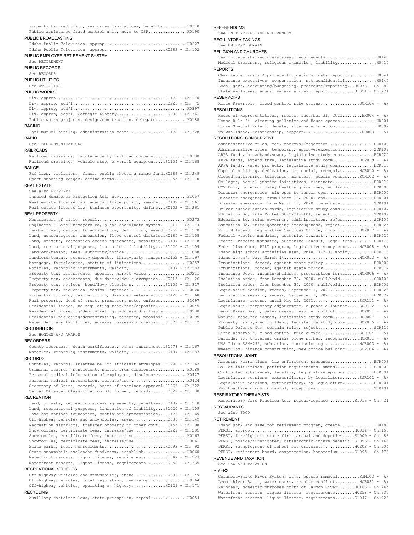Property tax reduction, resources limitations, benefits..........H0310 Public assistance fraud control unit, move to ISP..................H0190

# PUBLIC BROADCASTING

| PUBLIC EMPLOYEE RETIREMENT SYSTEM |  |  |  |  |  |  |  |  |
|-----------------------------------|--|--|--|--|--|--|--|--|
|                                   |  |  |  |  |  |  |  |  |
|                                   |  |  |  |  |  |  |  |  |

### See RETIREMENT

PUBLIC RECORDS

### See RECORDS

PUBLIC UTILITIES

## See UTILITIES

### PUBLIC WORKS

| ACING. |                                                           |  |  |  |  |
|--------|-----------------------------------------------------------|--|--|--|--|
|        | Public works projects, design/construction, delegateH0188 |  |  |  |  |
|        | Div, approp, add'l, Carnegie Library10408 - Ch.361        |  |  |  |  |
|        |                                                           |  |  |  |  |
|        |                                                           |  |  |  |  |
|        |                                                           |  |  |  |  |

## RACING

Pari-mutuel betting, administration costs...............S1178 - Ch.328 RADIO

## See TELECOMMUNICATIONS

### RAILROADS

Railroad crossings, maintenance by railroad company..............H0130 Railroad crossings, vehicle stop, on-track equipment....S1104 - Ch.168 RANGE

F&G laws, violations, fines, public shooting range fund.H0286 - Ch.249 Sport shooting ranges, define terms.....................S1055 - Ch.110

# REAL ESTATE

See also PROPERTY

Insured Homeowner Protection Act, new............................S1057 Real estate license law, agency office policy, remove...H0102 - Ch.261 Real estate license law, business opportunity, define...H0102 - Ch.261

# REAL PROPERTY

Abstracters of title, repeal.....................................H0273 Engineers & Land Surveyors Bd, plane coordinate system..S1011 - Ch.174 Land actively devoted to agriculture, definition, amend.H0252 - Ch.270 Land, noncontiguous, annexation, flood control district.H0185 - Ch.158 Land, private, recreation access agreements, penalties..H0187 - Ch.218 Land, recreational purposes, limitation of liability....S1020 - Ch.109 Landlord/tenant, fees, authority/notice..........................S1088 Landlord/tenant, security deposits, third-party manager.H0152 - Ch.197 Mortgage, foreclosures, statute of limitations.................................. Notaries, recording instruments, validity...............H0107 - Ch.283 Property tax, assessments, appeals, market value.................H0211 Property tax, assessments, due date/widow's exemption...H0015 - Ch. 26 Property tax, notices, bond/levy elections..............S1105 - Ch.327 Property tax, reduction, medical expenses.............................. H0020 Property/occupancy tax reduction, disabled veterans.....H0120 - Ch. 68 Real property, deed of trust, promissory note, enforce...........S1097 Residential leases, no regulating rent/fees/deposits.............H0045 Residential picketing/demonstrating, address disclosure..........H0288 Residential picketing/demonstrating, targeted, prohibit..........H0195 Water delivery facilities, adverse possession claims....S1073 - Ch.112

## RECOGNITION

See HONORS AND AWARDS

# RECORDERS

County recorders, death certificates, other instruments.S1078 - Ch.167 Notaries, recording instruments, validity...............H0107 - Ch.283

# RECORDS

Counties, records, absentee ballot affidavit envelopes..H0290 - Ch.262 Criminal records, nonviolent, shield from disclosure.............H0189 Personal medical information of employees, disclosure............H0427 Personal medical information, release/use........................H0424 Secretary of State, records, board of examiner approval.S1063 - Ch.322 Sexual Offender Classification Bd, former, records......H0029 - Ch. 30

# RECREATION

Land, private, recreation access agreements, penalties..H0187 - Ch.218 Land, recreational purposes, limitation of liability....S1020 - Ch.109 Lava hot springs foundation, continuous appropriation...S1123 - Ch.169 Off-highway vehicles and snowmobiles, amend.............H0086 - Ch.149 Recreation districts, transfer property to other govt...H0155 - Ch.198 Snowmobiles, certificate fees, increase/use.............H0229 - Ch.295 Snowmobiles, certificate fees, increase/use......................H0163 Snowmobiles, certificate fees, increase/use......................H0061 State parks, fees, nonresidents................................. H0093 - Ch. 92 State snowmobile avalanche fund/comm, establish..................H0060 Waterfront resorts, liquor license, requirements........S1047 - Ch.223 Waterfront resorts, liquor license, requirements........H0258 - Ch.335 RECREATIONAL VEHICLES

Off-highway vehicles and snowmobiles, amend.............H0086 - Ch.149 Off-highway vehicles, local regulation, remove option............H0164 Off-highway vehicles, operating on highways.............H0129 - Ch.171 RECYCLING

Auxiliary container laws, state preemption, repeal...............H0054

# **REFERENDUMS**

See INITIATIVES AND REFERENDUMS

# REGULATORY TAKINGS

See EMINENT DOMAIN

# RELIGION AND CHURCHES

Health care sharing ministries, requirements.....................H0146 Medical treatment, religious exemption, liability................H0414 REPORTS Charitable trusts & private foundations, data reporting..........H0041 Insurance executives, compensation, not confidential.............H0144 Local govt, accounting/budgeting, procedure/reporting...H0073 - Ch. 89 State employees, annual salary survey, report...........S1051 - Ch.271

## **RESERVOIRS**

Ririe Reservoir, flood control rule curves................SCR104 - (A) RESOLUTIONS

```
House of Representatives, recess, December 31, 2021........HR004 - (A)
House Rule 64, clearing galleries and House spaces...............HR001
House Special Rule 1, debate, alternate location.................HR002
Taiwan-Idaho, relationship, support........................HR003 - (A)
```
## RESOLUTIONS, CONCURRENT

Administrative rules, fee, approval/rejection...................SCR108 Administrative rules, temporary, approve/exception..............SCR109 ARPA funds, broadband/sewer, legislative study comm..............HCR020 ARPA funds, expenditure, legislative study comm...........HCR019 - (A) ARPA funds, water projects, legislative study comm................HCR018 Capitol building, dedication, centennial, recognize.......HCR010 - (A) Closed captioning, television monitors, public venues.....SCR102 - (A) Colleges, social justice initiatives, eliminate.................HCR012 COVID-19, governor, stay healthy guidelines, null/void..........HCR005 Disaster emergencies, six open to remain open.....................HCR004 Disaster emergency, from March 13, 2020, end........................ HCR001 Disaster emergency, from March 13, 2020, terminate..............SCR101 Driver authorization cards, legislative study comm..............SCR107 Education Bd, Rule Docket 08-0201-2101, reject...................SCR109 Education Bd, rules governing administration, reject............SCR105 Education Bd, rules governing thoroughness, reject..............HCR025 Eric Milstead, Legislative Services Office, honor.........HCR017 - (A) Federal vaccine mandates, authorize lawsuit.....................HCR024 Federal vaccine mandates, authorize lawsuit, legal fund.........SCR113 Federalism Comm, PILT program, legislative study comm.....HCR008 - (A) Idaho high school activities assn, rule 17-2-3, modify..........HCR016 Idaho Women's Day, March  $14$ ...................................HCR013 - (A) Immunizations, forced, against state policy.....................HCR009 Immunizations, forced, against state policy.....................HCR014 Insurance Dept, infants/children, prescription formula....HCR006 - (A) Isolation order, from December 30, 2020, null/void..............SCR103 Isolation order, from December 30, 2020, null/void..............HCR002 Legislative session, recess, September 1, 2021..................HCR023 Legislative session, recess, September 1, 2021..................HCR022 Legislature, recess, until May 12, 2021...................SCR111 - (A) Legislature, temporary adjournment, expense allowance.....SCR112 - (A) Lemhi River Basin, water users, resolve conflict..........HCR021 - (A) Natural resource issues, legislative study comm...........HCR007 - (A) Property tax system in Idaho, legislative study comm......HCR015 - (A) Public Defense Com, certain rules, reject........................SCR110 Ririe Reservoir, flood control rule curves...............SCR104 - (A) Suicide, 988 universal crisis phone number, recognize.....HCR011 - (A) USS Idaho SSN-799, submarine, commissioning...............HCR003 - (A) Wheat Com, finance construction, new office building...... $SCR106 - (A)$ 

## RESOLUTIONS, JOINT

| Arrests, warrantless, law enforcement presenceHJR003            |
|-----------------------------------------------------------------|
| Ballot initiatives, petition requirements, amendHJR002          |
| Controlled substances, legalize, legislature approvalHJR004     |
| Legislative sessions, extraordinary, by legislatureSJR102 - (A) |
| Legislative sessions, extraordinary, by legislatureHJR001       |
| Psychoactive drugs, unlawful, exceptionsSJR101                  |
|                                                                 |

# RESPIRATORY THERAPISTS

Respiratory Care Practice Act, repeal/replace...........S1016 - Ch. 21 RESTAURANTS

## See also FOOD

RETIREMENT

Idaho work and save for retirement program, create...............H0180 PERSI, approp...........................................H0334 - Ch.153 PERSI, firefighter, state fire marshal and deputies.....S1009 - Ch. 83 PERSI, police/firefighter, catastrophic injury benefit..S1096 - Ch.143 PERSI, reemployment of school bus drivers...............H0203 - Ch.204 PERSI, retirement board, compensation, honorarium ......S1095 - Ch.178 REVENUE AND TAXATION

# See TAX AND TAXATION

# RIVERS

Columbia-Snake River System, dams, oppose removal.........SJM103 - (A) Lemhi River Basin, water users, resolve conflict..........HCR021 - (A) Reindeer, domestic purposes north of Salmon River.......H0166 - Ch.245 Waterfront resorts, liquor license, requirements........H0258 - Ch.335 Waterfront resorts, liquor license, requirements........S1047 - Ch.223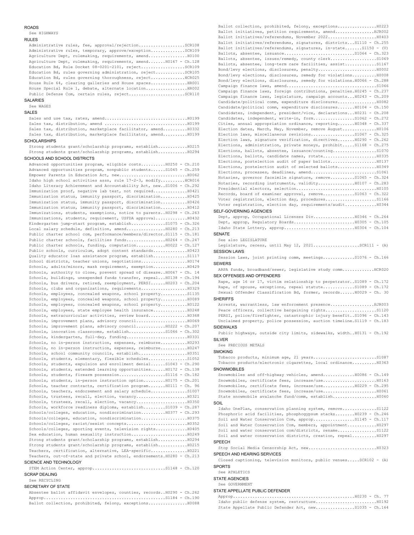### **ROADS**

See HIGHWAYS

### RULES

| Administrative rules, fee, approval/rejectionSCR108              |
|------------------------------------------------------------------|
| Administrative rules, temporary, approve/exceptionSCR109         |
| Agriculture Dept, rulemaking, requirements, amendH0100           |
| Agriculture Dept, rulemaking, requirements, amend H0167 - Ch.128 |
| Education Bd, Rule Docket 08-0201-2101, rejectSCR109             |
| Education Bd, rules governing administration, rejectSCR105       |
| Education Bd, rules governing thoroughness, rejectHCR025         |
| House Rule 64, clearing galleries and House spacesHR001          |
|                                                                  |
|                                                                  |

# SALARIES

See WAGES

# SALES

Sales and use tax, rates, amend..................................H0199 Sales tax, distribution, amend ..................................H0199 Sales tax, distribution, marketplace facilitator, amend........... H0332 Sales tax, distribution, marketplace facilitator, amend..........H0199

# **SCHOLARSHIPS**

Strong students grant/scholarship programs, establish............H0215 Strong students grant/scholarship programs, establish............H0294

# SCHOOLS AND SCHOOL DISTRICTS

Advanced opportunities program, eligible costs..........H0250 - Ch.210 Advanced opportunities program, nonpublic students......S1045 - Ch.259 Empower Parents in Education Act, new............................H0062 Idaho high school activities assn, rule 17-2-3, modify..........HCR016 Idaho Literacy Achievement and Accountability Act, new..S1006 - Ch.292 Immunization proof, negative lab test, not required..............H0421 Immunization status, immunity passport, discrimination...........H0425 Immunization status, immunity passport, discrimination...........H0426 Immunization status, immunity passport, discrimination...........H0412 Immunizations, students, exemptions, notice to parents..H0298 - Ch.263 Immunizations, students, requirement, USFDA approval.............H0432 Kindergarten jump-start program, establish..............S1075 - Ch.326 Local salary schedule, definition, amend................H0280 - Ch.213 Public charter school com, performance/members/director.S1115 - Ch.181 Public charter schools, facilities funds................H0264 - Ch.247 Public charter schools, funding, computation............H0022 - Ch.127 Public schools, curriculum, adopt content standards..............H0423 Quality educator loan assistance program, establish..............S1117 School districts, teacher unions, negotiations......................H0174 Schools, adults/minors, mask requirement, exemption..............H0429 Schools, authority to close, prevent spread of disease..H0067 - Ch. 14 Schools, buildings, unexpended funds transfer, repeal...H0138 - Ch.194 Schools, bus drivers, retired, reemployment, PERSI......H0203 - Ch.204 Schools, clubs and organizations, requirements................................... Schools, employees, concealed weapons, school property...........S1135 Schools, employees, concealed weapons, school property...........H0089 Schools, employees, concealed weapons, school property...........H0122 Schools, employees, state employee health insurance..............H0248 Schools, extracurricular activities, review board............................... Schools, improvement plans, advisory council.....................H0069 Schools, improvement plans, advisory council............H0222 - Ch.207 Schools, innovation classrooms, establish...............S1046 - Ch.302 Schools, kindergarten, full-day, funding.........................H0331 Schools, no in-person instruction, expenses, reimburse...........H0293 Schools, no in-person instruction, expenses, reimburse............ H0247 Schools, school community councils, establish....................H0351 Schools, students, elementary, flexible schedules................S1052 Schools, students, expulsion and enrollment denial......S1043 - Ch.290 Schools, students, extended learning opportunities......H0172 - Ch.138 Schools, students, firearm possession.....................S1116 - Ch.182 Schools, students, in-person instruction option.........H0175 - Ch.201 Schools, teacher contracts, certification program.......H0111 - Ch. 96 Schools, teachers, endorsement and salary schedule...............S1007 Schools, trustees, recall, election, vacancy.....................H0321 Schools, trustees, recall, election, vacancy.....................H0350 Schools, workforce readiness diploma, establish.........S1039 - Ch.287 Schools/colleges, education, nondiscrimination..........H0377 - Ch.293 Schools/colleges, education, nondiscrimination...................H0375 Schools/colleges, racist/sexist concepts.........................H0352 Schools/colleges, sporting events, television rights.............H0405 Sex education, human sexuality instruction.......................H0249 Strong students grant/scholarship programs, establish............H0294 Strong students grant/scholarship programs, establish............H0215 Teachers, certification, alternative, LEA-specific................H0221 Teachers, out-of-state and private school, endorsements.H0280 - Ch.213 SCIENCE AND TECHNOLOGY

## STEM Action Center, approp..............................S1148 - Ch.120 SCRAP DEALING

## See RECYCLING

## SECRETARY OF STATE

Absentee ballot affidavit envelopes, counties, records..H0290 - Ch.262 Approp..................................................S1184 - Ch.190 Ballot collection, prohibited, felony, exceptions................H0088

Ballot collection, prohibited, felony, exceptions................H0223 Ballot initiatives, petition requirements, amend................HJR002 Ballot initiatives/referendums, November 2022....................H0403 Ballot initiatives/referendums, signatures, districts...S1110 - Ch.255 Ballot initiatives/referendums, signatures, in-state.......S1150 - (V) Ballots, absentee, issuance.............................S1064 - Ch.323 Ballots, absentee, issues/remedy, county clerk......................S1069 Ballots, absentee, long-term care facilities, assist.............S1167 Bond/levy elections, disclosures, penalty........................H0002 Bond/levy elections, disclosures, remedy for violations..........H0008 Bond/levy elections, disclosures, remedy for violations.H0066 - Ch.288 Campaign finance laws, amend.....................................S1066 Campaign finance laws, foreign contributions, penalties.H0245 - Ch.237 Campaign finance laws, legislature, campaign accounts...H0243 - Ch.209 Candidate/political comm, expenditure disclosures................H0082 Candidate/political comm, expenditure disclosures.......H0104 - Ch.150 Candidates, independent, president/vice, declarations...H0231 - Ch.208 Candidates, independent, write-in, form.................S1062 - Ch.272 Cities, annual appropriation ordinance, reporting.......H0348 - Ch.337 Election dates, March, May, November, remove August..............H0106 Election laws, miscellaneous revisions..................S1067 - Ch.325 Election laws, signature verification, directives.......H0290 - Ch.262 Elections, administration, private moneys, prohibit.....S1168 - Ch.275 Elections, ballots, absentee, issuance/counting.................................. Elections, ballots, candidate names, rotate......................H0335 Elections, postelection audit of paper ballots...................H0137 Elections, postelection audit of selected ballots................H0349 Elections, processes, deadlines, amend..................................S1061 Notaries, governor facsimile signature, remove..........S1065 - Ch.324 Notaries, recording instruments, validity...............H0107 - Ch.283 Presidential electors, selection.................................H0105 Records, board of examiner approval, remove.............S1063 - Ch.322 Voter registration, election day, procedures........................S1166 Voter registration, election day, requirements/audit.............H0344 SELF-GOVERNING AGENCIES Dept, approp, Occupational Licenses Div.................H0346 - Ch.264 Dept, approp, Regulatory Boards................................ H0305 - Ch.105 Idaho State Lottery, approp.............................H0304 - Ch.104 **SENATE** See also LEGISLATURE Legislature, recess, until May 12, 2021...................SCR111 - (A) SESSION LAWS Session Laws, joint printing comm, meetings.............S1076 - Ch.166 SEWERS ARPA funds, broadband/sewer, legislative study comm.............HCR020 SEX OFFENSES AND OFFENDERS Rape, age 16 or 17, victim relationship to perpetrator..S1089 - Ch.172 Rape, of spouse, exceptions, repeal statute..............S1089 - Ch.172 Sexual Offender Classification Bd, former, records......H0029 - Ch. 30 **SHERIFFS** Arrests, warrantless, law enforcement presence..................HJR003 Peace officers, collective bargaining rights................................ PERSI, police/firefighter, catastrophic injury benefit..S1096 - Ch.143 Unclaimed property, police possession, auction timeline.S1119 - Ch.183 SIDEWALKS Public highways, outside city limits, sidewalks, width..H0131 - Ch.192 SILVER See PRECIOUS METALS **SMOKING** Tobacco products, minimum age, 21 years..........................S1087 Tobacco products/electronic cigarettes, local ordinance..........H0363 **SNOWMOBILES** Snowmobiles and off-highway vehicles, amend.............H0086 - Ch.149 Snowmobiles, certificate fees, increase/use......................H0163 Snowmobiles, certificate fees, increase/use.............H0229 - Ch.295 Snowmobiles, certificate fees, increase/use......................H0061 State snowmobile avalanche fund/comm, establish..................H0060 SOIL Idaho OnePlan, conservation planning system, remove..............S1122 Phosphoric acid facilities, phosphogypsum stacks........H0239 - Ch.246 Soil and Water Conservation Com, approp.................S1145 - Ch.117 Soil and Water Conservation Com, members, appointment............H0297 Soil and water conservation com/districts, rename................................ Soil and water conservation districts, creation, repeal..........H0297 SPEECH Stop Social Media Censorship Act, new............................H0323 SPEECH AND HEARING SERVICES Closed captioning, television monitors, public venues.....SCR102 - (A) SPORTS See ATHLETICS STATE AGENCIES See GOVERNMENT

## STATE APPELLATE PUBLIC DEFENDER

| State Appellate Public Defender Act, newS1035 - Ch.164 |  |  |  |
|--------------------------------------------------------|--|--|--|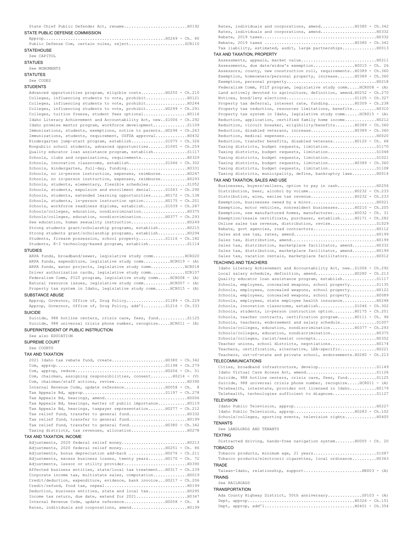| STATE PUBLIC DEFENSE COMMISSION                                                                                                       |
|---------------------------------------------------------------------------------------------------------------------------------------|
|                                                                                                                                       |
|                                                                                                                                       |
| Public Defense Com, certain rules, rejectSCR110                                                                                       |
| <b>STATEHOUSE</b><br>See CAPITOL                                                                                                      |
| <b>STATUES</b>                                                                                                                        |
| See MONUMENTS                                                                                                                         |
| <b>STATUTES</b>                                                                                                                       |
| See CODES                                                                                                                             |
| <b>STUDENTS</b>                                                                                                                       |
| Advanced opportunities program, eligible costsH0250 - Ch.210<br>Colleges, influencing students to vote, prohibit10121                 |
|                                                                                                                                       |
| Colleges, influencing students to vote, prohibit H0299 - Ch.291                                                                       |
| Colleges, tuition freeze, student fees optional10116                                                                                  |
| Idaho Literacy Achievement and Accountability Act, new. S1006 - Ch.292<br>Idaho promise mentor program, workforce developmentS1109    |
| Immunizations, students, exemptions, notice to parents H0298 - Ch.263                                                                 |
| Immunizations, students, requirement, USFDA approval H0432                                                                            |
| Kindergarten jump-start program, establishS1075 - Ch.326<br>Nonpublic school students, advanced opportunities S1045 - Ch.259          |
| Quality educator loan assistance program, establishS1117                                                                              |
| Schools, clubs and organizations, requirements H0329                                                                                  |
| Schools, innovation classrooms, establishS1046 - Ch.302                                                                               |
| Schools, no in-person instruction, expenses, reimburse H0247                                                                          |
| Schools, no in-person instruction, expenses, reimburse H0293                                                                          |
| Schools, students, elementary, flexible schedules51052                                                                                |
| Schools, students, expulsion and enrollment denialS1043 - Ch.290<br>Schools, students, extended learning opportunities H0172 - Ch.138 |
| Schools, students, in-person instruction option H0175 - Ch.201                                                                        |
| Schools, workforce readiness diploma, establishS1039 - Ch.287                                                                         |
| Schools/colleges, education, nondiscrimination                                                                                        |
| Schools/colleges, education, nondiscrimination H0377 - Ch.293<br>Sex education, human sexuality instruction H0249                     |
| Strong students grant/scholarship programs, establishH0215                                                                            |
| Strong students grant/scholarship programs, establishH0294                                                                            |
| Students, firearm possession, school propertyS1116 - Ch.182<br>Students, K-3 technology-based program, establishS1114                 |
| <b>STUDIES</b>                                                                                                                        |
| ARPA funds, broadband/sewer, legislative study commHCR020                                                                             |
| ARPA funds, expenditure, legislative study commHCR019 - (A)                                                                           |
| ARPA funds, water projects, legislative study commRCR018<br>Driver authorization cards, legislative study commSCR107                  |
| Federalism Comm, PILT program, legislative study comm HCR008 - (A)                                                                    |
|                                                                                                                                       |
| Natural resource issues, legislative study commHCR007 - (A)                                                                           |
| Property tax system in Idaho, legislative study comm HCR015 - (A)                                                                     |
| SUBSTANCE ABUSE                                                                                                                       |
| Approp, Governor, Office of, Drug PolicyS1189 - Ch.229<br>Approp, Governor, Office of, Drug Policy, add'lS1216 - Ch.333               |
| <b>SUICIDE</b>                                                                                                                        |
| Suicide, 988 hotline centers, crisis care, fees, fundS1125                                                                            |
| Suicide, 988 universal crisis phone number, recognize HCR011 - (A)                                                                    |
| SUPERINTENDENT OF PUBLIC INSTRUCTION                                                                                                  |
| See also EDUCATION<br><b>SUPREME COURT</b>                                                                                            |
| See COURTS                                                                                                                            |
| <b>TAX AND TAXATION</b>                                                                                                               |
| 2021 Idaho tax rebate fund, create H0380 - Ch.342                                                                                     |
|                                                                                                                                       |
| Com, chairman, assigning responsibilities, consent H0214 - (V)                                                                        |
|                                                                                                                                       |
| Internal Revenue Code, update reference H0058 - Ch.<br>- 8                                                                            |
|                                                                                                                                       |
| Tax Appeals Bd, hearings, matter of public importanceH0119                                                                            |
| Tax Appeals Bd, hearings, taxpayer representation H0277 - Ch.212                                                                      |
|                                                                                                                                       |
| Tax relief fund, transfer to general fund H0380 - Ch.342                                                                              |
|                                                                                                                                       |
| TAX AND TAXATION, INCOME                                                                                                              |
| Adjustments, 2020 federal relief money H0213                                                                                          |
| Adjustments, bonus depreciation add-back H0276 - Ch.211                                                                               |
| Adjustments, excess business losses, twenty years H0170 - Ch. 72                                                                      |

Affected business entities, state/local tax treatment...H0317 - Ch.239 Corporate income tax, multistate sales, computation..............H0019 Credit/deduction, expenditure, evidence, bank invoice...H0217 - Ch.206 Credit/refund, food tax, repeal..................................H0199 Deduction, business entities, state and local tax................H0295 Income tax return, due date, extend for 2021.............................. H0347 Internal Revenue Code, update reference.................H0058 - Ch. 8 Rates, individuals and corporations, amend.......................H0199

| Rates, individuals and corporations, amend H0380 - Ch.342               |
|-------------------------------------------------------------------------|
|                                                                         |
|                                                                         |
|                                                                         |
| Tax liability, estimated, audit, large partnerships H0013               |
| TAX AND TAXATION, PROPERTY                                              |
|                                                                         |
| Assessments, due date/widow's exemption10015 - Ch. 26                   |
| Assessors, county, new construction roll, requirements H0389 - Ch.360   |
| Exemption, homeowners/personal property, increase H0389 - Ch.360        |
|                                                                         |
| Federalism Comm, PILT program, legislative study comm HCR008 - (A)      |
| Land actively devoted to agriculture, definition, amend.H0252 - Ch.270  |
|                                                                         |
| Property tax deferral, interest rate, funding H0309 - Ch.238            |
| Property tax reduction, resources limitations, benefits H0310           |
| Property tax system in Idaho, legislative study comm HCR015 - (A)       |
| Reduction, application, certified family home income H0212              |
| Reduction, circuit breaker, eligibility/benefits H0389 - Ch.360         |
|                                                                         |
|                                                                         |
|                                                                         |
| Reduction, transfer benefits, disabled veteransH0120 - Ch. 68           |
| Taxing districts, budget requests, limitationS1170                      |
|                                                                         |
|                                                                         |
| Taxing districts, budget requests, limitation H0389 - Ch.360            |
|                                                                         |
| Taxing districts, municipality, define, bankruptcy laws H0014           |
| TAX AND TAXATION, SALES AND USE                                         |
| Businesses, buyers/sellers, option to pay in cash H0256                 |
| Distribution, beer, alcohol by volume H0232 - Ch.233                    |
|                                                                         |
|                                                                         |
| Exemption, motor vehicles, nonresident businesses H0210 - Ch.205        |
| Exemption, new manufactured homes, manufacturer H0032 - Ch. 31          |
|                                                                         |
| Exemption/resale certificate, purchaser, establish H0171 - Ch.282       |
| Online sales tax revenue, distribution, revise S1029                    |
|                                                                         |
|                                                                         |
|                                                                         |
| Sales tax, distribution, marketplace facilitator, amend H0332           |
| Sales tax, distribution, marketplace facilitator, amend H0199           |
| Sales tax, vacation rentals, marketplace facilitatorsH0012              |
|                                                                         |
| <b>TEACHING AND TEACHERS</b>                                            |
|                                                                         |
| Idaho Literacy Achievement and Accountability Act, new. S1006 - Ch.292  |
| Local salary schedule, definition, amend H0280 - Ch.213                 |
| Quality educator loan assistance program, establishS1117                |
| Schools, employees, concealed weapons, school propertyS1135             |
| Schools, employees, concealed weapons, school property H0122            |
| Schools, employees, concealed weapons, school property H0089            |
| Schools, employees, state employee health insurance H0248               |
| Schools, innovation classrooms, establish51046 - Ch.302                 |
| Schools, students, in-person instruction option H0175 - Ch.201          |
| Schools, teacher contracts, certification program H0111 - Ch. 96        |
| Schools, teachers, endorsement and salary scheduleS1007                 |
| Schools/colleges, education, nondiscrimination H0377 - Ch.293           |
| Schools/colleges, education, nondiscrimination H0375                    |
|                                                                         |
| Teacher unions, school districts, negotiations H0174                    |
| Teachers, certification, alternative, LEA-specificH0221                 |
| Teachers, out-of-state and private school, endorsements. H0280 - Ch.213 |
| <b>TELECOMMUNICATIONS</b>                                               |
|                                                                         |
|                                                                         |
| Suicide, 988 hotline centers, crisis care, fees, fund S1125             |
| Suicide, 988 universal crisis phone number, recognize HCR011 - (A)      |
|                                                                         |
| Telehealth, interstate, provider not licensed in IdahoH0179             |
| Telehealth, technologies sufficient to diagnose S1127                   |
| <b>TELEVISION</b>                                                       |
|                                                                         |
|                                                                         |
| Schools/colleges, sporting events, television rights H0405              |
| <b>TENANTS</b>                                                          |
| See LANDLORDS AND TENANTS                                               |
| <b>TEXTING</b>                                                          |
|                                                                         |
| Distracted driving, hands-free navigation system H0005 - Ch. 20         |
| <b>TOBACCO</b>                                                          |
|                                                                         |
| Tobacco products/electronic cigarettes, local ordinance H0363           |
| <b>TRADE</b>                                                            |
|                                                                         |
| <b>TRAINS</b>                                                           |
| See RAILROADS                                                           |

|  |  | Ada County Highway District, 50th anniversarySP103 - (A) |  |  |
|--|--|----------------------------------------------------------|--|--|
|  |  |                                                          |  |  |
|  |  |                                                          |  |  |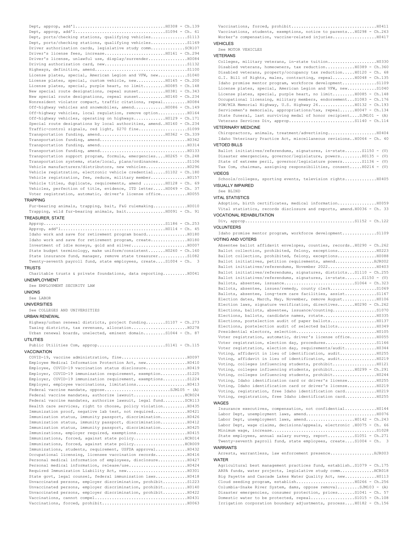Dept, approp, add'l.....................................H0308 - Ch.139 Dept, approp, add'l.....................................S1094 - Ch. 61 Dept, ports/checking stations, qualifying vehicles...............S1113 Dept, ports/checking stations, qualifying vehicles...............S1169 Driver authorization cards, legislative study comm..............SCR107 Driver's license fees, increase.........................H0161 - Ch.294 Driver's license, unlawful use, display/surrender................H0084 Driving authorization card, new..................................S1132 Highways, definition, amend......................................S1100 License plates, special, American Legion and VFW, new............S1040 License plates, special, custom vehicle, new............H0165 - Ch.200 License plates, special, purple heart, no limit.........H0085 - Ch.148 New special route designations, repeal sunset...........H0381 - Ch.343 New special route designations, repeal sunset...........H0160 - Ch.234 Nonresident violator compact, traffic citations, repeal..........H0084 Off-highway vehicles and snowmobiles, amend.............H0086 - Ch.149 Off-highway vehicles, local regulation, remove option............H0164 Off-highway vehicles, operating on highways.............H0129 - Ch.171 Special route designations by local authorities, amend..H0160 - Ch.234 Traffic-control signals, red light, \$270 fine....................S1099 Transportation funding, amend...........................H0362 - Ch.339 Transportation funding, amend....................................H0342 Transportation funding, amend....................................H0314 Transportation funding, amend....................................H0133 Transportation support program, formula, emergencies....H0265 - Ch.248 Transportation systems, state/local, plans/ordinances............S1106 Vehicle manufacturers/distributors, new vehicles.................H0296 Vehicle registration, electronic vehicle credential.....S1102 - Ch.180 Vehicle registration, fee, reduce, military member...............H0157 Vehicle titles, duplicate, requirements, amend .........H0128 - Ch. 69 Vehicles, perfection of title, evidence, ITD letter.....H0049 - Ch. 37 Voter registration, automatic, driver's license office...........H0055

# TRAPPING

Fur-bearing animals, trapping, bait, F&G rulemaking..............H0010 Trapping, wild fur-bearing animals, bait................H0091 - Ch. 91 TREASURER, STATE

Approp..................................................S1186 - Ch.253 Approp, add'l...........................................H0114 - Ch. 45 Idaho work and save for retirement program board.................H0180 Idaho work and save for retirement program, create...............H0180 Investment of idle moneys, gold and silver.......................H0007 State budget terminology, make uniform/consistent.......H0260 - Ch.160 State insurance fund, manager, remove state treasurer............S1082 Twenty-seventh payroll fund, state employees, create....S1004 - Ch. 3 TRUSTS

Charitable trusts & private foundations, data reporting..........H0041 UNEMPLOYMENT

See EMPLOYMENT SECURITY LAW

UNIONS

See LABOR

UNIVERSITIES

See COLLEGES AND UNIVERSITIES

# URBAN RENEWAL

Highway/urban renewal districts, project funding........S1107 - Ch.273 Taxing districts, tax revenues, allocation.......................H0278 Urban renewal boards, unelected, eminent domain.........S1044 - Ch. 87

# UTILITIES

Public Utilities Com, approp................................S1141 - Ch.115 VACCINATION

| Employee Medical Information Protection Act, new10410         |
|---------------------------------------------------------------|
| Employee, COVID-19 vaccination status disclosure H0419        |
| Employer, COVID-19 immunization requirement, exemptionS1225   |
| Employer, COVID-19 immunization requirement, exemptionsS1224  |
|                                                               |
| Federal vaccine mandate, oppose5JM105 - $(A)$                 |
| Federal vaccine mandates, authorize lawsuitRCR024             |
| Federal vaccine mandates, authorize lawsuit, legal fundSCR113 |
| Health care services, right to choose, policy violation H0435 |
| Immunization proof, negative lab test, not required H0421     |
| Immunization status, immunity passport, discrimination H0426  |
| Immunization status, immunity passport, discrimination H0412  |
| Immunization status, immunity passport, discrimination H0425  |
|                                                               |
| Immunizations, forced, against state policyRCR014             |
|                                                               |
| Immunizations, students, requirement, USFDA approval H0432    |
| Occupational licensing, licensee vaccination records H0416    |
| Personal medical information of employees, disclosure H0427   |
|                                                               |
|                                                               |
| State govt, legal counsel, federal immunization laws H0418    |
| Unvaccinated persons, employer discrimination, prohibitS1223  |
| Unvaccinated persons, employer discrimination, prohibitH0140  |
| Unvaccinated persons, employer discrimination, prohibit H0422 |
|                                                               |
|                                                               |

Vaccinations, forced, prohibit...................................H0411 Vaccinations, students, exemptions, notice to parents...H0298 - Ch.263 Worker's compensation, vaccine-related injuries..................H0417 **VEHICLES** 

See MOTOR VEHICLES

## VETERANS

Colleges, military veterans, in-state tuition....................H0330 Disabled veterans, homeowners, tax reduction............H0389 - Ch.360 Disabled veterans, property/occupancy tax reduction.....H0120 - Ch. 68 G.I. Bill of Rights, males, contracting, repeal.........H0048 - Ch.135 Idaho promise mentor program, workforce development..............S1109 License plates, special, American Legion and VFW, new............S1040 License plates, special, purple heart, no limit.........H0085 - Ch.148 Occupational licensing, military members, endorsement...S1083 - Ch.176 POW/MIA Memorial Highway, U.S. Highway 26...............H0132 - Ch.193 Servicemen's memorials, appropriations/tax, repeal......H0047 - Ch.134 State funeral, last surviving medal of honor recipient....SJM101 - (A) Veterans Services Div, approp..............................S1140 - Ch.114

# VETERINARY MEDICINE

Chiropractors, animals, treatment/advertising....................H0404 Idaho Veterinary Practice Act, miscellaneous revisions..H0064 - Ch. 40 VETOED BILLS

Ballot initiatives/referendums, signatures, in-state.......S1150 - (V) Disaster emergencies, governor/legislature, powers.........H0135 - (V) State of extreme peril, governor/legislature powers........S1136 - (V) Tax Com, chairman, assigning responsibilities, consent.....H0214 - (V)

# VIDEOS

Schools/colleges, sporting events, television rights.............H0405 VISUALLY IMPAIRED

# See BLIND

VITAL STATISTICS

Adoption, birth certificates, medical information................H0059 Vital statistics, records disclosure and reports, amend.H0036 - Ch. 33 VOCATIONAL REHABILITATION

# Div, approp.............................................S1152 - Ch.122

VOLUNTEERS Idaho promise mentor program, workforce development..............S1109

VOTING AND VOTERS

Absentee ballot affidavit envelopes, counties, records..H0290 - Ch.262 Ballot collection, prohibited, felony, exceptions................H0223 Ballot collection, prohibited, felony, exceptions................H0088 Ballot initiatives, petition requirements, amend................HJR002 Ballot initiatives/referendums, November 2022....................H0403 Ballot initiatives/referendums, signatures, districts...S1110 - Ch.255 Ballot initiatives/referendums, signatures, in-state.......S1150 - (V) Ballots, absentee, issuance.............................S1064 - Ch.323 Ballots, absentee, issues/remedy, county clerk......................S1069 Ballots, absentee, long-term care facilities, assist.............S1167 Election dates, March, May, November, remove August...............H0106 Election laws, signature verification, directives.......H0290 - Ch.262 Elections, ballots, absentee, issuance/counting.....................S1070 Elections, ballots, candidate names, rotate......................H0335 Elections, postelection audit of paper ballots...................H0137 Elections, postelection audit of selected ballots................H0349 Presidential electors, selection.................................H0105 Voter registration, automatic, driver's license office...........H0055 Voter registration, election day, procedures.....................S1166 Voter registration, election day, requirements/audit.............H0344 Voting, affidavit in lieu of identification, audit...............H0255 Voting, affidavit in lieu of identification, audit...............H0219 Voting, colleges influencing students, prohibit..................H0121 Voting, colleges influencing students, prohibit.........H0299 - Ch.291 Voting, colleges influencing students, prohibit..................H0244 Voting, Idaho identification card or driver's license............H0255 Voting, Idaho identification card or driver's license............H0219 Voting, registration, free Idaho identification card.............H0219 Voting, registration, free Idaho identification card.............H0255

## WAGES

Insurance executives, compensation, not confidential.............H0144 Labor Dept, unemployment laws, amend.............................H0076 Labor Dept, unemployment laws, amend....................H0142 - Ch.243 Labor Dept, wage claims, decisions/appeals, electronic .H0075 - Ch. 66 Minimum wage, increase...........................................S1028 State employees, annual salary survey, report...........S1051 - Ch.271 Twenty-seventh payroll fund, state employees, create....S1004 - Ch. 3 WARRANTS

Arrests, warrantless, law enforcement presence...................HJR003 WATER

Agricultural best management practices fund, establish..S1079 - Ch.175 ARPA funds, water projects, legislative study comm................HCR018 Big Payette and Cascade Lakes Water Quality Act, new.............H0113 Cloud seeding program, establish........................H0266 - Ch.256 Columbia-Snake River System, dams, oppose removal.........SJM103 - (A) Disaster emergencies, consumer protection, prices.......S1041 - Ch. 57 Domestic water to be protected, repeal....................S1015 - Ch.108 Irrigation corporation boundary adjustments, process....H0182 - Ch.156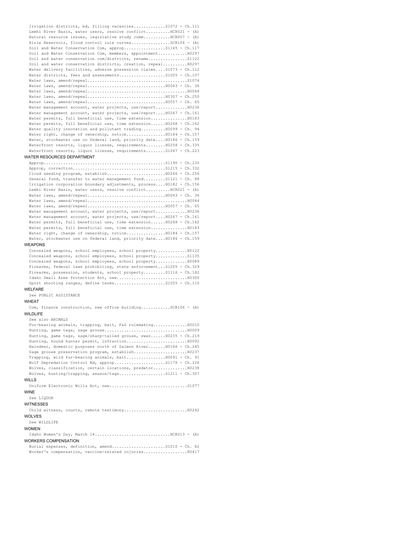| Irrigation districts, bd, filling vacanciesS1072 - Ch.111           |
|---------------------------------------------------------------------|
| Lemhi River Basin, water users, resolve conflictHCR021 - (A)        |
| Natural resource issues, legislative study commHCR007 - (A)         |
| Ririe Reservoir, flood control rule curvesSCR104 - (A)              |
| Soil and Water Conservation Com, appropS1145 - Ch.117               |
| Soil and Water Conservation Com, members, appointment H0297         |
| Soil and water conservation com/districts, renameS1122              |
| Soil and water conservation districts, creation, repeal H0297       |
| Water delivery facilities, adverse possession claimsS1073 - Ch.112  |
| Water districts, fees and assessments51005 - Ch.107                 |
|                                                                     |
|                                                                     |
|                                                                     |
|                                                                     |
|                                                                     |
| Water management account, water projects, use/report H0236          |
| Water management account, water projects, use/reportH0267 - Ch.161  |
| Water permits, full beneficial use, time extensionH0183             |
| Water permits, full beneficial use, time extension H0268 - Ch.162   |
| Water quality innovation and pollutant trading $H0099 - Ch. 94$     |
| Water right, change of ownership, notice H0184 - Ch.157             |
| Water, stockwater use on federal land, priority date H0186 - Ch.159 |
| Waterfront resorts, liquor license, requirements H0258 - Ch.335     |
| Waterfront resorts, liquor license, requirementsS1047 - Ch.223      |
| WATER RESOURCES DEPARTMENT                                          |

| General fund, transfer to water management fundS1121 - Ch. 88       |
|---------------------------------------------------------------------|
| Irrigation corporation boundary adjustments, processH0182 - Ch.156  |
| Lemhi River Basin, water users, resolve conflictHCR021 - (A)        |
|                                                                     |
|                                                                     |
|                                                                     |
| Water management account, water projects, use/reportH0236           |
| Water management account, water projects, use/reportH0267 - Ch.161  |
| Water permits, full beneficial use, time extension H0268 - Ch.162   |
| Water permits, full beneficial use, time extension H0183            |
|                                                                     |
| Water, stockwater use on federal land, priority date H0186 - Ch.159 |

# WEAPONS

Concealed weapons, school employees, school property.............H0122 Concealed weapons, school employees, school property.............S1135 Concealed weapons, school employees, school property.............H0089 Firearms, federal laws prohibiting, state enforcement...S1205 - Ch.329 Firearms, possession, students, school property.........S1116 - Ch.182 Idaho Small Arms Protection Act, new.............................H0300 Sport shooting ranges, define terms.......................S1055 - Ch.110

## WELFARE

See PUBLIC ASSISTANCE

# WHEAT

Com, finance construction, new office building............SCR106 - (A) WILDLIFE

See also ANIMALS Fur-bearing animals, trapping, bait, F&G rulemaking.............................. Hunting, game tags, sage grouse..................................H0009 Hunting, game tags, sage/sharp-tailed grouse, swan......H0235 - Ch.219 Hunting, hound hunter permit, infraction.........................H0092 Reindeer, domestic purposes north of Salmon River.......H0166 - Ch.245 Sage grouse preservation program, establish......................H0237 Trapping, wild fur-bearing animals, bait................H0091 - Ch. 91 Wolf Depredation Control Bd, approp.....................S1176 - Ch.226 Wolves, classification, certain locations, predator..............H0238 Wolves, hunting/trapping, season/tags...................S1211 - Ch.307 WILLS

Uniform Electronic Wills Act, new................................S1077 WINE

# See LIQUOR

WITNESSES

Child witness, courts, remote testimony..........................H0242 WOLVES

### See WILDLIFE

# WOMEN

Idaho Women's Day, March 14...............................HCR013 - (A) WORKERS COMPENSATION

Burial expenses, definition, amend......................S1010 - Ch. 82 Worker's compensation, vaccine-related injuries..................H0417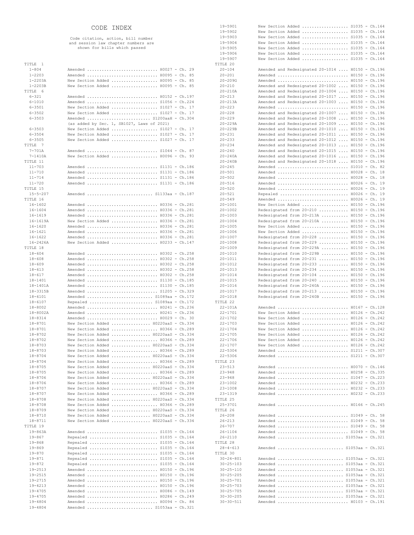# CODE INDEX

Code citation, action, bill number and session law chapter numbers are shown for bills which passed

| TITLE 1                    |                                                      |  |
|----------------------------|------------------------------------------------------|--|
| $1 - 804$                  | Amended  H0027 - Ch. 29                              |  |
| $1 - 2203$                 | Amended  H0095 - Ch. 85                              |  |
| $1 - 2203A$                | New Section Added  H0095 - Ch. 85                    |  |
| $1 - 2203B$                | New Section Added  H0095 - Ch. 85                    |  |
| TITLE 6                    |                                                      |  |
| $6 - 321$                  | Amended  H0152 - Ch.197                              |  |
| $6 - 1010$                 | Amended  S1056 - Ch.224                              |  |
| $6 - 3501$                 | New Section Added  S1027 - Ch. 17                    |  |
| $6 - 3502$                 | New Section Added  S1027 - Ch. 17                    |  |
| $6 - 3503$                 | Amended  S1200aaH - Ch.304                           |  |
|                            | (as added by Sec. 1, SB1027, Laws of 2021)           |  |
| $6 - 3503$                 | New Section Added  S1027 - Ch. 17                    |  |
| $6 - 3504$                 | New Section Added  S1027 - Ch. 17                    |  |
| $6 - 3505$                 | New Section Added  S1027 - Ch. 17                    |  |
| TITLE 7                    |                                                      |  |
| $7 - 701A$                 | Amended  S1044 - Ch. 87                              |  |
| $7 - 1410A$                | New Section Added  H0096 - Ch. 93                    |  |
| TITLE 11                   |                                                      |  |
| $11 - 703$                 | Amended  S1131 - Ch.186                              |  |
| $11 - 710$                 | Amended  S1131 - Ch.186                              |  |
| $11 - 714$                 | Amended  S1131 - Ch.186                              |  |
| $11 - 720$                 | Amended  S1131 - Ch.186                              |  |
| TITLE 15                   |                                                      |  |
| $15 - 5 - 207$<br>TITLE 16 | Amended  S1133aa - Ch.187                            |  |
| $16 - 1602$                | Amended  H0336 - Ch.281                              |  |
| $16 - 1604$                |                                                      |  |
| 16-1619                    | Amended  H0336 - Ch.281<br>Amended  H0336 - Ch.281   |  |
| 16-1619A                   | New Section Added  H0336 - Ch.281                    |  |
| $16 - 1620$                | Amended  H0336 - Ch.281                              |  |
| 16-1621                    | Amended  H0336 - Ch.281                              |  |
| 16-1622                    | Amended  H0336 - Ch.281                              |  |
| $16 - 2426A$               | New Section Added  H0233 - Ch.147                    |  |
| TITLE 18                   |                                                      |  |
| $18 - 604$                 | Amended  H0302 - Ch.258                              |  |
| $18 - 608$                 | Amended  H0302 - Ch.258                              |  |
| $18 - 609$                 | Amended  H0302 - Ch.258                              |  |
| $18 - 613$                 | Amended  H0302 - Ch.258                              |  |
| $18 - 617$                 | Amended  H0302 - Ch.258                              |  |
| 18-1401                    | Amended  S1130 - Ch.185                              |  |
| 18-1401A                   | Amended  S1130 - Ch.185                              |  |
| 18-3315B                   | Amended  S1205 - Ch.329                              |  |
| $18 - 6101$                | Amended  S1089aa - Ch.172                            |  |
| $18 - 6107$                | Repealed  S1089aa - Ch.172                           |  |
| $18 - 8002$                | Amended  H0241 - Ch.236                              |  |
| 18-8002A                   | Amended  H0241 - Ch.236                              |  |
| 18-8314                    | Amended  H0029 - Ch. 30                              |  |
| $18 - 8701$                | New Section Added  H0220aaS - Ch.334                 |  |
| $18 - 8701$                | New Section Added  H0366 - Ch.289                    |  |
| 18-8702                    | New Section Added  H0220aaS - Ch.334                 |  |
| $18 - 8702$                | New Section Added $H0366 - Ch.289$                   |  |
| $18 - 8703$                | New Section Added  H0220aaS - Ch.334                 |  |
| 18-8703                    | New Section Added  H0366 - Ch.289                    |  |
| $18 - 8704$                | New Section Added  H0220aaS - Ch.334                 |  |
| $18 - 8704$                | New Section Added  H0366 - Ch.289                    |  |
| $18 - 8705$                | New Section Added  H0220aaS - Ch.334                 |  |
| $18 - 8705$                | New Section Added  H0366 - Ch.289                    |  |
| 18-8706                    | New Section Added  H0220aaS - Ch.334                 |  |
| 18-8706                    | New Section Added  H0366 - Ch.289                    |  |
| 18-8707                    | New Section Added  H0220aaS - Ch.334                 |  |
| 18-8707                    | New Section Added  H0366 - Ch.289                    |  |
| 18-8708                    | New Section Added  H0220aaS - Ch.334                 |  |
| 18-8708                    | New Section Added  H0366 - Ch.289                    |  |
| 18-8709                    | New Section Added  H0220aaS - Ch.334                 |  |
| 18-8710                    | New Section Added  H0220aaS - Ch.334                 |  |
| $18 - 8711$                | New Section Added  H0220aaS - Ch.334                 |  |
| TITLE 19                   |                                                      |  |
| $19 - 863A$                | Amended  S1035 - Ch.164                              |  |
| $19 - 867$                 | Repealed  S1035 - Ch.164                             |  |
| $19 - 868$                 | Repealed  S1035 - Ch.164                             |  |
| 19-869<br>$19 - 870$       | Repealed  S1035 - Ch.164<br>Repealed  S1035 - Ch.164 |  |
| $19 - 871$                 | Repealed  S1035 - Ch.164                             |  |
| $19 - 872$                 | Repealed  S1035 - Ch.164                             |  |
| $19 - 2513$                | Amended  H0150 - Ch.196                              |  |
| 19-2515                    | Amended  H0150 - Ch.196                              |  |
| 19-2715                    | Amended  H0150 - Ch.196                              |  |
| $19 - 4213$                | Amended  H0150 - Ch.196                              |  |
| $19 - 4705$                | Amended  H0086 - Ch.149                              |  |
| $19 - 4705$                | Amended  H0286 - Ch.249                              |  |
| $19 - 4804$                | Amended  H0094 - Ch. 84                              |  |
| $19 - 4804$                | Amended  S1053aa - Ch.321                            |  |

| 19-5901                            |                                                              |                  |
|------------------------------------|--------------------------------------------------------------|------------------|
|                                    | New Section Added  S1035 - Ch.164                            |                  |
| 19-5902                            | New Section Added $S1035 - Ch.164$                           |                  |
| 19-5903                            | New Section Added  S1035 - Ch.164                            |                  |
| 19-5904                            | New Section Added $S1035 - Ch.164$                           |                  |
| 19-5905                            | New Section Added $$1035 - Ch.164$                           |                  |
| 19-5906                            | New Section Added  S1035 - Ch.164                            |                  |
| 19-5907                            | New Section Added  S1035 - Ch.164                            |                  |
| TITLE 20                           |                                                              |                  |
| $20 - 104$                         | Amended and Redesignated 20-1014  H0150 - Ch.196             |                  |
| $20 - 201$                         | Amended  H0150 - Ch.196                                      |                  |
| $20 - 209G$                        | Amended  H0150 - Ch.196                                      |                  |
| $20 - 210$                         | Amended and Redesignated 20-1002  H0150 - Ch.196             |                  |
| $20 - 210A$                        | Amended and Redesignated 20-1004  H0150 - Ch.196             |                  |
| $20 - 213$                         | Amended and Redesignated 20-1017  H0150 - Ch.196             |                  |
| $20 - 213A$                        | Amended and Redesignated 20-1003  H0150 - Ch.196             |                  |
| $20 - 223$                         | Amended  H0150 - Ch.196                                      |                  |
| $20 - 228$                         | Amended and Redesignated 20-1007  H0150 - Ch.196             |                  |
|                                    |                                                              |                  |
| $20 - 229$                         | Amended and Redesignated 20-1008  H0150 - Ch.196             |                  |
| $20 - 229A$                        | Amended and Redesignated 20-1009  H0150 - Ch.196             |                  |
| $20 - 229B$                        | Amended and Redesignated 20-1010  H0150 - Ch.196             |                  |
| $20 - 231$                         | Amended and Redesignated 20-1011  H0150 - Ch.196             |                  |
| $20 - 233$                         | Amended and Redesignated 20-1012  H0150 - Ch.196             |                  |
| $20 - 234$                         | Amended and Redesignated 20-1013  H0150 - Ch.196             |                  |
| $20 - 240$                         | Amended and Redesignated 20-1015  H0150 - Ch.196             |                  |
| $20 - 240A$                        | Amended and Redesignated 20-1016  H0150 - Ch.196             |                  |
| $20 - 240B$                        | Amended and Redesignated 20-1018  H0150 - Ch.196             |                  |
| $20 - 245$                         | Amended  S1010 - Ch. 82                                      |                  |
| $20 - 501$                         | Amended  H0028 - Ch. 18                                      |                  |
| $20 - 502$                         | Amended  H0028 - Ch. 18                                      |                  |
| $20 - 516$                         | Amended  H0026 - Ch. 19                                      |                  |
| $20 - 520$                         | Amended  H0026 - Ch. 19                                      |                  |
| $20 - 521$                         | Repealed  H0026 - Ch. 19                                     |                  |
| $20 - 549$                         | Amended  H0026 - Ch. 19                                      |                  |
|                                    |                                                              |                  |
| $20 - 1001$                        | New Section Added  H0150 - Ch.196                            |                  |
| $20 - 1002$                        | Redesignated from 20-210  H0150 - Ch.196                     |                  |
| $20 - 1003$                        | Redesignated from 20-213A  H0150 - Ch.196                    |                  |
| $20 - 1004$                        | Redesignated from 20-210A  H0150 - Ch.196                    |                  |
| $20 - 1005$                        | New Section Added $H0150 - Ch.196$                           |                  |
| $20 - 1006$                        | New Section Added  H0150 - Ch.196                            |                  |
| $20 - 1007$                        | Redesignated from 20-228  H0150 - Ch.196                     |                  |
| $20 - 1008$                        | Redesignated from 20-229  H0150 - Ch.196                     |                  |
| $20 - 1009$                        | Redesignated from 20-229A  H0150 - Ch.196                    |                  |
| $20 - 1010$                        | Redesignated from 20-229B  H0150 - Ch.196                    |                  |
| $20 - 1011$                        | Redesignated from 20-231  H0150 - Ch.196                     |                  |
| $20 - 1012$                        | Redesignated from 20-233  H0150 - Ch.196                     |                  |
| $20 - 1013$                        | Redesignated from 20-234  H0150 - Ch.196                     |                  |
| $20 - 1014$                        | Redesignated from 20-104  H0150 - Ch.196                     |                  |
|                                    |                                                              |                  |
| $20 - 1015$                        | Redesignated from 20-240  H0150 - Ch.196                     |                  |
| $20 - 1016$                        | Redesignated from 20-240A  H0150 - Ch.196                    |                  |
| $20 - 1017$                        | Redesignated from 20-213  H0150 - Ch.196                     |                  |
| 20-1018                            | Redesignated from 20-240B  H0150 - Ch.196                    |                  |
| TITLE 22                           |                                                              |                  |
| $22 - 101A$                        | Amended  H0167 - Ch.128                                      |                  |
| 22-1701                            | New Section Added  H0126 - Ch.242                            |                  |
| $22 - 1702$                        | New Section Added  H0126 - Ch.242                            |                  |
| $22 - 1703$                        | New Section Added                                            | $H0126 - Ch.242$ |
| $22 - 1704$                        | New Section Added  H0126 - Ch.242                            |                  |
| $22 - 1705$                        | New Section Added  H0126 - Ch.242                            |                  |
| $22 - 1706$                        | New Section Added  H0126 - Ch.242                            |                  |
| $22 - 1707$                        |                                                              |                  |
| $22 - 5304$                        | New Section Added  H0126 - Ch.242<br>Amended  S1211 - Ch.307 |                  |
| $22 - 5306$                        | Amended  S1211 - Ch.307                                      |                  |
| TITLE 23                           |                                                              |                  |
| $23 - 513$                         | Amended  H0070 - Ch.146                                      |                  |
| $23 - 948$                         | Amended  H0258 - Ch.335                                      |                  |
| $23 - 948$                         |                                                              |                  |
| $23 - 1002$                        | Amended  S1047 - Ch.223                                      |                  |
| $23 - 1008$                        | Amended  H0232 - Ch.233                                      |                  |
|                                    | Amended  H0232 - Ch.233                                      |                  |
| $23 - 1319$                        | Amended  H0232 - Ch.233                                      |                  |
| TITLE 25                           |                                                              |                  |
| $25 - 3701$                        | Amended  H0166 - Ch.245                                      |                  |
| TITLE 26<br>$26 - 208$             |                                                              |                  |
|                                    | Amended  S1049 - Ch. 58                                      |                  |
| $26 - 213$                         | Amended  S1049 - Ch. 58                                      |                  |
| $26 - 707$                         | Amended  S1049 - Ch. 58                                      |                  |
| 26-1104                            | Amended  S1049 - Ch. 58                                      |                  |
| $26 - 2110$                        | Amended  S1053aa - Ch.321                                    |                  |
| TITLE 28                           |                                                              |                  |
| $28 - 4 - 613$                     | Amended  S1053aa - Ch.321                                    |                  |
| TITLE 30                           |                                                              |                  |
| $30 - 24 - 801$                    | Amended  S1053aa - Ch.321                                    |                  |
| $30 - 25 - 103$                    | Amended  S1053aa - Ch.321                                    |                  |
| $30 - 25 - 110$                    | Amended  S1053aa - Ch.321                                    |                  |
| $30 - 25 - 205$<br>$30 - 25 - 701$ | Amended  S1053aa - Ch.321                                    |                  |
|                                    | Amended  S1053aa - Ch.321                                    |                  |
| $30 - 25 - 703$                    | Amended  S1053aa - Ch.321                                    |                  |
| $30 - 25 - 705$<br>$30 - 30 - 205$ | Amended  S1053aa - Ch.321<br>Amended  S1053aa - Ch.321       |                  |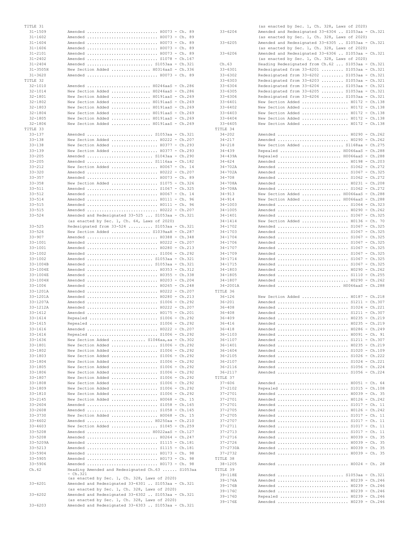| $31 - 1509$                 |                                                                                                     |  |
|-----------------------------|-----------------------------------------------------------------------------------------------------|--|
| $31 - 1602$                 | Amended  H0073 - Ch. 89                                                                             |  |
| $31 - 1604$                 | Amended  H0073 - Ch. 89<br>Amended  H0073 - Ch. 89                                                  |  |
| $31 - 1606$                 | Amended  H0073 - Ch. 89                                                                             |  |
| $31 - 2101$                 | Amended  H0073 - Ch. 89                                                                             |  |
| $31 - 2402$                 | Amended  S1078 - Ch.167                                                                             |  |
| $31 - 2404$<br>$31 - 3505H$ | Amended  S1053aa - Ch.321<br>New Section Added  H0316aaS - Ch.336                                   |  |
| $31 - 3620$                 | Amended  H0073 - Ch. 89                                                                             |  |
| TITLE 32                    |                                                                                                     |  |
| $32 - 1010$                 | Amended  H0246aaS - Ch.286                                                                          |  |
| $32 - 1014$<br>$32 - 1801$  | New Section Added  H0246aaS - Ch.286<br>New Section Added  H0191aaS - Ch.269                        |  |
| $32 - 1802$                 | New Section Added  H0191aaS - Ch.269                                                                |  |
| $32 - 1803$                 | New Section Added  H0191aaS - Ch.269                                                                |  |
| $32 - 1804$                 | New Section Added  H0191aaS - Ch.269                                                                |  |
| $32 - 1805$                 | New Section Added  H0191aaS - Ch.269                                                                |  |
| $32 - 1806$<br>TITLE 33     | New Section Added  H0191aaS - Ch.269                                                                |  |
| $33 - 137$                  | Amended  S1053aa - Ch.321                                                                           |  |
| $33 - 138$                  | New Section Added  H0222 - Ch.207                                                                   |  |
| $33 - 138$                  | New Section Added  H0377 - Ch.293                                                                   |  |
| $33 - 139$<br>$33 - 205$    | New Section Added  H0377 - Ch.293<br>Amended  S1043aa - Ch.290                                      |  |
| $33 - 205$                  | Amended  S1116aa - Ch.182                                                                           |  |
| $33 - 212$                  | New Section Added  H0067 - Ch. 14                                                                   |  |
| $33 - 320$                  | Amended  H0222 - Ch.207                                                                             |  |
| $33 - 357$<br>$33 - 358$    | Amended  H0073 - Ch. 89                                                                             |  |
| $33 - 511$                  | New Section Added  S1075 - Ch.326<br>Amended  S1067 - Ch.325                                        |  |
| $33 - 512$                  | Amended  H0067 - Ch. 14                                                                             |  |
| $33 - 514$                  | Amended  H0111 - Ch. 96                                                                             |  |
| $33 - 515$                  | Amended  H0111 - Ch. 96                                                                             |  |
| $33 - 515$<br>$33 - 524$    | Amended  H0222 - Ch.207<br>Amended and Redesignated 33-525  S1053aa - Ch.321                        |  |
|                             | (as enacted by Sec. 1, Ch. 64, Laws of 2020)                                                        |  |
| $33 - 525$                  | Redesignated from 33-524  S1053aa - Ch.321                                                          |  |
| $33 - 526$                  | New Section Added  S1039aaH - Ch.287                                                                |  |
| $33 - 907$<br>$33 - 1001$   | Amended  H0388 - Ch.348<br>Amended  H0222 - Ch.207                                                  |  |
| $33 - 1001$                 | Amended  H0280 - Ch.213                                                                             |  |
| $33 - 1002$                 | Amended  S1006 - Ch.292                                                                             |  |
| $33 - 1002$                 | Amended  S1053aa - Ch.321                                                                           |  |
| 33-1004B<br>33-1004E        | Amended  S1053aa - Ch.321<br>Amended  H0353 - Ch.312                                                |  |
| 33-1004E                    | Amended  H0355 - Ch.338                                                                             |  |
| 33-1004H                    | Amended  H0203 - Ch.204                                                                             |  |
| $33 - 1006$<br>33-1201A     | Amended  H0265 - Ch.248                                                                             |  |
|                             |                                                                                                     |  |
| $33 - 1201A$                | Amended  H0222 - Ch.207                                                                             |  |
| 33-1207A                    | Amended  H0280 - Ch.213<br>Amended  S1006 - Ch.292                                                  |  |
| 33-1212A                    | Amended  H0222 - Ch.207                                                                             |  |
| $33 - 1612$                 | Amended  H0175 - Ch.201                                                                             |  |
| $33 - 1614$<br>$33 - 1615$  | Repealed  S1006 - Ch.292                                                                            |  |
| 33-1616                     | Repealed  S1006 - Ch.292<br>Amended  H0222 - Ch.207                                                 |  |
| $33 - 1616$                 | Repealed  S1006 - Ch.292                                                                            |  |
| $33 - 1636$                 | New Section Added  S1046aa, aa - Ch.302                                                             |  |
| 33-1801<br>33-1802          | New Section Added  S1006 - Ch.292                                                                   |  |
| 33-1803                     | New Section Added  S1006 - Ch.292<br>New Section Added  S1006 - Ch.292                              |  |
| $33 - 1804$                 | New Section Added  S1006 - Ch.292                                                                   |  |
| $33 - 1805$                 | New Section Added  S1006 - Ch.292                                                                   |  |
| 33-1806<br>$33 - 1807$      | New Section Added  S1006 - Ch.292                                                                   |  |
| 33-1808                     | New Section Added  S1006 - Ch.292<br>New Section Added  S1006 - Ch.292                              |  |
| 33-1809                     | New Section Added  S1006 - Ch.292                                                                   |  |
| 33-1810                     | New Section Added  S1006 - Ch.292                                                                   |  |
| $33 - 2145$                 | New Section Added  H0068 - Ch. 15                                                                   |  |
| $33 - 2604$<br>$33 - 2608$  | Amended  S1058 - Ch.165<br>Amended  S1058 - Ch.165                                                  |  |
| $33 - 3730$                 | New Section Added  H0068 - Ch. 15                                                                   |  |
| $33 - 4602$                 | Amended  H0250aa - Ch.210                                                                           |  |
| $33 - 4603$                 | New Section Added  S1045 - Ch.259                                                                   |  |
| $33 - 5208$<br>$33 - 5208$  | Amended  H0022aaS - Ch.127<br>Amended  H0264 - Ch.247                                               |  |
| $33 - 5209A$                | Amended  S1115 - Ch.181                                                                             |  |
| $33 - 5213$                 | Amended  S1115 - Ch.181                                                                             |  |
| $33 - 5904$                 | Amended  H0173 - Ch. 98                                                                             |  |
| $33 - 5905$<br>$33 - 5906$  | Amended  H0173 - Ch. 98<br>Amended  H0173 - Ch. 98                                                  |  |
| Ch.62                       | Heading Amended and Redesignated Ch.63  S1053aa                                                     |  |
|                             | - Ch.321<br>(as enacted by Sec. 1, Ch. 328, Laws of 2020)                                           |  |
| $33 - 6201$                 | Amended and Redesignated 33-6301  S1053aa - Ch.321                                                  |  |
|                             | (as enacted by Sec. 1, Ch. 328, Laws of 2020)                                                       |  |
| $33 - 6202$                 | Amended and Redesignated 33-6302  S1053aa - Ch.321<br>(as enacted by Sec. 1, Ch. 328, Laws of 2020) |  |

|                            | (as enacted by Sec. 1, Ch. 328, Laws of 2020)                          |  |
|----------------------------|------------------------------------------------------------------------|--|
| $33 - 6204$                | Amended and Redesignated 33-6304  S1053aa - Ch.321                     |  |
|                            | (as enacted by Sec. 1, Ch. 328, Laws of 2020)                          |  |
| $33 - 6205$                | Amended and Redesignated 33-6305  S1053aa - Ch.321                     |  |
|                            | (as enacted by Sec. 1, Ch. 328, Laws of 2020)                          |  |
| $33 - 6206$                | Amended and Redesignated 33-6306  S1053aa - Ch.321                     |  |
|                            | (as enacted by Sec. 1, Ch. 328, Laws of 2020)                          |  |
| Ch.63                      | Heading Redesignated from Ch.62  S1053aa - Ch.321                      |  |
| $33 - 6301$                | Redesignated from 33-6201  S1053aa - Ch.321                            |  |
| $33 - 6302$                | Redesignated from 33-6202  S1053aa - Ch.321                            |  |
| $33 - 6303$                | Redesignated from 33-6203  S1053aa - Ch.321                            |  |
| $33 - 6304$                | Redesignated from 33-6204  S1053aa - Ch.321                            |  |
| $33 - 6305$                | Redesignated from 33-6205  S1053aa - Ch.321                            |  |
| $33 - 6306$                | Redesignated from 33-6206  S1053aa - Ch.321                            |  |
| $33 - 6401$<br>$33 - 6402$ | New Section Added  H0172 - Ch.138<br>New Section Added  H0172 - Ch.138 |  |
| $33 - 6403$                | New Section Added  H0172 - Ch.138                                      |  |
| $33 - 6404$                | New Section Added  H0172 - Ch.138                                      |  |
| $33 - 6405$                | New Section Added  H0172 - Ch.138                                      |  |
| TITLE 34                   |                                                                        |  |
| $34 - 202$                 | Amended  H0290 - Ch.262                                                |  |
| $34 - 217$                 | Amended  H0290 - Ch.262                                                |  |
| $34 - 218$                 | New Section Added  S1168aa - Ch.275                                    |  |
| $34 - 439$                 | Repealed  H0066aaS - Ch.288                                            |  |
| $34 - 439A$                | Repealed  H0066aaS - Ch.288                                            |  |
| $34 - 624$                 | Amended  H0198 - Ch.203                                                |  |
| $34 - 702A$<br>$34 - 702A$ | Amended  S1062 - Ch.272                                                |  |
| $34 - 708$                 | Amended  S1067 - Ch.325<br>Amended  S1062 - Ch.272                     |  |
| $34 - 708A$                | Amended  H0231 - Ch.208                                                |  |
| $34 - 708A$                | Amended  S1062 - Ch.272                                                |  |
| $34 - 913$                 | New Section Added  H0066aaS - Ch.288                                   |  |
| $34 - 914$                 | New Section Added  H0066aaS - Ch.288                                   |  |
| $34 - 1003$                | Amended  S1064 - Ch.323                                                |  |
| $34 - 1005$                | Amended  H0290 - Ch.262                                                |  |
| $34 - 1401$                | Amended  S1067 - Ch.325                                                |  |
| $34 - 1414$                | New Section Added  H0136 - Ch. 70                                      |  |
| $34 - 1702$                | Amended  S1067 - Ch.325                                                |  |
| 34-1703                    | Amended  S1067 - Ch.325                                                |  |
| $34 - 1704$                | Amended  S1067 - Ch.325                                                |  |
| $34 - 1706$                | Amended  S1067 - Ch.325                                                |  |
| $34 - 1707$                | Amended  S1067 - Ch.325                                                |  |
| $34 - 1709$<br>34-1714     | Amended  S1067 - Ch.325                                                |  |
| $34 - 1715$                | Amended  S1067 - Ch.325<br>Amended  S1067 - Ch.325                     |  |
| 34-1803                    | Amended  H0290 - Ch.262                                                |  |
| $34 - 1805$                | Amended  S1110 - Ch.255                                                |  |
| 34-1807                    | Amended  H0290 - Ch.262                                                |  |
| 34-2001A                   | Amended  H0066aaS - Ch.288                                             |  |
| TITLE 36                   |                                                                        |  |
| $36 - 126$                 | New Section Added  H0187 - Ch.218                                      |  |
| $36 - 201$                 | Amended  S1211 - Ch.307                                                |  |
| $36 - 408$                 | Amended  S1024 - Ch.221                                                |  |
| $36 - 408$                 | Amended  S1211 - Ch.307                                                |  |
| $36 - 409$                 | Amended  H0235 - Ch.219                                                |  |
| $36 - 416$                 | Amended  H0235 - Ch.219                                                |  |
| $36 - 418$<br>$36 - 1103$  | Amended  H0286 - Ch.249<br>Amended  H0091 - Ch. 91                     |  |
| 36-1107                    | Amended  S1211 - Ch.307                                                |  |
| $36 - 1401$                | Amended  H0235 - Ch.219                                                |  |
| $36 - 1604$                | Amended  S1020 - Ch.109                                                |  |
| $36 - 2105$                | Amended  S1026 - Ch.222                                                |  |
| $36 - 2107$                | Amended  S1024 - Ch.221                                                |  |
| $36 - 2116$                | Amended  S1056 - Ch.224                                                |  |
| $36 - 2117$                | Amended  S1056 - Ch.224                                                |  |
| TITLE 37                   |                                                                        |  |
| $37 - 606$                 | Amended  H0051 - Ch. 64                                                |  |
| $37 - 2102$                | Repealed  S1015 - Ch.108                                               |  |
| $37 - 2701$                | Amended  H0039 - Ch. 35                                                |  |
| $37 - 2701$                | Amended  H0126 - Ch.242                                                |  |
| $37 - 2701$<br>$37 - 2705$ | Amended  S1017 - Ch. 11<br>Amended  H0126 - Ch.242                     |  |
| $37 - 2705$                | Amended  S1017 - Ch. 11                                                |  |
| $37 - 2707$                | Amended  S1017 - Ch. 11                                                |  |
| 37-2711                    | Amended  S1017 - Ch. 11                                                |  |
| 37-2713                    | Amended  S1017 - Ch. 11                                                |  |
| $37 - 2716$                | Amended  H0039 - Ch. 35                                                |  |
| $37 - 2726$                | Amended  H0039 - Ch. 35                                                |  |
| 37-2730A                   | Amended  H0039 - Ch. 35                                                |  |
| $37 - 2732$                | Amended  H0039 - Ch. 35                                                |  |
| TITLE 38                   |                                                                        |  |
| $38 - 1205$                | Amended  H0024 - Ch. 28                                                |  |
| TITLE 39                   |                                                                        |  |
| 39-118E                    | Amended  S1053aa - Ch.321                                              |  |
| $39 - 176A$<br>$39 - 176B$ | Amended  H0239 - Ch.246                                                |  |
| $39 - 176C$                | Amended  H0239 - Ch.246<br>Amended  H0239 - Ch.246                     |  |
| $39 - 176D$                | Repealed  H0239 - Ch.246                                               |  |
| 39-176E                    | Amended  H0239 - Ch.246                                                |  |
|                            |                                                                        |  |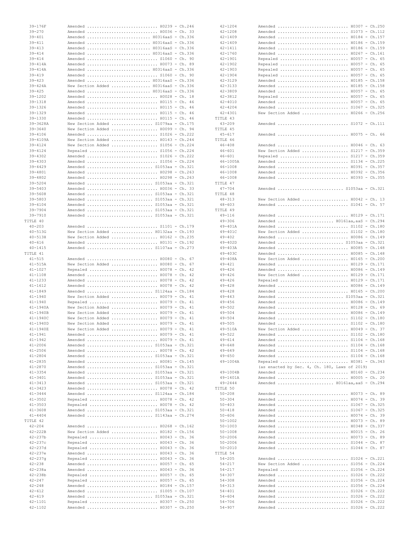|                            | Amended  H0239 - Ch.246                                             |
|----------------------------|---------------------------------------------------------------------|
| $39 - 270$                 | Amended  H0036 - Ch. 33                                             |
| $39 - 401$                 | Amended  H0316aaS - Ch.336                                          |
| $39 - 411$                 | Amended  H0316aaS - Ch.336                                          |
| $39 - 413$                 | Amended  H0316aaS - Ch.336                                          |
| $39 - 414$                 | Amended  H0316aaS - Ch.336                                          |
| $39 - 414$                 | Amended  S1060 - Ch. 90                                             |
| $39 - 414A$                | Amended  H0073 - Ch. 89                                             |
| $39 - 414A$                | Amended  H0316aaS - Ch.336                                          |
| $39 - 419$                 | Amended  S1060 - Ch. 90                                             |
| $39 - 423$                 | Amended  H0316aaS - Ch.336                                          |
| $39 - 424A$                | New Section Added $\ldots \ldots \ldots \ldots$ . H0316aaS - Ch.336 |
| $39 - 425$                 | Amended  H0316aaS - Ch.336                                          |
| $39 - 1202$                | Amended  H0028 - Ch. 18                                             |
| 39-1318<br>$39 - 1326$     | Amended  H0115 - Ch. 46                                             |
|                            | Amended  H0115 - Ch. 46                                             |
| $39 - 1329$                | Amended  H0115 - Ch. 46                                             |
| $39 - 1330$                | Amended  H0115 - Ch. 46                                             |
| 39-3628A                   | New Section Added  S1079aa - Ch.175                                 |
| $39 - 3640$                | New Section Added  H0099 - Ch. 94                                   |
| $39 - 4106$                | Amended  S1026 - Ch.222                                             |
| 39-4109A                   | New Section Added  H0143 - Ch.244                                   |
| $39 - 4124$                | New Section Added  S1056 - Ch.224                                   |
| $39 - 4124$                | Repealed  S1056 - Ch.224                                            |
| $39 - 4302$                | Amended  S1026 - Ch.222                                             |
| $39 - 4303$                | Amended  S1056 - Ch.224                                             |
| $39 - 4429$                | Amended  S1053aa - Ch.321                                           |
| 39-4801<br>$39 - 4802$     | Amended  H0298 - Ch.263                                             |
|                            | Amended  H0298 - Ch.263                                             |
| $39 - 5204$<br>$39 - 5403$ | Amended  S1053aa - Ch.321                                           |
|                            | Amended  H0036 - Ch. 33                                             |
| $39 - 5608$<br>$39 - 5803$ | Amended  S1053aa - Ch.321<br>Amended  S1053aa - Ch.321              |
|                            |                                                                     |
| $39 - 6104$                | Amended  S1053aa - Ch.321                                           |
| $39 - 7904$                | Amended  S1053aa - Ch.321                                           |
| $39 - 7910$                | Amended  S1053aa - Ch.321                                           |
| TITLE 40                   |                                                                     |
| $40 - 203$                 | Amended  S1101 - Ch.179                                             |
| $40 - 513G$                | New Section Added $H0132aa - Ch.193$                                |
| $40 - 513H$                | New Section Added  H0162 - Ch.235                                   |
| $40 - 616$                 | Amended  H0131 - Ch.192                                             |
| $40 - 1415$                | Amended  S1107aa - Ch.273                                           |
| TITLE 41<br>$41 - 515$     |                                                                     |
| $41 - 515A$                | Amended  H0080 - Ch. 67                                             |
| $41 - 1027$                | New Section Added $H0080 - Ch. 67$<br>Repealed  H0078 - Ch. 42      |
| $41 - 1108$                | Amended  H0078 - Ch. 42                                             |
| $41 - 1233$                | Amended  H0078 - Ch. 42                                             |
|                            |                                                                     |
|                            |                                                                     |
| $41 - 1612$                | Amended  H0078 - Ch. 42                                             |
| $41 - 1849$                | Amended  S1124aa - Ch.184                                           |
| $41 - 1940$                | New Section Added  H0079 - Ch. 41                                   |
| $41 - 1940$                | Repealed  H0079 - Ch. 41                                            |
| $41 - 1940A$               | New Section Added  H0079 - Ch. 41                                   |
| $41 - 1940B$               | New Section Added $H0079 - Ch. 41$                                  |
| 41-1940C                   | New Section Added  H0079 - Ch. 41                                   |
| $41 - 1940D$               | New Section Added  H0079 - Ch. 41                                   |
| 41-1940E                   | New Section Added  H0079 - Ch. 41                                   |
| 41-1941                    | Amended  H0079 - Ch. 41                                             |
| $41 - 1942$                | Amended  H0079 - Ch. 41                                             |
| $41 - 2006$                | Amended  S1053aa - Ch.321                                           |
| $41 - 2506$<br>$41 - 2804$ | Amended  H0078 - Ch. 42                                             |
| $41 - 2835$                | Amended  S1053aa - Ch.321<br>Amended  H0081 - Ch.145                |
| $41 - 2870$                | Amended  S1053aa - Ch.321                                           |
| $41 - 3354$                | Amended  S1053aa - Ch.321                                           |
| $41 - 3401$                | Amended  S1053aa - Ch.321                                           |
| $41 - 3413$                |                                                                     |
| $41 - 3423$                | Amended  S1053aa - Ch.321<br>Amended  H0078 - Ch. 42                |
| $41 - 3444$                | Amended  S1124aa - Ch.184                                           |
| $41 - 3502$                | Repealed  H0078 - Ch. 42                                            |
| $41 - 3503$                | Repealed  H0078 - Ch. 42                                            |
| $41 - 3608$                | Amended  S1053aa - Ch.321                                           |
| $41 - 4404$                | Amended  S1143aa - Ch.274                                           |
| TITLE 42                   |                                                                     |
| $42 - 204$                 | Amended  H0268 - Ch.162                                             |
| $42 - 222B$                | New Section Added  H0182 - Ch.156                                   |
| $42 - 237b$                | Repealed  H0043 - Ch. 36                                            |
| $42 - 237c$                | Repealed  H0043 - Ch. 36                                            |
| 42-237d                    | Repealed  H0043 - Ch. 36                                            |
| $42 - 237e$                | Amended  H0043 - Ch. 36                                             |
| $42 - 237q$                | Repealed  H0043 - Ch. 36                                            |
| $42 - 238$                 | Amended  H0057 - Ch. 65                                             |
| $42 - 238a$                | Amended  H0043 - Ch. 36                                             |
| $42 - 238b$                | Repealed  H0057 - Ch. 65                                            |
| $42 - 247$                 | Repealed  H0057 - Ch. 65                                            |
| $42 - 248$                 | Amended  H0184 - Ch.157                                             |
| $42 - 612$                 | Amended  S1005 - Ch.107                                             |
| $42 - 619$                 | Amended  S1053aa - Ch.321                                           |
| 42-1101<br>$42 - 1102$     | Repealed  H0307 - Ch.250<br>Amended  H0307 - Ch.250                 |

| $42 - 1204$                | Amended  H0307 - Ch.250                            |  |
|----------------------------|----------------------------------------------------|--|
| $42 - 1208$                | Amended  S1073 - Ch.112                            |  |
| $42 - 1409$<br>$42 - 1409$ | Amended  H0184 - Ch.157<br>Amended  H0186 - Ch.159 |  |
| $42 - 1411$                | Amended  H0186 - Ch.159                            |  |
| $42 - 1760$                | Amended  H0267 - Ch.161                            |  |
| $42 - 1901$                | Repealed  H0057 - Ch. 65                           |  |
| $42 - 1902$                | Repealed  H0057 - Ch. 65                           |  |
| $42 - 1903$                | Repealed  H0057 - Ch. 65                           |  |
| $42 - 1904$                | Repealed  H0057 - Ch. 65                           |  |
| $42 - 3129$                | Amended  H0185 - Ch.158                            |  |
| $42 - 3133$                | Amended  H0185 - Ch.158                            |  |
| $42 - 3809$                | Amended  H0057 - Ch. 65                            |  |
| $42 - 3812$                | Repealed  H0057 - Ch. 65                           |  |
| $42 - 4010$                | Amended  H0057 - Ch. 65                            |  |
| $42 - 4204$                | Amended  S1067 - Ch.325                            |  |
| $42 - 4301$                | New Section Added  H0266 - Ch.256                  |  |
| TITLE 43                   |                                                    |  |
| $43 - 209$                 | Amended  S1072 - Ch.111                            |  |
| TITLE 45                   |                                                    |  |
| $45 - 617$                 | Amended  H0075 - Ch. 66                            |  |
| TITLE 46                   |                                                    |  |
| $46 - 408$                 | Amended  H0046 - Ch. 63                            |  |
| $46 - 601$                 | New Section Added  S1217 - Ch.359                  |  |
| $46 - 601$                 | Repealed  S1217 - Ch.359                           |  |
| $46 - 1005A$               | Amended  S1134 - Ch.225                            |  |
| $46 - 1008$                | Amended  H0391 - Ch.357                            |  |
| $46 - 1008$                | Amended  H0392 - Ch.356                            |  |
| $46 - 1008$                | Amended  H0393 - Ch.355                            |  |
| TITLE 47                   |                                                    |  |
| $47 - 704$                 | Amended  S1053aa - Ch.321                          |  |
| TITLE 48                   |                                                    |  |
| $48 - 313$                 | New Section Added  H0042 - Ch. 13                  |  |
| $48 - 603$                 | Amended  S1041 - Ch. 57                            |  |
| TITLE 49                   |                                                    |  |
| $49 - 116$                 | Amended  H0129 - Ch.171                            |  |
| $49 - 306$                 | Amended  H0161aa, aaS - Ch.294                     |  |
| $49 - 401A$                | Amended  S1102 - Ch.180                            |  |
| 49-401C                    | New Section Added  S1102 - Ch.180                  |  |
| $49 - 402$                 | Amended  H0086 - Ch.149                            |  |
| $49 - 402D$                | Amended  S1053aa - Ch.321                          |  |
| $49 - 403A$                | Amended  H0085 - Ch.148                            |  |
| $49 - 403C$                | Amended  H0085 - Ch.148                            |  |
|                            |                                                    |  |
| $49 - 408A$                | New Section Added  H0165 - Ch.200                  |  |
| $49 - 421$                 | Amended  H0129 - Ch.171                            |  |
| $49 - 426$                 | Amended  H0086 - Ch.149                            |  |
| $49 - 426$                 | New Section Added  H0129 - Ch.171                  |  |
| $49 - 426$                 | Repealed  H0129 - Ch.171                           |  |
| $49 - 428$                 | Amended  H0086 - Ch.149                            |  |
| $49 - 428$                 | Amended  H0165 - Ch.200                            |  |
| $49 - 443$                 | Amended  S1053aa - Ch.321                          |  |
| $49 - 456$                 | Amended  H0086 - Ch.149                            |  |
| $49 - 502$                 | Amended  H0128 - Ch. 69                            |  |
| $49 - 504$                 | Amended  H0086 - Ch.149                            |  |
| $49 - 504$                 | Amended  S1102 - Ch.180                            |  |
| $49 - 505$                 | Amended  S1102 - Ch.180                            |  |
| 49-510A                    | New Section Added $H0049 - Ch. 37$                 |  |
| $49 - 522$                 | Amended  S1102 - Ch.180                            |  |
| $49 - 614$                 | Amended  S1104 - Ch.168                            |  |
| $49 - 648$                 | Amended  S1104 - Ch.168                            |  |
| $49 - 649$                 | Amended  S1104 - Ch.168                            |  |
| $49 - 650$                 | Amended  S1104 - Ch.168                            |  |
| 49-1004A                   | Repealed  H0381 - Ch.343                           |  |
|                            | (as enacted by Sec. 4, Ch. 180, Laws of 2019)      |  |
| 49-1004B                   | Amended  H0160 - Ch.234                            |  |
| 49-1401A<br>$49 - 2444$    | Amended  H0005 - Ch. 20                            |  |
| TITLE 50                   | Amended  H0161aa, aaS - Ch.294                     |  |
| $50 - 208$                 | Amended  H0073 - Ch. 89                            |  |
| $50 - 304$                 |                                                    |  |
| $50 - 403$                 | Amended  H0074 - Ch. 39<br>Amended  S1067 - Ch.325 |  |
|                            |                                                    |  |
| $50 - 418$<br>$50 - 606$   | Amended  S1067 - Ch.325                            |  |
| $50 - 1002$                | Amended  H0074 - Ch. 39<br>Amended  H0073 - Ch. 89 |  |
| $50 - 1003$                | Amended  H0348 - Ch.337                            |  |
| $50 - 1008$                | Amended  H0015 - Ch. 26                            |  |
| $50 - 2006$                | Amended  H0073 - Ch. 89                            |  |
| $50 - 2006$                | Amended  S1044 - Ch. 87                            |  |
| $50 - 2010$                | Amended  S1044 - Ch. 87                            |  |
|                            |                                                    |  |
| $54 - 205$                 | Amended  S1024 - Ch.221                            |  |
| $54 - 217$                 | New Section Added  S1056 - Ch.224                  |  |
| 54-217                     | Repealed  S1056 - Ch.224                           |  |
| TITLE 54<br>$54 - 307$     | Amended  S1026 - Ch.222                            |  |
| $54 - 308$                 | Amended  S1056 - Ch.224                            |  |
| $54 - 313$                 | Amended  S1056 - Ch.224                            |  |
| $54 - 401$                 | Amended  S1026 - Ch.222                            |  |
| $54 - 604$                 | Amended  S1026 - Ch.222                            |  |
| $54 - 706$<br>$54 - 907$   | Amended  S1026 - Ch.222<br>Amended  S1026 - Ch.222 |  |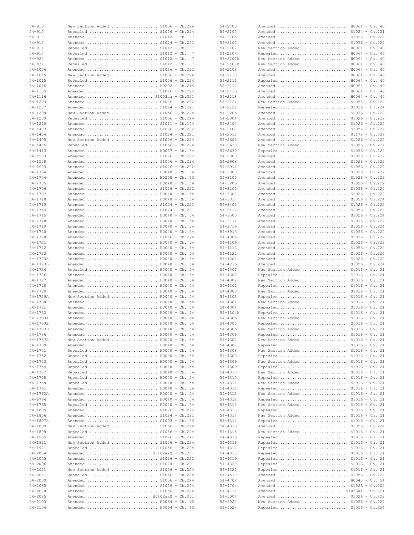| $54 - 910$   | New Section Added  S1056 - Ch.224  |  | $54 - 2105$  | H0064 - Ch. 40<br>Amended          |  |
|--------------|------------------------------------|--|--------------|------------------------------------|--|
| $54 - 910$   | Repealed  S1056 - Ch.224           |  | $54 - 2105$  | Amended  S1024 - Ch.221            |  |
| $54 - 912$   | Amended  S1012 - Ch. 7             |  | $54 - 2105$  | Amended  \$1026 - Ch.222           |  |
| $54 - 912$   | Amended  \$1024 - Ch.221           |  | $54 - 2105$  | Amended  S1056 - Ch.224            |  |
| $54 - 914$   |                                    |  |              | New Section Added  H0064 - Ch. 40  |  |
|              | Repealed  S1012 - Ch. 7            |  | $54 - 2107$  |                                    |  |
| $54 - 917$   | Repealed  S1012 - Ch. 7            |  | $54 - 2107$  | Repealed  H0064 - Ch. 40           |  |
| $54 - 924$   | Amended  S1012 - Ch. 7             |  | 54-2107A     | New Section Added  H0064 - Ch. 40  |  |
| $54 - 932$   | Repealed  S1012 - Ch. 7            |  | 54-2107B     | New Section Added  H0064 - Ch. 40  |  |
| $54 - 1006$  | Amended  \$1026 - Ch.222           |  | $54 - 2108$  | Amended  H0064 - Ch. 40            |  |
|              |                                    |  |              |                                    |  |
| $54 - 1015$  | New Section Added  S1056 - Ch.224  |  | $54 - 2110$  | Amended  H0064 - Ch. 40            |  |
| $54 - 1015$  | Repealed  S1056 - Ch.224           |  | $54 - 2111$  | Repealed  H0064 - Ch. 40           |  |
| $54 - 1016$  | Amended  H0292 - Ch.214            |  | $54 - 2112$  | Amended  H0064 - Ch. 40            |  |
| $54 - 1105$  | Amended  S1026 - Ch.222            |  | $54 - 2115$  | Amended  H0064 - Ch. 40            |  |
|              |                                    |  |              |                                    |  |
| $54 - 1116$  | Amended  S1053aa - Ch.321          |  | $54 - 2118$  | Amended  H0064 - Ch. 40            |  |
| $54 - 1203$  | Amended  \$1026 - Ch.222           |  | $54 - 2121$  | New Section Added  S1056 - Ch.224  |  |
| $54 - 1207$  | Amended  S1024 - Ch.221            |  | $54 - 2121$  | Repealed  \$1056 - Ch.224          |  |
| $54 - 1209$  | New Section Added  \$1056 - Ch.224 |  | $54 - 2205$  | Amended  \$1026 - Ch.222           |  |
|              |                                    |  |              |                                    |  |
| $54 - 1209$  | Repealed  \$1056 - Ch.224          |  | $54 - 2304$  | Amended  \$1026 - Ch.222           |  |
| $54 - 1210$  | Amended  S1011 - Ch.174            |  | $54 - 2404$  | Amended  S1026 - Ch.222            |  |
| $54 - 1403$  | Amended  S1026 - Ch.222            |  | $54 - 2407$  | Amended  \$1056 - Ch.224           |  |
| $54 - 1404$  | Amended  S1024 - Ch.221            |  | $54 - 2512$  | Amended  \$1178 - Ch.328           |  |
|              |                                    |  |              |                                    |  |
| $54 - 1405$  | New Section Added  S1056 - Ch.224  |  | $54 - 2605$  | Amended  S1026 - Ch.222            |  |
| $54 - 1405$  | Repealed  S1056 - Ch.224           |  | $54 - 2630$  | New Section Added  \$1056 - Ch.224 |  |
| $54 - 1413$  | Amended  H0037 - Ch. 34            |  | $54 - 2630$  | Repealed  S1056 - Ch.224           |  |
| $54 - 1503$  | Amended  S1026 - Ch.222            |  | $54 - 2803$  | Amended  S1026 - Ch.222            |  |
| $54 - 1508$  | Amended  S1056 - Ch.224            |  | $54 - 2908$  | Amended  \$1026 - Ch.222           |  |
|              |                                    |  |              |                                    |  |
| $54 - 1603$  | Amended  \$1026 - Ch.222           |  | $54 - 2911$  | Amended  \$1056 - Ch.224           |  |
| $54 - 1704$  | Amended  H0040 - Ch. 54            |  | $54 - 3003$  | Amended  \$1026 - Ch.222           |  |
| $54 - 1704$  | Amended  H0208 - Ch. 73            |  | $54 - 3105$  | Amended  \$1026 - Ch.222           |  |
| $54 - 1705$  | Amended  H0040 - Ch. 54            |  | $54 - 3203$  | Amended  \$1026 - Ch.222           |  |
|              |                                    |  |              |                                    |  |
| $54 - 1706$  | Amended  S1026 - Ch.222            |  | $54 - 3205$  | Amended  S1056 - Ch.224            |  |
| $54 - 1707$  | Amended  H0040 - Ch. 54            |  | 54-3307      | Amended  \$1026 - Ch.222           |  |
| $54 - 1710$  | Amended  H0040 - Ch. 54            |  | 54-3317      | Amended  \$1056 - Ch.224           |  |
| $54 - 1713$  | Amended  S1024 - Ch.221            |  | $54 - 3403$  | Amended  S1026 - Ch.222            |  |
|              |                                    |  |              |                                    |  |
| $54 - 1714$  | Amended  S1024 - Ch.221            |  | $54 - 3412$  | Amended  \$1056 - Ch.224           |  |
| $54 - 1715$  | Amended  H0040 - Ch. 54            |  | $54 - 3505$  | Amended  \$1056 - Ch.224           |  |
| $54 - 1718$  | Amended  H0040 - Ch. 54            |  | $54 - 3714$  | Amended  S1026 - Ch.222            |  |
| $54 - 1719$  | Amended  H0040 - Ch. 54            |  | $54 - 3719$  | Amended  \$1056 - Ch.224           |  |
|              |                                    |  |              |                                    |  |
| $54 - 1720$  | Amended  H0040 - Ch. 54            |  | $54 - 3915$  | Amended  \$1056 - Ch.224           |  |
| $54 - 1720$  | Amended  S1056 - Ch.224            |  | $54 - 4006$  | Amended  S1026 - Ch.222            |  |
| $54 - 1721$  | Amended  H0040 - Ch. 54            |  | $54 - 4106$  | Amended  \$1026 - Ch.222           |  |
| $54 - 1722$  | Amended  H0040 - Ch. 54            |  | $54 - 4113$  | Amended  S1056 - Ch.224            |  |
| $54 - 1723$  | Amended  H0040 - Ch. 54            |  | $54 - 4122$  | Amended  S1056 - Ch.224            |  |
|              |                                    |  |              |                                    |  |
| $54 - 1723A$ | Amended  H0040 - Ch. 54            |  | $54 - 4204$  | Amended  \$1026 - Ch.222           |  |
| 54-1723B     | Amended  H0040 - Ch. 54            |  | $54 - 4216$  | Amended  S1056 - Ch.224            |  |
| $54 - 1724$  | Repealed  H0040 - Ch. 54           |  | $54 - 4301$  | New Section Added  S1016 - Ch. 21  |  |
| $54 - 1726$  | Amended  H0040 - Ch. 54            |  | $54 - 4301$  |                                    |  |
|              |                                    |  |              | Repealed  S1016 - Ch. 21           |  |
| $54 - 1727$  | Amended  H0040 - Ch. 54            |  | $54 - 4302$  | New Section Added  S1016 - Ch. 21  |  |
| $54 - 1728$  | Amended  H0040 - Ch. 54            |  | $54 - 4302$  | Repealed  S1016 - Ch. 21           |  |
| $54 - 1729$  | Amended  H0040 - Ch. 54            |  | $54 - 4303$  | New Section Added  S1016 - Ch. 21  |  |
|              |                                    |  |              |                                    |  |
| $54 - 1729A$ | New Section Added  H0040 - Ch. 54  |  | $54 - 4303$  | Repealed  S1016 - Ch. 21           |  |
| $54 - 1730$  | Amended  H0040 - Ch. 54            |  | $54 - 4304$  | New Section Added  S1016 - Ch. 21  |  |
| $54 - 1731$  | Amended  H0040 - Ch. 54            |  | $54 - 4304$  | Repealed  \$1016 - Ch. 21          |  |
| $54 - 1732$  | Amended  H0040 - Ch. 54            |  |              | Repealed  \$1016 - Ch. 21          |  |
|              |                                    |  |              |                                    |  |
|              |                                    |  | $54 - 4304A$ |                                    |  |
| $54 - 1733A$ | Amended  H0040 - Ch. 54            |  | $54 - 4305$  | New Section Added  S1016 - Ch. 21  |  |
| $54 - 1733B$ | Amended  H0040 - Ch. 54            |  | $54 - 4305$  | Repealed  \$1016 - Ch. 21          |  |
| 54-1733D     | Amended  H0040 - Ch. 54            |  | 54-4306      | New Section Added  S1016 - Ch. 21  |  |
| 54-1736      | Amended  H0040 - Ch. 54            |  |              | Repealed  \$1016 - Ch. 21          |  |
|              |                                    |  | 54-4306      |                                    |  |
| 54-1737A     | New Section Added  H0040 - Ch. 54  |  | $54 - 4307$  | New Section Added  \$1016 - Ch. 21 |  |
| $54 - 1739$  | Amended  H0040 - Ch. 54            |  | 54-4307      | Repealed  S1016 - Ch. 21           |  |
| $54 - 1751$  | Repealed  H0040 - Ch. 54           |  | $54 - 4308$  | New Section Added  S1016 - Ch. 21  |  |
| $54 - 1752$  | Repealed  H0040 - Ch. 54           |  | $54 - 4308$  | Repealed  S1016 - Ch. 21           |  |
| $54 - 1753$  | Repealed  H0040 - Ch. 54           |  | $54 - 4309$  |                                    |  |
|              |                                    |  |              | New Section Added  S1016 - Ch. 21  |  |
| $54 - 1754$  | Repealed  H0040 - Ch. 54           |  | 54-4309      | Repealed  S1016 - Ch. 21           |  |
| $54 - 1757$  | Repealed  H0040 - Ch. 54           |  | $54 - 4310$  | New Section Added  \$1016 - Ch. 21 |  |
| $54 - 1758$  | Repealed  H0040 - Ch. 54           |  | $54 - 4310$  | Repealed  S1016 - Ch. 21           |  |
| $54 - 1759$  | Repealed  H0040 - Ch. 54           |  | 54-4311      | New Section Added  S1016 - Ch. 21  |  |
|              |                                    |  |              |                                    |  |
| $54 - 1761$  | Amended  H0040 - Ch. 54            |  | $54 - 4311$  | Repealed  S1016 - Ch. 21           |  |
| $54 - 1762A$ | Amended  H0040 - Ch. 54            |  | 54-4312      | New Section Added  S1016 - Ch. 21  |  |
| $54 - 1764$  | Amended  H0040 - Ch. 54            |  | 54-4312      | Repealed  S1016 - Ch. 21           |  |
| $54 - 1765$  | Repealed  H0040 - Ch. 54           |  | 54-4313      | New Section Added  S1016 - Ch. 21  |  |
| $54 - 1805$  | Amended  S1026 - Ch.222            |  | 54-4313      |                                    |  |
|              |                                    |  |              | Repealed  S1016 - Ch. 21           |  |
| $54 - 1806$  | Amended  S1024 - Ch.221            |  | 54-4314      | New Section Added  S1016 - Ch. 21  |  |
| $54 - 1807A$ | Amended  S1093 - Ch. 60            |  | 54-4314      | Repealed  S1016 - Ch. 21           |  |
| $54 - 1809$  | New Section Added  S1056 - Ch.224  |  | $54 - 4315$  | Amended  S1056 - Ch.224            |  |
| $54 - 1809$  | Repealed  \$1056 - Ch.224          |  | 54-4315      | New Section Added  S1016 - Ch. 21  |  |
|              |                                    |  |              |                                    |  |
| $54 - 1905$  | Amended  S1026 - Ch.222            |  | $54 - 4315$  | Repealed  S1016 - Ch. 21           |  |
| $54 - 1921$  | New Section Added  S1056 - Ch.224  |  | 54-4316      | Repealed  S1016 - Ch. 21           |  |
| 54-1921      | Repealed  S1056 - Ch.224           |  | 54-4317      | Repealed  S1016 - Ch. 21           |  |
| $54 - 2004$  | Amended  H0102aaS - Ch.261         |  | $54 - 4318$  | Repealed  S1016 - Ch. 21           |  |
|              |                                    |  |              |                                    |  |
| $54 - 2005$  | Amended  S1026 - Ch.222            |  | 54-4319      | Repealed  S1016 - Ch. 21           |  |
| $54 - 2006$  | Amended  S1024 - Ch.221            |  | $54 - 4320$  | Repealed  S1016 - Ch. 21           |  |
| $54 - 2021$  | New Section Added  S1056 - Ch.224  |  | $54 - 4321$  | Repealed  S1016 - Ch. 21           |  |
| $54 - 2021$  | Repealed  S1056 - Ch.224           |  | $54 - 4510$  | Amended  S1056 - Ch.224            |  |
| $54 - 2059$  | Amended  S1056 - Ch.224            |  | 54-4702      | Amended  H0040 - Ch. 54            |  |
|              |                                    |  |              |                                    |  |
| $54 - 2065$  | Amended  \$1056 - Ch.224           |  | $54 - 4704$  | Amended  S1026 - Ch.222            |  |
| $54 - 2070$  | Amended  S1056 - Ch.224            |  | $54 - 4711$  | Amended  S1053aa - Ch.321          |  |
| $54 - 2085$  | Amended  H0102aaS - Ch.261         |  | $54 - 5004$  | Amended  S1026 - Ch.222            |  |
| $54 - 2103$  | Amended  H0064 - Ch. 40            |  | $54 - 5024$  | New Section Added  S1056 - Ch.224  |  |
| $54 - 2104$  | Amended  H0064 - Ch. 40            |  | $54 - 5024$  | Repealed  S1056 - Ch.224           |  |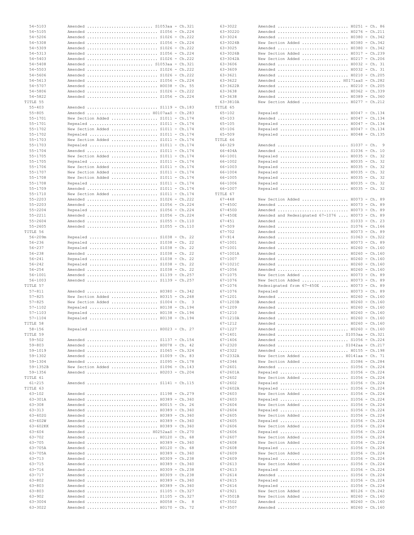| $54 - 5105$<br>$54 - 5206$ | Amended  S1053aa - Ch.321                                 |
|----------------------------|-----------------------------------------------------------|
|                            | Amended  S1056 - Ch.224                                   |
|                            | Amended  S1026 - Ch.222                                   |
| $54 - 5308$                | Amended  S1056 - Ch.224                                   |
| 54-5309                    | Amended  S1026 - Ch.222                                   |
|                            |                                                           |
| $54 - 5313$                | Amended  S1056 - Ch.224                                   |
| $54 - 5403$                | Amended  S1026 - Ch.222                                   |
| $54 - 5408$                | Amended  S1053aa - Ch.321                                 |
| $54 - 5503$                | Amended  S1026 - Ch.222                                   |
| $54 - 5606$                | Amended  S1026 - Ch.222                                   |
| $54 - 5613$                |                                                           |
|                            | Amended  S1056 - Ch.224                                   |
| $54 - 5707$                | Amended  H0038 - Ch. 55                                   |
| $54 - 5806$                | Amended  S1026 - Ch.222                                   |
| $54 - 5822$                | Amended  S1056 - Ch.224                                   |
| TITLE 55                   |                                                           |
| $55 - 403$                 | Amended  S1119 - Ch.183                                   |
| $55 - 805$                 | Amended  H0107aaS - Ch.283                                |
|                            |                                                           |
| $55 - 1701$                | New Section Added  S1011 - Ch.174                         |
| $55 - 1701$                | Repealed  S1011 - Ch.174                                  |
| $55 - 1702$                | New Section Added  S1011 - Ch.174                         |
| $55 - 1702$                | Repealed  S1011 - Ch.174                                  |
| $55 - 1703$                | New Section Added  S1011 - Ch.174                         |
|                            |                                                           |
| $55 - 1703$                | Repealed  S1011 - Ch.174                                  |
| $55 - 1704$                | Amended  S1011 - Ch.174                                   |
| $55 - 1705$                | New Section Added  S1011 - Ch.174                         |
| $55 - 1705$                | Repealed  S1011 - Ch.174                                  |
| $55 - 1706$                | New Section Added  S1011 - Ch.174                         |
| $55 - 1707$                | New Section Added  S1011 - Ch.174                         |
|                            |                                                           |
| $55 - 1708$                | New Section Added  S1011 - Ch.174                         |
| $55 - 1708$                | Repealed  S1011 - Ch.174                                  |
| $55 - 1709$                | Amended  S1011 - Ch.174                                   |
| $55 - 1710$                | New Section Added  S1011 - Ch.174                         |
| $55 - 2203$                | Amended  S1026 - Ch.222                                   |
|                            |                                                           |
| $55 - 2203$                | Amended  S1056 - Ch.224                                   |
| $55 - 2204$                | Repealed  S1056 - Ch.224                                  |
| $55 - 2211$                | Amended  S1056 - Ch.224                                   |
| $55 - 2604$                | Amended  S1055 - Ch.110                                   |
| $55 - 2605$                | Amended  S1055 - Ch.110                                   |
|                            |                                                           |
| TITLE 56                   |                                                           |
| $56 - 209m$                | Repealed  S1038 - Ch. 22                                  |
| $56 - 236$                 | Repealed  S1038 - Ch. 22                                  |
| $56 - 237$                 | Repealed  S1038 - Ch. 22                                  |
| $56 - 238$                 | Amended  S1038 - Ch. 22                                   |
| $56 - 241$                 | Repealed  S1038 - Ch. 22                                  |
| $56 - 242$                 | Repealed  S1038 - Ch. 22                                  |
|                            |                                                           |
| $56 - 254$                 | Amended  S1038 - Ch. 22                                   |
| $56 - 1001$                | Amended  S1139 - Ch.257                                   |
| 56-1003                    | Amended  S1139 - Ch.257                                   |
|                            |                                                           |
| TITLE 57                   |                                                           |
|                            |                                                           |
| $57 - 811$                 | Amended  H0380 - Ch.342                                   |
| $57 - 825$                 | New Section Added  H0315 - Ch.268                         |
| $57 - 825$                 | New Section Added  S1004 - Ch.<br>$\overline{\mathbf{3}}$ |
| $57 - 1102$                | Repealed  H0138 - Ch.194                                  |
| $57 - 1103$                | Repealed  H0138 - Ch.194                                  |
| $57 - 1104$                | Repealed  H0138 - Ch.194                                  |
|                            |                                                           |
| TITLE 58                   |                                                           |
| 58-156                     | Repealed  H0023 - Ch. 27                                  |
| TITLE 59                   |                                                           |
| $59 - 502$                 | Amended  \$1137 - Ch.154                                  |
| $59 - 803$                 | Amended  H0078 - Ch. 42                                   |
| 59-1019                    | Amended  \$1065 - Ch.324                                  |
| 59-1302                    |                                                           |
|                            | Amended  S1009 - Ch. 83                                   |
| 59-1304                    | Amended  S1095 - Ch.178                                   |
| 59-1352B                   | New Section Added  S1096 - Ch.143                         |
| 59-1356                    | Amended  H0203 - Ch.204                                   |
| TITLE 61                   |                                                           |
| $61 - 215$                 | Amended  S1141 - Ch.115                                   |
| TITLE 63                   |                                                           |
|                            |                                                           |
| 63-102                     | Amended  S1198 - Ch.279                                   |
| 63-301A                    | Amended  H0389 - Ch.360                                   |
| $63 - 308$                 | Amended  H0015 - Ch. 26                                   |
| $63 - 313$                 | Amended  H0389 - Ch.360                                   |
| $63 - 602G$                | Amended  H0389 - Ch.360                                   |
| $63 - 602W$                | Amended  H0389 - Ch.360                                   |
|                            |                                                           |
| 63-602KK                   | Amended  H0389 - Ch.360                                   |
| $63 - 604$                 | Amended  H0252aaS - Ch.270                                |
| 63-702                     | Amended  H0120 - Ch. 68                                   |
| 63-705                     | Amended  H0389 - Ch.360                                   |
| 63-705A                    | Amended  H0120 - Ch. 68                                   |
| 63-705A                    | Amended  H0389 - Ch.360                                   |
| 63-713                     | Amended  H0309 - Ch.238                                   |
|                            |                                                           |
| 63-715                     | Amended  H0389 - Ch.360                                   |
| 63-716                     | Amended  H0309 - Ch.238                                   |
| 63-717                     | Amended  H0309 - Ch.238                                   |
| 63-802                     | Amended  H0389 - Ch.360                                   |
| $63 - 803$                 | Amended  H0389 - Ch.360                                   |
| 63-803                     | Amended  S1105 - Ch.327                                   |
|                            |                                                           |
| 63-902                     | Amended  S1105 - Ch.327                                   |
| 63-3004<br>63-3022         | Amended  H0058 - Ch. 8<br>Amended  H0170 - Ch. 72         |

| 63-3022                    | Amended  H0251 - Ch. 86                                       |   |
|----------------------------|---------------------------------------------------------------|---|
| 63-30220                   | Amended  H0276 - Ch.211                                       |   |
| $63 - 3024$                | Amended  H0380 - Ch.342                                       |   |
| 63-3024B                   | New Section Added  H0380 - Ch.342                             |   |
| $63 - 3025$                | Amended  H0380 - Ch.342                                       |   |
| 63-3026B                   | New Section Added  H0317 - Ch.239                             |   |
| 63-3042A                   | New Section Added  H0217 - Ch.206                             |   |
| 63-3606<br>63-3609         | Amended  H0032 - Ch. 31                                       |   |
| $63 - 3621$                | Amended  H0032 - Ch. 31<br>Amended  H0210 - Ch.205            |   |
| $63 - 3622$                | Amended  H0171aaS - Ch.282                                    |   |
| 63-3622R                   | Amended  H0210 - Ch.205                                       |   |
| 63-3638                    | Amended  H0362 - Ch.339                                       |   |
| 63-3638                    | Amended  H0389 - Ch.360                                       |   |
| 63-3810A                   | New Section Added  H0277 - Ch.212                             |   |
| TITLE 65                   |                                                               |   |
| $65 - 102$                 | Repealed  H0047 - Ch.134                                      |   |
| $65 - 103$                 | Amended  H0047 - Ch.134                                       |   |
| $65 - 105$                 | Repealed  H0047 - Ch.134                                      |   |
| $65 - 106$                 | Repealed  H0047 - Ch.134                                      |   |
| $65 - 509$                 | Repealed  H0048 - Ch.135                                      |   |
| TITLE 66                   |                                                               |   |
| $66 - 329$                 | Amended  S1037 - Ch.                                          | 9 |
| $66 - 404A$                | Amended  S1036 - Ch. 10                                       |   |
| 66-1001                    | Repealed  H0035 - Ch. 32                                      |   |
| 66-1002                    | Repealed  H0035 - Ch. 32                                      |   |
| 66-1003                    | Repealed  H0035 - Ch. 32                                      |   |
| 66-1004                    | Repealed  H0035 - Ch. 32                                      |   |
| 66-1005                    | Repealed  H0035 - Ch. 32                                      |   |
| 66-1006                    | Repealed  H0035 - Ch. 32                                      |   |
| 66-1007                    | Repealed  H0035 - Ch. 32                                      |   |
| TITLE 67                   |                                                               |   |
| $67 - 448$                 | New Section Added  H0073 - Ch. 89                             |   |
| $67 - 450C$                | Amended  H0073 - Ch. 89                                       |   |
| $67 - 450D$                | Amended  H0073 - Ch. 89                                       |   |
| $67 - 450E$                | Amended and Redesignated 67-1076  H0073 - Ch. 89              |   |
| $67 - 451$                 | Amended  S1033 - Ch. 23                                       |   |
| $67 - 509$                 | Amended  S1076 - Ch.166                                       |   |
| $67 - 702$                 | Amended  H0073 - Ch. 89                                       |   |
| $67 - 914$                 | Amended  S1063 - Ch.322                                       |   |
| $67 - 1001$                | Amended  H0073 - Ch. 89                                       |   |
| $67 - 1001$                | Amended  H0260 - Ch.160                                       |   |
| 67-1001A                   | Amended  H0260 - Ch.160                                       |   |
| $67 - 1007$                | Amended  H0260 - Ch.160                                       |   |
|                            |                                                               |   |
| 67-1021C                   | Amended  H0260 - Ch.160                                       |   |
| $67 - 1056$                | Amended  H0260 - Ch.160                                       |   |
| $67 - 1075$                | New Section Added  H0073 - Ch. 89                             |   |
| $67 - 1076$                | New Section Added  H0073 - Ch. 89                             |   |
| 67-1076                    | Redesignated from 67-450E  H0073 - Ch. 89                     |   |
| $67 - 1076$                | Repealed  H0073 - Ch. 89                                      |   |
| $67 - 1201$                | Amended  H0260 - Ch.160                                       |   |
| 67-1203B                   | Amended  H0260 - Ch.160                                       |   |
| $67 - 1209$                | Amended  H0260 - Ch.160                                       |   |
| $67 - 1210$                | Amended  H0260 - Ch.160                                       |   |
| 67-1210A                   | Amended  H0260 - Ch.160                                       |   |
| $67 - 1212$                | Amended  H0260 - Ch.160                                       |   |
| 67-1227                    | Amended  H0260 - Ch.160                                       |   |
| 67-1401                    | Amended  S1053aa - Ch.321                                     |   |
| $67 - 1406$                | Amended  S1056 - Ch.224                                       |   |
| 67-2320                    | Amended  S1042aa - Ch.217                                     |   |
| 67-2322                    | Amended  H0155 - Ch.198                                       |   |
| $67 - 2332A$               | New Section Added  H0141aa - Ch. 71                           |   |
| $67 - 2346$<br>$67 - 2601$ | New Section Added  S1086 - Ch.284                             |   |
| 67-2601A                   | Amended  S1056 - Ch.224                                       |   |
|                            | Repealed  S1056 - Ch.224                                      |   |
| $67 - 2602$<br>$67 - 2602$ | New Section Added  S1056 - Ch.224                             |   |
| $67 - 2602A$               | Repealed  S1056 - Ch.224<br>Repealed  S1056 - Ch.224          |   |
| $67 - 2603$                |                                                               |   |
| $67 - 2603$                | New Section Added  S1056 - Ch.224<br>Repealed  S1056 - Ch.224 |   |
| $67 - 2604$                | New Section Added  S1056 - Ch.224                             |   |
| $67 - 2604$                | Repealed  \$1056 - Ch.224                                     |   |
| $67 - 2605$                | New Section Added  S1056 - Ch.224                             |   |
| $67 - 2605$                | Repealed  S1056 - Ch.224                                      |   |
| $67 - 2606$                | New Section Added  S1056 - Ch.224                             |   |
| $67 - 2606$                | Repealed  \$1056 - Ch.224                                     |   |
| $67 - 2607$                | New Section Added  S1056 - Ch.224                             |   |
| $67 - 2608$                | New Section Added  S1056 - Ch.224                             |   |
| $67 - 2608$                | Repealed  S1056 - Ch.224                                      |   |
| $67 - 2609$                | New Section Added  S1056 - Ch.224                             |   |
| $67 - 2609$                | Repealed  \$1056 - Ch.224                                     |   |
| $67 - 2613$                | New Section Added  S1056 - Ch.224                             |   |
| $67 - 2613$                | Repealed  S1056 - Ch.224                                      |   |
| $67 - 2614$                | Amended  S1056 - Ch.224                                       |   |
| $67 - 2615$                | Repealed  S1056 - Ch.224                                      |   |
| $67 - 2616$                | Repealed  S1056 - Ch.224                                      |   |
| 67-2921                    | New Section Added  H0126 - Ch.242                             |   |
| 67-3501B                   | New Section Added  H0260 - Ch.160                             |   |
| $67 - 3502$<br>$67 - 3507$ | Amended  H0260 - Ch.160<br>Amended  H0260 - Ch.160            |   |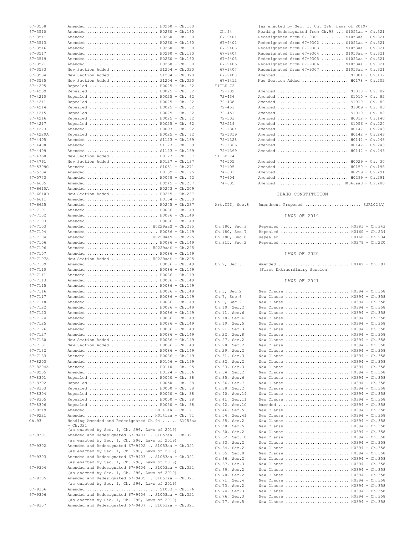| 67-3508      | Amended  H0260 - Ch.160                            |  |
|--------------|----------------------------------------------------|--|
| $67 - 3510$  | Amended  H0260 - Ch.160                            |  |
| 67-3511      | Amended  H0260 - Ch.160                            |  |
| $67 - 3513$  | Amended  H0260 - Ch.160                            |  |
| $67 - 3516$  | Amended  H0260 - Ch.160                            |  |
|              |                                                    |  |
| 67-3517      | Amended  H0260 - Ch.160                            |  |
| $67 - 3519$  | Amended  H0260 - Ch.160                            |  |
| $67 - 3521$  | Amended  H0260 - Ch.160                            |  |
| 67-3533      | New Section Added  S1204 - Ch.320                  |  |
| $67 - 3534$  | New Section Added  S1204 - Ch.320                  |  |
|              |                                                    |  |
| $67 - 3535$  | New Section Added  S1204 - Ch.320                  |  |
| $67 - 4205$  | Repealed  H0025 - Ch. 62                           |  |
| $67 - 4209$  | Repealed  H0025 - Ch. 62                           |  |
| $67 - 4210$  | Repealed  H0025 - Ch. 62                           |  |
| $67 - 4211$  | Repealed  H0025 - Ch. 62                           |  |
|              |                                                    |  |
| $67 - 4214$  | Repealed  H0025 - Ch. 62                           |  |
| $67 - 4215$  | Repealed  H0025 - Ch. 62                           |  |
| $67 - 4216$  | Repealed  H0025 - Ch. 62                           |  |
| $67 - 4217$  | Repealed  H0025 - Ch. 62                           |  |
| $67 - 4223$  | Amended  H0093 - Ch. 92                            |  |
|              |                                                    |  |
| $67 - 4229A$ | Repealed  H0025 - Ch. 62                           |  |
| $67 - 4405$  | Amended  S1123 - Ch.169                            |  |
| $67 - 4408$  | Amended  S1123 - Ch.169                            |  |
| $67 - 4409$  | Amended  S1123 - Ch.169                            |  |
| $67 - 4760$  | New Section Added  H0127 - Ch.137                  |  |
|              |                                                    |  |
| $67 - 4761$  | New Section Added  H0127 - Ch.137                  |  |
| 67-5309C     | Amended  \$1051 - Ch.271                           |  |
| $67 - 5334$  | Amended  H0139 - Ch.195                            |  |
| $67 - 5773$  | Amended  H0078 - Ch. 42                            |  |
| $67 - 6605$  |                                                    |  |
|              | Amended  H0245 - Ch.237                            |  |
| $67 - 6610A$ | Amended  H0243 - Ch.209                            |  |
| 67-6610D     | New Section Added  H0245 - Ch.237                  |  |
| $67 - 6611$  | Amended  H0104 - Ch.150                            |  |
| $67 - 6625$  | Amended  H0245 - Ch.237                            |  |
|              |                                                    |  |
| $67 - 7101$  | Amended  H0086 - Ch.149                            |  |
| 67-7102      | Amended  H0086 - Ch.149                            |  |
| 67-7103      | Amended  H0086 - Ch.149                            |  |
| 67-7103      | Amended  H0229aaS - Ch.295                         |  |
| 67-7104      | Amended  H0086 - Ch.149                            |  |
| 67-7104      | Amended  H0229aaS - Ch.295                         |  |
|              |                                                    |  |
| 67-7106      | Amended  H0086 - Ch.149                            |  |
| 67-7106      | Amended  H0229aaS - Ch.295                         |  |
| 67-7107      | Amended  H0086 - Ch.149                            |  |
| 67-7107A     | New Section Added  H0229aaS - Ch.295               |  |
| 67-7109      | Amended  H0086 - Ch.149                            |  |
|              |                                                    |  |
| 67-7110      | Amended  H0086 - Ch.149                            |  |
| 67-7111      | Amended  H0086 - Ch.149                            |  |
| 67-7113      | Amended  H0086 - Ch.149                            |  |
| 67-7115      | Amended  H0086 - Ch.149                            |  |
| 67-7116      | Amended  H0086 - Ch.149                            |  |
|              |                                                    |  |
| 67-7117      | Amended  H0086 - Ch.149                            |  |
| 67-7118      | Amended  H0086 - Ch.149                            |  |
| 67-7122      | Amended  H0086 - Ch.149                            |  |
| 67-7123      | Amended  H0086 - Ch.149                            |  |
| $67 - 7124$  | Amended  H0086 - Ch.149                            |  |
| 67-7125      | Amended  H0086 - Ch.149                            |  |
|              |                                                    |  |
| $67 - 7126$  | Amended  H0086 - Ch.149                            |  |
| 67-7127      | Amended  H0086 - Ch.149                            |  |
| 67-7130      | New Section Added  H0086 - Ch.149                  |  |
| 67-7131      | New Section Added  H0086 - Ch.149                  |  |
| 67-7132      | Amended  H0086 - Ch.149                            |  |
| $67 - 7133$  | Amended  H0086 - Ch.149                            |  |
|              | Amended  H0156 - Ch.199                            |  |
| 67-8203      |                                                    |  |
| 67-8204A     | Amended  H0110 - Ch. 95                            |  |
| $67 - 8205$  | Amended  H0124 - Ch.136                            |  |
| 67-8301      | Repealed  H0050 - Ch. 38                           |  |
| 67-8302      | Repealed  H0050 - Ch. 38                           |  |
| 67-8303      | Repealed  H0050 - Ch. 38                           |  |
| $67 - 8304$  | Repealed  H0050 - Ch. 38                           |  |
|              |                                                    |  |
| 67-8305      | Repealed  H0050 - Ch. 38                           |  |
| 67-8306      | Repealed  H0050 - Ch. 38                           |  |
| 67-9219      | Amended  H0141aa - Ch. 71                          |  |
| 67-9221      | Amended  H0141aa - Ch. 71                          |  |
| Ch.93        | Heading Amended and Redesignated Ch.94  S1053aa    |  |
|              | · Ch.321                                           |  |
|              | (as enacted by Sec. 1, Ch. 296, Laws of 2019)      |  |
| $67 - 9301$  | Amended and Redesignated 67-9401  S1053aa - Ch.321 |  |
|              | (as enacted by Sec. 1, Ch. 296, Laws of 2019)      |  |
|              |                                                    |  |
| $67 - 9302$  | Amended and Redesignated 67-9402  S1053aa - Ch.321 |  |
|              | (as enacted by Sec. 1, Ch. 296, Laws of 2019)      |  |
| $67 - 9303$  | Amended and Redesignated 67-9403  S1053aa - Ch.321 |  |
|              | (as enacted by Sec. 1, Ch. 296, Laws of 2019)      |  |
| 67-9304      | Amended and Redesignated 67-9404  S1053aa - Ch.321 |  |
|              | (as enacted by Sec. 1, Ch. 296, Laws of 2019)      |  |
|              |                                                    |  |
| $67 - 9305$  | Amended and Redesignated 67-9405  S1053aa - Ch.321 |  |
|              | (as enacted by Sec. 1, Ch. 296, Laws of 2019)      |  |
| 67-9306      | Amended  S1083 - Ch.176                            |  |
| 67-9306      | Amended and Redesignated 67-9406  S1053aa - Ch.321 |  |
|              | (as enacted by Sec. 1, Ch. 296, Laws of 2019)      |  |
|              | Amended and Redesignated 67-9407  S1053aa - Ch.321 |  |
| 67-9307      |                                                    |  |

|             | (as enacted by Sec. 1, Ch. 296, Laws of 2019)     |
|-------------|---------------------------------------------------|
| Ch.94       | Heading Redesignated from Ch.93  S1053aa - Ch.321 |
| $67 - 9401$ | Redesignated from 67-9301  S1053aa - Ch.321       |
| $67 - 9402$ | Redesignated from 67-9302  S1053aa - Ch.321       |
| $67 - 9403$ | Redesignated from $67-9303$ S1053aa - Ch.321      |
| $67 - 9404$ | Redesignated from 67-9304  S1053aa - Ch.321       |
| $67 - 9405$ | Redesignated from $67-9305$ S1053aa - Ch.321      |
| $67 - 9406$ | Redesignated from 67-9306  S1053aa - Ch.321       |
| $67 - 9407$ | Redesignated from 67-9307  S1053aa - Ch.321       |
| $67 - 9408$ | Amended  S1084 - Ch.177                           |
| $67 - 9412$ | New Section Added  H0178 - Ch.202                 |
| TTTLE 72    |                                                   |
| $72 - 102$  |                                                   |
| $72 - 436$  |                                                   |
| $72 - 438$  |                                                   |
| $72 - 451$  | Amended  S1009 - Ch. 83                           |
| $72 - 451$  |                                                   |
| $72 - 503$  | Amended  H0312 - Ch.140                           |
| $72 - 519$  | Amended  S1056 - Ch.224                           |
| $72 - 1304$ | Amended  H0142 - Ch.243                           |
| $72 - 1319$ | Amended  H0142 - Ch.243                           |
| $72 - 1328$ | Amended  H0142 - Ch.243                           |
| $72 - 1366$ | Amended  H0142 - Ch.243                           |
| $72 - 1369$ | Amended  H0142 - Ch.243                           |
| TITLE 74    |                                                   |
| $74 - 105$  | Amended  H0029 - Ch. 30                           |
| $74 - 105$  |                                                   |
| $74 - 603$  | Amended  H0299 - Ch.291                           |
| $74 - 604$  | Amended  H0299 - Ch.291                           |
| $74 - 605$  | Amended  H0066aaS - Ch.288                        |
|             |                                                   |
|             |                                                   |

## IDAHO CONSTITUTION

| Art.III, Sec.8 |  |  | Amendment Proposed  SJR102(A) |  |
|----------------|--|--|-------------------------------|--|
|----------------|--|--|-------------------------------|--|

## LAWS OF 2019

| Ch.180, Sec.3 |  | Repealed  H0381 - Ch.343 |  |
|---------------|--|--------------------------|--|
| Ch.180, Sec.7 |  | Repealed  H0160 - Ch.234 |  |
| Ch.180, Sec.8 |  | Repealed  H0160 - Ch.234 |  |
| Ch.315, Sec.2 |  | Repealed  H0279 - Ch.220 |  |

## LAWS OF 2020

| Ch.2, Sec.3 |                               | Amended  H0149 - Ch. 97 |  |  |
|-------------|-------------------------------|-------------------------|--|--|
|             | (First Extraordinary Session) |                         |  |  |

#### LAWS OF 2021

| Ch.3, Sec.2  |                 |  | New Clause  H0394 - Ch.358 |  |  |
|--------------|-----------------|--|----------------------------|--|--|
| Ch.7, Sec.6  |                 |  | New Clause  H0394 - Ch.358 |  |  |
| Ch.9, Sec.2  |                 |  | New Clause  H0394 - Ch.358 |  |  |
|              | $Ch.10$ , Sec.2 |  | New Clause  H0394 - Ch.358 |  |  |
|              | Ch.11, Sec.6    |  | New Clause  H0394 - Ch.358 |  |  |
|              | Ch.18, Sec.4    |  | New Clause  H0394 - Ch.358 |  |  |
|              | Ch.19, Sec.5    |  | New Clause  H0394 - Ch.358 |  |  |
|              | Ch.21, Sec.3    |  | New Clause  H0394 - Ch.358 |  |  |
| Ch.22, Sec.8 |                 |  | New Clause  H0394 - Ch.358 |  |  |
|              | Ch.27, Sec.2    |  | New Clause  H0394 - Ch.358 |  |  |
|              | Ch.28, Sec.2    |  | New Clause  H0394 - Ch.358 |  |  |
|              | Ch.29, Sec.2    |  | New Clause  H0394 - Ch.358 |  |  |
|              | Ch.31, Sec.3    |  | New Clause  H0394 - Ch.358 |  |  |
|              | Ch.32, Sec.2    |  | New Clause  H0394 - Ch.358 |  |  |
|              | Ch.33, Sec.3    |  | New Clause  H0394 - Ch.358 |  |  |
|              | Ch.34, Sec.2    |  | New Clause  H0394 - Ch.358 |  |  |
|              | Ch.35, Sec.6    |  | New Clause  H0394 - Ch.358 |  |  |
|              | Ch.36, Sec.7    |  | New Clause  H0394 - Ch.358 |  |  |
|              | Ch.38, Sec.2    |  | New Clause  H0394 - Ch.358 |  |  |
|              | Ch.40, Sec.14   |  | New Clause  H0394 - Ch.358 |  |  |
|              | Ch.41, Sec.11   |  | New Clause  H0394 - Ch.358 |  |  |
|              | Ch.42, Sec.10   |  | Amended  H0394 - Ch.358    |  |  |
|              | Ch. 46, Sec. 5  |  | New Clause  H0394 - Ch.358 |  |  |
|              | Ch.54, Sec.41   |  | New Clause  H0394 - Ch.358 |  |  |
|              | Ch.55, Sec.2    |  | New Clause  H0394 - Ch.358 |  |  |
|              | Ch.58, Sec.5    |  | New Clause  H0394 - Ch.358 |  |  |
|              | Ch.60, Sec.2    |  | New Clause  H0394 - Ch.358 |  |  |
|              | Ch.62, Sec.10   |  | New Clause  H0394 - Ch.358 |  |  |
| Ch.63, Sec.2 |                 |  | New Clause  H0394 - Ch.358 |  |  |
|              | Ch.64, Sec.2    |  | New Clause  H0394 - Ch.358 |  |  |
| Ch.65, Sec.8 |                 |  | New Clause  H0394 - Ch.358 |  |  |
|              | Ch.66, Sec.2    |  | New Clause  H0394 - Ch.358 |  |  |
|              | Ch. 67, Sec. 3  |  | New Clause  H0394 - Ch.358 |  |  |
|              | Ch.69, Sec.2    |  | New Clause  H0394 - Ch.358 |  |  |
|              | Ch.70, Sec.2    |  | New Clause  H0394 - Ch.358 |  |  |
|              | Ch.71, Sec.4    |  | New Clause  H0394 - Ch.358 |  |  |
|              | Ch.73, Sec.2    |  | New Clause  H0394 - Ch.358 |  |  |
|              | Ch.74, Sec.3    |  | New Clause  H0394 - Ch.358 |  |  |
|              | Ch.76, Sec.3    |  | New Clause  H0394 - Ch.358 |  |  |
|              | Ch.77, Sec.5    |  | New Clause  H0394 - Ch.358 |  |  |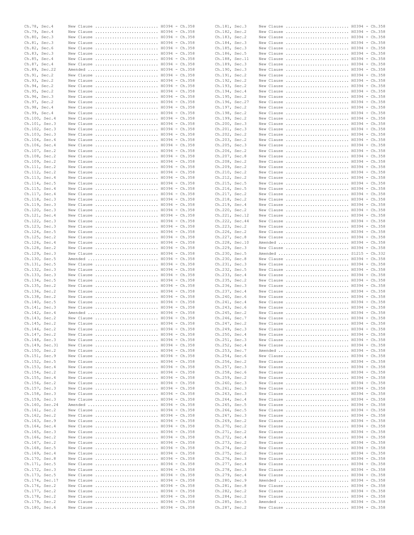|                | Ch.78, Sec.4  | New Clause  H0394 - Ch.358                               |  | Ch.181, Sec.3  |  | New Clause  H0394 - Ch.358                            |  |
|----------------|---------------|----------------------------------------------------------|--|----------------|--|-------------------------------------------------------|--|
|                | Ch.79, Sec.4  | New Clause  H0394 - Ch.358                               |  | Ch.182, Sec.2  |  | New Clause  H0394 - Ch.358                            |  |
| Ch.80, Sec.3   |               | New Clause  H0394 - Ch.358                               |  | Ch.183, Sec.2  |  | New Clause  H0394 - Ch.358                            |  |
| Ch.81, Sec.3   |               | New Clause  H0394 - Ch.358                               |  | Ch.184, Sec.3  |  | New Clause  H0394 - Ch.358                            |  |
| Ch.82, Sec.6   |               | New Clause  H0394 - Ch.358                               |  | Ch.185, Sec.3  |  | New Clause  H0394 - Ch.358                            |  |
| Ch.83, Sec.3   |               | New Clause  H0394 - Ch.358                               |  | Ch.186, Sec.5  |  | New Clause  H0394 - Ch.358                            |  |
| Ch.85, Sec.4   |               | New Clause  H0394 - Ch.358                               |  | Ch.188, Sec.11 |  | New Clause  H0394 - Ch.358                            |  |
| Ch.87, Sec.4   |               |                                                          |  | Ch.189, Sec.3  |  |                                                       |  |
|                |               | New Clause  H0394 - Ch.358                               |  |                |  | New Clause  H0394 - Ch.358                            |  |
| Ch.89, Sec.22  |               | Amended  H0394 - Ch.358                                  |  | Ch.190, Sec.3  |  | New Clause  H0394 - Ch.358                            |  |
| Ch.91, Sec.2   |               | New Clause  H0394 - Ch.358                               |  | Ch.191, Sec.2  |  | New Clause  H0394 - Ch.358                            |  |
| Ch.93, Sec.2   |               | New Clause  H0394 - Ch.358                               |  | Ch.192, Sec.2  |  | New Clause  H0394 - Ch.358                            |  |
| Ch.94, Sec.2   |               | New Clause  H0394 - Ch.358                               |  | Ch.193, Sec.2  |  | New Clause  H0394 - Ch.358                            |  |
| Ch.95, Sec.2   |               | New Clause  H0394 - Ch.358                               |  | Ch.194, Sec.4  |  | New Clause  H0394 - Ch.358                            |  |
| Ch.96, Sec.3   |               | New Clause  H0394 - Ch.358                               |  | Ch.195, Sec.2  |  | New Clause  H0394 - Ch.358                            |  |
| Ch.97, Sec.2   |               | New Clause  H0394 - Ch.358                               |  | Ch.196, Sec.27 |  | New Clause  H0394 - Ch.358                            |  |
| Ch.98, Sec.4   |               | New Clause  H0394 - Ch.358                               |  | Ch.197, Sec.2  |  | New Clause  H0394 - Ch.358                            |  |
| Ch.99, Sec.4   |               | New Clause  H0394 - Ch.358                               |  | Ch.198, Sec.2  |  | New Clause  H0394 - Ch.358                            |  |
| Ch.100, Sec.4  |               | New Clause  H0394 - Ch.358                               |  | Ch.199, Sec.2  |  | New Clause  H0394 - Ch.358                            |  |
| Ch.101, Sec.3  |               | New Clause  H0394 - Ch.358                               |  | Ch.200, Sec.3  |  | New Clause  H0394 - Ch.358                            |  |
| Ch.102, Sec.3  |               | New Clause  H0394 - Ch.358                               |  | Ch.201, Sec.3  |  | New Clause  H0394 - Ch.358                            |  |
| Ch.103, Sec.3  |               | New Clause  H0394 - Ch.358                               |  | Ch.202, Sec.2  |  | New Clause  H0394 - Ch.358                            |  |
| Ch.104, Sec.4  |               | New Clause  H0394 - Ch.358                               |  | Ch.203, Sec.2  |  | New Clause  H0394 - Ch.358                            |  |
|                |               |                                                          |  |                |  |                                                       |  |
| Ch.106, Sec.4  |               | New Clause  H0394 - Ch.358                               |  | Ch.205, Sec.3  |  | New Clause  H0394 - Ch.358                            |  |
| Ch.107, Sec.2  |               | New Clause  H0394 - Ch.358                               |  | Ch.206, Sec.2  |  | New Clause  H0394 - Ch.358                            |  |
| Ch.108, Sec.2  |               | New Clause  H0394 - Ch.358                               |  | Ch.207, Sec.8  |  | New Clause  H0394 - Ch.358                            |  |
| Ch.109, Sec.2  |               | New Clause  H0394 - Ch.358                               |  | Ch.208, Sec.2  |  | New Clause  H0394 - Ch.358                            |  |
| Ch.111, Sec.2  |               | New Clause  H0394 - Ch.358                               |  | Ch.209, Sec.2  |  | New Clause  H0394 - Ch.358                            |  |
| Ch.112, Sec.2  |               | New Clause  H0394 - Ch.358                               |  | Ch.210, Sec.2  |  | New Clause  H0394 - Ch.358                            |  |
| Ch.113, Sec.4  |               | New Clause  H0394 - Ch.358                               |  | Ch.212, Sec.2  |  | New Clause  H0394 - Ch.358                            |  |
| Ch.114, Sec.5  |               | New Clause  H0394 - Ch.358                               |  | Ch.215, Sec.5  |  | New Clause  H0394 - Ch.358                            |  |
| Ch.115, Sec.4  |               | New Clause  H0394 - Ch.358                               |  | Ch.216, Sec.5  |  | New Clause  H0394 - Ch.358                            |  |
| Ch.117, Sec.4  |               | New Clause  H0394 - Ch.358                               |  | Ch.217, Sec.2  |  | New Clause  H0394 - Ch.358                            |  |
| Ch.118, Sec.3  |               | New Clause  H0394 - Ch.358                               |  | Ch.218, Sec.2  |  | New Clause  H0394 - Ch.358                            |  |
| Ch.119, Sec.3  |               | New Clause  H0394 - Ch.358                               |  | Ch.219, Sec.4  |  | New Clause  H0394 - Ch.358                            |  |
| Ch.120, Sec.3  |               | New Clause  H0394 - Ch.358                               |  | Ch.220, Sec.2  |  | New Clause  H0394 - Ch.358                            |  |
| Ch.121, Sec.4  |               | New Clause  H0394 - Ch.358                               |  | Ch.221, Sec.12 |  | New Clause  H0394 - Ch.358                            |  |
| Ch.122, Sec.3  |               | New Clause  H0394 - Ch.358                               |  | Ch.222, Sec.44 |  | New Clause  H0394 - Ch.358                            |  |
|                |               |                                                          |  |                |  |                                                       |  |
| Ch.123, Sec.3  |               | New Clause  H0394 - Ch.358                               |  | Ch.223, Sec.2  |  | New Clause  H0394 - Ch.358                            |  |
| Ch.124, Sec.5  |               | New Clause  H0394 - Ch.358                               |  | Ch.226, Sec.2  |  | New Clause  H0394 - Ch.358                            |  |
| Ch.125, Sec.2  |               | New Clause  H0394 - Ch.358                               |  | Ch.227, Sec.8  |  | New Clause  H0394 - Ch.358                            |  |
| Ch.126, Sec.4  |               | New Clause  H0394 - Ch.358                               |  | Ch.228, Sec.10 |  | Amended  H0394 - Ch.358                               |  |
| Ch.128, Sec.2  |               | New Clause  H0394 - Ch.358                               |  | Ch.229, Sec.3  |  | New Clause  H0394 - Ch.358                            |  |
| Ch.129, Sec.3  |               | New Clause  H0394 - Ch.358                               |  | Ch.230, Sec.5  |  | Amended  S1215 - Ch.332                               |  |
| Ch.130, Sec.5  |               | Amended  H0394 - Ch.358                                  |  | Ch.230, Sec.8  |  | New Clause  H0394 - Ch.358                            |  |
| Ch.131, Sec.5  |               | New Clause  H0394 - Ch.358                               |  | Ch.231, Sec.3  |  | New Clause  H0394 - Ch.358                            |  |
| Ch.132, Sec.3  |               | New Clause  H0394 - Ch.358                               |  | Ch.232, Sec.5  |  | New Clause  H0394 - Ch.358                            |  |
| Ch.133, Sec.3  |               | New Clause  H0394 - Ch.358                               |  | Ch.233, Sec.4  |  | New Clause  H0394 - Ch.358                            |  |
| Ch.134, Sec.5  |               | New Clause  H0394 - Ch.358                               |  | Ch.235, Sec.2  |  | New Clause  H0394 - Ch.358                            |  |
| Ch.135, Sec.2  |               | New Clause  H0394 - Ch.358                               |  | Ch.236, Sec.3  |  | New Clause  H0394 - Ch.358                            |  |
|                |               |                                                          |  |                |  |                                                       |  |
|                |               |                                                          |  |                |  |                                                       |  |
|                | Ch.136, Sec.2 | New Clause  H0394 - Ch.358                               |  | Ch.237, Sec.4  |  | New Clause  H0394 - Ch.358                            |  |
| Ch.138, Sec.2  |               | New Clause  H0394 - Ch.358                               |  | Ch.240, Sec.6  |  | New Clause  H0394 - Ch.358                            |  |
| Ch.140, Sec.5  |               | New Clause  H0394 - Ch.358                               |  | Ch.241, Sec.4  |  | New Clause  H0394 - Ch.358                            |  |
| Ch.141, Sec.3  |               | New Clause  H0394 - Ch.358                               |  | Ch.243, Sec.6  |  | New Clause  H0394 - Ch.358                            |  |
| Ch.142, Sec.4  |               | Amended  H0394 - Ch.358                                  |  | Ch.245, Sec.2  |  | New Clause  H0394 - Ch.358                            |  |
| Ch.143, Sec.2  |               | New Clause  H0394 - Ch.358                               |  | Ch.246, Sec.7  |  | New Clause  H0394 - Ch.358                            |  |
| Ch.145, Sec.2  |               | New Clause  H0394 - Ch.358                               |  | Ch.247, Sec.2  |  | New Clause  H0394 - Ch.358                            |  |
| Ch.146, Sec.2  |               | New Clause  H0394 - Ch.358                               |  | Ch.249, Sec.3  |  | New Clause  H0394 - Ch.358                            |  |
| Ch.147, Sec.2  |               | New Clause  H0394 - Ch.358                               |  | Ch.250, Sec.4  |  | New Clause  H0394 - Ch.358                            |  |
| Ch.148, Sec.3  |               | New Clause  H0394 - Ch.358                               |  | Ch.251, Sec.3  |  | New Clause  H0394 - Ch.358                            |  |
| Ch.149, Sec.31 |               | New Clause  H0394 - Ch.358                               |  | Ch.252, Sec.4  |  | New Clause  H0394 - Ch.358                            |  |
| Ch.150, Sec.2  |               | New Clause  H0394 - Ch.358                               |  | Ch.253, Sec.7  |  | Amended  H0394 - Ch.358                               |  |
| Ch.151, Sec.9  |               | New Clause  H0394 - Ch.358                               |  | Ch.254, Sec.6  |  | New Clause  H0394 - Ch.358                            |  |
| Ch.152, Sec.5  |               | New Clause  H0394 - Ch.358                               |  | Ch.256, Sec.2  |  | New Clause  H0394 - Ch.358                            |  |
| Ch.153, Sec.4  |               | New Clause  H0394 - Ch.358                               |  | Ch.257, Sec.3  |  | New Clause  H0394 - Ch.358                            |  |
| Ch.154, Sec.2  |               | New Clause  H0394 - Ch.358                               |  | Ch.258, Sec.6  |  | New Clause  H0394 - Ch.358                            |  |
| Ch.155, Sec.4  |               | New Clause  H0394 - Ch.358                               |  | Ch.259, Sec.2  |  | New Clause  H0394 - Ch.358                            |  |
| Ch.156, Sec.2  |               | New Clause  H0394 - Ch.358                               |  | Ch.260, Sec.3  |  | New Clause  H0394 - Ch.358                            |  |
| Ch.157, Sec.3  |               | New Clause  H0394 - Ch.358                               |  | Ch.261, Sec.3  |  | New Clause  H0394 - Ch.358                            |  |
| Ch.158, Sec.3  |               | New Clause  H0394 - Ch.358                               |  | Ch.263, Sec.3  |  | New Clause  H0394 - Ch.358                            |  |
| Ch.159, Sec.3  |               | New Clause  H0394 - Ch.358                               |  | Ch.264, Sec.4  |  | New Clause  H0394 - Ch.358                            |  |
| Ch.160, Sec.24 |               | Amended  H0394 - Ch.358                                  |  | Ch.265, Sec.5  |  | New Clause  H0394 - Ch.358                            |  |
| Ch.161, Sec.2  |               | New Clause  H0394 - Ch.358                               |  | Ch.266, Sec.5  |  | New Clause  H0394 - Ch.358                            |  |
| Ch.162, Sec.2  |               | New Clause  H0394 - Ch.358                               |  | Ch.267, Sec.3  |  | New Clause  H0394 - Ch.358                            |  |
|                |               |                                                          |  |                |  |                                                       |  |
| Ch.163, Sec.9  |               | New Clause  H0394 - Ch.358                               |  | Ch.269, Sec.2  |  | New Clause  H0394 - Ch.358                            |  |
| Ch.164, Sec.4  |               | New Clause  H0394 - Ch.358                               |  | Ch.270, Sec.2  |  | New Clause  H0394 - Ch.358                            |  |
| Ch.165, Sec.3  |               | New Clause  H0394 - Ch.358                               |  | Ch.271, Sec.2  |  | New Clause  H0394 - Ch.358                            |  |
| Ch.166, Sec.2  |               | New Clause  H0394 - Ch.358                               |  | Ch.272, Sec.4  |  | New Clause  H0394 - Ch.358                            |  |
| Ch.167, Sec.2  |               | New Clause  H0394 - Ch.358                               |  | Ch.273, Sec.2  |  | New Clause  H0394 - Ch.358                            |  |
| Ch.168, Sec.5  |               | New Clause  H0394 - Ch.358                               |  | Ch.274, Sec.2  |  | New Clause  H0394 - Ch.358                            |  |
| Ch.169, Sec.4  |               | New Clause  H0394 - Ch.358                               |  | Ch.275, Sec.2  |  | New Clause  H0394 - Ch.358                            |  |
| Ch.170, Sec.8  |               | New Clause  H0394 - Ch.358                               |  | Ch.276, Sec.3  |  | New Clause  H0394 - Ch.358                            |  |
| Ch.171, Sec.5  |               | New Clause  H0394 - Ch.358                               |  | Ch.277, Sec.4  |  | New Clause  H0394 - Ch.358                            |  |
| Ch.172, Sec.3  |               | New Clause  H0394 - Ch.358                               |  | Ch.278, Sec.3  |  | New Clause  H0394 - Ch.358                            |  |
| Ch.173, Sec.5  |               | New Clause  H0394 - Ch.358                               |  | Ch.279, Sec.4  |  | New Clause  H0394 - Ch.358                            |  |
| Ch.174, Sec.17 |               | New Clause  H0394 - Ch.358                               |  | Ch.280, Sec.9  |  | Amended  H0394 - Ch.358                               |  |
| Ch.176, Sec.2  |               | New Clause  H0394 - Ch.358                               |  | Ch.281, Sec.8  |  | New Clause  H0394 - Ch.358                            |  |
| Ch.177, Sec.2  |               | New Clause  H0394 - Ch.358                               |  | Ch.282, Sec.2  |  | New Clause  H0394 - Ch.358                            |  |
| Ch.178, Sec.2  |               | New Clause  H0394 - Ch.358                               |  | Ch.284, Sec.2  |  | New Clause  H0394 - Ch.358                            |  |
| Ch.179, Sec.2  |               | New Clause  H0394 - Ch.358<br>New Clause  H0394 - Ch.358 |  | Ch.285, Sec.5  |  | Amended  H0394 - Ch.358<br>New Clause  H0394 - Ch.358 |  |